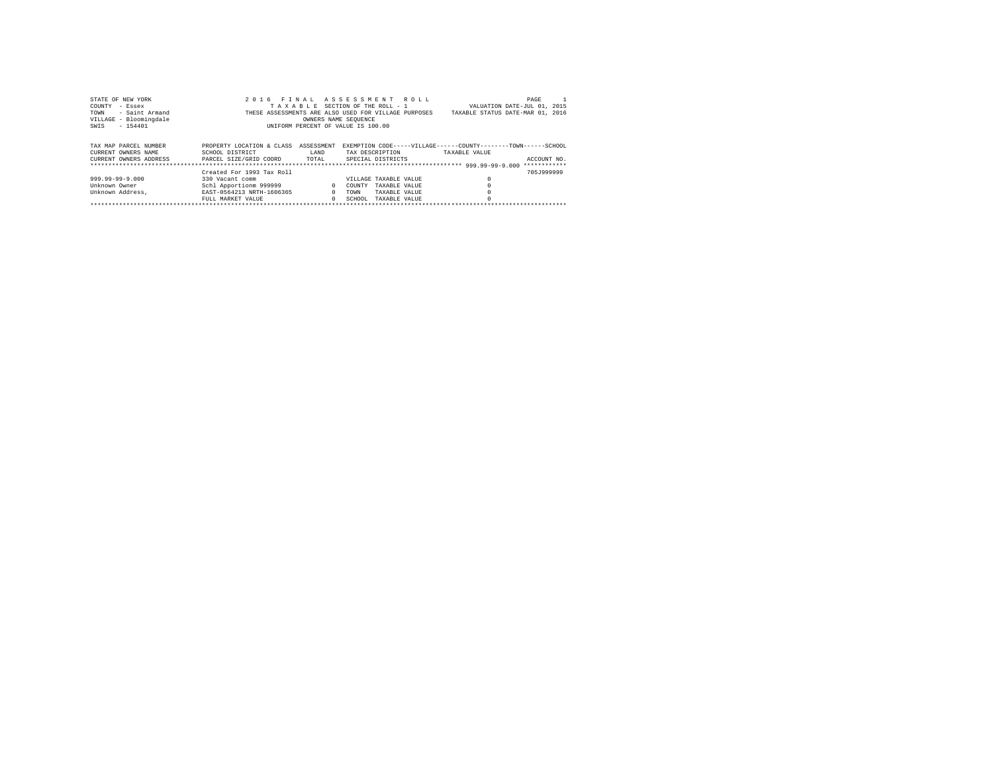| STATE OF NEW YORK      | 2016                                                 | FINAL ASSESSMENT ROLL              |                 |                       |                                                                | PAGE         |
|------------------------|------------------------------------------------------|------------------------------------|-----------------|-----------------------|----------------------------------------------------------------|--------------|
| COUNTY<br>- Essex      |                                                      | TAXABLE SECTION OF THE ROLL - 1    |                 |                       | VALUATION DATE-JUL 01, 2015                                    |              |
| - Saint Armand<br>TOWN | THESE ASSESSMENTS ARE ALSO USED FOR VILLAGE PURPOSES |                                    |                 |                       | TAXABLE STATUS DATE-MAR 01, 2016                               |              |
| VILLAGE - Bloomingdale |                                                      | OWNERS NAME SEOUENCE               |                 |                       |                                                                |              |
| $-154401$<br>SWIS      |                                                      | UNIFORM PERCENT OF VALUE IS 100.00 |                 |                       |                                                                |              |
|                        |                                                      |                                    |                 |                       |                                                                |              |
|                        |                                                      |                                    |                 |                       |                                                                |              |
| TAX MAP PARCEL NUMBER  | PROPERTY LOCATION & CLASS                            | ASSESSMENT                         |                 |                       | EXEMPTION CODE-----VILLAGE------COUNTY--------TOWN------SCHOOL |              |
| CURRENT OWNERS NAME    | SCHOOL DISTRICT                                      | LAND                               | TAX DESCRIPTION |                       | TAXABLE VALUE                                                  |              |
| CURRENT OWNERS ADDRESS | PARCEL SIZE/GRID COORD                               | TOTAL                              |                 | SPECIAL DISTRICTS     |                                                                | ACCOUNT NO.  |
|                        |                                                      |                                    |                 |                       |                                                                | ************ |
|                        | Created For 1993 Tax Roll                            |                                    |                 |                       |                                                                | 705.1999999  |
| 999.99-99-9.000        | 330 Vacant comm                                      |                                    |                 | VILLAGE TAXABLE VALUE |                                                                |              |
| Unknown Owner          | Schl Apportionm 999999                               | $\mathbf{r}$                       | COUNTY          | TAXABLE VALUE         |                                                                |              |
| Unknown Address.       | EAST-0564213 NRTH-1606365                            | $\Omega$                           | <b>TOWN</b>     | TAXABLE VALUE         |                                                                |              |
|                        | FULL MARKET VALUE                                    | $\Omega$                           | SCHOOL.         | TAXABLE VALUE         |                                                                |              |
|                        |                                                      |                                    |                 |                       |                                                                |              |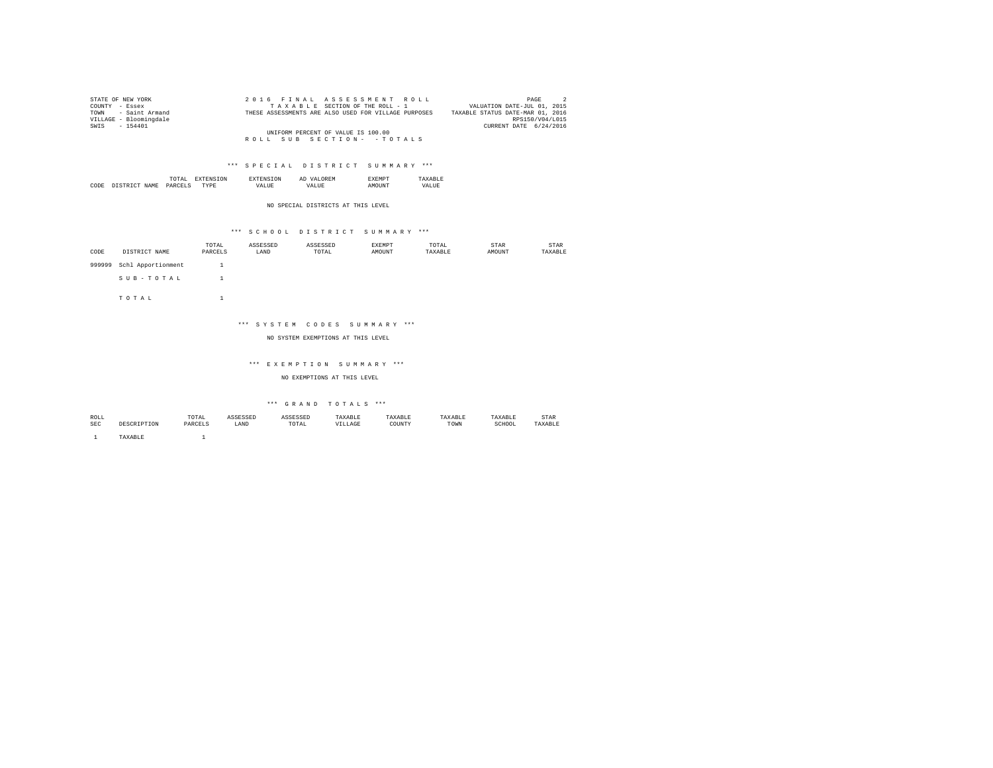| STATE OF NEW YORK      | 2016 FINAL ASSESSMENT ROLL                           | PAGE<br>$\overline{2}$           |
|------------------------|------------------------------------------------------|----------------------------------|
| COUNTY - Essex         | TAXABLE SECTION OF THE ROLL - 1                      | VALUATION DATE-JUL 01, 2015      |
| TOWN - Saint Armand    | THESE ASSESSMENTS ARE ALSO USED FOR VILLAGE PURPOSES | TAXABLE STATUS DATE-MAR 01, 2016 |
| VILLAGE - Bloomingdale |                                                      | RPS150/V04/L015                  |
| SWIS - 154401          |                                                      | CURRENT DATE 6/24/2016           |
|                        | UNIFORM PERCENT OF VALUE IS 100.00                   |                                  |
|                        | ROLL SUB SECTION- - TOTALS                           |                                  |

|      |                       | the contract of the contract of the contract of | °ON. | 'ON   | n<br>mı | :M L                 |              |
|------|-----------------------|-------------------------------------------------|------|-------|---------|----------------------|--------------|
| CODE | <b>NAME</b><br>T CTD. | DAR(<br>______                                  | TVDE | JALIE |         | <b>STINT</b><br>,,,, | .TT<br>ו בשי |

NO SPECIAL DISTRICTS AT THIS LEVEL

## \*\*\* S C H O O L D I S T R I C T S U M M A R Y \*\*\*

|        |                    | TOTAL   | ASSESSED | ASSESSED | <b>EXEMPT</b> | TOTAL   | STAR   | STAR    |
|--------|--------------------|---------|----------|----------|---------------|---------|--------|---------|
| CODE   | DISTRICT NAME      | PARCELS | LAND     | TOTAL    | AMOUNT        | TAXABLE | AMOUNT | TAXABLE |
| 999999 | Schl Apportionment |         |          |          |               |         |        |         |
|        | SUB-TOTAL          |         |          |          |               |         |        |         |
|        | TOTAL              |         |          |          |               |         |        |         |

### \*\*\* S Y S T E M C O D E S S U M M A R Y \*\*\*

### NO SYSTEM EXEMPTIONS AT THIS LEVEL

#### \*\*\* E X E M P T I O N S U M M A R Y \*\*\*

NO EXEMPTIONS AT THIS LEVEL

# $\hspace{0.1cm}$  \*\*\*  $\hspace{0.1cm}$  G R A N D  $\hspace{0.1cm}$  T O T A L S  $\hspace{0.1cm}$  \*\*\*

| ROLL       |        | TOTAL<br>the contract of the contract of the contract of the contract of the contract of | ACCROCER<br>ىتتىن | <b>ACCPCCPP</b><br>.                                     | TAXABLE | 'AXABLE |      | TAXABLE     | STAR           |
|------------|--------|------------------------------------------------------------------------------------------|-------------------|----------------------------------------------------------|---------|---------|------|-------------|----------------|
| <b>SEC</b> |        | PARCELS                                                                                  | LAND              | TOTAL<br>the contract of the contract of the contract of | LLAGE   | COUNTY  | TOWN | SCHOOL<br>. | <b>TAVADIE</b> |
|            |        |                                                                                          |                   |                                                          |         |         |      |             |                |
|            | AXABLE |                                                                                          |                   |                                                          |         |         |      |             |                |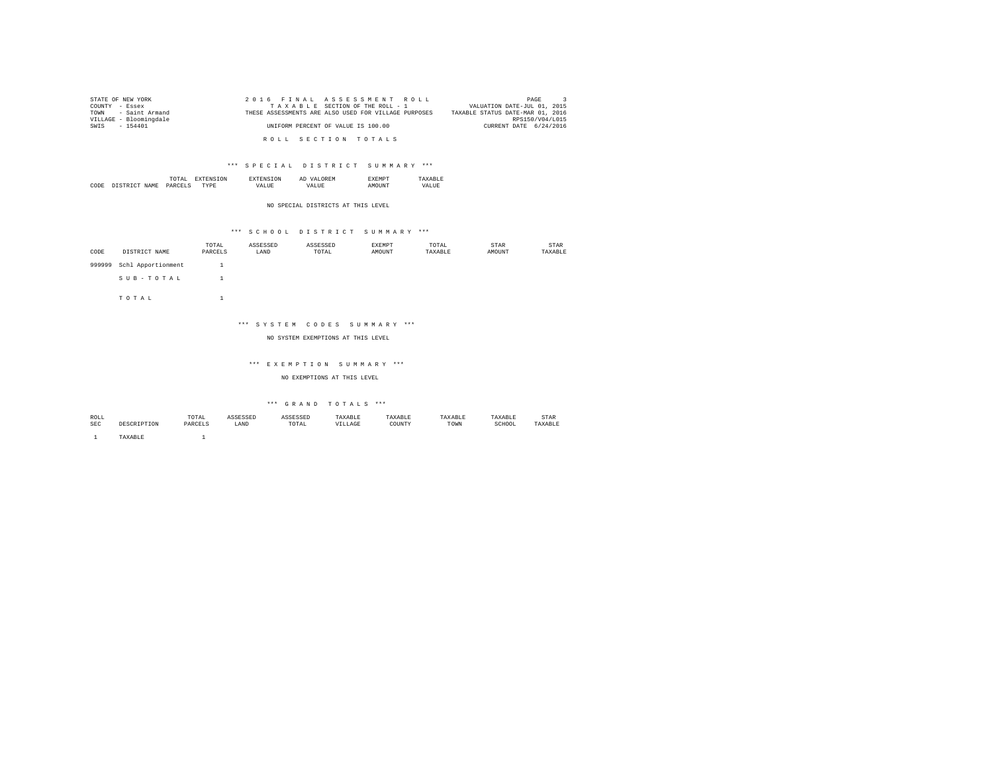| STATE OF NEW YORK      | 2016 FINAL ASSESSMENT ROLL                           | PAGE                             |
|------------------------|------------------------------------------------------|----------------------------------|
| COUNTY - Essex         | TAXABLE SECTION OF THE ROLL - 1                      | VALUATION DATE-JUL 01, 2015      |
| TOWN - Saint Armand    | THESE ASSESSMENTS ARE ALSO USED FOR VILLAGE PURPOSES | TAXABLE STATUS DATE-MAR 01, 2016 |
| VILLAGE - Bloomingdale |                                                      | RPS150/V04/L015                  |
| SWIS - 154401          | UNIFORM PERCENT OF VALUE IS 100.00                   | CURRENT DATE 6/24/2016           |
|                        |                                                      |                                  |
|                        | ROLL SECTION TOTALS                                  |                                  |

|      |                     | . .<br>the contract of the contract of the contract of | .)N | Al |   |
|------|---------------------|--------------------------------------------------------|-----|----|---|
| CODE | <b>CTD</b><br>NT∆M. | ומס                                                    | .   | ▵  | . |

NO SPECIAL DISTRICTS AT THIS LEVEL

### \*\*\* S C H O O L D I S T R I C T S U M M A R Y \*\*\*

| CODE   | DISTRICT NAME      | TOTAL<br>PARCELS | ASSESSED<br>LAND | ASSESSED<br>TOTAL | EXEMPT<br>AMOUNT | TOTAL<br>TAXABLE | STAR<br>AMOUNT | STAR<br>TAXABLE |
|--------|--------------------|------------------|------------------|-------------------|------------------|------------------|----------------|-----------------|
|        |                    |                  |                  |                   |                  |                  |                |                 |
| 999999 | Schl Apportionment |                  |                  |                   |                  |                  |                |                 |
|        | SUB-TOTAL          |                  |                  |                   |                  |                  |                |                 |
|        | TOTAL              |                  |                  |                   |                  |                  |                |                 |

### \*\*\* S Y S T E M C O D E S S U M M A R Y \*\*\*

### NO SYSTEM EXEMPTIONS AT THIS LEVEL

#### \*\*\* E X E M P T I O N S U M M A R Y \*\*\*

NO EXEMPTIONS AT THIS LEVEL

# $\hspace{0.1cm}$  \*\*\*  $\hspace{0.1cm}$  G R A N D  $\hspace{0.1cm}$  T O T A L S  $\hspace{0.1cm}$  \*\*\*

| ROLL       |         | TOTAL   | cercern<br>LOOLU | ASSESSED                                                 | TAXABLE | TAXABLE     | TAXABLE | TAXABLE     | STAR    |
|------------|---------|---------|------------------|----------------------------------------------------------|---------|-------------|---------|-------------|---------|
| <b>SEC</b> |         | PARCELS | LAND             | TOTAL<br>the contract of the contract of the contract of | VILLAGE | COUNTY<br>. | TOWN    | SCHOOL<br>. | TAXABLE |
|            |         |         |                  |                                                          |         |             |         |             |         |
|            | 'AXABLE |         |                  |                                                          |         |             |         |             |         |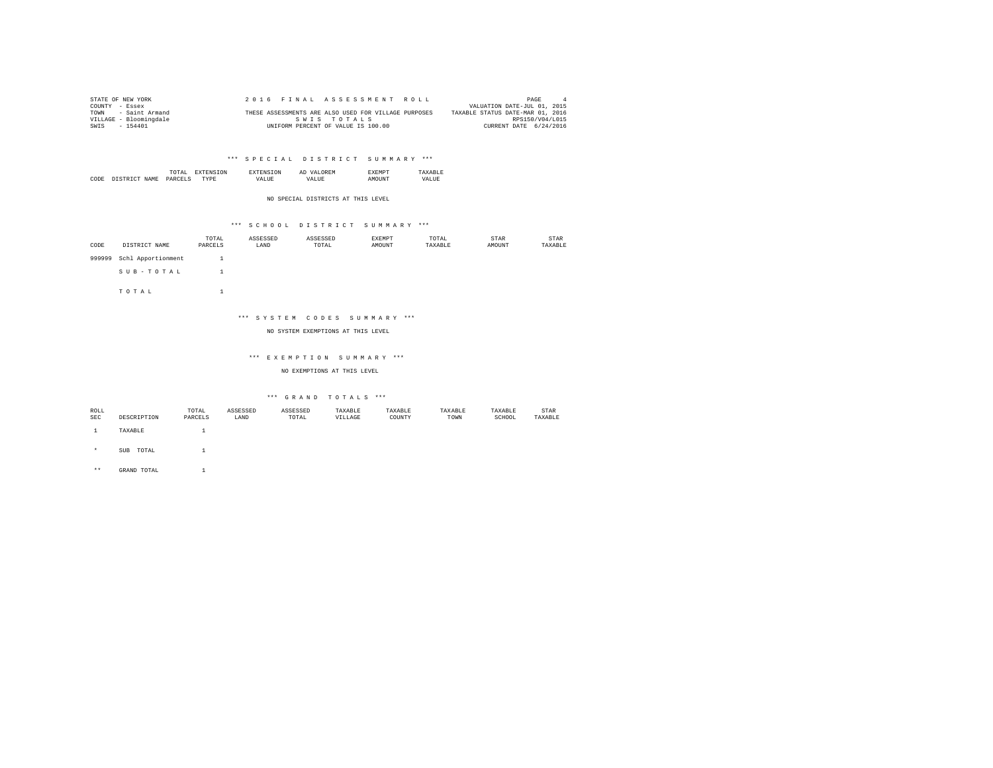| STATE OF NEW YORK      | 2016 FINAL ASSESSMENT ROLL                           | PAGE                             |
|------------------------|------------------------------------------------------|----------------------------------|
| COUNTY - Essex         |                                                      | VALUATION DATE-JUL 01, 2015      |
| - Saint Armand<br>TOWN | THESE ASSESSMENTS ARE ALSO USED FOR VILLAGE PURPOSES | TAXABLE STATUS DATE-MAR 01, 2016 |
| VILLAGE - Bloomingdale | SWIS TOTALS                                          | RPS150/V04/L015                  |
| SWIS<br>$-154401$      | UNIFORM PERCENT OF VALUE IS 100.00                   | CURRENT DATE 6/24/2016           |

|  | the contract of the contract of the contract of |  | A. |  |
|--|-------------------------------------------------|--|----|--|
|  |                                                 |  |    |  |
|  |                                                 |  |    |  |

NO SPECIAL DISTRICTS AT THIS LEVEL

### \*\*\* S C H O O L D I S T R I C T S U M M A R Y \*\*\*

| CODE   | DISTRICT NAME      | TOTAL<br>PARCELS | ASSESSED<br>LAND | ASSESSED<br>TOTAL | <b>EXEMPT</b><br>AMOUNT | TOTAL<br>TAXABLE | STAR<br>AMOUNT | STAR<br>TAXABLE |
|--------|--------------------|------------------|------------------|-------------------|-------------------------|------------------|----------------|-----------------|
| 999999 | Schl Apportionment |                  |                  |                   |                         |                  |                |                 |
|        | SUB-TOTAL          |                  |                  |                   |                         |                  |                |                 |

T O T A L 1

## \*\*\* S Y S T E M C O D E S S U M M A R Y \*\*\*

NO SYSTEM EXEMPTIONS AT THIS LEVEL

### \*\*\* E X E M P T I O N S U M M A R Y \*\*\*

NO EXEMPTIONS AT THIS LEVEL

### \*\*\* G R A N D T O T A L S \*\*\*

| ROLL       |                     | TOTAL   | ASSESSED | ASSESSED | TAXABLE | TAXABLE | TAXABLE | TAXABLE | STAR    |
|------------|---------------------|---------|----------|----------|---------|---------|---------|---------|---------|
| <b>SEC</b> | DESCRIPTION         | PARCELS | LAND     | TOTAL    | VILLAGE | COUNTY  | TOWN    | SCHOOL  | TAXABLE |
|            |                     |         |          |          |         |         |         |         |         |
|            | TAXABLE             |         |          |          |         |         |         |         |         |
|            |                     |         |          |          |         |         |         |         |         |
|            |                     |         |          |          |         |         |         |         |         |
| ÷.         | TOTAL<br><b>SUB</b> |         |          |          |         |         |         |         |         |

\*\* GRAND TOTAL 1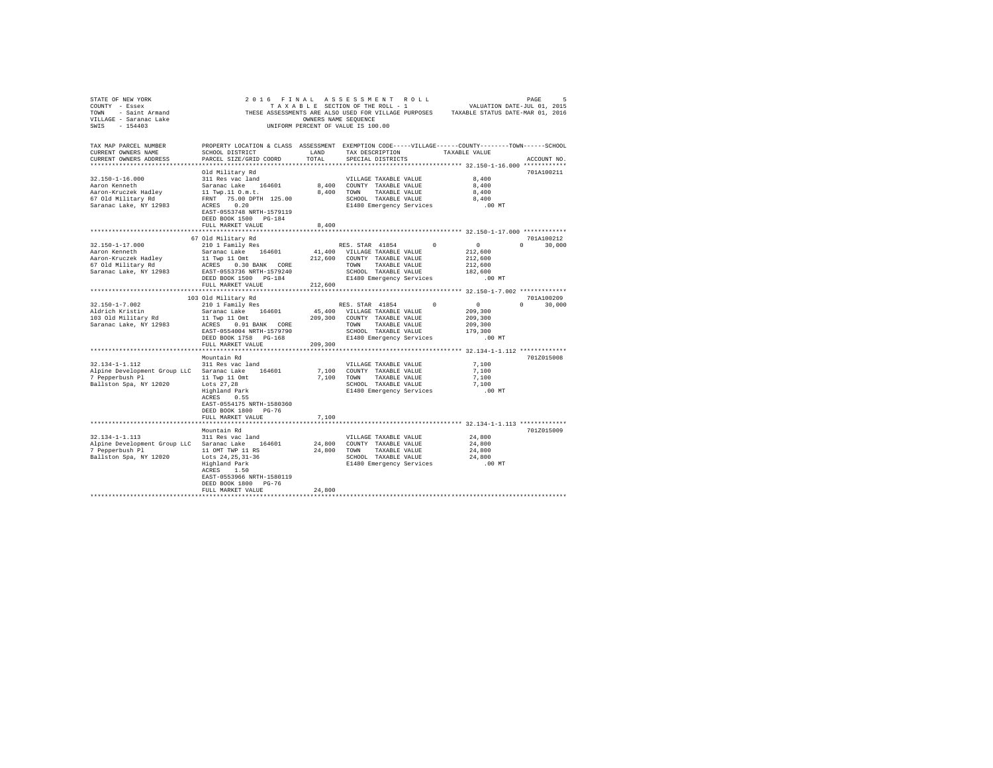| STATE OF NEW YORK                                                                                                                                                                                                                   |                                                                                                    |         |                                 |              |                 |               |
|-------------------------------------------------------------------------------------------------------------------------------------------------------------------------------------------------------------------------------------|----------------------------------------------------------------------------------------------------|---------|---------------------------------|--------------|-----------------|---------------|
| COUNTY - Essex                                                                                                                                                                                                                      |                                                                                                    |         |                                 |              |                 |               |
|                                                                                                                                                                                                                                     |                                                                                                    |         |                                 |              |                 |               |
|                                                                                                                                                                                                                                     |                                                                                                    |         |                                 |              |                 |               |
| COUNTY - ESSEX AND THESE ASSESSMENTS ARE ALSO USED FOR VILLAGE PURPOSES TAXABLE STATUS DATE-MAR 01, 2016<br>VILLAGE - Saranac Lake (2016) THESE ASSESSMENTS ARE SAUGH CONTROL ON THE PURPOSES TAXABLE STATUS DATE-MAR 01,<br>SWIS - |                                                                                                    |         |                                 |              |                 |               |
|                                                                                                                                                                                                                                     |                                                                                                    |         |                                 |              |                 |               |
|                                                                                                                                                                                                                                     |                                                                                                    |         |                                 |              |                 |               |
| TAX MAP PARCEL NUMBER                                                                                                                                                                                                               | PROPERTY LOCATION & CLASS ASSESSMENT EXEMPTION CODE-----VILLAGE------COUNTY-------TOWN------SCHOOL |         |                                 |              |                 |               |
| CURRENT OWNERS NAME                                                                                                                                                                                                                 | SCHOOL DISTRICT                                                                                    | LAND    | TAX DESCRIPTION                 |              | TAXABLE VALUE   |               |
| CURRENT OWNERS ADDRESS                                                                                                                                                                                                              | PARCEL SIZE/GRID COORD                                                                             | TOTAL   | SPECIAL DISTRICTS               |              |                 | ACCOUNT NO.   |
|                                                                                                                                                                                                                                     |                                                                                                    |         |                                 |              |                 |               |
|                                                                                                                                                                                                                                     | Old Military Rd                                                                                    |         |                                 |              |                 | 701A100211    |
| $32.150 - 1 - 16.000$                                                                                                                                                                                                               | 311 Res vac land                                                                                   |         | VILLAGE TAXABLE VALUE           |              | 8,400           |               |
| Aaron Kenneth                                                                                                                                                                                                                       | Saranac Lake 164601                                                                                |         | 8,400 COUNTY TAXABLE VALUE      |              | 8,400           |               |
| Aaron-Kruczek Hadley                                                                                                                                                                                                                | 11 Twp.11 O.m.t.                                                                                   |         | 8,400 TOWN TAXABLE VALUE        |              | 8,400           |               |
| 67 Old Military Rd                                                                                                                                                                                                                  | FRNT 75.00 DPTH 125.00                                                                             |         | SCHOOL TAXABLE VALUE            |              | 8,400           |               |
| Saranac Lake, NY 12983                                                                                                                                                                                                              | ACRES 0.20                                                                                         |         | E1480 Emergency Services        |              | $.00$ MT        |               |
|                                                                                                                                                                                                                                     | EAST-0553748 NRTH-1579119                                                                          |         |                                 |              |                 |               |
|                                                                                                                                                                                                                                     | DEED BOOK 1500 PG-184                                                                              |         |                                 |              |                 |               |
|                                                                                                                                                                                                                                     | FULL MARKET VALUE                                                                                  | 8,400   |                                 |              |                 |               |
|                                                                                                                                                                                                                                     |                                                                                                    |         |                                 |              |                 |               |
|                                                                                                                                                                                                                                     |                                                                                                    |         |                                 |              |                 | 701A100212    |
|                                                                                                                                                                                                                                     | 67 Old Military Rd                                                                                 |         |                                 | $\mathbf{0}$ | $\sim$ 0        |               |
| 32.150-1-17.000                                                                                                                                                                                                                     | 210 1 Family Res                                                                                   |         | RES. STAR 41854                 |              |                 | $0 \t 30,000$ |
| Aaron Kenneth                                                                                                                                                                                                                       | Saranac Lake 164601                                                                                |         | 41,400 VILLAGE TAXABLE VALUE    |              | 212,600         |               |
| Aaron-Kruczek Hadley                                                                                                                                                                                                                | 11 Twp 11 Omt $212,600$ COUNTY TAXABLE VALUE                                                       |         |                                 |              | 212,600         |               |
| 67 Old Military Rd                                                                                                                                                                                                                  |                                                                                                    |         | TOWN<br>TAXABLE VALUE           |              | 212,600         |               |
| Saranac Lake, NY 12983                                                                                                                                                                                                              | EAST-0553736 NRTH-1579240                                                                          |         | SCHOOL TAXABLE VALUE            |              | 182,600         |               |
|                                                                                                                                                                                                                                     |                                                                                                    |         | E1480 Emergency Services        |              | .00MT           |               |
|                                                                                                                                                                                                                                     | FULL MARKET VALUE                                                                                  | 212,600 |                                 |              |                 |               |
|                                                                                                                                                                                                                                     |                                                                                                    |         |                                 |              |                 |               |
|                                                                                                                                                                                                                                     | 103 Old Military Rd                                                                                |         |                                 |              |                 | 701A100209    |
| $32.150 - 1 - 7.002$                                                                                                                                                                                                                | 210 1 Family Res                                                                                   |         | RES. STAR 41854                 | $^{\circ}$   | $\sim$ 0 $\sim$ | $0 \t 30,000$ |
| Aldrich Kristin                                                                                                                                                                                                                     | Saranac Lake 164601                                                                                |         | 45,400 VILLAGE TAXABLE VALUE    |              | 209,300         |               |
| 103 Old Military Rd                                                                                                                                                                                                                 | 11 Twp 11 Omt                                                                                      |         | 209,300 COUNTY TAXABLE VALUE    |              | 209,300         |               |
| Saranac Lake, NY 12983                                                                                                                                                                                                              | ACRES 0.91 BANK CORE                                                                               |         | TOWN TAXABLE VALUE              |              | 209,300         |               |
|                                                                                                                                                                                                                                     | EAST-0554004 NRTH-1579790                                                                          |         | SCHOOL TAXABLE VALUE            |              | 179,300         |               |
|                                                                                                                                                                                                                                     | DEED BOOK 1758 PG-168                                                                              |         | E1480 Emergency Services        |              | $.00$ MT        |               |
|                                                                                                                                                                                                                                     | FULL MARKET VALUE                                                                                  | 209,300 |                                 |              |                 |               |
|                                                                                                                                                                                                                                     | ********************                                                                               |         |                                 |              |                 |               |
|                                                                                                                                                                                                                                     | Mountain Rd                                                                                        |         |                                 |              |                 | 701Z015008    |
| 32.134-1-1.112                                                                                                                                                                                                                      | 311 Res vac land                                                                                   |         | VILLAGE TAXABLE VALUE           |              | 7,100           |               |
| Alpine Development Group LLC Saranac Lake 164601                                                                                                                                                                                    |                                                                                                    |         | 7,100 COUNTY TAXABLE VALUE      |              | 7,100           |               |
|                                                                                                                                                                                                                                     |                                                                                                    |         | 7,100 TOWN TAXABLE VALUE        |              | 7,100           |               |
| 7 Pepperbush P1 11 Twp 11 Omt<br>Ballston Spa, NY 12020 Lots 27,28<br>Highland Park                                                                                                                                                 |                                                                                                    |         | SCHOOL TAXABLE VALUE            |              | 7.100           |               |
|                                                                                                                                                                                                                                     |                                                                                                    |         |                                 |              |                 |               |
|                                                                                                                                                                                                                                     | ACRES 0.55                                                                                         |         | E1480 Emergency Services        |              | $.00$ MT        |               |
|                                                                                                                                                                                                                                     |                                                                                                    |         |                                 |              |                 |               |
|                                                                                                                                                                                                                                     | EAST-0554175 NRTH-1580360                                                                          |         |                                 |              |                 |               |
|                                                                                                                                                                                                                                     | DEED BOOK 1800 PG-76                                                                               |         |                                 |              |                 |               |
|                                                                                                                                                                                                                                     | FULL MARKET VALUE                                                                                  | 7.100   |                                 |              |                 |               |
|                                                                                                                                                                                                                                     |                                                                                                    |         |                                 |              |                 |               |
|                                                                                                                                                                                                                                     | Mountain Rd                                                                                        |         |                                 |              |                 | 701Z015009    |
| 32.134-1-1.113                                                                                                                                                                                                                      | 311 Res vac land                                                                                   |         | VILLAGE TAXABLE VALUE           |              | 24,800          |               |
| Alpine Development Group LLC Saranac Lake 164601                                                                                                                                                                                    |                                                                                                    |         | 24,800 COUNTY TAXABLE VALUE     |              | 24,800          |               |
| 7 Pepperbush Pl                                                                                                                                                                                                                     | 11 OMT TWP 11 RS                                                                                   |         | 24,800 TOWN TAXABLE VALUE       |              | 24,800          |               |
| Ballston Spa, NY 12020                                                                                                                                                                                                              | Lots 24,25,31-36<br>Highland Park                                                                  |         | SCHOOL TAXABLE VALUE            |              | 24,800          |               |
|                                                                                                                                                                                                                                     | Highland Park                                                                                      |         | E1480 Emergency Services .00 MT |              |                 |               |
|                                                                                                                                                                                                                                     | ACRES 1.50                                                                                         |         |                                 |              |                 |               |
|                                                                                                                                                                                                                                     | EAST-0553966 NRTH-1580119                                                                          |         |                                 |              |                 |               |
|                                                                                                                                                                                                                                     | DEED BOOK 1800 PG-76                                                                               |         |                                 |              |                 |               |
|                                                                                                                                                                                                                                     | FULL MARKET VALUE                                                                                  | 24,800  |                                 |              |                 |               |
|                                                                                                                                                                                                                                     |                                                                                                    |         |                                 |              |                 |               |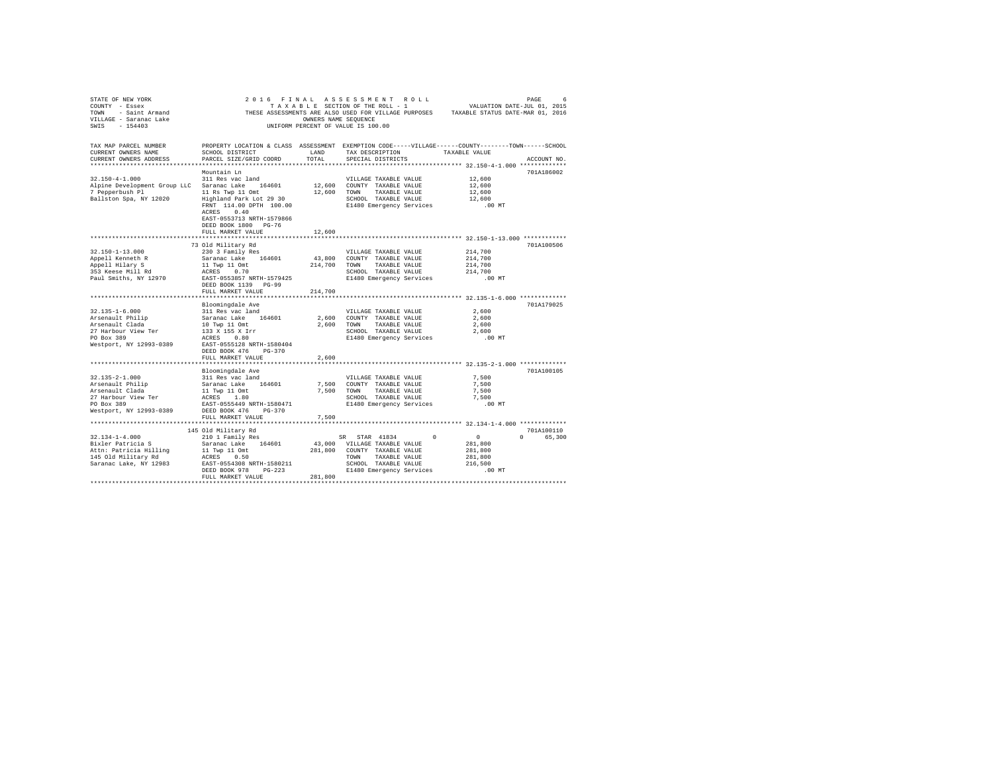| STATE OF REW YORK WAS ARRESTED ON THE RESULTED IN THE RELEASED ON THE SECTION OF THE ROLL 4 TO A LOCAL THE SECTION OF THE SECTION OF THE ROLL 4 TOWN THE-JUL 01, 2015<br>TOWN - Saint Armand THESE ASSESSMENTS ARE ALSO USED FOR<br>VILLAGE - Saranac Lake<br>SWIS - 154403                                                                                                                                                                     | UNIFORM PERCENT OF VALUE IS 100.00 | OWNERS NAME SEQUENCE |                              |                                                                                 |             |
|-------------------------------------------------------------------------------------------------------------------------------------------------------------------------------------------------------------------------------------------------------------------------------------------------------------------------------------------------------------------------------------------------------------------------------------------------|------------------------------------|----------------------|------------------------------|---------------------------------------------------------------------------------|-------------|
| TAX MAP PARCEL NUMBER     PROPERTY LOCATION & CLASS ASSESSMENT EXEMPTION CODE-----VILLAGE-----COUNTY-------TOWN------SCHOOL DISTRICT     LAND   TAX DESCRIPTION     TAXABLE VALUE<br>CURRENT OWNERS ADDRESS                                                                                                                                                                                                                                     | PARCEL SIZE/GRID COORD             | TOTAL                | SPECIAL DISTRICTS            |                                                                                 | ACCOUNT NO. |
|                                                                                                                                                                                                                                                                                                                                                                                                                                                 |                                    |                      |                              |                                                                                 |             |
|                                                                                                                                                                                                                                                                                                                                                                                                                                                 | Mountain Ln                        |                      |                              |                                                                                 | 701A186002  |
|                                                                                                                                                                                                                                                                                                                                                                                                                                                 |                                    |                      | VILLAGE TAXABLE VALUE 12,600 |                                                                                 |             |
|                                                                                                                                                                                                                                                                                                                                                                                                                                                 |                                    |                      |                              | 12,600                                                                          |             |
|                                                                                                                                                                                                                                                                                                                                                                                                                                                 |                                    |                      |                              |                                                                                 |             |
|                                                                                                                                                                                                                                                                                                                                                                                                                                                 |                                    |                      |                              |                                                                                 |             |
|                                                                                                                                                                                                                                                                                                                                                                                                                                                 |                                    |                      |                              | 12,600<br>12,600<br>.00 MT                                                      |             |
|                                                                                                                                                                                                                                                                                                                                                                                                                                                 | ACRES 0.40                         |                      |                              |                                                                                 |             |
|                                                                                                                                                                                                                                                                                                                                                                                                                                                 | EAST-0553713 NRTH-1579866          |                      |                              |                                                                                 |             |
|                                                                                                                                                                                                                                                                                                                                                                                                                                                 | DEED BOOK 1800 PG-76               |                      |                              |                                                                                 |             |
|                                                                                                                                                                                                                                                                                                                                                                                                                                                 | FULL MARKET VALUE                  | 12,600               |                              |                                                                                 |             |
|                                                                                                                                                                                                                                                                                                                                                                                                                                                 |                                    |                      |                              |                                                                                 |             |
|                                                                                                                                                                                                                                                                                                                                                                                                                                                 | 73 Old Military Rd                 |                      |                              |                                                                                 | 701A100506  |
|                                                                                                                                                                                                                                                                                                                                                                                                                                                 |                                    |                      |                              |                                                                                 |             |
|                                                                                                                                                                                                                                                                                                                                                                                                                                                 |                                    |                      |                              |                                                                                 |             |
|                                                                                                                                                                                                                                                                                                                                                                                                                                                 |                                    |                      |                              |                                                                                 |             |
|                                                                                                                                                                                                                                                                                                                                                                                                                                                 |                                    |                      |                              |                                                                                 |             |
|                                                                                                                                                                                                                                                                                                                                                                                                                                                 |                                    |                      |                              |                                                                                 |             |
|                                                                                                                                                                                                                                                                                                                                                                                                                                                 | DEED BOOK 1139 PG-99               |                      |                              |                                                                                 |             |
|                                                                                                                                                                                                                                                                                                                                                                                                                                                 | FULL MARKET VALUE                  | 214,700              |                              |                                                                                 |             |
|                                                                                                                                                                                                                                                                                                                                                                                                                                                 |                                    |                      |                              |                                                                                 |             |
|                                                                                                                                                                                                                                                                                                                                                                                                                                                 | Bloomingdale Ave                   |                      |                              |                                                                                 | 701A179025  |
| $32.135 - 1 - 6.000$                                                                                                                                                                                                                                                                                                                                                                                                                            | 311 Res vac land                   |                      | VILLAGE TAXABLE VALUE        | 2,600                                                                           |             |
|                                                                                                                                                                                                                                                                                                                                                                                                                                                 |                                    |                      |                              | 2,600                                                                           |             |
|                                                                                                                                                                                                                                                                                                                                                                                                                                                 |                                    |                      |                              | 2,600                                                                           |             |
|                                                                                                                                                                                                                                                                                                                                                                                                                                                 |                                    |                      | SCHOOL TAXABLE VALUE         | 2,600                                                                           |             |
|                                                                                                                                                                                                                                                                                                                                                                                                                                                 |                                    |                      | E1480 Emergency Services     | .00 MT                                                                          |             |
| $\begin{tabular}{l c c c c} \multicolumn{1}{c}{\textbf{311} Res} & \multicolumn{1}{c}{\textbf{311} Res} & \multicolumn{1}{c}{\textbf{311} Res} & \multicolumn{1}{c}{\textbf{311} Res} & \multicolumn{1}{c}{\textbf{311} Res} & \multicolumn{1}{c}{\textbf{311} Res} & \multicolumn{1}{c}{\textbf{311} Res} & \multicolumn{1}{c}{\textbf{311} Res} & \multicolumn{1}{c}{\textbf{311} Res} & \multicolumn{1}{c}{\textbf{311} Res} & \multicolumn$ |                                    |                      |                              |                                                                                 |             |
|                                                                                                                                                                                                                                                                                                                                                                                                                                                 | DEED BOOK 476 PG-370               |                      |                              |                                                                                 |             |
|                                                                                                                                                                                                                                                                                                                                                                                                                                                 | FULL MARKET VALUE                  | 2,600                |                              |                                                                                 |             |
|                                                                                                                                                                                                                                                                                                                                                                                                                                                 |                                    |                      |                              | ***************************** 32.135-2-1.000 *************                      |             |
|                                                                                                                                                                                                                                                                                                                                                                                                                                                 | Bloomingdale Ave                   |                      |                              |                                                                                 | 701A100105  |
|                                                                                                                                                                                                                                                                                                                                                                                                                                                 |                                    |                      |                              | 7,500                                                                           |             |
|                                                                                                                                                                                                                                                                                                                                                                                                                                                 |                                    |                      |                              | 7.500                                                                           |             |
|                                                                                                                                                                                                                                                                                                                                                                                                                                                 |                                    |                      |                              | 7.500                                                                           |             |
|                                                                                                                                                                                                                                                                                                                                                                                                                                                 |                                    |                      |                              | SCHOOL TAXABLE VALUE<br>SCHOOL TAXABLE VALUE<br>E1480 Emergency Services .00 MT |             |
|                                                                                                                                                                                                                                                                                                                                                                                                                                                 |                                    |                      |                              |                                                                                 |             |
| Westport, NY 12993-0389 DEED BOOK 476 PG-370                                                                                                                                                                                                                                                                                                                                                                                                    |                                    |                      |                              |                                                                                 |             |
|                                                                                                                                                                                                                                                                                                                                                                                                                                                 | FULL MARKET VALUE                  | 7,500                |                              |                                                                                 |             |
|                                                                                                                                                                                                                                                                                                                                                                                                                                                 |                                    |                      |                              |                                                                                 |             |
|                                                                                                                                                                                                                                                                                                                                                                                                                                                 | 145 Old Military Rd                |                      |                              |                                                                                 | 701A100110  |
|                                                                                                                                                                                                                                                                                                                                                                                                                                                 |                                    |                      |                              |                                                                                 |             |
| $\begin{tabular}{l c c c c c c c c} \multicolumn{1}{c}{32.134-1-4.000} & \multicolumn{1}{c}{45.016} \multicolumn{1}{c}{145.016} \multicolumn{1}{c}{145.016} \multicolumn{1}{c}{145.016} \multicolumn{1}{c}{145.016} \multicolumn{1}{c}{145.016} \multicolumn{1}{c}{145.016} \multicolumn{1}{c}{145.016} \multicolumn{1}{c}{145.016} \multicolumn{1}{c}{145.016} \mult$                                                                          |                                    |                      |                              |                                                                                 |             |
|                                                                                                                                                                                                                                                                                                                                                                                                                                                 |                                    |                      |                              |                                                                                 |             |
|                                                                                                                                                                                                                                                                                                                                                                                                                                                 |                                    |                      |                              |                                                                                 |             |
|                                                                                                                                                                                                                                                                                                                                                                                                                                                 |                                    |                      |                              |                                                                                 |             |
|                                                                                                                                                                                                                                                                                                                                                                                                                                                 |                                    |                      |                              |                                                                                 |             |
|                                                                                                                                                                                                                                                                                                                                                                                                                                                 | FULL MARKET VALUE 281.800          |                      |                              |                                                                                 |             |
|                                                                                                                                                                                                                                                                                                                                                                                                                                                 |                                    |                      |                              |                                                                                 |             |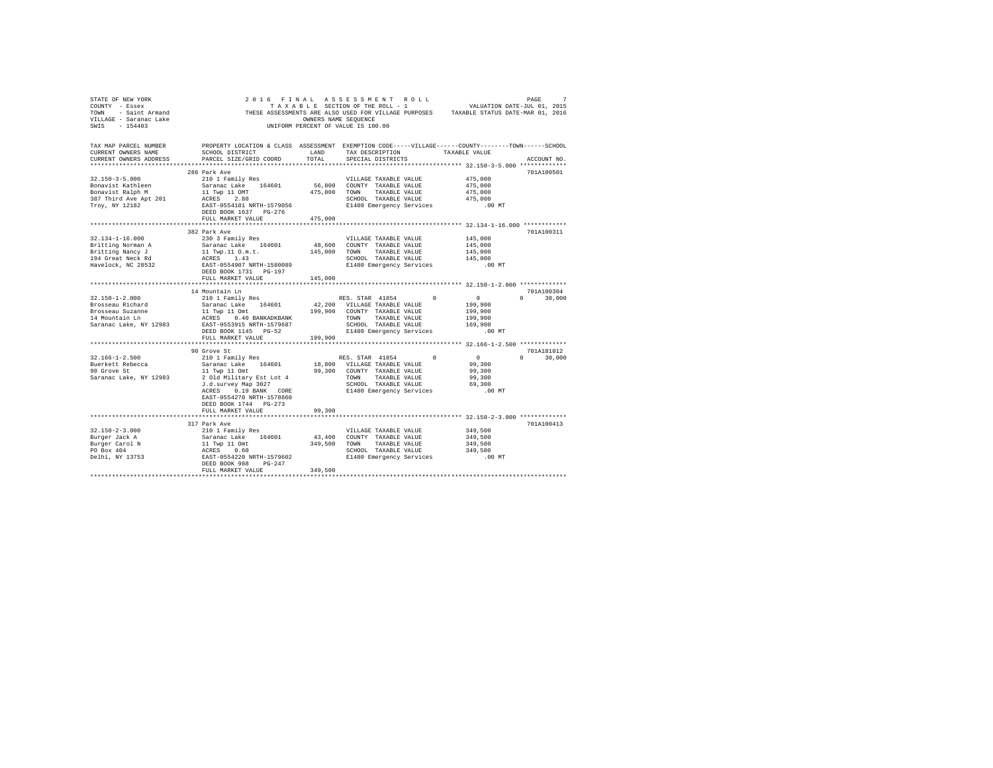| STATE OF NEW YORK                                                                                                                                                                                                                                                                                                                                                               |                                                                                                                                                                                                                                        |         | 2016 FINAL ASSESSMENT ROLL                                           | PAGE 7<br>VALUATION DATE-JUL 01, 2015 |               |  |
|---------------------------------------------------------------------------------------------------------------------------------------------------------------------------------------------------------------------------------------------------------------------------------------------------------------------------------------------------------------------------------|----------------------------------------------------------------------------------------------------------------------------------------------------------------------------------------------------------------------------------------|---------|----------------------------------------------------------------------|---------------------------------------|---------------|--|
| COUNTY - Essex                                                                                                                                                                                                                                                                                                                                                                  |                                                                                                                                                                                                                                        |         | TAXABLE SECTION OF THE ROLL - 1                                      |                                       |               |  |
| COUNTY - ESSEX CORRECT THE SECTION OF THE SECTION OF THE SECTION OF A SECTION OF SAINT ACTION OF SAMPLE STRANGE STATUS DATE-MAR 01, 2016<br>THESE ASSESSMENT ARE CONNERS NAME SEQUENCE<br>THESE ASSESSMENT OF VALUE IS 100.00<br>SMIS -                                                                                                                                         |                                                                                                                                                                                                                                        |         |                                                                      |                                       |               |  |
|                                                                                                                                                                                                                                                                                                                                                                                 |                                                                                                                                                                                                                                        |         |                                                                      |                                       |               |  |
|                                                                                                                                                                                                                                                                                                                                                                                 |                                                                                                                                                                                                                                        |         |                                                                      |                                       |               |  |
|                                                                                                                                                                                                                                                                                                                                                                                 |                                                                                                                                                                                                                                        |         |                                                                      |                                       |               |  |
|                                                                                                                                                                                                                                                                                                                                                                                 |                                                                                                                                                                                                                                        |         |                                                                      |                                       |               |  |
| TAX MAP PARCEL NUMBER THE PROPERTY LOCATION & CLASS ASSESSMENT EXEMPTION CODE-----VILLAGE-----COUNTY-------TOWN------SCHOOL                                                                                                                                                                                                                                                     |                                                                                                                                                                                                                                        |         |                                                                      |                                       |               |  |
| CURRENT OWNERS NAME                                                                                                                                                                                                                                                                                                                                                             | SCHOOL DISTRICT LAND                                                                                                                                                                                                                   |         | TAX DESCRIPTION TAXABLE VALUE                                        |                                       |               |  |
| CURRENT OWNERS ADDRESS                                                                                                                                                                                                                                                                                                                                                          | PARCEL SIZE/GRID COORD TOTAL                                                                                                                                                                                                           |         | SPECIAL DISTRICTS                                                    |                                       | ACCOUNT NO.   |  |
|                                                                                                                                                                                                                                                                                                                                                                                 |                                                                                                                                                                                                                                        |         |                                                                      |                                       |               |  |
|                                                                                                                                                                                                                                                                                                                                                                                 | 286 Park Ave                                                                                                                                                                                                                           |         |                                                                      |                                       | 701A100501    |  |
| $32.150 - 3 - 5.000$                                                                                                                                                                                                                                                                                                                                                            | 210 1 Family Res                                                                                                                                                                                                                       |         | VILLAGE TAXABLE VALUE                                                | 475,000                               |               |  |
|                                                                                                                                                                                                                                                                                                                                                                                 | Saranac Lake 164601 56,800 COUNTY TAXABLE VALUE                                                                                                                                                                                        |         |                                                                      | 475,000                               |               |  |
| Bonavist Kathleen<br>Bonavist Ralph M                                                                                                                                                                                                                                                                                                                                           |                                                                                                                                                                                                                                        |         |                                                                      |                                       |               |  |
| 387 Third Ave Apt 201<br>Troy, NY 12182                                                                                                                                                                                                                                                                                                                                         |                                                                                                                                                                                                                                        |         |                                                                      |                                       |               |  |
|                                                                                                                                                                                                                                                                                                                                                                                 |                                                                                                                                                                                                                                        |         |                                                                      |                                       |               |  |
|                                                                                                                                                                                                                                                                                                                                                                                 |                                                                                                                                                                                                                                        |         |                                                                      |                                       |               |  |
|                                                                                                                                                                                                                                                                                                                                                                                 | FULL MARKET VALUE                                                                                                                                                                                                                      | 475,000 |                                                                      |                                       |               |  |
|                                                                                                                                                                                                                                                                                                                                                                                 |                                                                                                                                                                                                                                        |         |                                                                      |                                       |               |  |
|                                                                                                                                                                                                                                                                                                                                                                                 | 382 Park Ave                                                                                                                                                                                                                           |         |                                                                      |                                       | 701A100311    |  |
| $32.134 - 1 - 16.000$                                                                                                                                                                                                                                                                                                                                                           | 230 3 Family Res                                                                                                                                                                                                                       |         | VILLAGE TAXABLE VALUE                                                | 145,000                               |               |  |
|                                                                                                                                                                                                                                                                                                                                                                                 |                                                                                                                                                                                                                                        |         |                                                                      | 145,000                               |               |  |
| Britting Norman A<br>Britting Nancy J<br>194 Great Neck Rd                                                                                                                                                                                                                                                                                                                      | Noting the 164601 and MONULAGE TARABLE VALUE<br>Saranac Lake 164601 48,600 COUNTY TAXABLE VALUE<br>11 Twp.11 O.m.t. 145,000 TOWN TAXABLE VALUE<br>RATE-0554907 NRTH-1580089 SCHOOL TAXABLE VALUE<br>ERST-0554907 NRTH-1580089 E1480 Em |         |                                                                      | 145,000                               |               |  |
|                                                                                                                                                                                                                                                                                                                                                                                 |                                                                                                                                                                                                                                        |         |                                                                      | 145,000                               |               |  |
| Havelock, NC 28532                                                                                                                                                                                                                                                                                                                                                              |                                                                                                                                                                                                                                        |         |                                                                      | .00 MT                                |               |  |
|                                                                                                                                                                                                                                                                                                                                                                                 |                                                                                                                                                                                                                                        |         |                                                                      |                                       |               |  |
|                                                                                                                                                                                                                                                                                                                                                                                 | FULL MARKET VALUE 145,000                                                                                                                                                                                                              |         |                                                                      |                                       |               |  |
|                                                                                                                                                                                                                                                                                                                                                                                 |                                                                                                                                                                                                                                        |         |                                                                      |                                       |               |  |
|                                                                                                                                                                                                                                                                                                                                                                                 | 14 Mountain Ln                                                                                                                                                                                                                         |         |                                                                      |                                       | 701A100304    |  |
|                                                                                                                                                                                                                                                                                                                                                                                 |                                                                                                                                                                                                                                        |         |                                                                      |                                       | $0 \t 30.000$ |  |
|                                                                                                                                                                                                                                                                                                                                                                                 |                                                                                                                                                                                                                                        |         |                                                                      |                                       |               |  |
|                                                                                                                                                                                                                                                                                                                                                                                 |                                                                                                                                                                                                                                        |         |                                                                      |                                       |               |  |
|                                                                                                                                                                                                                                                                                                                                                                                 |                                                                                                                                                                                                                                        |         |                                                                      |                                       |               |  |
| $\begin{tabular}{l c c c c c} \multicolumn{3}{c}{32.150-1-2.000} & \multicolumn{3}{c}{42.001118mm/m} & \multicolumn{3}{c}{11.0118mm/m} & \multicolumn{3}{c}{11.0118mm/m} & \multicolumn{3}{c}{11.0118mm/m} & \multicolumn{3}{c}{11.0118mm/m} & \multicolumn{3}{c}{11.0118mm/m} & \multicolumn{3}{c}{11.0118mm} & \multicolumn{3}{c}{11.018mm} & \multicolumn{3}{c}{11.018mm} &$ |                                                                                                                                                                                                                                        |         |                                                                      |                                       |               |  |
|                                                                                                                                                                                                                                                                                                                                                                                 |                                                                                                                                                                                                                                        |         |                                                                      | .00 MT                                |               |  |
|                                                                                                                                                                                                                                                                                                                                                                                 | FULL MARKET VALUE 199,900                                                                                                                                                                                                              |         |                                                                      |                                       |               |  |
|                                                                                                                                                                                                                                                                                                                                                                                 |                                                                                                                                                                                                                                        |         |                                                                      |                                       |               |  |
|                                                                                                                                                                                                                                                                                                                                                                                 | 90 Grove St                                                                                                                                                                                                                            |         |                                                                      |                                       | 701A181012    |  |
| $32.166 - 1 - 2.500$                                                                                                                                                                                                                                                                                                                                                            |                                                                                                                                                                                                                                        |         | RES. STAR 41854 0 0                                                  |                                       | $0 \t 30,000$ |  |
| Buerkett Rebecca<br>90 Grove St                                                                                                                                                                                                                                                                                                                                                 |                                                                                                                                                                                                                                        |         |                                                                      |                                       |               |  |
|                                                                                                                                                                                                                                                                                                                                                                                 |                                                                                                                                                                                                                                        |         |                                                                      |                                       |               |  |
| Saranac Lake, NY 12983                                                                                                                                                                                                                                                                                                                                                          |                                                                                                                                                                                                                                        |         |                                                                      |                                       |               |  |
|                                                                                                                                                                                                                                                                                                                                                                                 |                                                                                                                                                                                                                                        |         |                                                                      |                                       |               |  |
|                                                                                                                                                                                                                                                                                                                                                                                 |                                                                                                                                                                                                                                        |         |                                                                      |                                       |               |  |
|                                                                                                                                                                                                                                                                                                                                                                                 | EAST-0554270 NRTH-1578860                                                                                                                                                                                                              |         |                                                                      |                                       |               |  |
|                                                                                                                                                                                                                                                                                                                                                                                 | DEED BOOK 1744 PG-273                                                                                                                                                                                                                  |         |                                                                      |                                       |               |  |
|                                                                                                                                                                                                                                                                                                                                                                                 | FULL MARKET VALUE                                                                                                                                                                                                                      | 99,300  |                                                                      |                                       |               |  |
|                                                                                                                                                                                                                                                                                                                                                                                 |                                                                                                                                                                                                                                        |         |                                                                      |                                       |               |  |
|                                                                                                                                                                                                                                                                                                                                                                                 | 317 Park Ave                                                                                                                                                                                                                           |         |                                                                      |                                       | 701A100413    |  |
|                                                                                                                                                                                                                                                                                                                                                                                 |                                                                                                                                                                                                                                        |         |                                                                      |                                       |               |  |
|                                                                                                                                                                                                                                                                                                                                                                                 |                                                                                                                                                                                                                                        |         |                                                                      | 349,500<br>349,500                    |               |  |
|                                                                                                                                                                                                                                                                                                                                                                                 |                                                                                                                                                                                                                                        |         |                                                                      | 349,500                               |               |  |
|                                                                                                                                                                                                                                                                                                                                                                                 |                                                                                                                                                                                                                                        |         | SCHOOL TAXABLE VALUE 2149,500<br>E1480 Emergency Services 349,500 MT |                                       |               |  |
|                                                                                                                                                                                                                                                                                                                                                                                 |                                                                                                                                                                                                                                        |         |                                                                      |                                       |               |  |
|                                                                                                                                                                                                                                                                                                                                                                                 |                                                                                                                                                                                                                                        |         |                                                                      |                                       |               |  |
|                                                                                                                                                                                                                                                                                                                                                                                 | FULL MARKET VALUE                                                                                                                                                                                                                      | 349,500 |                                                                      |                                       |               |  |
|                                                                                                                                                                                                                                                                                                                                                                                 |                                                                                                                                                                                                                                        |         |                                                                      |                                       |               |  |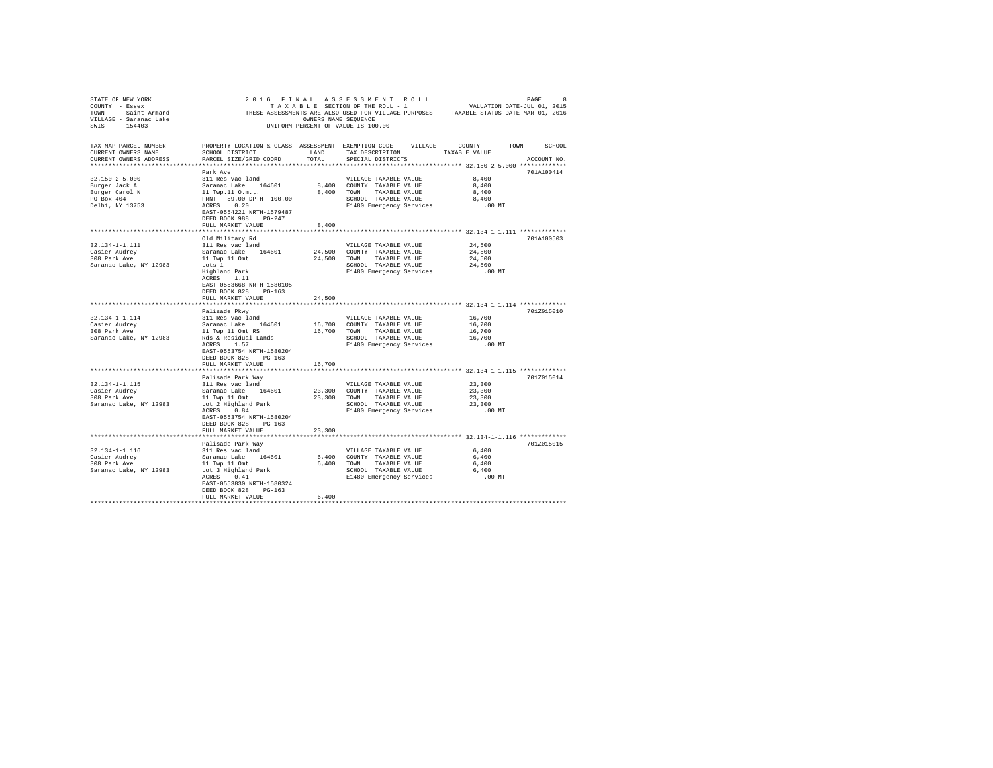| STATE OF NEW YORK                                                                                                                                                                                                                                  |                                                                                                              |                      |                                                  | $2 0 1 6 FINAL AS SESSMENT ROLL PROIL PROED 8\nTAXABLE SETION OF THE ROLL - 1\nVALUATION DATE-JUL 01, 2015$ |             |
|----------------------------------------------------------------------------------------------------------------------------------------------------------------------------------------------------------------------------------------------------|--------------------------------------------------------------------------------------------------------------|----------------------|--------------------------------------------------|-------------------------------------------------------------------------------------------------------------|-------------|
| $\begin{array}{lll} \texttt{COUNT} & -& \texttt{Esesex} \\ \texttt{TOWN} & -& \texttt{Saint Armand} \\ \texttt{VILLIAGE} & -& \texttt{Saranac Lake} \\ & & \texttt{SAA12} \end{array} \hspace{1.5cm} \begin{array}{ll} \texttt{THESE} \end{array}$ |                                                                                                              |                      |                                                  | THESE ASSESSMENTS ARE ALSO USED FOR VILLAGE PURPOSES TAXABLE STATUS DATE-MAR 01, 2016                       |             |
|                                                                                                                                                                                                                                                    |                                                                                                              | OWNERS NAME SEOUENCE |                                                  |                                                                                                             |             |
|                                                                                                                                                                                                                                                    |                                                                                                              |                      | UNIFORM PERCENT OF VALUE IS 100.00               |                                                                                                             |             |
|                                                                                                                                                                                                                                                    |                                                                                                              |                      |                                                  |                                                                                                             |             |
| TAX MAP PARCEL NUMBER                                                                                                                                                                                                                              | PROPERTY LOCATION & CLASS ASSESSMENT EXEMPTION CODE-----VILLAGE------COUNTY-------TOWN------SCHOOL           |                      |                                                  |                                                                                                             |             |
| CURRENT OWNERS NAME                                                                                                                                                                                                                                | SCHOOL DISTRICT                                                                                              | LAND                 | TAX DESCRIPTION TAXABLE VALUE                    |                                                                                                             |             |
| CURRENT OWNERS ADDRESS                                                                                                                                                                                                                             | PARCEL SIZE/GRID COORD                                                                                       | TOTAL                | SPECIAL DISTRICTS                                |                                                                                                             | ACCOUNT NO. |
|                                                                                                                                                                                                                                                    |                                                                                                              |                      |                                                  |                                                                                                             |             |
|                                                                                                                                                                                                                                                    | Park Ave                                                                                                     |                      |                                                  |                                                                                                             | 701A100414  |
| 32.150-2-5.000                                                                                                                                                                                                                                     | 311 Res vac land                                                                                             |                      | VILLAGE TAXABLE VALUE                            | 8,400                                                                                                       |             |
|                                                                                                                                                                                                                                                    |                                                                                                              |                      | 8,400 COUNTY TAXABLE VALUE                       | 8,400                                                                                                       |             |
| Burger Jack A<br>Burger Carol N                                                                                                                                                                                                                    |                                                                                                              |                      | 8,400 TOWN TAXABLE VALUE                         | 8,400                                                                                                       |             |
| PO Box 404                                                                                                                                                                                                                                         | Saranac Lake 164601<br>11 Twp.11 0.m.t.<br>FRNT 59.00 DPTH 100.00<br>ACRES 0.20<br>EAST-0554221 NRTH-1579487 |                      | SCHOOL TAXABLE VALUE                             | 8,400                                                                                                       |             |
| Delhi, NY 13753                                                                                                                                                                                                                                    |                                                                                                              |                      | E1480 Emergency Services                         | $.00$ MT                                                                                                    |             |
|                                                                                                                                                                                                                                                    |                                                                                                              |                      |                                                  |                                                                                                             |             |
|                                                                                                                                                                                                                                                    | DEED BOOK 988 PG-247                                                                                         |                      |                                                  |                                                                                                             |             |
|                                                                                                                                                                                                                                                    | FULL MARKET VALUE                                                                                            | 8,400                |                                                  |                                                                                                             |             |
|                                                                                                                                                                                                                                                    |                                                                                                              |                      |                                                  |                                                                                                             |             |
|                                                                                                                                                                                                                                                    |                                                                                                              |                      |                                                  |                                                                                                             |             |
|                                                                                                                                                                                                                                                    | Old Military Rd                                                                                              |                      |                                                  |                                                                                                             | 701A100503  |
| 32.134-1-1.111                                                                                                                                                                                                                                     | 311 Res vac land                                                                                             |                      | VILLAGE TAXABLE VALUE                            | 24,500                                                                                                      |             |
| Casier Audrey<br>308 Park Ave                                                                                                                                                                                                                      | Saranac Lake 164601                                                                                          |                      | 24,500 COUNTY TAXABLE VALUE                      | 24,500                                                                                                      |             |
|                                                                                                                                                                                                                                                    | 11 Twp 11 Omt                                                                                                |                      | 24,500 TOWN TAXABLE VALUE                        | 24,500                                                                                                      |             |
| Saranac Lake, NY 12983                                                                                                                                                                                                                             | Lots 1                                                                                                       |                      | SCHOOL TAXABLE VALUE                             | 24,500                                                                                                      |             |
|                                                                                                                                                                                                                                                    | Highland Park<br>ACRES 1.11                                                                                  |                      | E1480 Emergency Services                         | $.00$ MT                                                                                                    |             |
|                                                                                                                                                                                                                                                    |                                                                                                              |                      |                                                  |                                                                                                             |             |
|                                                                                                                                                                                                                                                    | EAST-0553668 NRTH-1580105                                                                                    |                      |                                                  |                                                                                                             |             |
|                                                                                                                                                                                                                                                    | DEED BOOK 828 PG-163                                                                                         |                      |                                                  |                                                                                                             |             |
|                                                                                                                                                                                                                                                    | FULL MARKET VALUE                                                                                            | 24,500               |                                                  |                                                                                                             |             |
|                                                                                                                                                                                                                                                    |                                                                                                              |                      |                                                  |                                                                                                             |             |
|                                                                                                                                                                                                                                                    | Palisade Pkwv                                                                                                |                      |                                                  |                                                                                                             | 701Z015010  |
| 32.134-1-1.114                                                                                                                                                                                                                                     | 311 Res vac land                                                                                             |                      | VILLAGE TAXABLE VALUE                            | 16,700                                                                                                      |             |
|                                                                                                                                                                                                                                                    |                                                                                                              |                      |                                                  | 16,700                                                                                                      |             |
|                                                                                                                                                                                                                                                    |                                                                                                              |                      |                                                  | 16,700                                                                                                      |             |
|                                                                                                                                                                                                                                                    |                                                                                                              |                      | SCHOOL TAXABLE VALUE                             | 16,700                                                                                                      |             |
|                                                                                                                                                                                                                                                    |                                                                                                              |                      | E1480 Emergency Services                         | .00 MT                                                                                                      |             |
|                                                                                                                                                                                                                                                    | EAST-0553754 NRTH-1580204                                                                                    |                      |                                                  |                                                                                                             |             |
|                                                                                                                                                                                                                                                    | DEED BOOK 828 PG-163                                                                                         |                      |                                                  |                                                                                                             |             |
|                                                                                                                                                                                                                                                    | FULL MARKET VALUE                                                                                            | 16,700               |                                                  |                                                                                                             |             |
|                                                                                                                                                                                                                                                    |                                                                                                              |                      |                                                  |                                                                                                             |             |
|                                                                                                                                                                                                                                                    | Palisade Park Way                                                                                            |                      |                                                  |                                                                                                             | 701Z015014  |
| 32.134-1-1.115                                                                                                                                                                                                                                     | raiisade rark way<br>311 Res vac land                                                                        |                      | VILLAGE TAXABLE VALUE                            | 23,300                                                                                                      |             |
|                                                                                                                                                                                                                                                    |                                                                                                              |                      |                                                  | 23,300                                                                                                      |             |
|                                                                                                                                                                                                                                                    |                                                                                                              |                      |                                                  | 23,300                                                                                                      |             |
|                                                                                                                                                                                                                                                    |                                                                                                              |                      |                                                  | 23,300                                                                                                      |             |
|                                                                                                                                                                                                                                                    |                                                                                                              |                      | E1480 Emergency Services                         | .00 MT                                                                                                      |             |
|                                                                                                                                                                                                                                                    | EAST-0553754 NRTH-1580204                                                                                    |                      |                                                  |                                                                                                             |             |
|                                                                                                                                                                                                                                                    | DEED BOOK 828 PG-163                                                                                         |                      |                                                  |                                                                                                             |             |
|                                                                                                                                                                                                                                                    | FULL MARKET VALUE                                                                                            | 23,300               |                                                  |                                                                                                             |             |
|                                                                                                                                                                                                                                                    |                                                                                                              |                      |                                                  | *************************** 32.134-1-1.116 *************                                                    |             |
|                                                                                                                                                                                                                                                    | Palisade Park Way                                                                                            |                      |                                                  |                                                                                                             | 701Z015015  |
| 32.134-1-1.116                                                                                                                                                                                                                                     | 311 Res vac land                                                                                             |                      | VILLAGE TAXABLE VALUE                            | 6,400                                                                                                       |             |
|                                                                                                                                                                                                                                                    |                                                                                                              |                      |                                                  |                                                                                                             |             |
| Casier Audrey Saranac Lake 164601 6,40<br>2009 Park Ave 11 Twp 11 Omt 6,40<br>Saranac Lake, NY 12983 Lot 3 Highland Park 6,40<br>Lot 3 Highland Park 6,40                                                                                          |                                                                                                              |                      | 6,400 COUNTY TAXABLE VALUE                       | 6,400<br>6,400                                                                                              |             |
|                                                                                                                                                                                                                                                    |                                                                                                              |                      | 6,400 TOWN TAXABLE VALUE<br>SCHOOL TAXABLE VALUE |                                                                                                             |             |
|                                                                                                                                                                                                                                                    |                                                                                                              |                      |                                                  | 6,400                                                                                                       |             |
|                                                                                                                                                                                                                                                    |                                                                                                              |                      | E1480 Emergency Services                         | .00 MT                                                                                                      |             |
|                                                                                                                                                                                                                                                    | EAST-0553830 NRTH-1580324                                                                                    |                      |                                                  |                                                                                                             |             |
|                                                                                                                                                                                                                                                    | DEED BOOK 828 PG-163                                                                                         |                      |                                                  |                                                                                                             |             |
|                                                                                                                                                                                                                                                    | FULL MARKET VALUE                                                                                            | 6,400                |                                                  |                                                                                                             |             |
|                                                                                                                                                                                                                                                    |                                                                                                              |                      |                                                  |                                                                                                             |             |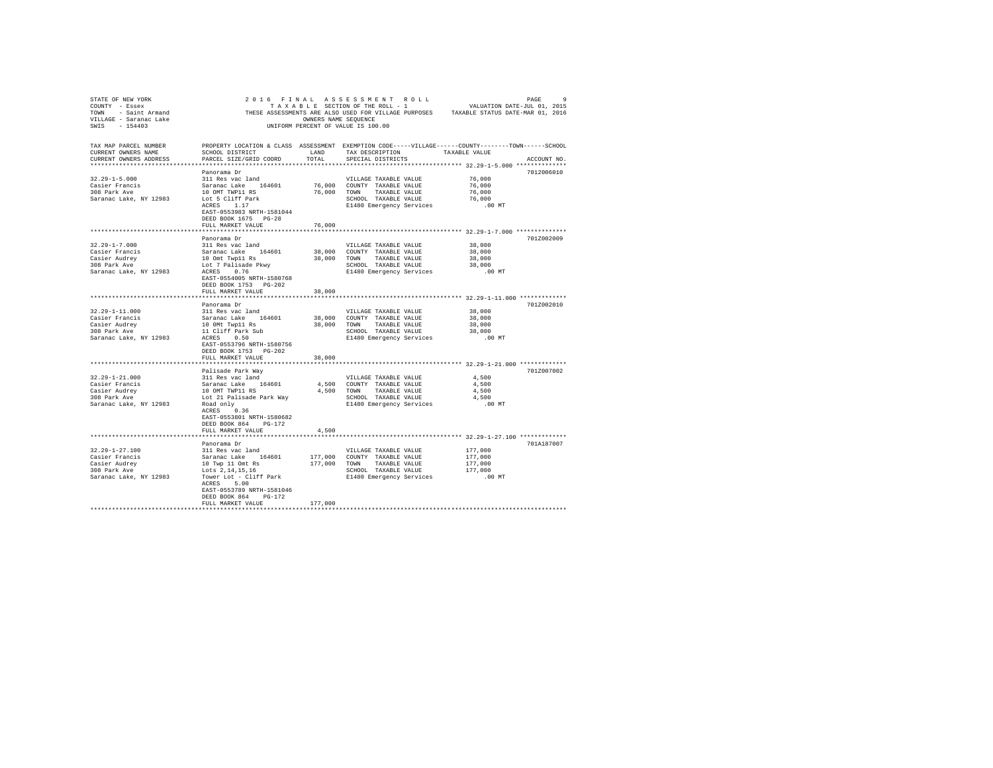| STATE OF REW YORK WAS ASSESSMENT AND LETTER OF THE ROLL - 1<br>TOWN - SAIR LETTER OF THE ROLL - 1<br>TOWN - SAIR ARE ALSO USED FOR VILLAGE PURPOSES<br>THESE ASSESSMENTS ARE ALSO USED FOR VILLAGE PURPOSES<br>TAXABLE STATUS DATE-MA                  |                                                                                                    |                         |                                                                                     |                                                                  |  |
|--------------------------------------------------------------------------------------------------------------------------------------------------------------------------------------------------------------------------------------------------------|----------------------------------------------------------------------------------------------------|-------------------------|-------------------------------------------------------------------------------------|------------------------------------------------------------------|--|
|                                                                                                                                                                                                                                                        |                                                                                                    |                         |                                                                                     |                                                                  |  |
|                                                                                                                                                                                                                                                        |                                                                                                    |                         |                                                                                     |                                                                  |  |
|                                                                                                                                                                                                                                                        |                                                                                                    |                         |                                                                                     |                                                                  |  |
|                                                                                                                                                                                                                                                        |                                                                                                    |                         |                                                                                     |                                                                  |  |
|                                                                                                                                                                                                                                                        |                                                                                                    |                         |                                                                                     |                                                                  |  |
|                                                                                                                                                                                                                                                        |                                                                                                    |                         |                                                                                     |                                                                  |  |
| TAX MAP PARCEL NUMBER                                                                                                                                                                                                                                  | PROPERTY LOCATION & CLASS ASSESSMENT EXEMPTION CODE-----VILLAGE------COUNTY-------TOWN------SCHOOL |                         | TAX DESCRIPTION TAXABLE VALUE                                                       |                                                                  |  |
| CURRENT OWNERS NAME                                                                                                                                                                                                                                    | SCHOOL DISTRICT                                                                                    | LAND                    |                                                                                     |                                                                  |  |
| CURRENT OWNERS ADDRESS PARCEL SIZE/GRID COORD                                                                                                                                                                                                          |                                                                                                    | TOTAL                   | SPECIAL DISTRICTS                                                                   | ACCOUNT NO.                                                      |  |
|                                                                                                                                                                                                                                                        |                                                                                                    |                         |                                                                                     |                                                                  |  |
|                                                                                                                                                                                                                                                        | Panorama Dr                                                                                        |                         |                                                                                     | 7012006010                                                       |  |
| $32.29 - 1 - 5.000$                                                                                                                                                                                                                                    | 311 Res vac land                                                                                   |                         | VILLAGE TAXABLE VALUE                                                               | 76,000<br>76,000                                                 |  |
|                                                                                                                                                                                                                                                        |                                                                                                    |                         | 76,000 COUNTY TAXABLE VALUE                                                         |                                                                  |  |
| Casier Francis<br>308 Park Ave 10 OMT TWP11 RS<br>318 Park Ave 10 OMT TWP11 RS<br>5aranac Lake, NY 12983 Lot 5 Cliff Park<br>ACRES 1.17                                                                                                                |                                                                                                    |                         | 76,000 TOWN TAXABLE VALUE                                                           | 76,000<br>76,000<br>00 MT.                                       |  |
|                                                                                                                                                                                                                                                        |                                                                                                    |                         | SCHOOL TAXABLE VALUE                                                                |                                                                  |  |
|                                                                                                                                                                                                                                                        | ACRES 1.17                                                                                         |                         | E1480 Emergency Services                                                            |                                                                  |  |
|                                                                                                                                                                                                                                                        | EAST-0553983 NRTH-1581044                                                                          |                         |                                                                                     |                                                                  |  |
|                                                                                                                                                                                                                                                        | DEED BOOK 1675 PG-28                                                                               |                         |                                                                                     |                                                                  |  |
|                                                                                                                                                                                                                                                        | FULL MARKET VALUE                                                                                  | 76,000                  |                                                                                     |                                                                  |  |
|                                                                                                                                                                                                                                                        |                                                                                                    |                         |                                                                                     | ********************************** 32.29-1-7.000 *************** |  |
|                                                                                                                                                                                                                                                        | Panorama Dr                                                                                        |                         |                                                                                     | 701Z002009                                                       |  |
| $32.29 - 1 - 7.000$                                                                                                                                                                                                                                    | 311 Res vac land                                                                                   |                         | VILLAGE TAXABLE VALUE                                                               | 38,000                                                           |  |
|                                                                                                                                                                                                                                                        |                                                                                                    |                         |                                                                                     | 38,000                                                           |  |
|                                                                                                                                                                                                                                                        |                                                                                                    |                         |                                                                                     | 38,000                                                           |  |
|                                                                                                                                                                                                                                                        |                                                                                                    |                         | SCHOOL TAXABLE VALUE                                                                |                                                                  |  |
| Casier Prancis (Saranac Lake 164601 38,000 COUNTY TAXABLE VALUE (Saier Audrey 10 Out Twp11 Rs 38,000 TOWN TAXABLE VALUE (Saier Audrey 10 Out Twp11 Rs 30,000 TOWN TAXABLE VALUE (SATE: A SCREE PRESS 0.76 SCREEN SCREEN SCREEN                         |                                                                                                    |                         | SCHOOL TAXABLE VALUE 38,000<br>E1480 Emergency Services .00 MT                      |                                                                  |  |
|                                                                                                                                                                                                                                                        | EAST-0554005 NRTH-1580768                                                                          |                         |                                                                                     |                                                                  |  |
|                                                                                                                                                                                                                                                        | DEED BOOK 1753 PG-202                                                                              |                         |                                                                                     |                                                                  |  |
|                                                                                                                                                                                                                                                        | FULL MARKET VALUE                                                                                  | 38,000                  |                                                                                     |                                                                  |  |
|                                                                                                                                                                                                                                                        |                                                                                                    |                         |                                                                                     |                                                                  |  |
|                                                                                                                                                                                                                                                        | Panorama Dr                                                                                        |                         |                                                                                     | 701Z002010                                                       |  |
| 32.29-1-11.000                                                                                                                                                                                                                                         | 311 Res vac land                                                                                   |                         | VILLAGE TAXABLE VALUE                                                               | 38,000                                                           |  |
|                                                                                                                                                                                                                                                        |                                                                                                    |                         | 38,000 COUNTY TAXABLE VALUE                                                         | 38,000                                                           |  |
| Casier Prancis<br>Saranac Lake 164601<br>2008 Park Ave 1000Mr Twp11 Bs<br>308 Park Ave 11 Cliff Park Sub<br>Saranac Lake, NY 12983<br>ACRES 0.50                                                                                                       |                                                                                                    |                         | 38,000 TOWN TAXABLE VALUE                                                           | 38,000                                                           |  |
|                                                                                                                                                                                                                                                        |                                                                                                    |                         |                                                                                     | 38,000                                                           |  |
|                                                                                                                                                                                                                                                        |                                                                                                    |                         | SCHOOL TAXABLE VALUE<br>E1480 Emergency Services<br>E1480 Emergency Services .00 MT |                                                                  |  |
|                                                                                                                                                                                                                                                        | EAST-0553796 NRTH-1580756                                                                          |                         |                                                                                     |                                                                  |  |
|                                                                                                                                                                                                                                                        | DEED BOOK 1753 PG-202                                                                              |                         |                                                                                     |                                                                  |  |
|                                                                                                                                                                                                                                                        | FULL MARKET VALUE                                                                                  | 38,000                  |                                                                                     |                                                                  |  |
|                                                                                                                                                                                                                                                        |                                                                                                    |                         |                                                                                     |                                                                  |  |
|                                                                                                                                                                                                                                                        | Palisade Park Way                                                                                  |                         |                                                                                     | 701Z007002                                                       |  |
| $32.29 - 1 - 21.000$                                                                                                                                                                                                                                   | 311 Res vac land                                                                                   |                         | VILLAGE TAXABLE VALUE                                                               | 4,500                                                            |  |
|                                                                                                                                                                                                                                                        |                                                                                                    |                         | VILLAGE TAXABLE VALUE<br>4,500 COUNTY TAXABLE VALUE                                 |                                                                  |  |
|                                                                                                                                                                                                                                                        |                                                                                                    |                         |                                                                                     |                                                                  |  |
|                                                                                                                                                                                                                                                        |                                                                                                    |                         |                                                                                     |                                                                  |  |
| Casier Prancis (1990)<br>Casier Prancis (1990)<br>Casier Rundes (1990)<br>Casier Audio (1990)<br>The Saranac Lake (1990)<br>2000 (2000)<br>TAXABLE VALUE (1990)<br>2009 Park Ave Lot 21 Palisade Park Way (1990)<br>2000 Park Ave Lot 21 Palisade Park |                                                                                                    |                         |                                                                                     |                                                                  |  |
|                                                                                                                                                                                                                                                        |                                                                                                    |                         |                                                                                     |                                                                  |  |
|                                                                                                                                                                                                                                                        | EAST-0553801 NRTH-1580682                                                                          |                         |                                                                                     |                                                                  |  |
|                                                                                                                                                                                                                                                        | DEED BOOK 864 PG-172                                                                               |                         |                                                                                     |                                                                  |  |
|                                                                                                                                                                                                                                                        | FULL MARKET VALUE                                                                                  | 4,500                   |                                                                                     |                                                                  |  |
|                                                                                                                                                                                                                                                        |                                                                                                    | *************           |                                                                                     | ***************************** 32.29-1-27.100 *************       |  |
|                                                                                                                                                                                                                                                        | Panorama Dr                                                                                        |                         |                                                                                     | 701A187007                                                       |  |
| $32.29 - 1 - 27.100$                                                                                                                                                                                                                                   | 311 Res vac land                                                                                   |                         |                                                                                     |                                                                  |  |
| Casier Francis                                                                                                                                                                                                                                         |                                                                                                    |                         | VILLAGE TAXABLE VALUE<br>177,000 COUNTY TAXABLE VALUE                               | 177,000<br>177,000                                               |  |
|                                                                                                                                                                                                                                                        |                                                                                                    |                         | TAXABLE VALUE                                                                       | 177,000                                                          |  |
| Casier Audrey<br>308 Park Ave                                                                                                                                                                                                                          | Saranac Lake 164601<br>10 Twp 11 Omt Rs<br>Lots 2, 14, 15, 16                                      | 177,000 TOWN            |                                                                                     |                                                                  |  |
| Saranac Lake, NY 12983 Tower Lot - Cliff Park                                                                                                                                                                                                          |                                                                                                    |                         | SCHOOL TAXABLE VALUE 177,000<br>E1480 Emergency Services .00 MT                     |                                                                  |  |
|                                                                                                                                                                                                                                                        | ACRES 5.00                                                                                         |                         |                                                                                     |                                                                  |  |
|                                                                                                                                                                                                                                                        |                                                                                                    |                         |                                                                                     |                                                                  |  |
|                                                                                                                                                                                                                                                        | EAST-0553789 NRTH-1581046                                                                          |                         |                                                                                     |                                                                  |  |
|                                                                                                                                                                                                                                                        | DEED BOOK 864 PG-172                                                                               |                         |                                                                                     |                                                                  |  |
|                                                                                                                                                                                                                                                        | FULL MARKET VALUE                                                                                  | 177,000<br>************ |                                                                                     |                                                                  |  |
|                                                                                                                                                                                                                                                        |                                                                                                    |                         |                                                                                     |                                                                  |  |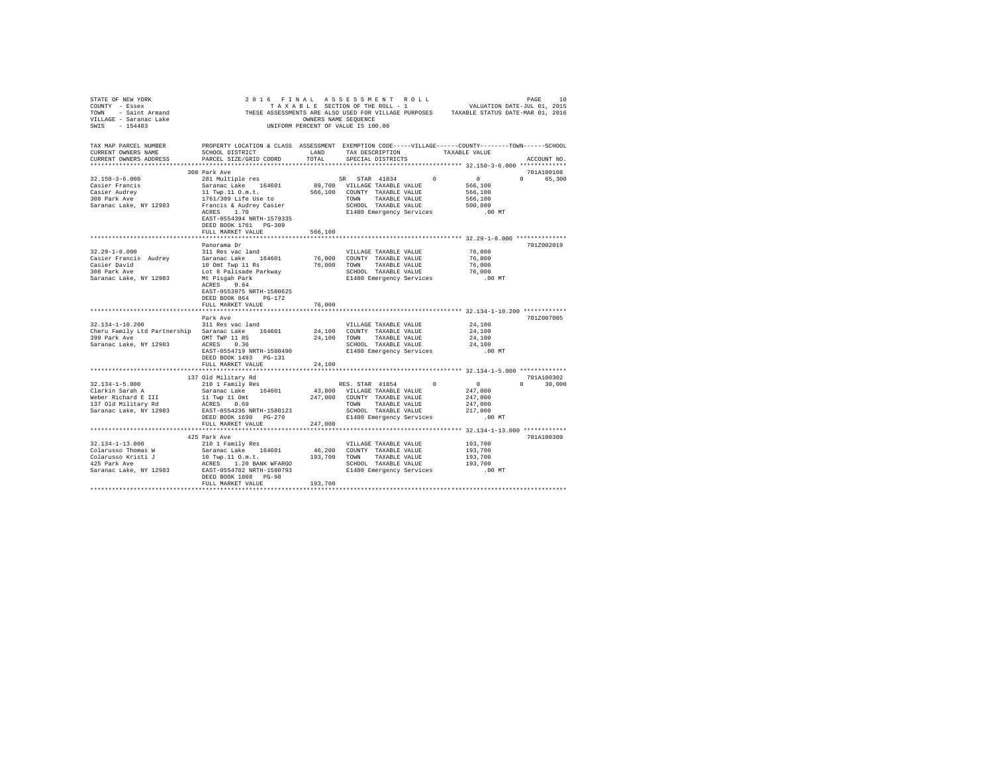| TAX MAP PARCEL NUMBER<br>CURRENT OWNERS NAME<br>CURRENT OWNERS ADDRESS                                                                                                                                                                                                                                                                                                                                                                                                       | PROPERTY LOCATION & CLASS ASSESSMENT EXEMPTION CODE-----VILLAGE------COUNTY-------TOWN------SCHOOL             |               |                       |                                |                  | ACCOUNT NO.                                        |
|------------------------------------------------------------------------------------------------------------------------------------------------------------------------------------------------------------------------------------------------------------------------------------------------------------------------------------------------------------------------------------------------------------------------------------------------------------------------------|----------------------------------------------------------------------------------------------------------------|---------------|-----------------------|--------------------------------|------------------|----------------------------------------------------|
|                                                                                                                                                                                                                                                                                                                                                                                                                                                                              | 308 Park Ave                                                                                                   |               |                       |                                |                  | 701A100108                                         |
|                                                                                                                                                                                                                                                                                                                                                                                                                                                                              |                                                                                                                |               |                       |                                |                  | 0 65,300                                           |
|                                                                                                                                                                                                                                                                                                                                                                                                                                                                              |                                                                                                                |               |                       |                                |                  |                                                    |
|                                                                                                                                                                                                                                                                                                                                                                                                                                                                              |                                                                                                                |               |                       |                                |                  |                                                    |
|                                                                                                                                                                                                                                                                                                                                                                                                                                                                              |                                                                                                                |               |                       |                                |                  |                                                    |
|                                                                                                                                                                                                                                                                                                                                                                                                                                                                              |                                                                                                                |               |                       |                                |                  |                                                    |
|                                                                                                                                                                                                                                                                                                                                                                                                                                                                              | EAST-0554394 NRTH-1579335                                                                                      |               |                       |                                |                  |                                                    |
|                                                                                                                                                                                                                                                                                                                                                                                                                                                                              | DEED BOOK 1761 PG-309                                                                                          |               |                       |                                |                  |                                                    |
|                                                                                                                                                                                                                                                                                                                                                                                                                                                                              | FULL MARKET VALUE                                                                                              | 566,100       |                       |                                |                  |                                                    |
| ***************************                                                                                                                                                                                                                                                                                                                                                                                                                                                  |                                                                                                                | ************* |                       |                                |                  | ********************* 32.29-1-8.000 ************** |
|                                                                                                                                                                                                                                                                                                                                                                                                                                                                              | Panorama Dr                                                                                                    |               |                       |                                |                  | 701Z002019                                         |
| $32.29 - 1 - 8.000$                                                                                                                                                                                                                                                                                                                                                                                                                                                          | 311 Res vac land                                                                                               |               | VILLAGE TAXABLE VALUE |                                | 76,000<br>76,000 |                                                    |
|                                                                                                                                                                                                                                                                                                                                                                                                                                                                              |                                                                                                                |               |                       |                                |                  |                                                    |
|                                                                                                                                                                                                                                                                                                                                                                                                                                                                              |                                                                                                                |               |                       |                                |                  |                                                    |
|                                                                                                                                                                                                                                                                                                                                                                                                                                                                              |                                                                                                                |               |                       |                                |                  |                                                    |
| Casier David Saranac Lake 164601 76,000 COUNTY TAXABLE VALUE 76,000<br>Casier David Saranac Lake 164601 76,000 COUNTY TAXABLE VALUE 76,000<br>Casier David Dout Top 11 Ray 76,000 TOWN TAXABLE VALUE 76,000<br>Casier David Dout Tax                                                                                                                                                                                                                                         |                                                                                                                |               |                       |                                |                  |                                                    |
|                                                                                                                                                                                                                                                                                                                                                                                                                                                                              | EAST-0553975 NRTH-1580625                                                                                      |               |                       |                                |                  |                                                    |
|                                                                                                                                                                                                                                                                                                                                                                                                                                                                              | DEED BOOK 864 PG-172                                                                                           |               |                       |                                |                  |                                                    |
|                                                                                                                                                                                                                                                                                                                                                                                                                                                                              | FULL MARKET VALUE                                                                                              | 76,000        |                       |                                |                  |                                                    |
|                                                                                                                                                                                                                                                                                                                                                                                                                                                                              |                                                                                                                |               |                       |                                |                  |                                                    |
|                                                                                                                                                                                                                                                                                                                                                                                                                                                                              | Park Ave                                                                                                       |               |                       |                                |                  | 701Z007005                                         |
| 32.134-1-10.200                                                                                                                                                                                                                                                                                                                                                                                                                                                              | 311 Res vac land                                                                                               |               |                       | VILLAGE TAXABLE VALUE $24,100$ |                  |                                                    |
| Cheru Family Ltd Partnership Saranac Lake 164601 24,100 COUNTY TAXABLE VALUE                                                                                                                                                                                                                                                                                                                                                                                                 |                                                                                                                |               |                       |                                | 24,100           |                                                    |
| $399~{\tt Park~Ave}~~{\tt OMT~TWP}~11~{\tt RS}~~24,100~{\tt TOWN}~~{\tt TAXABLE~VALUE}~~{\tt Saranac~Lake, NY~12983}~~{\tt ACRES}~~0.36~~{\tt SCHOOL}~~{\tt TAXABLE~VALUE}~~$                                                                                                                                                                                                                                                                                                |                                                                                                                |               |                       |                                | 24,100           |                                                    |
|                                                                                                                                                                                                                                                                                                                                                                                                                                                                              | ACRES 0.36<br>SCHOOL TAXABLE VALUE 24,100<br>PART 1980490 E1480 Emergency Services 0.00 MT<br>PART 1990 100 MT |               |                       |                                |                  |                                                    |
|                                                                                                                                                                                                                                                                                                                                                                                                                                                                              | DEED BOOK 1493 PG-131                                                                                          |               |                       |                                |                  |                                                    |
|                                                                                                                                                                                                                                                                                                                                                                                                                                                                              | FULL MARKET VALUE                                                                                              | 24,100        |                       |                                |                  |                                                    |
|                                                                                                                                                                                                                                                                                                                                                                                                                                                                              |                                                                                                                |               |                       |                                |                  |                                                    |
| $[137\t01d \text{ Military Rd}\underbrace{131\t01d \text{ Military Rd}\underbrace{131\t01d \text{ Military Rd}\underbrace{131\t01d \text{ arbitrary Rd}\underbrace{131\t0d \text{ with the end of the 164601}}{210 \text{ } 1 \text{ family Res}} \underbrace{131\t0d \text{ with the end of the 164601}}{247,000} \underbrace{131\t0d \text{ with the end of the 164601}}{247,000} \underbrace{131\t0d \text{ with the end of the 164601}}{247,000} \underbrace{147,000}_{$ |                                                                                                                |               |                       |                                |                  | 701A100302                                         |
|                                                                                                                                                                                                                                                                                                                                                                                                                                                                              |                                                                                                                |               |                       |                                |                  | $0 \t 30,000$                                      |
|                                                                                                                                                                                                                                                                                                                                                                                                                                                                              |                                                                                                                |               |                       |                                |                  |                                                    |
|                                                                                                                                                                                                                                                                                                                                                                                                                                                                              |                                                                                                                |               |                       |                                |                  |                                                    |
|                                                                                                                                                                                                                                                                                                                                                                                                                                                                              |                                                                                                                |               |                       |                                |                  |                                                    |
|                                                                                                                                                                                                                                                                                                                                                                                                                                                                              |                                                                                                                |               |                       |                                |                  |                                                    |
|                                                                                                                                                                                                                                                                                                                                                                                                                                                                              | FULL MARKET VALUE                                                                                              |               |                       |                                | $.00$ MT         |                                                    |
|                                                                                                                                                                                                                                                                                                                                                                                                                                                                              |                                                                                                                | 247,000       |                       |                                |                  |                                                    |
|                                                                                                                                                                                                                                                                                                                                                                                                                                                                              | 425 Park Ave                                                                                                   |               |                       |                                |                  | 701A100309                                         |
|                                                                                                                                                                                                                                                                                                                                                                                                                                                                              |                                                                                                                |               |                       |                                |                  |                                                    |
|                                                                                                                                                                                                                                                                                                                                                                                                                                                                              |                                                                                                                |               |                       |                                |                  |                                                    |
|                                                                                                                                                                                                                                                                                                                                                                                                                                                                              |                                                                                                                |               |                       |                                |                  |                                                    |
|                                                                                                                                                                                                                                                                                                                                                                                                                                                                              |                                                                                                                |               |                       |                                |                  |                                                    |
|                                                                                                                                                                                                                                                                                                                                                                                                                                                                              |                                                                                                                |               |                       |                                | .00 MT           |                                                    |
|                                                                                                                                                                                                                                                                                                                                                                                                                                                                              | DEED BOOK 1808 PG-98                                                                                           |               |                       |                                |                  |                                                    |
|                                                                                                                                                                                                                                                                                                                                                                                                                                                                              | FULL MARKET VALUE                                                                                              | 193,700       |                       |                                |                  |                                                    |
|                                                                                                                                                                                                                                                                                                                                                                                                                                                                              |                                                                                                                |               |                       |                                |                  |                                                    |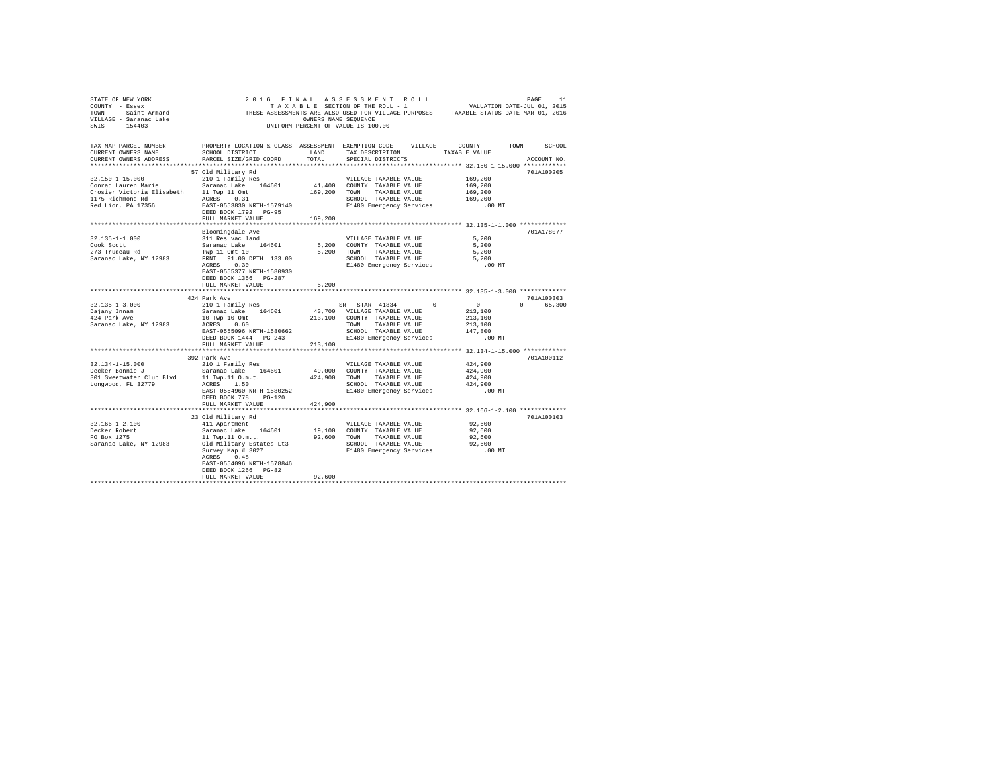| STATE OF NEW YORK                                                                                                      |                                                                                                                                                                                                                                                                              |               |                                                                                                                                            |                                                                  |                        |
|------------------------------------------------------------------------------------------------------------------------|------------------------------------------------------------------------------------------------------------------------------------------------------------------------------------------------------------------------------------------------------------------------------|---------------|--------------------------------------------------------------------------------------------------------------------------------------------|------------------------------------------------------------------|------------------------|
| CURRENT OWNERS NAME<br>CURRENT OWNERS ADDRESS                                                                          | TAX MAP PARCEL NUMBER PROPERTY LOCATION & CLASS ASSESSMENT EXEMPTION CODE-----VILLAGE-----COUNTY-------TOWN-----SCHOOL<br>SCHOOL DISTRICT<br>PARCEL SIZE/GRID COORD                                                                                                          | LAND<br>TOTAL | TAX DESCRIPTION TAXABLE VALUE<br>SPECIAL DISTRICTS                                                                                         |                                                                  | ACCOUNT NO.            |
| $32.150 - 1 - 15.000$<br>Crosier Victoria Elisabeth 11 Twp 11 Omt<br>1175 Richmond Rd ACRES 0.31<br>Red Lion, PA 17356 | 57 Old Military Rd<br>210 1 Family Res<br>Conrad Lauren Marie (Saranac Lake 164601)<br>EAST-0553830 NRTH-1579140<br>DEED BOOK 1792 PG-95<br>FULL MARKET VALUE                                                                                                                | 169,200       | VILLAGE TAXABLE VALUE<br>41,400 COUNTY TAXABLE VALUE<br>169,200 TOWN TAXABLE VALUE<br>SCHOOL TAXABLE VALUE<br>E1480 Emergency Services     | 169,200<br>169,200<br>169,200<br>169,200<br>.00 MT               | 701A100205             |
|                                                                                                                        |                                                                                                                                                                                                                                                                              |               |                                                                                                                                            |                                                                  |                        |
| 32.135-1-1.000<br>Cook Scott<br>273 Trudeau Rd<br>Saranac Lake, NY 12983                                               | Bloomingdale Ave<br>311 Res vac land<br>Saranac Lake 164601<br>Twp 11 Omt 10<br>FRNT 91.00 DPTH 133.00<br>ACRES 0.30<br>EAST-0555377 NRTH-1580930<br>DEED BOOK 1356 PG-287<br>FULL MARKET VALUE                                                                              | 5,200         | VILLAGE TAXABLE VALUE<br>5,200 COUNTY TAXABLE VALUE<br>5,200 TOWN TAXABLE VALUE<br>SCHOOL TAXABLE VALUE<br>E1480 Emergency Services .00 MT | 5,200<br>5,200<br>5,200<br>5,200                                 | 701A178077             |
|                                                                                                                        |                                                                                                                                                                                                                                                                              |               |                                                                                                                                            |                                                                  |                        |
|                                                                                                                        |                                                                                                                                                                                                                                                                              |               |                                                                                                                                            |                                                                  |                        |
| $32.135 - 1 - 3.000$<br>Dajany Innam<br>424 Park Ave<br>Saranac Lake, NY 12983                                         | 424 Park Ave<br>210 1 Family Res<br>EAST-0555096 NRTH-1580662<br>DEED BOOK 1444 PG-243<br>FULL MARKET VALUE                                                                                                                                                                  | 213,100       | SR STAR 41834 0<br>SCHOOL TAXABLE VALUE<br>E1480 Emergency Services                                                                        | $\sim$ 0<br>213,100<br>213,100<br>213,100<br>147,800<br>$.00$ MT | 701A100303<br>0 65,300 |
|                                                                                                                        |                                                                                                                                                                                                                                                                              |               |                                                                                                                                            |                                                                  |                        |
| 32.134-1-15.000<br>Decker Bonnie J<br>301 Sweetwater Club Blvd 11 Twp.11 0.m.t.<br>Longwood, FL 32779                  | 392 Park Ave<br>210 1 Family Res<br>Saranac Lake 164601<br>ACRES 1.50<br>EAST-0554960 NRTH-1580252<br>DEED BOOK 778 PG-120                                                                                                                                                   |               | VILLAGE TAXABLE VALUE<br>49.000 COUNTY TAXABLE VALUE<br>424,900 TOWN TAXABLE VALUE<br>SCHOOL TAXABLE VALUE<br>E1480 Emergency Services     | 424,900<br>424,900<br>424,900<br>424,900<br>$.00$ MT             | 701A100112             |
|                                                                                                                        | FULL MARKET VALUE                                                                                                                                                                                                                                                            | 424,900       |                                                                                                                                            |                                                                  |                        |
|                                                                                                                        | 23 Old Military Rd                                                                                                                                                                                                                                                           |               |                                                                                                                                            | *************************** 32.166-1-2.100 *************         | 701A100103             |
| $32.166 - 1 - 2.100$<br>Decker Robert<br>PO Box 1275<br>Saranac Lake, NY 12983                                         | 411 Apartment<br>Saranac Lake 164601 19,100 COUNTY TAXABLE VALUE<br>11 Twp.11 0.m.t. 92,600 TOWN TAXABLE VALUE<br>01d Military Estates Lt3 SCHOOL TAXABLE VALUE<br>Survey Map # 3027<br>ACRES 0.48<br>EAST-0554096 NRTH-1578846<br>DEED BOOK 1266 PG-82<br>FULL MARKET VALUE | 92,600        | VILLAGE TAXABLE VALUE<br>SCHOOL TAXABLE VALUE<br>E1480 Emergency Services                                                                  | 92,600<br>92,600<br>92,600<br>92,600<br>.00 MT                   |                        |
|                                                                                                                        |                                                                                                                                                                                                                                                                              |               |                                                                                                                                            |                                                                  |                        |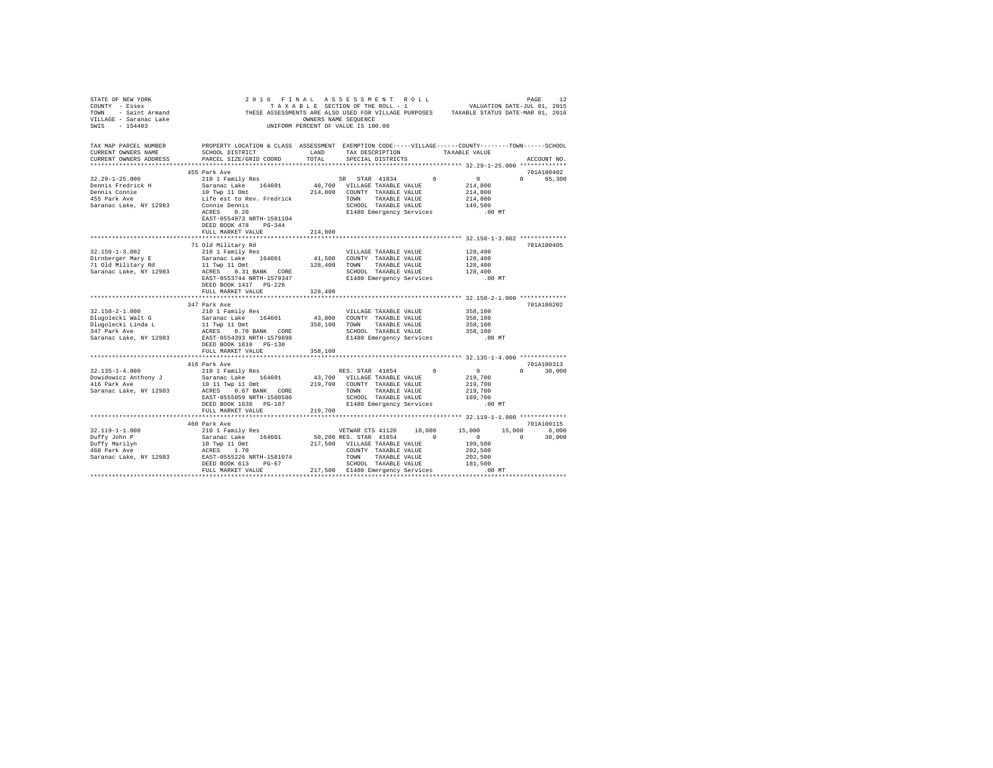| STATE OF NEW YORK WAS ARRESTED FOR A LASS AND A LASS AND A LAD AND A LASS AND A LASS AND A LASS AND A LASS AND A LASS AND A LASS AND A LASS AND A LASS AND A LASS AND A LASS AND A LASS AND A LASS AND A LASS AND A LASS AND<br>VILLAGE - Saranac Lake<br>SWIS - 154403                   | UNIFORM PERCENT OF VALUE IS 100.00                                                                                                                                                                                            | OWNERS NAME SEOUENCE |                   |  |                                                                                                                                              |               |             |
|-------------------------------------------------------------------------------------------------------------------------------------------------------------------------------------------------------------------------------------------------------------------------------------------|-------------------------------------------------------------------------------------------------------------------------------------------------------------------------------------------------------------------------------|----------------------|-------------------|--|----------------------------------------------------------------------------------------------------------------------------------------------|---------------|-------------|
| TAX MAP PARCEL NUMBER PROPERTY LOCATION & CLASS ASSESSMENT EXEMPTION CODE-----VILLAGE------COUNTY--------TOWN------SCHOOL<br>CURRENT OWNERS NAME<br>CURRENT OWNERS ADDRESS                                                                                                                | SCHOOL DISTRICT                       LAND        TAX DESCRIPTION                  TAXABLE VALUE<br>PARCEL SIZE/GRID COORD                                                                                                    | TOTAL                | SPECIAL DISTRICTS |  | ****************** 32.29-1-25.000 **************                                                                                             |               | ACCOUNT NO. |
|                                                                                                                                                                                                                                                                                           | 455 Park Ave                                                                                                                                                                                                                  |                      |                   |  |                                                                                                                                              | 701A100402    |             |
| $32.29 - 1 - 25.000$                                                                                                                                                                                                                                                                      | 210 1 Family Res 52 10 1 Family Res 52 10 1 Family Res 52 10 1 Family Res 52 10 1 Family Res 52 14,800 10 TULAGE TAXABLE VALUE 214,800 10 TVP 11 Ont 214,800 COUNTY TAXABLE VALUE 214,800 COMME Dennis 62 14,800 5000 11 COMP |                      |                   |  |                                                                                                                                              | 0 65,300      |             |
|                                                                                                                                                                                                                                                                                           |                                                                                                                                                                                                                               |                      |                   |  |                                                                                                                                              |               |             |
| Dennis Fredrick H<br>Dennis Connie<br>AFF - V                                                                                                                                                                                                                                             |                                                                                                                                                                                                                               |                      |                   |  |                                                                                                                                              |               |             |
| 455 Park Ave                                                                                                                                                                                                                                                                              |                                                                                                                                                                                                                               |                      |                   |  |                                                                                                                                              |               |             |
| Saranac Lake, NY 12983                                                                                                                                                                                                                                                                    |                                                                                                                                                                                                                               |                      |                   |  | TOWN TAXABLE VALUE 214,800<br>SCHOOL TAXABLE VALUE 149,500<br>E1480 Emergency Services .00 MT                                                |               |             |
|                                                                                                                                                                                                                                                                                           |                                                                                                                                                                                                                               |                      |                   |  |                                                                                                                                              |               |             |
|                                                                                                                                                                                                                                                                                           | EAST-0554973 NRTH-1581104                                                                                                                                                                                                     |                      |                   |  |                                                                                                                                              |               |             |
|                                                                                                                                                                                                                                                                                           | DEED BOOK 478 PG-344                                                                                                                                                                                                          |                      |                   |  |                                                                                                                                              |               |             |
|                                                                                                                                                                                                                                                                                           | FULL MARKET VALUE                                                                                                                                                                                                             | 214,800              |                   |  |                                                                                                                                              |               |             |
|                                                                                                                                                                                                                                                                                           | 71 Old Military Rd                                                                                                                                                                                                            |                      |                   |  |                                                                                                                                              | 701A100405    |             |
|                                                                                                                                                                                                                                                                                           |                                                                                                                                                                                                                               |                      |                   |  | 128,400                                                                                                                                      |               |             |
|                                                                                                                                                                                                                                                                                           |                                                                                                                                                                                                                               |                      |                   |  |                                                                                                                                              |               |             |
|                                                                                                                                                                                                                                                                                           |                                                                                                                                                                                                                               |                      |                   |  | 128,400<br>128,400                                                                                                                           |               |             |
|                                                                                                                                                                                                                                                                                           |                                                                                                                                                                                                                               |                      |                   |  | 128,400                                                                                                                                      |               |             |
|                                                                                                                                                                                                                                                                                           |                                                                                                                                                                                                                               |                      |                   |  | .00 MT                                                                                                                                       |               |             |
|                                                                                                                                                                                                                                                                                           |                                                                                                                                                                                                                               |                      |                   |  |                                                                                                                                              |               |             |
|                                                                                                                                                                                                                                                                                           | FULL MARKET VALUE                                                                                                                                                                                                             | 128,400              |                   |  |                                                                                                                                              |               |             |
|                                                                                                                                                                                                                                                                                           |                                                                                                                                                                                                                               |                      |                   |  |                                                                                                                                              |               |             |
|                                                                                                                                                                                                                                                                                           | 347 Park Ave                                                                                                                                                                                                                  |                      |                   |  |                                                                                                                                              | 701A100202    |             |
|                                                                                                                                                                                                                                                                                           |                                                                                                                                                                                                                               |                      |                   |  | 358,100                                                                                                                                      |               |             |
|                                                                                                                                                                                                                                                                                           |                                                                                                                                                                                                                               |                      |                   |  | 358,100<br>358,100                                                                                                                           |               |             |
|                                                                                                                                                                                                                                                                                           |                                                                                                                                                                                                                               |                      |                   |  |                                                                                                                                              |               |             |
|                                                                                                                                                                                                                                                                                           |                                                                                                                                                                                                                               |                      |                   |  | 358,100<br>.00 MT                                                                                                                            |               |             |
|                                                                                                                                                                                                                                                                                           | DEED BOOK 1610 PG-130                                                                                                                                                                                                         |                      |                   |  |                                                                                                                                              |               |             |
|                                                                                                                                                                                                                                                                                           | FULL MARKET VALUE                                                                                                                                                                                                             | 358,100              |                   |  |                                                                                                                                              |               |             |
|                                                                                                                                                                                                                                                                                           |                                                                                                                                                                                                                               |                      |                   |  |                                                                                                                                              |               |             |
|                                                                                                                                                                                                                                                                                           | 416 Park Ave                                                                                                                                                                                                                  |                      |                   |  |                                                                                                                                              | 701A100313    |             |
|                                                                                                                                                                                                                                                                                           |                                                                                                                                                                                                                               |                      |                   |  |                                                                                                                                              | $0 \t 30,000$ |             |
|                                                                                                                                                                                                                                                                                           |                                                                                                                                                                                                                               |                      |                   |  |                                                                                                                                              |               |             |
|                                                                                                                                                                                                                                                                                           |                                                                                                                                                                                                                               |                      |                   |  |                                                                                                                                              |               |             |
| $\begin{tabular}{l c c c c c} \multicolumn{1}{c}{32.135-1-4.000} & \multicolumn{1}{c}{410~\mbox{error}~\& 110~\mbox{100}~\& 110~\mbox{100}~\& 110~\mbox{100}~\& 110~\mbox{100}~\& 110~\mbox{100}~\& 110~\mbox{100}~\& 110~\mbox{100}~\& 110~\mbox{100}~\& 110~\mbox{100}~\& 110~\mbox{10$ |                                                                                                                                                                                                                               |                      |                   |  |                                                                                                                                              |               |             |
|                                                                                                                                                                                                                                                                                           |                                                                                                                                                                                                                               |                      |                   |  |                                                                                                                                              |               |             |
|                                                                                                                                                                                                                                                                                           |                                                                                                                                                                                                                               |                      |                   |  |                                                                                                                                              |               |             |
|                                                                                                                                                                                                                                                                                           |                                                                                                                                                                                                                               |                      |                   |  |                                                                                                                                              |               |             |
|                                                                                                                                                                                                                                                                                           | 460 Park Ave                                                                                                                                                                                                                  |                      |                   |  |                                                                                                                                              | 701A100115    |             |
|                                                                                                                                                                                                                                                                                           |                                                                                                                                                                                                                               |                      |                   |  | $\begin{array}{cccccc} 18\, ,000 \qquad & 15\, ,000 \qquad & 15\, ,000 \qquad & 6\, ,000 \\ & & 0 \qquad & 0 \qquad & 30\, ,000 \end{array}$ |               |             |
|                                                                                                                                                                                                                                                                                           |                                                                                                                                                                                                                               |                      |                   |  |                                                                                                                                              |               |             |
|                                                                                                                                                                                                                                                                                           |                                                                                                                                                                                                                               |                      |                   |  |                                                                                                                                              |               |             |
|                                                                                                                                                                                                                                                                                           |                                                                                                                                                                                                                               |                      |                   |  |                                                                                                                                              |               |             |
|                                                                                                                                                                                                                                                                                           |                                                                                                                                                                                                                               |                      |                   |  |                                                                                                                                              |               |             |
|                                                                                                                                                                                                                                                                                           |                                                                                                                                                                                                                               |                      |                   |  |                                                                                                                                              |               |             |
|                                                                                                                                                                                                                                                                                           | FULL MARKET VALUE 217,500 E1480 Emergency Services                                                                                                                                                                            |                      |                   |  | $.00$ MT                                                                                                                                     |               |             |
|                                                                                                                                                                                                                                                                                           |                                                                                                                                                                                                                               |                      |                   |  |                                                                                                                                              |               |             |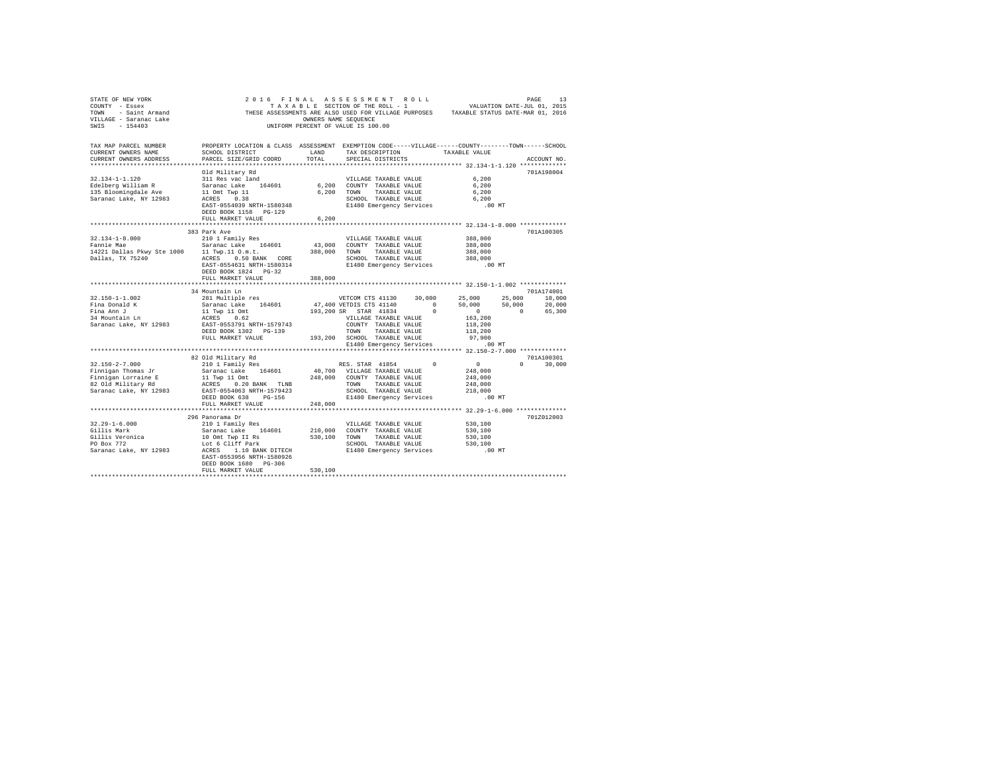| TAX MAP PARCEL NUMBER<br>CURRENT OWNERS NAME<br>CURRENT OWNERS ADDRESS                                                                                                                                                                                                                                                                                                                              | PROPERTY LOCATION & CLASS ASSESSMENT EXEMPTION CODE-----VILLAGE------COUNTY-------TOWN------SCHOOL<br>SCHOOL DISTRICT LAND<br>PARCEL SIZE/GRID COORD                                                                                                                                                                                 | TOTAL   | TAX DESCRIPTION TAXABLE VALUE<br>SPECIAL DISTRICTS |                    |          | ACCOUNT NO. |
|-----------------------------------------------------------------------------------------------------------------------------------------------------------------------------------------------------------------------------------------------------------------------------------------------------------------------------------------------------------------------------------------------------|--------------------------------------------------------------------------------------------------------------------------------------------------------------------------------------------------------------------------------------------------------------------------------------------------------------------------------------|---------|----------------------------------------------------|--------------------|----------|-------------|
|                                                                                                                                                                                                                                                                                                                                                                                                     | Old Military Rd                                                                                                                                                                                                                                                                                                                      |         |                                                    |                    |          | 701A198004  |
| 32.134-1-1.120                                                                                                                                                                                                                                                                                                                                                                                      |                                                                                                                                                                                                                                                                                                                                      |         |                                                    |                    |          |             |
| Edelberg William R                                                                                                                                                                                                                                                                                                                                                                                  |                                                                                                                                                                                                                                                                                                                                      |         |                                                    |                    |          |             |
| 135 Bloomingdale Ave                                                                                                                                                                                                                                                                                                                                                                                |                                                                                                                                                                                                                                                                                                                                      |         |                                                    |                    |          |             |
| Saranac Lake, NY 12983                                                                                                                                                                                                                                                                                                                                                                              |                                                                                                                                                                                                                                                                                                                                      |         |                                                    |                    |          |             |
|                                                                                                                                                                                                                                                                                                                                                                                                     | DEED BOOK 1158 PG-129                                                                                                                                                                                                                                                                                                                |         |                                                    |                    |          |             |
|                                                                                                                                                                                                                                                                                                                                                                                                     | FULL MARKET VALUE                                                                                                                                                                                                                                                                                                                    | 6,200   |                                                    |                    |          |             |
|                                                                                                                                                                                                                                                                                                                                                                                                     | 383 Park Ave                                                                                                                                                                                                                                                                                                                         |         |                                                    |                    |          | 701A100305  |
| $32.134 - 1 - 8.000$                                                                                                                                                                                                                                                                                                                                                                                |                                                                                                                                                                                                                                                                                                                                      |         | VILLAGE TAXABLE VALUE                              | 388,000            |          |             |
| Fannie Mae                                                                                                                                                                                                                                                                                                                                                                                          | 210 1 Family Res<br>Saranac Lake 164601                                                                                                                                                                                                                                                                                              |         | 43,000 COUNTY TAXABLE VALUE                        | 388,000            |          |             |
| 14221 Dallas Pkwy Ste 1000    11 Twp.11 O.m.t.    388,000    TOWN    TAXABLE VALUE                                                                                                                                                                                                                                                                                                                  |                                                                                                                                                                                                                                                                                                                                      |         |                                                    |                    |          |             |
|                                                                                                                                                                                                                                                                                                                                                                                                     |                                                                                                                                                                                                                                                                                                                                      |         |                                                    | 388,000<br>388,000 |          |             |
| $\verb Dallas, TX 75240   \verb ACRES  0.50 BANK   \verb CORE   \verb SCHOLD  2011   \verb B0314   2010   2011   2012   2012   2012   2013   2013   2014   2014   2014   2014   2014   2014   2014   2014   2014   2014   2014   2014   2014   2014   2014   2014   2014   2014   2014   2014   2$                                                                                                  | DEED BOOK 1824 PG-32                                                                                                                                                                                                                                                                                                                 |         |                                                    |                    |          |             |
|                                                                                                                                                                                                                                                                                                                                                                                                     | FULL MARKET VALUE                                                                                                                                                                                                                                                                                                                    | 388,000 |                                                    |                    |          |             |
|                                                                                                                                                                                                                                                                                                                                                                                                     |                                                                                                                                                                                                                                                                                                                                      |         |                                                    |                    |          |             |
| $32.150 - 1 - 1.002$                                                                                                                                                                                                                                                                                                                                                                                | 34 Mountain Ln                                                                                                                                                                                                                                                                                                                       |         |                                                    |                    |          | 701A174001  |
|                                                                                                                                                                                                                                                                                                                                                                                                     |                                                                                                                                                                                                                                                                                                                                      |         |                                                    |                    |          |             |
|                                                                                                                                                                                                                                                                                                                                                                                                     |                                                                                                                                                                                                                                                                                                                                      |         |                                                    |                    |          |             |
| Fina Donald K<br>Fina Ann J<br>34 Mountain Ln                                                                                                                                                                                                                                                                                                                                                       |                                                                                                                                                                                                                                                                                                                                      |         |                                                    |                    |          |             |
| Saranac Lake, NY 12983                                                                                                                                                                                                                                                                                                                                                                              | $\begin{tabular}{lcccc} $24$ & $\text{normal} & $1$ & $10$ & $10$ & $10$ \\[-20pt] $281$ & $\text{Multi-1} & $16$ & $164601$ & $47,4000$ & $25,000$ & $25,000$ & $25,000$ & $10,000$ \\[-20pt] $3$ & $24$ & $164601$ & $47,400$ & $27$ & $37$ & $41140$ & $0$ & $50,000$ & $50,000$ & $20,000$ \\[-20pt] $11$ & Type 11\hspace{-0.2$ |         |                                                    |                    |          |             |
|                                                                                                                                                                                                                                                                                                                                                                                                     |                                                                                                                                                                                                                                                                                                                                      |         |                                                    |                    |          |             |
|                                                                                                                                                                                                                                                                                                                                                                                                     | FULL MARKET VALUE 193,200 SCHOOL TAXABLE VALUE 97,900<br>E1480 Emergency Services .00 MT                                                                                                                                                                                                                                             |         |                                                    |                    |          |             |
|                                                                                                                                                                                                                                                                                                                                                                                                     |                                                                                                                                                                                                                                                                                                                                      |         |                                                    |                    |          |             |
|                                                                                                                                                                                                                                                                                                                                                                                                     |                                                                                                                                                                                                                                                                                                                                      |         |                                                    |                    |          |             |
|                                                                                                                                                                                                                                                                                                                                                                                                     | 82 Old Military Rd                                                                                                                                                                                                                                                                                                                   |         |                                                    |                    |          | 701A100301  |
| $32.150 - 2 - 7.000$                                                                                                                                                                                                                                                                                                                                                                                |                                                                                                                                                                                                                                                                                                                                      |         |                                                    |                    | $\Omega$ | 30,000      |
| Finnigan Thomas Jr                                                                                                                                                                                                                                                                                                                                                                                  |                                                                                                                                                                                                                                                                                                                                      |         |                                                    |                    |          |             |
| $\begin{tabular}{lcl} \texttt{Fining}~\texttt{in}~\texttt{non}~\texttt{u}~\texttt{non}~\texttt{u}~\texttt{non}~\texttt{u}~\texttt{non}~\texttt{u}~\texttt{non}~\texttt{u}~\texttt{non}~\texttt{u}~\texttt{non}~\texttt{u}~\texttt{non}~\texttt{u}~\texttt{non}~\texttt{u}~\texttt{non}~\texttt{u}~\texttt{non}~\texttt{u}~\texttt{non}~\texttt{u}~\texttt{non}~\texttt{u}~\texttt{non}~\texttt{u}~$ |                                                                                                                                                                                                                                                                                                                                      |         |                                                    | 248,000            |          |             |
|                                                                                                                                                                                                                                                                                                                                                                                                     |                                                                                                                                                                                                                                                                                                                                      |         |                                                    | 218,000            |          |             |
|                                                                                                                                                                                                                                                                                                                                                                                                     |                                                                                                                                                                                                                                                                                                                                      |         |                                                    | $.00$ MT           |          |             |
|                                                                                                                                                                                                                                                                                                                                                                                                     | FULL MARKET VALUE                                                                                                                                                                                                                                                                                                                    | 248,000 |                                                    |                    |          |             |
|                                                                                                                                                                                                                                                                                                                                                                                                     |                                                                                                                                                                                                                                                                                                                                      |         |                                                    |                    |          |             |
|                                                                                                                                                                                                                                                                                                                                                                                                     | 296 Panorama Dr                                                                                                                                                                                                                                                                                                                      |         |                                                    |                    |          | 701Z012003  |
|                                                                                                                                                                                                                                                                                                                                                                                                     |                                                                                                                                                                                                                                                                                                                                      |         |                                                    |                    |          |             |
|                                                                                                                                                                                                                                                                                                                                                                                                     |                                                                                                                                                                                                                                                                                                                                      |         |                                                    |                    |          |             |
|                                                                                                                                                                                                                                                                                                                                                                                                     |                                                                                                                                                                                                                                                                                                                                      |         |                                                    |                    |          |             |
|                                                                                                                                                                                                                                                                                                                                                                                                     |                                                                                                                                                                                                                                                                                                                                      |         |                                                    |                    |          |             |
|                                                                                                                                                                                                                                                                                                                                                                                                     | DEED BOOK 1680 PG-306                                                                                                                                                                                                                                                                                                                |         |                                                    |                    |          |             |
|                                                                                                                                                                                                                                                                                                                                                                                                     | FULL MARKET VALUE                                                                                                                                                                                                                                                                                                                    | 530,100 |                                                    |                    |          |             |
|                                                                                                                                                                                                                                                                                                                                                                                                     |                                                                                                                                                                                                                                                                                                                                      |         |                                                    |                    |          |             |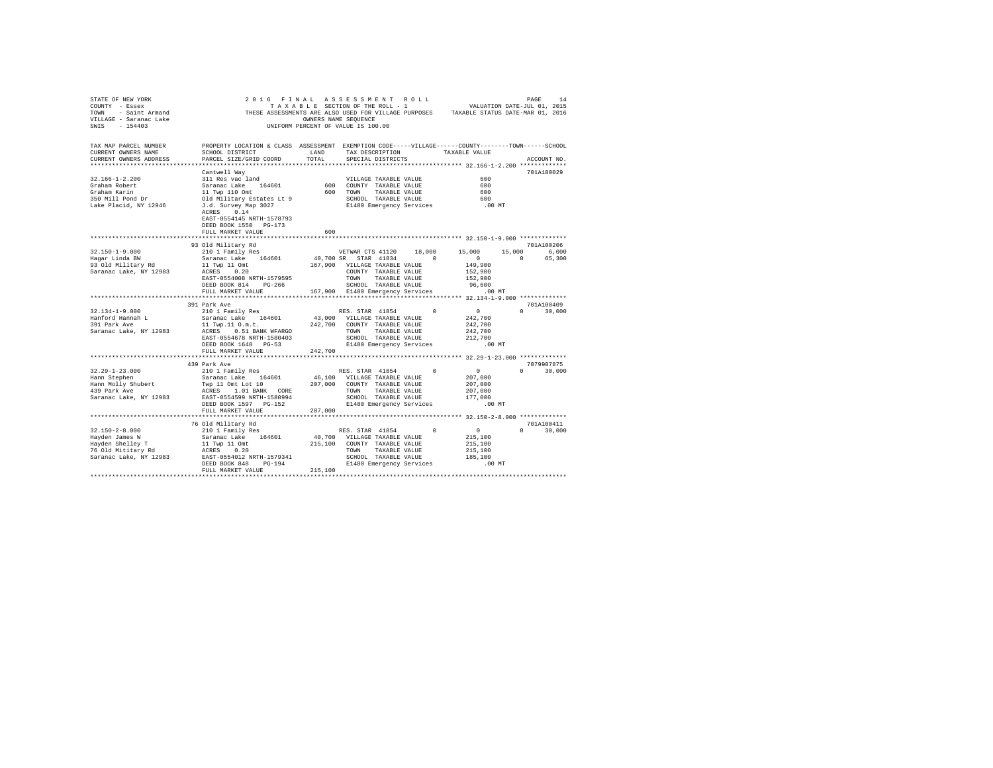| STATE OF NEW YORK<br>COUNTY - Essex<br>COUNT - Essex and CHESE ASSESSMENTS ARE ALSO USED FOR VILLAGE PURPOSES TAXABLE STATUS DATE-MAR 01, 2016<br>VILLAGE - Saranac Lake (2016) THESE ASSESSMENTS ARE SAUGHT OF VILLAGE PURPOSES TAXABLE STATUS DATE-MAR 01, 2016<br>SWIS - | 2016 FINAL ASSESSMENT ROLL                                                                                                                                                      |               | TAXABLE SECTION OF THE ROLL - 1                 |                               |            | PAGE 14<br>VALUATION DATE-JUL 01, 2015 |          |                     |
|-----------------------------------------------------------------------------------------------------------------------------------------------------------------------------------------------------------------------------------------------------------------------------|---------------------------------------------------------------------------------------------------------------------------------------------------------------------------------|---------------|-------------------------------------------------|-------------------------------|------------|----------------------------------------|----------|---------------------|
| TAX MAP PARCEL NUMBER                                                                                                                                                                                                                                                       | PROPERTY LOCATION & CLASS ASSESSMENT EXEMPTION CODE-----VILLAGE------COUNTY-------TOWN------SCHOOL                                                                              |               |                                                 |                               |            |                                        |          |                     |
| CURRENT OWNERS NAME                                                                                                                                                                                                                                                         | SCHOOL DISTRICT                                                                                                                                                                 | LAND<br>TOTAL |                                                 | TAX DESCRIPTION TAXABLE VALUE |            |                                        |          |                     |
| CURRENT OWNERS ADDRESS                                                                                                                                                                                                                                                      | PARCEL SIZE/GRID COORD                                                                                                                                                          |               | SPECIAL DISTRICTS                               |                               |            |                                        |          | ACCOUNT NO.         |
|                                                                                                                                                                                                                                                                             | Cantwell Way                                                                                                                                                                    |               |                                                 |                               |            |                                        |          | 701A180029          |
| $32.166 - 1 - 2.200$                                                                                                                                                                                                                                                        |                                                                                                                                                                                 |               |                                                 | VILLAGE TAXABLE VALUE         |            | 600                                    |          |                     |
| Graham Robert                                                                                                                                                                                                                                                               |                                                                                                                                                                                 |               | 600 COUNTY TAXABLE VALUE                        |                               |            | 600                                    |          |                     |
| Graham Karin                                                                                                                                                                                                                                                                |                                                                                                                                                                                 |               | 600 TOWN TAXABLE VALUE                          |                               |            | 600                                    |          |                     |
| 350 Mill Pond Dr                                                                                                                                                                                                                                                            |                                                                                                                                                                                 |               | SCHOOL TAXABLE VALUE                            |                               |            | 600                                    |          |                     |
| Lake Placid, NY 12946                                                                                                                                                                                                                                                       |                                                                                                                                                                                 |               | E1480 Emergency Services .00 MT                 |                               |            |                                        |          |                     |
|                                                                                                                                                                                                                                                                             | Sammer and<br>Sammar Lake 164601<br>Sammar Lake 164601<br>11 Twp 110 Omt<br>Old Military Estates Lt 9<br>J.d. Survey Map 3027<br>ACRES 0.14                                     |               |                                                 |                               |            |                                        |          |                     |
|                                                                                                                                                                                                                                                                             | EAST-0554145 NRTH-1578793                                                                                                                                                       |               |                                                 |                               |            |                                        |          |                     |
|                                                                                                                                                                                                                                                                             | DEED BOOK 1550 PG-173                                                                                                                                                           |               |                                                 |                               |            |                                        |          |                     |
|                                                                                                                                                                                                                                                                             | FULL MARKET VALUE                                                                                                                                                               | 600           |                                                 |                               |            |                                        |          |                     |
|                                                                                                                                                                                                                                                                             |                                                                                                                                                                                 |               |                                                 |                               |            |                                        |          |                     |
|                                                                                                                                                                                                                                                                             | 93 Old Military Rd<br>210 1 Family Res                                                                                                                                          |               | VETWAR CTS 41120                                |                               |            | 15,000                                 | 15,000   | 701A100206<br>6,000 |
| 32.150-1-9.000<br>Hagar Linda BW                                                                                                                                                                                                                                            | Saranac Lake 164601                                                                                                                                                             |               | 40,700 SR STAR 41834                            | $\sim$ 0                      | 18,000     | $\sim$ 0                               | $\sim$ 0 | 65,300              |
| 93 Old Military Rd                                                                                                                                                                                                                                                          |                                                                                                                                                                                 |               | 167,900 VILLAGE TAXABLE VALUE                   |                               |            | 149,900                                |          |                     |
| Saranac Lake, NY 12983                                                                                                                                                                                                                                                      | 11 Twp 11 Omt<br>ACRES 0.20                                                                                                                                                     |               |                                                 | COUNTY TAXABLE VALUE          |            | 152,900                                |          |                     |
|                                                                                                                                                                                                                                                                             | EAST-0554008 NRTH-1579595                                                                                                                                                       |               | TOWN TAXABLE VALUE                              |                               |            | 152,900                                |          |                     |
|                                                                                                                                                                                                                                                                             | DEED BOOK 814 PG-266                                                                                                                                                            |               | SCHOOL TAXABLE VALUE                            |                               |            | 96,600                                 |          |                     |
|                                                                                                                                                                                                                                                                             | FULL MARKET VALUE                                                                                                                                                               |               | 167,900 E1480 Emergency Services                |                               |            | $.00$ MT                               |          |                     |
|                                                                                                                                                                                                                                                                             |                                                                                                                                                                                 |               |                                                 |                               |            |                                        |          |                     |
|                                                                                                                                                                                                                                                                             | 391 Park Ave                                                                                                                                                                    |               |                                                 |                               |            |                                        |          | 701A100409          |
| $32.134 - 1 - 9.000$                                                                                                                                                                                                                                                        | 210 1 Family Res                                                                                                                                                                |               | RES. STAR 41854                                 |                               | $\Omega$   | $\sim$ 0                               |          | $0 \t 30,000$       |
| Hanford Hannah L<br>391 Park Ave                                                                                                                                                                                                                                            | Saranac Lake 164601                                                                                                                                                             |               | 43,000 VILLAGE TAXABLE VALUE                    |                               |            | 242,700                                |          |                     |
|                                                                                                                                                                                                                                                                             | 11 Twp.11 0.m.t.                                                                                                                                                                |               | 242,700 COUNTY TAXABLE VALUE                    |                               |            | 242,700                                |          |                     |
| Saranac Lake, NY 12983                                                                                                                                                                                                                                                      |                                                                                                                                                                                 |               |                                                 |                               |            | 242,700                                |          |                     |
|                                                                                                                                                                                                                                                                             |                                                                                                                                                                                 |               |                                                 |                               |            | 212,700                                |          |                     |
|                                                                                                                                                                                                                                                                             | FULL MARKET VALUE                                                                                                                                                               | 242,700       |                                                 |                               |            | $.00$ MT                               |          |                     |
|                                                                                                                                                                                                                                                                             |                                                                                                                                                                                 |               |                                                 |                               |            |                                        |          |                     |
|                                                                                                                                                                                                                                                                             | 439 Park Ave                                                                                                                                                                    |               |                                                 |                               |            |                                        |          | 7079907875          |
| $32.29 - 1 - 23.000$                                                                                                                                                                                                                                                        | 210 1 Family Res                                                                                                                                                                |               | RES. STAR 41854                                 |                               | $\Omega$   | $\sim$ 0                               | $\Omega$ | 30,000              |
| Hann Stephen                                                                                                                                                                                                                                                                | Saranac Lake 164601                                                                                                                                                             |               | 46,100 VILLAGE TAXABLE VALUE                    |                               |            | 207,000                                |          |                     |
| Hann Molly Shubert<br>439 Park Ave                                                                                                                                                                                                                                          | Twp 11 Omt Lot 10                                                                                                                                                               |               | 207,000 COUNTY TAXABLE VALUE                    |                               |            | 207,000                                |          |                     |
|                                                                                                                                                                                                                                                                             | ACRES 1.01 BANK CORE                                                                                                                                                            |               |                                                 | TOWN TAXABLE VALUE            |            | 207,000                                |          |                     |
| Saranac Lake, NY 12983                                                                                                                                                                                                                                                      | EAST-0554599 NRTH-1580994                                                                                                                                                       |               |                                                 | SCHOOL TAXABLE VALUE          |            | 177,000                                |          |                     |
|                                                                                                                                                                                                                                                                             | DEED BOOK 1597 PG-152                                                                                                                                                           |               | E1480 Emergency Services                        |                               |            | $.00$ MT                               |          |                     |
|                                                                                                                                                                                                                                                                             | FULL MARKET VALUE                                                                                                                                                               | 207,000       |                                                 |                               |            |                                        |          |                     |
|                                                                                                                                                                                                                                                                             |                                                                                                                                                                                 |               |                                                 |                               |            |                                        |          |                     |
|                                                                                                                                                                                                                                                                             | 76 Old Military Rd                                                                                                                                                              |               |                                                 |                               |            |                                        |          | 701A100411          |
| $32.150 - 2 - 8.000$                                                                                                                                                                                                                                                        |                                                                                                                                                                                 |               | RES. STAR 41854<br>40,700 VILLAGE TAXABLE VALUE |                               | $^{\circ}$ | $\overline{0}$                         |          | $0 \t 30,000$       |
| 32.150-2-8.000<br>Hayden James W<br>Hayden Shelley T<br>76 Old Mititary Rd                                                                                                                                                                                                  | 210 1 Family Res<br>Saranac Lake 164601<br>11 Twp 11 Omt                                                                                                                        |               |                                                 |                               |            | 215,100<br>215,100                     |          |                     |
|                                                                                                                                                                                                                                                                             |                                                                                                                                                                                 |               |                                                 | TOWN TAXABLE VALUE            |            | 215,100                                |          |                     |
| Saranac Lake, NY 12983                                                                                                                                                                                                                                                      | 11 Twp 11 Ont<br>215,100 COUNTY TAXABLE VALUE<br>215,100 COUNTY TAXABLE VALUE<br>RAST-0554012 NRTH-1579341 SERO-DL TAXABLE VALUE<br>DEED BOOK 848 PG-194 E1480 Emergency Servic |               |                                                 | SCHOOL TAXABLE VALUE          |            | 185,100                                |          |                     |
|                                                                                                                                                                                                                                                                             | DEED BOOK 848 PG-194                                                                                                                                                            |               | E1480 Emergency Services                        |                               |            | .00 MT                                 |          |                     |
|                                                                                                                                                                                                                                                                             | FULL MARKET VALUE                                                                                                                                                               | 215,100       |                                                 |                               |            |                                        |          |                     |
|                                                                                                                                                                                                                                                                             |                                                                                                                                                                                 |               |                                                 |                               |            |                                        |          |                     |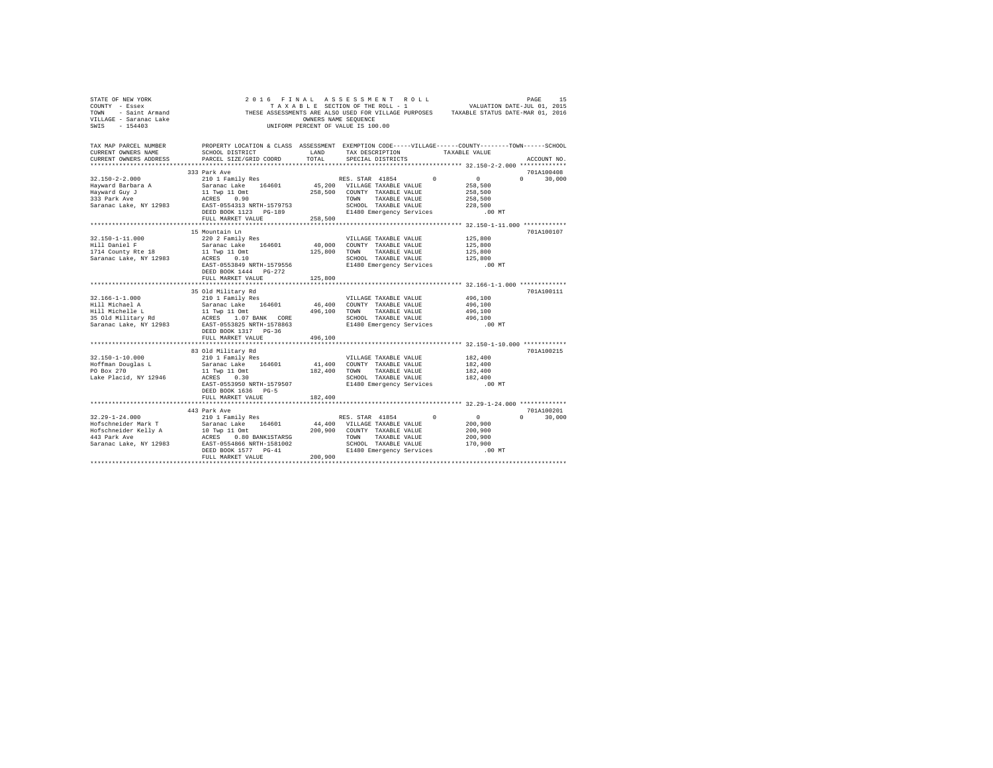| STATE OF NEW YORK<br>COUNTY - Essex<br>TOWN - Saint Armand<br>VILLAGE - Saranac Lake<br>SWIS - 154403         | THESE ASSESSMENTS ARE ASSECTION OF THE ROLL - 1 VALUATION DATE-JUL U1, 2015<br>TRIX ABLE SECTION OF THE ROLL - 1 VALUATION DATE-MAR 01, 2016<br>THESE ASSESSMENTS ------- WWW. CENTENCE                                                            |               | 2016 FINAL ASSESSMENT ROLL<br>UNIFORM PERCENT OF VALUE IS 100.00                                                                                          |          |                                                                         | PAGE<br>15                  |
|---------------------------------------------------------------------------------------------------------------|----------------------------------------------------------------------------------------------------------------------------------------------------------------------------------------------------------------------------------------------------|---------------|-----------------------------------------------------------------------------------------------------------------------------------------------------------|----------|-------------------------------------------------------------------------|-----------------------------|
| TAX MAP PARCEL NUMBER<br>CURRENT OWNERS NAME<br>CURRENT OWNERS ADDRESS                                        | PROPERTY LOCATION & CLASS ASSESSMENT EXEMPTION CODE-----VILLAGE------COUNTY-------TOWN------SCHOOL<br>SCHOOL DISTRICT<br>PARCEL SIZE/GRID COORD                                                                                                    | LAND<br>TOTAL | TAX DESCRIPTION<br>SPECIAL DISTRICTS                                                                                                                      |          | TAXABLE VALUE                                                           | ACCOUNT NO.                 |
|                                                                                                               |                                                                                                                                                                                                                                                    |               |                                                                                                                                                           |          |                                                                         |                             |
|                                                                                                               | 333 Park Ave                                                                                                                                                                                                                                       |               |                                                                                                                                                           |          |                                                                         | 701A100408                  |
| $32.150 - 2 - 2.000$<br>Hayward Barbara A<br>Hayward Guy J<br>333 Park Ave<br>Saranac Lake, NY 12983          | 210 1 Family Res<br>Saranac Lake 164601<br>11 Twp 11 Omt<br>ACRES 0.90<br>EAST-0554313 NRTH-1579753<br>DEED BOOK 1123 PG-189<br>FULL MARKET VALUE                                                                                                  | 258,500       | RES. STAR 41854<br>45,200 VILLAGE TAXABLE VALUE<br>258,500 COUNTY TAXABLE VALUE<br>TOWN TAXABLE VALUE<br>SCHOOL TAXABLE VALUE<br>E1480 Emergency Services | 0        | $\sim$ 0<br>258,500<br>258,500<br>258,500<br>228,500<br>$00 \text{ MT}$ | $0 \t 30.000$               |
|                                                                                                               |                                                                                                                                                                                                                                                    |               |                                                                                                                                                           |          |                                                                         |                             |
| $32.150 - 1 - 11.000$<br>Hill Daniel F<br>1714 County Rte 18<br>Saranac Lake, NY 12983                        | 15 Mountain Ln<br>220 2 Family Res<br>Saranac Lake 164601<br>11 Twp 11 Omt<br>ACRES 0.10<br>EAST-0553849 NRTH-1579556<br>DEED BOOK 1444    PG-272<br>FULL MARKET VALUE                                                                             | 125,800       | VILLAGE TAXABLE VALUE<br>40,000 COUNTY TAXABLE VALUE<br>125,800 TOWN TAXABLE VALUE<br>SCHOOL TAXABLE VALUE<br>E1480 Emergency Services                    |          | 125,800<br>125,800<br>125,800<br>125,800<br>$.00$ MT                    | 701A100107                  |
|                                                                                                               |                                                                                                                                                                                                                                                    |               |                                                                                                                                                           |          |                                                                         | 7018100111                  |
| $32.166 - 1 - 1.000$<br>Hill Michael A<br>Hill Michelle L<br>35 Old Military Rd<br>Saranac Lake, NY 12983     | 35 Old Military Rd<br>210 1 Family Res<br>Saranac Lake 164601<br>11 Twp 11 Omt<br>ACRES 1.07 BANK CORE<br>EAST-0553825 NRTH-1578863<br>DEED BOOK 1317 PG-36                                                                                        |               | VILLAGE TAXABLE VALUE<br>46,400 COUNTY TAXABLE VALUE<br>496,100 TOWN TAXABLE VALUE<br>SCHOOL TAXABLE VALUE<br>E1480 Emergency Services                    |          | 496,100<br>496,100<br>496,100<br>496,100<br>$.00$ MT                    |                             |
|                                                                                                               | FULL MARKET VALUE                                                                                                                                                                                                                                  | 496,100       |                                                                                                                                                           |          |                                                                         |                             |
| $32.150 - 1 - 10.000$<br>Hoffman Douglas L<br>PO Box 270<br>Lake Placid, NY 12946                             | 83 Old Military Rd<br>210 1 Family Res<br>Saranac Lake 164601<br>11 Twp 11 Omt<br>ACRES 0.30<br>EAST-0553950 NRTH-1579507<br>DEED BOOK 1636 PG-5                                                                                                   |               | VILLAGE TAXABLE VALUE<br>41,400 COUNTY TAXABLE VALUE<br>182,400 TOWN TAXABLE VALUE<br>SCHOOL TAXABLE VALUE<br>E1480 Emergency Services                    |          | 182,400<br>182,400<br>182,400<br>182,400<br>$.00$ MT                    | 701A100215                  |
|                                                                                                               | FULL MARKET VALUE                                                                                                                                                                                                                                  | 182,400       |                                                                                                                                                           |          |                                                                         |                             |
|                                                                                                               |                                                                                                                                                                                                                                                    |               |                                                                                                                                                           |          |                                                                         |                             |
| $32.29 - 1 - 24.000$<br>Hofschneider Mark T<br>Hofschneider Kelly A<br>443 Park Ave<br>Saranac Lake, NY 12983 | 443 Park Ave<br>210 1 Family Res<br>Saranac Lake 164601 44,400 VILLAGE TAXABLE VALUE<br>10 Twp 11 Omt<br>ACRES 0.80 BANK1STARSG<br>EAST-0554866 NRTH-1581002<br>-- 20 AT<br>EAST-0554866 NRTH-1581002<br>DEED BOOK 1577 PG-41<br>FULL MARKET VALUE | 200,900       | RES. STAR 41854<br>200,900 COUNTY TAXABLE VALUE<br>TOWN<br>TAXABLE VALUE<br>SCHOOL TAXABLE VALUE<br>E1480 Emergency Services                              | $\Omega$ | $\sim$ 0<br>200,900<br>200,900<br>200,900<br>170,900<br>$.00$ MT        | 701A100201<br>$0 \t 30,000$ |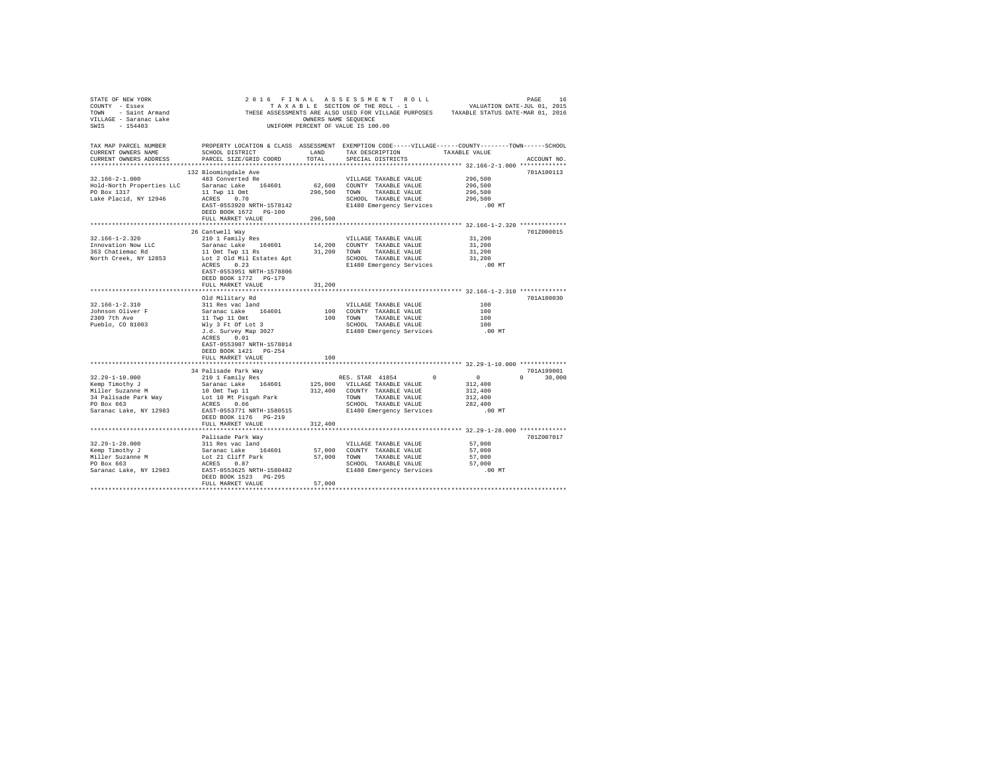| STATE OF NEW YORK                                                        |                                                                                                                                                                                                                                     |         |                                                                                                  |                  |               |
|--------------------------------------------------------------------------|-------------------------------------------------------------------------------------------------------------------------------------------------------------------------------------------------------------------------------------|---------|--------------------------------------------------------------------------------------------------|------------------|---------------|
| COUNTY - Essex                                                           |                                                                                                                                                                                                                                     |         |                                                                                                  |                  |               |
|                                                                          |                                                                                                                                                                                                                                     |         |                                                                                                  |                  |               |
|                                                                          |                                                                                                                                                                                                                                     |         |                                                                                                  |                  |               |
|                                                                          | COUNTY - ESSEX ASSESSMENTS ARE ALSO USED FOR VILLAGE PURPOSES<br>TOWN - Saint Armand THESE ASSESSMENTS ARE ALSO USED FOR VILLAGE PURPOSES TAXABLE STATUS DATE-MAR 01, 2016<br>TILLAGE - 154403 - 154403 UNIFORM PERCENT OF VALUE IS |         |                                                                                                  |                  |               |
|                                                                          |                                                                                                                                                                                                                                     |         |                                                                                                  |                  |               |
|                                                                          |                                                                                                                                                                                                                                     |         |                                                                                                  |                  |               |
| TAX MAP PARCEL NUMBER                                                    | PROPERTY LOCATION & CLASS ASSESSMENT EXEMPTION CODE-----VILLAGE------COUNTY-------TOWN------SCHOOL                                                                                                                                  |         |                                                                                                  |                  |               |
| CURRENT OWNERS NAME                                                      | SCHOOL DISTRICT                                                                                                                                                                                                                     | LAND    | TAX DESCRIPTION TAXABLE VALUE                                                                    |                  |               |
| CURRENT OWNERS ADDRESS                                                   | PARCEL SIZE/GRID COORD                                                                                                                                                                                                              | TOTAL   | SPECIAL DISTRICTS                                                                                |                  | ACCOUNT NO.   |
|                                                                          |                                                                                                                                                                                                                                     |         |                                                                                                  |                  |               |
|                                                                          | 132 Bloomingdale Ave                                                                                                                                                                                                                |         |                                                                                                  |                  | 701A100113    |
| $32.166 - 2 - 1.000$                                                     | 483 Converted Re                                                                                                                                                                                                                    |         | VILLAGE TAXABLE VALUE                                                                            | 296,500          |               |
|                                                                          |                                                                                                                                                                                                                                     |         | 62,600 COUNTY TAXABLE VALUE                                                                      | 296,500          |               |
|                                                                          |                                                                                                                                                                                                                                     |         | 296,500 TOWN TAXABLE VALUE                                                                       | 296,500          |               |
| Lake Placid, NY 12946                                                    | 32.166-2-1.000<br>Hold-North Properties LLC Saranac Lake 104001<br>$11$ Twp 11 Omt<br>ACRES 0.70                                                                                                                                    |         | SCHOOL TAXABLE VALUE                                                                             | 296,500          |               |
|                                                                          | EAST-0553920 NRTH-1578142                                                                                                                                                                                                           |         | E1480 Emergency Services                                                                         | .00 MT           |               |
|                                                                          | DEED BOOK 1672 PG-100                                                                                                                                                                                                               |         |                                                                                                  |                  |               |
|                                                                          |                                                                                                                                                                                                                                     |         |                                                                                                  |                  |               |
|                                                                          | FULL MARKET VALUE                                                                                                                                                                                                                   | 296,500 |                                                                                                  |                  |               |
|                                                                          |                                                                                                                                                                                                                                     |         |                                                                                                  |                  |               |
|                                                                          | 26 Cantwell Way                                                                                                                                                                                                                     |         |                                                                                                  |                  | 701Z000015    |
| 32.166-1-2.320                                                           | 210 1 Family Res                                                                                                                                                                                                                    |         | VILLAGE TAXABLE VALUE                                                                            | 31,200           |               |
|                                                                          | Saranac Lake 164601                                                                                                                                                                                                                 |         | 14,200 COUNTY TAXABLE VALUE                                                                      | 31,200           |               |
|                                                                          |                                                                                                                                                                                                                                     |         |                                                                                                  |                  |               |
| Innovation Now LLC<br>363 Chatiemac Rd<br>North Creek, NY 12853          |                                                                                                                                                                                                                                     |         |                                                                                                  | 31,200<br>31,200 |               |
|                                                                          | Saranac Lake 194001 17,000 CONNET 10 ON TAXABLE VALUE<br>10 On Twp 11 Rs<br>1,200 TOWN TAXABLE VALUE<br>10 2010 Mil Estates &pt E1480 Emergency Services                                                                            |         |                                                                                                  | $.00$ MT         |               |
|                                                                          | EAST-0553951 NRTH-1578806                                                                                                                                                                                                           |         |                                                                                                  |                  |               |
|                                                                          | DEED BOOK 1772 PG-179                                                                                                                                                                                                               |         |                                                                                                  |                  |               |
|                                                                          | FULL MARKET VALUE                                                                                                                                                                                                                   | 31,200  |                                                                                                  |                  |               |
|                                                                          |                                                                                                                                                                                                                                     |         |                                                                                                  |                  |               |
|                                                                          |                                                                                                                                                                                                                                     |         |                                                                                                  |                  |               |
|                                                                          | Old Military Rd                                                                                                                                                                                                                     |         |                                                                                                  |                  | 701A180030    |
| 32.166-1-2.310                                                           |                                                                                                                                                                                                                                     |         |                                                                                                  |                  |               |
| Johnson Oliver F<br>2309 7th Ave                                         |                                                                                                                                                                                                                                     |         |                                                                                                  |                  |               |
|                                                                          |                                                                                                                                                                                                                                     |         |                                                                                                  |                  |               |
| Pueblo, CO 81003                                                         |                                                                                                                                                                                                                                     |         |                                                                                                  |                  |               |
|                                                                          |                                                                                                                                                                                                                                     |         |                                                                                                  |                  |               |
|                                                                          | ACRES 0.01                                                                                                                                                                                                                          |         |                                                                                                  |                  |               |
|                                                                          | EAST-0553987 NRTH-1578814                                                                                                                                                                                                           |         |                                                                                                  |                  |               |
|                                                                          | DEED BOOK 1421    PG-254                                                                                                                                                                                                            |         |                                                                                                  |                  |               |
|                                                                          | FULL MARKET VALUE                                                                                                                                                                                                                   | 100     |                                                                                                  |                  |               |
|                                                                          |                                                                                                                                                                                                                                     |         |                                                                                                  |                  |               |
|                                                                          | 34 Palisade Park Way                                                                                                                                                                                                                |         |                                                                                                  |                  | 701A199001    |
|                                                                          | 210 1 Family Res                                                                                                                                                                                                                    |         |                                                                                                  | $\sim$ 0         | $0 \t 30,000$ |
| 32.29-1-10.000                                                           |                                                                                                                                                                                                                                     |         | RES. STAR 41854 0                                                                                |                  |               |
|                                                                          |                                                                                                                                                                                                                                     |         | 125,000 VILLAGE TAXABLE VALUE 312,400 COUNTY TAXABLE VALUE TOWN TAXABLE VALUE TOWN TAXABLE VALUE | 312,400          |               |
|                                                                          |                                                                                                                                                                                                                                     |         |                                                                                                  | 312,400          |               |
|                                                                          |                                                                                                                                                                                                                                     |         |                                                                                                  | 312,400          |               |
| Xemp Timothy J<br>Miller Suzanne M<br>34 Palisade Park Way<br>PO Box 663 | saranac Lake 164601<br>10 Omt Twp 11<br>Lot 10 Mt Pisgah Park<br>ACRES 0.66                                                                                                                                                         |         | SCHOOL TAXABLE VALUE<br>SCHOOL TAXABLE VALUE<br>E1480 Emergency Services 100 MT                  |                  |               |
|                                                                          | Saranac Lake, NY 12983 EAST-0553771 NRTH-1580515                                                                                                                                                                                    |         |                                                                                                  |                  |               |
|                                                                          | DEED BOOK 1176 PG-219                                                                                                                                                                                                               |         |                                                                                                  |                  |               |
|                                                                          | FULL MARKET VALUE                                                                                                                                                                                                                   | 312,400 |                                                                                                  |                  |               |
|                                                                          |                                                                                                                                                                                                                                     |         |                                                                                                  |                  |               |
|                                                                          |                                                                                                                                                                                                                                     |         |                                                                                                  |                  | 701Z007017    |
|                                                                          | Palisade Park Way                                                                                                                                                                                                                   |         |                                                                                                  |                  |               |
|                                                                          |                                                                                                                                                                                                                                     |         |                                                                                                  | 57,000           |               |
|                                                                          |                                                                                                                                                                                                                                     |         |                                                                                                  | 57,000           |               |
|                                                                          |                                                                                                                                                                                                                                     |         |                                                                                                  | 57,000           |               |
|                                                                          |                                                                                                                                                                                                                                     |         |                                                                                                  | 57,000           |               |
|                                                                          |                                                                                                                                                                                                                                     |         |                                                                                                  | .00 MT           |               |
|                                                                          | DEED BOOK 1523 PG-295                                                                                                                                                                                                               |         |                                                                                                  |                  |               |
|                                                                          | FULL MARKET VALUE                                                                                                                                                                                                                   | 57,000  |                                                                                                  |                  |               |
|                                                                          |                                                                                                                                                                                                                                     |         |                                                                                                  |                  |               |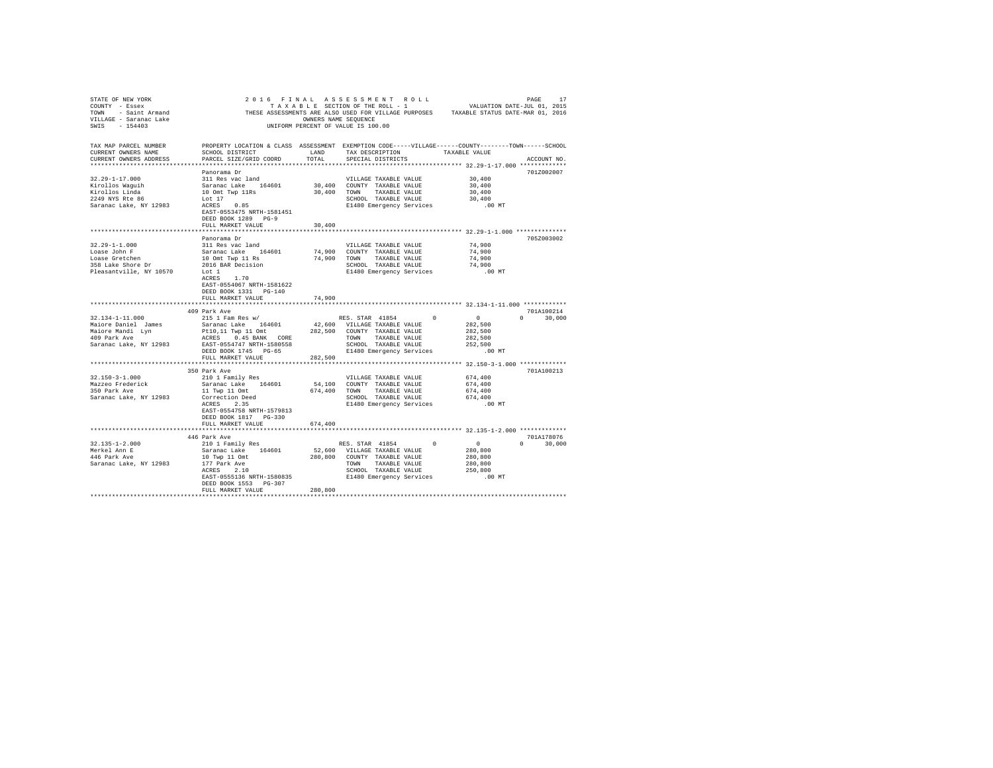| TAX MAP PARCEL NUMBER                                       | PROPERTY LOCATION & CLASS ASSESSMENT EXEMPTION CODE-----VILLAGE------COUNTY-------TOWN------SCHOOL          |         |                                 |              |                                                      |               |
|-------------------------------------------------------------|-------------------------------------------------------------------------------------------------------------|---------|---------------------------------|--------------|------------------------------------------------------|---------------|
| CURRENT OWNERS NAME                                         | SCHOOL DISTRICT                                                                                             | LAND    | TAX DESCRIPTION                 |              | TAXABLE VALUE                                        |               |
| CURRENT OWNERS ADDRESS                                      | PARCEL SIZE/GRID COORD                                                                                      | TOTAL   | SPECIAL DISTRICTS               |              |                                                      | ACCOUNT NO.   |
|                                                             |                                                                                                             |         |                                 |              |                                                      |               |
|                                                             | Panorama Dr                                                                                                 |         |                                 |              |                                                      | 701Z002007    |
| $32.29 - 1 - 17.000$                                        | 311 Res vac land                                                                                            |         | VILLAGE TAXABLE VALUE           |              | 30,400                                               |               |
|                                                             |                                                                                                             |         |                                 |              | 30,400                                               |               |
| Kirollos Waguih<br>Kirollos Linda<br>2249 NYS Rte 86        | Saranac Lake 164601 30,400 COUNTY TAXABLE VALUE<br>10 Omt Twp 11Rs 30,400 TOWN TAXABLE VALUE                |         |                                 |              | 30,400                                               |               |
|                                                             |                                                                                                             |         | SCHOOL TAXABLE VALUE            |              | 30,400                                               |               |
| 2249 NYS Rte 86 Lot 17<br>Saranac Lake, NY 12983 ACRES 0.85 |                                                                                                             |         | E1480 Emergency Services .00 MT |              |                                                      |               |
|                                                             | EAST-0553475 NRTH-1581451                                                                                   |         |                                 |              |                                                      |               |
|                                                             | DEED BOOK 1289 PG-9                                                                                         |         |                                 |              |                                                      |               |
|                                                             | FULL MARKET VALUE                                                                                           | 30,400  |                                 |              |                                                      |               |
|                                                             |                                                                                                             |         |                                 |              |                                                      |               |
|                                                             | Panorama Dr                                                                                                 |         |                                 |              |                                                      | 705Z003002    |
| $32.29 - 1 - 1.000$                                         | 311 Res vac land                                                                                            |         | VILLAGE TAXABLE VALUE           |              | 74,900                                               |               |
| Loase John F                                                |                                                                                                             |         | 74,900 COUNTY TAXABLE VALUE     |              | 74,900                                               |               |
| Loase Gretchen                                              |                                                                                                             |         | 74,900 TOWN TAXABLE VALUE       |              | 74,900                                               |               |
| 358 Lake Shore Dr                                           |                                                                                                             |         | SCHOOL TAXABLE VALUE            |              | 74,900                                               |               |
| Pleasantville, NY 10570                                     | Saranac Lake 164601<br>10 Omt Twp 11 Rs<br>2016 BAR Decision<br>Lot 1<br>ACRES 1.70                         |         | E1480 Emergency Services        |              | .00 MT                                               |               |
|                                                             |                                                                                                             |         |                                 |              |                                                      |               |
|                                                             | EAST-0554067 NRTH-1581622                                                                                   |         |                                 |              |                                                      |               |
|                                                             | DEED BOOK 1331 PG-140                                                                                       |         |                                 |              |                                                      |               |
|                                                             | FULL MARKET VALUE                                                                                           | 74,900  |                                 |              |                                                      |               |
|                                                             |                                                                                                             |         |                                 |              |                                                      |               |
|                                                             | 409 Park Ave                                                                                                |         |                                 |              |                                                      | 701A100214    |
| 32.134-1-11.000                                             | 215 1 Fam Res w/                                                                                            |         | RES. STAR 41854                 | 0            |                                                      | $0 \t 30,000$ |
|                                                             |                                                                                                             |         |                                 |              | $\begin{array}{c}0\\282,500\end{array}$              |               |
|                                                             |                                                                                                             |         |                                 |              | 282,500                                              |               |
|                                                             |                                                                                                             |         |                                 |              | 282,500                                              |               |
|                                                             |                                                                                                             |         |                                 |              | 252,500                                              |               |
|                                                             |                                                                                                             |         | E1480 Emergency Services        |              | .00MT                                                |               |
|                                                             | FULL MARKET VALUE                                                                                           | 282,500 |                                 |              |                                                      |               |
|                                                             |                                                                                                             |         |                                 |              |                                                      |               |
|                                                             | 350 Park Ave                                                                                                |         |                                 |              |                                                      | 701A100213    |
| $32.150 - 3 - 1.000$                                        | 210 1 Family Res                                                                                            |         | VILLAGE TAXABLE VALUE           |              | 674,400                                              |               |
|                                                             |                                                                                                             |         | 54,100 COUNTY TAXABLE VALUE     |              | 674,400                                              |               |
| Mazzeo Frederick<br>350 Park Ave                            | Saranac Lake<br>11 Twp 11 Omt<br>Correction Deed<br>$\begin{array}{ccc}\n & 674,400 \\ - & 35\n\end{array}$ |         | 674,400 TOWN TAXABLE VALUE      |              | 674,400                                              |               |
| Saranac Lake, NY 12983                                      |                                                                                                             |         | SCHOOL TAXABLE VALUE            |              | 674,400                                              |               |
|                                                             |                                                                                                             |         | E1480 Emergency Services        |              | .00 MT                                               |               |
|                                                             | EAST-0554758 NRTH-1579813                                                                                   |         |                                 |              |                                                      |               |
|                                                             |                                                                                                             |         |                                 |              |                                                      |               |
|                                                             | FULL MARKET VALUE                                                                                           | 674,400 |                                 |              |                                                      |               |
|                                                             |                                                                                                             |         |                                 |              |                                                      |               |
|                                                             | 446 Park Ave                                                                                                |         |                                 |              |                                                      | 701A178076    |
|                                                             |                                                                                                             |         |                                 | $\mathbf{0}$ |                                                      | $0 \t 30,000$ |
|                                                             |                                                                                                             |         |                                 |              | $\begin{smallmatrix}&&0\\&&280,800\end{smallmatrix}$ |               |
|                                                             |                                                                                                             |         |                                 |              | 280,800                                              |               |
|                                                             |                                                                                                             |         |                                 |              | 280,800                                              |               |
|                                                             |                                                                                                             |         | SCHOOL TAXABLE VALUE            |              | 250,800                                              |               |
|                                                             | EAST-0555136 NRTH-1580835                                                                                   |         | E1480 Emergency Services        |              | $.00$ MT                                             |               |
|                                                             | DEED BOOK 1553 PG-307                                                                                       |         |                                 |              |                                                      |               |
|                                                             | FULL MARKET VALUE                                                                                           | 280,800 |                                 |              |                                                      |               |
|                                                             |                                                                                                             |         |                                 |              |                                                      |               |
|                                                             |                                                                                                             |         |                                 |              |                                                      |               |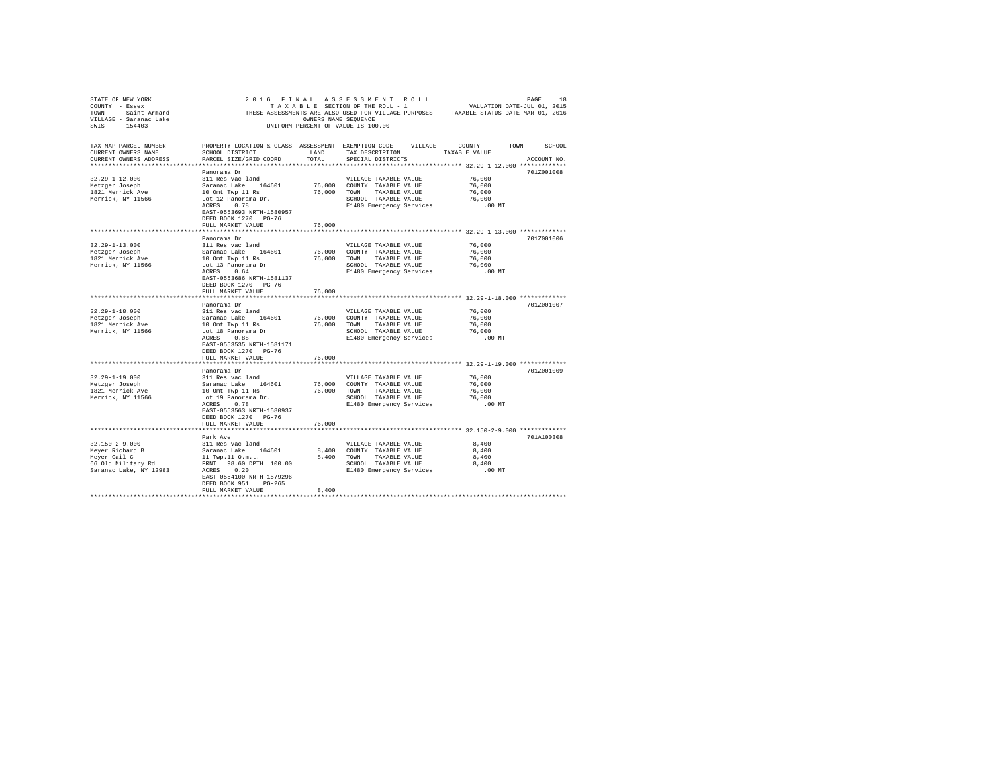| STATE OF NEW YORK         |                           |                      | 2016 FINAL ASSESSMENT ROLL         |                                                                                                    |             |
|---------------------------|---------------------------|----------------------|------------------------------------|----------------------------------------------------------------------------------------------------|-------------|
| COUNTY - Essex            |                           |                      | TAXABLE SECTION OF THE ROLL - 1    | PAGE 18<br>VALUATION DATE-JUL 01, 2015                                                             |             |
| TOWN - Saint Armand       |                           |                      |                                    | THESE ASSESSMENTS ARE ALSO USED FOR VILLAGE PURPOSES TAXABLE STATUS DATE-MAR 01, 2016              |             |
| VILLAGE - Saranac Lake    |                           | OWNERS NAME SEOUENCE |                                    |                                                                                                    |             |
| SWIS - 154403             |                           |                      | UNIFORM PERCENT OF VALUE IS 100.00 |                                                                                                    |             |
|                           |                           |                      |                                    |                                                                                                    |             |
|                           |                           |                      |                                    |                                                                                                    |             |
| TAX MAP PARCEL NUMBER     |                           |                      |                                    | PROPERTY LOCATION & CLASS ASSESSMENT EXEMPTION CODE-----VILLAGE------COUNTY-------TOWN------SCHOOL |             |
| CURRENT OWNERS NAME       | SCHOOL DISTRICT           | LAND                 | TAX DESCRIPTION                    | TAXABLE VALUE                                                                                      |             |
| CURRENT OWNERS ADDRESS    | PARCEL SIZE/GRID COORD    | TOTAL.               | SPECIAL DISTRICTS                  |                                                                                                    | ACCOUNT NO. |
| ************************* |                           |                      |                                    |                                                                                                    |             |
|                           | Panorama Dr               |                      |                                    |                                                                                                    | 701Z001008  |
| $32.29 - 1 - 12.000$      | 311 Res vac land          |                      | VILLAGE TAXABLE VALUE              | 76,000                                                                                             |             |
| Metzger Joseph            | Saranac Lake 164601       |                      | 76,000 COUNTY TAXABLE VALUE        | 76,000                                                                                             |             |
| 1821 Merrick Ave          | 10 Omt Twp 11 Rs          | 76,000               | TOWN TAXABLE VALUE                 | 76,000                                                                                             |             |
| Merrick, NY 11566         | Lot 12 Panorama Dr.       |                      | SCHOOL TAXABLE VALUE               | 76,000                                                                                             |             |
|                           |                           |                      |                                    |                                                                                                    |             |
|                           | ACRES 0.78                |                      | E1480 Emergency Services           | .00 MT                                                                                             |             |
|                           | EAST-0553693 NRTH-1580957 |                      |                                    |                                                                                                    |             |
|                           | DEED BOOK 1270 PG-76      |                      |                                    |                                                                                                    |             |
|                           | FULL MARKET VALUE         | 76,000               |                                    |                                                                                                    |             |
|                           |                           |                      |                                    |                                                                                                    |             |
|                           | Panorama Dr               |                      |                                    |                                                                                                    | 701Z001006  |
| $32.29 - 1 - 13.000$      | 311 Res vac land          |                      | VILLAGE TAXABLE VALUE              | 76,000                                                                                             |             |
| Metzger Joseph            | Saranac Lake 164601       | 76,000               | COUNTY TAXABLE VALUE               | 76,000                                                                                             |             |
| 1821 Merrick Ave          | 10 Omt Twp 11 Rs          | 76,000               | TOWN TAXABLE VALUE                 | 76,000                                                                                             |             |
| Merrick, NY 11566         | Lot 13 Panorama Dr        |                      | SCHOOL TAXABLE VALUE               | 76,000                                                                                             |             |
|                           | ACRES 0.64                |                      | E1480 Emergency Services           | $.00$ MT                                                                                           |             |
|                           | EAST-0553686 NRTH-1581137 |                      |                                    |                                                                                                    |             |
|                           | DEED BOOK 1270 PG-76      |                      |                                    |                                                                                                    |             |
|                           | FULL MARKET VALUE         | 76,000               |                                    |                                                                                                    |             |
|                           |                           |                      |                                    |                                                                                                    |             |
|                           |                           |                      |                                    |                                                                                                    | 701Z001007  |
|                           | Panorama Dr               |                      |                                    |                                                                                                    |             |
| $32.29 - 1 - 18.000$      | 311 Res vac land          |                      | VILLAGE TAXABLE VALUE              | 76,000                                                                                             |             |
| Metzger Joseph            | Saranac Lake 164601       | 76,000               | COUNTY TAXABLE VALUE               | 76,000                                                                                             |             |
| 1821 Merrick Ave          | 10 Omt Twp 11 Rs          | 76,000               | TOWN<br>TAXABLE VALUE              | 76,000                                                                                             |             |
| Merrick, NY 11566         | Lot 18 Panorama Dr        |                      | SCHOOL TAXABLE VALUE               | 76,000                                                                                             |             |
|                           | ACRES 0.88                |                      | E1480 Emergency Services           | .00MT                                                                                              |             |
|                           | EAST-0553535 NRTH-1581171 |                      |                                    |                                                                                                    |             |
|                           | DEED BOOK 1270 PG-76      |                      |                                    |                                                                                                    |             |
|                           | FULL MARKET VALUE         | 76,000               |                                    |                                                                                                    |             |
|                           | ***********************   |                      |                                    | ******************************** 32.29-1-19.000 *************                                      |             |
|                           | Panorama Dr               |                      |                                    |                                                                                                    | 701Z001009  |
| $32.29 - 1 - 19.000$      | 311 Res vac land          |                      | VILLAGE TAXABLE VALUE              | 76,000                                                                                             |             |
| Metzger Joseph            | Saranac Lake 164601       | 76,000               | COUNTY TAXABLE VALUE               | 76,000                                                                                             |             |
| 1821 Merrick Ave          | 10 Omt Twp 11 Rs          | 76,000               | TOWN TAXABLE VALUE                 | 76,000                                                                                             |             |
| Merrick, NY 11566         | Lot 19 Panorama Dr.       |                      | SCHOOL TAXABLE VALUE               | 76,000                                                                                             |             |
|                           | ACRES 0.78                |                      | E1480 Emergency Services           | $.00$ MT                                                                                           |             |
|                           |                           |                      |                                    |                                                                                                    |             |
|                           | EAST-0553563 NRTH-1580937 |                      |                                    |                                                                                                    |             |
|                           | DEED BOOK 1270 PG-76      |                      |                                    |                                                                                                    |             |
|                           | FULL MARKET VALUE         | 76,000               |                                    |                                                                                                    |             |
|                           |                           |                      |                                    |                                                                                                    |             |
|                           | Park Ave                  |                      |                                    |                                                                                                    | 701A100308  |
| $32.150 - 2 - 9.000$      | 311 Res vac land          |                      | VILLAGE TAXABLE VALUE              | 8,400                                                                                              |             |
| Meyer Richard B           | Saranac Lake 164601       |                      | 8,400 COUNTY TAXABLE VALUE         | 8,400                                                                                              |             |
| Meyer Gail C              | 11 Twp.11 0.m.t.          | 8,400                | TOWN TAXABLE VALUE                 | 8,400                                                                                              |             |
| 66 Old Military Rd        | FRNT 98.60 DPTH 100.00    |                      | SCHOOL TAXABLE VALUE               | 8,400                                                                                              |             |
| Saranac Lake, NY 12983    | ACRES 0.20                |                      | E1480 Emergency Services           | $.00$ MT                                                                                           |             |
|                           | EAST-0554100 NRTH-1579296 |                      |                                    |                                                                                                    |             |
|                           | DEED BOOK 951 PG-265      |                      |                                    |                                                                                                    |             |
|                           | FULL MARKET VALUE         | 8,400                |                                    |                                                                                                    |             |
|                           |                           |                      |                                    |                                                                                                    |             |
|                           |                           |                      |                                    |                                                                                                    |             |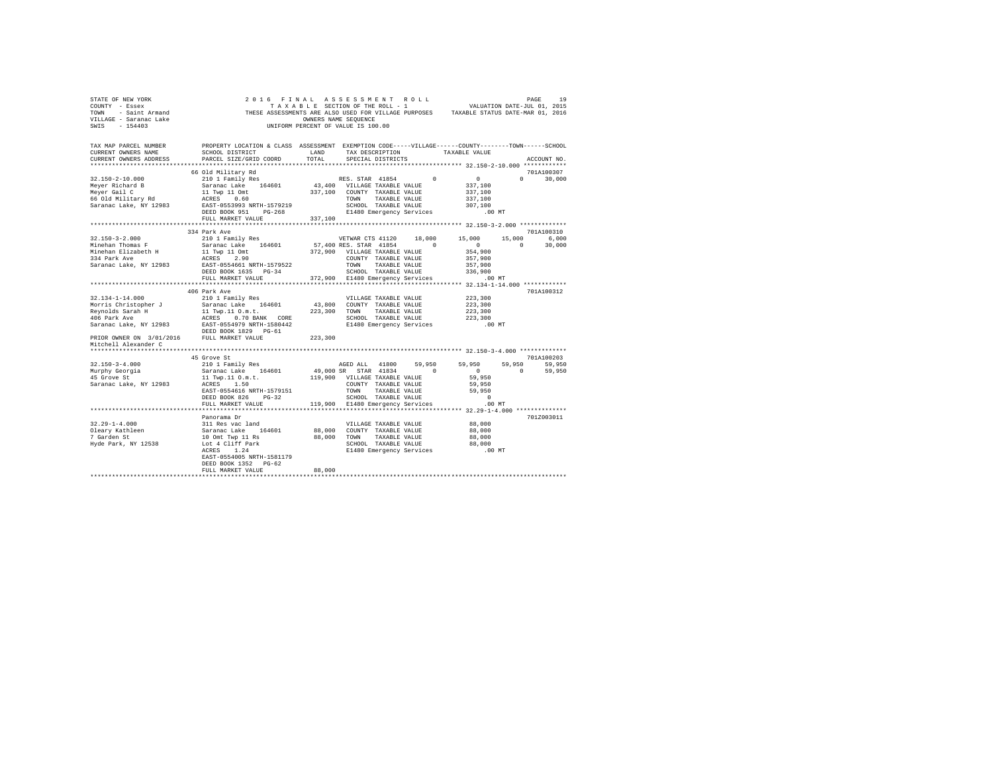| STATE OF NEW YORK THE SEXTED OF THE ALSE SESS OF THE ROLL THAT A LABLE THAT A LABLE OF THE SECTION OF THE SECTION OF THE ROLL - 1<br>COUNTY - Essex COUL COLL THESE ASSESSMENTS ARE ALSO USED FOR VILLAGE PURPOSES TAXABLE STATUS<br>VILLAGE - Saranac Lake<br>SWIS - 154403 |                                                                                                                                                              |               | OWNERS NAME SEOUENCE<br>UNIFORM PERCENT OF VALUE IS 100.00                                                                                                            |                                                 |          |                     |
|------------------------------------------------------------------------------------------------------------------------------------------------------------------------------------------------------------------------------------------------------------------------------|--------------------------------------------------------------------------------------------------------------------------------------------------------------|---------------|-----------------------------------------------------------------------------------------------------------------------------------------------------------------------|-------------------------------------------------|----------|---------------------|
| TAX MAP PARCEL NUMBER PROPERTY LOCATION & CLASS ASSESSMENT EXEMPTION CODE-----VILLAGE------COUNTY-------TOWN------SCHOOL<br>CURRENT OWNERS NAME<br>CURRENT OWNERS ADDRESS                                                                                                    | SCHOOL DISTRICT<br>PARCEL SIZE/GRID COORD                                                                                                                    | LAND<br>TOTAL | TAX DESCRIPTION<br>SPECIAL DISTRICTS                                                                                                                                  | TAXABLE VALUE                                   |          | ACCOUNT NO.         |
|                                                                                                                                                                                                                                                                              |                                                                                                                                                              |               |                                                                                                                                                                       | ****************** 32.150-2-10.000 ************ |          |                     |
|                                                                                                                                                                                                                                                                              | 66 Old Military Rd                                                                                                                                           |               |                                                                                                                                                                       |                                                 |          | 701A100307          |
| 32.150-2-10.000                                                                                                                                                                                                                                                              | 210 1 Family Res<br>Saranac Lake 164601                                                                                                                      |               | $\begin{tabular}{ccccc} & & & & & \text{RES. STAR} & 41854 & & 0 & & 0 \\ & & & & & & 0 & 0 \\ 43,400 & {\text{VILLAGE TAXABLE VALUE}} & & & & 337,100 \end{tabular}$ |                                                 |          | $0 \t 30,000$       |
|                                                                                                                                                                                                                                                                              |                                                                                                                                                              |               | 43,400 VILLAGE TAXABLE VALUE                                                                                                                                          |                                                 |          |                     |
| Meyer Richard B<br>Meyer Richard B<br>Meyer Gail C<br>66 Old Military Rd                                                                                                                                                                                                     |                                                                                                                                                              |               |                                                                                                                                                                       | 337,100                                         |          |                     |
|                                                                                                                                                                                                                                                                              | ACRES (60 – TOWN TAXABLE VALUE)<br>EAST-055393 NRTH-1579219 – SCHOOL TAXABLE VALUE<br>DEED BOOK 951 – PG-268 – E1480 Emergency Services                      |               |                                                                                                                                                                       | 337,100                                         |          |                     |
| Saranac Lake, NY 12983                                                                                                                                                                                                                                                       |                                                                                                                                                              |               |                                                                                                                                                                       | 307,100                                         |          |                     |
|                                                                                                                                                                                                                                                                              |                                                                                                                                                              |               |                                                                                                                                                                       | .00 MT                                          |          |                     |
|                                                                                                                                                                                                                                                                              | FULL MARKET VALUE<br>*****************************                                                                                                           | 337,100       |                                                                                                                                                                       |                                                 |          |                     |
|                                                                                                                                                                                                                                                                              |                                                                                                                                                              |               |                                                                                                                                                                       |                                                 |          |                     |
| $32.150 - 3 - 2.000$                                                                                                                                                                                                                                                         | 334 Park Ave<br>210 1 Family Res                                                                                                                             |               |                                                                                                                                                                       |                                                 | 15,000   | 701A100310<br>6.000 |
| Minehan Thomas F                                                                                                                                                                                                                                                             | Saranac Lake 164601 57,400 RES. STAR 41854 0                                                                                                                 |               | VETWAR CTS 41120 18,000 15,000                                                                                                                                        | $\sim$ 0                                        | $\sim$ 0 | 30,000              |
| Minehan Elizabeth H                                                                                                                                                                                                                                                          |                                                                                                                                                              |               |                                                                                                                                                                       | 354,900                                         |          |                     |
| 334 Park Ave                                                                                                                                                                                                                                                                 |                                                                                                                                                              |               |                                                                                                                                                                       | 357,900                                         |          |                     |
| Saranac Lake, NY 12983                                                                                                                                                                                                                                                       | EAST-0554661 NRTH-1579522                                                                                                                                    |               |                                                                                                                                                                       | 357,900                                         |          |                     |
|                                                                                                                                                                                                                                                                              | 312.900 VILLAGE TAXABLE VALUE<br>ACRES 2.900 COUNTY TAXABLE VALUE<br>RASE-0554661 NRTH-1579522 TOWN TAXABLE VALUE<br>DEED BOOK 1635 PG-34 TOWN TAXABLE VALUE |               |                                                                                                                                                                       | 336,900                                         |          |                     |
|                                                                                                                                                                                                                                                                              | FULL MARKET VALUE                                                                                                                                            |               | 372,900 E1480 Emergency Services                                                                                                                                      | .00MT                                           |          |                     |
|                                                                                                                                                                                                                                                                              | ***********************                                                                                                                                      |               |                                                                                                                                                                       |                                                 |          |                     |
|                                                                                                                                                                                                                                                                              | 406 Park Ave                                                                                                                                                 |               |                                                                                                                                                                       |                                                 |          | 701A100312          |
| 32.134-1-14.000                                                                                                                                                                                                                                                              | 210 1 Family Res                                                                                                                                             |               | VILLAGE TAXABLE VALUE                                                                                                                                                 | 223,300                                         |          |                     |
|                                                                                                                                                                                                                                                                              |                                                                                                                                                              |               | 43,800 COUNTY TAXABLE VALUE                                                                                                                                           | 223,300                                         |          |                     |
|                                                                                                                                                                                                                                                                              |                                                                                                                                                              |               | 223,300 TOWN TAXABLE VALUE                                                                                                                                            | 223,300                                         |          |                     |
|                                                                                                                                                                                                                                                                              |                                                                                                                                                              |               | SCHOOL TAXABLE VALUE                                                                                                                                                  | 223,300                                         |          |                     |
| Saranac Lake, NY 12983 EAST-0554979 NRTH-1580442<br>DEED BOOK 1829 PG-61                                                                                                                                                                                                     | DEED BOOK 1829 PG-61                                                                                                                                         |               | E1480 Emergency Services                                                                                                                                              | $.00$ MT                                        |          |                     |
| PRIOR OWNER ON 3/01/2016 FULL MARKET VALUE<br>Mitchell Alexander C                                                                                                                                                                                                           |                                                                                                                                                              | 223,300       |                                                                                                                                                                       |                                                 |          |                     |
|                                                                                                                                                                                                                                                                              |                                                                                                                                                              |               |                                                                                                                                                                       |                                                 |          |                     |
|                                                                                                                                                                                                                                                                              | 45 Grove St                                                                                                                                                  |               |                                                                                                                                                                       |                                                 |          | 701A100203          |
| $32.150 - 3 - 4.000$                                                                                                                                                                                                                                                         |                                                                                                                                                              |               |                                                                                                                                                                       |                                                 |          | 59,950 59,950       |
| Murphy Georgia<br>45 Grove St                                                                                                                                                                                                                                                | Saranac Lake 164601                                                                                                                                          |               | 49,000 SR STAR 41834 0                                                                                                                                                | $\sim$ 0                                        | $\sim$ 0 | 59,950              |
|                                                                                                                                                                                                                                                                              | 11 Twp.11 O.m.t. 119,900 VILLAGE TAXABLE VALUE<br>ACRES 1.50 COUNTY TAXABLE VALUE                                                                            |               |                                                                                                                                                                       | 59,950                                          |          |                     |
| Saranac Lake, NY 12983                                                                                                                                                                                                                                                       | EAST-0554616 NRTH-1579151                                                                                                                                    |               |                                                                                                                                                                       | 59,950<br>59.950                                |          |                     |
|                                                                                                                                                                                                                                                                              | DEED BOOK 826 PG-32                                                                                                                                          |               | TOWN TAXABLE VALUE                                                                                                                                                    | $\sim$ 0                                        |          |                     |
|                                                                                                                                                                                                                                                                              | FULL MARKET VALUE                                                                                                                                            |               | SCHOOL TAXABLE VALUE<br>119,900 E1480 Emergency Services                                                                                                              | $.00$ MT                                        |          |                     |
|                                                                                                                                                                                                                                                                              | ***********************                                                                                                                                      |               |                                                                                                                                                                       |                                                 |          |                     |
|                                                                                                                                                                                                                                                                              | Panorama Dr                                                                                                                                                  |               |                                                                                                                                                                       |                                                 |          | 701Z003011          |
|                                                                                                                                                                                                                                                                              | 311 Res vac land                                                                                                                                             |               | VILLAGE TAXABLE VALUE                                                                                                                                                 | 88,000                                          |          |                     |
|                                                                                                                                                                                                                                                                              | Saranac Lake 164601                                                                                                                                          |               | 88,000 COUNTY TAXABLE VALUE                                                                                                                                           | 88,000                                          |          |                     |
| 32.29-1-4.000<br>Oleary Kathleen<br>7 Garden St                                                                                                                                                                                                                              |                                                                                                                                                              |               | 88,000 TOWN TAXABLE VALUE                                                                                                                                             | 88,000                                          |          |                     |
| Hyde Park, NY 12538                                                                                                                                                                                                                                                          |                                                                                                                                                              |               | SCHOOL TAXABLE VALUE                                                                                                                                                  | 88,000                                          |          |                     |
|                                                                                                                                                                                                                                                                              | 10 Omt Twp 11 Rs<br>Lot 4 Cliff Park<br>ACRES 1.24                                                                                                           |               | E1480 Emergency Services .00 MT                                                                                                                                       |                                                 |          |                     |
|                                                                                                                                                                                                                                                                              | EAST-0554005 NRTH-1581179                                                                                                                                    |               |                                                                                                                                                                       |                                                 |          |                     |
|                                                                                                                                                                                                                                                                              | DEED BOOK 1352 PG-62                                                                                                                                         |               |                                                                                                                                                                       |                                                 |          |                     |
|                                                                                                                                                                                                                                                                              | FULL MARKET VALUE                                                                                                                                            | 88,000        |                                                                                                                                                                       |                                                 |          |                     |
|                                                                                                                                                                                                                                                                              |                                                                                                                                                              |               |                                                                                                                                                                       |                                                 |          |                     |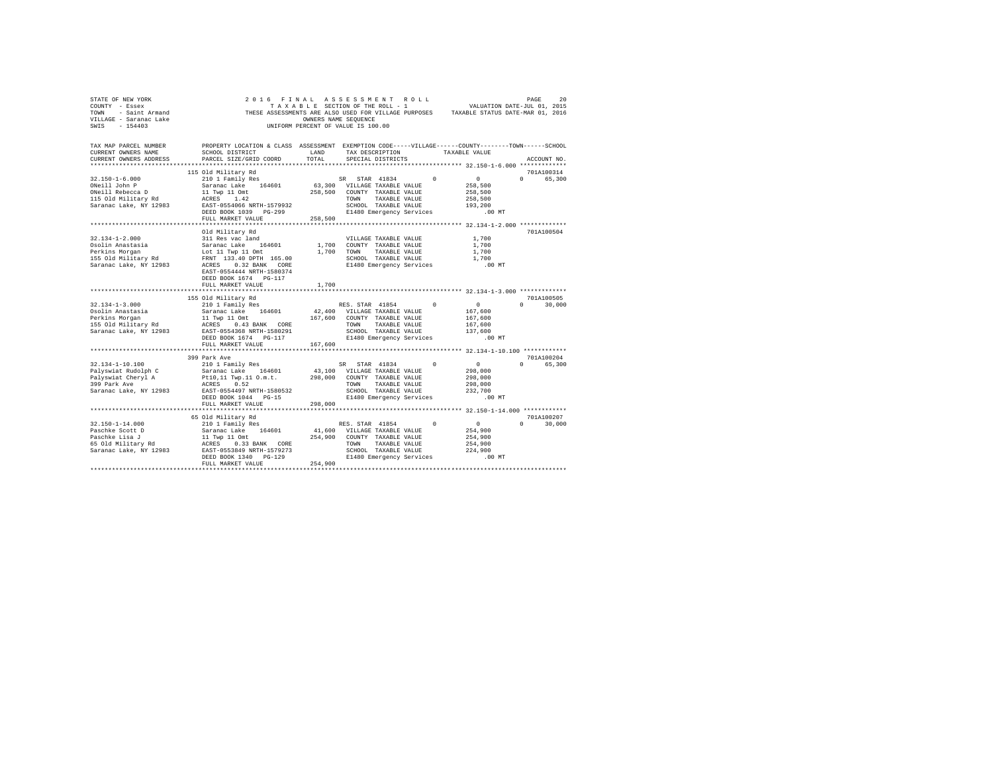| STATE OF NEW YORK<br>COUNTY - Essex<br>- Saint Armand<br>TOWN<br>VILLAGE - Saranac Lake<br>SWIS - 154403 | T A X A B L E SECTION OF THE ROLL - 1 VALUATION DATE-UUL UI, 2015<br>THESE ASSESSMENTS ARE ALSO USED FOR VILLAGE PURPOSES TAXABLE STATUS DATE-MAR 01, 2016 | OWNERS NAME SEQUENCE | 2016 FINAL ASSESSMENT ROLL<br>TAXABLE SECTION OF THE ROLL - 1<br>UNIFORM PERCENT OF VALUE IS 100.00 |          | VALUATION DATE-JUL 01, 2015 | PAGE | 20            |
|----------------------------------------------------------------------------------------------------------|------------------------------------------------------------------------------------------------------------------------------------------------------------|----------------------|-----------------------------------------------------------------------------------------------------|----------|-----------------------------|------|---------------|
| TAX MAP PARCEL NUMBER                                                                                    | PROPERTY LOCATION & CLASS ASSESSMENT EXEMPTION CODE-----VILLAGE-----COUNTY-------TOWN------SCHOOL                                                          |                      |                                                                                                     |          |                             |      |               |
| CURRENT OWNERS NAME                                                                                      | SCHOOL DISTRICT                                                                                                                                            | LAND                 | TAX DESCRIPTION                                                                                     |          | TAXABLE VALUE               |      |               |
| CURRENT OWNERS ADDRESS                                                                                   | PARCEL SIZE/GRID COORD                                                                                                                                     | TOTAL                | SPECIAL DISTRICTS                                                                                   |          |                             |      | ACCOUNT NO.   |
|                                                                                                          | 115 Old Military Rd                                                                                                                                        |                      |                                                                                                     |          |                             |      | 701A100314    |
| $32.150 - 1 - 6.000$                                                                                     | 210 1 Family Res                                                                                                                                           |                      | SR STAR 41834                                                                                       | $\Omega$ | $\sim$ 0                    |      | 0 65,300      |
| ONeill John P                                                                                            | Saranac Lake 164601                                                                                                                                        |                      | 63,300 VILLAGE TAXABLE VALUE                                                                        |          | 258,500                     |      |               |
| ONeill Rebecca D                                                                                         | 11 Twp 11 Omt                                                                                                                                              |                      | 258.500 COUNTY TAXABLE VALUE                                                                        |          | 258,500                     |      |               |
| 115 Old Military Rd                                                                                      | ACRES 1.42                                                                                                                                                 |                      | TOWN TAXABLE VALUE                                                                                  |          | 258,500                     |      |               |
| Saranac Lake, NY 12983                                                                                   | EAST-0554066 NRTH-1579932                                                                                                                                  |                      | SCHOOL TAXABLE VALUE                                                                                |          | 193,200                     |      |               |
|                                                                                                          | DEED BOOK 1039 PG-299                                                                                                                                      |                      | E1480 Emergency Services                                                                            |          | $.00$ MT                    |      |               |
|                                                                                                          | FULL MARKET VALUE                                                                                                                                          | 258,500              |                                                                                                     |          |                             |      |               |
|                                                                                                          |                                                                                                                                                            |                      |                                                                                                     |          |                             |      |               |
|                                                                                                          | Old Military Rd                                                                                                                                            |                      |                                                                                                     |          |                             |      | 701A100504    |
| $32.134 - 1 - 2.000$                                                                                     | 311 Res vac land<br>Saranac Lake 164601                                                                                                                    |                      | VILLAGE TAXABLE VALUE                                                                               |          | 1,700                       |      |               |
| Osolin Anastasia<br>Perkins Morgan                                                                       | Lot 11 Twp 11 Omt                                                                                                                                          |                      | 1,700 COUNTY TAXABLE VALUE<br>1,700 TOWN TAXABLE VALUE                                              |          | 1,700<br>1,700              |      |               |
| 155 Old Military Rd                                                                                      | FRNT 133.40 DPTH 165.00                                                                                                                                    |                      | SCHOOL TAXABLE VALUE                                                                                |          | 1,700                       |      |               |
| Saranac Lake, NY 12983                                                                                   | ACRES 0.32 BANK CORE                                                                                                                                       |                      | E1480 Emergency Services                                                                            |          | $.00$ MT                    |      |               |
|                                                                                                          | EAST-0554444 NRTH-1580374                                                                                                                                  |                      |                                                                                                     |          |                             |      |               |
|                                                                                                          | DEED BOOK 1674 PG-117                                                                                                                                      |                      |                                                                                                     |          |                             |      |               |
|                                                                                                          | FULL MARKET VALUE                                                                                                                                          | 1,700                |                                                                                                     |          |                             |      |               |
|                                                                                                          |                                                                                                                                                            |                      |                                                                                                     |          |                             |      |               |
|                                                                                                          | 155 Old Military Rd                                                                                                                                        |                      |                                                                                                     |          |                             |      | 701A100505    |
| $32.134 - 1 - 3.000$                                                                                     | 210 1 Family Res                                                                                                                                           |                      | RES. STAR 41854                                                                                     | $\Omega$ | $\sim$ 0                    |      | $0 \t 30.000$ |
| Osolin Anastasia<br>Perkins Morgan                                                                       | Saranac Lake 164601<br>11 Twp 11 Omt                                                                                                                       |                      | 42,400 VILLAGE TAXABLE VALUE                                                                        |          | 167,600                     |      |               |
| 155 Old Military Rd                                                                                      |                                                                                                                                                            |                      | 167,600 COUNTY TAXABLE VALUE                                                                        |          | 167,600                     |      |               |
| Saranac Lake, NY 12983                                                                                   | ACRES 0.43 BANK CORE<br>EAST-0554368 NRTH-1580291                                                                                                          |                      | TOWN TAXABLE VALUE<br>SCHOOL TAXABLE VALUE                                                          |          | 167,600<br>137,600          |      |               |
|                                                                                                          | DEED BOOK 1674 PG-117                                                                                                                                      |                      | E1480 Emergency Services                                                                            |          | .00MT                       |      |               |
|                                                                                                          | FULL MARKET VALUE                                                                                                                                          | 167,600              |                                                                                                     |          |                             |      |               |
|                                                                                                          |                                                                                                                                                            |                      |                                                                                                     |          |                             |      |               |
|                                                                                                          | 399 Park Ave                                                                                                                                               |                      |                                                                                                     |          |                             |      | 701A100204    |
| $32.134 - 1 - 10.100$                                                                                    | 210 1 Family Res                                                                                                                                           |                      | SR STAR 41834                                                                                       | $\Omega$ | $\sim$ 0 $\sim$             |      | 0 65.300      |
| Palyswiat Rudolph C                                                                                      | Saranac Lake 164601                                                                                                                                        |                      | 43,100 VILLAGE TAXABLE VALUE                                                                        |          | 298,000                     |      |               |
| Palyswiat Cheryl A<br>399 Park Ave                                                                       | Pt10,11 Twp.11 O.m.t. 298,000 COUNTY TAXABLE VALUE                                                                                                         |                      |                                                                                                     |          | 298,000                     |      |               |
|                                                                                                          | ACRES 0.52                                                                                                                                                 |                      | TOWN TAXABLE VALUE                                                                                  |          | 298,000                     |      |               |
| Saranac Lake, NY 12983                                                                                   | EAST-0554497 NRTH-1580532                                                                                                                                  |                      | SCHOOL TAXABLE VALUE                                                                                |          | 232,700                     |      |               |
|                                                                                                          | DEED BOOK 1044 PG-15                                                                                                                                       |                      | E1480 Emergency Services                                                                            |          | $.00$ MT                    |      |               |
|                                                                                                          | FULL MARKET VALUE                                                                                                                                          | 298,000              |                                                                                                     |          |                             |      |               |
|                                                                                                          | 65 Old Military Rd                                                                                                                                         |                      |                                                                                                     |          |                             |      | 701A100207    |
| $32.150 - 1 - 14.000$                                                                                    | 210 1 Family Res                                                                                                                                           |                      | RES. STAR 41854                                                                                     | $\Omega$ | $\mathbf{0}$                |      | $0 \t 30.000$ |
| Paschke Scott D                                                                                          | Saranac Lake 164601                                                                                                                                        |                      | 41,600 VILLAGE TAXABLE VALUE                                                                        |          | 254,900                     |      |               |
| Paschke Lisa J                                                                                           | 11 Twp 11 Omt                                                                                                                                              |                      | 254,900 COUNTY TAXABLE VALUE                                                                        |          | 254,900                     |      |               |
| 65 Old Military Rd                                                                                       | ACRES 0.33 BANK CORE                                                                                                                                       |                      | TOWN<br>TAXABLE VALUE                                                                               |          | 254,900                     |      |               |
| Saranac Lake, NY 12983                                                                                   | EAST-0553849 NRTH-1579273                                                                                                                                  |                      | SCHOOL TAXABLE VALUE                                                                                |          | 224,900                     |      |               |
|                                                                                                          | DEED BOOK 1340 PG-129                                                                                                                                      |                      | E1480 Emergency Services                                                                            |          | $.00$ MT                    |      |               |
|                                                                                                          | FULL MARKET VALUE                                                                                                                                          | 254,900              |                                                                                                     |          |                             |      |               |
|                                                                                                          |                                                                                                                                                            |                      |                                                                                                     |          |                             |      |               |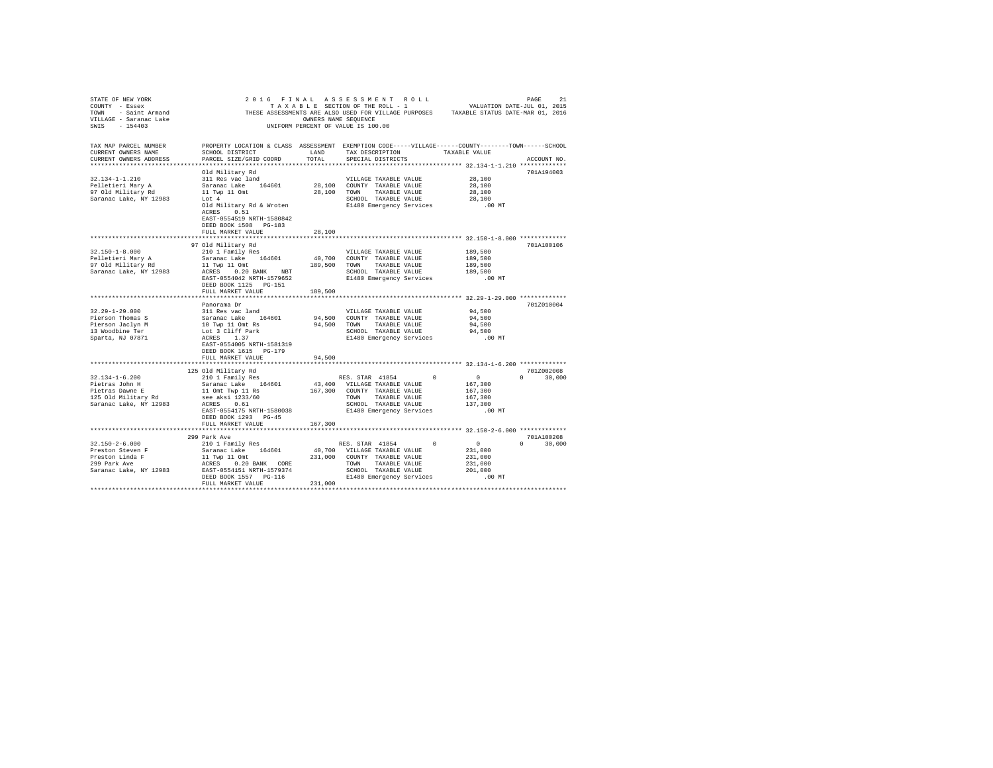| STATE OF NEW YORK                                                                                                                                                                                                                    |                                                                                                    |                              |                    |                   |                       |                                                            |          |               |  |
|--------------------------------------------------------------------------------------------------------------------------------------------------------------------------------------------------------------------------------------|----------------------------------------------------------------------------------------------------|------------------------------|--------------------|-------------------|-----------------------|------------------------------------------------------------|----------|---------------|--|
| COUNTY - Essex                                                                                                                                                                                                                       |                                                                                                    |                              |                    |                   |                       |                                                            |          |               |  |
| COUNTY - ESSEX ASSESSMENTS ARE ALSO USED FOR VILLAGE PURPOSES<br>TOWN - Saint Armand THESE ASSESSMENTS ARE ALSO USED FOR VILLAGE PURPOSES TAXABLE STATUS DATE-MAR 01, 2016<br>TILLAGE - 154403 - 154403 UNIFORM PERCENT OF VALUE IS  |                                                                                                    |                              |                    |                   |                       |                                                            |          |               |  |
|                                                                                                                                                                                                                                      |                                                                                                    |                              |                    |                   |                       |                                                            |          |               |  |
|                                                                                                                                                                                                                                      |                                                                                                    |                              |                    |                   |                       |                                                            |          |               |  |
|                                                                                                                                                                                                                                      |                                                                                                    |                              |                    |                   |                       |                                                            |          |               |  |
|                                                                                                                                                                                                                                      |                                                                                                    |                              |                    |                   |                       |                                                            |          |               |  |
| TAX MAP PARCEL NUMBER                                                                                                                                                                                                                | PROPERTY LOCATION & CLASS ASSESSMENT EXEMPTION CODE-----VILLAGE------COUNTY-------TOWN------SCHOOL |                              |                    |                   |                       |                                                            |          |               |  |
| CURRENT OWNERS NAME                                                                                                                                                                                                                  | SCHOOL DISTRICT                                                                                    | LAND                         |                    |                   |                       | TAX DESCRIPTION TAXABLE VALUE                              |          |               |  |
| CURRENT OWNERS ADDRESS                                                                                                                                                                                                               | PARCEL SIZE/GRID COORD                                                                             | TOTAL                        |                    | SPECIAL DISTRICTS |                       |                                                            |          | ACCOUNT NO.   |  |
|                                                                                                                                                                                                                                      |                                                                                                    |                              |                    |                   |                       |                                                            |          |               |  |
|                                                                                                                                                                                                                                      | Old Military Rd                                                                                    |                              |                    |                   |                       |                                                            |          | 701A194003    |  |
| $32.134 - 1 - 1.210$                                                                                                                                                                                                                 |                                                                                                    |                              |                    |                   |                       | VILLAGE TAXABLE VALUE 28,100                               |          |               |  |
| Pelletieri Mary A                                                                                                                                                                                                                    |                                                                                                    | 28,100 COUNTY TAXABLE VALUE  |                    |                   |                       | 28,100                                                     |          |               |  |
| Pelletieff mary A<br>97 Old Military Rd                                                                                                                                                                                              | 311 Res vac land<br>Saranac Lake 164601<br>11 Twp 11 Omt<br>Lot 4                                  | 28,100 TOWN TAXABLE VALUE    |                    |                   |                       | 28,100                                                     |          |               |  |
| Saranac Lake, NY 12983                                                                                                                                                                                                               |                                                                                                    |                              |                    |                   |                       |                                                            |          |               |  |
|                                                                                                                                                                                                                                      |                                                                                                    |                              |                    |                   |                       |                                                            |          |               |  |
|                                                                                                                                                                                                                                      |                                                                                                    |                              |                    |                   |                       |                                                            |          |               |  |
|                                                                                                                                                                                                                                      | ACRES 0.51                                                                                         |                              |                    |                   |                       |                                                            |          |               |  |
|                                                                                                                                                                                                                                      | EAST-0554519 NRTH-1580842                                                                          |                              |                    |                   |                       |                                                            |          |               |  |
|                                                                                                                                                                                                                                      | DEED BOOK 1508 PG-183                                                                              |                              |                    |                   |                       |                                                            |          |               |  |
|                                                                                                                                                                                                                                      | FULL MARKET VALUE                                                                                  | 28,100                       |                    |                   |                       |                                                            |          |               |  |
|                                                                                                                                                                                                                                      |                                                                                                    |                              |                    |                   |                       |                                                            |          |               |  |
|                                                                                                                                                                                                                                      | 97 Old Military Rd                                                                                 |                              |                    |                   |                       |                                                            |          | 701A100106    |  |
| $32.150 - 1 - 8.000$                                                                                                                                                                                                                 | 210 1 Family Res                                                                                   |                              |                    |                   | VILLAGE TAXABLE VALUE | 189,500                                                    |          |               |  |
|                                                                                                                                                                                                                                      |                                                                                                    |                              |                    |                   |                       | 189,500                                                    |          |               |  |
|                                                                                                                                                                                                                                      |                                                                                                    |                              |                    |                   |                       | 189,500                                                    |          |               |  |
|                                                                                                                                                                                                                                      |                                                                                                    |                              |                    |                   |                       |                                                            |          |               |  |
|                                                                                                                                                                                                                                      |                                                                                                    |                              |                    |                   |                       | 189,500                                                    |          |               |  |
|                                                                                                                                                                                                                                      |                                                                                                    |                              |                    |                   |                       |                                                            | $.00$ MT |               |  |
|                                                                                                                                                                                                                                      | DEED BOOK 1125 PG-151                                                                              |                              |                    |                   |                       |                                                            |          |               |  |
|                                                                                                                                                                                                                                      | FULL MARKET VALUE                                                                                  | 189,500                      |                    |                   |                       |                                                            |          |               |  |
|                                                                                                                                                                                                                                      |                                                                                                    |                              |                    |                   |                       |                                                            |          |               |  |
|                                                                                                                                                                                                                                      | Panorama Dr                                                                                        |                              |                    |                   |                       |                                                            |          | 701Z010004    |  |
| $32.29 - 1 - 29.000$                                                                                                                                                                                                                 | 311 Res vac land                                                                                   |                              |                    |                   | VILLAGE TAXABLE VALUE | 94,500                                                     |          |               |  |
| Pierson Thomas Saranac Lake 164601 94,500 COUNTY TAXABLE VALUE<br>Pierson Jackyn M 10 Twp 10 cm 8 94,500 TOWNY TAXABLE VALUE<br>13 Woodbine Ter 10 Lot 3 Cliff Park 94,500 TOWN TAXABLE VALUE<br>13 Woodbine Ter 10 Lot 3 Cliff Park |                                                                                                    |                              |                    |                   |                       | 94,500                                                     |          |               |  |
|                                                                                                                                                                                                                                      |                                                                                                    |                              |                    |                   |                       | 94,500                                                     |          |               |  |
|                                                                                                                                                                                                                                      |                                                                                                    |                              |                    |                   |                       |                                                            |          |               |  |
|                                                                                                                                                                                                                                      |                                                                                                    |                              |                    |                   |                       | 94,500<br>.00 MT                                           |          |               |  |
|                                                                                                                                                                                                                                      | EAST-0554005 NRTH-1581319                                                                          |                              |                    |                   |                       |                                                            |          |               |  |
|                                                                                                                                                                                                                                      |                                                                                                    |                              |                    |                   |                       |                                                            |          |               |  |
|                                                                                                                                                                                                                                      | DEED BOOK 1615 PG-179                                                                              |                              |                    |                   |                       |                                                            |          |               |  |
|                                                                                                                                                                                                                                      | FULL MARKET VALUE                                                                                  | 94,500                       |                    |                   |                       |                                                            |          |               |  |
|                                                                                                                                                                                                                                      |                                                                                                    |                              |                    |                   |                       |                                                            |          |               |  |
|                                                                                                                                                                                                                                      | 125 Old Military Rd                                                                                |                              |                    |                   |                       |                                                            |          | 701Z002008    |  |
| $32.134 - 1 - 6.200$                                                                                                                                                                                                                 | 210 1 Family Res                                                                                   |                              |                    |                   | RES. STAR 41854 0     | $\sim$ 0                                                   |          | $0 \t 30,000$ |  |
|                                                                                                                                                                                                                                      |                                                                                                    | 43,400 VILLAGE TAXABLE VALUE |                    |                   |                       | 167,300                                                    |          |               |  |
|                                                                                                                                                                                                                                      |                                                                                                    | 167,300 COUNTY TAXABLE VALUE |                    |                   |                       | 167,300                                                    |          |               |  |
|                                                                                                                                                                                                                                      |                                                                                                    |                              | TOWN TAXABLE VALUE |                   |                       | 167,300                                                    |          |               |  |
|                                                                                                                                                                                                                                      |                                                                                                    |                              |                    |                   |                       |                                                            |          |               |  |
|                                                                                                                                                                                                                                      | EAST-0554175 NRTH-1580038                                                                          |                              |                    |                   |                       |                                                            |          |               |  |
|                                                                                                                                                                                                                                      |                                                                                                    |                              |                    |                   |                       |                                                            |          |               |  |
|                                                                                                                                                                                                                                      | DEED BOOK 1293 PG-45                                                                               |                              |                    |                   |                       |                                                            |          |               |  |
|                                                                                                                                                                                                                                      | FULL MARKET VALUE                                                                                  | 167,300                      |                    |                   |                       |                                                            |          |               |  |
|                                                                                                                                                                                                                                      |                                                                                                    |                              |                    |                   |                       |                                                            |          |               |  |
|                                                                                                                                                                                                                                      | 299 Park Ave                                                                                       |                              |                    |                   |                       |                                                            |          | 701A100208    |  |
| $32.150 - 2 - 6.000$                                                                                                                                                                                                                 |                                                                                                    |                              |                    |                   |                       |                                                            |          | $0 \t 30,000$ |  |
| Preston Steven F                                                                                                                                                                                                                     |                                                                                                    |                              |                    |                   |                       | 231,000                                                    |          |               |  |
|                                                                                                                                                                                                                                      |                                                                                                    |                              |                    |                   |                       |                                                            |          |               |  |
| Preston Linda F<br>299 Park Ave                                                                                                                                                                                                      |                                                                                                    |                              |                    |                   |                       |                                                            |          |               |  |
| Saranac Lake, NY 12983                                                                                                                                                                                                               |                                                                                                    |                              |                    |                   |                       |                                                            |          |               |  |
|                                                                                                                                                                                                                                      |                                                                                                    |                              |                    |                   |                       | SCHOOL TAXABLE VALUE<br>E1480 Emergency Services [1480 CM] |          |               |  |
|                                                                                                                                                                                                                                      | FULL MARKET VALUE                                                                                  | 231,000                      |                    |                   |                       |                                                            |          |               |  |
|                                                                                                                                                                                                                                      |                                                                                                    |                              |                    |                   |                       |                                                            |          |               |  |
|                                                                                                                                                                                                                                      |                                                                                                    |                              |                    |                   |                       |                                                            |          |               |  |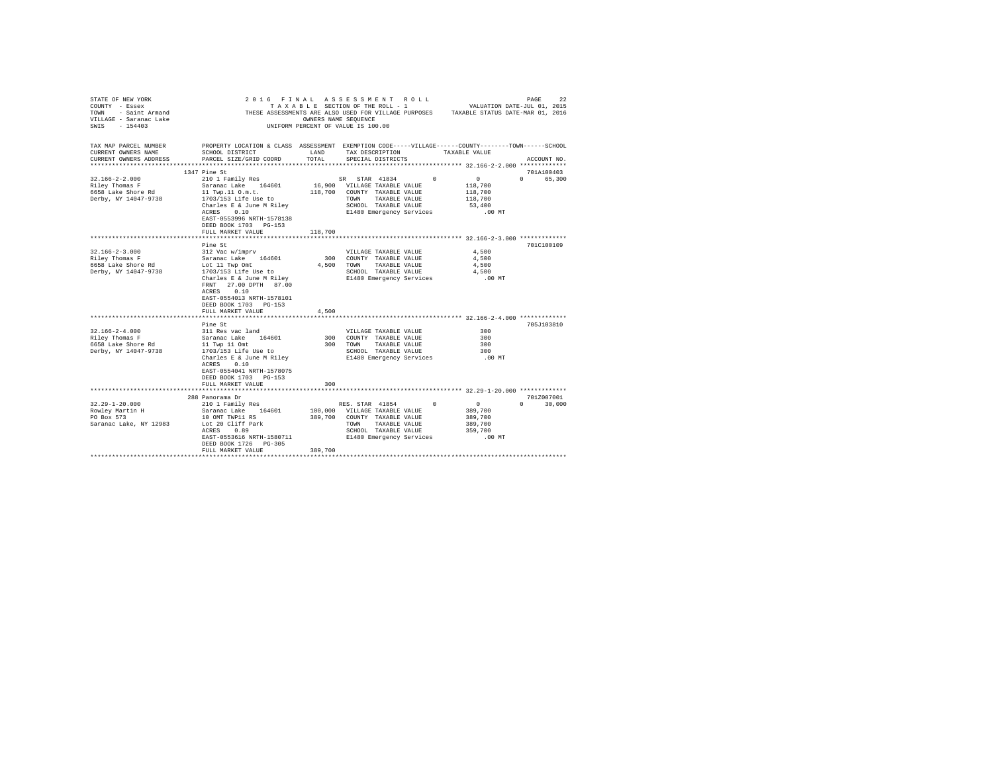| STATE OF NEW YORK                             |                                                                                                    |                      | 2016 FINAL ASSESSMENT ROLL         |               |                                                                                       | 22<br>PAGE                  |
|-----------------------------------------------|----------------------------------------------------------------------------------------------------|----------------------|------------------------------------|---------------|---------------------------------------------------------------------------------------|-----------------------------|
| COUNTY - Essex                                |                                                                                                    |                      | TAXABLE SECTION OF THE ROLL - 1    |               |                                                                                       | VALUATION DATE-JUL 01, 2015 |
| TOWN - Saint Armand<br>VILLAGE - Saranac Lake |                                                                                                    |                      |                                    |               | THESE ASSESSMENTS ARE ALSO USED FOR VILLAGE PURPOSES TAXABLE STATUS DATE-MAR 01, 2016 |                             |
|                                               |                                                                                                    | OWNERS NAME SEOUENCE |                                    |               |                                                                                       |                             |
| SWIS - 154403                                 |                                                                                                    |                      | UNIFORM PERCENT OF VALUE IS 100.00 |               |                                                                                       |                             |
|                                               |                                                                                                    |                      |                                    |               |                                                                                       |                             |
|                                               |                                                                                                    |                      |                                    |               |                                                                                       |                             |
| TAX MAP PARCEL NUMBER                         | PROPERTY LOCATION & CLASS ASSESSMENT EXEMPTION CODE-----VILLAGE------COUNTY-------TOWN------SCHOOL |                      |                                    |               |                                                                                       |                             |
| CURRENT OWNERS NAME                           | SCHOOL DISTRICT                                                                                    | LAND                 | TAX DESCRIPTION                    |               | TAXABLE VALUE                                                                         |                             |
| CURRENT OWNERS ADDRESS                        | PARCEL SIZE/GRID COORD                                                                             | TOTAL.               | SPECIAL DISTRICTS                  |               |                                                                                       | ACCOUNT NO.                 |
|                                               |                                                                                                    |                      |                                    |               |                                                                                       |                             |
|                                               | 1347 Pine St                                                                                       |                      |                                    |               |                                                                                       | 701A100403                  |
| $32.166 - 2 - 2.000$                          | 210 1 Family Res                                                                                   |                      | SR STAR 41834                      | $\sim$        | $\sim$ 0                                                                              | 0 65,300                    |
| Riley Thomas F                                | Saranac Lake 164601                                                                                |                      | 16,900 VILLAGE TAXABLE VALUE       |               | 118,700                                                                               |                             |
| 6658 Lake Shore Rd                            | 11 Twp.11 O.m.t.                                                                                   |                      | 118,700 COUNTY TAXABLE VALUE       |               | 118,700                                                                               |                             |
| Derby, NY 14047-9738                          | 1703/153 Life Use to                                                                               |                      | TOWN TAXABLE VALUE                 |               | 118,700                                                                               |                             |
|                                               | Charles E & June M Rilev                                                                           |                      | SCHOOL TAXABLE VALUE               |               | 53,400                                                                                |                             |
|                                               | ACRES 0.10                                                                                         |                      |                                    |               |                                                                                       |                             |
|                                               |                                                                                                    |                      | E1480 Emergency Services           |               | $.00$ MT                                                                              |                             |
|                                               | EAST-0553996 NRTH-1578138                                                                          |                      |                                    |               |                                                                                       |                             |
|                                               | DEED BOOK 1703 PG-153                                                                              |                      |                                    |               |                                                                                       |                             |
|                                               | FULL MARKET VALUE                                                                                  | 118,700              |                                    |               |                                                                                       |                             |
|                                               |                                                                                                    |                      |                                    |               |                                                                                       |                             |
|                                               | Pine St                                                                                            |                      |                                    |               |                                                                                       | 701C100109                  |
| $32.166 - 2 - 3.000$                          | 312 Vac w/imprv                                                                                    |                      | VILLAGE TAXABLE VALUE              |               | 4.500                                                                                 |                             |
| Riley Thomas F                                | Saranac Lake 164601                                                                                |                      | 300 COUNTY TAXABLE VALUE           |               | 4,500                                                                                 |                             |
| 6658 Lake Shore Rd                            | Lot 11 Twp Omt                                                                                     |                      | 4.500 TOWN                         | TAXABLE VALUE | 4,500                                                                                 |                             |
| Derby, NY 14047-9738                          | 1703/153 Life Use to                                                                               |                      | SCHOOL TAXABLE VALUE               |               | 4.500                                                                                 |                             |
|                                               | Charles E & June M Riley                                                                           |                      | E1480 Emergency Services           |               | $.00$ MT                                                                              |                             |
|                                               | FRNT 27.00 DPTH 87.00                                                                              |                      |                                    |               |                                                                                       |                             |
|                                               | ACRES 0.10                                                                                         |                      |                                    |               |                                                                                       |                             |
|                                               | EAST-0554013 NRTH-1578101                                                                          |                      |                                    |               |                                                                                       |                             |
|                                               | DEED BOOK 1703 PG-153                                                                              |                      |                                    |               |                                                                                       |                             |
|                                               | FULL MARKET VALUE                                                                                  | 4,500                |                                    |               |                                                                                       |                             |
|                                               |                                                                                                    |                      |                                    |               |                                                                                       |                             |
|                                               | Pine St                                                                                            |                      |                                    |               |                                                                                       | 705J103810                  |
| $32.166 - 2 - 4.000$                          | 311 Res vac land                                                                                   |                      |                                    |               | 300                                                                                   |                             |
|                                               |                                                                                                    |                      | VILLAGE TAXABLE VALUE              |               |                                                                                       |                             |
| Riley Thomas F                                | Saranac Lake 164601                                                                                |                      | 300 COUNTY TAXABLE VALUE           |               | 300                                                                                   |                             |
| 6658 Lake Shore Rd                            | 11 Twp 11 Omt                                                                                      |                      | 300 TOWN                           | TAXABLE VALUE | 300                                                                                   |                             |
| Derby, NY 14047-9738                          | 1703/153 Life Use to                                                                               |                      | SCHOOL TAXABLE VALUE               |               | 300                                                                                   |                             |
|                                               | Charles E & June M Riley                                                                           |                      | E1480 Emergency Services           |               | $.00$ MT                                                                              |                             |
|                                               | ACRES 0.10                                                                                         |                      |                                    |               |                                                                                       |                             |
|                                               | EAST-0554041 NRTH-1578075                                                                          |                      |                                    |               |                                                                                       |                             |
|                                               | DEED BOOK 1703 PG-153                                                                              |                      |                                    |               |                                                                                       |                             |
|                                               | FULL MARKET VALUE                                                                                  | 300                  |                                    |               |                                                                                       |                             |
|                                               |                                                                                                    |                      |                                    |               |                                                                                       |                             |
|                                               | 288 Panorama Dr                                                                                    |                      |                                    |               |                                                                                       | 701Z007001                  |
| $32.29 - 1 - 20.000$                          | 210 1 Family Res                                                                                   |                      | RES. STAR 41854                    | $^{\circ}$    | $\sim$ 0                                                                              | $\Omega$<br>30,000          |
| Rowley Martin H                               | Saranac Lake 164601                                                                                |                      | 100,000 VILLAGE TAXABLE VALUE      |               | 389,700                                                                               |                             |
| PO Box 573                                    | 10 OMT TWP11 RS                                                                                    | 389,700              | COUNTY TAXABLE VALUE               |               | 389,700                                                                               |                             |
| Saranac Lake, NY 12983                        | Lot 20 Cliff Park                                                                                  |                      | TOWN<br>TAXABLE VALUE              |               | 389,700                                                                               |                             |
|                                               | ACRES<br>0.89                                                                                      |                      | SCHOOL TAXABLE VALUE               |               | 359,700                                                                               |                             |
|                                               | EAST-0553616 NRTH-1580711                                                                          |                      | E1480 Emergency Services           |               | .00 MT                                                                                |                             |
|                                               | DEED BOOK 1726 PG-305                                                                              |                      |                                    |               |                                                                                       |                             |
|                                               |                                                                                                    | 389,700              |                                    |               |                                                                                       |                             |
|                                               | FULL MARKET VALUE                                                                                  |                      |                                    |               |                                                                                       |                             |
|                                               |                                                                                                    |                      |                                    |               |                                                                                       |                             |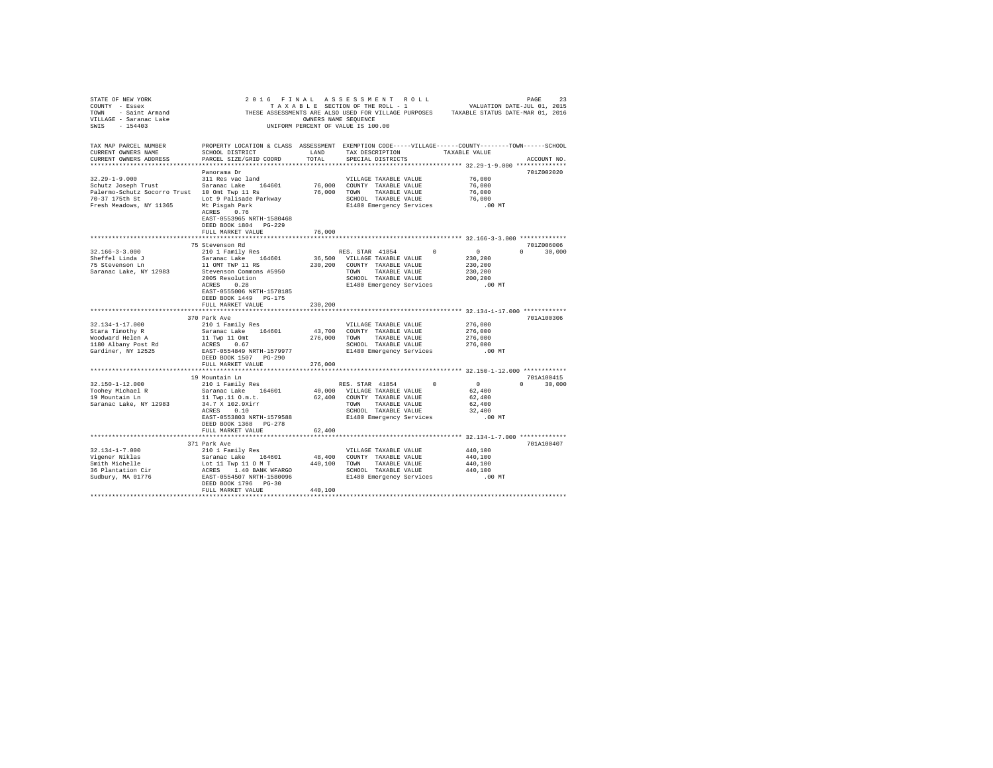| STATE OF NEW YORK<br>COUNTY - Essex<br>NET - ESSENT THESE ASSESSMENTS ARE ALSO USED FOR VILLAGE FURPOSES TAXABLE STATUS DATE-MAR 01, 2016<br>1999 - Saint Armand Lake (1999) The Saint September 1999 - Saint September 1999 - Saint Armand Lake (1999) - S<br>1999 - Saint |                                                                                                                                                                                                                                                                                                               |               |                                                                                                                                                             |            |                                                                                                                            |                             |  |
|-----------------------------------------------------------------------------------------------------------------------------------------------------------------------------------------------------------------------------------------------------------------------------|---------------------------------------------------------------------------------------------------------------------------------------------------------------------------------------------------------------------------------------------------------------------------------------------------------------|---------------|-------------------------------------------------------------------------------------------------------------------------------------------------------------|------------|----------------------------------------------------------------------------------------------------------------------------|-----------------------------|--|
| TAX MAP PARCEL NUMBER<br>CURRENT OWNERS NAME<br>CURRENT OWNERS ADDRESS                                                                                                                                                                                                      | PROPERTY LOCATION & CLASS ASSESSMENT EXEMPTION CODE-----VILLAGE------COUNTY-------TOWN------SCHOOL<br>SCHOOL DISTRICT<br>PARCEL SIZE/GRID COORD                                                                                                                                                               | LAND<br>TOTAL | TAX DESCRIPTION<br>SPECIAL DISTRICTS                                                                                                                        |            | TAXABLE VALUE                                                                                                              | ACCOUNT NO.                 |  |
| $32.29 - 1 - 9.000$<br>Schutz Joseph Trust 1997 - Saranac Lake 164601<br>Palermo-Schutz Socorro Trust 10 Omt Twp 11 Rs<br>70-37 175th St Lot 9 Palisade Parkway<br>Fresh Meadows, NY 11365 Mt Pisgah Park                                                                   | Panorama Dr<br>311 Res vac land<br>ACRES 0.76<br>EAST-0553965 NRTH-1580468<br>DEED BOOK 1804 PG-229<br>FULL MARKET VALUE                                                                                                                                                                                      | 76,000        | VILLAGE TAXABLE VALUE<br>76,000 COUNTY TAXABLE VALUE<br>76,000 TOWN TAXABLE VALUE                                                                           |            | 76,000<br>76,000<br>76,000<br>SCHOOL TAXABLE VALUE 76,000<br>E1480 Emergency Services .00 MT                               | 701Z002020                  |  |
|                                                                                                                                                                                                                                                                             |                                                                                                                                                                                                                                                                                                               |               |                                                                                                                                                             |            | ******************** 32.166-3-3.000 *************                                                                          |                             |  |
| $32.166 - 3 - 3.000$<br>Sheffel Linda J<br>75 Stevenson Ln<br>Saranac Lake, NY 12983                                                                                                                                                                                        | 75 Stevenson Rd<br>210 1 Family Res<br>Saranac Lake 164601<br>11 OMT TWP 11 RS<br>Stevenson Commons #5950<br>2005 Resolution<br>ACRES 0.28<br>EAST-0555006 NRTH-1578185<br>DEED BOOK 1449 PG-175                                                                                                              |               | RES. STAR 41854 0<br>36,500 VILLAGE TAXABLE VALUE<br>230,200 COUNTY TAXABLE VALUE<br>TOWN TAXABLE VALUE<br>SCHOOL TAXABLE VALUE<br>E1480 Emergency Services |            | $\begin{smallmatrix}&&0\2&3&0\,2&0&0\2&3&0\,2&0&0\end{smallmatrix}$<br>230,200<br>200,200<br>.00 MT                        | 701Z006006<br>$0 \t 30.000$ |  |
|                                                                                                                                                                                                                                                                             | FULL MARKET VALUE                                                                                                                                                                                                                                                                                             | 230,200       |                                                                                                                                                             |            |                                                                                                                            |                             |  |
| 32.134-1-17.000<br>Stara Timothy R<br>Woodward Helen A<br>1180 Albany Post Rd<br>Gardiner, NY 12525                                                                                                                                                                         | 370 Park Ave<br>210 1 Family Res<br>Saranac Lake 164601 43,700 COUNTY TAXABLE VALUE<br>11 Twp 11 Omt 276,000 TOWN TAXABLE VALUE ACRES 0.00 TOWN SCHOOL TAXABLE VALUE ACRES 0.067<br>ACRES 0.067 RETH-1579977 SCHOOL TAXABLE VALUE EAST-0554849 NRTH-1579977 E1480 Emergency Services<br>DEED BOOK 1507 PG-290 |               | VILLAGE TAXABLE VALUE                                                                                                                                       |            | 276,000<br>276,000<br>276,000<br>SCHOOL TAXABLE VALUE 1<br>SCHOOL TAXABLE VALUE 176,000<br>E1480 Emergency Services .00 MT | 701A100306                  |  |
|                                                                                                                                                                                                                                                                             | FULL MARKET VALUE                                                                                                                                                                                                                                                                                             | 276,000       |                                                                                                                                                             |            |                                                                                                                            |                             |  |
| 32.150-1-12.000<br>Toohey Michael R<br>19 Mountain Ln<br>Saranac Lake, NY 12983                                                                                                                                                                                             | 19 Mountain Ln<br>210 1 Family Res<br>Saranac Lake 164601<br>11 Twp.11 0.m.t.<br>34.7 X 102.9Xirr<br>ACRES 0.10<br>ACRES 0.10<br>EAST-0553803 NRTH-1579588 E1480 Emergency Services<br>DEED BOOK 1368 PG-278                                                                                                  |               | RES. STAR 41854<br>40,000 VILLAGE TAXABLE VALUE<br>62,400 COUNTY TAXABLE VALUE<br>TOWN TAXABLE VALUE<br>SCHOOL TAXABLE VALUE                                | $^{\circ}$ | $\sim$ 0<br>62,400<br>62,400<br>62,400<br>32,400<br>.00 MT                                                                 | 701A100415<br>$0 \t 30.000$ |  |
|                                                                                                                                                                                                                                                                             | FULL MARKET VALUE                                                                                                                                                                                                                                                                                             | 62,400        |                                                                                                                                                             |            |                                                                                                                            |                             |  |
| $32.134 - 1 - 7.000$<br>32.134-1-7.000<br>Vigener Niklas<br>Smith Michelle<br>36 Plantation Cir<br>Sudbury, MA 01776                                                                                                                                                        | 371 Park Ave<br>210 1 Family Res<br>DEED BOOK 1796 PG-30                                                                                                                                                                                                                                                      |               | VILLAGE TAXABLE VALUE<br>48,400 COUNTY TAXABLE VALUE                                                                                                        |            | **************** 32.134-1-7.000 *************<br>440,100<br>440,100<br>440,100<br>440,100<br>.00MT                         | 701A100407                  |  |
|                                                                                                                                                                                                                                                                             | FULL MARKET VALUE                                                                                                                                                                                                                                                                                             | 440,100       |                                                                                                                                                             |            |                                                                                                                            |                             |  |
|                                                                                                                                                                                                                                                                             |                                                                                                                                                                                                                                                                                                               |               |                                                                                                                                                             |            |                                                                                                                            |                             |  |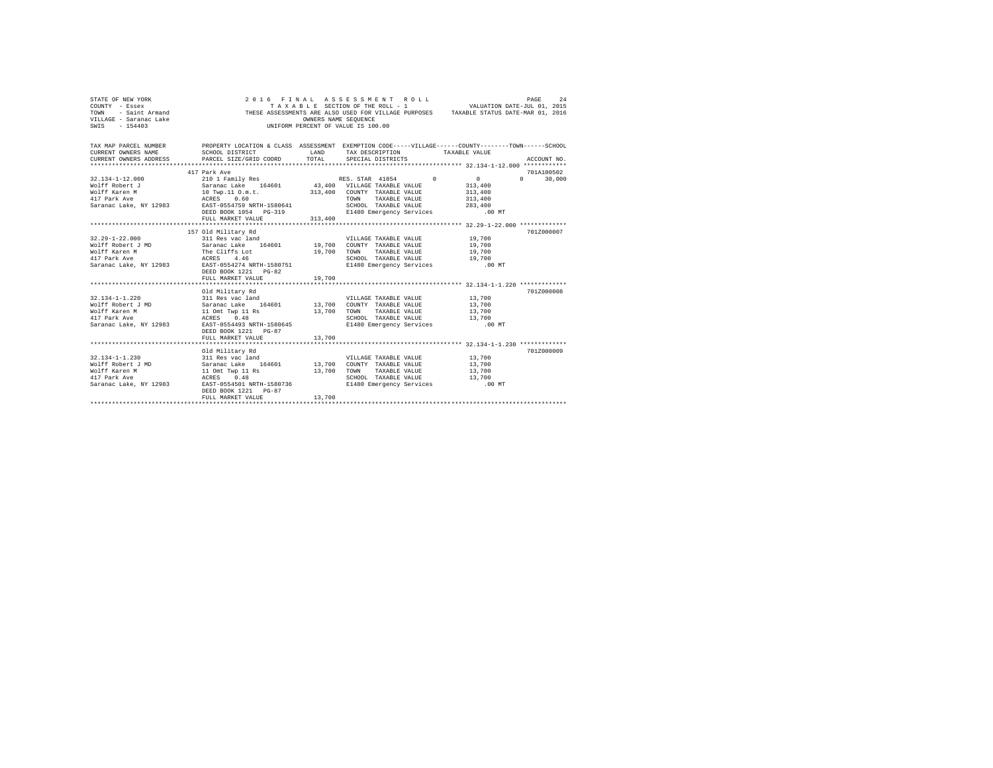| STATE OF NEW YORK<br>COUNTY - Essex<br>- Saint Armand<br>TOWN<br>VILLAGE - Saranac Lake<br>SWIS - 154403                                                                                                                                                 |                                                                                                                                                                                                                         | OWNERS NAME SEQUENCE | 2016 FINAL ASSESSMENT ROLL<br>TAXABLE SECTION OF THE ROLL - 1 VALUATION DATE-JUL 01, 2015<br>THESE ASSESSMENTS ARE ALSO USED FOR VILLAGE PURPOSES TAXABLE STATUS DATE-MAR 01, 2016<br>UNIFORM PERCENT OF VALUE IS 100.00 |                                                                                        | PAGE<br>2.4   |  |  |  |  |  |
|----------------------------------------------------------------------------------------------------------------------------------------------------------------------------------------------------------------------------------------------------------|-------------------------------------------------------------------------------------------------------------------------------------------------------------------------------------------------------------------------|----------------------|--------------------------------------------------------------------------------------------------------------------------------------------------------------------------------------------------------------------------|----------------------------------------------------------------------------------------|---------------|--|--|--|--|--|
| TAX MAP PARCEL NUMBER THE PROPERTY LOCATION & CLASS ASSESSMENT EXEMPTION CODE-----VILLAGE------COUNTY-------TOWN------SCHOOL<br>CURRENT OWNERS NAME<br>CURRENT OWNERS ADDRESS                                                                            | SCHOOL DISTRICT<br>PARCEL SIZE/GRID COORD                                                                                                                                                                               | LAND<br>TOTAL        | TAX DESCRIPTION<br>SPECIAL DISTRICTS                                                                                                                                                                                     | TAXABLE VALUE                                                                          | ACCOUNT NO.   |  |  |  |  |  |
| 417 Park Ave<br>701A100502                                                                                                                                                                                                                               |                                                                                                                                                                                                                         |                      |                                                                                                                                                                                                                          |                                                                                        |               |  |  |  |  |  |
| $32.134 - 1 - 12.000$<br>Wolff Robert J<br>Wolff Karen M<br>$\begin{array}{lll} \texttt{417} \texttt{ Park} \texttt{ Ave} & \texttt{ACRES} & 0.60 \\ \texttt{Sarnac Lake}, \texttt{ NY} \texttt{12983} & \texttt{EAST-0554759 NRTH-1580641} \end{array}$ | 210 1 Family Res RES. STAR 41854 0<br>10 Twp.11 O.m.t.<br>DEED BOOK 1054 PG-319<br>FULL MARKET VALUE                                                                                                                    | 313,400              | TOWN<br>TAXABLE VALUE<br>SCHOOL TAXABLE VALUE<br>E1480 Emergency Services                                                                                                                                                | $\sim$ 0.000 $\sim$ 0.000 $\sim$<br>313,400<br>313,400<br>313,400<br>283,400<br>.00 MT | $0 \t 30.000$ |  |  |  |  |  |
|                                                                                                                                                                                                                                                          |                                                                                                                                                                                                                         |                      |                                                                                                                                                                                                                          |                                                                                        |               |  |  |  |  |  |
| $32.29 - 1 - 22.000$<br>Wolff Robert J MD<br>Wolff Karen M<br>417 Park Ave<br>Saranac Lake, NY 12983                                                                                                                                                     | 157 Old Military Rd<br>old military kd<br>311 Res vac land<br>Saranac Lake 164601 19,700 COUNTY TAXABLE VALUE<br>The Cliffs Lot<br>ACRES 4.46<br>EAST-0554274 NRTH-1580751<br>DEED BOOK 1221 PG-82<br>FULL MARKET VALUE | 19,700<br>19,700     | VILLAGE TAXABLE VALUE<br>TOWN TAXABLE VALUE<br>SCHOOL TAXABLE VALUE<br>E1480 Emergency Services .00 MT                                                                                                                   | 19,700<br>19,700<br>19,700<br>19,700                                                   | 701Z000007    |  |  |  |  |  |
|                                                                                                                                                                                                                                                          | Old Military Rd                                                                                                                                                                                                         |                      |                                                                                                                                                                                                                          |                                                                                        | 701Z000008    |  |  |  |  |  |
| $32.134 - 1 - 1.220$<br>Wolff Robert J MD<br>Wolff Karen M<br>417 Park Ave<br>Saranac Lake, NY 12983                                                                                                                                                     | Old Military Rd<br>311 Res vac land<br>Saranac Lake 164601 13,700 COUNTY TAXABLE VALUE<br>Sarahat name<br>11 Omt Twp 11 Rs<br>EAST-0554493 NRTH-1580645<br>DEED BOOK 1221 PG-87                                         |                      | VILLAGE TAXABLE VALUE<br>13,700 TOWN TAXABLE VALUE<br>SCHOOL TAXABLE VALUE<br>E1480 Emergency Services .00 MT                                                                                                            | 13,700<br>13,700<br>13,700<br>13,700                                                   |               |  |  |  |  |  |
|                                                                                                                                                                                                                                                          | FULL MARKET VALUE                                                                                                                                                                                                       | 13,700               |                                                                                                                                                                                                                          |                                                                                        |               |  |  |  |  |  |
|                                                                                                                                                                                                                                                          |                                                                                                                                                                                                                         |                      |                                                                                                                                                                                                                          |                                                                                        |               |  |  |  |  |  |
| $32.134 - 1 - 1.230$<br>Wolff Robert J MD<br>Wolff Karen M<br>417 Park Ave<br>Saranac Lake, NY 12983                                                                                                                                                     | Old Military Rd<br>311 Res vac land<br>Saranac Lake 164601 13,700<br>11 Omt Twp 11 Rs $13,700$<br>ACRES $0.48$<br>EAST-0554501 NRTH-1580736<br>DEED BOOK 1221 PG-87<br>FULL MARKET VALUE                                | 13,700               | VILLAGE TAXABLE VALUE<br>COUNTY TAXABLE VALUE<br>TOWN TAXABLE VALUE<br>SCHOOL TAXABLE VALUE<br>E1480 Emergency Services .00 MT                                                                                           | 13,700<br>13,700<br>13,700<br>13,700                                                   | 7017000009    |  |  |  |  |  |
|                                                                                                                                                                                                                                                          |                                                                                                                                                                                                                         |                      |                                                                                                                                                                                                                          |                                                                                        |               |  |  |  |  |  |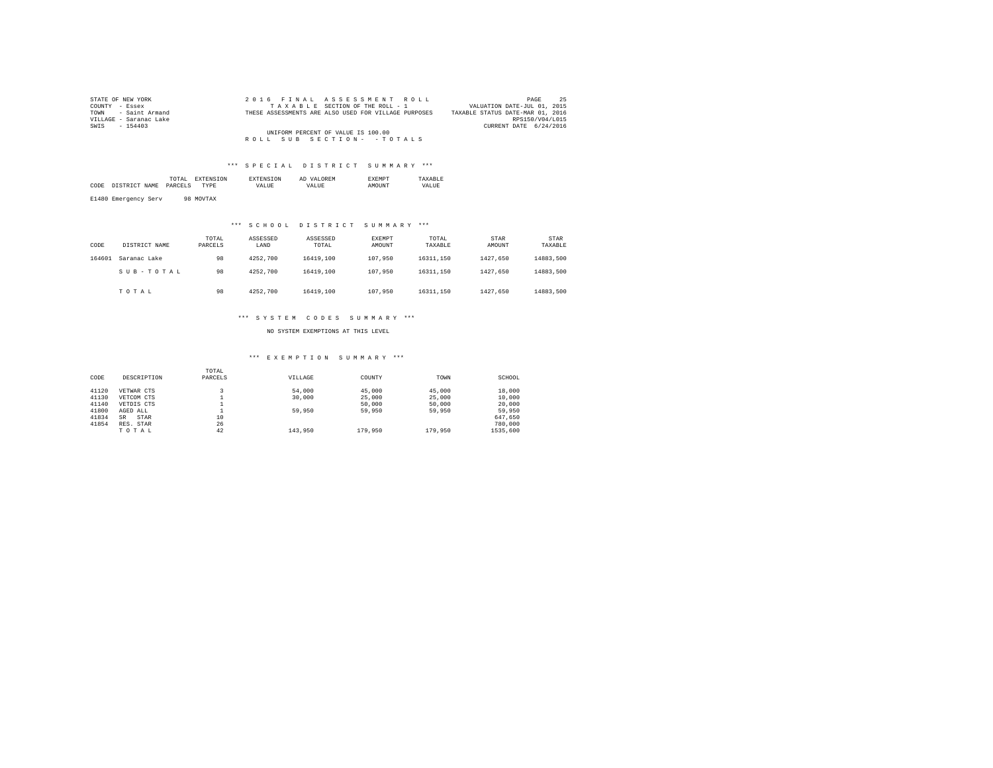| STATE OF NEW YORK                  |  | 2016 FINAL ASSESSMENT ROLL                           | -25<br>PAGE                      |  |  |  |  |  |
|------------------------------------|--|------------------------------------------------------|----------------------------------|--|--|--|--|--|
| COUNTY - Essex                     |  | TAXABLE SECTION OF THE ROLL - 1                      | VALUATION DATE-JUL 01, 2015      |  |  |  |  |  |
| TOWN - Saint Armand                |  | THESE ASSESSMENTS ARE ALSO USED FOR VILLAGE PURPOSES | TAXABLE STATUS DATE-MAR 01, 2016 |  |  |  |  |  |
| VILLAGE - Saranac Lake             |  |                                                      | RPS150/V04/L015                  |  |  |  |  |  |
| SWIS - 154403                      |  |                                                      | CURRENT DATE 6/24/2016           |  |  |  |  |  |
| UNIFORM PERCENT OF VALUE IS 100.00 |  |                                                      |                                  |  |  |  |  |  |
|                                    |  | ROLL SUB SECTION- - TOTALS                           |                                  |  |  |  |  |  |

|      |                      | 'TAL<br>the contract of the contract of the contract of |    |             | AL<br>,, |       |
|------|----------------------|---------------------------------------------------------|----|-------------|----------|-------|
| CODE | ' CTD<br>AME<br>$ -$ | DAR(<br>ישי                                             | ъF | <b>ALUI</b> | $\cdots$ | VALUE |
|      |                      |                                                         |    |             |          |       |

E1480 Emergency Serv 98 MOVTAX

## \*\*\* S C H O O L D I S T R I C T S U M M A R Y \*\*\*

| CODE   | DISTRICT NAME | TOTAL<br>PARCELS | ASSESSED<br>LAND | ASSESSED<br>TOTAL | EXEMPT<br>AMOUNT | TOTAL<br>TAXABLE | STAR<br>AMOUNT | STAR<br>TAXABLE |
|--------|---------------|------------------|------------------|-------------------|------------------|------------------|----------------|-----------------|
| 164601 | Saranac Lake  | 98               | 4252.700         | 16419,100         | 107,950          | 16311.150        | 1427.650       | 14883.500       |
|        | SUB-TOTAL     | 98               | 4252.700         | 16419,100         | 107,950          | 16311.150        | 1427.650       | 14883.500       |
|        | TOTAL         | 98               | 4252.700         | 16419,100         | 107,950          | 16311.150        | 1427.650       | 14883.500       |

### \*\*\* S Y S T E M C O D E S S U M M A R Y \*\*\*

NO SYSTEM EXEMPTIONS AT THIS LEVEL

### \*\*\* E X E M P T I O N S U M M A R Y \*\*\*

|       |                   | TOTAL   |         |         |         |          |
|-------|-------------------|---------|---------|---------|---------|----------|
| CODE  | DESCRIPTION       | PARCELS | VILLAGE | COUNTY  | TOWN    | SCHOOL   |
| 41120 |                   |         | 54,000  | 45,000  | 45,000  | 18,000   |
|       | VETWAR CTS        |         |         |         |         |          |
| 41130 | VETCOM CTS        |         | 30,000  | 25,000  | 25,000  | 10,000   |
| 41140 | VETDIS CTS        |         |         | 50,000  | 50,000  | 20,000   |
| 41800 | AGED ALL          |         | 59,950  | 59,950  | 59,950  | 59,950   |
| 41834 | STAR<br><b>SR</b> | 10      |         |         |         | 647.650  |
| 41854 | RES. STAR         | 26      |         |         |         | 780,000  |
|       | TOTAL             | 42      | 143,950 | 179,950 | 179,950 | 1535,600 |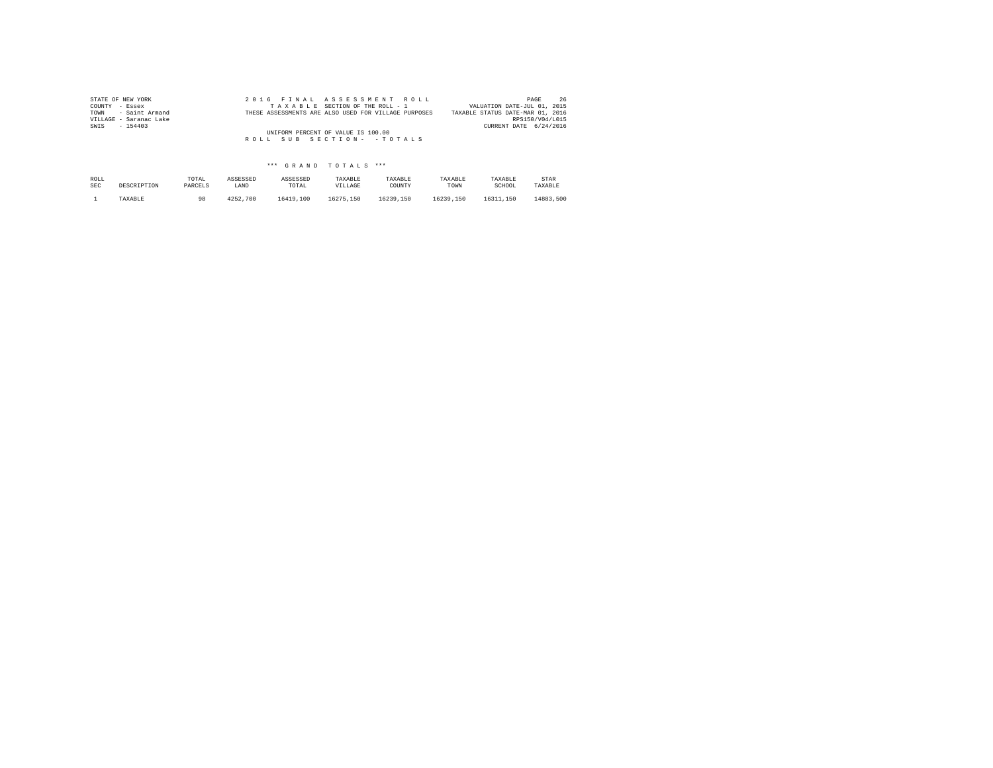| STATE OF NEW YORK      | 2016 FINAL ASSESSMENT ROLL                           | 26<br>PAGE                       |
|------------------------|------------------------------------------------------|----------------------------------|
| COUNTY - Essex         | TAXABLE SECTION OF THE ROLL - 1                      | VALUATION DATE-JUL 01, 2015      |
| TOWN - Saint Armand    | THESE ASSESSMENTS ARE ALSO USED FOR VILLAGE PURPOSES | TAXABLE STATUS DATE-MAR 01, 2016 |
| VILLAGE - Saranac Lake |                                                      | RPS150/V04/L015                  |
| SWIS<br>$-154403$      |                                                      | CURRENT DATE 6/24/2016           |
|                        | UNIFORM PERCENT OF VALUE IS 100.00                   |                                  |
|                        | ROLL SUB SECTION- - TOTALS                           |                                  |
|                        |                                                      |                                  |

| ROLL       | DESCRIPTION | TOTAL   | ASSESSED | ASSESSED  | TAXABLE   | TAXABLE   | TAXABLE   | TAXABLE   | STAR      |
|------------|-------------|---------|----------|-----------|-----------|-----------|-----------|-----------|-----------|
| <b>SEC</b> |             | PARCELS | LAND     | TOTAL     | VILLAGE   | COUNTY    | TOWN      | SCHOOL    | TAXABLE   |
|            | TAXABLE     | 98      | 4252.700 | 16419,100 | 16275.150 | 16239.150 | 16239.150 | 16311.150 | 14883,500 |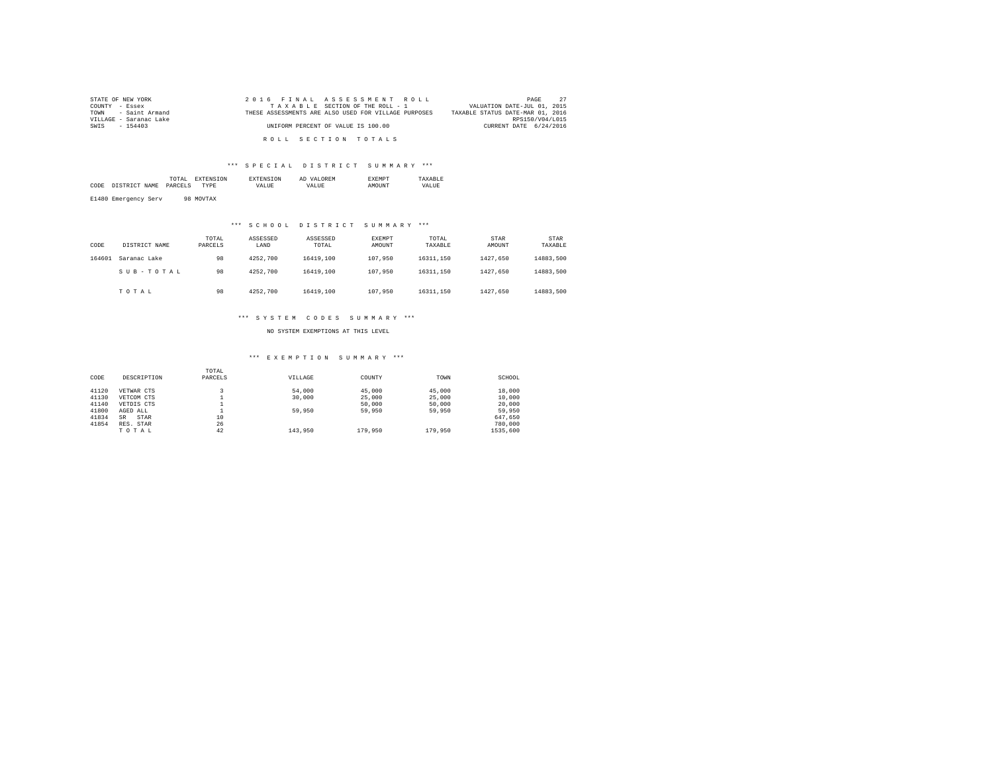| STATE OF NEW YORK      | 2016 FINAL ASSESSMENT ROLL                           | 27<br>PAGE                       |
|------------------------|------------------------------------------------------|----------------------------------|
| COUNTY - Essex         | TAXABLE SECTION OF THE ROLL - 1                      | VALUATION DATE-JUL 01, 2015      |
| TOWN - Saint Armand    | THESE ASSESSMENTS ARE ALSO USED FOR VILLAGE PURPOSES | TAXABLE STATUS DATE-MAR 01, 2016 |
| VILLAGE - Saranac Lake |                                                      | RPS150/V04/L015                  |
| SWIS - 154403          | UNIFORM PERCENT OF VALUE IS 100.00                   | CURRENT DATE 6/24/2016           |
|                        |                                                      |                                  |
|                        | ROLL SECTION TOTALS                                  |                                  |

|      |                | TOTAL<br>the contract of the contract of the contract of |    |    | AL<br> |    |
|------|----------------|----------------------------------------------------------|----|----|--------|----|
| CODE | AMP.<br>$\sim$ |                                                          | DF | ,, |        | vΔ |
|      |                |                                                          |    |    |        |    |

E1480 Emergency Serv 98 MOVTAX

## \*\*\* S C H O O L D I S T R I C T S U M M A R Y \*\*\*

| CODE   | DISTRICT NAME | TOTAL<br>PARCELS | ASSESSED<br>LAND | ASSESSED<br>TOTAL | EXEMPT<br>AMOUNT | TOTAL<br>TAXABLE | STAR<br>AMOUNT | STAR<br>TAXABLE |
|--------|---------------|------------------|------------------|-------------------|------------------|------------------|----------------|-----------------|
| 164601 | Saranac Lake  | 98               | 4252.700         | 16419,100         | 107,950          | 16311.150        | 1427.650       | 14883.500       |
|        | SUB-TOTAL     | 98               | 4252.700         | 16419,100         | 107,950          | 16311.150        | 1427.650       | 14883.500       |
|        | TOTAL         | 98               | 4252.700         | 16419,100         | 107,950          | 16311.150        | 1427.650       | 14883.500       |

### \*\*\* S Y S T E M C O D E S S U M M A R Y \*\*\*

NO SYSTEM EXEMPTIONS AT THIS LEVEL

### \*\*\* E X E M P T I O N S U M M A R Y \*\*\*

|       |                   | TOTAL   |         |         |         |          |
|-------|-------------------|---------|---------|---------|---------|----------|
| CODE  | DESCRIPTION       | PARCELS | VILLAGE | COUNTY  | TOWN    | SCHOOL   |
| 41120 |                   |         | 54,000  | 45,000  | 45,000  | 18,000   |
|       | VETWAR CTS        |         |         |         |         |          |
| 41130 | VETCOM CTS        |         | 30,000  | 25,000  | 25,000  | 10,000   |
| 41140 | VETDIS CTS        |         |         | 50,000  | 50,000  | 20,000   |
| 41800 | AGED ALL          |         | 59,950  | 59,950  | 59,950  | 59,950   |
| 41834 | STAR<br><b>SR</b> | 10      |         |         |         | 647.650  |
| 41854 | RES. STAR         | 26      |         |         |         | 780,000  |
|       | TOTAL             | 42      | 143,950 | 179,950 | 179,950 | 1535,600 |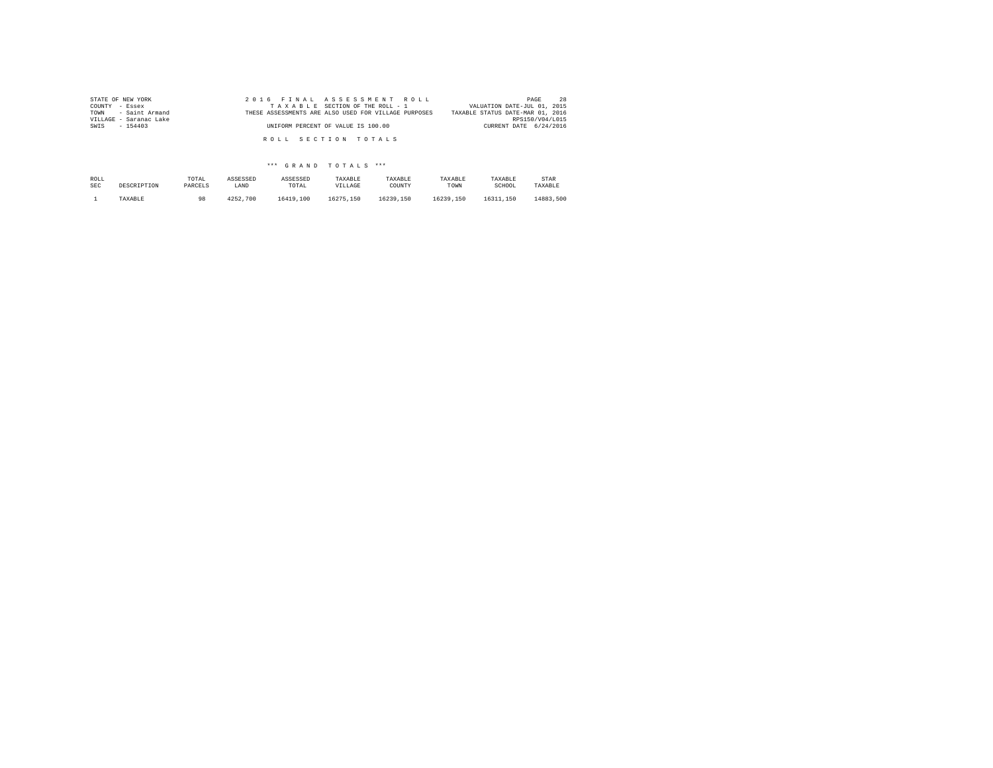| STATE OF NEW YORK<br>COUNTY - Essex           | 2016 FINAL ASSESSMENT ROLL<br>TAXABLE SECTION OF THE ROLL - 1 | 28<br>PAGE<br>VALUATION DATE-JUL 01, 2015           |
|-----------------------------------------------|---------------------------------------------------------------|-----------------------------------------------------|
| TOWN - Saint Armand<br>VILLAGE - Saranac Lake | THESE ASSESSMENTS ARE ALSO USED FOR VILLAGE PURPOSES          | TAXABLE STATUS DATE-MAR 01, 2016<br>RPS150/V04/L015 |
| SWIS - 154403                                 | UNIFORM PERCENT OF VALUE IS 100.00                            | CURRENT DATE 6/24/2016                              |
|                                               | ROLL SECTION TOTALS                                           |                                                     |

| ROLL       | DESCRIPTION | TOTAL   | ASSESSED | ASSESSED  | TAXABLE   | TAXABLE   | TAXABLE   | TAXABLE   | STAR      |
|------------|-------------|---------|----------|-----------|-----------|-----------|-----------|-----------|-----------|
| <b>SEC</b> |             | PARCELS | LAND     | TOTAL     | VILLAGE   | COUNTY    | TOWN      | SCHOOL    | TAXABLE   |
|            | TAXABLE     | 98      | 4252.700 | 16419,100 | 16275.150 | 16239.150 | 16239.150 | 16311.150 | 14883,500 |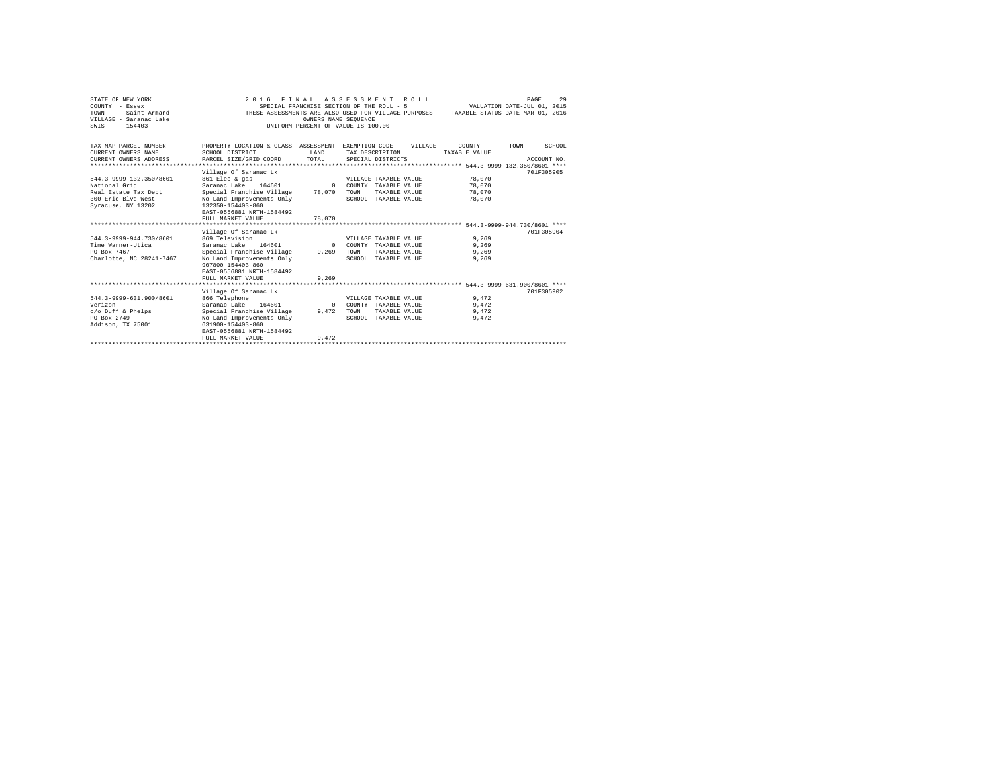| STATE OF NEW YORK<br>COUNTY - Essex<br>- Saint Armand<br>TOWN<br>VILLAGE - Saranac Lake<br>$-154403$<br>SWTS | 2016 FINAL ASSESSMENT ROLL<br>THESE ASSESSMENTS ARE ALSO USED FOR VILLAGE PURPOSES                                                                                                                    | OWNERS NAME SEOUENCE         | SPECIAL FRANCHISE SECTION OF THE ROLL - 5<br>INIFORM PERCENT OF VALUE IS 100.00 |               | VALUATION DATE-JUL 01, 2015<br>TAXABLE STATUS DATE-MAR 01, 2016 | PAGE        | 29 |
|--------------------------------------------------------------------------------------------------------------|-------------------------------------------------------------------------------------------------------------------------------------------------------------------------------------------------------|------------------------------|---------------------------------------------------------------------------------|---------------|-----------------------------------------------------------------|-------------|----|
| TAX MAP PARCEL NUMBER<br>CURRENT OWNERS NAME<br>CURRENT OWNERS ADDRESS<br>.                                  | PROPERTY LOCATION & CLASS ASSESSMENT EXEMPTION CODE-----VILLAGE------COUNTY-------TOWN------SCHOOL<br>SCHOOL DISTRICT<br>PARCEL SIZE/GRID COORD                                                       | <b>T.AND</b><br>TOTAL        | TAX DESCRIPTION<br>SPECIAL DISTRICTS                                            |               | TAXABLE VALUE                                                   | ACCOUNT NO. |    |
| 544.3-9999-132.350/8601<br>National Grid<br>Real Estate Tax Dept<br>300 Erie Blvd West<br>Syracuse, NY 13202 | Village Of Saranac Lk<br>861 Elec & gas<br>Saranac Lake 164601<br>Special Franchise Village<br>No Land Improvements Only<br>132350-154403-860<br>EAST-0556881 NRTH-1584492<br>FULL MARKET VALUE       | $\Omega$<br>78,070<br>78,070 | VILLAGE TAXABLE VALUE<br>COUNTY TAXABLE VALUE<br>TOWN<br>SCHOOL TAXABLE VALUE   | TAXABLE VALUE | 78,070<br>78,070<br>78,070<br>78,070                            | 701F305905  |    |
| 544.3-9999-944.730/8601<br>Time Warner-Utica<br>PO Box 7467<br>Charlotte, NC 28241-7467                      | Village Of Saranac Lk<br>869 Television<br>Saranac Lake 164601<br>Special Franchise Village 9,269<br>No Land Improvements Only<br>907800-154403-860<br>EAST-0556881 NRTH-1584492<br>FULL MARKET VALUE | $\Omega$<br>9.269            | VILLAGE TAXABLE VALUE<br>COUNTY TAXABLE VALUE<br>TOWN<br>SCHOOL TAXABLE VALUE   | TAXABLE VALUE | 9.269<br>9.269<br>9.269<br>9.269                                | 701F305904  |    |
|                                                                                                              |                                                                                                                                                                                                       |                              |                                                                                 |               |                                                                 |             |    |
| 544.3-9999-631.900/8601<br>Verizon<br>$c$ /o Duff & Phelps<br>PO Box 2749<br>Addison, TX 75001               | Village Of Saranac Lk<br>866 Telephone<br>Saranac Lake 164601<br>Special Franchise Village<br>No Land Improvements Only<br>631900-154403-860<br>EAST-0556881 NRTH-1584492                             | $\Omega$<br>9.472            | VILLAGE TAXABLE VALUE<br>COUNTY TAXABLE VALUE<br>TOWN<br>SCHOOL TAXABLE VALUE   | TAXABLE VALUE | 9.472<br>9,472<br>9,472<br>9.472                                | 701F305902  |    |
|                                                                                                              | FULL MARKET VALUE<br>*************************************                                                                                                                                            | 9.472                        |                                                                                 |               |                                                                 |             |    |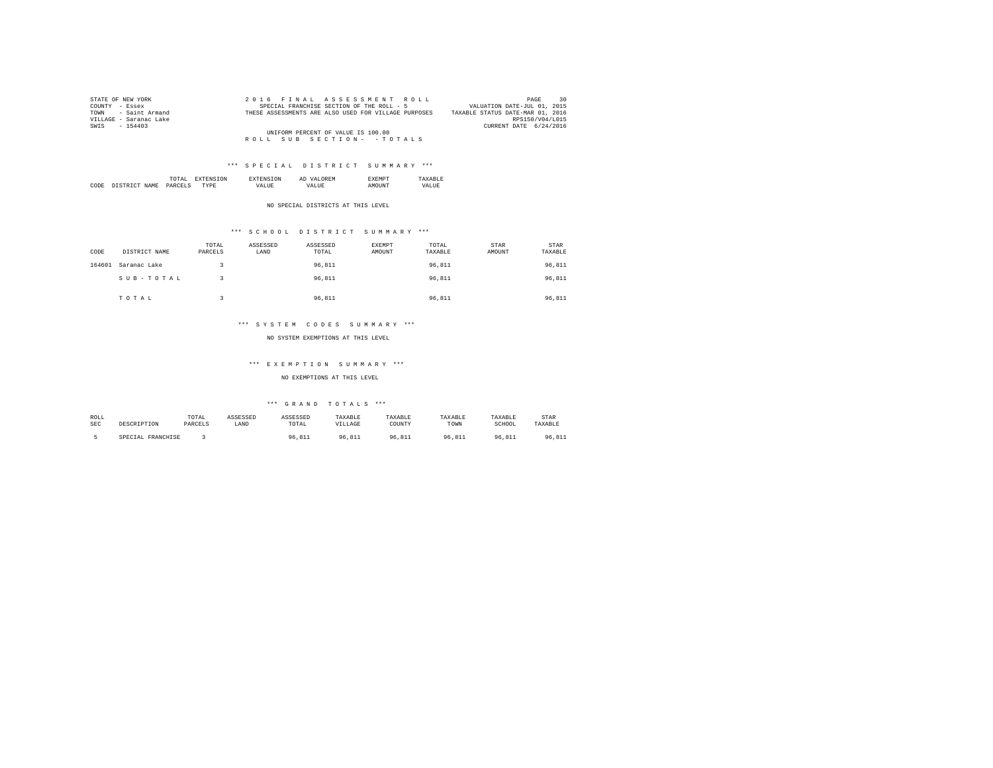| STATE OF NEW YORK      | 2016 FINAL ASSESSMENT ROLL                           | 30<br>PAGE                       |
|------------------------|------------------------------------------------------|----------------------------------|
| COUNTY - Essex         | SPECIAL FRANCHISE SECTION OF THE ROLL - 5            | VALUATION DATE-JUL 01, 2015      |
| TOWN - Saint Armand    | THESE ASSESSMENTS ARE ALSO USED FOR VILLAGE PURPOSES | TAXABLE STATUS DATE-MAR 01, 2016 |
| VILLAGE - Saranac Lake |                                                      | RPS150/V04/L015                  |
| SWIS - 154403          |                                                      | CURRENT DATE 6/24/2016           |
|                        | UNIFORM PERCENT OF VALUE IS 100.00                   |                                  |
|                        | ROLL SUB SECTION- - TOTALS                           |                                  |

|      |                | the contract of the contract of the contract of | <b>L'NI</b> | АL | . .  |  |
|------|----------------|-------------------------------------------------|-------------|----|------|--|
| CODE | NAMF<br>$\sim$ | DARC                                            | $\cdots$    |    | 5118 |  |

NO SPECIAL DISTRICTS AT THIS LEVEL

## \*\*\* S C H O O L D I S T R I C T S U M M A R Y \*\*\*

| CODE   | DISTRICT NAME | TOTAL<br>PARCELS | ASSESSED<br>LAND | ASSESSED<br>TOTAL | EXEMPT<br>AMOUNT | TOTAL<br>TAXABLE | STAR<br>AMOUNT | <b>STAR</b><br>TAXABLE |
|--------|---------------|------------------|------------------|-------------------|------------------|------------------|----------------|------------------------|
| 164601 | Saranac Lake  |                  |                  | 96.811            |                  | 96.811           |                | 96,811                 |
|        | SUB-TOTAL     |                  |                  | 96.811            |                  | 96.811           |                | 96,811                 |
|        | TOTAL         |                  |                  | 96.811            |                  | 96.811           |                | 96.811                 |

### \*\*\* S Y S T E M C O D E S S U M M A R Y \*\*\*

NO SYSTEM EXEMPTIONS AT THIS LEVEL

### \*\*\* E X E M P T I O N S U M M A R Y \*\*\*

NO EXEMPTIONS AT THIS LEVEL

| ROLL       | DESCRIPTION       | TOTAL   | ASSESSED | ASSESSED | TAXABLE | TAXABLE | TAXABLE | TAXABLE | STAR    |
|------------|-------------------|---------|----------|----------|---------|---------|---------|---------|---------|
| <b>SEC</b> |                   | PARCELS | LAND     | TOTAL    | VILLAGE | COUNTY  | TOWN    | SCHOOL  | TAXABLE |
|            | SPECIAL FRANCHISE |         |          | 96.811   | 96.811  | 96.811  | 96.811  | 96.811  | 96.811  |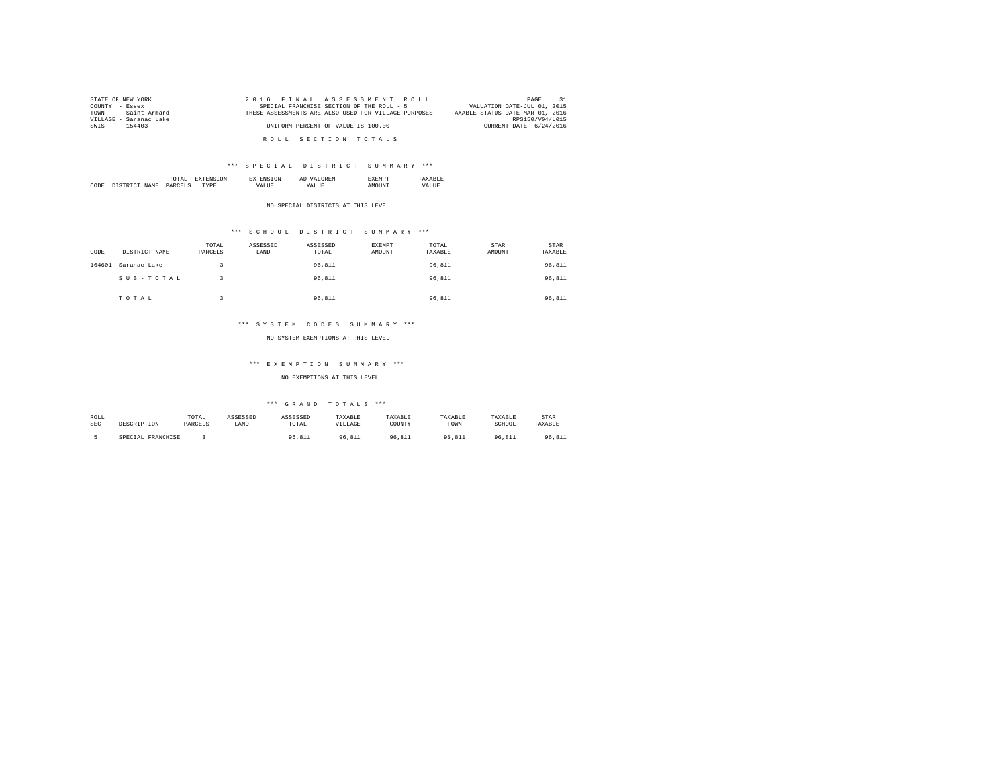| STATE OF NEW YORK      | 2016 FINAL ASSESSMENT ROLL                           | 31<br>PAGE                       |
|------------------------|------------------------------------------------------|----------------------------------|
| COUNTY - Essex         | SPECIAL FRANCHISE SECTION OF THE ROLL - 5            | VALUATION DATE-JUL 01, 2015      |
| TOWN - Saint Armand    | THESE ASSESSMENTS ARE ALSO USED FOR VILLAGE PURPOSES | TAXABLE STATUS DATE-MAR 01, 2016 |
| VILLAGE - Saranac Lake |                                                      | RPS150/V04/L015                  |
| SWIS - 154403          | UNIFORM PERCENT OF VALUE IS 100.00                   | CURRENT DATE 6/24/2016           |
|                        |                                                      |                                  |
|                        | ROLL SECTION TOTALS                                  |                                  |

|      |                    | A.<br>the contract of the contract of the contract of | 'N | KM.<br>АΙ      | m. |             |
|------|--------------------|-------------------------------------------------------|----|----------------|----|-------------|
| CODE | NAMF<br>CTD<br>T/T | DARC<br>______                                        |    | . <i>. .</i> . |    | .UF<br>37 A |

NO SPECIAL DISTRICTS AT THIS LEVEL

## \*\*\* S C H O O L D I S T R I C T S U M M A R Y \*\*\*

| CODE   | DISTRICT NAME | TOTAL<br>PARCELS | ASSESSED<br>LAND | ASSESSED<br>TOTAL | EXEMPT<br>AMOUNT | TOTAL<br>TAXABLE | <b>STAR</b><br>AMOUNT | STAR<br>TAXABLE |
|--------|---------------|------------------|------------------|-------------------|------------------|------------------|-----------------------|-----------------|
| 164601 | Saranac Lake  |                  |                  | 96.811            |                  | 96.811           |                       | 96,811          |
|        | SUB-TOTAL     |                  |                  | 96.811            |                  | 96,811           |                       | 96,811          |
|        | TOTAL         |                  |                  | 96.811            |                  | 96.811           |                       | 96.811          |

### \*\*\* S Y S T E M C O D E S S U M M A R Y \*\*\*

NO SYSTEM EXEMPTIONS AT THIS LEVEL

#### \*\*\* E X E M P T I O N S U M M A R Y \*\*\*

NO EXEMPTIONS AT THIS LEVEL

| ROLL | DESCRIPTION       | TOTAL   | ASSESSED | ASSESSED | TAXABLE | TAXABLE    | TAXABLE | TAXABLE | STAR    |
|------|-------------------|---------|----------|----------|---------|------------|---------|---------|---------|
| SEC  |                   | PARCELS | LAND     | TOTAL    | VILLAGE | COUNTY     | TOWN    | SCHOOL  | TAXABLE |
|      | SPECIAL FRANCHISE |         |          | 96.811   | 96.811  | 96<br>.811 | .811    | 96.811  | 96.811  |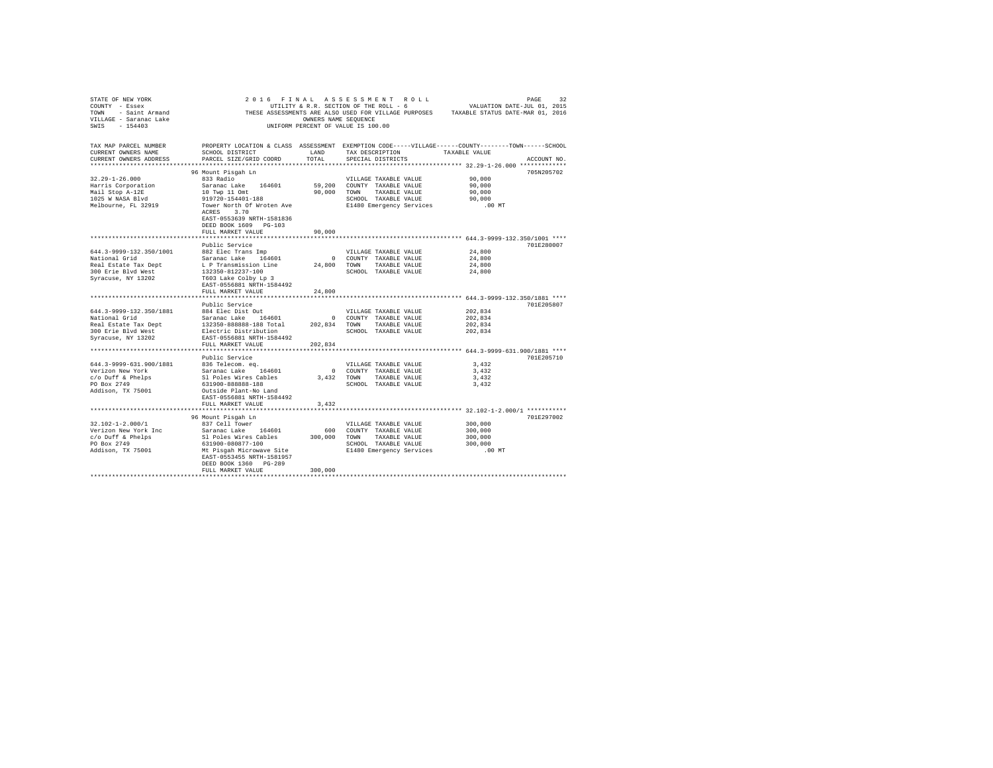| STATE OF NEW YORK<br>COUNTY - Essex<br>- Saint Armand<br>TOWN<br>VILLAGE - Saranac Lake<br>$-154403$<br>SWTS | 2 0 1 6<br>FINAL                                                                                                      | OWNERS NAME SEOUENCE | ASSESSMENT ROLL<br>UTILITY & R.R. SECTION OF THE ROLL - 6<br>UNIFORM PERCENT OF VALUE IS 100.00 | THESE ASSESSMENTS ARE ALSO USED FOR VILLAGE PURPOSES TAXABLE STATUS DATE-MAR 01, 2016 | PAGE<br>32<br>VALUATION DATE-JUL 01, 2015 |
|--------------------------------------------------------------------------------------------------------------|-----------------------------------------------------------------------------------------------------------------------|----------------------|-------------------------------------------------------------------------------------------------|---------------------------------------------------------------------------------------|-------------------------------------------|
| TAX MAP PARCEL NUMBER<br>CURRENT OWNERS NAME                                                                 | PROPERTY LOCATION & CLASS ASSESSMENT EXEMPTION CODE-----VILLAGE------COUNTY-------TOWN------SCHOOL<br>SCHOOL DISTRICT | LAND                 | TAX DESCRIPTION                                                                                 | TAXABLE VALUE                                                                         |                                           |
| CURRENT OWNERS ADDRESS<br>**********************                                                             | PARCEL SIZE/GRID COORD                                                                                                | TOTAL                | SPECIAL DISTRICTS                                                                               |                                                                                       | ACCOUNT NO.                               |
|                                                                                                              | 96 Mount Pisgah Ln                                                                                                    |                      |                                                                                                 |                                                                                       | 705N205702                                |
| $32.29 - 1 - 26.000$                                                                                         | 833 Radio                                                                                                             |                      | VILLAGE TAXABLE VALUE                                                                           | 90.000                                                                                |                                           |
| Harris Corporation                                                                                           | Saranac Lake<br>164601                                                                                                | 59,200               | COUNTY TAXABLE VALUE                                                                            | 90,000                                                                                |                                           |
| Mail Stop A-12E                                                                                              | 10 Twp 11 Omt                                                                                                         | 90,000               | TOWN<br>TAXABLE VALUE                                                                           | 90,000                                                                                |                                           |
| 1025 W NASA Blvd                                                                                             | 919720-154401-188                                                                                                     |                      | SCHOOL TAXABLE VALUE                                                                            | 90,000                                                                                |                                           |
| Melbourne, FL 32919                                                                                          | Tower North Of Wroten Ave<br>3.70<br>ACRES<br>EAST-0553639 NRTH-1581836<br>DEED BOOK 1609 PG-103<br>FULL MARKET VALUE | 90,000               | E1480 Emergency Services                                                                        | $.00$ MT                                                                              |                                           |
|                                                                                                              |                                                                                                                       |                      |                                                                                                 |                                                                                       |                                           |
|                                                                                                              | Public Service                                                                                                        |                      |                                                                                                 |                                                                                       | 701E280007                                |
| 644.3-9999-132.350/1001                                                                                      | 882 Elec Trans Imp                                                                                                    |                      | VILLAGE TAXABLE VALUE                                                                           | 24,800                                                                                |                                           |
| National Grid                                                                                                | Saranac Lake 164601                                                                                                   | $^{\circ}$           | COUNTY TAXABLE VALUE                                                                            | 24,800                                                                                |                                           |
| Real Estate Tax Dept                                                                                         | L P Transmission Line                                                                                                 | 24,800               | TOWN<br>TAXABLE VALUE                                                                           | 24,800                                                                                |                                           |
| 300 Erie Blyd West                                                                                           | 132350-812237-100                                                                                                     |                      | SCHOOL TAXABLE VALUE                                                                            | 24,800                                                                                |                                           |
| Syracuse, NY 13202                                                                                           | T603 Lake Colby Lp 3<br>EAST-0556881 NRTH-1584492<br>FULL MARKET VALUE                                                | 24,800               |                                                                                                 |                                                                                       |                                           |
|                                                                                                              |                                                                                                                       |                      |                                                                                                 | ************************ 644.3-9999-132.350/1881 ****                                 |                                           |
|                                                                                                              | Public Service                                                                                                        |                      |                                                                                                 |                                                                                       | 701E205807                                |
| 644.3-9999-132.350/1881                                                                                      | 884 Elec Dist Out                                                                                                     |                      | VILLAGE TAXABLE VALUE                                                                           | 202,834                                                                               |                                           |
| National Grid                                                                                                | Saranac Lake 164601                                                                                                   | $^{\circ}$           | COUNTY TAXABLE VALUE                                                                            | 202,834                                                                               |                                           |
| Real Estate Tax Dept                                                                                         | 132350-888888-188 Total                                                                                               | 202,834              | TOWN<br>TAXABLE VALUE                                                                           | 202,834                                                                               |                                           |
| 300 Erie Blvd West                                                                                           | Electric Distribution                                                                                                 |                      | SCHOOL TAXABLE VALUE                                                                            | 202,834                                                                               |                                           |
| Syracuse, NY 13202                                                                                           | EAST-0556881 NRTH-1584492<br>FULL MARKET VALUE                                                                        | 202.834              |                                                                                                 |                                                                                       |                                           |
|                                                                                                              |                                                                                                                       |                      |                                                                                                 | ************************ 644.3-9999-631.900/1881 ****                                 |                                           |
|                                                                                                              | Public Service                                                                                                        |                      |                                                                                                 |                                                                                       | 701E205710                                |
| 644.3-9999-631.900/1881                                                                                      | 836 Telecom. eq.                                                                                                      |                      | VILLAGE TAXABLE VALUE                                                                           | 3.432                                                                                 |                                           |
| Verizon New York                                                                                             | Saranac Lake 164601                                                                                                   | $\Omega$             | COUNTY TAXABLE VALUE                                                                            | 3,432                                                                                 |                                           |
| c/o Duff & Phelps                                                                                            | Sl Poles Wires Cables                                                                                                 | 3,432                | TOWN<br>TAXABLE VALUE                                                                           | 3.432                                                                                 |                                           |
| PO Box 2749                                                                                                  | 631900-888888-188                                                                                                     |                      | SCHOOL TAXABLE VALUE                                                                            | 3,432                                                                                 |                                           |
| Addison, TX 75001                                                                                            | Outside Plant-No Land                                                                                                 |                      |                                                                                                 |                                                                                       |                                           |
|                                                                                                              | EAST-0556881 NRTH-1584492                                                                                             |                      |                                                                                                 |                                                                                       |                                           |
|                                                                                                              | FULL MARKET VALUE                                                                                                     | 3,432                |                                                                                                 | ************************ 32.102-1-2.000/1 ***********                                 |                                           |
|                                                                                                              | 96 Mount Pisgah Ln                                                                                                    |                      |                                                                                                 |                                                                                       | 701E297002                                |
| $32.102 - 1 - 2.000/1$                                                                                       | 837 Cell Tower                                                                                                        |                      | VILLAGE TAXABLE VALUE                                                                           | 300,000                                                                               |                                           |
| Verizon New York Inc                                                                                         | Saranac Lake 164601                                                                                                   | 600                  | COUNTY TAXABLE VALUE                                                                            | 300,000                                                                               |                                           |
| $c$ /o Duff & Phelps                                                                                         | Sl Poles Wires Cables                                                                                                 | 300,000              | TOWN<br>TAXABLE VALUE                                                                           | 300,000                                                                               |                                           |
| PO Box 2749                                                                                                  | 631900-080877-100                                                                                                     |                      | SCHOOL TAXABLE VALUE                                                                            | 300,000                                                                               |                                           |
| Addison, TX 75001                                                                                            | Mt Pisqah Microwave Site<br>EAST-0553455 NRTH-1581957<br>DEED BOOK 1360 PG-289                                        |                      | E1480 Emergency Services                                                                        | $.00$ MT                                                                              |                                           |
|                                                                                                              | FULL MARKET VALUE                                                                                                     | 300,000              |                                                                                                 |                                                                                       |                                           |
|                                                                                                              |                                                                                                                       |                      |                                                                                                 |                                                                                       |                                           |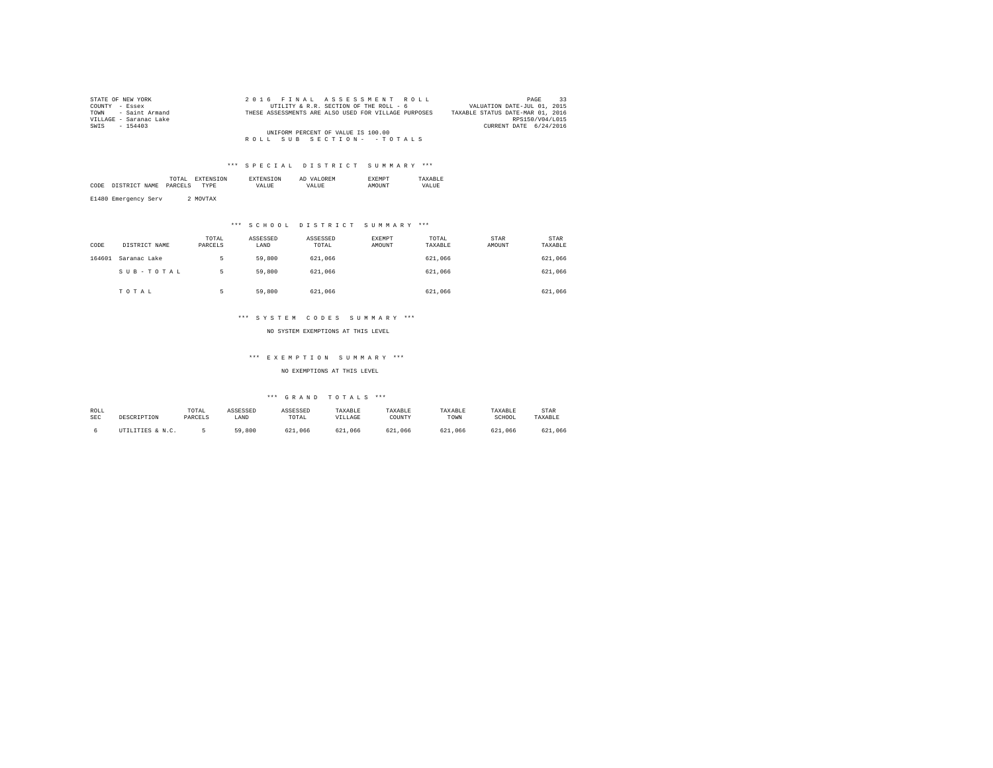| STATE OF NEW YORK      | 2016 FINAL ASSESSMENT ROLL                           | PAGE                             |
|------------------------|------------------------------------------------------|----------------------------------|
| COUNTY - Essex         | UTILITY & R.R. SECTION OF THE ROLL - 6               | VALUATION DATE-JUL 01, 2015      |
| TOWN - Saint Armand    | THESE ASSESSMENTS ARE ALSO USED FOR VILLAGE PURPOSES | TAXABLE STATUS DATE-MAR 01, 2016 |
| VILLAGE - Saranac Lake |                                                      | RPS150/V04/L015                  |
| SWIS<br>$-154403$      |                                                      | CURRENT DATE 6/24/2016           |
|                        | UNIFORM PERCENT OF VALUE IS 100.00                   |                                  |
|                        | ROLL SUB SECTION- - TOTALS                           |                                  |

|      |      | .<br>the contract of the contract of the contract of | נורו ' |          | AL  |              |             |
|------|------|------------------------------------------------------|--------|----------|-----|--------------|-------------|
| CODE | NAME | DADCET                                               | DF     | $\cdots$ | 77. | <b>OTTMP</b> | .<br>. TIDE |
|      |      |                                                      |        |          |     |              |             |

E1480 Emergency Serv 2 MOVTAX

## \*\*\* S C H O O L D I S T R I C T S U M M A R Y \*\*\*

| CODE   | DISTRICT NAME | TOTAL<br>PARCELS | ASSESSED<br>LAND | ASSESSED<br>TOTAL | EXEMPT<br>AMOUNT | TOTAL<br>TAXABLE | <b>STAR</b><br>AMOUNT | STAR<br>TAXABLE |
|--------|---------------|------------------|------------------|-------------------|------------------|------------------|-----------------------|-----------------|
| 164601 | Saranac Lake  | ь                | 59,800           | 621,066           |                  | 621.066          |                       | 621,066         |
|        | SUB-TOTAL     | ь                | 59,800           | 621,066           |                  | 621,066          |                       | 621,066         |
|        | TOTAL         |                  | 59,800           | 621,066           |                  | 621,066          |                       | 621,066         |

### \*\*\* S Y S T E M C O D E S S U M M A R Y \*\*\*

NO SYSTEM EXEMPTIONS AT THIS LEVEL

### \*\*\* E X E M P T I O N S U M M A R Y \*\*\*

NO EXEMPTIONS AT THIS LEVEL

| ROLL       |                  | TOTAL   | ASSESSED | ASSESSED | TAXABLE | TAXABLE | TAXABLE        | TAXABLE | <b>STAR</b> |
|------------|------------------|---------|----------|----------|---------|---------|----------------|---------|-------------|
| <b>SEC</b> | DESCRIPTION      | PARCELS | LAND     | TOTAL    | VILLAGE | COUNT)  | TOWN           | SCHOOL  | TAXABLE     |
|            | UTILITIES & N.C. |         | 59,800   | 621,066  | 621,066 | 621,066 | 621<br>. . 066 | 621,066 | 621,066     |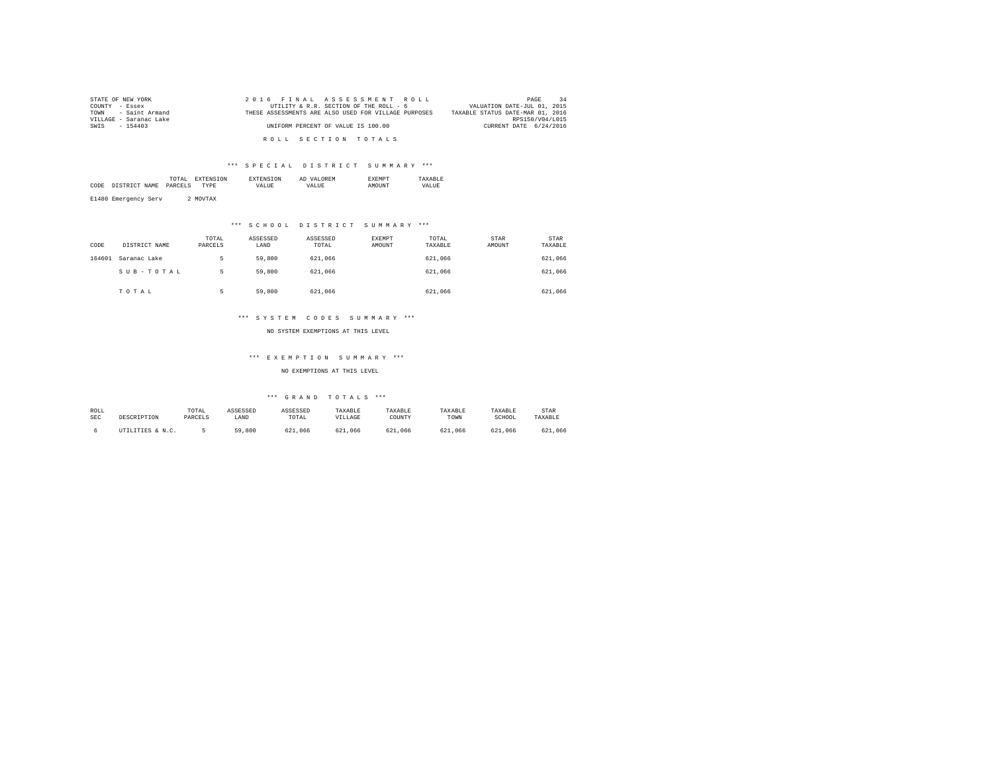| STATE OF NEW YORK      | 2016 FINAL ASSESSMENT ROLL                           | 34<br>PAGE                       |
|------------------------|------------------------------------------------------|----------------------------------|
| COUNTY - Essex         | UTILITY & R.R. SECTION OF THE ROLL - 6               | VALUATION DATE-JUL 01, 2015      |
| TOWN - Saint Armand    | THESE ASSESSMENTS ARE ALSO USED FOR VILLAGE PURPOSES | TAXABLE STATUS DATE-MAR 01, 2016 |
| VILLAGE - Saranac Lake |                                                      | RPS150/V04/L015                  |
| SWIS - 154403          | UNIFORM PERCENT OF VALUE IS 100.00                   | CURRENT DATE 6/24/2016           |
|                        |                                                      |                                  |
|                        | ROLL SECTION TOTALS                                  |                                  |

|      |                       | the contract of the contract of the contract of | TON. |                | OREM<br>1771<br>AΓ | 2 M I |                   |
|------|-----------------------|-------------------------------------------------|------|----------------|--------------------|-------|-------------------|
| CODE | NAME<br>חי הר כתים דר | DARCEL.                                         |      | 7ALUE<br>_____ | 'ALUE              |       | <b>ALUE</b><br>VΔ |
|      |                       |                                                 |      |                |                    |       |                   |

E1480 Emergency Serv 2 MOVTAX

### \*\*\* S C H O O L D I S T R I C T S U M M A R Y \*\*\*

| CODE   | DISTRICT NAME | TOTAL<br>PARCELS | ASSESSED<br>LAND | ASSESSED<br>TOTAL | EXEMPT<br>AMOUNT | TOTAL<br>TAXABLE | <b>STAR</b><br>AMOUNT | STAR<br>TAXABLE |
|--------|---------------|------------------|------------------|-------------------|------------------|------------------|-----------------------|-----------------|
| 164601 | Saranac Lake  | ь                | 59,800           | 621,066           |                  | 621.066          |                       | 621,066         |
|        | SUB-TOTAL     | ь                | 59,800           | 621,066           |                  | 621,066          |                       | 621,066         |
|        | TOTAL         |                  | 59,800           | 621,066           |                  | 621,066          |                       | 621,066         |

### \*\*\* S Y S T E M C O D E S S U M M A R Y \*\*\*

NO SYSTEM EXEMPTIONS AT THIS LEVEL

### \*\*\* E X E M P T I O N S U M M A R Y \*\*\*

NO EXEMPTIONS AT THIS LEVEL

| ROLL       |                  | TOTAL   | ASSESSED | ASSESSED | TAXABLE | TAXABLE | TAXABLE        | TAXABLE | <b>STAR</b> |
|------------|------------------|---------|----------|----------|---------|---------|----------------|---------|-------------|
| <b>SEC</b> | DESCRIPTION      | PARCELS | LAND     | TOTAL    | VILLAGE | COUNT)  | TOWN           | SCHOOL  | TAXABLE     |
|            | UTILITIES & N.C. |         | 59,800   | 621,066  | 621,066 | 621,066 | 621<br>. . 066 | 621,066 | 621,066     |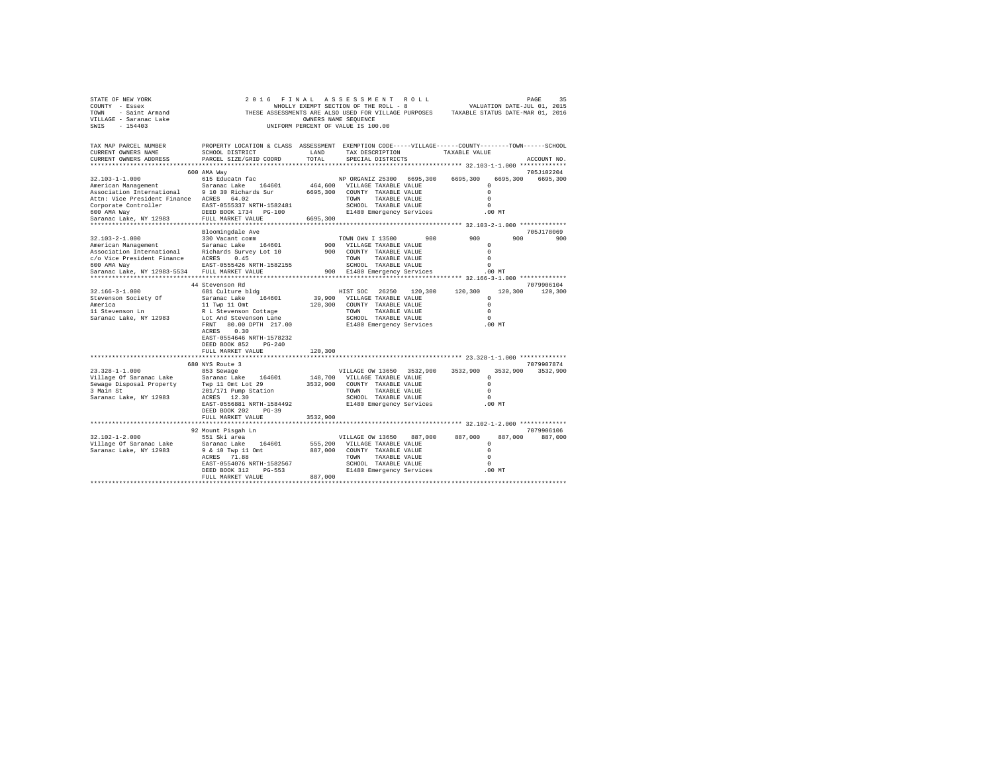| STATE OF NEW YORK<br>COUNTY - Essex<br>TOWN - Saint Armand<br>VILLAGE - Saranac Lake<br>SWIS - 154403 | WHOLLY EXEMPT SECTION OF THE ROLL - 8<br>THESE ASSESSMENTS ARE ALSO USED FOR VILLAGE PURPOSES TAXABLE STATUS DATE-MAR 01, 2016                  | OWNERS NAME SEQUENCE | 2016 FINAL ASSESSMENT ROLL<br>WHOLLY EXEMPT SECTION OF THE ROLL - 8<br>UNIFORM PERCENT OF VALUE IS 100.00 |               |               |                      | 35<br>PAGE<br>VALUATION DATE-JUL 01, 2015 |
|-------------------------------------------------------------------------------------------------------|-------------------------------------------------------------------------------------------------------------------------------------------------|----------------------|-----------------------------------------------------------------------------------------------------------|---------------|---------------|----------------------|-------------------------------------------|
| TAX MAP PARCEL NUMBER<br>CURRENT OWNERS NAME<br>CURRENT OWNERS ADDRESS                                | PROPERTY LOCATION & CLASS ASSESSMENT EXEMPTION CODE-----VILLAGE------COUNTY-------TOWN------SCHOOL<br>SCHOOL DISTRICT<br>PARCEL SIZE/GRID COORD | LAND<br>TOTAL        | TAX DESCRIPTION<br>SPECIAL DISTRICTS                                                                      |               | TAXABLE VALUE |                      | ACCOUNT NO.                               |
|                                                                                                       |                                                                                                                                                 |                      |                                                                                                           |               |               |                      | 705J102204                                |
| 32.103-1-1.000                                                                                        | 600 AMA Way<br>615 Educatn fac                                                                                                                  |                      | NP ORGANIZ 25300 6695,300                                                                                 |               | 6695,300      | 6695,300             | 6695,300                                  |
| American Management                                                                                   | Saranac Lake 164601                                                                                                                             |                      | 464,600 VILLAGE TAXABLE VALUE                                                                             |               |               | $^{\circ}$           |                                           |
| Association International 9 10 30 Richards Sur                                                        |                                                                                                                                                 |                      | 6695,300 COUNTY TAXABLE VALUE                                                                             |               |               | $\Omega$             |                                           |
| Attn: Vice President Finance ACRES 64.02                                                              |                                                                                                                                                 |                      | TOWN TAXABLE VALUE                                                                                        |               |               | $\Omega$             |                                           |
| Corporate Controller EAST-0555337 NRTH-1582481                                                        |                                                                                                                                                 |                      | SCHOOL TAXABLE VALUE                                                                                      |               |               | $\Omega$             |                                           |
| 600 AMA Way                                                                                           | DEED BOOK 1734 PG-100                                                                                                                           |                      | E1480 Emergency Services                                                                                  |               |               | $.00$ MT             |                                           |
| Saranac Lake, NY 12983<br>*******************************                                             | FULL MARKET VALUE<br>********************                                                                                                       | 6695,300             |                                                                                                           |               |               |                      |                                           |
|                                                                                                       | Bloomingdale Ave                                                                                                                                |                      |                                                                                                           |               |               |                      | 705J178069                                |
| 32.103-2-1.000                                                                                        | 330 Vacant comm                                                                                                                                 |                      | TOWN OWN I 13500                                                                                          | 900           | 900           | 900                  | 900                                       |
| American Management                                                                                   | Saranac Lake 164601                                                                                                                             |                      | 900 VILLAGE TAXABLE VALUE                                                                                 |               |               | $^{\circ}$           |                                           |
| Association International Richards Survey Lot 10                                                      |                                                                                                                                                 |                      | 900 COUNTY TAXABLE VALUE                                                                                  |               |               | $\Omega$             |                                           |
| c/o Vice President Finance ACRES 0.45                                                                 |                                                                                                                                                 |                      | TOWN TAXABLE VALUE                                                                                        |               |               | $\Omega$             |                                           |
| 600 AMA Way                                                                                           | EAST-0555426 NRTH-1582155                                                                                                                       |                      | SCHOOL TAXABLE VALUE                                                                                      |               |               | $\Omega$             |                                           |
| Saranac Lake, NY 12983-5534                                                                           | FULL MARKET VALUE                                                                                                                               |                      | 900 E1480 Emergency Services                                                                              |               |               | .00 MT               |                                           |
|                                                                                                       | 44 Stevenson Rd                                                                                                                                 |                      |                                                                                                           |               |               |                      | 7079906104                                |
| 32.166-3-1.000                                                                                        | 681 Culture bldg                                                                                                                                |                      | HIST SOC 26250 120,300 120,300                                                                            |               |               |                      | 120,300 120,300                           |
| Stevenson Society Of                                                                                  | Saranac Lake 164601                                                                                                                             |                      | 39,900 VILLAGE TAXABLE VALUE                                                                              |               |               | $\Omega$             |                                           |
|                                                                                                       | 11 Twp 11 Omt                                                                                                                                   |                      | 120,300 COUNTY TAXABLE VALUE                                                                              |               |               | $\Omega$             |                                           |
| America<br>11 Stevenson Ln                                                                            | R L Stevenson Cottage                                                                                                                           |                      | TOWN TAXABLE VALUE                                                                                        |               |               | $\Omega$             |                                           |
| Saranac Lake, NY 12983                                                                                | Lot And Stevenson Lane                                                                                                                          |                      | SCHOOL TAXABLE VALUE                                                                                      |               |               | $\Omega$             |                                           |
|                                                                                                       | FRNT 80.00 DPTH 217.00                                                                                                                          |                      | E1480 Emergency Services                                                                                  |               | $.00$ MT      |                      |                                           |
|                                                                                                       | ACRES 0.30                                                                                                                                      |                      |                                                                                                           |               |               |                      |                                           |
|                                                                                                       | EAST-0554646 NRTH-1578232<br>DEED BOOK 852 PG-240                                                                                               |                      |                                                                                                           |               |               |                      |                                           |
|                                                                                                       | FULL MARKET VALUE                                                                                                                               | 120,300              |                                                                                                           |               |               |                      |                                           |
|                                                                                                       |                                                                                                                                                 |                      |                                                                                                           |               |               |                      |                                           |
|                                                                                                       | 680 NYS Route 3                                                                                                                                 |                      |                                                                                                           |               |               |                      | 7079907874                                |
| $23.328 - 1 - 1.000$                                                                                  | 853 Sewage                                                                                                                                      |                      | VILLAGE OW 13650 3532,900                                                                                 |               | 3532,900      |                      | 3532,900 3532,900                         |
| Village Of Saranac Lake Saranac Lake 164601<br>Sewaqe Disposal Property Twp 11 Omt Lot 29             |                                                                                                                                                 |                      | 148,700 VILLAGE TAXABLE VALUE                                                                             |               |               | $\Omega$             |                                           |
|                                                                                                       |                                                                                                                                                 |                      | 3532.900 COUNTY TAXABLE VALUE                                                                             |               |               | $\Omega$             |                                           |
| 3 Main St                                                                                             | 201/171 Pump Station                                                                                                                            |                      | TOWN TAXABLE VALUE<br>SCHOOL TAXABLE VALUE                                                                |               |               | $\Omega$<br>$\Omega$ |                                           |
| Saranac Lake, NY 12983                                                                                | ACRES 12.30<br>EAST-0556881 NRTH-1584492                                                                                                        |                      | E1480 Emergency Services                                                                                  |               |               | .00MT                |                                           |
|                                                                                                       | DEED BOOK 202 PG-39                                                                                                                             |                      |                                                                                                           |               |               |                      |                                           |
|                                                                                                       | FULL MARKET VALUE                                                                                                                               | 3532,900             |                                                                                                           |               |               |                      |                                           |
|                                                                                                       |                                                                                                                                                 |                      |                                                                                                           |               |               |                      |                                           |
|                                                                                                       | 92 Mount Pisgah Ln                                                                                                                              |                      |                                                                                                           |               |               |                      | 7079906106                                |
| $32.102 - 1 - 2.000$                                                                                  | 551 Ski area                                                                                                                                    |                      | VILLAGE OW 13650                                                                                          | 887,000       | 887,000       | 887,000              | 887,000                                   |
| Village Of Saranac Lake                                                                               | Saranac Lake 164601                                                                                                                             |                      | 555,200 VILLAGE TAXABLE VALUE                                                                             |               |               | $^{\circ}$           |                                           |
| Saranac Lake, NY 12983                                                                                | 9 & 10 Twp 11 Omt<br>ACRES 71.88                                                                                                                |                      | 887,000 COUNTY TAXABLE VALUE<br>TOWN                                                                      | TAXABLE VALUE |               | $\Omega$<br>$\Omega$ |                                           |
|                                                                                                       | EAST-0554076 NRTH-1582567                                                                                                                       |                      | SCHOOL TAXABLE VALUE                                                                                      |               |               | $\Omega$             |                                           |
|                                                                                                       | DEED BOOK 312 PG-553                                                                                                                            |                      | E1480 Emergency Services                                                                                  |               |               | $.00$ MT             |                                           |
|                                                                                                       | FULL MARKET VALUE                                                                                                                               | 887,000              |                                                                                                           |               |               |                      |                                           |
|                                                                                                       |                                                                                                                                                 |                      |                                                                                                           |               |               |                      |                                           |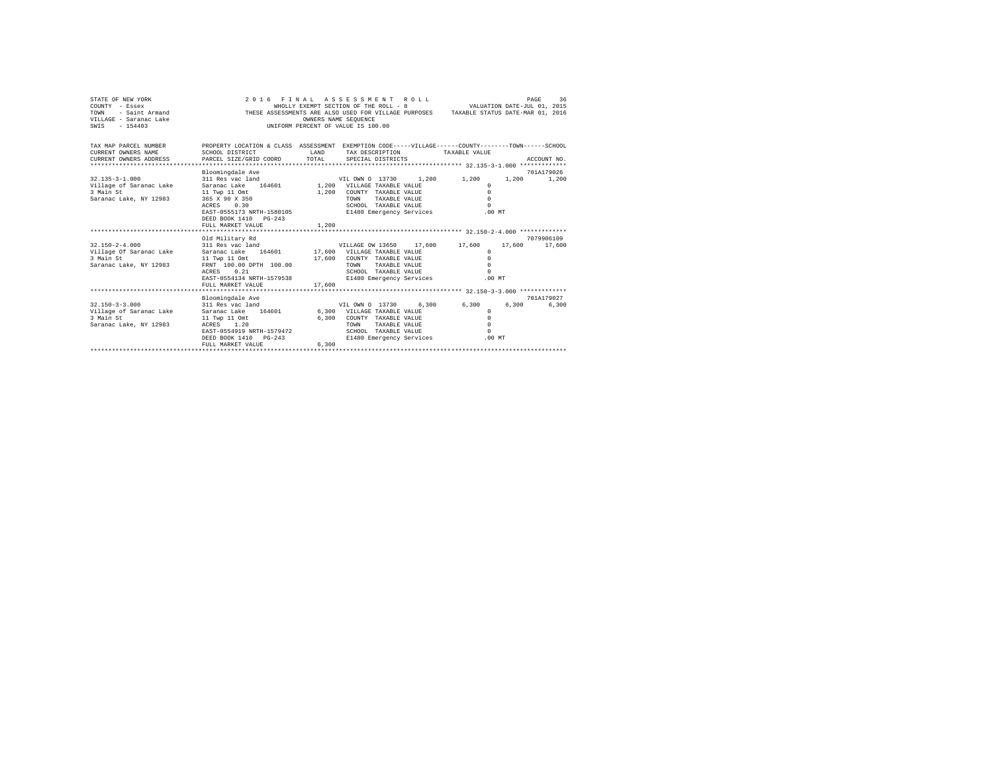| STATE OF NEW YORK<br>COUNTY - Essex<br>TOWN<br>- Saint Armand<br>VILLAGE - Saranac Lake<br>$-154403$<br>SWIS |                                                                                                                       |              | 2016 FINAL ASSESSMENT ROLL<br>WHOLLY EXEMPT SECTION OF THE ROLL - 8<br>THESE ASSESSMENTS ARE ALSO USED FOR VILLAGE PURPOSES TAXABLE STATUS DATE-MAR 01, 2016<br>OWNERS NAME SEQUENCE<br>UNIFORM PERCENT OF VALUE IS 100.00 |       | VALUATION DATE-JUL 01, 2015 |        | PAGE<br>36          |
|--------------------------------------------------------------------------------------------------------------|-----------------------------------------------------------------------------------------------------------------------|--------------|----------------------------------------------------------------------------------------------------------------------------------------------------------------------------------------------------------------------------|-------|-----------------------------|--------|---------------------|
| TAX MAP PARCEL NUMBER<br>CURRENT OWNERS NAME                                                                 | PROPERTY LOCATION & CLASS ASSESSMENT EXEMPTION CODE-----VILLAGE------COUNTY-------TOWN------SCHOOL<br>SCHOOL DISTRICT | <b>T.AND</b> | TAX DESCRIPTION                                                                                                                                                                                                            |       | TAXABLE VALUE               |        |                     |
| CURRENT OWNERS ADDRESS                                                                                       | PARCEL SIZE/GRID COORD                                                                                                | TOTAL        | SPECIAL DISTRICTS                                                                                                                                                                                                          |       |                             |        | ACCOUNT NO.         |
|                                                                                                              |                                                                                                                       |              |                                                                                                                                                                                                                            |       |                             |        |                     |
| $32.135 - 3 - 1.000$                                                                                         | Bloomingdale Ave<br>311 Res vac land                                                                                  |              | VIL OWN 0 13730                                                                                                                                                                                                            | 1.200 | 1,200                       | 1,200  | 701A179026<br>1,200 |
| Village of Saranac Lake                                                                                      | 164601<br>Saranac Lake                                                                                                |              | 1,200 VILLAGE TAXABLE VALUE                                                                                                                                                                                                |       | $^{\circ}$                  |        |                     |
| 3 Main St                                                                                                    | 11 Twp 11 Omt                                                                                                         | 1,200        | COUNTY TAXABLE VALUE                                                                                                                                                                                                       |       | $\Omega$                    |        |                     |
| Saranac Lake, NY 12983                                                                                       | 365 X 90 X 350                                                                                                        |              | TAXABLE VALUE<br>TOWN                                                                                                                                                                                                      |       | $\Omega$                    |        |                     |
|                                                                                                              | 0.30<br>ACRES                                                                                                         |              | SCHOOL TAXABLE VALUE                                                                                                                                                                                                       |       | $\Omega$                    |        |                     |
|                                                                                                              | EAST-0555173 NRTH-1580105                                                                                             |              | E1480 Emergency Services                                                                                                                                                                                                   |       | .00MT                       |        |                     |
|                                                                                                              | DEED BOOK 1410 PG-243                                                                                                 |              |                                                                                                                                                                                                                            |       |                             |        |                     |
|                                                                                                              | FULL MARKET VALUE                                                                                                     | 1,200        |                                                                                                                                                                                                                            |       |                             |        |                     |
|                                                                                                              |                                                                                                                       |              |                                                                                                                                                                                                                            |       |                             |        |                     |
|                                                                                                              | Old Military Rd                                                                                                       |              |                                                                                                                                                                                                                            |       |                             |        | 7079906109          |
| $32.150 - 2 - 4.000$                                                                                         | 311 Res vac land                                                                                                      |              | VILLAGE OW 13650                                                                                                                                                                                                           |       | 17,600 17,600               | 17,600 | 17,600              |
| Village Of Saranac Lake                                                                                      | Saranac Lake<br>164601                                                                                                |              | 17,600 VILLAGE TAXABLE VALUE                                                                                                                                                                                               |       | $\Omega$                    |        |                     |
| 3 Main St<br>Saranac Lake, NY 12983                                                                          | 11 Twp 11 Omt<br>FRNT 100.00 DPTH 100.00                                                                              | 17,600       | COUNTY TAXABLE VALUE<br>TAXABLE VALUE<br>TOWN                                                                                                                                                                              |       | $\Omega$<br>$\Omega$        |        |                     |
|                                                                                                              | 0.21<br>ACRES                                                                                                         |              | SCHOOL TAXABLE VALUE                                                                                                                                                                                                       |       | $\Omega$                    |        |                     |
|                                                                                                              | EAST-0554134 NRTH-1579538                                                                                             |              | E1480 Emergency Services                                                                                                                                                                                                   |       | $.00$ MT                    |        |                     |
|                                                                                                              | FULL MARKET VALUE                                                                                                     | 17,600       |                                                                                                                                                                                                                            |       |                             |        |                     |
|                                                                                                              |                                                                                                                       |              |                                                                                                                                                                                                                            |       |                             |        |                     |
|                                                                                                              | Bloomingdale Ave                                                                                                      |              |                                                                                                                                                                                                                            |       |                             |        | 701A179027          |
| $32.150 - 3 - 3.000$                                                                                         | 311 Res vac land                                                                                                      |              | VIL OWN 0 13730                                                                                                                                                                                                            | 6.300 | 6,300                       | 6,300  | 6.300               |
| Village of Saranac Lake                                                                                      | 164601<br>Saranac Lake                                                                                                |              | 6,300 VILLAGE TAXABLE VALUE                                                                                                                                                                                                |       | $\Omega$                    |        |                     |
| 3 Main St                                                                                                    | 11 Twp 11 Omt                                                                                                         | 6,300        | COUNTY TAXABLE VALUE                                                                                                                                                                                                       |       | $\Omega$                    |        |                     |
| Saranac Lake, NY 12983                                                                                       | ACRES 1.20                                                                                                            |              | <b>TOWN</b><br>TAXABLE VALUE                                                                                                                                                                                               |       | $\Omega$                    |        |                     |
|                                                                                                              | EAST-0554919 NRTH-1579472                                                                                             |              | SCHOOL TAXABLE VALUE                                                                                                                                                                                                       |       | $\Omega$                    |        |                     |
|                                                                                                              | DEED BOOK 1410 PG-243                                                                                                 |              | E1480 Emergency Services                                                                                                                                                                                                   |       | .00MT                       |        |                     |
|                                                                                                              | FULL MARKET VALUE                                                                                                     | 6,300        |                                                                                                                                                                                                                            |       |                             |        |                     |
|                                                                                                              |                                                                                                                       |              |                                                                                                                                                                                                                            |       |                             |        |                     |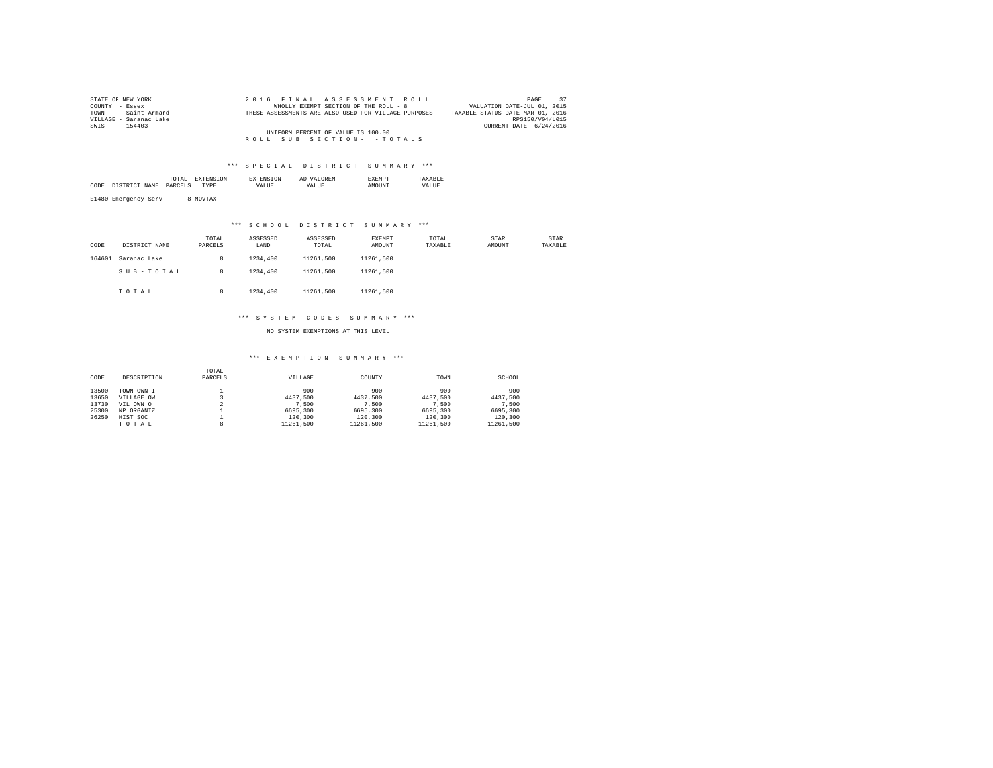| STATE OF NEW YORK      | 2016 FINAL ASSESSMENT ROLL                           | 37<br>PAGE                       |
|------------------------|------------------------------------------------------|----------------------------------|
| COUNTY - Essex         | WHOLLY EXEMPT SECTION OF THE ROLL - 8                | VALUATION DATE-JUL 01, 2015      |
| TOWN - Saint Armand    | THESE ASSESSMENTS ARE ALSO USED FOR VILLAGE PURPOSES | TAXABLE STATUS DATE-MAR 01, 2016 |
| VILLAGE - Saranac Lake |                                                      | RPS150/V04/L015                  |
| SWIS - 154403          |                                                      | CURRENT DATE 6/24/2016           |
|                        | UNIFORM PERCENT OF VALUE IS 100.00                   |                                  |
|                        | ROLL SUB SECTION- - TOTALS                           |                                  |

### \*\*\* S P E C I A L D I S T R I C T S U M M A R Y \*\*\*

|      | the contract of the contract of the contract of | ON |       | <b>OREM</b><br>Al |       |
|------|-------------------------------------------------|----|-------|-------------------|-------|
| CODI |                                                 |    | VALUE | <b>TTA</b>        | VALUE |
|      |                                                 |    |       |                   |       |

E1480 Emergency Serv 8 MOVTAX

## \*\*\* S C H O O L D I S T R I C T S U M M A R Y \*\*\*

| CODE   | DISTRICT NAME | TOTAL<br>PARCELS | ASSESSED<br>LAND | ASSESSED<br>TOTAL | <b>EXEMPT</b><br>AMOUNT | TOTAL<br>TAXABLE | <b>STAR</b><br>AMOUNT | STAR<br>TAXABLE |
|--------|---------------|------------------|------------------|-------------------|-------------------------|------------------|-----------------------|-----------------|
| 164601 | Saranac Lake  | 8                | 1234,400         | 11261.500         | 11261.500               |                  |                       |                 |
|        | SUB-TOTAL     | 8                | 1234,400         | 11261.500         | 11261.500               |                  |                       |                 |
|        | TOTAL         | 8                | 1234,400         | 11261.500         | 11261.500               |                  |                       |                 |

#### \*\*\* S Y S T E M C O D E S S U M M A R Y \*\*\*

NO SYSTEM EXEMPTIONS AT THIS LEVEL

#### \*\*\* E X E M P T I O N S U M M A R Y \*\*\*

| CODE  | DESCRIPTION | TOTAL<br>PARCELS | VILLAGE   | COUNTY    | TOWN      | SCHOOL    |
|-------|-------------|------------------|-----------|-----------|-----------|-----------|
| 13500 | TOWN OWN I  |                  | 900       | 900       | 900       | 900       |
| 13650 | VILLAGE OW  |                  | 4437.500  | 4437.500  | 4437.500  | 4437.500  |
| 13730 | VIL OWN O   |                  | 7.500     | 7.500     | 7.500     | 7.500     |
| 25300 | NP ORGANIZ  |                  | 6695,300  | 6695,300  | 6695,300  | 6695,300  |
| 26250 | HIST SOC    |                  | 120,300   | 120,300   | 120,300   | 120,300   |
|       | TOTAL       | 8                | 11261.500 | 11261.500 | 11261.500 | 11261.500 |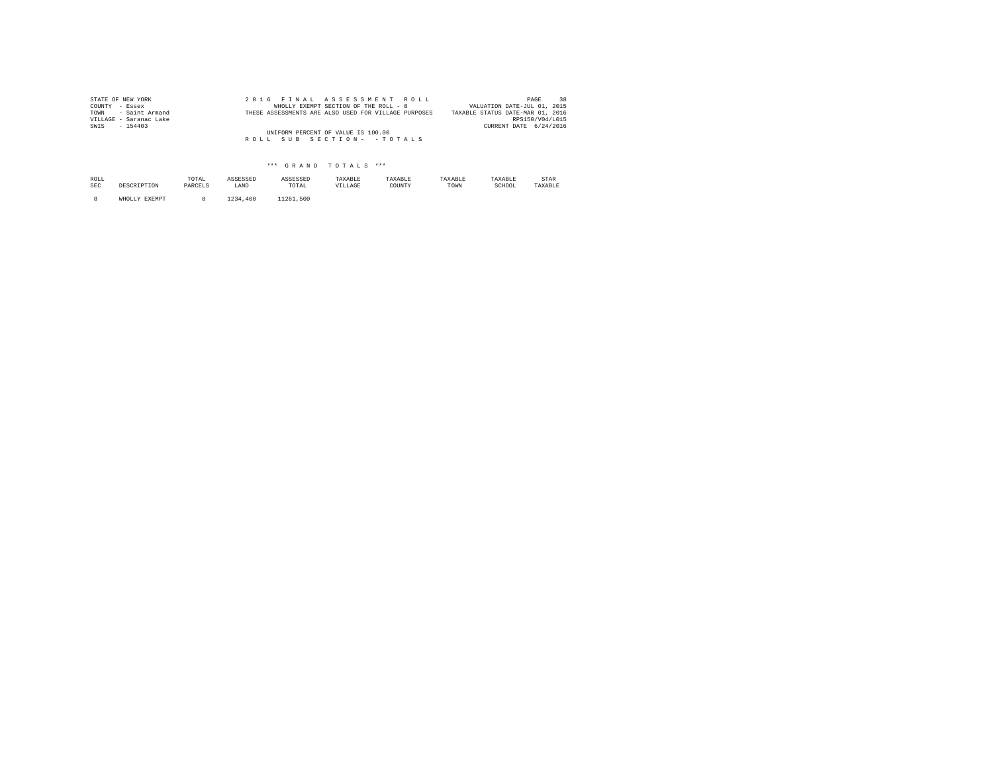| STATE OF NEW YORK      |  | 2016 FINAL ASSESSMENT ROLL                           | 38<br>PAGE                       |
|------------------------|--|------------------------------------------------------|----------------------------------|
| COUNTY - Essex         |  | WHOLLY EXEMPT SECTION OF THE ROLL - 8                | VALUATION DATE-JUL 01, 2015      |
| TOWN - Saint Armand    |  | THESE ASSESSMENTS ARE ALSO USED FOR VILLAGE PURPOSES | TAXABLE STATUS DATE-MAR 01, 2016 |
| VILLAGE - Saranac Lake |  |                                                      | RPS150/V04/L015                  |
| SWIS<br>$-154403$      |  |                                                      | CURRENT DATE 6/24/2016           |
|                        |  | UNIFORM PERCENT OF VALUE IS 100.00                   |                                  |
|                        |  | ROLL SUB SECTION- - TOTALS                           |                                  |
|                        |  |                                                      |                                  |

## \*\*\* G R A N D T O T A L S \*\*\*

| ROLL<br><b>SEC</b> | DESCRIPTION   | TOTAL<br>PARCELS | ASSESSED<br>LAND | ASSESSED<br>TOTAL | TAXABLE<br>VILLAGE | TAXABLE<br>COUNTY | TAXABLE<br>TOWN | TAXABLE<br>SCHOOL | <b>STAR</b><br>TAXABLE |
|--------------------|---------------|------------------|------------------|-------------------|--------------------|-------------------|-----------------|-------------------|------------------------|
|                    | WHOLLY EXEMPT |                  | ⊥234<br>.400     | 11261.500         |                    |                   |                 |                   |                        |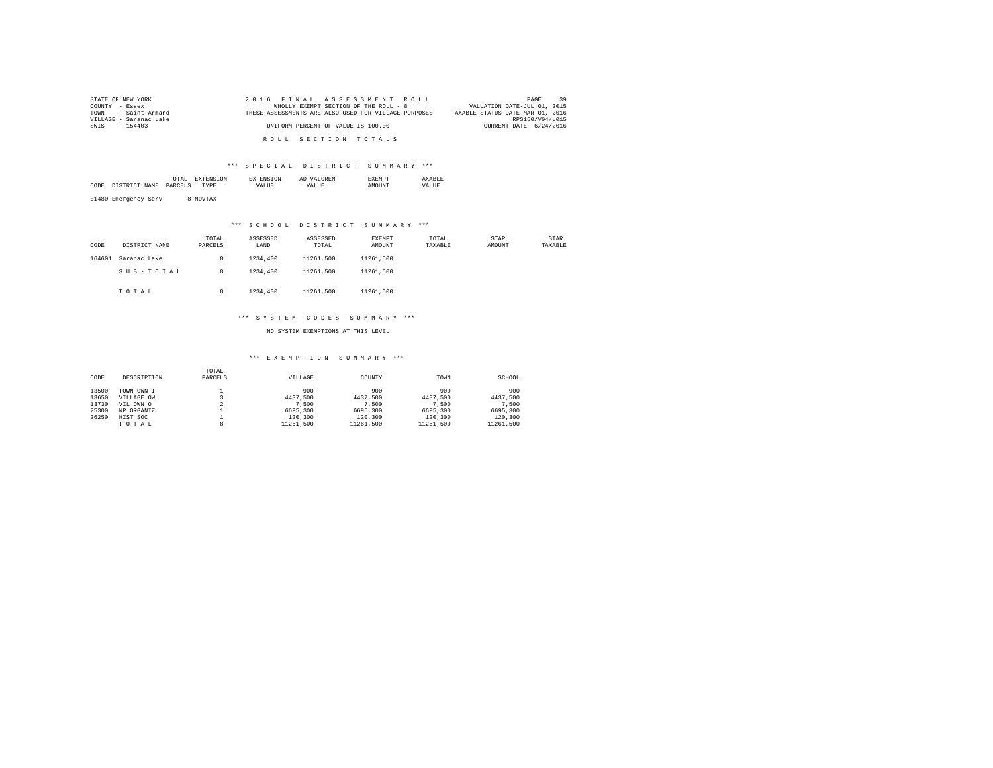| STATE OF NEW YORK      | 2016 FINAL ASSESSMENT ROLL                           | 39<br>PAGE                       |
|------------------------|------------------------------------------------------|----------------------------------|
| COUNTY - Essex         | WHOLLY EXEMPT SECTION OF THE ROLL - 8                | VALUATION DATE-JUL 01, 2015      |
| TOWN - Saint Armand    | THESE ASSESSMENTS ARE ALSO USED FOR VILLAGE PURPOSES | TAXABLE STATUS DATE-MAR 01, 2016 |
| VILLAGE - Saranac Lake |                                                      | RPS150/V04/L015                  |
| SWIS - 154403          | UNIFORM PERCENT OF VALUE IS 100.00                   | CURRENT DATE 6/24/2016           |
|                        |                                                      |                                  |
|                        | ROLL SECTION TOTALS                                  |                                  |

#### \*\*\* S P E C I A L D I S T R I C T S U M M A R Y \*\*\*

|      | the contract of the contract of the contract of | ON |       | <b>OREM</b><br>Al |       |
|------|-------------------------------------------------|----|-------|-------------------|-------|
| CODI |                                                 |    | VALUE | <b>TTA</b>        | VALUE |
|      |                                                 |    |       |                   |       |

E1480 Emergency Serv 8 MOVTAX

## \*\*\* S C H O O L D I S T R I C T S U M M A R Y \*\*\*

| CODE   | DISTRICT NAME | TOTAL<br>PARCELS | ASSESSED<br>LAND | ASSESSED<br>TOTAL | <b>EXEMPT</b><br>AMOUNT | TOTAL<br>TAXABLE | <b>STAR</b><br>AMOUNT | STAR<br>TAXABLE |
|--------|---------------|------------------|------------------|-------------------|-------------------------|------------------|-----------------------|-----------------|
| 164601 | Saranac Lake  | 8                | 1234,400         | 11261.500         | 11261.500               |                  |                       |                 |
|        | SUB-TOTAL     | 8                | 1234,400         | 11261.500         | 11261.500               |                  |                       |                 |
|        | TOTAL         | 8                | 1234,400         | 11261.500         | 11261.500               |                  |                       |                 |

#### \*\*\* S Y S T E M C O D E S S U M M A R Y \*\*\*

NO SYSTEM EXEMPTIONS AT THIS LEVEL

#### \*\*\* E X E M P T I O N S U M M A R Y \*\*\*

| CODE  | DESCRIPTION | TOTAL<br>PARCELS | VILLAGE   | COUNTY    | TOWN      | SCHOOL    |
|-------|-------------|------------------|-----------|-----------|-----------|-----------|
| 13500 | TOWN OWN I  |                  | 900       | 900       | 900       | 900       |
| 13650 | VILLAGE OW  |                  | 4437.500  | 4437.500  | 4437.500  | 4437.500  |
| 13730 | VIL OWN O   |                  | 7.500     | 7.500     | 7.500     | 7.500     |
| 25300 | NP ORGANIZ  |                  | 6695,300  | 6695,300  | 6695,300  | 6695,300  |
| 26250 | HIST SOC    |                  | 120,300   | 120,300   | 120,300   | 120,300   |
|       | TOTAL       | 8                | 11261.500 | 11261.500 | 11261.500 | 11261.500 |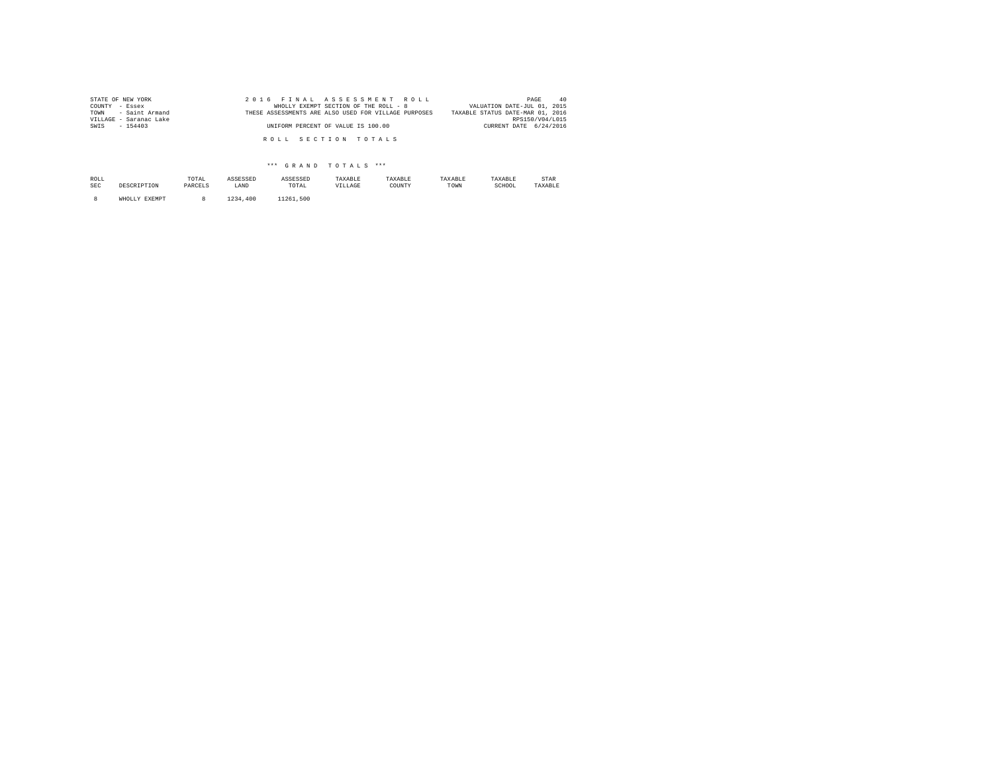| STATE OF NEW YORK      | 2016 FINAL ASSESSMENT ROLL                           | 40<br>PAGE                       |
|------------------------|------------------------------------------------------|----------------------------------|
| COUNTY - Essex         | WHOLLY EXEMPT SECTION OF THE ROLL - 8                | VALUATION DATE-JUL 01, 2015      |
| TOWN - Saint Armand    | THESE ASSESSMENTS ARE ALSO USED FOR VILLAGE PURPOSES | TAXABLE STATUS DATE-MAR 01, 2016 |
| VILLAGE - Saranac Lake |                                                      | RPS150/V04/L015                  |
| SWIS - 154403          | UNIFORM PERCENT OF VALUE IS 100.00                   | CURRENT DATE 6/24/2016           |
|                        |                                                      |                                  |
|                        | ROLL SECTION TOTALS                                  |                                  |
|                        |                                                      |                                  |

## \*\*\* G R A N D T O T A L S \*\*\*

| ROLL<br>SEC | DESCRIPTION   | TOTAL<br>PARCELS | ASSESSED<br>LAND | ASSESSED<br>TOTAL | TAXABLE<br>VILLAGE | TAXABLE<br>COUNTY | TAXABLE<br>TOWN | TAXABLE<br>SCHOOL | STAR<br>TAXABLE |
|-------------|---------------|------------------|------------------|-------------------|--------------------|-------------------|-----------------|-------------------|-----------------|
|             | WHOLLY EXEMPT |                  | 1234<br>.400     | 11261.500         |                    |                   |                 |                   |                 |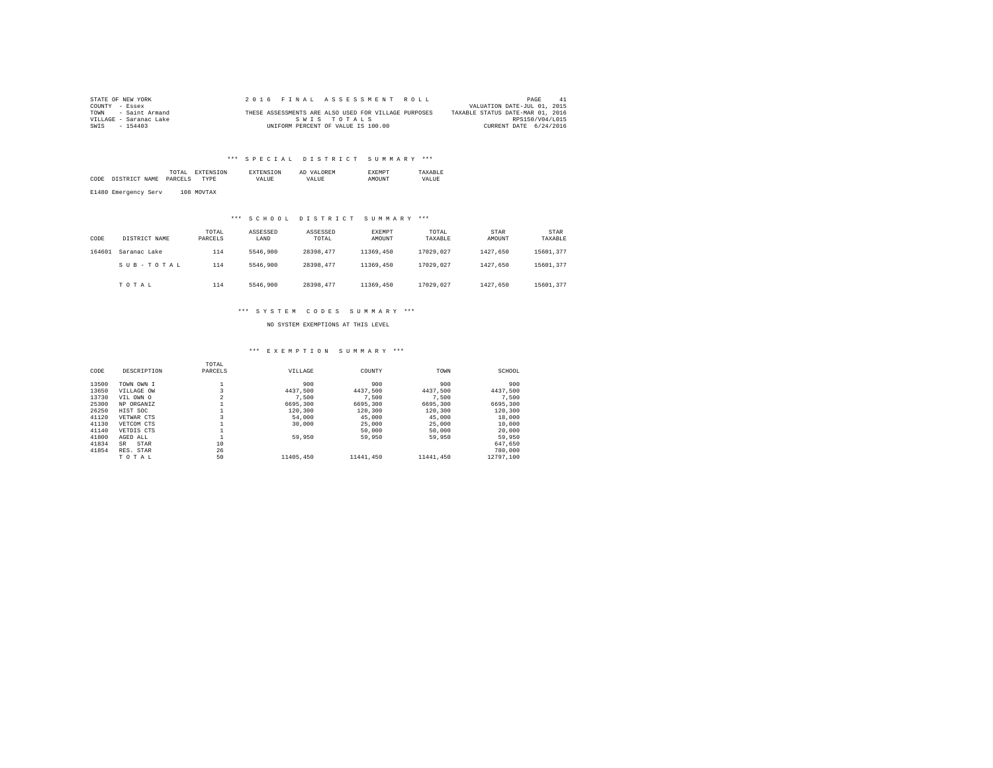| STATE OF NEW YORK      |  | 2016 FINAL ASSESSMENT ROLL                           |                                  | PAGE<br>41             |
|------------------------|--|------------------------------------------------------|----------------------------------|------------------------|
| COUNTY - Essex         |  |                                                      | VALUATION DATE-JUL 01, 2015      |                        |
| TOWN - Saint Armand    |  | THESE ASSESSMENTS ARE ALSO USED FOR VILLAGE PURPOSES | TAXABLE STATUS DATE-MAR 01, 2016 |                        |
| VILLAGE - Saranac Lake |  | SWIS TOTALS                                          |                                  | RPS150/V04/L015        |
| SWIS<br>$-154403$      |  | UNIFORM PERCENT OF VALUE IS 100.00                   |                                  | CURRENT DATE 6/24/2016 |

## \*\*\* SPECIAL DISTRICT SUMMARY \*\*\*

| CODE<br>DISTRICT NAME | TOTAL<br><b>EXTENSION</b><br>PARCELS<br>TYPE | <b>EXTENSION</b><br><b>VALUE</b> | AD VALOREM<br>VALUE. | <b>EXEMPT</b><br><b>AMOUNT</b> | TAXARLE<br>VALUE |
|-----------------------|----------------------------------------------|----------------------------------|----------------------|--------------------------------|------------------|
| E1480 Emergency Serv  | 108 MOVTAX                                   |                                  |                      |                                |                  |

#### \*\*\* S C H O O L D I S T R I C T S U M M A R Y \*\*\*

| CODE   | DISTRICT NAME | TOTAL<br>PARCELS | ASSESSED<br>LAND | ASSESSED<br>TOTAL | <b>EXEMPT</b><br>AMOUNT | TOTAL<br>TAXABLE | STAR<br>AMOUNT | STAR<br>TAXABLE |
|--------|---------------|------------------|------------------|-------------------|-------------------------|------------------|----------------|-----------------|
| 164601 | Saranac Lake  | 114              | 5546,900         | 28398.477         | 11369,450               | 17029.027        | 1427.650       | 15601.377       |
|        | SUB-TOTAL     | 114              | 5546,900         | 28398.477         | 11369,450               | 17029.027        | 1427.650       | 15601.377       |
|        | TOTAL         | 114              | 5546.900         | 28398.477         | 11369,450               | 17029.027        | 1427.650       | 15601.377       |

#### \*\*\* S Y S T E M C O D E S S U M M A R Y \*\*\*

NO SYSTEM EXEMPTIONS AT THIS LEVEL

#### \*\*\* E X E M P T I O N S U M M A R Y \*\*\*

|       |             | TOTAL          |           |           |           |           |
|-------|-------------|----------------|-----------|-----------|-----------|-----------|
| CODE  | DESCRIPTION | PARCELS        | VILLAGE   | COUNTY    | TOWN      | SCHOOL    |
| 13500 | TOWN OWN I  |                | 900       | 900       | 900       | 900       |
| 13650 | VILLAGE OW  |                | 4437.500  | 4437.500  | 4437.500  | 4437.500  |
| 13730 | VIL OWN O   | $\overline{a}$ | 7.500     | 7.500     | 7.500     | 7.500     |
| 25300 | NP ORGANIZ  |                | 6695,300  | 6695,300  | 6695,300  | 6695,300  |
| 26250 | HIST SOC    |                | 120,300   | 120,300   | 120,300   | 120,300   |
| 41120 | VETWAR CTS  |                | 54,000    | 45,000    | 45,000    | 18,000    |
| 41130 | VETCOM CTS  |                | 30,000    | 25,000    | 25,000    | 10,000    |
| 41140 | VETDIS CTS  |                |           | 50,000    | 50,000    | 20,000    |
| 41800 | AGED ALL    |                | 59,950    | 59,950    | 59,950    | 59,950    |
| 41834 | STAR<br>SR  | 10             |           |           |           | 647.650   |
| 41854 | RES. STAR   | 26             |           |           |           | 780,000   |
|       | TOTAL       | 50             | 11405,450 | 11441,450 | 11441.450 | 12797.100 |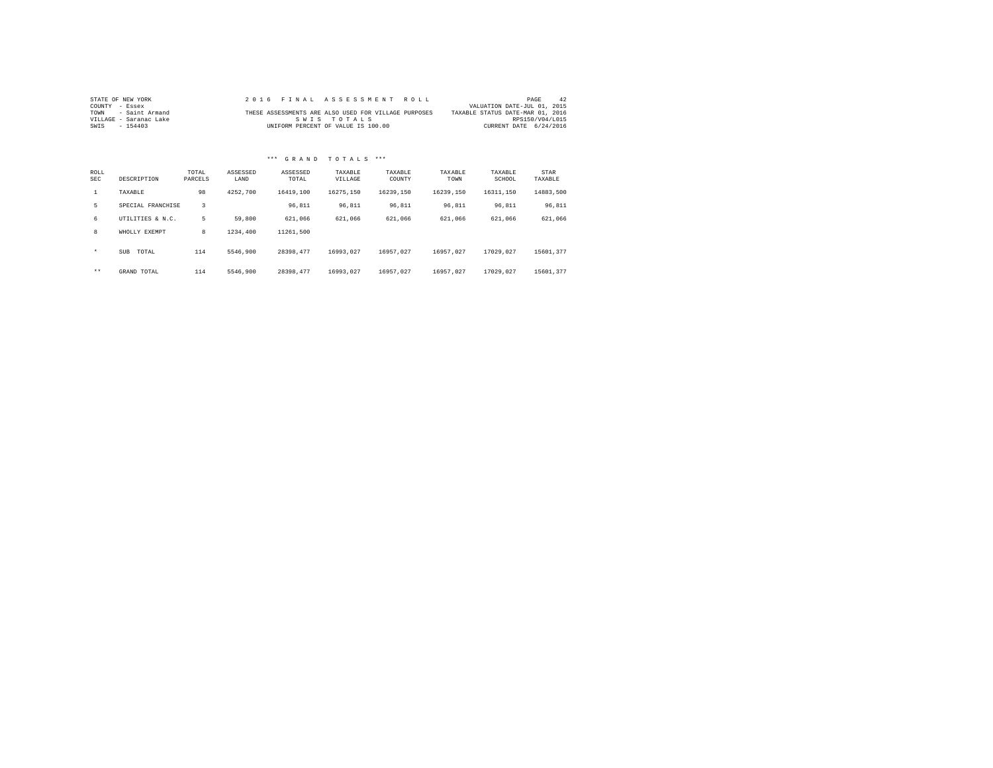| STATE OF NEW YORK      |  |  |             |  |                                    | 2016 FINAL ASSESSMENT ROLL                           |                                  | PAGE            | 42 |
|------------------------|--|--|-------------|--|------------------------------------|------------------------------------------------------|----------------------------------|-----------------|----|
| COUNTY - Essex         |  |  |             |  |                                    |                                                      | VALUATION DATE-JUL 01, 2015      |                 |    |
| TOWN - Saint Armand    |  |  |             |  |                                    | THESE ASSESSMENTS ARE ALSO USED FOR VILLAGE PURPOSES | TAXABLE STATUS DATE-MAR 01, 2016 |                 |    |
| VILLAGE - Saranac Lake |  |  | SWIS TOTALS |  |                                    |                                                      |                                  | RPS150/V04/L015 |    |
| SWIS - 154403          |  |  |             |  | UNIFORM PERCENT OF VALUE IS 100.00 |                                                      | CURRENT DATE 6/24/2016           |                 |    |

# \*\*\* G R A N D T O T A L S \*\*\*

| ROLL<br>SEC  | DESCRIPTION         | TOTAL<br>PARCELS | ASSESSED<br>LAND | ASSESSED<br>TOTAL | TAXABLE<br>VILLAGE | TAXABLE<br>COUNTY | TAXABLE<br>TOWN | TAXABLE<br>SCHOOL | STAR<br>TAXABLE |
|--------------|---------------------|------------------|------------------|-------------------|--------------------|-------------------|-----------------|-------------------|-----------------|
| $\mathbf{1}$ | TAXABLE             | 98               | 4252.700         | 16419,100         | 16275.150          | 16239.150         | 16239.150       | 16311.150         | 14883.500       |
| 5            | SPECIAL FRANCHISE   | 3                |                  | 96.811            | 96.811             | 96.811            | 96.811          | 96.811            | 96.811          |
| 6            | UTILITIES & N.C.    | 5                | 59,800           | 621.066           | 621.066            | 621,066           | 621.066         | 621,066           | 621,066         |
| 8            | WHOLLY EXEMPT       | 8                | 1234,400         | 11261.500         |                    |                   |                 |                   |                 |
| $\star$      | <b>SUB</b><br>TOTAL | 114              | 5546.900         | 28398.477         | 16993.027          | 16957.027         | 16957.027       | 17029.027         | 15601.377       |
| $***$        | GRAND TOTAL         | 114              | 5546.900         | 28398.477         | 16993.027          | 16957.027         | 16957.027       | 17029.027         | 15601.377       |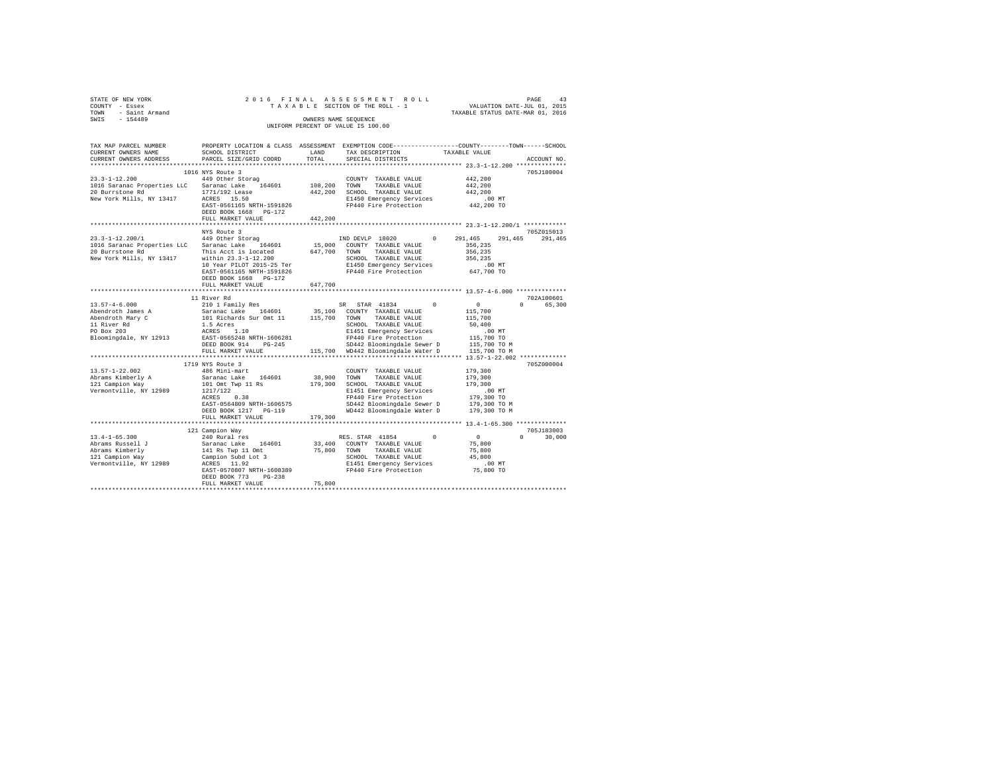| STATE OF NEW YORK   | 2016 FINAL ASSESSMENT ROLL         | PAGE                             | 43 |
|---------------------|------------------------------------|----------------------------------|----|
| COUNTY - Essex      | TAXABLE SECTION OF THE ROLL - 1    | VALUATION DATE-JUL 01, 2015      |    |
| TOWN - Saint Armand |                                    | TAXABLE STATUS DATE-MAR 01, 2016 |    |
| SWIS<br>$-154489$   | OWNERS NAME SEOUENCE               |                                  |    |
|                     | UNIFORM PERCENT OF VALUE IS 100.00 |                                  |    |
|                     |                                    |                                  |    |
|                     |                                    |                                  |    |

| TAX MAP PARCEL NUMBER       |                                                    |              | PROPERTY LOCATION & CLASS ASSESSMENT EXEMPTION CODE----------------COUNTY-------TOWN-----SCHOOL |                    |                    |
|-----------------------------|----------------------------------------------------|--------------|-------------------------------------------------------------------------------------------------|--------------------|--------------------|
| CURRENT OWNERS NAME         | SCHOOL DISTRICT                                    | LAND         | TAX DESCRIPTION                                                                                 | TAXABLE VALUE      |                    |
| CURRENT OWNERS ADDRESS      | PARCEL SIZE/GRID COORD                             | TOTAL        | SPECIAL DISTRICTS                                                                               |                    | ACCOUNT NO.        |
|                             |                                                    |              |                                                                                                 |                    |                    |
|                             | 1016 NYS Route 3                                   |              |                                                                                                 |                    | 705J180004         |
| $23.3 - 1 - 12.200$         | 449 Other Storag                                   |              | COUNTY TAXABLE VALUE                                                                            | 442.200            |                    |
| 1016 Saranac Properties LLC | Saranac Lake 164601                                | 108,200 TOWN | TAXABLE VALUE                                                                                   | 442,200            |                    |
| 20 Burrstone Rd             | 1771/192 Lease                                     | 442,200      | SCHOOL TAXABLE VALUE                                                                            | 442.200            |                    |
| New York Mills, NY 13417    | ACRES 15.50                                        |              | E1450 Emergency Services                                                                        | $.00$ MT           |                    |
|                             |                                                    |              |                                                                                                 |                    |                    |
|                             | EAST-0561165 NRTH-1591826<br>DEED BOOK 1668 PG-172 |              | FP440 Fire Protection                                                                           | 442,200 TO         |                    |
|                             | FULL MARKET VALUE                                  | 442.200      |                                                                                                 |                    |                    |
|                             | *************************                          |              |                                                                                                 |                    |                    |
|                             | NYS Route 3                                        |              |                                                                                                 |                    | 705Z015013         |
| $23.3 - 1 - 12.200 / 1$     | 449 Other Storag                                   |              | IND DEVLP 18020<br>$^{\circ}$                                                                   | 291,465<br>291,465 | 291,465            |
| 1016 Saranac Properties LLC | Saranac Lake 164601                                |              | 15,000 COUNTY TAXABLE VALUE                                                                     | 356,235            |                    |
| 20 Burrstone Rd             | This Acct is located                               | 647,700 TOWN | TAXABLE VALUE                                                                                   | 356,235            |                    |
| New York Mills, NY 13417    | within 23.3-1-12.200                               |              | SCHOOL TAXABLE VALUE                                                                            | 356,235            |                    |
|                             | 10 Year PILOT 2015-25 Ter                          |              |                                                                                                 | $.00$ MT           |                    |
|                             | EAST-0561165 NRTH-1591826                          |              | E1450 Emergency Services<br>FP440 Fire Protection                                               | 647,700 TO         |                    |
|                             | DEED BOOK 1668 PG-172                              |              |                                                                                                 |                    |                    |
|                             | FULL MARKET VALUE                                  | 647,700      |                                                                                                 |                    |                    |
|                             |                                                    |              |                                                                                                 |                    |                    |
|                             |                                                    |              |                                                                                                 |                    |                    |
|                             | 11 River Rd                                        |              |                                                                                                 |                    | 702A100601         |
| $13.57 - 4 - 6.000$         | 210 1 Family Res                                   |              | SR STAR 41834 0                                                                                 | $\sim$ 0           | $\cap$<br>65,300   |
| Abendroth James A           | Saranac Lake 164601                                |              | 35,100 COUNTY TAXABLE VALUE                                                                     | 115,700            |                    |
| Abendroth Mary C            | 101 Richards Sur Omt 11 115,700 TOWN               |              | TAXABLE VALUE                                                                                   | 115,700            |                    |
| 11 River Rd                 | 1.5 Acres                                          |              | SCHOOL TAXABLE VALUE                                                                            | 50,400             |                    |
| PO Box 203                  | ACRES 1.10                                         |              | E1451 Emergency Services                                                                        | $.00$ MT           |                    |
| Bloomingdale, NY 12913      | EAST-0565248 NRTH-1606281                          |              | FP440 Fire Protection                                                                           | 115,700 TO         |                    |
|                             | DEED BOOK 914<br>$PG-245$                          |              | SD442 Bloomingdale Sewer D                                                                      | 115,700 TO M       |                    |
|                             | FULL MARKET VALUE                                  |              | 115,700 WD442 Bloomingdale Water D                                                              | 115,700 TO M       |                    |
|                             |                                                    |              |                                                                                                 |                    |                    |
|                             | 1719 NYS Route 3                                   |              |                                                                                                 |                    | 705Z000004         |
| $13.57 - 1 - 22.002$        | 486 Mini-mart                                      |              | COUNTY TAXABLE VALUE                                                                            | 179,300            |                    |
| Abrams Kimberly A           | Saranac Lake 164601                                | 38,900 TOWN  | TAXABLE VALUE                                                                                   | 179,300            |                    |
| 121 Campion Way             | 101 Omt Twp 11 Rs                                  |              | 179,300 SCHOOL TAXABLE VALUE                                                                    | 179,300            |                    |
| Vermontville, NY 12989      | 1217/122                                           |              | E1451 Emergency Services                                                                        | $.00$ MT           |                    |
|                             | ACRES<br>0.38                                      |              | FP440 Fire Protection                                                                           | 179,300 TO         |                    |
|                             |                                                    |              |                                                                                                 |                    |                    |
|                             | EAST-0564809 NRTH-1606575                          |              | SD442 Bloomingdale Sewer D                                                                      | 179,300 TO M       |                    |
|                             | DEED BOOK 1217 PG-119                              |              | WD442 Bloomingdale Water D                                                                      | 179,300 TO M       |                    |
|                             | FULL MARKET VALUE                                  | 179,300      |                                                                                                 |                    |                    |
|                             |                                                    |              |                                                                                                 |                    |                    |
|                             | 121 Campion Way                                    |              |                                                                                                 |                    | 705J183003         |
| $13.4 - 1 - 65.300$         | 240 Rural res                                      |              | RES. STAR 41854<br>$\Omega$                                                                     | $\sim$ 0           | 30,000<br>$\Omega$ |
| Abrams Russell J            | Saranac Lake<br>164601                             |              | 33,400 COUNTY TAXABLE VALUE                                                                     | 75,800             |                    |
| Abrams Kimberly             | 141 Rs Twp 11 Omt                                  |              | 75.800 TOWN<br>TAXABLE VALUE                                                                    | 75,800             |                    |
| 121 Campion Way             | Campion Subd Lot 3                                 |              | SCHOOL TAXABLE VALUE                                                                            | 45,800             |                    |
| Vermontville, NY 12989      | ACRES 11.92                                        |              | E1451 Emergency Services                                                                        | $.00$ MT           |                    |
|                             | EAST-0570807 NRTH-1608389                          |              | FP440 Fire Protection                                                                           | 75,800 TO          |                    |
|                             | DEED BOOK 773<br>$PG-238$                          |              |                                                                                                 |                    |                    |
|                             | FULL MARKET VALUE                                  | 75,800       |                                                                                                 |                    |                    |
|                             |                                                    |              |                                                                                                 |                    |                    |
|                             |                                                    |              |                                                                                                 |                    |                    |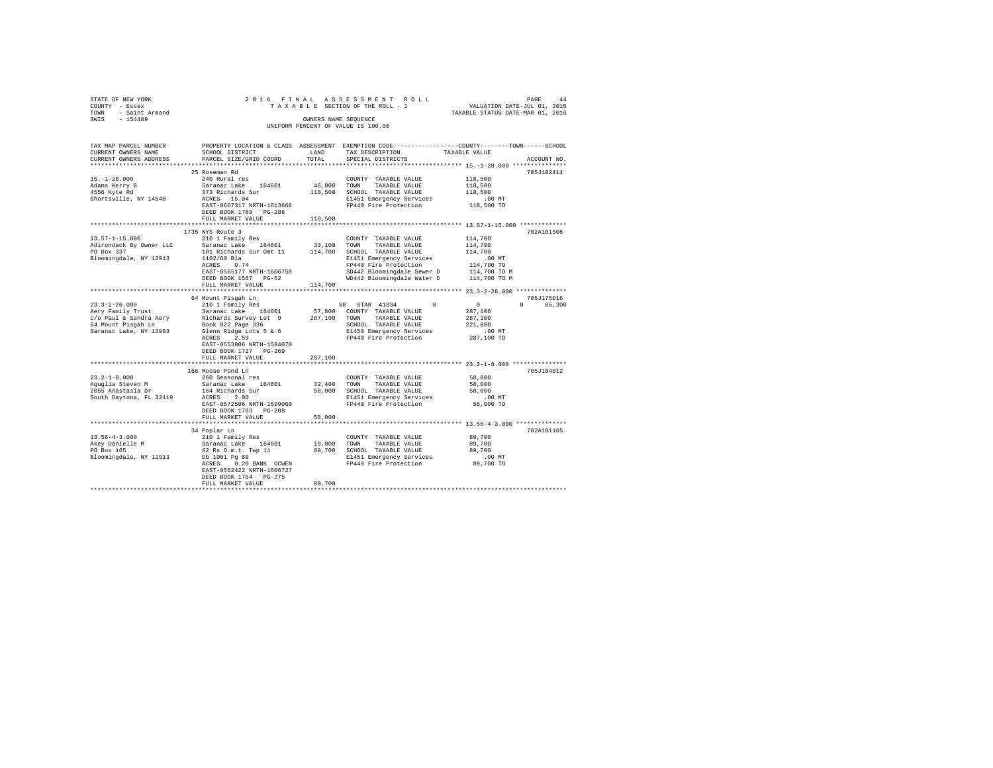| TAX MAP PARCEL NUMBER THE PROPERTY LOCATION & CLASS ASSESSMENT EXEMPTION CODE-------------COUNTY--------TOWN-----SCHOOL<br>CURRENT OWNERS NAME<br>CURRENT OWNERS ADDRESS<br>ACCOUNT NO.<br>25 Roseman Rd<br>705J102414<br>DEED BOOK 1789 PG-286<br>FULL MARKET VALUE 118,500<br>1735 NYS Route 3<br>702A101506<br>64 Mount Pisqah Ln<br>705J175016<br>EAST-0553806 NRTH-1584070<br>DEED BOOK 1727 PG-269<br>FULL MARKET VALUE<br>287,100<br>166 Moose Pond Ln<br>705J104012<br>DEED BOOK 1793 PG-208<br>FULL MARKET VALUE 58,000<br>702A101105<br>EAST-0562422 NRTH-1606727<br>DEED BOOK 1754 PG-275<br>89,700<br>FULL MARKET VALUE | STATE OF NEW YORK<br>COUNTY - Essex<br>TOWN - Saint Armand<br>SWIS - 154489 |  | OWNERS NAME SEQUENCE<br>UNIFORM PERCENT OF VALUE IS 100.00 |  |
|-------------------------------------------------------------------------------------------------------------------------------------------------------------------------------------------------------------------------------------------------------------------------------------------------------------------------------------------------------------------------------------------------------------------------------------------------------------------------------------------------------------------------------------------------------------------------------------------------------------------------------------|-----------------------------------------------------------------------------|--|------------------------------------------------------------|--|
|                                                                                                                                                                                                                                                                                                                                                                                                                                                                                                                                                                                                                                     |                                                                             |  |                                                            |  |
|                                                                                                                                                                                                                                                                                                                                                                                                                                                                                                                                                                                                                                     |                                                                             |  |                                                            |  |
|                                                                                                                                                                                                                                                                                                                                                                                                                                                                                                                                                                                                                                     |                                                                             |  |                                                            |  |
|                                                                                                                                                                                                                                                                                                                                                                                                                                                                                                                                                                                                                                     |                                                                             |  |                                                            |  |
|                                                                                                                                                                                                                                                                                                                                                                                                                                                                                                                                                                                                                                     |                                                                             |  |                                                            |  |
|                                                                                                                                                                                                                                                                                                                                                                                                                                                                                                                                                                                                                                     |                                                                             |  |                                                            |  |
|                                                                                                                                                                                                                                                                                                                                                                                                                                                                                                                                                                                                                                     |                                                                             |  |                                                            |  |
|                                                                                                                                                                                                                                                                                                                                                                                                                                                                                                                                                                                                                                     |                                                                             |  |                                                            |  |
|                                                                                                                                                                                                                                                                                                                                                                                                                                                                                                                                                                                                                                     |                                                                             |  |                                                            |  |
|                                                                                                                                                                                                                                                                                                                                                                                                                                                                                                                                                                                                                                     |                                                                             |  |                                                            |  |
|                                                                                                                                                                                                                                                                                                                                                                                                                                                                                                                                                                                                                                     |                                                                             |  |                                                            |  |
|                                                                                                                                                                                                                                                                                                                                                                                                                                                                                                                                                                                                                                     |                                                                             |  |                                                            |  |
|                                                                                                                                                                                                                                                                                                                                                                                                                                                                                                                                                                                                                                     |                                                                             |  |                                                            |  |
|                                                                                                                                                                                                                                                                                                                                                                                                                                                                                                                                                                                                                                     |                                                                             |  |                                                            |  |
|                                                                                                                                                                                                                                                                                                                                                                                                                                                                                                                                                                                                                                     |                                                                             |  |                                                            |  |
|                                                                                                                                                                                                                                                                                                                                                                                                                                                                                                                                                                                                                                     |                                                                             |  |                                                            |  |
|                                                                                                                                                                                                                                                                                                                                                                                                                                                                                                                                                                                                                                     |                                                                             |  |                                                            |  |
|                                                                                                                                                                                                                                                                                                                                                                                                                                                                                                                                                                                                                                     |                                                                             |  |                                                            |  |
|                                                                                                                                                                                                                                                                                                                                                                                                                                                                                                                                                                                                                                     |                                                                             |  |                                                            |  |
|                                                                                                                                                                                                                                                                                                                                                                                                                                                                                                                                                                                                                                     |                                                                             |  |                                                            |  |
|                                                                                                                                                                                                                                                                                                                                                                                                                                                                                                                                                                                                                                     |                                                                             |  |                                                            |  |
|                                                                                                                                                                                                                                                                                                                                                                                                                                                                                                                                                                                                                                     |                                                                             |  |                                                            |  |
|                                                                                                                                                                                                                                                                                                                                                                                                                                                                                                                                                                                                                                     |                                                                             |  |                                                            |  |
|                                                                                                                                                                                                                                                                                                                                                                                                                                                                                                                                                                                                                                     |                                                                             |  |                                                            |  |
|                                                                                                                                                                                                                                                                                                                                                                                                                                                                                                                                                                                                                                     |                                                                             |  |                                                            |  |
|                                                                                                                                                                                                                                                                                                                                                                                                                                                                                                                                                                                                                                     |                                                                             |  |                                                            |  |
|                                                                                                                                                                                                                                                                                                                                                                                                                                                                                                                                                                                                                                     |                                                                             |  |                                                            |  |
|                                                                                                                                                                                                                                                                                                                                                                                                                                                                                                                                                                                                                                     |                                                                             |  |                                                            |  |
|                                                                                                                                                                                                                                                                                                                                                                                                                                                                                                                                                                                                                                     |                                                                             |  |                                                            |  |
|                                                                                                                                                                                                                                                                                                                                                                                                                                                                                                                                                                                                                                     |                                                                             |  |                                                            |  |
|                                                                                                                                                                                                                                                                                                                                                                                                                                                                                                                                                                                                                                     |                                                                             |  |                                                            |  |
|                                                                                                                                                                                                                                                                                                                                                                                                                                                                                                                                                                                                                                     |                                                                             |  |                                                            |  |
|                                                                                                                                                                                                                                                                                                                                                                                                                                                                                                                                                                                                                                     |                                                                             |  |                                                            |  |
|                                                                                                                                                                                                                                                                                                                                                                                                                                                                                                                                                                                                                                     |                                                                             |  |                                                            |  |
|                                                                                                                                                                                                                                                                                                                                                                                                                                                                                                                                                                                                                                     |                                                                             |  |                                                            |  |
|                                                                                                                                                                                                                                                                                                                                                                                                                                                                                                                                                                                                                                     |                                                                             |  |                                                            |  |
|                                                                                                                                                                                                                                                                                                                                                                                                                                                                                                                                                                                                                                     |                                                                             |  |                                                            |  |
|                                                                                                                                                                                                                                                                                                                                                                                                                                                                                                                                                                                                                                     |                                                                             |  |                                                            |  |
|                                                                                                                                                                                                                                                                                                                                                                                                                                                                                                                                                                                                                                     |                                                                             |  |                                                            |  |
|                                                                                                                                                                                                                                                                                                                                                                                                                                                                                                                                                                                                                                     |                                                                             |  |                                                            |  |
|                                                                                                                                                                                                                                                                                                                                                                                                                                                                                                                                                                                                                                     |                                                                             |  |                                                            |  |
|                                                                                                                                                                                                                                                                                                                                                                                                                                                                                                                                                                                                                                     |                                                                             |  |                                                            |  |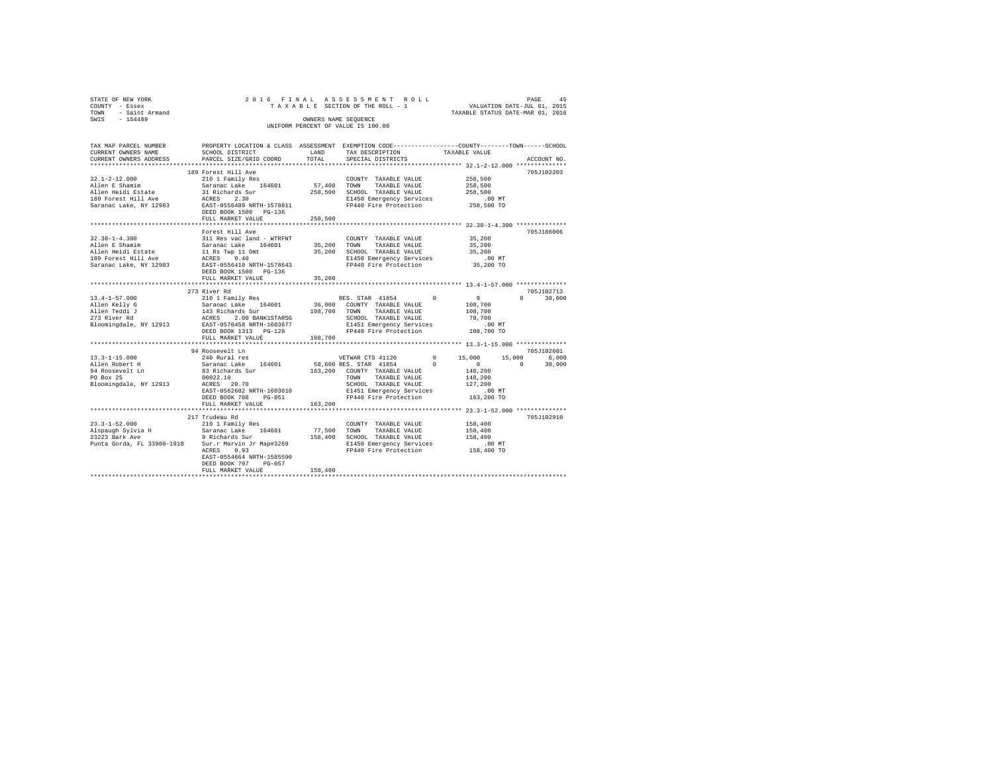| STATE OF NEW YORK<br>COUNTY - Essex 2<br>TOWN - Saint Armand<br>SWIS - 154489                                                                                                                                                                            |                                                                                                                                                                                 |         |                                                                                                                                                                                                                                                                                                                 |                                  |               |
|----------------------------------------------------------------------------------------------------------------------------------------------------------------------------------------------------------------------------------------------------------|---------------------------------------------------------------------------------------------------------------------------------------------------------------------------------|---------|-----------------------------------------------------------------------------------------------------------------------------------------------------------------------------------------------------------------------------------------------------------------------------------------------------------------|----------------------------------|---------------|
|                                                                                                                                                                                                                                                          |                                                                                                                                                                                 |         |                                                                                                                                                                                                                                                                                                                 | TAXABLE STATUS DATE-MAR 01, 2016 |               |
|                                                                                                                                                                                                                                                          |                                                                                                                                                                                 |         | OWNERS NAME SEOUENCE                                                                                                                                                                                                                                                                                            |                                  |               |
|                                                                                                                                                                                                                                                          |                                                                                                                                                                                 |         | UNIFORM PERCENT OF VALUE IS 100.00                                                                                                                                                                                                                                                                              |                                  |               |
|                                                                                                                                                                                                                                                          |                                                                                                                                                                                 |         |                                                                                                                                                                                                                                                                                                                 |                                  |               |
|                                                                                                                                                                                                                                                          | TAX MAP PARCEL NUMBER PROPERTY LOCATION & CLASS ASSESSMENT EXEMPTION CODE---------------COUNTY-------TOWN------SCHOOL                                                           |         |                                                                                                                                                                                                                                                                                                                 |                                  |               |
| CURRENT OWNERS NAME                                                                                                                                                                                                                                      |                                                                                                                                                                                 |         | SCHOOL DISTRICT                     LAND        TAX DESCRIPTION                TAXABLE VALUE                                                                                                                                                                                                                    |                                  |               |
| CURRENT OWNERS ADDRESS                                                                                                                                                                                                                                   | PARCEL SIZE/GRID COORD                                                                                                                                                          | TOTAL   | SPECIAL DISTRICTS                                                                                                                                                                                                                                                                                               |                                  | ACCOUNT NO.   |
|                                                                                                                                                                                                                                                          |                                                                                                                                                                                 |         |                                                                                                                                                                                                                                                                                                                 |                                  |               |
|                                                                                                                                                                                                                                                          | 189 Forest Hill Ave                                                                                                                                                             |         |                                                                                                                                                                                                                                                                                                                 |                                  | 705J102203    |
| $32.1 - 2 - 12.000$                                                                                                                                                                                                                                      |                                                                                                                                                                                 |         |                                                                                                                                                                                                                                                                                                                 | 258,500                          |               |
| Allen E Shamim<br>Allen Heidi Estate                                                                                                                                                                                                                     |                                                                                                                                                                                 |         | TAXABLE VALUE                                                                                                                                                                                                                                                                                                   | 258,500<br>258,500               |               |
|                                                                                                                                                                                                                                                          | 210 1 Family Res<br>Saranac Lake 164601 57,400 TOWN TAXABLE VALUE<br>31 Richards Sur 258,500 SCHOOL TAXABLE VALUE<br>21 Richards Sur 258,500 SCHOOL TAXABLE VALUE<br>ACRES 2.30 |         |                                                                                                                                                                                                                                                                                                                 |                                  |               |
| 189 Forest Hill Ave                                                                                                                                                                                                                                      |                                                                                                                                                                                 |         |                                                                                                                                                                                                                                                                                                                 |                                  |               |
|                                                                                                                                                                                                                                                          |                                                                                                                                                                                 |         |                                                                                                                                                                                                                                                                                                                 |                                  |               |
|                                                                                                                                                                                                                                                          | DEED BOOK 1500 PG-136                                                                                                                                                           |         |                                                                                                                                                                                                                                                                                                                 |                                  |               |
|                                                                                                                                                                                                                                                          | FULL MARKET VALUE                                                                                                                                                               | 258,500 |                                                                                                                                                                                                                                                                                                                 |                                  |               |
|                                                                                                                                                                                                                                                          |                                                                                                                                                                                 |         |                                                                                                                                                                                                                                                                                                                 |                                  | 705J186006    |
| $32.38 - 1 - 4.300$                                                                                                                                                                                                                                      | Forest Hill Ave<br>311 Res vac land - WTRFNT                                                                                                                                    |         | $\begin{tabular}{lllllll} \multicolumn{2}{c}{\text{COUNTY}} & \text{TAXABLE VALUE} & & & 35,200 \\ \multicolumn{2}{c}{\text{5,200}} & \multicolumn{2}{c}{\text{maxmax}} & \text{WALUE} & & & 35,200 \\ \multicolumn{2}{c}{\text{5,200}} & \multicolumn{2}{c}{\text{maxmax}} & \text{WALUE} & & & \end{tabular}$ |                                  |               |
|                                                                                                                                                                                                                                                          |                                                                                                                                                                                 |         |                                                                                                                                                                                                                                                                                                                 |                                  |               |
|                                                                                                                                                                                                                                                          | Allen E Shamim Saranac Lake 164601 35,200 TOWN TAXABLE VALUE Allen Heidi Estatun Saranac Lake 164601 35,200 TOWN TAXABLE VALUE ALLEN SARABLE VALUE AND SCHOOL TAXABLE VALUE     |         |                                                                                                                                                                                                                                                                                                                 |                                  |               |
|                                                                                                                                                                                                                                                          |                                                                                                                                                                                 |         |                                                                                                                                                                                                                                                                                                                 | 35,200                           |               |
| Saranac Lake, NY 12983                                                                                                                                                                                                                                   | 0.40 E1450 Emergency Services 0.40 MT<br>EAST-0556410 NRTH-1578643 FP440 Fire Protection 35,200 TO                                                                              |         |                                                                                                                                                                                                                                                                                                                 |                                  |               |
|                                                                                                                                                                                                                                                          | DEED BOOK 1500 PG-136                                                                                                                                                           |         |                                                                                                                                                                                                                                                                                                                 |                                  |               |
|                                                                                                                                                                                                                                                          | FULL MARKET VALUE                                                                                                                                                               | 35,200  |                                                                                                                                                                                                                                                                                                                 |                                  |               |
|                                                                                                                                                                                                                                                          |                                                                                                                                                                                 |         |                                                                                                                                                                                                                                                                                                                 |                                  |               |
|                                                                                                                                                                                                                                                          | 273 River Rd                                                                                                                                                                    |         |                                                                                                                                                                                                                                                                                                                 |                                  | 705J102713    |
|                                                                                                                                                                                                                                                          |                                                                                                                                                                                 |         |                                                                                                                                                                                                                                                                                                                 |                                  | $0 \t 30.000$ |
|                                                                                                                                                                                                                                                          |                                                                                                                                                                                 |         |                                                                                                                                                                                                                                                                                                                 |                                  |               |
|                                                                                                                                                                                                                                                          |                                                                                                                                                                                 |         |                                                                                                                                                                                                                                                                                                                 |                                  |               |
|                                                                                                                                                                                                                                                          |                                                                                                                                                                                 |         |                                                                                                                                                                                                                                                                                                                 |                                  |               |
|                                                                                                                                                                                                                                                          |                                                                                                                                                                                 |         |                                                                                                                                                                                                                                                                                                                 |                                  |               |
|                                                                                                                                                                                                                                                          |                                                                                                                                                                                 |         |                                                                                                                                                                                                                                                                                                                 |                                  |               |
|                                                                                                                                                                                                                                                          | FULL MARKET VALUE 108,700                                                                                                                                                       |         |                                                                                                                                                                                                                                                                                                                 |                                  |               |
|                                                                                                                                                                                                                                                          |                                                                                                                                                                                 |         |                                                                                                                                                                                                                                                                                                                 |                                  |               |
|                                                                                                                                                                                                                                                          | 94 Roosevelt Ln                                                                                                                                                                 |         |                                                                                                                                                                                                                                                                                                                 |                                  | 705.7102601   |
|                                                                                                                                                                                                                                                          |                                                                                                                                                                                 |         |                                                                                                                                                                                                                                                                                                                 |                                  |               |
|                                                                                                                                                                                                                                                          |                                                                                                                                                                                 |         |                                                                                                                                                                                                                                                                                                                 |                                  |               |
|                                                                                                                                                                                                                                                          |                                                                                                                                                                                 |         |                                                                                                                                                                                                                                                                                                                 |                                  |               |
|                                                                                                                                                                                                                                                          |                                                                                                                                                                                 |         |                                                                                                                                                                                                                                                                                                                 |                                  |               |
|                                                                                                                                                                                                                                                          |                                                                                                                                                                                 |         |                                                                                                                                                                                                                                                                                                                 |                                  |               |
| PO Box 25<br>PO Box 25<br>PO Box 25<br>Eloomingdale, NY 12913<br>EXERS 20002.10<br>EXERCISE 202.10<br>EXERCISE 202.10<br>EXERCISE 202.10<br>EXERCISE 202.10<br>EXERCISE 202.10<br>EXERCISE 202.10<br>EXERCISE 202.10<br>EXERCISE 202.10<br>EXERCISE 202. |                                                                                                                                                                                 |         |                                                                                                                                                                                                                                                                                                                 |                                  |               |
|                                                                                                                                                                                                                                                          |                                                                                                                                                                                 |         |                                                                                                                                                                                                                                                                                                                 |                                  |               |
|                                                                                                                                                                                                                                                          | FULL MARKET VALUE                                                                                                                                                               | 163,200 |                                                                                                                                                                                                                                                                                                                 |                                  |               |
|                                                                                                                                                                                                                                                          |                                                                                                                                                                                 |         |                                                                                                                                                                                                                                                                                                                 |                                  |               |
|                                                                                                                                                                                                                                                          |                                                                                                                                                                                 |         |                                                                                                                                                                                                                                                                                                                 |                                  | 705.T102910   |
|                                                                                                                                                                                                                                                          |                                                                                                                                                                                 |         |                                                                                                                                                                                                                                                                                                                 |                                  |               |
|                                                                                                                                                                                                                                                          |                                                                                                                                                                                 |         |                                                                                                                                                                                                                                                                                                                 |                                  |               |
|                                                                                                                                                                                                                                                          |                                                                                                                                                                                 |         |                                                                                                                                                                                                                                                                                                                 |                                  |               |
|                                                                                                                                                                                                                                                          |                                                                                                                                                                                 |         |                                                                                                                                                                                                                                                                                                                 |                                  |               |
|                                                                                                                                                                                                                                                          | EAST-0554664 NRTH-1585590                                                                                                                                                       |         |                                                                                                                                                                                                                                                                                                                 |                                  |               |
|                                                                                                                                                                                                                                                          | DEED BOOK 797 PG-057                                                                                                                                                            |         |                                                                                                                                                                                                                                                                                                                 |                                  |               |
|                                                                                                                                                                                                                                                          | FULL MARKET VALUE                                                                                                                                                               | 158,400 |                                                                                                                                                                                                                                                                                                                 |                                  |               |
|                                                                                                                                                                                                                                                          |                                                                                                                                                                                 |         |                                                                                                                                                                                                                                                                                                                 |                                  |               |
|                                                                                                                                                                                                                                                          |                                                                                                                                                                                 |         |                                                                                                                                                                                                                                                                                                                 |                                  |               |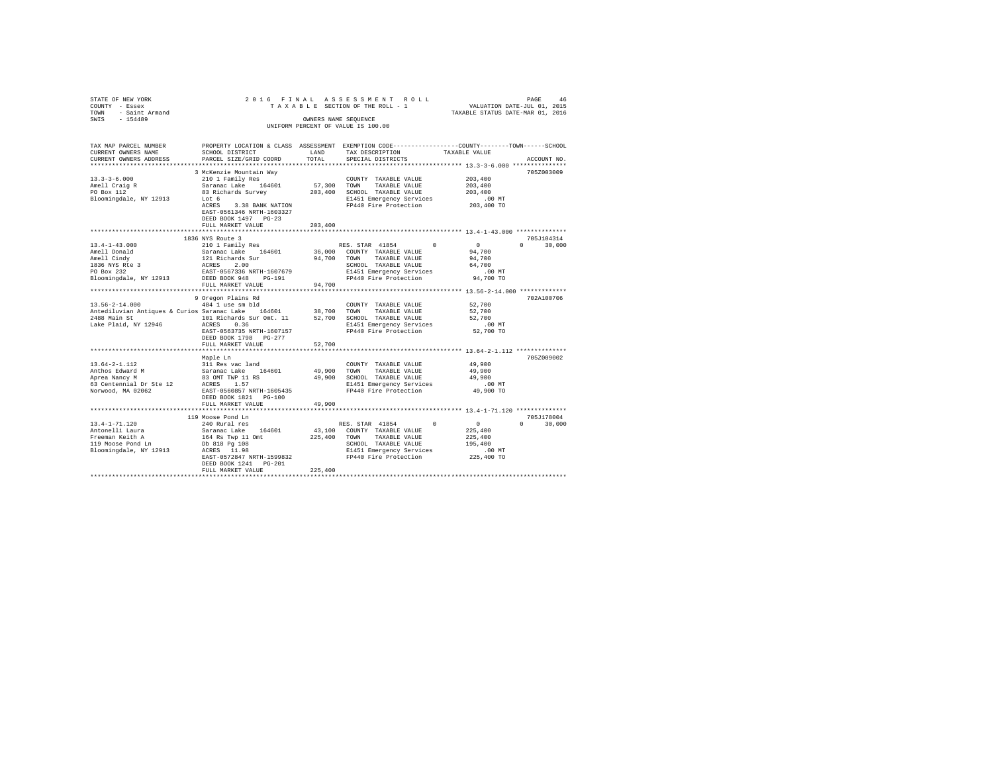| STATE OF NEW YORK<br>COUNTY - Essex<br>- Saint Armand<br>TOWN                             | 2016 FINAL                                                                  |               | ASSESSMENT ROLL<br>TAXABLE SECTION OF THE ROLL - 1                                              | 46 PAGE 46<br>VALUATION DATE-JUL 01, 2015<br>TAXABLE STATUS DATE-MAR 01, 2016 |                    |
|-------------------------------------------------------------------------------------------|-----------------------------------------------------------------------------|---------------|-------------------------------------------------------------------------------------------------|-------------------------------------------------------------------------------|--------------------|
| $-154489$<br>SWIS                                                                         |                                                                             |               | OWNERS NAME SEOUENCE                                                                            |                                                                               |                    |
|                                                                                           |                                                                             |               | UNIFORM PERCENT OF VALUE IS 100.00                                                              |                                                                               |                    |
| TAX MAP PARCEL NUMBER                                                                     |                                                                             |               | PROPERTY LOCATION & CLASS ASSESSMENT EXEMPTION CODE---------------COUNTY-------TOWN------SCHOOL |                                                                               |                    |
| CURRENT OWNERS NAME                                                                       | SCHOOL DISTRICT                                                             | LAND<br>TOTAL | TAX DESCRIPTION                                                                                 | TAXABLE VALUE                                                                 |                    |
| CURRENT OWNERS ADDRESS<br>***********************                                         | PARCEL SIZE/GRID COORD                                                      |               | SPECIAL DISTRICTS                                                                               |                                                                               | ACCOUNT NO.        |
|                                                                                           | 3 McKenzie Mountain Way                                                     |               |                                                                                                 |                                                                               | 705Z003009         |
| $13.3 - 3 - 6.000$                                                                        | 210 1 Family Res                                                            |               | COUNTY TAXABLE VALUE                                                                            | 203,400                                                                       |                    |
| Amell Craig R<br>PO Box 112                                                               | Saranac Lake 164601                                                         | 57,300 TOWN   | TAXABLE VALUE                                                                                   | 203,400                                                                       |                    |
|                                                                                           | 83 Richards Survey                                                          |               | 203,400 SCHOOL TAXABLE VALUE                                                                    | 203,400                                                                       |                    |
| Bloomingdale, NY 12913                                                                    | Lot 6                                                                       |               | E1451 Emergency Services                                                                        | $.00$ MT                                                                      |                    |
|                                                                                           | ACRES 3.38 BANK NATION<br>EAST-0561346 NRTH-1603327<br>DEED BOOK 1497 PG-23 |               | FP440 Fire Protection                                                                           | 203,400 TO                                                                    |                    |
|                                                                                           | FULL MARKET VALUE                                                           | 203,400       | ************************************** 13.4-1-43.000 **************                             |                                                                               |                    |
|                                                                                           | 1836 NYS Route 3                                                            |               |                                                                                                 |                                                                               | 705J104314         |
| $13.4 - 1 - 43.000$                                                                       | 210 1 Family Res                                                            |               | $^{\circ}$<br>RES. STAR 41854                                                                   | $\sim$ 0                                                                      | $0 \t 30.000$      |
| Amell Donald                                                                              |                                                                             | 36,000        | COUNTY TAXABLE VALUE                                                                            | 94,700                                                                        |                    |
| Amell Cindy                                                                               |                                                                             | 94,700        | TAXABLE VALUE<br>TOWN                                                                           | 94,700                                                                        |                    |
| 1836 NYS Rte 3<br>PO Box 232                                                              | Saranac Lake 164601<br>121 Richards Sur<br>ACRES 2.00                       |               | SCHOOL TAXABLE VALUE                                                                            | 64,700                                                                        |                    |
|                                                                                           | EAST-0567336 NRTH-1607679                                                   |               | E1451 Emergency Services                                                                        | $.00$ MT                                                                      |                    |
| Bloomingdale, NY 12913                                                                    | DEED BOOK 948 PG-191<br>FULL MARKET VALUE                                   | 94,700        | FP440 Fire Protection                                                                           | 94,700 TO                                                                     |                    |
| ************************                                                                  |                                                                             |               |                                                                                                 |                                                                               |                    |
|                                                                                           | 9 Oregon Plains Rd                                                          |               |                                                                                                 |                                                                               | 702A100706         |
| $13.56 - 2 - 14.000$                                                                      | 484 1 use sm bld                                                            |               | COUNTY TAXABLE VALUE                                                                            | 52,700                                                                        |                    |
| Antediluvian Antiques & Curios Saranac Lake 164601                                        |                                                                             | 38,700        | TOWN<br>TAXABLE VALUE                                                                           | 52,700                                                                        |                    |
| 2488 Main St                   101 Richards Sur Omt. 11       52,700 SCHOOL TAXABLE VALUE |                                                                             |               |                                                                                                 | 52,700                                                                        |                    |
| Lake Plaid, NY 12946                                                                      | ACRES 0.36<br>EAST-0563735 NRTH-1607157                                     |               | E1451 Emergency Services<br>FP440 Fire Protection                                               | $.00$ MT<br>52,700 TO                                                         |                    |
|                                                                                           | DEED BOOK 1798 PG-277                                                       |               |                                                                                                 |                                                                               |                    |
|                                                                                           | FULL MARKET VALUE                                                           | 52,700        |                                                                                                 |                                                                               |                    |
|                                                                                           |                                                                             |               |                                                                                                 | *********************** 13.64-2-1.112 **************                          |                    |
|                                                                                           | Maple Ln                                                                    |               |                                                                                                 |                                                                               | 705Z009002         |
| $13.64 - 2 - 1.112$                                                                       | 311 Res vac land                                                            |               | COUNTY TAXABLE VALUE                                                                            | 49,900                                                                        |                    |
| Anthos Edward M                                                                           | Saranac Lake 164601                                                         | 49,900        | TAXABLE VALUE<br>TOWN                                                                           | 49,900                                                                        |                    |
| Aprea Nancy M                                                                             | 83 OMT TWP 11 RS<br>ACRES 1.57                                              |               | 49.900 SCHOOL TAXABLE VALUE                                                                     | 49,900                                                                        |                    |
| 63 Centennial Dr Ste 12<br>Norwood, MA 02062                                              | EAST-0560857 NRTH-1605435                                                   |               | E1451 Emergency Services<br>FP440 Fire Protection                                               | $.00$ MT<br>49,900 TO                                                         |                    |
|                                                                                           | DEED BOOK 1821   PG-100                                                     |               |                                                                                                 |                                                                               |                    |
|                                                                                           | FULL MARKET VALUE                                                           | 49,900        |                                                                                                 |                                                                               |                    |
|                                                                                           | *********************                                                       |               |                                                                                                 | ********************* 13.4-1-71.120 **************                            |                    |
|                                                                                           | 119 Moose Pond Ln                                                           |               |                                                                                                 |                                                                               | 705.1178004        |
| $13.4 - 1 - 71.120$                                                                       | 240 Rural res                                                               |               | $\Omega$<br>RES. STAR 41854                                                                     | $\sim$ 0                                                                      | $\Omega$<br>30,000 |
| Antonelli Laura                                                                           | Saranac Lake 164601                                                         | 43,100        | COUNTY TAXABLE VALUE                                                                            | 225,400                                                                       |                    |
| Freeman Keith A<br>119 Moose Pond Ln                                                      | 164 Rs Twp 11 Omt<br>Db 818 Pg 108                                          |               | 225,400 TOWN TAXABLE VALUE<br>SCHOOL TAXABLE VALUE                                              | 225,400<br>195,400                                                            |                    |
| Bloomingdale, NY 12913                                                                    | ACRES 11.98                                                                 |               | E1451 Emergency Services                                                                        | $.00$ MT                                                                      |                    |
|                                                                                           | EAST-0572847 NRTH-1599832                                                   |               | FP440 Fire Protection                                                                           | 225,400 TO                                                                    |                    |
|                                                                                           | DEED BOOK 1241 PG-201                                                       |               |                                                                                                 |                                                                               |                    |
|                                                                                           | FULL MARKET VALUE                                                           | 225,400       |                                                                                                 |                                                                               |                    |
|                                                                                           |                                                                             |               |                                                                                                 |                                                                               |                    |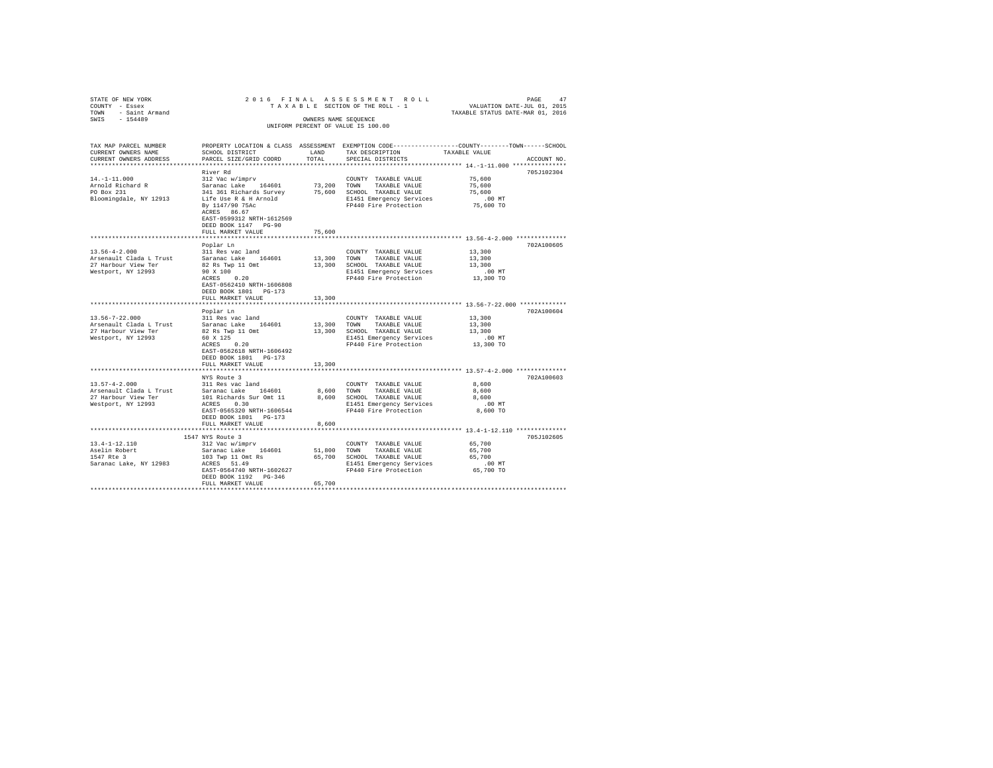| STATE OF NEW YORK<br>COUNTY - Essex<br>TOWN - Saint Armand<br>SWIS - 154489                 |                                                                                                                                                                                  | OWNERS NAME SEQUENCE | 2016 FINAL ASSESSMENT ROLL<br>TAXABLE SECTION OF THE ROLL - 1<br>UNIFORM PERCENT OF VALUE IS 100.00                                   | PAGE<br>47<br>VALUATION DATE-JUL 01, 2015<br>TAXABLE STATUS DATE-MAR 01, 2016                                                   |
|---------------------------------------------------------------------------------------------|----------------------------------------------------------------------------------------------------------------------------------------------------------------------------------|----------------------|---------------------------------------------------------------------------------------------------------------------------------------|---------------------------------------------------------------------------------------------------------------------------------|
| TAX MAP PARCEL NUMBER<br>CURRENT OWNERS NAME<br>CURRENT OWNERS ADDRESS                      | SCHOOL DISTRICT<br>PARCEL SIZE/GRID COORD                                                                                                                                        | TOTAL                | LAND TAX DESCRIPTION<br>SPECIAL DISTRICTS                                                                                             | PROPERTY LOCATION & CLASS ASSESSMENT EXEMPTION CODE---------------COUNTY-------TOWN------SCHOOL<br>TAXABLE VALUE<br>ACCOUNT NO. |
|                                                                                             | River Rd                                                                                                                                                                         |                      |                                                                                                                                       | 705J102304                                                                                                                      |
| 14. -1-11.000<br>Arnold Richard R<br>PO Box 231<br>Bloomingdale, NY 12913                   | 312 Vac w/imprv<br>Saranac Lake 164601<br>341 361 Richards Survey<br>Life Use R & H Arnold<br>By $1147/90$ 75Ac                                                                  | 73,200 TOWN          | COUNTY TAXABLE VALUE<br>TAXABLE VALUE<br>75,600 SCHOOL TAXABLE VALUE<br>E1451 Emergency Services<br>FP440 Fire Protection             | 75,600<br>75,600<br>75,600<br>$.00$ MT<br>75,600 TO                                                                             |
|                                                                                             | ACRES 86.67<br>EAST-0599312 NRTH-1612569<br>DEED BOOK 1147 PG-90<br>FULL MARKET VALUE                                                                                            | 75,600               |                                                                                                                                       |                                                                                                                                 |
|                                                                                             |                                                                                                                                                                                  |                      |                                                                                                                                       |                                                                                                                                 |
| $13.56 - 4 - 2.000$<br>Arsenault Clada L Trust<br>27 Harbour View Ter<br>Westport, NY 12993 | Poplar Ln<br>311 Res vac land<br>Saranac Lake 164601<br>82 Rs Twp 11 Omt<br>90 X 100                                                                                             | 13,300 TOWN          | COUNTY TAXABLE VALUE<br>TAXABLE VALUE<br>13,300 SCHOOL TAXABLE VALUE<br>E1451 Emergency Services                                      | 702A100605<br>13,300<br>13,300<br>13,300<br>$.00$ MT                                                                            |
|                                                                                             | ACRES 0.20<br>EAST-0562410 NRTH-1606808<br>DEED BOOK 1801 PG-173<br>FULL MARKET VALUE                                                                                            | 13,300               | FP440 Fire Protection                                                                                                                 | 13,300 TO                                                                                                                       |
|                                                                                             | Poplar Ln                                                                                                                                                                        |                      |                                                                                                                                       | 702A100604                                                                                                                      |
| 13.56-7-22.000<br>Arsenault Clada L Trust<br>27 Harbour View Ter<br>Westport, NY 12993      | 311 Res vac land<br>Saranac Lake 164601<br>82 Rs Twp 11 Omt<br>60 X 125<br>ACRES 0.20<br>EAST-0562618 NRTH-1606492<br>DEED BOOK 1801 PG-173                                      | 13,300               | COUNTY TAXABLE VALUE<br>13,300 TOWN TAXABLE VALUE<br>13,300 SCHOOL TAXABLE VALUE<br>E1451 Emergency Services<br>FP440 Fire Protection | 13,300<br>13,300<br>13,300<br>$.00$ MT<br>13,300 TO                                                                             |
|                                                                                             | FULL MARKET VALUE                                                                                                                                                                |                      |                                                                                                                                       | **************************** 13.57-4-2.000 **************                                                                       |
| $13.57 - 4 - 2.000$<br>Arsenault Clada L Trust<br>27 Harbour View Ter<br>Westport, NY 12993 | NYS Route 3<br>311 Res vac land<br>Saranac Lake 164601<br>101 Richards Sur Omt 11 8,600 SCHOOL TAXABLE VALUE<br>ACRES 0.30<br>EAST-0565320 NRTH-1606544<br>DEED BOOK 1801 PG-173 |                      | COUNTY TAXABLE VALUE<br>8,600 TOWN<br>TAXABLE VALUE<br>E1451 Emergency Services<br>FP440 Fire Protection                              | 702A100603<br>8,600<br>8,600<br>8,600<br>$.00$ MT<br>8,600 TO                                                                   |
|                                                                                             | FULL MARKET VALUE                                                                                                                                                                | 8,600                |                                                                                                                                       |                                                                                                                                 |
|                                                                                             | *************************                                                                                                                                                        | *************        |                                                                                                                                       |                                                                                                                                 |
| $13.4 - 1 - 12.110$<br>Aselin Robert<br>1547 Rte 3<br>Saranac Lake, NY 12983                | 1547 NYS Route 3<br>312 Vac w/imprv<br>Saranac Lake 164601<br>103 Twp 11 Omt Rs<br>ACRES 51.49<br>EAST-0564740 NRTH-1602627<br>DEED BOOK 1192    PG-346                          |                      | COUNTY TAXABLE VALUE<br>51,800 TOWN TAXABLE VALUE<br>65,700 SCHOOL TAXABLE VALUE<br>E1451 Emergency Services<br>FP440 Fire Protection | 705J102605<br>65,700<br>65,700<br>65,700<br>.00MT<br>65.700 TO                                                                  |
|                                                                                             | FULL MARKET VALUE                                                                                                                                                                | 65,700               |                                                                                                                                       |                                                                                                                                 |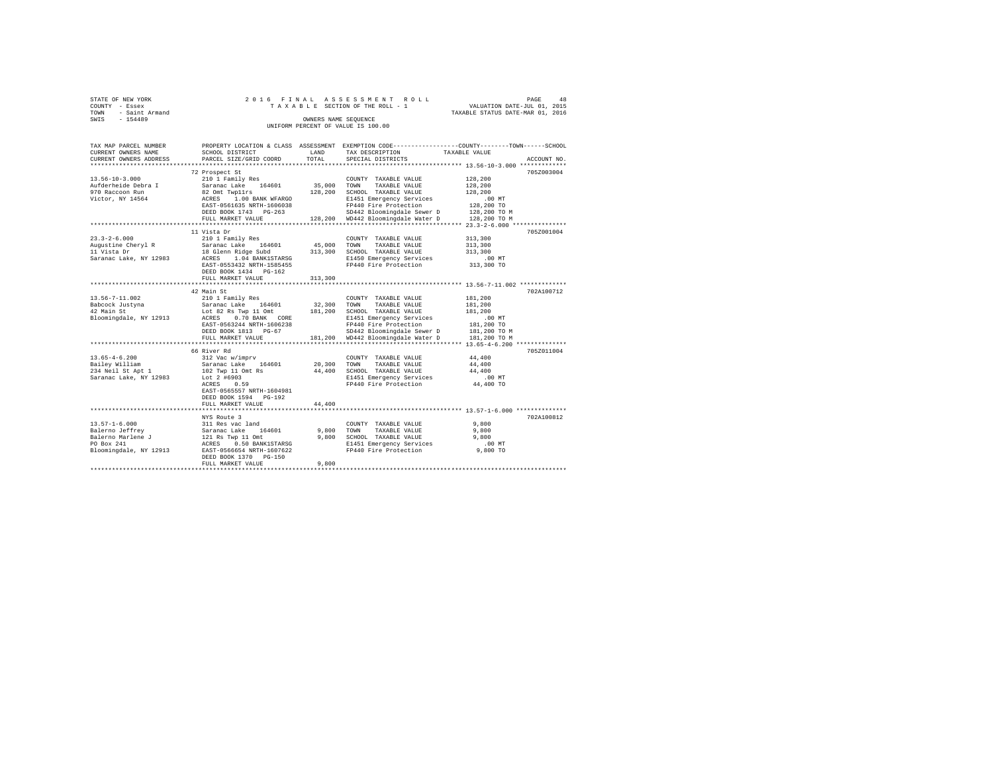| COUNTY - Essex<br>- Saint Armand<br>TOWN<br>SWIS - 154489                          |                                                                                                                                                                                                              |         | TAXABLE SECTION OF THE ROLL - 1<br>OWNERS NAME SEQUENCE<br>UNIFORM PERCENT OF VALUE IS 100.00                                                                                                                                               | VALUATION DATE-JUL 01, 2015<br>TAXABLE STATUS DATE-MAR 01, 2016                                               |
|------------------------------------------------------------------------------------|--------------------------------------------------------------------------------------------------------------------------------------------------------------------------------------------------------------|---------|---------------------------------------------------------------------------------------------------------------------------------------------------------------------------------------------------------------------------------------------|---------------------------------------------------------------------------------------------------------------|
| TAX MAP PARCEL NUMBER<br>CURRENT OWNERS NAME<br>CURRENT OWNERS ADDRESS             | SCHOOL DISTRICT<br>PARCEL SIZE/GRID COORD TOTAL SPECIAL DISTRICTS                                                                                                                                            |         | LAND TAX DESCRIPTION TAXABLE VALUE                                                                                                                                                                                                          | PROPERTY LOCATION & CLASS ASSESSMENT EXEMPTION CODE---------------COUNTY-------TOWN-----SCHOOL<br>ACCOUNT NO. |
| $13.56 - 10 - 3.000$<br>Aufderheide Debra I<br>970 Raccoon Run<br>Victor, NY 14564 | 72 Prospect St<br>210 1 Family Res<br>Saranac Lake 164601 35,000<br>82 Omt Twp11rs<br>ACRES 1.00 BANK I<br>ACRES 1.00 BANK WFARGO<br>EAST-0561635 NRTH-1606038<br>DEED BOOK 1743 PG-263<br>FULL MARKET VALUE | 128,200 | COUNTY TAXABLE VALUE<br>TAXABLE VALUE<br>TOWN<br>SCHOOL TAXABLE VALUE<br>E1451 Emergency Services .00 MT<br>FP440 Fire Protection  128,200 TO<br>SD442 Bloomingdale Sewer D 128,200 TO M<br>128,200 WD442 Bloomingdale Water D 128,200 TO M | 705Z003004<br>128,200<br>128,200<br>128,200                                                                   |
| $23.3 - 2 - 6.000$<br>Augustine Cheryl R<br>11 Vista Dr<br>Saranac Lake, NY 12983  | 11 Vista Dr<br>210 1 Family Res<br>Saranac Lake 164601 45,000<br>18 Glenn Ridge Subd 313,300<br>ACRES 1.04 BANK1STARSG<br>EAST-0553432 NRTH-1585455<br>DEED BOOK 1434 PG-162<br>FULL MARKET VALUE            | 313,300 | COUNTY TAXABLE VALUE<br>TOWN<br>TAXABLE VALUE<br>SCHOOL TAXABLE VALUE<br>E1450 Emergency Services<br>FP440 Fire Protection                                                                                                                  | 705Z001004<br>313,300<br>313,300<br>313,300<br>.00 MT<br>313,300 TO                                           |
| 13.56-7-11.002<br>Babcock Justyna<br>42 Main St<br>Bloomingdale, NY 12913          | 42 Main St<br>210 1 Family Res<br>Saranac Lake 164601 32,300<br>Lot 22 Be Town 11 Ort 181 200<br>Lot 82 Rs Twp 11 Omt<br>ACRES 0.70 BANK CORE<br>EAST-0563244 NRTH-1606238<br>DEED BOOK 1813    PG-67        | 181,200 | COUNTY TAXABLE VALUE<br>TOWN<br>TAXABLE VALUE<br>SCHOOL TAXABLE VALUE<br>E1451 Emergency Services<br>FP440 Fire Protection<br>SD442 Bloomingdale Sewer D 181,200 TO M<br>FULL MARKET VALUE 181,200 WD442 Bloomingdale Water D 181,200 TO M  | 702A100712<br>181,200<br>181,200<br>181,200<br>.00 MT<br>181,200 TO                                           |

66 River Rd 705Z011004 13.65-4-6.200 312 Vac w/imprv COUNTY TAXABLE VALUE 44,400 Bailey William Saranac Lake 164601 20,300 TOWN TAXABLE VALUE 44,400

234 Neil St Apt 1 102 Twp 11 Omt Rs 44,400 SCHOOL TAXABLE VALUE 44,400 Saranac Lake, NY 12983 Lot 2 #6903 E1451 Emergency Services .00 MT ACRES 0.59 FP440 Fire Protection 44,400 TO EAST-0565557 NRTH-1604981 DEED BOOK 1594 PG-192 FULL MARKET VALUE 44,400 \*\*\*\*\*\*\*\*\*\*\*\*\*\*\*\*\*\*\*\*\*\*\*\*\*\*\*\*\*\*\*\*\*\*\*\*\*\*\*\*\*\*\*\*\*\*\*\*\*\*\*\*\*\*\*\*\*\*\*\*\*\*\*\*\*\*\*\*\*\*\*\*\*\*\*\*\*\*\*\*\*\*\*\*\*\*\*\*\*\*\*\*\*\*\*\*\*\*\*\*\*\*\* 13.57-1-6.000 \*\*\*\*\*\*\*\*\*\*\*\*\*\* NYS Route 3 702A100812

FULL MARKET VALUE 9,800 \*\*\*\*\*\*\*\*\*\*\*\*\*\*\*\*\*\*\*\*\*\*\*\*\*\*\*\*\*\*\*\*\*\*\*\*\*\*\*\*\*\*\*\*\*\*\*\*\*\*\*\*\*\*\*\*\*\*\*\*\*\*\*\*\*\*\*\*\*\*\*\*\*\*\*\*\*\*\*\*\*\*\*\*\*\*\*\*\*\*\*\*\*\*\*\*\*\*\*\*\*\*\*\*\*\*\*\*\*\*\*\*\*\*\*\*\*\*\*\*\*\*\*\*\*\*\*\*\*\*\*\*

13.57-1-6.000 311 Res vac land COUNTY TAXABLE VALUE 9,800 Balerno Jeffrey Saranac Lake 164601 9,800 TOWN TAXABLE VALUE 9,800 Balerno Marlene J 121 Rs Twp 11 Omt 9,800 SCHOOL TAXABLE VALUE 9,800 PO Box 241 ACRES 0.50 BANK1STARSG E1451 Emergency Services .00 MT Bloomingdale, NY 12913 EAST-0566654 NRTH-1607622 FP440 Fire Protection 9,800 TO

DEED BOOK 1370 PG-150<br>FULL MARKET VALUE

STATE OF NEW YORK 2 0 1 6 F I N A L A S S E S S M E N T R O L L PAGE 48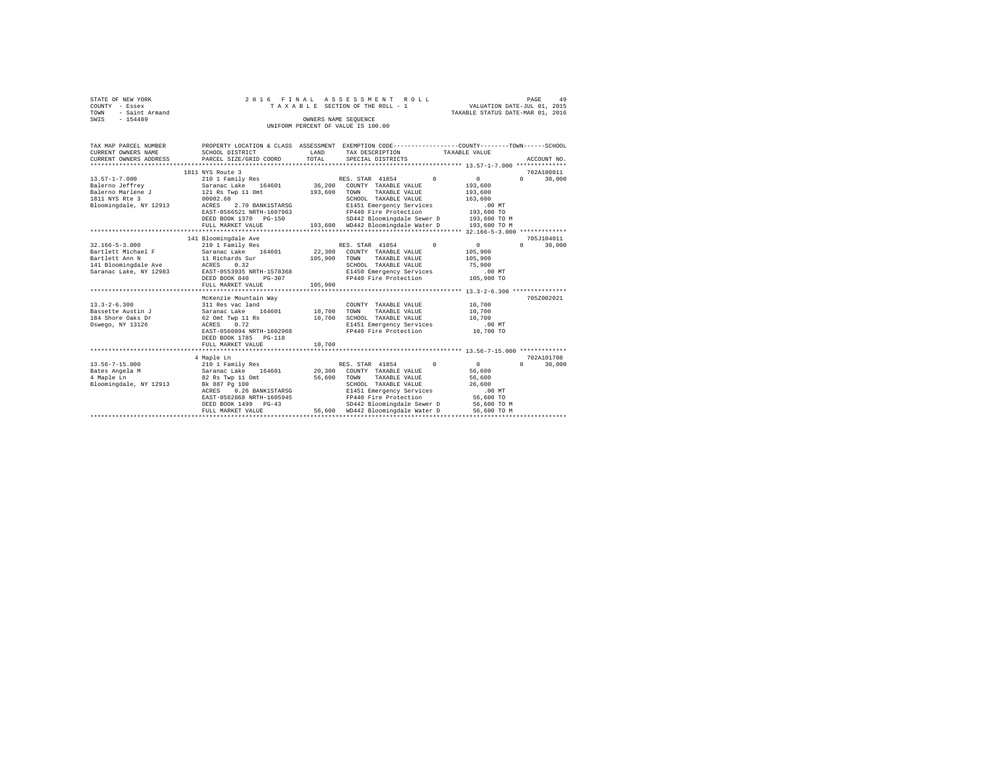| STATE OF NEW YORK<br>COUNTY - Essex<br>- Saint Armand<br>TOWN<br>$-154489$<br>SWIS |                              | 2016 FINAL ASSESSMENT ROLL<br>TAXABLE SECTION OF THE ROLL - 1<br>OWNERS NAME SEOUENCE<br>UNIFORM PERCENT OF VALUE IS 100.00 | VALUATION DATE-JUL 01, 2015<br>TAXABLE STATUS DATE-MAR 01, 2016 | 49<br>PAGE  |
|------------------------------------------------------------------------------------|------------------------------|-----------------------------------------------------------------------------------------------------------------------------|-----------------------------------------------------------------|-------------|
| TAX MAP PARCEL NUMBER                                                              |                              | PROPERTY LOCATION & CLASS ASSESSMENT EXEMPTION CODE---------------COUNTY-------TOWN-----SCHOOL                              |                                                                 |             |
| CURRENT OWNERS NAME                                                                | SCHOOL DISTRICT              | T.AND<br>TAX DESCRIPTION                                                                                                    | TAXABLE VALUE                                                   |             |
| CURRENT OWNERS ADDRESS                                                             | PARCEL SIZE/GRID COORD TOTAL | SPECIAL DISTRICTS                                                                                                           |                                                                 | ACCOUNT NO. |
|                                                                                    | 1811 NYS Route 3             |                                                                                                                             |                                                                 | 702A100811  |
| $13.57 - 1 - 7.000$                                                                |                              |                                                                                                                             | $\sim$ 0<br>$\Omega$                                            | 30,000      |
| Balerno Jeffrey                                                                    |                              | Saranac Lake 164601 36,200 COUNTY TAXABLE VALUE                                                                             | 193,600                                                         |             |
| Balerno Marlene J                                                                  | 121 Rs Twp 11 Omt 193,600    | TOWN<br>TAXABLE VALUE                                                                                                       | 193,600                                                         |             |
| 1811 NYS Rte 3                                                                     | 00002.60                     | TAXABLE VALUE<br>SCHOOL                                                                                                     | 163,600                                                         |             |
| Bloomingdale, NY 12913                                                             | ACRES 2.70 BANK1STARSG       | E1451 Emergency Services                                                                                                    | $.00$ MT                                                        |             |
|                                                                                    | EAST-0566521 NRTH-1607963    | FP440 Fire Protection 193,600 TO                                                                                            |                                                                 |             |
|                                                                                    | DEED BOOK 1370 PG-150        | SD442 Bloomingdale Sewer D 193,600 TO M                                                                                     |                                                                 |             |
|                                                                                    | FULL MARKET VALUE            | 193,600 WD442 Bloomingdale Water D 193,600 TO M                                                                             |                                                                 |             |
|                                                                                    |                              |                                                                                                                             |                                                                 |             |
|                                                                                    | 141 Bloomingdale Ave         |                                                                                                                             |                                                                 | 705J104011  |
| $32.166 - 5 - 3.000$                                                               | 210 1 Family Res             | RES. STAR 41854<br>$\Omega$                                                                                                 | $\circ$                                                         | 30,000      |
| Bartlett Michael F                                                                 | Saranac Lake 164601          | 22,300<br>COUNTY TAXABLE VALUE                                                                                              | 105,900                                                         |             |
| Bartlett Ann N                                                                     | 11 Richards Sur              | 105,900<br>TAXABLE VALUE<br>TOWN                                                                                            | 105,900                                                         |             |
| 141 Bloomingdale Ave                                                               | ACRES 0.32                   | SCHOOL<br>TAXABLE VALUE                                                                                                     | 75,900                                                          |             |

| 141 Bloomingdale Ave   | ACRES 0.32                |        | SCHOOL TAXABLE VALUE                                | 75,900      |            |  |
|------------------------|---------------------------|--------|-----------------------------------------------------|-------------|------------|--|
| Saranac Lake. NY 12983 | EAST-0553935 NRTH-1578368 |        | E1450 Emergency Services                            | $.00$ MT    |            |  |
|                        | DEED BOOK 840 PG-307      |        | FP440 Fire Protection                               | 105,900 TO  |            |  |
|                        | FULL MARKET VALUE 105,900 |        |                                                     |             |            |  |
|                        |                           |        |                                                     |             |            |  |
|                        | McKenzie Mountain Way     |        |                                                     |             | 705Z002021 |  |
| $13.3 - 2 - 6.300$     | 311 Res vac land          |        | COUNTY TAXABLE VALUE                                | 10,700      |            |  |
| Bassette Austin J      | Saranac Lake 164601       | 10,700 | TOWN<br>TAXABLE VALUE                               | 10,700      |            |  |
| 184 Shore Oaks Dr      | 62 Omt Twp 11 Rs          | 10,700 | SCHOOL TAXABLE VALUE                                | 10,700      |            |  |
| Oswego, NY 13126       | ACRES 0.72                |        | E1451 Emergency Services                            | $.00$ MT    |            |  |
|                        | EAST-0560894 NRTH-1602968 |        | FP440 Fire Protection                               | 10,700 TO   |            |  |
|                        | DEED BOOK 1785 PG-118     |        |                                                     |             |            |  |
|                        | FULL MARKET VALUE 10,700  |        |                                                     |             |            |  |
|                        |                           |        |                                                     |             |            |  |
|                        | 4 Maple Ln                |        |                                                     |             | 702A101708 |  |
| $13.56 - 7 - 15.000$   | 210 1 Family Res          |        | RES. STAR 41854<br>$^{\circ}$                       | $\sim$      | 30,000     |  |
| Bates Angela M         | Saranac Lake 164601       |        | 20,300 COUNTY TAXABLE VALUE                         | 56,600      |            |  |
| 4 Maple Ln             | 82 Rs Twp 11 Omt          | 56,600 | TOWN<br>TAXABLE VALUE                               | 56,600      |            |  |
| Bloomingdale, NY 12913 | Bk 887 Pg 100             |        | SCHOOL<br>TAXABLE VALUE                             | 26,600      |            |  |
|                        | ACRES 0.26 BANK1STARSG    |        | E1451 Emergency Services                            | $.00$ MT    |            |  |
|                        | EAST-0562868 NRTH-1605945 |        | FP440 Fire Protection                               | 56,600 TO   |            |  |
|                        | DEED BOOK 1499 PG-43      |        | SD442 Bloomingdale Sewer D 56,600 TO M              |             |            |  |
|                        |                           |        | FULL MARKET VALUE 56,600 WD442 Bloomingdale Water D | 56,600 TO M |            |  |
|                        |                           |        |                                                     |             |            |  |
|                        |                           |        |                                                     |             |            |  |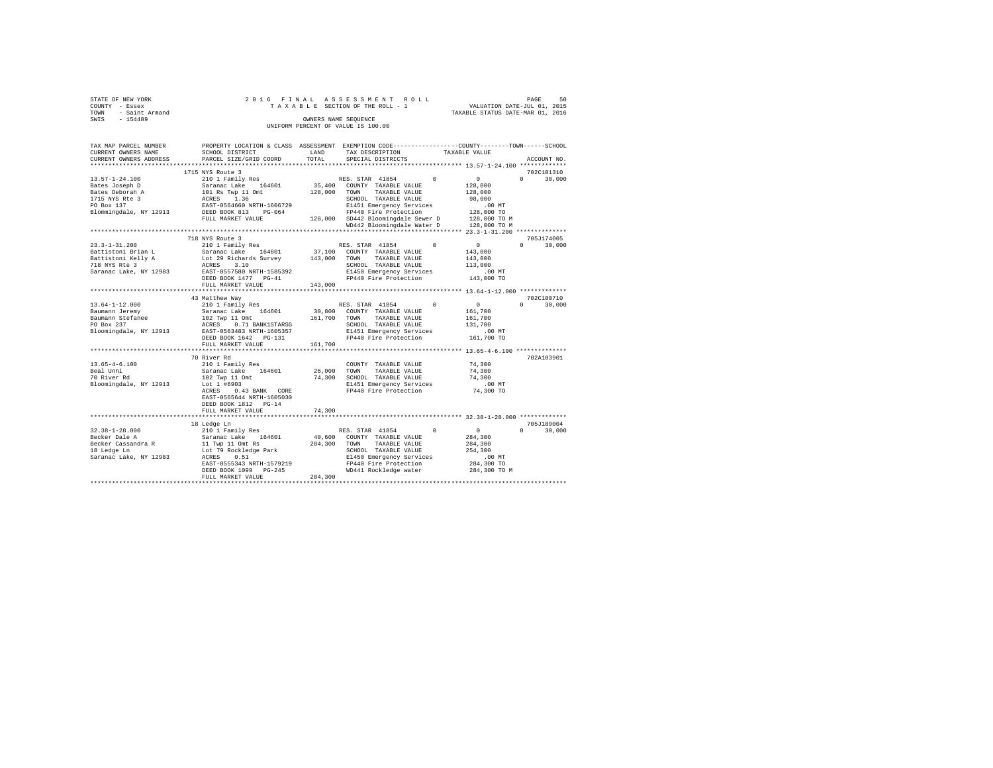|                | STATE OF NEW YORK   |  |  |  | 2016 FINAL ASSESSMENT ROLL         |  |  |  |  |  |  |                                  |                             |  | PAGE | 50 |
|----------------|---------------------|--|--|--|------------------------------------|--|--|--|--|--|--|----------------------------------|-----------------------------|--|------|----|
| COUNTY - Essex |                     |  |  |  | TAXABLE SECTION OF THE ROLL - 1    |  |  |  |  |  |  |                                  | VALUATION DATE-JUL 01, 2015 |  |      |    |
|                | TOWN - Saint Armand |  |  |  |                                    |  |  |  |  |  |  | TAXABLE STATUS DATE-MAR 01, 2016 |                             |  |      |    |
| SWIS           | $-154489$           |  |  |  | OWNERS NAME SEOUENCE               |  |  |  |  |  |  |                                  |                             |  |      |    |
|                |                     |  |  |  | UNIFORM PERCENT OF VALUE IS 100.00 |  |  |  |  |  |  |                                  |                             |  |      |    |

| TAX MAP PARCEL NUMBER<br>CURRENT OWNERS NAME | SCHOOL DISTRICT                    | LAND    | PROPERTY LOCATION & CLASS ASSESSMENT EXEMPTION CODE---------------COUNTY-------TOWN-----SCHOOL<br>TAX DESCRIPTION | TAXABLE VALUE |                        |
|----------------------------------------------|------------------------------------|---------|-------------------------------------------------------------------------------------------------------------------|---------------|------------------------|
| CURRENT OWNERS ADDRESS                       | PARCEL SIZE/GRID COORD             | TOTAL   | SPECIAL DISTRICTS                                                                                                 |               | ACCOUNT NO.            |
| ***********************                      | **************************         |         |                                                                                                                   |               |                        |
|                                              | 1715 NYS Route 3                   |         |                                                                                                                   |               | 702C101310             |
| $13.57 - 1 - 24.100$                         | 210 1 Family Res                   |         | $\Omega$<br>RES. STAR 41854                                                                                       | $\circ$       | $\cap$<br>30,000       |
| Bates Joseph D                               | Saranac Lake<br>164601             | 35,400  | COUNTY TAXABLE VALUE                                                                                              | 128,000       |                        |
| Bates Deborah A                              | 101 Rs Twp 11 Omt                  | 128,000 | TAXABLE VALUE<br>TOWN                                                                                             | 128,000       |                        |
| 1715 NYS Rte 3                               | ACRES<br>1.36                      |         | SCHOOL TAXABLE VALUE                                                                                              | 98,000        |                        |
| PO Box 137                                   | EAST-0564660 NRTH-1606729          |         | E1451 Emergency Services                                                                                          | $.00$ MT      |                        |
| Blommingdale, NY 12913                       | DEED BOOK 813<br>$PG-064$          |         | FP440 Fire Protection                                                                                             | 128,000 TO    |                        |
|                                              | FULL MARKET VALUE                  |         | 128,000 SD442 Bloomingdale Sewer D                                                                                | 128,000 TO M  |                        |
|                                              |                                    |         | WD442 Bloomingdale Water D                                                                                        | 128,000 TO M  |                        |
|                                              | ********************************   |         |                                                                                                                   |               |                        |
|                                              | 718 NYS Route 3                    |         |                                                                                                                   |               | 705J174005             |
| $23.3 - 1 - 31.200$                          | 210 1 Family Res                   |         | $\Omega$<br>RES. STAR 41854                                                                                       | $\sim$ 0      | $\Omega$<br>30,000     |
| Battistoni Brian L                           | Saranac Lake 164601                | 37,100  | COUNTY TAXABLE VALUE                                                                                              | 143,000       |                        |
| Battistoni Kelly A                           | Lot 29 Richards Survey             | 143,000 | TOWN<br>TAXABLE VALUE                                                                                             | 143,000       |                        |
| 718 NYS Rte 3                                | ACRES<br>3.10                      |         | SCHOOL TAXABLE VALUE                                                                                              | 113,000       |                        |
| Saranac Lake, NY 12983                       | EAST-0557580 NRTH-1585392          |         | E1450 Emergency Services                                                                                          | .00 MT        |                        |
|                                              | DEED BOOK 1477 PG-41               |         | FP440 Fire Protection                                                                                             | 143,000 TO    |                        |
|                                              | FULL MARKET VALUE                  | 143,000 |                                                                                                                   |               |                        |
|                                              |                                    |         |                                                                                                                   |               |                        |
|                                              | 43 Matthew Way                     |         |                                                                                                                   |               | 702C100710             |
| $13.64 - 1 - 12.000$                         | 210 1 Family Res                   |         | RES. STAR 41854<br>$^{\circ}$                                                                                     | $\circ$       | 30,000<br>$\mathbf{r}$ |
| Baumann Jeremy                               | Saranac Lake 164601                | 30,800  | COUNTY TAXABLE VALUE                                                                                              | 161,700       |                        |
| Baumann Stefanee                             | 102 Twp 11 Omt                     | 161,700 | TOWN<br>TAXABLE VALUE                                                                                             | 161,700       |                        |
| PO Box 237                                   | ACRES 0.71 BANK1STARSG             |         | SCHOOL TAXABLE VALUE                                                                                              | 131,700       |                        |
| Bloomingdale, NY 12913                       | EAST-0563483 NRTH-1605357          |         | E1451 Emergency Services                                                                                          | $.00$ MT      |                        |
|                                              | DEED BOOK 1642 PG-131              |         | FP440 Fire Protection                                                                                             | 161,700 TO    |                        |
|                                              | FULL MARKET VALUE                  | 161,700 |                                                                                                                   |               |                        |
|                                              | *************************          |         |                                                                                                                   |               |                        |
|                                              | 70 River Rd                        |         |                                                                                                                   |               | 702A103901             |
| $13.65 - 4 - 6.100$                          | 210 1 Family Res                   |         |                                                                                                                   | 74,300        |                        |
| Beal Unni                                    | Saranac Lake 164601                | 26,000  | COUNTY TAXABLE VALUE<br>TOWN<br>TAXABLE VALUE                                                                     | 74,300        |                        |
| 70 River Rd                                  |                                    | 74,300  | SCHOOL TAXABLE VALUE                                                                                              | 74,300        |                        |
|                                              | 102 Twp 11 Omt                     |         |                                                                                                                   | $.00$ MT      |                        |
| Bloomingdale, NY 12913                       | Lot 1 #6903<br>0.43 BANK CORE      |         | E1451 Emergency Services<br>FP440 Fire Protection                                                                 | 74,300 TO     |                        |
|                                              | ACRES<br>EAST-0565644 NRTH-1605030 |         |                                                                                                                   |               |                        |
|                                              | DEED BOOK 1812 PG-14               |         |                                                                                                                   |               |                        |
|                                              |                                    |         |                                                                                                                   |               |                        |
|                                              | FULL MARKET VALUE                  | 74,300  |                                                                                                                   |               |                        |
|                                              |                                    |         |                                                                                                                   |               |                        |
|                                              | 18 Ledge Ln                        |         |                                                                                                                   |               | 705J189004<br>$\cap$   |
| $32.38 - 1 - 28.000$                         | 210 1 Family Res                   |         | RES. STAR 41854<br>$^{\circ}$                                                                                     | $\sim$ 0      | 30,000                 |
| Becker Dale A                                | Saranac Lake<br>164601             | 40,600  | COUNTY TAXABLE VALUE                                                                                              | 284,300       |                        |
| Becker Cassandra R                           | 11 Twp 11 Omt Rs                   | 284,300 | TOWN<br>TAXABLE VALUE                                                                                             | 284,300       |                        |
| 18 Ledge Ln                                  | Lot 79 Rockledge Park              |         | SCHOOL TAXABLE VALUE                                                                                              | 254,300       |                        |
| Saranac Lake, NY 12983                       | 0.51<br>ACRES                      |         | E1450 Emergency Services                                                                                          | $.00$ MT      |                        |
|                                              | EAST-0555343 NRTH-1579219          |         | FP440 Fire Protection                                                                                             | 284,300 TO    |                        |
|                                              | DEED BOOK 1099 PG-245              |         | WD441 Rockledge water                                                                                             | 284,300 TO M  |                        |
|                                              | FULL MARKET VALUE                  | 284,300 |                                                                                                                   |               |                        |
|                                              |                                    |         |                                                                                                                   |               |                        |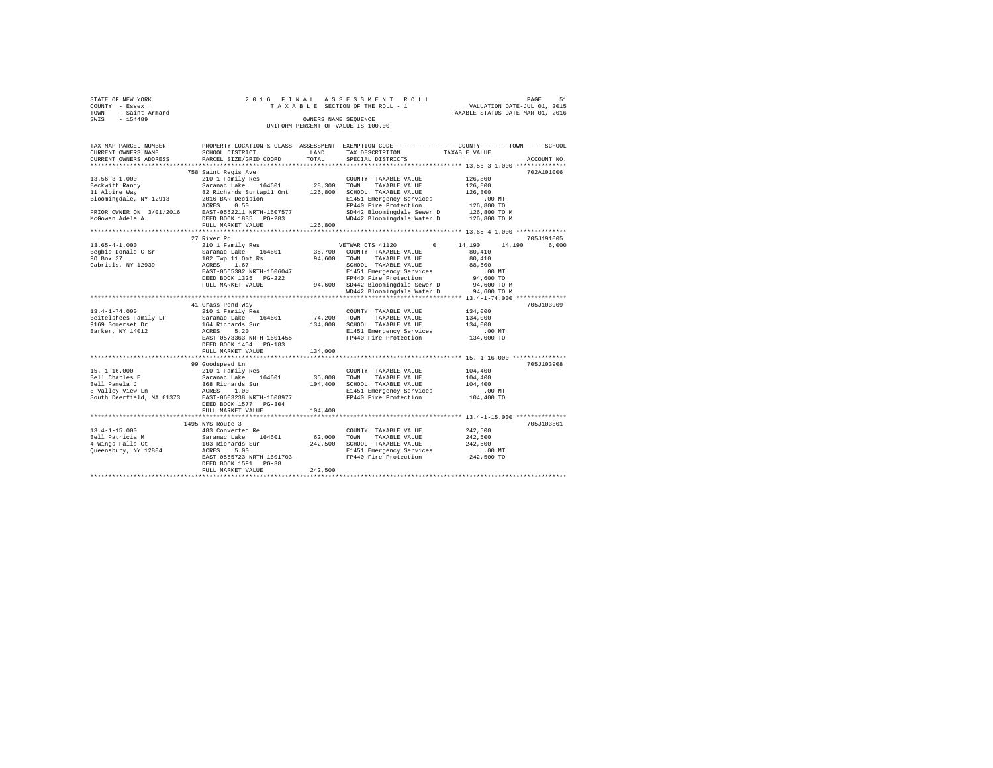| TOWN | STATE OF NEW YORK<br>COUNTY - Essex<br>- Saint Armand |                                                         |                      | 2016 FINAL ASSESSMENT ROLL<br>TAXABLE SECTION OF THE ROLL - 1                   | TAXABLE STATUS DATE-MAR 01, 2016 | PAGE<br>VALUATION DATE-JUL 01, 2015 | 51 |
|------|-------------------------------------------------------|---------------------------------------------------------|----------------------|---------------------------------------------------------------------------------|----------------------------------|-------------------------------------|----|
| SWIS | $-154489$                                             |                                                         | OWNERS NAME SEOUENCE | UNIFORM PERCENT OF VALUE IS 100.00                                              |                                  |                                     |    |
|      | TAX MAP PARCEL NUMBER<br>CURRENT OWNERS NAME          | PROPERTY LOCATION & CLASS ASSESSMENT<br>SCHOOL DISTRICT | LAND                 | EXEMPTION CODE-----------------COUNTY-------TOWN------SCHOOL<br>TAX DESCRIPTION | TAXABLE VALUE                    |                                     |    |

| CURRENT OWNERS ADDRESS    | PARCEL SIZE/GRID COORD      | TOTAL       | SPECIAL DISTRICTS                 |                  | ACCOUNT NO. |
|---------------------------|-----------------------------|-------------|-----------------------------------|------------------|-------------|
|                           |                             |             |                                   |                  |             |
|                           | 758 Saint Regis Ave         |             |                                   |                  | 702A101006  |
| $13.56 - 3 - 1.000$       | 210 1 Family Res            |             | COUNTY TAXABLE VALUE              | 126,800          |             |
| Beckwith Randy            | Saranac Lake 164601         | 28,300      | TAXABLE VALUE<br>TOWN             | 126,800          |             |
| 11 Alpine Way             | 82 Richards Surtwp11 Omt    | 126,800     | SCHOOL TAXABLE VALUE              | 126,800          |             |
| Bloomingdale, NY 12913    | 2016 BAR Decision           |             | E1451 Emergency Services          | .00MT            |             |
|                           | 0.50<br>ACRES               |             | FP440 Fire Protection             | 126,800 TO       |             |
| PRIOR OWNER ON 3/01/2016  | EAST-0562211 NRTH-1607577   |             | SD442 Bloomingdale Sewer D        | 126,800 TO M     |             |
| McGowan Adele A           | DEED BOOK 1835 PG-283       |             | WD442 Bloomingdale Water D        | 126,800 TO M     |             |
|                           | FULL MARKET VALUE           | 126,800     |                                   |                  |             |
|                           | *************************** |             |                                   |                  |             |
|                           | 27 River Rd                 |             |                                   |                  | 705J191005  |
| $13.65 - 4 - 1.000$       | 210 1 Family Res            |             | VETWAR CTS 41120<br>$^{\circ}$    | 14,190<br>14,190 | 6,000       |
| Begbie Donald C Sr        | Saranac Lake 164601         | 35,700      | COUNTY TAXABLE VALUE              | 80,410           |             |
| PO Box 37                 | 102 Twp 11 Omt Rs           | 94,600 TOWN | TAXABLE VALUE                     | 80,410           |             |
| Gabriels, NY 12939        | ACRES<br>1.67               |             | SCHOOL TAXABLE VALUE              | 88,600           |             |
|                           | EAST-0565382 NRTH-1606047   |             | E1451 Emergency Services          | .00 MT           |             |
|                           | DEED BOOK 1325 PG-222       |             | FP440 Fire Protection             | 94,600 TO        |             |
|                           | FULL MARKET VALUE           |             | 94.600 SD442 Bloomingdale Sewer D | 94,600 TO M      |             |
|                           |                             |             | WD442 Bloomingdale Water D        | 94,600 TO M      |             |
|                           |                             |             |                                   |                  |             |
|                           | 41 Grass Pond Way           |             |                                   |                  | 705J103909  |
| $13.4 - 1 - 74.000$       | 210 1 Family Res            |             | COUNTY TAXABLE VALUE              | 134,000          |             |
| Beitelshees Family LP     | Saranac Lake 164601         | 74.200 TOWN | TAXABLE VALUE                     | 134,000          |             |
| 9169 Somerset Dr          | 164 Richards Sur            | 134,000     | SCHOOL TAXABLE VALUE              | 134,000          |             |
| Barker, NY 14012          | ACRES<br>5.20               |             | E1451 Emergency Services          | $.00$ MT         |             |
|                           | EAST-0573363 NRTH-1601455   |             | FP440 Fire Protection             | 134,000 TO       |             |
|                           |                             |             |                                   |                  |             |
|                           | DEED BOOK 1454 PG-183       |             |                                   |                  |             |
|                           | FULL MARKET VALUE           | 134,000     |                                   |                  |             |
|                           |                             |             |                                   |                  |             |
|                           | 99 Goodspeed Ln             |             |                                   |                  | 705J103908  |
| $15. - 1 - 16.000$        | 210 1 Family Res            |             | COUNTY TAXABLE VALUE              | 104,400          |             |
| Bell Charles E            | Saranac Lake<br>164601      | 35,000      | TAXABLE VALUE<br>TOWN             | 104,400          |             |
| Bell Pamela J             | 368 Richards Sur            | 104,400     | SCHOOL TAXABLE VALUE              | 104,400          |             |
| 8 Valley View Ln          | 1.00<br>ACRES               |             | E1451 Emergency Services          | $.00$ MT         |             |
| South Deerfield, MA 01373 | EAST-0603238 NRTH-1608977   |             | FP440 Fire Protection             | 104,400 TO       |             |
|                           | DEED BOOK 1577 PG-304       |             |                                   |                  |             |
|                           | FULL MARKET VALUE           | 104,400     |                                   |                  |             |
|                           |                             |             |                                   |                  |             |
|                           | 1495 NYS Route 3            |             |                                   |                  | 705J103801  |
| $13.4 - 1 - 15.000$       | 483 Converted Re            |             | COUNTY TAXABLE VALUE              | 242,500          |             |
| Bell Patricia M           | Saranac Lake<br>164601      | 62,000      | TOWN<br>TAXABLE VALUE             | 242,500          |             |
| 4 Wings Falls Ct          | 103 Richards Sur            | 242,500     | SCHOOL TAXABLE VALUE              | 242,500          |             |
| Queensbury, NY 12804      | ACRES<br>5.00               |             | E1451 Emergency Services          | .00 MT           |             |
|                           | EAST-0565723 NRTH-1601703   |             | FP440 Fire Protection             | 242,500 TO       |             |
|                           | DEED BOOK 1591 PG-38        |             |                                   |                  |             |
|                           | FULL MARKET VALUE           | 242,500     |                                   |                  |             |
|                           |                             |             |                                   |                  |             |
|                           |                             |             |                                   |                  |             |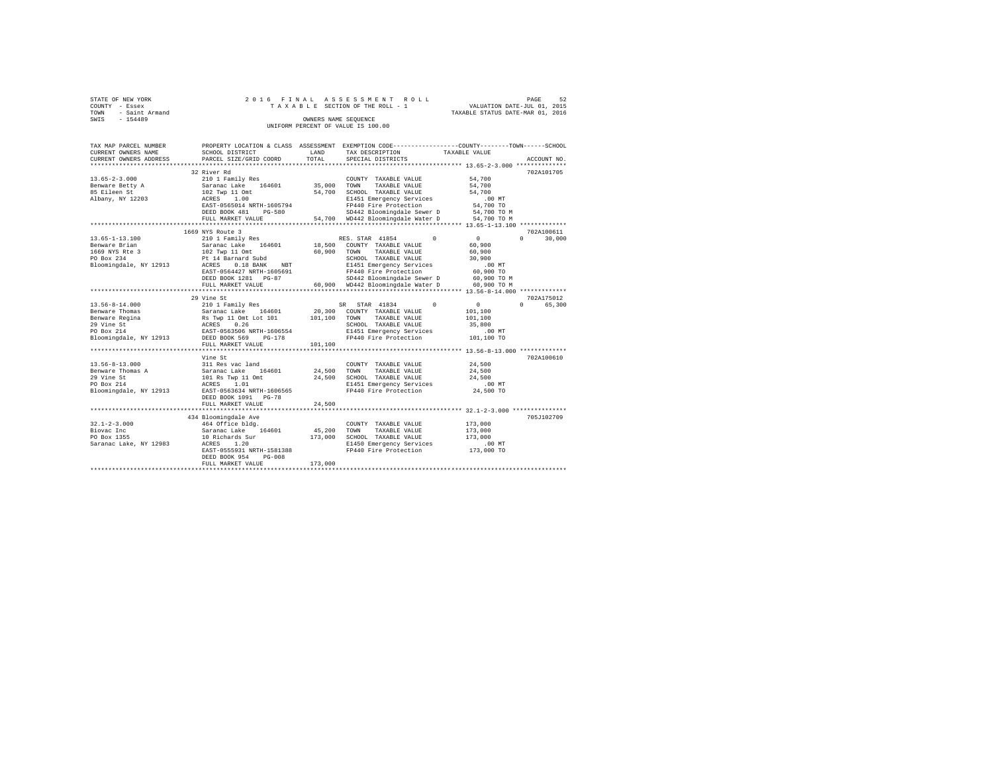| STATE OF NEW YORK   |  |  | 2016 FINAL ASSESSMENT ROLL         |                                  | PAGE | 52 |
|---------------------|--|--|------------------------------------|----------------------------------|------|----|
| COUNTY - Essex      |  |  | TAXABLE SECTION OF THE ROLL - 1    | VALUATION DATE-JUL 01, 2015      |      |    |
| TOWN - Saint Armand |  |  |                                    | TAXABLE STATUS DATE-MAR 01, 2016 |      |    |
| SWIS<br>$-154489$   |  |  | OWNERS NAME SEOUENCE               |                                  |      |    |
|                     |  |  | UNIFORM PERCENT OF VALUE IS 100.00 |                                  |      |    |

| TAX MAP PARCEL NUMBER<br>CURRENT OWNERS NAME<br>CURRENT OWNERS ADDRESS                                         | PROPERTY LOCATION & CLASS ASSESSMENT<br>SCHOOL DISTRICT<br>PARCEL SIZE/GRID COORD<br>*********************                                                       | LAND<br>TOTAL     | EXEMPTION CODE-----------------COUNTY-------TOWN------SCHOOL<br>TAX DESCRIPTION<br>SPECIAL DISTRICTS                                                          | TAXABLE VALUE<br>ACCOUNT NO                                                                                |
|----------------------------------------------------------------------------------------------------------------|------------------------------------------------------------------------------------------------------------------------------------------------------------------|-------------------|---------------------------------------------------------------------------------------------------------------------------------------------------------------|------------------------------------------------------------------------------------------------------------|
| $13.65 - 2 - 3.000$                                                                                            | 32 River Rd<br>210 1 Family Res                                                                                                                                  |                   | COUNTY TAXABLE VALUE                                                                                                                                          | 702A101705<br>54,700                                                                                       |
| Benware Betty A<br>85 Eileen St<br>Albany, NY 12203                                                            | 164601<br>Saranac Lake<br>102 Twp 11 Omt<br>ACRES<br>1.00<br>EAST-0565014 NRTH-1605794                                                                           | 35,000<br>54,700  | TOWN<br>TAXABLE VALUE<br>SCHOOL TAXABLE VALUE<br>E1451 Emergency Services<br>FP440 Fire Protection                                                            | 54,700<br>54,700<br>$.00$ MT<br>54,700 TO                                                                  |
|                                                                                                                | DEED BOOK 481<br>PG-580<br>FULL MARKET VALUE                                                                                                                     |                   | SD442 Bloomingdale Sewer D<br>54,700 WD442 Bloomingdale Water D                                                                                               | 54,700 TO M<br>54,700 TO M                                                                                 |
| $13.65 - 1 - 13.100$<br>Benware Brian                                                                          | 1669 NYS Route 3<br>210 1 Family Res<br>Saranac Lake 164601                                                                                                      | 18,500            | $\Omega$<br>RES. STAR 41854<br>COUNTY TAXABLE VALUE                                                                                                           | 702A100611<br>$\circ$<br>$\Omega$<br>30,000<br>60,900                                                      |
| 1669 NYS Rte 3<br>PO Box 234<br>Bloomingdale, NY 12913                                                         | 102 Twp 11 Omt<br>Pt 14 Barnard Subd<br>ACRES<br>$0.18$ BANK<br><b>NBT</b><br>EAST-0564427 NRTH-1605691<br>DEED BOOK 1281 PG-87                                  | 60,900            | TOWN<br>TAXABLE VALUE<br>SCHOOL TAXABLE VALUE<br>E1451 Emergency Services<br>FP440 Fire Protection<br>SD442 Bloomingdale Sewer D                              | 60,900<br>30,900<br>.00 MT<br>60,900 TO<br>60,900 TO M                                                     |
|                                                                                                                | FULL MARKET VALUE<br>********************                                                                                                                        |                   | 60,900 WD442 Bloomingdale Water D                                                                                                                             | 60,900 TO M                                                                                                |
| $13.56 - 8 - 14.000$<br>Benware Thomas<br>Benware Regina<br>29 Vine St<br>PO Box 214<br>Bloomingdale, NY 12913 | 29 Vine St<br>210 1 Family Res<br>Saranac Lake<br>164601<br>Rs Twp 11 Omt Lot 101<br>0.26<br>ACRES<br>EAST-0563506 NRTH-1606554<br>DEED BOOK 569<br>$PG-178$     | 20,300<br>101,100 | $^{\circ}$<br>STAR 41834<br>SR.<br>COUNTY TAXABLE VALUE<br>TOWN<br>TAXABLE VALUE<br>SCHOOL TAXABLE VALUE<br>E1451 Emergency Services<br>FP440 Fire Protection | 702A175012<br>$\overline{0}$<br>$\cap$<br>65,300<br>101,100<br>101,100<br>35,800<br>$.00$ MT<br>101,100 TO |
|                                                                                                                | FULL MARKET VALUE<br>************************                                                                                                                    | 101,100           |                                                                                                                                                               |                                                                                                            |
| $13.56 - 8 - 13.000$<br>Benware Thomas A<br>29 Vine St<br>PO Box 214<br>Bloomingdale, NY 12913                 | Vine St<br>311 Res vac land<br>Saranac Lake 164601<br>101 Rs Twp 11 Omt<br>ACRES<br>1.01<br>EAST-0563634 NRTH-1606565<br>DEED BOOK 1091 PG-78                    | 24,500<br>24,500  | COUNTY TAXABLE VALUE<br>TOWN<br>TAXABLE VALUE<br>SCHOOL TAXABLE VALUE<br>E1451 Emergency Services<br>FP440 Fire Protection                                    | 702A100610<br>24,500<br>24,500<br>24,500<br>$.00$ MT<br>24,500 TO                                          |
|                                                                                                                | FULL MARKET VALUE                                                                                                                                                | 24,500            | ********************************* 32.1-2-3.000 *************                                                                                                  |                                                                                                            |
| $32.1 - 2 - 3.000$<br>Biovac Inc<br>PO Box 1355<br>Saranac Lake, NY 12983                                      | 434 Bloomingdale Ave<br>464 Office bldg.<br>Saranac Lake<br>164601<br>10 Richards Sur<br>ACRES<br>1.20<br>EAST-0555931 NRTH-1581388<br>DEED BOOK 954<br>$PG-008$ | 45,200<br>173,000 | COUNTY TAXABLE VALUE<br>TAXABLE VALUE<br>TOWN<br>SCHOOL TAXABLE VALUE<br>E1450 Emergency Services<br>FP440 Fire Protection                                    | 705J102709<br>173,000<br>173,000<br>173,000<br>$.00$ MT<br>173,000 TO                                      |
|                                                                                                                | FULL MARKET VALUE                                                                                                                                                | 173,000           |                                                                                                                                                               |                                                                                                            |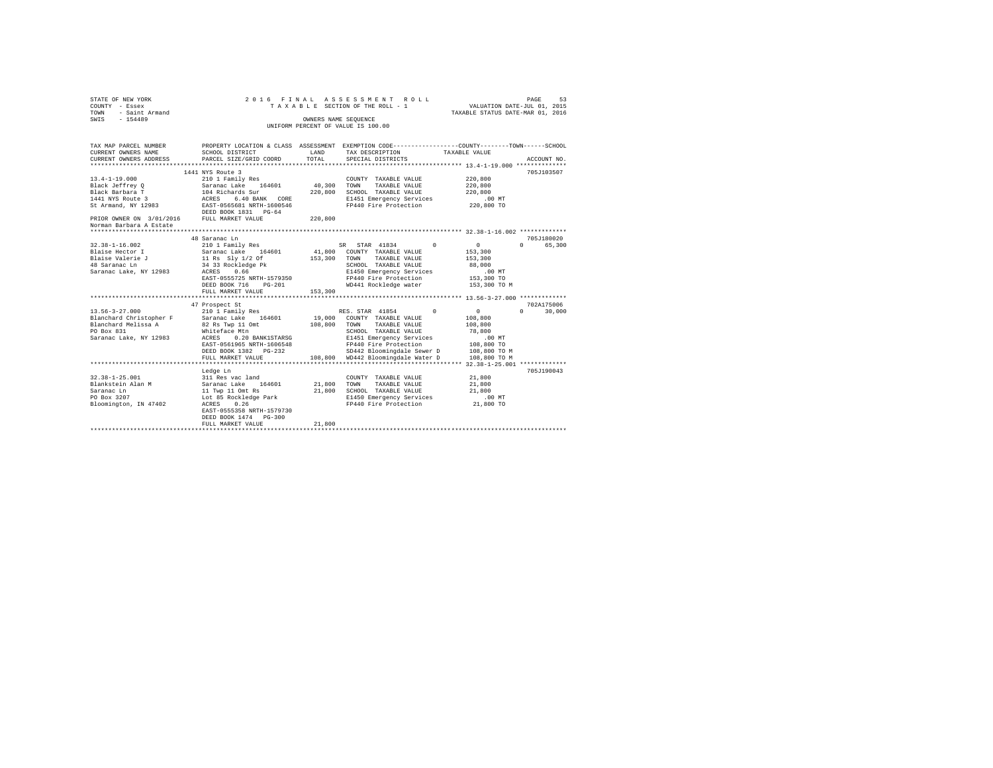| STATE OF NEW YORK        |                                          |             | 2016 FINAL ASSESSMENT ROLL                                                                      |                                  | PAGE<br>53                  |
|--------------------------|------------------------------------------|-------------|-------------------------------------------------------------------------------------------------|----------------------------------|-----------------------------|
| COUNTY - Essex           |                                          |             | TAXABLE SECTION OF THE ROLL - 1                                                                 | VALUATION DATE-JUL 01, 2015      |                             |
| - Saint Armand<br>TOWN   |                                          |             |                                                                                                 | TAXABLE STATUS DATE-MAR 01, 2016 |                             |
| $-154489$<br>SWIS        |                                          |             | OWNERS NAME SEOUENCE                                                                            |                                  |                             |
|                          |                                          |             | UNIFORM PERCENT OF VALUE IS 100.00                                                              |                                  |                             |
|                          |                                          |             |                                                                                                 |                                  |                             |
|                          |                                          |             |                                                                                                 |                                  |                             |
| TAX MAP PARCEL NUMBER    |                                          |             | PROPERTY LOCATION & CLASS ASSESSMENT EXEMPTION CODE---------------COUNTY-------TOWN------SCHOOL |                                  |                             |
| CURRENT OWNERS NAME      | SCHOOL DISTRICT                          | LAND        | TAX DESCRIPTION                                                                                 | TAXABLE VALUE                    |                             |
| CURRENT OWNERS ADDRESS   | PARCEL SIZE/GRID COORD                   | TOTAL       | SPECIAL DISTRICTS                                                                               |                                  | ACCOUNT NO.                 |
| ****************         |                                          | *********** | ******************************** 13.4-1-19.000 **************                                   |                                  |                             |
|                          | 1441 NYS Route 3                         |             |                                                                                                 |                                  | 705J103507                  |
| $13.4 - 1 - 19.000$      | 210 1 Family Res                         |             | COUNTY TAXABLE VALUE                                                                            | 220,800                          |                             |
| Black Jeffrey Q          | Saranac Lake 164601                      |             | 40,300 TOWN<br>TAXABLE VALUE                                                                    | 220,800                          |                             |
| Black Barbara T          | 104 Richards Sur<br>ACRES 6.40 BANK CORE |             | 220,800 SCHOOL TAXABLE VALUE                                                                    | 220,800                          |                             |
| 1441 NYS Route 3         |                                          |             | E1451 Emergency Services                                                                        | $.00$ MT                         |                             |
| St Armand, NY 12983      | EAST-0565681 NRTH-1600546                |             | FP440 Fire Protection                                                                           | 220,800 TO                       |                             |
|                          | DEED BOOK 1831 PG-64                     |             |                                                                                                 |                                  |                             |
| PRIOR OWNER ON 3/01/2016 | FULL MARKET VALUE                        | 220,800     |                                                                                                 |                                  |                             |
| Norman Barbara A Estate  |                                          |             |                                                                                                 |                                  |                             |
|                          |                                          |             |                                                                                                 |                                  |                             |
|                          | 48 Saranac Ln                            |             |                                                                                                 |                                  | 705J180020                  |
| $32.38 - 1 - 16.002$     | 210 1 Family Res                         |             | SR STAR 41834 0                                                                                 | $\mathbf{0}$                     | 0 65,300                    |
| Blaise Hector I          | Saranac Lake 164601                      |             | 41,800 COUNTY TAXABLE VALUE                                                                     | 153,300                          |                             |
| Blaise Valerie J         | 11 Rs Sly 1/2 Of                         | 153,300     | TOWN TAXABLE VALUE                                                                              | 153,300                          |                             |
| 48 Saranac Ln            | 34 33 Rockledge Pk                       |             | SCHOOL TAXABLE VALUE                                                                            | 88,000                           |                             |
| Saranac Lake, NY 12983   | ACRES 0.66                               |             | E1450 Emergency Services                                                                        | $.00$ MT                         |                             |
|                          | EAST-0555725 NRTH-1579350                |             | FP440 Fire Protection                                                                           | 153,300 TO                       |                             |
|                          | DEED BOOK 716<br>$PG-201$                |             | WD441 Rockledge water                                                                           | 153,300 TO M                     |                             |
|                          | FULL MARKET VALUE                        | 153,300     |                                                                                                 |                                  |                             |
|                          | ************************                 |             |                                                                                                 |                                  |                             |
|                          | 47 Prospect St                           |             |                                                                                                 |                                  | 702A175006                  |
| $13.56 - 3 - 27.000$     | 210 1 Family Res                         |             | RES. STAR 41854<br>$\Omega$                                                                     | $\circ$                          | $0 \qquad \qquad$<br>30,000 |
| Blanchard Christopher F  | Saranac Lake 164601                      |             | 19,000 COUNTY TAXABLE VALUE                                                                     | 108,800                          |                             |
| Blanchard Melissa A      | 82 Rs Twp 11 Omt                         |             | 108,800 TOWN TAXABLE VALUE                                                                      | 108,800                          |                             |
| PO Box 831               | Whiteface Mtn                            |             | SCHOOL TAXABLE VALUE                                                                            | 78,800                           |                             |
| Saranac Lake, NY 12983   | ACRES 0.20 BANK1STARSG                   |             | E1451 Emergency Services                                                                        | .00 MT                           |                             |
|                          | EAST-0561965 NRTH-1606548                |             | FP440 Fire Protection                                                                           | 108,800 TO                       |                             |
|                          | DEED BOOK 1382    PG-232                 |             | SD442 Bloomingdale Sewer D                                                                      | 108,800 TO M                     |                             |
|                          | FULL MARKET VALUE                        |             | 108,800 WD442 Bloomingdale Water D                                                              | 108,800 TO M                     |                             |
|                          | **************************               |             |                                                                                                 |                                  |                             |
|                          | Ledge Ln                                 |             |                                                                                                 |                                  | 705J190043                  |
| $32.38 - 1 - 25.001$     | 311 Res vac land                         |             | COUNTY TAXABLE VALUE                                                                            | 21,800                           |                             |
| Blankstein Alan M        | Saranac Lake 164601                      |             | 21,800 TOWN<br>TAXABLE VALUE                                                                    | 21,800                           |                             |
| Saranac Ln               | 11 Twp 11 Omt Rs                         |             | 21,800 SCHOOL TAXABLE VALUE                                                                     | 21,800                           |                             |
| PO Box 3207              | Lot 85 Rockledge Park                    |             | E1450 Emergency Services                                                                        | $.00$ MT                         |                             |
| Bloomington, IN 47402    | ACRES<br>0.26                            |             | FP440 Fire Protection                                                                           | 21,800 TO                        |                             |
|                          | EAST-0555358 NRTH-1579730                |             |                                                                                                 |                                  |                             |
|                          | DEED BOOK 1474 PG-300                    |             |                                                                                                 |                                  |                             |
|                          | FULL MARKET VALUE                        | 21,800      |                                                                                                 |                                  |                             |
|                          |                                          |             |                                                                                                 |                                  |                             |
|                          |                                          |             |                                                                                                 |                                  |                             |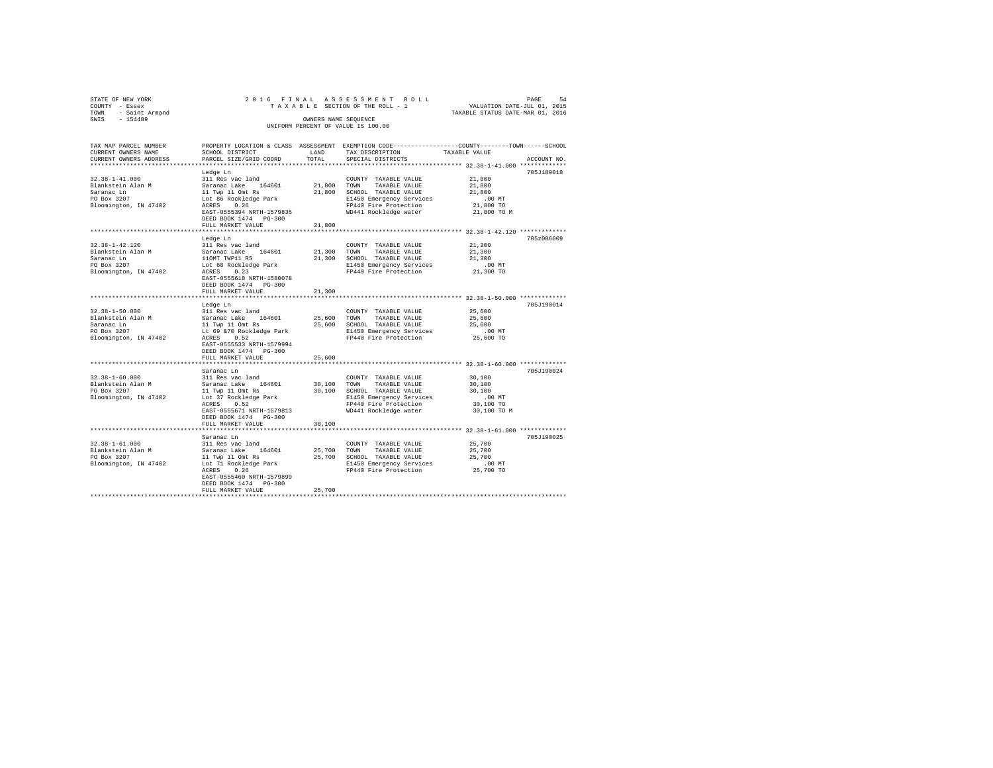| STATE OF NEW YORK<br>COUNTY - Essex<br>- Saint Armand<br>TOWN<br>$-154489$<br>SWIS              |                                                                                                                                                                                            | OWNERS NAME SEOUENCE       | 2016 FINAL ASSESSMENT ROLL<br>TAXABLE SECTION OF THE ROLL - 1<br>UNIFORM PERCENT OF VALUE IS 100.00                                                 | VALUATION DATE-JUL 01, 2015<br>TAXABLE STATUS DATE-MAR 01, 2016    | PAGE<br>54  |
|-------------------------------------------------------------------------------------------------|--------------------------------------------------------------------------------------------------------------------------------------------------------------------------------------------|----------------------------|-----------------------------------------------------------------------------------------------------------------------------------------------------|--------------------------------------------------------------------|-------------|
| TAX MAP PARCEL NUMBER<br>CURRENT OWNERS NAME<br>CURRENT OWNERS ADDRESS                          | PROPERTY LOCATION & CLASS ASSESSMENT EXEMPTION CODE---------------COUNTY-------TOWN------SCHOOL<br>SCHOOL DISTRICT<br>PARCEL SIZE/GRID COORD                                               | <b>T.AND</b><br>TOTAL      | TAX DESCRIPTION<br>SPECIAL DISTRICTS                                                                                                                | TAXABLE VALUE                                                      | ACCOUNT NO. |
| $32.38 - 1 - 41.000$<br>Blankstein Alan M<br>Saranac Ln<br>PO Box 3207<br>Bloomington, IN 47402 | Ledge Ln<br>311 Res vac land<br>Saranac Lake 164601<br>11 Twp 11 Omt Rs<br>Lot 86 Rockledge Park<br>ACRES 0.26<br>EAST-0555394 NRTH-1579835<br>DEED BOOK 1474 PG-300<br>FULL MARKET VALUE  | 21,800<br>21,800<br>21,800 | COUNTY TAXABLE VALUE<br>TAXABLE VALUE<br>TOWN<br>SCHOOL TAXABLE VALUE<br>E1450 Emergency Services<br>FP440 Fire Protection<br>WD441 Rockledge water | 21,800<br>21,800<br>21,800<br>$.00$ MT<br>21,800 TO<br>21,800 TO M | 705J189018  |
|                                                                                                 |                                                                                                                                                                                            |                            |                                                                                                                                                     |                                                                    |             |
| $32.38 - 1 - 42.120$<br>Blankstein Alan M<br>Saranac Ln<br>PO Box 3207<br>Bloomington, IN 47402 | Ledge Ln<br>311 Res vac land<br>Saranac Lake 164601<br>110MT TWP11 RS<br>Lot 68 Rockledge Park<br>ACRES<br>0.23<br>EAST-0555618 NRTH-1580078<br>DEED BOOK 1474 PG-300<br>FULL MARKET VALUE | 21,300<br>21,300<br>21,300 | COUNTY TAXABLE VALUE<br>TOWN<br>TAXABLE VALUE<br>SCHOOL TAXABLE VALUE<br>E1450 Emergency Services<br>FP440 Fire Protection                          | 21,300<br>21,300<br>21,300<br>$.00$ MT<br>21,300 TO                | 705z006009  |
|                                                                                                 |                                                                                                                                                                                            |                            |                                                                                                                                                     |                                                                    |             |
| $32.38 - 1 - 50.000$<br>Blankstein Alan M<br>Saranac Ln<br>PO Box 3207<br>Bloomington, IN 47402 | Ledge Ln<br>311 Res vac land<br>Saranac Lake 164601<br>11 Twp 11 Omt Rs<br>Lt 69 &70 Rockledge Park<br>0.52<br>ACRES<br>EAST-0555533 NRTH-1579994                                          | 25,600<br>25,600           | COUNTY TAXABLE VALUE<br>TAXABLE VALUE<br>TOWN<br>SCHOOL TAXABLE VALUE<br>E1450 Emergency Services<br>FP440 Fire Protection                          | 25,600<br>25,600<br>25,600<br>$.00$ MT<br>25,600 TO                | 705.T190014 |

DEED BOOK 1474 PG-300 FULL MARKET VALUE 25,600 \*\*\*\*\*\*\*\*\*\*\*\*\*\*\*\*\*\*\*\*\*\*\*\*\*\*\*\*\*\*\*\*\*\*\*\*\*\*\*\*\*\*\*\*\*\*\*\*\*\*\*\*\*\*\*\*\*\*\*\*\*\*\*\*\*\*\*\*\*\*\*\*\*\*\*\*\*\*\*\*\*\*\*\*\*\*\*\*\*\*\*\*\*\*\*\*\*\*\*\*\*\*\* 32.38-1-60.000 \*\*\*\*\*\*\*\*\*\*\*\*\*

Saranac Ln 705J190024 32.38-1-60.000 311 Res vac land COUNTY TAXABLE VALUE 30,100 Blankstein Alan M Saranac Lake 164601 30,100 TOWN TAXABLE VALUE 30,100 PO Box 3207 11 Twp 11 Omt Rs 30,100 SCHOOL TAXABLE VALUE 30,100 Bloomington, IN 47402 Lot 37 Rockledge Park E1450 Emergency Services .00 MT ACRES 0.52 FP440 Fire Protection 30,100 TO EAST-0555671 NRTH-1579813 WD441 Rockledge water 30,100 TO M DEED BOOK 1474 PG-300 FULL MARKET VALUE 30,100 \*\*\*\*\*\*\*\*\*\*\*\*\*\*\*\*\*\*\*\*\*\*\*\*\*\*\*\*\*\*\*\*\*\*\*\*\*\*\*\*\*\*\*\*\*\*\*\*\*\*\*\*\*\*\*\*\*\*\*\*\*\*\*\*\*\*\*\*\*\*\*\*\*\*\*\*\*\*\*\*\*\*\*\*\*\*\*\*\*\*\*\*\*\*\*\*\*\*\*\*\*\*\* 32.38-1-61.000 \*\*\*\*\*\*\*\*\*\*\*\*\* Saranac Ln 705J190025

EAST-0555460 NRTH-1579899 DEED BOOK 1474 PG-300 FULL MARKET VALUE 25,700 \*\*\*\*\*\*\*\*\*\*\*\*\*\*\*\*\*\*\*\*\*\*\*\*\*\*\*\*\*\*\*\*\*\*\*\*\*\*\*\*\*\*\*\*\*\*\*\*\*\*\*\*\*\*\*\*\*\*\*\*\*\*\*\*\*\*\*\*\*\*\*\*\*\*\*\*\*\*\*\*\*\*\*\*\*\*\*\*\*\*\*\*\*\*\*\*\*\*\*\*\*\*\*\*\*\*\*\*\*\*\*\*\*\*\*\*\*\*\*\*\*\*\*\*\*\*\*\*\*\*\*\*

Acrains in 1 Res was land to convery TAXABLE VALUE 25,700<br>
11 Res was land 25,700 TOWN TAXABLE VALUE 25,700<br>
11 Twp 11 Omt Rs 25,700 SCHOOL TAXABLE VALUE 25,700<br>
1450 Energency Services 25,700<br>
1450 Energency Services 25,7

32.18-1-61.000 - 311 Res vac land<br>Blankstein Alan M - Saranac Lake 164601 - 25,700 TOWN TAXABLE VALUE - 25,700<br>PD - 25,700 - 11 Twp 11 Omt Rs - 25,700 SCHOOL TAXABLE VALUE - 25,700<br>Bloomington, IN 47402 - Lot 71 Rockledge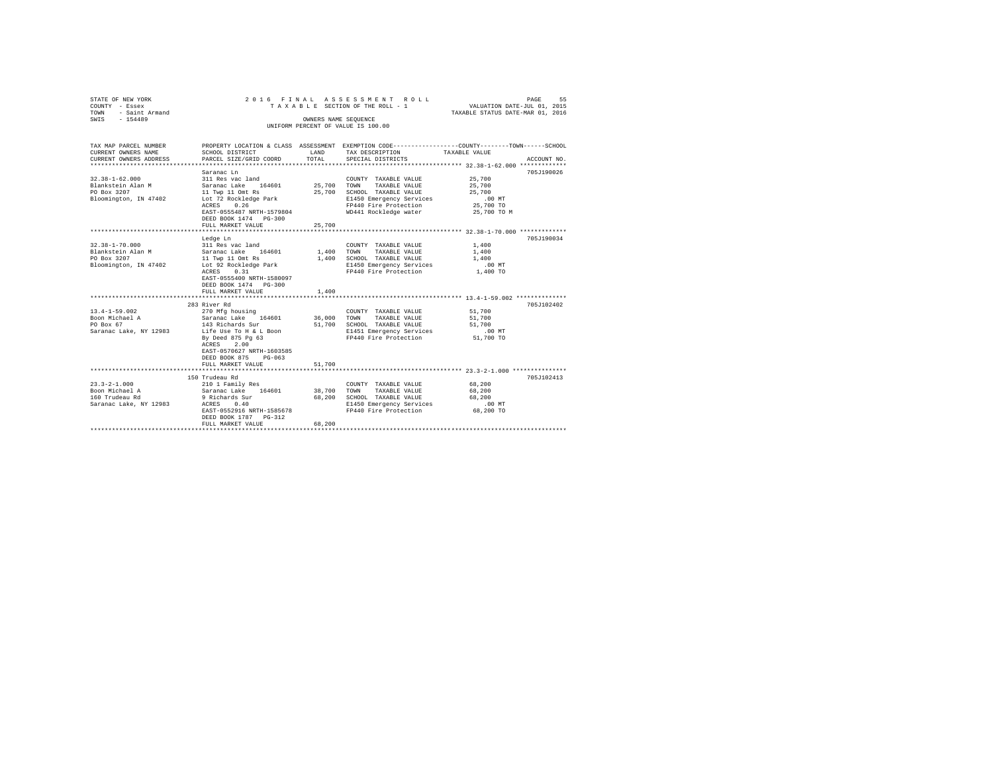| STATE OF NEW YORK<br>COUNTY - Essex<br>- Saint Armand<br>TOWN<br>SWIS - 154489                   |                                                                                                                                                                                                                        |                       | 2016 FINAL ASSESSMENT ROLL<br>TAXABLE SECTION OF THE ROLL - 1<br>OWNERS NAME SEOUENCE<br>UNIFORM PERCENT OF VALUE IS 100.00                                    | PAGE<br>55<br>VALUATION DATE-JUL 01, 2015<br>TAXABLE STATUS DATE-MAR 01, 2016                                                   |
|--------------------------------------------------------------------------------------------------|------------------------------------------------------------------------------------------------------------------------------------------------------------------------------------------------------------------------|-----------------------|----------------------------------------------------------------------------------------------------------------------------------------------------------------|---------------------------------------------------------------------------------------------------------------------------------|
| TAX MAP PARCEL NUMBER<br>CURRENT OWNERS NAME<br>CURRENT OWNERS ADDRESS<br>********************** | SCHOOL DISTRICT<br>PARCEL SIZE/GRID COORD                                                                                                                                                                              | LAND<br>TOTAL         | TAX DESCRIPTION<br>SPECIAL DISTRICTS                                                                                                                           | PROPERTY LOCATION & CLASS ASSESSMENT EXEMPTION CODE---------------COUNTY-------TOWN------SCHOOL<br>TAXABLE VALUE<br>ACCOUNT NO. |
| $32.38 - 1 - 62.000$<br>Blankstein Alan M<br>PO Box 3207<br>Bloomington, IN 47402                | Saranac Ln<br>311 Res vac land<br>Saranac Lake 164601<br>11 Twp 11 Omt Rs<br>Lot 72 Rockledge Park<br>ACRES 0.26<br>EAST-0555487 NRTH-1579804<br>DEED BOOK 1474 PG-300<br>FULL MARKET VALUE                            | 25,700                | COUNTY TAXABLE VALUE<br>25,700 TOWN TAXABLE VALUE<br>25,700 SCHOOL TAXABLE VALUE<br>E1450 Emergency Services<br>FP440 Fire Protection<br>WD441 Rockledge water | 705J190026<br>25,700<br>25,700<br>25,700<br>$.00$ MT<br>25,700 TO<br>25,700 TO M                                                |
| $32.38 - 1 - 70.000$<br>Blankstein Alan M<br>PO Box 3207<br>Bloomington, IN 47402                | Ledge Ln<br>311 Res vac land<br>Saranac Lake 164601<br>11 Twp 11 Omt Rs<br>Lot 92 Rockledge Park<br>ACRES 0.31<br>EAST-0555400 NRTH-1580097<br>DEED BOOK 1474 PG-300<br>FULL MARKET VALUE                              | 1,400                 | COUNTY TAXABLE VALUE<br>1,400 TOWN TAXABLE VALUE<br>1,400 SCHOOL TAXABLE VALUE<br>E1450 Emergency Services<br>FP440 Fire Protection                            | 705J190034<br>1,400<br>1,400<br>1,400<br>.00MT<br>1,400 TO                                                                      |
| $13.4 - 1 - 59.002$<br>Boon Michael A<br>PO Box 67<br>Saranac Lake, NY 12983                     | 283 River Rd<br>270 Mfg housing<br>Saranac Lake 164601<br>143 Richards Sur<br>Life Use To H & L Boon<br>By Deed 875 Pg 63<br>ACRES 2.00<br>EAST-0570627 NRTH-1603585<br>DEED BOOK 875<br>$PG-063$<br>FULL MARKET VALUE | 36,000 TOWN<br>51,700 | COUNTY TAXABLE VALUE<br>TAXABLE VALUE<br>51,700 SCHOOL TAXABLE VALUE<br>E1451 Emergency Services<br>FP440 Fire Protection                                      | 705J102402<br>51,700<br>51,700<br>51,700<br>.00 MT<br>51,700 TO                                                                 |
| $23.3 - 2 - 1.000$<br>Boon Michael A<br>160 Trudeau Rd<br>Saranac Lake, NY 12983                 | 150 Trudeau Rd<br>210 1 Family Res<br>Saranac Lake 164601<br>9 Richards Sur<br>ACRES 0.40<br>EAST-0552916 NRTH-1585678<br>DEED BOOK 1787 PG-312<br>FULL MARKET VALUE                                                   | 38.700 TOWN<br>68,200 | COUNTY TAXABLE VALUE<br>TAXABLE VALUE<br>68,200 SCHOOL TAXABLE VALUE<br>E1450 Emergency Services<br>FP440 Fire Protection                                      | 705J102413<br>68,200<br>68,200<br>68,200<br>$.00$ MT<br>68,200 TO                                                               |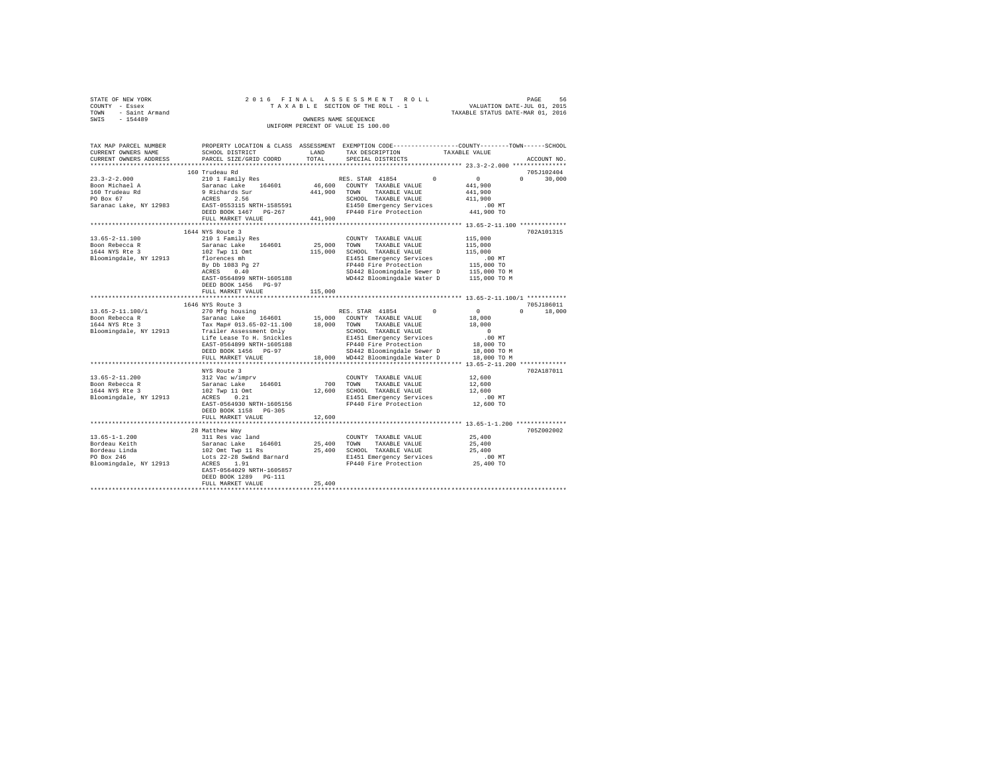|                                    | STATE OF NEW YORK | 2016 FINAL ASSESSMENT ROLL |  |  |  |  |  |  |  |                                 |  |  |  |  |  |  |  |                                  |  |  |                             | PAGE | 56 |
|------------------------------------|-------------------|----------------------------|--|--|--|--|--|--|--|---------------------------------|--|--|--|--|--|--|--|----------------------------------|--|--|-----------------------------|------|----|
|                                    | COUNTY - Essex    |                            |  |  |  |  |  |  |  | TAXABLE SECTION OF THE ROLL - 1 |  |  |  |  |  |  |  |                                  |  |  | VALUATION DATE-JUL 01, 2015 |      |    |
| TOWN                               | - Saint Armand    |                            |  |  |  |  |  |  |  |                                 |  |  |  |  |  |  |  | TAXABLE STATUS DATE-MAR 01, 2016 |  |  |                             |      |    |
| SWIS                               | $-154489$         |                            |  |  |  |  |  |  |  | OWNERS NAME SEOUENCE            |  |  |  |  |  |  |  |                                  |  |  |                             |      |    |
| UNIFORM PERCENT OF VALUE IS 100.00 |                   |                            |  |  |  |  |  |  |  |                                 |  |  |  |  |  |  |  |                                  |  |  |                             |      |    |

| TAX MAP PARCEL NUMBER<br>CURRENT OWNERS NAME<br>CURRENT OWNERS ADDRESS                        | SCHOOL DISTRICT<br>PARCEL SIZE/GRID COORD                                                                                                                                                                                                     | LAND<br>TOTAL                | PROPERTY LOCATION & CLASS ASSESSMENT EXEMPTION CODE---------------COUNTY-------TOWN------SCHOOL<br>TAX DESCRIPTION<br>SPECIAL DISTRICTS                                                 | TAXABLE VALUE<br>ACCOUNT NO.                                                                       |
|-----------------------------------------------------------------------------------------------|-----------------------------------------------------------------------------------------------------------------------------------------------------------------------------------------------------------------------------------------------|------------------------------|-----------------------------------------------------------------------------------------------------------------------------------------------------------------------------------------|----------------------------------------------------------------------------------------------------|
|                                                                                               |                                                                                                                                                                                                                                               | *****************            |                                                                                                                                                                                         | ************************* 23.3-2-2.000 **************                                              |
| $23.3 - 2 - 2.000$<br>Boon Michael A<br>160 Trudeau Rd                                        | 160 Trudeau Rd<br>210 1 Family Res<br>Saranac Lake 164601<br>9 Richards Sur                                                                                                                                                                   | 441,900                      | RES. STAR 41854<br>$^{\circ}$<br>46,600 COUNTY TAXABLE VALUE<br>TAXABLE VALUE<br>TOWN                                                                                                   | 705J102404<br>0<br>$\Omega$<br>30,000<br>441,900<br>441,900                                        |
| PO Box 67<br>Saranac Lake, NY 12983                                                           | 2.56<br>ACRES<br>EAST-0553115 NRTH-1585591<br>DEED BOOK 1467 PG-267<br>FULL MARKET VALUE<br>***************************                                                                                                                       | 441,900                      | SCHOOL TAXABLE VALUE<br>E1450 Emergency Services<br>FP440 Fire Protection                                                                                                               | 411,900<br>$.00$ MT<br>441,900 TO                                                                  |
| $13.65 - 2 - 11.100$<br>Boon Rebecca R<br>1644 NYS Rte 3<br>Bloomingdale, NY 12913            | 1644 NYS Route 3<br>210 1 Family Res<br>Saranac Lake 164601<br>102 Twp 11 Omt<br>florences mh<br>By Db 1083 Pg 27<br>ACRES<br>0.40<br>EAST-0564899 NRTH-1605188<br>DEED BOOK 1456<br>$PG-97$<br>FULL MARKET VALUE<br>************************ | 25,000<br>115,000<br>115,000 | COUNTY TAXABLE VALUE<br>TOWN<br>TAXABLE VALUE<br>SCHOOL TAXABLE VALUE<br>E1451 Emergency Services<br>FP440 Fire Protection<br>SD442 Bloomingdale Sewer D<br>WD442 Bloomingdale Water D  | 702A101315<br>115,000<br>115,000<br>115,000<br>.00MT<br>115,000 TO<br>115,000 TO M<br>115,000 TO M |
|                                                                                               | 1646 NYS Route 3                                                                                                                                                                                                                              |                              |                                                                                                                                                                                         | 705J186011                                                                                         |
| $13.65 - 2 - 11.100/1$<br>Boon Rebecca R<br>1644 NYS Rte 3<br>Bloomingdale, NY 12913          | 270 Mfg housing<br>Saranac Lake 164601<br>Tax Map# 013.65-02-11.100<br>Trailer Assessment Only<br>Life Lease To H. Snickles<br>EAST-0564899 NRTH-1605188<br>DEED BOOK 1456 PG-97                                                              | 15,000<br>18,000             | RES. STAR 41854<br>$\Omega$<br>COUNTY TAXABLE VALUE<br>TOWN<br>TAXABLE VALUE<br>SCHOOL TAXABLE VALUE<br>E1451 Emergency Services<br>FP440 Fire Protection<br>SD442 Bloomingdale Sewer D | $\circ$<br>18,000<br>$\Omega$<br>18,000<br>18,000<br>$\Omega$<br>.00MT<br>18,000 TO<br>18,000 TO M |
|                                                                                               | FULL MARKET VALUE<br>*******************                                                                                                                                                                                                      | 18,000                       | WD442 Bloomingdale Water D<br>******************************** 13.65-2-11.200 *************                                                                                             | 18,000 TO M                                                                                        |
| $13.65 - 2 - 11.200$<br>Boon Rebecca R<br>1644 NYS Rte 3<br>Bloomingdale, NY 12913            | NYS Route 3<br>312 Vac w/imprv<br>Saranac Lake 164601<br>102 Twp 11 Omt<br>0.21<br>ACRES<br>EAST-0564930 NRTH-1605156<br>DEED BOOK 1158 PG-305                                                                                                | 700<br>12,600                | COUNTY TAXABLE VALUE<br>TOWN<br>TAXABLE VALUE<br>SCHOOL TAXABLE VALUE<br>E1451 Emergency Services<br>FP440 Fire Protection                                                              | 702A187011<br>12,600<br>12,600<br>12,600<br>$.00$ MT<br>12,600 TO                                  |
|                                                                                               | FULL MARKET VALUE                                                                                                                                                                                                                             | 12,600                       |                                                                                                                                                                                         | ******************** 13.65-1-1.200 **********                                                      |
| $13.65 - 1 - 1.200$<br>Bordeau Keith<br>Bordeau Linda<br>PO Box 246<br>Bloomingdale, NY 12913 | 28 Matthew Way<br>311 Res vac land<br>Saranac Lake<br>164601<br>102 Omt Twp 11 Rs<br>Lots 22-28 Sw&nd Barnard<br>1.91<br>ACRES<br>EAST-0564029 NRTH-1605857<br>DEED BOOK 1289<br>PG-111<br>FULL MARKET VALUE                                  | 25,400<br>25,400<br>25,400   | COUNTY TAXABLE VALUE<br>TOWN<br>TAXABLE VALUE<br>SCHOOL TAXABLE VALUE<br>E1451 Emergency Services<br>FP440 Fire Protection                                                              | 705Z002002<br>25,400<br>25,400<br>25,400<br>.00 MT<br>25,400 TO                                    |
|                                                                                               |                                                                                                                                                                                                                                               |                              |                                                                                                                                                                                         |                                                                                                    |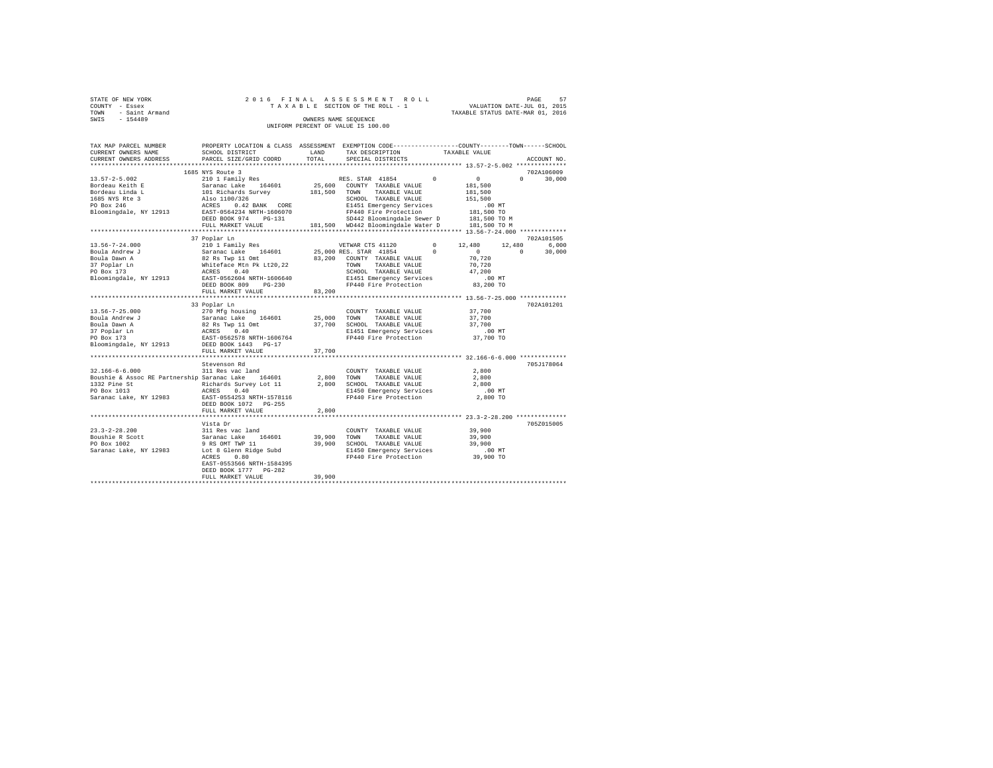| STATE OF NEW YORK   | 2016 FINAL ASSESSMENT ROLL      | 57<br>PAGE                       |
|---------------------|---------------------------------|----------------------------------|
| COUNTY - Essex      | TAXABLE SECTION OF THE ROLL - 1 | VALUATION DATE-JUL 01, 2015      |
| TOWN - Saint Armand |                                 | TAXABLE STATUS DATE-MAR 01, 2016 |
| SWTS<br>$-154489$   | OWNERS NAME SEOUENCE            |                                  |
|                     |                                 |                                  |

| TAX MAP PARCEL NUMBER                                       | PROPERTY LOCATION & CLASS ASSESSMENT EXEMPTION CODE---------------COUNTY-------TOWN-----SCHOOL                |             |                                                                             |          |                  |                    |
|-------------------------------------------------------------|---------------------------------------------------------------------------------------------------------------|-------------|-----------------------------------------------------------------------------|----------|------------------|--------------------|
| CURRENT OWNERS NAME                                         | SCHOOL DISTRICT                                                                                               | LAND        | TAX DESCRIPTION                                                             |          | TAXABLE VALUE    |                    |
| CURRENT OWNERS ADDRESS                                      | PARCEL SIZE/GRID COORD                                                                                        | TOTAL       | SPECIAL DISTRICTS                                                           |          |                  | ACCOUNT NO.        |
|                                                             |                                                                                                               |             |                                                                             |          |                  |                    |
|                                                             | 1685 NYS Route 3                                                                                              |             |                                                                             |          |                  | 702A106009         |
| $13.57 - 2 - 5.002$                                         | 210 1 Family Res                                                                                              |             | RES. STAR 41854                                                             | $\Omega$ | $\sim$ 0         | $\Omega$<br>30,000 |
|                                                             |                                                                                                               |             | 25,600 COUNTY TAXABLE VALUE                                                 |          | 181,500          |                    |
|                                                             |                                                                                                               |             | 181,500 TOWN TAXABLE VALUE                                                  |          | 181,500          |                    |
|                                                             |                                                                                                               |             | SCHOOL TAXABLE VALUE                                                        |          | 151,500          |                    |
|                                                             |                                                                                                               |             | E1451 Emergency Services                                                    |          | $.00$ MT         |                    |
|                                                             |                                                                                                               |             | FP440 Fire Protection                                                       |          |                  |                    |
|                                                             | DEED BOOK 974 PG-131                                                                                          |             | FP440 Fire Protection 181,500 TO<br>SD442 Bloomingdale Sewer D 181,500 TO M |          |                  |                    |
|                                                             | FULL MARKET VALUE                                                                                             |             | 181,500 WD442 Bloomingdale Water D 181,500 TO M                             |          |                  |                    |
|                                                             |                                                                                                               |             |                                                                             |          |                  |                    |
|                                                             | 37 Poplar Ln                                                                                                  |             |                                                                             |          |                  | 702A101505         |
|                                                             |                                                                                                               |             | VETWAR CTS 41120 0 12,480                                                   |          | 12,480           | 6,000              |
|                                                             |                                                                                                               |             | 25,000 RES. STAR 41854                                                      | $\sim$ 0 | $\sim$ 0         | $\Omega$<br>30,000 |
|                                                             |                                                                                                               |             | 83,200 COUNTY TAXABLE VALUE                                                 |          |                  |                    |
|                                                             |                                                                                                               |             | TOWN<br>TAXABLE VALUE                                                       |          | 70,720<br>70,720 |                    |
|                                                             |                                                                                                               |             | SCHOOL TAXABLE VALUE                                                        |          | 47,200           |                    |
|                                                             |                                                                                                               |             |                                                                             |          |                  |                    |
|                                                             |                                                                                                               |             | E1451 Emergency Services<br>FP440 Fire Protection                           |          | .00MT            |                    |
|                                                             | DEED BOOK 809<br>$PG-230$                                                                                     |             |                                                                             |          | 83,200 TO        |                    |
|                                                             | FULL MARKET VALUE                                                                                             | 83,200      |                                                                             |          |                  |                    |
|                                                             |                                                                                                               |             |                                                                             |          |                  |                    |
|                                                             | 33 Poplar Ln                                                                                                  |             |                                                                             |          |                  | 702A101201         |
| $13.56 - 7 - 25.000$                                        | 270 Mfg housing                                                                                               |             | COUNTY TAXABLE VALUE                                                        |          | 37,700           |                    |
| Boula Andrew J                                              | Saranac Lake<br>82 Rs Twp 11 Omt<br>82 Rs Twp 11 Omt<br>82 Rs Twp 140<br>82 RST-0562578 NRTH-1606764<br>10010 | 25,000 TOWN | TAXABLE VALUE                                                               |          | 37,700           |                    |
| Boula Dawn A                                                |                                                                                                               |             | 37,700 SCHOOL TAXABLE VALUE                                                 |          | 37,700           |                    |
| 37 Poplar Ln<br>$\mathbf{r} = \mathbf{r} \times \mathbf{r}$ |                                                                                                               |             | E1451 Emergency Services                                                    |          | $.00$ MT         |                    |
| PO Box 173                                                  |                                                                                                               |             | FP440 Fire Protection                                                       |          | 37,700 TO        |                    |
| Bloomingdale, NY 12913                                      | DEED BOOK 1443 PG-17                                                                                          |             |                                                                             |          |                  |                    |
|                                                             | FULL MARKET VALUE                                                                                             | 37,700      |                                                                             |          |                  |                    |
|                                                             |                                                                                                               |             |                                                                             |          |                  |                    |
|                                                             | Stevenson Rd                                                                                                  |             |                                                                             |          |                  | 705J178064         |
| $32.166 - 6 - 6.000$                                        | 311 Res vac land                                                                                              |             | COUNTY TAXABLE VALUE                                                        |          | 2,800            |                    |
| Boushie & Assoc RE Partnership Saranac Lake 164601          |                                                                                                               | 2,800 TOWN  | TAXABLE VALUE                                                               |          | 2,800            |                    |
| 1332 Pine St                                                |                                                                                                               |             | 2,800 SCHOOL TAXABLE VALUE                                                  |          | 2,800            |                    |
| PO Box 1013                                                 | Richards Survey Lot 11<br>ACRES 0.40                                                                          |             |                                                                             |          | $.00$ MT         |                    |
| Saranac Lake, NY 12983 EAST-0554253 NRTH-1578116            |                                                                                                               |             | E1450 Emergency Services<br>FP440 Fire Protection                           |          | 2,800 TO         |                    |
|                                                             | DEED BOOK 1072 PG-255                                                                                         |             |                                                                             |          |                  |                    |
|                                                             | FULL MARKET VALUE                                                                                             | 2,800       |                                                                             |          |                  |                    |
|                                                             |                                                                                                               |             |                                                                             |          |                  |                    |
|                                                             | Vista Dr                                                                                                      |             |                                                                             |          |                  | 705Z015005         |
| $23.3 - 2 - 28.200$                                         |                                                                                                               |             | COUNTY TAXABLE VALUE                                                        |          | 39,900           |                    |
| Boushie R Scott                                             | 311 Res vac land<br>Saranac Lake 164601<br>9 RS OMT TWP 11                                                    |             | 39,900 TOWN<br>TAXABLE VALUE                                                |          | 39,900           |                    |
| PO Box 1002                                                 |                                                                                                               |             | 39,900 SCHOOL TAXABLE VALUE                                                 |          | 39.900           |                    |
|                                                             |                                                                                                               |             |                                                                             |          |                  |                    |
| Saranac Lake, NY 12983 Lot 8 Glenn Ridge Subd ACRES 0.80    |                                                                                                               |             | E1450 Emergency Services .00 MT<br>FP440 Fire Protection  39,900 TO         |          |                  |                    |
|                                                             | 0.80<br>ACRES                                                                                                 |             |                                                                             |          |                  |                    |
|                                                             | EAST-0553566 NRTH-1584395                                                                                     |             |                                                                             |          |                  |                    |
|                                                             | DEED BOOK 1777 PG-282                                                                                         |             |                                                                             |          |                  |                    |
|                                                             | FULL MARKET VALUE                                                                                             | 39,900      |                                                                             |          |                  |                    |
|                                                             |                                                                                                               |             |                                                                             |          |                  |                    |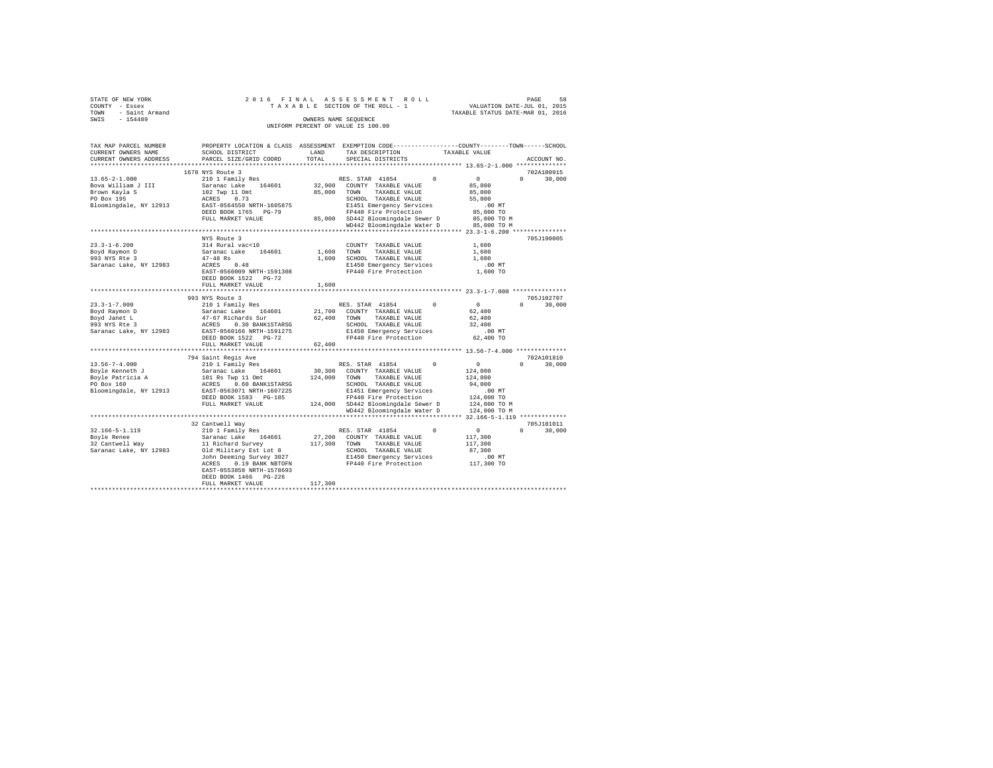| STATE OF NEW YORK                  | 2016 FINAL ASSESSMENT ROLL      | 58<br>PAGE                       |  |  |  |  |  |  |  |  |  |
|------------------------------------|---------------------------------|----------------------------------|--|--|--|--|--|--|--|--|--|
| COUNTY - Essex                     | TAXABLE SECTION OF THE ROLL - 1 | VALUATION DATE-JUL 01, 2015      |  |  |  |  |  |  |  |  |  |
| - Saint Armand<br>TOWN             |                                 | TAXABLE STATUS DATE-MAR 01, 2016 |  |  |  |  |  |  |  |  |  |
| $-154489$<br>SWIS                  | OWNERS NAME SEOUENCE            |                                  |  |  |  |  |  |  |  |  |  |
| UNIFORM PERCENT OF VALUE IS 100.00 |                                 |                                  |  |  |  |  |  |  |  |  |  |
|                                    |                                 |                                  |  |  |  |  |  |  |  |  |  |

| TAX MAP PARCEL NUMBER<br>CURRENT OWNERS NAME                                                       | PROPERTY LOCATION & CLASS ASSESSMENT EXEMPTION CODE---------------COUNTY-------TOWN-----SCHOOL<br>SCHOOL DISTRICT                                                                                                                             | LAND<br>TOTAL         | TAX DESCRIPTION                                                                                                                                                                                                         |          | TAXABLE VALUE                                                                                    | ACCOUNT NO.                      |
|----------------------------------------------------------------------------------------------------|-----------------------------------------------------------------------------------------------------------------------------------------------------------------------------------------------------------------------------------------------|-----------------------|-------------------------------------------------------------------------------------------------------------------------------------------------------------------------------------------------------------------------|----------|--------------------------------------------------------------------------------------------------|----------------------------------|
| CURRENT OWNERS ADDRESS                                                                             | PARCEL SIZE/GRID COORD                                                                                                                                                                                                                        |                       | SPECIAL DISTRICTS                                                                                                                                                                                                       |          |                                                                                                  |                                  |
|                                                                                                    | 1678 NYS Route 3                                                                                                                                                                                                                              |                       |                                                                                                                                                                                                                         |          |                                                                                                  | 702A100915                       |
| $13.65 - 2 - 1.000$<br>Bova William J III<br>Brown Kayla S<br>PO Box 195<br>Bloomingdale, NY 12913 | 210 1 Family Res<br>Saranac Lake 164601<br>102 Twp 11 Omt<br>ACRES 0.73<br>EAST-0564550 NRTH-1605875<br>DEED BOOK 1765 PG-79<br>FULL MARKET VALUE                                                                                             | 85,000                | RES. STAR 41854<br>32,900 COUNTY TAXABLE VALUE<br>TOWN<br>TAXABLE VALUE<br>SCHOOL TAXABLE VALUE<br>E1451 Emergency Services<br>FP440 Fire Protection<br>85,000 SD442 Bloomingdale Sewer D<br>WD442 Bloomingdale Water D | $\Omega$ | $\sim$ 0<br>85,000<br>85,000<br>55,000<br>$.00$ MT<br>85,000 TO<br>85,000 TO M<br>85,000 TO M    | $\Omega$<br>30,000               |
|                                                                                                    |                                                                                                                                                                                                                                               |                       | ************************************** 23.3-1-6.200 ************                                                                                                                                                        |          |                                                                                                  |                                  |
| $23.3 - 1 - 6.200$<br>Boyd Raymon D<br>993 NYS Rte 3<br>Saranac Lake, NY 12983                     | NYS Route 3<br>314 Rural vac<10<br>Saranac Lake<br>164601<br>$47 - 48$ Rs<br>ACRES<br>0.48<br>EAST-0560009 NRTH-1591308<br>DEED BOOK 1522 PG-72<br>FULL MARKET VALUE                                                                          | 1,600<br>1,600        | COUNTY TAXABLE VALUE<br>1,600 TOWN<br>TAXABLE VALUE<br>SCHOOL TAXABLE VALUE<br>E1450 Emergency Services<br>FP440 Fire Protection                                                                                        |          | 1,600<br>1,600<br>1,600<br>$.00$ MT<br>1,600 TO                                                  | 705J190005                       |
|                                                                                                    |                                                                                                                                                                                                                                               |                       |                                                                                                                                                                                                                         |          |                                                                                                  |                                  |
| $23.3 - 1 - 7.000$<br>Boyd Raymon D<br>Boyd Janet L<br>993 NYS Rte 3                               | 993 NYS Route 3<br>210 1 Family Res<br>Saranac Lake 164601<br>47-67 Richards Sur<br>ACRES 0.30 BANK1STARSG<br>Saranac Lake, NY 12983 EAST-0560166 NRTH-1591275<br>DEED BOOK 1522 PG-72<br>FULL MARKET VALUE                                   | 62,400 TOWN<br>62,400 | RES. STAR 41854 0<br>21,700 COUNTY TAXABLE VALUE<br>TAXABLE VALUE<br>SCHOOL TAXABLE VALUE<br>E1450 Emergency Services<br>FP440 Fire Protection                                                                          |          | $\sim$ 0<br>62,400<br>62,400<br>32,400<br>$.00$ MT<br>62,400 TO                                  | 705J102707<br>30,000<br>$\Omega$ |
|                                                                                                    | 794 Saint Regis Ave                                                                                                                                                                                                                           |                       |                                                                                                                                                                                                                         |          |                                                                                                  | 702A101810                       |
| $13.56 - 7 - 4.000$<br>Boyle Kenneth J<br>Boyle Patricia A<br>PO Box 160<br>Bloomingdale, NY 12913 | 210 1 Family Res<br>Saranac Lake 164601<br>101 Rs Twp 11 Omt<br>ACRES 0.60 BANK1STARSG<br>EAST-0563071 NRTH-1607225<br>DEED BOOK 1583 PG-185<br>FULL MARKET VALUE                                                                             | 30,300<br>124,000     | RES. STAR 41854<br>COUNTY TAXABLE VALUE<br>TOWN TAXABLE VALUE<br>SCHOOL TAXABLE VALUE<br>E1451 Emergency Services<br>FP440 Fire Protection<br>124,000 SD442 Bloomingdale Sewer D<br>WD442 Bloomingdale Water D          | $\Omega$ | $\sim$ 0<br>124,000<br>124,000<br>94,000<br>.00 MT<br>124,000 TO<br>124,000 TO M<br>124,000 TO M | 30,000                           |
|                                                                                                    | ************************************                                                                                                                                                                                                          |                       |                                                                                                                                                                                                                         |          |                                                                                                  |                                  |
| $32.166 - 5 - 1.119$<br>Boyle Renee<br>32 Cantwell Way<br>Saranac Lake, NY 12983                   | 32 Cantwell Way<br>210 1 Family Res<br>Saranac Lake 164601<br>11 Richard Survey<br>Old Military Est Lot 8<br>John Deeming Survey 3027<br>0.19 BANK NBTOFN<br>ACRES<br>EAST-0553858 NRTH-1578693<br>DEED BOOK 1466 PG-226<br>FULL MARKET VALUE | 117,300               | RES. STAR 41854<br>27,200 COUNTY TAXABLE VALUE<br>117,300 TOWN<br>TAXABLE VALUE<br>SCHOOL TAXABLE VALUE<br>E1450 Emergency Services<br>FP440 Fire Protection                                                            | $\Omega$ | $\sim$ 0<br>117,300<br>117,300<br>87,300<br>$.00$ MT<br>117,300 TO                               | 705J181011<br>$\Omega$<br>30,000 |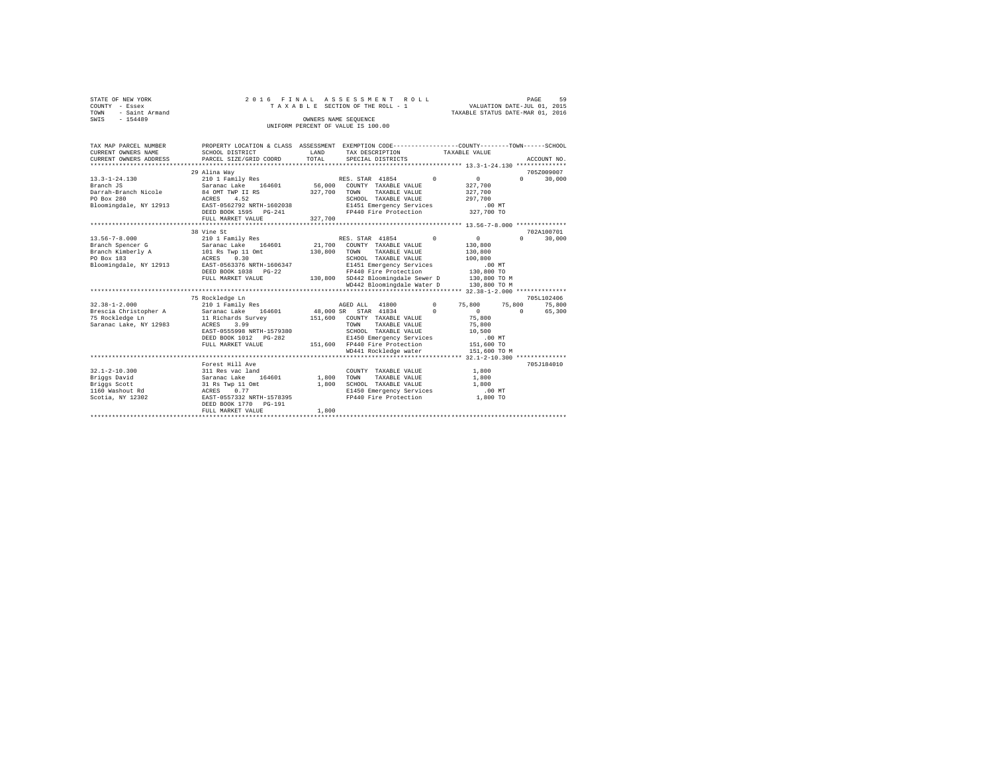|      | STATE OF NEW YORK |  |  |  |  | 2016 FINAL ASSESSMENT ROLL         |  |  |  |  |                                  |                             | PAGE | 59 |
|------|-------------------|--|--|--|--|------------------------------------|--|--|--|--|----------------------------------|-----------------------------|------|----|
|      | COUNTY - Essex    |  |  |  |  | TAXABLE SECTION OF THE ROLL - 1    |  |  |  |  |                                  | VALUATION DATE-JUL 01, 2015 |      |    |
| TOWN | - Saint Armand    |  |  |  |  |                                    |  |  |  |  | TAXABLE STATUS DATE-MAR 01, 2016 |                             |      |    |
| SWIS | $-154489$         |  |  |  |  | OWNERS NAME SEOUENCE               |  |  |  |  |                                  |                             |      |    |
|      |                   |  |  |  |  | UNIFORM PERCENT OF VALUE IS 100.00 |  |  |  |  |                                  |                             |      |    |

| TAX MAP PARCEL NUMBER<br>CURRENT OWNERS NAME<br>CURRENT OWNERS ADDRESS                               | PROPERTY LOCATION & CLASS ASSESSMENT EXEMPTION CODE---------------COUNTY-------TOWN------SCHOOL<br>SCHOOL DISTRICT<br>PARCEL SIZE/GRID COORD                                      | LAND<br>TOTAL      | TAX DESCRIPTION<br>SPECIAL DISTRICTS                                                                                                                                                                                                  |                | TAXABLE VALUE                                                                  | ACCOUNT NO.                      |
|------------------------------------------------------------------------------------------------------|-----------------------------------------------------------------------------------------------------------------------------------------------------------------------------------|--------------------|---------------------------------------------------------------------------------------------------------------------------------------------------------------------------------------------------------------------------------------|----------------|--------------------------------------------------------------------------------|----------------------------------|
| $13.3 - 1 - 24.130$<br>Branch JS<br>Darrah-Branch Nicole<br>PO Box 280<br>Bloomingdale, NY 12913     | 29 Alina Wav<br>210 1 Family Res<br>164601 56,000<br>Saranac Lake<br>84 OMT TWP II RS<br>4.52<br>ACRES<br>EAST-0562792 NRTH-1602038<br>DEED BOOK 1595 PG-241<br>FULL MARKET VALUE | 327,700<br>327,700 | RES. STAR 41854<br>COUNTY TAXABLE VALUE<br>TOWN<br>TAXABLE VALUE<br>SCHOOL TAXABLE VALUE<br>E1451 Emergency Services<br>FP440 Fire Protection 327,700 TO                                                                              | $\overline{0}$ | $\mathbf{0}$<br>327,700<br>327,700<br>297.700<br>.00MT                         | 705Z009007<br>$\Omega$<br>30,000 |
| $13.56 - 7 - 8.000$<br>Branch Spencer G<br>Branch Kimberly A<br>PO Box 183<br>Bloomingdale, NY 12913 | 38 Vine St<br>210 1 Family Res<br>Saranac Lake 164601<br>101 Rs Twp 11 Omt<br>0.30<br>ACRES<br>EAST-0563376 NRTH-1606347<br>DEED BOOK 1038 PG-22<br>FULL MARKET VALUE             | 130,800            | RES. STAR 41854<br>21,700 COUNTY TAXABLE VALUE<br>TOWN<br>TAXABLE VALUE<br>SCHOOL TAXABLE VALUE<br>E1451 Emergency Services<br>FP440 Fire Protection<br>130,800 SD442 Bloomingdale Sewer D 130,800 TO M<br>WD442 Bloomingdale Water D | $\Omega$       | $\sim$<br>130,800<br>130,800<br>100,800<br>.00MT<br>130,800 TO<br>130,800 TO M | 702A100701<br>$\Omega$<br>30,000 |
|                                                                                                      |                                                                                                                                                                                   |                    |                                                                                                                                                                                                                                       |                |                                                                                |                                  |
|                                                                                                      | 75 Rockledge Ln                                                                                                                                                                   |                    |                                                                                                                                                                                                                                       |                |                                                                                | 705L102406                       |
| $32.38 - 1 - 2.000$                                                                                  | 210 1 Family Res                                                                                                                                                                  |                    | 41800<br>AGED ALL                                                                                                                                                                                                                     | $\circ$        | 75,800 75,800                                                                  | 75,800                           |
| Brescia Christopher A<br>75 Rockledge Ln<br>Saranac Lake, NY 12983                                   | 164601<br>Saranac Lake 164601<br>11 Richards Survey<br>3.99<br>ACRES<br>EAST-0555998 NRTH-1579380<br>DEED BOOK 1012 PG-282<br>FULL MARKET VALUE                                   | 48,000 SR          | STAR 41834<br>151,600 COUNTY TAXABLE VALUE<br>TAXABLE VALUE<br>TOWN<br>SCHOOL TAXABLE VALUE<br>E1450 Emergency Services<br>151,600 FP440 Fire Protection<br>WD441 Rockledge water                                                     | $\Omega$       | $\sim$ 0<br>75,800<br>75,800<br>10,500<br>.00MT<br>151,600 TO<br>151,600 TO M  | 65,300<br>$\Omega$               |
|                                                                                                      |                                                                                                                                                                                   |                    |                                                                                                                                                                                                                                       |                |                                                                                |                                  |
| $32.1 - 2 - 10.300$<br>Briggs David<br>Briggs Scott<br>1160 Washout Rd<br>Scotia, NY 12302           | Forest Hill Ave<br>311 Res vac land<br>164601<br>Saranac Lake<br>31 Rs Twp 11 Omt<br>ACRES<br>0.77<br>EAST-0557332 NRTH-1578395<br>DEED BOOK 1770 PG-191                          | 1,800<br>1,800     | COUNTY TAXABLE VALUE<br>TOWN<br>TAXABLE VALUE<br>SCHOOL TAXABLE VALUE<br>E1450 Emergency Services<br>FP440 Fire Protection                                                                                                            |                | 1,800<br>1,800<br>1,800<br>$.00$ MT<br>1,800 TO                                | 705J184010                       |
|                                                                                                      | FULL MARKET VALUE                                                                                                                                                                 | 1,800              |                                                                                                                                                                                                                                       |                |                                                                                |                                  |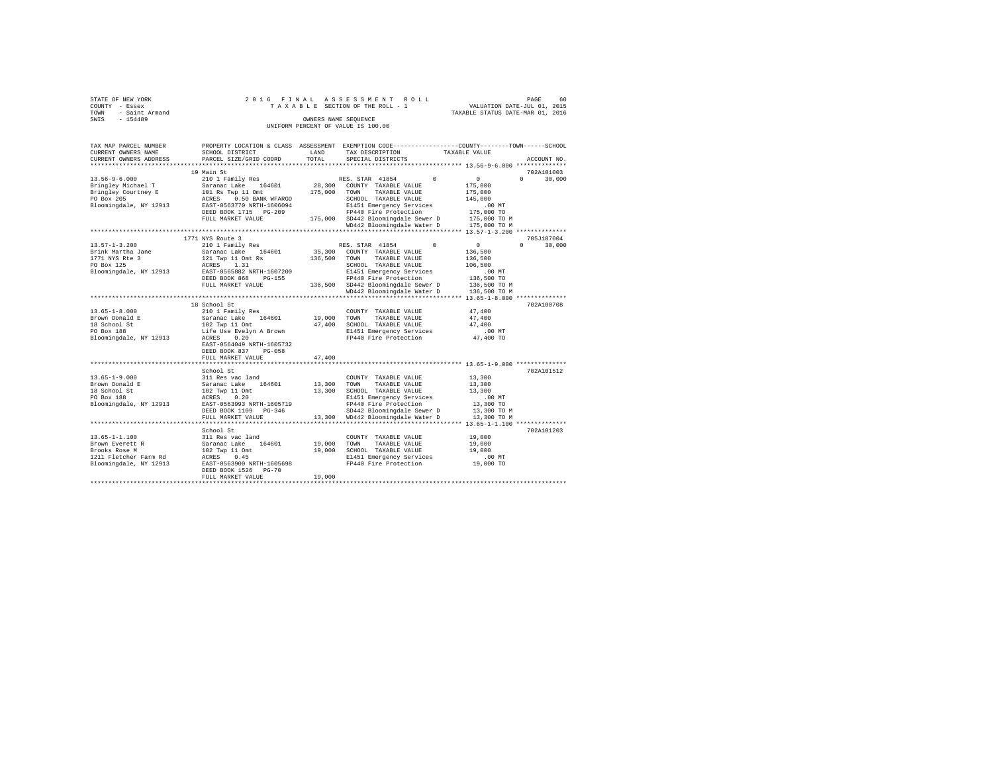| STATE OF NEW YORK<br>COUNTY - Essex<br>- Saint Armand<br>TOWN<br>$-154489$<br>SWIS                 |                                                                                                               | 2016 FINAL ASSESSMENT ROLL<br>60<br>PAGE<br>TAXABLE SECTION OF THE ROLL - 1 VALUATION DATE-JUL 01, 2015<br>TAXABLE STATUS DATE-MAR 01, 2016<br>OWNERS NAME SEOUENCE<br>INIFORM PERCENT OF VALUE IS 100.00                                                                                                                                                                                                                 |
|----------------------------------------------------------------------------------------------------|---------------------------------------------------------------------------------------------------------------|---------------------------------------------------------------------------------------------------------------------------------------------------------------------------------------------------------------------------------------------------------------------------------------------------------------------------------------------------------------------------------------------------------------------------|
| CURRENT OWNERS NAME                                                                                | <b>LAND</b><br>SCHOOL DISTRICT                                                                                | TAX MAP PARCEL NUMBER PROPERTY LOCATION & CLASS ASSESSMENT EXEMPTION CODE--------------COUNTY-------TOWN-----SCHOOL<br>TAX DESCRIPTION TAXABLE VALUE<br>CURRENT OWNERS ADDRESS 6 PARCEL SIZE/GRID COORD TOTAL SPECIAL DISTRICTS<br>ACCOUNT NO.                                                                                                                                                                            |
|                                                                                                    |                                                                                                               |                                                                                                                                                                                                                                                                                                                                                                                                                           |
| $13.56 - 9 - 6.000$<br>Bringley Courtney E<br>PO Box 205<br><b>ACRES</b><br>Bloomingdale, NY 12913 | 19 Main St<br>101 Rs Twp 11 Omt 175,000<br>0.50 BANK WFARGO<br>EAST-0563770 NRTH-1606094<br>FULL MARKET VALUE | 702A101003<br>210 1 Family Res 60 1 210 1 RES. STAR 41854 210 1 210 1<br>$0 \t 30.000$<br>Bringley Michael T Saranac Lake 164601 28,300 COUNTY TAXABLE VALUE<br>175,000<br>175,000<br>TAXABLE VALUE<br>TOWN<br>145,000<br>SCHOOL<br>TAXABLE VALUE<br>E1451 Emergency Services .00 MT<br>FP440 Fire Protection 175,000 TO<br>175,000<br>SD442 Bloomingdale Sewer D 175,000 TO M<br>WD442 Bloomingdale Water D 175,000 TO M |
|                                                                                                    | 1771 NYS Route 3                                                                                              | 705J187004                                                                                                                                                                                                                                                                                                                                                                                                                |
| $13.57 - 1 - 3.200$<br>Brink Martha Jane<br>1771 NYS Rte 3<br>PO Box 125                           | 121 Twp 11 Omt Rs<br>ACRES 1.31<br>Bloomingdale, NY 12913 EAST-0565882 NRTH-1607200                           | $0 \qquad \qquad$<br>$\Omega$<br>30,000<br>Saranac Lake 164601 35,300 COUNTY TAXABLE VALUE<br>136,500<br>136,500<br>136,500<br>TOWN<br>TAXABLE VALUE<br>SCHOOL<br>TAXABLE VALUE<br>106,500<br>E1451 Emergency Services<br>$.00$ MT                                                                                                                                                                                        |

|                        | DEED BOOK 868<br>$PG-155$ |         | FP440 Fire Protection      | 136,500 TO   |            |
|------------------------|---------------------------|---------|----------------------------|--------------|------------|
|                        | FULL MARKET VALUE         | 136,500 | SD442 Bloomingdale Sewer D | 136,500 TO M |            |
|                        |                           |         | WD442 Bloomingdale Water D | 136,500 TO M |            |
|                        |                           |         |                            |              |            |
|                        | 18 School St              |         |                            |              | 702A100708 |
| $13.65 - 1 - 8.000$    | 210 1 Family Res          |         | TAXABLE VALUE<br>COUNTY    | 47,400       |            |
| Brown Donald E         | Saranac Lake<br>164601    | 19,000  | TOWN<br>TAXABLE VALUE      | 47,400       |            |
| 18 School St           | 102 Twp 11 Omt            | 47,400  | SCHOOL<br>TAXABLE VALUE    | 47.400       |            |
| PO Box 188             | Life Use Evelyn A Brown   |         | E1451 Emergency Services   | .00MT        |            |
| Bloomingdale, NY 12913 | 0.20<br>ACRES             |         | FP440 Fire Protection      | 47.400 TO    |            |
|                        | EAST-0564049 NRTH-1605732 |         |                            |              |            |
|                        | DEED BOOK 837<br>$PG-058$ |         |                            |              |            |
|                        | FULL MARKET VALUE         | 47.400  |                            |              |            |
|                        |                           |         |                            |              |            |
|                        | School St                 |         |                            |              | 702A101512 |
| $13.65 - 1 - 9.000$    | 311 Res vac land          |         | TAXABLE VALUE<br>COUNTY    | 13,300       |            |
| Brown Donald E         | Saranac Lake<br>164601    | 13,300  | TAXABLE VALUE<br>TOWN      | 13,300       |            |
| 18 School St           | 102 Twp 11 Omt            | 13,300  | TAXABLE VALUE<br>SCHOOL    | 13,300       |            |
| PO Box 188             | 0.20<br>ACRES             |         | E1451 Emergency Services   | $.00$ MT     |            |
| Bloomingdale, NY 12913 | EAST-0563993 NRTH-1605719 |         | FP440 Fire Protection      | 13,300 TO    |            |
|                        | DEED BOOK 1109 PG-346     |         | SD442 Bloomingdale Sewer D | 13,300 TO M  |            |
|                        | FULL MARKET VALUE         | 13,300  | WD442 Bloomingdale Water D | 13,300 TO M  |            |
|                        |                           |         |                            |              |            |
|                        | School St                 |         |                            |              | 702A101203 |
| $13.65 - 1 - 1.100$    | 311 Res vac land          |         | TAXABLE VALUE<br>COUNTY    | 19,000       |            |
| Brown Everett R        | Saranac Lake<br>164601    | 19,000  | TOWN<br>TAXABLE VALUE      | 19,000       |            |
| Brooks Rose M          | 102 Twp 11 Omt            | 19,000  | TAXABLE VALUE<br>SCHOOL    | 19,000       |            |
| 1211 Fletcher Farm Rd  | ACRES<br>0.45             |         | E1451 Emergency Services   | $.00$ MT     |            |
| Bloomingdale, NY 12913 | EAST-0563900 NRTH-1605698 |         | FP440 Fire Protection      | 19,000 TO    |            |
|                        | DEED BOOK 1526 PG-70      |         |                            |              |            |
|                        | FULL MARKET VALUE         | 19,000  |                            |              |            |
|                        |                           |         |                            |              |            |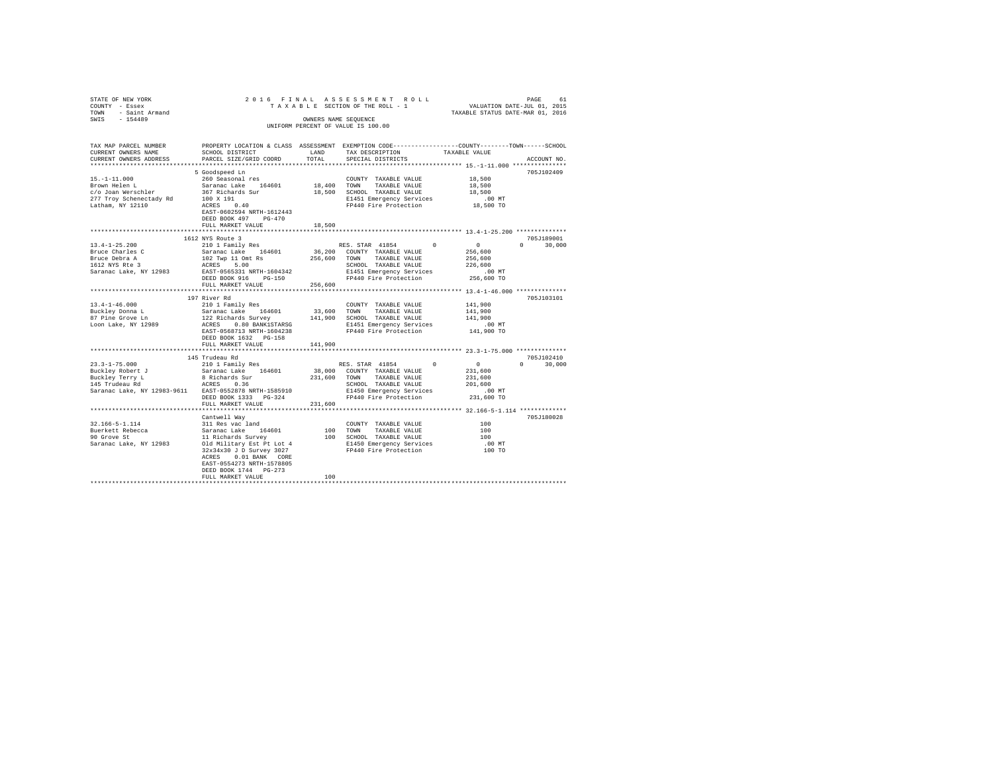| $\begin{array}{cccccccccccccccc} \texttt{STAR} & \texttt{OREN} & \texttt{OREN} & \texttt{ROL} & \texttt{ROL} & \texttt{ROL} & \texttt{ROL} & \texttt{ROL} & \texttt{ROL} \\ \texttt{CONTY} & - & \texttt{Esex} & \texttt{ROL} & \texttt{RIC} & \texttt{SIC} & \texttt{SIC} & \texttt{SIC} & \texttt{SIC} & \texttt{SIC} & \texttt{SIC} & \texttt{SIC} & \texttt{SIC} & \texttt{SIC} & \texttt{SIC} & \texttt{SIC} & \texttt{SIC} & \texttt{SIC}$ |                           |         |                                                                                                                                                                                                                                                                                                                                                                                                                                                                 |                                 |               |
|--------------------------------------------------------------------------------------------------------------------------------------------------------------------------------------------------------------------------------------------------------------------------------------------------------------------------------------------------------------------------------------------------------------------------------------------------|---------------------------|---------|-----------------------------------------------------------------------------------------------------------------------------------------------------------------------------------------------------------------------------------------------------------------------------------------------------------------------------------------------------------------------------------------------------------------------------------------------------------------|---------------------------------|---------------|
|                                                                                                                                                                                                                                                                                                                                                                                                                                                  |                           |         |                                                                                                                                                                                                                                                                                                                                                                                                                                                                 |                                 |               |
|                                                                                                                                                                                                                                                                                                                                                                                                                                                  |                           |         |                                                                                                                                                                                                                                                                                                                                                                                                                                                                 |                                 |               |
| TAX MAP PARCEL NUMBER PROPERTY LOCATION & CLASS ASSESSMENT EXEMPTION CODE---------------COUNTY-------TOWN------SCHOOL                                                                                                                                                                                                                                                                                                                            |                           |         |                                                                                                                                                                                                                                                                                                                                                                                                                                                                 |                                 |               |
| CURRENT OWNERS NAME                                                                                                                                                                                                                                                                                                                                                                                                                              | SCHOOL DISTRICT LAND      |         | TAX DESCRIPTION                                                                                                                                                                                                                                                                                                                                                                                                                                                 | TAXABLE VALUE                   |               |
| CURRENT OWNERS ADDRESS                                                                                                                                                                                                                                                                                                                                                                                                                           | PARCEL SIZE/GRID COORD    | TOTAL.  | SPECIAL DISTRICTS                                                                                                                                                                                                                                                                                                                                                                                                                                               |                                 | ACCOUNT NO.   |
|                                                                                                                                                                                                                                                                                                                                                                                                                                                  |                           |         |                                                                                                                                                                                                                                                                                                                                                                                                                                                                 |                                 |               |
|                                                                                                                                                                                                                                                                                                                                                                                                                                                  | 5 Goodspeed Ln            |         |                                                                                                                                                                                                                                                                                                                                                                                                                                                                 |                                 | 705J102409    |
| $15. - 1 - 11.000$                                                                                                                                                                                                                                                                                                                                                                                                                               | 260 Seasonal res          |         | COUNTY TAXABLE VALUE                                                                                                                                                                                                                                                                                                                                                                                                                                            | 18,500                          |               |
|                                                                                                                                                                                                                                                                                                                                                                                                                                                  |                           |         |                                                                                                                                                                                                                                                                                                                                                                                                                                                                 |                                 |               |
|                                                                                                                                                                                                                                                                                                                                                                                                                                                  |                           |         |                                                                                                                                                                                                                                                                                                                                                                                                                                                                 | 18,500<br>18,500                |               |
|                                                                                                                                                                                                                                                                                                                                                                                                                                                  |                           |         |                                                                                                                                                                                                                                                                                                                                                                                                                                                                 |                                 |               |
|                                                                                                                                                                                                                                                                                                                                                                                                                                                  |                           |         | FP440 Fire Protection                                                                                                                                                                                                                                                                                                                                                                                                                                           | 00 MT.<br>18,500 TO             |               |
|                                                                                                                                                                                                                                                                                                                                                                                                                                                  |                           |         |                                                                                                                                                                                                                                                                                                                                                                                                                                                                 |                                 |               |
|                                                                                                                                                                                                                                                                                                                                                                                                                                                  |                           |         |                                                                                                                                                                                                                                                                                                                                                                                                                                                                 |                                 |               |
|                                                                                                                                                                                                                                                                                                                                                                                                                                                  | FULL MARKET VALUE         | 18,500  |                                                                                                                                                                                                                                                                                                                                                                                                                                                                 |                                 |               |
|                                                                                                                                                                                                                                                                                                                                                                                                                                                  |                           |         |                                                                                                                                                                                                                                                                                                                                                                                                                                                                 |                                 |               |
|                                                                                                                                                                                                                                                                                                                                                                                                                                                  | 1612 NYS Route 3          |         |                                                                                                                                                                                                                                                                                                                                                                                                                                                                 |                                 | 705J189001    |
|                                                                                                                                                                                                                                                                                                                                                                                                                                                  |                           |         |                                                                                                                                                                                                                                                                                                                                                                                                                                                                 |                                 | $0 \t 30.000$ |
|                                                                                                                                                                                                                                                                                                                                                                                                                                                  |                           |         |                                                                                                                                                                                                                                                                                                                                                                                                                                                                 |                                 |               |
|                                                                                                                                                                                                                                                                                                                                                                                                                                                  |                           |         |                                                                                                                                                                                                                                                                                                                                                                                                                                                                 |                                 |               |
|                                                                                                                                                                                                                                                                                                                                                                                                                                                  |                           |         |                                                                                                                                                                                                                                                                                                                                                                                                                                                                 |                                 |               |
|                                                                                                                                                                                                                                                                                                                                                                                                                                                  |                           |         |                                                                                                                                                                                                                                                                                                                                                                                                                                                                 |                                 |               |
|                                                                                                                                                                                                                                                                                                                                                                                                                                                  |                           |         |                                                                                                                                                                                                                                                                                                                                                                                                                                                                 |                                 |               |
|                                                                                                                                                                                                                                                                                                                                                                                                                                                  |                           |         |                                                                                                                                                                                                                                                                                                                                                                                                                                                                 |                                 |               |
|                                                                                                                                                                                                                                                                                                                                                                                                                                                  | FULL MARKET VALUE 256,600 |         |                                                                                                                                                                                                                                                                                                                                                                                                                                                                 |                                 |               |
|                                                                                                                                                                                                                                                                                                                                                                                                                                                  |                           |         |                                                                                                                                                                                                                                                                                                                                                                                                                                                                 |                                 |               |
|                                                                                                                                                                                                                                                                                                                                                                                                                                                  | 197 River Rd              |         | 197 River MG<br>210 1 Family Res (2000)<br>210 1 Family Res (2010)<br>2210 1 Family Res (2010)<br>23,600 TOWN TAXABLE VALUE (2010)<br>22 Richards Survey 20141,900 SCHOOL TAXABLE VALUE (2010)<br>22 Richards Survey 201451 Emergency Serv                                                                                                                                                                                                                      |                                 | 705J103101    |
| $13.4 - 1 - 46.000$                                                                                                                                                                                                                                                                                                                                                                                                                              |                           |         |                                                                                                                                                                                                                                                                                                                                                                                                                                                                 |                                 |               |
| Buckley Donna L<br>87 Pine Grove Ln                                                                                                                                                                                                                                                                                                                                                                                                              |                           |         |                                                                                                                                                                                                                                                                                                                                                                                                                                                                 |                                 |               |
|                                                                                                                                                                                                                                                                                                                                                                                                                                                  |                           |         |                                                                                                                                                                                                                                                                                                                                                                                                                                                                 |                                 |               |
| Loon Lake, NY 12989                                                                                                                                                                                                                                                                                                                                                                                                                              |                           |         |                                                                                                                                                                                                                                                                                                                                                                                                                                                                 |                                 |               |
|                                                                                                                                                                                                                                                                                                                                                                                                                                                  |                           |         |                                                                                                                                                                                                                                                                                                                                                                                                                                                                 |                                 |               |
|                                                                                                                                                                                                                                                                                                                                                                                                                                                  |                           |         |                                                                                                                                                                                                                                                                                                                                                                                                                                                                 |                                 |               |
|                                                                                                                                                                                                                                                                                                                                                                                                                                                  | FULL MARKET VALUE         | 141,900 |                                                                                                                                                                                                                                                                                                                                                                                                                                                                 |                                 |               |
|                                                                                                                                                                                                                                                                                                                                                                                                                                                  |                           |         |                                                                                                                                                                                                                                                                                                                                                                                                                                                                 |                                 |               |
|                                                                                                                                                                                                                                                                                                                                                                                                                                                  | 145 Trudeau Rd            |         |                                                                                                                                                                                                                                                                                                                                                                                                                                                                 |                                 | 705J102410    |
|                                                                                                                                                                                                                                                                                                                                                                                                                                                  |                           |         | RES. STAR 41854 0 0<br>38,000 COUNTY TAXABLE VALUE 21,600<br>231.600 TOWN TAXABLE VALUE 221,600                                                                                                                                                                                                                                                                                                                                                                 |                                 | $0 \t 30.000$ |
|                                                                                                                                                                                                                                                                                                                                                                                                                                                  |                           |         |                                                                                                                                                                                                                                                                                                                                                                                                                                                                 |                                 |               |
|                                                                                                                                                                                                                                                                                                                                                                                                                                                  |                           |         |                                                                                                                                                                                                                                                                                                                                                                                                                                                                 | 231,600                         |               |
|                                                                                                                                                                                                                                                                                                                                                                                                                                                  |                           |         |                                                                                                                                                                                                                                                                                                                                                                                                                                                                 |                                 |               |
|                                                                                                                                                                                                                                                                                                                                                                                                                                                  |                           |         |                                                                                                                                                                                                                                                                                                                                                                                                                                                                 | 201,600<br>00 MT.<br>231,600 TO |               |
|                                                                                                                                                                                                                                                                                                                                                                                                                                                  |                           |         |                                                                                                                                                                                                                                                                                                                                                                                                                                                                 |                                 |               |
|                                                                                                                                                                                                                                                                                                                                                                                                                                                  | FULL MARKET VALUE         | 231,600 |                                                                                                                                                                                                                                                                                                                                                                                                                                                                 |                                 |               |
|                                                                                                                                                                                                                                                                                                                                                                                                                                                  |                           |         | ********************************** 32.166-5-1.114 **************                                                                                                                                                                                                                                                                                                                                                                                                |                                 |               |
|                                                                                                                                                                                                                                                                                                                                                                                                                                                  |                           |         |                                                                                                                                                                                                                                                                                                                                                                                                                                                                 |                                 | 705J180028    |
|                                                                                                                                                                                                                                                                                                                                                                                                                                                  |                           |         | $\begin{tabular}{lllllll} \multicolumn{2}{c}{\textbf{COUNTY}} & \textbf{TAXABLE VALUE} & & & & 100 \\ \multicolumn{2}{c}{\textbf{COUNTY}} & \textbf{TAXABLE VALUE} & & & & \multicolumn{2}{c}{\textbf{Cous-100}} \\ \multicolumn{2}{c}{\textbf{Cous-100}} & \multicolumn{2}{c}{\textbf{Cous-100}} & \multicolumn{2}{c}{\textbf{Cous-100}} & \multicolumn{2}{c}{\textbf{Cous-100}} \\ \multicolumn{2}{c}{\textbf{Cous-100}} & \multicolumn{2}{c}{\textbf{Cous-1$ |                                 |               |
|                                                                                                                                                                                                                                                                                                                                                                                                                                                  |                           |         |                                                                                                                                                                                                                                                                                                                                                                                                                                                                 | 100                             |               |
|                                                                                                                                                                                                                                                                                                                                                                                                                                                  |                           |         |                                                                                                                                                                                                                                                                                                                                                                                                                                                                 | 100                             |               |
| 32.166-5-1.114 Cantwell Way<br>32.166-5-1.114 311 Res vac land<br>32.166-5-1.114 32 Saranac Lake 164601 100 TOWN TAXABLE VALUE<br>90 Grove St<br>32.18484 32 Saranac Lake, NY 12983 310 Military Est Pt Lot 4 21450 Emergency Service                                                                                                                                                                                                            |                           |         |                                                                                                                                                                                                                                                                                                                                                                                                                                                                 | $.00$ MT                        |               |
|                                                                                                                                                                                                                                                                                                                                                                                                                                                  |                           |         |                                                                                                                                                                                                                                                                                                                                                                                                                                                                 | 100 TO                          |               |
|                                                                                                                                                                                                                                                                                                                                                                                                                                                  | ACRES 0.01 BANK CORE      |         |                                                                                                                                                                                                                                                                                                                                                                                                                                                                 |                                 |               |
|                                                                                                                                                                                                                                                                                                                                                                                                                                                  | EAST-0554273 NRTH-1578805 |         |                                                                                                                                                                                                                                                                                                                                                                                                                                                                 |                                 |               |
|                                                                                                                                                                                                                                                                                                                                                                                                                                                  | DEED BOOK 1744 PG-273     |         |                                                                                                                                                                                                                                                                                                                                                                                                                                                                 |                                 |               |
|                                                                                                                                                                                                                                                                                                                                                                                                                                                  | FULL MARKET VALUE         | 100     |                                                                                                                                                                                                                                                                                                                                                                                                                                                                 |                                 |               |
|                                                                                                                                                                                                                                                                                                                                                                                                                                                  |                           |         |                                                                                                                                                                                                                                                                                                                                                                                                                                                                 |                                 |               |
|                                                                                                                                                                                                                                                                                                                                                                                                                                                  |                           |         |                                                                                                                                                                                                                                                                                                                                                                                                                                                                 |                                 |               |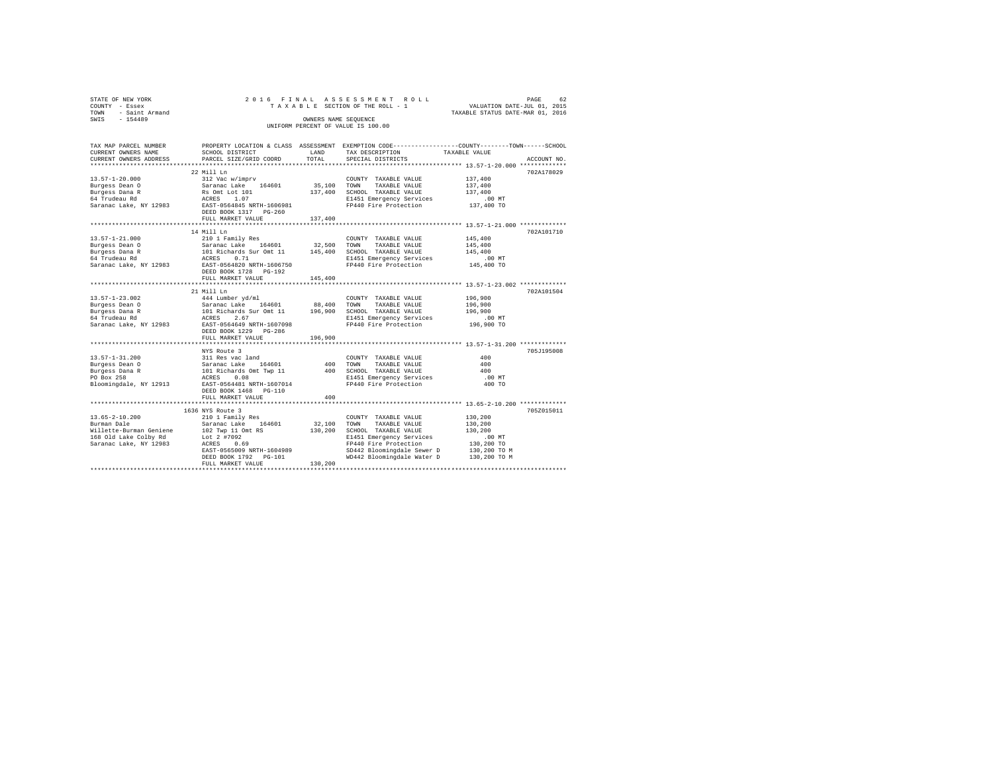| STATE OF NEW YORK   | 2016 FINAL ASSESSMENT ROLL         | PAGE                             | 62 |
|---------------------|------------------------------------|----------------------------------|----|
| COUNTY - Essex      | TAXABLE SECTION OF THE ROLL - 1    | VALUATION DATE-JUL 01, 2015      |    |
| TOWN - Saint Armand |                                    | TAXABLE STATUS DATE-MAR 01, 2016 |    |
| SWTS<br>$-154489$   | OWNERS NAME SEOUENCE               |                                  |    |
|                     | UNIFORM PERCENT OF VALUE IS 100.00 |                                  |    |
|                     |                                    |                                  |    |
|                     |                                    |                                  |    |

| TAX MAP PARCEL NUMBER<br>CURRENT OWNERS NAME<br>CURRENT OWNERS ADDRESS<br>**************************              | SCHOOL DISTRICT<br>PARCEL SIZE/GRID COORD                                                                                                                                                                           | LAND<br>TOTAL                | PROPERTY LOCATION & CLASS ASSESSMENT EXEMPTION CODE----------------COUNTY-------TOWN------SCHOOL<br>TAX DESCRIPTION TAXABLE VALUE<br>SPECIAL DISTRICTS                                 |                                                                                         | ACCOUNT NO. |
|-------------------------------------------------------------------------------------------------------------------|---------------------------------------------------------------------------------------------------------------------------------------------------------------------------------------------------------------------|------------------------------|----------------------------------------------------------------------------------------------------------------------------------------------------------------------------------------|-----------------------------------------------------------------------------------------|-------------|
| $13.57 - 1 - 20.000$<br>Burgess Dean 0<br>Burgess Dana R<br>64 Trudeau Rd<br>Saranac Lake, NY 12983               | 22 Mill Ln<br>312 Vac w/imprv<br>Saranac Lake<br>164601<br>Rs Omt Lot 101<br>ACRES<br>1.07<br>EAST-0564845 NRTH-1606981<br>DEED BOOK 1317 PG-260<br>FULL MARKET VALUE                                               | 35,100<br>137,400<br>137,400 | COUNTY TAXABLE VALUE<br>TOWN<br>TAXABLE VALUE<br>SCHOOL TAXABLE VALUE<br>E1451 Emergency Services<br>FP440 Fire Protection                                                             | 137,400<br>137,400<br>137,400<br>$.00$ MT<br>137,400 TO                                 | 702A178029  |
| $13.57 - 1 - 21.000$<br>Burgess Dean 0<br>Burgess Dana R<br>64 Trudeau Rd<br>Saranac Lake, NY 12983               | 14 Mill Ln<br>210 1 Family Res<br>Saranac Lake 164601<br>101 Richards Sur Omt 11 145,400<br>ACRES<br>0.71<br>EAST-0564820 NRTH-1606750<br>DEED BOOK 1728 PG-192<br>FULL MARKET VALUE                                | 32,500<br>145,400            | COUNTY TAXABLE VALUE<br>TOWN<br>TAXABLE VALUE<br>SCHOOL TAXABLE VALUE<br>E1451 Emergency Services<br>FP440 Fire Protection                                                             | 145,400<br>145,400<br>145,400<br>$.00$ MT<br>145,400 TO                                 | 702A101710  |
| $13.57 - 1 - 23.002$<br>Burgess Dean 0<br>Burgess Dana R<br>64 Trudeau Rd<br>Saranac Lake, NY 12983               | *************************<br>21 Mill Ln<br>444 Lumber yd/ml<br>Saranac Lake 164601<br>101 Richards Sur Omt 11<br>164601<br>2.67<br>ACRES<br>EAST-0564649 NRTH-1607098<br>DEED BOOK 1229 PG-286<br>FULL MARKET VALUE | 88,400<br>196,900<br>196,900 | COUNTY TAXABLE VALUE<br>TAXABLE VALUE<br>TOWN<br>SCHOOL TAXABLE VALUE<br>E1451 Emergency Services<br>FP440 Fire Protection                                                             | 196,900<br>196,900<br>196,900<br>$.00$ MT<br>196,900 TO                                 | 702A101504  |
| $13.57 - 1 - 31.200$<br>Burgess Dean 0<br>Burgess Dana R<br>PO Box 258<br>Bloomingdale, NY 12913                  | NYS Route 3<br>311 Res vac land<br>164601<br>Saranac Lake<br>101 Richards Omt Twp 11<br>0.08<br>ACRES<br>EAST-0564481 NRTH-1607014<br>DEED BOOK 1468 PG-110<br>FULL MARKET VALUE                                    | 400<br>400<br>400            | COUNTY TAXABLE VALUE<br>TOWN<br>TAXABLE VALUE<br>SCHOOL TAXABLE VALUE<br>E1451 Emergency Services<br>FP440 Fire Protection                                                             | 400<br>400<br>400<br>.00 MT<br>400 TO                                                   | 705J195008  |
| $13.65 - 2 - 10.200$<br>Burman Dale<br>Willette-Burman Geniene<br>168 Old Lake Colby Rd<br>Saranac Lake, NY 12983 | 1636 NYS Route 3<br>210 1 Family Res<br>Saranac Lake 164601<br>102 Twp 11 Omt RS<br>Lot 2 #7092<br>ACRES<br>0.69<br>EAST-0565009 NRTH-1604989<br>DEED BOOK 1792 PG-101<br>FULL MARKET VALUE                         | 32,100<br>130,200<br>130,200 | COUNTY TAXABLE VALUE<br>TOWN<br>TAXABLE VALUE<br>SCHOOL TAXABLE VALUE<br>E1451 Emergency Services<br>FP440 Fire Protection<br>SD442 Bloomingdale Sewer D<br>WD442 Bloomingdale Water D | 130,200<br>130,200<br>130,200<br>$.00$ MT<br>130,200 TO<br>130,200 TO M<br>130,200 TO M | 705Z015011  |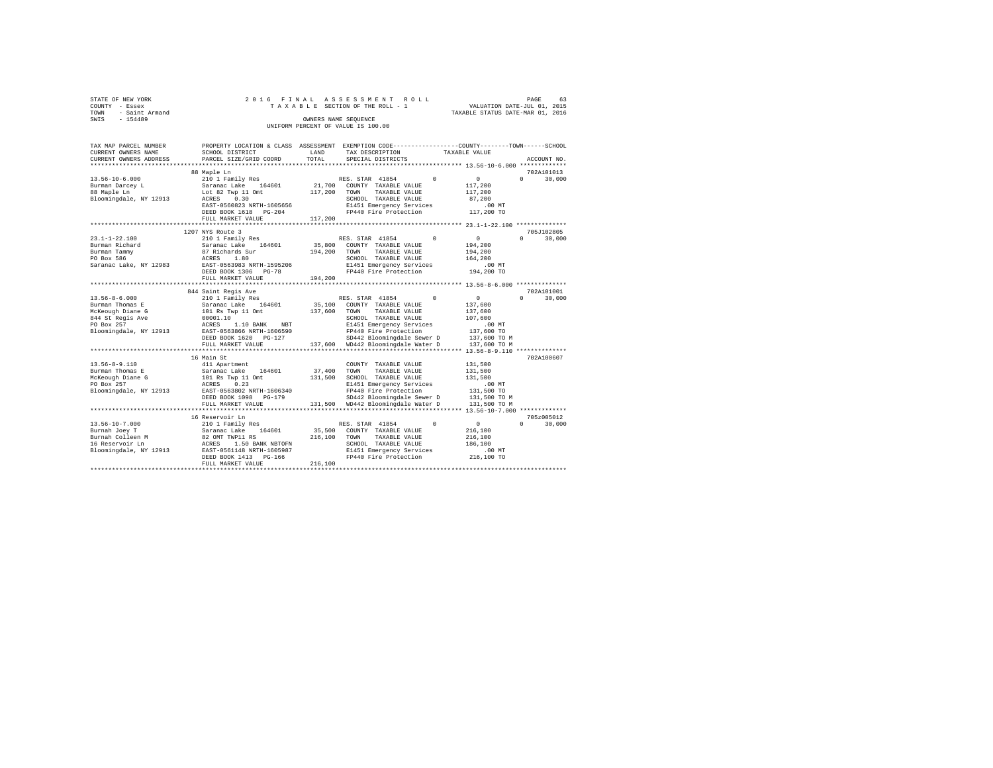|      | STATE OF NEW YORK | 2016 FINAL ASSESSMENT ROLL |  |  |  |                                    |  |  |  |  |  |  |                                  |                             |  | PAGE | 63 |
|------|-------------------|----------------------------|--|--|--|------------------------------------|--|--|--|--|--|--|----------------------------------|-----------------------------|--|------|----|
|      | COUNTY - Essex    |                            |  |  |  | TAXABLE SECTION OF THE ROLL - 1    |  |  |  |  |  |  |                                  | VALUATION DATE-JUL 01, 2015 |  |      |    |
| TOWN | - Saint Armand    |                            |  |  |  |                                    |  |  |  |  |  |  | TAXABLE STATUS DATE-MAR 01, 2016 |                             |  |      |    |
| SWIS | $-154489$         |                            |  |  |  | OWNERS NAME SEOUENCE               |  |  |  |  |  |  |                                  |                             |  |      |    |
|      |                   |                            |  |  |  | UNIFORM PERCENT OF VALUE IS 100.00 |  |  |  |  |  |  |                                  |                             |  |      |    |

| TAX MAP PARCEL NUMBER<br>CURRENT OWNERS NAME                                                                                     | PROPERTY LOCATION & CLASS ASSESSMENT EXEMPTION CODE----------------COUNTY-------TOWN------SCHOOL<br>SCHOOL DISTRICT                                                          | LAND                         | TAX DESCRIPTION                                                                                                                                                                                             | TAXABLE VALUE                                                                                     |                                  |
|----------------------------------------------------------------------------------------------------------------------------------|------------------------------------------------------------------------------------------------------------------------------------------------------------------------------|------------------------------|-------------------------------------------------------------------------------------------------------------------------------------------------------------------------------------------------------------|---------------------------------------------------------------------------------------------------|----------------------------------|
| CURRENT OWNERS ADDRESS<br>*************************                                                                              | PARCEL SIZE/GRID COORD                                                                                                                                                       | TOTAL                        | SPECIAL DISTRICTS                                                                                                                                                                                           |                                                                                                   | ACCOUNT NO.                      |
|                                                                                                                                  | 88 Maple Ln                                                                                                                                                                  |                              |                                                                                                                                                                                                             |                                                                                                   | 702A101013                       |
| $13.56 - 10 - 6.000$<br>Burman Darcey L<br>88 Maple Ln<br>Bloomingdale, NY 12913                                                 | 210 1 Family Res<br>Saranac Lake 164601<br>Lot 82 Twp 11 Omt<br>ACRES 0.30<br>EAST-0560823 NRTH-1605656<br>DEED BOOK 1618 PG-204<br>FULL MARKET VALUE                        | 117,200<br>117,200           | RES. STAR 41854<br>21,700 COUNTY TAXABLE VALUE<br>TAXABLE VALUE<br>TOWN<br>SCHOOL TAXABLE VALUE<br>E1451 Emergency Services<br>FP440 Fire Protection                                                        | 0<br>$\Omega$<br>117,200<br>117,200<br>87,200<br>$.00$ MT<br>117,200 TO                           | $\Omega$<br>30,000               |
|                                                                                                                                  |                                                                                                                                                                              |                              |                                                                                                                                                                                                             |                                                                                                   |                                  |
| $23.1 - 1 - 22.100$<br>Burman Richard<br>Burman Tammy<br>PO Box 586<br>Saranac Lake, NY 12983                                    | 1207 NYS Route 3<br>210 1 Family Res<br>Saranac Lake<br>164601<br>87 Richards Sur<br>1.80<br>ACRES<br>EAST-0563983 NRTH-1595206<br>DEED BOOK 1306 PG-78<br>FULL MARKET VALUE | 35,800<br>194,200<br>194,200 | RES. STAR 41854<br>COUNTY TAXABLE VALUE<br>TAXABLE VALUE<br>TOWN<br>SCHOOL TAXABLE VALUE<br>E1451 Emergency Services<br>FP440 Fire Protection                                                               | $\circ$<br>$^{\circ}$<br>194,200<br>194,200<br>164,200<br>.00 MT<br>194,200 TO                    | 705J102805<br>$\Omega$<br>30,000 |
|                                                                                                                                  | 844 Saint Regis Ave                                                                                                                                                          |                              |                                                                                                                                                                                                             |                                                                                                   | 702A101001                       |
| $13.56 - 8 - 6.000$<br>Burman Thomas E<br>McKeough Diane G<br>844 St Regis Ave<br>PO Box 257<br>Bloomingdale, NY 12913           | 210 1 Family Res<br>Saranac Lake 164601<br>101 Rs Twp 11 Omt<br>00001.10<br>1.10 BANK<br>ACRES<br><b>NBT</b><br>EAST-0563866 NRTH-1606590<br>DEED BOOK 1620 PG-127           | 35,100<br>137,600            | RES. STAR 41854<br>COUNTY TAXABLE VALUE<br>TAXABLE VALUE<br>TOWN<br>SCHOOL TAXABLE VALUE<br>E1451 Emergency Services<br>FP440 Fire Protection<br>SD442 Bloomingdale Sewer D                                 | $^{\circ}$<br>$\Omega$<br>137,600<br>137,600<br>107,600<br>$.00$ MT<br>137,600 TO<br>137,600 TO M | $\cap$<br>30,000                 |
|                                                                                                                                  | FULL MARKET VALUE                                                                                                                                                            |                              | 137,600 WD442 Bloomingdale Water D                                                                                                                                                                          | 137,600 TO M                                                                                      |                                  |
| $13.56 - 8 - 9.110$<br>Burman Thomas E<br>McKeough Diane G<br>PO Box 257<br>Bloomingdale, NY 12913                               | 16 Main St<br>411 Apartment<br>Saranac Lake 164601<br>101 Rs Twp 11 Omt<br>ACRES 0.23<br>EAST-0563802 NRTH-1606340<br>DEED BOOK 1098 PG-179<br>FULL MARKET VALUE             | 37,400<br>131,500            | COUNTY TAXABLE VALUE<br>TOWN<br>TAXABLE VALUE<br>SCHOOL TAXABLE VALUE<br>E1451 Emergency Services<br>FP440 Fire Protection<br>SD442 Bloomingdale Sewer D 131,500 TO M<br>131,500 WD442 Bloomingdale Water D | 131,500<br>131,500<br>131,500<br>.00 MT<br>131,500 TO<br>131,500 TO M                             | 702A100607                       |
|                                                                                                                                  |                                                                                                                                                                              |                              |                                                                                                                                                                                                             |                                                                                                   |                                  |
| $13.56 - 10 - 7.000$<br>Burnah Joey T<br>Burnah Colleen M<br>16 Reservoir Ln<br>Bloomingdale, NY 12913 EAST-0561148 NRTH-1605987 | 16 Reservoir Ln<br>210 1 Family Res<br>Saranac Lake<br>164601<br>82 OMT TWP11 RS<br>ACRES    1.50 BANK NBTOFN<br>DEED BOOK 1413 PG-166<br>FULL MARKET VALUE                  | 216,100<br>216,100           | RES. STAR 41854<br>35,500 COUNTY TAXABLE VALUE<br>TOWN<br>TAXABLE VALUE<br>SCHOOL TAXABLE VALUE<br>E1451 Emergency Services<br>FP440 Fire Protection                                                        | $^{\circ}$<br>0<br>216,100<br>216,100<br>186,100<br>$.00$ MT<br>216,100 TO                        | 705z005012<br>30,000<br>$\Omega$ |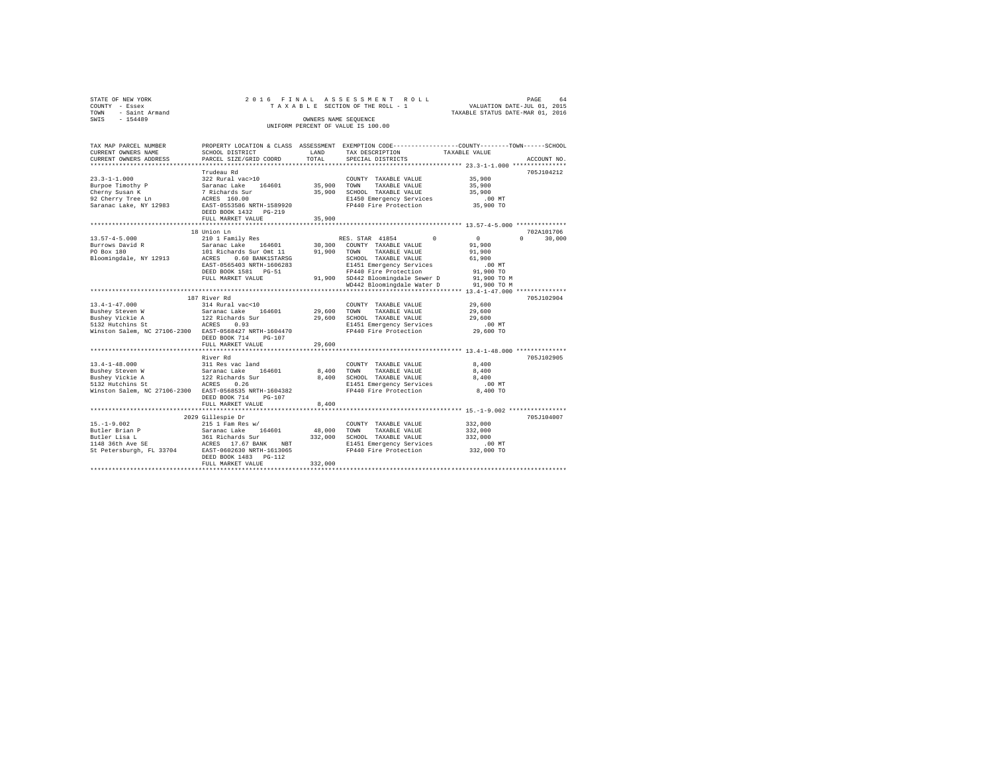|                | STATE OF NEW YORK   |  |  |  |  | 2016 FINAL ASSESSMENT ROLL         |  |  |  |  |                                  |                             | PAGE | 64 |
|----------------|---------------------|--|--|--|--|------------------------------------|--|--|--|--|----------------------------------|-----------------------------|------|----|
| COUNTY - Essex |                     |  |  |  |  | TAXABLE SECTION OF THE ROLL - 1    |  |  |  |  |                                  | VALUATION DATE-JUL 01, 2015 |      |    |
|                | TOWN - Saint Armand |  |  |  |  |                                    |  |  |  |  | TAXABLE STATUS DATE-MAR 01, 2016 |                             |      |    |
| SWIS           | $-154489$           |  |  |  |  | OWNERS NAME SEOUENCE               |  |  |  |  |                                  |                             |      |    |
|                |                     |  |  |  |  | UNIFORM PERCENT OF VALUE IS 100.00 |  |  |  |  |                                  |                             |      |    |

| TAX MAP PARCEL NUMBER<br>CURRENT OWNERS NAME           | SCHOOL DISTRICT                                                           | LAND         | PROPERTY LOCATION & CLASS ASSESSMENT EXEMPTION CODE----------------COUNTY-------TOWN------SCHOOL<br>TAX DESCRIPTION | TAXABLE VALUE                |
|--------------------------------------------------------|---------------------------------------------------------------------------|--------------|---------------------------------------------------------------------------------------------------------------------|------------------------------|
| CURRENT OWNERS ADDRESS                                 | PARCEL SIZE/GRID COORD                                                    | TOTAL        | SPECIAL DISTRICTS                                                                                                   | ACCOUNT NO.                  |
|                                                        |                                                                           |              |                                                                                                                     |                              |
|                                                        | Trudeau Rd                                                                |              |                                                                                                                     | 705J104212                   |
| $23.3 - 1 - 1.000$                                     | 322 Rural vac>10                                                          |              | COUNTY TAXABLE VALUE                                                                                                | 35,900                       |
| Burpoe Timothy P<br>Cherny Susan K                     | Saranac Lake 164601                                                       | 35,900 TOWN  | TAXABLE VALUE                                                                                                       | 35,900                       |
|                                                        | 7 Richards Sur<br>ACRES 160.00                                            |              | 35,900 SCHOOL TAXABLE VALUE                                                                                         | 35,900                       |
| 92 Cherry Tree Ln                                      | EAST-0553586 NRTH-1589920                                                 |              | E1450 Emergency Services                                                                                            | .00 MT                       |
| Saranac Lake, NY 12983                                 |                                                                           |              | FP440 Fire Protection                                                                                               | 35,900 TO                    |
|                                                        | DEED BOOK 1432 PG-219<br>FULL MARKET VALUE                                | 35,900       |                                                                                                                     |                              |
|                                                        |                                                                           |              |                                                                                                                     |                              |
|                                                        | 18 Union Ln                                                               |              |                                                                                                                     | 702A101706                   |
| $13.57 - 4 - 5.000$                                    | 210 1 Family Res                                                          |              | $\Omega$<br>RES. STAR 41854                                                                                         | $\Omega$<br>30,000<br>$\cap$ |
| Burrows David R                                        | Saranac Lake 164601                                                       | 30,300       | COUNTY TAXABLE VALUE                                                                                                | 91,900                       |
| PO Box 180                                             | 101 Richards Sur Omt 11                                                   | 91,900       | TAXABLE VALUE<br>TOWN                                                                                               | 91,900                       |
| ACRES<br>Bloomingdale, NY 12913                        | 0.60 BANK1STARSG                                                          |              | SCHOOL TAXABLE VALUE                                                                                                | 61,900                       |
|                                                        | EAST-0565403 NRTH-1606283                                                 |              | E1451 Emergency Services                                                                                            | $.00$ MT                     |
|                                                        | DEED BOOK 1581 PG-51                                                      |              | FP440 Fire Protection                                                                                               | 91,900 TO                    |
|                                                        | FULL MARKET VALUE                                                         |              | 91,900 SD442 Bloomingdale Sewer D                                                                                   | 91,900 TO M                  |
|                                                        |                                                                           |              | WD442 Bloomingdale Water D                                                                                          | 91,900 TO M                  |
|                                                        |                                                                           |              |                                                                                                                     |                              |
|                                                        | 187 River Rd                                                              |              |                                                                                                                     | 705J102904                   |
| $13.4 - 1 - 47.000$                                    | 314 Rural vac<10                                                          |              | COUNTY TAXABLE VALUE                                                                                                | 29,600                       |
| Bushey Steven W                                        | Saranac Lake 164601                                                       | 29,600       | TOWN<br>TAXABLE VALUE                                                                                               | 29,600                       |
| Bushey Vickie A                                        | 122 Richards Sur                                                          | 29,600       | SCHOOL TAXABLE VALUE                                                                                                | 29,600                       |
| 5132 Hutchins St                                       | ACRES<br>0.93                                                             |              | E1451 Emergency Services                                                                                            | $.00$ MT                     |
| Winston Salem, NC 27106-2300 EAST-0568427 NRTH-1604470 |                                                                           |              | FP440 Fire Protection                                                                                               | 29,600 TO                    |
|                                                        | DEED BOOK 714<br>$PG-107$                                                 |              |                                                                                                                     |                              |
|                                                        | FULL MARKET VALUE                                                         | 29,600       |                                                                                                                     |                              |
|                                                        | ****************************                                              | ************ |                                                                                                                     |                              |
|                                                        | River Rd                                                                  |              |                                                                                                                     | 705J102905                   |
| $13.4 - 1 - 48.000$                                    |                                                                           |              | COUNTY TAXABLE VALUE                                                                                                | 8,400                        |
| Bushey Steven W                                        | 311 Res vac land<br>Saranac Lake 164601<br>122 Richards Sur<br>ACRES 0.26 | 8,400        | TOWN<br>TAXABLE VALUE                                                                                               | 8,400                        |
| Bushey Vickie A                                        |                                                                           |              | 8,400 SCHOOL TAXABLE VALUE                                                                                          | 8,400                        |
| 5132 Hutchins St                                       |                                                                           |              | E1451 Emergency Services                                                                                            | $.00$ MT                     |
| Winston Salem, NC 27106-2300 EAST-0568535 NRTH-1604382 |                                                                           |              | FP440 Fire Protection                                                                                               | 8,400 TO                     |
|                                                        | DEED BOOK 714<br>PG-107                                                   |              |                                                                                                                     |                              |
|                                                        | FULL MARKET VALUE                                                         | 8,400        |                                                                                                                     |                              |
|                                                        |                                                                           |              |                                                                                                                     | 705J104007                   |
| $15. - 1 - 9.002$                                      | 2029 Gillespie Dr                                                         |              |                                                                                                                     | 332,000                      |
|                                                        | $215$ 1 Fam Res $w/$                                                      | 48,000       | COUNTY TAXABLE VALUE<br>TAXABLE VALUE<br>TOWN                                                                       | 332,000                      |
|                                                        |                                                                           | 332,000      | SCHOOL TAXABLE VALUE                                                                                                | 332,000                      |
|                                                        |                                                                           |              | E1451 Emergency Services                                                                                            | $.00$ MT                     |
|                                                        |                                                                           |              | FP440 Fire Protection                                                                                               | 332,000 TO                   |
|                                                        | DEED BOOK 1483 PG-112                                                     |              |                                                                                                                     |                              |
|                                                        | FULL MARKET VALUE                                                         | 332,000      |                                                                                                                     |                              |
|                                                        |                                                                           |              |                                                                                                                     |                              |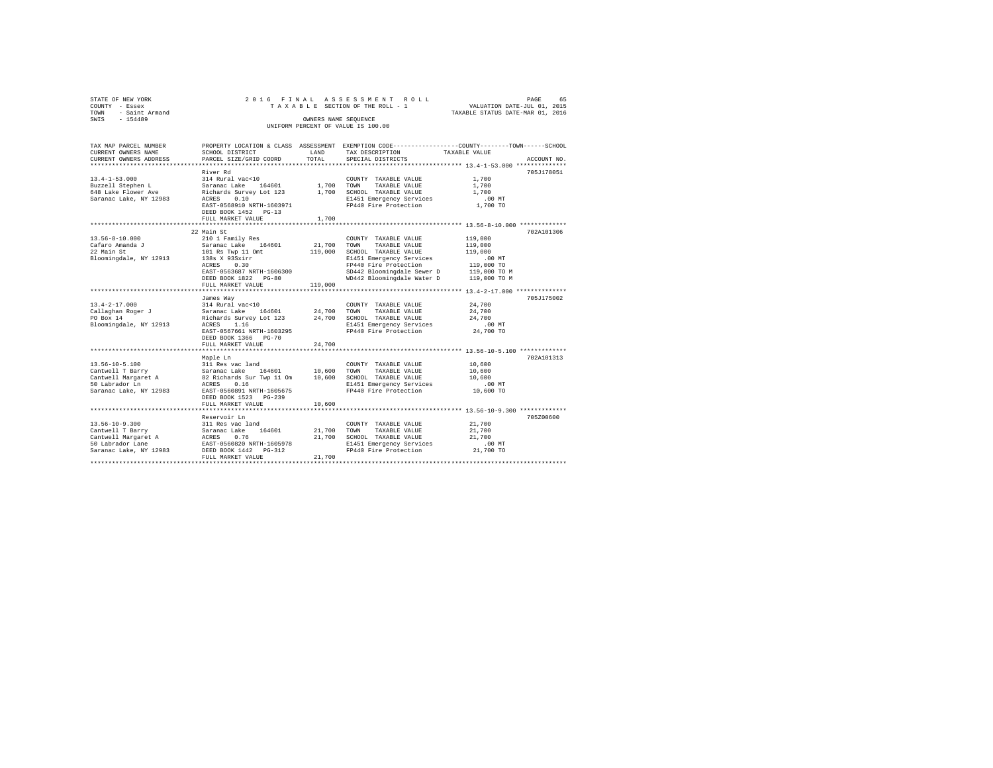| STATE OF NEW YORK                            |                                                                     |                      | 2016 FINAL ASSESSMENT ROLL                                                                     |                                                                 | PAGE<br>65  |
|----------------------------------------------|---------------------------------------------------------------------|----------------------|------------------------------------------------------------------------------------------------|-----------------------------------------------------------------|-------------|
| COUNTY - Essex                               |                                                                     |                      | TAXABLE SECTION OF THE ROLL - 1                                                                | VALUATION DATE-JUL 01, 2015<br>TAXABLE STATUS DATE-MAR 01, 2016 |             |
| TOWN - Saint Armand                          |                                                                     |                      |                                                                                                |                                                                 |             |
| SWIS - 154489                                |                                                                     | OWNERS NAME SEQUENCE |                                                                                                |                                                                 |             |
|                                              |                                                                     |                      | UNIFORM PERCENT OF VALUE IS 100.00                                                             |                                                                 |             |
|                                              |                                                                     |                      |                                                                                                |                                                                 |             |
|                                              |                                                                     |                      |                                                                                                |                                                                 |             |
| TAX MAP PARCEL NUMBER<br>CURRENT OWNERS NAME |                                                                     | LAND                 | PROPERTY LOCATION & CLASS ASSESSMENT EXEMPTION CODE---------------COUNTY-------TOWN-----SCHOOL |                                                                 |             |
| CURRENT OWNERS ADDRESS                       | SCHOOL DISTRICT                                                     | TOTAL                | TAX DESCRIPTION TAXABLE VALUE                                                                  |                                                                 | ACCOUNT NO. |
|                                              | PARCEL SIZE/GRID COORD                                              |                      | SPECIAL DISTRICTS                                                                              |                                                                 |             |
|                                              | River Rd                                                            |                      |                                                                                                |                                                                 | 705J178051  |
| $13.4 - 1 - 53.000$                          | 314 Rural vac<10                                                    |                      |                                                                                                |                                                                 |             |
| Buzzell Stephen L                            | Saranac Lake 164601                                                 | 1,700 TOWN           | COUNTY TAXABLE VALUE<br>TAXABLE VALUE                                                          | 1,700<br>1,700                                                  |             |
| 648 Lake Flower Ave                          | Richards Survey Lot 123 1,700 SCHOOL TAXABLE VALUE                  |                      |                                                                                                | 1,700                                                           |             |
| Saranac Lake, NY 12983                       |                                                                     |                      |                                                                                                | $.00$ MT                                                        |             |
|                                              |                                                                     |                      | ACRES 0.10<br>EAST-0568910 NRTH-1603971 FP440 Fire Protection                                  | 1,700 TO                                                        |             |
|                                              | DEED BOOK 1452 PG-13                                                |                      |                                                                                                |                                                                 |             |
|                                              | FULL MARKET VALUE                                                   | 1,700                |                                                                                                |                                                                 |             |
|                                              |                                                                     |                      |                                                                                                |                                                                 |             |
|                                              | 22 Main St                                                          |                      |                                                                                                |                                                                 | 702A101306  |
| $13.56 - 8 - 10.000$                         | 210 1 Family Res                                                    |                      | COUNTY TAXABLE VALUE                                                                           | 119,000                                                         |             |
|                                              | Saranac Lake 164601                                                 | 21,700               | TOWN<br>TAXABLE VALUE                                                                          | 119,000                                                         |             |
| Cafaro Amanda J<br>22 Main St<br>22 Main St  | 101 Rs Twp 11 Omt                                                   | 119,000              | SCHOOL TAXABLE VALUE                                                                           | 119,000                                                         |             |
| Bloomingdale, NY 12913                       | 138s X 93Sxirr                                                      |                      | E1451 Emergency Services                                                                       | .00 MT                                                          |             |
|                                              | ACRES 0.30                                                          |                      | FP440 Fire Protection                                                                          | 119,000 TO                                                      |             |
|                                              | EAST-0563687 NRTH-1606300                                           |                      |                                                                                                |                                                                 |             |
|                                              | DEED BOOK 1822 PG-80                                                |                      |                                                                                                |                                                                 |             |
|                                              | FULL MARKET VALUE                                                   | 119,000              |                                                                                                |                                                                 |             |
|                                              |                                                                     |                      |                                                                                                |                                                                 |             |
|                                              | James Way                                                           |                      |                                                                                                |                                                                 | 705J175002  |
| $13.4 - 2 - 17.000$                          | 314 Rural vac<10                                                    |                      | COUNTY TAXABLE VALUE                                                                           |                                                                 |             |
| Callaghan Roger J                            | $314 \text{ Rular}$ valve $164601$ 24,700                           |                      | TOWN<br>TAXABLE VALUE                                                                          | 24,700<br>24,700                                                |             |
| PO Box 14                                    |                                                                     |                      | Richards Survey Lot 123 24,700 SCHOOL TAXABLE VALUE                                            | 24,700                                                          |             |
| Bloomingdale, NY 12913                       | ACRES 1.16                                                          |                      | E1451 Emergency Services                                                                       | $.00$ MT                                                        |             |
|                                              | EAST-0567661 NRTH-1603295                                           |                      | FP440 Fire Protection 24,700 TO                                                                |                                                                 |             |
|                                              | DEED BOOK 1366 PG-70                                                |                      |                                                                                                |                                                                 |             |
|                                              | FULL MARKET VALUE                                                   | 24,700               |                                                                                                |                                                                 |             |
|                                              |                                                                     |                      |                                                                                                |                                                                 |             |
|                                              | Maple Ln                                                            |                      |                                                                                                |                                                                 | 702A101313  |
| $13.56 - 10 - 5.100$                         |                                                                     |                      | COUNTY TAXABLE VALUE                                                                           | 10,600                                                          |             |
| Cantwell T Barry                             | 311 Res vac $\frac{1}{164601}$ 10,600<br>Saranac Lake 164601 10,600 |                      | TOWN<br>TAXABLE VALUE                                                                          | 10,600                                                          |             |
|                                              | Cantwell Margaret A 82 Richards Sur Twp 11 Om 10,600                |                      | SCHOOL TAXABLE VALUE                                                                           | 10,600                                                          |             |
| 50 Labrador Ln                               | ACRES 0.16                                                          |                      |                                                                                                | $.00$ MT                                                        |             |
| Saranac Lake, NY 12983                       | EAST-0560891 NRTH-1605675                                           |                      | E1451 Emergency Services<br>FP440 Fire Protection                                              | 10,600 TO                                                       |             |
|                                              | DEED BOOK 1523 PG-239                                               |                      |                                                                                                |                                                                 |             |
|                                              | FULL MARKET VALUE                                                   | 10,600               |                                                                                                |                                                                 |             |
|                                              |                                                                     |                      |                                                                                                |                                                                 |             |

Reservoir Ln 705Z00600 13.56-10-9.300 311 Res vac land COUNTY TAXABLE VALUE 21,700 Cantwell T Barry Saranac Lake 164601 21,700 TOWN TAXABLE VALUE 21,700 Cantwell Margaret A ACRES 0.76 21,700 SCHOOL TAXABLE VALUE 21,700 50 Labrador Lane EAST-0560820 NRTH-1605978 E1451 Emergency Services .00 MT Saranac Lake, NY 12983 DEED BOOK 1442 PG-312 FP440 Fire Protection 21,700 TO FULL MARKET VALUE 21,700 \*\*\*\*\*\*\*\*\*\*\*\*\*\*\*\*\*\*\*\*\*\*\*\*\*\*\*\*\*\*\*\*\*\*\*\*\*\*\*\*\*\*\*\*\*\*\*\*\*\*\*\*\*\*\*\*\*\*\*\*\*\*\*\*\*\*\*\*\*\*\*\*\*\*\*\*\*\*\*\*\*\*\*\*\*\*\*\*\*\*\*\*\*\*\*\*\*\*\*\*\*\*\*\*\*\*\*\*\*\*\*\*\*\*\*\*\*\*\*\*\*\*\*\*\*\*\*\*\*\*\*\*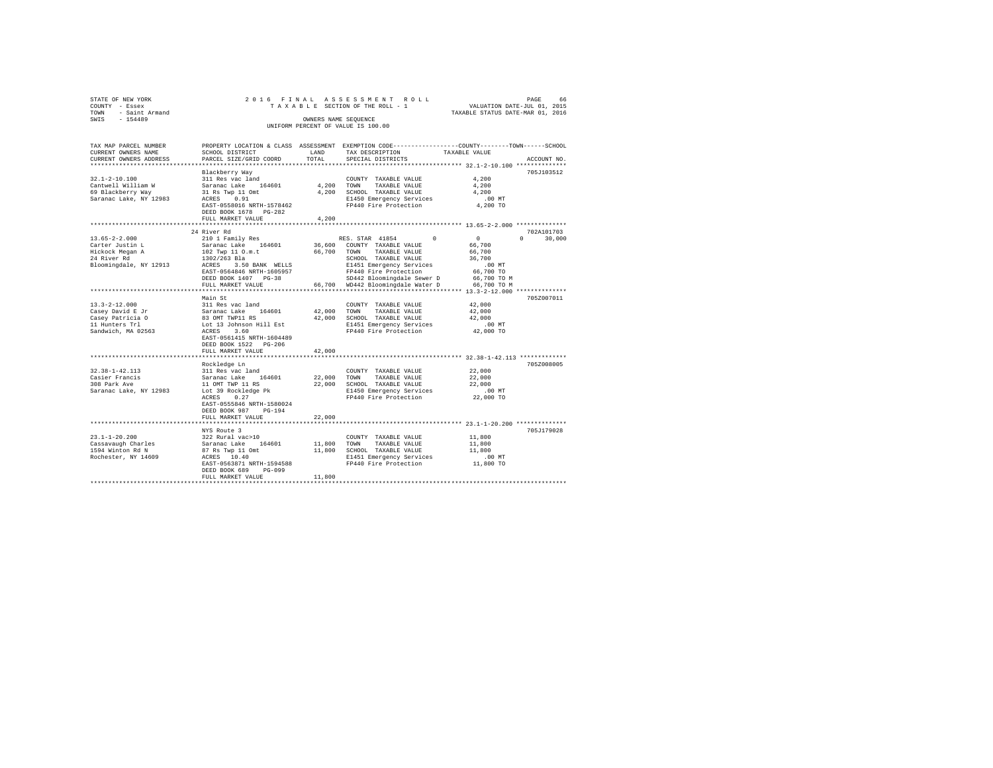| STATE OF NEW YORK                    |                                                 |             | 2016 FINAL ASSESSMENT ROLL                                                                     | 66 PAGE<br>VALUATION DATE-JUL 01, 2015 |               |
|--------------------------------------|-------------------------------------------------|-------------|------------------------------------------------------------------------------------------------|----------------------------------------|---------------|
| COUNTY - Essex                       |                                                 |             | TAXABLE SECTION OF THE ROLL - 1                                                                |                                        |               |
| TOWN - Saint Armand                  |                                                 |             |                                                                                                | TAXABLE STATUS DATE-MAR 01, 2016       |               |
| SWIS - 154489                        |                                                 |             | OWNERS NAME SEQUENCE                                                                           |                                        |               |
|                                      |                                                 |             | UNIFORM PERCENT OF VALUE IS 100.00                                                             |                                        |               |
|                                      |                                                 |             |                                                                                                |                                        |               |
|                                      |                                                 |             |                                                                                                |                                        |               |
| TAX MAP PARCEL NUMBER                |                                                 |             | PROPERTY LOCATION & CLASS ASSESSMENT EXEMPTION CODE---------------COUNTY-------TOWN-----SCHOOL |                                        |               |
| CURRENT OWNERS NAME                  | SCHOOL DISTRICT                                 | LAND        | TAX DESCRIPTION                                                                                | TAXABLE VALUE                          |               |
| CURRENT OWNERS ADDRESS               | PARCEL SIZE/GRID COORD                          | TOTAL       | SPECIAL DISTRICTS                                                                              |                                        | ACCOUNT NO.   |
|                                      |                                                 |             |                                                                                                |                                        |               |
|                                      | Blackberry Way                                  |             |                                                                                                |                                        | 705J103512    |
| $32.1 - 2 - 10.100$                  |                                                 |             |                                                                                                |                                        |               |
|                                      | 311 Res vac land                                |             | COUNTY TAXABLE VALUE                                                                           | 4.200                                  |               |
| Cantwell William W                   | Saranac Lake 164601                             | 4,200 TOWN  | TAXABLE VALUE                                                                                  | 4,200                                  |               |
| 69 Blackberry Way                    | 31 Rs Twp 11 Omt<br>ACRES 0.91                  |             | 4,200 SCHOOL TAXABLE VALUE                                                                     | 4.200                                  |               |
| Saranac Lake, NY 12983               |                                                 |             | E1450 Emergency Services                                                                       | $.00$ MT                               |               |
|                                      | EAST-0558016 NRTH-1578462                       |             | FP440 Fire Protection                                                                          | 4,200 TO                               |               |
|                                      | DEED BOOK 1678 PG-282                           |             |                                                                                                |                                        |               |
|                                      | FULL MARKET VALUE                               | 4.200       |                                                                                                |                                        |               |
|                                      |                                                 |             |                                                                                                |                                        |               |
|                                      | 24 River Rd                                     |             |                                                                                                |                                        | 702A101703    |
| $13.65 - 2 - 2.000$                  | 210 1 Family Res                                |             | RES. STAR 41854<br>$\Omega$                                                                    | $\sim$ 0                               | $0 \t 30,000$ |
| Carter Justin L                      | Saranac Lake 164601 36,600 COUNTY TAXABLE VALUE |             |                                                                                                | 66,700                                 |               |
| Hickock Megan A                      | 102 Twp 11 O.m.t                                |             | 66,700 TOWN TAXABLE VALUE                                                                      | 66,700                                 |               |
|                                      | 1302/263 Bla                                    |             | SCHOOL TAXABLE VALUE                                                                           | 36,700                                 |               |
| Bloomingdale, NY 12913               | ACRES 3.50 BANK WELLS                           |             |                                                                                                | $.00$ MT                               |               |
|                                      | EAST-0564846 NRTH-1605957                       |             | E1451 Emergency Services<br>FP440 Fire Protection                                              | 66,700 TO                              |               |
|                                      | DEED BOOK 1407 PG-38                            |             | SD442 Bloomingdale Sewer D                                                                     | 66,700 TO M                            |               |
|                                      | FULL MARKET VALUE                               |             | 66.700 WD442 Bloomingdale Water D 66.700 TO M                                                  |                                        |               |
|                                      |                                                 |             |                                                                                                |                                        |               |
|                                      | Main St                                         |             |                                                                                                |                                        | 705Z007011    |
| $13.3 - 2 - 12.000$                  | 311 Res vac land                                |             | COUNTY TAXABLE VALUE                                                                           | 42,000                                 |               |
|                                      |                                                 |             |                                                                                                |                                        |               |
| Casey David E Jr<br>Casey Patricia O | Saranac Lake 164601                             | 42,000      | TOWN<br>TAXABLE VALUE                                                                          | 42,000                                 |               |
|                                      | 83 OMT TWP11 RS                                 |             | 42,000 SCHOOL TAXABLE VALUE                                                                    | 42,000                                 |               |
| 11 Hunters Trl                       | Lot 13 Johnson Hill Est                         |             | E1451 Emergency Services                                                                       | $.00$ MT                               |               |
| Sandwich, MA 02563                   | ACRES 3.60                                      |             | FP440 Fire Protection                                                                          | 42,000 TO                              |               |
|                                      | EAST-0561415 NRTH-1604489                       |             |                                                                                                |                                        |               |
|                                      | DEED BOOK 1522 PG-206                           |             |                                                                                                |                                        |               |
|                                      | FULL MARKET VALUE                               | 42,000      |                                                                                                |                                        |               |
|                                      |                                                 |             |                                                                                                |                                        |               |
|                                      | Rockledge Ln                                    |             |                                                                                                |                                        | 705Z008005    |
| $32.38 - 1 - 42.113$                 | 311 Res vac land                                |             | COUNTY TAXABLE VALUE                                                                           | 22,000                                 |               |
|                                      | Saranac Lake 164601                             | 22.000 TOWN | TAXABLE VALUE                                                                                  | 22,000                                 |               |
| Casier Francis<br>308 Park Ave       |                                                 |             | 22,000 SCHOOL TAXABLE VALUE                                                                    | 22,000                                 |               |
| Saranac Lake, NY 12983               | 11 OMT TWP 11 RS<br>Lot 39 Rockledge Pk         |             | E1450 Emergency Services                                                                       | .00 MT                                 |               |
|                                      | ACRES 0.27                                      |             | FP440 Fire Protection                                                                          | 22,000 TO                              |               |
|                                      | EAST-0555846 NRTH-1580024                       |             |                                                                                                |                                        |               |
|                                      | DEED BOOK 987 PG-194                            |             |                                                                                                |                                        |               |
|                                      | FULL MARKET VALUE                               | 22,000      |                                                                                                |                                        |               |
|                                      |                                                 |             |                                                                                                |                                        |               |
|                                      |                                                 |             |                                                                                                |                                        |               |
|                                      | NYS Route 3                                     |             |                                                                                                |                                        | 705J179028    |
| $23.1 - 1 - 20.200$                  | 322 Rural vac>10                                |             | COUNTY TAXABLE VALUE                                                                           | 11,800                                 |               |
| Cassavaugh Charles                   | Saranac Lake 164601                             | 11,800      | TOWN<br>TAXABLE VALUE                                                                          | 11,800                                 |               |
| 1594 Winton Rd N                     | 87 Rs Twp 11 Omt                                |             | 11,800 SCHOOL TAXABLE VALUE                                                                    | 11,800                                 |               |
| Rochester, NY 14609                  | ACRES 10.40                                     |             | E1451 Emergency Services                                                                       | .00 MT                                 |               |
|                                      | EAST-0563871 NRTH-1594588                       |             | FP440 Fire Protection                                                                          | 11,800 TO                              |               |
|                                      | DEED BOOK 689 PG-099                            |             |                                                                                                |                                        |               |
|                                      | FULL MARKET VALUE                               | 11,800      |                                                                                                |                                        |               |
|                                      |                                                 |             |                                                                                                |                                        |               |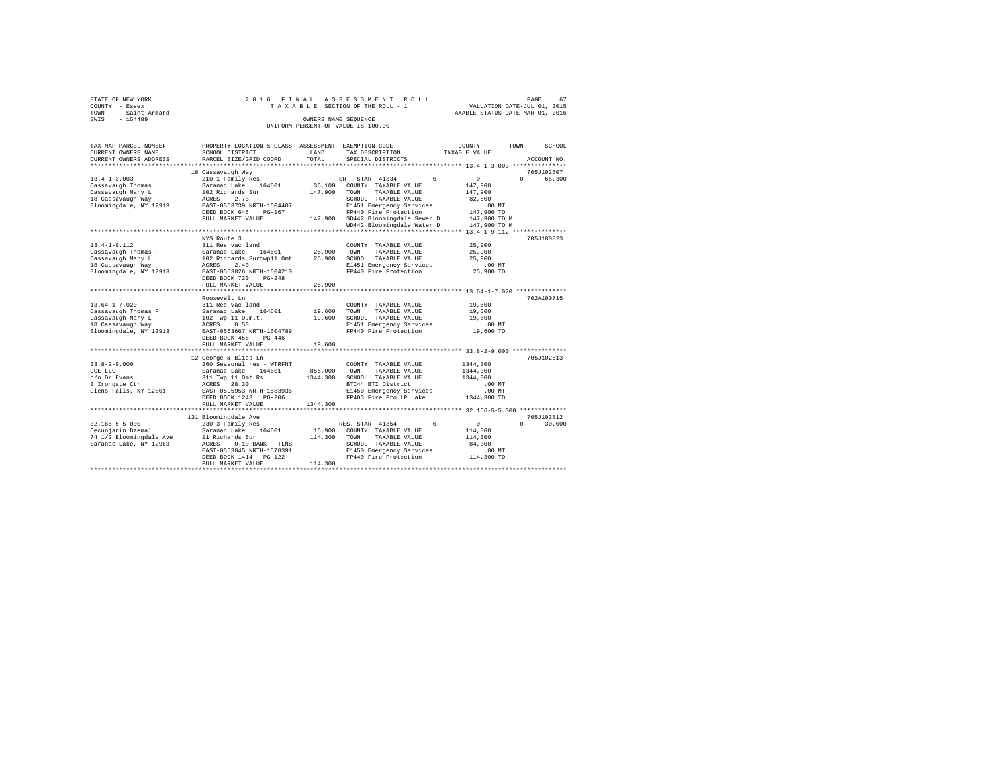| STATE OF NEW YORK   |  |  | 2016 FINAL ASSESSMENT ROLL         |  |  |                                  | PAGE | 67 |
|---------------------|--|--|------------------------------------|--|--|----------------------------------|------|----|
| COUNTY - Essex      |  |  | TAXABLE SECTION OF THE ROLL - 1    |  |  | VALUATION DATE-JUL 01, 2015      |      |    |
| TOWN - Saint Armand |  |  |                                    |  |  | TAXABLE STATUS DATE-MAR 01, 2016 |      |    |
| SWIS<br>$-154489$   |  |  | OWNERS NAME SEOUENCE               |  |  |                                  |      |    |
|                     |  |  | UNIFORM PERCENT OF VALUE IS 100.00 |  |  |                                  |      |    |
|                     |  |  |                                    |  |  |                                  |      |    |

| TAX MAP PARCEL NUMBER                                                                                                                                                |                                                  |              | PROPERTY LOCATION & CLASS ASSESSMENT EXEMPTION CODE---------------COUNTY-------TOWN-----SCHOOL |                                    |
|----------------------------------------------------------------------------------------------------------------------------------------------------------------------|--------------------------------------------------|--------------|------------------------------------------------------------------------------------------------|------------------------------------|
| CURRENT OWNERS NAME                                                                                                                                                  | SCHOOL DISTRICT                                  | LAND         | TAX DESCRIPTION                                                                                | TAXABLE VALUE                      |
| CURRENT OWNERS ADDRESS                                                                                                                                               | PARCEL SIZE/GRID COORD                           | TOTAL        | SPECIAL DISTRICTS                                                                              | ACCOUNT NO.                        |
|                                                                                                                                                                      |                                                  |              |                                                                                                |                                    |
|                                                                                                                                                                      | 18 Cassavaugh Way                                |              |                                                                                                | 705J102507                         |
| $13.4 - 1 - 3.003$                                                                                                                                                   | 210 1 Family Res                                 |              | SR STAR 41834<br>$^{\circ}$                                                                    | $\mathbf{0}$<br>$\Omega$<br>65,300 |
| Cassavaugh Thomas                                                                                                                                                    | Saranac Lake 164601                              |              | 36,100 COUNTY TAXABLE VALUE                                                                    | 147,900                            |
|                                                                                                                                                                      |                                                  | 147,900      | TOWN<br>TAXABLE VALUE                                                                          | 147,900                            |
| cassavaugh Mary L<br>18 Cassavaugh Way                                                                                                                               | 102 Richards Sur<br>ACRES 2.73                   |              | SCHOOL TAXABLE VALUE                                                                           | 82,600                             |
| Bloomingdale, NY 12913                                                                                                                                               | EAST-0563739 NRTH-1604407                        |              | E1451 Emergency Services                                                                       | .00 MT                             |
|                                                                                                                                                                      | DEED BOOK 645<br>PG-167                          |              | FP440 Fire Protection                                                                          | 147,900 TO                         |
|                                                                                                                                                                      | FULL MARKET VALUE                                |              | 147.900 SD442 Bloomingdale Sewer D                                                             | 147,900 TO M                       |
|                                                                                                                                                                      |                                                  |              | WD442 Bloomingdale Water D                                                                     | 147,900 TO M                       |
|                                                                                                                                                                      |                                                  |              |                                                                                                |                                    |
|                                                                                                                                                                      | NYS Route 3                                      |              |                                                                                                | 705J180023                         |
| $13.4 - 1 - 9.112$                                                                                                                                                   | 311 Res vac land                                 |              | COUNTY TAXABLE VALUE                                                                           | 25,900                             |
|                                                                                                                                                                      | 164601 25,900                                    |              | TOWN<br>TAXABLE VALUE                                                                          | 25,900                             |
|                                                                                                                                                                      |                                                  |              | SCHOOL TAXABLE VALUE                                                                           | 25,900                             |
|                                                                                                                                                                      |                                                  |              |                                                                                                | $.00$ MT                           |
|                                                                                                                                                                      |                                                  |              | E1451 Emergency Services<br>FP440 Fire Protection                                              | 25,900 TO                          |
| Bloomingdale, NY 12913 EAST-0563826 NRTH-1604210                                                                                                                     |                                                  |              |                                                                                                |                                    |
|                                                                                                                                                                      | DEED BOOK 720<br>$PG-248$                        |              |                                                                                                |                                    |
|                                                                                                                                                                      | FULL MARKET VALUE                                | 25,900       |                                                                                                |                                    |
|                                                                                                                                                                      |                                                  |              |                                                                                                |                                    |
|                                                                                                                                                                      | Roosevelt Ln                                     |              |                                                                                                | 702A100715                         |
| $13.64 - 1 - 7.020$                                                                                                                                                  | 311 Res vac land                                 |              | COUNTY TAXABLE VALUE                                                                           | 19,600                             |
| -- .<br>Cassavaugh Thomas P                                                                                                                                          |                                                  | 19,600 TOWN  | TAXABLE VALUE                                                                                  | 19,600                             |
|                                                                                                                                                                      |                                                  |              | 19,600 SCHOOL TAXABLE VALUE                                                                    | 19,600                             |
| Cassavaugh Thomas Paranac Lake 164601<br>Cassavaugh Mary Louis 102 Twp 11 O.m.t.<br>18 Cassavaugh Way Racks 0.50<br>Bloomingdale, NY 12913 RAST-0563667 NRTH-1604789 |                                                  |              | E1451 Emergency Services                                                                       | .00 MT                             |
|                                                                                                                                                                      |                                                  |              | FP440 Fire Protection                                                                          | 19,600 TO                          |
|                                                                                                                                                                      | DEED BOOK 456<br>$PG-446$                        |              |                                                                                                |                                    |
|                                                                                                                                                                      | FULL MARKET VALUE                                | 19,600       |                                                                                                |                                    |
|                                                                                                                                                                      |                                                  |              |                                                                                                |                                    |
|                                                                                                                                                                      | 12 George & Bliss Ln                             |              |                                                                                                | 705J102613                         |
| $33.8 - 2 - 9.000$                                                                                                                                                   | 260 Seasonal res - WTRFNT<br>Saranac Lake 164601 |              | COUNTY TAXABLE VALUE                                                                           | 1344,300                           |
| CCE LLC                                                                                                                                                              |                                                  | 856,000 TOWN | TAXABLE VALUE                                                                                  | 1344,300                           |
| c/o Dr Evans<br>c/o Dr Evans<br>3 Irongate Ctr                                                                                                                       | 311 Twp 11 Omt Rs<br>ACRES 28.30                 | 1344,300     | SCHOOL TAXABLE VALUE                                                                           | 1344,300                           |
|                                                                                                                                                                      |                                                  |              | BTI44 BTI District                                                                             | $.00$ MT                           |
| Glens Falls, NY 12801                                                                                                                                                | EAST-0595953 NRTH-1583935                        |              | E1450 Emergency Services                                                                       | $.00$ MT                           |
|                                                                                                                                                                      | DEED BOOK 1243 PG-206                            |              | FP403 Fire Pro LP Lake                                                                         | 1344,300 TO                        |
|                                                                                                                                                                      | FULL MARKET VALUE                                | 1344,300     |                                                                                                |                                    |
|                                                                                                                                                                      |                                                  |              |                                                                                                |                                    |
|                                                                                                                                                                      | 131 Bloomingdale Ave                             |              |                                                                                                | 705J103812                         |
| $32.166 - 5 - 5.000$                                                                                                                                                 | 230 3 Family Res                                 |              | RES. STAR 41854<br>$\Omega$                                                                    | $\sim$ 0<br>$\Omega$<br>30,000     |
|                                                                                                                                                                      |                                                  |              | 16,900 COUNTY TAXABLE VALUE                                                                    | 114,300                            |
|                                                                                                                                                                      |                                                  |              | 114,300 TOWN<br>TAXABLE VALUE                                                                  | 114,300                            |
| Saranac Lake, NY 12983                                                                                                                                               | ACRES 0.10 BANK TLNB                             |              | SCHOOL TAXABLE VALUE                                                                           | 84,300                             |
|                                                                                                                                                                      | EAST-0553845 NRTH-1578391                        |              | E1450 Emergency Services                                                                       | .00MT                              |
|                                                                                                                                                                      | DEED BOOK 1414 PG-122                            |              | FP440 Fire Protection 114,300 TO                                                               |                                    |
|                                                                                                                                                                      | FULL MARKET VALUE                                | 114,300      |                                                                                                |                                    |
|                                                                                                                                                                      |                                                  |              |                                                                                                |                                    |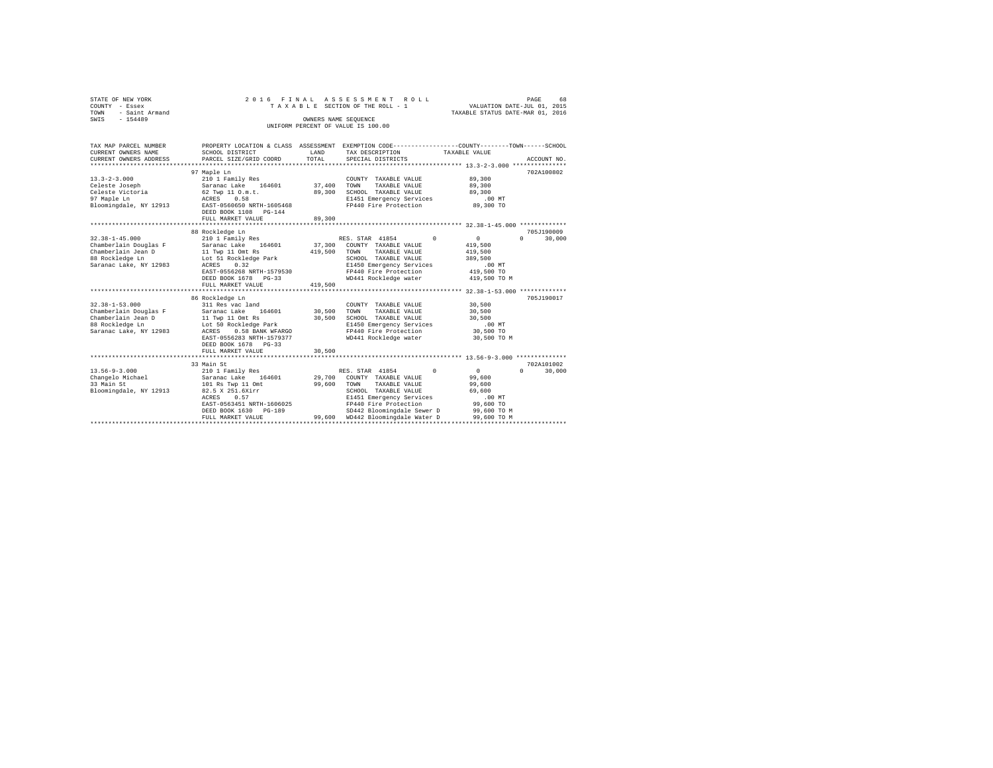| STATE OF NEW YORK      |                                      |        | 2016 FINAL ASSESSMENT ROLL         | 68<br>PAGE                                                   |
|------------------------|--------------------------------------|--------|------------------------------------|--------------------------------------------------------------|
| COUNTY - Essex         |                                      |        | TAXABLE SECTION OF THE ROLL - 1    | VALUATION DATE-JUL 01, 2015                                  |
| - Saint Armand<br>TOWN |                                      |        |                                    | TAXABLE STATUS DATE-MAR 01, 2016                             |
| $-154489$<br>SWIS      |                                      |        | OWNERS NAME SEOUENCE               |                                                              |
|                        |                                      |        | UNIFORM PERCENT OF VALUE IS 100.00 |                                                              |
|                        |                                      |        |                                    |                                                              |
|                        |                                      |        |                                    |                                                              |
| TAX MAP PARCEL NUMBER  | PROPERTY LOCATION & CLASS ASSESSMENT |        |                                    | EXEMPTION CODE-----------------COUNTY-------TOWN------SCHOOL |
| CURRENT OWNERS NAME    | SCHOOL DISTRICT                      | LAND   | TAX DESCRIPTION                    | TAXABLE VALUE                                                |
| CURRENT OWNERS ADDRESS | PARCEL SIZE/GRID COORD               | TOTAL  | SPECIAL DISTRICTS                  | ACCOUNT NO.                                                  |
|                        |                                      |        |                                    |                                                              |
|                        | 97 Maple Ln                          |        |                                    | 702A100802                                                   |
| $13.3 - 2 - 3.000$     | 210 1 Family Res                     |        | COUNTY<br>TAXABLE VALUE            | 89,300                                                       |
| Celeste Joseph         | Saranac Lake 164601                  | 37,400 | TOWN<br>TAXABLE VALUE              | 89,300                                                       |
| Celeste Victoria       | 62 Twp 11 O.m.t.                     | 89,300 | SCHOOL TAXABLE VALUE               | 89,300                                                       |
|                        | $\cdots$                             |        | _______                            | $\sim$ $\sim$ $\sim$ $\sim$                                  |

| 97 Maple Ln            | 0.58<br>ACRES                                      |         | E1451 Emergency Services    | $.00$ MT                                |                    |
|------------------------|----------------------------------------------------|---------|-----------------------------|-----------------------------------------|--------------------|
| Bloomingdale, NY 12913 | EAST-0560650 NRTH-1605468<br>DEED BOOK 1108 PG-144 |         | FP440 Fire Protection       | 89,300 TO                               |                    |
|                        | FULL MARKET VALUE                                  | 89,300  |                             |                                         |                    |
|                        | 88 Rockledge Ln                                    |         |                             |                                         | 705J190009         |
| $32.38 - 1 - 45.000$   | 210 1 Family Res                                   |         | RES. STAR 41854<br>$\Omega$ | $\Omega$                                | 30,000<br>$\Omega$ |
| Chamberlain Douglas F  | Saranac Lake<br>164601                             | 37,300  | COUNTY TAXABLE VALUE        | 419,500                                 |                    |
| Chamberlain Jean D     | 11 Twp 11 Omt Rs                                   | 419,500 | TOWN<br>TAXABLE VALUE       | 419,500                                 |                    |
| 88 Rockledge Ln        | Lot 51 Rockledge Park                              |         | SCHOOL TAXABLE VALUE        | 389,500                                 |                    |
| Saranac Lake, NY 12983 | ACRES<br>0.32                                      |         | E1450 Emergency Services    | .00MT                                   |                    |
|                        | EAST-0556268 NRTH-1579530                          |         | FP440 Fire Protection       | 419,500 TO                              |                    |
|                        | DEED BOOK 1678 PG-33                               |         | WD441 Rockledge water       | 419,500 TO M                            |                    |
|                        | FULL MARKET VALUE                                  | 419,500 |                             |                                         |                    |
|                        |                                                    |         |                             | ********** 32.38-1-53.000 ************* |                    |
|                        | 86 Rockledge Ln                                    |         |                             |                                         | 705J190017         |
| $32.38 - 1 - 53.000$   | 311 Res vac land                                   |         | COUNTY TAXABLE VALUE        | 30,500                                  |                    |
| Chamberlain Douglas F  | 164601<br>Saranac Lake                             | 30,500  | TOWN<br>TAXABLE VALUE       | 30,500                                  |                    |
| Chamberlain Jean D     | 11 Twp 11 Omt Rs                                   | 30,500  | SCHOOL TAXABLE VALUE        | 30,500                                  |                    |
| 88 Rockledge Ln        | Lot 50 Rockledge Park                              |         | E1450 Emergency Services    | $.00$ MT                                |                    |
| Saranac Lake, NY 12983 | 0.58 BANK WFARGO<br>ACRES                          |         | FP440 Fire Protection       | 30,500 TO                               |                    |
|                        | EAST-0556283 NRTH-1579377<br>DEED BOOK 1678 PG-33  |         | WD441 Rockledge water       | 30,500 TO M                             |                    |
|                        | FULL MARKET VALUE                                  | 30,500  |                             |                                         |                    |
|                        | 33 Main St                                         |         |                             |                                         | 702A101002         |
| $13.56 - 9 - 3.000$    | 210 1 Family Res                                   |         | RES. STAR 41854<br>$\Omega$ | $\Omega$                                | $\Omega$<br>30,000 |
| Changelo Michael       | 164601<br>Saranac Lake                             | 29,700  | COUNTY TAXABLE VALUE        | 99,600                                  |                    |
| 33 Main St             | 101 Rs Twp 11 Omt                                  | 99,600  | TOWN<br>TAXABLE VALUE       | 99,600                                  |                    |
| Bloomingdale, NY 12913 | 82.5 X 251.6Xirr                                   |         | SCHOOL TAXABLE VALUE        | 69,600                                  |                    |
|                        | 0.57<br>ACRES                                      |         | E1451 Emergency Services    | $.00$ MT                                |                    |
|                        | EAST-0563451 NRTH-1606025                          |         | FP440 Fire Protection       | 99,600 TO                               |                    |
|                        | DEED BOOK 1630 PG-189                              |         | SD442 Bloomingdale Sewer D  | 99,600 TO M                             |                    |
|                        | FULL MARKET VALUE                                  | 99,600  | WD442 Bloomingdale Water D  | 99,600 TO M                             |                    |
|                        | *************************                          |         |                             |                                         |                    |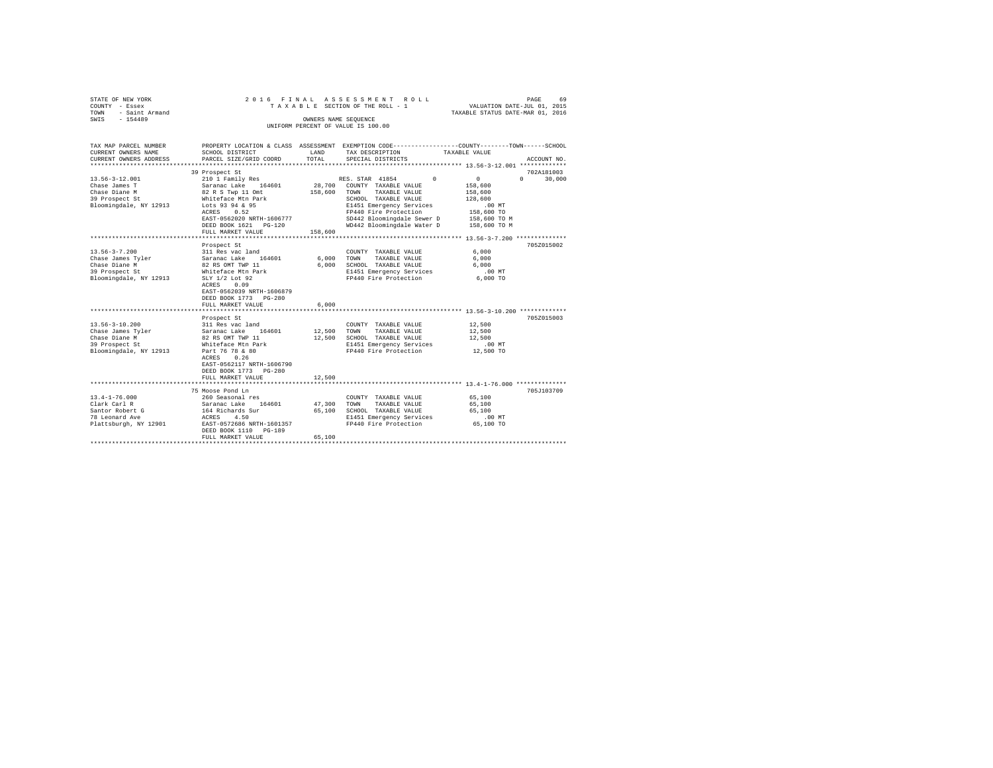| STATE OF NEW YORK      |  | 2016 FINAL ASSESSMENT ROLL         |                                  | PAGE | 69 |
|------------------------|--|------------------------------------|----------------------------------|------|----|
| COUNTY - Essex         |  | TAXABLE SECTION OF THE ROLL - 1    | VALUATION DATE-JUL 01, 2015      |      |    |
| - Saint Armand<br>TOWN |  |                                    | TAXABLE STATUS DATE-MAR 01, 2016 |      |    |
| SWIS<br>$-154489$      |  | OWNERS NAME SEOUENCE               |                                  |      |    |
|                        |  | UNIFORM PERCENT OF VALUE IS 100.00 |                                  |      |    |

| TAX MAP PARCEL NUMBER<br>CURRENT OWNERS NAME                                                                                                                                                                    | SCHOOL DISTRICT                                                                                                                                                                                                                                                                                                                               | LAND                                        | TAX DESCRIPTION                                                                                                                                                                                                                                          | PROPERTY LOCATION & CLASS ASSESSMENT EXEMPTION CODE---------------COUNTY-------TOWN------SCHOOL<br>TAXABLE VALUE  |
|-----------------------------------------------------------------------------------------------------------------------------------------------------------------------------------------------------------------|-----------------------------------------------------------------------------------------------------------------------------------------------------------------------------------------------------------------------------------------------------------------------------------------------------------------------------------------------|---------------------------------------------|----------------------------------------------------------------------------------------------------------------------------------------------------------------------------------------------------------------------------------------------------------|-------------------------------------------------------------------------------------------------------------------|
| CURRENT OWNERS ADDRESS                                                                                                                                                                                          | PARCEL SIZE/GRID COORD                                                                                                                                                                                                                                                                                                                        | TOTAL                                       | SPECIAL DISTRICTS                                                                                                                                                                                                                                        | ACCOUNT NO.                                                                                                       |
| $13.56 - 3 - 12.001$<br>Chase James T                                                                                                                                                                           | 39 Prospect St<br>210 1 Family Res<br>Saranac Lake 164601                                                                                                                                                                                                                                                                                     | 28,700                                      | $\Omega$<br>RES. STAR 41854<br>COUNTY TAXABLE VALUE                                                                                                                                                                                                      | 702A181003<br>30,000<br>$\mathbf{0}$<br>$\Omega$<br>158,600                                                       |
| Chase Diane M<br>39 Prospect St<br>Bloomingdale, NY 12913                                                                                                                                                       | 82 R S Twp 11 Omt<br>Whiteface Mtn Park<br>Lots 93 94 & 95<br>ACRES<br>0.52<br>EAST-0562020 NRTH-1606777<br>DEED BOOK 1621 PG-120                                                                                                                                                                                                             | 158,600                                     | TOWN<br>TAXABLE VALUE<br>SCHOOL TAXABLE VALUE<br>E1451 Emergency Services<br>FP440 Fire Protection<br>SD442 Bloomingdale Sewer D<br>WD442 Bloomingdale Water D                                                                                           | 158,600<br>128,600<br>.00MT<br>158,600 TO<br>158,600 TO M<br>158,600 TO M                                         |
|                                                                                                                                                                                                                 | FULL MARKET VALUE                                                                                                                                                                                                                                                                                                                             | 158,600                                     |                                                                                                                                                                                                                                                          |                                                                                                                   |
|                                                                                                                                                                                                                 | Prospect St                                                                                                                                                                                                                                                                                                                                   |                                             |                                                                                                                                                                                                                                                          | 705Z015002                                                                                                        |
| $13.56 - 3 - 7.200$<br>Chase James Tyler<br>Chase Diane M<br>39 Prospect St<br>Bloomingdale, NY 12913<br>$13.56 - 3 - 10.200$<br>Chase James Tyler<br>Chase Diane M<br>39 Prospect St<br>Bloomingdale, NY 12913 | 311 Res vac land<br>Saranac Lake<br>164601<br>82 RS OMT TWP 11<br>Whiteface Mtn Park<br>SLY 1/2 Lot 92<br>ACRES<br>0.09<br>EAST-0562039 NRTH-1606879<br>DEED BOOK 1773 PG-280<br>FULL MARKET VALUE<br>Prospect St<br>311 Res vac land<br>164601<br>Saranac Lake<br>82 RS OMT TWP 11<br>Whiteface Mtn Park<br>Part 76 78 & 80<br>0.26<br>ACRES | 6,000<br>6.000<br>6.000<br>12,500<br>12,500 | COUNTY TAXABLE VALUE<br>TOWN<br>TAXABLE VALUE<br>SCHOOL TAXABLE VALUE<br>E1451 Emergency Services<br>FP440 Fire Protection<br>COUNTY TAXABLE VALUE<br>TOWN<br>TAXABLE VALUE<br>SCHOOL TAXABLE VALUE<br>E1451 Emergency Services<br>FP440 Fire Protection | 6.000<br>6,000<br>6,000<br>.00MT<br>6,000 TO<br>705Z015003<br>12,500<br>12,500<br>12,500<br>$.00$ MT<br>12,500 TO |
|                                                                                                                                                                                                                 | EAST-0562117 NRTH-1606790<br>DEED BOOK 1773 PG-280<br>FULL MARKET VALUE                                                                                                                                                                                                                                                                       | 12,500                                      |                                                                                                                                                                                                                                                          |                                                                                                                   |
|                                                                                                                                                                                                                 |                                                                                                                                                                                                                                                                                                                                               |                                             |                                                                                                                                                                                                                                                          |                                                                                                                   |
| $13.4 - 1 - 76.000$<br>Clark Carl R<br>Santor Robert G<br>78 Leonard Ave<br>Plattsburgh, NY 12901                                                                                                               | 75 Moose Pond Ln<br>260 Seasonal res<br>164601<br>Saranac Lake<br>164 Richards Sur<br>4.50<br>ACRES<br>EAST-0572686 NRTH-1601357<br>DEED BOOK 1110<br>PG-189                                                                                                                                                                                  | 47,300<br>65,100                            | COUNTY TAXABLE VALUE<br>TOWN<br>TAXABLE VALUE<br>SCHOOL TAXABLE VALUE<br>E1451 Emergency Services<br>FP440 Fire Protection                                                                                                                               | 705J103709<br>65,100<br>65,100<br>65,100<br>$.00$ MT<br>65,100 TO                                                 |
|                                                                                                                                                                                                                 | FULL MARKET VALUE                                                                                                                                                                                                                                                                                                                             | 65,100                                      |                                                                                                                                                                                                                                                          |                                                                                                                   |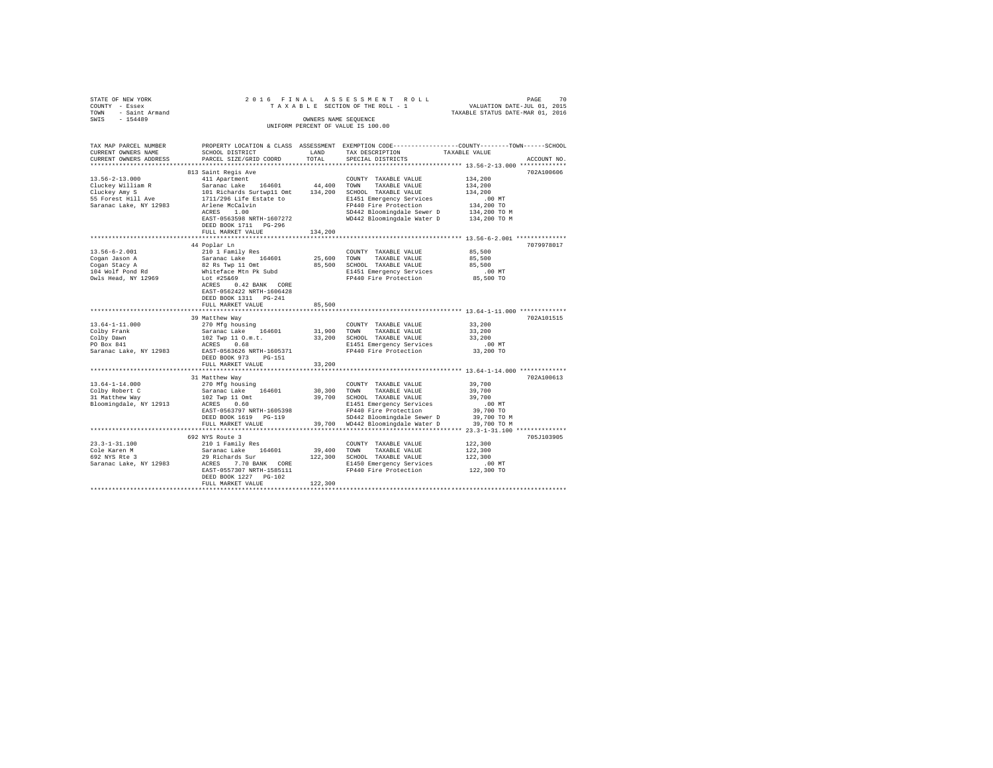| STATE OF NEW YORK                       |                                                                                                            |             | 2016 FINAL ASSESSMENT ROLL                                                                      |                                        |             |
|-----------------------------------------|------------------------------------------------------------------------------------------------------------|-------------|-------------------------------------------------------------------------------------------------|----------------------------------------|-------------|
| COUNTY - Essex                          |                                                                                                            |             | TAXABLE SECTION OF THE ROLL - 1                                                                 | PAGE 70<br>VALUATION DATE-JUL 01, 2015 |             |
| TOWN - Saint Armand                     |                                                                                                            |             |                                                                                                 | TAXABLE STATUS DATE-MAR 01, 2016       |             |
| SWIS - 154489                           |                                                                                                            |             | OWNERS NAME SEQUENCE                                                                            |                                        |             |
|                                         |                                                                                                            |             | UNIFORM PERCENT OF VALUE IS 100.00                                                              |                                        |             |
|                                         |                                                                                                            |             |                                                                                                 |                                        |             |
|                                         |                                                                                                            |             |                                                                                                 |                                        |             |
| TAX MAP PARCEL NUMBER                   |                                                                                                            |             | PROPERTY LOCATION & CLASS ASSESSMENT EXEMPTION CODE---------------COUNTY-------TOWN------SCHOOL |                                        |             |
| CURRENT OWNERS NAME                     | SCHOOL DISTRICT                                                                                            |             | LAND TAX DESCRIPTION                                                                            | TAXABLE VALUE                          |             |
| CURRENT OWNERS ADDRESS                  | PARCEL SIZE/GRID COORD                                                                                     | TOTAL       | SPECIAL DISTRICTS                                                                               |                                        | ACCOUNT NO. |
|                                         |                                                                                                            |             |                                                                                                 |                                        |             |
|                                         | 813 Saint Regis Ave                                                                                        |             |                                                                                                 |                                        | 702A100606  |
| $13.56 - 2 - 13.000$                    | 411 Apartment                                                                                              |             | COUNTY TAXABLE VALUE                                                                            | 134,200                                |             |
| Cluckey William R                       | Saranac Lake 164601                                                                                        |             | 44,400 TOWN TAXABLE VALUE                                                                       | 134,200                                |             |
| Cluckey Amy S                           |                                                                                                            |             |                                                                                                 | 134,200                                |             |
|                                         | 101 Richards Surtwp11 Omt 134,200 SCHOOL TAXABLE VALUE<br>1711/296 Life Estate to E1451 Emergency Services |             |                                                                                                 |                                        |             |
| 55 Forest Hill Ave                      |                                                                                                            |             | E1451 Emergency Services                                                                        | .00 MT                                 |             |
| Saranac Lake, NY 12983                  | Arlene McCalvin<br>ACRES 1.00                                                                              |             | FP440 Fire Protection                                                                           | 134,200 TO                             |             |
|                                         |                                                                                                            |             | SD442 Bloomingdale Sewer D 134,200 TO M<br>WD442 Bloomingdale Water D 134,200 TO M              |                                        |             |
|                                         | EAST-0563598 NRTH-1607272                                                                                  |             |                                                                                                 |                                        |             |
|                                         | DEED BOOK 1711 PG-296                                                                                      |             |                                                                                                 |                                        |             |
|                                         | FULL MARKET VALUE                                                                                          | 134,200     |                                                                                                 |                                        |             |
|                                         |                                                                                                            |             |                                                                                                 |                                        |             |
|                                         | 44 Poplar Ln                                                                                               |             |                                                                                                 |                                        | 7079978017  |
| $13.56 - 6 - 2.001$                     | 210 1 Family Res                                                                                           |             | COUNTY TAXABLE VALUE                                                                            | 85,500                                 |             |
| Cogan Jason A                           | Saranac Lake 164601                                                                                        |             | 25,600 TOWN TAXABLE VALUE                                                                       | 85,500                                 |             |
| Cogan Stacy A                           | 92 Rs Twp 11 Omt<br>Whiteface Mtn Pk Subd                                                                  |             | 85,500 SCHOOL TAXABLE VALUE                                                                     | 85,500                                 |             |
| 104 Wolf Pond Rd                        |                                                                                                            |             | E1451 Emergency Services                                                                        | .00 MT                                 |             |
|                                         | Lot #25&69                                                                                                 |             | FP440 Fire Protection 85,500 TO                                                                 |                                        |             |
| Owls Head, NY 12969                     |                                                                                                            |             |                                                                                                 |                                        |             |
|                                         | ACRES 0.42 BANK CORE                                                                                       |             |                                                                                                 |                                        |             |
|                                         | EAST-0562422 NRTH-1606428                                                                                  |             |                                                                                                 |                                        |             |
|                                         | DEED BOOK 1311 PG-241                                                                                      |             |                                                                                                 |                                        |             |
|                                         | FULL MARKET VALUE                                                                                          | 85,500      |                                                                                                 |                                        |             |
|                                         |                                                                                                            |             | ************************************* 13.64-1-11.000 *************                              |                                        |             |
|                                         | 39 Matthew Way                                                                                             |             |                                                                                                 |                                        | 702A101515  |
| $13.64 - 1 - 11.000$                    | 270 Mfg housing                                                                                            |             | COUNTY TAXABLE VALUE                                                                            | 33,200                                 |             |
|                                         |                                                                                                            |             |                                                                                                 | 33,200                                 |             |
| Colby Frank<br>Colby Dawn<br>PO Box 841 | Saranac Lake 164601<br>102 Twp 11 0.m.t.<br>20058 - 0.68                                                   |             | 31,900 TOWN TAXABLE VALUE<br>33,200 SCHOOL TAXABLE VALUE                                        | 33,200                                 |             |
|                                         | ACRES 0.68                                                                                                 |             | E1451 Emergency Services                                                                        | $.00$ MT                               |             |
| Saranac Lake, NY 12983                  | EAST-0563626 NRTH-1605371                                                                                  |             | FP440 Fire Protection                                                                           | 33,200 TO                              |             |
|                                         | DEED BOOK 973 PG-151                                                                                       |             |                                                                                                 |                                        |             |
|                                         | FULL MARKET VALUE                                                                                          | 33,200      |                                                                                                 |                                        |             |
|                                         |                                                                                                            |             |                                                                                                 |                                        |             |
|                                         |                                                                                                            |             |                                                                                                 |                                        |             |
|                                         | 31 Matthew Way                                                                                             |             |                                                                                                 |                                        | 702A100613  |
| $13.64 - 1 - 14.000$                    | 270 Mfg housing                                                                                            |             | COUNTY TAXABLE VALUE                                                                            | 39,700                                 |             |
| Colby Robert C<br>31 Matthew Way        | Saranac Lake 164601                                                                                        |             | 30,300 TOWN TAXABLE VALUE                                                                       | 39,700                                 |             |
|                                         | 102 Twp 11 Omt<br>ACRES 0.60                                                                               |             | 39,700 SCHOOL TAXABLE VALUE                                                                     | 39,700                                 |             |
| Bloomingdale, NY 12913                  |                                                                                                            |             | E1451 Emergency Services                                                                        | $.00$ MT                               |             |
|                                         | EAST-0563797 NRTH-1605398                                                                                  |             | FP440 Fire Protection<br>SD442 Bloomingdale Sewer D                                             | 39,700 TO                              |             |
|                                         | DEED BOOK 1619 PG-119                                                                                      |             | SD442 Bloomingdale Sewer D                                                                      | 39,700 TO M                            |             |
|                                         | FULL MARKET VALUE                                                                                          |             | 39,700 WD442 Bloomingdale Water D 39,700 TO M                                                   |                                        |             |
|                                         |                                                                                                            |             |                                                                                                 |                                        |             |
|                                         | 692 NYS Route 3                                                                                            |             |                                                                                                 |                                        | 705J103905  |
| $23.3 - 1 - 31.100$                     | 210 1 Family Res                                                                                           |             | COUNTY TAXABLE VALUE                                                                            | 122,300                                |             |
|                                         | Saranac Lake 164601                                                                                        | 39,400 TOWN |                                                                                                 | 122,300                                |             |
| Cole Karen M<br>$692$ NYS Rte 3         |                                                                                                            |             | TAXABLE VALUE                                                                                   | 122,300                                |             |
|                                         | 29 Richards Sur                                                                                            |             | 122,300 SCHOOL TAXABLE VALUE                                                                    |                                        |             |
| Saranac Lake, NY 12983                  | ACRES 7.70 BANK CORE                                                                                       |             | E1450 Emergency Services                                                                        | 00 MT.<br>122,300 TO                   |             |
|                                         | EAST-0557307 NRTH-1585111                                                                                  |             | FP440 Fire Protection                                                                           |                                        |             |
|                                         | DEED BOOK 1227 PG-102                                                                                      |             |                                                                                                 |                                        |             |
|                                         | FULL MARKET VALUE                                                                                          | 122,300     |                                                                                                 |                                        |             |
|                                         |                                                                                                            |             |                                                                                                 |                                        |             |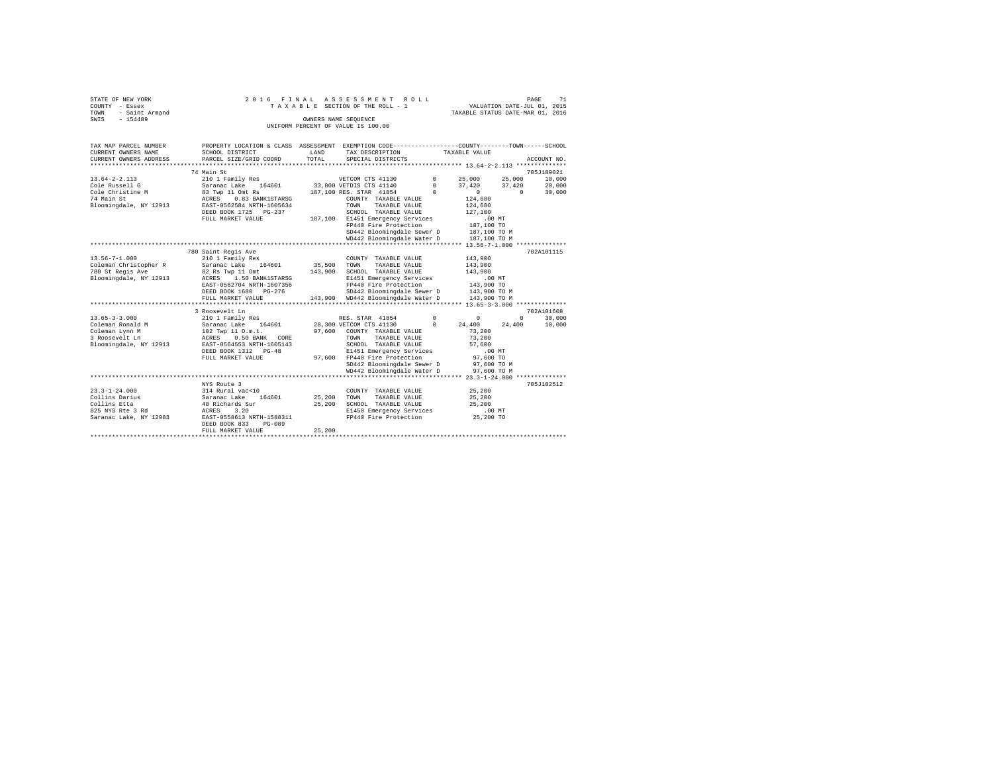|                | STATE OF NEW YORK | 2016 FINAL ASSESSMENT ROLL |  |  |  |                                    |  |  |  |  |  | 71<br>PAGE                       |
|----------------|-------------------|----------------------------|--|--|--|------------------------------------|--|--|--|--|--|----------------------------------|
| COUNTY - Essex |                   |                            |  |  |  | TAXABLE SECTION OF THE ROLL - 1    |  |  |  |  |  | VALUATION DATE-JUL 01, 2015      |
| TOWN           | - Saint Armand    |                            |  |  |  |                                    |  |  |  |  |  | TAXABLE STATUS DATE-MAR 01, 2016 |
| SWIS           | $-154489$         |                            |  |  |  | OWNERS NAME SEOUENCE               |  |  |  |  |  |                                  |
|                |                   |                            |  |  |  | UNIFORM PERCENT OF VALUE IS 100.00 |  |  |  |  |  |                                  |

| TAX MAP PARCEL NUMBER<br>CURRENT OWNERS NAME | PROPERTY LOCATION & CLASS ASSESSMENT EXEMPTION CODE----------------COUNTY-------TOWN------SCHOOL<br>SCHOOL DISTRICT | LAND                   | TAX DESCRIPTION                                   |                            | TAXABLE VALUE          |        |                                                                                     |
|----------------------------------------------|---------------------------------------------------------------------------------------------------------------------|------------------------|---------------------------------------------------|----------------------------|------------------------|--------|-------------------------------------------------------------------------------------|
| CURRENT OWNERS ADDRESS                       | PARCEL SIZE/GRID COORD                                                                                              | TOTAL                  | SPECIAL DISTRICTS                                 |                            |                        |        | ACCOUNT NO.                                                                         |
|                                              | 74 Main St                                                                                                          |                        |                                                   |                            |                        |        | 705J189021                                                                          |
| $13.64 - 2 - 2.113$                          | 210 1 Family Res                                                                                                    |                        | VETCOM CTS 41130                                  | $0 \t 25,000$              |                        | 25,000 | 10,000                                                                              |
| Cole Russell G                               | Saranac Lake 164601                                                                                                 |                        | 33,800 VETDIS CTS 41140                           |                            | 37.420                 |        |                                                                                     |
| Cole Christine M                             | 83 Twp 11 Omt Rs                                                                                                    |                        | 187,100 RES. STAR 41854                           | $\mathbf{0}$<br>$^{\circ}$ | $\Omega$               |        | $\begin{array}{cc} 37\,, 420 \qquad & 20\,, 000 \\ 0 \qquad & 30\,.000 \end{array}$ |
| 74 Main St                                   | 0.83 BANK1STARSG<br>ACRES                                                                                           |                        | COUNTY TAXABLE VALUE                              |                            | 124,680                |        |                                                                                     |
| Bloomingdale, NY 12913                       | EAST-0562584 NRTH-1605634                                                                                           |                        | TOWN<br>TAXABLE VALUE                             |                            | 124,680                |        |                                                                                     |
|                                              | DEED BOOK 1725 PG-237                                                                                               |                        | SCHOOL TAXABLE VALUE                              |                            | 127,100                |        |                                                                                     |
|                                              | FULL MARKET VALUE                                                                                                   |                        | 187,100 E1451 Emergency Services                  |                            | .00MT                  |        |                                                                                     |
|                                              |                                                                                                                     |                        | FP440 Fire Protection                             |                            | 187,100 TO             |        |                                                                                     |
|                                              |                                                                                                                     |                        | SD442 Bloomingdale Sewer D 187,100 TO M           |                            |                        |        |                                                                                     |
|                                              |                                                                                                                     |                        | WD442 Bloomingdale Water D 187,100 TO M           |                            |                        |        |                                                                                     |
|                                              |                                                                                                                     |                        |                                                   |                            |                        |        |                                                                                     |
|                                              | 780 Saint Regis Ave                                                                                                 |                        |                                                   |                            |                        |        | 702A101115                                                                          |
| $13.56 - 7 - 1.000$                          | 210 1 Family Res                                                                                                    |                        | COUNTY TAXABLE VALUE                              |                            | 143,900                |        |                                                                                     |
|                                              | Saranac Lake 164601                                                                                                 |                        | TAXABLE VALUE                                     |                            |                        |        |                                                                                     |
| Coleman Christopher R<br>780 St Regis Ave    | 82 Rs Twp 11 Omt                                                                                                    | 35,500 TOWN<br>143,900 | SCHOOL TAXABLE VALUE                              |                            | 143,900<br>143,900     |        |                                                                                     |
| Bloomingdale, NY 12913                       | ACRES 1.50 BANK1STARSG                                                                                              |                        |                                                   |                            |                        |        |                                                                                     |
|                                              | EAST-0562704 NRTH-1607356                                                                                           |                        | E1451 Emergency Services<br>FP440 Fire Protection |                            | $.00$ MT<br>143,900 TO |        |                                                                                     |
|                                              | DEED BOOK 1680 PG-276                                                                                               |                        | SD442 Bloomingdale Sewer D 143,900 TO M           |                            |                        |        |                                                                                     |
|                                              |                                                                                                                     |                        | 143,900 WD442 Bloomingdale Water D                |                            |                        |        |                                                                                     |
|                                              | FULL MARKET VALUE                                                                                                   |                        |                                                   |                            | 143,900 TO M           |        |                                                                                     |
|                                              |                                                                                                                     |                        |                                                   |                            |                        |        |                                                                                     |
|                                              | 3 Roosevelt Ln                                                                                                      |                        |                                                   |                            |                        |        | 702A101608<br>$\Omega$                                                              |
| $13.65 - 3 - 3.000$                          | 210 1 Family Res<br>Saranac Lake 164601                                                                             |                        | RES. STAR 41854                                   | $^{\circ}$                 | $^{\circ}$             |        | 30,000                                                                              |
| Coleman Ronald M                             |                                                                                                                     |                        | 28,300 VETCOM CTS 41130                           | $\circ$                    | 24,400                 | 24,400 | 10,000                                                                              |
| Coleman Lynn M                               | 102 Twp 11 O.m.t.                                                                                                   |                        | 97,600 COUNTY TAXABLE VALUE                       |                            | 73,200                 |        |                                                                                     |
| 3 Roosevelt Ln                               | ACRES 0.50 BANK CORE                                                                                                |                        | TAXABLE VALUE<br>TOWN                             |                            | 73,200                 |        |                                                                                     |
| Bloomingdale, NY 12913                       | EAST-0564553 NRTH-1605143                                                                                           |                        | SCHOOL TAXABLE VALUE                              |                            | 57,600                 |        |                                                                                     |
|                                              | DEED BOOK 1312 PG-48                                                                                                |                        | E1451 Emergency Services                          |                            | .00MT                  |        |                                                                                     |
|                                              | FULL MARKET VALUE                                                                                                   |                        | 97,600 FP440 Fire Protection                      |                            | 97,600 TO              |        |                                                                                     |
|                                              |                                                                                                                     |                        | SD442 Bloomingdale Sewer D                        |                            | 97,600 TO M            |        |                                                                                     |
|                                              |                                                                                                                     |                        | WD442 Bloomingdale Water D                        |                            | 97,600 TO M            |        |                                                                                     |
|                                              |                                                                                                                     |                        |                                                   |                            |                        |        |                                                                                     |
|                                              | NYS Route 3                                                                                                         |                        |                                                   |                            |                        |        | 705J102512                                                                          |
| $23.3 - 1 - 24.000$                          | 314 Rural vac<10                                                                                                    |                        | COUNTY TAXABLE VALUE                              |                            | 25,200                 |        |                                                                                     |
| Collins Darius                               | Saranac Lake 164601<br>48 Richards Sur                                                                              | 25,200                 | TOWN<br>TAXABLE VALUE                             |                            | 25,200                 |        |                                                                                     |
| Collins Etta                                 |                                                                                                                     | 25,200                 | SCHOOL TAXABLE VALUE                              |                            | 25,200                 |        |                                                                                     |
| ACRES<br>825 NYS Rte 3 Rd                    | 3.20                                                                                                                |                        | E1450 Emergency Services                          |                            | $.00$ MT               |        |                                                                                     |
| Saranac Lake, NY 12983                       | EAST-0558613 NRTH-1588311<br>DEED BOOK 833<br>$PG-089$                                                              |                        | FP440 Fire Protection                             |                            | 25,200 TO              |        |                                                                                     |
|                                              | FULL MARKET VALUE                                                                                                   | 25,200                 |                                                   |                            |                        |        |                                                                                     |
|                                              |                                                                                                                     |                        |                                                   |                            |                        |        |                                                                                     |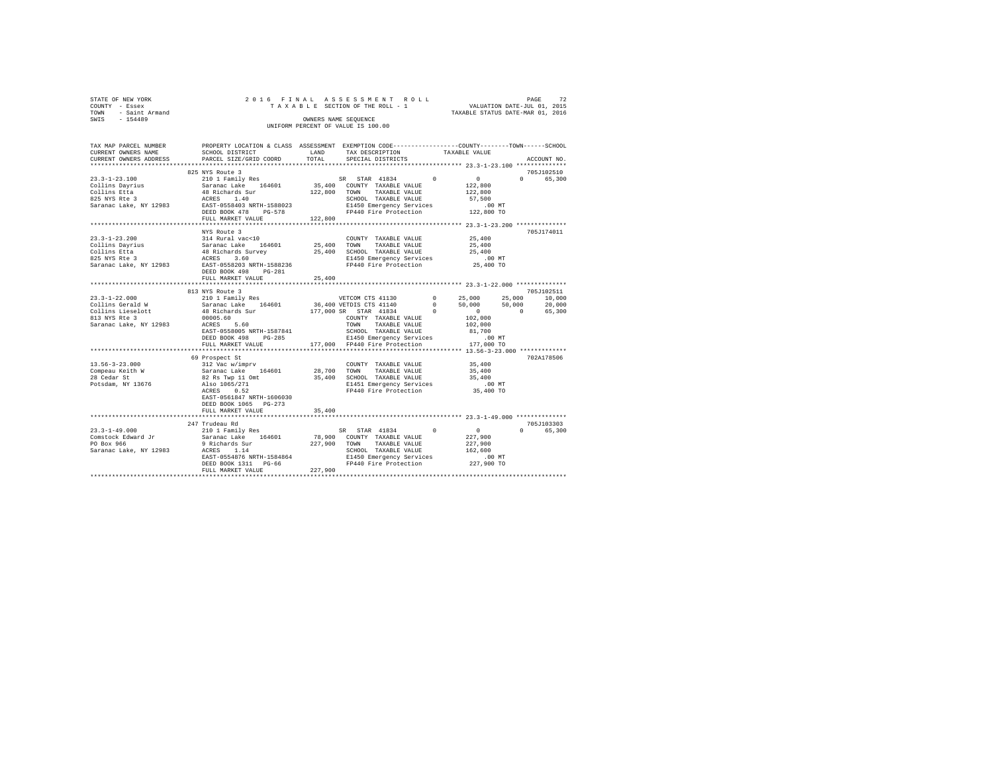| STATE OF NEW YORK   |  | 2016 FINAL ASSESSMENT ROLL         |                                  | PAGE                        | 72 |
|---------------------|--|------------------------------------|----------------------------------|-----------------------------|----|
| COUNTY - Essex      |  | TAXABLE SECTION OF THE ROLL - 1    |                                  | VALUATION DATE-JUL 01, 2015 |    |
| TOWN - Saint Armand |  |                                    | TAXABLE STATUS DATE-MAR 01, 2016 |                             |    |
| SWIS<br>$-154489$   |  | OWNERS NAME SEOUENCE               |                                  |                             |    |
|                     |  | UNIFORM PERCENT OF VALUE IS 100.00 |                                  |                             |    |
|                     |  |                                    |                                  |                             |    |

| TAX MAP PARCEL NUMBER                                                                                                                                                                                                                                                           | PROPERTY LOCATION & CLASS ASSESSMENT EXEMPTION CODE---------------COUNTY-------TOWN-----SCHOOL                                                                                                                                                                                                                                                                                                                                              |        |                   |               |                                          |  |
|---------------------------------------------------------------------------------------------------------------------------------------------------------------------------------------------------------------------------------------------------------------------------------|---------------------------------------------------------------------------------------------------------------------------------------------------------------------------------------------------------------------------------------------------------------------------------------------------------------------------------------------------------------------------------------------------------------------------------------------|--------|-------------------|---------------|------------------------------------------|--|
| CURRENT OWNERS NAME                                                                                                                                                                                                                                                             | SCHOOL DISTRICT                                                                                                                                                                                                                                                                                                                                                                                                                             | LAND   | TAX DESCRIPTION   | TAXABLE VALUE |                                          |  |
| CURRENT OWNERS ADDRESS                                                                                                                                                                                                                                                          | PARCEL SIZE/GRID COORD                                                                                                                                                                                                                                                                                                                                                                                                                      | TOTAL  | SPECIAL DISTRICTS |               | ACCOUNT NO.                              |  |
|                                                                                                                                                                                                                                                                                 |                                                                                                                                                                                                                                                                                                                                                                                                                                             |        |                   |               |                                          |  |
|                                                                                                                                                                                                                                                                                 | 825 NYS Route 3                                                                                                                                                                                                                                                                                                                                                                                                                             |        |                   |               | 705J102510                               |  |
|                                                                                                                                                                                                                                                                                 |                                                                                                                                                                                                                                                                                                                                                                                                                                             |        |                   |               | 0 65,300                                 |  |
|                                                                                                                                                                                                                                                                                 |                                                                                                                                                                                                                                                                                                                                                                                                                                             |        |                   |               |                                          |  |
|                                                                                                                                                                                                                                                                                 |                                                                                                                                                                                                                                                                                                                                                                                                                                             |        |                   |               |                                          |  |
|                                                                                                                                                                                                                                                                                 |                                                                                                                                                                                                                                                                                                                                                                                                                                             |        |                   |               |                                          |  |
|                                                                                                                                                                                                                                                                                 |                                                                                                                                                                                                                                                                                                                                                                                                                                             |        |                   |               |                                          |  |
|                                                                                                                                                                                                                                                                                 |                                                                                                                                                                                                                                                                                                                                                                                                                                             |        |                   |               |                                          |  |
|                                                                                                                                                                                                                                                                                 |                                                                                                                                                                                                                                                                                                                                                                                                                                             |        |                   |               |                                          |  |
|                                                                                                                                                                                                                                                                                 |                                                                                                                                                                                                                                                                                                                                                                                                                                             |        |                   |               |                                          |  |
|                                                                                                                                                                                                                                                                                 | NYS Route 3                                                                                                                                                                                                                                                                                                                                                                                                                                 |        |                   |               | 705J174011                               |  |
|                                                                                                                                                                                                                                                                                 |                                                                                                                                                                                                                                                                                                                                                                                                                                             |        |                   |               |                                          |  |
|                                                                                                                                                                                                                                                                                 |                                                                                                                                                                                                                                                                                                                                                                                                                                             |        |                   |               |                                          |  |
|                                                                                                                                                                                                                                                                                 |                                                                                                                                                                                                                                                                                                                                                                                                                                             |        |                   |               |                                          |  |
|                                                                                                                                                                                                                                                                                 |                                                                                                                                                                                                                                                                                                                                                                                                                                             |        |                   |               |                                          |  |
|                                                                                                                                                                                                                                                                                 |                                                                                                                                                                                                                                                                                                                                                                                                                                             |        |                   |               |                                          |  |
|                                                                                                                                                                                                                                                                                 |                                                                                                                                                                                                                                                                                                                                                                                                                                             |        |                   |               |                                          |  |
|                                                                                                                                                                                                                                                                                 | FULL MARKET VALUE                                                                                                                                                                                                                                                                                                                                                                                                                           | 25,400 |                   |               |                                          |  |
|                                                                                                                                                                                                                                                                                 | *******************************                                                                                                                                                                                                                                                                                                                                                                                                             |        |                   |               |                                          |  |
|                                                                                                                                                                                                                                                                                 | 813 NYS Route 3                                                                                                                                                                                                                                                                                                                                                                                                                             |        |                   |               | 705J102511                               |  |
|                                                                                                                                                                                                                                                                                 |                                                                                                                                                                                                                                                                                                                                                                                                                                             |        |                   |               |                                          |  |
|                                                                                                                                                                                                                                                                                 |                                                                                                                                                                                                                                                                                                                                                                                                                                             |        |                   |               |                                          |  |
|                                                                                                                                                                                                                                                                                 |                                                                                                                                                                                                                                                                                                                                                                                                                                             |        |                   |               |                                          |  |
|                                                                                                                                                                                                                                                                                 |                                                                                                                                                                                                                                                                                                                                                                                                                                             |        |                   |               |                                          |  |
|                                                                                                                                                                                                                                                                                 |                                                                                                                                                                                                                                                                                                                                                                                                                                             |        |                   |               |                                          |  |
|                                                                                                                                                                                                                                                                                 |                                                                                                                                                                                                                                                                                                                                                                                                                                             |        |                   |               |                                          |  |
|                                                                                                                                                                                                                                                                                 |                                                                                                                                                                                                                                                                                                                                                                                                                                             |        |                   |               |                                          |  |
|                                                                                                                                                                                                                                                                                 |                                                                                                                                                                                                                                                                                                                                                                                                                                             |        |                   |               |                                          |  |
| $\begin{tabular}{cccccc} 23.3-1-22.000 & 813 YNS \: \: 801 & Fani 1Y & Fesi & 95000 & 25,000 & 25,000 & 25,000 & 10,000 & 25,000 & 25,000 & 25,000 & 25,000 & 25,000 & 25,000 & 25,000 & 25,000 & 25,000 & 25,000 & 25,000 & 25,000 & 25,000 & 25,000 & 25,000 & 25,000 & 25,0$ | ***********************                                                                                                                                                                                                                                                                                                                                                                                                                     |        |                   |               | ************* 13.56-3-23.000 *********** |  |
|                                                                                                                                                                                                                                                                                 | 69 Prospect St                                                                                                                                                                                                                                                                                                                                                                                                                              |        |                   |               | 702A178506                               |  |
| $13.56 - 3 - 23.000$                                                                                                                                                                                                                                                            |                                                                                                                                                                                                                                                                                                                                                                                                                                             |        |                   |               |                                          |  |
|                                                                                                                                                                                                                                                                                 |                                                                                                                                                                                                                                                                                                                                                                                                                                             |        |                   |               |                                          |  |
|                                                                                                                                                                                                                                                                                 |                                                                                                                                                                                                                                                                                                                                                                                                                                             |        |                   |               |                                          |  |
| Compeau Keith W<br>28 Cedar St<br>Potsdam, NY 13676                                                                                                                                                                                                                             |                                                                                                                                                                                                                                                                                                                                                                                                                                             |        |                   |               |                                          |  |
|                                                                                                                                                                                                                                                                                 | $\begin{tabular}{c c c c c} \hline \multicolumn{3}{c}{\textbf{212 Vac} $\times$1~imprv} & \multicolumn{3}{c}{\textbf{231 Vac} $\times$1~imprv} & \multicolumn{3}{c}{\textbf{231 Vac} $\times$1~imprv} & \multicolumn{3}{c}{\textbf{231 Vac} $\times$1~imprv} & \multicolumn{3}{c}{\textbf{241 Vac} $\times$1~imprv} & \multicolumn{3}{c}{\textbf{35,400}} \\ \hline \multicolumn{3}{c}{\textbf{52 R} $\times$1~p11} & \multicolumn{3}{c}{\$ |        |                   |               |                                          |  |
|                                                                                                                                                                                                                                                                                 | EAST-0561847 NRTH-1606030                                                                                                                                                                                                                                                                                                                                                                                                                   |        |                   |               |                                          |  |
|                                                                                                                                                                                                                                                                                 | DEED BOOK 1065 PG-273                                                                                                                                                                                                                                                                                                                                                                                                                       |        |                   |               |                                          |  |
|                                                                                                                                                                                                                                                                                 |                                                                                                                                                                                                                                                                                                                                                                                                                                             |        |                   |               |                                          |  |
|                                                                                                                                                                                                                                                                                 | FULL MARKET VALUE                                                                                                                                                                                                                                                                                                                                                                                                                           | 35,400 |                   |               |                                          |  |
|                                                                                                                                                                                                                                                                                 |                                                                                                                                                                                                                                                                                                                                                                                                                                             |        |                   |               |                                          |  |
|                                                                                                                                                                                                                                                                                 |                                                                                                                                                                                                                                                                                                                                                                                                                                             |        |                   |               | 705J103303<br>0 65,300                   |  |
|                                                                                                                                                                                                                                                                                 |                                                                                                                                                                                                                                                                                                                                                                                                                                             |        |                   |               |                                          |  |
|                                                                                                                                                                                                                                                                                 |                                                                                                                                                                                                                                                                                                                                                                                                                                             |        |                   |               |                                          |  |
|                                                                                                                                                                                                                                                                                 |                                                                                                                                                                                                                                                                                                                                                                                                                                             |        |                   |               |                                          |  |
|                                                                                                                                                                                                                                                                                 |                                                                                                                                                                                                                                                                                                                                                                                                                                             |        |                   |               |                                          |  |
|                                                                                                                                                                                                                                                                                 |                                                                                                                                                                                                                                                                                                                                                                                                                                             |        |                   |               |                                          |  |
|                                                                                                                                                                                                                                                                                 |                                                                                                                                                                                                                                                                                                                                                                                                                                             |        |                   |               |                                          |  |
|                                                                                                                                                                                                                                                                                 |                                                                                                                                                                                                                                                                                                                                                                                                                                             |        |                   |               |                                          |  |
|                                                                                                                                                                                                                                                                                 |                                                                                                                                                                                                                                                                                                                                                                                                                                             |        |                   |               |                                          |  |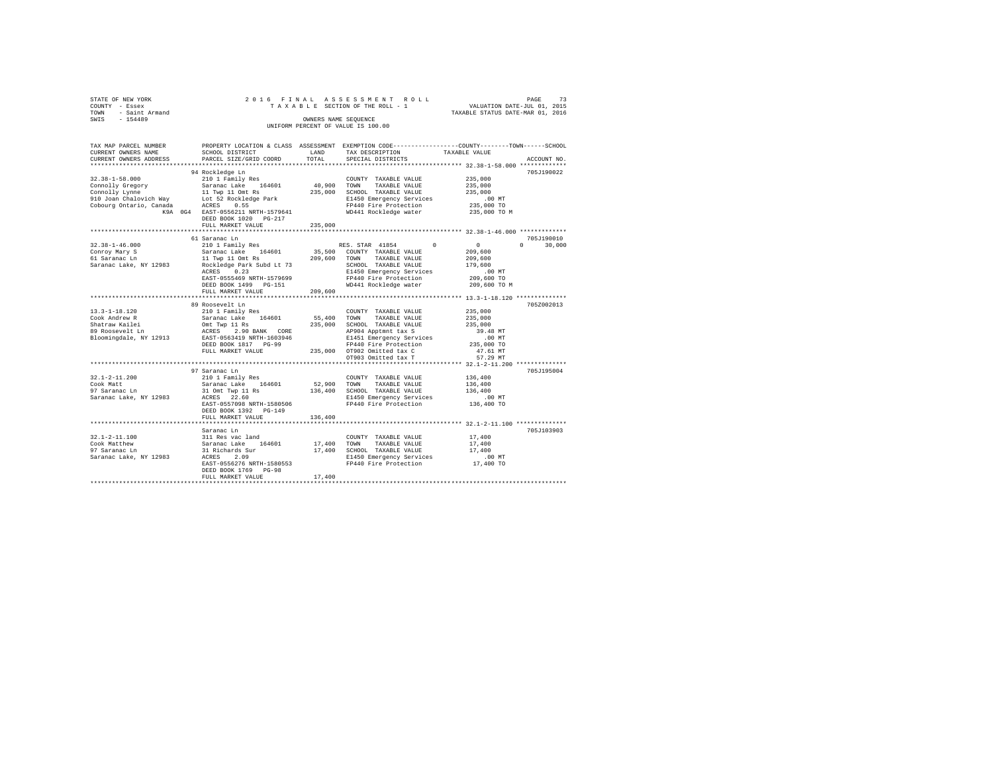| SWIS - 154489                                                        | OWNERS NAME SEQUENCE<br>UNIFORM PERCENT OF VALUE IS 100.00 |         | OWNERS NAME SEQUENCE                                                                                                                                                                                                                                                     | STATE OF REW YORK YORK STATES ON THE ROLL TRAINING THE ROLL TRAINING THE RESERVED ONLY THE RESERVED ONLY THE R<br>COUNTY - Essex and the state of the SECTION OF THE ROLL - 1 WALUATION DATE-JUL 01, 2015<br>TOWN - Saint_Armand |
|----------------------------------------------------------------------|------------------------------------------------------------|---------|--------------------------------------------------------------------------------------------------------------------------------------------------------------------------------------------------------------------------------------------------------------------------|----------------------------------------------------------------------------------------------------------------------------------------------------------------------------------------------------------------------------------|
| CURRENT OWNERS NAME<br>CURRENT OWNERS ADDRESS PARCEL SIZE/GRID COORD | SCHOOL DISTRICT . LAND TAX DESCRIPTION TAXABLE VALUE       | TOTAL   | SPECIAL DISTRICTS                                                                                                                                                                                                                                                        | TAX MAP PARCEL NUMBER PROPERTY LOCATION & CLASS ASSESSMENT EXEMPTION CODE----------------COUNTY--------TOWN-----SCHOOL<br>ACCOUNT NO.                                                                                            |
|                                                                      |                                                            |         |                                                                                                                                                                                                                                                                          |                                                                                                                                                                                                                                  |
|                                                                      | 94 Rockledge Ln                                            |         |                                                                                                                                                                                                                                                                          | 705J190022                                                                                                                                                                                                                       |
| $32.38 - 1 - 58.000$                                                 | 210 1 Family Res                                           |         | $\begin{tabular}{lllllllllllll} \multicolumn{4}{c}{\textbf{COUNTY}} & \textbf{TXABLE VALUE} & & & & 235,000 \\ \multicolumn{4}{c}{\textbf{TOWN}} & \textbf{TXABLE VALUE} & & & 235,000 \\ \multicolumn{4}{c}{\textbf{TOWN}} & \textbf{TXABLE VALUE} & & & \end{tabular}$ |                                                                                                                                                                                                                                  |
|                                                                      |                                                            |         |                                                                                                                                                                                                                                                                          |                                                                                                                                                                                                                                  |
|                                                                      |                                                            |         |                                                                                                                                                                                                                                                                          |                                                                                                                                                                                                                                  |
|                                                                      |                                                            |         |                                                                                                                                                                                                                                                                          |                                                                                                                                                                                                                                  |
|                                                                      |                                                            |         |                                                                                                                                                                                                                                                                          |                                                                                                                                                                                                                                  |
|                                                                      | DEED BOOK 1020 PG-217<br>FULL MARKET VALUE 235,000         |         |                                                                                                                                                                                                                                                                          |                                                                                                                                                                                                                                  |
|                                                                      |                                                            |         |                                                                                                                                                                                                                                                                          |                                                                                                                                                                                                                                  |
|                                                                      |                                                            |         |                                                                                                                                                                                                                                                                          | 705J190010                                                                                                                                                                                                                       |
|                                                                      |                                                            |         |                                                                                                                                                                                                                                                                          | $0 \t 30,000$                                                                                                                                                                                                                    |
|                                                                      |                                                            |         |                                                                                                                                                                                                                                                                          |                                                                                                                                                                                                                                  |
|                                                                      |                                                            |         |                                                                                                                                                                                                                                                                          |                                                                                                                                                                                                                                  |
|                                                                      |                                                            |         |                                                                                                                                                                                                                                                                          |                                                                                                                                                                                                                                  |
|                                                                      |                                                            |         |                                                                                                                                                                                                                                                                          |                                                                                                                                                                                                                                  |
|                                                                      |                                                            |         |                                                                                                                                                                                                                                                                          |                                                                                                                                                                                                                                  |
|                                                                      |                                                            |         |                                                                                                                                                                                                                                                                          | 209,600 TO M                                                                                                                                                                                                                     |
|                                                                      |                                                            |         |                                                                                                                                                                                                                                                                          |                                                                                                                                                                                                                                  |
|                                                                      |                                                            |         |                                                                                                                                                                                                                                                                          |                                                                                                                                                                                                                                  |
|                                                                      |                                                            |         |                                                                                                                                                                                                                                                                          | 705Z002013                                                                                                                                                                                                                       |
|                                                                      |                                                            |         |                                                                                                                                                                                                                                                                          |                                                                                                                                                                                                                                  |
|                                                                      |                                                            |         |                                                                                                                                                                                                                                                                          |                                                                                                                                                                                                                                  |
|                                                                      |                                                            |         |                                                                                                                                                                                                                                                                          |                                                                                                                                                                                                                                  |
|                                                                      |                                                            |         |                                                                                                                                                                                                                                                                          |                                                                                                                                                                                                                                  |
|                                                                      |                                                            |         |                                                                                                                                                                                                                                                                          |                                                                                                                                                                                                                                  |
|                                                                      |                                                            |         |                                                                                                                                                                                                                                                                          |                                                                                                                                                                                                                                  |
|                                                                      |                                                            |         |                                                                                                                                                                                                                                                                          |                                                                                                                                                                                                                                  |
|                                                                      |                                                            |         |                                                                                                                                                                                                                                                                          |                                                                                                                                                                                                                                  |
|                                                                      | 97 Saranac Ln                                              |         |                                                                                                                                                                                                                                                                          | 705J195004                                                                                                                                                                                                                       |
|                                                                      |                                                            |         |                                                                                                                                                                                                                                                                          |                                                                                                                                                                                                                                  |
| 32.1-2-11.200<br>Cook Matt<br>97 Saranac Ln                          |                                                            |         |                                                                                                                                                                                                                                                                          |                                                                                                                                                                                                                                  |
|                                                                      |                                                            |         |                                                                                                                                                                                                                                                                          |                                                                                                                                                                                                                                  |
| Saranac Lake, NY 12983                                               |                                                            |         |                                                                                                                                                                                                                                                                          |                                                                                                                                                                                                                                  |
|                                                                      | DEED BOOK 1392 PG-149                                      |         |                                                                                                                                                                                                                                                                          |                                                                                                                                                                                                                                  |
|                                                                      | FULL MARKET VALUE                                          | 136,400 |                                                                                                                                                                                                                                                                          |                                                                                                                                                                                                                                  |
|                                                                      |                                                            |         |                                                                                                                                                                                                                                                                          |                                                                                                                                                                                                                                  |
|                                                                      | Saranac Ln                                                 |         |                                                                                                                                                                                                                                                                          | 705J103903                                                                                                                                                                                                                       |
|                                                                      |                                                            |         |                                                                                                                                                                                                                                                                          |                                                                                                                                                                                                                                  |
|                                                                      |                                                            |         |                                                                                                                                                                                                                                                                          |                                                                                                                                                                                                                                  |
|                                                                      |                                                            |         |                                                                                                                                                                                                                                                                          |                                                                                                                                                                                                                                  |
|                                                                      |                                                            |         |                                                                                                                                                                                                                                                                          |                                                                                                                                                                                                                                  |
|                                                                      |                                                            |         |                                                                                                                                                                                                                                                                          |                                                                                                                                                                                                                                  |
|                                                                      | DEED BOOK 1769 PG-98                                       |         |                                                                                                                                                                                                                                                                          |                                                                                                                                                                                                                                  |
|                                                                      | FULL MARKET VALUE                                          | 17,400  |                                                                                                                                                                                                                                                                          |                                                                                                                                                                                                                                  |
|                                                                      |                                                            |         |                                                                                                                                                                                                                                                                          |                                                                                                                                                                                                                                  |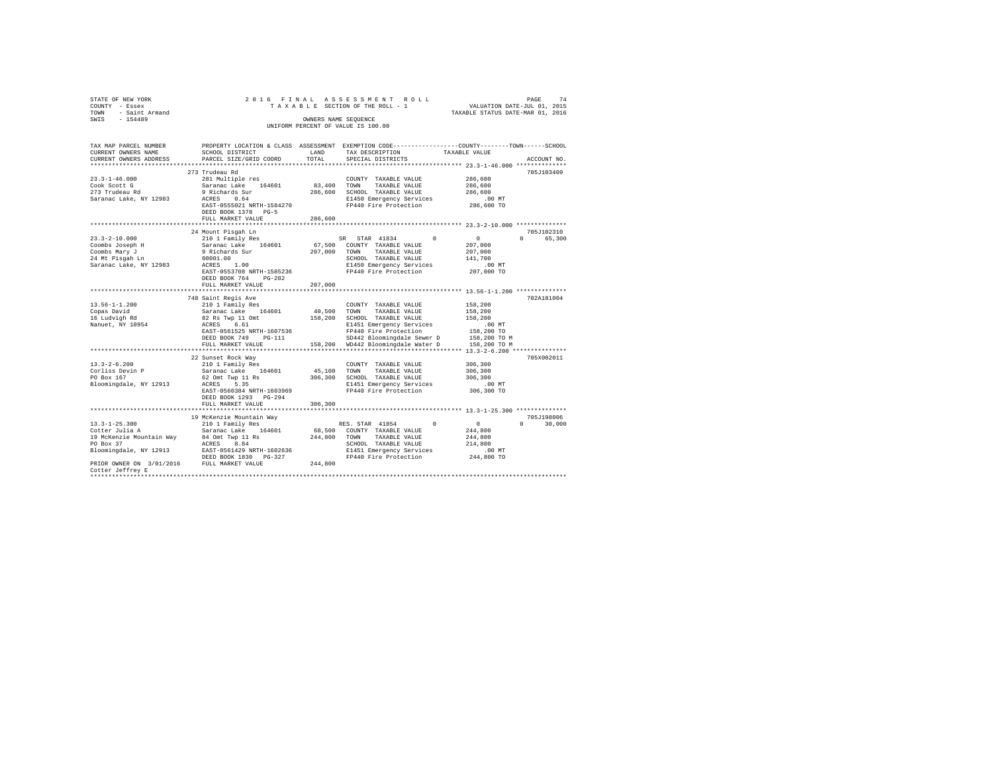| STATE OF NEW YORK<br>COUNTY - Essex<br>TOWN - Saint Armand<br>SWIS - 154489                                                                                                                                                      |                                                                                                                                                                                                                     | OWNERS NAME SEOUENCE    | 2016 FINAL ASSESSMENT ROLL<br>TAXABLE SECTION OF THE ROLL - 1<br>UNIFORM PERCENT OF VALUE IS 100.00                                                                                 | VALUATION DATE-JUL 01, 2015<br>TAXABLE STATUS DATE-MAR 01, 2016                         | 74<br>PAGE                       |
|----------------------------------------------------------------------------------------------------------------------------------------------------------------------------------------------------------------------------------|---------------------------------------------------------------------------------------------------------------------------------------------------------------------------------------------------------------------|-------------------------|-------------------------------------------------------------------------------------------------------------------------------------------------------------------------------------|-----------------------------------------------------------------------------------------|----------------------------------|
| TAX MAP PARCEL NUMBER PROPERTY LOCATION & CLASS ASSESSMENT EXEMPTION CODE--------------COUNTY-------TOWN------SCHOOL<br>CURRENT OWNERS NAME<br>CURRENT OWNERS ADDRESS                                                            | SCHOOL DISTRICT<br>PARCEL SIZE/GRID COORD                                                                                                                                                                           | LAND<br>TOTAL           | TAX DESCRIPTION<br>SPECIAL DISTRICTS                                                                                                                                                | TAXABLE VALUE                                                                           | ACCOUNT NO.                      |
|                                                                                                                                                                                                                                  |                                                                                                                                                                                                                     |                         |                                                                                                                                                                                     | *********** 23.3-1-46.000 ***************                                               |                                  |
| $23.3 - 1 - 46.000$<br>Cook Scott G<br>273 Trudeau Rd<br>Saranac Lake, NY 12983                                                                                                                                                  | 273 Trudeau Rd<br>281 Multiple res<br>Saranac Lake 164601<br>9 Richards Sur<br>ACRES 0.64<br>EAST-0555021 NRTH-1584270<br>DEED BOOK 1378 PG-5                                                                       |                         | COUNTY TAXABLE VALUE<br>83,400 TOWN TAXABLE VALUE<br>286,600 SCHOOL TAXABLE VALUE<br>E1450 Emergency Services<br>FP440 Fire Protection                                              | 286,600<br>286,600<br>286,600<br>$.00$ MT<br>286,600 TO                                 | 705J103409                       |
|                                                                                                                                                                                                                                  | FULL MARKET VALUE                                                                                                                                                                                                   | 286,600                 |                                                                                                                                                                                     |                                                                                         |                                  |
| $23.3 - 2 - 10.000$<br>Coombs Joseph H<br>Coombs Mary J<br>24 Mt Pisqah Ln<br>Saranac Lake, NY 12983                                                                                                                             | ****************************<br>24 Mount Pisgah Ln<br>210 1 Family Res<br>Saranac Lake 164601<br>9 Richards Sur<br>00001.00<br>ACRES 1.00<br>EAST-0553708 NRTH-1585236<br>DEED BOOK 764 PG-282<br>FULL MARKET VALUE | 207.000 TOWN<br>207,000 | SR STAR 41834<br>$^{\circ}$<br>67,500 COUNTY TAXABLE VALUE<br>TAXABLE VALUE<br>SCHOOL TAXABLE VALUE<br>E1450 Emergency Services<br>FP440 Fire Protection                            | $\sim$ 0<br>207,000<br>207,000<br>141,700<br>$.00$ MT<br>207,000 TO                     | 705J102310<br>$\Omega$<br>65,300 |
|                                                                                                                                                                                                                                  |                                                                                                                                                                                                                     |                         |                                                                                                                                                                                     |                                                                                         |                                  |
| $13.56 - 1 - 1.200$<br>Copas David<br>16 Ludvigh Rd<br>Nanuet, NY 10954                                                                                                                                                          | 748 Saint Regis Ave<br>210 1 Family Res<br>Saranac Lake 164601 40,500 TOWN TAXABLE VALUE<br>82 Rs Twp 11 Omt<br>ACRES 6.61<br>EAST-0561525 NRTH-1607536<br>DEED BOOK 749 PG-111<br>FULL MARKET VALUE                |                         | COUNTY TAXABLE VALUE<br>158,200 SCHOOL TAXABLE VALUE<br>E1451 Emergency Services<br>FP440 Fire Protection<br>SD442 Bloomingdale Sewer D<br>158,200 WD442 Bloomingdale Water D       | 158,200<br>158,200<br>158,200<br>$.00$ MT<br>158,200 TO<br>158,200 TO M<br>158,200 TO M | 702A181004                       |
|                                                                                                                                                                                                                                  |                                                                                                                                                                                                                     |                         |                                                                                                                                                                                     |                                                                                         |                                  |
| $13.3 - 2 - 6.200$<br>Corliss Devin P<br>PO Box 167<br>Bloomingdale, NY 12913                                                                                                                                                    | 22 Sunset Rock Way<br>210 1 Family Res<br>Saranac Lake 164601<br>62 Omt Twp 11 Rs<br>ACRES 5.35<br>EAST-0560384 NRTH-1603969<br>DEED BOOK 1293 PG-294<br>FULL MARKET VALUE                                          | 306,300                 | COUNTY TAXABLE VALUE<br>45,100 TOWN TAXABLE VALUE<br>306,300 SCHOOL TAXABLE VALUE<br>E1451 Emergency Services<br>FP440 Fire Protection                                              | 306,300<br>306,300<br>306,300<br>$.00$ MT<br>306,300 TO                                 | 705X002011                       |
|                                                                                                                                                                                                                                  |                                                                                                                                                                                                                     |                         |                                                                                                                                                                                     |                                                                                         |                                  |
| $13.3 - 1 - 25.300$<br>Cotter Julia A<br>19 McKenzie Mountain Way 34 Omt Twp 11 Rs<br>PO Box 37 ACRES 8.84<br>Bloomingdale, NY 12913 EAST-0561429 NRTH-1602636<br>PRIOR OWNER ON 3/01/2016 FULL MARKET VALUE<br>Cotter Jeffrey E | 19 McKenzie Mountain Way<br>210 1 Family Res<br>Saranac Lake 164601<br>DEED BOOK 1830 PG-327                                                                                                                        | 244,800 TOWN<br>244,800 | RES. STAR 41854<br>$^{\circ}$<br>68,500 COUNTY TAXABLE VALUE<br>TAXABLE VALUE<br>SCHOOL TAXABLE VALUE<br>E1451 Emergency Services<br>FP440 Fire Protection<br>FP440 Fire Protection | $\sim$ 0<br>244,800<br>244,800<br>214,800<br>.00 MT<br>244,800 TO                       | 705J198006<br>$\Omega$<br>30,000 |
|                                                                                                                                                                                                                                  |                                                                                                                                                                                                                     |                         |                                                                                                                                                                                     |                                                                                         |                                  |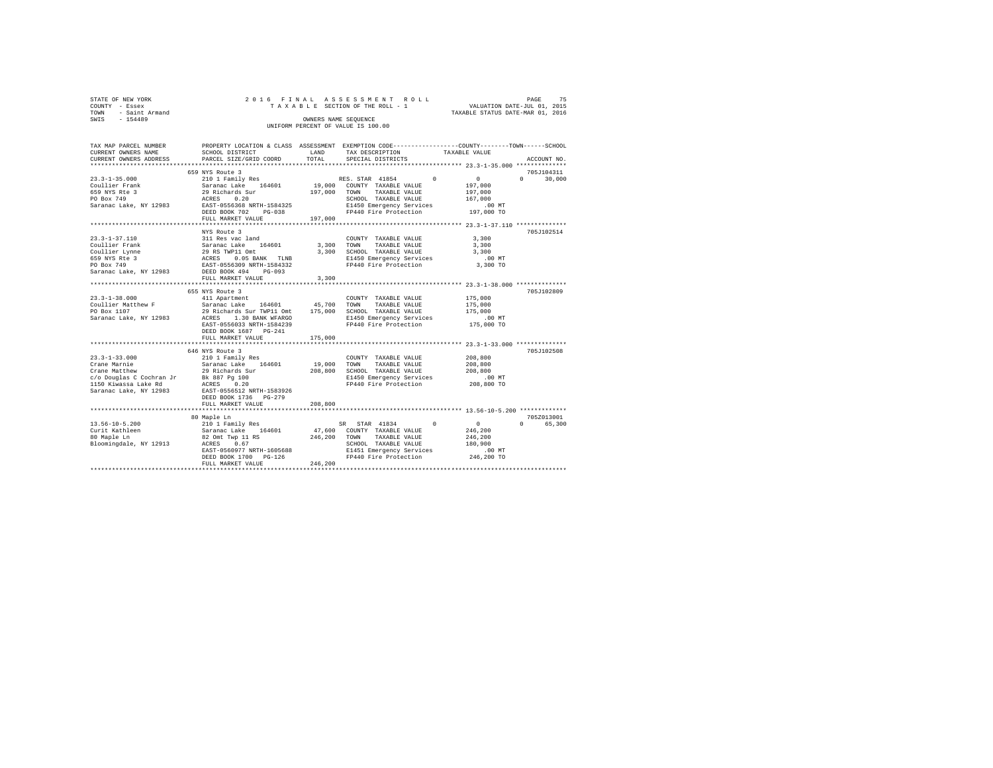| STATE OF NEW YORK   |  | 2016 FINAL ASSESSMENT ROLL         |                                  | PAGE                        | 75 |
|---------------------|--|------------------------------------|----------------------------------|-----------------------------|----|
| COUNTY - Essex      |  | TAXABLE SECTION OF THE ROLL - 1    |                                  | VALUATION DATE-JUL 01, 2015 |    |
| TOWN - Saint Armand |  |                                    | TAXABLE STATUS DATE-MAR 01, 2016 |                             |    |
| SWTS<br>$-154489$   |  | OWNERS NAME SEOUENCE               |                                  |                             |    |
|                     |  | UNIFORM PERCENT OF VALUE IS 100.00 |                                  |                             |    |
|                     |  |                                    |                                  |                             |    |

| TAX MAP PARCEL NUMBER                                                                                                                                                                                                                                                                                                                                                                                        |                                                                                 |              |                                                                     | PROPERTY LOCATION & CLASS ASSESSMENT EXEMPTION CODE---------------COUNTY-------TOWN------SCHOOL |        |
|--------------------------------------------------------------------------------------------------------------------------------------------------------------------------------------------------------------------------------------------------------------------------------------------------------------------------------------------------------------------------------------------------------------|---------------------------------------------------------------------------------|--------------|---------------------------------------------------------------------|-------------------------------------------------------------------------------------------------|--------|
| CURRENT OWNERS NAME                                                                                                                                                                                                                                                                                                                                                                                          | SCHOOL DISTRICT                                                                 | LAND         | TAX DESCRIPTION                                                     | TAXABLE VALUE                                                                                   |        |
| CURRENT OWNERS ADDRESS                                                                                                                                                                                                                                                                                                                                                                                       | PARCEL SIZE/GRID COORD                                                          | TOTAL        | SPECIAL DISTRICTS                                                   | ACCOUNT NO.                                                                                     |        |
|                                                                                                                                                                                                                                                                                                                                                                                                              |                                                                                 |              |                                                                     |                                                                                                 |        |
|                                                                                                                                                                                                                                                                                                                                                                                                              | 659 NYS Route 3                                                                 |              |                                                                     | 705J104311                                                                                      |        |
| $23.3 - 1 - 35.000$                                                                                                                                                                                                                                                                                                                                                                                          |                                                                                 |              | RES. STAR 41854<br>$\Omega$                                         | $\sim$ 0<br>$\Omega$                                                                            | 30,000 |
| Coullier Frank                                                                                                                                                                                                                                                                                                                                                                                               | 210 1 Family Res<br>Saranac Lake 164601                                         |              | $19\, , 000$ $\,$ COUNTY TAXABLE VALUE                              | 197,000                                                                                         |        |
| 659 NYS Rte 3                                                                                                                                                                                                                                                                                                                                                                                                |                                                                                 | 197,000      | TOWN<br>TAXABLE VALUE                                               | 197,000                                                                                         |        |
| PO Box 749                                                                                                                                                                                                                                                                                                                                                                                                   | 29 Richards Sur<br>ACRES 0.20                                                   |              | SCHOOL TAXABLE VALUE                                                | 167,000                                                                                         |        |
| Saranac Lake, NY 12983 EAST-0556368 NRTH-1584325                                                                                                                                                                                                                                                                                                                                                             |                                                                                 |              |                                                                     | $.00$ MT                                                                                        |        |
|                                                                                                                                                                                                                                                                                                                                                                                                              | PG-038<br>DEED BOOK 702                                                         |              | E1450 Emergency Services<br>FP440 Fire Protection                   | 00 MT.<br>197,000 TO                                                                            |        |
|                                                                                                                                                                                                                                                                                                                                                                                                              | FULL MARKET VALUE                                                               | 197,000      |                                                                     |                                                                                                 |        |
|                                                                                                                                                                                                                                                                                                                                                                                                              |                                                                                 |              |                                                                     |                                                                                                 |        |
|                                                                                                                                                                                                                                                                                                                                                                                                              | NYS Route 3                                                                     |              |                                                                     | 705J102514                                                                                      |        |
| $23.3 - 1 - 37.110$                                                                                                                                                                                                                                                                                                                                                                                          | 311 Res vac land                                                                |              | COUNTY TAXABLE VALUE                                                | 3,300                                                                                           |        |
| Coullier Frank                                                                                                                                                                                                                                                                                                                                                                                               | Saranac Lake<br>29 RS TWP11 Omt<br>ACRES 0.05 BANK<br>RAST-0556309 NRTH-1584332 | 3,300 TOWN   | TAXABLE VALUE                                                       | 3,300                                                                                           |        |
| Coullier Lynne                                                                                                                                                                                                                                                                                                                                                                                               |                                                                                 | 3,300        | SCHOOL TAXABLE VALUE                                                | 3,300                                                                                           |        |
| 659 NYS Rte 3                                                                                                                                                                                                                                                                                                                                                                                                | $0.05$ BANK TLNB                                                                |              |                                                                     | .00 MT                                                                                          |        |
| PO Box 749                                                                                                                                                                                                                                                                                                                                                                                                   |                                                                                 |              | E1450 Emergency Services<br>FP440 Fire Protection                   | 3,300 TO                                                                                        |        |
| Saranac Lake, NY 12983 DEED BOOK 494                                                                                                                                                                                                                                                                                                                                                                         | $PG-093$                                                                        |              |                                                                     |                                                                                                 |        |
|                                                                                                                                                                                                                                                                                                                                                                                                              | FULL MARKET VALUE                                                               | 3,300        |                                                                     |                                                                                                 |        |
|                                                                                                                                                                                                                                                                                                                                                                                                              |                                                                                 |              |                                                                     |                                                                                                 |        |
|                                                                                                                                                                                                                                                                                                                                                                                                              | 655 NYS Route 3                                                                 |              |                                                                     | 705J102809                                                                                      |        |
| $23.3 - 1 - 38.000$                                                                                                                                                                                                                                                                                                                                                                                          | 411 Apartment                                                                   |              | COUNTY TAXABLE VALUE                                                | 175,000                                                                                         |        |
| Coullier Matthew F Saranac Lake 164601 45,700                                                                                                                                                                                                                                                                                                                                                                |                                                                                 |              | TOWN<br>TAXABLE VALUE                                               | 175,000                                                                                         |        |
| PO Box 1107                                                                                                                                                                                                                                                                                                                                                                                                  |                                                                                 |              | SCHOOL TAXABLE VALUE                                                | 175,000                                                                                         |        |
| Saranac Lake, NY 12983                                                                                                                                                                                                                                                                                                                                                                                       | 29 Richards Sur TWP11 Omt 175,000<br>ACRES 1.30 BANK WFARGO                     |              | E1450 Emergency Services                                            | .00 MT                                                                                          |        |
|                                                                                                                                                                                                                                                                                                                                                                                                              | EAST-0556033 NRTH-1584239                                                       |              | FP440 Fire Protection 175,000 TO                                    |                                                                                                 |        |
|                                                                                                                                                                                                                                                                                                                                                                                                              | DEED BOOK 1687 PG-241                                                           |              |                                                                     |                                                                                                 |        |
|                                                                                                                                                                                                                                                                                                                                                                                                              | FULL MARKET VALUE                                                               | 175,000      |                                                                     |                                                                                                 |        |
|                                                                                                                                                                                                                                                                                                                                                                                                              |                                                                                 |              |                                                                     |                                                                                                 |        |
|                                                                                                                                                                                                                                                                                                                                                                                                              | 646 NYS Route 3                                                                 |              |                                                                     | 705J102508                                                                                      |        |
| 23.3-1-33.000                                                                                                                                                                                                                                                                                                                                                                                                | 210 1 Family Res                                                                |              | COUNTY TAXABLE VALUE                                                | 208,800                                                                                         |        |
| Crane Marnie                                                                                                                                                                                                                                                                                                                                                                                                 |                                                                                 | 19,000 TOWN  | TAXABLE VALUE                                                       | 208,800                                                                                         |        |
| Crane Matthew                                                                                                                                                                                                                                                                                                                                                                                                | Saranac Lake 164601<br>29 Richards Sur                                          | 208,800      | SCHOOL TAXABLE VALUE                                                | 208,800                                                                                         |        |
|                                                                                                                                                                                                                                                                                                                                                                                                              |                                                                                 |              | E1450 Emergency Services                                            | $.00$ MT                                                                                        |        |
| $\verb c/o Douglas C Cochran Jr  \qquad \verb Bk 887 Pg 100  \qquad \verb 1150 Kivassa Lake Rd  \qquad \verb ACRES 0.20  \qquad \verb 1150 Kivassa Lake Rd  \qquad \verb 1150 Rimes 0.20  \qquad \verb 1150 Rimes 0.20  \qquad \verb 1150 Rimes 0.20  \qquad \verb 1150 Rimes 0.20  \qquad \verb 1150 Rimes 0.20  \qquad \verb 1150 Rimes 0.20  \qquad \verb 1150 Rimes 0.20  \qquad \verb 1150 Rimes 0.20 $ |                                                                                 |              | FP440 Fire Protection                                               | $208,800$ TO                                                                                    |        |
| Saranac Lake, NY 12983 EAST-0556512 NRTH-1583926                                                                                                                                                                                                                                                                                                                                                             |                                                                                 |              |                                                                     |                                                                                                 |        |
|                                                                                                                                                                                                                                                                                                                                                                                                              | DEED BOOK 1736 PG-279                                                           |              |                                                                     |                                                                                                 |        |
|                                                                                                                                                                                                                                                                                                                                                                                                              | FULL MARKET VALUE                                                               | 208,800      |                                                                     |                                                                                                 |        |
|                                                                                                                                                                                                                                                                                                                                                                                                              |                                                                                 |              |                                                                     |                                                                                                 |        |
|                                                                                                                                                                                                                                                                                                                                                                                                              |                                                                                 |              |                                                                     | 705Z013001                                                                                      |        |
|                                                                                                                                                                                                                                                                                                                                                                                                              |                                                                                 |              | SR STAR 41834<br>$^{\circ}$                                         | $\sim$ 0<br>$\Omega$                                                                            | 65,300 |
|                                                                                                                                                                                                                                                                                                                                                                                                              |                                                                                 |              | 47.600 COUNTY TAXABLE VALUE                                         |                                                                                                 |        |
|                                                                                                                                                                                                                                                                                                                                                                                                              |                                                                                 | 246,200 TOWN | TAXABLE VALUE                                                       | 246,200<br>246,200                                                                              |        |
|                                                                                                                                                                                                                                                                                                                                                                                                              |                                                                                 |              |                                                                     |                                                                                                 |        |
|                                                                                                                                                                                                                                                                                                                                                                                                              |                                                                                 |              | SCHOOL TAXABLE VALUE                                                | 180,900                                                                                         |        |
|                                                                                                                                                                                                                                                                                                                                                                                                              | EAST-0560977 NRTH-1605688<br>DEED BOOK 1700 PG-126                              |              | E1451 Emergency Services .00 MT<br>FP440 Fire Protection 246,200 TO |                                                                                                 |        |
|                                                                                                                                                                                                                                                                                                                                                                                                              | FULL MARKET VALUE                                                               | 246,200      |                                                                     |                                                                                                 |        |
|                                                                                                                                                                                                                                                                                                                                                                                                              |                                                                                 |              |                                                                     |                                                                                                 |        |
|                                                                                                                                                                                                                                                                                                                                                                                                              |                                                                                 |              |                                                                     |                                                                                                 |        |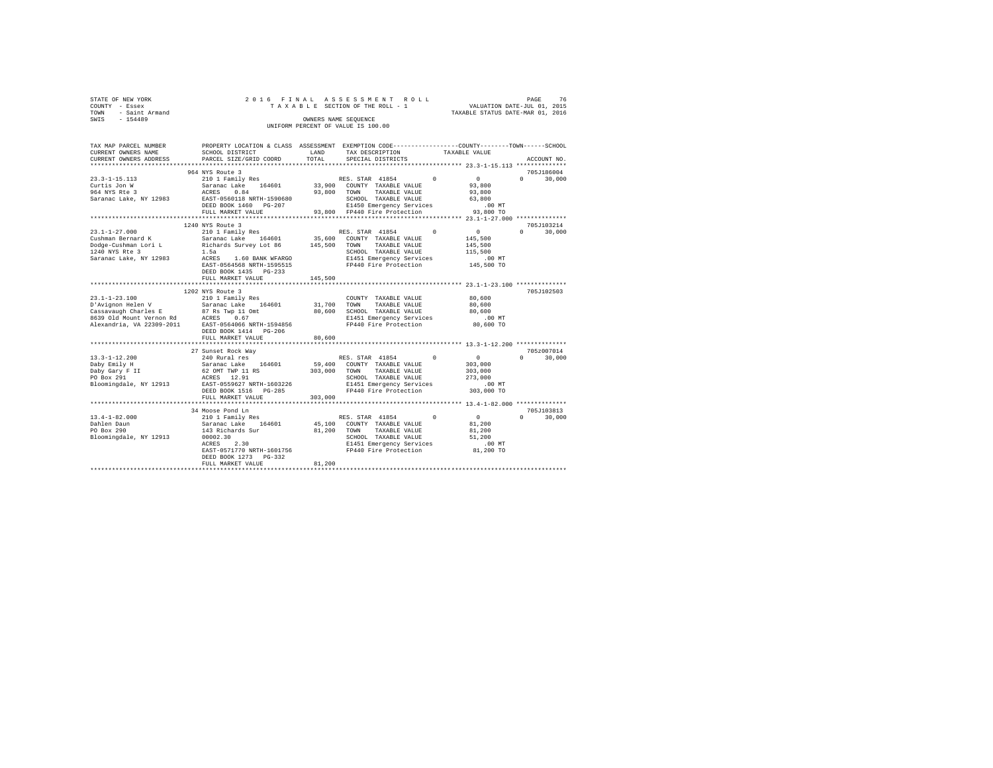| STATE OF NEW YORK<br>COUNTY - Essex<br>- Saint Armand<br>TOWN<br>SWIS - 154489                                                                                    |                                                                                                                                                                                                                                                                                                                                                                                                                                                                                         |               | 2016 FINAL ASSESSMENT ROLL<br>o rinal assessment roll.<br>TAXABLE SECTION OF THE ROLL - 1 VALUATION DATE-JUL 01, 2015<br>OWNERS NAME SEQUENCE<br>UNIFORM PERCENT OF VALUE IS 100.00                                                                                            | TAXABLE STATUS DATE-MAR 01, 2016                                           | PAGE<br>76                                 |
|-------------------------------------------------------------------------------------------------------------------------------------------------------------------|-----------------------------------------------------------------------------------------------------------------------------------------------------------------------------------------------------------------------------------------------------------------------------------------------------------------------------------------------------------------------------------------------------------------------------------------------------------------------------------------|---------------|--------------------------------------------------------------------------------------------------------------------------------------------------------------------------------------------------------------------------------------------------------------------------------|----------------------------------------------------------------------------|--------------------------------------------|
| TAX MAP PARCEL NUMBER<br>CURRENT OWNERS NAME<br>CURRENT OWNERS ADDRESS<br>$23.3 - 1 - 15.113$<br>Curtis Jon W<br>ACRES<br>964 NYS Rte 3<br>Saranac Lake, NY 12983 | SCHOOL DISTRICT<br>PARCEL SIZE/GRID COORD<br>964 NYS Route 3<br>0.84<br>EAST-0560118 NRTH-1590680<br>DEED BOOK 1460 PG-207<br>FULL MARKET VALUE                                                                                                                                                                                                                                                                                                                                         | LAND<br>TOTAL | PROPERTY LOCATION & CLASS ASSESSMENT EXEMPTION CODE---------------COUNTY-------TOWN-----SCHOOL<br>TAX DESCRIPTION<br>SPECIAL DISTRICTS<br>93.800 TOWN TAXABLE VALUE<br>SCHOOL TAXABLE VALUE 63,800<br>DO MT E1450 Emergency Services<br>93,800 FP440 Fire Protection 93,800 TO | TAXABLE VALUE<br>$\sim$ 0 $\sim$ 0<br>93,800<br>93,800                     | ACCOUNT NO.<br>705J186004<br>$0 \t 30.000$ |
| 1240 NYS Rte 3<br>Saranac Lake, NY 12983                                                                                                                          | 1240 NYS Route 3<br>$\begin{array}{ccccccccc} 23.1\texttt{-}1\texttt{-}27.000 & & & 210&1\text{ Family Res} & & & \text{RES. STAR} & 41854 & 0 \\ \texttt{Cushman Bernard K} & & & \texttt{Saranac Lake} & 164601 & & 35,600 & \texttt{COUNTY} & \texttt{TAXABLE VALUE} \end{array}$<br>Dodge-Cushman Lori L     Richards Survey Lot 86       145,500 TOWN   TAXABLE VALUE<br>1.5a<br>ACRES 1.60 BANK WFARGO<br>EAST-0564568 NRTH-1595515<br>DEED BOOK 1435 PG-233<br>FULL MARKET VALUE | 145,500       | SCHOOL TAXABLE VALUE<br>E1451 Emergency Services<br>FP440 Fire Protection                                                                                                                                                                                                      | $\sim$ 0 $\sim$ 0<br>145,500<br>145,500<br>115,500<br>.00 MT<br>145,500 TO | 705-T103214<br>$0 \t 30.000$               |
| $23.1 - 1 - 23.100$                                                                                                                                               | 1202 NYS Route 3<br>210 1 Family Res<br>D'Avignon Helen V Saranac Lake 164601 31,700 TOWN<br>DEED BOOK 1414 PG-206<br>FULL MARKET VALUE                                                                                                                                                                                                                                                                                                                                                 | 80,600        | COUNTY TAXABLE VALUE 80,600<br>TAXABLE VALUE                                                                                                                                                                                                                                   | 80,600<br>$.00$ MT<br>80,600 TO                                            | 705J102503                                 |
| $13.3 - 1 - 12.200$<br>Daby Emily H<br>Daby Gary F II                                                                                                             | 27 Sunset Rock Way<br>240 Rural res<br>Saranac Lake 164601 59,400 COUNTY TAXABLE VALUE<br>62 OMT TWP 11 RS                                                                                                                                                                                                                                                                                                                                                                              |               | RES. STAR 41854<br>$\Omega$<br>303.000 TOWN<br>TAXABLE VALUE                                                                                                                                                                                                                   | $\mathbf{0}$<br>303,000<br>303,000                                         | 705z007014<br>30,000<br>$\Omega$           |

Bloomingdale, NY 12913 EAST-0559627 NRTH-1603226 E1451 Emergency Services .00 MT DEED BOOK 1516 PG-285 FP440 Fire Protection 303,000 TO FULL MARKET VALUE 303,000 \*\*\*\*\*\*\*\*\*\*\*\*\*\*\*\*\*\*\*\*\*\*\*\*\*\*\*\*\*\*\*\*\*\*\*\*\*\*\*\*\*\*\*\*\*\*\*\*\*\*\*\*\*\*\*\*\*\*\*\*\*\*\*\*\*\*\*\*\*\*\*\*\*\*\*\*\*\*\*\*\*\*\*\*\*\*\*\*\*\*\*\*\*\*\*\*\*\*\*\*\*\*\* 13.4-1-82.000 \*\*\*\*\*\*\*\*\*\*\*\*\*\* 34 Moose Pond Ln 2010<br>13.4-1-82.000 210 1 Family Res RES. STAR 41854 0 0 0 30,000

EAST-0571770 NRTH-1601756 FP440 Fire Protection 81,200 TO DEED BOOK 1273 PG-332 FULL MARKET VALUE 81,200 \*\*\*\*\*\*\*\*\*\*\*\*\*\*\*\*\*\*\*\*\*\*\*\*\*\*\*\*\*\*\*\*\*\*\*\*\*\*\*\*\*\*\*\*\*\*\*\*\*\*\*\*\*\*\*\*\*\*\*\*\*\*\*\*\*\*\*\*\*\*\*\*\*\*\*\*\*\*\*\*\*\*\*\*\*\*\*\*\*\*\*\*\*\*\*\*\*\*\*\*\*\*\*\*\*\*\*\*\*\*\*\*\*\*\*\*\*\*\*\*\*\*\*\*\*\*\*\*\*\*\*\*

 $\begin{tabular}{lllllllllll} \texttt{Day} \texttt{Gary} & F & 62 \texttt{ONT} & TWP & 11 \texttt{RS} & 303,000 & T0WN & TAXABLEV ALUBE & 303,000 \\ \texttt{PO Box 291} & \texttt{ACES} & 12.91 & 303,000 & SCHOOL & TAXABLEV ALUBE & 303,000 \\ \texttt{PO Box 291} & \texttt{ACES} & 12.91 & 303,000 & TXXABLEV ALUBE & 303,000 \\ \texttt{Bloomingdale, NY 12913} & \texttt{EXST-055$ 

Dahlen Daun – Saranac Lake 164601 – 45,100 COUNTY TAXABLE VALUE – 81,200<br>DO Box 290 – 143 Richards Sur – 81,200 TOWN TAXABLE VALUE – 81,200<br>Bloomingdale, NY 12913 – 00002.30 – 81451 Emergency Services – 000 MT<br>MCRES 2.30 –

PORES 12.91<br>
RAST-0559627 NRTH-1603226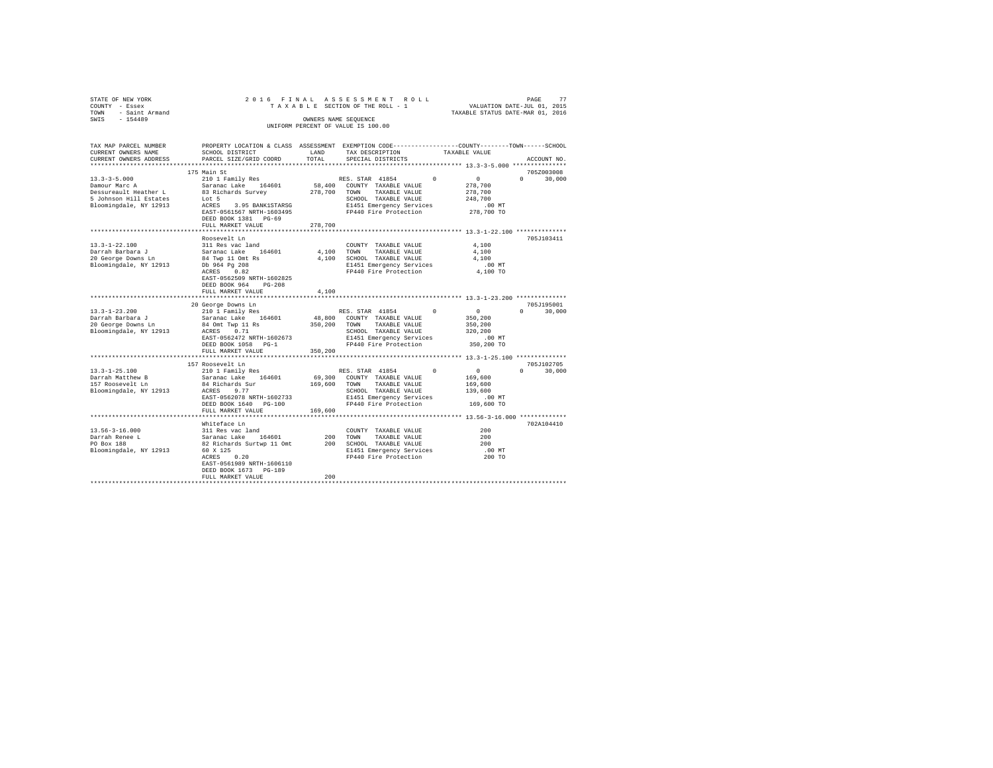| STATE OF NEW YORK<br>COUNTY - Essex | 2016 FINAL                                                                                      |            | ASSESSMENT ROLL<br>TAXABLE SECTION OF THE ROLL - 1 |          | PAGE 77<br>VALUATION DATE-JUL 01, 2015 |                        |        |
|-------------------------------------|-------------------------------------------------------------------------------------------------|------------|----------------------------------------------------|----------|----------------------------------------|------------------------|--------|
| - Saint Armand<br>TOWN              |                                                                                                 |            |                                                    |          | TAXABLE STATUS DATE-MAR 01, 2016       |                        |        |
| $-154489$<br>SWIS                   |                                                                                                 |            | OWNERS NAME SEQUENCE                               |          |                                        |                        |        |
|                                     |                                                                                                 |            | UNIFORM PERCENT OF VALUE IS 100.00                 |          |                                        |                        |        |
| TAX MAP PARCEL NUMBER               | PROPERTY LOCATION & CLASS ASSESSMENT EXEMPTION CODE---------------COUNTY-------TOWN------SCHOOL |            |                                                    |          |                                        |                        |        |
| CURRENT OWNERS NAME                 | SCHOOL DISTRICT                                                                                 | LAND       | TAX DESCRIPTION                                    |          | TAXABLE VALUE                          |                        |        |
| CURRENT OWNERS ADDRESS              | PARCEL SIZE/GRID COORD                                                                          | TOTAL      | SPECIAL DISTRICTS                                  |          |                                        | ACCOUNT NO.            |        |
|                                     |                                                                                                 |            |                                                    |          |                                        |                        |        |
| $13.3 - 3 - 5.000$                  | 175 Main St<br>210 1 Family Res                                                                 |            | RES. STAR 41854                                    | $\Omega$ | $\Omega$                               | 705Z003008<br>$\Omega$ | 30,000 |
| Damour Marc A                       | Saranac Lake 164601                                                                             |            | 58,400 COUNTY TAXABLE VALUE                        |          | 278,700                                |                        |        |
| Dessureault Heather L               | 83 Richards Survey                                                                              | 278,700    | TOWN<br>TAXABLE VALUE                              |          | 278,700                                |                        |        |
| 5 Johnson Hill Estates              | Lot 5                                                                                           |            | SCHOOL TAXABLE VALUE                               |          | 248,700                                |                        |        |
| Bloomingdale, NY 12913              | ACRES 3.95 BANK1STARSG                                                                          |            | E1451 Emergency Services                           |          | $.00$ MT                               |                        |        |
|                                     | EAST-0561567 NRTH-1603495                                                                       |            | FP440 Fire Protection                              |          | 278,700 TO                             |                        |        |
|                                     | DEED BOOK 1381 PG-69                                                                            |            |                                                    |          |                                        |                        |        |
|                                     | FULL MARKET VALUE                                                                               | 278,700    |                                                    |          |                                        |                        |        |
|                                     |                                                                                                 |            |                                                    |          |                                        |                        |        |
|                                     | Roosevelt Ln                                                                                    |            |                                                    |          |                                        | 705J103411             |        |
| 13.3-1-22.100                       | 311 Res vac land                                                                                |            | COUNTY TAXABLE VALUE                               |          | 4,100                                  |                        |        |
| Darrah Barbara J                    | Saranac Lake 164601                                                                             | 4,100 TOWN | TAXABLE VALUE                                      |          | 4,100                                  |                        |        |
| 20 George Downs Ln                  | 84 Twp 11 Omt Rs                                                                                |            | 4,100 SCHOOL TAXABLE VALUE                         |          | 4,100                                  |                        |        |
| Bloomingdale, NY 12913              | Db 964 Pg 208<br>0.82<br>ACRES                                                                  |            | E1451 Emergency Services<br>FP440 Fire Protection  |          | $.00$ MT<br>4,100 TO                   |                        |        |
|                                     | EAST-0562509 NRTH-1602825                                                                       |            |                                                    |          |                                        |                        |        |
|                                     | $PG-208$<br>DEED BOOK 964                                                                       |            |                                                    |          |                                        |                        |        |
|                                     | FULL MARKET VALUE                                                                               | 4,100      |                                                    |          |                                        |                        |        |
|                                     |                                                                                                 |            |                                                    |          |                                        |                        |        |
|                                     | 20 George Downs Ln                                                                              |            |                                                    |          |                                        | 705J195001             |        |
| $13.3 - 1 - 23.200$                 | 210 1 Family Res                                                                                |            | RES. STAR 41854                                    |          | $\sim$ 0                               | $\Omega$<br>30,000     |        |
| Darrah Barbara J                    | Saranac Lake 164601                                                                             |            | 48,800 COUNTY TAXABLE VALUE                        |          | 350,200                                |                        |        |
| 20 George Downs Ln                  | 84 Omt Twp 11 Rs                                                                                | 350,200    | TOWN<br>TAXABLE VALUE                              |          | 350,200                                |                        |        |
| Bloomingdale, NY 12913              | ACRES 0.71                                                                                      |            | SCHOOL TAXABLE VALUE                               |          | 320,200                                |                        |        |
|                                     | EAST-0562472 NRTH-1602673                                                                       |            | E1451 Emergency Services                           |          | $.00$ MT                               |                        |        |
|                                     | DEED BOOK 1058 PG-1<br>FULL MARKET VALUE                                                        | 350,200    | FP440 Fire Protection                              |          | 350,200 TO                             |                        |        |
|                                     |                                                                                                 |            |                                                    |          |                                        |                        |        |
|                                     | 157 Roosevelt Ln                                                                                |            |                                                    |          |                                        | 705J102705             |        |
| $13.3 - 1 - 25.100$                 | 210 1 Family Res                                                                                |            | RES. STAR 41854                                    |          | $\sim$ 0                               | $\Omega$<br>30,000     |        |
| Darrah Matthew B                    | Saranac Lake 164601                                                                             | 69,300     | COUNTY TAXABLE VALUE                               |          | 169,600                                |                        |        |
| 157 Roosevelt Ln                    | 84 Richards Sur                                                                                 | 169,600    | TOWN<br>TAXABLE VALUE                              |          | 169,600                                |                        |        |
| Bloomingdale, NY 12913              | ACRES 9.77                                                                                      |            | SCHOOL TAXABLE VALUE                               |          | 139,600                                |                        |        |
|                                     | EAST-0562078 NRTH-1602733                                                                       |            | E1451 Emergency Services                           |          | $.00$ MT                               |                        |        |
|                                     | DEED BOOK 1640 PG-100                                                                           |            | FP440 Fire Protection                              |          | 169,600 TO                             |                        |        |
|                                     | FULL MARKET VALUE                                                                               | 169,600    |                                                    |          |                                        |                        |        |
|                                     |                                                                                                 |            |                                                    |          |                                        |                        |        |
| $13.56 - 3 - 16.000$                | Whiteface Ln                                                                                    |            |                                                    |          |                                        | 702A104410             |        |
| Darrah Renee L                      | 311 Res vac land<br>Saranac Lake 164601                                                         |            | COUNTY TAXABLE VALUE<br>200 TOWN<br>TAXABLE VALUE  |          | 200<br>200                             |                        |        |
| PO Box 188                          | 82 Richards Surtwp 11 Omt                                                                       |            | 200 SCHOOL TAXABLE VALUE                           |          | 200                                    |                        |        |
| Bloomingdale, NY 12913              | 60 X 125                                                                                        |            | E1451 Emergency Services                           |          | $.00$ MT                               |                        |        |
|                                     | ACRES 0.20                                                                                      |            | FP440 Fire Protection                              |          | 200 TO                                 |                        |        |
|                                     | EAST-0561989 NRTH-1606110                                                                       |            |                                                    |          |                                        |                        |        |
|                                     | DEED BOOK 1673 PG-189                                                                           |            |                                                    |          |                                        |                        |        |
|                                     | FULL MARKET VALUE                                                                               | 200        |                                                    |          |                                        |                        |        |
|                                     |                                                                                                 |            |                                                    |          |                                        |                        |        |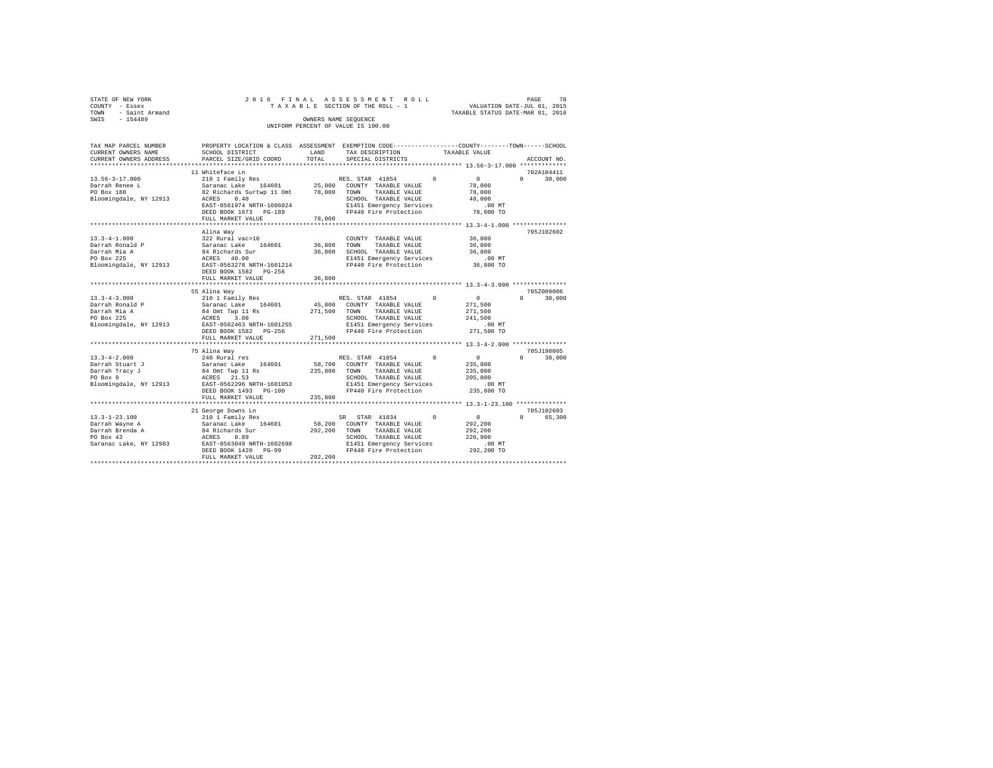| STATE OF NEW YORK |                     |  |  | 2016 FINAL ASSESSMENT ROLL         |  |  |                                  | PAGE | 78 |
|-------------------|---------------------|--|--|------------------------------------|--|--|----------------------------------|------|----|
| COUNTY - Essex    |                     |  |  | TAXABLE SECTION OF THE ROLL - 1    |  |  | VALUATION DATE-JUL 01, 2015      |      |    |
|                   | TOWN - Saint Armand |  |  |                                    |  |  | TAXABLE STATUS DATE-MAR 01, 2016 |      |    |
| SWIS              | $-154489$           |  |  | OWNERS NAME SEOUENCE               |  |  |                                  |      |    |
|                   |                     |  |  | UNIFORM PERCENT OF VALUE IS 100.00 |  |  |                                  |      |    |

| 11 Whiteface Ln<br>702A104411<br>210 1 Family Res<br>$\sim$ 0 $\sim$<br>RES. STAR 41854 0<br>$0 \qquad \qquad$<br>30,000<br>Saranac Lake 164601 25,000 COUNTY TAXABLE VALUE 82 Richards Surtwp 11 Omt 78,000 TOWN TAXABLE VALUE<br>78,000<br>78,000<br>$13.50 - 2 =$<br>Darrah Renee L<br>Bloomingdale, NY 12913 ACRES 0.40<br>SCHOOL TAXABLE VALUE<br>E1451 Emergency Services<br>48,000<br>EAST-0561974 NRTH-1606024<br>.00MT<br>FP440 Fire Protection 78,000 TO<br>DEED BOOK 1673 PG-189<br>78,000<br>FULL MARKET VALUE<br>705J102602<br>Alina Way<br>36,800<br>$13.3 - 4 - 1.000$<br>322 Rural vac>10<br>Saranac Lake 164601<br>COUNTY TAXABLE VALUE<br>Darrah Ronald P<br>36,800 TOWN TAXABLE VALUE<br>36,800<br>84 Richards Sur<br>ACRES 40.00<br>36,800 SCHOOL TAXABLE VALUE 36,800<br>Darrah Mia A<br>PO Box 225<br>E1451 Emergency Services .00 MT<br>FP440 Fire Protection 36,800 TO<br>Bloomingdale, NY 12913 EAST-0563278 NRTH-1601214<br>36,800<br>FULL MARKET VALUE<br>705Z009006<br>55 Alina Way<br>$\sim$ 0<br>$\Omega$<br>210 1 Family Res<br>Saranac Lake 164601<br>RES. STAR 41854<br>0<br>30,000<br>45,800 COUNTY TAXABLE VALUE<br>Darrah Ronald P<br>271,500<br>Datrial Rollard Main States and Main States and Main States and Main States and Main States and Main States and Main States and Main States and Main States and Main States and Main States and Main States and Main States an<br>271,500<br>241,500<br>00 MT.<br>271,500 TO<br>FULL MARKET VALUE<br>271,500<br>705J198005<br>75 Alina Way<br>$\sim$ 0<br>$\Omega$ and $\Omega$<br>$13.3 - 4 - 2.000$<br>240 Rural res<br>RES. STAR 41854 0<br>30,000<br>Parrah Stuart J arms - Saranac Lake 164601 58,7<br>Darrah Tracy J 84 Omt Twp 11 Rs 235,8<br>PO Box 9 215 ACRES 21.53<br>Polomingdale, NY 12913 RAST-0562296 NRTH-1601053<br>58,700 COUNTY TAXABLE VALUE<br>235,800<br>235,800 TOWN TAXABLE VALUE<br>235,800<br>${\tt SCH OOL} \hspace{0.4cm} {\tt TAXABLE} \hspace{0.4cm} {\tt VALUE} \hspace{1.4cm} 205 \hspace{0.1cm}, 800$<br>FULL MARKET VALUE<br>235,800<br>705J102603<br>21 George Downs Ln<br>$\overline{0}$<br>$\Omega$<br>65,300<br>292,200<br>292,200<br>SCHOOL TAXABLE VALUE<br>226,900<br>.00 MT<br>FP440 Fire Protection 292, 200 TO<br>292, 200<br>DEED BOOK 1420 PG-99<br>FULL MARKET VALUE | TAX MAP PARCEL NUMBER<br>CURRENT OWNERS NAME | SCHOOL DISTRICT        | LAND  | TAX DESCRIPTION   | PROPERTY LOCATION & CLASS ASSESSMENT EXEMPTION CODE----------------COUNTY-------TOWN------SCHOOL<br>TAXABLE VALUE |             |  |  |  |  |
|----------------------------------------------------------------------------------------------------------------------------------------------------------------------------------------------------------------------------------------------------------------------------------------------------------------------------------------------------------------------------------------------------------------------------------------------------------------------------------------------------------------------------------------------------------------------------------------------------------------------------------------------------------------------------------------------------------------------------------------------------------------------------------------------------------------------------------------------------------------------------------------------------------------------------------------------------------------------------------------------------------------------------------------------------------------------------------------------------------------------------------------------------------------------------------------------------------------------------------------------------------------------------------------------------------------------------------------------------------------------------------------------------------------------------------------------------------------------------------------------------------------------------------------------------------------------------------------------------------------------------------------------------------------------------------------------------------------------------------------------------------------------------------------------------------------------------------------------------------------------------------------------------------------------------------------------------------------------------------------------------------------------------------------------------------------------------------------------------------------------------------------------------------------------------------------------------------------------------------------------------------------------------------------------------------|----------------------------------------------|------------------------|-------|-------------------|-------------------------------------------------------------------------------------------------------------------|-------------|--|--|--|--|
|                                                                                                                                                                                                                                                                                                                                                                                                                                                                                                                                                                                                                                                                                                                                                                                                                                                                                                                                                                                                                                                                                                                                                                                                                                                                                                                                                                                                                                                                                                                                                                                                                                                                                                                                                                                                                                                                                                                                                                                                                                                                                                                                                                                                                                                                                                          | CURRENT OWNERS ADDRESS                       | PARCEL SIZE/GRID COORD | TOTAL | SPECIAL DISTRICTS |                                                                                                                   | ACCOUNT NO. |  |  |  |  |
|                                                                                                                                                                                                                                                                                                                                                                                                                                                                                                                                                                                                                                                                                                                                                                                                                                                                                                                                                                                                                                                                                                                                                                                                                                                                                                                                                                                                                                                                                                                                                                                                                                                                                                                                                                                                                                                                                                                                                                                                                                                                                                                                                                                                                                                                                                          |                                              |                        |       |                   |                                                                                                                   |             |  |  |  |  |
|                                                                                                                                                                                                                                                                                                                                                                                                                                                                                                                                                                                                                                                                                                                                                                                                                                                                                                                                                                                                                                                                                                                                                                                                                                                                                                                                                                                                                                                                                                                                                                                                                                                                                                                                                                                                                                                                                                                                                                                                                                                                                                                                                                                                                                                                                                          | $13.56 - 3 - 17.000$                         |                        |       |                   |                                                                                                                   |             |  |  |  |  |
|                                                                                                                                                                                                                                                                                                                                                                                                                                                                                                                                                                                                                                                                                                                                                                                                                                                                                                                                                                                                                                                                                                                                                                                                                                                                                                                                                                                                                                                                                                                                                                                                                                                                                                                                                                                                                                                                                                                                                                                                                                                                                                                                                                                                                                                                                                          |                                              |                        |       |                   |                                                                                                                   |             |  |  |  |  |
|                                                                                                                                                                                                                                                                                                                                                                                                                                                                                                                                                                                                                                                                                                                                                                                                                                                                                                                                                                                                                                                                                                                                                                                                                                                                                                                                                                                                                                                                                                                                                                                                                                                                                                                                                                                                                                                                                                                                                                                                                                                                                                                                                                                                                                                                                                          |                                              |                        |       |                   |                                                                                                                   |             |  |  |  |  |
|                                                                                                                                                                                                                                                                                                                                                                                                                                                                                                                                                                                                                                                                                                                                                                                                                                                                                                                                                                                                                                                                                                                                                                                                                                                                                                                                                                                                                                                                                                                                                                                                                                                                                                                                                                                                                                                                                                                                                                                                                                                                                                                                                                                                                                                                                                          |                                              |                        |       |                   |                                                                                                                   |             |  |  |  |  |
|                                                                                                                                                                                                                                                                                                                                                                                                                                                                                                                                                                                                                                                                                                                                                                                                                                                                                                                                                                                                                                                                                                                                                                                                                                                                                                                                                                                                                                                                                                                                                                                                                                                                                                                                                                                                                                                                                                                                                                                                                                                                                                                                                                                                                                                                                                          |                                              |                        |       |                   |                                                                                                                   |             |  |  |  |  |
|                                                                                                                                                                                                                                                                                                                                                                                                                                                                                                                                                                                                                                                                                                                                                                                                                                                                                                                                                                                                                                                                                                                                                                                                                                                                                                                                                                                                                                                                                                                                                                                                                                                                                                                                                                                                                                                                                                                                                                                                                                                                                                                                                                                                                                                                                                          |                                              |                        |       |                   |                                                                                                                   |             |  |  |  |  |
|                                                                                                                                                                                                                                                                                                                                                                                                                                                                                                                                                                                                                                                                                                                                                                                                                                                                                                                                                                                                                                                                                                                                                                                                                                                                                                                                                                                                                                                                                                                                                                                                                                                                                                                                                                                                                                                                                                                                                                                                                                                                                                                                                                                                                                                                                                          |                                              |                        |       |                   |                                                                                                                   |             |  |  |  |  |
|                                                                                                                                                                                                                                                                                                                                                                                                                                                                                                                                                                                                                                                                                                                                                                                                                                                                                                                                                                                                                                                                                                                                                                                                                                                                                                                                                                                                                                                                                                                                                                                                                                                                                                                                                                                                                                                                                                                                                                                                                                                                                                                                                                                                                                                                                                          |                                              |                        |       |                   |                                                                                                                   |             |  |  |  |  |
|                                                                                                                                                                                                                                                                                                                                                                                                                                                                                                                                                                                                                                                                                                                                                                                                                                                                                                                                                                                                                                                                                                                                                                                                                                                                                                                                                                                                                                                                                                                                                                                                                                                                                                                                                                                                                                                                                                                                                                                                                                                                                                                                                                                                                                                                                                          |                                              |                        |       |                   |                                                                                                                   |             |  |  |  |  |
|                                                                                                                                                                                                                                                                                                                                                                                                                                                                                                                                                                                                                                                                                                                                                                                                                                                                                                                                                                                                                                                                                                                                                                                                                                                                                                                                                                                                                                                                                                                                                                                                                                                                                                                                                                                                                                                                                                                                                                                                                                                                                                                                                                                                                                                                                                          |                                              |                        |       |                   |                                                                                                                   |             |  |  |  |  |
|                                                                                                                                                                                                                                                                                                                                                                                                                                                                                                                                                                                                                                                                                                                                                                                                                                                                                                                                                                                                                                                                                                                                                                                                                                                                                                                                                                                                                                                                                                                                                                                                                                                                                                                                                                                                                                                                                                                                                                                                                                                                                                                                                                                                                                                                                                          |                                              |                        |       |                   |                                                                                                                   |             |  |  |  |  |
|                                                                                                                                                                                                                                                                                                                                                                                                                                                                                                                                                                                                                                                                                                                                                                                                                                                                                                                                                                                                                                                                                                                                                                                                                                                                                                                                                                                                                                                                                                                                                                                                                                                                                                                                                                                                                                                                                                                                                                                                                                                                                                                                                                                                                                                                                                          |                                              |                        |       |                   |                                                                                                                   |             |  |  |  |  |
|                                                                                                                                                                                                                                                                                                                                                                                                                                                                                                                                                                                                                                                                                                                                                                                                                                                                                                                                                                                                                                                                                                                                                                                                                                                                                                                                                                                                                                                                                                                                                                                                                                                                                                                                                                                                                                                                                                                                                                                                                                                                                                                                                                                                                                                                                                          |                                              |                        |       |                   |                                                                                                                   |             |  |  |  |  |
|                                                                                                                                                                                                                                                                                                                                                                                                                                                                                                                                                                                                                                                                                                                                                                                                                                                                                                                                                                                                                                                                                                                                                                                                                                                                                                                                                                                                                                                                                                                                                                                                                                                                                                                                                                                                                                                                                                                                                                                                                                                                                                                                                                                                                                                                                                          |                                              |                        |       |                   |                                                                                                                   |             |  |  |  |  |
|                                                                                                                                                                                                                                                                                                                                                                                                                                                                                                                                                                                                                                                                                                                                                                                                                                                                                                                                                                                                                                                                                                                                                                                                                                                                                                                                                                                                                                                                                                                                                                                                                                                                                                                                                                                                                                                                                                                                                                                                                                                                                                                                                                                                                                                                                                          |                                              |                        |       |                   |                                                                                                                   |             |  |  |  |  |
|                                                                                                                                                                                                                                                                                                                                                                                                                                                                                                                                                                                                                                                                                                                                                                                                                                                                                                                                                                                                                                                                                                                                                                                                                                                                                                                                                                                                                                                                                                                                                                                                                                                                                                                                                                                                                                                                                                                                                                                                                                                                                                                                                                                                                                                                                                          |                                              |                        |       |                   |                                                                                                                   |             |  |  |  |  |
|                                                                                                                                                                                                                                                                                                                                                                                                                                                                                                                                                                                                                                                                                                                                                                                                                                                                                                                                                                                                                                                                                                                                                                                                                                                                                                                                                                                                                                                                                                                                                                                                                                                                                                                                                                                                                                                                                                                                                                                                                                                                                                                                                                                                                                                                                                          |                                              |                        |       |                   |                                                                                                                   |             |  |  |  |  |
|                                                                                                                                                                                                                                                                                                                                                                                                                                                                                                                                                                                                                                                                                                                                                                                                                                                                                                                                                                                                                                                                                                                                                                                                                                                                                                                                                                                                                                                                                                                                                                                                                                                                                                                                                                                                                                                                                                                                                                                                                                                                                                                                                                                                                                                                                                          | $13.3 - 4 - 3.000$                           |                        |       |                   |                                                                                                                   |             |  |  |  |  |
|                                                                                                                                                                                                                                                                                                                                                                                                                                                                                                                                                                                                                                                                                                                                                                                                                                                                                                                                                                                                                                                                                                                                                                                                                                                                                                                                                                                                                                                                                                                                                                                                                                                                                                                                                                                                                                                                                                                                                                                                                                                                                                                                                                                                                                                                                                          |                                              |                        |       |                   |                                                                                                                   |             |  |  |  |  |
|                                                                                                                                                                                                                                                                                                                                                                                                                                                                                                                                                                                                                                                                                                                                                                                                                                                                                                                                                                                                                                                                                                                                                                                                                                                                                                                                                                                                                                                                                                                                                                                                                                                                                                                                                                                                                                                                                                                                                                                                                                                                                                                                                                                                                                                                                                          |                                              |                        |       |                   |                                                                                                                   |             |  |  |  |  |
|                                                                                                                                                                                                                                                                                                                                                                                                                                                                                                                                                                                                                                                                                                                                                                                                                                                                                                                                                                                                                                                                                                                                                                                                                                                                                                                                                                                                                                                                                                                                                                                                                                                                                                                                                                                                                                                                                                                                                                                                                                                                                                                                                                                                                                                                                                          |                                              |                        |       |                   |                                                                                                                   |             |  |  |  |  |
|                                                                                                                                                                                                                                                                                                                                                                                                                                                                                                                                                                                                                                                                                                                                                                                                                                                                                                                                                                                                                                                                                                                                                                                                                                                                                                                                                                                                                                                                                                                                                                                                                                                                                                                                                                                                                                                                                                                                                                                                                                                                                                                                                                                                                                                                                                          |                                              |                        |       |                   |                                                                                                                   |             |  |  |  |  |
|                                                                                                                                                                                                                                                                                                                                                                                                                                                                                                                                                                                                                                                                                                                                                                                                                                                                                                                                                                                                                                                                                                                                                                                                                                                                                                                                                                                                                                                                                                                                                                                                                                                                                                                                                                                                                                                                                                                                                                                                                                                                                                                                                                                                                                                                                                          |                                              |                        |       |                   |                                                                                                                   |             |  |  |  |  |
|                                                                                                                                                                                                                                                                                                                                                                                                                                                                                                                                                                                                                                                                                                                                                                                                                                                                                                                                                                                                                                                                                                                                                                                                                                                                                                                                                                                                                                                                                                                                                                                                                                                                                                                                                                                                                                                                                                                                                                                                                                                                                                                                                                                                                                                                                                          |                                              |                        |       |                   |                                                                                                                   |             |  |  |  |  |
|                                                                                                                                                                                                                                                                                                                                                                                                                                                                                                                                                                                                                                                                                                                                                                                                                                                                                                                                                                                                                                                                                                                                                                                                                                                                                                                                                                                                                                                                                                                                                                                                                                                                                                                                                                                                                                                                                                                                                                                                                                                                                                                                                                                                                                                                                                          |                                              |                        |       |                   |                                                                                                                   |             |  |  |  |  |
|                                                                                                                                                                                                                                                                                                                                                                                                                                                                                                                                                                                                                                                                                                                                                                                                                                                                                                                                                                                                                                                                                                                                                                                                                                                                                                                                                                                                                                                                                                                                                                                                                                                                                                                                                                                                                                                                                                                                                                                                                                                                                                                                                                                                                                                                                                          |                                              |                        |       |                   |                                                                                                                   |             |  |  |  |  |
|                                                                                                                                                                                                                                                                                                                                                                                                                                                                                                                                                                                                                                                                                                                                                                                                                                                                                                                                                                                                                                                                                                                                                                                                                                                                                                                                                                                                                                                                                                                                                                                                                                                                                                                                                                                                                                                                                                                                                                                                                                                                                                                                                                                                                                                                                                          |                                              |                        |       |                   |                                                                                                                   |             |  |  |  |  |
|                                                                                                                                                                                                                                                                                                                                                                                                                                                                                                                                                                                                                                                                                                                                                                                                                                                                                                                                                                                                                                                                                                                                                                                                                                                                                                                                                                                                                                                                                                                                                                                                                                                                                                                                                                                                                                                                                                                                                                                                                                                                                                                                                                                                                                                                                                          |                                              |                        |       |                   |                                                                                                                   |             |  |  |  |  |
|                                                                                                                                                                                                                                                                                                                                                                                                                                                                                                                                                                                                                                                                                                                                                                                                                                                                                                                                                                                                                                                                                                                                                                                                                                                                                                                                                                                                                                                                                                                                                                                                                                                                                                                                                                                                                                                                                                                                                                                                                                                                                                                                                                                                                                                                                                          |                                              |                        |       |                   |                                                                                                                   |             |  |  |  |  |
|                                                                                                                                                                                                                                                                                                                                                                                                                                                                                                                                                                                                                                                                                                                                                                                                                                                                                                                                                                                                                                                                                                                                                                                                                                                                                                                                                                                                                                                                                                                                                                                                                                                                                                                                                                                                                                                                                                                                                                                                                                                                                                                                                                                                                                                                                                          |                                              |                        |       |                   |                                                                                                                   |             |  |  |  |  |
|                                                                                                                                                                                                                                                                                                                                                                                                                                                                                                                                                                                                                                                                                                                                                                                                                                                                                                                                                                                                                                                                                                                                                                                                                                                                                                                                                                                                                                                                                                                                                                                                                                                                                                                                                                                                                                                                                                                                                                                                                                                                                                                                                                                                                                                                                                          |                                              |                        |       |                   |                                                                                                                   |             |  |  |  |  |
|                                                                                                                                                                                                                                                                                                                                                                                                                                                                                                                                                                                                                                                                                                                                                                                                                                                                                                                                                                                                                                                                                                                                                                                                                                                                                                                                                                                                                                                                                                                                                                                                                                                                                                                                                                                                                                                                                                                                                                                                                                                                                                                                                                                                                                                                                                          |                                              |                        |       |                   |                                                                                                                   |             |  |  |  |  |
|                                                                                                                                                                                                                                                                                                                                                                                                                                                                                                                                                                                                                                                                                                                                                                                                                                                                                                                                                                                                                                                                                                                                                                                                                                                                                                                                                                                                                                                                                                                                                                                                                                                                                                                                                                                                                                                                                                                                                                                                                                                                                                                                                                                                                                                                                                          |                                              |                        |       |                   |                                                                                                                   |             |  |  |  |  |
|                                                                                                                                                                                                                                                                                                                                                                                                                                                                                                                                                                                                                                                                                                                                                                                                                                                                                                                                                                                                                                                                                                                                                                                                                                                                                                                                                                                                                                                                                                                                                                                                                                                                                                                                                                                                                                                                                                                                                                                                                                                                                                                                                                                                                                                                                                          |                                              |                        |       |                   |                                                                                                                   |             |  |  |  |  |
|                                                                                                                                                                                                                                                                                                                                                                                                                                                                                                                                                                                                                                                                                                                                                                                                                                                                                                                                                                                                                                                                                                                                                                                                                                                                                                                                                                                                                                                                                                                                                                                                                                                                                                                                                                                                                                                                                                                                                                                                                                                                                                                                                                                                                                                                                                          |                                              |                        |       |                   |                                                                                                                   |             |  |  |  |  |
|                                                                                                                                                                                                                                                                                                                                                                                                                                                                                                                                                                                                                                                                                                                                                                                                                                                                                                                                                                                                                                                                                                                                                                                                                                                                                                                                                                                                                                                                                                                                                                                                                                                                                                                                                                                                                                                                                                                                                                                                                                                                                                                                                                                                                                                                                                          |                                              |                        |       |                   |                                                                                                                   |             |  |  |  |  |
|                                                                                                                                                                                                                                                                                                                                                                                                                                                                                                                                                                                                                                                                                                                                                                                                                                                                                                                                                                                                                                                                                                                                                                                                                                                                                                                                                                                                                                                                                                                                                                                                                                                                                                                                                                                                                                                                                                                                                                                                                                                                                                                                                                                                                                                                                                          |                                              |                        |       |                   |                                                                                                                   |             |  |  |  |  |
|                                                                                                                                                                                                                                                                                                                                                                                                                                                                                                                                                                                                                                                                                                                                                                                                                                                                                                                                                                                                                                                                                                                                                                                                                                                                                                                                                                                                                                                                                                                                                                                                                                                                                                                                                                                                                                                                                                                                                                                                                                                                                                                                                                                                                                                                                                          |                                              |                        |       |                   |                                                                                                                   |             |  |  |  |  |
|                                                                                                                                                                                                                                                                                                                                                                                                                                                                                                                                                                                                                                                                                                                                                                                                                                                                                                                                                                                                                                                                                                                                                                                                                                                                                                                                                                                                                                                                                                                                                                                                                                                                                                                                                                                                                                                                                                                                                                                                                                                                                                                                                                                                                                                                                                          |                                              |                        |       |                   |                                                                                                                   |             |  |  |  |  |
|                                                                                                                                                                                                                                                                                                                                                                                                                                                                                                                                                                                                                                                                                                                                                                                                                                                                                                                                                                                                                                                                                                                                                                                                                                                                                                                                                                                                                                                                                                                                                                                                                                                                                                                                                                                                                                                                                                                                                                                                                                                                                                                                                                                                                                                                                                          |                                              |                        |       |                   |                                                                                                                   |             |  |  |  |  |
|                                                                                                                                                                                                                                                                                                                                                                                                                                                                                                                                                                                                                                                                                                                                                                                                                                                                                                                                                                                                                                                                                                                                                                                                                                                                                                                                                                                                                                                                                                                                                                                                                                                                                                                                                                                                                                                                                                                                                                                                                                                                                                                                                                                                                                                                                                          |                                              |                        |       |                   |                                                                                                                   |             |  |  |  |  |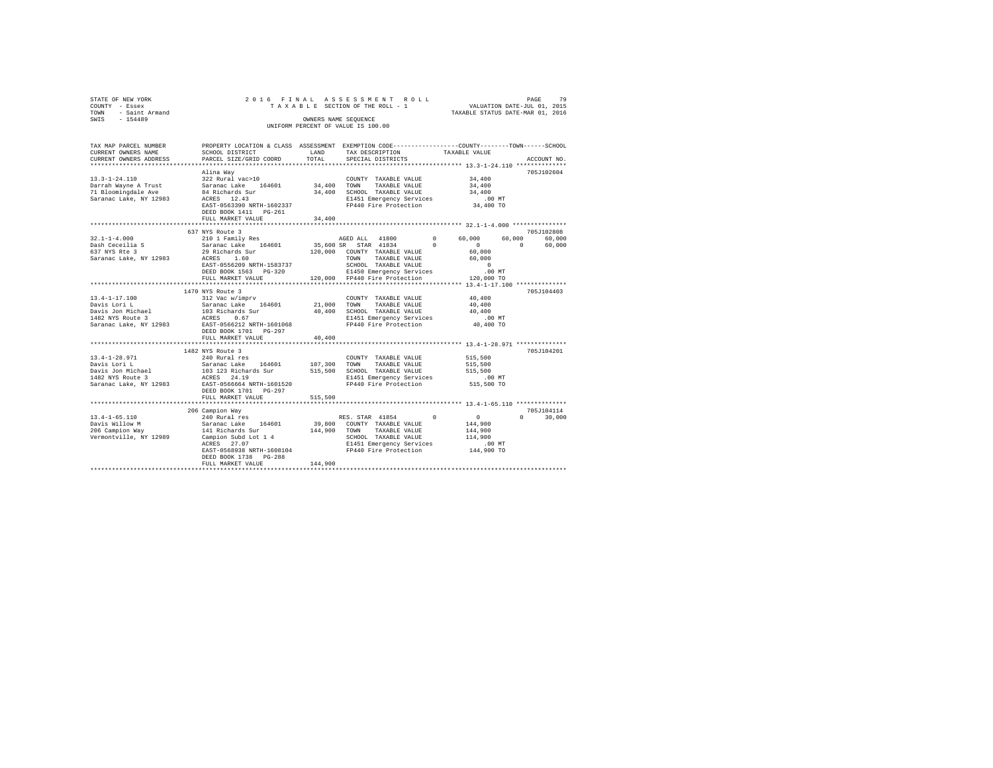| STATE OF NEW YORK      | 2016 FINAL ASSESSMENT ROLL         | PAGE                             | 79 |
|------------------------|------------------------------------|----------------------------------|----|
|                        |                                    |                                  |    |
| COUNTY - Essex         | TAXABLE SECTION OF THE ROLL - 1    | VALUATION DATE-JUL 01, 2015      |    |
| - Saint Armand<br>TOWN |                                    | TAXABLE STATUS DATE-MAR 01, 2016 |    |
| SWIS<br>$-154489$      | OWNERS NAME SEOUENCE               |                                  |    |
|                        | UNIFORM PERCENT OF VALUE IS 100.00 |                                  |    |
|                        |                                    |                                  |    |
|                        |                                    |                                  |    |

| TAX MAP PARCEL NUMBER<br>CURRENT OWNERS NAME<br>CURRENT OWNERS ADDRESS             | SCHOOL DISTRICT<br>PARCEL SIZE/GRID COORD                                                                                                                                                                                                                                                                                                                                                                                                   | LAND<br>TOTAL           | PROPERTY LOCATION & CLASS ASSESSMENT EXEMPTION CODE---------------COUNTY-------TOWN-----SCHOOL<br>TAX DESCRIPTION TAXABLE VALUE<br>SPECIAL DISTRICTS                         |                                                                             | ACCOUNT NO.                      |
|------------------------------------------------------------------------------------|---------------------------------------------------------------------------------------------------------------------------------------------------------------------------------------------------------------------------------------------------------------------------------------------------------------------------------------------------------------------------------------------------------------------------------------------|-------------------------|------------------------------------------------------------------------------------------------------------------------------------------------------------------------------|-----------------------------------------------------------------------------|----------------------------------|
| 71 Bloomingdale Ave                                                                | Alina Way<br>$\begin{array}{ccccccccc} 13.3\text{--}1\text{--}24.110 & & & & 34.400 \\ & & & 322 \text{ Rural vac}>10 & & & & 34.400 \\ \text{Darrah Wayne A Trust} & & & & 54.400 & & 34.400 & & \text{TOMN} & & \text{TAXABLE VALUE} & & & 34.400 \\ \end{array}$<br>84 Richards Sur<br>Saranac Lake, NY 12983 ACRES 12.43<br>EAST-0563390 NRTH-1602337<br>FULL MARKET VALUE<br>****************************                              | 34,400<br>************* | 34,400 SCHOOL TAXABLE VALUE<br>E1451 Emergency Services<br>FP440 Fire Protection                                                                                             | 34,400<br>$34,400$ TO<br>******************** 32.1-1-4.000 **************** | 705J102604                       |
| $32.1 - 1 - 4.000$<br>Dash Ceceilia S<br>200 November 3<br>Saranac Lake, NY 12983  | 637 NYS Route 3<br>EAST-0556209 NRTH-1583737<br>DEED BOOK 1563 PG-320<br>FULL MARKET VALUE                                                                                                                                                                                                                                                                                                                                                  |                         | AGED ALL 41800 0 60,000 60,000 60,000<br>SCHOOL TAXABLE VALUE<br>E1450 Emergency Services<br>120,000 FP440 Fire Protection                                                   | $\sim$ 0<br>$\sim$ 0<br>$\sim$ 0<br>$.00$ MT<br>120,000 TO                  | 705J102808<br>60,000             |
|                                                                                    | 1470 NYS Route 3<br>$[14.4-1-17.100$ \begin{array}{l} \rule{0pt}{2pt} \rule{0pt}{2pt} \rule{0pt}{2pt} \rule{0pt}{2pt} \rule{0pt}{2pt} \rule{0pt}{2pt} \rule{0pt}{2pt} \rule{0pt}{2pt} \rule{0pt}{2pt} \rule{0pt}{2pt} \rule{0pt}{2pt} \rule{0pt}{2pt} \rule{0pt}{2pt} \rule{0pt}{2pt} \rule{0pt}{2pt} \rule{0pt}{2pt} \rule{0pt}{2pt} \rule{0pt}{2pt} \rule{0pt}{2pt} \rule{0pt}{2pt} \rule{0pt}{2pt} \rule{0pt}{2pt}$<br>FULL MARKET VALUE | 40,400                  | TAXABLE VALUE<br>E1451 Emergency Services<br>F1451 Emergency Services 1.00 MT<br>FP440 Fire Protection 10,400 TO                                                             | 40,400<br>40,400<br>40,400                                                  | 705J104403                       |
| $13.4 - 1 - 28.971$                                                                | 1482 NYS Route 3<br>240 Rural res<br>Saranac Lake, NY 12983 EAST-0566664 NRTH-1601520<br>DEED BOOK 1701 PG-297<br>FULL MARKET VALUE                                                                                                                                                                                                                                                                                                         | 515,500                 | COUNTY TAXABLE VALUE<br>E1451 Emergency Services .00 MT<br>FP440 Fire Protection 515,500 TO                                                                                  | $515\,, 500$                                                                | 705J104201                       |
| $13.4 - 1 - 65.110$<br>Davis Willow M<br>206 Campion Way<br>Vermontville, NY 12989 | 206 Campion Way<br>campion war<br>240 Rural res<br>Saranac Lake 164601<br>141 Richards Sur<br>--- ,<br>Campion Subd Lot 1 4<br>are 27.07 51451 Emergency Services<br>EAST-0568938 NRTH-1608104<br>DEED BOOK 1738 PG-288<br>FULL MARKET VALUE                                                                                                                                                                                                | 144,900                 | RES. STAR 41854 0 0<br>39,800 COUNTY TAXABLE VALUE<br>144,900 TOWN TAXABLE VALUE<br>SCHOOL TAXABLE VALUE 114,900<br>E1451 Emergency Services .00 MT<br>FP440 Fire Protection | 144,900<br>144,900<br>144,900 TO                                            | 705J104114<br>$\Omega$<br>30,000 |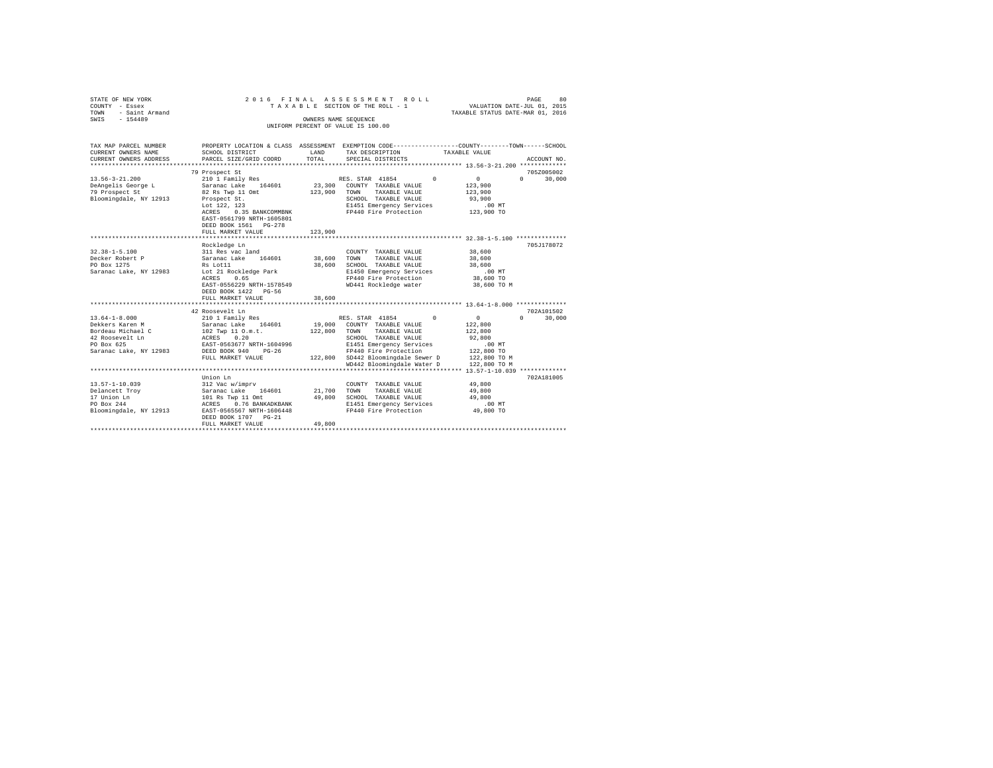| STATE OF NEW YORK<br>COUNTY - Essex<br>TOWN<br>- Saint Armand<br>SWIS<br>$-154489$ | 2016 FINAL                                                                                                                                   | OWNERS NAME SEQUENCE | ASSESSMENT<br>ROLL<br>TAXABLE SECTION OF THE ROLL - 1                                             |                                | PAGE<br>80<br>VALUATION DATE-JUL 01, 2015<br>TAXABLE STATUS DATE-MAR 01, 2016 |
|------------------------------------------------------------------------------------|----------------------------------------------------------------------------------------------------------------------------------------------|----------------------|---------------------------------------------------------------------------------------------------|--------------------------------|-------------------------------------------------------------------------------|
|                                                                                    |                                                                                                                                              |                      | UNIFORM PERCENT OF VALUE IS 100.00                                                                |                                |                                                                               |
| TAX MAP PARCEL NUMBER<br>CURRENT OWNERS NAME<br>CURRENT OWNERS ADDRESS             | PROPERTY LOCATION & CLASS ASSESSMENT EXEMPTION CODE---------------COUNTY-------TOWN------SCHOOL<br>SCHOOL DISTRICT<br>PARCEL SIZE/GRID COORD | LAND<br>TOTAL        | TAX DESCRIPTION<br>SPECIAL DISTRICTS                                                              | TAXABLE VALUE                  | ACCOUNT NO.                                                                   |
| *********************                                                              |                                                                                                                                              |                      |                                                                                                   |                                |                                                                               |
| $13.56 - 3 - 21.200$                                                               | 79 Prospect St<br>210 1 Family Res                                                                                                           |                      | RES. STAR 41854                                                                                   | $\Omega$<br>$\circ$            | 705Z005002<br>$\Omega$<br>30,000                                              |
| DeAngelis George L<br>79 Prospect St<br>Bloomingdale, NY 12913                     | Saranac Lake 164601<br>82 Rs Twp 11 Omt<br>Prospect St.<br>Lot 122, 123                                                                      | 23,300<br>123,900    | COUNTY TAXABLE VALUE<br>TAXABLE VALUE<br>TOWN<br>SCHOOL TAXABLE VALUE<br>E1451 Emergency Services | 123,900<br>123,900<br>93,900   | $.00$ MT                                                                      |
|                                                                                    | 0.35 BANKCOMMBNK<br>ACRES<br>EAST-0561799 NRTH-1605801<br>DEED BOOK 1561 PG-278<br>FULL MARKET VALUE                                         | 123,900              | FP440 Fire Protection                                                                             |                                | 123,900 TO                                                                    |
|                                                                                    | ******************************                                                                                                               | ***********          |                                                                                                   |                                |                                                                               |
|                                                                                    | Rockledge Ln                                                                                                                                 |                      |                                                                                                   |                                | 705J178072                                                                    |
| $32.38 - 1 - 5.100$<br>Decker Robert P                                             | 311 Res vac land<br>Saranac Lake 164601                                                                                                      | 38,600               | COUNTY TAXABLE VALUE<br>TOWN                                                                      | 38,600<br>38,600               |                                                                               |
| PO Box 1275                                                                        | Rs Lot11                                                                                                                                     | 38,600               | TAXABLE VALUE<br>SCHOOL TAXABLE VALUE                                                             | 38,600                         |                                                                               |
| Saranac Lake, NY 12983                                                             | Lot 21 Rockledge Park                                                                                                                        |                      | E1450 Emergency Services                                                                          |                                | $.00$ MT                                                                      |
|                                                                                    | ACRES<br>0.65                                                                                                                                |                      | FP440 Fire Protection                                                                             |                                | 38,600 TO                                                                     |
|                                                                                    | EAST-0556229 NRTH-1578549<br>DEED BOOK 1422 PG-56<br>FULL MARKET VALUE                                                                       | 38,600               | WD441 Rockledge water                                                                             |                                | 38,600 TO M                                                                   |
|                                                                                    |                                                                                                                                              |                      |                                                                                                   |                                |                                                                               |
|                                                                                    | 42 Roosevelt Ln                                                                                                                              |                      |                                                                                                   |                                | 702A101502                                                                    |
| $13.64 - 1 - 8.000$<br>Dekkers Karen M                                             | 210 1 Family Res<br>Saranac Lake<br>164601                                                                                                   | 19,000               | RES. STAR 41854<br>COUNTY TAXABLE VALUE                                                           | $\circ$<br>$\Omega$<br>122,800 | $\Omega$<br>30,000                                                            |
| Bordeau Michael C                                                                  | 102 Twp 11 O.m.t.                                                                                                                            | 122,800              | TOWN TAXABLE VALUE                                                                                | 122,800                        |                                                                               |
| 42 Roosevelt Ln<br>PO Box 625                                                      | 0.20<br>ACRES<br>EAST-0563677 NRTH-1604996                                                                                                   |                      | SCHOOL TAXABLE VALUE<br>E1451 Emergency Services                                                  | 92,800                         | .00MT                                                                         |
| Saranac Lake, NY 12983                                                             | DEED BOOK 940<br>$PG-26$                                                                                                                     |                      | FP440 Fire Protection                                                                             |                                | 122,800 TO                                                                    |
|                                                                                    | FULL MARKET VALUE                                                                                                                            |                      | 122,800 SD442 Bloomingdale Sewer D                                                                |                                | 122,800 TO M                                                                  |
|                                                                                    |                                                                                                                                              |                      | WD442 Bloomingdale Water D                                                                        |                                | 122,800 TO M                                                                  |
|                                                                                    |                                                                                                                                              |                      |                                                                                                   |                                |                                                                               |
| $13.57 - 1 - 10.039$                                                               | Union Ln<br>312 Vac w/imprv                                                                                                                  |                      | COUNTY TAXABLE VALUE                                                                              | 49,800                         | 702A181005                                                                    |
| Delancett Troy                                                                     | Saranac Lake<br>164601                                                                                                                       | 21,700               | TOWN<br>TAXABLE VALUE                                                                             | 49,800                         |                                                                               |
| 17 Union Ln                                                                        | 101 Rs Twp 11 Omt                                                                                                                            | 49,800               | SCHOOL TAXABLE VALUE                                                                              | 49,800                         |                                                                               |
| PO Box 244                                                                         | 0.76 BANKADKBANK<br>ACRES                                                                                                                    |                      | E1451 Emergency Services                                                                          |                                | .00MT                                                                         |
| Bloomingdale, NY 12913                                                             | EAST-0565567 NRTH-1606448<br>DEED BOOK 1707 PG-21<br>FULL MARKET VALUE                                                                       | 49,800               | FP440 Fire Protection                                                                             |                                | 49,800 TO                                                                     |
|                                                                                    |                                                                                                                                              |                      |                                                                                                   |                                |                                                                               |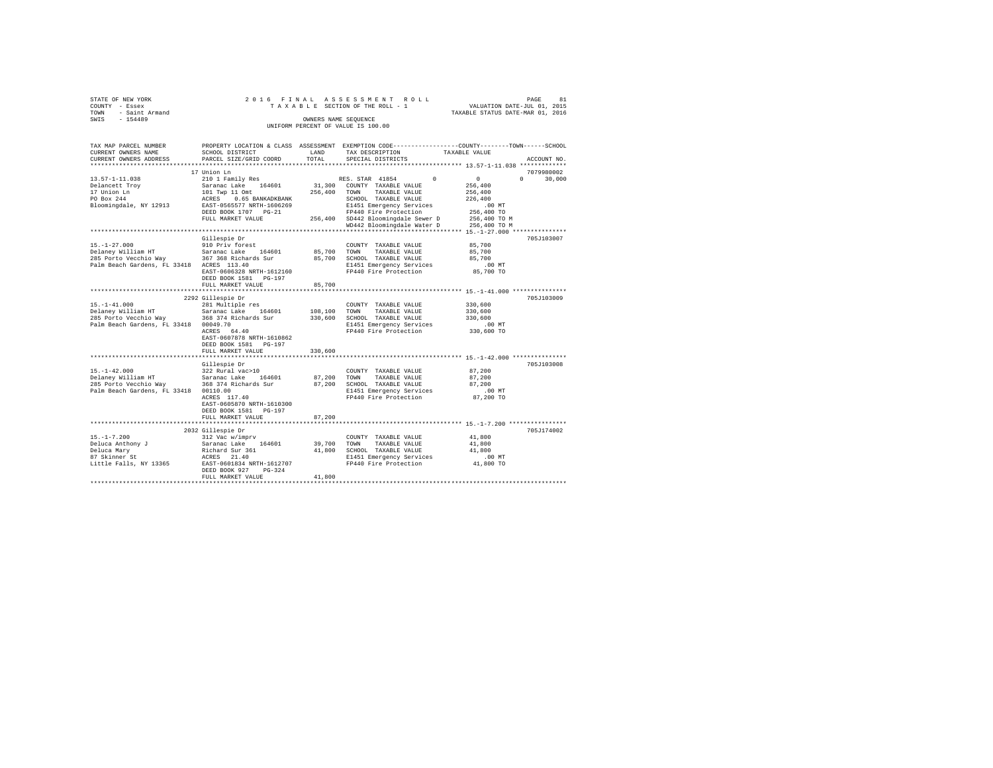|                | STATE OF NEW YORK   |  |  |  |  | 2016 FINAL ASSESSMENT ROLL         |  |  |  |  |  |                                  |                             | PAGE | 81 |
|----------------|---------------------|--|--|--|--|------------------------------------|--|--|--|--|--|----------------------------------|-----------------------------|------|----|
| COUNTY - Essex |                     |  |  |  |  | TAXABLE SECTION OF THE ROLL - 1    |  |  |  |  |  |                                  | VALUATION DATE-JUL 01, 2015 |      |    |
|                | TOWN - Saint Armand |  |  |  |  |                                    |  |  |  |  |  | TAXABLE STATUS DATE-MAR 01, 2016 |                             |      |    |
| SWIS           | $-154489$           |  |  |  |  | OWNERS NAME SEOUENCE               |  |  |  |  |  |                                  |                             |      |    |
|                |                     |  |  |  |  | UNIFORM PERCENT OF VALUE IS 100.00 |  |  |  |  |  |                                  |                             |      |    |

| TAX MAP PARCEL NUMBER<br>CURRENT OWNERS NAME     | SCHOOL DISTRICT                                                                                      | LAND                 | PROPERTY LOCATION & CLASS ASSESSMENT EXEMPTION CODE----------------COUNTY-------TOWN------SCHOOL<br>TAX DESCRIPTION | TAXABLE VALUE                  |
|--------------------------------------------------|------------------------------------------------------------------------------------------------------|----------------------|---------------------------------------------------------------------------------------------------------------------|--------------------------------|
| CURRENT OWNERS ADDRESS                           | PARCEL SIZE/GRID COORD                                                                               | TOTAL                | SPECIAL DISTRICTS                                                                                                   | ACCOUNT NO.                    |
|                                                  | 17 Union Ln                                                                                          |                      |                                                                                                                     | 7079980002                     |
| 13.57-1-11.038                                   | 210 1 Family Res                                                                                     |                      | RES. STAR 41854<br>$^{\circ}$                                                                                       | $\sim$ 0<br>$\Omega$<br>30,000 |
| Delancett Troy                                   | Saranac Lake 164601                                                                                  |                      | 31,300 COUNTY TAXABLE VALUE                                                                                         | 256,400                        |
| 17 Union Ln                                      |                                                                                                      |                      | 256,400 TOWN<br>TAXABLE VALUE                                                                                       | 256,400                        |
| PO Box 244                                       | 101 Twp 11 Omt<br>ACRES 0.65 BANKADKBA<br>EAST-0565577 NRTH-16062<br>0.65 BANKADKBANK                |                      | SCHOOL TAXABLE VALUE                                                                                                | 226,400                        |
| Bloomingdale, NY 12913                           | EAST-0565577 NRTH-1606269                                                                            |                      | E1451 Emergency Services                                                                                            | $.00$ MT                       |
|                                                  | DEED BOOK 1707 PG-21                                                                                 |                      | FP440 Fire Protection                                                                                               | 256,400 TO                     |
|                                                  | FULL MARKET VALUE                                                                                    |                      | 256,400 SD442 Bloomingdale Sewer D                                                                                  | 256,400 TO M                   |
|                                                  |                                                                                                      |                      | WD442 Bloomingdale Water D                                                                                          | 256,400 TO M                   |
|                                                  |                                                                                                      |                      |                                                                                                                     |                                |
|                                                  | Gillespie Dr                                                                                         |                      |                                                                                                                     | 705J103007                     |
| $15. - 1 - 27.000$                               | 910 Priv forest                                                                                      |                      | COUNTY TAXABLE VALUE                                                                                                | 85,700                         |
| Delaney William HT                               | Saranac Lake 164601                                                                                  | 85,700 TOWN          | TAXABLE VALUE                                                                                                       | 85,700                         |
| 285 Porto Vecchio Way 367 368 Richards Sur       |                                                                                                      |                      | 85,700 SCHOOL TAXABLE VALUE                                                                                         | 85,700                         |
| Palm Beach Gardens, FL 33418 ACRES 113.40        |                                                                                                      |                      | E1451 Emergency Services                                                                                            | $.00$ MT                       |
|                                                  | EAST-0606328 NRTH-1612160                                                                            |                      | FP440 Fire Protection                                                                                               | 85,700 TO                      |
|                                                  | DEED BOOK 1581 PG-197                                                                                |                      |                                                                                                                     |                                |
|                                                  | FULL MARKET VALUE                                                                                    | 85,700               |                                                                                                                     |                                |
|                                                  |                                                                                                      |                      | ************************************ 15.-1-41.000 ****************                                                  |                                |
|                                                  | 2292 Gillespie Dr                                                                                    |                      |                                                                                                                     | 705J103009                     |
| $15. - 1 - 41.000$                               | 281 Multiple res                                                                                     |                      | COUNTY TAXABLE VALUE                                                                                                | 330,600                        |
| Delaney William HT                               | $\frac{201 \text{ mu} + 252}{201 \text{ mm}}$                                                        | 108,100 TOWN         | TAXABLE VALUE                                                                                                       | 330,600                        |
| 285 Porto Vecchio Way 368 374 Richards Sur       |                                                                                                      |                      | 330,600 SCHOOL TAXABLE VALUE                                                                                        | 330,600                        |
| Palm Beach Gardens, FL 33418 00049.70            |                                                                                                      |                      | E1451 Emergency Services                                                                                            | $.00$ MT                       |
|                                                  | ACRES 64.40                                                                                          |                      | FP440 Fire Protection                                                                                               | 330,600 TO                     |
|                                                  | EAST-0607878 NRTH-1610862                                                                            |                      |                                                                                                                     |                                |
|                                                  | DEED BOOK 1581 PG-197                                                                                |                      |                                                                                                                     |                                |
|                                                  | FULL MARKET VALUE                                                                                    | 330,600              |                                                                                                                     |                                |
|                                                  |                                                                                                      |                      |                                                                                                                     |                                |
|                                                  | Gillespie Dr                                                                                         |                      |                                                                                                                     | 705J103008                     |
| $15. - 1 - 42.000$                               | 322 Rural vac>10                                                                                     |                      | COUNTY TAXABLE VALUE                                                                                                | 87,200                         |
|                                                  |                                                                                                      | 87,200 TOWN          | TAXABLE VALUE                                                                                                       | 87,200                         |
|                                                  |                                                                                                      |                      | 87,200 SCHOOL TAXABLE VALUE                                                                                         | 87,200                         |
| Palm Beach Gardens, FL 33418 00110.00            | UU110.00<br>ACRES 117.40                                                                             |                      | E1451 Emergency Services<br>FP440 Fire Protection                                                                   | $.00$ MT                       |
|                                                  |                                                                                                      |                      |                                                                                                                     | 87,200 TO                      |
|                                                  | EAST-0605870 NRTH-1610300                                                                            |                      |                                                                                                                     |                                |
|                                                  | DEED BOOK 1581 PG-197                                                                                |                      |                                                                                                                     |                                |
|                                                  | FULL MARKET VALUE<br>*******************************                                                 | 87,200<br>********** |                                                                                                                     |                                |
|                                                  |                                                                                                      |                      |                                                                                                                     |                                |
|                                                  | 2032 Gillespie Dr<br>312 Vac w/imprv                                                                 |                      |                                                                                                                     | 705J174002                     |
| $15. - 1 - 7.200$                                |                                                                                                      | 39,700 TOWN          | COUNTY TAXABLE VALUE                                                                                                | 41,800                         |
|                                                  |                                                                                                      |                      | TAXABLE VALUE                                                                                                       | 41,800                         |
| Deluca Anthony J<br>Deluca Mary<br>87 Skinner St | 312 vac w/impr<br>Saranac Lake 164601<br>Richard Sur 361<br>ACRES 21.40<br>EAST-0601834 NRTH-1612707 |                      | 41,800 SCHOOL TAXABLE VALUE                                                                                         | 41,800                         |
| Little Falls, NY 13365                           |                                                                                                      |                      | E1451 Emergency Services<br>FP440 Fire Protection                                                                   | .00MT<br>41,800 TO             |
|                                                  | DEED BOOK 927<br>$PG-324$                                                                            |                      |                                                                                                                     |                                |
|                                                  | FULL MARKET VALUE                                                                                    | 41,800               |                                                                                                                     |                                |
|                                                  |                                                                                                      |                      |                                                                                                                     |                                |
|                                                  |                                                                                                      |                      |                                                                                                                     |                                |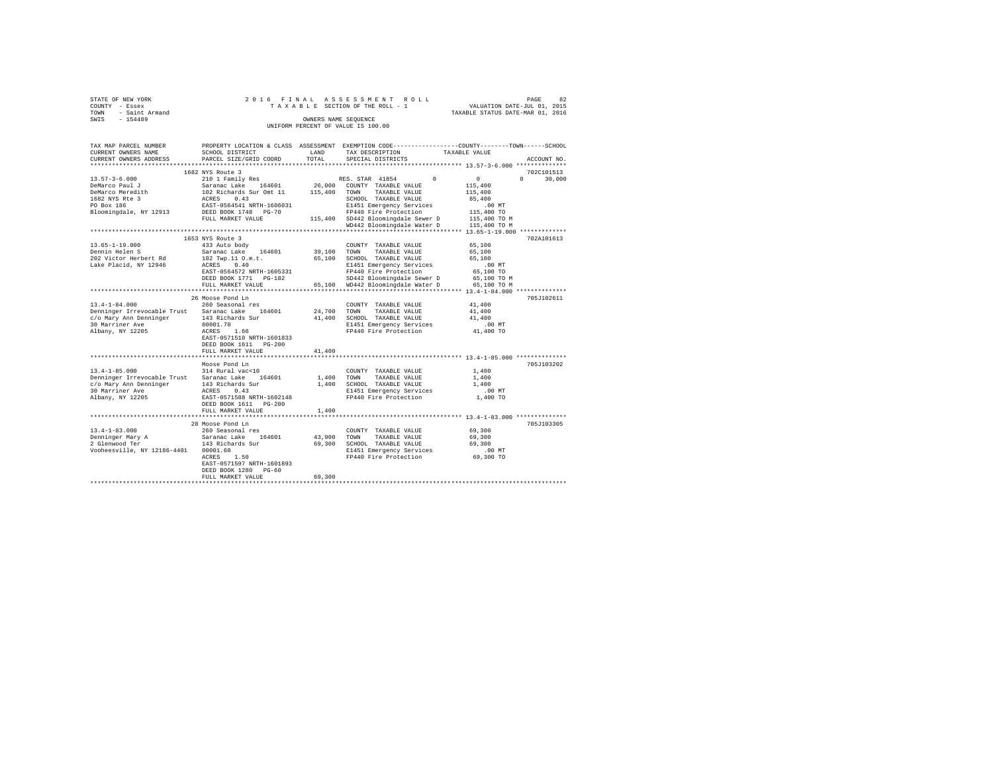|                | STATE OF NEW YORK   |  |  |  |  | 2016 FINAL ASSESSMENT ROLL         |  |  |  |  |                                  |                             | PAGE | 82 |
|----------------|---------------------|--|--|--|--|------------------------------------|--|--|--|--|----------------------------------|-----------------------------|------|----|
| COUNTY - Essex |                     |  |  |  |  | TAXABLE SECTION OF THE ROLL - 1    |  |  |  |  |                                  | VALUATION DATE-JUL 01, 2015 |      |    |
|                | TOWN - Saint Armand |  |  |  |  |                                    |  |  |  |  | TAXABLE STATUS DATE-MAR 01, 2016 |                             |      |    |
| SWIS           | $-154489$           |  |  |  |  | OWNERS NAME SEOUENCE               |  |  |  |  |                                  |                             |      |    |
|                |                     |  |  |  |  | UNIFORM PERCENT OF VALUE IS 100.00 |  |  |  |  |                                  |                             |      |    |

| TAX MAP PARCEL NUMBER<br>CURRENT OWNERS NAME | PROPERTY LOCATION & CLASS ASSESSMENT EXEMPTION CODE----------------COUNTY-------TOWN------SCHOOL<br>SCHOOL DISTRICT | LAND        | TAX DESCRIPTION                                    |          | TAXABLE VALUE |                    |
|----------------------------------------------|---------------------------------------------------------------------------------------------------------------------|-------------|----------------------------------------------------|----------|---------------|--------------------|
| CURRENT OWNERS ADDRESS                       | PARCEL SIZE/GRID COORD                                                                                              | TOTAL       | SPECIAL DISTRICTS                                  |          |               | ACCOUNT NO.        |
| **********************                       | *****************************                                                                                       |             |                                                    |          |               |                    |
|                                              | 1682 NYS Route 3                                                                                                    |             |                                                    |          |               | 702C101513         |
| $13.57 - 3 - 6.000$                          | 210 1 Family Res                                                                                                    |             | RES. STAR 41854                                    | $\Omega$ | 0             | $\Omega$<br>30,000 |
| DeMarco Paul J                               | Saranac Lake 164601                                                                                                 | 26,000      | COUNTY TAXABLE VALUE                               |          | 115,400       |                    |
| DeMarco Meredith                             | 102 Richards Sur Omt 11                                                                                             | 115,400     | TOWN<br>TAXABLE VALUE                              |          | 115,400       |                    |
| 1682 NYS Rte 3                               | 0.43                                                                                                                |             | SCHOOL TAXABLE VALUE                               |          | 85,400        |                    |
| PO Box 186                                   | ACRES<br>EAST-0564541 NRTH-1606031                                                                                  |             | E1451 Emergency Services                           |          | $.00$ MT      |                    |
|                                              | DEED BOOK 1748 PG-70                                                                                                |             | FP440 Fire Protection                              |          | 115,400 TO    |                    |
| Bloomingdale, NY 12913                       |                                                                                                                     |             | 115,400 SD442 Bloomingdale Sewer D                 |          | 115,400 TO M  |                    |
|                                              | FULL MARKET VALUE                                                                                                   |             |                                                    |          |               |                    |
|                                              |                                                                                                                     |             | WD442 Bloomingdale Water D                         |          | 115,400 TO M  |                    |
|                                              |                                                                                                                     |             |                                                    |          |               |                    |
|                                              | 1653 NYS Route 3                                                                                                    |             |                                                    |          |               | 702A101613         |
| $13.65 - 1 - 19.000$                         | 433 Auto body                                                                                                       |             | COUNTY TAXABLE VALUE                               |          | 65,100        |                    |
| Dennin Helen S                               | Saranac Lake 164601                                                                                                 | 39,100 TOWN | TAXABLE VALUE                                      |          | 65,100        |                    |
| 202 Victor Herbert Rd                        | 102 Twp.11 O.m.t.                                                                                                   |             | 65,100 SCHOOL TAXABLE VALUE                        |          | 65,100        |                    |
| Lake Placid, NY 12946                        | ACRES 0.40                                                                                                          |             | E1451 Emergency Services                           |          | $.00$ MT      |                    |
|                                              | EAST-0564572 NRTH-1605331                                                                                           |             | FP440 Fire Protection                              |          | 65,100 TO     |                    |
|                                              | DEED BOOK 1771 PG-182                                                                                               |             | SD442 Bloomingdale Sewer D                         |          | 65,100 TO M   |                    |
|                                              | FULL MARKET VALUE                                                                                                   |             | 65,100 WD442 Bloomingdale Water D                  |          | 65,100 TO M   |                    |
|                                              |                                                                                                                     |             | *********************** 13.4-1-84.000 ************ |          |               |                    |
|                                              | 26 Moose Pond Ln                                                                                                    |             |                                                    |          |               | 705J102611         |
| $13.4 - 1 - 84.000$                          | 260 Seasonal res                                                                                                    |             | COUNTY TAXABLE VALUE                               |          | 41,400        |                    |
| Denninger Irrevocable Trust                  | Saranac Lake 164601                                                                                                 | 24,700 TOWN | TAXABLE VALUE                                      |          | 41,400        |                    |
| c/o Mary Ann Denninger                       | 143 Richards Sur                                                                                                    | 41,400      | SCHOOL TAXABLE VALUE                               |          | 41,400        |                    |
| 30 Marriner Ave                              | 00001.70                                                                                                            |             | E1451 Emergency Services                           |          | $.00$ MT      |                    |
| Albany, NY 12205                             | ACRES 1.66                                                                                                          |             | FP440 Fire Protection                              |          | 41,400 TO     |                    |
|                                              | EAST-0571510 NRTH-1601833                                                                                           |             |                                                    |          |               |                    |
|                                              | DEED BOOK 1611 PG-200                                                                                               |             |                                                    |          |               |                    |
|                                              | FULL MARKET VALUE                                                                                                   | 41,400      |                                                    |          |               |                    |
|                                              |                                                                                                                     |             |                                                    |          |               |                    |
|                                              | Moose Pond Ln                                                                                                       |             |                                                    |          |               | 705J103202         |
| $13.4 - 1 - 85.000$                          | 314 Rural vac<10                                                                                                    |             | COUNTY TAXABLE VALUE                               |          | 1,400         |                    |
| Denninger Irrevocable Trust                  | 164601<br>Saranac Lake                                                                                              | 1,400       | TOWN<br>TAXABLE VALUE                              |          | 1,400         |                    |
| c/o Mary Ann Denninger                       | 143 Richards Sur                                                                                                    | 1,400       | SCHOOL TAXABLE VALUE                               |          | 1,400         |                    |
| 30 Marriner Ave                              | <b>ACRES</b><br>0.43                                                                                                |             | E1451 Emergency Services                           |          | $.00$ MT      |                    |
| Albany, NY 12205                             | EAST-0571588 NRTH-1602148                                                                                           |             | FP440 Fire Protection                              |          | 1,400 TO      |                    |
|                                              | DEED BOOK 1611 PG-200                                                                                               |             |                                                    |          |               |                    |
|                                              | FULL MARKET VALUE                                                                                                   | 1,400       |                                                    |          |               |                    |
|                                              |                                                                                                                     |             |                                                    |          |               |                    |
|                                              | 28 Moose Pond Ln                                                                                                    |             |                                                    |          |               | 705J103305         |
| $13.4 - 1 - 83.000$                          | 260 Seasonal res                                                                                                    |             | COUNTY TAXABLE VALUE                               |          | 69,300        |                    |
| Denninger Mary A                             | 164601<br>Saranac Lake                                                                                              | 43,900      | TOWN<br>TAXABLE VALUE                              |          | 69,300        |                    |
| 2 Glenwood Ter                               | 143 Richards Sur                                                                                                    | 69,300      | SCHOOL TAXABLE VALUE                               |          | 69,300        |                    |
| Vooheesville, NY 12186-4401 00001.60         |                                                                                                                     |             | E1451 Emergency Services                           |          | .00 MT        |                    |
|                                              | 1.50<br>ACRES                                                                                                       |             | FP440 Fire Protection                              |          | 69,300 TO     |                    |
|                                              | EAST-0571597 NRTH-1601893                                                                                           |             |                                                    |          |               |                    |
|                                              | DEED BOOK 1280 PG-60                                                                                                |             |                                                    |          |               |                    |
|                                              | FULL MARKET VALUE                                                                                                   | 69,300      |                                                    |          |               |                    |
|                                              |                                                                                                                     |             |                                                    |          |               |                    |
|                                              |                                                                                                                     |             |                                                    |          |               |                    |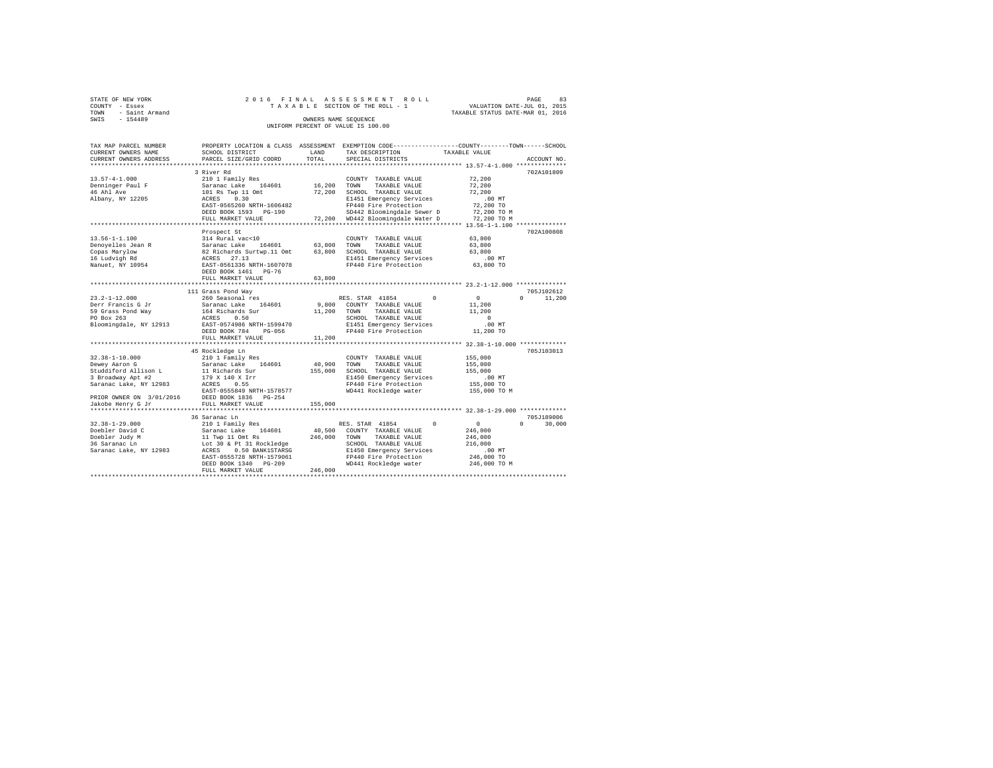| STATE OF NEW YORK      | 2016 FINAL ASSESSMENT ROLL         | PAGE                             | 83 |
|------------------------|------------------------------------|----------------------------------|----|
| COUNTY - Essex         | TAXABLE SECTION OF THE ROLL - 1    | VALUATION DATE-JUL 01, 2015      |    |
| - Saint Armand<br>TOWN |                                    | TAXABLE STATUS DATE-MAR 01, 2016 |    |
| SWIS<br>$-154489$      | OWNERS NAME SEOUENCE               |                                  |    |
|                        | UNIFORM PERCENT OF VALUE IS 100.00 |                                  |    |
|                        |                                    |                                  |    |
|                        |                                    |                                  |    |

| TAX MAP PARCEL NUMBER                                | PROPERTY LOCATION & CLASS ASSESSMENT |         | EXEMPTION CODE-----------------COUNTY-------TOWN------SCHOOL |               |                    |
|------------------------------------------------------|--------------------------------------|---------|--------------------------------------------------------------|---------------|--------------------|
| CURRENT OWNERS NAME                                  | SCHOOL DISTRICT                      | LAND    | TAX DESCRIPTION                                              | TAXABLE VALUE |                    |
| CURRENT OWNERS ADDRESS<br>************************** | PARCEL SIZE/GRID COORD               | TOTAL   | SPECIAL DISTRICTS                                            |               | ACCOUNT NO.        |
|                                                      | 3 River Rd                           |         |                                                              |               | 702A101809         |
| $13.57 - 4 - 1.000$                                  | 210 1 Family Res                     |         | COUNTY TAXABLE VALUE                                         | 72,200        |                    |
| Denninger Paul F                                     | Saranac Lake<br>164601               | 16,200  | TOWN<br>TAXABLE VALUE                                        | 72,200        |                    |
| 46 Ahl Ave                                           | 101 Rs Twp 11 Omt                    | 72,200  | SCHOOL TAXABLE VALUE                                         | 72,200        |                    |
| Albany, NY 12205                                     | ACRES<br>0.30                        |         | E1451 Emergency Services                                     | $.00$ MT      |                    |
|                                                      | EAST-0565260 NRTH-1606482            |         | FP440 Fire Protection                                        | 72,200 TO     |                    |
|                                                      | DEED BOOK 1593 PG-190                |         | SD442 Bloomingdale Sewer D                                   | 72,200 TO M   |                    |
|                                                      | FULL MARKET VALUE                    |         | 72.200 WD442 Bloomingdale Water D                            | 72,200 TO M   |                    |
|                                                      | **********************               |         |                                                              |               |                    |
|                                                      | Prospect St                          |         |                                                              |               | 702A100808         |
| $13.56 - 1 - 1.100$                                  | 314 Rural vac<10                     |         | COUNTY TAXABLE VALUE                                         | 63,800        |                    |
| Denoyelles Jean R                                    | Saranac Lake<br>164601               | 63,800  | TOWN<br>TAXABLE VALUE                                        | 63,800        |                    |
| Copas Marylow                                        | 82 Richards Surtwp.11 Omt            | 63,800  | SCHOOL TAXABLE VALUE                                         | 63,800        |                    |
| 16 Ludvigh Rd                                        | 27.13<br>ACRES                       |         | E1451 Emergency Services                                     | .00 MT        |                    |
| Nanuet, NY 10954                                     | EAST-0561336 NRTH-1607078            |         | FP440 Fire Protection                                        | 63,800 TO     |                    |
|                                                      | DEED BOOK 1461 PG-76                 |         |                                                              |               |                    |
|                                                      | FULL MARKET VALUE                    | 63,800  |                                                              |               |                    |
|                                                      |                                      |         |                                                              |               |                    |
|                                                      | 111 Grass Pond Way                   |         |                                                              |               | 705J102612         |
| $23.2 - 1 - 12.000$                                  | 260 Seasonal res                     |         | RES. STAR 41854<br>$^{\circ}$                                | $\circ$       | $\cap$<br>11,200   |
| Derr Francis G Jr                                    | Saranac Lake<br>164601               | 9,800   | COUNTY TAXABLE VALUE                                         | 11,200        |                    |
| 59 Grass Pond Way                                    | 164 Richards Sur                     | 11,200  | TOWN<br>TAXABLE VALUE                                        | 11,200        |                    |
| PO Box 263                                           | ACRES<br>0.50                        |         | SCHOOL TAXABLE VALUE                                         | $\Omega$      |                    |
| Bloomingdale, NY 12913                               | EAST-0574986 NRTH-1599470            |         | E1451 Emergency Services                                     | $.00$ MT      |                    |
|                                                      | DEED BOOK 784<br>$PG-056$            |         | FP440 Fire Protection                                        | 11,200 TO     |                    |
|                                                      | FULL MARKET VALUE                    | 11,200  |                                                              |               |                    |
|                                                      |                                      |         | *************** 32.38-1-10.000 ************                  |               |                    |
| $32.38 - 1 - 10.000$                                 | 45 Rockledge Ln<br>210 1 Family Res  |         | COUNTY TAXABLE VALUE                                         | 155,000       | 705J103013         |
| Dewey Aaron G                                        | Saranac Lake<br>164601               | 40,900  | TOWN<br>TAXABLE VALUE                                        | 155,000       |                    |
| Studdiford Allison L                                 | 11 Richards Sur                      | 155,000 | SCHOOL TAXABLE VALUE                                         | 155,000       |                    |
| 3 Broadway Apt #2                                    | 179 X 140 X Irr                      |         | E1450 Emergency Services                                     | .00MT         |                    |
| Saranac Lake, NY 12983                               | ACRES<br>0.55                        |         | FP440 Fire Protection                                        | 155,000 TO    |                    |
|                                                      | EAST-0555849 NRTH-1578577            |         | WD441 Rockledge water                                        | 155,000 TO M  |                    |
| PRIOR OWNER ON 3/01/2016                             | DEED BOOK 1836 PG-254                |         |                                                              |               |                    |
| Jakobe Henry G Jr                                    | FULL MARKET VALUE                    | 155,000 |                                                              |               |                    |
|                                                      | *********************                |         |                                                              |               |                    |
|                                                      | 36 Saranac Ln                        |         |                                                              |               | 705J189006         |
| $32.38 - 1 - 29.000$                                 | 210 1 Family Res                     |         | $\Omega$<br>RES. STAR 41854                                  | $\circ$       | $\Omega$<br>30,000 |
| Doebler David C                                      | 164601<br>Saranac Lake               | 40,500  | COUNTY TAXABLE VALUE                                         | 246,000       |                    |
| Doebler Judy M                                       | 11 Twp 11 Omt Rs                     | 246,000 | TOWN<br>TAXABLE VALUE                                        | 246,000       |                    |
| 36 Saranac Ln                                        | Lot 30 & Pt 31 Rockledge             |         | SCHOOL TAXABLE VALUE                                         | 216,000       |                    |
| Saranac Lake, NY 12983                               | 0.50 BANK1STARSG<br>ACRES            |         | E1450 Emergency Services                                     | $.00$ MT      |                    |
|                                                      | EAST-0555728 NRTH-1579061            |         | FP440 Fire Protection                                        | 246,000 TO    |                    |
|                                                      | DEED BOOK 1340 PG-209                |         | WD441 Rockledge water                                        | 246,000 TO M  |                    |
|                                                      | FULL MARKET VALUE                    | 246,000 |                                                              |               |                    |
|                                                      |                                      |         |                                                              |               |                    |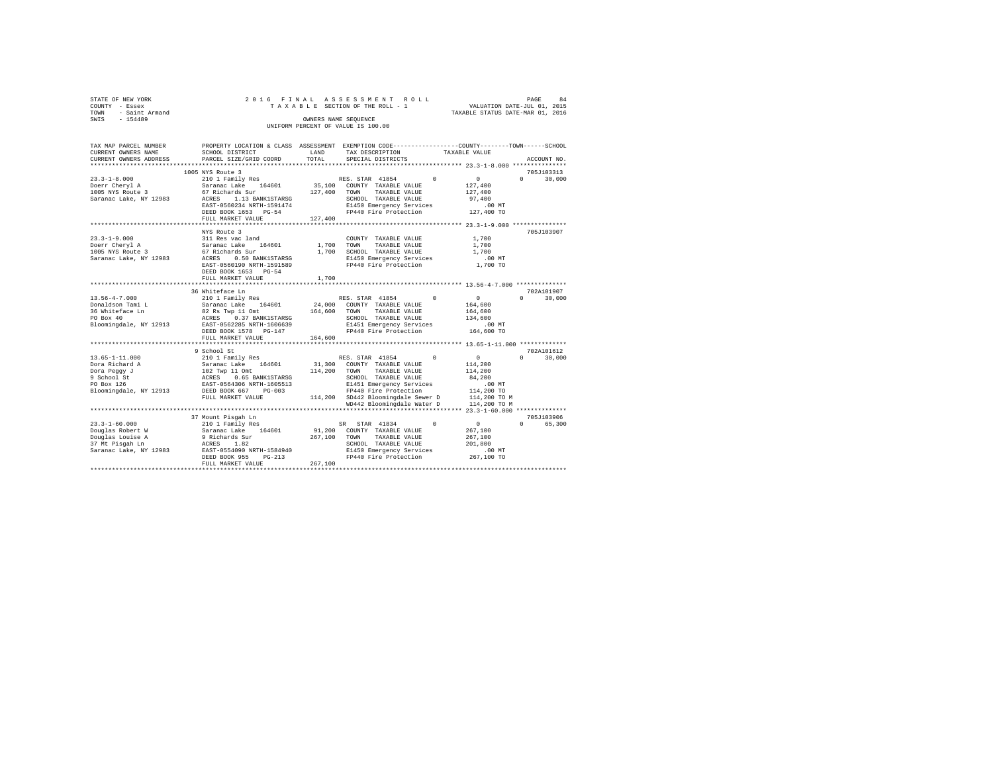| 2016 FINAL ASSESSMENT ROLL<br>STATE OF NEW YORK<br>PAGE                          | 84 |
|----------------------------------------------------------------------------------|----|
| VALUATION DATE-JUL 01, 2015<br>TAXABLE SECTION OF THE ROLL - 1<br>COUNTY - Essex |    |
| TAXABLE STATUS DATE-MAR 01, 2016<br>TOWN - Saint Armand                          |    |
| SWIS<br>$-154489$<br>OWNERS NAME SEOUENCE                                        |    |
| UNIFORM PERCENT OF VALUE IS 100.00                                               |    |

| TAX MAP PARCEL NUMBER                |                                                                                              |              | PROPERTY LOCATION & CLASS ASSESSMENT EXEMPTION CODE---------------COUNTY-------TOWN-----SCHOOL |                                             |
|--------------------------------------|----------------------------------------------------------------------------------------------|--------------|------------------------------------------------------------------------------------------------|---------------------------------------------|
| CURRENT OWNERS NAME                  | SCHOOL DISTRICT                                                                              | LAND         | TAX DESCRIPTION                                                                                | TAXABLE VALUE                               |
| CURRENT OWNERS ADDRESS               | PARCEL SIZE/GRID COORD                                                                       | TOTAL        | SPECIAL DISTRICTS                                                                              | ACCOUNT NO.                                 |
|                                      |                                                                                              |              |                                                                                                |                                             |
|                                      | 1005 NYS Route 3                                                                             |              |                                                                                                | 705J103313                                  |
| $23.3 - 1 - 8.000$                   | 210 1 Family Res                                                                             |              | RES. STAR 41854<br>$^{\circ}$                                                                  | $\sim$<br>$\Omega$<br>30,000                |
| Doerr Cheryl A                       | Saranac Lake<br>164601                                                                       | 35,100       | COUNTY TAXABLE VALUE                                                                           | 127,400                                     |
| 1005 NYS Route 3                     | 67 Richards Sur                                                                              | 127,400 TOWN | TAXABLE VALUE                                                                                  | 127,400                                     |
| Saranac Lake, NY 12983               | ACRES 1.13 BANK1STARSG                                                                       |              | SCHOOL TAXABLE VALUE                                                                           | 97,400                                      |
|                                      | EAST-0560234 NRTH-1591474                                                                    |              | E1450 Emergency Services<br>FP440 Fire Protection                                              | .00 MT                                      |
|                                      | DEED BOOK 1653 PG-54                                                                         |              |                                                                                                | 127,400 TO                                  |
|                                      | FULL MARKET VALUE                                                                            | 127,400      |                                                                                                |                                             |
|                                      |                                                                                              |              |                                                                                                |                                             |
|                                      | NYS Route 3                                                                                  |              |                                                                                                | 705J103907                                  |
| $23.3 - 1 - 9.000$                   | 311 Res vac land                                                                             |              | COUNTY TAXABLE VALUE                                                                           | 1,700                                       |
| Doerr Cheryl A<br>1005 NYS Route 3   | Saranac Lake<br>67 Richards Sur<br>164601                                                    | 1,700 TOWN   | TAXABLE VALUE                                                                                  | 1,700                                       |
|                                      |                                                                                              | 1,700        | SCHOOL TAXABLE VALUE                                                                           | 1,700                                       |
| Saranac Lake, NY 12983               | 0.50 BANK1STARSG<br>ACRES                                                                    |              | E1450 Emergency Services                                                                       | .00 MT                                      |
|                                      | EAST-0560190 NRTH-1591589                                                                    |              | FP440 Fire Protection                                                                          | 1,700 TO                                    |
|                                      | DEED BOOK 1653 PG-54                                                                         |              |                                                                                                |                                             |
|                                      | FULL MARKET VALUE                                                                            | 1,700        |                                                                                                |                                             |
|                                      |                                                                                              |              |                                                                                                |                                             |
|                                      | 36 Whiteface Ln                                                                              |              |                                                                                                | 702A101907                                  |
| $13.56 - 4 - 7.000$                  | 210 1 Family Res                                                                             |              | RES. STAR 41854<br>$\Omega$                                                                    | $\sim$ 0<br>$\Omega$<br>30,000              |
| Donaldson Tami L                     | Saranac Lake<br>164601                                                                       |              | 24,000 COUNTY TAXABLE VALUE                                                                    | 164,600                                     |
| 36 Whiteface Ln                      | 82 Rs Twp 11 Omt<br>ACRES 0.37 BANK1STARSG 164,600 TOWN TAXABLE VALUE                        |              |                                                                                                | 164,600                                     |
| PO Box 40                            |                                                                                              |              | SCHOOL TAXABLE VALUE                                                                           | 134,600                                     |
|                                      | Bloomingdale, NY 12913 EAST-0562285 NRTH-1606639                                             |              | E1451 Emergency Services                                                                       | $.00$ MT                                    |
|                                      | DEED BOOK 1578 PG-147                                                                        |              | FP440 Fire Protection                                                                          | 164,600 TO                                  |
|                                      | FULL MARKET VALUE                                                                            | 164,600      |                                                                                                |                                             |
|                                      |                                                                                              |              |                                                                                                |                                             |
|                                      | 9 School St                                                                                  |              |                                                                                                | 702A101612                                  |
| $13.65 - 1 - 11.000$                 | 210 1 Family Res                                                                             |              | RES. STAR 41854 0                                                                              | $\sim$ 0<br>$\Omega$<br>30,000              |
| Dora Richard A                       |                                                                                              |              | 31,300 COUNTY TAXABLE VALUE                                                                    | 114,200                                     |
| Dora Peggy J                         |                                                                                              | 114,200      | TOWN<br>TAXABLE VALUE                                                                          | 114,200                                     |
| 9 School St                          |                                                                                              |              | SCHOOL TAXABLE VALUE                                                                           | 84,200                                      |
| PO Box 126                           | Saranac Lake 164601<br>102 Twp 11 Omt<br>ACRES 0.65 BANK1STARSG<br>EAST-0564306 NRTH-1605513 |              | E1451 Emergency Services                                                                       | $.00$ MT                                    |
| Bloomingdale, NY 12913 DEED BOOK 667 | $PG-003$                                                                                     |              | FP440 Fire Protection                                                                          | 114,200 TO<br>114,200 TO M                  |
|                                      | FULL MARKET VALUE                                                                            |              | 114,200 SD442 Bloomingdale Sewer D                                                             |                                             |
|                                      |                                                                                              |              | WD442 Bloomingdale Water D                                                                     | 114,200 TO M                                |
|                                      |                                                                                              |              |                                                                                                |                                             |
|                                      | 37 Mount Pisgah Ln                                                                           |              |                                                                                                | 705J103906                                  |
| $23.3 - 1 - 60.000$                  | 210 1 Family Res                                                                             |              | SR STAR 41834<br>$\Omega$                                                                      | $\sim$ 0<br>$\Omega$ and $\Omega$<br>65,300 |
| Douglas Robert W                     | Saranac Lake 164601<br>9 Richards Sur                                                        | 91,200       | COUNTY TAXABLE VALUE                                                                           | 267,100                                     |
| Douglas Louise A                     |                                                                                              | 267,100      | TOWN<br>TAXABLE VALUE                                                                          | 267,100                                     |
| 37 Mt Pisgah Ln                      | ACRES 1.82<br>EAST-0554090 NRTH-1584940                                                      |              | SCHOOL TAXABLE VALUE                                                                           | 201,800                                     |
| Saranac Lake, NY 12983               |                                                                                              |              |                                                                                                |                                             |
|                                      | $PG-213$<br>DEED BOOK 955                                                                    |              | E1450 Emergency Services .00 MT<br>FP440 Fire Protection 267,100 TO                            |                                             |
|                                      | FULL MARKET VALUE                                                                            | 267,100      |                                                                                                |                                             |
|                                      |                                                                                              |              |                                                                                                |                                             |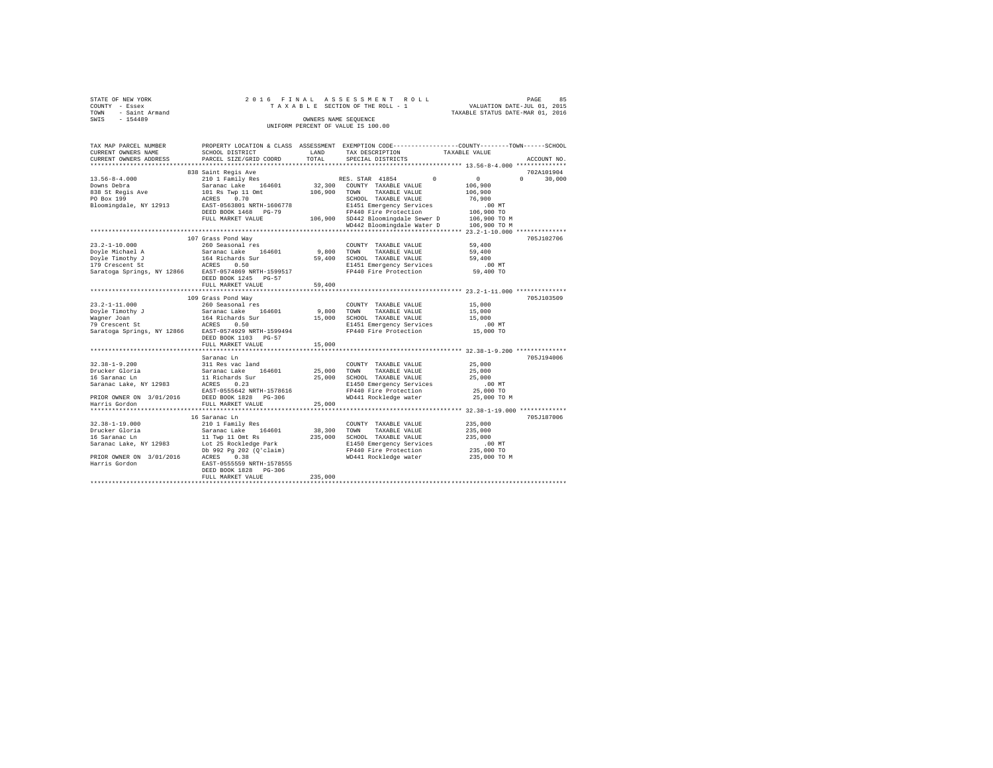| STATE OF NEW YORK<br>COUNTY<br>- Essex<br>- Saint Armand<br>TOWN<br>$-154489$<br>SWIS |                                                     | OWNERS NAME SEQUENCE | 2016 FINAL ASSESSMENT ROLL<br>TAXABLE SECTION OF THE ROLL - 1<br>UNIFORM PERCENT OF VALUE IS 100.00                              | VALUATION DATE-JUL 01, 2015<br>TAXABLE STATUS DATE-MAR 01, 2016 | 85<br>PAGE         |
|---------------------------------------------------------------------------------------|-----------------------------------------------------|----------------------|----------------------------------------------------------------------------------------------------------------------------------|-----------------------------------------------------------------|--------------------|
| TAX MAP PARCEL NUMBER<br>CURRENT OWNERS NAME                                          | SCHOOL DISTRICT                                     | LAND                 | PROPERTY LOCATION & CLASS ASSESSMENT EXEMPTION CODE---------------COUNTY-------TOWN------SCHOOL<br>TAX DESCRIPTION TAXABLE VALUE |                                                                 |                    |
|                                                                                       | CURRENT OWNERS ADDRESS PARCEL SIZE/GRID COORD TOTAL |                      | SPECIAL DISTRICTS                                                                                                                |                                                                 | ACCOUNT NO.        |
|                                                                                       | 838 Saint Regis Ave                                 |                      |                                                                                                                                  |                                                                 | 702A101904         |
| $13.56 - 8 - 4.000$                                                                   | 210 1 Family Res                                    |                      | RES. STAR 41854 0                                                                                                                | $\sim$ 0                                                        | $\Omega$<br>30,000 |
| Downs Debra                                                                           | Saranac Lake 164601 32,300                          |                      | COUNTY TAXABLE VALUE                                                                                                             | 106,900                                                         |                    |
|                                                                                       | 838 St Regis Ave 101 Rs Twp 11 Omt                  | 106,900              | TOWN<br>TAXABLE VALUE                                                                                                            | 106,900                                                         |                    |
| PO Box 199                                                                            | ACRES 0.70                                          |                      | SCHOOL<br>TAXABLE VALUE                                                                                                          | 76,900                                                          |                    |
| Bloomingdale, NY 12913                                                                | EAST-0563801 NRTH-1606778                           |                      | E1451 Emergency Services .00 MT                                                                                                  |                                                                 |                    |
|                                                                                       | DEED BOOK 1468 PG-79                                |                      | FP440 Fire Protection 106,900 TO                                                                                                 |                                                                 |                    |
|                                                                                       | FULL MARKET VALUE                                   | 106,900              | SD442 Bloomingdale Sewer D 106,900 TO M                                                                                          |                                                                 |                    |
|                                                                                       |                                                     |                      | WD442 Bloomingdale Water D 106,900 TO M                                                                                          |                                                                 |                    |
|                                                                                       |                                                     |                      |                                                                                                                                  |                                                                 |                    |
|                                                                                       | 107 Grass Pond Way                                  |                      |                                                                                                                                  |                                                                 | 705J102706         |
| $23.2 - 1 - 10.000$                                                                   | 260 Seasonal res                                    |                      | COUNTY<br>TAXABLE VALUE                                                                                                          | 59,400                                                          |                    |
| Doyle Michael A                                                                       | Saranac Lake 164601 9,800                           |                      | TOWN<br>TAXABLE VALUE                                                                                                            | 59,400                                                          |                    |
| Dovle Timothy J                                                                       | 164 Richards Sur                                    | 59,400               | SCHOOL<br>TAXABLE VALUE                                                                                                          | 59,400                                                          |                    |
| 179 Crescent St                                                                       | ACRES 0.50                                          |                      | E1451 Emergency Services                                                                                                         | <b>CONTROL</b>                                                  |                    |

| 179 Crescent St                              | 0.50<br>ACRES                                                                          |         | E1451 Emergency Services            | $.00$ MT     |            |
|----------------------------------------------|----------------------------------------------------------------------------------------|---------|-------------------------------------|--------------|------------|
|                                              | Saratoga Springs, NY 12866 EAST-0574869 NRTH-1599517                                   |         | FP440 Fire Protection 59,400 TO     |              |            |
|                                              | DEED BOOK 1245 PG-57                                                                   |         |                                     |              |            |
|                                              | FULL MARKET VALUE                                                                      | 59,400  |                                     |              |            |
|                                              |                                                                                        |         |                                     |              |            |
|                                              | 109 Grass Pond Way                                                                     |         |                                     |              | 705J103509 |
| $23.2 - 1 - 11.000$                          | 260 Seasonal res                                                                       |         | COUNTY TAXABLE VALUE                | 15,000       |            |
|                                              |                                                                                        |         | TAXABLE VALUE 15,000                |              |            |
| Waqner Joan                                  | 164 Richards Sur                                                                       | 15,000  | SCHOOL TAXABLE VALUE                | 15,000       |            |
| 79 Crescent St                               | ACRES 0.50                                                                             |         | E1451 Emergency Services            | $.00$ MT     |            |
|                                              | Saratoga Springs, NY 12866 EAST-0574929 NRTH-1599494                                   |         | $FP440$ Fire Protection $15,000$ TO |              |            |
|                                              | DEED BOOK 1103 PG-57                                                                   |         |                                     |              |            |
|                                              | FULL MARKET VALUE                                                                      | 15,000  |                                     |              |            |
|                                              |                                                                                        |         |                                     |              |            |
|                                              | Saranac Ln                                                                             |         |                                     |              | 705J194006 |
| $32.38 - 1 - 9.200$                          | 311 Res vac land                                                                       |         | COUNTY TAXABLE VALUE                | 25,000       |            |
|                                              | Drucker Gloria                     Saranac Lake     164601             25,000     TOWN |         | TAXABLE VALUE                       | 25,000       |            |
| 16 Saranac Ln                                | 11 Richards Sur                                                                        | 25,000  | SCHOOL TAXABLE VALUE                | 25,000       |            |
| Saranac Lake, NY 12983 ACRES 0.23            |                                                                                        |         | E1450 Emergency Services            | $.00$ MT     |            |
|                                              | EAST-0555642 NRTH-1578616                                                              |         | FP440 Fire Protection               | 25,000 TO    |            |
|                                              | PRIOR OWNER ON 3/01/2016 DEED BOOK 1828 PG-306                                         |         | WD441 Rockledge water 25,000 TO M   |              |            |
| Harris Gordon                                | FULL MARKET VALUE                                                                      | 25,000  |                                     |              |            |
|                                              |                                                                                        |         |                                     |              |            |
|                                              | 16 Saranac Ln                                                                          |         |                                     |              | 705J187006 |
| $32.38 - 1 - 19.000$                         | 210 1 Family Res                                                                       |         | COUNTY TAXABLE VALUE                | 235,000      |            |
| Drucker Gloria                               | Saranac Lake 164601 38,300                                                             |         | TOWN<br>TAXABLE VALUE               | 235,000      |            |
| 16 Saranac Ln                                | 11 Twp 11 Omt Rs                                                                       | 235,000 | SCHOOL TAXABLE VALUE                | 235,000      |            |
| Saranac Lake, NY 12983 Lot 25 Rockledge Park |                                                                                        |         | E1450 Emergency Services            | $.00$ MT     |            |
|                                              | Db 992 Pq 202 (Q'claim)                                                                |         | FP440 Fire Protection               | 235,000 TO   |            |
| PRIOR OWNER ON 3/01/2016                     | ACRES 0.38                                                                             |         | WD441 Rockledge water               | 235,000 TO M |            |
| Harris Gordon                                | EAST-0555559 NRTH-1578555                                                              |         |                                     |              |            |
|                                              | DEED BOOK 1828 PG-306                                                                  |         |                                     |              |            |
|                                              | FULL MARKET VALUE                                                                      | 235,000 |                                     |              |            |
|                                              |                                                                                        |         |                                     |              |            |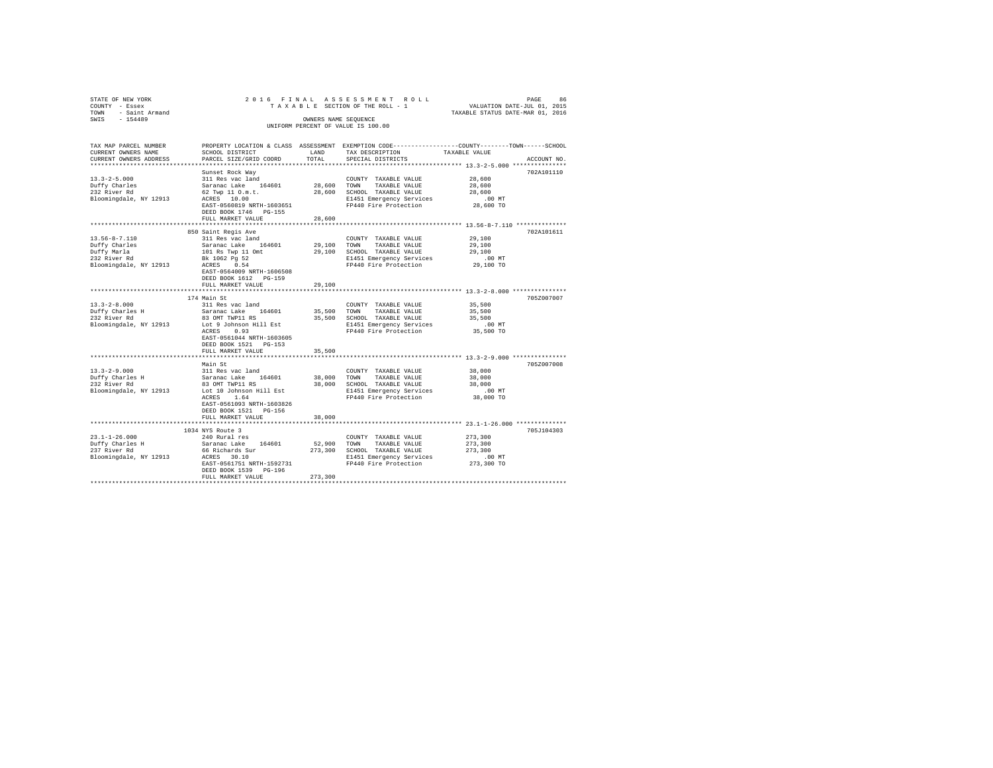| STATE OF NEW YORK |                        |                                      |                      | 2016 FINAL ASSESSMENT ROLL         |                                                              | PAGE                        | 86          |
|-------------------|------------------------|--------------------------------------|----------------------|------------------------------------|--------------------------------------------------------------|-----------------------------|-------------|
| COUNTY - Essex    |                        |                                      |                      | TAXABLE SECTION OF THE ROLL - 1    |                                                              | VALUATION DATE-JUL 01, 2015 |             |
| TOWN              | - Saint Armand         |                                      |                      |                                    | TAXABLE STATUS DATE-MAR 01, 2016                             |                             |             |
| SWIS              | $-154489$              |                                      | OWNERS NAME SEOUENCE |                                    |                                                              |                             |             |
|                   |                        |                                      |                      | UNIFORM PERCENT OF VALUE IS 100.00 |                                                              |                             |             |
|                   |                        |                                      |                      |                                    |                                                              |                             |             |
|                   |                        |                                      |                      |                                    |                                                              |                             |             |
|                   | TAX MAP PARCEL NUMBER  | PROPERTY LOCATION & CLASS ASSESSMENT |                      |                                    | EXEMPTION CODE-----------------COUNTY-------TOWN------SCHOOL |                             |             |
|                   | CURRENT OWNERS NAME    | SCHOOL DISTRICT                      | LAND                 | TAX DESCRIPTION                    | TAXABLE VALUE                                                |                             |             |
|                   | CURRENT OWNERS ADDRESS | PARCEL SIZE/GRID COORD TOTAL         |                      | SPECIAL DISTRICTS                  |                                                              |                             | ACCOUNT NO. |
|                   |                        |                                      |                      |                                    |                                                              |                             |             |
|                   |                        | Sunset Rock Way                      |                      |                                    |                                                              |                             | 702A101110  |

|                                                                                                                                                                    |                                                                                                                                                                                                                                                                                                                                                                                                       |                                                          |                                                                                                                                                                                                                                                 | 13.3-4-3.000                                                                                               |                          |
|--------------------------------------------------------------------------------------------------------------------------------------------------------------------|-------------------------------------------------------------------------------------------------------------------------------------------------------------------------------------------------------------------------------------------------------------------------------------------------------------------------------------------------------------------------------------------------------|----------------------------------------------------------|-------------------------------------------------------------------------------------------------------------------------------------------------------------------------------------------------------------------------------------------------|------------------------------------------------------------------------------------------------------------|--------------------------|
| $13.3 - 2 - 5.000$<br>Duffy Charles<br>232 River Rd<br>Bloomingdale, NY 12913                                                                                      | Sunset Rock Way<br>311 Res vac land<br>164601<br>Saranac Lake<br>62 Twp 11 0.m.t.<br>ACRES 10.00<br>EAST-0560819 NRTH-1603651<br>DEED BOOK 1746 PG-155<br>FULL MARKET VALUE                                                                                                                                                                                                                           | 28,600<br>28,600<br>28,600                               | COUNTY TAXABLE VALUE<br>TAXABLE VALUE<br>TOWN<br>SCHOOL TAXABLE VALUE<br>E1451 Emergency Services<br>FP440 Fire Protection                                                                                                                      | 28,600<br>28,600<br>28,600<br>$.00$ MT<br>28,600 TO                                                        | 702A101110               |
|                                                                                                                                                                    | 850 Saint Regis Ave                                                                                                                                                                                                                                                                                                                                                                                   |                                                          |                                                                                                                                                                                                                                                 |                                                                                                            | 702A101611               |
| $13.56 - 8 - 7.110$<br>Duffy Charles<br>Duffy Marla<br>232 River Rd<br>Bloomingdale, NY 12913                                                                      | 311 Res vac land<br>164601<br>Saranac Lake<br>101 Rs Twp 11 Omt<br>Bk 1062 Pg 52<br>ACRES 0.54<br>EAST-0564009 NRTH-1606508<br>DEED BOOK 1612 PG-159<br>FULL MARKET VALUE                                                                                                                                                                                                                             | 29,100 TOWN<br>29,100<br>29,100                          | COUNTY TAXABLE VALUE<br>TAXABLE VALUE<br>SCHOOL TAXABLE VALUE<br>E1451 Emergency Services<br>FP440 Fire Protection                                                                                                                              | 29,100<br>29,100<br>29,100<br>$.00$ MT<br>29,100 TO                                                        |                          |
|                                                                                                                                                                    |                                                                                                                                                                                                                                                                                                                                                                                                       |                                                          |                                                                                                                                                                                                                                                 |                                                                                                            |                          |
| $13.3 - 2 - 8.000$<br>Duffy Charles H<br>232 River Rd<br>Bloomingdale, NY 12913<br>$13.3 - 2 - 9.000$<br>Duffy Charles H<br>232 River Rd<br>Bloomingdale, NY 12913 | 174 Main St<br>311 Res vac land<br>Saranac Lake<br>164601<br>83 OMT TWP11 RS<br>Lot 9 Johnson Hill Est<br>ACRES<br>0.93<br>EAST-0561044 NRTH-1603605<br>DEED BOOK 1521 PG-153<br>FULL MARKET VALUE<br>Main St<br>311 Res vac land<br>164601<br>Saranac Lake<br>83 OMT TWP11 RS<br>Lot 10 Johnson Hill Est<br>1.64<br>ACRES<br>EAST-0561093 NRTH-1603826<br>DEED BOOK 1521 PG-156<br>FULL MARKET VALUE | 35,500 TOWN<br>35,500<br>35,500<br>38,000 TOWN<br>38,000 | COUNTY TAXABLE VALUE<br>TAXABLE VALUE<br>SCHOOL TAXABLE VALUE<br>E1451 Emergency Services<br>FP440 Fire Protection<br>COUNTY TAXABLE VALUE<br>TAXABLE VALUE<br>38,000 SCHOOL TAXABLE VALUE<br>E1451 Emergency Services<br>FP440 Fire Protection | 35,500<br>35,500<br>35,500<br>$.00$ MT<br>35,500 TO<br>38,000<br>38,000<br>38,000<br>$.00$ MT<br>38,000 TO | 705Z007007<br>705Z007008 |
|                                                                                                                                                                    | *******************************                                                                                                                                                                                                                                                                                                                                                                       |                                                          |                                                                                                                                                                                                                                                 |                                                                                                            |                          |
|                                                                                                                                                                    | 1034 NYS Route 3                                                                                                                                                                                                                                                                                                                                                                                      |                                                          |                                                                                                                                                                                                                                                 |                                                                                                            | 705J104303               |
| $23.1 - 1 - 26.000$<br>Duffy Charles H<br>237 River Rd<br>Bloomingdale, NY 12913                                                                                   | 240 Rural res<br>164601<br>Saranac Lake<br>66 Richards Sur<br>ACRES 30.10<br>EAST-0561751 NRTH-1592731<br>DEED BOOK 1539 PG-196<br>FULL MARKET VALUE                                                                                                                                                                                                                                                  | 52,900<br>273,300<br>273,300                             | COUNTY TAXABLE VALUE<br>TOWN<br>TAXABLE VALUE<br>SCHOOL TAXABLE VALUE<br>E1451 Emergency Services<br>FP440 Fire Protection                                                                                                                      | 273,300<br>273,300<br>273,300<br>.00MT<br>273,300 TO                                                       |                          |
|                                                                                                                                                                    | **************************                                                                                                                                                                                                                                                                                                                                                                            |                                                          |                                                                                                                                                                                                                                                 |                                                                                                            |                          |
|                                                                                                                                                                    |                                                                                                                                                                                                                                                                                                                                                                                                       |                                                          |                                                                                                                                                                                                                                                 |                                                                                                            |                          |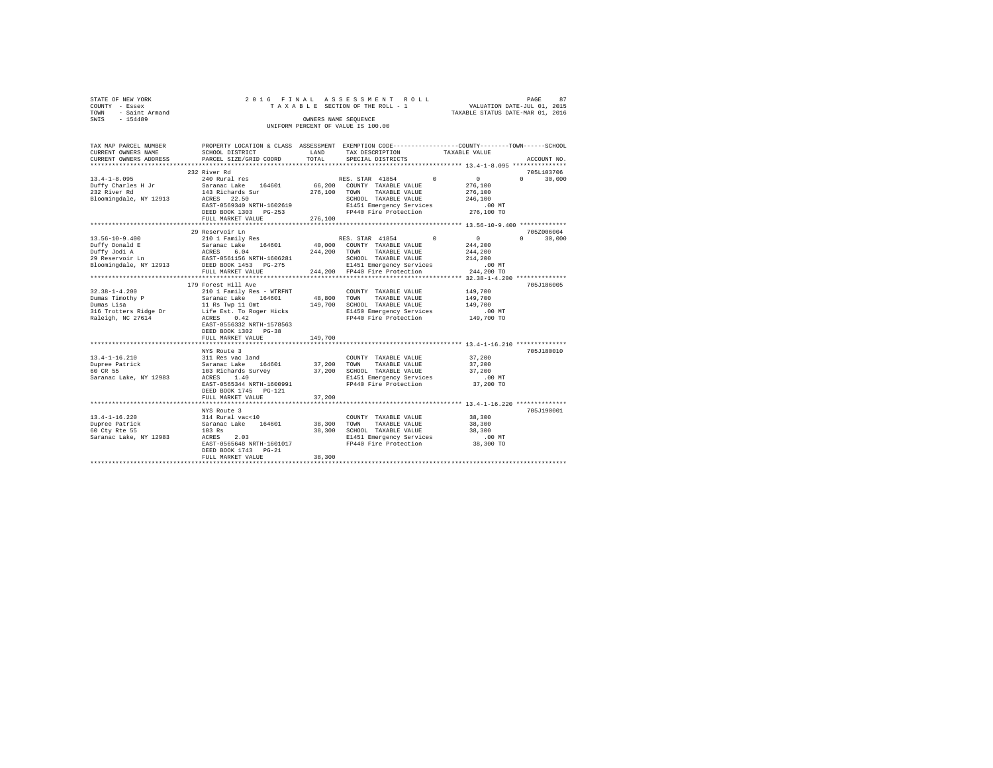|      | STATE OF NEW YORK |  |  |  | 2016 FINAL ASSESSMENT ROLL         |  |  |  |                                  | PAGE | 87 |
|------|-------------------|--|--|--|------------------------------------|--|--|--|----------------------------------|------|----|
|      | COUNTY - Essex    |  |  |  | TAXABLE SECTION OF THE ROLL - 1    |  |  |  | VALUATION DATE-JUL 01, 2015      |      |    |
| TOWN | - Saint Armand    |  |  |  |                                    |  |  |  | TAXABLE STATUS DATE-MAR 01, 2016 |      |    |
| SWIS | $-154489$         |  |  |  | OWNERS NAME SEOUENCE               |  |  |  |                                  |      |    |
|      |                   |  |  |  | UNIFORM PERCENT OF VALUE IS 100.00 |  |  |  |                                  |      |    |

| TAX MAP PARCEL NUMBER<br>CURRENT OWNERS NAME<br>CURRENT OWNERS ADDRESS | PROPERTY LOCATION & CLASS ASSESSMENT EXEMPTION CODE---------------COUNTY-------TOWN------SCHOOL<br>SCHOOL DISTRICT<br>PARCEL SIZE/GRID COORD | LAND<br>TOTAL | TAX DESCRIPTION<br>SPECIAL DISTRICTS              | TAXABLE VALUE        | ACCOUNT NO.        |
|------------------------------------------------------------------------|----------------------------------------------------------------------------------------------------------------------------------------------|---------------|---------------------------------------------------|----------------------|--------------------|
|                                                                        |                                                                                                                                              |               |                                                   |                      |                    |
|                                                                        | 232 River Rd                                                                                                                                 |               |                                                   |                      | 705L103706         |
| $13.4 - 1 - 8.095$                                                     | 240 Rural res                                                                                                                                |               | RES. STAR 41854 0                                 | $\sim$ 0             | $\Omega$<br>30,000 |
| Duffy Charles H Jr                                                     | Saranac Lake 164601                                                                                                                          |               | 66,200 COUNTY TAXABLE VALUE                       | 276,100              |                    |
| 232 River Rd                                                           | 143 Richards Sur                                                                                                                             | 276,100 TOWN  | TAXABLE VALUE                                     | 276,100              |                    |
| Bloomingdale, NY 12913 ACRES 22.50                                     |                                                                                                                                              |               | SCHOOL TAXABLE VALUE                              | 246,100              |                    |
|                                                                        | EAST-0569340 NRTH-1602619                                                                                                                    |               | E1451 Emergency Services                          | .00 MT               |                    |
|                                                                        | DEED BOOK 1303 PG-253                                                                                                                        |               | FP440 Fire Protection 276,100 TO                  |                      |                    |
|                                                                        | FULL MARKET VALUE                                                                                                                            | 276,100       |                                                   |                      |                    |
|                                                                        |                                                                                                                                              |               |                                                   |                      |                    |
|                                                                        | 29 Reservoir Ln                                                                                                                              |               |                                                   |                      | 705Z006004         |
| $13.56 - 10 - 9.400$                                                   | 210 1 Family Res                                                                                                                             |               | RES. STAR 41854 0                                 | $\sim$ 0             | $\Omega$<br>30,000 |
|                                                                        | Saranac Lake 164601                                                                                                                          |               | 40,000 COUNTY TAXABLE VALUE                       | 244,200              |                    |
| Duffy Donald E<br>Duffy Donald E<br>- SS. Jodi A                       | ACRES<br>EAST-05<br>6.04                                                                                                                     |               | 244.200 TOWN<br>TAXABLE VALUE                     | 244,200              |                    |
| 29 Reservoir Ln                                                        | EAST-0561156 NRTH-1606281                                                                                                                    |               | SCHOOL TAXABLE VALUE                              | 214,200              |                    |
| Bloomingdale, NY 12913 DEED BOOK 1453 PG-275                           |                                                                                                                                              |               | E1451 Emergency Services                          | .00 MT               |                    |
|                                                                        | FULL MARKET VALUE                                                                                                                            |               | 244.200 FP440 Fire Protection                     | 244,200 TO           |                    |
|                                                                        |                                                                                                                                              |               |                                                   |                      |                    |
|                                                                        | 179 Forest Hill Ave                                                                                                                          |               |                                                   |                      | 705J186005         |
| $32.38 - 1 - 4.200$                                                    | 210 1 Family Res - WTRFNT                                                                                                                    |               | COUNTY TAXABLE VALUE                              | 149,700              |                    |
| Dumas Timothy P                                                        | Saranac Lake 164601                                                                                                                          |               | 48,800 TOWN TAXABLE VALUE                         | 149,700              |                    |
| Dumas Lisa                                                             | 11 Rs Twp 11 Omt                                                                                                                             |               | 149,700 SCHOOL TAXABLE VALUE                      | 149,700              |                    |
| 316 Trotters Ridge Dr Life Est. To Roger Hicks                         |                                                                                                                                              |               | E1450 Emergency Services<br>FP440 Fire Protection | .00 MT<br>149,700 TO |                    |
| Raleigh, NC 27614                                                      | ACRES 0.42<br>EAST-0556332 NRTH-1578563                                                                                                      |               |                                                   |                      |                    |
|                                                                        | DEED BOOK 1302 PG-38                                                                                                                         |               |                                                   |                      |                    |
|                                                                        | FULL MARKET VALUE                                                                                                                            | 149,700       |                                                   |                      |                    |
|                                                                        |                                                                                                                                              |               |                                                   |                      |                    |
|                                                                        | NYS Route 3                                                                                                                                  |               |                                                   |                      | 705J180010         |
| $13.4 - 1 - 16.210$                                                    | 311 Res vac land                                                                                                                             |               | COUNTY TAXABLE VALUE                              | 37,200               |                    |
| Dupree Patrick                                                         | Saranac Lake 164601                                                                                                                          | 37,200 TOWN   | TAXABLE VALUE                                     | 37,200               |                    |
| 60 CR 55                                                               |                                                                                                                                              |               | 37,200 SCHOOL TAXABLE VALUE                       | 37,200               |                    |
| Saranac Lake, NY 12983                                                 | 103 Richards Survey<br>acres 1.40<br>1.40<br>ACRES                                                                                           |               | E1451 Emergency Services                          | .00 MT               |                    |
|                                                                        | EAST-0565344 NRTH-1600991                                                                                                                    |               | FP440 Fire Protection                             | 37,200 TO            |                    |
|                                                                        | DEED BOOK 1745 PG-121                                                                                                                        |               |                                                   |                      |                    |
|                                                                        | FULL MARKET VALUE                                                                                                                            | 37,200        |                                                   |                      |                    |
|                                                                        |                                                                                                                                              |               |                                                   |                      |                    |
|                                                                        | NYS Route 3                                                                                                                                  |               |                                                   |                      | 705J190001         |
| $13.4 - 1 - 16.220$                                                    | 314 Rural vac<10                                                                                                                             |               | COUNTY TAXABLE VALUE                              | 38,300               |                    |
| Dupree Patrick                                                         | Saranac Lake 164601                                                                                                                          | 38,300 TOWN   | TAXABLE VALUE                                     | 38,300               |                    |
| 60 Cty Rte 55                                                          | 103 Rs                                                                                                                                       |               | 38,300 SCHOOL TAXABLE VALUE                       | 38,300               |                    |
| Saranac Lake, NY 12983                                                 | ACRES<br>2.03                                                                                                                                |               | E1451 Emergency Services                          | $.00$ MT             |                    |
|                                                                        | EAST-0565648 NRTH-1601017                                                                                                                    |               | FP440 Fire Protection                             | 38,300 TO            |                    |
|                                                                        | DEED BOOK 1743 PG-21                                                                                                                         |               |                                                   |                      |                    |
|                                                                        | FULL MARKET VALUE                                                                                                                            | 38,300        |                                                   |                      |                    |
|                                                                        |                                                                                                                                              |               |                                                   |                      |                    |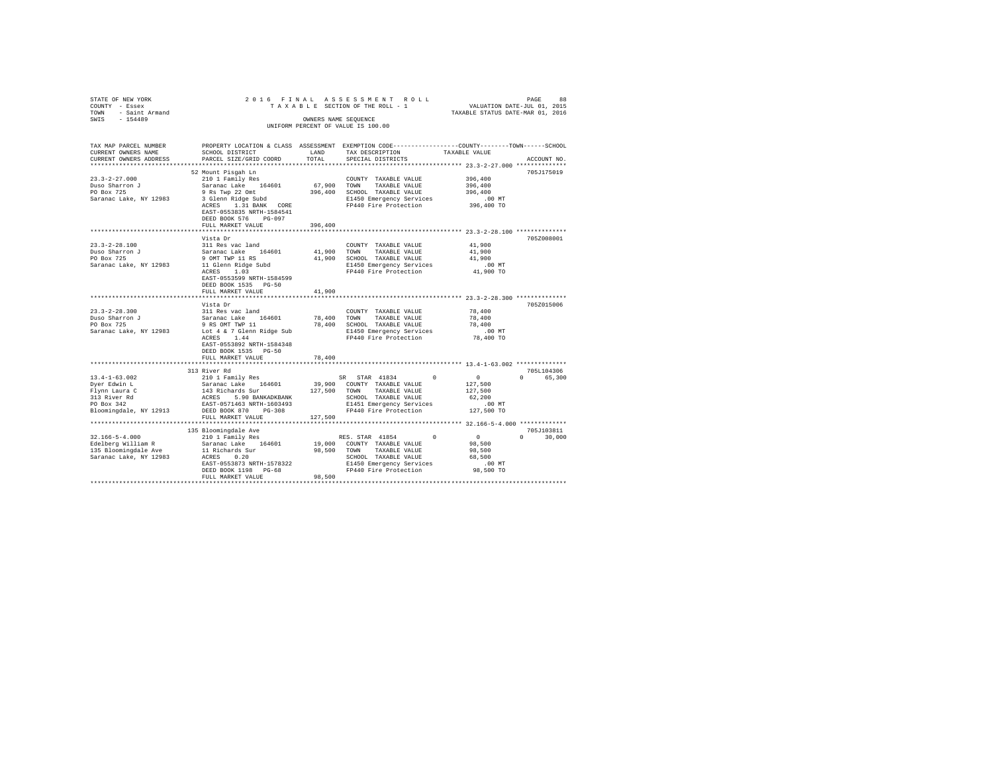| STATE OF NEW YORK<br>COUNTY - Essex<br>TOWN - Saint Armand |                                                                                                                                                                                                                                                                  |                      | 9 PAGE 88 אפראפים ואת PAGE 88 אפראפים בא PAGE 86 PAGE 86 בדואר 16 PAGE 87 A בית 16 PAGE 2016<br>TAXABLE SECTION OF THE ROLL - 1 TAXABLE STATUS DATE-JUL 01, 2016 |                        |                             |
|------------------------------------------------------------|------------------------------------------------------------------------------------------------------------------------------------------------------------------------------------------------------------------------------------------------------------------|----------------------|------------------------------------------------------------------------------------------------------------------------------------------------------------------|------------------------|-----------------------------|
| SWIS - 154489                                              |                                                                                                                                                                                                                                                                  | OWNERS NAME SEQUENCE | UNIFORM PERCENT OF VALUE IS 100.00                                                                                                                               |                        |                             |
| TAX MAP PARCEL NUMBER<br>CURRENT OWNERS NAME               | SCHOOL DISTRICT                                                                                                                                                                                                                                                  | LAND                 | PROPERTY LOCATION & CLASS ASSESSMENT EXEMPTION CODE---------------COUNTY-------TOWN------SCHOOL<br>TAX DESCRIPTION                                               | TAXABLE VALUE          |                             |
| CURRENT OWNERS ADDRESS                                     | PARCEL SIZE/GRID COORD                                                                                                                                                                                                                                           | TOTAL                | SPECIAL DISTRICTS                                                                                                                                                |                        | ACCOUNT NO.                 |
|                                                            |                                                                                                                                                                                                                                                                  |                      |                                                                                                                                                                  |                        |                             |
|                                                            | 52 Mount Pisqah Ln                                                                                                                                                                                                                                               |                      |                                                                                                                                                                  |                        | 705J175019                  |
| $23.3 - 2 - 27.000$                                        | 210 1 Family Res                                                                                                                                                                                                                                                 |                      | COUNTY TAXABLE VALUE                                                                                                                                             | 396,400                |                             |
| Duso Sharron J<br>PO Box 725                               | Saranac Lake 164601                                                                                                                                                                                                                                              | 67,900 TOWN          | TAXABLE VALUE                                                                                                                                                    | 396,400                |                             |
|                                                            | 9 Rs Twp 22 Omt<br>3 Glenn Ridge Subd                                                                                                                                                                                                                            |                      | 396,400 SCHOOL TAXABLE VALUE                                                                                                                                     | 396,400                |                             |
| Saranac Lake, NY 12983                                     | ACRES 1.31 BANK CORE<br>EAST-0553835 NRTH-1584541<br>DEED BOOK 576 PG-097                                                                                                                                                                                        |                      | E1450 Emergency Services<br>FP440 Fire Protection                                                                                                                | $.00$ MT<br>396,400 TO |                             |
|                                                            | FULL MARKET VALUE                                                                                                                                                                                                                                                | 396,400              |                                                                                                                                                                  |                        |                             |
|                                                            | Vista Dr                                                                                                                                                                                                                                                         |                      |                                                                                                                                                                  |                        | 705Z008001                  |
| $23.3 - 2 - 28.100$                                        | 311 Res vac land                                                                                                                                                                                                                                                 |                      | COUNTY TAXABLE VALUE                                                                                                                                             | 41,900                 |                             |
|                                                            |                                                                                                                                                                                                                                                                  |                      | 41,900 TOWN TAXABLE VALUE                                                                                                                                        | 41,900                 |                             |
| Duso Sharron J<br>no Box 725                               |                                                                                                                                                                                                                                                                  |                      | 41,900 SCHOOL TAXABLE VALUE                                                                                                                                      | 41,900                 |                             |
|                                                            | $\begin{tabular}{lllllllllllll} \textsc{Duso Sharron $\mathcal{J}$} & \textsc{Sarnaic Lake} & 164601\\ \textsc{PO Box 725} & 9 \textsc{OMT TWP 11 RS}\\ \textsc{Saranac Lake, NY 12983} & 11 \text{ Glenn Ridge Subd}\\ & \textsc{ACRES} & 1.03\\ \end{tabular}$ |                      | E1450 Emergency Services                                                                                                                                         | .00MT                  |                             |
|                                                            | EAST-0553599 NRTH-1584599<br>DEED BOOK 1535 PG-50                                                                                                                                                                                                                |                      | FP440 Fire Protection                                                                                                                                            | 41,900 TO              |                             |
|                                                            | FULL MARKET VALUE                                                                                                                                                                                                                                                | 41,900               |                                                                                                                                                                  |                        |                             |
|                                                            | Vista Dr                                                                                                                                                                                                                                                         |                      |                                                                                                                                                                  |                        | 705Z015006                  |
| $23.3 - 2 - 28.300$                                        | 311 Res vac land                                                                                                                                                                                                                                                 |                      | COUNTY TAXABLE VALUE                                                                                                                                             | 78,400                 |                             |
| Duso Sharron J<br>PO Box 725                               | Saranac Lake 164601                                                                                                                                                                                                                                              | 78,400               | TOWN TAXABLE VALUE                                                                                                                                               | 78,400                 |                             |
|                                                            | 9 RS OMT TWP 11                                                                                                                                                                                                                                                  |                      | 78,400 SCHOOL TAXABLE VALUE                                                                                                                                      | 78,400                 |                             |
| Saranac Lake, NY 12983                                     | Lot 4 & 7 Glenn Ridge Sub                                                                                                                                                                                                                                        |                      | E1450 Emergency Services                                                                                                                                         | $.00$ MT               |                             |
|                                                            | ACRES 1.44<br>EAST-0553892 NRTH-1584348<br>DEED BOOK 1535 PG-50                                                                                                                                                                                                  |                      | FP440 Fire Protection                                                                                                                                            | 78,400 TO              |                             |
|                                                            | FULL MARKET VALUE                                                                                                                                                                                                                                                | 78,400               |                                                                                                                                                                  |                        |                             |
|                                                            | 313 River Rd                                                                                                                                                                                                                                                     |                      |                                                                                                                                                                  |                        | 705L104306                  |
| $13.4 - 1 - 63.002$                                        | 210 1 Family Res                                                                                                                                                                                                                                                 |                      | SR STAR 41834<br>$^{\circ}$                                                                                                                                      | $\sim$ 0               | 0 65,300                    |
|                                                            | Saranac Lake 164601                                                                                                                                                                                                                                              |                      | 39,900 COUNTY TAXABLE VALUE                                                                                                                                      | 127,500                |                             |
| Dyer Edwin L<br>Flynn Laura C                              | 143 Richards Sur                                                                                                                                                                                                                                                 |                      | 127,500 TOWN TAXABLE VALUE                                                                                                                                       | 127,500                |                             |
| 313 River Rd<br>PO Box 342                                 | ACRES 5.90 BANKADKBANK                                                                                                                                                                                                                                           |                      | SCHOOL TAXABLE VALUE                                                                                                                                             | 62,200                 |                             |
|                                                            | EAST-0571463 NRTH-1603493                                                                                                                                                                                                                                        |                      | E1451 Emergency Services                                                                                                                                         | $.00$ MT               |                             |
|                                                            | Bloomingdale, NY 12913 DEED BOOK 870 PG-308                                                                                                                                                                                                                      |                      | FP440 Fire Protection 127,500 TO                                                                                                                                 |                        |                             |
|                                                            | FULL MARKET VALUE                                                                                                                                                                                                                                                | 127,500              |                                                                                                                                                                  |                        |                             |
|                                                            |                                                                                                                                                                                                                                                                  |                      |                                                                                                                                                                  |                        |                             |
| $32.166 - 5 - 4.000$                                       | 135 Bloomingdale Ave<br>210 1 Family Res                                                                                                                                                                                                                         |                      | RES. STAR 41854<br>$^{\circ}$                                                                                                                                    | $\sim$ 0               | 705J103811<br>$0 \t 30.000$ |
| Edelberg William R                                         | Saranac Lake 164601                                                                                                                                                                                                                                              |                      | 19,000 COUNTY TAXABLE VALUE                                                                                                                                      | 98,500                 |                             |
|                                                            |                                                                                                                                                                                                                                                                  | 98,500 TOWN          | TAXABLE VALUE                                                                                                                                                    | 98,500                 |                             |
|                                                            |                                                                                                                                                                                                                                                                  |                      | SCHOOL TAXABLE VALUE                                                                                                                                             | 68,500                 |                             |
|                                                            | EAST-0553873 NRTH-1578322                                                                                                                                                                                                                                        |                      | E1450 Emergency Services                                                                                                                                         | $.00$ MT               |                             |
|                                                            | DEED BOOK 1198 PG-68                                                                                                                                                                                                                                             |                      | FP440 Fire Protection                                                                                                                                            | 98,500 TO              |                             |
|                                                            | FULL MARKET VALUE                                                                                                                                                                                                                                                | 98,500               |                                                                                                                                                                  |                        |                             |
|                                                            |                                                                                                                                                                                                                                                                  |                      |                                                                                                                                                                  |                        |                             |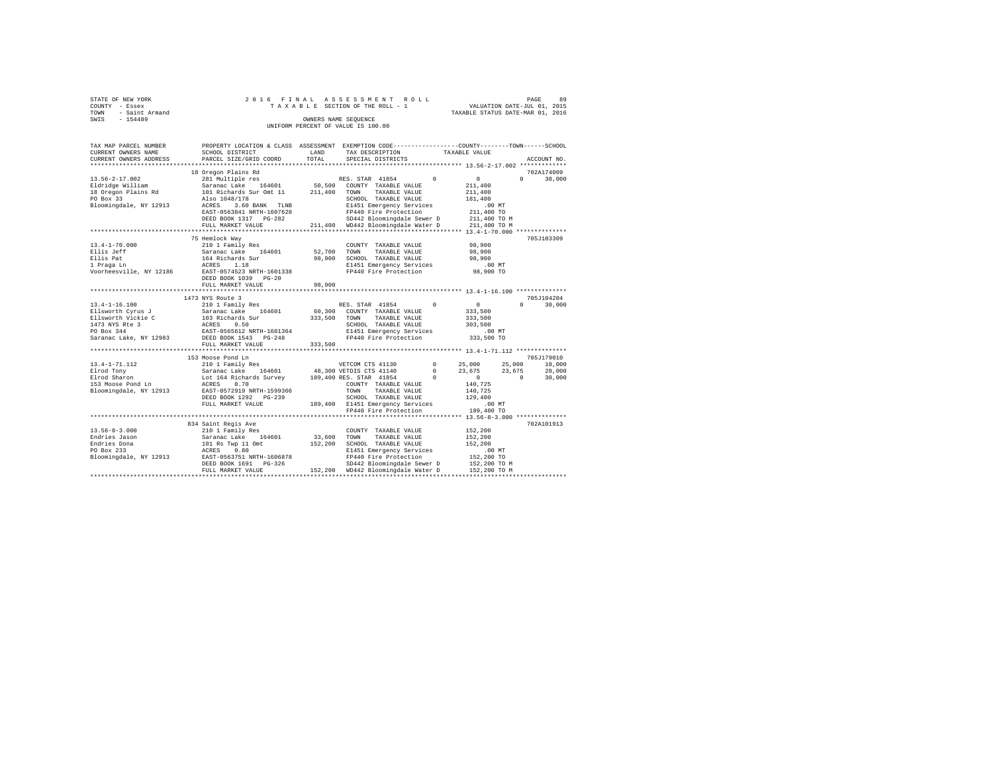|      | STATE OF NEW YORK   |  |  |  |  | 2016 FINAL ASSESSMENT ROLL         |  |  |  |  |  |                                  |  | PAGE | 89 |
|------|---------------------|--|--|--|--|------------------------------------|--|--|--|--|--|----------------------------------|--|------|----|
|      | COUNTY - Essex      |  |  |  |  | TAXABLE SECTION OF THE ROLL - 1    |  |  |  |  |  | VALUATION DATE-JUL 01, 2015      |  |      |    |
|      | TOWN - Saint Armand |  |  |  |  |                                    |  |  |  |  |  | TAXABLE STATUS DATE-MAR 01, 2016 |  |      |    |
| SWIS | $-154489$           |  |  |  |  | OWNERS NAME SEOUENCE               |  |  |  |  |  |                                  |  |      |    |
|      |                     |  |  |  |  | UNIFORM PERCENT OF VALUE IS 100.00 |  |  |  |  |  |                                  |  |      |    |

| TAX MAP PARCEL NUMBER<br>CURRENT OWNERS NAME                                 | PROPERTY LOCATION & CLASS ASSESSMENT EXEMPTION CODE----------------COUNTY-------TOWN-----SCHOOL<br>SCHOOL DISTRICT                                                                                                                                                                                                                                                                                         | LAND                       | TAX DESCRIPTION                                                                                                                                                 |            | TAXABLE VALUE                                                           |                    |
|------------------------------------------------------------------------------|------------------------------------------------------------------------------------------------------------------------------------------------------------------------------------------------------------------------------------------------------------------------------------------------------------------------------------------------------------------------------------------------------------|----------------------------|-----------------------------------------------------------------------------------------------------------------------------------------------------------------|------------|-------------------------------------------------------------------------|--------------------|
| CURRENT OWNERS ADDRESS<br>*********************                              | PARCEL SIZE/GRID COORD<br>****************************                                                                                                                                                                                                                                                                                                                                                     | TOTAL                      | SPECIAL DISTRICTS                                                                                                                                               |            |                                                                         | ACCOUNT NO.        |
|                                                                              | 18 Oregon Plains Rd                                                                                                                                                                                                                                                                                                                                                                                        |                            |                                                                                                                                                                 |            |                                                                         | 702A174009         |
| $13.56 - 2 - 17.002$<br>Eldridge William<br>18 Oregon Plains Rd<br>PO Box 33 | 281 Multiple res<br>Saranac Lake 164601 50,500<br>101 Richards Sur Omt 11 211,400<br>Also 1048/178                                                                                                                                                                                                                                                                                                         |                            | RES. STAR 41854<br>50,500 COUNTY TAXABLE VALUE<br>TAXABLE VALUE<br>TOWN<br>SCHOOL TAXABLE VALUE                                                                 | $^{\circ}$ | $\sim$ 0<br>211,400<br>211,400<br>181,400                               | $\Omega$<br>30,000 |
| Bloomingdale, NY 12913 ACRES                                                 | 3.60 BANK TLNB<br>EAST-0563841 NRTH-1607628<br>DEED BOOK 1317 PG-282<br>FULL MARKET VALUE                                                                                                                                                                                                                                                                                                                  |                            | E1451 Emergency Services<br>FP440 Fire Protection<br>SD442 Bloomingdale Sewer D<br>211,400 WD442 Bloomingdale Water D                                           |            | .00 MT<br>211,400 TO<br>211,400 TO M<br>211,400 TO M                    |                    |
|                                                                              | 75 Hemlock Way                                                                                                                                                                                                                                                                                                                                                                                             |                            |                                                                                                                                                                 |            |                                                                         | 705J103309         |
| $13.4 - 1 - 70.000$                                                          | 210 1 Family Res<br>Ellis Jeff – Saranac Lake 164601<br>Ellis Jeff – Saranac Lake 164601<br>1918 Pape 164 Richards Sur<br>1 Praga Lm – ACRES 1.18<br>Noorheesville, NY 12186 – EAST-0574523 NRTH-1601338<br>DEED BOOK 1039 PG-20<br>FULL MARKET VALUE                                                                                                                                                      | 52,700<br>98,900<br>98,900 | COUNTY TAXABLE VALUE<br>TOWN<br>TAXABLE VALUE<br>SCHOOL TAXABLE VALUE<br>E1451 Emergency Services<br>FP440 Fire Protection                                      |            | 98,900<br>98,900<br>98,900<br>.00 MT<br>98,900 TO                       |                    |
|                                                                              |                                                                                                                                                                                                                                                                                                                                                                                                            |                            |                                                                                                                                                                 |            |                                                                         |                    |
|                                                                              | 1473 NYS Route 3                                                                                                                                                                                                                                                                                                                                                                                           |                            |                                                                                                                                                                 |            |                                                                         | 705J104204         |
|                                                                              | $[13.4-1-16.100$ RES. ST<br>Ellsworth Cyrus J = 2010 1 Family Res<br>Ellsworth Vickie C = 103 Richards Sur = 333,500 COUNT<br>1473 NYS Ree 3<br>2010 202 RCRES 9.50<br>2010 202 RCRES 9.50<br>2010 202 RCRES 9.50<br>2010 202 RCRES 9.50<br>2<br>FULL MARKET VALUE                                                                                                                                         | 333,500                    | RES. STAR 41854<br>60,300 COUNTY TAXABLE VALUE<br>TAXABLE VALUE<br>SCHOOL TAXABLE VALUE<br>E1451 Emergency Services 6.00 MT<br>FP440 Fire Protection 333,500 TO | $^{\circ}$ | $\sim$ 0<br>333,500<br>333,500<br>303,500                               | $\Omega$<br>30,000 |
|                                                                              |                                                                                                                                                                                                                                                                                                                                                                                                            |                            |                                                                                                                                                                 |            |                                                                         |                    |
|                                                                              | 153 Moose Pond Ln                                                                                                                                                                                                                                                                                                                                                                                          |                            |                                                                                                                                                                 |            |                                                                         | 705J179010         |
|                                                                              |                                                                                                                                                                                                                                                                                                                                                                                                            |                            |                                                                                                                                                                 |            | $0$ $25,000$ $25,000$ $10,000$<br>$0$ $23,675$ $23,675$ $20,000$        |                    |
|                                                                              | FULL MARKET VALUE                                                                                                                                                                                                                                                                                                                                                                                          |                            | 189,400 E1451 Emergency Services<br>FP440 Fire Protection                                                                                                       |            | $\sim$ 0<br>140.725<br>140,725<br>129,400<br>$.00$ MT                   | $\sim$ 0<br>30,000 |
|                                                                              |                                                                                                                                                                                                                                                                                                                                                                                                            |                            |                                                                                                                                                                 |            | 189,400 TO                                                              |                    |
|                                                                              |                                                                                                                                                                                                                                                                                                                                                                                                            |                            |                                                                                                                                                                 |            |                                                                         |                    |
|                                                                              | 834 Saint Regis Ave<br>$\begin{tabular}{l c c c c c} \multicolumn{3}{c}{\mbox{\small{3.56-8-3.000}} & \multicolumn{3}{c}{\mbox{\small{4.56-8-3.000}} & \multicolumn{3}{c}{\mbox{\small{4.56-8-3.000}} & \multicolumn{3}{c}{\mbox{\small{5.56-8-3.000}} & \multicolumn{3}{c}{\mbox{\small{5.56-8-3.000}} & \multicolumn{3}{c}{\mbox{\small{5.56-8-3.000}} & \multicolumn{3}{c}{\mbox{\small{5.56-8-3.000}}$ |                            |                                                                                                                                                                 |            | 152,200<br>152,200<br>152,200<br>$.00$ MT<br>152,200 TO<br>152,200 TO M | 702A101913         |
|                                                                              |                                                                                                                                                                                                                                                                                                                                                                                                            |                            |                                                                                                                                                                 |            | 152,200 TO M                                                            |                    |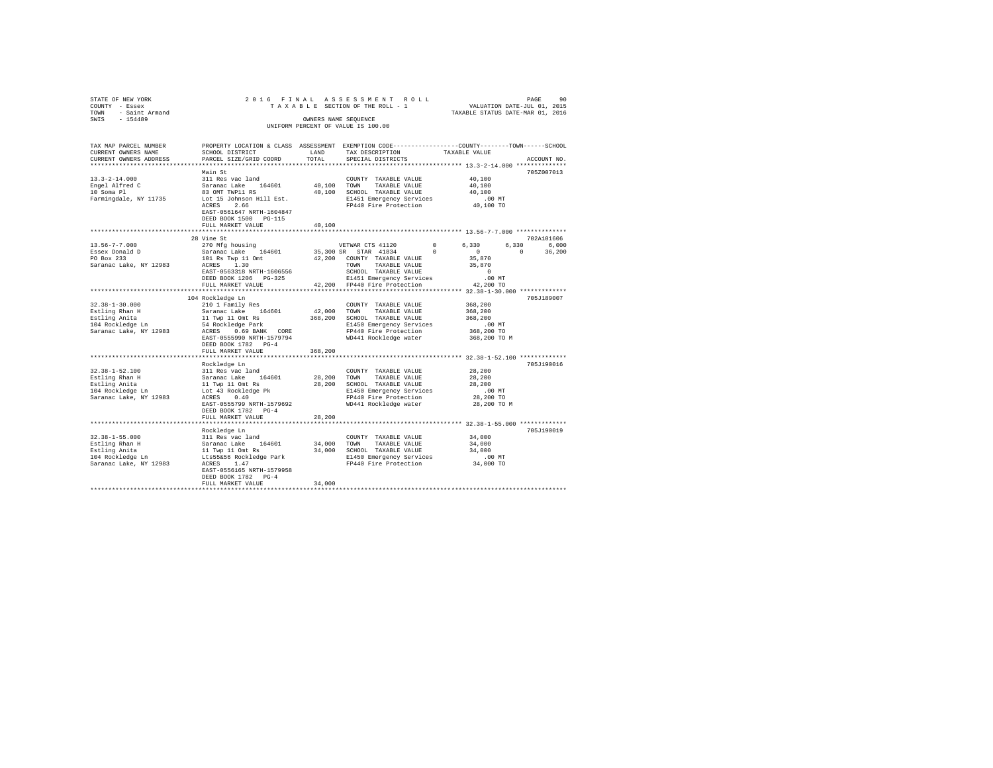| STATE OF NEW YORK                                   |                                                                                                                                                                                                                                                                                                                                                                                                                      |             | 2016 FINAL ASSESSMENT ROLL                                                                              |                          |                                  |
|-----------------------------------------------------|----------------------------------------------------------------------------------------------------------------------------------------------------------------------------------------------------------------------------------------------------------------------------------------------------------------------------------------------------------------------------------------------------------------------|-------------|---------------------------------------------------------------------------------------------------------|--------------------------|----------------------------------|
| COUNTY - Essex                                      |                                                                                                                                                                                                                                                                                                                                                                                                                      |             |                                                                                                         |                          |                                  |
| TOWN - Saint Armand                                 |                                                                                                                                                                                                                                                                                                                                                                                                                      |             |                                                                                                         |                          | TAXABLE STATUS DATE-MAR 01, 2016 |
| SWTS - 154489                                       |                                                                                                                                                                                                                                                                                                                                                                                                                      |             | OWNERS NAME SEQUENCE                                                                                    |                          |                                  |
|                                                     |                                                                                                                                                                                                                                                                                                                                                                                                                      |             | UNIFORM PERCENT OF VALUE IS 100.00                                                                      |                          |                                  |
|                                                     |                                                                                                                                                                                                                                                                                                                                                                                                                      |             |                                                                                                         |                          |                                  |
| TAX MAP PARCEL NUMBER                               |                                                                                                                                                                                                                                                                                                                                                                                                                      |             | PROPERTY LOCATION & CLASS ASSESSMENT EXEMPTION CODE----------------COUNTY-------TOWN------SCHOOL        |                          |                                  |
| CURRENT OWNERS NAME                                 | SCHOOL DISTRICT                                                                                                                                                                                                                                                                                                                                                                                                      | LAND        |                                                                                                         |                          |                                  |
| CURRENT OWNERS ADDRESS                              | PARCEL SIZE/GRID COORD                                                                                                                                                                                                                                                                                                                                                                                               | TOTAL       | TAX DESCRIPTION                                                                                         | TAXABLE VALUE            |                                  |
|                                                     |                                                                                                                                                                                                                                                                                                                                                                                                                      |             | SPECIAL DISTRICTS                                                                                       |                          | ACCOUNT NO.                      |
|                                                     | Main St                                                                                                                                                                                                                                                                                                                                                                                                              |             |                                                                                                         |                          | 705Z007013                       |
| $13.3 - 2 - 14.000$                                 | 311 Res vac land                                                                                                                                                                                                                                                                                                                                                                                                     |             | COUNTY TAXABLE VALUE                                                                                    | 40,100                   |                                  |
|                                                     | Saranac Lake 164601                                                                                                                                                                                                                                                                                                                                                                                                  |             | 40.100 TOWN TAXABLE VALUE                                                                               | 40,100                   |                                  |
| Engel Alfred C<br>10 Soma Pl                        | 83 OMT TWP11 RS                                                                                                                                                                                                                                                                                                                                                                                                      |             | 40,100 SCHOOL TAXABLE VALUE                                                                             | 40,100                   |                                  |
| Farmingdale, NY 11735                               | Lot 15 Johnson Hill Est.                                                                                                                                                                                                                                                                                                                                                                                             |             | E1451 Emergency Services                                                                                |                          |                                  |
|                                                     | ACRES 2.66                                                                                                                                                                                                                                                                                                                                                                                                           |             | FP440 Fire Protection                                                                                   | .00 MT<br>40,100 TO      |                                  |
|                                                     | EAST-0561647 NRTH-1604847                                                                                                                                                                                                                                                                                                                                                                                            |             |                                                                                                         |                          |                                  |
|                                                     | DEED BOOK 1500 PG-115                                                                                                                                                                                                                                                                                                                                                                                                |             |                                                                                                         |                          |                                  |
|                                                     | FULL MARKET VALUE                                                                                                                                                                                                                                                                                                                                                                                                    | 40,100      |                                                                                                         |                          |                                  |
|                                                     |                                                                                                                                                                                                                                                                                                                                                                                                                      |             |                                                                                                         |                          |                                  |
|                                                     | 28 Vine St                                                                                                                                                                                                                                                                                                                                                                                                           |             |                                                                                                         |                          | 702A101606                       |
| $13.56 - 7 - 7.000$                                 | 270 Mfg housing                                                                                                                                                                                                                                                                                                                                                                                                      |             | VETWAR CTS 41120                                                                                        | $0 \t 6,330$             | 6,330 6,000                      |
|                                                     |                                                                                                                                                                                                                                                                                                                                                                                                                      |             |                                                                                                         | $\sim$ 0                 | $\sim$ 0<br>36,200               |
| Essex Donald D<br>PO Box 233                        | $\begin{tabular}{lcccc} Saranac Lake & 164601 & 35,300 SR & STR & 41834 & 0 \\ 101 Rs Type & 11 Omt & 42,200 & \text{COMNT} & TAXABLE VALUE \\ ACRES & 1.30 & & & 42,200 & \text{COMNT} & TAXABLE VALUE \\ \end{tabular}$                                                                                                                                                                                            |             |                                                                                                         | 35,870                   |                                  |
|                                                     |                                                                                                                                                                                                                                                                                                                                                                                                                      |             |                                                                                                         |                          |                                  |
| Saranac Lake, NY 12983                              | ACRES 1.30                                                                                                                                                                                                                                                                                                                                                                                                           |             |                                                                                                         | 35,870<br>$\sim$ 0       |                                  |
|                                                     |                                                                                                                                                                                                                                                                                                                                                                                                                      |             |                                                                                                         |                          |                                  |
|                                                     |                                                                                                                                                                                                                                                                                                                                                                                                                      |             | FULL MARKET VALUE 42,200 FP440 Fire Protection                                                          | .00MT<br>42,200 TO       |                                  |
|                                                     |                                                                                                                                                                                                                                                                                                                                                                                                                      |             |                                                                                                         |                          |                                  |
|                                                     | 104 Rockledge Ln                                                                                                                                                                                                                                                                                                                                                                                                     |             |                                                                                                         |                          | 705J189007                       |
| $32.38 - 1 - 30.000$                                | 210 1 Family Res                                                                                                                                                                                                                                                                                                                                                                                                     |             | COUNTY TAXABLE VALUE                                                                                    | 368,200                  |                                  |
| Estling Rhan H                                      | Saranac Lake 164601                                                                                                                                                                                                                                                                                                                                                                                                  |             | 42.000 TOWN TAXABLE VALUE                                                                               | 368,200                  |                                  |
|                                                     | 11 Twp 11 Omt Rs                                                                                                                                                                                                                                                                                                                                                                                                     |             | 368,200 SCHOOL TAXABLE VALUE                                                                            | 368,200                  |                                  |
| Estling Anita<br>104 Rockledge Ln                   | 54 Rockledge Park                                                                                                                                                                                                                                                                                                                                                                                                    |             | E1450 Emergency Services                                                                                | $.00$ MT                 |                                  |
|                                                     | Saranac Lake, NY 12983 ACRES 0.69 BANK CORE                                                                                                                                                                                                                                                                                                                                                                          |             |                                                                                                         | 368,200 TO               |                                  |
|                                                     | EAST-0555990 NRTH-1579794                                                                                                                                                                                                                                                                                                                                                                                            |             | FP440 Fire Protection<br>WD441 Rockledge water                                                          |                          |                                  |
|                                                     |                                                                                                                                                                                                                                                                                                                                                                                                                      |             |                                                                                                         | 368,200 TO M             |                                  |
|                                                     | DEED BOOK 1782 PG-4                                                                                                                                                                                                                                                                                                                                                                                                  | 368,200     |                                                                                                         |                          |                                  |
|                                                     | FULL MARKET VALUE                                                                                                                                                                                                                                                                                                                                                                                                    | *********** | **************************** 32.38-1-52.100 *************                                               |                          |                                  |
|                                                     | Rockledge Ln                                                                                                                                                                                                                                                                                                                                                                                                         |             |                                                                                                         |                          | 705J190016                       |
| $32.38 - 1 - 52.100$                                | 311 Res vac land                                                                                                                                                                                                                                                                                                                                                                                                     |             | COUNTY TAXABLE VALUE                                                                                    | 28,200                   |                                  |
|                                                     | Saranac Lake 164601                                                                                                                                                                                                                                                                                                                                                                                                  | 28,200      | TOWN<br>TAXABLE VALUE                                                                                   | 28,200                   |                                  |
| Estling Rhan H<br>Estling Anita<br>104 Rockledge Ln |                                                                                                                                                                                                                                                                                                                                                                                                                      |             | 28, 200 SCHOOL TAXABLE VALUE                                                                            | 28,200                   |                                  |
|                                                     | 11 Twp 11 Omt Rs<br>Lot 43 Rockledge Pk<br>ACRES 0.40                                                                                                                                                                                                                                                                                                                                                                |             |                                                                                                         | $.00$ MT                 |                                  |
|                                                     |                                                                                                                                                                                                                                                                                                                                                                                                                      |             | ELIASO Emergency Services<br>E1450 Emergency Services<br>FP440 Fire Protection<br>WD441 Rockledge water |                          |                                  |
| Saranac Lake, NY 12983                              | EAST-0555799 NRTH-1579692                                                                                                                                                                                                                                                                                                                                                                                            |             |                                                                                                         | 28,200 TO<br>28,200 TO M |                                  |
|                                                     |                                                                                                                                                                                                                                                                                                                                                                                                                      |             |                                                                                                         |                          |                                  |
|                                                     | DEED BOOK 1782 PG-4                                                                                                                                                                                                                                                                                                                                                                                                  |             |                                                                                                         |                          |                                  |
|                                                     | FULL MARKET VALUE                                                                                                                                                                                                                                                                                                                                                                                                    | 28,200      |                                                                                                         |                          |                                  |
|                                                     |                                                                                                                                                                                                                                                                                                                                                                                                                      |             |                                                                                                         |                          |                                  |
| $32.38 - 1 - 55.000$                                | Rockledge Ln<br>311 Res vac land                                                                                                                                                                                                                                                                                                                                                                                     |             |                                                                                                         | 34,000                   | 705J190019                       |
|                                                     | Saranac Lake 164601 34,000                                                                                                                                                                                                                                                                                                                                                                                           |             | COUNTY TAXABLE VALUE                                                                                    |                          |                                  |
| Estling Rhan H                                      | $\begin{tabular}{lcl} \texttt{Sarance} \texttt{ have} & \texttt{1-} & \texttt{1-} & \texttt{1-} & \texttt{1-} \\ \texttt{all 1-} & \texttt{1-} & \texttt{1-} & \texttt{1-} & \texttt{1-} \\ \texttt{It=1-} & \texttt{1-} & \texttt{1-} & \texttt{1-} & \texttt{1-} \\ \texttt{It=1-} & \texttt{1-} & \texttt{1-} & \texttt{1-} \\ \texttt{1-} & \texttt{1-} & \texttt{1-} & \texttt{1-} \\ \texttt{1-} & \texttt{1-$ |             | TOWN<br>TAXABLE VALUE                                                                                   | 34,000                   |                                  |
| Estling Anita<br>104 Rockledge Ln                   |                                                                                                                                                                                                                                                                                                                                                                                                                      |             |                                                                                                         |                          |                                  |
| Saranac Lake, NY 12983                              | ACRES 1.47                                                                                                                                                                                                                                                                                                                                                                                                           |             |                                                                                                         |                          |                                  |
|                                                     |                                                                                                                                                                                                                                                                                                                                                                                                                      |             |                                                                                                         |                          |                                  |
|                                                     | DEED BOOK 1782 PG-4                                                                                                                                                                                                                                                                                                                                                                                                  |             |                                                                                                         |                          |                                  |
|                                                     |                                                                                                                                                                                                                                                                                                                                                                                                                      | 34,000      |                                                                                                         |                          |                                  |
|                                                     | FULL MARKET VALUE                                                                                                                                                                                                                                                                                                                                                                                                    |             |                                                                                                         |                          |                                  |
|                                                     |                                                                                                                                                                                                                                                                                                                                                                                                                      |             |                                                                                                         |                          |                                  |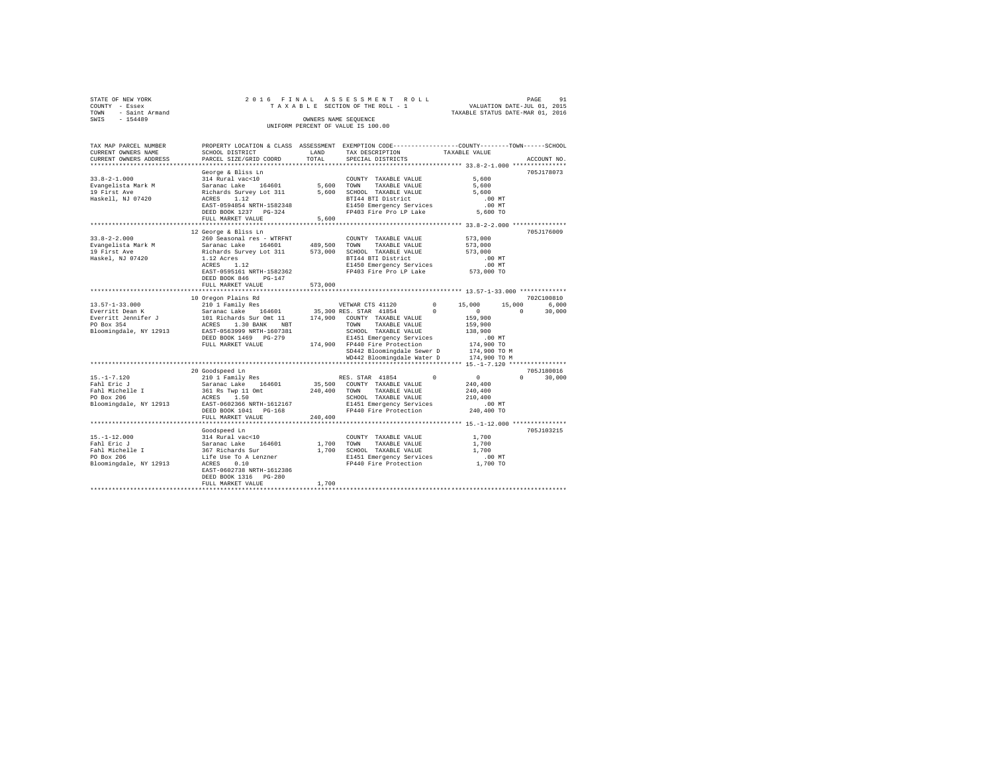| STATE OF NEW YORK   | 2016 FINAL ASSESSMENT ROLL         | 91<br>PAGE                       |
|---------------------|------------------------------------|----------------------------------|
| COUNTY - Essex      | TAXABLE SECTION OF THE ROLL - 1    | VALUATION DATE-JUL 01, 2015      |
| TOWN - Saint Armand |                                    | TAXABLE STATUS DATE-MAR 01, 2016 |
| SWIS<br>$-154489$   | OWNERS NAME SEOUENCE               |                                  |
|                     | UNIFORM PERCENT OF VALUE IS 100.00 |                                  |

| TAX MAP PARCEL NUMBER                                                                                                                      | PROPERTY LOCATION & CLASS ASSESSMENT EXEMPTION CODE---------------COUNTY-------TOWN------SCHOOL                                                           |              |                                                                     |                      |                    |
|--------------------------------------------------------------------------------------------------------------------------------------------|-----------------------------------------------------------------------------------------------------------------------------------------------------------|--------------|---------------------------------------------------------------------|----------------------|--------------------|
| CURRENT OWNERS NAME                                                                                                                        | SCHOOL DISTRICT                                                                                                                                           | LAND         | TAX DESCRIPTION                                                     | TAXABLE VALUE        |                    |
| CURRENT OWNERS ADDRESS                                                                                                                     | PARCEL SIZE/GRID COORD                                                                                                                                    | TOTAL        | SPECIAL DISTRICTS                                                   |                      | ACCOUNT NO.        |
|                                                                                                                                            |                                                                                                                                                           |              |                                                                     |                      |                    |
|                                                                                                                                            | George & Bliss Ln                                                                                                                                         |              |                                                                     |                      | 705J178073         |
| $33.8 - 2 - 1.000$                                                                                                                         | 314 Rural vac<10                                                                                                                                          |              | COUNTY TAXABLE VALUE                                                | 5,600                |                    |
| Evangelista Mark M                                                                                                                         | Saranac Lake 164601                                                                                                                                       | 5,600        | TAXABLE VALUE<br>TOWN                                               | 5,600                |                    |
| 19 First Ave                                                                                                                               | Richards Survey Lot 311                                                                                                                                   |              | 5,600 SCHOOL TAXABLE VALUE                                          | 5,600                |                    |
| Haskell, NJ 07420                                                                                                                          | ACRES 1.12                                                                                                                                                |              | BTI44 BTI District                                                  | .00 MT               |                    |
|                                                                                                                                            | EAST-0594854 NRTH-1582348                                                                                                                                 |              | E1450 Emergency Services                                            | $.00$ MT             |                    |
|                                                                                                                                            | DEED BOOK 1237 PG-324                                                                                                                                     |              | FP403 Fire Pro LP Lake                                              | 5,600 TO             |                    |
|                                                                                                                                            | FULL MARKET VALUE                                                                                                                                         | 5,600        |                                                                     |                      |                    |
|                                                                                                                                            |                                                                                                                                                           |              |                                                                     |                      |                    |
|                                                                                                                                            | 12 George & Bliss Ln                                                                                                                                      |              |                                                                     |                      | 705J176009         |
| $33.8 - 2 - 2.000$                                                                                                                         | 260 Seasonal res - WTRFNT                                                                                                                                 |              | COUNTY TAXABLE VALUE                                                | 573,000              |                    |
| 33.8-2-2.0<br>Evangelista Mark M<br>^^ Timet Ave                                                                                           | Saranac Lake 164601                                                                                                                                       |              | 489,500 TOWN TAXABLE VALUE                                          | 573,000              |                    |
|                                                                                                                                            | Richards Survey Lot 311 573,000                                                                                                                           |              | SCHOOL TAXABLE VALUE                                                | 573,000              |                    |
| Haskel, NJ 07420                                                                                                                           | 1.12 Acres                                                                                                                                                |              | BTI44 BTI District                                                  | $.00$ MT             |                    |
|                                                                                                                                            | ACRES<br>1.12                                                                                                                                             |              | E1450 Emergency Services                                            | 00 MT.<br>573,000 TO |                    |
|                                                                                                                                            | EAST-0595161 NRTH-1582362                                                                                                                                 |              | FP403 Fire Pro LP Lake                                              |                      |                    |
|                                                                                                                                            | DEED BOOK 846<br>$PG-147$                                                                                                                                 |              |                                                                     |                      |                    |
|                                                                                                                                            | FULL MARKET VALUE                                                                                                                                         | 573,000      |                                                                     |                      |                    |
|                                                                                                                                            |                                                                                                                                                           |              |                                                                     |                      |                    |
|                                                                                                                                            | 10 Oregon Plains Rd                                                                                                                                       |              |                                                                     |                      | 702C100810         |
| $13.57 - 1 - 33.000$                                                                                                                       | 210 1 Family Res                                                                                                                                          |              | VETWAR CTS 41120                                                    | $0 \t 15,000$        | 15,000<br>6,000    |
| Everritt Dean K                                                                                                                            |                                                                                                                                                           |              |                                                                     | $\sim$ 0             | $\Omega$<br>30,000 |
| Everritt Jennifer J                                                                                                                        | 2012 - American Barroll, 1980, 1991, 1992<br>101 Richards Sur Ont 11 174,900 COUNTY TAXABLE VALUE<br>101 Richards Sur Ont 11 174,900 COUNTY TAXABLE VALUE |              |                                                                     | 159,900              |                    |
| PO Box 354                                                                                                                                 |                                                                                                                                                           |              |                                                                     | 159,900              |                    |
| Bloomingdale, NY 12913 EAST-0563999 NRTH-1607381                                                                                           |                                                                                                                                                           |              | SCHOOL TAXABLE VALUE                                                | 138,900              |                    |
|                                                                                                                                            | DEED BOOK 1469 PG-279                                                                                                                                     |              | E1451 Emergency Services                                            | .00MT                |                    |
|                                                                                                                                            | FULL MARKET VALUE                                                                                                                                         |              | 174,900 FP440 Fire Protection                                       | 174,900 TO           |                    |
|                                                                                                                                            |                                                                                                                                                           |              | SD442 Bloomingdale Sewer D                                          | 174,900 TO M         |                    |
|                                                                                                                                            |                                                                                                                                                           |              | WD442 Bloomingdale Water D 174,900 TO M                             |                      |                    |
|                                                                                                                                            |                                                                                                                                                           |              |                                                                     |                      |                    |
|                                                                                                                                            | 20 Goodspeed Ln                                                                                                                                           |              |                                                                     |                      | 705J180016         |
| $15. - 1 - 7.120$                                                                                                                          | 210 1 Family Res                                                                                                                                          |              | RES. STAR 41854                                                     | $\Omega$<br>$\sim$ 0 | $\Omega$<br>30,000 |
| Fahl Eric J                                                                                                                                | Saranac Lake 164601                                                                                                                                       |              | 35,500 COUNTY TAXABLE VALUE                                         | 240,400              |                    |
|                                                                                                                                            |                                                                                                                                                           | 240,400 TOWN | TAXABLE VALUE                                                       | 240,400              |                    |
| $\begin{array}{c}\n\text{Fall} & \text{---} \\ \text{Fahl Michelle} & \text{---} \\ \text{---} \\ \text{---} \\ \end{array}$<br>PO Box 206 | 361 Rs Twp 11 Omt<br>ACRES 1 50<br>1.50<br>ACRES                                                                                                          |              | SCHOOL TAXABLE VALUE                                                | 210,400              |                    |
| Bloomingdale, NY 12913                                                                                                                     | EAST-0602366 NRTH-1612167                                                                                                                                 |              |                                                                     |                      |                    |
|                                                                                                                                            | DEED BOOK 1041 PG-168                                                                                                                                     |              | E1451 Emergency Services .00 MT<br>FP440 Fire Protection 240,400 TO |                      |                    |
|                                                                                                                                            | FULL MARKET VALUE                                                                                                                                         | 240,400      |                                                                     |                      |                    |
|                                                                                                                                            |                                                                                                                                                           |              |                                                                     |                      |                    |
|                                                                                                                                            | Goodspeed Ln                                                                                                                                              |              |                                                                     |                      | 705J103215         |
| $15. - 1 - 12.000$                                                                                                                         |                                                                                                                                                           |              | COUNTY TAXABLE VALUE                                                | 1,700                |                    |
| Fahl Eric J                                                                                                                                | 314 Rural vac<10<br>Saranac Lake 164601<br>367 Richards Sur                                                                                               |              | 1,700 TOWN<br>TAXABLE VALUE                                         | 1,700                |                    |
| Fahl Michelle I                                                                                                                            |                                                                                                                                                           |              | 1,700 SCHOOL TAXABLE VALUE                                          | 1,700                |                    |
| PO Box 206                                                                                                                                 |                                                                                                                                                           |              | E1451 Emergency Services                                            | $.00$ MT             |                    |
| Bloomingdale, NY 12913                                                                                                                     | Life Use To A Lenzner<br>ACRES      0.10<br>0.10<br>ACRES                                                                                                 |              | FP440 Fire Protection                                               | 1,700 TO             |                    |
|                                                                                                                                            | EAST-0602738 NRTH-1612386                                                                                                                                 |              |                                                                     |                      |                    |
|                                                                                                                                            | DEED BOOK 1316 PG-280                                                                                                                                     |              |                                                                     |                      |                    |
|                                                                                                                                            | FULL MARKET VALUE                                                                                                                                         | 1,700        |                                                                     |                      |                    |
|                                                                                                                                            |                                                                                                                                                           |              |                                                                     |                      |                    |
|                                                                                                                                            |                                                                                                                                                           |              |                                                                     |                      |                    |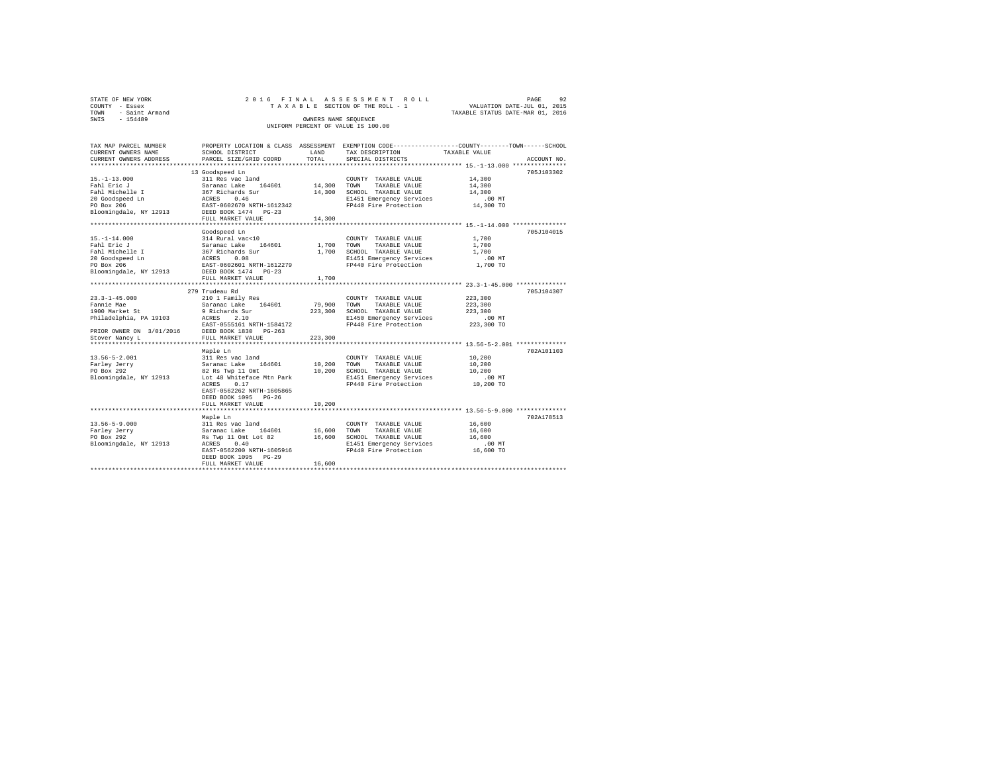| STATE OF NEW YORK   |  | 2016 FINAL ASSESSMENT ROLL         |                                  | PAGE                        | 92 |
|---------------------|--|------------------------------------|----------------------------------|-----------------------------|----|
| COUNTY - Essex      |  | TAXABLE SECTION OF THE ROLL - 1    |                                  | VALUATION DATE-JUL 01, 2015 |    |
| TOWN - Saint Armand |  |                                    | TAXABLE STATUS DATE-MAR 01, 2016 |                             |    |
| SWTS<br>$-154489$   |  | OWNERS NAME SEOUENCE               |                                  |                             |    |
|                     |  | UNIFORM PERCENT OF VALUE IS 100.00 |                                  |                             |    |
|                     |  |                                    |                                  |                             |    |

| TAX MAP PARCEL NUMBER    | PROPERTY LOCATION & CLASS ASSESSMENT               |         | EXEMPTION CODE-----------------COUNTY-------TOWN------SCHOOL |               |             |
|--------------------------|----------------------------------------------------|---------|--------------------------------------------------------------|---------------|-------------|
| CURRENT OWNERS NAME      | SCHOOL DISTRICT                                    | LAND    | TAX DESCRIPTION                                              | TAXABLE VALUE |             |
| CURRENT OWNERS ADDRESS   | PARCEL SIZE/GRID COORD                             | TOTAL   | SPECIAL DISTRICTS                                            |               | ACCOUNT NO. |
|                          |                                                    |         |                                                              |               |             |
|                          | 13 Goodspeed Ln                                    |         |                                                              |               | 705J103302  |
| $15. - 1 - 13.000$       | 311 Res vac land                                   |         | COUNTY TAXABLE VALUE                                         | 14,300        |             |
| Fahl Eric J              | 164601<br>Saranac Lake                             | 14,300  | TOWN<br>TAXABLE VALUE                                        | 14,300        |             |
| Fahl Michelle I          | 367 Richards Sur<br>ACRES 0.46                     | 14,300  | SCHOOL TAXABLE VALUE                                         | 14,300        |             |
| 20 Goodspeed Ln          |                                                    |         | E1451 Emergency Services                                     | $.00$ MT      |             |
| PO Box 206               | EAST-0602670 NRTH-1612342                          |         | FP440 Fire Protection                                        | 14,300 TO     |             |
| Bloomingdale, NY 12913   | DEED BOOK 1474 PG-23                               |         |                                                              |               |             |
|                          | FULL MARKET VALUE                                  | 14,300  |                                                              |               |             |
|                          |                                                    |         |                                                              |               |             |
|                          | Goodspeed Ln                                       |         |                                                              |               | 705J104015  |
| $15. - 1 - 14.000$       | 314 Rural vac<10                                   |         | COUNTY TAXABLE VALUE                                         | 1,700         |             |
| Fahl Eric J              | 164601<br>Saranac Lake                             | 1,700   | TOWN<br>TAXABLE VALUE                                        | 1,700         |             |
| Fahl Michelle I          | 367 Richards Sur                                   | 1,700   | SCHOOL TAXABLE VALUE                                         | 1,700         |             |
| 20 Goodspeed Ln          | ACRES<br>0.08                                      |         | E1451 Emergency Services                                     | .00 MT        |             |
| PO Box 206               | EAST-0602601 NRTH-1612279                          |         | FP440 Fire Protection                                        | 1,700 TO      |             |
| Bloomingdale, NY 12913   | DEED BOOK 1474 PG-23                               |         |                                                              |               |             |
|                          | FULL MARKET VALUE                                  | 1,700   |                                                              |               |             |
|                          |                                                    |         |                                                              |               |             |
|                          | 279 Trudeau Rd                                     |         |                                                              |               | 705J104307  |
| $23.3 - 1 - 45.000$      | 210 1 Family Res                                   |         | COUNTY TAXABLE VALUE                                         | 223,300       |             |
| Fannie Mae               | Saranac Lake 164601                                | 79,900  | TOWN<br>TAXABLE VALUE                                        | 223,300       |             |
| 1900 Market St           | 9 Richards Sur                                     | 223,300 | SCHOOL TAXABLE VALUE                                         | 223,300       |             |
| Philadelphia, PA 19103   | ACRES<br>2.10                                      |         | E1450 Emergency Services                                     | $.00$ MT      |             |
|                          | EAST-0555161 NRTH-1584172                          |         | FP440 Fire Protection                                        | 223,300 TO    |             |
| PRIOR OWNER ON 3/01/2016 | DEED BOOK 1830<br>$PG-263$                         |         |                                                              |               |             |
|                          |                                                    |         |                                                              |               |             |
| Stover Nancy L           | FULL MARKET VALUE<br>***************************** | 223,300 |                                                              |               |             |
|                          |                                                    |         |                                                              |               |             |
|                          | Maple Ln                                           |         |                                                              |               | 702A101103  |
| $13.56 - 5 - 2.001$      | 311 Res vac land                                   |         | COUNTY TAXABLE VALUE                                         | 10,200        |             |
| Farley Jerry             | 164601<br>Saranac Lake                             | 10,200  | TOWN<br>TAXABLE VALUE                                        | 10,200        |             |
| PO Box 292               | 82 Rs Twp 11 Omt                                   | 10,200  | SCHOOL TAXABLE VALUE                                         | 10,200        |             |
| Bloomingdale, NY 12913   | Lot 48 Whiteface Mtn Park                          |         | E1451 Emergency Services                                     | .00 MT        |             |
|                          | 0.17<br>ACRES                                      |         | FP440 Fire Protection                                        | 10,200 TO     |             |
|                          | EAST-0562262 NRTH-1605865                          |         |                                                              |               |             |
|                          | DEED BOOK 1095 PG-26                               |         |                                                              |               |             |
|                          | FULL MARKET VALUE                                  | 10,200  |                                                              |               |             |
|                          |                                                    |         |                                                              |               |             |
|                          | Maple Ln                                           |         |                                                              |               | 702A178513  |
| $13.56 - 5 - 9.000$      | 311 Res vac land                                   |         | COUNTY TAXABLE VALUE                                         | 16,600        |             |
| Farley Jerry             | Saranac Lake<br>164601                             | 16,600  | TOWN<br>TAXABLE VALUE                                        | 16,600        |             |
| PO Box 292               | Rs Twp 11 Omt Lot 82                               | 16,600  | SCHOOL TAXABLE VALUE                                         | 16,600        |             |
| Bloomingdale, NY 12913   | ACRES<br>0.40                                      |         | E1451 Emergency Services                                     | $.00$ MT      |             |
|                          | EAST-0562200 NRTH-1605916                          |         | FP440 Fire Protection                                        | 16,600 TO     |             |
|                          | DEED BOOK 1095 PG-29                               |         |                                                              |               |             |
|                          | FULL MARKET VALUE                                  | 16,600  |                                                              |               |             |
|                          |                                                    |         |                                                              |               |             |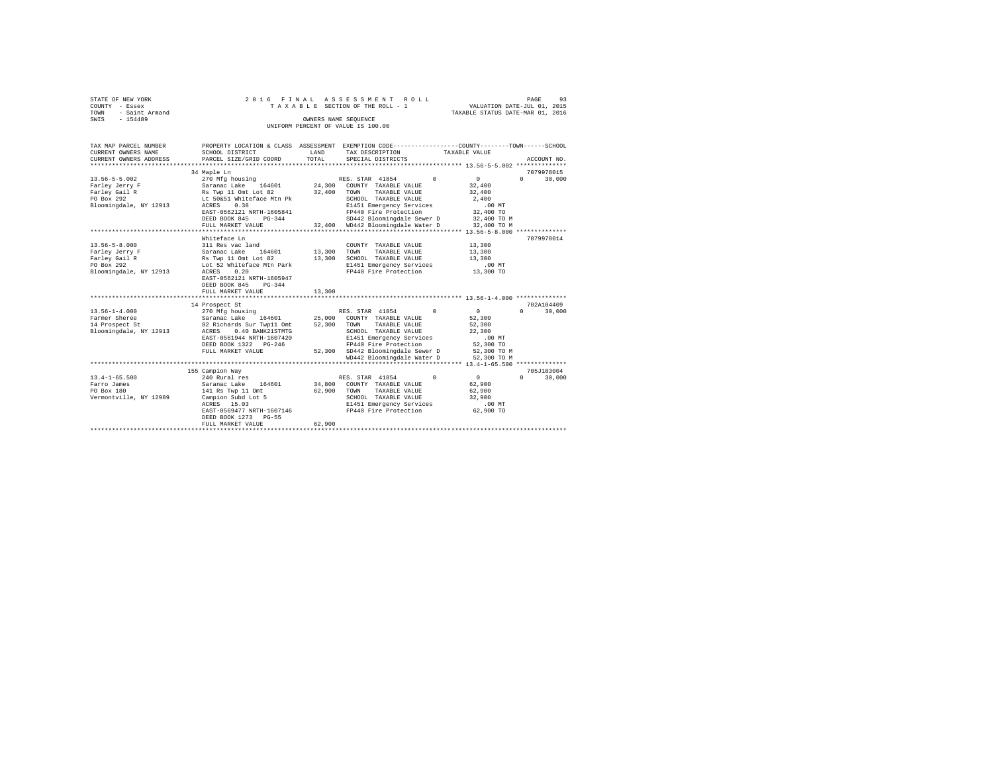|      | STATE OF NEW YORK |  |  |  | 2016 FINAL ASSESSMENT ROLL         |  |  |  | - 93<br>PAGE                     |
|------|-------------------|--|--|--|------------------------------------|--|--|--|----------------------------------|
|      |                   |  |  |  |                                    |  |  |  |                                  |
|      | COUNTY - Essex    |  |  |  | TAXABLE SECTION OF THE ROLL - 1    |  |  |  | VALUATION DATE-JUL 01, 2015      |
| TOWN | - Saint Armand    |  |  |  |                                    |  |  |  | TAXABLE STATUS DATE-MAR 01, 2016 |
| SWIS | $-154489$         |  |  |  | OWNERS NAME SEOUENCE               |  |  |  |                                  |
|      |                   |  |  |  | UNIFORM PERCENT OF VALUE IS 100.00 |  |  |  |                                  |

| TAX MAP PARCEL NUMBER<br>CURRENT OWNERS NAME<br>CURRENT OWNERS ADDRESS                         | SCHOOL DISTRICT<br>PARCEL SIZE/GRID COORD                                                                                                                                                                                                                          | LAND<br>TOTAL    | PROPERTY LOCATION & CLASS ASSESSMENT EXEMPTION CODE----------------COUNTY-------TOWN-----SCHOOL<br>TAX DESCRIPTION<br>SPECIAL DISTRICTS                                                                                      | TAXABLE VALUE<br>ACCOUNT NO.                                                                                                         |
|------------------------------------------------------------------------------------------------|--------------------------------------------------------------------------------------------------------------------------------------------------------------------------------------------------------------------------------------------------------------------|------------------|------------------------------------------------------------------------------------------------------------------------------------------------------------------------------------------------------------------------------|--------------------------------------------------------------------------------------------------------------------------------------|
| $13.56 - 5 - 5.002$<br>Farley Jerry F<br>Farley Gail R<br>PO Box 292<br>Bloomingdale, NY 12913 | 34 Maple Ln<br>270 Mfg housing<br>Saranac Lake 164601 24,300 COUNTY TAXABLE VALUE<br>Rs Twp 11 Omt Lot 82<br>Lt 50&51 Whiteface Mtn Pk<br>0.38<br>ACRES<br>EAST-0562121 NRTH-1605841<br>DEED BOOK 845<br>$PG-344$<br>FULL MARKET VALUE<br>************************ | 32,400           | RES. STAR 41854<br>$\Omega$<br>TAXABLE VALUE<br>TOWN<br>SCHOOL TAXABLE VALUE<br>E1451 Emergency Services<br>FP440 Fire Protection<br>SD442 Bloomingdale Sewer D<br>32,400 WD442 Bloomingdale Water D                         | 7079978015<br>0<br>$\Omega$<br>30,000<br>32,400<br>32,400<br>2,400<br>$.00$ MT<br>32,400 TO<br>32,400 TO M<br>32,400 TO M            |
| $13.56 - 5 - 8.000$<br>Farley Jerry F<br>Farley Gail R<br>PO Box 292<br>Bloomingdale, NY 12913 | Whiteface Ln<br>311 Res vac land<br>164601 13,300<br>Saranac Lake<br>Rs Twp 11 Omt Lot 82<br>Lot 52 Whiteface Mtn Park<br>0.20<br>ACRES<br>EAST-0562121 NRTH-1605947<br>DEED BOOK 845<br>$PG-344$<br>FULL MARKET VALUE                                             | 13,300<br>13,300 | COUNTY TAXABLE VALUE<br>TOWN<br>TAXABLE VALUE<br>SCHOOL TAXABLE VALUE<br>E1451 Emergency Services<br>FP440 Fire Protection                                                                                                   | 7079978014<br>13,300<br>13,300<br>13,300<br>$.00$ MT<br>13,300 TO                                                                    |
| $13.56 - 1 - 4.000$<br>Farmer Sheree<br>14 Prospect St<br>Bloomingdale, NY 12913               | 14 Prospect St<br>270 Mfg housing<br>Saranac Lake 164601<br>82 Richards Sur Twp11 Omt<br>164601 25,000<br>ACRES<br>0.40 BANK21STMTG<br>EAST-0561944 NRTH-1607420<br>DEED BOOK 1322 PG-246<br>FULL MARKET VALUE                                                     | 52,300           | RES. STAR 41854<br>$\Omega$<br>COUNTY TAXABLE VALUE<br>TOWN<br>TAXABLE VALUE<br>SCHOOL TAXABLE VALUE<br>E1451 Emergency Services<br>FP440 Fire Protection<br>52,300 SD442 Bloomingdale Sewer D<br>WD442 Bloomingdale Water D | 702A104409<br>$\overline{0}$<br>$\Omega$<br>30,000<br>52,300<br>52,300<br>22,300<br>.00MT<br>52,300 TO<br>52,300 TO M<br>52,300 TO M |
| $13.4 - 1 - 65.500$<br>Farro James<br>PO Box 180<br>Vermontville, NY 12989                     | 155 Campion Way<br>240 Rural res<br>164601<br>Saranac Lake<br>141 Rs Twp 11 Omt<br>Campion Subd Lot 5<br>ACRES 15.03<br>EAST-0569477 NRTH-1607146<br>DEED BOOK 1273 PG-55<br>FULL MARKET VALUE<br>*****************************                                    | 62,900           | $^{\circ}$<br>RES. STAR 41854<br>34,800 COUNTY TAXABLE VALUE<br>62,900 TOWN<br>TAXABLE VALUE<br>SCHOOL TAXABLE VALUE<br>E1451 Emergency Services<br>FP440 Fire Protection                                                    | 705J183004<br>0<br>$\Omega$<br>30,000<br>62.900<br>62,900<br>32,900<br>.00 MT<br>62,900 TO                                           |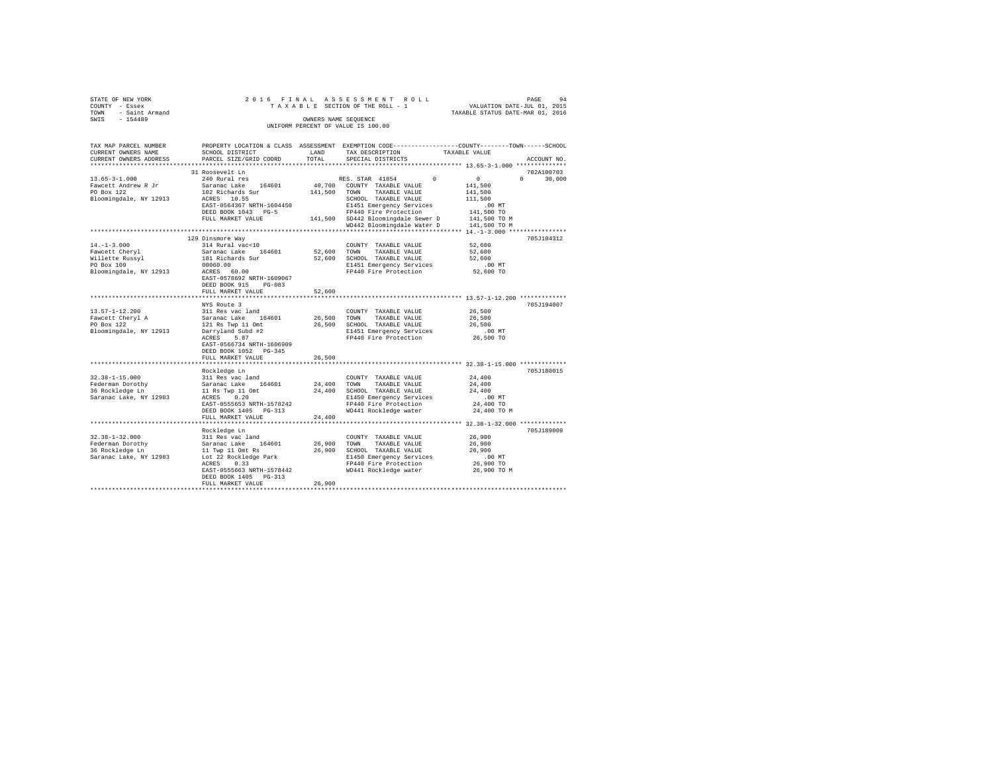| STATE OF NEW YORK<br>COUNTY - Essex           | 2016 FINAL                                         |                      | ASSESSMENT ROLL<br>TAXABLE SECTION OF THE ROLL - 1                                              | PAGE<br>VALUATION DATE-JUL 01, 2015 | 94          |
|-----------------------------------------------|----------------------------------------------------|----------------------|-------------------------------------------------------------------------------------------------|-------------------------------------|-------------|
| - Saint Armand<br>TOWN                        |                                                    |                      |                                                                                                 | TAXABLE STATUS DATE-MAR 01, 2016    |             |
| SWIS<br>$-154489$                             |                                                    | OWNERS NAME SEOUENCE |                                                                                                 |                                     |             |
|                                               |                                                    |                      | UNIFORM PERCENT OF VALUE IS 100.00                                                              |                                     |             |
|                                               |                                                    |                      |                                                                                                 |                                     |             |
|                                               |                                                    |                      |                                                                                                 |                                     |             |
| TAX MAP PARCEL NUMBER                         |                                                    |                      | PROPERTY LOCATION & CLASS ASSESSMENT EXEMPTION CODE---------------COUNTY-------TOWN------SCHOOL |                                     |             |
| CURRENT OWNERS NAME<br>CURRENT OWNERS ADDRESS | SCHOOL DISTRICT                                    | LAND<br>TOTAL        | TAX DESCRIPTION                                                                                 | TAXABLE VALUE                       |             |
|                                               | PARCEL SIZE/GRID COORD                             |                      | SPECIAL DISTRICTS                                                                               |                                     | ACCOUNT NO. |
|                                               | 31 Roosevelt Ln                                    |                      |                                                                                                 |                                     | 702A100703  |
| $13.65 - 3 - 1.000$                           | 240 Rural res                                      |                      | RES. STAR 41854<br>$^{\circ}$                                                                   | $\sim$ 0<br>$\Omega$                | 30,000      |
| Fawcett Andrew R Jr                           | Saranac Lake 164601                                |                      | 40.700 COUNTY TAXABLE VALUE                                                                     | 141,500                             |             |
| PO Box 122                                    | 102 Richards Sur                                   | 141,500              | TAXABLE VALUE<br>TOWN                                                                           | 141,500                             |             |
| Bloomingdale, NY 12913                        | ACRES 10.55                                        |                      | SCHOOL TAXABLE VALUE                                                                            | 111,500                             |             |
|                                               | EAST-0564367 NRTH-1604450                          |                      | E1451 Emergency Services                                                                        | $.00$ MT                            |             |
|                                               | DEED BOOK 1043 PG-5                                |                      | FP440 Fire Protection                                                                           | 141,500 TO                          |             |
|                                               | FULL MARKET VALUE                                  |                      | 141,500 SD442 Bloomingdale Sewer D                                                              | 141,500 TO M                        |             |
|                                               |                                                    |                      | WD442 Bloomingdale Water D                                                                      | 141,500 TO M                        |             |
|                                               |                                                    |                      |                                                                                                 |                                     |             |
|                                               | 129 Dinsmore Way                                   |                      |                                                                                                 |                                     | 705J104312  |
| $14. - 1 - 3.000$                             | 314 Rural vac<10                                   |                      | COUNTY TAXABLE VALUE                                                                            | 52,600                              |             |
| Fawcett Cheryl                                | Saranac Lake 164601                                | 52,600               | TOWN<br>TAXABLE VALUE                                                                           | 52,600                              |             |
| Fawcett Comers<br>Willette Russyl<br>100      | 181 Richards Sur                                   | 52,600               | SCHOOL TAXABLE VALUE                                                                            | 52,600                              |             |
|                                               | 00060.00                                           |                      | E1451 Emergency Services                                                                        | $.00$ MT                            |             |
| Bloomingdale, NY 12913                        | ACRES 60.00                                        |                      | FP440 Fire Protection                                                                           | 52,600 TO                           |             |
|                                               | EAST-0578692 NRTH-1609067                          |                      |                                                                                                 |                                     |             |
|                                               | DEED BOOK 915<br>$PG-083$                          |                      |                                                                                                 |                                     |             |
|                                               | FULL MARKET VALUE                                  | 52,600               |                                                                                                 |                                     |             |
|                                               |                                                    |                      |                                                                                                 |                                     |             |
|                                               | NYS Route 3                                        |                      |                                                                                                 |                                     | 705J194007  |
| $13.57 - 1 - 12.200$                          | 311 Res vac land                                   |                      | COUNTY TAXABLE VALUE                                                                            | 26,500                              |             |
| Fawcett Cheryl A                              | Saranac Lake 164601                                | 26,500               | TOWN<br>TAXABLE VALUE                                                                           | 26,500                              |             |
| PO Box 122                                    | 121 Rs Twp 11 Omt                                  | 26,500               | SCHOOL TAXABLE VALUE                                                                            | 26,500                              |             |
| Bloomingdale, NY 12913                        | Darryland Subd #2                                  |                      | E1451 Emergency Services                                                                        | $.00$ MT                            |             |
|                                               | ACRES<br>5.87                                      |                      | FP440 Fire Protection                                                                           | 26,500 TO                           |             |
|                                               | EAST-0566734 NRTH-1606909<br>DEED BOOK 1052 PG-345 |                      |                                                                                                 |                                     |             |
|                                               | FULL MARKET VALUE                                  | 26,500               |                                                                                                 |                                     |             |
|                                               |                                                    |                      |                                                                                                 |                                     |             |
|                                               | Rockledge Ln                                       |                      |                                                                                                 |                                     | 705J180015  |
| $32.38 - 1 - 15.000$                          | 311 Res vac land                                   |                      | COUNTY TAXABLE VALUE                                                                            | 24,400                              |             |
| Federman Dorothy                              | Saranac Lake 164601                                | 24,400               | TOWN<br>TAXABLE VALUE                                                                           | 24,400                              |             |
| 36 Rockledge Ln                               | 11 Rs Twp 11 Omt                                   | 24,400               | SCHOOL TAXABLE VALUE                                                                            | 24,400                              |             |
| Saranac Lake, NY 12983                        | 0.20<br>ACRES                                      |                      | E1450 Emergency Services                                                                        | $.00$ MT                            |             |
|                                               | EAST-0555653 NRTH-1578242                          |                      | FP440 Fire Protection                                                                           | 24,400 TO                           |             |
|                                               | DEED BOOK 1405 PG-313                              |                      | WD441 Rockledge water                                                                           | 24,400 TO M                         |             |
|                                               | FULL MARKET VALUE                                  | 24,400               |                                                                                                 |                                     |             |
|                                               |                                                    |                      |                                                                                                 |                                     |             |

Rockledge Ln 705J189009 32.38-1-32.000 311 Res vac land COUNTY TAXABLE VALUE 26,900 Federman Dorothy Saranac Lake 164601 26,900 TOWN TAXABLE VALUE 26,900 36 Rockledge Ln 11 Twp 11 Omt Rs 26,900 SCHOOL TAXABLE VALUE 26,900 Saranac Lake, NY 12983 Lot 22 Rockledge Park E1450 Emergency Services .00 MT ACRES 0.33 FP440 Fire Protection 26,900 TO EAST-0555663 NRTH-1578442 WD441 Rockledge water 26,900 TO M DEED BOOK 1405 PG-313 FULL MARKET VALUE 26,900 \*\*\*\*\*\*\*\*\*\*\*\*\*\*\*\*\*\*\*\*\*\*\*\*\*\*\*\*\*\*\*\*\*\*\*\*\*\*\*\*\*\*\*\*\*\*\*\*\*\*\*\*\*\*\*\*\*\*\*\*\*\*\*\*\*\*\*\*\*\*\*\*\*\*\*\*\*\*\*\*\*\*\*\*\*\*\*\*\*\*\*\*\*\*\*\*\*\*\*\*\*\*\*\*\*\*\*\*\*\*\*\*\*\*\*\*\*\*\*\*\*\*\*\*\*\*\*\*\*\*\*\*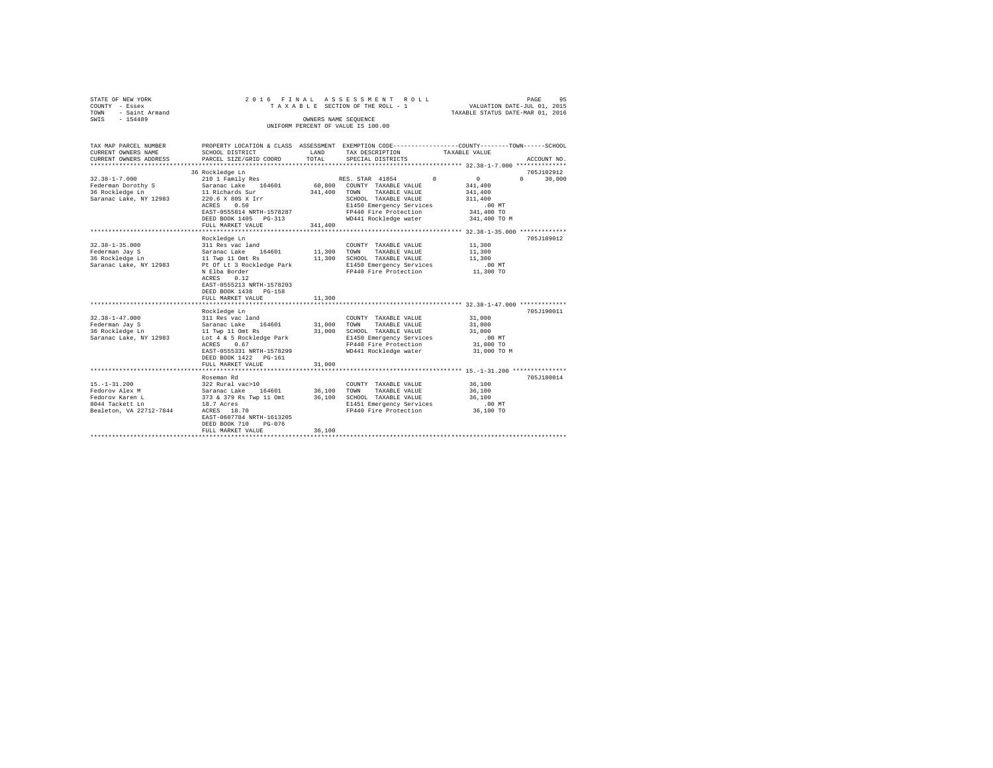|      | STATE OF NEW YORK     |  |  |  | 2016 FINAL ASSESSMENT ROLL                                 |  |                                                                                                   | PAGE                        | 95 |
|------|-----------------------|--|--|--|------------------------------------------------------------|--|---------------------------------------------------------------------------------------------------|-----------------------------|----|
|      | COUNTY - Essex        |  |  |  | TAXABLE SECTION OF THE ROLL - 1                            |  |                                                                                                   | VALUATION DATE-JUL 01, 2015 |    |
| TOWN | - Saint Armand        |  |  |  |                                                            |  | TAXABLE STATUS DATE-MAR 01, 2016                                                                  |                             |    |
| SWTS | $-154489$             |  |  |  | OWNERS NAME SEOUENCE<br>UNIFORM PERCENT OF VALUE IS 100.00 |  |                                                                                                   |                             |    |
|      | TAX MAP PARCEL NUMBER |  |  |  |                                                            |  | PROPERTY LOCATION & CLASS ASSESSMENT EXEMPTION CODE-----------------COUNTY-------TOWN------SCHOOL |                             |    |

| TAX MAP PARCEL NUMBER   |                               |             | PROPERTY LOCATION & CLASS ASSESSMENT EXEMPTION CODE---------------COUNTY-------TOWN-----SCHOOL |               |                  |
|-------------------------|-------------------------------|-------------|------------------------------------------------------------------------------------------------|---------------|------------------|
| CURRENT OWNERS NAME     | SCHOOL DISTRICT               | LAND        | TAX DESCRIPTION                                                                                | TAXABLE VALUE |                  |
| CURRENT OWNERS ADDRESS  | PARCEL SIZE/GRID COORD        | TOTAL       | SPECIAL DISTRICTS                                                                              |               | ACCOUNT NO.      |
|                         |                               |             |                                                                                                |               |                  |
|                         | 36 Rockledge Ln               |             |                                                                                                |               | 705J102912       |
| $32.38 - 1 - 7.000$     | 210 1 Family Res              |             | RES. STAR 41854 0                                                                              | 0             | $\cap$<br>30,000 |
| Federman Dorothy S      | 164601<br>Saranac Lake        | 60,800      | COUNTY TAXABLE VALUE                                                                           | 341,400       |                  |
| 36 Rockledge Ln         | 11 Richards Sur               | 341,400     | TOWN<br>TAXABLE VALUE                                                                          | 341,400       |                  |
| Saranac Lake, NY 12983  | 220.6 X 80S X Irr             |             | SCHOOL TAXABLE VALUE                                                                           | 311,400       |                  |
|                         | 0.50<br>ACRES                 |             | E1450 Emergency Services                                                                       | .00MT         |                  |
|                         | EAST-0555814 NRTH-1578287     |             | FP440 Fire Protection                                                                          | 341,400 TO    |                  |
|                         | DEED BOOK 1405 PG-313         |             | WD441 Rockledge water                                                                          | 341,400 TO M  |                  |
|                         | FULL MARKET VALUE             | 341,400     |                                                                                                |               |                  |
|                         |                               |             |                                                                                                |               |                  |
|                         | Rockledge Ln                  |             |                                                                                                |               | 705J189012       |
| $32.38 - 1 - 35.000$    | 311 Res vac land              |             | COUNTY TAXABLE VALUE                                                                           | 11,300        |                  |
| Federman Jav S          | Saranac Lake<br>164601 11,300 |             | TOWN<br>TAXABLE VALUE                                                                          | 11,300        |                  |
| 36 Rockledge Ln         | 11 Twp 11 Omt Rs              | 11,300      | SCHOOL TAXABLE VALUE                                                                           | 11,300        |                  |
| Saranac Lake, NY 12983  | Pt Of Lt 3 Rockledge Park     |             | E1450 Emergency Services                                                                       | .00 MT        |                  |
|                         | N Elba Border                 |             | FP440 Fire Protection 11,300 TO                                                                |               |                  |
|                         | 0.12<br>ACRES                 |             |                                                                                                |               |                  |
|                         | EAST-0555213 NRTH-1578203     |             |                                                                                                |               |                  |
|                         | DEED BOOK 1438<br>$PG-158$    |             |                                                                                                |               |                  |
|                         | FULL MARKET VALUE             | 11,300      |                                                                                                |               |                  |
|                         |                               |             |                                                                                                |               |                  |
|                         | Rockledge Ln                  |             |                                                                                                |               | 705J190011       |
| $32.38 - 1 - 47.000$    | 311 Res vac land              |             | COUNTY TAXABLE VALUE                                                                           | 31,000        |                  |
| Federman Jay S          | 164601<br>Saranac Lake        | 31,000 TOWN | TAXABLE VALUE                                                                                  | 31,000        |                  |
| 36 Rockledge Ln         | 11 Twp 11 Omt Rs              | 31,000      | SCHOOL TAXABLE VALUE                                                                           | 31,000        |                  |
| Saranac Lake, NY 12983  | Lot 4 & 5 Rockledge Park      |             | E1450 Emergency Services                                                                       | $.00$ MT      |                  |
|                         | ACRES 0.67                    |             | FP440 Fire Protection                                                                          | 31,000 TO     |                  |
|                         | EAST-0555331 NRTH-1578299     |             | WD441 Rockledge water                                                                          | 31,000 TO M   |                  |
|                         | DEED BOOK 1422 PG-161         |             |                                                                                                |               |                  |
|                         | FULL MARKET VALUE             | 31,000      |                                                                                                |               |                  |
|                         |                               |             |                                                                                                |               |                  |
|                         | Roseman Rd                    |             |                                                                                                |               | 705J180014       |
| $15. - 1 - 31.200$      | 322 Rural vac>10              |             | COUNTY TAXABLE VALUE                                                                           | 36,100        |                  |
| Fedorov Alex M          | 164601<br>Saranac Lake        | 36,100      | TOWN<br>TAXABLE VALUE                                                                          | 36,100        |                  |
| Fedorov Karen L         | 373 & 379 Rs Twp 11 Omt       | 36,100      | SCHOOL TAXABLE VALUE                                                                           | 36,100        |                  |
| 8044 Tackett Ln         | 18.7 Acres                    |             | E1451 Emergency Services                                                                       | $.00$ MT      |                  |
| Bealeton, VA 22712-7844 | ACRES<br>18.70                |             | FP440 Fire Protection 36,100 TO                                                                |               |                  |
|                         | EAST-0607784 NRTH-1613205     |             |                                                                                                |               |                  |
|                         | DEED BOOK 710<br>$PG-076$     |             |                                                                                                |               |                  |
|                         | FULL MARKET VALUE             | 36,100      |                                                                                                |               |                  |
|                         |                               |             |                                                                                                |               |                  |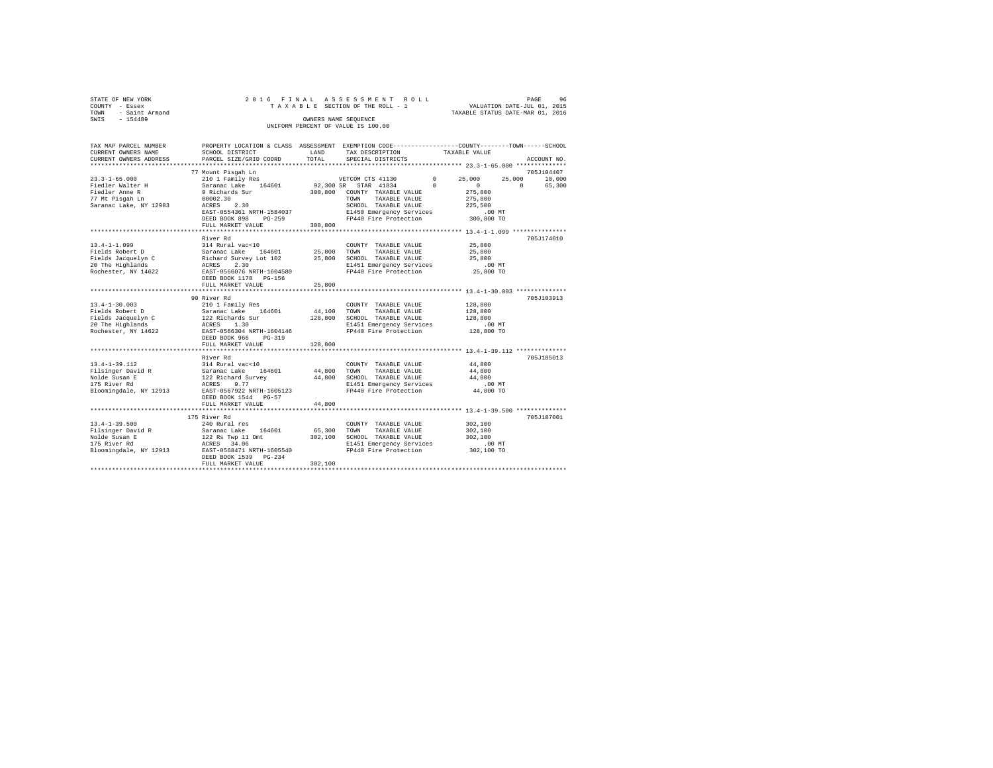| 96                               |
|----------------------------------|
| VALUATION DATE-JUL 01, 2015      |
| TAXABLE STATUS DATE-MAR 01, 2016 |
|                                  |
|                                  |
|                                  |

| TAX MAP PARCEL NUMBER<br>CURRENT OWNERS NAME                                                                                                                                   | PROPERTY LOCATION & CLASS ASSESSMENT EXEMPTION CODE----------------COUNTY-------TOWN------SCHOOL<br>SCHOOL DISTRICT                                                                                                                     | LAND                         | TAX DESCRIPTION                                                                                                                                            | TAXABLE VALUE                                                                             |                                        |
|--------------------------------------------------------------------------------------------------------------------------------------------------------------------------------|-----------------------------------------------------------------------------------------------------------------------------------------------------------------------------------------------------------------------------------------|------------------------------|------------------------------------------------------------------------------------------------------------------------------------------------------------|-------------------------------------------------------------------------------------------|----------------------------------------|
| CURRENT OWNERS ADDRESS<br>**************************                                                                                                                           | PARCEL SIZE/GRID COORD                                                                                                                                                                                                                  | TOTAL                        | SPECIAL DISTRICTS                                                                                                                                          |                                                                                           | ACCOUNT NO.                            |
|                                                                                                                                                                                | 77 Mount Pisgah Ln                                                                                                                                                                                                                      |                              |                                                                                                                                                            |                                                                                           | 705J104407                             |
| $23.3 - 1 - 65.000$<br>Fiedler Walter H<br>Fiedler Anne R<br>77 Mt Pisgah Ln<br>Saranac Lake, NY 12983                                                                         | Saranac Lake 164601<br>9 Richards Sur<br>00002.30<br>2.30<br>ACRES<br>EAST-0554361 NRTH-1584037<br>DEED BOOK 898<br>$PG-259$                                                                                                            |                              | 92,300 SR STAR 41834<br>300,800 COUNTY TAXABLE VALUE<br>TOWN<br>TAXABLE VALUE<br>SCHOOL TAXABLE VALUE<br>E1450 Emergency Services<br>FP440 Fire Protection | 25,000<br>$\Omega$<br>$\Omega$<br>275,800<br>275,800<br>225,500<br>$.00$ MT<br>300,800 TO | 25,000<br>10,000<br>$\Omega$<br>65,300 |
|                                                                                                                                                                                | FULL MARKET VALUE                                                                                                                                                                                                                       | 300,800                      |                                                                                                                                                            |                                                                                           |                                        |
|                                                                                                                                                                                |                                                                                                                                                                                                                                         |                              |                                                                                                                                                            |                                                                                           |                                        |
| $13.4 - 1 - 1.099$<br>Fields Robert D<br>Fields Jacquelyn Christian - Richard Survey Lot 102<br>20 The Highlands - ACRES 2.30<br>Rochester, NY 14622 EAST-0566076 NRTH-1604580 | River Rd<br>314 Rural vac<10<br>DEED BOOK 1178 PG-156                                                                                                                                                                                   | 25,800 TOWN<br>25,800        | COUNTY TAXABLE VALUE<br>TAXABLE VALUE<br>SCHOOL TAXABLE VALUE<br>E1451 Emergency Services<br>FP440 Fire Protection                                         | 25,800<br>25,800<br>25,800<br>$.00$ MT<br>25,800 TO                                       | 705J174010                             |
|                                                                                                                                                                                | FULL MARKET VALUE                                                                                                                                                                                                                       | 25,800                       |                                                                                                                                                            |                                                                                           |                                        |
| $13.4 - 1 - 30.003$<br>Fields Robert D<br>Fields Jacquelyn C<br>20 The Highlands<br>Rochester, NY 14622                                                                        | 90 River Rd<br>210 1 Family Res<br>Saranac Lake 164601<br>122 Richards Sur<br>ACRES 1.30<br>EAST-0566304 NRTH-1604146<br>DEED BOOK 966<br>$PG-319$<br>FULL MARKET VALUE                                                                 | 44,100<br>128,800<br>128,800 | COUNTY TAXABLE VALUE<br>TOWN<br>TAXABLE VALUE<br>SCHOOL TAXABLE VALUE<br>E1451 Emergency Services<br>FP440 Fire Protection                                 | 128,800<br>128,800<br>128,800<br>.00MT<br>128,800 TO                                      | 705J103913                             |
|                                                                                                                                                                                |                                                                                                                                                                                                                                         | **************               |                                                                                                                                                            | ********************************** 13.4-1-39.112 ***************                          |                                        |
| $13.4 - 1 - 39.112$<br>13.4-1-33.1--<br>Filsinger David R<br>Nolde Susan E<br>""" Diver Rd<br>Bloomingdale, NY 12913 EAST-0567922 NRTH-1605123                                 | River Rd<br>$\begin{tabular}{llllll} 314 \text{ Rural vac} & 10 & & & & 44,800 \\ \text{Saraanac Lake} & 164601 & & 44,800 \\ 122 \text{ Richard Survey} & & 44,800 \\ \text{ACRES} & 9.77 & & & \end{tabular}$<br>DEED BOOK 1544 PG-57 |                              | COUNTY TAXABLE VALUE<br>44,800 TOWN<br>TAXABLE VALUE<br>SCHOOL TAXABLE VALUE<br>E1451 Emergency Services<br>FP440 Fire Protection                          | 44,800<br>44,800<br>44,800<br>.00MT<br>44,800 TO                                          | 705J185013                             |
|                                                                                                                                                                                | FULL MARKET VALUE                                                                                                                                                                                                                       | 44,800                       |                                                                                                                                                            |                                                                                           |                                        |
| $13.4 - 1 - 39.500$<br>Filsinger David R<br>Nolde Susan E<br>175 River Rd<br>Bloomingdale, NY 12913                                                                            | 175 River Rd<br>240 Rural res<br>Saranac Lake 164601<br>122 Rs Twp 11 Omt<br>ACRES 34.06<br>EAST-0568471 NRTH-1605540<br>DEED BOOK 1539 PG-234                                                                                          | 65,300<br>302,100            | COUNTY TAXABLE VALUE<br>TOWN<br>TAXABLE VALUE<br>SCHOOL TAXABLE VALUE<br>E1451 Emergency Services<br>FP440 Fire Protection                                 | 302,100<br>302,100<br>302,100<br>.00 MT<br>302,100 TO                                     | 705J187001                             |
|                                                                                                                                                                                | FULL MARKET VALUE                                                                                                                                                                                                                       | 302,100                      |                                                                                                                                                            |                                                                                           |                                        |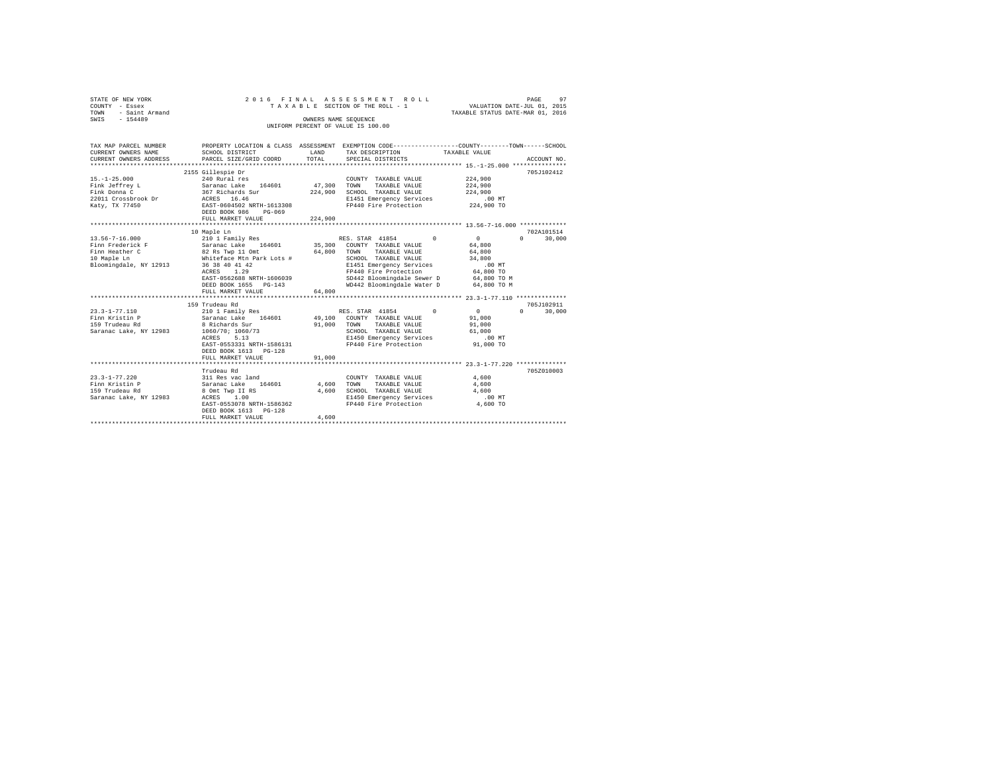| STATE OF NEW YORK<br>COUNTY - Essex<br>TOWN<br>- Saint Armand<br>$-154489$<br>SWIS                                                                            | 2016 FINAL<br>TAXABLE SECTION OF THE ROLL - 1<br>UNIFORM PERCENT OF VALUE IS 100.00                                                                                                                                                                                                                                   |                                   | 97<br>PAGE<br>VALUATION DATE-JUL 01, 2015<br>TAXABLE STATUS DATE-MAR 01, 2016                                                                                                                                                                                                                                       |                                                                                                                                 |                                                                      |  |
|---------------------------------------------------------------------------------------------------------------------------------------------------------------|-----------------------------------------------------------------------------------------------------------------------------------------------------------------------------------------------------------------------------------------------------------------------------------------------------------------------|-----------------------------------|---------------------------------------------------------------------------------------------------------------------------------------------------------------------------------------------------------------------------------------------------------------------------------------------------------------------|---------------------------------------------------------------------------------------------------------------------------------|----------------------------------------------------------------------|--|
| TAX MAP PARCEL NUMBER<br>CURRENT OWNERS NAME<br>CURRENT OWNERS ADDRESS                                                                                        | SCHOOL DISTRICT<br>PARCEL SIZE/GRID COORD                                                                                                                                                                                                                                                                             | LAND<br>TOTAL                     | PROPERTY LOCATION & CLASS ASSESSMENT EXEMPTION CODE---------------COUNTY-------TOWN------SCHOOL<br>TAX DESCRIPTION<br>SPECIAL DISTRICTS                                                                                                                                                                             | TAXABLE VALUE                                                                                                                   | ACCOUNT NO.                                                          |  |
|                                                                                                                                                               |                                                                                                                                                                                                                                                                                                                       |                                   |                                                                                                                                                                                                                                                                                                                     |                                                                                                                                 |                                                                      |  |
| $15. - 1 - 25.000$<br>Fink Jeffrey L<br>Fink Donna C<br>22011 Crossbrook Dr<br>Katy, TX 77450                                                                 | 2155 Gillespie Dr<br>240 Rural res<br>Saranac Lake 164601<br>367 Richards Sur<br>ACRES 16.46<br>EAST-0604502 NRTH-1613308<br>DEED BOOK 986<br>PG-069<br>FULL MARKET VALUE                                                                                                                                             | 47.300 TOWN<br>224,900<br>224,900 | COUNTY TAXABLE VALUE<br>TAXABLE VALUE<br>SCHOOL TAXABLE VALUE<br>E1451 Emergency Services<br>FP440 Fire Protection                                                                                                                                                                                                  | 224,900<br>224,900<br>224,900<br>.00MT<br>224,900 TO                                                                            | 705J102412                                                           |  |
|                                                                                                                                                               |                                                                                                                                                                                                                                                                                                                       |                                   |                                                                                                                                                                                                                                                                                                                     |                                                                                                                                 |                                                                      |  |
| $13.56 - 7 - 16.000$<br>Finn Frederick F<br>Finn Heather C<br>10 Maple Ln<br>Bloomingdale, NY 12913<br>$23.3 - 1 - 77.110$<br>$23.3 - 1 - $<br>Finn Kristin P | 10 Maple Ln<br>210 1 Family Res<br>210 1 Family kes<br>Saranac Lake 164601<br>82 Rs Twp 11 Omt<br>Whiteface Mtn Park Lots #<br>36 38 40 41 42<br>ACRES 1.29<br>EAST-0562688 NRTH-1606039<br>DEED BOOK 1655 PG-143<br>FULL MARKET VALUE<br>159 Trudeau Rd<br>210 1 Family Res<br>Saranac Lake 164601<br>8 Richards Sur | 64,800<br>64,800<br>91,000        | RES. STAR 41854<br>$\Omega$<br>35,300 COUNTY TAXABLE VALUE<br>TAXABLE VALUE<br>TOWN<br>SCHOOL TAXABLE VALUE<br>E1451 Emergency Services<br>FP440 Fire Protection<br>SD442 Bloomingdale Sewer D<br>WD442 Bloomingdale Water D<br>RES. STAR 41854<br>$\Omega$<br>49,100 COUNTY TAXABLE VALUE<br>TAXABLE VALUE<br>TOWN | $\sim$<br>64,800<br>64,800<br>34,800<br>$.00$ MT<br>64,800 TO<br>$64,800$ TO M<br>$64,800$ TO M<br>$\sim$ 0<br>91,000<br>91,000 | 702A101514<br>$\Omega$<br>30,000<br>705J102911<br>$\Omega$<br>30,000 |  |
| Saranac Lake, NY 12983                                                                                                                                        | $\frac{8 \text{ K1} \cdot \text{K1}}{1060/70; 1060/73}$<br>EAST-0553331 NRTH-1586131<br>DEED BOOK 1613 PG-128<br>FULL MARKET VALUE                                                                                                                                                                                    | 91,000                            | SCHOOL TAXABLE VALUE<br>E1450 Emergency Services<br>FP440 Fire Protection                                                                                                                                                                                                                                           | 61,000<br>$.00$ MT<br>91,000 TO                                                                                                 |                                                                      |  |
|                                                                                                                                                               | Trudeau Rd                                                                                                                                                                                                                                                                                                            |                                   |                                                                                                                                                                                                                                                                                                                     |                                                                                                                                 | 705Z010003                                                           |  |
| $23.3 - 1 - 77.220$<br>Finn Kristin P<br>159 Trudeau Rd<br>Saranac Lake, NY 12983                                                                             | 311 Res vac land<br>Saranac Lake 164601<br>8 Omt Twp II RS<br>ACRES 1.00<br>EAST-0553078 NRTH-1586362<br>DEED BOOK 1613 PG-128<br>FULL MARKET VALUE                                                                                                                                                                   | 4,600<br>4,600<br>4,600           | COUNTY TAXABLE VALUE<br>TOWN<br>TAXABLE VALUE<br>SCHOOL TAXABLE VALUE<br>E1450 Emergency Services<br>FP440 Fire Protection                                                                                                                                                                                          | 4,600<br>4,600<br>4,600<br>.00 MT<br>4,600 TO                                                                                   |                                                                      |  |
|                                                                                                                                                               |                                                                                                                                                                                                                                                                                                                       |                                   |                                                                                                                                                                                                                                                                                                                     |                                                                                                                                 |                                                                      |  |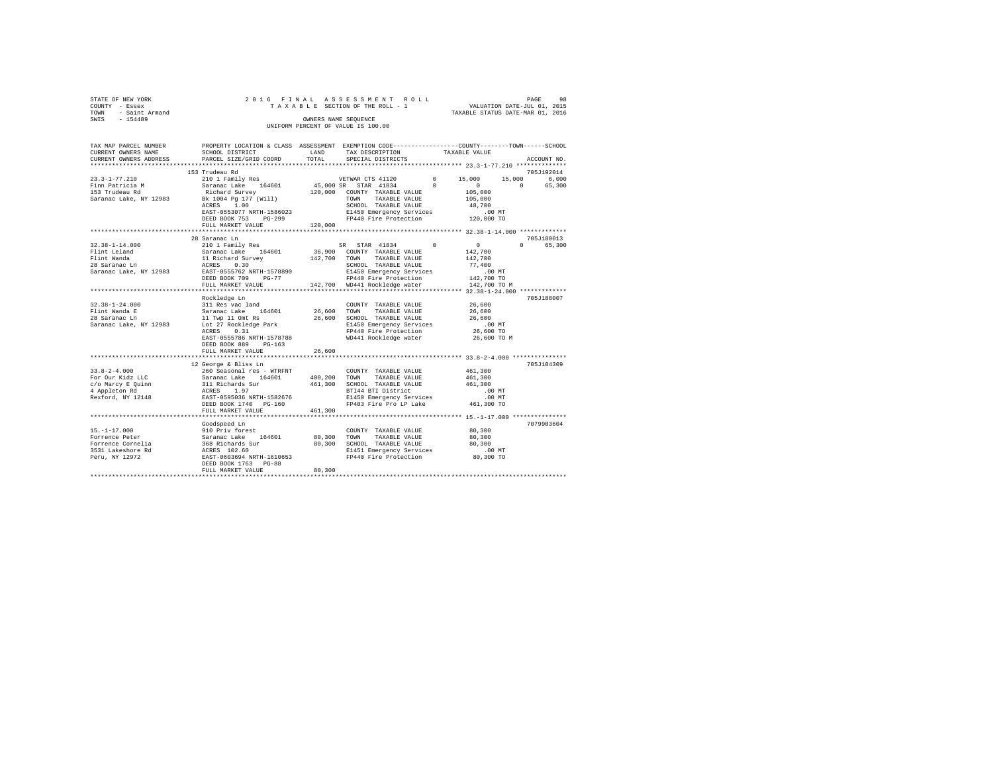| STATE OF NEW YORK      | 2016 FINAL ASSESSMENT ROLL      | 98<br>PAGE                       |
|------------------------|---------------------------------|----------------------------------|
| COUNTY - Essex         | TAXABLE SECTION OF THE ROLL - 1 | VALUATION DATE-JUL 01, 2015      |
| - Saint Armand<br>TOWN |                                 | TAXABLE STATUS DATE-MAR 01, 2016 |
| SWIS<br>$-154489$      | OWNERS NAME SEOUENCE            |                                  |
|                        |                                 |                                  |

| TAX MAP PARCEL NUMBER<br>CURRENT OWNERS NAME                                                                                          | PROPERTY LOCATION & CLASS ASSESSMENT EXEMPTION CODE---------------COUNTY-------TOWN------SCHOOL<br>SCHOOL DISTRICT                                                                                                                                                                                                       | LAND                  | TAX DESCRIPTION                                                                                                                                                           | TAXABLE VALUE                                                      |                                                  |
|---------------------------------------------------------------------------------------------------------------------------------------|--------------------------------------------------------------------------------------------------------------------------------------------------------------------------------------------------------------------------------------------------------------------------------------------------------------------------|-----------------------|---------------------------------------------------------------------------------------------------------------------------------------------------------------------------|--------------------------------------------------------------------|--------------------------------------------------|
| CURRENT OWNERS ADDRESS                                                                                                                | PARCEL SIZE/GRID COORD                                                                                                                                                                                                                                                                                                   | TOTAL                 | SPECIAL DISTRICTS                                                                                                                                                         |                                                                    | ACCOUNT NO.                                      |
| ***********************                                                                                                               |                                                                                                                                                                                                                                                                                                                          |                       |                                                                                                                                                                           |                                                                    |                                                  |
| $23.3 - 1 - 77.210$<br>Finn Patricia M<br>153 Trudeau Rd<br>Saranac Lake, NY 12983                                                    | 153 Trudeau Rd<br>Richard Survey 120,000 COUNTY TAXABLE VALUE<br>BK 1004 Pg 177 (Will) 120,000 TOWN TAXABLE VALUE<br>ROBER 1.00 PGUCOL TAXABLE VALUE<br>Bk 1004 Pg 177 (Will)<br>ACRES 1.00<br>EAST-0553077 NRTH-1586023                                                                                                 |                       | SCHOOL TAXABLE VALUE<br>E1450 Emergency Services                                                                                                                          | 105,000<br>105,000<br>48,700<br>$.00$ MT                           | 705J192014<br>15,000 6,000<br>$\Omega$<br>65,300 |
|                                                                                                                                       | DEED BOOK 753<br>PG-299<br>FULL MARKET VALUE                                                                                                                                                                                                                                                                             | 120,000               | UU MT<br>FP440 Fire Protection 120,000 TO                                                                                                                                 |                                                                    |                                                  |
|                                                                                                                                       |                                                                                                                                                                                                                                                                                                                          |                       |                                                                                                                                                                           |                                                                    |                                                  |
| 32.38-1-14.000<br>Flint Leland<br>Flint Wanda<br>28 Saranac Ln<br>Saranac Lake. NY 12983                                              | 28 Saranac Ln<br>210 1 Family Res<br>Saranac Lake 164601 36,900 COUNTY TAXABLE VALUE<br>11 Richard Survey 142,700 TOWN TAXABLE VALUE<br>12 ACHOOL TAXABLE VALUE<br>ERST-0555762 NRTH-1578890 SIGOOL TAXABLE VALUE<br>ERST-0555762 NRTH-1578890 SI450 Emergency Services<br>DEED BOOK 709<br>$PG-77$<br>FULL MARKET VALUE |                       | SR STAR 41834 0<br>E1450 Emergency Services<br>FP440 Fire Protection 142,700 TO<br>142,700 TO 11 - 110400 Water 142,700 TO 11<br>142,700 WD441 Rockledge water            | $\sim$ 0<br>142,700<br>142,700<br>77,400                           | 705J180013<br>0 65,300                           |
|                                                                                                                                       |                                                                                                                                                                                                                                                                                                                          |                       |                                                                                                                                                                           |                                                                    |                                                  |
| 32.38-1-24.000 311 Res vac land<br>Flint Wanda E Saranac Lake 164601<br>28 Saranac Ln<br>Saranac Lake, NY 12983 Lot 27 Rockledge Park | Rockledge Ln<br>ACRES 0.31<br>EAST-0555786 NRTH-1578788<br>DEED BOOK 889<br>$PG-163$                                                                                                                                                                                                                                     | 26,600 TOWN<br>26,600 | COUNTY TAXABLE VALUE<br>TAXABLE VALUE<br>SCHOOL TAXABLE VALUE<br>E1450 Emergency Services<br>FP440 Fire Protection<br>WD441 Rockledge water                               | 26,600<br>26,600<br>26,600<br>$.00$ MT<br>26,600 TO<br>26,600 TO M | 705J188007                                       |
|                                                                                                                                       | FULL MARKET VALUE                                                                                                                                                                                                                                                                                                        | 26,600                |                                                                                                                                                                           |                                                                    |                                                  |
| $33.8 - 2 - 4.000$<br>For Our Kidz LLC<br>c/o Marcy E Quinn<br>4 Appleton Rd<br>Rexford, NY 12148                                     | 12 George & Bliss Ln<br>260 Seasonal res - WTRFNT<br>Saranac Lake 164601<br>311 Richards Sur<br>ACRES 1.97<br>EAST-0595036 NRTH-1582676<br>DEED BOOK 1740 PG-160                                                                                                                                                         |                       | COUNTY TAXABLE VALUE<br>400,200 TOWN TAXABLE VALUE<br>461,300 SCHOOL TAXABLE VALUE<br>BTI44 BTI District<br>E1450 Emergency Services<br>FP403 Fire Pro LP Lake 461,300 TO | 461,300<br>461,300<br>461,300<br>.00 MT<br>$.00$ MT                | 705J104309                                       |
|                                                                                                                                       | FULL MARKET VALUE                                                                                                                                                                                                                                                                                                        | 461,300               |                                                                                                                                                                           |                                                                    |                                                  |
|                                                                                                                                       | Goodspeed Ln                                                                                                                                                                                                                                                                                                             |                       |                                                                                                                                                                           | 80,300<br>80,300                                                   | 7079903604                                       |
|                                                                                                                                       | DEED BOOK 1763 PG-88<br>FULL MARKET VALUE                                                                                                                                                                                                                                                                                | 80,300                | E1451 Emergency Services                                                                                                                                                  | 80,300<br>.00 MT<br>80,300 TO                                      |                                                  |
|                                                                                                                                       |                                                                                                                                                                                                                                                                                                                          |                       |                                                                                                                                                                           |                                                                    |                                                  |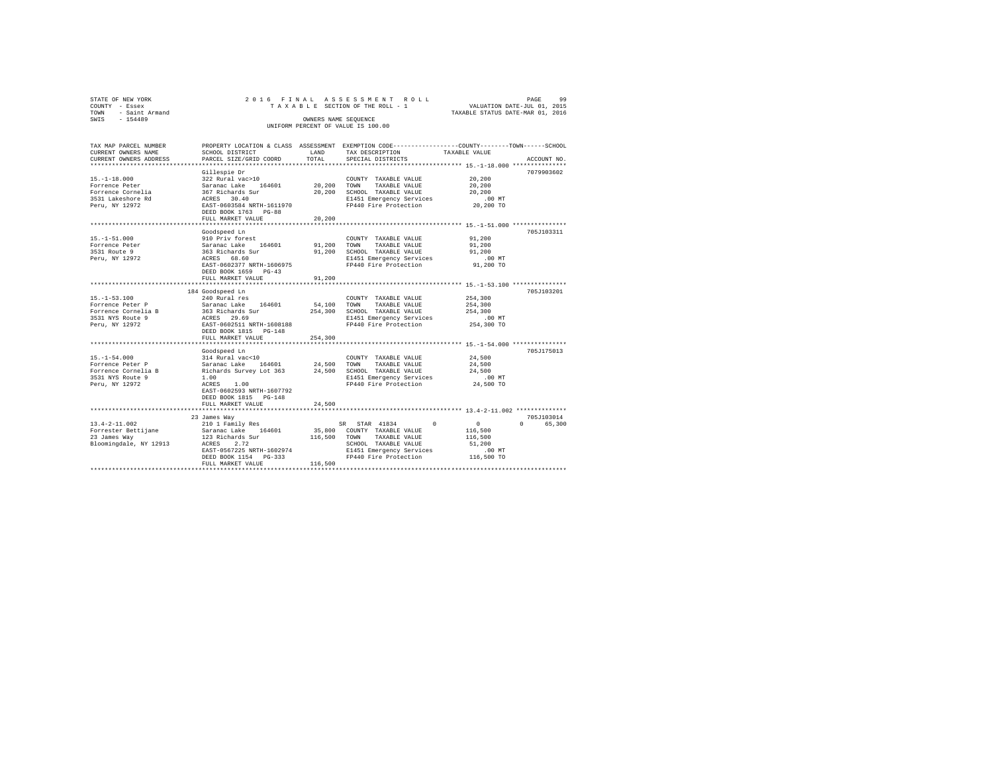|                                    | STATE OF NEW YORK   |                      |  |  |  | 2016 FINAL ASSESSMENT ROLL      |  |                                  |  | PAGE | -99 |
|------------------------------------|---------------------|----------------------|--|--|--|---------------------------------|--|----------------------------------|--|------|-----|
|                                    | COUNTY - Essex      |                      |  |  |  | TAXABLE SECTION OF THE ROLL - 1 |  | VALUATION DATE-JUL 01, 2015      |  |      |     |
|                                    | TOWN - Saint Armand |                      |  |  |  |                                 |  | TAXABLE STATUS DATE-MAR 01, 2016 |  |      |     |
| SWTS                               | $-154489$           | OWNERS NAME SEOUENCE |  |  |  |                                 |  |                                  |  |      |     |
| UNIFORM PERCENT OF VALUE IS 100.00 |                     |                      |  |  |  |                                 |  |                                  |  |      |     |
|                                    |                     |                      |  |  |  |                                 |  |                                  |  |      |     |

| TAX MAP PARCEL NUMBER                   |                                                |              | PROPERTY LOCATION & CLASS ASSESSMENT EXEMPTION CODE---------------COUNTY-------TOWN-----SCHOOL |               |                    |
|-----------------------------------------|------------------------------------------------|--------------|------------------------------------------------------------------------------------------------|---------------|--------------------|
| CURRENT OWNERS NAME                     | SCHOOL DISTRICT                                | LAND         | TAX DESCRIPTION                                                                                | TAXABLE VALUE |                    |
| CURRENT OWNERS ADDRESS                  | PARCEL SIZE/GRID COORD                         | TOTAL        | SPECIAL DISTRICTS                                                                              |               | ACCOUNT NO.        |
|                                         |                                                |              |                                                                                                |               |                    |
|                                         | Gillespie Dr                                   |              |                                                                                                |               | 7079903602         |
| $15. - 1 - 18.000$                      | 322 Rural vac>10                               |              | COUNTY TAXABLE VALUE                                                                           | 20,200        |                    |
| Forrence Peter                          | Saranac Lake<br>164601                         | 20,200 TOWN  | TAXABLE VALUE                                                                                  | 20,200        |                    |
| Forrence Cornelia                       | 367 Richards Sur                               | 20,200       | SCHOOL TAXABLE VALUE                                                                           | 20,200        |                    |
| 3531 Lakeshore Rd                       | ACRES 30.40                                    |              | E1451 Emergency Services                                                                       | $.00$ MT      |                    |
| Peru, NY 12972                          | EAST-0603584 NRTH-1611970                      |              | FP440 Fire Protection                                                                          | 20,200 TO     |                    |
|                                         | DEED BOOK 1763 PG-88                           |              |                                                                                                |               |                    |
|                                         | FULL MARKET VALUE                              | 20,200       |                                                                                                |               |                    |
|                                         |                                                |              | ****************************** 15.-1-51.000 ****************                                   |               |                    |
|                                         | Goodspeed Ln                                   |              |                                                                                                |               | 705J103311         |
| $15. - 1 - 51.000$                      | 910 Priv forest                                |              | COUNTY TAXABLE VALUE                                                                           | 91,200        |                    |
| Forrence Peter                          | Saranac Lake 164601                            | 91,200 TOWN  | TAXABLE VALUE                                                                                  | 91,200        |                    |
| 3531 Route 9                            | 363 Richards Sur                               | 91,200       | SCHOOL TAXABLE VALUE                                                                           | 91,200        |                    |
| Peru, NY 12972                          | ACRES 68.60                                    |              | E1451 Emergency Services                                                                       | .00 MT        |                    |
|                                         | EAST-0602377 NRTH-1606975                      |              | FP440 Fire Protection                                                                          | 91,200 TO     |                    |
|                                         | DEED BOOK 1659 PG-43                           |              |                                                                                                |               |                    |
|                                         | FULL MARKET VALUE                              | 91,200       |                                                                                                |               |                    |
|                                         |                                                |              |                                                                                                |               |                    |
|                                         | 184 Goodspeed Ln                               |              |                                                                                                |               | 705J103201         |
| $15. - 1 - 53.100$                      | 240 Rural res                                  |              | COUNTY TAXABLE VALUE                                                                           | 254,300       |                    |
| Forrence Peter P                        | Saranac Lake 164601                            | 54,100 TOWN  | TAXABLE VALUE                                                                                  | 254,300       |                    |
| Forrence Cornelia B                     |                                                |              | 254,300 SCHOOL TAXABLE VALUE                                                                   | 254,300       |                    |
| 3531 NYS Route 9                        | 363 Richards Sur<br>ACRES 29.69                |              | E1451 Emergency Services                                                                       | $.00$ MT      |                    |
| Peru, NY 12972                          | EAST-0602511 NRTH-1608188                      |              | FP440 Fire Protection                                                                          | 254,300 TO    |                    |
|                                         | DEED BOOK 1815 PG-148                          |              |                                                                                                |               |                    |
|                                         |                                                |              |                                                                                                |               |                    |
|                                         | FULL MARKET VALUE                              | 254,300      |                                                                                                |               |                    |
|                                         |                                                |              |                                                                                                |               |                    |
|                                         | Goodspeed Ln                                   |              |                                                                                                |               | 705J175013         |
| $15. - 1 - 54.000$                      | 314 Rural vac<10                               |              | COUNTY TAXABLE VALUE                                                                           | 24,500        |                    |
| Forrence Peter P                        | Saranac Lake 164601<br>Richards Survey Lot 363 | 24,500 TOWN  | TAXABLE VALUE                                                                                  | 24,500        |                    |
| Forrence Cornelia B                     |                                                |              | 24,500 SCHOOL TAXABLE VALUE                                                                    | 24,500        |                    |
| 3531 NYS Route 9                        | 1.00                                           |              | E1451 Emergency Services                                                                       | .00 MT        |                    |
| Peru, NY 12972                          | 1.00<br>ACRES                                  |              | FP440 Fire Protection                                                                          | 24,500 TO     |                    |
|                                         | EAST-0602593 NRTH-1607792                      |              |                                                                                                |               |                    |
|                                         | DEED BOOK 1815 PG-148                          |              |                                                                                                |               |                    |
|                                         | FULL MARKET VALUE                              | 24,500       |                                                                                                |               |                    |
|                                         |                                                |              |                                                                                                |               |                    |
|                                         | 23 James Way                                   |              |                                                                                                |               | 705J103014         |
| $13.4 - 2 - 11.002$                     | 210 1 Family Res                               |              | SR STAR 41834<br>$^{\circ}$                                                                    | $\sim$ 0      | 65,300<br>$\Omega$ |
| Forrester Bettijane Maranac Lake 164601 |                                                |              | 35,800 COUNTY TAXABLE VALUE                                                                    | 116,500       |                    |
| 23 James Way                            | 123 Richards Sur                               | 116,500 TOWN | TAXABLE VALUE                                                                                  | 116,500       |                    |
| Bloomingdale, NY 12913                  | ACRES<br>2.72                                  |              | SCHOOL TAXABLE VALUE                                                                           | 51,200        |                    |
|                                         | EAST-0567225 NRTH-1602974                      |              | E1451 Emergency Services                                                                       | $.00$ MT      |                    |
|                                         | DEED BOOK 1154 PG-333                          |              | FP440 Fire Protection 116,500 TO                                                               |               |                    |
|                                         | FULL MARKET VALUE                              | 116,500      |                                                                                                |               |                    |
|                                         |                                                |              | *******************************                                                                |               |                    |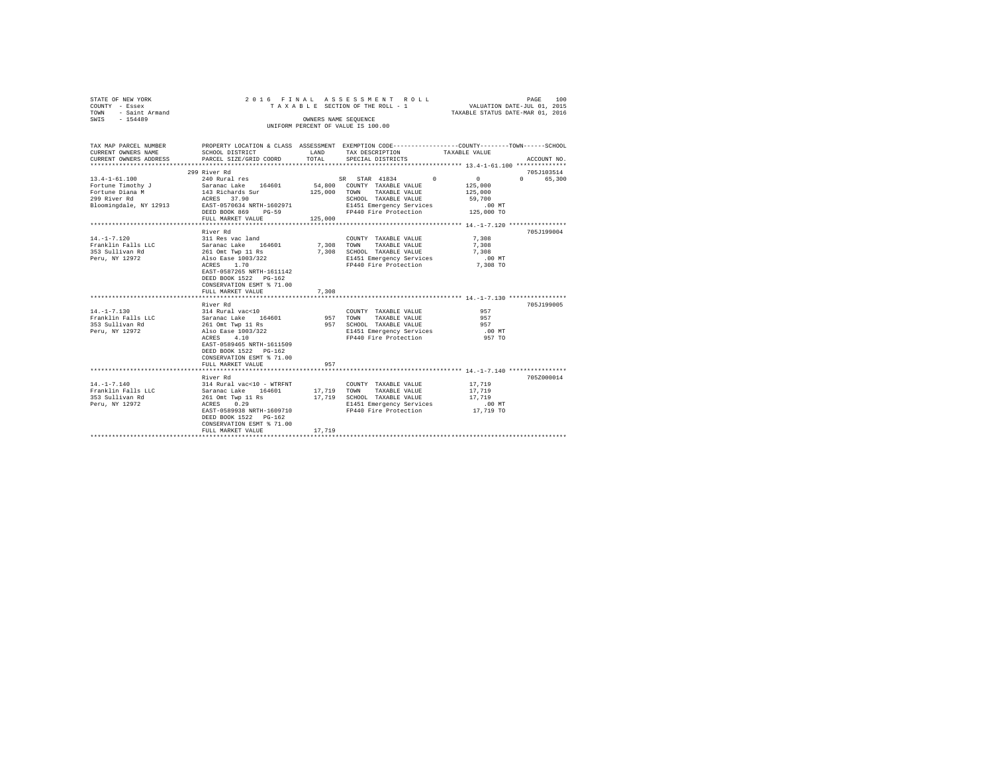| STATE OF NEW YORK   | 2016 FINAL ASSESSMENT ROLL         | PAGE                             | 100 |
|---------------------|------------------------------------|----------------------------------|-----|
| COUNTY - Essex      | TAXABLE SECTION OF THE ROLL - 1    | VALUATION DATE-JUL 01, 2015      |     |
| TOWN - Saint Armand |                                    | TAXABLE STATUS DATE-MAR 01, 2016 |     |
| SWTS<br>$-154489$   | OWNERS NAME SEOUENCE               |                                  |     |
|                     | UNIFORM PERCENT OF VALUE IS 100.00 |                                  |     |
|                     |                                    |                                  |     |
|                     |                                    |                                  |     |

| TAX MAP PARCEL NUMBER<br>CURRENT OWNERS NAME<br>CURRENT OWNERS ADDRESS PARCEL SIZE/GRID COORD | SCHOOL DISTRICT                                                                                                                                                                                                                                           | LAND<br>TOTAL           | PROPERTY LOCATION & CLASS ASSESSMENT EXEMPTION CODE---------------COUNTY-------TOWN-----SCHOOL<br>TAX DESCRIPTION TAXABLE VALUE<br>SPECIAL DISTRICTS    | ACCOUNT NO.                                                                                             |
|-----------------------------------------------------------------------------------------------|-----------------------------------------------------------------------------------------------------------------------------------------------------------------------------------------------------------------------------------------------------------|-------------------------|---------------------------------------------------------------------------------------------------------------------------------------------------------|---------------------------------------------------------------------------------------------------------|
| $13.4 - 1 - 61.100$<br>Fortune Timothy J<br>Fortune Diana M<br>299 River Rd                   | 299 River Rd<br>240 Rural res<br>Saranac Lake 164601<br>143 Richards Sur<br>ACRES 37.90<br>Bloomingdale, NY 12913 EAST-0570634 NRTH-1602971<br>DEED BOOK 869<br>$PG-59$<br>FULL MARKET VALUE                                                              | 125,000 TOWN<br>125,000 | SR STAR 41834 0<br>54,800 COUNTY TAXABLE VALUE<br>TAXABLE VALUE<br>SCHOOL TAXABLE VALUE<br>E1451 Emergency Services<br>FP440 Fire Protection 125,000 TO | 705J103514<br>$\mathbf{0}$<br>$\Omega$ and $\Omega$<br>65,300<br>125,000<br>125,000<br>59,700<br>.00 MT |
| $14. - 1 - 7.120$<br>Franklin Falls LLC<br>353 Sullivan Rd<br>Peru, NY 12972                  | River Rd<br>311 Res vac land<br>Saranac Lake 164601 7,308 TOWN TAXABLE VALUE<br>261 Omt Twp 11 Rs<br>261 Unit $\frac{1}{2}$<br>Also Ease 1003/322<br>EAST-0587265 NRTH-1611142<br>DEED BOOK 1522 PG-162<br>CONSERVATION ESMT % 71.00<br>FULL MARKET VALUE | 7.308                   | COUNTY TAXABLE VALUE<br>7,308 SCHOOL TAXABLE VALUE<br>E1451 Emergency Services<br>FP440 Fire Protection 7,308 TO                                        | 705J199004<br>7,308<br>7,308<br>7,308<br>$.00$ MT                                                       |
| $14. - 1 - 7.130$<br>Franklin Falls LLC<br>353 Sullivan Rd<br>Peru, NY 12972                  | River Rd<br>314 Rural vac<10<br>Saranac Lake 164601 957 TOWN<br>261 Omt Twp 11 Rs<br>Also Ease 1003/322<br>4.10<br>ACRES<br>EAST-0589465 NRTH-1611509<br>DEED BOOK 1522 PG-162<br>CONSERVATION ESMT % 71.00<br>FULL MARKET VALUE                          | 957                     | COUNTY TAXABLE VALUE<br>TAXABLE VALUE<br>957 SCHOOL TAXABLE VALUE<br>E1451 Emergency Services<br>FP440 Fire Protection                                  | 705.T199005<br>957<br>957<br>957<br>$.00$ MT<br>957 TO                                                  |
| $14. - 1 - 7.140$<br>Franklin Falls LLC<br>353 Sullivan Rd<br>Peru, NY 12972                  | River Rd<br>314 Rural vac<10 - WTRFNT<br>Saranac Lake<br>164601<br>261 Omt Twp 11 Rs<br>ACRES 0.29<br>EAST-0589938 NRTH-1609710<br>DEED BOOK 1522 PG-162<br>CONSERVATION ESMT % 71.00<br>FULL MARKET VALUE                                                | 17,719                  | COUNTY TAXABLE VALUE<br>17,719 TOWN TAXABLE VALUE<br>17,719 SCHOOL TAXABLE VALUE<br>E1451 Emergency Services<br>FP440 Fire Protection 17,719 TO         | 705Z000014<br>17,719<br>17,719<br>17,719<br>$.00$ MT                                                    |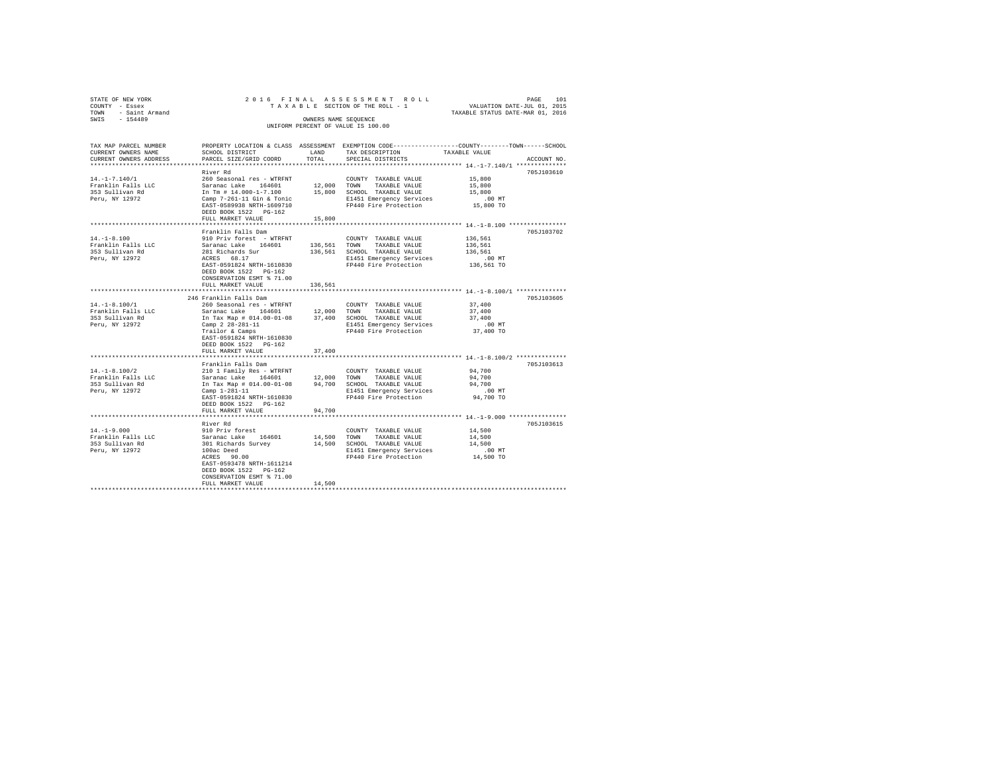| STATE OF NEW YORK                  |                     |                      |  |  |  |  |  | 2016 FINAL ASSESSMENT ROLL      |  |  |                                  | PAGE | 101 |
|------------------------------------|---------------------|----------------------|--|--|--|--|--|---------------------------------|--|--|----------------------------------|------|-----|
| COUNTY - Essex                     |                     |                      |  |  |  |  |  | TAXABLE SECTION OF THE ROLL - 1 |  |  | VALUATION DATE-JUL 01, 2015      |      |     |
|                                    | TOWN - Saint Armand |                      |  |  |  |  |  |                                 |  |  | TAXABLE STATUS DATE-MAR 01, 2016 |      |     |
| SWIS                               | $-154489$           | OWNERS NAME SEOUENCE |  |  |  |  |  |                                 |  |  |                                  |      |     |
| UNIFORM PERCENT OF VALUE IS 100.00 |                     |                      |  |  |  |  |  |                                 |  |  |                                  |      |     |
|                                    |                     |                      |  |  |  |  |  |                                 |  |  |                                  |      |     |

| TAX MAP PARCEL NUMBER                 |                                                                                                                                                                                                                                |                      | PROPERTY LOCATION & CLASS ASSESSMENT EXEMPTION CODE---------------COUNTY-------TOWN-----SCHOOL                   |                                              |             |
|---------------------------------------|--------------------------------------------------------------------------------------------------------------------------------------------------------------------------------------------------------------------------------|----------------------|------------------------------------------------------------------------------------------------------------------|----------------------------------------------|-------------|
| CURRENT OWNERS NAME                   | SCHOOL DISTRICT                                                                                                                                                                                                                | LAND                 | TAX DESCRIPTION                                                                                                  | TAXABLE VALUE                                |             |
| CURRENT OWNERS ADDRESS                | PARCEL SIZE/GRID COORD                                                                                                                                                                                                         | TOTAL                | SPECIAL DISTRICTS                                                                                                |                                              | ACCOUNT NO. |
|                                       |                                                                                                                                                                                                                                | ******************** |                                                                                                                  | *************** 14.-1-7.140/1 ************** |             |
|                                       | River Rd                                                                                                                                                                                                                       |                      |                                                                                                                  |                                              | 705J103610  |
| $14. - 1 - 7.140/1$                   | 260 Seasonal res - WTRFNT                                                                                                                                                                                                      |                      | COUNTY TAXABLE VALUE                                                                                             | 15,800                                       |             |
|                                       | Saranac Lake 164601 12,000 TOWN TAXABLE VALUE In Tm # 14.000-1-7.100 508000 TOWN TAXABLE VALUE IN Cap 16.1 Cap 16.1 Cap 16.1 Cap 16.1 Cap 16.1 Cap 16.1 Cap 16.1 Cap 16.1 Cap 16.1 Cap 16.1 Cap 16.1 Cap 16.1 Cap 16.1 Cap 16. |                      |                                                                                                                  | 15,800                                       |             |
| Franklin Falls LLC<br>353 Sullivan Rd |                                                                                                                                                                                                                                |                      |                                                                                                                  | 15,800                                       |             |
| Peru, NY 12972                        |                                                                                                                                                                                                                                |                      |                                                                                                                  |                                              |             |
|                                       | EAST-0589938 NRTH-1609710                                                                                                                                                                                                      |                      | E1451 Emergency Services .00 MT<br>FP440 Fire Protection  15,800 TO                                              |                                              |             |
|                                       | DEED BOOK 1522 PG-162                                                                                                                                                                                                          |                      |                                                                                                                  |                                              |             |
|                                       |                                                                                                                                                                                                                                |                      |                                                                                                                  |                                              |             |
|                                       | FULL MARKET VALUE                                                                                                                                                                                                              | 15,800               |                                                                                                                  |                                              |             |
|                                       |                                                                                                                                                                                                                                |                      |                                                                                                                  |                                              |             |
|                                       | Franklin Falls Dam                                                                                                                                                                                                             |                      |                                                                                                                  |                                              | 705J103702  |
| $14. -1 - 8.100$                      |                                                                                                                                                                                                                                |                      | $\begin{tabular}{llllll} \textbf{COUNTY} & \textbf{TAXABLE} & \textbf{VALUE} & & \textbf{136,561} \end{tabular}$ |                                              |             |
| Franklin Falls LLC                    |                                                                                                                                                                                                                                |                      |                                                                                                                  | 136,561                                      |             |
| 353 Sullivan Rd                       |                                                                                                                                                                                                                                |                      | 136,561 SCHOOL TAXABLE VALUE 136,561                                                                             |                                              |             |
| Peru, NY 12972                        | 281 Richards Sur<br>ACRES 68.17                                                                                                                                                                                                |                      | E1451 Emergency Services                                                                                         | $.00$ MT                                     |             |
|                                       | EAST-0591824 NRTH-1610830                                                                                                                                                                                                      |                      | FP440 Fire Protection 136,561 TO                                                                                 |                                              |             |
|                                       | DEED BOOK 1522 PG-162                                                                                                                                                                                                          |                      |                                                                                                                  |                                              |             |
|                                       | CONSERVATION ESMT % 71.00                                                                                                                                                                                                      |                      |                                                                                                                  |                                              |             |
|                                       | FULL MARKET VALUE                                                                                                                                                                                                              | 136.561              |                                                                                                                  |                                              |             |
|                                       |                                                                                                                                                                                                                                |                      |                                                                                                                  |                                              |             |
|                                       | 246 Franklin Falls Dam                                                                                                                                                                                                         |                      |                                                                                                                  |                                              | 705J103605  |
| $14. -1 - 8.100/1$                    | 260 Seasonal res - WTRFNT                                                                                                                                                                                                      |                      | COUNTY TAXABLE VALUE 37,400                                                                                      |                                              |             |
| Franklin Falls LLC                    |                                                                                                                                                                                                                                |                      |                                                                                                                  | 37,400                                       |             |
| 353 Sullivan Rd                       |                                                                                                                                                                                                                                |                      | Saranac Lake $164601$ $12,000$ TOWN TAXABLE VALUE<br>In Tax Map # 014.00-01-08 37,400 SCHOOL TAXABLE VALUE       |                                              |             |
|                                       |                                                                                                                                                                                                                                |                      |                                                                                                                  | 37,400<br>.00 MT                             |             |
| Peru, NY 12972                        | Camp 2 28-281-11<br>Trailor & Camps                                                                                                                                                                                            |                      | E1451 Emergency Services                                                                                         |                                              |             |
|                                       |                                                                                                                                                                                                                                |                      | FP440 Fire Protection 37,400 TO                                                                                  |                                              |             |
|                                       | EAST-0591824 NRTH-1610830                                                                                                                                                                                                      |                      |                                                                                                                  |                                              |             |
|                                       | DEED BOOK 1522 PG-162                                                                                                                                                                                                          |                      |                                                                                                                  |                                              |             |
|                                       | FULL MARKET VALUE                                                                                                                                                                                                              | 37,400               |                                                                                                                  |                                              |             |
|                                       |                                                                                                                                                                                                                                |                      |                                                                                                                  |                                              |             |
|                                       | Franklin Falls Dam                                                                                                                                                                                                             |                      |                                                                                                                  |                                              | 705J103613  |
| $14. - 1 - 8.100/2$                   | 210 1 Family Res - WTRFNT                                                                                                                                                                                                      |                      | COUNTY TAXABLE VALUE                                                                                             | 94,700                                       |             |
|                                       |                                                                                                                                                                                                                                |                      |                                                                                                                  | 94,700                                       |             |
|                                       |                                                                                                                                                                                                                                |                      |                                                                                                                  | 94,700                                       |             |
|                                       |                                                                                                                                                                                                                                |                      | E1451 Emergency Services                                                                                         | $.00$ MT                                     |             |
|                                       | EAST-0591824 NRTH-1610830                                                                                                                                                                                                      |                      | FP440 Fire Protection 94,700 TO                                                                                  |                                              |             |
|                                       | DEED BOOK 1522 PG-162                                                                                                                                                                                                          |                      |                                                                                                                  |                                              |             |
|                                       | FULL MARKET VALUE                                                                                                                                                                                                              | 94,700               |                                                                                                                  |                                              |             |
|                                       |                                                                                                                                                                                                                                |                      |                                                                                                                  |                                              |             |
|                                       |                                                                                                                                                                                                                                |                      |                                                                                                                  |                                              | 705J103615  |
|                                       |                                                                                                                                                                                                                                |                      |                                                                                                                  |                                              |             |
| $14. - 1 - 9.000$                     |                                                                                                                                                                                                                                |                      | COUNTY TAXABLE VALUE 14,500                                                                                      |                                              |             |
| Franklin Falls LLC                    |                                                                                                                                                                                                                                |                      |                                                                                                                  | 14,500                                       |             |
| 353 Sullivan Rd                       |                                                                                                                                                                                                                                |                      |                                                                                                                  | 14,500                                       |             |
| Peru, NY 12972                        |                                                                                                                                                                                                                                |                      |                                                                                                                  |                                              |             |
|                                       | ACRES 90.00                                                                                                                                                                                                                    |                      | E1451 Emergency Services .00 MT<br>FP440 Fire Protection  14,500 TO                                              |                                              |             |
|                                       | EAST-0593478 NRTH-1611214                                                                                                                                                                                                      |                      |                                                                                                                  |                                              |             |
|                                       | DEED BOOK 1522 PG-162                                                                                                                                                                                                          |                      |                                                                                                                  |                                              |             |
|                                       | CONSERVATION ESMT % 71.00                                                                                                                                                                                                      |                      |                                                                                                                  |                                              |             |
|                                       | FULL MARKET VALUE                                                                                                                                                                                                              | 14,500               |                                                                                                                  |                                              |             |
|                                       |                                                                                                                                                                                                                                |                      |                                                                                                                  |                                              |             |
|                                       |                                                                                                                                                                                                                                |                      |                                                                                                                  |                                              |             |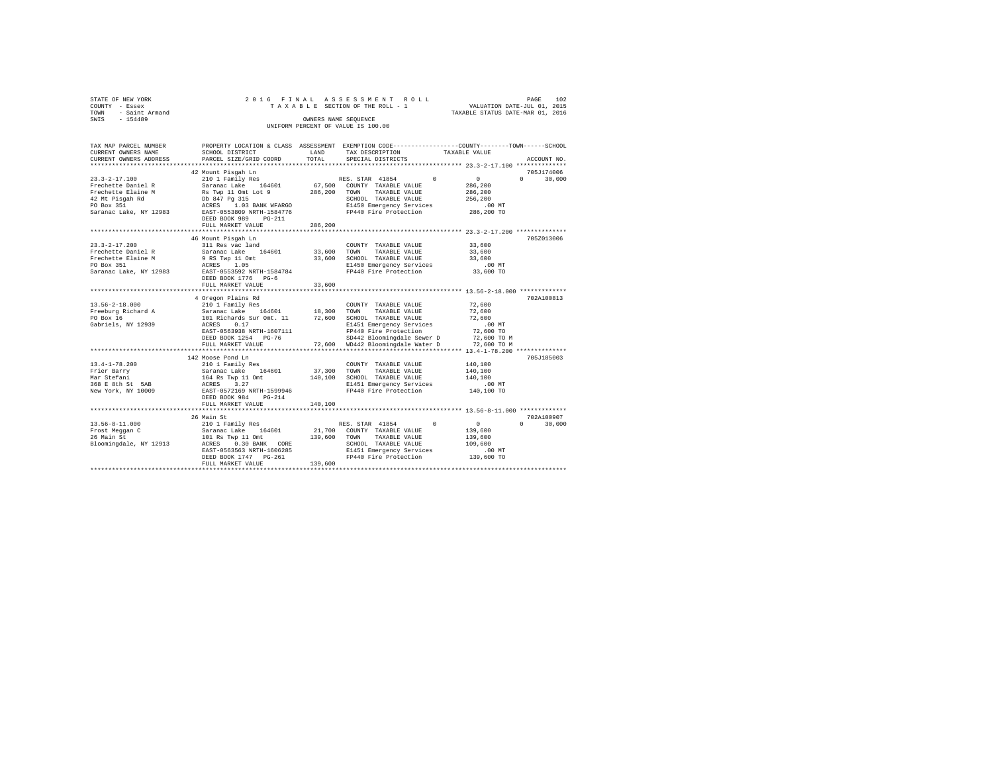| STATE OF NEW YORK<br>COUNTY - Essex<br>TOWN - Saint Armand<br>SWIS - 154489   |                                                                                                                                                                                                                                                                                                                                                                          | OWNERS NAME SEQUENCE | 2016 FINAL ASSESSMENT ROLL<br>UNIFORM PERCENT OF VALUE IS 100.00 |                                                                          | PAGE<br>102                 |
|-------------------------------------------------------------------------------|--------------------------------------------------------------------------------------------------------------------------------------------------------------------------------------------------------------------------------------------------------------------------------------------------------------------------------------------------------------------------|----------------------|------------------------------------------------------------------|--------------------------------------------------------------------------|-----------------------------|
| CURRENT OWNERS NAME<br>CURRENT OWNERS ADDRESS                                 | TAX MAP PARCEL NUMBER PROPERTY LOCATION & CLASS ASSESSMENT EXEMPTION CODE--------------COUNTY-------TOWN-----SCHOOL<br>SCHOOL DISTRICT LAND<br>PARCEL SIZE/GRID COORD                                                                                                                                                                                                    | TOTAL                | TAX DESCRIPTION<br>SPECIAL DISTRICTS                             | TAXABLE VALUE                                                            | ACCOUNT NO.                 |
|                                                                               | 42 Mount Pisqah Ln<br>DEED BOOK 989 PG-211                                                                                                                                                                                                                                                                                                                               |                      |                                                                  | $\sim$ 0 $\sim$<br>286,200<br>286,200<br>256,200<br>.00 MT<br>286,200 TO | 705J174006<br>$0 \t 30,000$ |
|                                                                               | FULL MARKET VALUE                                                                                                                                                                                                                                                                                                                                                        | 286,200              |                                                                  |                                                                          |                             |
| $23.3 - 2 - 17.200$<br>Frechette Daniel R<br>Frechette Elaine M<br>PO Box 351 | 46 Mount Pisgah Ln<br>311 Res vac land<br>9 - And - Annual Care (164601 - 164601 - 164601 - 164601 - 164601 - 164601 - 164601 - 164601 - 164601 - 16460<br>19 - 165 - 165 - 165 - 16500 - 164601 - 16460 - 16460 - 16460 - 16460 - 16460 - 16460 - 16460 - 16460 - 16460<br>Saranac Lake, NY 12983 EAST-0553592 NRTH-1584784<br>DEED BOOK 1776 PG-6<br>FULL MARKET VALUE | 33,600               | COUNTY TAXABLE VALUE<br>TAXABLE VALUE                            | 33,600<br>33,600<br>33,600                                               | 7052013006                  |
|                                                                               |                                                                                                                                                                                                                                                                                                                                                                          |                      |                                                                  |                                                                          |                             |
| $13.56 - 2 - 18.000$<br>Freeburg Richard A<br>PO Box 16<br>Gabriels, NY 12939 | 4 Oregon Plains Rd<br>EAST-0563938 NRTH-1607111<br>DEED BOOK 1254 PG-76                                                                                                                                                                                                                                                                                                  |                      |                                                                  | 72,600<br>72,600<br>72,600                                               | 702A100813                  |
|                                                                               | FULL MARKET VALUE                                                                                                                                                                                                                                                                                                                                                        |                      |                                                                  |                                                                          |                             |
|                                                                               | 142 Moose Pond Ln<br>DEED BOOK 984 PG-214<br>FULL MARKET VALUE                                                                                                                                                                                                                                                                                                           | 140,100              | COUNTY TAXABLE VALUE 140.100<br>FP440 Fire Protection            | 140,100<br>140,100<br>00 MT.<br>140,100 TO                               | 705J185003                  |
|                                                                               |                                                                                                                                                                                                                                                                                                                                                                          |                      |                                                                  |                                                                          |                             |
|                                                                               | 26 Main St                                                                                                                                                                                                                                                                                                                                                               |                      |                                                                  | $\sim$ 0<br>139,600<br>139,600<br>109,600<br>.00 MT<br>139,600 TO        | 702A100907<br>$0 \t 30.000$ |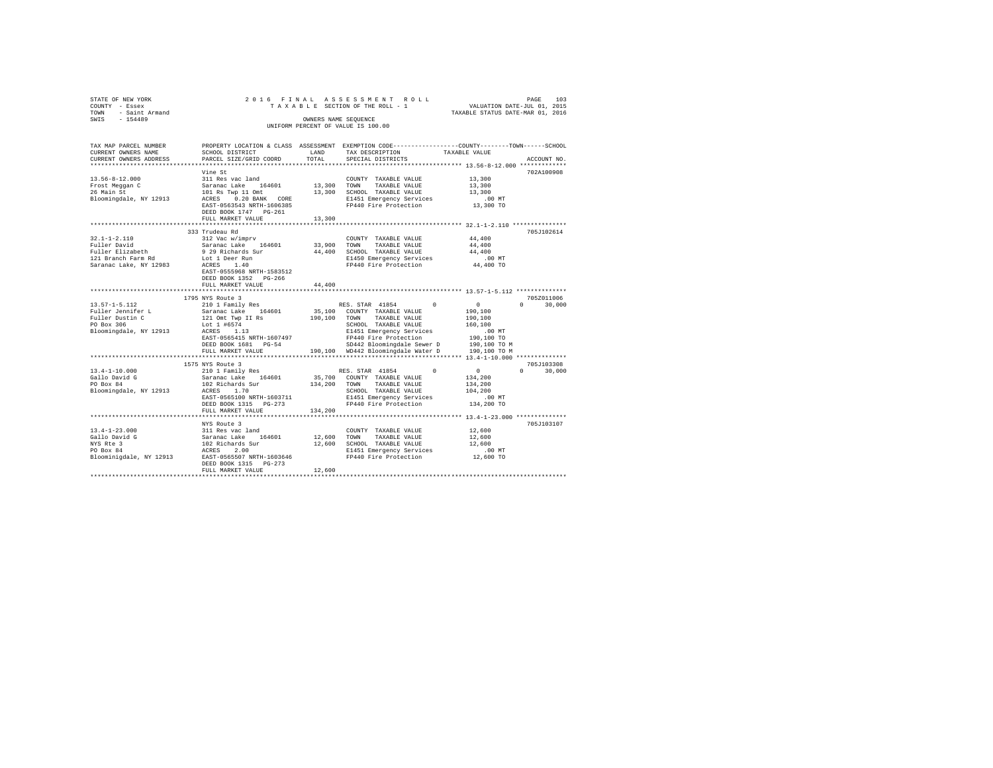| STATE OF NEW YORK<br>COUNTY - Essex                |                                                                                                 |             | 2016 FINAL ASSESSMENT ROLL<br>TAXABLE SECTION OF THE ROLL - 1      | PAGE 103<br>VALUATION DATE-JUL 01, 2015 |               |
|----------------------------------------------------|-------------------------------------------------------------------------------------------------|-------------|--------------------------------------------------------------------|-----------------------------------------|---------------|
| TOWN - Saint Armand                                |                                                                                                 |             |                                                                    | TAXABLE STATUS DATE-MAR 01, 2016        |               |
| SWIS - 154489                                      |                                                                                                 |             | OWNERS NAME SEOUENCE                                               |                                         |               |
|                                                    |                                                                                                 |             | UNIFORM PERCENT OF VALUE IS 100.00                                 |                                         |               |
|                                                    |                                                                                                 |             |                                                                    |                                         |               |
| TAX MAP PARCEL NUMBER                              | PROPERTY LOCATION & CLASS ASSESSMENT EXEMPTION CODE----------------COUNTY-------TOWN-----SCHOOL |             |                                                                    |                                         |               |
| CURRENT OWNERS NAME                                | SCHOOL DISTRICT                                                                                 | LAND        | TAX DESCRIPTION                                                    | TAXABLE VALUE                           |               |
| CURRENT OWNERS ADDRESS                             | PARCEL SIZE/GRID COORD                                                                          | TOTAL       | SPECIAL DISTRICTS                                                  |                                         | ACCOUNT NO.   |
|                                                    |                                                                                                 |             |                                                                    |                                         |               |
|                                                    | Vine St                                                                                         |             |                                                                    |                                         | 702A100908    |
| 13.56-8-12.000                                     | 311 Res vac land                                                                                |             | COUNTY TAXABLE VALUE                                               | 13,300                                  |               |
| Frost Meggan C<br>26 Main St                       | Saranac Lake 164601<br>101 Rs Twp 11 Omt                                                        | 13,300 TOWN | TAXABLE VALUE                                                      | 13,300                                  |               |
|                                                    |                                                                                                 |             | 13,300 SCHOOL TAXABLE VALUE                                        | 13,300                                  |               |
| Bloomingdale, NY 12913                             | ACRES 0.20 BANK CORE                                                                            |             | E1451 Emergency Services .00 MT<br>FP440 Fire Protection 13,300 TO |                                         |               |
|                                                    | EAST-0563543 NRTH-1606385<br>DEED BOOK 1747    PG-261                                           |             |                                                                    |                                         |               |
|                                                    | FULL MARKET VALUE                                                                               | 13,300      |                                                                    |                                         |               |
|                                                    |                                                                                                 |             |                                                                    |                                         |               |
|                                                    | 333 Trudeau Rd                                                                                  |             |                                                                    |                                         | 705J102614    |
| $32.1 - 1 - 2.110$                                 | 312 Vac w/imprv                                                                                 |             | COUNTY TAXABLE VALUE                                               | 44,400                                  |               |
| Fuller David                                       | Saranac Lake 164601                                                                             |             | 33,900 TOWN TAXABLE VALUE                                          | 44,400                                  |               |
|                                                    | 9 29 Richards Sur                                                                               |             | 44,400 SCHOOL TAXABLE VALUE                                        | 44,400                                  |               |
| Fuller Elizabeth<br>121 Branch Farm Rd             | Lot 1 Deer Run                                                                                  |             | E1450 Emergency Services                                           | $.00$ MT                                |               |
| Saranac Lake, NY 12983                             | $ACRES$ 1.40                                                                                    |             | FP440 Fire Protection                                              | 44,400 TO                               |               |
|                                                    | EAST-0555968 NRTH-1583512                                                                       |             |                                                                    |                                         |               |
|                                                    | DEED BOOK 1352 PG-266                                                                           |             |                                                                    |                                         |               |
|                                                    | FULL MARKET VALUE                                                                               | 44,400      |                                                                    |                                         |               |
|                                                    |                                                                                                 |             |                                                                    |                                         |               |
|                                                    | 1795 NYS Route 3                                                                                |             |                                                                    |                                         | 705Z011006    |
| $13.57 - 1 - 5.112$                                | 210 1 Family Res                                                                                |             | RES. STAR 41854 0                                                  | $\sim$ 0                                | $0 \t 30.000$ |
| Fuller Jennifer L<br>Fuller Dustin C<br>PO Box 306 | Saranac Lake 164601                                                                             |             | 35,100 COUNTY TAXABLE VALUE                                        | 190,100                                 |               |
|                                                    | 121 Omt Twp II Rs<br>190,100 TOWN<br>Lot 1 #6574<br>SCHOOL                                      |             | TAXABLE VALUE                                                      | 190,100                                 |               |
| Bloomingdale, NY 12913                             | Lot 1 #6574<br>ACRES 1.13                                                                       |             | SCHOOL TAXABLE VALUE<br>E1451 Emergency Services                   | 160,100<br>$.00$ MT                     |               |
|                                                    |                                                                                                 |             |                                                                    |                                         |               |
|                                                    |                                                                                                 |             |                                                                    |                                         |               |
|                                                    | FULL MARKET VALUE                                                                               |             | 190,100 WD442 Bloomingdale Water D                                 | 190,100 TO M                            |               |
|                                                    |                                                                                                 |             |                                                                    |                                         |               |
|                                                    | 1575 NYS Route 3                                                                                |             |                                                                    |                                         | 705J103308    |
| $13.4 - 1 - 10.000$                                | 210 1 Family Res                                                                                |             | RES. STAR 41854                                                    | $\sim$ 0<br>$\mathbf{0}$                | $0 \t 30,000$ |
| Gallo David G<br>PO Box 84                         | Saranac Lake 164601                                                                             |             | 35,700 COUNTY TAXABLE VALUE                                        | 134,200                                 |               |
|                                                    |                                                                                                 |             | TAXABLE VALUE                                                      | 134,200                                 |               |
|                                                    | PO Box 84 102 Richards Sur 134,200 TOWN<br>Bloomingdale, NY 12913 ACRES 1.70 5CHOOL SCHOOL      |             | SCHOOL TAXABLE VALUE                                               | 104,200                                 |               |
|                                                    | EAST-0565100 NRTH-1603711                                                                       |             | E1451 Emergency Services                                           | .00 MT                                  |               |
|                                                    | DEED BOOK 1315 PG-273                                                                           |             | FP440 Fire Protection 134,200 TO                                   |                                         |               |
|                                                    | FULL MARKET VALUE                                                                               | 134,200     |                                                                    |                                         |               |
|                                                    |                                                                                                 |             |                                                                    |                                         |               |
|                                                    |                                                                                                 |             |                                                                    |                                         | 705J103107    |
|                                                    | NYS Route 3                                                                                     |             |                                                                    |                                         |               |
| $13.4 - 1 - 23.000$                                | 311 Res vac land                                                                                |             | COUNTY TAXABLE VALUE                                               | 12,600                                  |               |
| Gallo David G                                      | Saranac Lake 164601 12,600 TOWN TAXABLE VALUE                                                   |             |                                                                    | 12,600                                  |               |
| NYS Rte 3                                          | 102 Richards Sur                                                                                |             | 12,600 SCHOOL TAXABLE VALUE                                        | 12,600                                  |               |
| PO Box 84                                          | ACRES 2.00                                                                                      |             | E1451 Emergency Services                                           | $.00$ MT                                |               |
|                                                    | Bloominigdale, NY 12913 EAST-0565507 NRTH-1603646                                               |             | E1451 Emergency Services<br>FP440 Fire Protection                  | 12,600 TO                               |               |
|                                                    | DEED BOOK 1315 PG-273<br>FULL MARKET VALUE                                                      | 12,600      |                                                                    |                                         |               |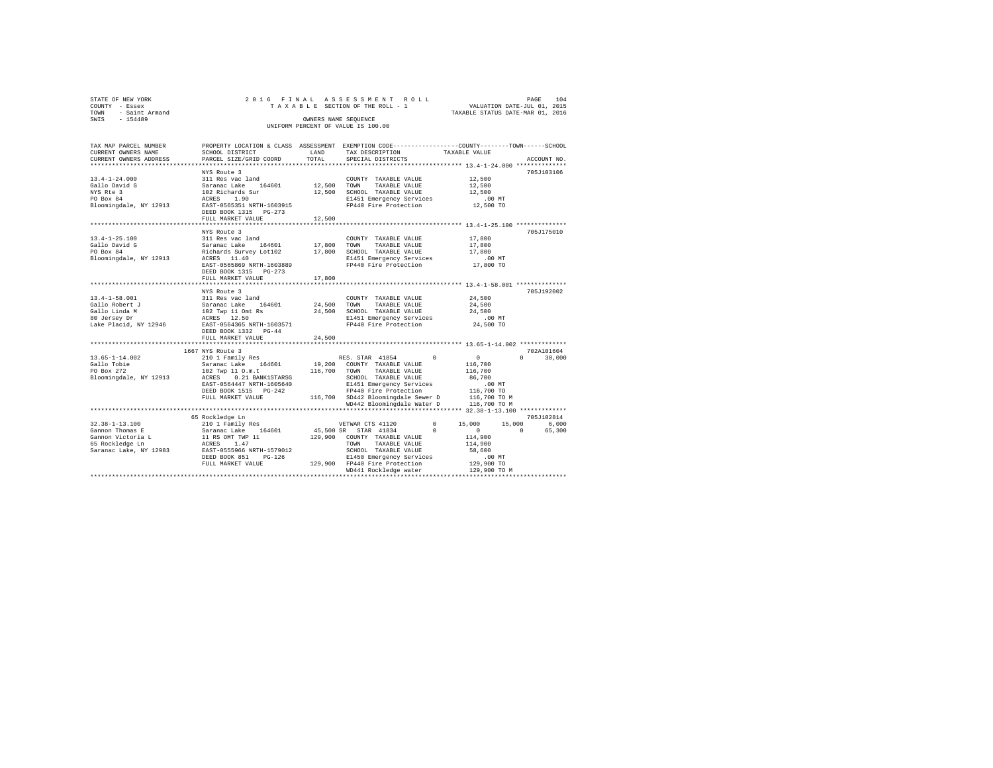| STATE OF NEW YORK   | 2016 FINAL ASSESSMENT ROLL         | 104<br>PAGE                      |
|---------------------|------------------------------------|----------------------------------|
| COUNTY - Essex      | TAXABLE SECTION OF THE ROLL - 1    | VALUATION DATE-JUL 01, 2015      |
| TOWN - Saint Armand |                                    | TAXABLE STATUS DATE-MAR 01, 2016 |
| SWIS<br>$-154489$   | OWNERS NAME SEOUENCE               |                                  |
|                     | UNIFORM PERCENT OF VALUE IS 100.00 |                                  |

| TAX MAP PARCEL NUMBER  |                           |        | PROPERTY LOCATION & CLASS ASSESSMENT EXEMPTION CODE---------------COUNTY-------TOWN------SCHOOL                                                                                                |                  |                        |
|------------------------|---------------------------|--------|------------------------------------------------------------------------------------------------------------------------------------------------------------------------------------------------|------------------|------------------------|
| CURRENT OWNERS NAME    | SCHOOL DISTRICT           | LAND   | TAX DESCRIPTION                                                                                                                                                                                | TAXABLE VALUE    |                        |
| CURRENT OWNERS ADDRESS | PARCEL SIZE/GRID COORD    | TOTAL  | SPECIAL DISTRICTS                                                                                                                                                                              |                  | ACCOUNT NO.            |
|                        |                           |        |                                                                                                                                                                                                |                  |                        |
|                        | NYS Route 3               |        |                                                                                                                                                                                                |                  | 705J103106             |
|                        |                           |        | COUNTY TAXABLE VALUE                                                                                                                                                                           | 12,500<br>12,500 |                        |
|                        |                           |        | TAXABLE VALUE                                                                                                                                                                                  |                  |                        |
|                        |                           |        |                                                                                                                                                                                                |                  |                        |
|                        |                           |        | 12,500 SCHOOL TAXABLE VALUE 12,500<br>E1451 Emergency Services .00 MT                                                                                                                          |                  |                        |
|                        |                           |        | FP440 Fire Protection                                                                                                                                                                          | 12,500 TO        |                        |
|                        |                           |        |                                                                                                                                                                                                |                  |                        |
|                        | FULL MARKET VALUE         | 12,500 |                                                                                                                                                                                                |                  |                        |
|                        |                           |        |                                                                                                                                                                                                |                  |                        |
|                        | NYS Route 3               |        |                                                                                                                                                                                                |                  | 705J175010             |
| $13.4 - 1 - 25.100$    |                           |        |                                                                                                                                                                                                | 17,800<br>17,800 |                        |
| Gallo David G          |                           |        |                                                                                                                                                                                                |                  |                        |
| PO Box 84              |                           |        |                                                                                                                                                                                                | 17,800           |                        |
| Bloomingdale, NY 12913 |                           |        | E1451 Emergency Services .00 MT<br>FP440 Fire Protection .07,800 TO                                                                                                                            |                  |                        |
|                        | EAST-0565869 NRTH-1603889 |        |                                                                                                                                                                                                |                  |                        |
|                        | DEED BOOK 1315 PG-273     |        |                                                                                                                                                                                                |                  |                        |
|                        | FULL MARKET VALUE         | 17,800 |                                                                                                                                                                                                |                  |                        |
|                        |                           |        |                                                                                                                                                                                                |                  |                        |
|                        | NYS Route 3               |        |                                                                                                                                                                                                |                  | 705J192002             |
|                        |                           |        | COUNTY TAXABLE VALUE 24,500                                                                                                                                                                    |                  |                        |
|                        |                           |        |                                                                                                                                                                                                | 24,500           |                        |
|                        |                           |        |                                                                                                                                                                                                | 24,500           |                        |
|                        |                           |        |                                                                                                                                                                                                | $.00$ MT         |                        |
|                        |                           |        | FP440 Fire Protection 24,500 TO                                                                                                                                                                |                  |                        |
|                        | DEED BOOK 1332 PG-44      |        |                                                                                                                                                                                                |                  |                        |
|                        | FULL MARKET VALUE         | 24,500 |                                                                                                                                                                                                |                  |                        |
|                        |                           |        |                                                                                                                                                                                                |                  |                        |
|                        | 1667 NYS Route 3          |        |                                                                                                                                                                                                |                  | 702A101604             |
|                        |                           |        | RES. STAR 41854 0                                                                                                                                                                              | $\sim$ 0         | 30,000<br>$\mathbf{a}$ |
|                        |                           |        |                                                                                                                                                                                                | 116,700          |                        |
|                        |                           |        |                                                                                                                                                                                                | 116,700          |                        |
|                        |                           |        |                                                                                                                                                                                                | 86,700           |                        |
|                        |                           |        |                                                                                                                                                                                                |                  |                        |
|                        | DEED BOOK 1515 PG-242     |        |                                                                                                                                                                                                |                  |                        |
|                        | FULL MARKET VALUE         |        | 1990)<br>19940 EP140 Fire Protection<br>116,700 TD 19942 Bloomingdale Sewer D<br>116,700 TD 116,700 TO 116,700 TO 116,700 TO 116,700 TO 116,700 TO 116,700 TO 116,700 TO 116,700 TO 116,700 TO |                  |                        |
|                        |                           |        | WD442 Bloomingdale Water D 116,700 TO M                                                                                                                                                        |                  |                        |
|                        |                           |        |                                                                                                                                                                                                |                  |                        |
|                        | 65 Rockledge Ln           |        |                                                                                                                                                                                                |                  | 705J102814             |
|                        |                           |        |                                                                                                                                                                                                |                  | 6,000                  |
|                        |                           |        |                                                                                                                                                                                                |                  | 65,300                 |
|                        |                           |        |                                                                                                                                                                                                |                  |                        |
|                        |                           |        |                                                                                                                                                                                                |                  |                        |
|                        |                           |        |                                                                                                                                                                                                |                  |                        |
|                        |                           |        |                                                                                                                                                                                                |                  |                        |
|                        |                           |        |                                                                                                                                                                                                |                  |                        |
|                        |                           |        | WD441 Rockledge water                                                                                                                                                                          | 129,900 TO M     |                        |
|                        |                           |        |                                                                                                                                                                                                |                  |                        |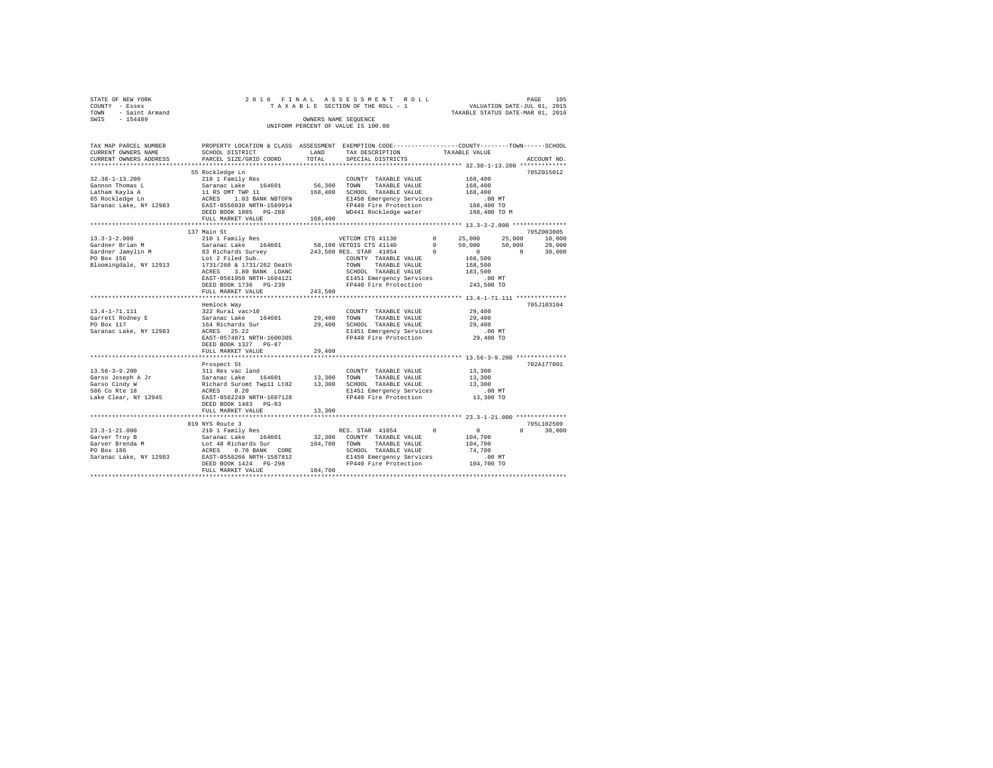|                | STATE OF NEW YORK   |  |  |  |  | 2016 FINAL ASSESSMENT ROLL         |  |  |  |  |                                  |  | PAGE | 105 |
|----------------|---------------------|--|--|--|--|------------------------------------|--|--|--|--|----------------------------------|--|------|-----|
| COUNTY - Essex |                     |  |  |  |  | TAXABLE SECTION OF THE ROLL - 1    |  |  |  |  | VALUATION DATE-JUL 01, 2015      |  |      |     |
|                | TOWN - Saint Armand |  |  |  |  |                                    |  |  |  |  | TAXABLE STATUS DATE-MAR 01, 2016 |  |      |     |
| SWIS           | $-154489$           |  |  |  |  | OWNERS NAME SEOUENCE               |  |  |  |  |                                  |  |      |     |
|                |                     |  |  |  |  | UNIFORM PERCENT OF VALUE IS 100.00 |  |  |  |  |                                  |  |      |     |

| TAX MAP PARCEL NUMBER                                                                                                                                                                                                                                                                                                             | PROPERTY LOCATION & CLASS ASSESSMENT EXEMPTION CODE---------------COUNTY-------TOWN-----SCHOOL |         |                                                                                                     |                  |                                 |
|-----------------------------------------------------------------------------------------------------------------------------------------------------------------------------------------------------------------------------------------------------------------------------------------------------------------------------------|------------------------------------------------------------------------------------------------|---------|-----------------------------------------------------------------------------------------------------|------------------|---------------------------------|
| CURRENT OWNERS NAME                                                                                                                                                                                                                                                                                                               | SCHOOL DISTRICT                                                                                |         | LAND TAX DESCRIPTION TAXABLE VALUE                                                                  |                  |                                 |
| CURRENT OWNERS ADDRESS PARCEL SIZE/GRID COORD                                                                                                                                                                                                                                                                                     |                                                                                                | TOTAL   | SPECIAL DISTRICTS                                                                                   |                  | ACCOUNT NO.                     |
|                                                                                                                                                                                                                                                                                                                                   |                                                                                                |         |                                                                                                     |                  | 705Z015012                      |
| 32.38-1-13.200<br>32.38-1-13.200<br>Gannon Thomas L<br>$\begin{array}{l} 201 \text{ N} = 101 \text{ R} = 10400 \text{ N} = 10400 \text{ N} = 10400 \text{ N} = 10400 \text{ N} = 10400 \text{ N} = 10400 \text{ N} = 10400 \text{ N} = 10400 \text{ N} = 10400 \text{ N} = 10400 \text{ N} = 10400 \text{ N} = 10400 \text{ N} =$ | 55 Rockledge Ln                                                                                |         | COUNTY TAXABLE VALUE                                                                                | 168,400          |                                 |
|                                                                                                                                                                                                                                                                                                                                   |                                                                                                |         |                                                                                                     | 168,400          |                                 |
|                                                                                                                                                                                                                                                                                                                                   |                                                                                                |         |                                                                                                     | 168,400          |                                 |
|                                                                                                                                                                                                                                                                                                                                   |                                                                                                |         |                                                                                                     |                  |                                 |
|                                                                                                                                                                                                                                                                                                                                   |                                                                                                |         |                                                                                                     |                  |                                 |
|                                                                                                                                                                                                                                                                                                                                   | DEED BOOK 1805 PG-288                                                                          |         | WD441 Rockledge water                                                                               | 168,400 TO M     |                                 |
|                                                                                                                                                                                                                                                                                                                                   | FULL MARKET VALUE 168,400                                                                      |         |                                                                                                     |                  |                                 |
|                                                                                                                                                                                                                                                                                                                                   |                                                                                                |         |                                                                                                     |                  |                                 |
|                                                                                                                                                                                                                                                                                                                                   | 137 Main St                                                                                    |         |                                                                                                     |                  | 705Z003005                      |
|                                                                                                                                                                                                                                                                                                                                   |                                                                                                |         |                                                                                                     |                  |                                 |
|                                                                                                                                                                                                                                                                                                                                   |                                                                                                |         |                                                                                                     |                  |                                 |
|                                                                                                                                                                                                                                                                                                                                   |                                                                                                |         |                                                                                                     |                  |                                 |
|                                                                                                                                                                                                                                                                                                                                   |                                                                                                |         |                                                                                                     |                  |                                 |
|                                                                                                                                                                                                                                                                                                                                   |                                                                                                |         |                                                                                                     |                  |                                 |
|                                                                                                                                                                                                                                                                                                                                   | ACRES 3.80 BANK LOANC                                                                          |         |                                                                                                     |                  |                                 |
|                                                                                                                                                                                                                                                                                                                                   | EAST-0561950 NRTH-1604121                                                                      |         | SCHOOL TAXABLE VALUE 183,500<br>E1451 Emergency Services .00 MT<br>FP440 Fire Protection 243,500 TO |                  |                                 |
|                                                                                                                                                                                                                                                                                                                                   | DEED BOOK 1736 PG-239                                                                          |         | FP440 Fire Protection                                                                               |                  |                                 |
|                                                                                                                                                                                                                                                                                                                                   | FULL MARKET VALUE                                                                              | 243,500 |                                                                                                     |                  |                                 |
|                                                                                                                                                                                                                                                                                                                                   |                                                                                                |         |                                                                                                     |                  |                                 |
| 13.4-1-71.111 Hemlock Way<br>Garrett Rodney E 322 Rural vac>10<br>PO Box 117 Saranac Lake 164601<br>Paranac Lake, NY 12983 ACRES 25.22<br>Saranac Lake, NY 12983 ACRES 25.22                                                                                                                                                      |                                                                                                |         |                                                                                                     |                  | 705J103104                      |
|                                                                                                                                                                                                                                                                                                                                   |                                                                                                |         | COUNTY TAXABLE VALUE                                                                                | 29,400           |                                 |
|                                                                                                                                                                                                                                                                                                                                   |                                                                                                |         | 29,400 TOWN TAXABLE VALUE                                                                           | 29,400           |                                 |
|                                                                                                                                                                                                                                                                                                                                   |                                                                                                |         | 29,400 SCHOOL TAXABLE VALUE                                                                         | 29,400           |                                 |
|                                                                                                                                                                                                                                                                                                                                   |                                                                                                |         | E1451 Emergency Services 6.00 MT<br>FP440 Fire Protection 29,400 TO                                 |                  |                                 |
|                                                                                                                                                                                                                                                                                                                                   | EAST-0574871 NRTH-1600305<br>DEED BOOK 1327 PG-87                                              |         |                                                                                                     |                  |                                 |
|                                                                                                                                                                                                                                                                                                                                   | FULL MARKET VALUE                                                                              | 29,400  |                                                                                                     |                  |                                 |
|                                                                                                                                                                                                                                                                                                                                   |                                                                                                |         |                                                                                                     |                  |                                 |
|                                                                                                                                                                                                                                                                                                                                   | Prospect St                                                                                    |         |                                                                                                     |                  | 702A177001                      |
|                                                                                                                                                                                                                                                                                                                                   |                                                                                                |         |                                                                                                     | 13,300           |                                 |
|                                                                                                                                                                                                                                                                                                                                   |                                                                                                |         |                                                                                                     |                  |                                 |
|                                                                                                                                                                                                                                                                                                                                   |                                                                                                |         |                                                                                                     | 13,300<br>13,300 |                                 |
|                                                                                                                                                                                                                                                                                                                                   |                                                                                                |         |                                                                                                     |                  |                                 |
|                                                                                                                                                                                                                                                                                                                                   |                                                                                                |         | E1451 Emergency Services 00 MT<br>FP440 Fire Protection 13,300 TO                                   |                  |                                 |
|                                                                                                                                                                                                                                                                                                                                   |                                                                                                |         |                                                                                                     |                  |                                 |
|                                                                                                                                                                                                                                                                                                                                   | FULL MARKET VALUE                                                                              | 13,300  |                                                                                                     |                  |                                 |
|                                                                                                                                                                                                                                                                                                                                   |                                                                                                |         |                                                                                                     |                  |                                 |
|                                                                                                                                                                                                                                                                                                                                   | 819 NYS Route 3                                                                                |         |                                                                                                     |                  | 705L102509                      |
|                                                                                                                                                                                                                                                                                                                                   |                                                                                                |         |                                                                                                     |                  | $\Omega$ and $\Omega$<br>30,000 |
|                                                                                                                                                                                                                                                                                                                                   |                                                                                                |         |                                                                                                     |                  |                                 |
|                                                                                                                                                                                                                                                                                                                                   |                                                                                                |         |                                                                                                     |                  |                                 |
|                                                                                                                                                                                                                                                                                                                                   |                                                                                                |         |                                                                                                     |                  |                                 |
|                                                                                                                                                                                                                                                                                                                                   |                                                                                                |         |                                                                                                     |                  |                                 |
|                                                                                                                                                                                                                                                                                                                                   |                                                                                                |         |                                                                                                     |                  |                                 |
|                                                                                                                                                                                                                                                                                                                                   |                                                                                                |         |                                                                                                     |                  |                                 |
|                                                                                                                                                                                                                                                                                                                                   |                                                                                                |         |                                                                                                     |                  |                                 |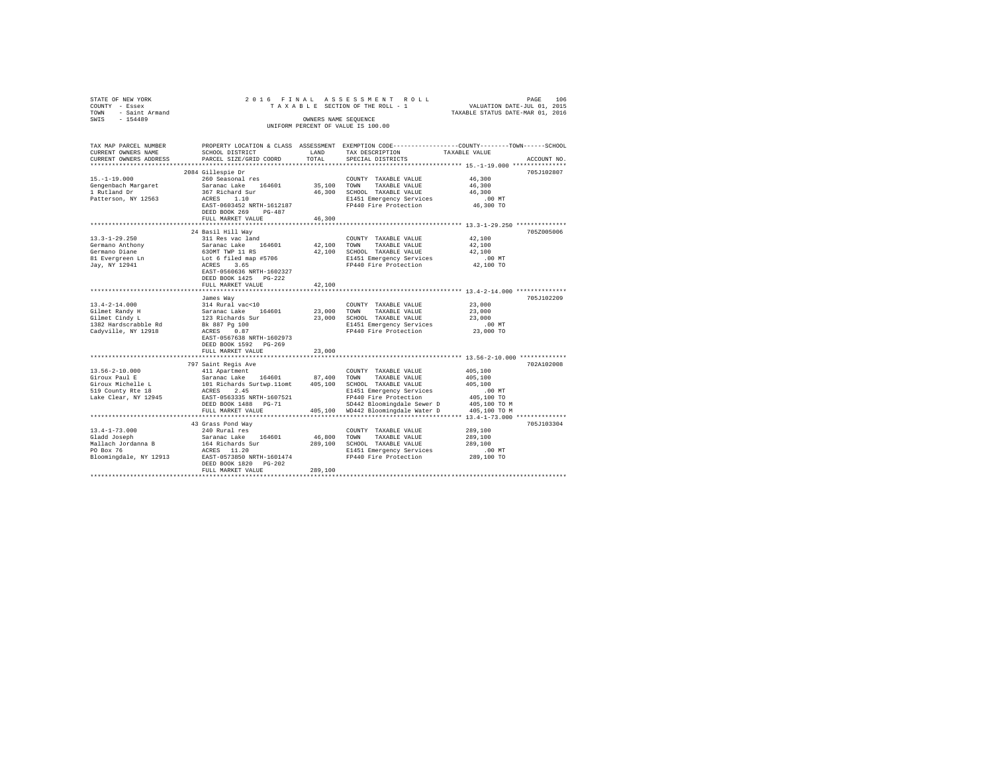| STATE OF NEW YORK                |                                                                               |         | 2016 FINAL ASSESSMENT ROLL                                                                      | PAGE                                                            | 106         |
|----------------------------------|-------------------------------------------------------------------------------|---------|-------------------------------------------------------------------------------------------------|-----------------------------------------------------------------|-------------|
| COUNTY - Essex                   |                                                                               |         | TAXABLE SECTION OF THE ROLL - 1                                                                 | VALUATION DATE-JUL 01, 2015<br>TAXABLE STATUS DATE-MAR 01, 2016 |             |
| TOWN - Saint Armand              |                                                                               |         |                                                                                                 |                                                                 |             |
| SWIS<br>$-154489$                |                                                                               |         | OWNERS NAME SEQUENCE                                                                            |                                                                 |             |
|                                  |                                                                               |         | UNIFORM PERCENT OF VALUE IS 100.00                                                              |                                                                 |             |
|                                  |                                                                               |         |                                                                                                 |                                                                 |             |
|                                  |                                                                               |         |                                                                                                 |                                                                 |             |
| TAX MAP PARCEL NUMBER            |                                                                               |         | PROPERTY LOCATION & CLASS ASSESSMENT EXEMPTION CODE---------------COUNTY-------TOWN------SCHOOL |                                                                 |             |
| CURRENT OWNERS NAME              | SCHOOL DISTRICT                                                               | LAND    | TAX DESCRIPTION                                                                                 | TAXABLE VALUE                                                   |             |
| CURRENT OWNERS ADDRESS           | PARCEL SIZE/GRID COORD                                                        | TOTAL   | SPECIAL DISTRICTS                                                                               |                                                                 | ACCOUNT NO. |
|                                  |                                                                               |         |                                                                                                 |                                                                 |             |
|                                  | 2084 Gillespie Dr                                                             |         |                                                                                                 |                                                                 | 705J102807  |
| $15. - 1 - 19.000$               | 260 Seasonal res                                                              |         | COUNTY TAXABLE VALUE                                                                            | 46,300                                                          |             |
| Gengenbach Margaret              | Saranac Lake 164601                                                           |         | 35,100 TOWN TAXABLE VALUE                                                                       | 46,300                                                          |             |
| 1 Rutland Dr                     | 367 Richard Sur<br>ACRES 1.10<br>ACRES 1.10                                   |         | 46,300 SCHOOL TAXABLE VALUE                                                                     | 46,300<br>$.00$ MT                                              |             |
| Patterson, NY 12563              | EAST-0603452 NRTH-1612187                                                     |         | E1451 Emergency Services<br>FP440 Fire Protection                                               |                                                                 |             |
|                                  | DEED BOOK 269 PG-487                                                          |         |                                                                                                 | 46,300 TO                                                       |             |
|                                  | FULL MARKET VALUE                                                             | 46,300  |                                                                                                 |                                                                 |             |
|                                  |                                                                               |         |                                                                                                 |                                                                 |             |
|                                  | 24 Basil Hill Way                                                             |         |                                                                                                 |                                                                 | 705Z005006  |
| $13.3 - 1 - 29.250$              | 311 Res vac land                                                              |         | COUNTY TAXABLE VALUE                                                                            | 42,100                                                          |             |
| Germano Anthony                  | Saranac Lake 164601                                                           | 42,100  | TOWN<br>TAXABLE VALUE                                                                           | 42,100                                                          |             |
| Germano Diane                    |                                                                               |         | 42,100 SCHOOL TAXABLE VALUE                                                                     | 42,100                                                          |             |
| 81 Evergreen Ln                  |                                                                               |         | E1451 Emergency Services                                                                        | .00 MT                                                          |             |
| Jay, NY 12941                    | 630MT TWP 11 RS<br>Lot 6 filed map #5706<br>ACRES 3.65                        |         | FP440 Fire Protection                                                                           | 42,100 TO                                                       |             |
|                                  | EAST-0560636 NRTH-1602327                                                     |         |                                                                                                 |                                                                 |             |
|                                  | DEED BOOK 1425 PG-222                                                         |         |                                                                                                 |                                                                 |             |
|                                  | FULL MARKET VALUE                                                             | 42,100  |                                                                                                 |                                                                 |             |
|                                  |                                                                               |         |                                                                                                 |                                                                 |             |
|                                  | James Way                                                                     |         |                                                                                                 |                                                                 | 705J102209  |
| $13.4 - 2 - 14.000$              |                                                                               |         | COUNTY TAXABLE VALUE                                                                            | 23,000                                                          |             |
| Gilmet Randy H                   | 314 Rural vac<10<br>Saranac Lake 164601                                       | 23,000  | TOWN<br>TAXABLE VALUE                                                                           | 23,000                                                          |             |
| Gilmet Randy H<br>Gilmet Cindy L |                                                                               | 23,000  | SCHOOL TAXABLE VALUE                                                                            | 23,000                                                          |             |
| 1382 Hardscrabble Rd             | 123 Richards Sur<br>Bk 887 Pg 100                                             |         | E1451 Emergency Services                                                                        | $.00$ MT                                                        |             |
| Cadyville, NY 12918              | ACRES 0.87                                                                    |         | FP440 Fire Protection                                                                           | 23,000 TO                                                       |             |
|                                  | EAST-0567638 NRTH-1602973                                                     |         |                                                                                                 |                                                                 |             |
|                                  | DEED BOOK 1592 PG-269                                                         |         |                                                                                                 |                                                                 |             |
|                                  | FULL MARKET VALUE                                                             | 23,000  |                                                                                                 |                                                                 |             |
|                                  |                                                                               |         |                                                                                                 | ***************************** 13.56-2-10.000 ************       |             |
|                                  | 797 Saint Regis Ave                                                           |         |                                                                                                 |                                                                 | 702A102008  |
| $13.56 - 2 - 10.000$             | 411 Apartment                                                                 |         | COUNTY TAXABLE VALUE                                                                            | 405,100                                                         |             |
| Giroux Paul E                    |                                                                               |         | TOWN<br>TAXABLE VALUE                                                                           | 405,100                                                         |             |
| Giroux Michelle L                |                                                                               |         | SCHOOL TAXABLE VALUE                                                                            | 405,100                                                         |             |
| 519 County Rte 18                | Saranac Lake 164601 87,400<br>101 Richards Surtwp.11omt 405,100<br>ACRES 2.45 |         | E1451 Emergency Services                                                                        | $.00$ MT                                                        |             |
| Lake Clear, NY 12945             | EAST-0563335 NRTH-1607521                                                     |         | FP440 Fire Protection                                                                           | 405,100 TO                                                      |             |
|                                  | DEED BOOK 1488 PG-71                                                          |         | SD442 Bloomingdale Sewer D                                                                      | 405,100 TO M                                                    |             |
|                                  | FULL MARKET VALUE                                                             |         | 405,100 WD442 Bloomingdale Water D                                                              | 405,100 TO M                                                    |             |
|                                  | ****************************                                                  |         |                                                                                                 |                                                                 |             |
|                                  | 43 Grass Pond Way                                                             |         |                                                                                                 |                                                                 | 705J103304  |
| $13.4 - 1 - 73.000$              | 240 Rural res                                                                 |         | COUNTY TAXABLE VALUE                                                                            | 289,100                                                         |             |
| Gladd Joseph                     | Saranac Lake 164601                                                           | 46,800  | TOWN<br>TAXABLE VALUE                                                                           | 289,100                                                         |             |
| Mallach Jordanna B               | 164 Richards Sur                                                              |         | 289,100 SCHOOL TAXABLE VALUE                                                                    | 289,100                                                         |             |
| PO Box 76                        | ACRES 11.20                                                                   |         | E1451 Emergency Services                                                                        | .00MT                                                           |             |
| Bloomingdale, NY 12913           | EAST-0573850 NRTH-1601474                                                     |         | FP440 Fire Protection                                                                           | 289,100 TO                                                      |             |
|                                  | DEED BOOK 1820 PG-202                                                         |         |                                                                                                 |                                                                 |             |
|                                  | DIII MADVDD UAIHD                                                             | 200 100 |                                                                                                 |                                                                 |             |

FULL MARKET VALUE 289,100 \*\*\*\*\*\*\*\*\*\*\*\*\*\*\*\*\*\*\*\*\*\*\*\*\*\*\*\*\*\*\*\*\*\*\*\*\*\*\*\*\*\*\*\*\*\*\*\*\*\*\*\*\*\*\*\*\*\*\*\*\*\*\*\*\*\*\*\*\*\*\*\*\*\*\*\*\*\*\*\*\*\*\*\*\*\*\*\*\*\*\*\*\*\*\*\*\*\*\*\*\*\*\*\*\*\*\*\*\*\*\*\*\*\*\*\*\*\*\*\*\*\*\*\*\*\*\*\*\*\*\*\*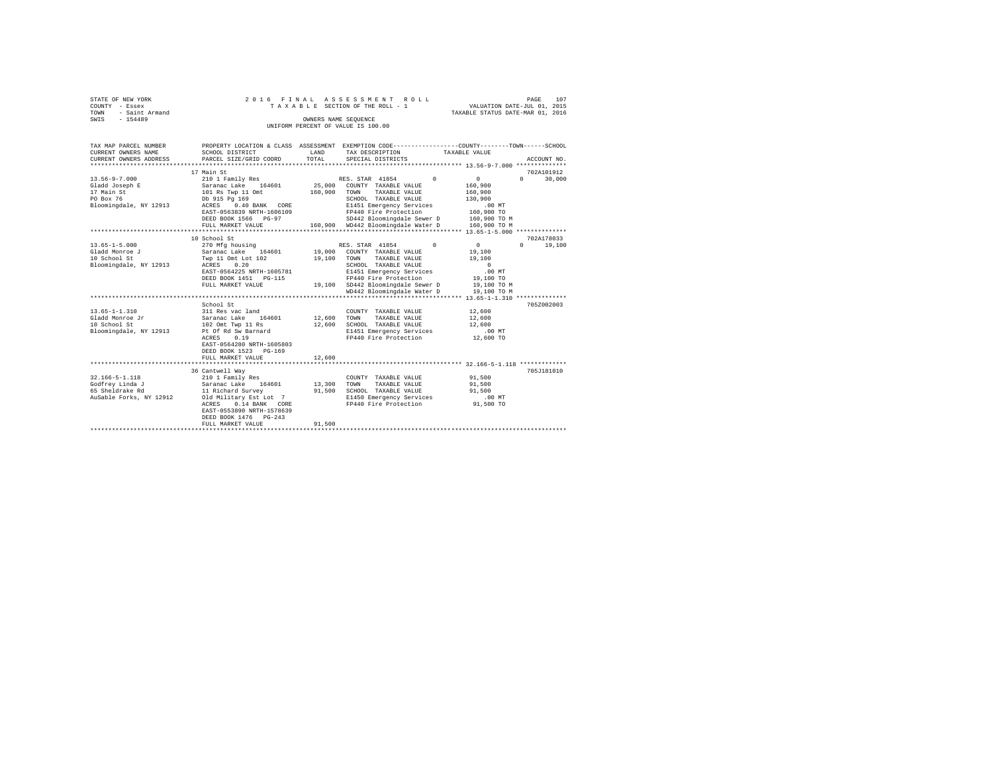| STATE OF NEW YORK      |                                         | 2016 FINAL ASSESSMENT ROLL      | PAGE                                                         | 107 |
|------------------------|-----------------------------------------|---------------------------------|--------------------------------------------------------------|-----|
| COUNTY<br>- Essex      |                                         | TAXABLE SECTION OF THE ROLL - 1 | VALUATION DATE-JUL 01, 2015                                  |     |
| - Saint Armand<br>TOWN |                                         |                                 | TAXABLE STATUS DATE-MAR 01, 2016                             |     |
| $-154489$<br>SWIS      |                                         | OWNERS NAME SEQUENCE            |                                                              |     |
|                        | UNIFORM PERCENT OF VALUE IS 100.00      |                                 |                                                              |     |
|                        |                                         |                                 |                                                              |     |
|                        |                                         |                                 |                                                              |     |
| TAX MAP PARCEL NUMBER  | ASSESSMENT<br>PROPERTY LOCATION & CLASS |                                 | EXEMPTION CODE-----------------COUNTY-------TOWN------SCHOOL |     |
| CURRENT OWNERS NAME    | SCHOOL DISTRICT<br>LAND                 | TAX DESCRIPTION                 | TAXABLE VALUE                                                |     |
| CURRENT OWNERS ADDRESS | PARCEL SIZE/GRID COORD<br>TOTAL         | SPECIAL DISTRICTS               | ACCOUNT NO.                                                  |     |

|                         | 17 Main St                 |         |                                    |              | 702A101912         |
|-------------------------|----------------------------|---------|------------------------------------|--------------|--------------------|
| $13.56 - 9 - 7.000$     | 210 1 Family Res           |         | RES. STAR 41854<br>$\circ$         | 0            | $\Omega$<br>30,000 |
| Gladd Joseph E          | Saranac Lake<br>164601     |         | 25,000 COUNTY TAXABLE VALUE        | 160,900      |                    |
| 17 Main St              | 101 Rs Twp 11 Omt          | 160,900 | TOWN<br>TAXABLE VALUE              | 160,900      |                    |
| PO Box 76               | Db 915 Pa 169              |         | SCHOOL TAXABLE VALUE               | 130,900      |                    |
| Bloomingdale, NY 12913  | 0.40 BANK CORE<br>ACRES    |         | E1451 Emergency Services           | .00MT        |                    |
|                         | EAST-0563839 NRTH-1606109  |         | FP440 Fire Protection              | 160,900 TO   |                    |
|                         | DEED BOOK 1566 PG-97       |         | SD442 Bloomingdale Sewer D         | 160,900 TO M |                    |
|                         | FULL MARKET VALUE          |         | 160.900 WD442 Bloomingdale Water D | 160,900 TO M |                    |
|                         | ***********************    |         |                                    |              |                    |
|                         | 10 School St               |         |                                    |              | 702A178033         |
| $13.65 - 1 - 5.000$     | 270 Mfg housing            |         | RES. STAR 41854<br>$\Omega$        | $\sim$ 0     | $\Omega$<br>19,100 |
| Gladd Monroe J          | Saranac Lake 164601        |         | 19,000 COUNTY TAXABLE VALUE        | 19,100       |                    |
| 10 School St            | Twp 11 Omt Lot 102         | 19,100  | TOWN<br>TAXABLE VALUE              | 19,100       |                    |
| Bloomingdale, NY 12913  | 0.20<br>ACRES              |         | SCHOOL TAXABLE VALUE               | $\Omega$     |                    |
|                         | EAST-0564225 NRTH-1605781  |         | E1451 Emergency Services           | $.00$ MT     |                    |
|                         | DEED BOOK 1451    PG-115   |         | FP440 Fire Protection              | 19,100 TO    |                    |
|                         | FULL MARKET VALUE          |         | 19,100 SD442 Bloomingdale Sewer D  | 19,100 TO M  |                    |
|                         |                            |         | WD442 Bloomingdale Water D         | 19,100 TO M  |                    |
|                         |                            |         |                                    |              |                    |
|                         | School St                  |         |                                    |              | 705Z002003         |
| $13.65 - 1 - 1.310$     | 311 Res vac land           |         | COUNTY TAXABLE VALUE               | 12,600       |                    |
| Gladd Monroe Jr         | 164601<br>Saranac Lake     | 12,600  | TAXABLE VALUE<br>TOWN              | 12,600       |                    |
| 10 School St            | 102 Omt Twp 11 Rs          | 12,600  | SCHOOL TAXABLE VALUE               | 12,600       |                    |
| Bloomingdale, NY 12913  | Pt Of Rd Sw Barnard        |         | E1451 Emergency Services           | .00MT        |                    |
|                         | 0.19<br>ACRES              |         | FP440 Fire Protection              | 12,600 TO    |                    |
|                         | EAST-0564280 NRTH-1605803  |         |                                    |              |                    |
|                         | DEED BOOK 1523 PG-169      |         |                                    |              |                    |
|                         | FULL MARKET VALUE          | 12,600  |                                    |              |                    |
|                         | ************************** |         |                                    |              |                    |
|                         | 36 Cantwell Way            |         |                                    |              | 705J181010         |
| $32.166 - 5 - 1.118$    | 210 1 Family Res           |         | COUNTY TAXABLE VALUE               | 91,500       |                    |
| Godfrey Linda J         | Saranac Lake<br>164601     | 13,300  | TOWN<br>TAXABLE VALUE              | 91,500       |                    |
| 65 Sheldrake Rd         | 11 Richard Survey          | 91,500  | SCHOOL TAXABLE VALUE               | 91,500       |                    |
| AuSable Forks, NY 12912 | Old Military Est Lot 7     |         | E1450 Emergency Services           | $.00$ MT     |                    |
|                         | 0.14 BANK CORE<br>ACRES    |         | FP440 Fire Protection              | 91,500 TO    |                    |
|                         | EAST-0553890 NRTH-1578639  |         |                                    |              |                    |
|                         | DEED BOOK 1476 PG-243      |         |                                    |              |                    |
|                         | FULL MARKET VALUE          | 91,500  |                                    |              |                    |
|                         |                            |         |                                    |              |                    |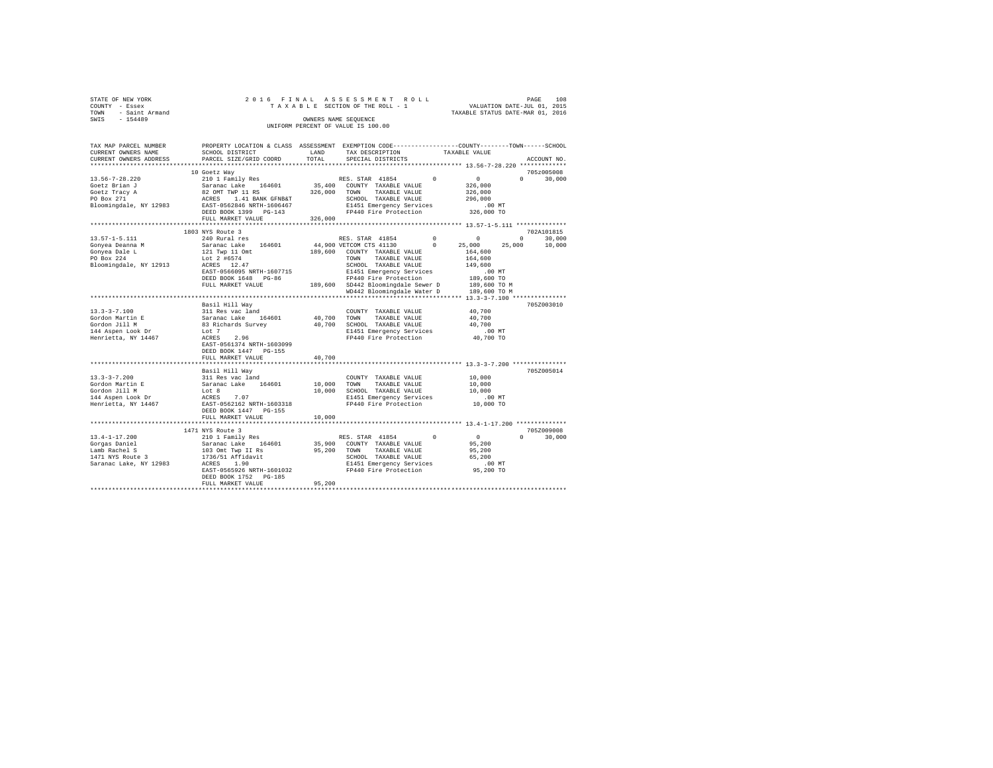|      | STATE OF NEW YORK |  |  |  |  | 2016 FINAL ASSESSMENT ROLL         |  |  |  |  | 108<br>PAGE                      |
|------|-------------------|--|--|--|--|------------------------------------|--|--|--|--|----------------------------------|
|      | COUNTY - Essex    |  |  |  |  | TAXABLE SECTION OF THE ROLL - 1    |  |  |  |  | VALUATION DATE-JUL 01, 2015      |
| TOWN | - Saint Armand    |  |  |  |  |                                    |  |  |  |  | TAXABLE STATUS DATE-MAR 01, 2016 |
| SWIS | $-154489$         |  |  |  |  | OWNERS NAME SEOUENCE               |  |  |  |  |                                  |
|      |                   |  |  |  |  | UNIFORM PERCENT OF VALUE IS 100.00 |  |  |  |  |                                  |

| SCHOOL DISTRICT<br>PARCEL SIZE/GRID COORD                                                                                                                                                            | LAND<br>TOTAL                                           | TAX DESCRIPTION<br>SPECIAL DISTRICTS                                                                  |                                                                                                                                               |                                                                                                                                                                                                                                                                                         | ACCOUNT NO.                                                                                                                                                                                                       |
|------------------------------------------------------------------------------------------------------------------------------------------------------------------------------------------------------|---------------------------------------------------------|-------------------------------------------------------------------------------------------------------|-----------------------------------------------------------------------------------------------------------------------------------------------|-----------------------------------------------------------------------------------------------------------------------------------------------------------------------------------------------------------------------------------------------------------------------------------------|-------------------------------------------------------------------------------------------------------------------------------------------------------------------------------------------------------------------|
|                                                                                                                                                                                                      | *********                                               |                                                                                                       |                                                                                                                                               |                                                                                                                                                                                                                                                                                         |                                                                                                                                                                                                                   |
| 10 Goetz Way<br>210 1 Family Res<br>Saranac Lake 164601<br>82 OMT TWP 11 RS<br>1.41 BANK GFNB&T<br>ACRES<br>EAST-0562846 NRTH-1606467<br>DEED BOOK 1399 PG-143<br>FULL MARKET VALUE                  | 326,000<br>326,000                                      | COUNTY TAXABLE VALUE<br>TAXABLE VALUE<br>TOWN<br>SCHOOL TAXABLE VALUE                                 | $\Omega$                                                                                                                                      | $\Omega$<br>326,000<br>326,000<br>296,000<br>$.00$ MT<br>326,000 TO                                                                                                                                                                                                                     | 705z005008<br>$\Omega$<br>30,000                                                                                                                                                                                  |
| **********************                                                                                                                                                                               |                                                         |                                                                                                       |                                                                                                                                               |                                                                                                                                                                                                                                                                                         |                                                                                                                                                                                                                   |
| 240 Rural res<br>Saranac Lake 164601<br>121 Twp 11 Omt<br>Lot 2 #6574<br>ACRES 12.47<br>EAST-0566095 NRTH-1607715<br>DEED BOOK 1648 PG-86<br>FULL MARKET VALUE                                       |                                                         | COUNTY TAXABLE VALUE<br>TAXABLE VALUE<br><b>TOWN</b><br>SCHOOL TAXABLE VALUE<br>FP440 Fire Protection | $^{\circ}$<br>$^{\circ}$                                                                                                                      | $\circ$<br>25,000<br>164,600<br>164,600<br>149,600<br>$.00$ MT<br>189,600 TO<br>189,600 TO M<br>189,600 TO M                                                                                                                                                                            | 702A101815<br>$\Omega$<br>30,000<br>10,000                                                                                                                                                                        |
|                                                                                                                                                                                                      |                                                         |                                                                                                       |                                                                                                                                               |                                                                                                                                                                                                                                                                                         | 705Z003010                                                                                                                                                                                                        |
| 311 Res vac land<br>Saranac Lake 164601<br>83 Richards Survey<br>Lot 7<br>ACRES<br>2.96<br>EAST-0561374 NRTH-1603099<br>DEED BOOK 1447 PG-155                                                        |                                                         | COUNTY TAXABLE VALUE<br>TOWN<br>TAXABLE VALUE<br>SCHOOL TAXABLE VALUE                                 |                                                                                                                                               | 40,700<br>40,700<br>40,700<br>.00MT<br>40,700 TO                                                                                                                                                                                                                                        |                                                                                                                                                                                                                   |
|                                                                                                                                                                                                      |                                                         |                                                                                                       |                                                                                                                                               |                                                                                                                                                                                                                                                                                         |                                                                                                                                                                                                                   |
| Basil Hill Way<br>311 Res vac land<br>Saranac Lake 164601<br>Lot 8<br>7.07<br>ACRES<br>EAST-0562162 NRTH-1603318<br>DEED BOOK 1447 PG-155                                                            | 10,000                                                  | COUNTY TAXABLE VALUE<br>TOWN<br>TAXABLE VALUE<br>SCHOOL TAXABLE VALUE<br>FP440 Fire Protection        |                                                                                                                                               | 10,000<br>10,000<br>10,000<br>$.00$ MT<br>10,000 TO                                                                                                                                                                                                                                     | 705Z005014                                                                                                                                                                                                        |
| FULL MARKET VALUE                                                                                                                                                                                    | 10,000                                                  |                                                                                                       |                                                                                                                                               |                                                                                                                                                                                                                                                                                         |                                                                                                                                                                                                                   |
| 1471 NYS Route 3<br>210 1 Family Res<br>Saranac Lake<br>164601<br>103 Omt Twp II Rs<br>1736/51 Affidavit<br>1.90<br>ACRES<br>EAST-0565926 NRTH-1601032<br>DEED BOOK 1752 PG-185<br>FULL MARKET VALUE | 95,200<br>95,200                                        | COUNTY TAXABLE VALUE<br>TOWN<br>TAXABLE VALUE<br>SCHOOL TAXABLE VALUE                                 | $\Omega$                                                                                                                                      | 0<br>95,200<br>95,200<br>65,200<br>.00 MT<br>95,200 TO                                                                                                                                                                                                                                  | 705Z009008<br>$\Omega$<br>30,000                                                                                                                                                                                  |
|                                                                                                                                                                                                      | 1803 NYS Route 3<br>Basil Hill Wav<br>FULL MARKET VALUE | 40.700                                                                                                | RES. STAR 41854<br>35,400<br>RES. STAR 41854<br>44,900 VETCOM CTS 41130<br>189,600<br>40,700<br>40,700<br>10,000<br>RES. STAR 41854<br>35,900 | E1451 Emergency Services<br>FP440 Fire Protection<br>E1451 Emergency Services<br>189,600 SD442 Bloomingdale Sewer D<br>WD442 Bloomingdale Water D<br>E1451 Emergency Services<br>FP440 Fire Protection<br>E1451 Emergency Services<br>E1451 Emergency Services<br>FP440 Fire Protection | PROPERTY LOCATION & CLASS ASSESSMENT EXEMPTION CODE---------------COUNTY-------TOWN-----SCHOOL<br>TAXABLE VALUE<br>************************* 13.56-7-28.220 *************<br>25,000<br>********* 13.4-1-17.200 ** |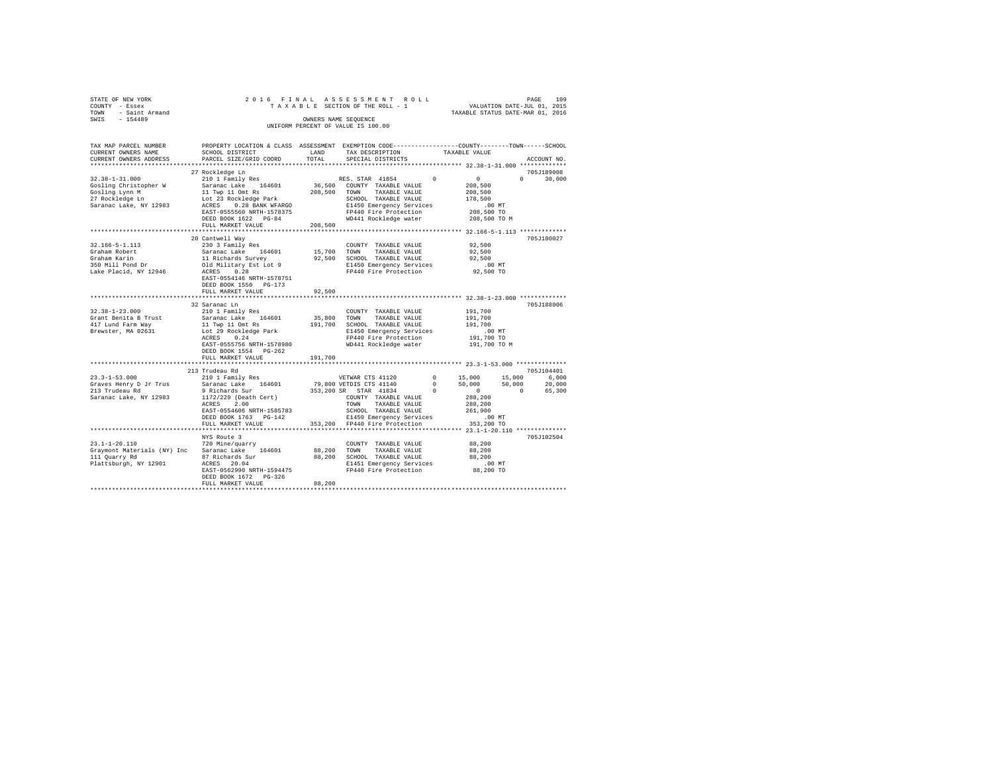|      | STATE OF NEW YORK      |                           |            | 2016 FINAL ASSESSMENT ROLL                                   |                                  | 109<br>PAGE                 |
|------|------------------------|---------------------------|------------|--------------------------------------------------------------|----------------------------------|-----------------------------|
|      | COUNTY - Essex         |                           |            | TAXABLE SECTION OF THE ROLL - 1                              |                                  | VALUATION DATE-JUL 01, 2015 |
| TOWN | - Saint Armand         |                           |            |                                                              | TAXABLE STATUS DATE-MAR 01, 2016 |                             |
| SWIS | $-154489$              |                           |            | OWNERS NAME SEQUENCE                                         |                                  |                             |
|      |                        |                           |            | UNIFORM PERCENT OF VALUE IS 100.00                           |                                  |                             |
|      |                        |                           |            |                                                              |                                  |                             |
|      |                        |                           |            |                                                              |                                  |                             |
|      | TAX MAP PARCEL NUMBER  | PROPERTY LOCATION & CLASS | ASSESSMENT | EXEMPTION CODE-----------------COUNTY-------TOWN------SCHOOL |                                  |                             |
|      | CURRENT OWNERS NAME    | SCHOOL DISTRICT           | LAND       | TAX DESCRIPTION                                              | TAXABLE VALUE                    |                             |
|      | CURRENT OWNERS ADDRESS | PARCEL SIZE/GRID COORD    | TOTAL      | SPECIAL DISTRICTS                                            |                                  | ACCOUNT NO.                 |
|      |                        |                           |            |                                                              |                                  | *************               |
|      |                        | 27 Rockledge Ln           |            |                                                              |                                  | 705J189008                  |
|      |                        |                           |            |                                                              |                                  |                             |
|      | $32.38 - 1 - 31.000$   | 210 1 Family Res          |            | RES. STAR 41854                                              | $^{\circ}$<br>$\Omega$           | 30,000<br>$\Omega$          |
|      | Gosling Christopher W  | 164601<br>Saranac Lake    | 36,500     | TAXABLE VALUE<br>COUNTY                                      | 208,500                          |                             |
|      | Gosling Lynn M         | 11 Twp 11 Omt Rs          | 208,500    | TOWN<br>TAXABLE VALUE                                        | 208,500                          |                             |

| 27 Rockledge Ln             | Lot 23 Rockledge Park     |             | SCHOOL TAXABLE VALUE          |          | 178,500      |          |            |
|-----------------------------|---------------------------|-------------|-------------------------------|----------|--------------|----------|------------|
| Saranac Lake, NY 12983      | ACRES<br>0.28 BANK WFARGO |             | E1450 Emergency Services      |          | $.00$ MT     |          |            |
|                             | EAST-0555560 NRTH-1578375 |             | FP440 Fire Protection         |          | 208,500 TO   |          |            |
|                             | DEED BOOK 1622 PG-84      |             | WD441 Rockledge water         |          | 208,500 TO M |          |            |
|                             | FULL MARKET VALUE         | 208,500     |                               |          |              |          |            |
|                             |                           |             |                               |          |              |          |            |
|                             | 20 Cantwell Way           |             |                               |          |              |          | 705J180027 |
| $32.166 - 5 - 1.113$        | 230 3 Family Res          |             | COUNTY TAXABLE VALUE          |          | 92,500       |          |            |
| Graham Robert               | Saranac Lake<br>164601    |             | 15,700 TOWN<br>TAXABLE VALUE  |          | 92,500       |          |            |
| Graham Karin                | 11 Richards Survey        |             | 92.500 SCHOOL TAXABLE VALUE   |          | 92,500       |          |            |
| 350 Mill Pond Dr            | Old Military Est Lot 9    |             | E1450 Emergency Services      |          | $.00$ MT     |          |            |
| Lake Placid, NY 12946       | ACRES<br>0.28             |             | FP440 Fire Protection         |          | 92,500 TO    |          |            |
|                             | EAST-0554146 NRTH-1578751 |             |                               |          |              |          |            |
|                             | DEED BOOK 1550 PG-173     |             |                               |          |              |          |            |
|                             | FULL MARKET VALUE         | 92,500      |                               |          |              |          |            |
|                             |                           |             |                               |          |              |          |            |
|                             | 32 Saranac Ln             |             |                               |          |              |          | 705J188006 |
| $32.38 - 1 - 23.000$        | 210 1 Family Res          |             | COUNTY TAXABLE VALUE          |          | 191,700      |          |            |
| Grant Benita B Trust        | Saranac Lake<br>164601    | 35,800 TOWN | TAXABLE VALUE                 |          | 191,700      |          |            |
| 417 Lund Farm Way           | 11 Twp 11 Omt Rs          |             | 191,700 SCHOOL TAXABLE VALUE  |          | 191,700      |          |            |
| Brewster, MA 02631          | Lot 29 Rockledge Park     |             | E1450 Emergency Services      |          | $.00$ MT     |          |            |
|                             | 0.24<br>ACRES             |             | FP440 Fire Protection         |          | 191,700 TO   |          |            |
|                             | EAST-0555756 NRTH-1578980 |             | WD441 Rockledge water         |          | 191,700 TO M |          |            |
|                             | DEED BOOK 1554 PG-262     |             |                               |          |              |          |            |
|                             | FULL MARKET VALUE         | 191,700     |                               |          |              |          |            |
|                             |                           |             |                               |          |              |          |            |
|                             | 213 Trudeau Rd            |             |                               |          |              |          | 705J104401 |
| $23.3 - 1 - 53.000$         | 210 1 Family Res          |             | VETWAR CTS 41120              | $\Omega$ | 15,000       | 15,000   | 6.000      |
| Graves Henry D Jr Trus      | Saranac Lake<br>164601    |             | 79,800 VETDIS CTS 41140       | $\Omega$ | 50,000       | 50,000   | 20,000     |
| 213 Trudeau Rd              | 9 Richards Sur            |             | 353,200 SR STAR 41834         |          | $\circ$      | $\Omega$ | 65,300     |
| Saranac Lake, NY 12983      | 1172/229 (Death Cert)     |             | COUNTY TAXABLE VALUE          |          | 288,200      |          |            |
|                             | ACRES<br>2.00             |             | TAXABLE VALUE<br>TOWN         |          | 288,200      |          |            |
|                             | EAST-0554606 NRTH-1585783 |             | SCHOOL TAXABLE VALUE          |          | 261,900      |          |            |
|                             | DEED BOOK 1763 PG-142     |             | E1450 Emergency Services      |          | .00MT        |          |            |
|                             | FULL MARKET VALUE         |             | 353,200 FP440 Fire Protection |          | 353,200 TO   |          |            |
|                             |                           |             |                               |          |              |          |            |
|                             | NYS Route 3               |             |                               |          |              |          | 705J102504 |
| $23.1 - 1 - 20.110$         | 720 Mine/guarry           |             | COUNTY TAXABLE VALUE          |          | 88,200       |          |            |
| Graymont Materials (NY) Inc | 164601<br>Saranac Lake    |             | 88,200 TOWN<br>TAXABLE VALUE  |          | 88,200       |          |            |
| 111 Quarry Rd               | 87 Richards Sur           | 88,200      | SCHOOL TAXABLE VALUE          |          | 88,200       |          |            |
| Plattsburgh, NY 12901       | ACRES 20.04               |             | E1451 Emergency Services      |          | .00MT        |          |            |
|                             | EAST-0562990 NRTH-1594475 |             | FP440 Fire Protection         |          | 88,200 TO    |          |            |
|                             | DEED BOOK 1672 PG-326     |             |                               |          |              |          |            |
|                             | FULL MARKET VALUE         | 88,200      |                               |          |              |          |            |
|                             |                           |             |                               |          |              |          |            |
|                             |                           |             |                               |          |              |          |            |
|                             |                           |             |                               |          |              |          |            |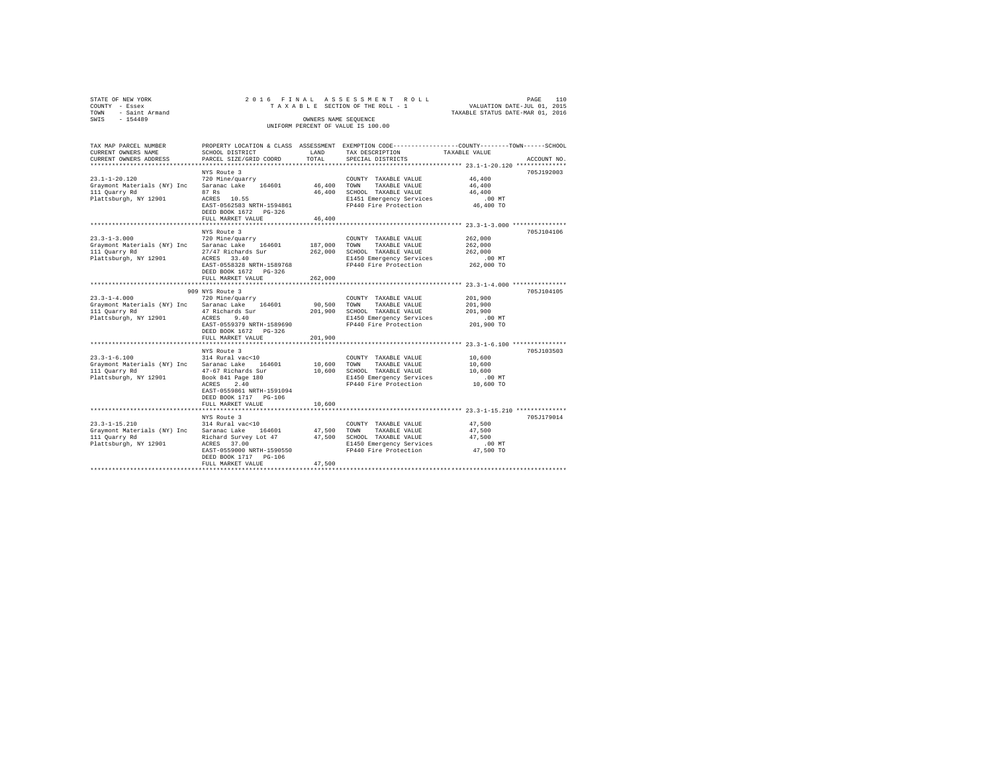|      | STATE OF NEW YORK     |                                                                                              |  |  |       |  |                                    | 2016 FINAL ASSESSMENT ROLL      |  |                                  |                             | PAGE | 110 |
|------|-----------------------|----------------------------------------------------------------------------------------------|--|--|-------|--|------------------------------------|---------------------------------|--|----------------------------------|-----------------------------|------|-----|
|      | COUNTY - Essex        |                                                                                              |  |  |       |  |                                    | TAXABLE SECTION OF THE ROLL - 1 |  |                                  | VALUATION DATE-JUL 01, 2015 |      |     |
|      | TOWN - Saint Armand   |                                                                                              |  |  |       |  |                                    |                                 |  | TAXABLE STATUS DATE-MAR 01, 2016 |                             |      |     |
| SWIS | $-154489$             |                                                                                              |  |  |       |  | OWNERS NAME SEOUENCE               |                                 |  |                                  |                             |      |     |
|      |                       |                                                                                              |  |  |       |  | UNIFORM PERCENT OF VALUE IS 100.00 |                                 |  |                                  |                             |      |     |
|      |                       |                                                                                              |  |  |       |  |                                    |                                 |  |                                  |                             |      |     |
|      |                       |                                                                                              |  |  |       |  |                                    |                                 |  |                                  |                             |      |     |
|      | TAX MAP PARCEL NUMBER | PROPERTY LOCATION & CLASS ASSESSMENT EXEMPTION CODE--------------COUNTY------TOWN-----SCHOOL |  |  |       |  |                                    |                                 |  |                                  |                             |      |     |
|      | CURRENT OWNERS NAME   | SCHOOL DISTRICT                                                                              |  |  | LAND. |  |                                    | TAY DESCRIPTION                 |  | TAXARLE VALUE                    |                             |      |     |

| TAX MAP PARCEL NUMBER                    |                                                 |             | PROPERTY LOCATION & CLASS ASSESSMENT EXEMPTION CODE---------------COUNTY-------TOWN------SCHOOL |               |             |
|------------------------------------------|-------------------------------------------------|-------------|-------------------------------------------------------------------------------------------------|---------------|-------------|
| CURRENT OWNERS NAME                      | SCHOOL DISTRICT                                 | LAND        | TAX DESCRIPTION                                                                                 | TAXABLE VALUE |             |
| CURRENT OWNERS ADDRESS                   | PARCEL SIZE/GRID COORD                          | TOTAL       | SPECIAL DISTRICTS                                                                               |               | ACCOUNT NO. |
|                                          | NYS Route 3                                     |             |                                                                                                 |               | 705J192003  |
| $23.1 - 1 - 20.120$                      | 720 Mine/quarry                                 |             | COUNTY TAXABLE VALUE                                                                            | 46,400        |             |
| Graymont Materials (NY) Inc              | Saranac Lake 164601                             | 46,400 TOWN | TAXABLE VALUE                                                                                   | 46,400        |             |
| 111 Quarry Rd                            | 87 Rs                                           | 46,400      | SCHOOL TAXABLE VALUE                                                                            | 46,400        |             |
| Plattsburgh, NY 12901                    | ACRES 10.55                                     |             | E1451 Emergency Services                                                                        | $.00$ MT      |             |
|                                          | EAST-0562583 NRTH-1594861                       |             | FP440 Fire Protection                                                                           | 46,400 TO     |             |
|                                          | DEED BOOK 1672 PG-326                           |             |                                                                                                 |               |             |
|                                          | FULL MARKET VALUE                               | 46,400      |                                                                                                 |               |             |
|                                          |                                                 |             | ********************************* 23.3-1-3.000 ****************                                 |               |             |
|                                          | NYS Route 3                                     |             |                                                                                                 |               | 705J104106  |
| $23.3 - 1 - 3.000$                       | 720 Mine/quarry                                 |             | COUNTY TAXABLE VALUE                                                                            | 262,000       |             |
| Graymont Materials (NY) Inc              | 164601<br>Saranac Lake                          | 187,000     | TAXABLE VALUE<br>TOWN                                                                           | 262,000       |             |
| 111 Quarry Rd                            | 27/47 Richards Sur                              | 262,000     | SCHOOL TAXABLE VALUE                                                                            | 262,000       |             |
| Plattsburgh, NY 12901                    | ACRES 33.40                                     |             | E1450 Emergency Services                                                                        | .00 MT        |             |
|                                          | EAST-0558328 NRTH-1589768                       |             | FP440 Fire Protection                                                                           | 262,000 TO    |             |
|                                          | DEED BOOK 1672 PG-326                           |             |                                                                                                 |               |             |
|                                          | FULL MARKET VALUE                               | 262,000     |                                                                                                 |               |             |
|                                          |                                                 |             |                                                                                                 |               |             |
|                                          | 909 NYS Route 3                                 |             |                                                                                                 |               | 705J104105  |
| $23.3 - 1 - 4.000$                       | 720 Mine/quarry                                 |             | COUNTY TAXABLE VALUE                                                                            | 201,900       |             |
| Graymont Materials (NY) Inc Saranac Lake | 164601                                          | 90,500 TOWN | TAXABLE VALUE                                                                                   | 201,900       |             |
| 111 Quarry Rd                            | 47 Richards Sur                                 |             | 201,900 SCHOOL TAXABLE VALUE                                                                    | 201,900       |             |
| Plattsburgh, NY 12901                    | 9.40<br>ACRES                                   |             | E1450 Emergency Services                                                                        | $.00$ MT      |             |
|                                          | EAST-0559379 NRTH-1589690                       |             | FP440 Fire Protection                                                                           | 201,900 TO    |             |
|                                          | DEED BOOK 1672 PG-326                           |             |                                                                                                 |               |             |
|                                          | FULL MARKET VALUE                               | 201,900     |                                                                                                 |               |             |
|                                          |                                                 |             |                                                                                                 |               |             |
|                                          | NYS Route 3                                     |             |                                                                                                 |               | 705J103503  |
| $23.3 - 1 - 6.100$                       | 314 Rural vac<10                                |             | COUNTY TAXABLE VALUE                                                                            | 10,600        |             |
|                                          | Graymont Materials (NY) Inc Saranac Lake 164601 | 10,600 TOWN | TAXABLE VALUE                                                                                   | 10,600        |             |
| 111 Quarry Rd                            | 47-67 Richards Sur                              | 10,600      | SCHOOL TAXABLE VALUE                                                                            | 10,600        |             |
| Plattsburgh, NY 12901                    | Book 841 Page 180                               |             | E1450 Emergency Services                                                                        | .00 MT        |             |
|                                          | ACRES<br>2.40                                   |             | FP440 Fire Protection                                                                           | 10,600 TO     |             |
|                                          | EAST-0559861 NRTH-1591094                       |             |                                                                                                 |               |             |
|                                          | DEED BOOK 1717 PG-106                           |             |                                                                                                 |               |             |
|                                          | FULL MARKET VALUE                               | 10,600      |                                                                                                 |               |             |
|                                          |                                                 |             |                                                                                                 |               |             |
|                                          | NYS Route 3                                     |             |                                                                                                 |               | 705J179014  |
| $23.3 - 1 - 15.210$                      | 314 Rural vac<10                                |             | COUNTY TAXABLE VALUE                                                                            | 47.500        |             |
| Graymont Materials (NY) Inc              | Saranac Lake<br>164601                          | 47,500      | TOWN<br>TAXABLE VALUE                                                                           | 47,500        |             |
| 111 Quarry Rd                            | Richard Survey Lot 47                           | 47,500      | SCHOOL TAXABLE VALUE                                                                            | 47,500        |             |
| Plattsburgh, NY 12901                    | ACRES 37.00                                     |             | E1450 Emergency Services                                                                        | $.00$ MT      |             |
|                                          | EAST-0559000 NRTH-1590550                       |             | FP440 Fire Protection                                                                           | 47,500 TO     |             |
|                                          | DEED BOOK 1717 PG-106                           |             |                                                                                                 |               |             |
|                                          | FULL MARKET VALUE                               | 47,500      |                                                                                                 |               |             |
|                                          | ******************************                  |             |                                                                                                 |               |             |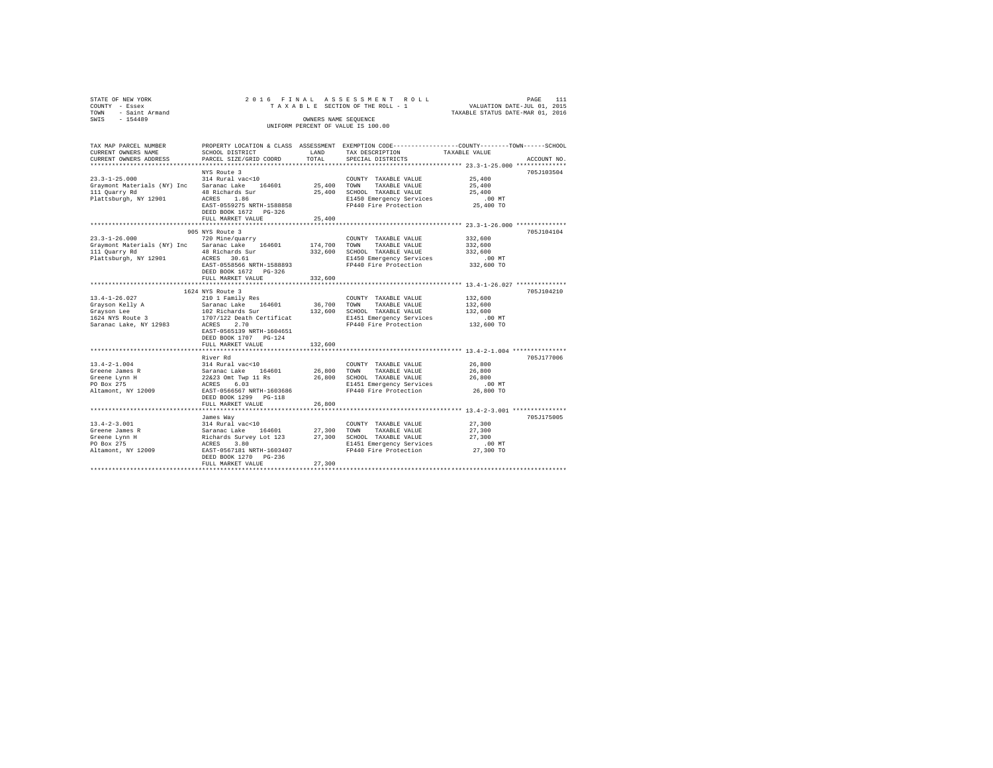| STATE OF NEW YORK<br>COUNTY<br>- Essex<br>- Saint Armand<br>TOWN<br>$-154489$<br>SWIS        | 2016 FINAL                                                                                                                                                            | OWNERS NAME SEQUENCE        | ASSESSMENT ROLL<br>TAXABLE SECTION OF THE ROLL - 1<br>UNIFORM PERCENT OF VALUE IS 100.00                                         | 111<br>PAGE<br>VALUATION DATE-JUL 01, 2015<br>TAXABLE STATUS DATE-MAR 01, 2016                                 |  |
|----------------------------------------------------------------------------------------------|-----------------------------------------------------------------------------------------------------------------------------------------------------------------------|-----------------------------|----------------------------------------------------------------------------------------------------------------------------------|----------------------------------------------------------------------------------------------------------------|--|
| TAX MAP PARCEL NUMBER<br>CURRENT OWNERS NAME<br>CURRENT OWNERS ADDRESS                       | PROPERTY LOCATION & CLASS<br>SCHOOL DISTRICT<br>PARCEL SIZE/GRID COORD                                                                                                | ASSESSMENT<br>LAND<br>TOTAL | TAX DESCRIPTION<br>SPECIAL DISTRICTS                                                                                             | EXEMPTION CODE-----------------COUNTY-------TOWN------SCHOOL<br>TAXABLE VALUE<br>ACCOUNT NO.<br>************** |  |
| $23.3 - 1 - 25.000$<br>Graymont Materials (NY) Inc<br>111 Quarry Rd<br>Plattsburgh, NY 12901 | NYS Route 3<br>314 Rural vac<10<br>Saranac Lake 164601<br>48 Richards Sur<br>1.86<br>ACRES<br>EAST-0559275 NRTH-1588858<br>DEED BOOK 1672 PG-326<br>FULL MARKET VALUE | 25,400<br>25,400<br>25,400  | COUNTY<br>TAXABLE VALUE<br>TOWN<br>TAXABLE VALUE<br>SCHOOL<br>TAXABLE VALUE<br>E1450 Emergency Services<br>FP440 Fire Protection | 705J103504<br>25,400<br>25,400<br>25,400<br>$.00$ MT<br>25,400 TO                                              |  |

|                        | FULL MARKET VALUE                                       | 25,400        |                                  |            |            |
|------------------------|---------------------------------------------------------|---------------|----------------------------------|------------|------------|
|                        |                                                         |               |                                  |            |            |
|                        | 905 NYS Route 3                                         |               |                                  |            | 705J104104 |
| $23.3 - 1 - 26.000$    | 720 Mine/quarry                                         |               | COUNTY TAXABLE VALUE             | 332,600    |            |
|                        | Graymont Materials (NY) Inc Saranac Lake 164601 174,700 |               | TOWN<br>TAXABLE VALUE            | 332,600    |            |
| 111 Ouarry Rd          | 48 Richards Sur                                         | 332,600       | SCHOOL TAXABLE VALUE             | 332,600    |            |
| Plattsburgh, NY 12901  | ACRES 30.61                                             |               | E1450 Emergency Services         | .00MT      |            |
|                        | EAST-0558566 NRTH-1588893                               |               | FP440 Fire Protection            | 332,600 TO |            |
|                        | DEED BOOK 1672 PG-326                                   |               |                                  |            |            |
|                        | FULL MARKET VALUE                                       | 332,600       |                                  |            |            |
|                        |                                                         |               |                                  |            |            |
|                        | 1624 NYS Route 3                                        |               |                                  |            | 705J104210 |
| $13.4 - 1 - 26.027$    | 210 1 Family Res                                        |               | COUNTY TAXABLE VALUE             | 132,600    |            |
|                        | Grayson Kelly A . Saranac Lake 164601 36,700            |               | TOWN<br>TAXABLE VALUE            | 132,600    |            |
| Grayson Lee            | 102 Richards Sur                                        | 132,600       | SCHOOL TAXABLE VALUE             | 132,600    |            |
|                        | 1624 NYS Route 3 1707/122 Death Certificat              |               | E1451 Emergency Services         | .00MT      |            |
| Saranac Lake, NY 12983 | ACRES<br>2.70                                           |               | FP440 Fire Protection 132,600 TO |            |            |
|                        | EAST-0565139 NRTH-1604651                               |               |                                  |            |            |
|                        | DEED BOOK 1707 PG-124                                   |               |                                  |            |            |
|                        | FULL MARKET VALUE                                       | 132,600       |                                  |            |            |
|                        |                                                         |               |                                  |            |            |
|                        | River Rd                                                |               |                                  |            | 705J177006 |
| $13.4 - 2 - 1.004$     | 314 Rural vac<10                                        |               | COUNTY TAXABLE VALUE             | 26,800     |            |
| Greene James R         | Saranac Lake 1646<br>22&23 Omt Twp 11 Rs<br>164601      | 26,800        | TOWN<br>TAXABLE VALUE            | 26,800     |            |
| Greene Lynn H          |                                                         | 26,800        | SCHOOL TAXABLE VALUE             | 26,800     |            |
| PO Box 275             | ACRES 6.03<br>EAST-0566567 NRTH-1603686                 |               | E1451 Emergency Services         | .00MT      |            |
| Altamont, NY 12009     |                                                         |               | FP440 Fire Protection            | 26,800 TO  |            |
|                        | DEED BOOK 1299 PG-118<br>FULL MARKET VALUE              |               |                                  |            |            |
|                        |                                                         | 26,800        |                                  |            |            |
|                        |                                                         |               |                                  |            | 705J175005 |
| $13.4 - 2 - 3.001$     | James Way<br>314 Rural vac<10                           |               | COUNTY TAXABLE VALUE             | 27,300     |            |
| Greene James R         | Saranac Lake                                            | 164601 27,300 | TOWN<br>TAXABLE VALUE            | 27,300     |            |
| Greene Lynn H          | Richards Survey Lot 123 27,300                          |               | SCHOOL TAXABLE VALUE             | 27,300     |            |
| PO Box 275             | ACRES<br>3.80                                           |               | E1451 Emergency Services         | $.00$ MT   |            |
| Altamont, NY 12009     | EAST-0567181 NRTH-1603407                               |               | FP440 Fire Protection 27,300 TO  |            |            |
|                        | DEED BOOK 1270 PG-236                                   |               |                                  |            |            |
|                        | FULL MARKET VALUE                                       | 27,300        |                                  |            |            |
|                        |                                                         |               |                                  |            |            |
|                        |                                                         |               |                                  |            |            |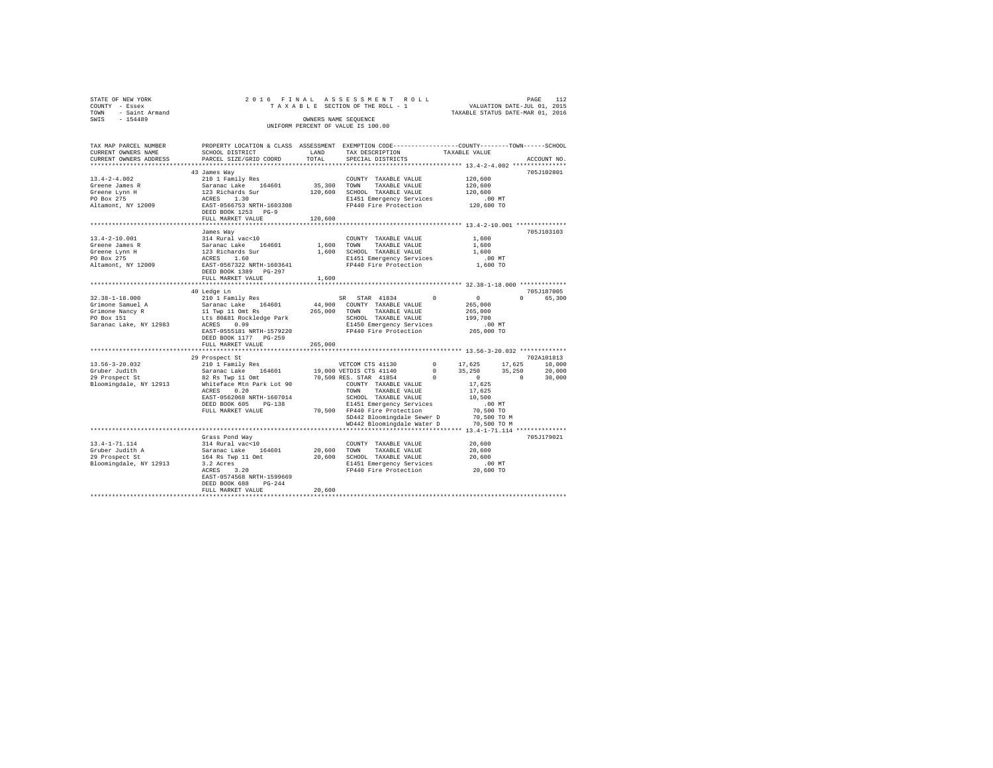| STATE OF NEW YORK<br>COUNTY - Essex<br>TOWN - Saint Armand<br>SWIS - 154489                         |                                                                                                                                                                                                       | OWNERS NAME SEOUENCE         | 2016 FINAL ASSESSMENT ROLL<br>TAXABLE SECTION OF THE ROLL - 1<br>UNIFORM PERCENT OF VALUE IS 100.00                                                                                                                                                                                                                              |                                    | VALUATION DATE-JUL 01, 2015<br>TAXABLE STATUS DATE-MAR 01, 2016                                                | PAGE                         | 112                                      |
|-----------------------------------------------------------------------------------------------------|-------------------------------------------------------------------------------------------------------------------------------------------------------------------------------------------------------|------------------------------|----------------------------------------------------------------------------------------------------------------------------------------------------------------------------------------------------------------------------------------------------------------------------------------------------------------------------------|------------------------------------|----------------------------------------------------------------------------------------------------------------|------------------------------|------------------------------------------|
| TAX MAP PARCEL NUMBER<br>CURRENT OWNERS NAME<br>CURRENT OWNERS ADDRESS                              | PROPERTY LOCATION & CLASS ASSESSMENT EXEMPTION CODE---------------COUNTY-------TOWN------SCHOOL<br>SCHOOL DISTRICT<br>PARCEL SIZE/GRID COORD                                                          | LAND<br>TOTAL                | TAX DESCRIPTION<br>SPECIAL DISTRICTS                                                                                                                                                                                                                                                                                             |                                    | TAXABLE VALUE                                                                                                  |                              | ACCOUNT NO.                              |
| $13.4 - 2 - 4.002$<br>Greene James R<br>Greene Lynn H<br>PO Box 275<br>Altamont, NY 12009           | 43 James Way<br>210 1 Family Res<br>Saranac Lake 164601<br>123 Richards Sur<br>ACRES 1.30<br>EAST-0566753 NRTH-1603308<br>DEED BOOK 1253 PG-9<br>FULL MARKET VALUE                                    | 120,600<br>120,600           | COUNTY TAXABLE VALUE<br>35,300 TOWN TAXABLE VALUE<br>SCHOOL TAXABLE VALUE<br>E1451 Emergency Services<br>FP440 Fire Protection                                                                                                                                                                                                   |                                    | 120,600<br>120,600<br>120,600<br>$.00$ MT<br>120,600 TO                                                        |                              | 705J102801                               |
| $13.4 - 2 - 10.001$<br>Greene James R<br>Greene Lynn H<br>PO Box 275<br>Altamont, NY 12009          | James Way<br>314 Rural vac<10<br>Saranac Lake 164601<br>123 Richards Sur<br>ACRES 1.60<br>EAST-0567322 NRTH-1603641<br>DEED BOOK 1389 PG-297<br>FULL MARKET VALUE                                     | 1,600 TOWN<br>1,600<br>1,600 | COUNTY TAXABLE VALUE<br>TAXABLE VALUE<br>SCHOOL TAXABLE VALUE<br>E1451 Emergency Services<br>FP440 Fire Protection                                                                                                                                                                                                               |                                    | 1,600<br>1,600<br>1.600<br>$.00$ MT<br>1,600 TO                                                                |                              | 705J103103                               |
| $32.38 - 1 - 18.000$<br>Grimone Samuel A<br>Grimone Nancy R<br>PO Box 151<br>Saranac Lake, NY 12983 | 40 Ledge Ln<br>210 1 Family Res<br>Saranac Lake 164601<br>11 Twp 11 Omt Rs<br>Lts 80&81 Rockledge Park<br>ACRES 0.99<br>EAST-0555181 NRTH-1579220<br>DEED BOOK 1177 PG-259<br>FULL MARKET VALUE       | 44,900<br>265,000<br>265,000 | SR STAR 41834<br>COUNTY TAXABLE VALUE<br>TOWN TAXABLE VALUE<br>SCHOOL TAXABLE VALUE<br>E1450 Emergency Services<br>FP440 Fire Protection                                                                                                                                                                                         | $\Omega$                           | $\sim$<br>265,000<br>265,000<br>199,700<br>$.00$ MT<br>265,000 TO                                              | $\cap$                       | 705.T187005<br>65,300                    |
| $13.56 - 3 - 20.032$<br>Gruber Judith<br>29 Prospect St<br>Bloomingdale, NY 12913                   | 29 Prospect St<br>210 1 Family Res<br>Saranac Lake 164601<br>82 Rs Twp 11 Omt<br>Whiteface Mtn Park Lot 90<br>ACRES<br>0.20<br>EAST-0562068 NRTH-1607014<br>DEED BOOK 605 PG-138<br>FULL MARKET VALUE |                              | VETCOM CTS 41130<br>19,000 VETDIS CTS 41140<br>70,500 RES. STAR 41854<br>COUNTY TAXABLE VALUE<br>TOWN<br>TAXABLE VALUE<br>SCHOOL TAXABLE VALUE<br>E1451 Emergency Services<br>70.500 FP440 Fire Protection<br>SD442 Bloomingdale Sewer D<br>WD442 Bloomingdale Water D<br>************************* 13.4-1-71.114 ************** | $\Omega$<br>$^{\circ}$<br>$\Omega$ | 17,625<br>35,250<br>$\sim$ 0<br>17.625<br>17.625<br>10,500<br>.00MT<br>70,500 TO<br>70,500 TO M<br>70,500 TO M | 17,625<br>35,250<br>$\Omega$ | 702A101813<br>10,000<br>20,000<br>30,000 |
|                                                                                                     | Grass Pond Way                                                                                                                                                                                        |                              |                                                                                                                                                                                                                                                                                                                                  |                                    |                                                                                                                |                              | 705.T179021                              |

13.4-1-71.114  $14$  Saranac Lake 164601 20,600 TOUNTY TAXABLE VALUE 20,600<br>Gruber Judith A Saranac Lake 164601 20,600 TOWN TAXABLE VALUE 20,600<br>29 Prospect St 164 Rs Twp 11 Omt 20,600 SCHOOL TAXABLE VALUE 20,600<br>Bloomingda

EAST-0574568 NRTH-1599669 DEED BOOK 688 PG-244 FULL MARKET VALUE 20,600 \*\*\*\*\*\*\*\*\*\*\*\*\*\*\*\*\*\*\*\*\*\*\*\*\*\*\*\*\*\*\*\*\*\*\*\*\*\*\*\*\*\*\*\*\*\*\*\*\*\*\*\*\*\*\*\*\*\*\*\*\*\*\*\*\*\*\*\*\*\*\*\*\*\*\*\*\*\*\*\*\*\*\*\*\*\*\*\*\*\*\*\*\*\*\*\*\*\*\*\*\*\*\*\*\*\*\*\*\*\*\*\*\*\*\*\*\*\*\*\*\*\*\*\*\*\*\*\*\*\*\*\*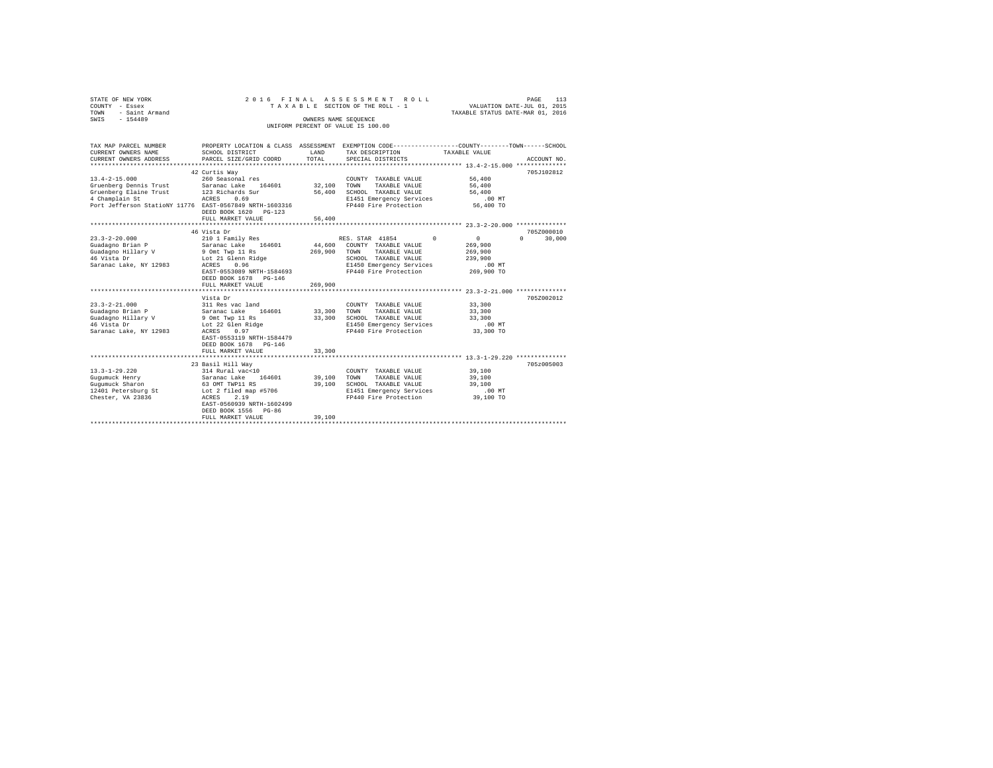| STATE OF NEW YORK<br>COUNTY - Essex                                                   | 2016 FINAL                            |                      | ASSESSMENT ROLL<br>TAXABLE SECTION OF THE ROLL - 1                                              | VALUATION DATE-JUL 01, 2015      | 113<br>PAGE        |
|---------------------------------------------------------------------------------------|---------------------------------------|----------------------|-------------------------------------------------------------------------------------------------|----------------------------------|--------------------|
| TOWN<br>- Saint Armand                                                                |                                       |                      |                                                                                                 | TAXABLE STATUS DATE-MAR 01, 2016 |                    |
| SWIS - 154489                                                                         |                                       | OWNERS NAME SEQUENCE |                                                                                                 |                                  |                    |
|                                                                                       |                                       |                      | UNIFORM PERCENT OF VALUE IS 100.00                                                              |                                  |                    |
|                                                                                       |                                       |                      |                                                                                                 |                                  |                    |
|                                                                                       |                                       |                      |                                                                                                 |                                  |                    |
| TAX MAP PARCEL NUMBER                                                                 |                                       |                      | PROPERTY LOCATION & CLASS ASSESSMENT EXEMPTION CODE---------------COUNTY-------TOWN------SCHOOL |                                  |                    |
| CURRENT OWNERS NAME                                                                   | SCHOOL DISTRICT                       | LAND                 | TAX DESCRIPTION                                                                                 | TAXABLE VALUE                    |                    |
| CURRENT OWNERS ADDRESS                                                                | PARCEL SIZE/GRID COORD                | TOTAL                | SPECIAL DISTRICTS                                                                               |                                  | ACCOUNT NO.        |
|                                                                                       |                                       |                      |                                                                                                 |                                  |                    |
| $13.4 - 2 - 15.000$                                                                   | 42 Curtis Way<br>260 Seasonal res     |                      |                                                                                                 | 56,400                           | 705J102812         |
|                                                                                       |                                       | 32,100               | COUNTY TAXABLE VALUE                                                                            | 56,400                           |                    |
| Gruenberg Dennis Trust Saranac Lake 164601<br>Gruenberg Elaine Trust 123 Richards Sur |                                       | 56,400               | TOWN<br>TAXABLE VALUE<br>SCHOOL TAXABLE VALUE                                                   | 56,400                           |                    |
| 4 Champlain St                                                                        | ACRES 0.69                            |                      | E1451 Emergency Services                                                                        | $.00$ MT                         |                    |
| Port Jefferson StatioNY 11776 EAST-0567849 NRTH-1603316                               |                                       |                      | FP440 Fire Protection                                                                           | 56,400 TO                        |                    |
|                                                                                       | DEED BOOK 1620 PG-123                 |                      |                                                                                                 |                                  |                    |
|                                                                                       | FULL MARKET VALUE                     | 56,400               |                                                                                                 |                                  |                    |
|                                                                                       |                                       |                      |                                                                                                 |                                  |                    |
|                                                                                       | 46 Vista Dr                           |                      |                                                                                                 |                                  | 705Z000010         |
| $23.3 - 2 - 20.000$                                                                   | 210 1 Family Res                      |                      | RES. STAR 41854<br>$\Omega$                                                                     | 0                                | $\Omega$<br>30,000 |
| Guadagno Brian P                                                                      | Saranac Lake 164601                   |                      | 44,600 COUNTY TAXABLE VALUE                                                                     | 269,900                          |                    |
|                                                                                       | 9 Omt Twp 11 Rs                       | 269,900              | TOWN<br>TAXABLE VALUE                                                                           | 269,900                          |                    |
| Guadagno Hillary V<br>46 Vista Dr                                                     | Lot 21 Glenn Ridge                    |                      | SCHOOL TAXABLE VALUE                                                                            | 239,900                          |                    |
| Saranac Lake, NY 12983                                                                | 0.96<br>ACRES                         |                      | E1450 Emergency Services                                                                        | $.00$ MT                         |                    |
|                                                                                       | EAST-0553089 NRTH-1584693             |                      | FP440 Fire Protection                                                                           | 269,900 TO                       |                    |
|                                                                                       | DEED BOOK 1678 PG-146                 |                      |                                                                                                 |                                  |                    |
|                                                                                       | FULL MARKET VALUE                     | 269,900              |                                                                                                 |                                  |                    |
|                                                                                       |                                       |                      |                                                                                                 |                                  |                    |
|                                                                                       | Vista Dr                              |                      |                                                                                                 |                                  | 705Z002012         |
| $23.3 - 2 - 21.000$                                                                   | 311 Res vac land                      |                      | COUNTY TAXABLE VALUE                                                                            | 33,300                           |                    |
| Guadagno Brian P                                                                      | Saranac Lake 164601                   | 33,300               | TOWN<br>TAXABLE VALUE                                                                           | 33,300                           |                    |
| Guadagno Hillary V                                                                    | 9 Omt Twp 11 Rs                       | 33,300               | SCHOOL TAXABLE VALUE                                                                            | 33,300                           |                    |
| 46 Vista Dr                                                                           | Lot 22 Glen Ridge                     |                      | E1450 Emergency Services                                                                        | $.00$ MT                         |                    |
| Saranac Lake, NY 12983                                                                | ACRES 0.97                            |                      | FP440 Fire Protection                                                                           | 33,300 TO                        |                    |
|                                                                                       | EAST-0553119 NRTH-1584479             |                      |                                                                                                 |                                  |                    |
|                                                                                       | DEED BOOK 1678 PG-146                 |                      |                                                                                                 |                                  |                    |
|                                                                                       | FULL MARKET VALUE                     | 33,300               |                                                                                                 |                                  |                    |
|                                                                                       |                                       |                      |                                                                                                 |                                  |                    |
| $13.3 - 1 - 29.220$                                                                   | 23 Basil Hill Way<br>314 Rural vac<10 |                      |                                                                                                 |                                  | 705z005003         |
|                                                                                       | Saranac Lake 164601                   |                      | COUNTY TAXABLE VALUE<br>TAXABLE VALUE                                                           | 39,100                           |                    |
| Gugumuck Henry                                                                        | 63 OMT TWP11 RS                       | 39,100<br>39,100     | TOWN<br>SCHOOL TAXABLE VALUE                                                                    | 39,100<br>39,100                 |                    |
| Gugumuck Sharon<br>12401 Petersburg St                                                | Lot 2 filed map #5706                 |                      | E1451 Emergency Services                                                                        | .00MT                            |                    |
| Chester, VA 23836                                                                     | ACRES<br>2.19                         |                      | FP440 Fire Protection                                                                           | 39,100 TO                        |                    |
|                                                                                       | EAST-0560939 NRTH-1602499             |                      |                                                                                                 |                                  |                    |
|                                                                                       | DEED BOOK 1556 PG-86                  |                      |                                                                                                 |                                  |                    |
|                                                                                       | FULL MARKET VALUE                     | 39,100               |                                                                                                 |                                  |                    |
|                                                                                       |                                       |                      |                                                                                                 |                                  |                    |
|                                                                                       |                                       |                      |                                                                                                 |                                  |                    |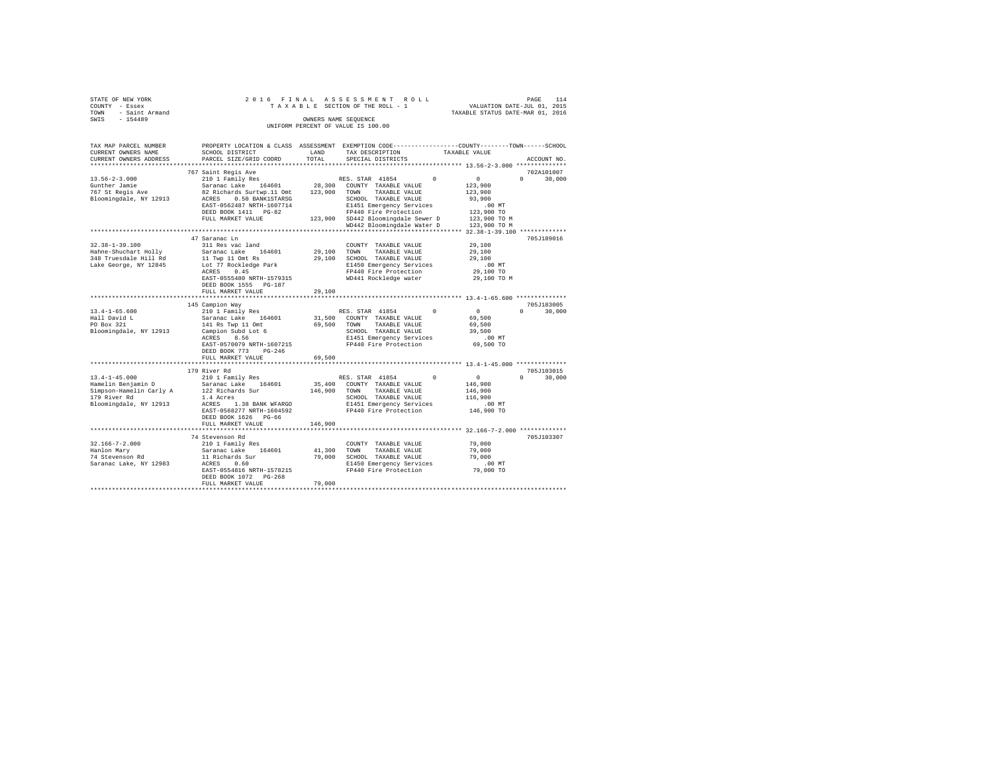| STATE OF NEW YORK            |                                                                                                                                                                                                                                     |              |                                                                                                                                                        |                      |                    |
|------------------------------|-------------------------------------------------------------------------------------------------------------------------------------------------------------------------------------------------------------------------------------|--------------|--------------------------------------------------------------------------------------------------------------------------------------------------------|----------------------|--------------------|
| COUNTY - Essex               |                                                                                                                                                                                                                                     |              |                                                                                                                                                        |                      |                    |
| TOWN - Saint Armand          |                                                                                                                                                                                                                                     |              | PAGE 114 A S S E S S M E N T R O L L PROE 114<br>T A X A B L E SECTION OF THE ROLL - 1 VALUATION DATE-JUL 01, 2015<br>TAXABLE STATUS DATE-MAR 01, 2016 |                      |                    |
| $-154489$<br>SWIS            |                                                                                                                                                                                                                                     |              | OWNERS NAME SEOUENCE                                                                                                                                   |                      |                    |
|                              |                                                                                                                                                                                                                                     |              | UNIFORM PERCENT OF VALUE IS 100.00                                                                                                                     |                      |                    |
|                              |                                                                                                                                                                                                                                     |              |                                                                                                                                                        |                      |                    |
|                              |                                                                                                                                                                                                                                     |              |                                                                                                                                                        |                      |                    |
| TAX MAP PARCEL NUMBER        | PROPERTY LOCATION & CLASS ASSESSMENT EXEMPTION CODE---------------COUNTY-------TOWN------SCHOOL                                                                                                                                     |              |                                                                                                                                                        |                      |                    |
| CURRENT OWNERS NAME          | SCHOOL DISTRICT                                                                                                                                                                                                                     | LAND         | TAX DESCRIPTION                                                                                                                                        | TAXABLE VALUE        |                    |
| CURRENT OWNERS ADDRESS       | PARCEL SIZE/GRID COORD                                                                                                                                                                                                              | TOTAL        | SPECIAL DISTRICTS                                                                                                                                      |                      | ACCOUNT NO.        |
|                              |                                                                                                                                                                                                                                     |              |                                                                                                                                                        |                      |                    |
|                              | 767 Saint Regis Ave                                                                                                                                                                                                                 |              |                                                                                                                                                        |                      | 702A101007         |
| $13.56 - 2 - 3.000$          | 210 1 Family Res                                                                                                                                                                                                                    |              | RES. STAR 41854                                                                                                                                        | $\sim$ 0<br>$\Omega$ | $\Omega$<br>30,000 |
| Gunther Jamie                | Saranac Lake 164601                                                                                                                                                                                                                 |              | 28,300 COUNTY TAXABLE VALUE                                                                                                                            | 123,900              |                    |
| 767 St Regis Ave             | 82 Richards Surtwp.11 Omt 123,900 TOWN TAXABLE VALUE                                                                                                                                                                                |              |                                                                                                                                                        | 123,900              |                    |
| Bloomingdale, NY 12913       |                                                                                                                                                                                                                                     |              |                                                                                                                                                        | 93,900               |                    |
|                              | % Richards out the top of SCHOOL TAXABLE VALUE<br>RAST-0562487 NRTH-1607714<br>EAST-0562487 NRTH-1607714<br>PRESENT TO THE Protection CONTRESS PRESENT TO THE PROTECTION<br>PRESENT TO THE PRESENT OF THE PRESENT OF THE PROTECTION |              |                                                                                                                                                        | .00MT                |                    |
|                              |                                                                                                                                                                                                                                     |              |                                                                                                                                                        | 123,900 TO           |                    |
|                              | FULL MARKET VALUE                                                                                                                                                                                                                   |              | 123,900 SD442 Bloomingdale Sewer D                                                                                                                     | 123,900 TO M         |                    |
|                              |                                                                                                                                                                                                                                     |              | WD442 Bloomingdale Water D 123,900 TO M                                                                                                                |                      |                    |
|                              |                                                                                                                                                                                                                                     |              |                                                                                                                                                        |                      |                    |
|                              | 47 Saranac Ln                                                                                                                                                                                                                       |              |                                                                                                                                                        |                      | 705J189016         |
| $32.38 - 1 - 39.100$         | 311 Res vac land                                                                                                                                                                                                                    |              | COUNTY TAXABLE VALUE                                                                                                                                   | 29,100               |                    |
| Hahne-Shuchart Holly         | Saranac Lake 164601                                                                                                                                                                                                                 | 29,100       | TOWN<br>TAXABLE VALUE                                                                                                                                  | 29,100               |                    |
| 348 Truesdale Hill Rd        | 11 Twp 11 Omt Rs                                                                                                                                                                                                                    |              | 29,100 SCHOOL TAXABLE VALUE                                                                                                                            | 29,100               |                    |
| Lake George, NY 12845        | Lot 77 Rockledge Park                                                                                                                                                                                                               |              | E1450 Emergency Services                                                                                                                               | $.00$ MT             |                    |
|                              | ACRES 0.45                                                                                                                                                                                                                          |              | FP440 Fire Protection                                                                                                                                  | 29,100 TO            |                    |
|                              | EAST-0555480 NRTH-1579315                                                                                                                                                                                                           |              | WD441 Rockledge water                                                                                                                                  | 29,100 TO M          |                    |
|                              | DEED BOOK 1555 PG-187                                                                                                                                                                                                               |              |                                                                                                                                                        |                      |                    |
|                              | FULL MARKET VALUE                                                                                                                                                                                                                   | 29,100       |                                                                                                                                                        |                      |                    |
|                              |                                                                                                                                                                                                                                     |              |                                                                                                                                                        |                      |                    |
|                              | 145 Campion Way                                                                                                                                                                                                                     |              |                                                                                                                                                        |                      | 705J183005         |
| $13.4 - 1 - 65.600$          | 210 1 Family Res                                                                                                                                                                                                                    |              | RES. STAR 41854                                                                                                                                        | $\Omega$<br>$\sim$ 0 | $\Omega$<br>30,000 |
| $13.4 - 1$ .<br>Hall David L | Saranac Lake 164601                                                                                                                                                                                                                 |              | 31,500 COUNTY TAXABLE VALUE                                                                                                                            | 69,500               |                    |
|                              | 141 Rs Twp 11 Omt                                                                                                                                                                                                                   | 69,500 TOWN  | TAXABLE VALUE                                                                                                                                          | 69,500               |                    |
| Bloomingdale, NY 12913       | Campion Subd Lot 6                                                                                                                                                                                                                  |              | SCHOOL TAXABLE VALUE                                                                                                                                   | 39,500               |                    |
|                              | ACRES 8.56                                                                                                                                                                                                                          |              | E1451 Emergency Services                                                                                                                               | .00MT                |                    |
|                              | EAST-0570079 NRTH-1607215                                                                                                                                                                                                           |              | FP440 Fire Protection                                                                                                                                  | 69,500 TO            |                    |
|                              | DEED BOOK 773 PG-246                                                                                                                                                                                                                |              |                                                                                                                                                        |                      |                    |
|                              | FULL MARKET VALUE                                                                                                                                                                                                                   | 69,500       |                                                                                                                                                        |                      |                    |
|                              |                                                                                                                                                                                                                                     |              |                                                                                                                                                        |                      |                    |
|                              | 179 River Rd                                                                                                                                                                                                                        |              |                                                                                                                                                        |                      | 705J103015         |
| $13.4 - 1 - 45.000$          | 210 1 Family Res                                                                                                                                                                                                                    |              | RES. STAR 41854                                                                                                                                        | $\sim$ 0<br>$\Omega$ | $0 \t 30,000$      |
| Hamelin Benjamin D           | Saranac Lake 164601                                                                                                                                                                                                                 | 35,400       | COUNTY TAXABLE VALUE                                                                                                                                   | 146,900              |                    |
| Simpson-Hamelin Carly A      | 122 Richards Sur                                                                                                                                                                                                                    | 146,900 TOWN | TAXABLE VALUE                                                                                                                                          | 146,900              |                    |
| 179 River Rd                 | 1.4 Acres                                                                                                                                                                                                                           |              | SCHOOL TAXABLE VALUE                                                                                                                                   | 116,900              |                    |
| Bloomingdale, NY 12913       | ACRES 1.38 BANK WFARGO                                                                                                                                                                                                              |              |                                                                                                                                                        | $.00$ MT             |                    |
|                              | EAST-0568277 NRTH-1604592                                                                                                                                                                                                           |              | E1451 Emergency Services<br>FP440 Fire Protection                                                                                                      | 146,900 TO           |                    |
|                              | DEED BOOK 1626 PG-66                                                                                                                                                                                                                |              |                                                                                                                                                        |                      |                    |
|                              | FULL MARKET VALUE                                                                                                                                                                                                                   | 146,900      |                                                                                                                                                        |                      |                    |
|                              |                                                                                                                                                                                                                                     |              |                                                                                                                                                        |                      |                    |
|                              | 74 Stevenson Rd                                                                                                                                                                                                                     |              |                                                                                                                                                        |                      | 705J103307         |
| $32.166 - 7 - 2.000$         |                                                                                                                                                                                                                                     |              |                                                                                                                                                        | 79,000               |                    |
| Hanlon Mary                  | 210 1 Family Res<br>Saranac Lake 164601                                                                                                                                                                                             | 41,300 TOWN  | COUNTY TAXABLE VALUE<br>TAXABLE VALUE                                                                                                                  | 79,000               |                    |
| 74 Stevenson Rd              | 11 Richards Sur                                                                                                                                                                                                                     |              | 79,000 SCHOOL TAXABLE VALUE                                                                                                                            | 79,000               |                    |
| Saranac Lake, NY 12983       | ACRES 0.60                                                                                                                                                                                                                          |              | E1450 Emergency Services                                                                                                                               | $.00$ MT             |                    |
|                              | EAST-0554816 NRTH-1578215                                                                                                                                                                                                           |              | FP440 Fire Protection                                                                                                                                  | 79,000 TO            |                    |
|                              | DEED BOOK 1072 PG-268                                                                                                                                                                                                               |              |                                                                                                                                                        |                      |                    |
|                              | FULL MARKET VALUE                                                                                                                                                                                                                   | 79,000       |                                                                                                                                                        |                      |                    |
|                              |                                                                                                                                                                                                                                     |              |                                                                                                                                                        |                      |                    |
|                              |                                                                                                                                                                                                                                     |              |                                                                                                                                                        |                      |                    |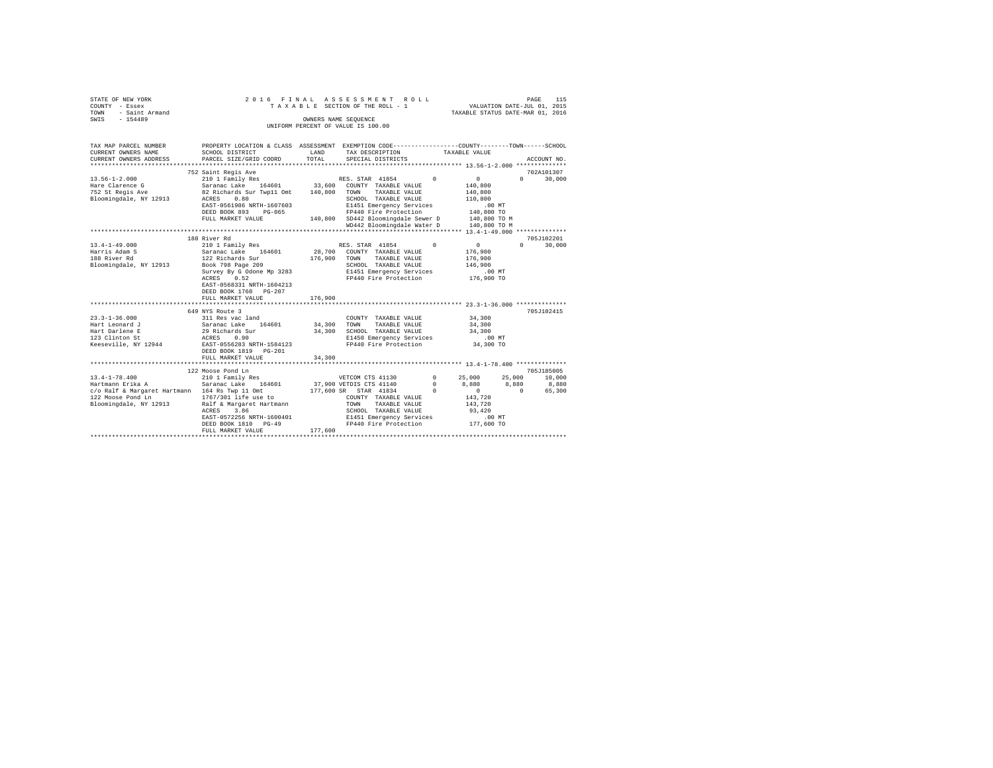| STATE OF NEW YORK<br>COUNTY - Essex<br>- Essex<br>- Saint Armand<br>TOWN<br>SWIS - 154489                                                                                           |                                                                                                                                                                                                                                                                                                                                                                                           |                                                       | 2016 FINAL ASSESSMENT ROLL<br>TAXABLE SECTION OF THE ROLL - 1<br>OWNERS NAME SEQUENCE<br>UNIFORM PERCENT OF VALUE IS 100.00                                                                                                                                                        | VALUATION DATE-JUL 01, 2015<br>TAXABLE STATUS DATE-MAR 01, 2016                                                                        | PAGE<br>115                                              |
|-------------------------------------------------------------------------------------------------------------------------------------------------------------------------------------|-------------------------------------------------------------------------------------------------------------------------------------------------------------------------------------------------------------------------------------------------------------------------------------------------------------------------------------------------------------------------------------------|-------------------------------------------------------|------------------------------------------------------------------------------------------------------------------------------------------------------------------------------------------------------------------------------------------------------------------------------------|----------------------------------------------------------------------------------------------------------------------------------------|----------------------------------------------------------|
|                                                                                                                                                                                     |                                                                                                                                                                                                                                                                                                                                                                                           |                                                       |                                                                                                                                                                                                                                                                                    |                                                                                                                                        |                                                          |
| TAX MAP PARCEL NUMBER<br>CURRENT OWNERS NAME<br>CURRENT OWNERS ADDRESS                                                                                                              | PROPERTY LOCATION & CLASS ASSESSMENT EXEMPTION CODE---------------COUNTY-------TOWN-----SCHOOL<br>SCHOOL DISTRICT<br>PARCEL SIZE/GRID COORD                                                                                                                                                                                                                                               | LAND<br>TOTAL                                         | TAX DESCRIPTION<br>SPECIAL DISTRICTS                                                                                                                                                                                                                                               | TAXABLE VALUE                                                                                                                          | ACCOUNT NO.                                              |
|                                                                                                                                                                                     |                                                                                                                                                                                                                                                                                                                                                                                           |                                                       |                                                                                                                                                                                                                                                                                    |                                                                                                                                        |                                                          |
|                                                                                                                                                                                     | 752 Saint Regis Ave                                                                                                                                                                                                                                                                                                                                                                       |                                                       |                                                                                                                                                                                                                                                                                    | $\Omega$<br>$\Omega$                                                                                                                   | 702A101307<br>$\Omega$                                   |
| $13.56 - 1 - 2.000$<br>Hare Clarence G<br>752 St Regis Ave<br>Bloomingdale, NY 12913                                                                                                | 210 1 Family Res<br>Saranac Lake 164601 33,600 COUNTY TAXABLE VALUE<br>82 Richards Sur Twp11 Omt 140,800<br>ACRES<br>0.80<br>EAST-0561986 NRTH-1607603<br>DEED BOOK 893 PG-065<br>FULL MARKET VALUE                                                                                                                                                                                       |                                                       | RES. STAR 41854<br>TOWN<br>TAXABLE VALUE<br>SCHOOL TAXABLE VALUE<br>E1451 Emergency Services<br>FP440 Fire Protection<br>140,800 SD442 Bloomingdale Sewer D<br>WD442 Bloomingdale Water D                                                                                          | 140,800<br>140,800<br>110,800<br>$.00$ MT<br>140,800 TO<br>140,800 TO M<br>140,800 TO M                                                | 30,000                                                   |
|                                                                                                                                                                                     |                                                                                                                                                                                                                                                                                                                                                                                           |                                                       |                                                                                                                                                                                                                                                                                    |                                                                                                                                        |                                                          |
|                                                                                                                                                                                     | 188 River Rd                                                                                                                                                                                                                                                                                                                                                                              |                                                       |                                                                                                                                                                                                                                                                                    |                                                                                                                                        | 705J102201                                               |
| $13.4 - 1 - 49.000$<br>Harris Adam S<br>188 River Rd<br>Bloomingdale, NY 12913<br>$23.3 - 1 - 36.000$<br>Hart Leonard J<br>Hart Darlene E<br>123 Clinton St<br>Keeseville, NY 12944 | 210 1 Family Res<br>Saranac Lake 164601<br>122 Richards Sur<br>Book 798 Page 209<br>Survey By G Odone Mp 3283<br>ACRES 0.52<br>EAST-0568331 NRTH-1604213<br>DEED BOOK 1760 PG-207<br>FULL MARKET VALUE<br>**************************<br>649 NYS Route 3<br>311 Res vac land<br>Saranac Lake 164601<br>29 Richards Sur<br>ACRES 0.90<br>EAST-0556283 NRTH-1584123<br>DEED BOOK 1819 PG-201 | 176,900<br>176,900<br>***********<br>34,300<br>34,300 | RES. STAR 41854<br>28,700 COUNTY TAXABLE VALUE<br>TAXABLE VALUE<br>TOWN<br>SCHOOL TAXABLE VALUE<br>E1451 Emergency Services<br>FP440 Fire Protection<br>COUNTY TAXABLE VALUE<br>TAXABLE VALUE<br>TOWN<br>SCHOOL TAXABLE VALUE<br>E1450 Emergency Services<br>FP440 Fire Protection | $\Omega$<br>$\sim$ 0<br>176,900<br>176,900<br>146,900<br>$.00$ MT<br>176,900 TO<br>34,300<br>34,300<br>34,300<br>$.00$ MT<br>34,300 TO | $\Omega$<br>30,000<br>705J102415                         |
|                                                                                                                                                                                     | FULL MARKET VALUE                                                                                                                                                                                                                                                                                                                                                                         | 34,300                                                |                                                                                                                                                                                                                                                                                    |                                                                                                                                        |                                                          |
|                                                                                                                                                                                     | 122 Moose Pond Ln                                                                                                                                                                                                                                                                                                                                                                         |                                                       |                                                                                                                                                                                                                                                                                    |                                                                                                                                        | 705J185005                                               |
| $13.4 - 1 - 78.400$<br>Hartmann Erika A<br>c/o Ralf & Margaret Hartmann 164 Rs Twp 11 Omt<br>122 Moose Pond Ln<br>Bloomingdale, NY 12913                                            | 210 1 Family Res<br>Saranac Lake 164601<br>1767/301 life use to<br>Ralf & Margaret Hartmann<br>ACRES<br>3.86<br>EAST-0572256 NRTH-1600401<br>DEED BOOK 1810 PG-49<br>FULL MARKET VALUE                                                                                                                                                                                                    | 177,600                                               | VETCOM CTS 41130<br>37,900 VETDIS CTS 41140<br>$\sim$ 0<br>177,600 SR STAR 41834<br>COUNTY TAXABLE VALUE<br>TAXABLE VALUE<br>TOWN<br>SCHOOL TAXABLE VALUE<br>E1451 Emergency Services<br>FP440 Fire Protection                                                                     | 25,000<br>$^{\circ}$<br>8,880<br>$^{\circ}$<br>$\sim$ 0<br>143,720<br>143,720<br>93,420<br>$.00$ MT<br>177,600 TO                      | 25,000<br>10,000<br>8,880<br>8,880<br>$\sim$ 0<br>65,300 |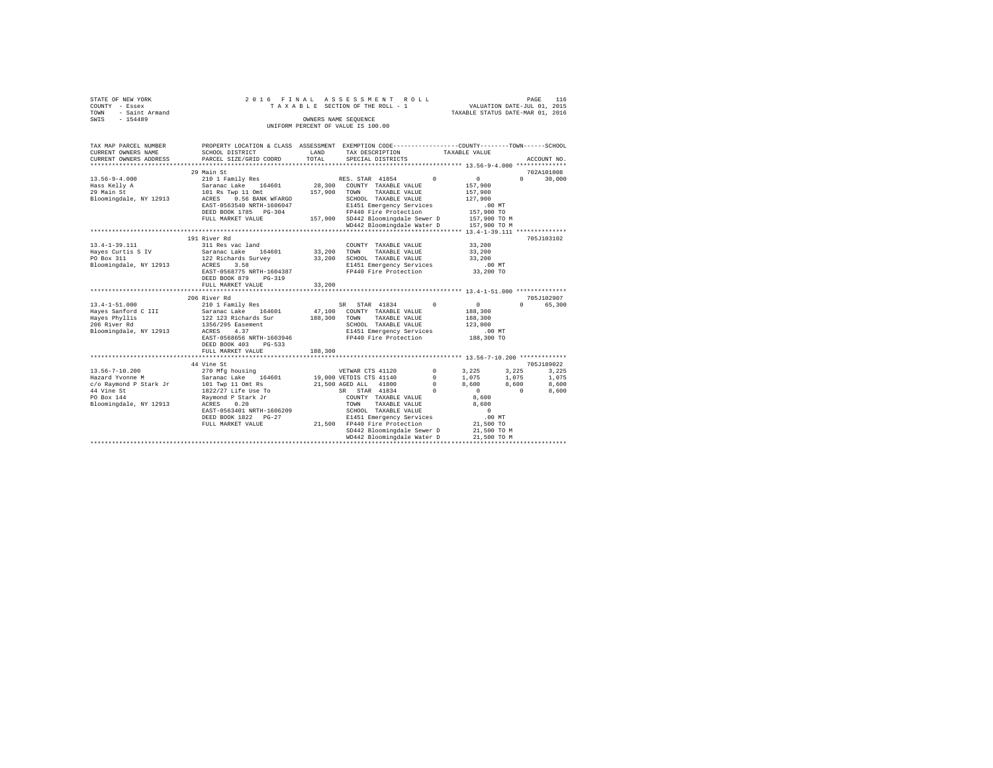| STATE OF NEW YORK |                | 2016 FINAL ASSESSMENT ROLL |  |  |  |                                    |  |  |  |  |  | 116<br>PAGE                      |  |
|-------------------|----------------|----------------------------|--|--|--|------------------------------------|--|--|--|--|--|----------------------------------|--|
| COUNTY - Essex    |                |                            |  |  |  | TAXABLE SECTION OF THE ROLL - 1    |  |  |  |  |  | VALUATION DATE-JUL 01, 2015      |  |
| TOWN              | - Saint Armand |                            |  |  |  |                                    |  |  |  |  |  | TAXABLE STATUS DATE-MAR 01, 2016 |  |
| SWIS              | $-154489$      |                            |  |  |  | OWNERS NAME SEOUENCE               |  |  |  |  |  |                                  |  |
|                   |                |                            |  |  |  | UNIFORM PERCENT OF VALUE IS 100.00 |  |  |  |  |  |                                  |  |

| TAX MAP PARCEL NUMBER<br>CURRENT OWNERS NAME<br>CURRENT OWNERS ADDRESS                                                  | PROPERTY LOCATION & CLASS ASSESSMENT EXEMPTION CODE---------------COUNTY-------TOWN-----SCHOOL<br>SCHOOL DISTRICT<br>PARCEL SIZE/GRID COORD                                                                       | LAND<br>TOTAL              | TAX DESCRIPTION<br>SPECIAL DISTRICTS                                                                                                                                                                                                                                                   | TAXABLE VALUE                                                                                                                                                                     | ACCOUNT NO.                                                                           |
|-------------------------------------------------------------------------------------------------------------------------|-------------------------------------------------------------------------------------------------------------------------------------------------------------------------------------------------------------------|----------------------------|----------------------------------------------------------------------------------------------------------------------------------------------------------------------------------------------------------------------------------------------------------------------------------------|-----------------------------------------------------------------------------------------------------------------------------------------------------------------------------------|---------------------------------------------------------------------------------------|
|                                                                                                                         |                                                                                                                                                                                                                   |                            |                                                                                                                                                                                                                                                                                        |                                                                                                                                                                                   |                                                                                       |
| $13.56 - 9 - 4.000$<br>Hass Kelly A<br>29 Main St<br>Bloomingdale, NY 12913                                             | 29 Main St<br>210 1 Family Res<br>Saranac Lake 164601<br>101 Rs Twp 11 Omt<br>ACRES<br>0.56 BANK WFARGO<br>EAST-0563540 NRTH-1606047<br>DEED BOOK 1785 PG-304<br>FULL MARKET VALUE                                | 28,300<br>157,900          | RES. STAR 41854<br>COUNTY TAXABLE VALUE<br>TOWN<br>TAXABLE VALUE<br>SCHOOL TAXABLE VALUE<br>E1451 Emergency Services<br>FP440 Fire Protection<br>157,900 SD442 Bloomingdale Sewer D<br>WD442 Bloomingdale Water D                                                                      | $\Omega$<br>$\mathbf{0}$<br>157,900<br>157,900<br>127,900<br>.00MT<br>157,900 TO<br>157,900 TO M<br>157,900 TO M                                                                  | 702A101008<br>$\Omega$<br>30,000                                                      |
|                                                                                                                         | 191 River Rd                                                                                                                                                                                                      |                            |                                                                                                                                                                                                                                                                                        |                                                                                                                                                                                   | 705J103102                                                                            |
| $13.4 - 1 - 39.111$<br>Hayes Curtis S IV<br>PO Box 311<br>Bloomingdale, NY 12913                                        | 311 Res vac land<br>164601<br>Saranac Lake 164601<br>122 Richards Survey<br>ACRES<br>3.58<br>EAST-0568775 NRTH-1604387<br>DEED BOOK 879<br>$PG-319$<br>FULL MARKET VALUE                                          | 33,200<br>33,200<br>33,200 | COUNTY TAXABLE VALUE<br>TAXABLE VALUE<br>TOWN<br>SCHOOL TAXABLE VALUE<br>E1451 Emergency Services<br>FP440 Fire Protection                                                                                                                                                             | 33,200<br>33,200<br>33,200<br>$.00$ MT<br>33,200 TO                                                                                                                               |                                                                                       |
|                                                                                                                         | 206 River Rd                                                                                                                                                                                                      |                            |                                                                                                                                                                                                                                                                                        |                                                                                                                                                                                   | 705J102907                                                                            |
| $13.4 - 1 - 51.000$<br>Haves Sanford C III<br>Haves Phyllis<br>206 River Rd<br>Bloomingdale, NY 12913                   | 210 1 Family Res<br>Saranac Lake 164601<br>122 123 Richards Sur<br>1356/295 Easement<br>ACRES<br>4.37<br>EAST-0568656 NRTH-1603946<br>DEED BOOK 403<br>$PG-533$<br>FULL MARKET VALUE                              | 188,300<br>188,300         | SR STAR 41834<br>47,100 COUNTY TAXABLE VALUE<br>TOWN<br>TAXABLE VALUE<br>SCHOOL TAXABLE VALUE<br>E1451 Emergency Services<br>FP440 Fire Protection                                                                                                                                     | $^{\circ}$<br>$\overline{0}$<br>188,300<br>188,300<br>123,000<br>$.00$ MT<br>188,300 TO                                                                                           | 65,300<br>$\Omega$                                                                    |
|                                                                                                                         |                                                                                                                                                                                                                   |                            |                                                                                                                                                                                                                                                                                        |                                                                                                                                                                                   |                                                                                       |
| $13.56 - 7 - 10.200$<br>Hazard Yvonne M<br>c/o Raymond P Stark Jr<br>44 Vine St<br>PO Box 144<br>Bloomingdale, NY 12913 | 44 Vine St<br>270 Mfg housing<br>Saranac Lake 164601<br>101 Twp 11 Omt Rs<br>1822/27 Life Use To<br>Ravmond P Stark Jr<br>ACRES<br>0.20<br>EAST-0563401 NRTH-1606209<br>DEED BOOK 1822 PG-27<br>FULL MARKET VALUE |                            | VETWAR CTS 41120<br>19,000 VETDIS CTS 41140<br>21,500 AGED ALL 41800<br>SR STAR 41834<br>COUNTY TAXABLE VALUE<br>TAXABLE VALUE<br>TOWN<br>SCHOOL TAXABLE VALUE<br>E1451 Emergency Services<br>21,500 FP440 Fire Protection<br>SD442 Bloomingdale Sewer D<br>WD442 Bloomingdale Water D | $^{\circ}$<br>3,225<br>1,075<br>$^{\circ}$<br>8,600<br>$^{\circ}$<br>$\Omega$<br>$\sim$ 0<br>8,600<br>8,600<br>$\overline{0}$<br>.00MT<br>21,500 TO<br>21,500 TO M<br>21,500 TO M | 705J189022<br>3.225<br>3,225<br>1,075<br>1,075<br>8,600<br>8,600<br>$\sim$ 0<br>8,600 |
|                                                                                                                         |                                                                                                                                                                                                                   |                            |                                                                                                                                                                                                                                                                                        |                                                                                                                                                                                   |                                                                                       |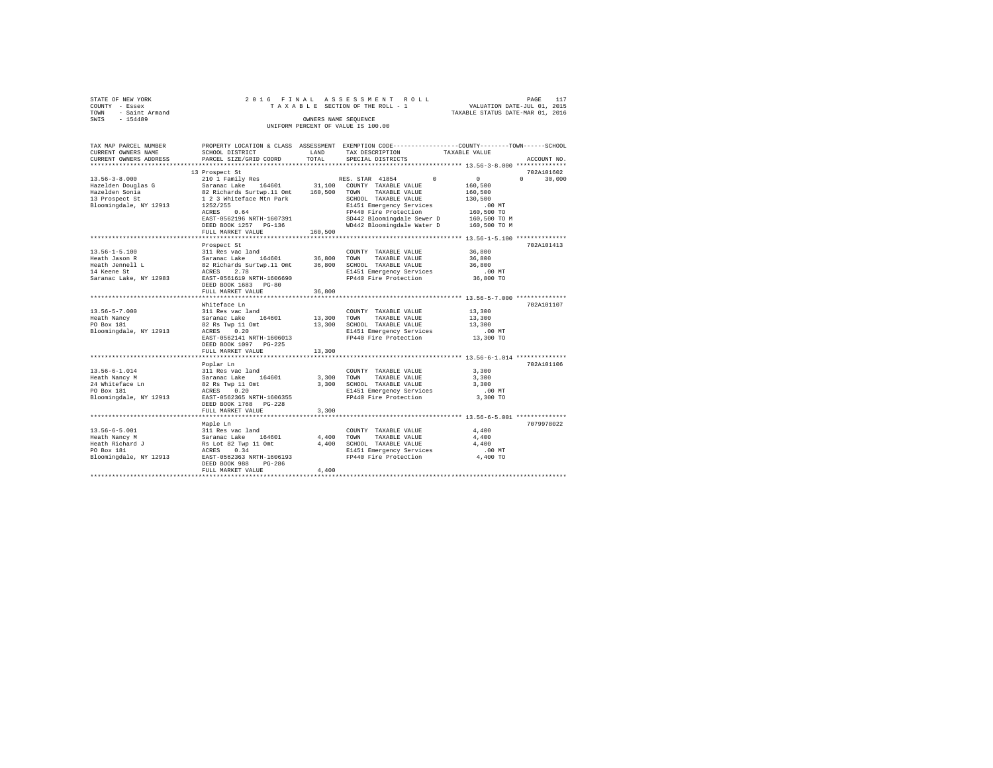|                | STATE OF NEW YORK                  |  |  |  |  |  |  |  | 2016 FINAL ASSESSMENT ROLL      |  |  |  |  |  |  |                                  |  | PAGE | 117 |
|----------------|------------------------------------|--|--|--|--|--|--|--|---------------------------------|--|--|--|--|--|--|----------------------------------|--|------|-----|
| COUNTY - Essex |                                    |  |  |  |  |  |  |  | TAXABLE SECTION OF THE ROLL - 1 |  |  |  |  |  |  | VALUATION DATE-JUL 01, 2015      |  |      |     |
|                | TOWN - Saint Armand                |  |  |  |  |  |  |  |                                 |  |  |  |  |  |  | TAXABLE STATUS DATE-MAR 01, 2016 |  |      |     |
| SWIS           | $-154489$                          |  |  |  |  |  |  |  | OWNERS NAME SEOUENCE            |  |  |  |  |  |  |                                  |  |      |     |
|                | UNIFORM PERCENT OF VALUE IS 100.00 |  |  |  |  |  |  |  |                                 |  |  |  |  |  |  |                                  |  |      |     |

| TAX MAP PARCEL NUMBER<br>CURRENT OWNERS NAME                                                    | SCHOOL DISTRICT                                                                                                                  | LAND              | PROPERTY LOCATION & CLASS ASSESSMENT EXEMPTION CODE----------------COUNTY-------TOWN------SCHOOL<br>TAX DESCRIPTION | TAXABLE VALUE                                          |                    |
|-------------------------------------------------------------------------------------------------|----------------------------------------------------------------------------------------------------------------------------------|-------------------|---------------------------------------------------------------------------------------------------------------------|--------------------------------------------------------|--------------------|
| CURRENT OWNERS ADDRESS                                                                          | PARCEL SIZE/GRID COORD                                                                                                           | TOTAL             | SPECIAL DISTRICTS                                                                                                   |                                                        | ACCOUNT NO.        |
|                                                                                                 | 13 Prospect St                                                                                                                   |                   |                                                                                                                     |                                                        | 702A101602         |
| $13.56 - 3 - 8.000$<br>Hazelden Douglas G<br>Hazelden Sonia<br>Hazelden Sonia<br>13 Prospect St | 210 1 Family Res<br>Saranac Lake 164601<br>82 Richards Surtwp.11 Omt                                                             | 31,100<br>160,500 | RES. STAR 41854<br>$^{\circ}$<br>COUNTY TAXABLE VALUE<br>TAXABLE VALUE<br>TOWN<br>SCHOOL TAXABLE VALUE              | 0<br>160,500<br>160,500<br>130,500                     | $\Omega$<br>30,000 |
| Bloomingdale, NY 12913                                                                          | 1 2 3 Whiteface Mtn Park<br>1252/255<br>ACRES<br>0.64<br>EAST-0562196 NRTH-1607391<br>DEED BOOK 1257 PG-136<br>FULL MARKET VALUE | 160,500           | E1451 Emergency Services<br>FP440 Fire Protection<br>SD442 Bloomingdale Sewer D<br>WD442 Bloomingdale Water D       | $.00$ MT<br>160,500 TO<br>160,500 TO M<br>160,500 TO M |                    |
|                                                                                                 |                                                                                                                                  |                   |                                                                                                                     |                                                        |                    |
| $13.56 - 1 - 5.100$                                                                             | Prospect St<br>311 Res vac land                                                                                                  |                   | COUNTY TAXABLE VALUE                                                                                                | 36,800                                                 | 702A101413         |
| Heath Jason R                                                                                   | Saranac Lake 164601                                                                                                              | 36,800 TOWN       | TAXABLE VALUE                                                                                                       | 36,800                                                 |                    |
| Heath Jennell L                                                                                 | 82 Richards Surtwp.11 Omt                                                                                                        | 36,800            | SCHOOL TAXABLE VALUE                                                                                                | 36,800                                                 |                    |
| 14 Keene St<br>Saranac Lake, NY 12983                                                           | ACRES<br>2.78<br>EAST-0561619 NRTH-1606690<br>DEED BOOK 1683 PG-80                                                               |                   | E1451 Emergency Services<br>FP440 Fire Protection                                                                   | $.00$ MT<br>36,800 TO                                  |                    |
|                                                                                                 | FULL MARKET VALUE                                                                                                                | 36,800            |                                                                                                                     |                                                        |                    |
|                                                                                                 |                                                                                                                                  |                   |                                                                                                                     |                                                        |                    |
|                                                                                                 | Whiteface Ln                                                                                                                     |                   |                                                                                                                     |                                                        | 702A101107         |
| $13.56 - 5 - 7.000$                                                                             | 311 Res vac land                                                                                                                 |                   | COUNTY TAXABLE VALUE                                                                                                | 13,300                                                 |                    |
| Heath Nancy                                                                                     | Saranac Lake<br>164601                                                                                                           | 13,300 TOWN       | TAXABLE VALUE                                                                                                       | 13,300                                                 |                    |
| PO Box 181                                                                                      | 82 Rs Twp 11 Omt                                                                                                                 | 13,300            | SCHOOL TAXABLE VALUE                                                                                                | 13,300                                                 |                    |
| Bloomingdale, NY 12913                                                                          | ACRES 0.20                                                                                                                       |                   | E1451 Emergency Services                                                                                            | $.00$ MT                                               |                    |
|                                                                                                 | EAST-0562141 NRTH-1606013<br>DEED BOOK 1097 PG-225                                                                               |                   | FP440 Fire Protection                                                                                               | 13,300 TO                                              |                    |
|                                                                                                 | FULL MARKET VALUE                                                                                                                | 13,300            |                                                                                                                     |                                                        |                    |
| 13.56-6-1.014                                                                                   | Poplar Ln                                                                                                                        |                   |                                                                                                                     | 3,300                                                  | 702A101106         |
| Heath Nancy M                                                                                   | 311 Res vac land<br>Saranac Lake<br>164601                                                                                       | 3,300             | COUNTY TAXABLE VALUE<br>TOWN<br>TAXABLE VALUE                                                                       | 3,300                                                  |                    |
| 24 Whiteface Ln                                                                                 | 82 Rs Twp 11 Omt                                                                                                                 | 3,300             | SCHOOL TAXABLE VALUE                                                                                                | 3,300                                                  |                    |
| PO Box 181                                                                                      | ACRES 0.20                                                                                                                       |                   | E1451 Emergency Services                                                                                            | $.00$ MT                                               |                    |
| Bloomingdale, NY 12913                                                                          | EAST-0562365 NRTH-1606355<br>$PG-228$<br>DEED BOOK 1768                                                                          |                   | FP440 Fire Protection                                                                                               | 3,300 TO                                               |                    |
|                                                                                                 | FULL MARKET VALUE                                                                                                                | 3,300             |                                                                                                                     |                                                        |                    |
|                                                                                                 | Maple Ln                                                                                                                         |                   |                                                                                                                     |                                                        | 7079978022         |
| $13.56 - 6 - 5.001$                                                                             | 311 Res vac land                                                                                                                 |                   | COUNTY TAXABLE VALUE                                                                                                | 4,400                                                  |                    |
| Heath Nancy M                                                                                   | Saranac Lake<br>164601                                                                                                           | 4,400             | TOWN<br>TAXABLE VALUE                                                                                               | 4,400                                                  |                    |
| Heath Richard J                                                                                 | Rs Lot 82 Twp 11 Omt                                                                                                             | 4,400             | SCHOOL TAXABLE VALUE                                                                                                | 4,400                                                  |                    |
| PO Box 181                                                                                      | 0.34<br>ACRES                                                                                                                    |                   | E1451 Emergency Services                                                                                            | .00 MT                                                 |                    |
| Bloomingdale, NY 12913                                                                          | EAST-0562363 NRTH-1606193<br>DEED BOOK 988<br>PG-286<br>FULL MARKET VALUE                                                        | 4,400             | FP440 Fire Protection                                                                                               | 4,400 TO                                               |                    |
|                                                                                                 |                                                                                                                                  |                   |                                                                                                                     |                                                        |                    |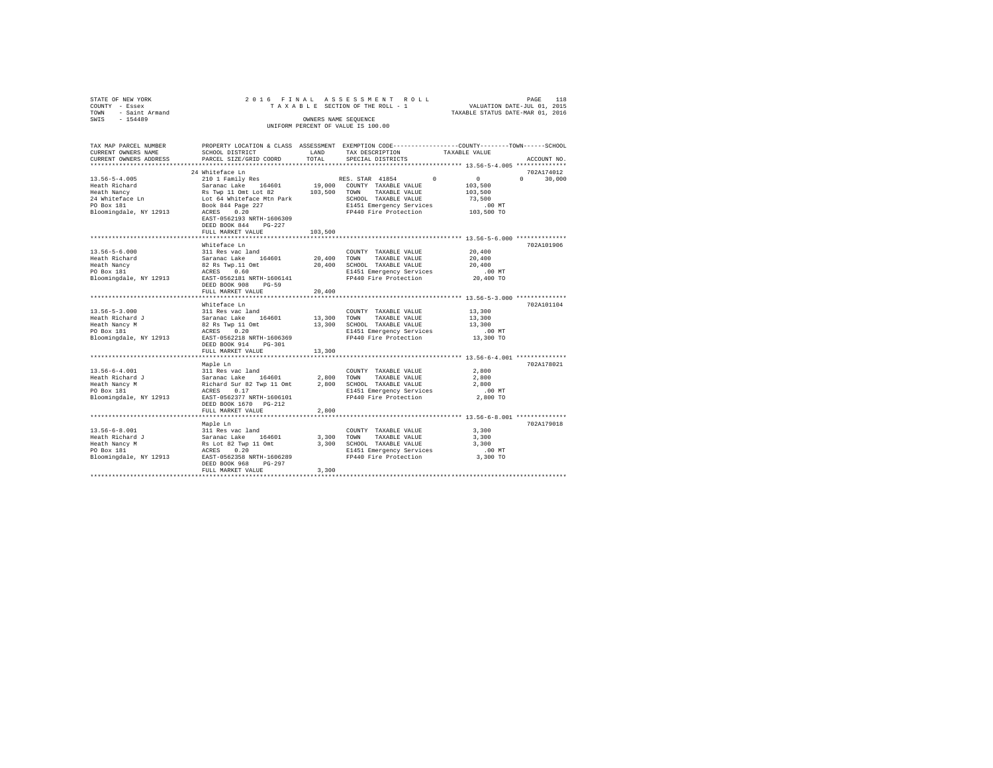|      | STATE OF NEW YORK   |  |  | 2016 FINAL ASSESSMENT ROLL         |                                  | PAGE | 118 |
|------|---------------------|--|--|------------------------------------|----------------------------------|------|-----|
|      | COUNTY - Essex      |  |  | TAXABLE SECTION OF THE ROLL - 1    | VALUATION DATE-JUL 01, 2015      |      |     |
|      | TOWN - Saint Armand |  |  |                                    | TAXABLE STATUS DATE-MAR 01, 2016 |      |     |
| SWIS | $-154489$           |  |  | OWNERS NAME SEOUENCE               |                                  |      |     |
|      |                     |  |  | UNIFORM PERCENT OF VALUE IS 100.00 |                                  |      |     |
|      |                     |  |  |                                    |                                  |      |     |

| TAX MAP PARCEL NUMBER                                                                                                                                                  |                                                                                                                |             | PROPERTY LOCATION & CLASS ASSESSMENT EXEMPTION CODE---------------COUNTY-------TOWN-----SCHOOL |                        |               |
|------------------------------------------------------------------------------------------------------------------------------------------------------------------------|----------------------------------------------------------------------------------------------------------------|-------------|------------------------------------------------------------------------------------------------|------------------------|---------------|
| CURRENT OWNERS NAME                                                                                                                                                    | SCHOOL DISTRICT                                                                                                | LAND        | TAX DESCRIPTION                                                                                | TAXABLE VALUE          |               |
| CURRENT OWNERS ADDRESS                                                                                                                                                 | PARCEL SIZE/GRID COORD                                                                                         | TOTAL       | SPECIAL DISTRICTS                                                                              |                        | ACCOUNT NO.   |
|                                                                                                                                                                        |                                                                                                                |             |                                                                                                |                        |               |
|                                                                                                                                                                        | 24 Whiteface Ln                                                                                                |             |                                                                                                |                        | 702A174012    |
| $13.56 - 5 - 4.005$                                                                                                                                                    | 210 1 Family Res                                                                                               |             | 0<br>RES. STAR 41854                                                                           | $\sim$ 0               | $0 \t 30,000$ |
|                                                                                                                                                                        |                                                                                                                |             | 19,000 COUNTY TAXABLE VALUE                                                                    | 103,500                |               |
|                                                                                                                                                                        |                                                                                                                |             | 103,500 TOWN TAXABLE VALUE                                                                     | 103,500                |               |
|                                                                                                                                                                        |                                                                                                                |             | SCHOOL TAXABLE VALUE                                                                           | 73,500                 |               |
| Each Richard Saranac Lake 164601 19,000<br>Heath Nancy Raman Ramac Lake 164601 19,000<br>24 Whiteface Ln Lot 64 Whiteface Mtn Park<br>20 Box 181 101 Book 844 Page 227 |                                                                                                                |             | E1451 Emergency Services .00 MT<br>FP440 Fire Protection .00 TO                                |                        |               |
| Bloomingdale, NY 12913 ACRES 0.20                                                                                                                                      |                                                                                                                |             |                                                                                                |                        |               |
|                                                                                                                                                                        | EAST-0562193 NRTH-1606309                                                                                      |             |                                                                                                |                        |               |
|                                                                                                                                                                        | $PG-227$<br>DEED BOOK 844                                                                                      |             |                                                                                                |                        |               |
|                                                                                                                                                                        | FULL MARKET VALUE                                                                                              | 103,500     |                                                                                                |                        |               |
|                                                                                                                                                                        |                                                                                                                |             |                                                                                                |                        |               |
|                                                                                                                                                                        | Whiteface Ln                                                                                                   |             |                                                                                                |                        | 702A101906    |
| $13.56 - 5 - 6.000$                                                                                                                                                    |                                                                                                                |             | COUNTY TAXABLE VALUE                                                                           | $\bf{20}$ , $\bf{400}$ |               |
| Heath Richard                                                                                                                                                          |                                                                                                                | 20,400 TOWN | TAXABLE VALUE                                                                                  | 20,400                 |               |
| Heath Nancy                                                                                                                                                            |                                                                                                                |             | 20,400 SCHOOL TAXABLE VALUE                                                                    | 20,400                 |               |
| PO Box 181                                                                                                                                                             |                                                                                                                |             | E1451 Emergency Services                                                                       | .00 MT                 |               |
| Bloomingdale, NY 12913                                                                                                                                                 | 311 Res vac land<br>Saranac Lake 164601<br>82 Rs Twp.11 Omt<br>ACRES 0.60<br>EAST-0562181 NRTH-1606141         |             | FP440 Fire Protection                                                                          | 20,400 TO              |               |
|                                                                                                                                                                        | DEED BOOK 908<br>$PG-59$                                                                                       |             |                                                                                                |                        |               |
|                                                                                                                                                                        | FULL MARKET VALUE                                                                                              | 20,400      |                                                                                                |                        |               |
|                                                                                                                                                                        |                                                                                                                |             |                                                                                                |                        |               |
|                                                                                                                                                                        | Whiteface Ln                                                                                                   |             |                                                                                                |                        | 702A101104    |
| $13.56 - 5 - 3.000$                                                                                                                                                    |                                                                                                                |             | COUNTY TAXABLE VALUE                                                                           | 13,300                 |               |
| Heath Richard J                                                                                                                                                        |                                                                                                                | 13,300 TOWN | TAXABLE VALUE                                                                                  | 13,300                 |               |
| Heath Nancy M                                                                                                                                                          | 311 Res vac land<br>Saranac Lake 164601<br>82 Rs Twp 11 Omt<br>ACRES 0.20                                      |             | 13,300 SCHOOL TAXABLE VALUE                                                                    | 13,300                 |               |
| PO Box 181                                                                                                                                                             |                                                                                                                |             | E1451 Emergency Services                                                                       | $.00$ MT               |               |
| Bloomingdale, NY 12913 EAST-0562218 NRTH-1606369                                                                                                                       |                                                                                                                |             | FP440 Fire Protection 13,300 TO                                                                |                        |               |
|                                                                                                                                                                        | DEED BOOK 914 PG-301                                                                                           |             |                                                                                                |                        |               |
|                                                                                                                                                                        | FULL MARKET VALUE                                                                                              | 13,300      |                                                                                                |                        |               |
|                                                                                                                                                                        |                                                                                                                |             |                                                                                                |                        |               |
|                                                                                                                                                                        | Maple Ln                                                                                                       |             |                                                                                                |                        | 702A178021    |
|                                                                                                                                                                        |                                                                                                                |             | COUNTY TAXABLE VALUE                                                                           | 2,800                  |               |
|                                                                                                                                                                        |                                                                                                                |             | 2,800 TOWN TAXABLE VALUE                                                                       | 2,800                  |               |
|                                                                                                                                                                        |                                                                                                                |             | 2,800 SCHOOL TAXABLE VALUE                                                                     | 2,800                  |               |
|                                                                                                                                                                        |                                                                                                                |             |                                                                                                |                        |               |
| Bloomingdale, NY 12913 EAST-0562377 NRTH-1606101                                                                                                                       |                                                                                                                |             | E1451 Emergency Services<br>FP440 Fire Protection                                              | $.00$ MT<br>2,800 TO   |               |
|                                                                                                                                                                        |                                                                                                                |             |                                                                                                |                        |               |
|                                                                                                                                                                        | DEED BOOK 1670 PG-212                                                                                          |             |                                                                                                |                        |               |
|                                                                                                                                                                        | FULL MARKET VALUE                                                                                              | 2,800       |                                                                                                |                        |               |
|                                                                                                                                                                        |                                                                                                                |             |                                                                                                |                        |               |
|                                                                                                                                                                        | Maple Ln                                                                                                       |             |                                                                                                |                        | 702A179018    |
| $13.56 - 6 - 8.001$                                                                                                                                                    |                                                                                                                |             | COUNTY TAXABLE VALUE                                                                           | 3,300                  |               |
| Heath Richard J                                                                                                                                                        |                                                                                                                | 3,300 TOWN  | TAXABLE VALUE                                                                                  | 3,300                  |               |
| Heath Nancy M                                                                                                                                                          |                                                                                                                |             | 3,300 SCHOOL TAXABLE VALUE                                                                     | 3,300                  |               |
| PO Box 181                                                                                                                                                             |                                                                                                                |             | E1451 Emergency Services                                                                       | $.00$ MT               |               |
| Bloomingdale, NY 12913                                                                                                                                                 | <br>311 Res vac land<br>Saranac Lake 164601<br>RS Lot 82 Twp 11 Omt<br>ACRES 0.20<br>EAST-0562358 NRTH-1606289 |             | FP440 Fire Protection                                                                          | 3,300 TO               |               |
|                                                                                                                                                                        | DEED BOOK 968<br>PG-297                                                                                        |             |                                                                                                |                        |               |
|                                                                                                                                                                        | FULL MARKET VALUE                                                                                              | 3,300       |                                                                                                |                        |               |
|                                                                                                                                                                        |                                                                                                                |             |                                                                                                |                        |               |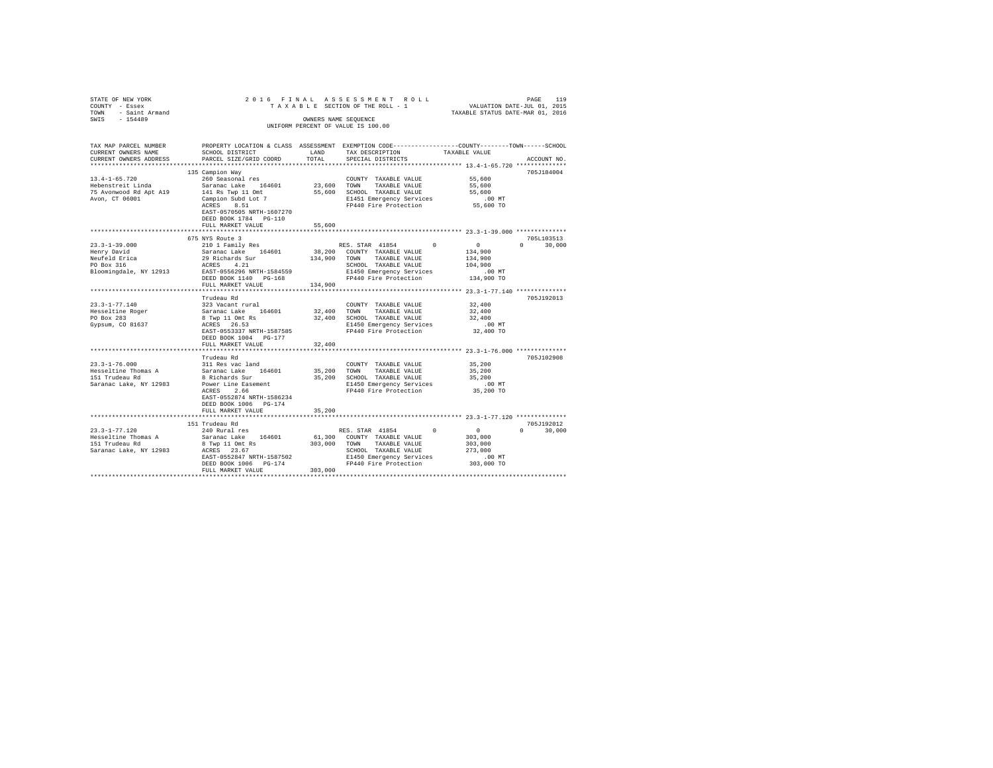| STATE OF NEW YORK<br>COUNTY - Essex<br>TOWN - Saint Armand | 2016 FINAL ASSESSMENT ROLL<br>TAXABLE SECTION OF THE ROLL - 1<br>CONNERS RAME SEQUENCE<br>INTEGENE PRECENT OF VALUE IS 100.00 |             |                                                                                                | PAGE 119<br>VALUATION DATE-JUL 01, 2015<br>TAXABLE STATUS DATE-MAR 01, 2016 |                            |
|------------------------------------------------------------|-------------------------------------------------------------------------------------------------------------------------------|-------------|------------------------------------------------------------------------------------------------|-----------------------------------------------------------------------------|----------------------------|
| SWIS - 154489                                              |                                                                                                                               |             | UNIFORM PERCENT OF VALUE IS 100.00                                                             |                                                                             |                            |
| TAX MAP PARCEL NUMBER                                      |                                                                                                                               |             | PROPERTY LOCATION & CLASS ASSESSMENT EXEMPTION CODE---------------COUNTY-------TOWN-----SCHOOL |                                                                             |                            |
| CURRENT OWNERS NAME<br>CURRENT OWNERS ADDRESS              | SCHOOL DISTRICT LAND<br>PARCEL SIZE/GRID COORD                                                                                | TOTAL       | TAX DESCRIPTION<br>SPECIAL DISTRICTS                                                           | TAXABLE VALUE                                                               | ACCOUNT NO.                |
|                                                            |                                                                                                                               |             |                                                                                                |                                                                             |                            |
|                                                            | 135 Campion Way                                                                                                               |             |                                                                                                |                                                                             | 705J184004                 |
| $13.4 - 1 - 65.720$                                        | 260 Seasonal res                                                                                                              |             | COUNTY TAXABLE VALUE                                                                           | 55,600                                                                      |                            |
| Hebenstreit Linda                                          | Saranac Lake 164601                                                                                                           |             | 23,600 TOWN TAXABLE VALUE                                                                      | 55,600<br>55,600                                                            |                            |
| 75 Avonwood Rd Apt A19<br>Avon, CT 06001                   | 141 Rs Twp 11 Omt                                                                                                             |             | 55,600 SCHOOL TAXABLE VALUE                                                                    | $.00$ MT                                                                    |                            |
|                                                            | $\frac{1}{2}$ campion Subd Lot 7                                                                                              |             | E1451 Emergency Services<br>FP440 Fire Protection                                              | 55,600 TO                                                                   |                            |
|                                                            | EAST-0570505 NRTH-1607270                                                                                                     |             |                                                                                                |                                                                             |                            |
|                                                            | DEED BOOK 1784 PG-110                                                                                                         |             |                                                                                                |                                                                             |                            |
|                                                            | FULL MARKET VALUE                                                                                                             | 55,600      |                                                                                                |                                                                             |                            |
|                                                            |                                                                                                                               |             |                                                                                                |                                                                             |                            |
|                                                            | 675 NYS Route 3                                                                                                               |             |                                                                                                |                                                                             | 705L103513<br>$0 \t30,000$ |
| $23.3 - 1 - 39.000$                                        | 210 1 Family Res                                                                                                              |             | RES. STAR 41854 0 0                                                                            | 134,900                                                                     |                            |
| Henry David                                                |                                                                                                                               |             | 38,200 COUNTY TAXABLE VALUE<br>134,900 TOWN TAXABLE VALUE                                      | 134,900                                                                     |                            |
| Neufeld Erica<br>PO Box 316                                | Saranac Lake 164601<br>29 Richards Sur<br>ACRES 4.21                                                                          |             |                                                                                                | 104,900                                                                     |                            |
| Bloomingdale, NY 12913 EAST-0556296 NRTH-1584559           |                                                                                                                               |             |                                                                                                | .00 MT                                                                      |                            |
|                                                            | DEED BOOK 1140 PG-168                                                                                                         |             | SCHOOL TAXABLE VALULE<br>E1450 Emergency Services<br>FP440 Fire Protection                     | 134,900 TO                                                                  |                            |
|                                                            | FULL MARKET VALUE                                                                                                             | 134,900     |                                                                                                |                                                                             |                            |
|                                                            |                                                                                                                               |             |                                                                                                |                                                                             |                            |
|                                                            | Trudeau Rd                                                                                                                    |             |                                                                                                |                                                                             | 705J192013                 |
| $23.3 - 1 - 77.140$                                        |                                                                                                                               |             | COUNTY TAXABLE VALUE                                                                           | 32,400<br>32,400                                                            |                            |
| Hesseltine Roger<br>PO Box 283                             |                                                                                                                               | 32,400 TOWN | TAXABLE VALUE<br>32,400 SCHOOL TAXABLE VALUE                                                   | 32,400                                                                      |                            |
| Gypsum, CO 81637                                           |                                                                                                                               |             | E1450 Emergency Services                                                                       | $.00$ MT                                                                    |                            |
|                                                            | EAST-0553337 NRTH-1587585                                                                                                     |             | FP440 Fire Protection                                                                          | 32,400 TO                                                                   |                            |
|                                                            | DEED BOOK 1004 PG-177                                                                                                         |             |                                                                                                |                                                                             |                            |
|                                                            | FULL MARKET VALUE                                                                                                             | 32,400      |                                                                                                |                                                                             |                            |
|                                                            |                                                                                                                               |             |                                                                                                | *********************** 23.3-1-76.000 ***************                       |                            |
| $23.3 - 1 - 76.000$                                        | Trudeau Rd                                                                                                                    |             |                                                                                                |                                                                             | 705J102908                 |
| Hesseltine Thomas A                                        | 311 Res vac land<br>Saranac Lake 164601                                                                                       |             | COUNTY TAXABLE VALUE<br>35,200 TOWN TAXABLE VALUE                                              | 35,200<br>35,200                                                            |                            |
| 151 Trudeau Rd                                             | 8 Richards Sur                                                                                                                |             | 35,200 SCHOOL TAXABLE VALUE                                                                    | 35,200                                                                      |                            |
| Saranac Lake, NY 12983                                     |                                                                                                                               |             |                                                                                                | $.00$ MT                                                                    |                            |
|                                                            | Power Line Easement<br>ACRES 2.66                                                                                             |             | E1450 Emergency Services<br>FP440 Fire Protection                                              | 35,200 TO                                                                   |                            |
|                                                            | EAST-0552874 NRTH-1586234                                                                                                     |             |                                                                                                |                                                                             |                            |
|                                                            | DEED BOOK 1006 PG-174                                                                                                         |             |                                                                                                |                                                                             |                            |
|                                                            | FULL MARKET VALUE                                                                                                             | 35,200      |                                                                                                |                                                                             |                            |
|                                                            |                                                                                                                               |             |                                                                                                |                                                                             | 705J192012                 |
| $23.3 - 1 - 77.120$                                        | 151 Trudeau Rd<br>240 Rural res                                                                                               |             | RES. STAR 41854 0                                                                              |                                                                             | $0 \t 30.000$              |
| Hesseltine Thomas A                                        | Saranac Lake 164601                                                                                                           |             | 61,300 COUNTY TAXABLE VALUE                                                                    | $\begin{array}{c}0\\303,000\end{array}$                                     |                            |
| 151 Trudeau Rd                                             | 8 Twp 11 Omt Rs                                                                                                               |             | 303,000 TOWN TAXABLE VALUE                                                                     | 303,000                                                                     |                            |
| Saranac Lake, NY 12983                                     | ACRES 23.67                                                                                                                   |             |                                                                                                | 273,000                                                                     |                            |
|                                                            | ACRES 23.67<br>EAST-0552847 NRTH-1587502<br>DEED BOOK 1006 PG-174                                                             |             | SCHOOL TAXABLE VALUE<br>E1450 Emergency Services                                               | .00MT                                                                       |                            |
|                                                            | DEED BOOK 1006 PG-174                                                                                                         |             | FP440 Fire Protection                                                                          | 303,000 TO                                                                  |                            |
|                                                            | FULL MARKET VALUE                                                                                                             | 303,000     |                                                                                                |                                                                             |                            |
|                                                            |                                                                                                                               |             |                                                                                                |                                                                             |                            |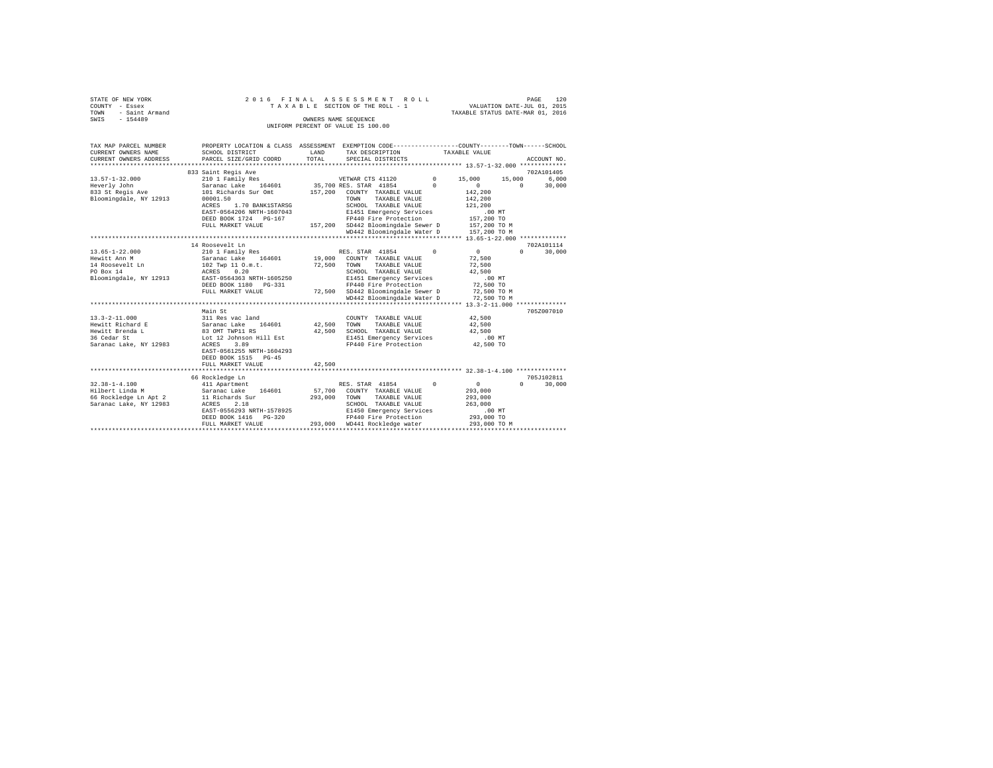| STATE OF NEW YORK   | 2016 FINAL ASSESSMENT ROLL         | PAGE                             | 120 |
|---------------------|------------------------------------|----------------------------------|-----|
| COUNTY - Essex      | TAXABLE SECTION OF THE ROLL - 1    | VALUATION DATE-JUL 01, 2015      |     |
| TOWN - Saint Armand |                                    | TAXABLE STATUS DATE-MAR 01, 2016 |     |
| SWTS<br>$-154489$   | OWNERS NAME SEOUENCE               |                                  |     |
|                     | UNIFORM PERCENT OF VALUE IS 100.00 |                                  |     |
|                     |                                    |                                  |     |
|                     |                                    |                                  |     |

| 833 Saint Regis Ave<br>$13.57 - 1 - 32.000$<br>210 1 Family Res<br>VETWAR CTS 41120<br>$^{\circ}$<br>15,000<br>15,000<br>$\Omega$<br>Saranac Lake 164601<br>35,700 RES. STAR 41854<br>$\Omega$<br>$\Omega$<br>Heverly John<br>833 St Regis Ave<br>101 Richards Sur Omt<br>157,200 COUNTY TAXABLE VALUE<br>142,200<br>Bloomingdale, NY 12913<br>00001.50<br>TOWN<br>TAXABLE VALUE<br>142,200<br>1.70 BANK1STARSG<br>SCHOOL TAXABLE VALUE<br>ACRES<br>121,200<br>EAST-0564206 NRTH-1607043<br>E1451 Emergency Services<br>$.00$ MT<br>FP440 Fire Protection<br>DEED BOOK 1724 PG-167<br>157,200 TO<br>157,200 SD442 Bloomingdale Sewer D 157,200 TO M<br>WD442 Bloomingdale Water D 157.200 TO M<br>FULL MARKET VALUE<br>WD442 Bloomingdale Water D<br>157,200 TO M<br>14 Roosevelt Ln<br>RES. STAR 41854<br>$13.65 - 1 - 22.000$<br>$\sim$<br>$\sim$ 0<br>210 1 Family Res<br>$\Omega$<br>164601 19,000 COUNTY TAXABLE VALUE<br>Hewitt Ann M<br>Saranac Lake<br>72,500<br>$102$ Twp 11 $0.m.t.$<br>14 Roosevelt Ln<br>72,500 TOWN TAXABLE VALUE<br>72,500<br>PO Box 14<br>ACRES 0.20<br>SCHOOL TAXABLE VALUE<br>42,500<br>E1451 Emergency Services<br>Bloomingdale, NY 12913<br>EAST-0564363 NRTH-1605250<br>$.00$ MT<br>FP440 Fire Protection<br>DEED BOOK 1180 PG-331<br>72,500 TO<br>72,500 SD442 Bloomingdale Sewer D<br>72,500 TO M<br>FULL MARKET VALUE<br>WD442 Bloomingdale Water D 72,500 TO M<br>Main St<br>311 Res vac land<br>42.500<br>$13.3 - 2 - 11.000$<br>COUNTY TAXABLE VALUE<br>Hewitt Richard E<br>Saranac Lake 164601<br>42,500<br>TAXABLE VALUE<br>42,500<br>TOWN<br>83 OMT TWP11 RS<br>Hewitt Brenda L<br>42,500<br>SCHOOL TAXABLE VALUE<br>42,500<br>E1451 Emergency Services<br>36 Cedar St<br>Lot 12 Johnson Hill Est<br>$.00$ MT<br>FP440 Fire Protection<br>Saranac Lake, NY 12983<br>3.89<br>42,500 TO<br>ACRES<br>EAST-0561255 NRTH-1604293<br>DEED BOOK 1515 PG-45<br>FULL MARKET VALUE<br>42,500<br>66 Rockledge Ln<br>$32.38 - 1 - 4.100$<br>411 Apartment<br>RES. STAR 41854<br>$\sim$ 0<br>0<br>$\Omega$<br>Hilbert Linda M<br>Saranac Lake 164601<br>57,700 COUNTY TAXABLE VALUE<br>293,000<br>11 Richards Sur<br>293,000 TOWN<br>66 Rockledge Ln Apt 2<br>TAXABLE VALUE<br>293,000<br>Saranac Lake, NY 12983<br>ACRES<br>2.18<br>SCHOOL TAXABLE VALUE<br>263,000<br>EAST-0556293 NRTH-1578925<br>E1450 Emergency Services<br>.00MT | TAX MAP PARCEL NUMBER<br>CURRENT OWNERS NAME<br>CURRENT OWNERS ADDRESS | PROPERTY LOCATION & CLASS ASSESSMENT EXEMPTION CODE----------------COUNTY-------TOWN-----SCHOOL<br>SCHOOL DISTRICT<br>PARCEL SIZE/GRID COORD | LAND<br>TOTAL | TAX DESCRIPTION TAXABLE VALUE<br>SPECIAL DISTRICTS |  | ACCOUNT NO.                        |
|------------------------------------------------------------------------------------------------------------------------------------------------------------------------------------------------------------------------------------------------------------------------------------------------------------------------------------------------------------------------------------------------------------------------------------------------------------------------------------------------------------------------------------------------------------------------------------------------------------------------------------------------------------------------------------------------------------------------------------------------------------------------------------------------------------------------------------------------------------------------------------------------------------------------------------------------------------------------------------------------------------------------------------------------------------------------------------------------------------------------------------------------------------------------------------------------------------------------------------------------------------------------------------------------------------------------------------------------------------------------------------------------------------------------------------------------------------------------------------------------------------------------------------------------------------------------------------------------------------------------------------------------------------------------------------------------------------------------------------------------------------------------------------------------------------------------------------------------------------------------------------------------------------------------------------------------------------------------------------------------------------------------------------------------------------------------------------------------------------------------------------------------------------------------------------------------------------------------------------------------------------------------------------------------------------------------------------------------------------------------|------------------------------------------------------------------------|----------------------------------------------------------------------------------------------------------------------------------------------|---------------|----------------------------------------------------|--|------------------------------------|
|                                                                                                                                                                                                                                                                                                                                                                                                                                                                                                                                                                                                                                                                                                                                                                                                                                                                                                                                                                                                                                                                                                                                                                                                                                                                                                                                                                                                                                                                                                                                                                                                                                                                                                                                                                                                                                                                                                                                                                                                                                                                                                                                                                                                                                                                                                                                                                        |                                                                        |                                                                                                                                              |               |                                                    |  | 702A101405<br>6,000<br>30,000      |
|                                                                                                                                                                                                                                                                                                                                                                                                                                                                                                                                                                                                                                                                                                                                                                                                                                                                                                                                                                                                                                                                                                                                                                                                                                                                                                                                                                                                                                                                                                                                                                                                                                                                                                                                                                                                                                                                                                                                                                                                                                                                                                                                                                                                                                                                                                                                                                        |                                                                        |                                                                                                                                              |               |                                                    |  |                                    |
|                                                                                                                                                                                                                                                                                                                                                                                                                                                                                                                                                                                                                                                                                                                                                                                                                                                                                                                                                                                                                                                                                                                                                                                                                                                                                                                                                                                                                                                                                                                                                                                                                                                                                                                                                                                                                                                                                                                                                                                                                                                                                                                                                                                                                                                                                                                                                                        |                                                                        |                                                                                                                                              |               |                                                    |  |                                    |
|                                                                                                                                                                                                                                                                                                                                                                                                                                                                                                                                                                                                                                                                                                                                                                                                                                                                                                                                                                                                                                                                                                                                                                                                                                                                                                                                                                                                                                                                                                                                                                                                                                                                                                                                                                                                                                                                                                                                                                                                                                                                                                                                                                                                                                                                                                                                                                        |                                                                        |                                                                                                                                              |               |                                                    |  | 702A101114<br>30,000<br>705Z007010 |
|                                                                                                                                                                                                                                                                                                                                                                                                                                                                                                                                                                                                                                                                                                                                                                                                                                                                                                                                                                                                                                                                                                                                                                                                                                                                                                                                                                                                                                                                                                                                                                                                                                                                                                                                                                                                                                                                                                                                                                                                                                                                                                                                                                                                                                                                                                                                                                        |                                                                        |                                                                                                                                              |               |                                                    |  |                                    |
|                                                                                                                                                                                                                                                                                                                                                                                                                                                                                                                                                                                                                                                                                                                                                                                                                                                                                                                                                                                                                                                                                                                                                                                                                                                                                                                                                                                                                                                                                                                                                                                                                                                                                                                                                                                                                                                                                                                                                                                                                                                                                                                                                                                                                                                                                                                                                                        |                                                                        |                                                                                                                                              |               |                                                    |  |                                    |
| FP440 Fire Protection<br>293,000 TO<br>DEED BOOK 1416 PG-320<br>293.000 WD441 Rockledge water<br>293,000 TO M<br>FULL MARKET VALUE                                                                                                                                                                                                                                                                                                                                                                                                                                                                                                                                                                                                                                                                                                                                                                                                                                                                                                                                                                                                                                                                                                                                                                                                                                                                                                                                                                                                                                                                                                                                                                                                                                                                                                                                                                                                                                                                                                                                                                                                                                                                                                                                                                                                                                     |                                                                        |                                                                                                                                              |               |                                                    |  | 705J102811<br>30,000               |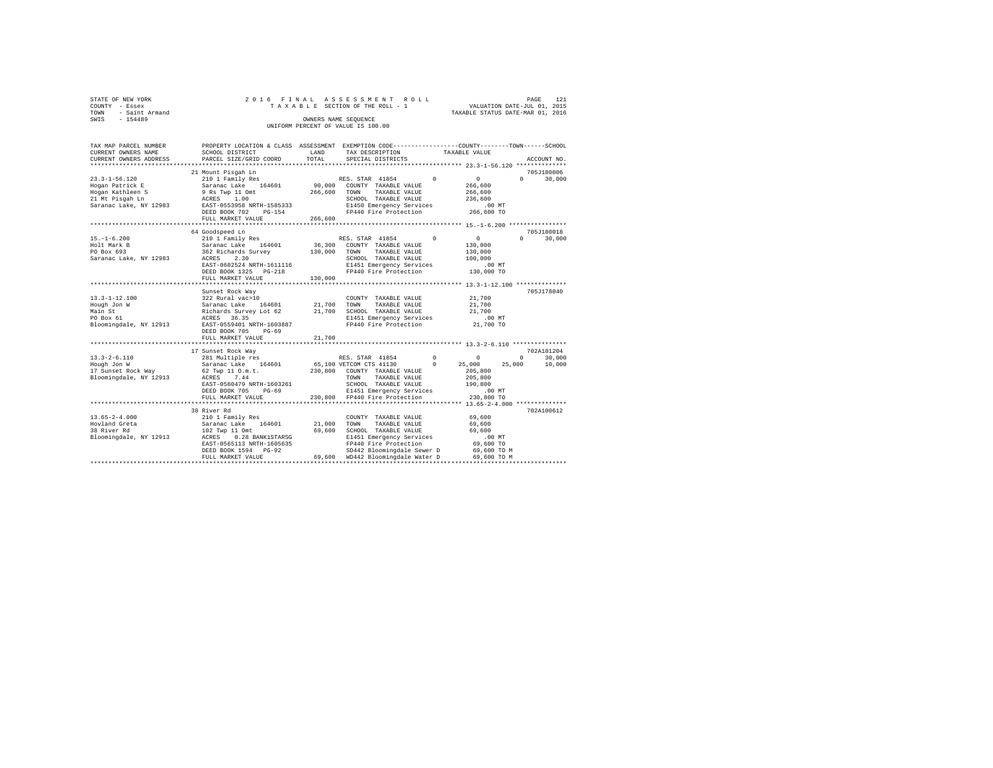| STATE OF NEW YORK                  |  |  |  |  | 2016 FINAL ASSESSMENT ROLL      |  |                                  | PAGE |  | 121 |
|------------------------------------|--|--|--|--|---------------------------------|--|----------------------------------|------|--|-----|
| COUNTY - Essex                     |  |  |  |  | TAXABLE SECTION OF THE ROLL - 1 |  | VALUATION DATE-JUL 01, 2015      |      |  |     |
| TOWN - Saint Armand                |  |  |  |  |                                 |  | TAXABLE STATUS DATE-MAR 01, 2016 |      |  |     |
| SWIS<br>$-154489$                  |  |  |  |  | OWNERS NAME SEOUENCE            |  |                                  |      |  |     |
| UNIFORM PERCENT OF VALUE IS 100.00 |  |  |  |  |                                 |  |                                  |      |  |     |

| TAX MAP PARCEL NUMBER<br>CURRENT OWNERS NAME<br>CURRENT OWNERS ADDRESS                                         | PROPERTY LOCATION & CLASS ASSESSMENT EXEMPTION CODE----------------COUNTY-------TOWN------SCHOOL<br>SCHOOL DISTRICT<br>PARCEL SIZE/GRID COORD                                    | LAND<br>TOTAL      | TAX DESCRIPTION<br>SPECIAL DISTRICTS                                                                                                                                                          | TAXABLE VALUE                                                                                            | ACCOUNT NO.                                            |
|----------------------------------------------------------------------------------------------------------------|----------------------------------------------------------------------------------------------------------------------------------------------------------------------------------|--------------------|-----------------------------------------------------------------------------------------------------------------------------------------------------------------------------------------------|----------------------------------------------------------------------------------------------------------|--------------------------------------------------------|
|                                                                                                                |                                                                                                                                                                                  |                    |                                                                                                                                                                                               |                                                                                                          |                                                        |
|                                                                                                                | 21 Mount Pisgah Ln                                                                                                                                                               |                    |                                                                                                                                                                                               |                                                                                                          | 705J180006                                             |
| $23.3 - 1 - 56.120$<br>Hogan Patrick E<br>Hogan Kathleen S<br>21 Mt Pisgah Ln<br>Saranac Lake, NY 12983        | 210 1 Family Res<br>Saranac Lake 164601<br>9 Rs Twp 11 Omt<br>ACRES 1.00<br>EAST-0553958 NRTH-1585333<br>DEED BOOK 702<br>PG-154                                                 | 266,600            | RES. STAR 41854 0<br>90,000 COUNTY TAXABLE VALUE<br>TOWN<br>TAXABLE VALUE<br>SCHOOL TAXABLE VALUE<br>E1450 Emergency Services<br>FP440 Fire Protection                                        | $\sim$ 0<br>266,600<br>266,600<br>236,600<br>$.00$ MT<br>266,600 TO                                      | $\Omega$<br>30,000                                     |
|                                                                                                                | FULL MARKET VALUE                                                                                                                                                                | 266,600            |                                                                                                                                                                                               |                                                                                                          |                                                        |
|                                                                                                                |                                                                                                                                                                                  |                    |                                                                                                                                                                                               |                                                                                                          |                                                        |
| $15. - 1 - 6.200$<br>Holt Mark B<br>PO Box 693<br>Saranac Lake, NY 12983                                       | 64 Goodspeed Ln<br>210 1 Family Res<br>Saranac Lake 164601<br>362 Richards Survey<br>ACRES 2.30<br>EAST-0602524 NRTH-1611116<br>DEED BOOK 1325 PG-218<br>FULL MARKET VALUE       | 130,000<br>130,000 | RES. STAR 41854<br>36,300 COUNTY TAXABLE VALUE<br>TAXABLE VALUE<br>TOWN<br>SCHOOL TAXABLE VALUE<br>E1451 Emergency Services<br>FP440 Fire Protection                                          | $\Omega$<br>$\sim$ 0<br>130,000<br>130,000<br>100,000<br>$.00$ MT<br>130,000 TO                          | 705J180018<br>$\Omega$<br>30,000                       |
|                                                                                                                |                                                                                                                                                                                  |                    |                                                                                                                                                                                               |                                                                                                          |                                                        |
| $13.3 - 1 - 12.100$<br>Hough Jon W<br>Main St<br>PO Box 61<br>Bloomingdale, NY 12913 EAST-0559401 NRTH-1603887 | Sunset Rock Way<br>322 Rural vac>10<br>Saranac Lake 164601<br>Richards Survey Lot 62 21,700 SCHOOL TAXABLE VALUE<br>ACRES 36.35<br>DEED BOOK 705<br>$PG-69$<br>FULL MARKET VALUE | 21,700<br>21,700   | COUNTY TAXABLE VALUE<br>TOWN<br>TAXABLE VALUE<br>E1451 Emergency Services<br>FP440 Fire Protection                                                                                            | 21,700<br>21,700<br>21,700<br>21,700<br>.00 MT<br>21,700 TO                                              | 705J178040                                             |
|                                                                                                                |                                                                                                                                                                                  |                    |                                                                                                                                                                                               |                                                                                                          |                                                        |
| $13.3 - 2 - 6.110$<br>Hough Jon W<br>17 Sunset Rock Way<br>Bloomingdale, NY 12913                              | 17 Sunset Rock Way<br>281 Multiple res<br>Saranac Lake 164601<br>62 Twp 11 O.m.t.<br>7.44<br>ACRES<br>EAST-0560479 NRTH-1603261<br>DEED BOOK 705<br>$PG-69$<br>FULL MARKET VALUE |                    | RES. STAR 41854<br>65,100 VETCOM CTS 41130<br>230,800 COUNTY TAXABLE VALUE<br>TOWN<br>TAXABLE VALUE<br>SCHOOL TAXABLE VALUE<br>E1451 Emergency Services<br>230,800 FP440 Fire Protection      | $^{\circ}$<br>$^{\circ}$<br>$^{\circ}$<br>25,000<br>205,800<br>205,800<br>190,800<br>.00MT<br>230,800 TO | 702A101204<br>$^{\circ}$<br>30,000<br>25,000<br>10,000 |
|                                                                                                                | ***************************                                                                                                                                                      |                    |                                                                                                                                                                                               |                                                                                                          |                                                        |
| $13.65 - 2 - 4.000$<br>Hovland Greta<br>38 River Rd<br>Bloomingdale, NY 12913                                  | 38 River Rd<br>210 1 Family Res<br>Saranac Lake 164601<br>102 Twp 11 Omt<br>ACRES 0.28 BANK1STARSG<br>EAST-0565113 NRTH-1605635<br>DEED BOOK 1594 PG-92<br>FULL MARKET VALUE     | 21,000<br>69,600   | COUNTY TAXABLE VALUE<br>TAXABLE VALUE<br>TOWN<br>SCHOOL TAXABLE VALUE<br>E1451 Emergency Services<br>FP440 Fire Protection<br>SD442 Bloomingdale Sewer D<br>69.600 WD442 Bloomingdale Water D | 69,600<br>69,600<br>69,600<br>$.00$ MT<br>69,600 TO<br>69,600 TO M<br>69.600 TO M                        | 702A100612                                             |
|                                                                                                                |                                                                                                                                                                                  |                    |                                                                                                                                                                                               |                                                                                                          |                                                        |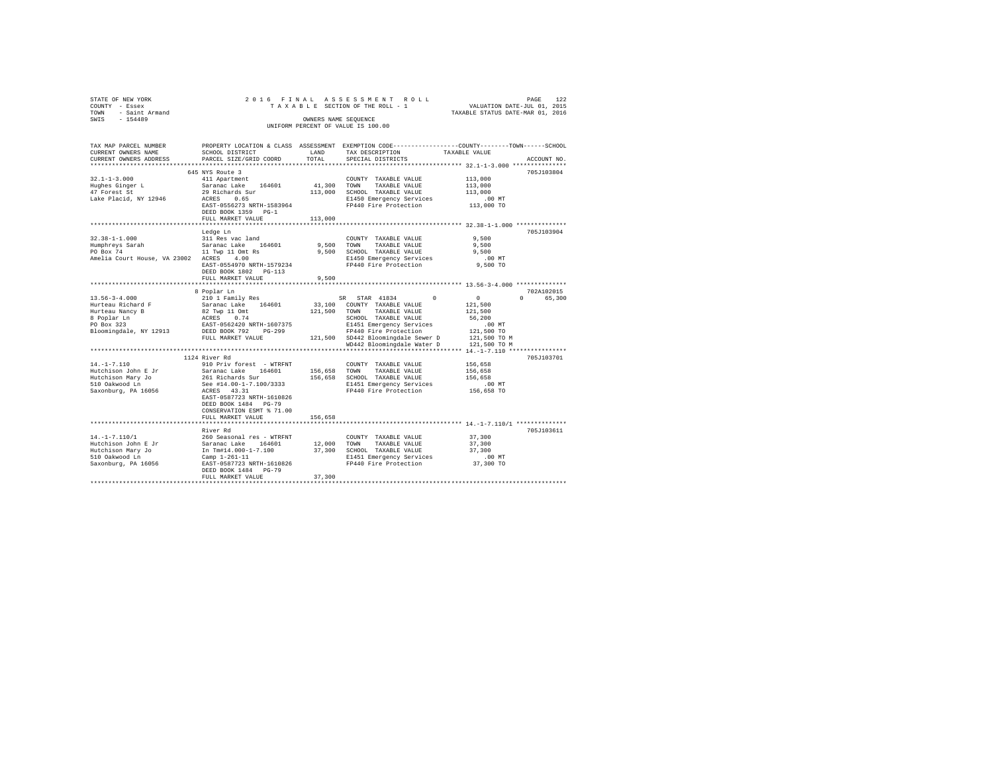| STATE OF NEW YORK                       | 2016 FINAL                |              | ASSESSMENT ROLL                    |                                                                                                 |
|-----------------------------------------|---------------------------|--------------|------------------------------------|-------------------------------------------------------------------------------------------------|
| COUNTY - Essex                          |                           |              | TAXABLE SECTION OF THE ROLL - 1    | PAGE 122<br>VALUATION DATE-JUL 01, 2015                                                         |
| - Saint Armand<br><b>TOWN</b>           |                           |              |                                    | TAXABLE STATUS DATE-MAR 01, 2016                                                                |
| $-154489$<br>SWIS                       |                           |              | OWNERS NAME SEQUENCE               |                                                                                                 |
|                                         |                           |              | UNIFORM PERCENT OF VALUE IS 100.00 |                                                                                                 |
|                                         |                           |              |                                    |                                                                                                 |
|                                         |                           |              |                                    |                                                                                                 |
| TAX MAP PARCEL NUMBER                   |                           |              |                                    | PROPERTY LOCATION & CLASS ASSESSMENT EXEMPTION CODE---------------COUNTY-------TOWN------SCHOOL |
| CURRENT OWNERS NAME                     | SCHOOL DISTRICT           | LAND         | TAX DESCRIPTION                    | TAXABLE VALUE                                                                                   |
| CURRENT OWNERS ADDRESS                  | PARCEL SIZE/GRID COORD    | TOTAL        | SPECIAL DISTRICTS                  | ACCOUNT NO.                                                                                     |
|                                         |                           |              |                                    |                                                                                                 |
|                                         | 645 NYS Route 3           |              |                                    | 705J103804                                                                                      |
| $32.1 - 1 - 3.000$                      | 411 Apartment             |              | COUNTY TAXABLE VALUE               | 113,000                                                                                         |
| Hughes Ginger L                         | Saranac Lake<br>164601    | 41,300 TOWN  | TAXABLE VALUE                      | 113,000                                                                                         |
| 47 Forest St                            | 29 Richards Sur           |              | 113,000 SCHOOL TAXABLE VALUE       | 113,000                                                                                         |
| Lake Placid, NY 12946                   | ACRES 0.65                |              | E1450 Emergency Services           | $.00$ MT                                                                                        |
|                                         | EAST-0556273 NRTH-1583964 |              | FP440 Fire Protection              | 113,000 TO                                                                                      |
|                                         | DEED BOOK 1359 PG-1       |              |                                    |                                                                                                 |
|                                         | FULL MARKET VALUE         | 113,000      |                                    |                                                                                                 |
|                                         |                           |              |                                    |                                                                                                 |
|                                         | Ledge Ln                  |              |                                    | 705J103904                                                                                      |
| $32.38 - 1 - 1.000$                     | 311 Res vac land          |              | COUNTY TAXABLE VALUE               | 9,500                                                                                           |
| Humphreys Sarah                         | Saranac Lake 164601       | 9.500        | TOWN<br>TAXABLE VALUE              | 9,500                                                                                           |
| PO Box 74                               | 11 Twp 11 Omt Rs          |              | 9,500 SCHOOL TAXABLE VALUE         | 9,500                                                                                           |
| Amelia Court House, VA 23002 ACRES 4.00 |                           |              | E1450 Emergency Services           | $.00$ MT                                                                                        |
|                                         | EAST-0554970 NRTH-1579234 |              | FP440 Fire Protection              |                                                                                                 |
|                                         |                           |              |                                    | 9,500 TO                                                                                        |
|                                         | DEED BOOK 1802 PG-113     |              |                                    |                                                                                                 |
|                                         | FULL MARKET VALUE         | 9,500        |                                    |                                                                                                 |
|                                         |                           |              |                                    |                                                                                                 |
|                                         | 8 Poplar Ln               |              |                                    | 702A102015                                                                                      |
| $13.56 - 3 - 4.000$                     | 210 1 Family Res          |              | STAR 41834<br>$\Omega$<br>SR.      | 65,300<br>$\mathbf{0}$<br>$\Omega$                                                              |
| Hurteau Richard F                       | Saranac Lake 164601       |              | 33,100 COUNTY TAXABLE VALUE        | 121,500                                                                                         |
| Hurteau Nancy B                         | 82 Twp 11 Omt             | 121,500 TOWN | TAXABLE VALUE                      | 121,500                                                                                         |
| 8 Poplar Ln                             | ACRES<br>0.74             |              | SCHOOL TAXABLE VALUE               | 56,200                                                                                          |
| PO Box 323                              | EAST-0562420 NRTH-1607375 |              | E1451 Emergency Services           | $.00$ MT                                                                                        |
| Bloomingdale, NY 12913                  | DEED BOOK 792 PG-299      |              | FP440 Fire Protection              | 121,500 TO                                                                                      |
|                                         | FULL MARKET VALUE         |              | 121,500 SD442 Bloomingdale Sewer D | 121,500 TO M                                                                                    |
|                                         |                           |              | WD442 Bloomingdale Water D         | 121,500 TO M                                                                                    |
|                                         |                           |              |                                    | ************************************** 14.-1-7.110 ****************                             |
|                                         | 1124 River Rd             |              |                                    | 705J103701                                                                                      |
| $14. - 1 - 7.110$                       | 910 Priv forest - WTRFNT  |              | COUNTY TAXABLE VALUE               | 156,658                                                                                         |
| Hutchison John E Jr                     | Saranac Lake 164601       | 156,658 TOWN | TAXABLE VALUE                      | 156,658                                                                                         |
| Hutchison Mary Jo                       | 261 Richards Sur          |              | 156,658 SCHOOL TAXABLE VALUE       | 156,658                                                                                         |
| 510 Oakwood Ln                          | See #14.00-1-7.100/3333   |              | E1451 Emergency Services           | $.00$ MT                                                                                        |
| Saxonburg, PA 16056                     | ACRES 43.31               |              | FP440 Fire Protection              | 156,658 TO                                                                                      |
|                                         | EAST-0587723 NRTH-1610826 |              |                                    |                                                                                                 |
|                                         | DEED BOOK 1484 PG-79      |              |                                    |                                                                                                 |
|                                         |                           |              |                                    |                                                                                                 |
|                                         | CONSERVATION ESMT % 71.00 |              |                                    |                                                                                                 |
|                                         | FULL MARKET VALUE         | 156,658      |                                    |                                                                                                 |
|                                         |                           |              |                                    |                                                                                                 |
|                                         | River Rd                  |              |                                    | 705J103611                                                                                      |
| $14. -1 - 7.110/1$                      | 260 Seasonal res - WTRFNT |              | COUNTY TAXABLE VALUE               | 37,300                                                                                          |
| Hutchison John E Jr                     | Saranac Lake 164601       |              | 12,000 TOWN TAXABLE VALUE          | 37,300                                                                                          |
| Hutchison Mary Jo                       | In Tm#14.000-1-7.100      |              | 37,300 SCHOOL TAXABLE VALUE        | 37,300                                                                                          |
| 510 Oakwood Ln                          | Camp 1-261-11             |              | E1451 Emergency Services           | $.00$ MT                                                                                        |
| Saxonburg, PA 16056                     | EAST-0587723 NRTH-1610826 |              | FP440 Fire Protection              | 37,300 TO                                                                                       |
|                                         | DEED BOOK 1484 PG-79      |              |                                    |                                                                                                 |
|                                         | FULL MARKET VALUE         | 37,300       |                                    |                                                                                                 |
|                                         |                           |              |                                    |                                                                                                 |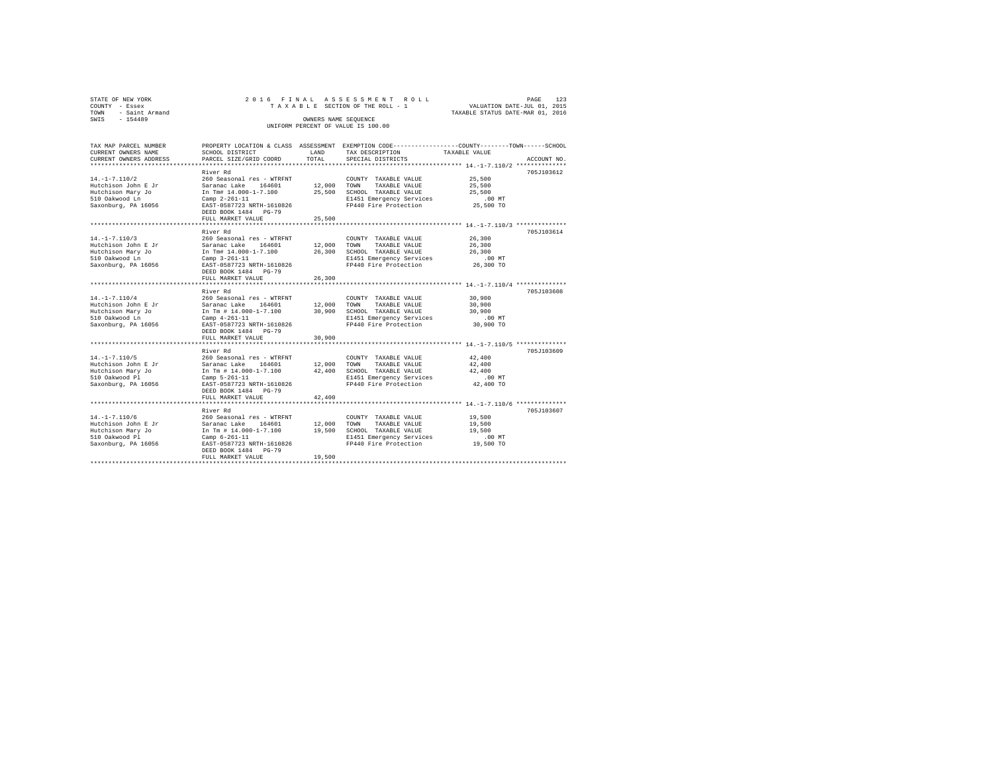| STATE OF NEW YORK   |  | 2016 FINAL ASSESSMENT ROLL         |                                  | PAGE                        | 123 |
|---------------------|--|------------------------------------|----------------------------------|-----------------------------|-----|
| COUNTY - Essex      |  | TAXABLE SECTION OF THE ROLL - 1    |                                  | VALUATION DATE-JUL 01, 2015 |     |
| TOWN - Saint Armand |  |                                    | TAXABLE STATUS DATE-MAR 01, 2016 |                             |     |
| SWIS<br>$-154489$   |  | OWNERS NAME SEOUENCE               |                                  |                             |     |
|                     |  | UNIFORM PERCENT OF VALUE IS 100.00 |                                  |                             |     |
|                     |  |                                    |                                  |                             |     |

| TAX MAP PARCEL NUMBER  |                                                              |        | PROPERTY LOCATION & CLASS ASSESSMENT EXEMPTION CODE----------------COUNTY-------TOWN------SCHOOL                        |                                               |             |
|------------------------|--------------------------------------------------------------|--------|-------------------------------------------------------------------------------------------------------------------------|-----------------------------------------------|-------------|
| CURRENT OWNERS NAME    | SCHOOL DISTRICT                                              | LAND   | TAX DESCRIPTION                                                                                                         | TAXABLE VALUE                                 |             |
| CURRENT OWNERS ADDRESS | PARCEL SIZE/GRID COORD                                       | TOTAL  | SPECIAL DISTRICTS                                                                                                       |                                               | ACCOUNT NO. |
|                        |                                                              |        |                                                                                                                         |                                               | 705J103612  |
| $14. -1 - 7.110/2$     | River Rd<br>260 Seasonal res - WTRFNT                        |        |                                                                                                                         |                                               |             |
| Hutchison John E Jr    | Saranac Lake 164601                                          |        | COUNTY TAXABLE VALUE<br>12,000 TOWN TAXABLE VALUE                                                                       | 25,500                                        |             |
|                        | In Tm# 14.000-1-7.100                                        |        | 25,500 SCHOOL TAXABLE VALUE                                                                                             | 25,500<br>25,500                              |             |
| Hutchison Mary Jo      |                                                              |        | E1451 Emergency Services                                                                                                | $.00$ MT                                      |             |
| 510 Oakwood Ln         | Camp $2-261-11$<br>EAST-0587723 NRTH-1610826                 |        | FP440 Fire Protection                                                                                                   | 25,500 TO                                     |             |
| Saxonburg, PA 16056    |                                                              |        |                                                                                                                         |                                               |             |
|                        | DEED BOOK 1484 PG-79                                         | 25,500 |                                                                                                                         |                                               |             |
|                        | FULL MARKET VALUE                                            | .      |                                                                                                                         | *************** 14.-1-7.110/3 *************** |             |
|                        | River Rd                                                     |        |                                                                                                                         |                                               | 705J103614  |
| $14. -1 - 7.110/3$     | 260 Seasonal res - WTRFNT                                    |        | COUNTY TAXABLE VALUE                                                                                                    | 26,300                                        |             |
| Hutchison John E Jr    | Saranac Lake 164601                                          |        | COUNTY TAXABLE VALUE<br>12,000 TOWN TAXABLE VALUE                                                                       |                                               |             |
|                        |                                                              |        |                                                                                                                         | 26,300                                        |             |
| Hutchison Mary Jo      | In Tm# 14.000-1-7.100                                        |        | 26,300 SCHOOL TAXABLE VALUE                                                                                             | 26,300                                        |             |
| 510 Oakwood Ln         | Camp $3-261-11$                                              |        | E1451 Emergency Services                                                                                                | $.00$ MT                                      |             |
| Saxonburg, PA 16056    | EAST-0587723 NRTH-1610826                                    |        | FP440 Fire Protection                                                                                                   | 26,300 TO                                     |             |
|                        | DEED BOOK 1484 PG-79                                         |        |                                                                                                                         |                                               |             |
|                        | FULL MARKET VALUE                                            | 26,300 |                                                                                                                         |                                               |             |
|                        |                                                              |        |                                                                                                                         |                                               |             |
|                        | River Rd                                                     |        |                                                                                                                         |                                               | 705J103608  |
| $14. -1 - 7.110/4$     | 260 Seasonal res - WTRFNT<br>Saranac Lake 164601 12,000 TOWN |        | COUNTY TAXABLE VALUE                                                                                                    | 30,900                                        |             |
| Hutchison John E Jr    |                                                              |        | TAXABLE VALUE                                                                                                           | 30,900                                        |             |
| Hutchison Mary Jo      | In Tm # 14.000-1-7.100 30,900 SCHOOL TAXABLE VALUE           |        |                                                                                                                         | 30,900                                        |             |
| 510 Oakwood Ln         | Camp 4-261-11                                                |        | E1451 Emergency Services                                                                                                | $.00$ MT                                      |             |
| Saxonburg, PA 16056    | EAST-0587723 NRTH-1610826                                    |        | FP440 Fire Protection 30,900 TO                                                                                         |                                               |             |
|                        | DEED BOOK 1484 PG-79                                         |        |                                                                                                                         |                                               |             |
|                        | FULL MARKET VALUE                                            | 30,900 |                                                                                                                         |                                               |             |
|                        |                                                              |        |                                                                                                                         |                                               |             |
|                        | River Rd                                                     |        |                                                                                                                         |                                               | 705J103609  |
| $14. -1 - 7.110/5$     | 260 Seasonal res - WTRFNT                                    |        | COUNTY TAXABLE VALUE                                                                                                    | 42,400                                        |             |
| Hutchison John E Jr    | Saranac Lake 164601 12,000 TOWN TAXABLE VALUE                |        |                                                                                                                         | 42,400                                        |             |
| Hutchison Mary Jo      |                                                              |        | In Tm $\#$ 14.000-1-7.100 $\frac{42,400}{R}$ SCHOOL TAXABLE VALUE<br>Camp 5-261-11 $\frac{1451}{R}$ Finergency Services | 42.400                                        |             |
| 510 Oakwood Pl         | Camp 5-261-11                                                |        | E1451 Emergency Services                                                                                                | $.00$ MT                                      |             |
| Saxonburg, PA 16056    | EAST-0587723 NRTH-1610826                                    |        | FP440 Fire Protection                                                                                                   | 42,400 TO                                     |             |
|                        | DEED BOOK 1484 PG-79                                         |        |                                                                                                                         |                                               |             |
|                        | FULL MARKET VALUE                                            | 42,400 |                                                                                                                         |                                               |             |
|                        |                                                              |        |                                                                                                                         |                                               |             |
|                        | River Rd                                                     |        |                                                                                                                         |                                               | 705J103607  |
| $14. - 1 - 7.110/6$    | 260 Seasonal res - WTRFNT                                    |        | COUNTY TAXABLE VALUE                                                                                                    | 19,500                                        |             |
| Hutchison John E Jr    | 164601 12,000 TOWN<br>Saranac Lake                           |        | TAXABLE VALUE                                                                                                           | 19,500                                        |             |
| Hutchison Mary Jo      | In Tm # 14.000-1-7.100                                       |        | 19,500 SCHOOL TAXABLE VALUE                                                                                             | 19,500                                        |             |
| 510 Oakwood Pl         | Camp $6 - 261 - 11$                                          |        | E1451 Emergency Services                                                                                                | $.00$ MT                                      |             |
| Saxonburg, PA 16056    | EAST-0587723 NRTH-1610826                                    |        | FP440 Fire Protection                                                                                                   | 19,500 TO                                     |             |
|                        | DEED BOOK 1484 PG-79                                         |        |                                                                                                                         |                                               |             |
|                        | FULL MARKET VALUE                                            | 19,500 |                                                                                                                         |                                               |             |
|                        |                                                              |        |                                                                                                                         |                                               |             |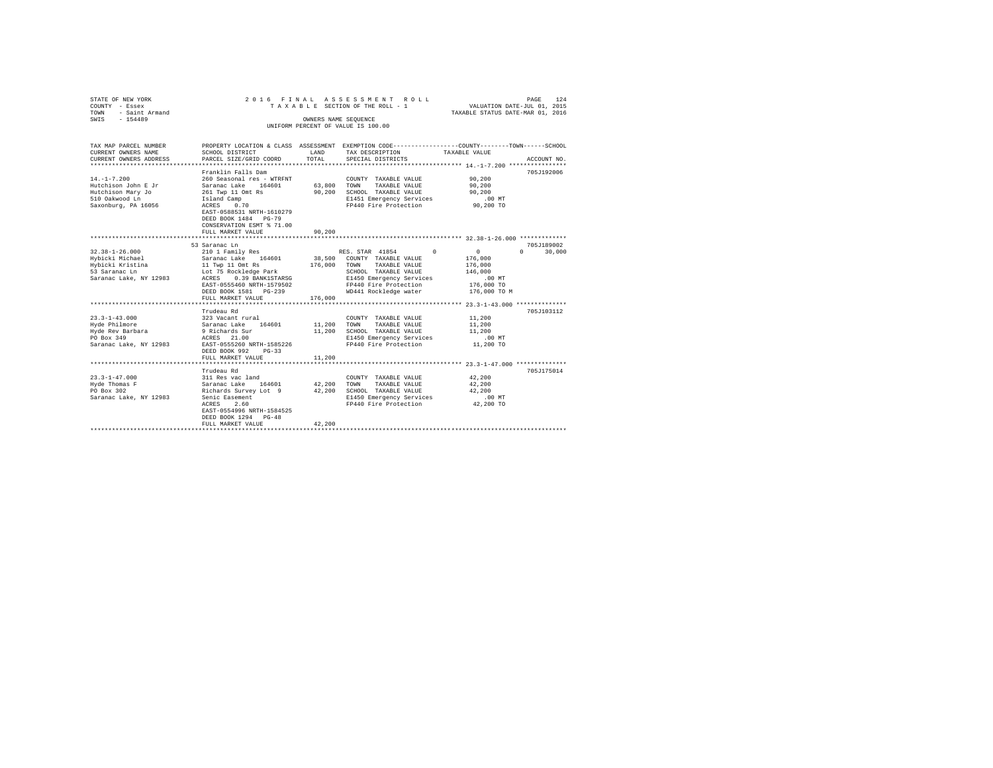| STATE OF NEW YORK<br>COUNTY - Essex<br>- Saint Armand<br>TOWN<br>$-154489$<br>SWIS |                                                                                | OWNERS NAME SEOUENCE          | 2016 FINAL ASSESSMENT ROLL<br>TAXABLE SECTION OF THE ROLL - 1 | PAGE<br>VALUATION DATE-JUL 01, 2015<br>TAXABLE STATUS DATE-MAR 01, 2016                         | 124         |
|------------------------------------------------------------------------------------|--------------------------------------------------------------------------------|-------------------------------|---------------------------------------------------------------|-------------------------------------------------------------------------------------------------|-------------|
|                                                                                    |                                                                                |                               | UNIFORM PERCENT OF VALUE IS 100.00                            |                                                                                                 |             |
| TAX MAP PARCEL NUMBER                                                              |                                                                                |                               |                                                               | PROPERTY LOCATION & CLASS ASSESSMENT EXEMPTION CODE---------------COUNTY-------TOWN------SCHOOL |             |
| CURRENT OWNERS NAME                                                                | SCHOOL DISTRICT                                                                | LAND                          | TAX DESCRIPTION                                               | TAXABLE VALUE                                                                                   |             |
| CURRENT OWNERS ADDRESS<br>********************                                     | PARCEL SIZE/GRID COORD                                                         | TOTAL<br>******************** | SPECIAL DISTRICTS                                             | ************************** 14.-1-7.200 ************                                             | ACCOUNT NO. |
|                                                                                    | Franklin Falls Dam                                                             |                               |                                                               |                                                                                                 | 705J192006  |
| $14. -1 - 7.200$                                                                   | 260 Seasonal res - WTRFNT                                                      |                               | COUNTY TAXABLE VALUE                                          | 90.200                                                                                          |             |
| Hutchison John E Jr                                                                | Saranac Lake 164601                                                            | 63,800                        | TOWN<br>TAXABLE VALUE                                         | 90,200                                                                                          |             |
| Hutchison Mary Jo                                                                  | 261 Twp 11 Omt Rs                                                              | 90.200                        | SCHOOL TAXABLE VALUE                                          | 90.200                                                                                          |             |
| 510 Oakwood Ln<br>Saxonburg, PA 16056                                              | Island Camp<br>0.70<br>ACRES                                                   |                               | E1451 Emergency Services<br>FP440 Fire Protection             | $.00$ MT<br>90,200 TO                                                                           |             |
|                                                                                    | EAST-0588531 NRTH-1610279<br>DEED BOOK 1484 PG-79<br>CONSERVATION ESMT % 71.00 |                               |                                                               |                                                                                                 |             |
|                                                                                    | FULL MARKET VALUE                                                              | 90.200                        |                                                               |                                                                                                 |             |
|                                                                                    | ***************************                                                    |                               |                                                               |                                                                                                 |             |
|                                                                                    | 53 Saranac Ln                                                                  |                               |                                                               |                                                                                                 | 705J189002  |
| $32.38 - 1 - 26.000$                                                               | 210 1 Family Res                                                               |                               | RES. STAR 41854<br>$\Omega$                                   | $\cap$<br>$\sim$ 0                                                                              | 30,000      |
| Hybicki Michael<br>Hybicki Kristina                                                | Saranac Lake 164601<br>11 Twp 11 Omt Rs                                        | 38,500<br>176,000             | COUNTY TAXABLE VALUE<br>TAXABLE VALUE<br>TOWN                 | 176,000<br>176,000                                                                              |             |
| 53 Saranac Ln                                                                      | Lot 75 Rockledge Park                                                          |                               | SCHOOL TAXABLE VALUE                                          | 146,000                                                                                         |             |
| Saranac Lake, NY 12983                                                             | 0.39 BANK1STARSG<br>ACRES                                                      |                               | E1450 Emergency Services                                      | .00MT                                                                                           |             |
|                                                                                    | EAST-0555460 NRTH-1579502                                                      |                               | FP440 Fire Protection                                         | 176,000 TO                                                                                      |             |
|                                                                                    | DEED BOOK 1581 PG-239                                                          |                               | WD441 Rockledge water                                         | 176,000 TO M                                                                                    |             |
|                                                                                    | FULL MARKET VALUE                                                              | 176,000                       |                                                               |                                                                                                 |             |
|                                                                                    |                                                                                |                               |                                                               |                                                                                                 |             |
|                                                                                    | Trudeau Rd                                                                     |                               |                                                               |                                                                                                 | 705J103112  |
| $23.3 - 1 - 43.000$                                                                | 323 Vacant rural                                                               |                               | COUNTY TAXABLE VALUE                                          | 11,200                                                                                          |             |
| Hyde Philmore                                                                      | Saranac Lake 164601                                                            | 11,200                        | TAXABLE VALUE<br>TOWN                                         | 11,200                                                                                          |             |
| Hyde Rev Barbara                                                                   | 9 Richards Sur                                                                 | 11,200                        | SCHOOL TAXABLE VALUE                                          | 11,200                                                                                          |             |
| PO Box 349                                                                         | ACRES 21.00                                                                    |                               | E1450 Emergency Services                                      | $.00$ MT                                                                                        |             |
| Saranac Lake, NY 12983                                                             | EAST-0555260 NRTH-1585226<br>DEED BOOK 992<br>$PG-33$                          |                               | FP440 Fire Protection                                         | 11,200 TO                                                                                       |             |
|                                                                                    | FULL MARKET VALUE                                                              | 11,200                        |                                                               |                                                                                                 |             |
|                                                                                    | ****************************                                                   |                               |                                                               |                                                                                                 |             |
|                                                                                    | Trudeau Rd                                                                     |                               |                                                               |                                                                                                 | 705J175014  |
| $23.3 - 1 - 47.000$                                                                | 311 Res vac land                                                               |                               | COUNTY TAXABLE VALUE                                          | 42,200                                                                                          |             |
| Hyde Thomas F                                                                      | Saranac Lake 164601                                                            | 42,200                        | TOWN<br>TAXABLE VALUE                                         | 42,200                                                                                          |             |
| PO Box 302                                                                         | Richards Survey Lot 9                                                          | 42,200                        | SCHOOL TAXABLE VALUE                                          | 42,200                                                                                          |             |
| Saranac Lake, NY 12983                                                             | Senic Easement                                                                 |                               | E1450 Emergency Services                                      | $.00$ MT                                                                                        |             |
|                                                                                    | ACRES<br>2.60                                                                  |                               | FP440 Fire Protection                                         | 42,200 TO                                                                                       |             |
|                                                                                    | EAST-0554996 NRTH-1584525                                                      |                               |                                                               |                                                                                                 |             |
|                                                                                    | DEED BOOK 1294 PG-48<br>FULL MARKET VALUE                                      | 42.200                        |                                                               |                                                                                                 |             |
|                                                                                    |                                                                                |                               |                                                               |                                                                                                 |             |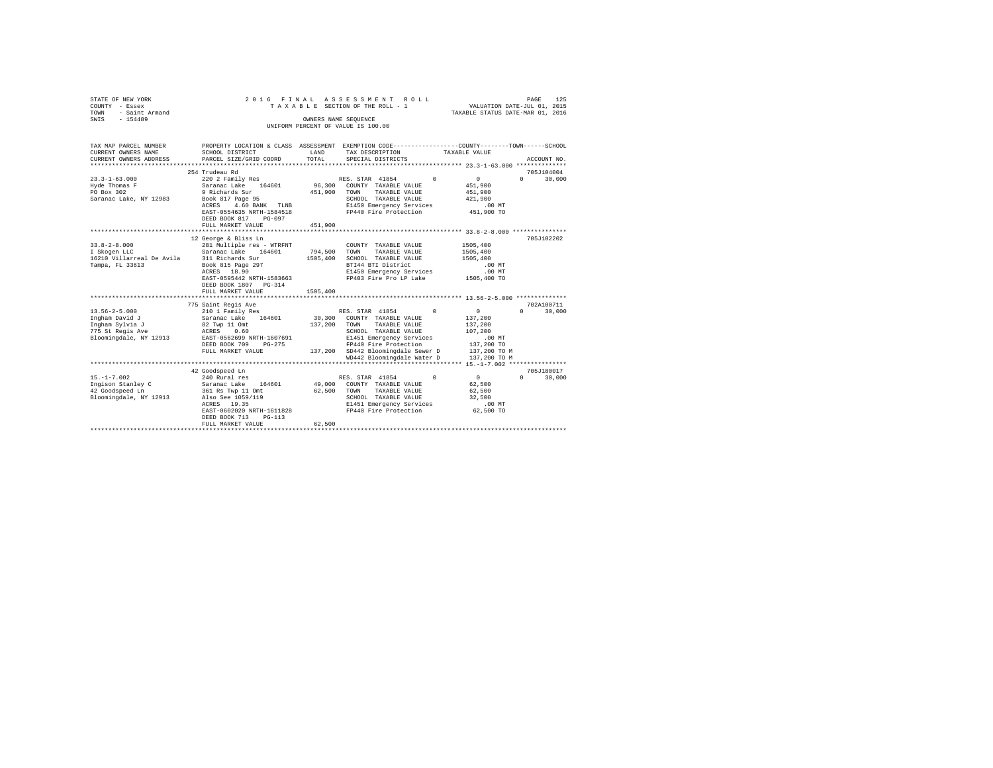| STATE OF NEW YORK<br>COUNTY - Essex<br>- Saint Armand<br>TOWN | 2016 FINAL                                           |                  | ASSESSMENT ROLL<br>TAXABLE SECTION OF THE ROLL - 1                                              | VALUATION DATE-JUL 01, 2015<br>TAXABLE STATUS DATE-MAR 01, 2016 | 125<br>PAGE        |
|---------------------------------------------------------------|------------------------------------------------------|------------------|-------------------------------------------------------------------------------------------------|-----------------------------------------------------------------|--------------------|
| $-154489$<br>SWIS                                             |                                                      |                  | OWNERS NAME SEQUENCE                                                                            |                                                                 |                    |
|                                                               |                                                      |                  | UNIFORM PERCENT OF VALUE IS 100.00                                                              |                                                                 |                    |
|                                                               |                                                      |                  |                                                                                                 |                                                                 |                    |
| TAX MAP PARCEL NUMBER                                         |                                                      |                  | PROPERTY LOCATION & CLASS ASSESSMENT EXEMPTION CODE---------------COUNTY-------TOWN------SCHOOL |                                                                 |                    |
| CURRENT OWNERS NAME                                           | SCHOOL DISTRICT                                      | LAND             | TAX DESCRIPTION                                                                                 | TAXABLE VALUE                                                   |                    |
| CURRENT OWNERS ADDRESS                                        | PARCEL SIZE/GRID COORD                               | TOTAL            | SPECIAL DISTRICTS                                                                               |                                                                 | ACCOUNT NO.        |
|                                                               |                                                      |                  |                                                                                                 |                                                                 |                    |
|                                                               | 254 Trudeau Rd                                       |                  |                                                                                                 |                                                                 | 705J104004         |
| $23.3 - 1 - 63.000$                                           | 220 2 Family Res                                     |                  | RES. STAR 41854<br>$\Omega$                                                                     | $\mathbf{0}$                                                    | $\Omega$<br>30,000 |
| Hyde Thomas F                                                 | Saranac Lake 164601                                  | 96,300           | COUNTY TAXABLE VALUE                                                                            | 451,900                                                         |                    |
| PO Box 302                                                    | 9 Richards Sur                                       | 451,900          | TOWN<br>TAXABLE VALUE                                                                           | 451,900                                                         |                    |
| Saranac Lake, NY 12983                                        | Book 817 Page 95                                     |                  | SCHOOL TAXABLE VALUE                                                                            | 421,900                                                         |                    |
|                                                               | 4.60 BANK TLNB<br>ACRES<br>EAST-0554635 NRTH-1584518 |                  | E1450 Emergency Services<br>FP440 Fire Protection                                               | .00 MT<br>451,900 TO                                            |                    |
|                                                               | DEED BOOK 817<br>$PG-097$                            |                  |                                                                                                 |                                                                 |                    |
|                                                               | FULL MARKET VALUE                                    | 451,900          |                                                                                                 |                                                                 |                    |
|                                                               |                                                      |                  |                                                                                                 |                                                                 |                    |
|                                                               | 12 George & Bliss Ln                                 |                  |                                                                                                 |                                                                 | 705J102202         |
| $33.8 - 2 - 8.000$                                            | 281 Multiple res - WTRFNT                            |                  | COUNTY TAXABLE VALUE                                                                            | 1505,400                                                        |                    |
| I Skogen LLC                                                  | Saranac Lake 164601                                  | 794,500          | TAXABLE VALUE<br>TOWN                                                                           | 1505,400                                                        |                    |
| 16210 Villarreal De Avila 311 Richards Sur                    |                                                      | 1505,400         | SCHOOL TAXABLE VALUE                                                                            | 1505,400                                                        |                    |
| Tampa, FL 33613                                               | 311 Kithers - 1997<br>Book 815 Page 297              |                  | BTI44 BTI District                                                                              | $.00$ MT                                                        |                    |
|                                                               |                                                      |                  | E1450 Emergency Services                                                                        | $.00$ MT                                                        |                    |
|                                                               | EAST-0595442 NRTH-1583663                            |                  | FP403 Fire Pro LP Lake                                                                          | 1505,400 TO                                                     |                    |
|                                                               | DEED BOOK 1807 PG-314                                |                  |                                                                                                 |                                                                 |                    |
|                                                               | FULL MARKET VALUE                                    | 1505,400         |                                                                                                 |                                                                 |                    |
|                                                               |                                                      |                  |                                                                                                 |                                                                 |                    |
|                                                               | 775 Saint Regis Ave                                  |                  |                                                                                                 |                                                                 | 702A100711         |
| $13.56 - 2 - 5.000$                                           | 210 1 Family Res                                     |                  | RES. STAR 41854<br>$^{\circ}$                                                                   | $\sim$ 0                                                        | 30,000<br>$\cap$   |
| Ingham David J                                                | Saranac Lake 164601                                  | 30,300           | COUNTY TAXABLE VALUE                                                                            | 137,200                                                         |                    |
| Ingham Sylvia J                                               | 82 Twp 11 Omt                                        | 137,200          | TAXABLE VALUE<br>TOWN                                                                           | 137,200                                                         |                    |
| 775 St Regis Ave                                              | ACRES 0.60                                           |                  | SCHOOL TAXABLE VALUE                                                                            | 107,200                                                         |                    |
| Bloomingdale, NY 12913                                        | EAST-0562699 NRTH-1607691                            |                  | E1451 Emergency Services                                                                        | $.00$ MT                                                        |                    |
|                                                               | DEED BOOK 709<br>$PG-275$                            |                  | FP440 Fire Protection                                                                           | 137,200 TO                                                      |                    |
|                                                               | FULL MARKET VALUE                                    |                  | 137,200 SD442 Bloomingdale Sewer D                                                              | 137,200 TO M                                                    |                    |
|                                                               |                                                      |                  | WD442 Bloomingdale Water D                                                                      | 137,200 TO M                                                    |                    |
|                                                               |                                                      |                  |                                                                                                 |                                                                 |                    |
|                                                               | 42 Goodspeed Ln                                      |                  |                                                                                                 |                                                                 | 705J180017         |
| $15. - 1 - 7.002$                                             | 240 Rural res                                        |                  | RES. STAR 41854<br>$\Omega$                                                                     | $\sim$ 0                                                        | $\Omega$<br>30,000 |
| Ingison Stanley C<br>42 Goodspeed Ln                          | Saranac Lake 164601                                  | 49,000<br>62,500 | COUNTY TAXABLE VALUE<br>TOWN<br>TAXABLE VALUE                                                   | 62,500<br>62.500                                                |                    |
|                                                               | 361 Rs Twp 11 Omt                                    |                  |                                                                                                 | 32,500                                                          |                    |
| Bloomingdale, NY 12913                                        | Also See 1059/119<br>ACRES 19.35                     |                  | SCHOOL TAXABLE VALUE<br>E1451 Emergency Services                                                | $.00$ MT                                                        |                    |
|                                                               | EAST-0602020 NRTH-1611828                            |                  | FP440 Fire Protection                                                                           | 62,500 TO                                                       |                    |
|                                                               | DEED BOOK 713<br>$PG-113$                            |                  |                                                                                                 |                                                                 |                    |
|                                                               | FULL MARKET VALUE                                    | 62,500           |                                                                                                 |                                                                 |                    |
|                                                               |                                                      |                  |                                                                                                 |                                                                 |                    |
|                                                               |                                                      |                  |                                                                                                 |                                                                 |                    |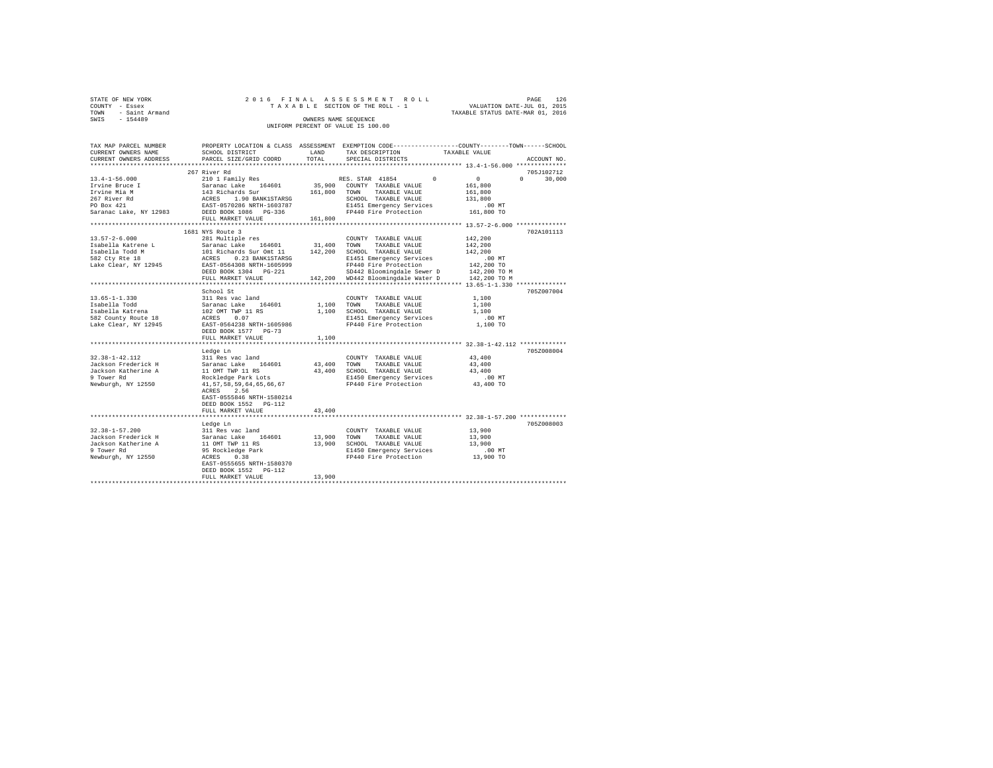| STATE OF NEW YORK   |  | 2016 FINAL ASSESSMENT ROLL         | PAGE                             | 126 |
|---------------------|--|------------------------------------|----------------------------------|-----|
| COUNTY - Essex      |  | TAXABLE SECTION OF THE ROLL - 1    | VALUATION DATE-JUL 01, 2015      |     |
| TOWN - Saint Armand |  |                                    | TAXABLE STATUS DATE-MAR 01, 2016 |     |
| SWIS<br>$-154489$   |  | OWNERS NAME SEOUENCE               |                                  |     |
|                     |  | UNIFORM PERCENT OF VALUE IS 100.00 |                                  |     |

| TAX MAP PARCEL NUMBER<br>CURRENT OWNERS NAME<br>CURRENT OWNERS ADDRESS                                                              | SCHOOL DISTRICT<br>PARCEL SIZE/GRID COORD                                                                                                                                                                                                                                             | LAND<br>TOTAL         | PROPERTY LOCATION & CLASS ASSESSMENT EXEMPTION CODE---------------COUNTY-------TOWN-----SCHOOL<br>TAX DESCRIPTION<br>SPECIAL DISTRICTS                                                                     | TAXABLE VALUE<br>ACCOUNT NO.                                                              |
|-------------------------------------------------------------------------------------------------------------------------------------|---------------------------------------------------------------------------------------------------------------------------------------------------------------------------------------------------------------------------------------------------------------------------------------|-----------------------|------------------------------------------------------------------------------------------------------------------------------------------------------------------------------------------------------------|-------------------------------------------------------------------------------------------|
|                                                                                                                                     |                                                                                                                                                                                                                                                                                       |                       |                                                                                                                                                                                                            |                                                                                           |
| $13.4 - 1 - 56.000$<br>Irvine Bruce I<br>Irvine Mia M<br>267 River Rd<br>PO Box 421<br>Saranac Lake, NY 12983 DEED BOOK 1086 PG-336 | 267 River Rd<br>210 1 Family Res<br>Saranac Lake 164601<br>143 Richards Sur<br>ACRES 1.90 BANK1STARSG<br>EAST-0570286 NRTH-1603787                                                                                                                                                    |                       | RES. STAR 41854<br>$\Omega$<br>35,900 COUNTY TAXABLE VALUE<br>161,800 TOWN<br>TAXABLE VALUE<br>SCHOOL TAXABLE VALUE<br>E1451 Emergency Services<br>FP440 Fire Decision<br>FP440 Fire Protection 161,800 TO | 705J102712<br>$\sim$ 0<br>$\Omega$<br>30,000<br>161,800<br>161,800<br>131,800<br>$.00$ MT |
|                                                                                                                                     | FULL MARKET VALUE                                                                                                                                                                                                                                                                     | 161,800               |                                                                                                                                                                                                            |                                                                                           |
| $13.57 - 2 - 6.000$<br>Isabella Katrene L<br>Isabella Todd M<br>582 Ctv Rte 18<br>Lake Clear, NY 12945                              | 1681 NYS Route 3<br>281 Multiple res<br>Saranac Lake 164601 31,400 TOWN<br>101 Richards Sur Omt 11 142,200 SCHOOL TAXABLE VALUE<br>ACRES 0.23 BANKISTRASG BI451 Emergency Service<br>EAST-0564308 NRTH-1605999 FP440 Fire Protection<br>DEED BOOK 1304    PG-221<br>FULL MARKET VALUE |                       | COUNTY TAXABLE VALUE<br>TAXABLE VALUE<br>E1451 Emergency Services<br>FP440 Fire Protection<br>SD442 Bloomingdale Sewer D 142,200 TO M<br>142,200 WD442 Bloomingdale Water D                                | 702A101113<br>142,200<br>142,200<br>142,200<br>$.00$ MT<br>142,200 TO<br>142,200 TO M     |
|                                                                                                                                     | School St                                                                                                                                                                                                                                                                             |                       |                                                                                                                                                                                                            | 705Z007004                                                                                |
| $13.65 - 1 - 1.330$                                                                                                                 | 311 Res vac land<br>DEED BOOK 1577 PG-73                                                                                                                                                                                                                                              | 1,100 TOWN            | COUNTY TAXABLE VALUE<br>TAXABLE VALUE<br>1,100 SCHOOL TAXABLE VALUE<br>E1451 Emergency Services<br>FP440 Fire Protection                                                                                   | 1,100<br>1,100<br>1,100<br>$.00$ MT<br>1,100 TO                                           |
|                                                                                                                                     | FULL MARKET VALUE                                                                                                                                                                                                                                                                     | 1,100                 |                                                                                                                                                                                                            |                                                                                           |
| $32.38 - 1 - 42.112$<br>Jackson Frederick H<br>Jackson Katherine A<br>9 Tower Rd<br>Newburgh, NY 12550                              | Ledge Ln<br>311 Res vac land<br>Saranac Lake 164601<br>11 OMT TWP 11 RS<br>Rockledge Park Lots<br>41, 57, 58, 59, 64, 65, 66, 67<br>ACRES 2.56<br>EAST-0555846 NRTH-1580214<br>DEED BOOK 1552 PG-112<br>FULL MARKET VALUE                                                             | 43,400 TOWN<br>43,400 | COUNTY TAXABLE VALUE<br>TAXABLE VALUE<br>43,400 SCHOOL TAXABLE VALUE<br>E1450 Emergency Services<br>FP440 Fire Protection                                                                                  | 705Z008004<br>43,400<br>43,400<br>43,400<br>.00 MT<br>43,400 TO                           |
|                                                                                                                                     | Ledge Ln                                                                                                                                                                                                                                                                              |                       |                                                                                                                                                                                                            | 705Z008003                                                                                |
| $32.38 - 1 - 57.200$<br>Jackson Frederick H<br>Jackson Katherine A<br>9 Tower Rd<br>Newburgh, NY 12550                              | 311 Res vac land<br>Saranac Lake 164601<br>11 OMT TWP 11 RS<br>95 Rockledge Park<br>ACRES 0.38<br>ACRES<br>0.38<br>EAST-0555655 NRTH-1580370<br>DEED BOOK 1552 PG-112<br>FULL MARKET VALUE                                                                                            | 13,900 TOWN<br>13,900 | COUNTY TAXABLE VALUE<br>TAXABLE VALUE<br>13,900 SCHOOL TAXABLE VALUE<br>E1450 Emergency Services<br>FP440 Fire Protection                                                                                  | 13,900<br>13,900<br>13,900<br>$.00$ MT<br>13,900 TO                                       |
|                                                                                                                                     |                                                                                                                                                                                                                                                                                       |                       |                                                                                                                                                                                                            |                                                                                           |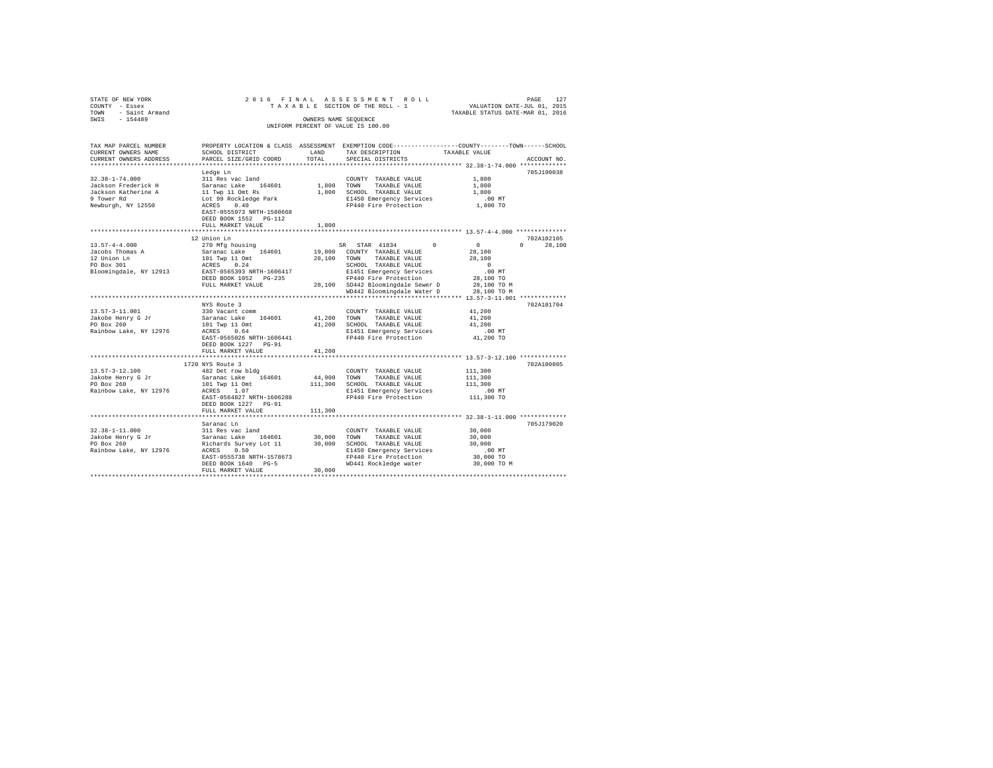| STATE OF NEW YORK<br>COUNTY - Essex<br>TOWN - Saint Armand | 2016 FINAL                                                                            |             | ASSESSMENT ROLL<br>TAXABLE SECTION OF THE ROLL - 1                                             | PAGE 127<br>VALUATION DATE-JUL 01, 2015<br>TAXABLE STATUS DATE-MAR 01, 2016 |               |
|------------------------------------------------------------|---------------------------------------------------------------------------------------|-------------|------------------------------------------------------------------------------------------------|-----------------------------------------------------------------------------|---------------|
| SWIS<br>$-154489$                                          |                                                                                       |             | OWNERS NAME SEOUENCE                                                                           |                                                                             |               |
|                                                            |                                                                                       |             | UNIFORM PERCENT OF VALUE IS 100.00                                                             |                                                                             |               |
| TAX MAP PARCEL NUMBER                                      |                                                                                       |             | PROPERTY LOCATION & CLASS ASSESSMENT EXEMPTION CODE---------------COUNTY-------TOWN-----SCHOOL |                                                                             |               |
| CURRENT OWNERS NAME                                        | SCHOOL DISTRICT                                                                       | LAND        | TAX DESCRIPTION                                                                                | TAXABLE VALUE                                                               |               |
| CURRENT OWNERS ADDRESS<br>***********************          | PARCEL SIZE/GRID COORD                                                                | TOTAL       | SPECIAL DISTRICTS                                                                              |                                                                             | ACCOUNT NO    |
|                                                            | Ledge Ln                                                                              |             |                                                                                                |                                                                             | 705J190038    |
| $32.38 - 1 - 74.000$                                       | 311 Res vac land                                                                      |             | COUNTY TAXABLE VALUE                                                                           | 1,800                                                                       |               |
| Jackson Frederick H                                        | Saranac Lake 164601                                                                   | 1,800 TOWN  | TAXABLE VALUE                                                                                  | 1,800                                                                       |               |
| Jackson Katherine A                                        | 11 Twp 11 Omt Rs                                                                      |             | 1,800 SCHOOL TAXABLE VALUE                                                                     | 1,800                                                                       |               |
| 9 Tower Rd                                                 | Lot 99 Rockledge Park                                                                 |             | E1450 Emergency Services                                                                       | $.00$ MT                                                                    |               |
| Newburgh, NY 12550                                         | ACRES 0.40<br>EAST-0555973 NRTH-1580668<br>DEED BOOK 1552 PG-112<br>FULL MARKET VALUE | 1,800       | FP440 Fire Protection                                                                          | 1,800 TO                                                                    |               |
|                                                            |                                                                                       |             | ********************************** 13.57-4-4.000 ***************                               |                                                                             |               |
|                                                            | 12 Union Ln                                                                           |             |                                                                                                |                                                                             | 702A102105    |
| $13.57 - 4 - 4.000$                                        | 270 Mfg housing                                                                       |             | $\Omega$<br>SR STAR 41834                                                                      | $\overline{0}$                                                              | $0 \t 28.100$ |
| Jacobs Thomas A                                            | Saranac Lake 164601                                                                   |             | 19,800 COUNTY TAXABLE VALUE                                                                    | 28,100                                                                      |               |
| 12 Union Ln                                                | 101 Twp 11 Omt                                                                        |             | 28,100 TOWN TAXABLE VALUE                                                                      | 28,100                                                                      |               |
| PO Box 301                                                 | ACRES 0.24                                                                            |             | SCHOOL TAXABLE VALUE                                                                           | $\sim$ 0                                                                    |               |
| Bloomingdale, NY 12913                                     | EAST-0565393 NRTH-1606417                                                             |             | E1451 Emergency Services                                                                       | .00 MT                                                                      |               |
|                                                            | DEED BOOK 1052 PG-235<br>FULL MARKET VALUE                                            |             | FP440 Fire Protection<br>28,100 SD442 Bloomingdale Sewer D                                     | 28,100 TO<br>28,100 TO M                                                    |               |
|                                                            |                                                                                       |             | WD442 Bloomingdale Water D                                                                     | 28,100 TO M                                                                 |               |
|                                                            |                                                                                       |             | ****************************** 13.57-3-11.001 ***********                                      |                                                                             |               |
|                                                            | NYS Route 3                                                                           |             |                                                                                                |                                                                             | 702A101704    |
| $13.57 - 3 - 11.001$                                       | 330 Vacant comm                                                                       |             | COUNTY TAXABLE VALUE                                                                           | 41,200                                                                      |               |
| Jakobe Henry G Jr                                          | Saranac Lake 164601                                                                   | 41,200 TOWN | TAXABLE VALUE                                                                                  | 41,200                                                                      |               |
| PO Box 260                                                 | 101 Twp 11 Omt                                                                        |             | 41,200 SCHOOL TAXABLE VALUE                                                                    | 41,200                                                                      |               |
| Rainbow Lake, NY 12976                                     | ACRES 0.64                                                                            |             | E1451 Emergency Services<br>FP440 Fire Protection                                              | $.00$ MT                                                                    |               |
|                                                            | EAST-0565026 NRTH-1606441                                                             |             |                                                                                                | 41,200 TO                                                                   |               |
|                                                            | DEED BOOK 1227    PG-91                                                               |             |                                                                                                |                                                                             |               |
|                                                            | FULL MARKET VALUE<br>*************************                                        | 41,200      |                                                                                                |                                                                             |               |
|                                                            |                                                                                       |             |                                                                                                |                                                                             | 702A100805    |
| $13.57 - 3 - 12.100$                                       | 1720 NYS Route 3<br>482 Det row bldg                                                  |             | COUNTY TAXABLE VALUE                                                                           | 111,300                                                                     |               |
| Jakobe Henry G Jr                                          | Saranac Lake 164601                                                                   |             | 44.900 TOWN<br>TAXABLE VALUE                                                                   | 111,300                                                                     |               |
| PO Box 260                                                 | 101 Twp 11 Omt                                                                        |             | 111,300 SCHOOL TAXABLE VALUE                                                                   | 111,300                                                                     |               |
| Rainbow Lake, NY 12976                                     | ACRES 1.07                                                                            |             | E1451 Emergency Services                                                                       | $.00$ MT                                                                    |               |
|                                                            | EAST-0564827 NRTH-1606288                                                             |             | FP440 Fire Protection                                                                          | 111,300 TO                                                                  |               |
|                                                            | DEED BOOK 1227 PG-91                                                                  |             |                                                                                                |                                                                             |               |
|                                                            | FULL MARKET VALUE                                                                     | 111,300     |                                                                                                |                                                                             |               |
|                                                            |                                                                                       |             |                                                                                                |                                                                             |               |
|                                                            | Saranac Ln                                                                            |             |                                                                                                |                                                                             | 705J179020    |
| $32.38 - 1 - 11.000$                                       | 311 Res vac land                                                                      |             | COUNTY TAXABLE VALUE                                                                           | 30,000                                                                      |               |
| Jakobe Henry G Jr                                          | Saranac Lake 164601                                                                   | 30,000 TOWN | TAXABLE VALUE                                                                                  | 30,000                                                                      |               |
| PO Box 260                                                 | Richards Survey Lot 11                                                                |             | 30,000 SCHOOL TAXABLE VALUE                                                                    | 30,000                                                                      |               |
| Rainbow Lake, NY 12976                                     | ACRES 0.50                                                                            |             | E1450 Emergency Services                                                                       | $.00$ MT<br>30,000 TO                                                       |               |
|                                                            | EAST-0555738 NRTH-1578673<br>DEED BOOK 1640 PG-5                                      |             | FP440 Fire Protection<br>WD441 Rockledge water                                                 | 30,000 TO M                                                                 |               |
|                                                            | FULL MARKET VALUE                                                                     | 30,000      |                                                                                                |                                                                             |               |
|                                                            |                                                                                       |             |                                                                                                |                                                                             |               |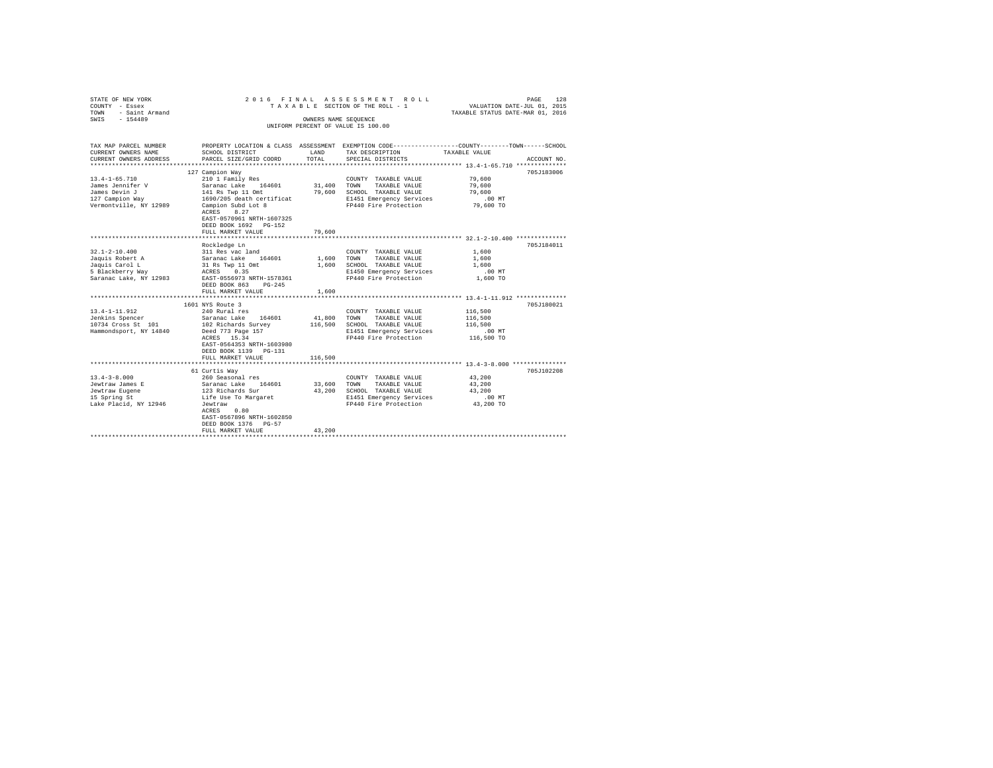| STATE OF NEW YORK<br>COUNTY - Essex<br>TOWN<br>- Saint Armand<br>SWIS - 154489                                                                                                                   | 2016 FINAL                                                                                                                                                                                                                                                                                                                                          |                                   | ASSESSMENT ROLL<br>TAXABLE SECTION OF THE ROLL - 1<br>OWNERS NAME SEQUENCE                                                                                                                                                                                       | 128<br>PAGE<br>VALUATION DATE-JUL 01, 2015<br>TAXABLE STATUS DATE-MAR 01, 2016                                                       |
|--------------------------------------------------------------------------------------------------------------------------------------------------------------------------------------------------|-----------------------------------------------------------------------------------------------------------------------------------------------------------------------------------------------------------------------------------------------------------------------------------------------------------------------------------------------------|-----------------------------------|------------------------------------------------------------------------------------------------------------------------------------------------------------------------------------------------------------------------------------------------------------------|--------------------------------------------------------------------------------------------------------------------------------------|
|                                                                                                                                                                                                  |                                                                                                                                                                                                                                                                                                                                                     |                                   | UNIFORM PERCENT OF VALUE IS 100.00                                                                                                                                                                                                                               |                                                                                                                                      |
| TAX MAP PARCEL NUMBER<br>CURRENT OWNERS NAME                                                                                                                                                     | SCHOOL DISTRICT                                                                                                                                                                                                                                                                                                                                     | LAND                              | TAX DESCRIPTION                                                                                                                                                                                                                                                  | PROPERTY LOCATION & CLASS ASSESSMENT EXEMPTION CODE---------------COUNTY-------TOWN------SCHOOL<br>TAXABLE VALUE                     |
| CURRENT OWNERS ADDRESS                                                                                                                                                                           | PARCEL SIZE/GRID COORD                                                                                                                                                                                                                                                                                                                              | TOTAL                             | SPECIAL DISTRICTS                                                                                                                                                                                                                                                | ACCOUNT NO.                                                                                                                          |
|                                                                                                                                                                                                  |                                                                                                                                                                                                                                                                                                                                                     |                                   |                                                                                                                                                                                                                                                                  |                                                                                                                                      |
| $13.4 - 1 - 65.710$<br>James Jennifer V<br>James Devin J<br>127 Campion Way                                                                                                                      | 127 Campion Way<br>210 1 Family Res<br>Saranac Lake 164601<br>141 Rs Twp 11 Omt<br>1690/205 death certificat                                                                                                                                                                                                                                        | 31,400                            | COUNTY TAXABLE VALUE<br>TOWN<br>TAXABLE VALUE<br>79,600 SCHOOL TAXABLE VALUE<br>E1451 Emergency Services                                                                                                                                                         | 705J183006<br>79,600<br>79,600<br>79,600<br>$.00$ MT<br>79,600 TO                                                                    |
| Vermontville, NY 12989                                                                                                                                                                           | Campion Subd Lot 8<br>ACRES 8.27<br>EAST-0570961 NRTH-1607325<br>DEED BOOK 1692 PG-152<br>FULL MARKET VALUE                                                                                                                                                                                                                                         | 79,600                            | FP440 Fire Protection                                                                                                                                                                                                                                            |                                                                                                                                      |
|                                                                                                                                                                                                  |                                                                                                                                                                                                                                                                                                                                                     |                                   |                                                                                                                                                                                                                                                                  |                                                                                                                                      |
| $32.1 - 2 - 10.400$<br>Jaquis Robert A<br>Jaquis Carol L<br>5 Blackberry Way<br>Saranac Lake, NY 12983<br>$13.4 - 1 - 11.912$<br>Jenkins Spencer<br>10734 Cross St 101<br>Hammondsport, NY 14840 | Rockledge Ln<br>311 Res vac land<br>Saranac Lake 164601<br>31 Rs Twp 11 Omt<br>ACRES 0.35<br>EAST-0556973 NRTH-1578361<br>DEED BOOK 863 PG-245<br>FULL MARKET VALUE<br>1601 NYS Route 3<br>240 Rural res<br>Saranac Lake 164601<br>102 Richards Survey<br>Deed 773 Page 157<br>ACRES 15.34<br>EAST-0564353 NRTH-1603980<br>DEED BOOK 1139    PG-131 | 1,600<br>1,600<br>1,600<br>41,800 | COUNTY TAXABLE VALUE<br>TOWN<br>TAXABLE VALUE<br>SCHOOL TAXABLE VALUE<br>E1450 Emergency Services<br>FP440 Fire Protection<br>COUNTY TAXABLE VALUE<br>TOWN<br>TAXABLE VALUE<br>116,500 SCHOOL TAXABLE VALUE<br>E1451 Emergency Services<br>FP440 Fire Protection | 705J184011<br>1,600<br>1,600<br>1,600<br>.00 MT<br>1,600 TO<br>705J180021<br>116,500<br>116,500<br>116,500<br>$.00$ MT<br>116,500 TO |
|                                                                                                                                                                                                  | FULL MARKET VALUE<br>****************************                                                                                                                                                                                                                                                                                                   | 116,500                           |                                                                                                                                                                                                                                                                  | ******************************* 13.4-3-8.000 ****************                                                                        |
| $13.4 - 3 - 8.000$<br>Jewtraw James E<br>Jewtraw Eugene<br>15 Spring St<br>Lake Placid, NY 12946                                                                                                 | 61 Curtis Way<br>260 Seasonal res<br>Saranac Lake 164601<br>123 Richards Sur<br>Life Use To Margaret<br>Jewtraw<br>ACRES 0.80<br>EAST-0567896 NRTH-1602850<br>DEED BOOK 1376 PG-57<br>FULL MARKET VALUE                                                                                                                                             | 33,600<br>43,200<br>43,200        | COUNTY TAXABLE VALUE<br>TOWN<br>TAXABLE VALUE<br>SCHOOL TAXABLE VALUE<br>E1451 Emergency Services<br>FP440 Fire Protection                                                                                                                                       | 705J102208<br>43,200<br>43,200<br>43,200<br>$.00$ MT<br>43,200 TO                                                                    |
|                                                                                                                                                                                                  |                                                                                                                                                                                                                                                                                                                                                     |                                   |                                                                                                                                                                                                                                                                  |                                                                                                                                      |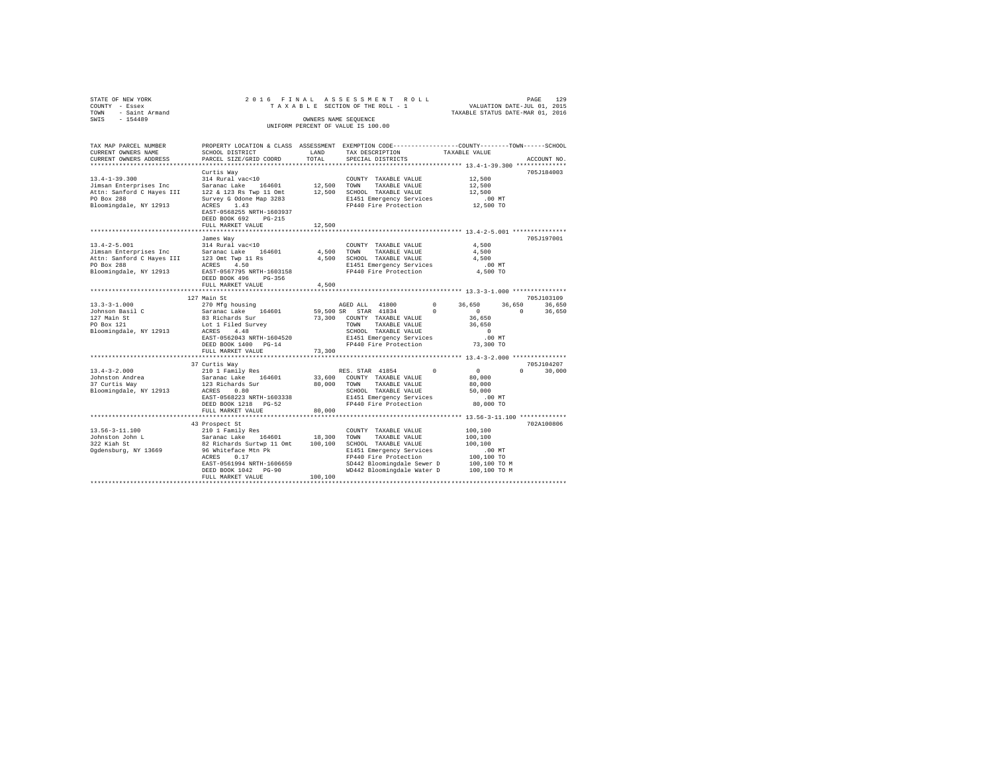| STATE OF NEW YORK                                                                                                                      | 2016 FINAL                             |         | ASSESSMENT ROLL                                                                                |                                  | PAGE<br>129        |
|----------------------------------------------------------------------------------------------------------------------------------------|----------------------------------------|---------|------------------------------------------------------------------------------------------------|----------------------------------|--------------------|
| COUNTY - Essex                                                                                                                         |                                        |         | TAXABLE SECTION OF THE ROLL - 1                                                                | VALUATION DATE-JUL 01, 2015      |                    |
| <b>TOWN</b><br>- Saint Armand<br>$-154489$<br>SWIS                                                                                     |                                        |         | OWNERS NAME SEQUENCE                                                                           | TAXABLE STATUS DATE-MAR 01, 2016 |                    |
|                                                                                                                                        |                                        |         | UNIFORM PERCENT OF VALUE IS 100.00                                                             |                                  |                    |
|                                                                                                                                        |                                        |         |                                                                                                |                                  |                    |
|                                                                                                                                        |                                        |         |                                                                                                |                                  |                    |
| TAX MAP PARCEL NUMBER                                                                                                                  |                                        |         | PROPERTY LOCATION & CLASS ASSESSMENT EXEMPTION CODE---------------COUNTY-------TOWN-----SCHOOL |                                  |                    |
| CURRENT OWNERS NAME                                                                                                                    | SCHOOL DISTRICT                        | LAND    | TAX DESCRIPTION                                                                                | TAXABLE VALUE                    |                    |
| CURRENT OWNERS ADDRESS                                                                                                                 | PARCEL SIZE/GRID COORD                 | TOTAL   | SPECIAL DISTRICTS                                                                              |                                  | ACCOUNT NO.        |
|                                                                                                                                        |                                        |         |                                                                                                |                                  |                    |
|                                                                                                                                        | Curtis Way                             |         |                                                                                                |                                  | 705J184003         |
| $13.4 - 1 - 39.300$                                                                                                                    | 314 Rural vac<10                       |         | COUNTY TAXABLE VALUE                                                                           | 12,500                           |                    |
| Jimsan Enterprises Inc                                                                                                                 | Saranac Lake 164601                    | 12,500  | TAXABLE VALUE<br>TOWN                                                                          | 12,500                           |                    |
| Attn: Sanford C Hayes III                                                                                                              | 122 & 123 Rs Twp 11 Omt 12,500         |         | SCHOOL TAXABLE VALUE                                                                           | 12,500                           |                    |
| PO Box 288<br>Bloomingdale, NY 12913                                                                                                   | Survey G Odone Map 3283<br>ACRES 1.43  |         | E1451 Emergency Services                                                                       | $.00$ MT<br>12,500 TO            |                    |
|                                                                                                                                        | EAST-0568255 NRTH-1603937              |         | FP440 Fire Protection                                                                          |                                  |                    |
|                                                                                                                                        | DEED BOOK 692 PG-215                   |         |                                                                                                |                                  |                    |
|                                                                                                                                        | FULL MARKET VALUE                      | 12,500  |                                                                                                |                                  |                    |
|                                                                                                                                        |                                        |         |                                                                                                |                                  |                    |
|                                                                                                                                        | James Way                              |         |                                                                                                |                                  | 705J197001         |
| $13.4 - 2 - 5.001$                                                                                                                     | 314 Rural vac<10                       |         | COUNTY TAXABLE VALUE                                                                           | 4,500                            |                    |
| 13.4-2-3.000<br>Jimsan Enterprises Inc (Saranac Lake 164601)<br>Attn: Sanford C Hayes III 123 Omt Twp 11 Rs<br>PO Box 288 (ACRES 4.50) |                                        | 4,500   | TOWN<br>TAXABLE VALUE                                                                          | 4,500                            |                    |
|                                                                                                                                        |                                        | 4,500   | SCHOOL TAXABLE VALUE                                                                           | 4.500                            |                    |
|                                                                                                                                        |                                        |         | E1451 Emergency Services                                                                       | $.00$ MT                         |                    |
| Bloomingdale, NY 12913                                                                                                                 | EAST-0567795 NRTH-1603158              |         | FP440 Fire Protection                                                                          | 4,500 TO                         |                    |
|                                                                                                                                        | DEED BOOK 496 PG-356                   |         |                                                                                                |                                  |                    |
|                                                                                                                                        | FULL MARKET VALUE                      | 4,500   |                                                                                                |                                  |                    |
|                                                                                                                                        |                                        |         |                                                                                                |                                  |                    |
|                                                                                                                                        | 127 Main St                            |         |                                                                                                |                                  | 705J103109         |
| $13.3 - 3 - 1.000$                                                                                                                     | 270 Mfg housing                        |         | AGED ALL 41800<br>$^{\circ}$                                                                   | 36,650<br>36,650                 | 36,650             |
| Johnson Basil C                                                                                                                        | Saranac Lake 164601<br>83 Richards Sur |         | 59,500 SR STAR 41834<br>$^{\circ}$                                                             | $\sim$ 0<br>36,650               | $\circ$<br>36,650  |
| 127 Main St<br>PO Box 121<br>PO Box 121                                                                                                |                                        |         | 73,300 COUNTY TAXABLE VALUE<br>TOWN<br>TAXABLE VALUE                                           | 36,650                           |                    |
| Bloomingdale, NY 12913                                                                                                                 | Lot 1 Filed Survey<br>ACRES 4.48       |         | SCHOOL TAXABLE VALUE                                                                           | $\Omega$                         |                    |
|                                                                                                                                        | EAST-0562043 NRTH-1604520              |         | E1451 Emergency Services                                                                       | $.00$ MT                         |                    |
|                                                                                                                                        | DEED BOOK 1400 PG-14                   |         | FP440 Fire Protection                                                                          | 73,300 TO                        |                    |
|                                                                                                                                        | FULL MARKET VALUE                      | 73,300  |                                                                                                |                                  |                    |
|                                                                                                                                        |                                        |         |                                                                                                |                                  |                    |
|                                                                                                                                        | 37 Curtis Way                          |         |                                                                                                |                                  | 705J104207         |
| $13.4 - 3 - 2.000$                                                                                                                     | 210 1 Family Res                       |         | RES. STAR 41854                                                                                | $\sim$ 0                         | $\Omega$<br>30,000 |
| Johnston Andrea<br>37 Curtis Way                                                                                                       | Saranac Lake 164601                    | 33,600  | COUNTY TAXABLE VALUE                                                                           | 80,000                           |                    |
|                                                                                                                                        | 123 Richards Sur                       | 80,000  | TOWN<br>TAXABLE VALUE                                                                          | 80,000                           |                    |
| Bloomingdale, NY 12913                                                                                                                 | ACRES 0.80                             |         | SCHOOL TAXABLE VALUE                                                                           | 50,000                           |                    |
|                                                                                                                                        | EAST-0568223 NRTH-1603338              |         | E1451 Emergency Services                                                                       | $.00$ MT                         |                    |
|                                                                                                                                        | DEED BOOK 1218 PG-52                   |         | FP440 Fire Protection                                                                          | 80,000 TO                        |                    |
|                                                                                                                                        | FULL MARKET VALUE                      | 80,000  |                                                                                                |                                  |                    |
|                                                                                                                                        |                                        |         |                                                                                                |                                  | 702A100806         |
| 13.56-3-11.100                                                                                                                         | 43 Prospect St<br>210 1 Family Res     |         | COUNTY TAXABLE VALUE                                                                           | 100,100                          |                    |
| Johnston John L                                                                                                                        | Saranac Lake 164601                    | 18,300  | TOWN<br>TAXABLE VALUE                                                                          | 100,100                          |                    |
|                                                                                                                                        | 82 Richards Surtwp 11 Omt              | 100,100 | SCHOOL TAXABLE VALUE                                                                           | 100,100                          |                    |
| Seem wonn L<br>322 Kiah St<br>Ogdensky<br>Ogdensburg, NY 13669                                                                         | 96 Whiteface Mtn Pk                    |         | E1451 Emergency Services                                                                       | $.00$ MT                         |                    |
|                                                                                                                                        | ACRES 0.17                             |         | FP440 Fire Protection                                                                          | 100,100 TO                       |                    |
|                                                                                                                                        | EAST-0561994 NRTH-1606659              |         | SD442 Bloomingdale Sewer D                                                                     | 100,100 TO M                     |                    |
|                                                                                                                                        | DEED BOOK 1042 PG-90                   |         | WD442 Bloomingdale Water D                                                                     | 100,100 TO M                     |                    |
|                                                                                                                                        | FULL MARKET VALUE                      | 100,100 |                                                                                                |                                  |                    |
|                                                                                                                                        |                                        |         |                                                                                                |                                  |                    |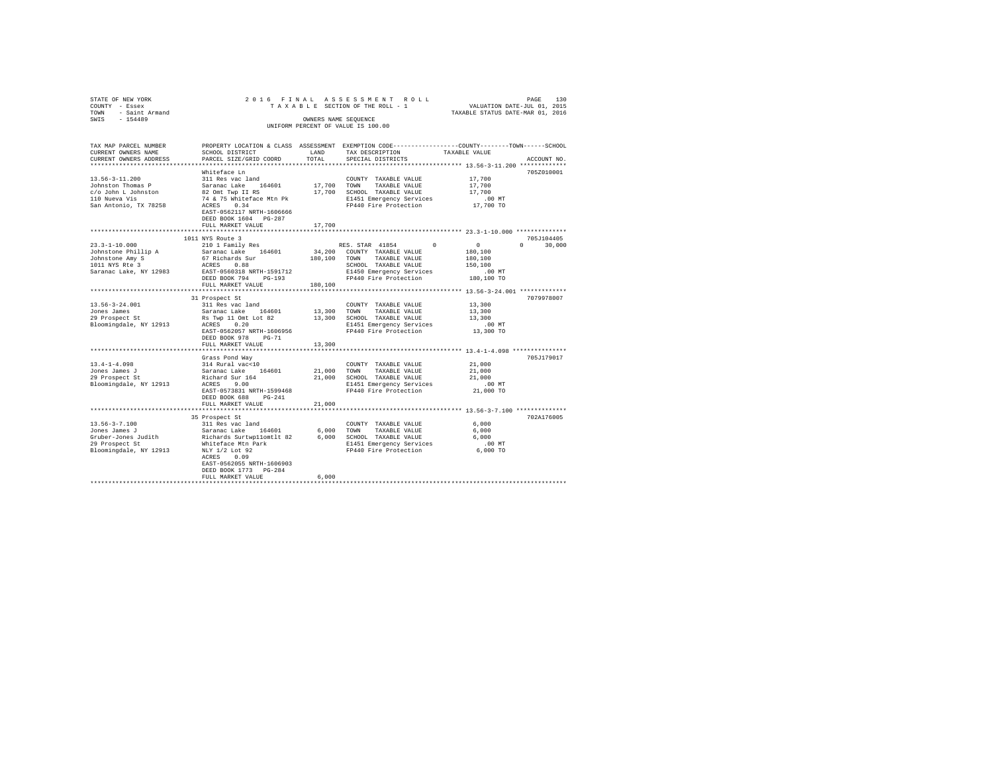| STATE OF NEW YORK<br>COUNTY - Essex | 2016 FINAL                                                       |                      | ASSESSMENT ROLL<br>TAXABLE SECTION OF THE ROLL - 1                                             | PAGE 130<br>VALUATION DATE-JUL 01, 2015<br>TAXABLE STATUS DATE-MAR 01, 2016 |             |
|-------------------------------------|------------------------------------------------------------------|----------------------|------------------------------------------------------------------------------------------------|-----------------------------------------------------------------------------|-------------|
| - Saint Armand<br>TOWN              |                                                                  |                      |                                                                                                |                                                                             |             |
| $-154489$<br>SWIS                   |                                                                  | OWNERS NAME SEQUENCE | UNIFORM PERCENT OF VALUE IS 100.00                                                             |                                                                             |             |
| TAX MAP PARCEL NUMBER               |                                                                  |                      | PROPERTY LOCATION & CLASS ASSESSMENT EXEMPTION CODE---------------COUNTY-------TOWN-----SCHOOL |                                                                             |             |
| CURRENT OWNERS NAME                 | SCHOOL DISTRICT                                                  | LAND                 | TAX DESCRIPTION                                                                                | TAXABLE VALUE                                                               |             |
| CURRENT OWNERS ADDRESS              | PARCEL SIZE/GRID COORD                                           | TOTAL                | SPECIAL DISTRICTS                                                                              |                                                                             | ACCOUNT NO. |
|                                     | Whiteface Ln                                                     |                      |                                                                                                |                                                                             | 705Z010001  |
| $13.56 - 3 - 11.200$                | 311 Res vac land                                                 |                      | COUNTY TAXABLE VALUE                                                                           | 17,700                                                                      |             |
| Johnston Thomas P                   | Saranac Lake 164601                                              | 17,700 TOWN          | TAXABLE VALUE                                                                                  | 17,700                                                                      |             |
| c/o John L Johnston                 | 82 Omt Twp II RS                                                 |                      | 17,700 SCHOOL TAXABLE VALUE                                                                    | 17,700                                                                      |             |
| 110 Nueva Vis                       | 74 & 75 Whiteface Mtn Pk                                         |                      | E1451 Emergency Services                                                                       | $.00$ MT                                                                    |             |
| San Antonio, TX 78258               | ACRES 0.34<br>EAST-0562117 NRTH-1606666<br>DEED BOOK 1604 PG-287 |                      | FP440 Fire Protection                                                                          | 17,700 TO                                                                   |             |
|                                     | FULL MARKET VALUE                                                | 17,700               |                                                                                                |                                                                             |             |
|                                     |                                                                  |                      |                                                                                                |                                                                             |             |
|                                     | 1011 NYS Route 3                                                 |                      |                                                                                                |                                                                             | 705J104405  |
| $23.3 - 1 - 10.000$                 | 210 1 Family Res                                                 |                      | RES. STAR 41854 0                                                                              | $\sim$ 0<br>$\Omega$                                                        | 30,000      |
| Johnstone Phillip A                 | Saranac Lake 164601                                              |                      | 34,200 COUNTY TAXABLE VALUE                                                                    | 180,100                                                                     |             |
| Johnstone Amy S<br>1011 NYS Rte 3   | 67 Richards Sur<br>ACRES 0.88                                    | 180,100 TOWN         | TAXABLE VALUE                                                                                  | 180,100<br>150,100                                                          |             |
| Saranac Lake, NY 12983              | EAST-0560318 NRTH-1591712                                        |                      | SCHOOL TAXABLE VALUE<br>E1450 Emergency Services                                               | $.00$ MT                                                                    |             |
|                                     | DEED BOOK 794 PG-193                                             |                      | FP440 Fire Protection                                                                          | 180,100 TO                                                                  |             |
|                                     | FULL MARKET VALUE                                                | 180,100              |                                                                                                |                                                                             |             |
|                                     |                                                                  |                      |                                                                                                |                                                                             |             |
|                                     | 31 Prospect St                                                   |                      |                                                                                                |                                                                             | 7079978007  |
| $13.56 - 3 - 24.001$                | 311 Res vac land                                                 |                      | COUNTY TAXABLE VALUE                                                                           | 13,300                                                                      |             |
| Jones James<br>29 Prospect St       | Saranac Lake 164601<br>Rs Twp 11 Omt Lot 82                      | 13,300               | TOWN<br>TAXABLE VALUE<br>13,300 SCHOOL TAXABLE VALUE                                           | 13,300<br>13,300                                                            |             |
| Bloomingdale, NY 12913              | ACRES 0.20                                                       |                      | E1451 Emergency Services                                                                       | $.00$ MT                                                                    |             |
|                                     | EAST-0562057 NRTH-1606956                                        |                      | FP440 Fire Protection                                                                          | 13,300 TO                                                                   |             |
|                                     | $PG-71$<br>DEED BOOK 978                                         |                      |                                                                                                |                                                                             |             |
|                                     | FULL MARKET VALUE                                                | 13,300               |                                                                                                |                                                                             |             |
|                                     |                                                                  |                      |                                                                                                |                                                                             |             |
|                                     | Grass Pond Way                                                   |                      |                                                                                                |                                                                             | 705J179017  |
| $13.4 - 1 - 4.098$<br>Jones James J |                                                                  | 21,000               | COUNTY TAXABLE VALUE<br>TOWN TAXABLE VALUE                                                     | 21,000<br>21,000                                                            |             |
| 29 Prospect St                      | 314 Rural vac<10<br>Saranac Lake 164601<br>Richard Sur 164       |                      | 21,000 SCHOOL TAXABLE VALUE                                                                    | 21,000                                                                      |             |
| Bloomingdale, NY 12913              | ACRES 9.00                                                       |                      | E1451 Emergency Services                                                                       | .00MT                                                                       |             |
|                                     | EAST-0573831 NRTH-1599468                                        |                      | FP440 Fire Protection                                                                          | 21,000 TO                                                                   |             |
|                                     | DEED BOOK 688 PG-241                                             |                      |                                                                                                |                                                                             |             |
|                                     | FULL MARKET VALUE                                                | 21,000               |                                                                                                |                                                                             |             |
|                                     | 35 Prospect St                                                   |                      |                                                                                                | ********************** 13.56-3-7.100 *************                          | 702A176005  |
| $13.56 - 3 - 7.100$                 | 311 Res vac land                                                 |                      | COUNTY TAXABLE VALUE                                                                           | 6.000                                                                       |             |
| Jones James J                       | Saranac Lake 164601                                              | 6,000                | TOWN<br>TAXABLE VALUE                                                                          | 6,000                                                                       |             |
| Gruber-Jones Judith                 | Richards Surtwpllomtlt 82                                        |                      | 6,000 SCHOOL TAXABLE VALUE                                                                     | 6.000                                                                       |             |
| 29 Prospect St                      | Whiteface Mtn Park<br>NLY 1/2 Lot 92                             |                      | E1451 Emergency Services                                                                       | $.00$ MT                                                                    |             |
| Bloomingdale, NY 12913              | NLY 1/2 Lot 92                                                   |                      | FP440 Fire Protection                                                                          | 6,000 TO                                                                    |             |
|                                     | ACRES 0.09<br>EAST-0562055 NRTH-1606903                          |                      |                                                                                                |                                                                             |             |
|                                     | DEED BOOK 1773 PG-284                                            |                      |                                                                                                |                                                                             |             |
|                                     | FULL MARKET VALUE                                                | 6.000                |                                                                                                |                                                                             |             |
|                                     |                                                                  |                      |                                                                                                |                                                                             |             |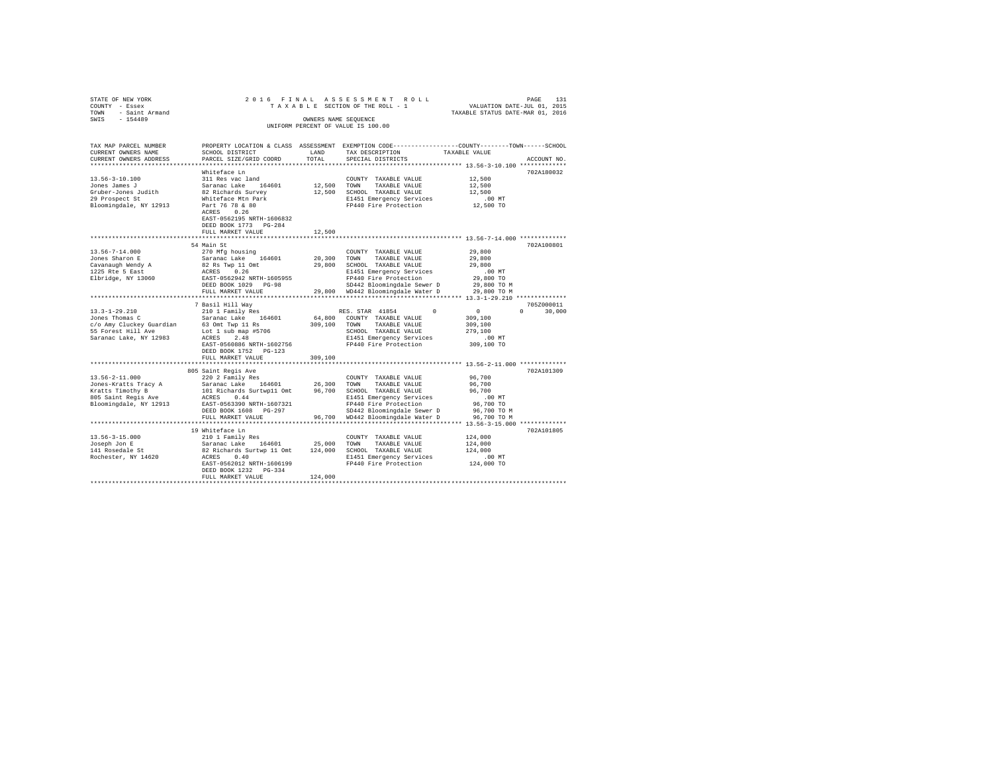| STATE OF NEW YORK<br>COUNTY - Essex      | 2016 FINAL                                                                                                                    |                      | ASSESSMENT ROLL<br>TAXABLE SECTION OF THE ROLL - 1                                             | PAGE 131<br>VALUATION DATE-JUL 01, 2015 |
|------------------------------------------|-------------------------------------------------------------------------------------------------------------------------------|----------------------|------------------------------------------------------------------------------------------------|-----------------------------------------|
| TOWN - Saint Armand                      |                                                                                                                               |                      |                                                                                                | TAXABLE STATUS DATE-MAR 01, 2016        |
| $-154489$<br>SWIS                        |                                                                                                                               | OWNERS NAME SEQUENCE |                                                                                                |                                         |
|                                          |                                                                                                                               |                      | UNIFORM PERCENT OF VALUE IS 100.00                                                             |                                         |
|                                          |                                                                                                                               |                      |                                                                                                |                                         |
|                                          |                                                                                                                               |                      |                                                                                                |                                         |
| TAX MAP PARCEL NUMBER                    |                                                                                                                               |                      | PROPERTY LOCATION & CLASS ASSESSMENT EXEMPTION CODE---------------COUNTY-------TOWN-----SCHOOL |                                         |
| CURRENT OWNERS NAME                      | SCHOOL DISTRICT                                                                                                               | LAND                 | TAX DESCRIPTION                                                                                | TAXABLE VALUE                           |
| CURRENT OWNERS ADDRESS                   | PARCEL SIZE/GRID COORD                                                                                                        | TOTAL                | SPECIAL DISTRICTS                                                                              | ACCOUNT NO.                             |
|                                          |                                                                                                                               |                      |                                                                                                |                                         |
|                                          | Whiteface Ln                                                                                                                  |                      |                                                                                                | 702A180032                              |
| $13.56 - 3 - 10.100$                     | 311 Res vac land                                                                                                              |                      | COUNTY TAXABLE VALUE                                                                           | 12,500                                  |
| Jones James J<br>Gruber-Jones Judith     | Saranac Lake 164601                                                                                                           | 12,500 TOWN          | TAXABLE VALUE                                                                                  | 12,500<br>12,500                        |
|                                          | 82 Richards Survey<br>Whiteface Mtn Park                                                                                      |                      | 12,500 SCHOOL TAXABLE VALUE                                                                    |                                         |
| 29 Prospect St<br>Bloomingdale, NY 12913 | Part 76 78 & 80                                                                                                               |                      | E1451 Emergency Services<br>FP440 Fire Protection                                              | $.00$ MT<br>12,500 TO                   |
|                                          | ACRES 0.26                                                                                                                    |                      |                                                                                                |                                         |
|                                          | EAST-0562195 NRTH-1606832                                                                                                     |                      |                                                                                                |                                         |
|                                          | DEED BOOK 1773 PG-284                                                                                                         |                      |                                                                                                |                                         |
|                                          | FULL MARKET VALUE                                                                                                             | 12,500               |                                                                                                |                                         |
|                                          |                                                                                                                               |                      |                                                                                                |                                         |
|                                          | 54 Main St                                                                                                                    |                      |                                                                                                | 702A100801                              |
| $13.56 - 7 - 14.000$                     | 270 Mfg housing                                                                                                               |                      | COUNTY TAXABLE VALUE                                                                           | 29,800                                  |
| Jones Sharon E                           | Saranac Lake 164601                                                                                                           |                      | 20,300 TOWN<br>TAXABLE VALUE                                                                   | 29,800                                  |
|                                          | 82 Rs Twp 11 Omt                                                                                                              |                      | 29,800 SCHOOL TAXABLE VALUE                                                                    | 29,800                                  |
| Cavanaugh Wendy A<br>1225 Rte 5 East     | ACRES 0.26                                                                                                                    |                      | E1451 Emergency Services                                                                       | $.00$ MT                                |
| Elbridge, NY 13060                       | EAST-0562942 NRTH-1605955                                                                                                     |                      | FP440 Fire Protection                                                                          | 29,800 TO                               |
|                                          | DEED BOOK 1029 PG-98                                                                                                          |                      | SD442 Bloomingdale Sewer D                                                                     | 29,800 TO M                             |
|                                          | FULL MARKET VALUE                                                                                                             |                      | 29,800 WD442 Bloomingdale Water D                                                              | 29,800 TO M                             |
|                                          |                                                                                                                               |                      |                                                                                                |                                         |
|                                          | 7 Basil Hill Way                                                                                                              |                      |                                                                                                | 705Z000011                              |
| $13.3 - 1 - 29.210$                      | 210 1 Family Res                                                                                                              |                      | RES. STAR 41854<br>$\Omega$                                                                    | $\sim$ 0<br>$0 \t 30.000$               |
| Jones Thomas C                           | Saranac Lake 164601                                                                                                           |                      | 64,800 COUNTY TAXABLE VALUE                                                                    | 309,100                                 |
| c/o Amy Cluckey Guardian                 | 63 Omt Twp 11 Rs                                                                                                              |                      | 309,100 TOWN TAXABLE VALUE                                                                     | 309,100                                 |
| 55 Forest Hill Ave                       | Lot 1 sub map $#5706$                                                                                                         |                      | SCHOOL TAXABLE VALUE                                                                           | 279,100                                 |
| Saranac Lake, NY 12983                   | ACRES 2.48                                                                                                                    |                      | E1451 Emergency Services                                                                       | $.00$ MT                                |
|                                          | EAST-0560886 NRTH-1602756                                                                                                     |                      | FP440 Fire Protection                                                                          | 309,100 TO                              |
|                                          | DEED BOOK 1752 PG-123                                                                                                         |                      |                                                                                                |                                         |
|                                          | FULL MARKET VALUE                                                                                                             | 309,100              |                                                                                                |                                         |
|                                          | ******************************                                                                                                |                      |                                                                                                |                                         |
|                                          | 805 Saint Regis Ave                                                                                                           |                      |                                                                                                | 702A101309                              |
| $13.56 - 2 - 11.000$                     | 220 2 Family Res                                                                                                              |                      | COUNTY TAXABLE VALUE                                                                           | 96,700                                  |
| Jones-Kratts Tracy A                     | Saranac Lake 164601<br>Saranac Lake 164601 26,300 TOWN TAXABLE VALUE<br>101 Richards Surtwp11 Omt 96,700 SCHOOL TAXABLE VALUE | 26,300 TOWN          |                                                                                                | 96,700                                  |
| Kratts Timothy B<br>805 Saint Regis Ave  |                                                                                                                               |                      |                                                                                                | 96,700                                  |
|                                          | ACRES 0.44                                                                                                                    |                      | E1451 Emergency Services                                                                       | $.00$ MT                                |
| Bloomingdale, NY 12913                   | EAST-0563390 NRTH-1607321                                                                                                     |                      | FP440 Fire Protection                                                                          | 96,700 TO                               |
|                                          | DEED BOOK 1608 PG-297                                                                                                         |                      | SD442 Bloomingdale Sewer D                                                                     | 96,700 TO M                             |
|                                          | FULL MARKET VALUE                                                                                                             |                      | 96,700 WD442 Bloomingdale Water D                                                              | 96,700 TO M                             |
|                                          |                                                                                                                               |                      |                                                                                                |                                         |
|                                          | 19 Whiteface Ln                                                                                                               |                      |                                                                                                | 702A101805                              |
| $13.56 - 3 - 15.000$                     | 210 1 Family Res                                                                                                              |                      | COUNTY TAXABLE VALUE                                                                           | 124,000                                 |
| Joseph Jon E                             | Saranac Lake 164601                                                                                                           |                      | 25,000 TOWN TAXABLE VALUE                                                                      | 124,000                                 |
| 141 Rosedale St                          | 82 Richards Surtwp 11 Omt 124,000 SCHOOL TAXABLE VALUE                                                                        |                      |                                                                                                | 124,000                                 |
| Rochester, NY 14620                      | ACRES 0.40                                                                                                                    |                      | E1451 Emergency Services                                                                       | $.00$ MT                                |
|                                          | EAST-0562012 NRTH-1606199                                                                                                     |                      | FP440 Fire Protection                                                                          | $124,000$ TO                            |
|                                          | DEED BOOK 1232 PG-334                                                                                                         |                      |                                                                                                |                                         |
|                                          | FULL MARKET VALUE                                                                                                             | 124,000              |                                                                                                |                                         |
|                                          |                                                                                                                               |                      |                                                                                                |                                         |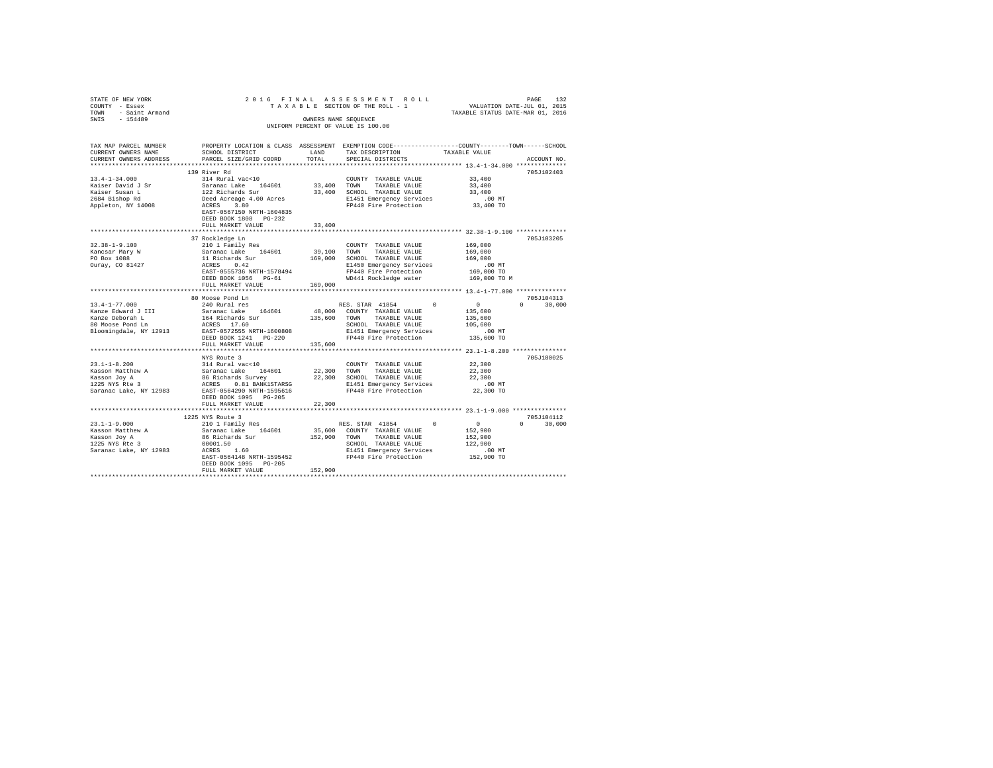| STATE OF NEW YORK              | 2016 FINAL                                                          |              | ASSESSMENT ROLL                    |                                                                                                |        |
|--------------------------------|---------------------------------------------------------------------|--------------|------------------------------------|------------------------------------------------------------------------------------------------|--------|
| COUNTY - Essex                 |                                                                     |              | TAXABLE SECTION OF THE ROLL - 1    | PAGE 132<br>VALUATION DATE-JUL 01, 2015<br>TAXABLE STATUS DATE-MAR 01, 2016                    |        |
| - Saint Armand<br>TOWN         |                                                                     |              |                                    |                                                                                                |        |
| $-154489$<br>SWIS              |                                                                     |              | OWNERS NAME SEOUENCE               |                                                                                                |        |
|                                |                                                                     |              | UNIFORM PERCENT OF VALUE IS 100.00 |                                                                                                |        |
|                                |                                                                     |              |                                    |                                                                                                |        |
|                                |                                                                     |              |                                    |                                                                                                |        |
| TAX MAP PARCEL NUMBER          |                                                                     |              |                                    | PROPERTY LOCATION & CLASS ASSESSMENT EXEMPTION CODE---------------COUNTY-------TOWN-----SCHOOL |        |
| CURRENT OWNERS NAME            | SCHOOL DISTRICT                                                     | LAND         | TAX DESCRIPTION                    | TAXABLE VALUE                                                                                  |        |
| CURRENT OWNERS ADDRESS         | PARCEL SIZE/GRID COORD                                              | TOTAL        | SPECIAL DISTRICTS                  | ACCOUNT NO.                                                                                    |        |
| **********************         | *******************************                                     | ************ |                                    | ************************************** 13.4-1-34.000 ***************                           |        |
|                                | 139 River Rd                                                        |              |                                    | 705J102403                                                                                     |        |
| $13.4 - 1 - 34.000$            | 314 Rural vac<10                                                    |              | COUNTY TAXABLE VALUE               | 33,400                                                                                         |        |
| Kaiser David J Sr              | Saranac Lake 164601                                                 | 33,400 TOWN  | TAXABLE VALUE                      | 33,400                                                                                         |        |
| Kaiser Susan L                 | 122 Richards Sur                                                    |              | 33,400 SCHOOL TAXABLE VALUE        | 33,400                                                                                         |        |
| 2684 Bishop Rd                 | Deed Acreage 4.00 Acres                                             |              | E1451 Emergency Services           | $.00$ MT                                                                                       |        |
| Appleton, NY 14008             | ACRES 3.80                                                          |              | FP440 Fire Protection              | 33,400 TO                                                                                      |        |
|                                | EAST-0567150 NRTH-1604835                                           |              |                                    |                                                                                                |        |
|                                | DEED BOOK 1808 PG-232                                               |              |                                    |                                                                                                |        |
|                                | FULL MARKET VALUE                                                   | 33,400       |                                    |                                                                                                |        |
|                                |                                                                     |              |                                    |                                                                                                |        |
|                                | 37 Rockledge Ln                                                     |              |                                    | 705J103205                                                                                     |        |
| $32.38 - 1 - 9.100$            | 210 1 Family Res                                                    |              | COUNTY TAXABLE VALUE               | 169,000                                                                                        |        |
| Kancsar Mary W                 | Saranac Lake 164601                                                 | 39,100       | TOWN<br>TAXABLE VALUE              | 169,000                                                                                        |        |
| PO Box 1088                    | 11 Richards Sur                                                     |              | 169,000 SCHOOL TAXABLE VALUE       | 169,000                                                                                        |        |
| Ouray, CO 81427                | ACRES 0.42                                                          |              | E1450 Emergency Services           | $.00$ MT                                                                                       |        |
|                                | EAST-0555736 NRTH-1578494                                           |              | FP440 Fire Protection              | 169,000 TO                                                                                     |        |
|                                | DEED BOOK 1056 PG-61                                                |              | WD441 Rockledge water              | 169,000 TO M                                                                                   |        |
|                                | FULL MARKET VALUE                                                   | 169,000      |                                    |                                                                                                |        |
|                                |                                                                     |              |                                    |                                                                                                |        |
|                                |                                                                     |              |                                    |                                                                                                |        |
|                                | 80 Moose Pond Ln                                                    |              |                                    | 705J104313                                                                                     |        |
| $13.4 - 1 - 77.000$            | 240 Rural res                                                       |              | RES. STAR 41854<br>$^{\circ}$      | $\Omega$<br>$\mathbf{0}$                                                                       | 30,000 |
| Kanze Edward J III             | Saranac Lake 164601                                                 |              | 48,000 COUNTY TAXABLE VALUE        | 135,600                                                                                        |        |
| Kanze Deborah L                | 164 Richards Sur                                                    | 135,600 TOWN | TAXABLE VALUE                      | 135,600                                                                                        |        |
| 80 Moose Pond Ln               | ACRES 17.60                                                         |              | SCHOOL TAXABLE VALUE               | 105,600                                                                                        |        |
| Bloomingdale, NY 12913         | EAST-0572555 NRTH-1600808                                           |              | E1451 Emergency Services           | $.00$ MT                                                                                       |        |
|                                | DEED BOOK 1241 PG-220                                               |              | FP440 Fire Protection              | 135,600 TO                                                                                     |        |
|                                | FULL MARKET VALUE                                                   | 135,600      |                                    |                                                                                                |        |
|                                |                                                                     |              |                                    |                                                                                                |        |
|                                | NYS Route 3                                                         |              |                                    | 705J180025                                                                                     |        |
| $23.1 - 1 - 8.200$             | 314 Rural vac<10                                                    |              | COUNTY TAXABLE VALUE               | 22,300                                                                                         |        |
| Kasson Matthew A               |                                                                     | 22,300 TOWN  | TAXABLE VALUE                      | 22,300                                                                                         |        |
| Kasson Joy A<br>1225 NYS Rte 3 | Saranac Lake 164601<br>86 Richards Survey<br>ACRES 0.81 BANK1STARSG |              | 22,300 SCHOOL TAXABLE VALUE        | 22,300                                                                                         |        |
|                                |                                                                     |              | E1451 Emergency Services           | $.00$ MT                                                                                       |        |
| Saranac Lake, NY 12983         | EAST-0564290 NRTH-1595616                                           |              | FP440 Fire Protection              | 22,300 TO                                                                                      |        |
|                                | DEED BOOK 1095 PG-205                                               |              |                                    |                                                                                                |        |
|                                | FULL MARKET VALUE                                                   | 22,300       |                                    |                                                                                                |        |
|                                | **********************                                              |              |                                    | ******************** 23.1-1-9.000 ***************                                              |        |
|                                | 1225 NYS Route 3                                                    |              |                                    | 705.T104112                                                                                    |        |
| $23.1 - 1 - 9.000$             | 210 1 Family Res                                                    |              | $\Omega$<br>RES. STAR 41854        | $\sim$ 0<br>$\Omega$                                                                           | 30,000 |
| Kasson Matthew A               | Saranac Lake 164601                                                 | 35,600       | COUNTY TAXABLE VALUE               | 152,900                                                                                        |        |
|                                | 86 Richards Sur                                                     | 152,900 TOWN | TAXABLE VALUE                      | 152,900                                                                                        |        |
| Kasson Joy A<br>1225 NYS Rte 3 | 00001.50                                                            |              | SCHOOL TAXABLE VALUE               | 122,900                                                                                        |        |
|                                |                                                                     |              |                                    |                                                                                                |        |
|                                |                                                                     |              |                                    | $.00$ MT                                                                                       |        |
| Saranac Lake, NY 12983         | ACRES 1.60                                                          |              | E1451 Emergency Services           |                                                                                                |        |
|                                | EAST-0564148 NRTH-1595452                                           |              | FP440 Fire Protection              | 152,900 TO                                                                                     |        |
|                                | DEED BOOK 1095 PG-205<br>FULL MARKET VALUE                          | 152,900      |                                    |                                                                                                |        |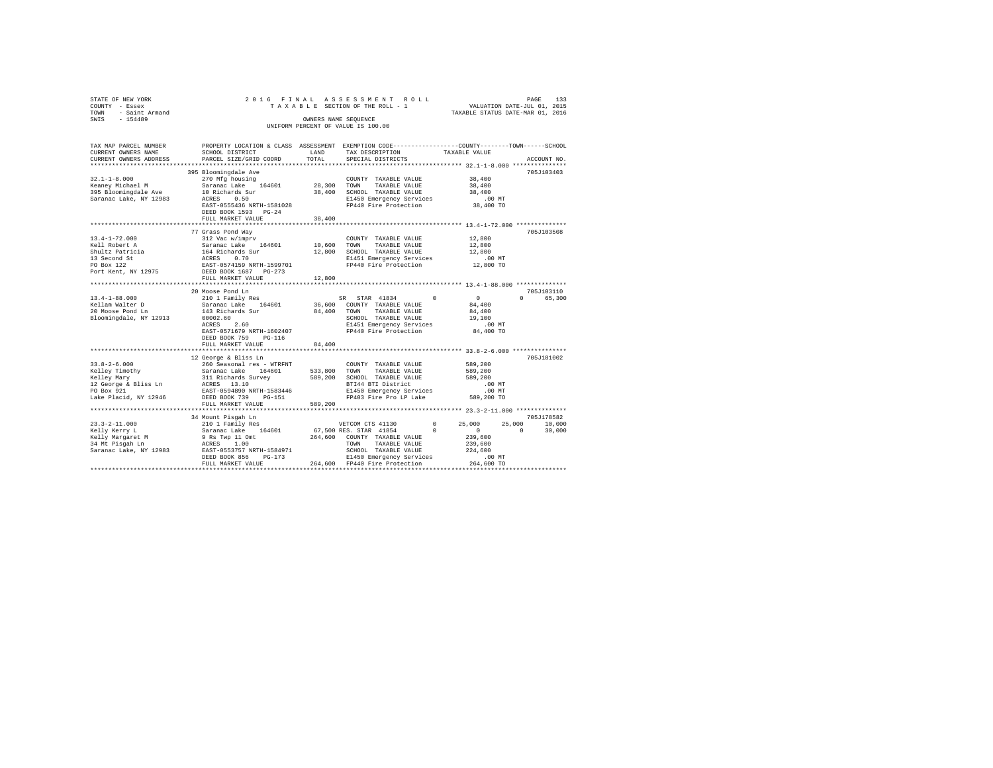| STATE OF NEW YORK<br>COUNTY - Essex<br>TOWN - Saint Armand<br>SWIS - 154489                                                        |                                                                                                                                                                                       | OWNERS NAME SEQUENCE | 2016 FINAL ASSESSMENT ROLL<br>TAXABLE SECTION OF THE ROLL - 1<br>UNIFORM PERCENT OF VALUE IS 100.00                                                                                          | VALUATION DATE-JUL 01, 2015<br>TAXABLE STATUS DATE-MAR 01, 2016                    | PAGE<br>133                                   |
|------------------------------------------------------------------------------------------------------------------------------------|---------------------------------------------------------------------------------------------------------------------------------------------------------------------------------------|----------------------|----------------------------------------------------------------------------------------------------------------------------------------------------------------------------------------------|------------------------------------------------------------------------------------|-----------------------------------------------|
| CURRENT OWNERS NAME<br>CURRENT OWNERS ADDRESS<br>***********************                                                           | TAX MAP PARCEL NUMBER PROPERTY LOCATION & CLASS ASSESSMENT EXEMPTION CODE---------------COUNTY-------TOWN------SCHOOL<br>SCHOOL DISTRICT<br>PARCEL SIZE/GRID COORD                    | LAND<br>TOTAL        | TAX DESCRIPTION<br>SPECIAL DISTRICTS                                                                                                                                                         | TAXABLE VALUE<br>****************************** 32.1-1-8.000 ***************       | ACCOUNT NO.                                   |
| $32.1 - 1 - 8.000$                                                                                                                 | 395 Bloomingdale Ave<br>270 Mfg housing<br>EAST-0555436 NRTH-1581028<br>DEED BOOK 1593 PG-24<br>FULL MARKET VALUE                                                                     | 38,400               | COUNTY TAXABLE VALUE<br>TAXABLE VALUE<br>38,400 SCHOOL TAXABLE VALUE<br>E1450 Emergency Services<br>FP440 Fire Protection<br>********************************* 13.4-1-72.000 *************** | 38,400<br>38,400<br>38,400<br>$.00$ MT<br>38,400 TO                                | 705J103403                                    |
| $13.4 - 1 - 72.000$<br>Kell Robert A<br>Shultz Patricia<br>13 Second St<br>PO Box 122<br>Port Kent, NY 12975 DEED BOOK 1687 PG-273 | 77 Grass Pond Way<br>312 Vac w/imprv<br>EAST-0574159 NRTH-1599701<br>FULL MARKET VALUE                                                                                                | 12,800               | COUNTY TAXABLE VALUE<br>E1451 Emergency Services<br>FP440 Fire Protection                                                                                                                    | 12,800<br>12,800<br>12,800<br>$.00$ MT<br>12,800 TO                                | 705J103508                                    |
| $13.4 - 1 - 88.000$<br>Kellam Walter D<br>20 Moose Pond Ln<br>Bloomingdale, NY 12913 00002.60                                      | 20 Moose Pond Ln<br>210 1 Family Res<br>Saranac Lake 164601<br>143 Richards Sur 84,400 TOWN<br>$ACRES$ 2.60<br>EAST-0571679 NRTH-1602407<br>DEED BOOK 759 PG-116<br>FULL MARKET VALUE | 84,400               | SR STAR 41834 0<br>36,600 COUNTY TAXABLE VALUE<br>TAXABLE VALUE<br>SCHOOL TAXABLE VALUE<br>E1451 Emergency Services<br>FP440 Fire Protection                                                 | $\sim$ 0<br>84,400<br>84,400<br>19,100<br>$.00$ MT<br>84,400 TO                    | 705J103110<br>0 65,300                        |
| PO Box 921<br>Lake Placid, NY 12946                                                                                                | 12 George & Bliss Ln<br>EAST-0594890 NRTH-1583446<br>DEED BOOK 739 PG-151<br>FULL MARKET VALUE                                                                                        | 589,200              | COUNTY TAXABLE VALUE<br>BTI44 BTI District<br>E1450 Emergency Services<br>FP403 Fire Pro LP Lake                                                                                             | 589,200<br>589,200<br>589,200<br>.00MT<br>$.00$ MT<br>589,200 TO                   | 705J181002                                    |
| $23.3 - 2 - 11.000$<br>Kelly Kerry L                                                                                               | 34 Mount Pisqah Ln<br>FULL MARKET VALUE 264,600 FP440 Fire Protection                                                                                                                 |                      |                                                                                                                                                                                              | 25,000<br>$\sim$ 0 $\sim$<br>239,600<br>239,600<br>224,600<br>.00 MT<br>264,600 TO | 705J178582<br>$25,000$ $10,000$<br>0 $30,000$ |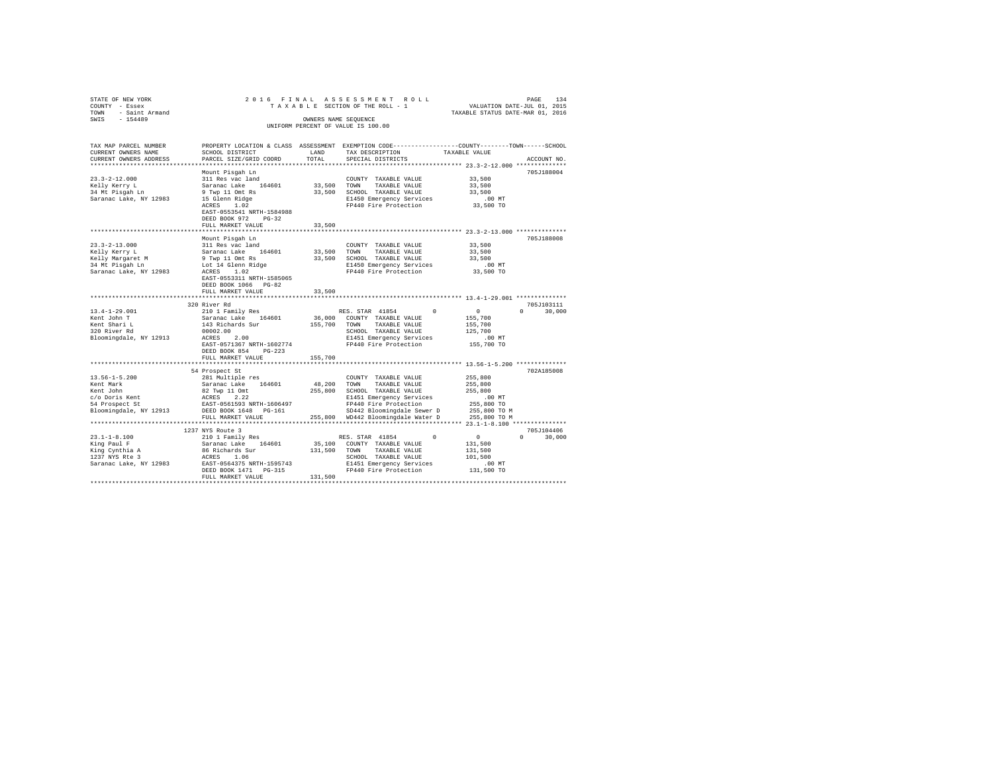| STATE OF NEW YORK                            |                                                          |                      | 2016 FINAL ASSESSMENT ROLL                                                                      | PAGE 134<br>VALUATION DATE-JUL 01, 2015<br>TAXABLE STATUS DATE-MAR 01, 2016 |                                 |
|----------------------------------------------|----------------------------------------------------------|----------------------|-------------------------------------------------------------------------------------------------|-----------------------------------------------------------------------------|---------------------------------|
| COUNTY - Essex                               |                                                          |                      | TAXABLE SECTION OF THE ROLL - 1                                                                 |                                                                             |                                 |
| TOWN - Saint Armand                          |                                                          |                      |                                                                                                 |                                                                             |                                 |
| SWIS - 154489                                |                                                          | OWNERS NAME SEQUENCE |                                                                                                 |                                                                             |                                 |
|                                              |                                                          |                      | UNIFORM PERCENT OF VALUE IS 100.00                                                              |                                                                             |                                 |
|                                              |                                                          |                      |                                                                                                 |                                                                             |                                 |
| TAX MAP PARCEL NUMBER                        |                                                          |                      | PROPERTY LOCATION & CLASS ASSESSMENT EXEMPTION CODE---------------COUNTY-------TOWN------SCHOOL |                                                                             |                                 |
| CURRENT OWNERS NAME                          | SCHOOL DISTRICT                                          | LAND                 | TAX DESCRIPTION                                                                                 | TAXABLE VALUE                                                               |                                 |
| CURRENT OWNERS ADDRESS                       | PARCEL SIZE/GRID COORD                                   | TOTAL                | SPECIAL DISTRICTS                                                                               |                                                                             | ACCOUNT NO.                     |
|                                              |                                                          |                      |                                                                                                 |                                                                             |                                 |
|                                              | Mount Pisqah Ln                                          |                      |                                                                                                 |                                                                             | 705J188004                      |
| $23.3 - 2 - 12.000$                          | 311 Res vac land                                         |                      | COUNTY TAXABLE VALUE                                                                            | 33,500                                                                      |                                 |
| Kelly Kerry L                                | Saranac Lake 164601                                      | 33,500 TOWN          | TAXABLE VALUE                                                                                   | 33,500                                                                      |                                 |
| 34 Mt Pisgah Ln                              | 9 Twp 11 Omt Rs                                          |                      | 33,500 SCHOOL TAXABLE VALUE                                                                     | 33,500                                                                      |                                 |
| Saranac Lake, NY 12983                       |                                                          |                      | E1450 Emergency Services                                                                        | $.00$ MT                                                                    |                                 |
|                                              | 15 Glenn Ridge<br>ACRES 1.02                             |                      | FP440 Fire Protection                                                                           | 33,500 TO                                                                   |                                 |
|                                              | EAST-0553541 NRTH-1584988                                |                      |                                                                                                 |                                                                             |                                 |
|                                              | DEED BOOK 972 PG-32                                      |                      |                                                                                                 |                                                                             |                                 |
|                                              | FULL MARKET VALUE                                        | 33,500               |                                                                                                 |                                                                             |                                 |
|                                              |                                                          |                      |                                                                                                 |                                                                             |                                 |
|                                              | Mount Pisgah Ln                                          |                      |                                                                                                 |                                                                             | 705J188008                      |
| $23.3 - 2 - 13.000$                          | 311 Res vac land                                         |                      | COUNTY TAXABLE VALUE                                                                            | 33,500                                                                      |                                 |
| Kelly Kerry L                                | Saranac Lake 164601                                      |                      | 33,500 TOWN TAXABLE VALUE                                                                       | 33,500                                                                      |                                 |
| Kelly Margaret M<br>34 Mt Pisgah Ln          |                                                          |                      |                                                                                                 | 33,500                                                                      |                                 |
|                                              |                                                          |                      |                                                                                                 | $.00$ MT                                                                    |                                 |
| Saranac Lake, NY 12983                       | ACRES 1.02                                               |                      | FP440 Fire Protection                                                                           | 33,500 TO                                                                   |                                 |
|                                              | EAST-0553311 NRTH-1585065                                |                      |                                                                                                 |                                                                             |                                 |
|                                              | DEED BOOK 1066 PG-82                                     |                      |                                                                                                 |                                                                             |                                 |
|                                              | FULL MARKET VALUE                                        | 33,500               |                                                                                                 |                                                                             |                                 |
|                                              |                                                          |                      |                                                                                                 |                                                                             |                                 |
|                                              | 320 River Rd                                             |                      |                                                                                                 |                                                                             | 705J103111                      |
| $13.4 - 1 - 29.001$                          | 210 1 Family Res                                         |                      | RES. STAR 41854                                                                                 | $\sim$ 0                                                                    | $0 \t 30.000$                   |
| Kent John T                                  | Saranac Lake 164601                                      |                      | 36,000 COUNTY TAXABLE VALUE                                                                     | 155,700                                                                     |                                 |
| Kent Shari L<br>320 River Rd                 | 143 Richards Sur                                         |                      | 155,700 TOWN TAXABLE VALUE                                                                      | 155,700                                                                     |                                 |
|                                              | 00002.00                                                 |                      | SCHOOL TAXABLE VALUE                                                                            | 125,700                                                                     |                                 |
| Bloomingdale, NY 12913                       | ACRES 2.00                                               |                      | E1451 Emergency Services                                                                        | .00 MT                                                                      |                                 |
|                                              | EAST-0571367 NRTH-1602774                                |                      | FP440 Fire Protection                                                                           | 155,700 TO                                                                  |                                 |
|                                              | DEED BOOK 854 PG-223                                     |                      |                                                                                                 |                                                                             |                                 |
|                                              | FULL MARKET VALUE                                        | 155,700              |                                                                                                 |                                                                             |                                 |
|                                              | 54 Prospect St                                           |                      |                                                                                                 |                                                                             | 702A185008                      |
| $13.56 - 1 - 5.200$                          | 281 Multiple res                                         |                      | COUNTY TAXABLE VALUE                                                                            | 255,800                                                                     |                                 |
| Kent Mark                                    | Saranac Lake 164601                                      | 48,200               | TOWN TAXABLE VALUE                                                                              | 255,800                                                                     |                                 |
| Kent John                                    |                                                          |                      | 255,800 SCHOOL TAXABLE VALUE                                                                    | 255,800                                                                     |                                 |
|                                              | 82 Twp 11 Omt<br>ACRES 2.22<br>EAST-0561593 NRTH-1606497 |                      | E1451 Emergency Services                                                                        | $.00$ MT                                                                    |                                 |
| c/o Doris Kent<br>54 Prospect St             |                                                          |                      | FP440 Fire Protection                                                                           | 255,800 TO                                                                  |                                 |
| Bloomingdale, NY 12913 DEED BOOK 1648 PG-161 |                                                          |                      |                                                                                                 | 255,800 TO M                                                                |                                 |
|                                              | FULL MARKET VALUE                                        |                      | SD442 Bloomingdale Sewer D<br>255,800 WD442 Bloomingdale Water D                                | 255,800 TO M                                                                |                                 |
|                                              |                                                          |                      |                                                                                                 |                                                                             |                                 |
|                                              | 1237 NYS Route 3                                         |                      |                                                                                                 |                                                                             | 705J104406                      |
| $23.1 - 1 - 8.100$                           | 210 1 Family Res                                         |                      | RES. STAR 41854<br>$^{\circ}$                                                                   | $\sim$ 0                                                                    | $\Omega$ and $\Omega$<br>30,000 |
| King Paul F                                  |                                                          |                      | 35,100 COUNTY TAXABLE VALUE                                                                     | 131,500                                                                     |                                 |
|                                              | Saranac Lake 164601<br>86 Richards Sur                   | 131,500 TOWN         | TAXABLE VALUE                                                                                   | 131,500                                                                     |                                 |
| King Cynthia A<br>1237 NYS Rte 3             | ACRES 1.06                                               |                      | SCHOOL TAXABLE VALUE                                                                            | 101,500                                                                     |                                 |
| Saranac Lake, NY 12983                       | EAST-0564375 NRTH-1595743                                |                      | E1451 Emergency Services                                                                        | .00MT                                                                       |                                 |
|                                              | DEED BOOK 1471    PG-315                                 |                      | FP440 Fire Protection                                                                           | 131,500 TO                                                                  |                                 |
|                                              | FULL MARKET VALUE                                        | 131,500              |                                                                                                 |                                                                             |                                 |
|                                              |                                                          |                      |                                                                                                 |                                                                             |                                 |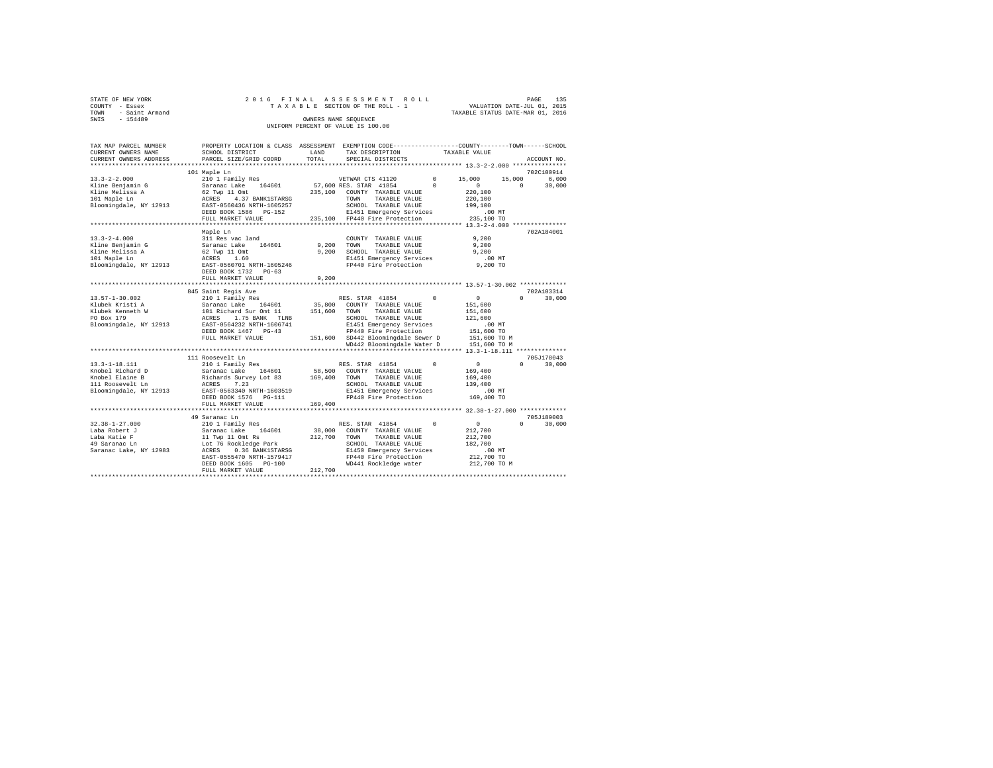| STATE OF NEW YORK   | 2016 FINAL ASSESSMENT ROLL         |                                  | PAGE | 135 |
|---------------------|------------------------------------|----------------------------------|------|-----|
| COUNTY - Essex      | TAXABLE SECTION OF THE ROLL - 1    | VALUATION DATE-JUL 01, 2015      |      |     |
| TOWN - Saint Armand |                                    | TAXABLE STATUS DATE-MAR 01, 2016 |      |     |
| SWIS<br>$-154489$   | OWNERS NAME SEOUENCE               |                                  |      |     |
|                     | UNIFORM PERCENT OF VALUE IS 100.00 |                                  |      |     |
|                     |                                    |                                  |      |     |

| TAX MAP PARCEL NUMBER                                                                                                                                                                                                                 | PROPERTY LOCATION & CLASS ASSESSMENT EXEMPTION CODE---------------COUNTY-------TOWN-----SCHOOL |         |                                                                                            |               |                       |                             |  |
|---------------------------------------------------------------------------------------------------------------------------------------------------------------------------------------------------------------------------------------|------------------------------------------------------------------------------------------------|---------|--------------------------------------------------------------------------------------------|---------------|-----------------------|-----------------------------|--|
| CURRENT OWNERS NAME                                                                                                                                                                                                                   | SCHOOL DISTRICT                                                                                | LAND    | TAX DESCRIPTION<br>TAX DESCRIPTION                                                         | TAXABLE VALUE |                       |                             |  |
| CURRENT OWNERS ADDRESS PARCEL SIZE/GRID COORD                                                                                                                                                                                         |                                                                                                | TOTAL   | SPECIAL DISTRICTS                                                                          |               |                       | ACCOUNT NO.                 |  |
|                                                                                                                                                                                                                                       |                                                                                                |         |                                                                                            |               |                       |                             |  |
|                                                                                                                                                                                                                                       | 101 Maple Ln                                                                                   |         |                                                                                            |               |                       | 702C100914                  |  |
| $13.3 - 2 - 2.000$                                                                                                                                                                                                                    | 210 1 Family Res                                                                               |         | VETWAR CTS 41120                                                                           |               | $0 \t 15.000$         | 6,000<br>15,000             |  |
|                                                                                                                                                                                                                                       |                                                                                                |         |                                                                                            |               | $\sim$ 0 $\sim$       | $^{\circ}$<br>30,000        |  |
|                                                                                                                                                                                                                                       |                                                                                                |         |                                                                                            |               | 220,100               |                             |  |
|                                                                                                                                                                                                                                       |                                                                                                |         |                                                                                            |               | 220,100               |                             |  |
|                                                                                                                                                                                                                                       |                                                                                                |         | SCHOOL TAXABLE VALUE                                                                       |               | 199,100               |                             |  |
|                                                                                                                                                                                                                                       | DEED BOOK 1586 PG-152                                                                          |         | E1451 Emergency Services .00 MT<br>235,100 FP440 Fire Protection 235,100 TO                |               |                       |                             |  |
|                                                                                                                                                                                                                                       | FULL MARKET VALUE                                                                              |         |                                                                                            |               |                       |                             |  |
|                                                                                                                                                                                                                                       |                                                                                                |         |                                                                                            |               |                       |                             |  |
|                                                                                                                                                                                                                                       |                                                                                                |         |                                                                                            |               |                       | 702A184001                  |  |
|                                                                                                                                                                                                                                       |                                                                                                |         |                                                                                            |               |                       |                             |  |
|                                                                                                                                                                                                                                       |                                                                                                |         |                                                                                            |               | 9,200<br>9,200        |                             |  |
|                                                                                                                                                                                                                                       |                                                                                                |         | 9,200 SCHOOL TAXABLE VALUE                                                                 |               | 9.200                 |                             |  |
|                                                                                                                                                                                                                                       |                                                                                                |         |                                                                                            |               |                       |                             |  |
|                                                                                                                                                                                                                                       |                                                                                                |         | E1451 Emergency Services .00 MT<br>FP440 Fire Protection  9,200 TO                         |               |                       |                             |  |
|                                                                                                                                                                                                                                       | DEED BOOK 1732 PG-63                                                                           |         |                                                                                            |               |                       |                             |  |
|                                                                                                                                                                                                                                       | FULL MARKET VALUE                                                                              | 9.200   |                                                                                            |               |                       |                             |  |
|                                                                                                                                                                                                                                       |                                                                                                |         |                                                                                            |               |                       |                             |  |
|                                                                                                                                                                                                                                       | 845 Saint Regis Ave                                                                            |         |                                                                                            |               |                       | 702A103314                  |  |
| 13.57-1-30.002<br>Niubek Kristi A Saranac Lake 164601 35,800 COUNTY TAXABLE VALUE<br>Niubek Kristi A Saranac Lake 164601 35,800 COUNTY TAXABLE VALUE<br>Niubek Kemneth W 101 Richard Survey TAXABLE VALUE<br>ND BOX 179 ACRES 1.75 BA |                                                                                                |         |                                                                                            |               | $\sim$ 0              | $\Omega$<br>30,000          |  |
|                                                                                                                                                                                                                                       |                                                                                                |         |                                                                                            |               | 151,600               |                             |  |
|                                                                                                                                                                                                                                       |                                                                                                |         |                                                                                            |               | 151,600               |                             |  |
|                                                                                                                                                                                                                                       |                                                                                                |         |                                                                                            |               | 121,600               |                             |  |
|                                                                                                                                                                                                                                       |                                                                                                |         | Elisi Inansus VALUE<br>E1451 Emergency Services<br>FP440 Fire Best of:                     |               |                       |                             |  |
|                                                                                                                                                                                                                                       | DEED BOOK 1467 PG-43                                                                           |         | FP440 Fire Protection                                                                      |               | .00 MT.<br>151,600 TO |                             |  |
|                                                                                                                                                                                                                                       |                                                                                                |         |                                                                                            |               |                       |                             |  |
|                                                                                                                                                                                                                                       | FULL MARKET VALUE                                                                              |         | 151,600 SD442 Bloomingdale Sewer D 151,600 TO M<br>WD442 Bloomingdale Water D 151,600 TO M |               |                       |                             |  |
|                                                                                                                                                                                                                                       |                                                                                                |         |                                                                                            |               |                       |                             |  |
|                                                                                                                                                                                                                                       |                                                                                                |         |                                                                                            |               |                       |                             |  |
|                                                                                                                                                                                                                                       | 111 Roosevelt Ln                                                                               |         |                                                                                            |               |                       | 705J178043                  |  |
|                                                                                                                                                                                                                                       |                                                                                                |         |                                                                                            |               |                       | $0 \qquad \qquad$<br>30,000 |  |
|                                                                                                                                                                                                                                       |                                                                                                |         |                                                                                            |               |                       |                             |  |
|                                                                                                                                                                                                                                       |                                                                                                |         |                                                                                            |               |                       |                             |  |
|                                                                                                                                                                                                                                       |                                                                                                |         |                                                                                            |               |                       |                             |  |
|                                                                                                                                                                                                                                       |                                                                                                |         |                                                                                            |               | $.00$ MT              |                             |  |
|                                                                                                                                                                                                                                       |                                                                                                |         |                                                                                            |               | 169,400 TO            |                             |  |
|                                                                                                                                                                                                                                       | FULL MARKET VALUE                                                                              | 169,400 |                                                                                            |               |                       |                             |  |
|                                                                                                                                                                                                                                       |                                                                                                |         |                                                                                            |               |                       |                             |  |
|                                                                                                                                                                                                                                       | 49 Saranac Ln                                                                                  |         |                                                                                            |               |                       | 705J189003                  |  |
|                                                                                                                                                                                                                                       |                                                                                                |         | RES. STAR 41854 0 0                                                                        |               |                       | $\Omega$<br>30,000          |  |
|                                                                                                                                                                                                                                       |                                                                                                |         |                                                                                            |               | 212,700               |                             |  |
|                                                                                                                                                                                                                                       |                                                                                                |         |                                                                                            |               | 212,700               |                             |  |
|                                                                                                                                                                                                                                       |                                                                                                |         |                                                                                            |               | 182,700               |                             |  |
|                                                                                                                                                                                                                                       |                                                                                                |         |                                                                                            |               | .00 MT.<br>212,700 TO |                             |  |
|                                                                                                                                                                                                                                       |                                                                                                |         |                                                                                            |               |                       |                             |  |
|                                                                                                                                                                                                                                       |                                                                                                |         | WD441 Rockledge water 212,700 TO M                                                         |               |                       |                             |  |
|                                                                                                                                                                                                                                       |                                                                                                |         |                                                                                            |               |                       |                             |  |
|                                                                                                                                                                                                                                       |                                                                                                |         |                                                                                            |               |                       |                             |  |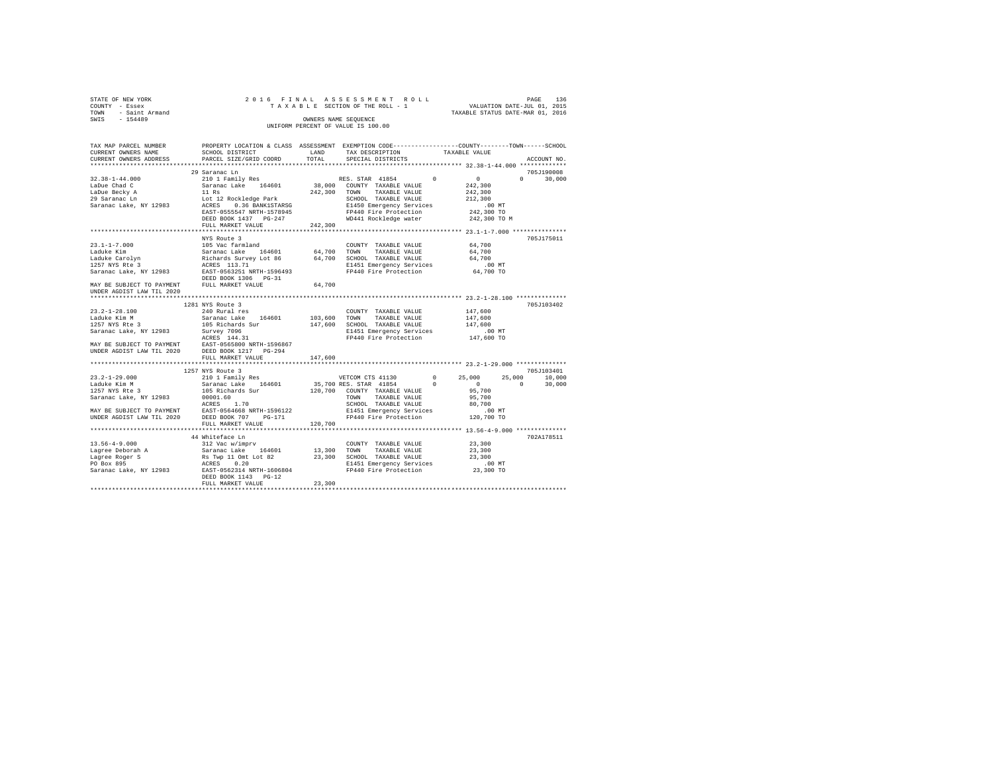| STATE OF NEW YORK   |  |  | 2016 FINAL ASSESSMENT ROLL         |  |                                  | PAGE | 136 |
|---------------------|--|--|------------------------------------|--|----------------------------------|------|-----|
| COUNTY - Essex      |  |  | TAXABLE SECTION OF THE ROLL - 1    |  | VALUATION DATE-JUL 01, 2015      |      |     |
| TOWN - Saint Armand |  |  |                                    |  | TAXABLE STATUS DATE-MAR 01, 2016 |      |     |
| SWIS<br>$-154489$   |  |  | OWNERS NAME SEOUENCE               |  |                                  |      |     |
|                     |  |  | UNIFORM PERCENT OF VALUE IS 100.00 |  |                                  |      |     |
|                     |  |  |                                    |  |                                  |      |     |

| TAX MAP PARCEL NUMBER                           | PROPERTY LOCATION & CLASS ASSESSMENT EXEMPTION CODE---------------COUNTY------TOWN-----SCHOOL                                                                                                                                                                                                                                                                          |         |                                                                           |                                                                 |                    |
|-------------------------------------------------|------------------------------------------------------------------------------------------------------------------------------------------------------------------------------------------------------------------------------------------------------------------------------------------------------------------------------------------------------------------------|---------|---------------------------------------------------------------------------|-----------------------------------------------------------------|--------------------|
| CURRENT OWNERS NAME                             | SCHOOL DISTRICT                                                                                                                                                                                                                                                                                                                                                        | LAND    | TAX DESCRIPTION                                                           | TAXABLE VALUE                                                   |                    |
| CURRENT OWNERS ADDRESS                          | PARCEL SIZE/GRID COORD                                                                                                                                                                                                                                                                                                                                                 | TOTAL   | SPECIAL DISTRICTS                                                         |                                                                 | ACCOUNT NO.        |
|                                                 |                                                                                                                                                                                                                                                                                                                                                                        |         |                                                                           |                                                                 |                    |
|                                                 | 29 Saranac Ln                                                                                                                                                                                                                                                                                                                                                          |         |                                                                           |                                                                 | 705J190008         |
| $32.38 - 1 - 44.000$                            | 210 1 Family Res                                                                                                                                                                                                                                                                                                                                                       |         | RES. STAR 41854                                                           | $\sim$ 0<br>$\sim$ 0                                            | $\Omega$<br>30,000 |
| LaDue Chad C                                    | Saranac Lake 164601 38,000 COUNTY TAXABLE VALUE                                                                                                                                                                                                                                                                                                                        |         |                                                                           | 242,300                                                         |                    |
| LaDue Becky A                                   | $11$ Rs                                                                                                                                                                                                                                                                                                                                                                |         | 242,300 TOWN TAXABLE VALUE                                                | 242,300                                                         |                    |
|                                                 |                                                                                                                                                                                                                                                                                                                                                                        |         | SCHOOL TAXABLE VALUE                                                      | 212,300                                                         |                    |
|                                                 |                                                                                                                                                                                                                                                                                                                                                                        |         | E1450 Emergency Services                                                  | $.00$ MT                                                        |                    |
|                                                 | EAST-0555547 NRTH-1578945                                                                                                                                                                                                                                                                                                                                              |         | FP440 Fire Protection                                                     | 00 MT.<br>242,300 TO                                            |                    |
|                                                 | DEED BOOK 1437    PG-247                                                                                                                                                                                                                                                                                                                                               |         | WD441 Rockledge water                                                     | 242,300 TO M                                                    |                    |
|                                                 | FULL MARKET VALUE                                                                                                                                                                                                                                                                                                                                                      | 242,300 |                                                                           |                                                                 |                    |
|                                                 |                                                                                                                                                                                                                                                                                                                                                                        |         |                                                                           |                                                                 |                    |
|                                                 | NYS Route 3                                                                                                                                                                                                                                                                                                                                                            |         |                                                                           |                                                                 | 705J175011         |
| $23.1 - 1 - 7.000$                              | 105 Vac farmland                                                                                                                                                                                                                                                                                                                                                       |         |                                                                           | 64,700                                                          |                    |
|                                                 |                                                                                                                                                                                                                                                                                                                                                                        |         | COUNTY TAXABLE VALUE                                                      |                                                                 |                    |
|                                                 |                                                                                                                                                                                                                                                                                                                                                                        |         | 64,700 TOWN TAXABLE VALUE<br>64,700 SCHOOL TAXABLE VALUE<br>TAXABLE VALUE | 64,700                                                          |                    |
|                                                 |                                                                                                                                                                                                                                                                                                                                                                        |         |                                                                           | 64,700                                                          |                    |
|                                                 |                                                                                                                                                                                                                                                                                                                                                                        |         | E1451 Emergency Services .00 MT<br>FP440 Fire Protection 64,700 TO        |                                                                 |                    |
|                                                 |                                                                                                                                                                                                                                                                                                                                                                        |         |                                                                           |                                                                 |                    |
|                                                 |                                                                                                                                                                                                                                                                                                                                                                        |         |                                                                           |                                                                 |                    |
| MAY BE SUBJECT TO PAYMENT FULL MARKET VALUE     |                                                                                                                                                                                                                                                                                                                                                                        | 64,700  |                                                                           |                                                                 |                    |
| UNDER AGDIST LAW TIL 2020                       |                                                                                                                                                                                                                                                                                                                                                                        |         |                                                                           |                                                                 |                    |
|                                                 |                                                                                                                                                                                                                                                                                                                                                                        |         |                                                                           |                                                                 |                    |
|                                                 | 1281 NYS Route 3                                                                                                                                                                                                                                                                                                                                                       |         |                                                                           |                                                                 | 705J103402         |
|                                                 |                                                                                                                                                                                                                                                                                                                                                                        |         | COUNTY TAXABLE VALUE                                                      | 147,600                                                         |                    |
|                                                 |                                                                                                                                                                                                                                                                                                                                                                        |         | TAXABLE VALUE                                                             | 147.600                                                         |                    |
|                                                 |                                                                                                                                                                                                                                                                                                                                                                        |         | 147,600 SCHOOL TAXABLE VALUE                                              | 147,600                                                         |                    |
|                                                 |                                                                                                                                                                                                                                                                                                                                                                        |         |                                                                           |                                                                 |                    |
|                                                 |                                                                                                                                                                                                                                                                                                                                                                        |         | E1451 Emergency Services<br>FP440 Fire Protection                         | 00 MT.<br>147,600 TO                                            |                    |
|                                                 |                                                                                                                                                                                                                                                                                                                                                                        |         |                                                                           |                                                                 |                    |
|                                                 |                                                                                                                                                                                                                                                                                                                                                                        |         |                                                                           |                                                                 |                    |
|                                                 | $\begin{tabular}{lllllllllllll} 23.2-1-28.100 & 1491 \: {\rm Not\, well}\  \, {\rm red\, level\  \, {\rm 5\,} & 240 \: {\rm{Kural\,}} & 164601 & 103,600 & {\rm TOWT} \\ \hline \end{tabular} \hline \begin{tabular}{lllllllllll} 23.2-1-28.100 & 1491 \: {\rm GeV} & 1401 \: {\rm{GeV}} \\ 53.250 \: {\rm{MeV}} & 135 \: {\rm{Kichards\,}} & 164601 & 103,600 & {\rm$ |         |                                                                           |                                                                 |                    |
|                                                 | FULL MARKET VALUE<br>*************************                                                                                                                                                                                                                                                                                                                         | 147.600 |                                                                           | ********************************* 23.2-1-29.000 *************** |                    |
|                                                 | 1257 NYS Route 3                                                                                                                                                                                                                                                                                                                                                       |         |                                                                           |                                                                 | 705J103401         |
|                                                 |                                                                                                                                                                                                                                                                                                                                                                        |         |                                                                           |                                                                 |                    |
|                                                 |                                                                                                                                                                                                                                                                                                                                                                        |         | VETCOM CTS 41130                                                          | $0 \t 25,000$                                                   | $25,000$ 10,000    |
| 23.2-1-29.000<br>Laduke Kim M<br>1257 NYS Rte 3 |                                                                                                                                                                                                                                                                                                                                                                        |         | 35,700 RES. STAR 41854 0                                                  | $\sim$ 0 $\sim$                                                 | $\Omega$<br>30,000 |
|                                                 | 210 1 Family Res<br>Saranac Lake 164601<br>105 Richards Sur                                                                                                                                                                                                                                                                                                            |         | 120,700 COUNTY TAXABLE VALUE                                              | 95,700                                                          |                    |
|                                                 | Saranac Lake, NY 12983 00001.60<br>ACRES 1.70                                                                                                                                                                                                                                                                                                                          |         | TOWN TAXABLE VALUE                                                        | 95,700                                                          |                    |
|                                                 |                                                                                                                                                                                                                                                                                                                                                                        |         | SCHOOL TAXABLE VALUE                                                      | 80,700                                                          |                    |
|                                                 | MAY BE SUBJECT TO PAYMENT<br>UNDER AGDIST LAW TIL 2020 DEED BOOK 707 PG-171                                                                                                                                                                                                                                                                                            |         | E1451 Emergency Services                                                  | 00 MT.<br>120,700 TO                                            |                    |
|                                                 |                                                                                                                                                                                                                                                                                                                                                                        |         | FP440 Fire Protection                                                     |                                                                 |                    |
|                                                 | FULL MARKET VALUE                                                                                                                                                                                                                                                                                                                                                      | 120,700 |                                                                           |                                                                 |                    |
|                                                 | ****************************                                                                                                                                                                                                                                                                                                                                           |         |                                                                           | ***************************** 13.56-4-9.000 **************      |                    |
|                                                 | 44 Whiteface Ln                                                                                                                                                                                                                                                                                                                                                        |         |                                                                           |                                                                 | 702A178511         |
|                                                 |                                                                                                                                                                                                                                                                                                                                                                        |         | COUNTY TAXABLE VALUE 23,300                                               |                                                                 |                    |
|                                                 |                                                                                                                                                                                                                                                                                                                                                                        |         |                                                                           | 23,300                                                          |                    |
|                                                 |                                                                                                                                                                                                                                                                                                                                                                        |         |                                                                           |                                                                 |                    |
|                                                 |                                                                                                                                                                                                                                                                                                                                                                        |         |                                                                           | 23,300<br>.00 MT                                                |                    |
|                                                 |                                                                                                                                                                                                                                                                                                                                                                        |         |                                                                           | 23,300 TO                                                       |                    |
|                                                 |                                                                                                                                                                                                                                                                                                                                                                        |         |                                                                           |                                                                 |                    |
|                                                 | FULL MARKET VALUE                                                                                                                                                                                                                                                                                                                                                      | 23,300  |                                                                           |                                                                 |                    |
|                                                 |                                                                                                                                                                                                                                                                                                                                                                        |         |                                                                           |                                                                 |                    |
|                                                 |                                                                                                                                                                                                                                                                                                                                                                        |         |                                                                           |                                                                 |                    |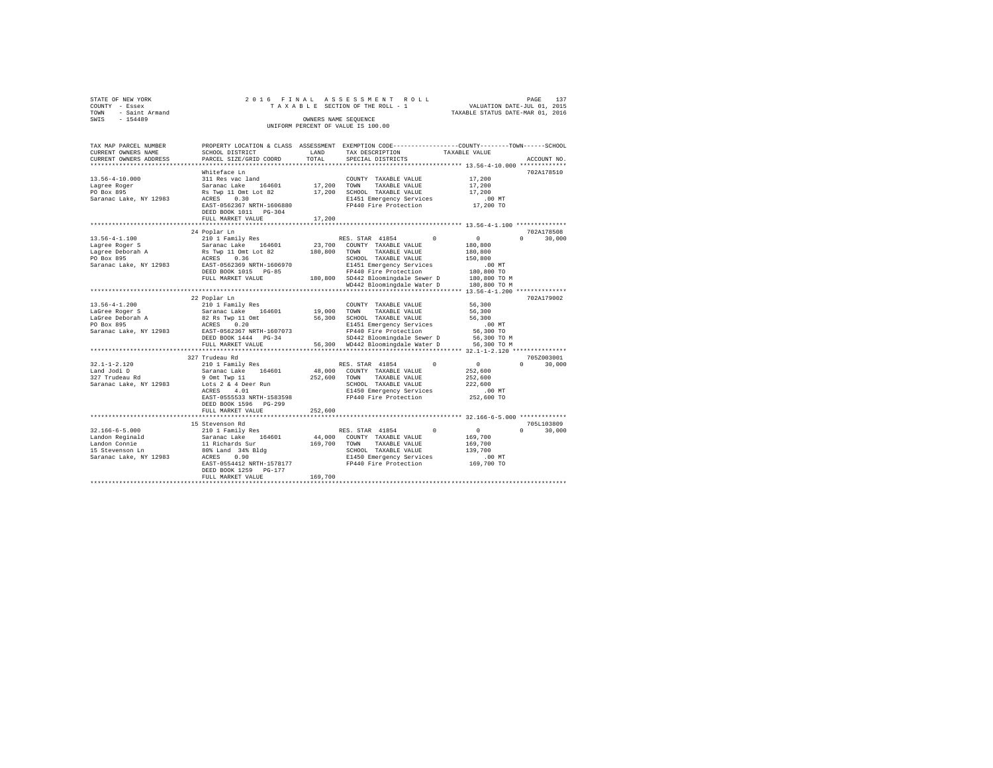| STATE OF NEW YORK<br>COUNTY - Essex<br>- Saint Armand<br>TOWN<br>$-154489$<br>SWIS                |                                                                                                                                                                               | OWNERS NAME SEQUENCE       | 2016 FINAL ASSESSMENT ROLL<br>TAXABLE SECTION OF THE ROLL - 1<br>UNIFORM PERCENT OF VALUE IS 100.00                                                                                                  | VALUATION DATE-JUL 01, 2015<br>TAXABLE STATUS DATE-MAR 01, 2016                | 137<br>PAGE        |
|---------------------------------------------------------------------------------------------------|-------------------------------------------------------------------------------------------------------------------------------------------------------------------------------|----------------------------|------------------------------------------------------------------------------------------------------------------------------------------------------------------------------------------------------|--------------------------------------------------------------------------------|--------------------|
|                                                                                                   |                                                                                                                                                                               |                            |                                                                                                                                                                                                      |                                                                                |                    |
| TAX MAP PARCEL NUMBER<br>CURRENT OWNERS NAME<br>CURRENT OWNERS ADDRESS                            | SCHOOL DISTRICT<br>PARCEL SIZE/GRID COORD                                                                                                                                     | LAND<br>TOTAL              | PROPERTY LOCATION & CLASS ASSESSMENT EXEMPTION CODE----------------COUNTY-------TOWN------SCHOOL<br>TAX DESCRIPTION<br>SPECIAL DISTRICTS                                                             | TAXABLE VALUE                                                                  | ACCOUNT NO.        |
| $13.56 - 4 - 10.000$<br>Lagree Roger<br>PO Box 895<br>Saranac Lake, NY 12983                      | Whiteface Ln<br>311 Res vac land<br>Saranac Lake 164601<br>Rs Twp 11 Omt Lot 82<br>ACRES 0.30<br>EAST-0562367 NRTH-1606880<br>DEED BOOK 1011 PG-304<br>FULL MARKET VALUE      | 17,200<br>17,200<br>17,200 | COUNTY TAXABLE VALUE<br>TAXABLE VALUE<br>TOWN<br>SCHOOL TAXABLE VALUE<br>E1451 Emergency Services<br>FP440 Fire Protection                                                                           | 17,200<br>17,200<br>17,200<br>.00MT<br>17,200 TO                               | 702A178510         |
|                                                                                                   |                                                                                                                                                                               |                            |                                                                                                                                                                                                      |                                                                                |                    |
|                                                                                                   | 24 Poplar Ln                                                                                                                                                                  |                            |                                                                                                                                                                                                      |                                                                                | 702A178508         |
| $13.56 - 4 - 1.100$<br>Lagree Roger S<br>Lagree Deborah A<br>PO Box 895<br>Saranac Lake, NY 12983 | 210 1 Family Res<br>Saranac Lake<br>164601 23,700<br>Rs Twp 11 Omt Lot 82<br>0.36<br>ACRES<br>EAST-0562369 NRTH-1606970<br>DEED BOOK 1015 PG-85<br>FULL MARKET VALUE          | 180,800<br>180,800         | RES. STAR 41854<br>$\Omega$<br>COUNTY TAXABLE VALUE<br>TOWN<br>TAXABLE VALUE<br>SCHOOL TAXABLE VALUE<br>E1451 Emergency Services<br>FP440 Fire Protection<br>SD442 Bloomingdale Sewer D 180.800 TO M | $\Omega$<br>180,800<br>180,800<br>150,800<br>.00MT<br>180,800 TO               | $\cap$<br>30,000   |
|                                                                                                   |                                                                                                                                                                               |                            | WD442 Bloomingdale Water D                                                                                                                                                                           | 180,800 TO M                                                                   |                    |
| $13.56 - 4 - 1.200$<br>LaGree Roger S<br>LaGree Deborah A<br>PO Box 895<br>Saranac Lake, NY 12983 | 22 Poplar Ln<br>210 1 Family Res<br>Saranac Lake 164601 19,000<br>82 Rs Twp 11 Omt<br>0.20<br>ACRES<br>EAST-0562367 NRTH-1607073<br>DEED BOOK 1444 PG-34<br>FULL MARKET VALUE | 56,300<br>56,300           | COUNTY TAXABLE VALUE<br>TOWN<br>TAXABLE VALUE<br>SCHOOL TAXABLE VALUE<br>E1451 Emergency Services<br>FP440 Fire Protection<br>SD442 Bloomingdale Sewer D<br>WD442 Bloomingdale Water D               | 56,300<br>56,300<br>56,300<br>.00MT<br>56,300 TO<br>56,300 TO M<br>56,300 TO M | 702A179002         |
|                                                                                                   | 327 Trudeau Rd                                                                                                                                                                |                            |                                                                                                                                                                                                      |                                                                                | 705Z003001         |
| $32.1 - 1 - 2.120$                                                                                | 210 1 Family Res                                                                                                                                                              |                            | $\Omega$<br>RES. STAR 41854                                                                                                                                                                          | $\Omega$                                                                       | $\Omega$<br>30,000 |

Land Jodi D Saranac Lake 164601 48,000 COUNTY TAXABLE VALUE 252,600 327 Trudeau Rd 9 Omt Twp 11 252,600 TOWN TAXABLE VALUE 252,600 Saranac Lake, NY 12983 Lots 2 & 4 Deer Run SCHOOL TAXABLE VALUE 222,600 ACRES 4.01 E1450 Emergency Services .00 MT EAST-0555533 NRTH-1583598 FP440 Fire Protection 252,600 TO DEED BOOK 1596 PG-299 FULL MARKET VALUE 252,600 \*\*\*\*\*\*\*\*\*\*\*\*\*\*\*\*\*\*\*\*\*\*\*\*\*\*\*\*\*\*\*\*\*\*\*\*\*\*\*\*\*\*\*\*\*\*\*\*\*\*\*\*\*\*\*\*\*\*\*\*\*\*\*\*\*\*\*\*\*\*\*\*\*\*\*\*\*\*\*\*\*\*\*\*\*\*\*\*\*\*\*\*\*\*\*\*\*\*\*\*\*\*\* 32.166-6-5.000 \*\*\*\*\*\*\*\*\*\*\*\*\* 15 Stevenson Rd 705L103809

32.166-6-5.000 210 1 Family Res RES. STAR 41854 0 0 0 30,000

EAST-0554412 NRTH-1578177 FP440 Fire Protection 169,700 TO DEED BOOK 1259 PG-177 FULL MARKET VALUE 169,700 \*\*\*\*\*\*\*\*\*\*\*\*\*\*\*\*\*\*\*\*\*\*\*\*\*\*\*\*\*\*\*\*\*\*\*\*\*\*\*\*\*\*\*\*\*\*\*\*\*\*\*\*\*\*\*\*\*\*\*\*\*\*\*\*\*\*\*\*\*\*\*\*\*\*\*\*\*\*\*\*\*\*\*\*\*\*\*\*\*\*\*\*\*\*\*\*\*\*\*\*\*\*\*\*\*\*\*\*\*\*\*\*\*\*\*\*\*\*\*\*\*\*\*\*\*\*\*\*\*\*\*\*

Landon Reginald Saranac Lake 164601 44,000 COUNTY TAXABLE VALUE 169,700 Landon Connie 11 Richards Sur 169,700 TOWN TAXABLE VALUE 169,700 15 Stevenson Ln 80% Land 34% Bldg SCHOOL TAXABLE VALUE 139,700 Saranac Lake, NY 12983 ACRES 0.90 E1450 Emergency Services .00 MT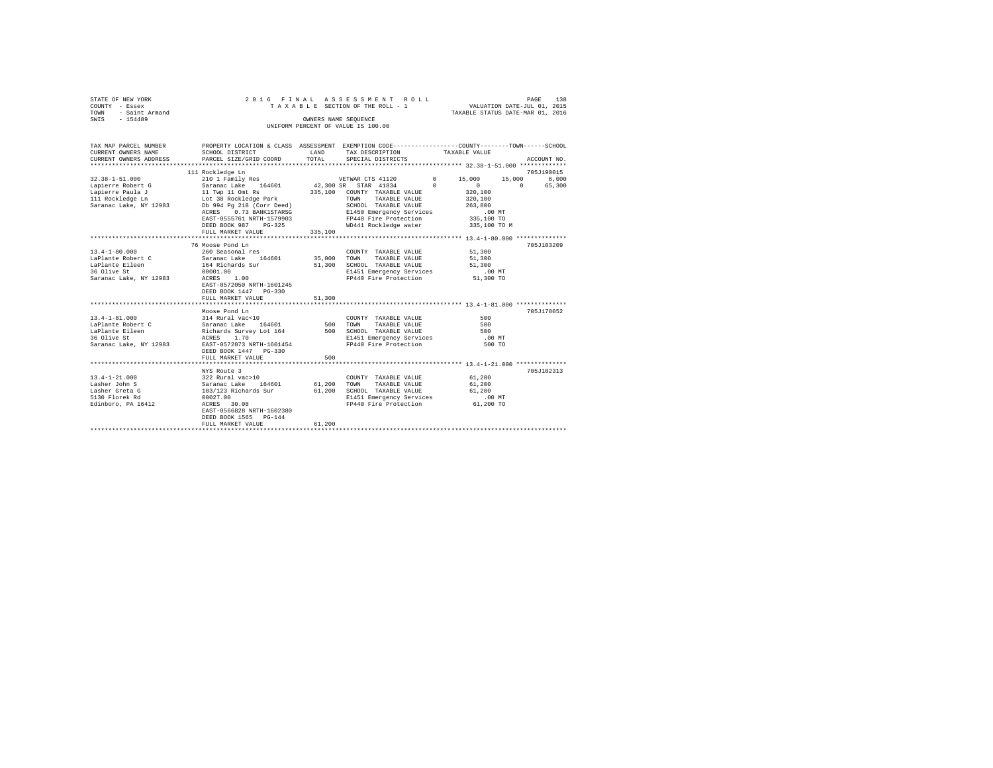|      | STATE OF NEW YORK   |  |  | 2016 FINAL ASSESSMENT ROLL         |  |  |  |  |                                  |  | PAGE | 138 |
|------|---------------------|--|--|------------------------------------|--|--|--|--|----------------------------------|--|------|-----|
|      | COUNTY - Essex      |  |  | TAXABLE SECTION OF THE ROLL - 1    |  |  |  |  | VALUATION DATE-JUL 01, 2015      |  |      |     |
|      | TOWN - Saint Armand |  |  |                                    |  |  |  |  | TAXABLE STATUS DATE-MAR 01, 2016 |  |      |     |
| SWIS | $-154489$           |  |  | OWNERS NAME SEOUENCE               |  |  |  |  |                                  |  |      |     |
|      |                     |  |  | UNIFORM PERCENT OF VALUE IS 100.00 |  |  |  |  |                                  |  |      |     |
|      |                     |  |  |                                    |  |  |  |  |                                  |  |      |     |

| TAX MAP PARCEL NUMBER          | PROPERTY LOCATION & CLASS ASSESSMENT EXEMPTION CODE---------------COUNTY-------TOWN------SCHOOL                                                     |        |                                                                    |           |             |
|--------------------------------|-----------------------------------------------------------------------------------------------------------------------------------------------------|--------|--------------------------------------------------------------------|-----------|-------------|
| CURRENT OWNERS NAME            | SCHOOL DISTRICT                                                                                                                                     | LAND   | TAX DESCRIPTION TAXABLE VALUE                                      |           |             |
|                                | CURRENT OWNERS ADDRESS PARCEL SIZE/GRID COORD                                                                                                       | TOTAL  | SPECIAL DISTRICTS                                                  |           | ACCOUNT NO. |
|                                |                                                                                                                                                     |        |                                                                    |           |             |
|                                | 111 Rockledge Ln                                                                                                                                    |        |                                                                    |           | 705J190015  |
|                                |                                                                                                                                                     |        |                                                                    |           |             |
|                                |                                                                                                                                                     |        |                                                                    |           |             |
|                                |                                                                                                                                                     |        |                                                                    |           |             |
|                                |                                                                                                                                                     |        |                                                                    |           |             |
|                                |                                                                                                                                                     |        |                                                                    |           |             |
|                                |                                                                                                                                                     |        | EAST-0555761 NRTH-1579903 FP440 Fire Protection 335,100 TO         |           |             |
|                                |                                                                                                                                                     |        |                                                                    |           |             |
|                                | ${\tt DEED\ BOOK\ 987}\qquad {\tt PG-325}\qquad \qquad {\tt WD441\ Rockledge\ water}\qquad \qquad {\tt 335,100\ T0\ M}$ ${\tt FULL\ MARKET\ VALUE}$ |        |                                                                    |           |             |
|                                |                                                                                                                                                     |        |                                                                    |           |             |
|                                | 76 Moose Pond Ln                                                                                                                                    |        |                                                                    |           | 705J103209  |
|                                |                                                                                                                                                     |        | COUNTY TAXABLE VALUE                                               | 51,300    |             |
|                                |                                                                                                                                                     |        |                                                                    | 51,300    |             |
|                                |                                                                                                                                                     |        | 51,300 SCHOOL TAXABLE VALUE 51,300                                 |           |             |
| 36 Olive St                    |                                                                                                                                                     |        | E1451 Emergency Services .00 MT                                    |           |             |
| Saranac Lake, NY 12983         | 00001.00<br>ACRES 1.00                                                                                                                              |        | FP440 Fire Protection                                              | 51,300 TO |             |
|                                | EAST-0572050 NRTH-1601245                                                                                                                           |        |                                                                    |           |             |
|                                | DEED BOOK 1447 PG-330                                                                                                                               |        |                                                                    |           |             |
|                                | FULL MARKET VALUE                                                                                                                                   | 51,300 |                                                                    |           |             |
|                                |                                                                                                                                                     |        |                                                                    |           |             |
|                                | Moose Pond Ln                                                                                                                                       |        |                                                                    |           | 705J178052  |
|                                |                                                                                                                                                     |        |                                                                    |           |             |
|                                |                                                                                                                                                     |        |                                                                    |           |             |
|                                |                                                                                                                                                     |        |                                                                    |           |             |
|                                |                                                                                                                                                     |        | E1451 Emergency Services .00 MT                                    |           |             |
|                                | Saranac Lake, NY 12983 EAST-0572073 NRTH-1601454                                                                                                    |        | FP440 Fire Protection                                              | 500 TO    |             |
|                                | DEED BOOK 1447    PG-330                                                                                                                            |        |                                                                    |           |             |
|                                | FULL MARKET VALUE                                                                                                                                   | 500    |                                                                    |           |             |
|                                |                                                                                                                                                     |        |                                                                    |           |             |
|                                | NYS Route 3                                                                                                                                         |        |                                                                    |           | 705J102313  |
|                                |                                                                                                                                                     |        |                                                                    |           |             |
|                                |                                                                                                                                                     |        |                                                                    |           |             |
|                                |                                                                                                                                                     |        |                                                                    |           |             |
|                                |                                                                                                                                                     |        | E1451 Emergency Services .00 MT<br>FP440 Fire Protection 61,200 TO |           |             |
| Edinboro, PA 16412 ACRES 30.08 |                                                                                                                                                     |        |                                                                    |           |             |
|                                | EAST-0566828 NRTH-1602380                                                                                                                           |        |                                                                    |           |             |
|                                | DEED BOOK 1565 PG-144                                                                                                                               |        |                                                                    |           |             |
|                                | FULL MARKET VALUE                                                                                                                                   | 61,200 |                                                                    |           |             |
|                                |                                                                                                                                                     |        |                                                                    |           |             |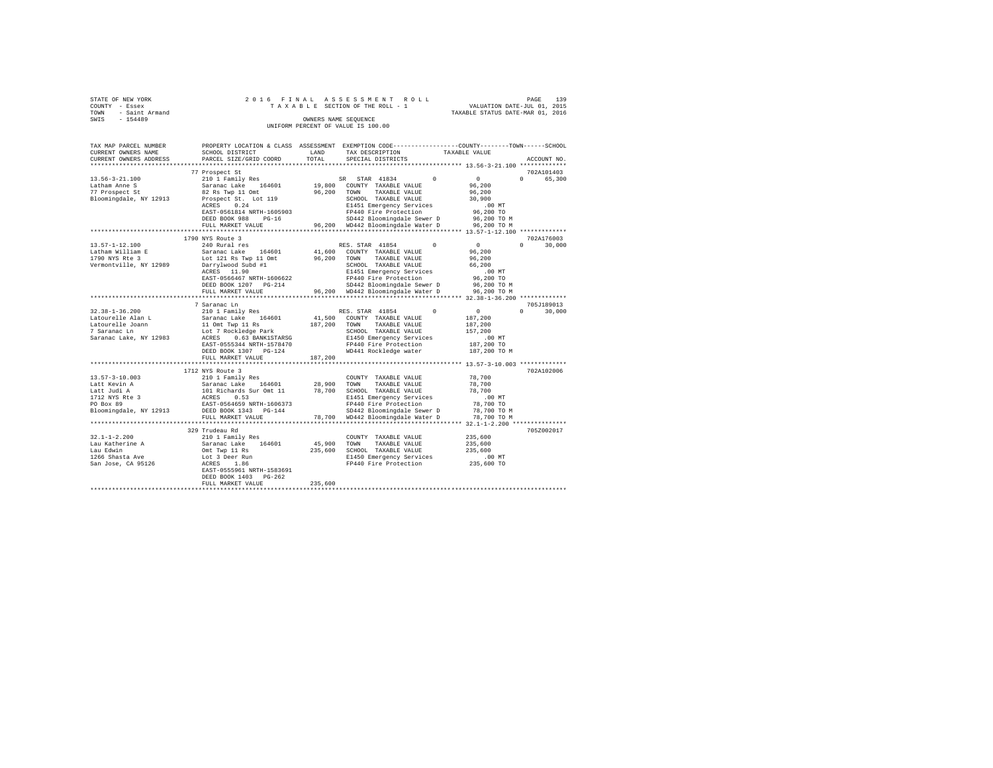| STATE OF NEW YORK |                     |  |  |  | 2016 FINAL ASSESSMENT ROLL         |  |  |  |                                  |  | PAGE | 139 |
|-------------------|---------------------|--|--|--|------------------------------------|--|--|--|----------------------------------|--|------|-----|
| COUNTY - Essex    |                     |  |  |  | TAXABLE SECTION OF THE ROLL - 1    |  |  |  | VALUATION DATE-JUL 01, 2015      |  |      |     |
|                   | TOWN - Saint Armand |  |  |  |                                    |  |  |  | TAXABLE STATUS DATE-MAR 01, 2016 |  |      |     |
| SWIS              | $-154489$           |  |  |  | OWNERS NAME SEOUENCE               |  |  |  |                                  |  |      |     |
|                   |                     |  |  |  | UNIFORM PERCENT OF VALUE IS 100.00 |  |  |  |                                  |  |      |     |

| TAX MAP PARCEL NUMBER<br>CURRENT OWNERS NAME<br>CURRENT OWNERS ADDRESS                                       | PROPERTY LOCATION & CLASS ASSESSMENT<br>SCHOOL DISTRICT<br>PARCEL SIZE/GRID COORD                                                                                                                              | LAND<br>TOTAL                 | EXEMPTION CODE-----------------COUNTY-------TOWN------SCHOOL<br>TAX DESCRIPTION<br>SPECIAL DISTRICTS                                                                                                                    | TAXABLE VALUE<br>ACCOUNT NO                                                                                                     |
|--------------------------------------------------------------------------------------------------------------|----------------------------------------------------------------------------------------------------------------------------------------------------------------------------------------------------------------|-------------------------------|-------------------------------------------------------------------------------------------------------------------------------------------------------------------------------------------------------------------------|---------------------------------------------------------------------------------------------------------------------------------|
| $13.56 - 3 - 21.100$<br>Latham Anne S<br>77 Prospect St<br>Bloomingdale, NY 12913                            | **********************<br>77 Prospect St<br>210 1 Family Res<br>Saranac Lake<br>164601<br>82 Rs Twp 11 Omt<br>Prospect St. Lot 119                                                                             | *********<br>19,800<br>96,200 | *************************** 13.56-3-21.100 *************<br>STAR 41834<br>$\Omega$<br>SR.<br>COUNTY TAXABLE VALUE<br>TOWN<br>TAXABLE VALUE<br>SCHOOL TAXABLE VALUE                                                      | 702A101403<br>$\circ$<br>$\Omega$<br>65,300<br>96,200<br>96,200<br>30,900                                                       |
|                                                                                                              | 0.24<br>ACRES<br>EAST-0561814 NRTH-1605903<br>DEED BOOK 988<br>$PG-16$<br>FULL MARKET VALUE<br>***********************                                                                                         | 96,200                        | E1451 Emergency Services<br>FP440 Fire Protection<br>SD442 Bloomingdale Sewer D<br>WD442 Bloomingdale Water D                                                                                                           | .00MT<br>96,200 TO<br>96,200 TO M<br>96,200 TO M                                                                                |
| $13.57 - 1 - 12.100$<br>Latham William E<br>1790 NYS Rte 3<br>Vermontville, NY 12989                         | 1790 NYS Route 3<br>240 Rural res<br>Saranac Lake<br>164601<br>Lot 121 Rs Twp 11 Omt<br>Darrylwood Subd #1<br>ACRES 11.90<br>EAST-0566467 NRTH-1606622<br>DEED BOOK 1207 PG-214<br>FULL MARKET VALUE           | 41,600<br>96,200<br>96,200    | RES. STAR 41854<br>$^{\circ}$<br>COUNTY TAXABLE VALUE<br>TAXABLE VALUE<br>TOWN<br>SCHOOL TAXABLE VALUE<br>E1451 Emergency Services<br>FP440 Fire Protection<br>SD442 Bloomingdale Sewer D<br>WD442 Bloomingdale Water D | 702A176003<br>$\circ$<br>$\circ$<br>30,000<br>96,200<br>96,200<br>66,200<br>$.00$ MT<br>96,200 TO<br>96,200 TO M<br>96,200 TO M |
|                                                                                                              | *************************                                                                                                                                                                                      |                               |                                                                                                                                                                                                                         |                                                                                                                                 |
| $32.38 - 1 - 36.200$<br>Latourelle Alan L<br>Latourelle Joann<br>7 Saranac Ln<br>Saranac Lake, NY 12983      | 7 Saranac Ln<br>210 1 Family Res<br>Saranac Lake<br>164601<br>11 Omt Twp 11 Rs<br>Lot 7 Rockledge Park<br>0.63 BANK1STARSG<br>ACRES<br>EAST-0555344 NRTH-1578470<br>DEED BOOK 1307 PG-124<br>FULL MARKET VALUE | 41,500<br>187,200<br>187.200  | $\Omega$<br>RES. STAR 41854<br>COUNTY TAXABLE VALUE<br>TOWN<br>TAXABLE VALUE<br>SCHOOL TAXABLE VALUE<br>E1450 Emergency Services<br>FP440 Fire Protection<br>WD441 Rockledge water                                      | 705J189013<br>$\circ$<br>$\Omega$<br>30,000<br>187,200<br>187,200<br>157,200<br>$.00$ $MT$<br>187,200 TO<br>187,200 TO M        |
|                                                                                                              | **************************                                                                                                                                                                                     |                               | ************************************ 13.57-3-10.003 *************                                                                                                                                                       |                                                                                                                                 |
| $13.57 - 3 - 10.003$<br>Latt Kevin A<br>Latt Judi A<br>1712 NYS Rte 3<br>PO Box 89<br>Bloomingdale, NY 12913 | 1712 NYS Route 3<br>210 1 Family Res<br>Saranac Lake<br>164601<br>101 Richards Sur Omt 11<br>0.53<br>ACRES<br>EAST-0564659 NRTH-1606373<br>DEED BOOK 1343 PG-144                                               | 28,900<br>78,700              | COUNTY TAXABLE VALUE<br>TOWN<br>TAXABLE VALUE<br>SCHOOL TAXABLE VALUE<br>E1451 Emergency Services<br>FP440 Fire Protection<br>SD442 Bloomingdale Sewer D                                                                | 702A102006<br>78,700<br>78,700<br>78,700<br>$.00$ MT<br>78,700 TO<br>78,700 TO M                                                |
|                                                                                                              | FULL MARKET VALUE                                                                                                                                                                                              | 78,700                        | WD442 Bloomingdale Water D                                                                                                                                                                                              | 78,700 TO M                                                                                                                     |
|                                                                                                              | 329 Trudeau Rd                                                                                                                                                                                                 |                               |                                                                                                                                                                                                                         | ** $32.1 - 1 - 2.200$ **<br>705Z002017                                                                                          |
| $32.1 - 1 - 2.200$<br>Lau Katherine A<br>Lau Edwin<br>1266 Shasta Ave<br>San Jose, CA 95126                  | 210 1 Family Res<br>Saranac Lake<br>164601<br>Omt Twp 11 Rs<br>Lot 3 Deer Run<br>1.86<br>ACRES<br>EAST-0555961 NRTH-1583691<br>DEED BOOK 1403<br>$PG-262$<br>FULL MARKET VALUE                                 | 45,900<br>235,600<br>235,600  | COUNTY TAXABLE VALUE<br>TOWN<br>TAXABLE VALUE<br>SCHOOL TAXABLE VALUE<br>E1450 Emergency Services<br>FP440 Fire Protection                                                                                              | 235,600<br>235,600<br>235,600<br>.00 MT<br>235,600 TO                                                                           |
|                                                                                                              |                                                                                                                                                                                                                |                               |                                                                                                                                                                                                                         |                                                                                                                                 |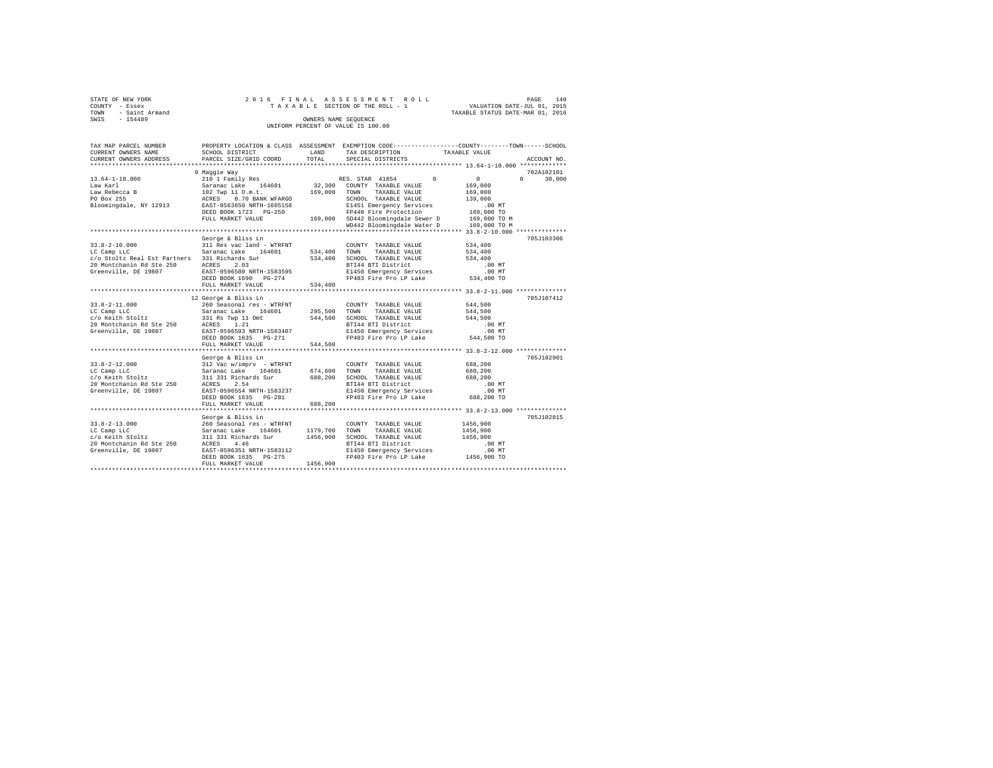| STATE OF NEW YORK   | 2016 FINAL ASSESSMENT ROLL         | 140<br>PAGE                      |
|---------------------|------------------------------------|----------------------------------|
| COUNTY - Essex      | TAXABLE SECTION OF THE ROLL - 1    | VALUATION DATE-JUL 01, 2015      |
| TOWN - Saint Armand |                                    | TAXABLE STATUS DATE-MAR 01, 2016 |
| SWIS<br>$-154489$   | OWNERS NAME SEOUENCE               |                                  |
|                     | UNIFORM PERCENT OF VALUE IS 100.00 |                                  |

| TAX MAP PARCEL NUMBER<br>CURRENT OWNERS NAME<br>CURRENT OWNERS ADDRESS | SCHOOL DISTRICT<br>PARCEL SIZE/GRID COORD                                                       | LAND<br>TOTAL | PROPERTY LOCATION & CLASS ASSESSMENT EXEMPTION CODE----------------COUNTY-------TOWN------SCHOOL<br>TAX DESCRIPTION<br>SPECIAL DISTRICTS | TAXABLE VALUE      | ACCOUNT NO.   |
|------------------------------------------------------------------------|-------------------------------------------------------------------------------------------------|---------------|------------------------------------------------------------------------------------------------------------------------------------------|--------------------|---------------|
|                                                                        |                                                                                                 |               |                                                                                                                                          |                    |               |
|                                                                        | 9 Maqqie Way                                                                                    |               |                                                                                                                                          |                    | 702A102101    |
| $13.64 - 1 - 10.000$                                                   | 210 1 Family Res                                                                                |               | RES. STAR 41854 0                                                                                                                        | $\sim$ 0 $\sim$    | $0 \t 30.000$ |
| Law Karl                                                               | Saranac Lake 164601<br>102 Twp 11 0.m.t.<br>ACRES 0.70 BANK WFARGO<br>EAST-0563650 NRTH-1605158 |               | 32,300 COUNTY TAXABLE VALUE                                                                                                              | 169,000            |               |
| Law Rebecca B                                                          |                                                                                                 | 169,000 TOWN  | TAXABLE VALUE                                                                                                                            | 169,000            |               |
| PO Box 255                                                             |                                                                                                 |               | SCHOOL TAXABLE VALUE                                                                                                                     | 139,000            |               |
| Bloomingdale, NY 12913                                                 |                                                                                                 |               | E1451 Emergency Services                                                                                                                 | $.00$ MT           |               |
|                                                                        | DEED BOOK 1723 PG-250                                                                           |               | FP440 Fire Protection                                                                                                                    | 169,000 TO         |               |
|                                                                        | FULL MARKET VALUE                                                                               |               | 169,000 SD442 Bloomingdale Sewer D                                                                                                       | 169,000 TO M       |               |
|                                                                        |                                                                                                 |               | WD442 Bloomingdale Water D                                                                                                               | 169,000 TO M       |               |
|                                                                        |                                                                                                 |               |                                                                                                                                          |                    |               |
|                                                                        | George & Bliss Ln                                                                               |               |                                                                                                                                          |                    | 705J103306    |
| $33.8 - 2 - 10.000$                                                    | 311 Res vac land - WTRFNT                                                                       |               | COUNTY TAXABLE VALUE                                                                                                                     | 534,400            |               |
| LC Camp LLC                                                            | Saranac Lake 164601                                                                             | 534,400       | TOWN<br>TAXABLE VALUE                                                                                                                    | 534,400            |               |
| c/o Stoltz Real Est Partners 331 Richards Sur                          |                                                                                                 | 534,400       | SCHOOL TAXABLE VALUE                                                                                                                     | 534,400            |               |
| 20 Montchanin Rd Ste 250                                               | 2.03<br>ACRES<br>EAST-0!                                                                        |               | BTI44 BTI District                                                                                                                       | .00 MT             |               |
| Greenville, DE 19807                                                   | EAST-0596580 NRTH-1583595                                                                       |               | E1450 Emergency Services .00 MT<br>FP403 Fire Pro LP Lake  534,400 TO                                                                    |                    |               |
|                                                                        | DEED BOOK 1690 PG-274                                                                           |               |                                                                                                                                          |                    |               |
|                                                                        | FULL MARKET VALUE                                                                               | 534,400       |                                                                                                                                          |                    |               |
|                                                                        |                                                                                                 |               |                                                                                                                                          |                    |               |
|                                                                        | 12 George & Bliss Ln                                                                            |               |                                                                                                                                          |                    | 705J107412    |
| $33.8 - 2 - 11.000$                                                    | 260 Seasonal res - WTRFNT                                                                       |               | COUNTY TAXABLE VALUE                                                                                                                     | 544,500            |               |
| LC Camp LLC                                                            | Saranac Lake<br>164601                                                                          | 295,500 TOWN  | TAXABLE VALUE                                                                                                                            | 544,500            |               |
| c/o Keith Stoltz                                                       | 331 Rs Twp 11 Omt                                                                               |               | 544,500 SCHOOL TAXABLE VALUE                                                                                                             | 544,500            |               |
| 20 Montchanin Rd Ste 250 ACRES 1.21                                    |                                                                                                 |               | BTI44 BTI District                                                                                                                       | $.00$ MT           |               |
| Greenville, DE 19807                                                   | EAST-0596593 NRTH-1583407                                                                       |               | E1450 Emergency Services                                                                                                                 | .00MT              |               |
|                                                                        | DEED BOOK 1635 PG-271                                                                           |               | FP403 Fire Pro LP Lake                                                                                                                   | 544,500 TO         |               |
|                                                                        | FULL MARKET VALUE                                                                               | 544,500       |                                                                                                                                          |                    |               |
|                                                                        |                                                                                                 |               |                                                                                                                                          |                    |               |
|                                                                        | George & Bliss Ln                                                                               |               |                                                                                                                                          |                    | 705J102901    |
| $33.8 - 2 - 12.000$                                                    | 312 Vac w/imprv - WTRFNT<br>Saranac Lake 164601 674,600 TOWN TAXABLE VALUE                      |               | COUNTY TAXABLE VALUE                                                                                                                     | 688,200            |               |
| LC Camp LLC<br>c/o Keith Stoltz                                        |                                                                                                 |               | SCHOOL TAXABLE VALUE                                                                                                                     | 688,200<br>688,200 |               |
| 20 Montchanin Rd Ste 250                                               | 311 331 Richards Sur 688, 200<br>ACRES 2.54                                                     |               | BTI44 BTI District                                                                                                                       | $.00$ MT           |               |
| Greenville, DE 19807                                                   | EAST-0596554 NRTH-1583237                                                                       |               | E1450 Emergency Services                                                                                                                 | $.00$ MT           |               |
|                                                                        | DEED BOOK 1635 PG-281                                                                           |               | FP403 Fire Pro LP Lake                                                                                                                   | 688,200 TO         |               |
|                                                                        | FULL MARKET VALUE                                                                               | 688,200       |                                                                                                                                          |                    |               |
|                                                                        |                                                                                                 |               |                                                                                                                                          |                    |               |
|                                                                        | George & Bliss Ln                                                                               |               |                                                                                                                                          |                    | 705J102815    |
| $33.8 - 2 - 13.000$                                                    |                                                                                                 |               | COUNTY TAXABLE VALUE                                                                                                                     | 1456,900           |               |
| LC Camp LLC                                                            |                                                                                                 | 1179,700      | TOWN<br>TAXABLE VALUE                                                                                                                    | 1456,900           |               |
| c/o Keith Stoltz                                                       | 260 Seasonal res - WTRFNT<br>Saranac Lake 164601<br>311 331 Richards Sur                        | 1456,900      | SCHOOL TAXABLE VALUE                                                                                                                     | 1456,900           |               |
|                                                                        |                                                                                                 |               | BTI44 BTI District                                                                                                                       | $.00$ MT           |               |
|                                                                        |                                                                                                 |               |                                                                                                                                          |                    |               |
|                                                                        | DEED BOOK 1635 PG-275                                                                           |               |                                                                                                                                          |                    |               |
|                                                                        | FULL MARKET VALUE                                                                               | 1456,900      |                                                                                                                                          |                    |               |
|                                                                        |                                                                                                 |               |                                                                                                                                          |                    |               |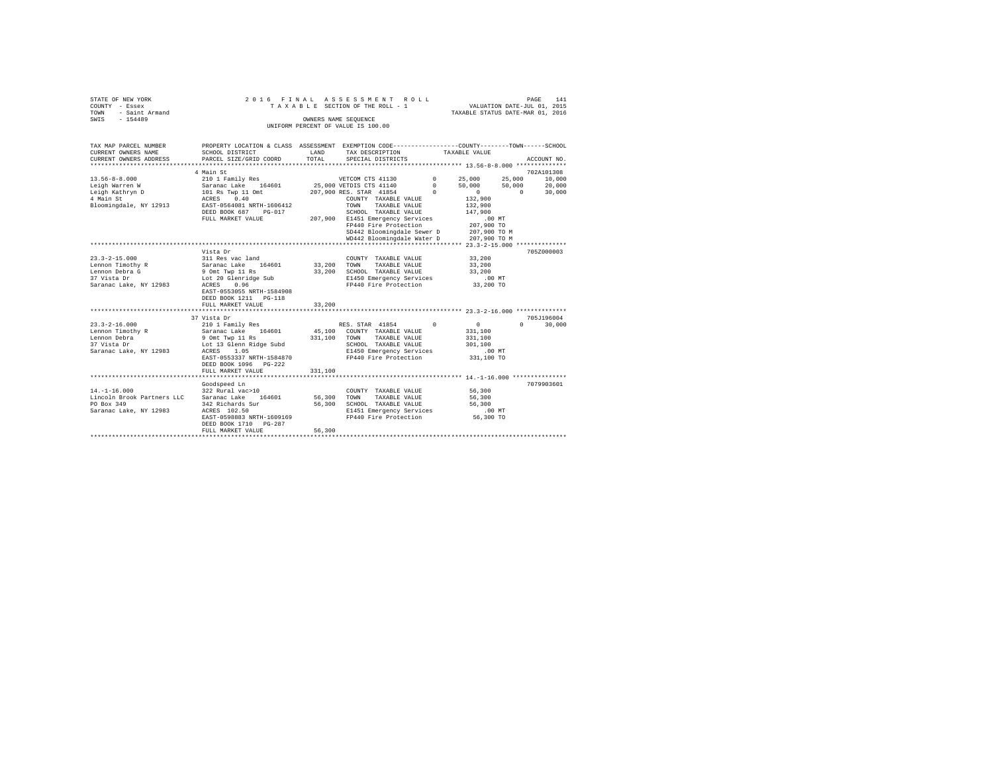| STATE OF NEW YORK   |  | 2016 FINAL ASSESSMENT ROLL         |                                  | PAGE | 141 |
|---------------------|--|------------------------------------|----------------------------------|------|-----|
| COUNTY - Essex      |  | TAXABLE SECTION OF THE ROLL - 1    | VALUATION DATE-JUL 01, 2015      |      |     |
| TOWN - Saint Armand |  |                                    | TAXABLE STATUS DATE-MAR 01, 2016 |      |     |
| SWIS<br>$-154489$   |  | OWNERS NAME SEOUENCE               |                                  |      |     |
|                     |  | UNIFORM PERCENT OF VALUE IS 100.00 |                                  |      |     |

| TAX MAP PARCEL NUMBER<br>CURRENT OWNERS NAME SCHOOL DISTRICT TAND IN TAX DESCRIPTION TAXABLE VALUE                                                                                                                                     | PROPERTY LOCATION & CLASS ASSESSMENT EXEMPTION CODE----------------COUNTY-------TOWN-----SCHOOL                                                                                                                              |         |                                                                                                                                                                                 |                   |               |
|----------------------------------------------------------------------------------------------------------------------------------------------------------------------------------------------------------------------------------------|------------------------------------------------------------------------------------------------------------------------------------------------------------------------------------------------------------------------------|---------|---------------------------------------------------------------------------------------------------------------------------------------------------------------------------------|-------------------|---------------|
| CURRENT OWNERS ADDRESS PARCEL SIZE/GRID COORD TOTAL                                                                                                                                                                                    |                                                                                                                                                                                                                              |         | SPECIAL DISTRICTS                                                                                                                                                               |                   | ACCOUNT NO.   |
|                                                                                                                                                                                                                                        | 4 Main St<br>ACKES U.S. TOMM TAXABLE VALUE<br>DEED BOOK 687 PG-017 SCHOOL TAXABLE VALUE 147,900<br>DEED BOOK 687 PG-017 207,900 E1451 Emergency Services 00 MT<br>FULL MARKET VALUE 207,900 E1440 Fire Protection 207,900 TO |         | 21212<br>COUNTY TAXABLE VALUE 132,900<br>-------- VALUE 132,900<br>-------- VALUE 132,900<br>SD442 Bloomingdale Sewer D 207,900 TO M<br>WD442 Bloomingdale Water D 207,900 TO M |                   | 702A101308    |
| 23.3–2–15.000 visual contry TAXABLE VALUE 33,200<br>Lennon Timothy R Saranac Lake 164601 33,200 TOWN TAXABLE VALUE 33,200<br>Lennon Debra G Saranac Lake 164601 33,200 SCHOOL TAXABLE VALUE 33,200<br>27 Vista Dr Dr Dr Dr Dr Dr Dr Dr | Vista Dr<br>EAST-0553055 NRTH-1584908<br>DEED BOOK 1211 PG-118<br>FULL MARKET VALUE                                                                                                                                          | 33,200  |                                                                                                                                                                                 |                   | 705Z000003    |
|                                                                                                                                                                                                                                        | 37 Vista Dr                                                                                                                                                                                                                  |         |                                                                                                                                                                                 |                   | 705J196004    |
| $23.3 - 2 - 16.000$                                                                                                                                                                                                                    | EAST-0553337 NRTH-1584870 FP440 Fire Protection 331,100 TO<br>DEED BOOK 1096 PG-222<br>FULL MARKET VALUE                                                                                                                     | 331,100 |                                                                                                                                                                                 | $\sim$ 0 $\sim$ 0 | $0 \t 30,000$ |
| $14. - 1 - 16.000$                                                                                                                                                                                                                     | Goodspeed Ln<br>322 Rural vac>10<br>EAST-0598883 NRTH-1609169<br>DEED BOOK 1710 PG-287<br>FULL MARKET VALUE                                                                                                                  | 56,300  | COUNTY TAXABLE VALUE 56,300<br>E1451 Emergency Services .00 MT<br>FP440 Fire Protection 56,300 TO                                                                               |                   | 7079903601    |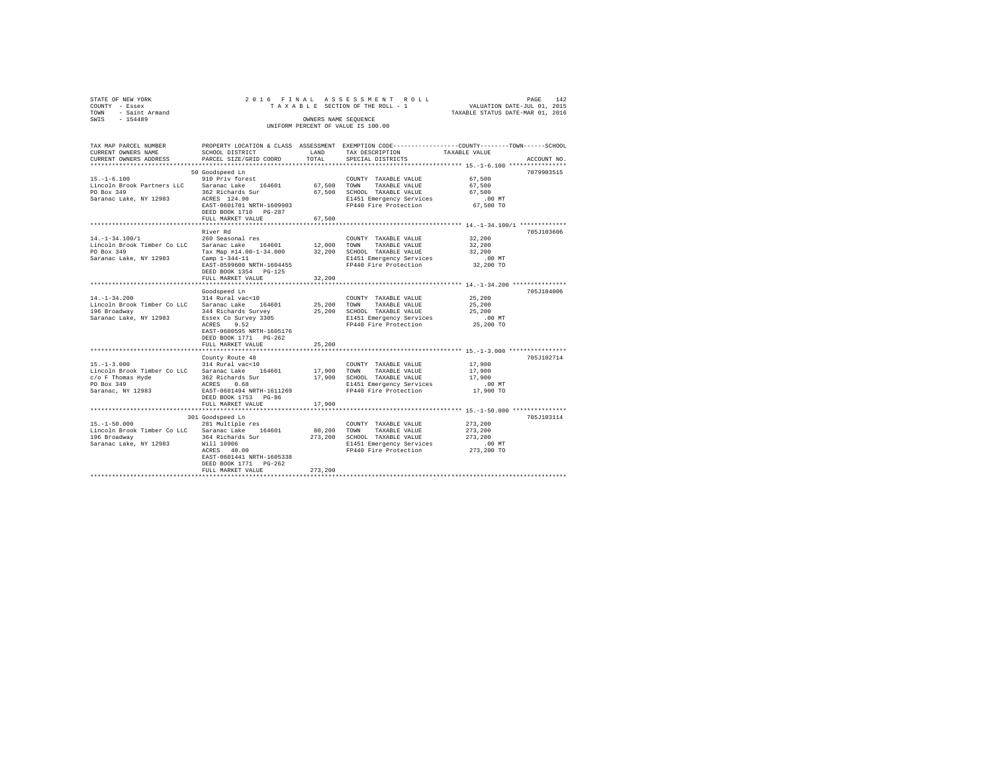| STATE OF NEW YORK     |           |                        |                                      |  |  |  | 2016 FINAL ASSESSMENT ROLL         |  |  |                   |  |  |                                                              |                                  | PAGE | 142         |
|-----------------------|-----------|------------------------|--------------------------------------|--|--|--|------------------------------------|--|--|-------------------|--|--|--------------------------------------------------------------|----------------------------------|------|-------------|
| COUNTY - Essex        |           |                        |                                      |  |  |  | TAXABLE SECTION OF THE ROLL - 1    |  |  |                   |  |  |                                                              | VALUATION DATE-JUL 01, 2015      |      |             |
| TOWN                  |           | - Saint Armand         |                                      |  |  |  |                                    |  |  |                   |  |  |                                                              | TAXABLE STATUS DATE-MAR 01, 2016 |      |             |
| SWIS                  | $-154489$ |                        |                                      |  |  |  | OWNERS NAME SEOUENCE               |  |  |                   |  |  |                                                              |                                  |      |             |
|                       |           |                        |                                      |  |  |  | UNIFORM PERCENT OF VALUE IS 100.00 |  |  |                   |  |  |                                                              |                                  |      |             |
|                       |           |                        |                                      |  |  |  |                                    |  |  |                   |  |  |                                                              |                                  |      |             |
|                       |           |                        |                                      |  |  |  |                                    |  |  |                   |  |  |                                                              |                                  |      |             |
| TAX MAP PARCEL NUMBER |           |                        | PROPERTY LOCATION & CLASS ASSESSMENT |  |  |  |                                    |  |  |                   |  |  | EXEMPTION CODE-----------------COUNTY-------TOWN------SCHOOL |                                  |      |             |
| CURRENT OWNERS NAME   |           |                        | SCHOOL DISTRICT                      |  |  |  | LAND                               |  |  | TAX DESCRIPTION   |  |  | TAXABLE VALUE                                                |                                  |      |             |
|                       |           | CURRENT OWNERS ADDRESS | PARCEL SIZE/GRID COORD               |  |  |  | TOTAL                              |  |  | SPECIAL DISTRICTS |  |  |                                                              |                                  |      | ACCOUNT NO. |
|                       |           |                        |                                      |  |  |  |                                    |  |  |                   |  |  |                                                              |                                  |      |             |

| $15. - 1 - 6.100$<br>PO Box 349<br>Saranac Lake, NY 12983                                                       | 50 Goodspeed Ln<br>910 Priv forest<br>Lincoln Brook Partners LLC Saranac Lake 164601 67,500 TOWN<br>362 Richards Sur<br>ACRES 124.90<br>EAST-0601781 NRTH-1609903<br>DEED BOOK 1710 PG-287<br>FULL MARKET VALUE | 67,500                 | COUNTY TAXABLE VALUE<br>TAXABLE VALUE<br>67,500 SCHOOL TAXABLE VALUE<br>E1451 Emergency Services<br>FP440 Fire Protection 67,500 TO                         | 67.500<br>67.500<br>67.500<br>67,500<br>.00 MT          | 7079903515 |
|-----------------------------------------------------------------------------------------------------------------|-----------------------------------------------------------------------------------------------------------------------------------------------------------------------------------------------------------------|------------------------|-------------------------------------------------------------------------------------------------------------------------------------------------------------|---------------------------------------------------------|------------|
| $14. - 1 - 34.100/1$<br>PO Box 349<br>Saranac Lake, NY 12983                                                    | River Rd<br>260 Seasonal res<br>Lincoln Brook Timber Co LLC Saranac Lake 164601 12,000 TOWN<br>Camp $1 - 344 - 11$<br>EAST-0599600 NRTH-1604455<br>DEED BOOK 1354 PG-125<br>FULL MARKET VALUE                   | 32,200                 | COUNTY TAXABLE VALUE<br>TAXABLE VALUE<br>Tax Map #14.00-1-34.000 32,200 SCHOOL TAXABLE VALUE<br>E1451 Emergency Services<br>FP440 Fire Protection 32,200 TO | 32,200<br>32,200<br>32,200<br>$.00$ MT                  | 705J103606 |
| $14. - 1 - 34.200$<br>Lincoln Brook Timber Co LLC Saranac Lake<br>196 Broadway<br>Saranac Lake, NY 12983        | Goodspeed Ln<br>314 Rural vac<10<br>164601 25,200 TOWN<br>344 Richards Survey<br>Essex Co Survey 3305<br>ACRES<br>9.52<br>EAST-0600595 NRTH-1605176<br>DEED BOOK 1771 PG-262<br>FULL MARKET VALUE               | 25,200                 | COUNTY TAXABLE VALUE<br>TAXABLE VALUE<br>25,200 SCHOOL TAXABLE VALUE<br>E1451 Emergency Services<br>FP440 Fire Protection 25,200 TO                         | 25,200<br>25,200<br>25,200<br>$.00$ MT                  | 705J184006 |
| $15. - 1 - 3.000$<br>c/o F Thomas Hyde<br>PO Box 349<br>Saranac, NY 12983                                       | County Route 48<br>314 Rural vac<10<br>Lincoln Brook Timber Co LLC Saranac Lake 164601<br>362 Richards Sur<br>ACRES 0.68<br>EAST-0601494 NRTH-1611269<br>DEED BOOK 1753 PG-86<br>FULL MARKET VALUE              | 17,900 TOWN<br>17,900  | COUNTY TAXABLE VALUE<br>TAXABLE VALUE<br>17,900 SCHOOL TAXABLE VALUE<br>E1451 Emergency Services .00 MT<br>FP440 Fire Protection                            | 17,900<br>17,900<br>17,900<br>17,900 TO                 | 705J102714 |
| $15. - 1 - 50.000$<br>Lincoln Brook Timber Co LLC Saranac Lake 164601<br>196 Broadway<br>Saranac Lake, NY 12983 | 301 Goodspeed Ln<br>281 Multiple res<br>364 Richards Sur<br>Will 10906<br>ACRES 40.00<br>EAST-0601441 NRTH-1605338<br>DEED BOOK 1771 PG-262<br>FULL MARKET VALUE                                                | 80,200 TOWN<br>273,200 | COUNTY TAXABLE VALUE<br>TAXABLE VALUE<br>273, 200 SCHOOL TAXABLE VALUE<br>E1451 Emergency Services<br>FP440 Fire Protection                                 | 273,200<br>273,200<br>273,200<br>$.00$ MT<br>273,200 TO | 705J103114 |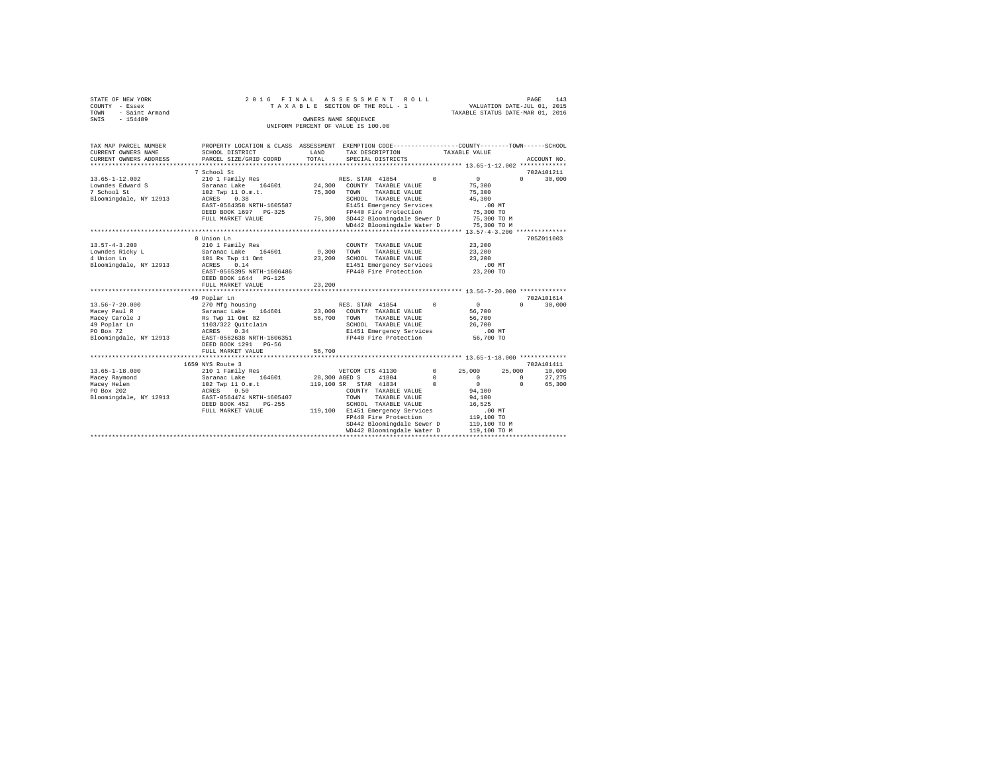| STATE OF NEW YORK |                     |  |  |  |  |                                    | 2016 FINAL ASSESSMENT ROLL      |  |                                  |                             | PAGE | 143 |
|-------------------|---------------------|--|--|--|--|------------------------------------|---------------------------------|--|----------------------------------|-----------------------------|------|-----|
| COUNTY - Essex    |                     |  |  |  |  |                                    | TAXABLE SECTION OF THE ROLL - 1 |  |                                  | VALUATION DATE-JUL 01, 2015 |      |     |
|                   | TOWN - Saint Armand |  |  |  |  |                                    |                                 |  | TAXABLE STATUS DATE-MAR 01, 2016 |                             |      |     |
| SWIS              | $-154489$           |  |  |  |  | OWNERS NAME SEOUENCE               |                                 |  |                                  |                             |      |     |
|                   |                     |  |  |  |  | UNIFORM PERCENT OF VALUE IS 100.00 |                                 |  |                                  |                             |      |     |

| TAX MAP PARCEL NUMBER<br>CURRENT OWNERS NAME | PROPERTY LOCATION & CLASS ASSESSMENT EXEMPTION CODE---------------COUNTY-------TOWN-----SCHOOL<br>SCHOOL DISTRICT | <b>T.AND</b>  |                       | TAX DESCRIPTION TAXABLE VALUE         |                          |                                                              |                        |                  |
|----------------------------------------------|-------------------------------------------------------------------------------------------------------------------|---------------|-----------------------|---------------------------------------|--------------------------|--------------------------------------------------------------|------------------------|------------------|
| CURRENT OWNERS ADDRESS                       | PARCEL SIZE/GRID COORD                                                                                            | TOTAL         |                       | SPECIAL DISTRICTS                     |                          |                                                              |                        | ACCOUNT NO.      |
|                                              | 7 School St                                                                                                       |               |                       |                                       |                          |                                                              |                        | 702A101211       |
| $13.65 - 1 - 12.002$                         | 210 1 Family Res                                                                                                  |               | RES. STAR 41854       |                                       | $\Omega$                 | $\mathbf{0}$                                                 | $\Omega$               | 30,000           |
| Lowndes Edward S                             | Saranac Lake 164601 24,300                                                                                        |               |                       | COUNTY TAXABLE VALUE                  |                          | 75,300                                                       |                        |                  |
| 7 School St                                  | 102 Twp 11 O.m.t.                                                                                                 | 75,300        | TOWN                  | TAXABLE VALUE                         |                          | 75,300                                                       |                        |                  |
| Bloomingdale, NY 12913                       | ACRES 0.38                                                                                                        |               |                       | SCHOOL TAXABLE VALUE                  |                          | 45,300                                                       |                        |                  |
|                                              | EAST-0564358 NRTH-1605587                                                                                         |               |                       | E1451 Emergency Services              |                          | $.00$ MT                                                     |                        |                  |
|                                              | DEED BOOK 1697 PG-325                                                                                             |               |                       | FP440 Fire Protection                 |                          | 75,300 TO                                                    |                        |                  |
|                                              | FULL MARKET VALUE                                                                                                 |               |                       | 75,300 SD442 Bloomingdale Sewer D     |                          | 75,300 TO M                                                  |                        |                  |
|                                              |                                                                                                                   |               |                       |                                       |                          | WD442 Bloomingdale Water D 75,300 TO M                       |                        |                  |
|                                              |                                                                                                                   |               |                       |                                       |                          |                                                              |                        |                  |
|                                              | 8 Union Ln                                                                                                        |               |                       |                                       |                          |                                                              |                        | 705Z011003       |
| $13.57 - 4 - 3.200$                          | 210 1 Family Res                                                                                                  |               |                       | COUNTY TAXABLE VALUE                  |                          | 23,200                                                       |                        |                  |
| Lowndes Ricky L                              | Saranac Lake 164601                                                                                               | 9,300 TOWN    |                       | TAXABLE VALUE                         |                          | 23,200                                                       |                        |                  |
| 4 Union Ln                                   | 101 Rs Twp 11 Omt                                                                                                 | 23,200        |                       | SCHOOL TAXABLE VALUE                  |                          | 23,200                                                       |                        |                  |
| Bloomingdale, NY 12913                       | ACRES<br>0.14                                                                                                     |               |                       | E1451 Emergency Services              |                          | $.00$ MT                                                     |                        |                  |
|                                              | EAST-0565395 NRTH-1606486                                                                                         |               |                       | FP440 Fire Protection                 |                          | 23,200 TO                                                    |                        |                  |
|                                              | DEED BOOK 1644 PG-125                                                                                             |               |                       |                                       |                          |                                                              |                        |                  |
|                                              | FULL MARKET VALUE                                                                                                 | 23,200        |                       |                                       |                          |                                                              |                        |                  |
|                                              |                                                                                                                   |               |                       |                                       |                          | *************** 13.56-7-20.000 ********                      |                        |                  |
|                                              | 49 Poplar Ln                                                                                                      |               |                       |                                       |                          |                                                              |                        | 702A101614       |
| $13.56 - 7 - 20.000$                         | 270 Mfg housing                                                                                                   |               |                       | RES. STAR 41854 0                     |                          | $\overline{0}$                                               | $\Omega$               | 30,000           |
| Macey Paul R                                 | Saranac Lake<br>164601                                                                                            | 23,000        |                       | COUNTY TAXABLE VALUE                  |                          | 56,700                                                       |                        |                  |
| Macey Carole J                               | Rs Twp 11 Omt 82                                                                                                  | 56,700        | TOWN                  | TAXABLE VALUE                         |                          | 56,700                                                       |                        |                  |
| 49 Poplar Ln                                 | 1103/322 Quitclaim                                                                                                |               |                       | SCHOOL TAXABLE VALUE                  |                          | 26,700                                                       |                        |                  |
| PO Box 72                                    | 0.34<br>ACRES                                                                                                     |               |                       | E1451 Emergency Services              |                          | $.00$ MT                                                     |                        |                  |
| Bloomingdale, NY 12913                       | EAST-0562638 NRTH-1606351                                                                                         |               |                       | FP440 Fire Protection                 |                          | 56,700 TO                                                    |                        |                  |
|                                              | DEED BOOK 1291 PG-56                                                                                              |               |                       |                                       |                          |                                                              |                        |                  |
|                                              | FULL MARKET VALUE                                                                                                 | 56,700        |                       |                                       |                          | ******************************* 13.65-1-18.000 ************* |                        |                  |
|                                              | ************************                                                                                          |               |                       |                                       |                          |                                                              |                        | 702A101411       |
|                                              | 1659 NYS Route 3                                                                                                  |               |                       |                                       |                          |                                                              |                        |                  |
| $13.65 - 1 - 18.000$                         | 210 1 Family Res                                                                                                  | 28,300 AGED S | VETCOM CTS 41130      | 41804                                 | $^{\circ}$<br>$^{\circ}$ | 25,000<br>$\circ$                                            | 25,000                 | 10,000<br>27.275 |
| Macey Raymond                                | Saranac Lake 164601                                                                                               |               | 119,100 SR STAR 41834 |                                       | $\Omega$                 | $\Omega$                                                     | $^{\circ}$<br>$\Omega$ | 65,300           |
| Macey Helen<br>PO Box 202                    | 102 Twp 11 O.m.t                                                                                                  |               |                       |                                       |                          |                                                              |                        |                  |
| Bloomingdale, NY 12913                       | 0.50<br>ACRES                                                                                                     |               | TOWN                  | COUNTY TAXABLE VALUE                  |                          | 94,100                                                       |                        |                  |
|                                              | EAST-0564474 NRTH-1605407<br>DEED BOOK 452<br>$PG-255$                                                            |               |                       | TAXABLE VALUE<br>SCHOOL TAXABLE VALUE |                          | 94,100<br>16,525                                             |                        |                  |
|                                              | FULL MARKET VALUE                                                                                                 |               |                       | 119,100 E1451 Emergency Services      |                          | .00MT                                                        |                        |                  |
|                                              |                                                                                                                   |               |                       | FP440 Fire Protection                 |                          | 119,100 TO                                                   |                        |                  |
|                                              |                                                                                                                   |               |                       | SD442 Bloomingdale Sewer D            |                          |                                                              |                        |                  |
|                                              |                                                                                                                   |               |                       | WD442 Bloomingdale Water D            |                          | 119,100 TO M<br>119,100 TO M                                 |                        |                  |
|                                              |                                                                                                                   |               |                       |                                       |                          |                                                              |                        |                  |
|                                              |                                                                                                                   |               |                       |                                       |                          |                                                              |                        |                  |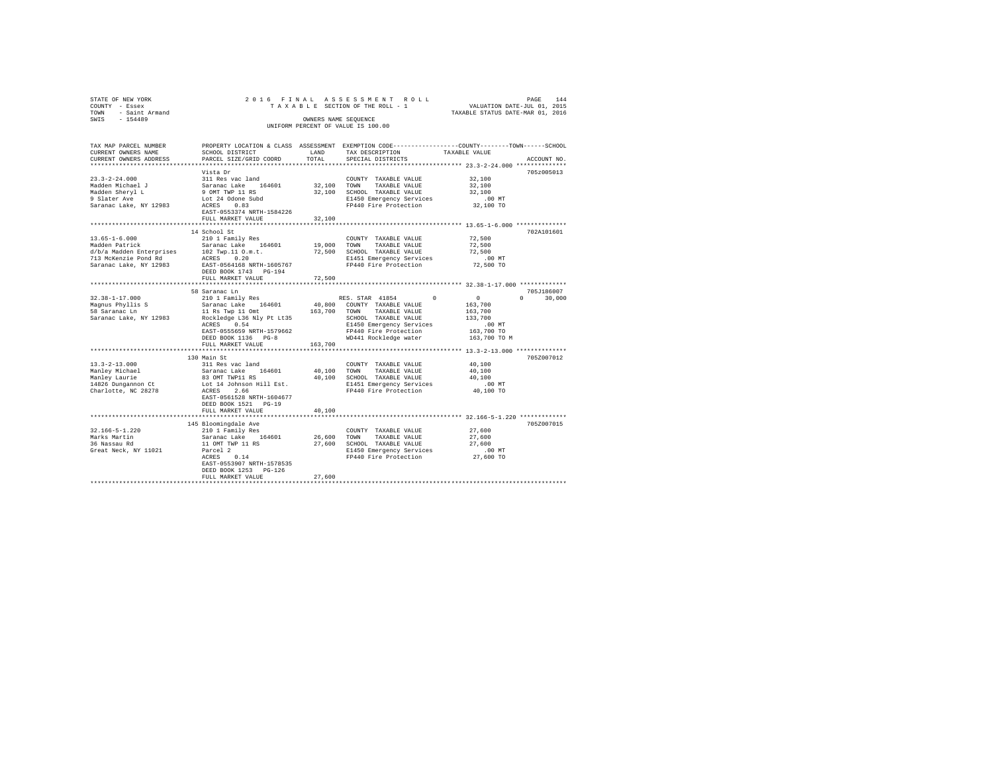| STATE OF NEW YORK<br>COUNTY - Essex<br>TOWN - Saint Armand<br>SWIS - 154489                                                                                                                                                                                                             |                                                                                                                                                                                                                                                                                                                                                                                               | OWNERS NAME SEOUENCE  | 2016 FINAL ASSESSMENT ROLL<br>UNIFORM PERCENT OF VALUE IS 100.00                 | TAXAB DRS ו- של השפט בישראל ב- 14 ESCTION DATE-JUL 01, 2015<br>TAXAB ESCTION OF THE ROLL - 1 WALUATION DATE-JUL 01, 2015<br>TAXABLE STATUS DATE-MAR 01 2016 |
|-----------------------------------------------------------------------------------------------------------------------------------------------------------------------------------------------------------------------------------------------------------------------------------------|-----------------------------------------------------------------------------------------------------------------------------------------------------------------------------------------------------------------------------------------------------------------------------------------------------------------------------------------------------------------------------------------------|-----------------------|----------------------------------------------------------------------------------|-------------------------------------------------------------------------------------------------------------------------------------------------------------|
| TAX MAP PARCEL NUMBER<br>CURRENT OWNERS NAME<br>CURRENT OWNERS ADDRESS                                                                                                                                                                                                                  | SCHOOL DISTRICT<br>PARCEL SIZE/GRID COORD                                                                                                                                                                                                                                                                                                                                                     | LAND<br>TOTAL         | TAX DESCRIPTION TAXABLE VALUE<br>SPECIAL DISTRICTS                               | PROPERTY LOCATION & CLASS ASSESSMENT EXEMPTION CODE----------------COUNTY-------TOWN------SCHOOL<br>ACCOUNT NO.                                             |
|                                                                                                                                                                                                                                                                                         | Vista Dr                                                                                                                                                                                                                                                                                                                                                                                      |                       |                                                                                  | 705z005013                                                                                                                                                  |
| $\begin{tabular}{lllllllllll} 23, 3-2-24.000 & 311\text{ Rea vac land} \\ \text{Madden Michael }J & Sarnane Cake & 164601 \\ \text{Madden Sheryl L} & 9.0M7 TWP l1 R3 \\ \text{9.31area } kpc & 1.022400n85ubd \\ \text{Sarance Lake, NY 12983} & \text{ACRES} & 0.83 \\ \end{tabular}$ |                                                                                                                                                                                                                                                                                                                                                                                               |                       | COUNTY TAXABLE VALUE<br>32,100 TOWN TAXABLE VALUE<br>COUNTY TAXABLE VALUE 32,100 |                                                                                                                                                             |
|                                                                                                                                                                                                                                                                                         |                                                                                                                                                                                                                                                                                                                                                                                               |                       |                                                                                  | 32,100                                                                                                                                                      |
|                                                                                                                                                                                                                                                                                         |                                                                                                                                                                                                                                                                                                                                                                                               |                       | 32,100 SCHOOL TAXABLE VALUE<br>E1450 Emergency Services<br>FP440 Fire Protection | 32,100                                                                                                                                                      |
|                                                                                                                                                                                                                                                                                         |                                                                                                                                                                                                                                                                                                                                                                                               |                       |                                                                                  | 00 MT.<br>32,100 TO                                                                                                                                         |
|                                                                                                                                                                                                                                                                                         |                                                                                                                                                                                                                                                                                                                                                                                               |                       |                                                                                  |                                                                                                                                                             |
|                                                                                                                                                                                                                                                                                         | EAST-0553374 NRTH-1584226                                                                                                                                                                                                                                                                                                                                                                     |                       |                                                                                  |                                                                                                                                                             |
|                                                                                                                                                                                                                                                                                         | FULL MARKET VALUE                                                                                                                                                                                                                                                                                                                                                                             | 32,100                |                                                                                  |                                                                                                                                                             |
|                                                                                                                                                                                                                                                                                         |                                                                                                                                                                                                                                                                                                                                                                                               | ********************* |                                                                                  | ********************* 13.65-1-6.000 **************                                                                                                          |
|                                                                                                                                                                                                                                                                                         | 14 School St                                                                                                                                                                                                                                                                                                                                                                                  |                       |                                                                                  | 702A101601                                                                                                                                                  |
| $13.65 - 1 - 6.000$                                                                                                                                                                                                                                                                     | 210 1 Family Res<br>Saranac Lake 164601                                                                                                                                                                                                                                                                                                                                                       |                       | COUNTY TAXABLE VALUE<br>19,000 TOWN TAXABLE VALUE                                | 72,500                                                                                                                                                      |
| Madden Patrick<br>Madden Patrick Handred Market Market (1990)<br>2016 - The Salis Market Market (1990)<br>2019 - The Market Market (1991)<br>2019 - The Saranac Lake, NY 12983 - EAST -0564168<br>1887 - The Saranac Lake, NY 12983 - EAST -0564168<br>2017 - T                         |                                                                                                                                                                                                                                                                                                                                                                                               |                       |                                                                                  | 72,500                                                                                                                                                      |
|                                                                                                                                                                                                                                                                                         |                                                                                                                                                                                                                                                                                                                                                                                               |                       |                                                                                  | 72,500                                                                                                                                                      |
|                                                                                                                                                                                                                                                                                         |                                                                                                                                                                                                                                                                                                                                                                                               |                       | E1451 Emergency Services<br>FP440 Fire Protection                                | 00 MT.<br>72,500 TO                                                                                                                                         |
|                                                                                                                                                                                                                                                                                         | DEED BOOK 1743 PG-194                                                                                                                                                                                                                                                                                                                                                                         |                       |                                                                                  |                                                                                                                                                             |
|                                                                                                                                                                                                                                                                                         | FULL MARKET VALUE                                                                                                                                                                                                                                                                                                                                                                             | 72,500                |                                                                                  |                                                                                                                                                             |
|                                                                                                                                                                                                                                                                                         |                                                                                                                                                                                                                                                                                                                                                                                               |                       |                                                                                  |                                                                                                                                                             |
|                                                                                                                                                                                                                                                                                         | 58 Saranac Ln                                                                                                                                                                                                                                                                                                                                                                                 |                       |                                                                                  | 705J186007                                                                                                                                                  |
| $32.38 - 1 - 17.000$                                                                                                                                                                                                                                                                    |                                                                                                                                                                                                                                                                                                                                                                                               |                       |                                                                                  | $0 \t 30,000$                                                                                                                                               |
|                                                                                                                                                                                                                                                                                         |                                                                                                                                                                                                                                                                                                                                                                                               |                       |                                                                                  |                                                                                                                                                             |
| Magnus Phyllis S<br>58 Saranac Ln                                                                                                                                                                                                                                                       |                                                                                                                                                                                                                                                                                                                                                                                               |                       |                                                                                  |                                                                                                                                                             |
| Saranac Lake, NY 12983                                                                                                                                                                                                                                                                  |                                                                                                                                                                                                                                                                                                                                                                                               |                       |                                                                                  |                                                                                                                                                             |
|                                                                                                                                                                                                                                                                                         |                                                                                                                                                                                                                                                                                                                                                                                               |                       |                                                                                  |                                                                                                                                                             |
|                                                                                                                                                                                                                                                                                         |                                                                                                                                                                                                                                                                                                                                                                                               |                       |                                                                                  |                                                                                                                                                             |
|                                                                                                                                                                                                                                                                                         | $\begin{tabular}{l c c c c} \multicolumn{4}{c}{2101~Fami1y~Res} & \multicolumn{4}{c}{RES.~STAR} & 41854 & 0 & 0 \\ \multicolumn{4}{c}{Saranac~Lake} & 164601 & 40,800 & \multicolumn{4}{c}{\textbf{CONBra}} & 163,700 \\ \multicolumn{4}{c}{11~Re~Twp11~omt} & 164601 & 40,800 & \multicolumn{4}{c}{\textbf{CONBra}} & \multicolumn{4}{c}{\textbf{NAABLE}} & \multicolumn{4}{c}{\textbf{NULB$ |                       |                                                                                  | 163,700 TO M                                                                                                                                                |
|                                                                                                                                                                                                                                                                                         | FULL MARKET VALUE                                                                                                                                                                                                                                                                                                                                                                             | 163,700               |                                                                                  |                                                                                                                                                             |
|                                                                                                                                                                                                                                                                                         |                                                                                                                                                                                                                                                                                                                                                                                               |                       |                                                                                  |                                                                                                                                                             |
|                                                                                                                                                                                                                                                                                         | 130 Main St                                                                                                                                                                                                                                                                                                                                                                                   |                       |                                                                                  | 705Z007012                                                                                                                                                  |
| $13.3 - 2 - 13.000$                                                                                                                                                                                                                                                                     |                                                                                                                                                                                                                                                                                                                                                                                               |                       |                                                                                  | 40,100                                                                                                                                                      |
|                                                                                                                                                                                                                                                                                         |                                                                                                                                                                                                                                                                                                                                                                                               |                       |                                                                                  | 40,100                                                                                                                                                      |
| Manley Michael<br>Manley Laurie<br>14826 Dungannon Ct                                                                                                                                                                                                                                   | SUMMIT SURFACE IS NOT TRANSPORT OF SAMPLE VALUE<br>SAMPLE SAMPLE SAMPLE AND TOWN TRANSPORT ON SCHOOL TRANSPORT ON SOURCE AND SURFACE OF A SURFACE OF A SAMPLE DE<br>10,100 SCHOOL TRANSPORT SURFACE IS NOT TRANSPORT OF THE SAMPLE                                                                                                                                                            |                       |                                                                                  | 40,100                                                                                                                                                      |
|                                                                                                                                                                                                                                                                                         | ACRES 2.66                                                                                                                                                                                                                                                                                                                                                                                    |                       | FP440 Fire Protection                                                            | .00 MT<br>40,100 TO                                                                                                                                         |
| Charlotte, NC 28278                                                                                                                                                                                                                                                                     | EAST-0561528 NRTH-1604677                                                                                                                                                                                                                                                                                                                                                                     |                       |                                                                                  |                                                                                                                                                             |
|                                                                                                                                                                                                                                                                                         | DEED BOOK 1521 PG-19                                                                                                                                                                                                                                                                                                                                                                          |                       |                                                                                  |                                                                                                                                                             |
|                                                                                                                                                                                                                                                                                         | FULL MARKET VALUE                                                                                                                                                                                                                                                                                                                                                                             | 40,100                |                                                                                  |                                                                                                                                                             |
|                                                                                                                                                                                                                                                                                         |                                                                                                                                                                                                                                                                                                                                                                                               | **************        |                                                                                  |                                                                                                                                                             |
|                                                                                                                                                                                                                                                                                         |                                                                                                                                                                                                                                                                                                                                                                                               |                       |                                                                                  | 705Z007015                                                                                                                                                  |
| 32.166-5-1.220                                                                                                                                                                                                                                                                          |                                                                                                                                                                                                                                                                                                                                                                                               |                       |                                                                                  |                                                                                                                                                             |
|                                                                                                                                                                                                                                                                                         |                                                                                                                                                                                                                                                                                                                                                                                               |                       |                                                                                  |                                                                                                                                                             |
| Marks Martin<br>36 Nassau Rd                                                                                                                                                                                                                                                            |                                                                                                                                                                                                                                                                                                                                                                                               |                       |                                                                                  |                                                                                                                                                             |
| Great Neck, NY 11021                                                                                                                                                                                                                                                                    |                                                                                                                                                                                                                                                                                                                                                                                               |                       |                                                                                  |                                                                                                                                                             |
|                                                                                                                                                                                                                                                                                         |                                                                                                                                                                                                                                                                                                                                                                                               |                       |                                                                                  |                                                                                                                                                             |
|                                                                                                                                                                                                                                                                                         |                                                                                                                                                                                                                                                                                                                                                                                               |                       |                                                                                  |                                                                                                                                                             |
|                                                                                                                                                                                                                                                                                         | DEED BOOK 1253 PG-126                                                                                                                                                                                                                                                                                                                                                                         |                       |                                                                                  |                                                                                                                                                             |
|                                                                                                                                                                                                                                                                                         | FULL MARKET VALUE                                                                                                                                                                                                                                                                                                                                                                             | 27,600                |                                                                                  |                                                                                                                                                             |
|                                                                                                                                                                                                                                                                                         |                                                                                                                                                                                                                                                                                                                                                                                               |                       |                                                                                  |                                                                                                                                                             |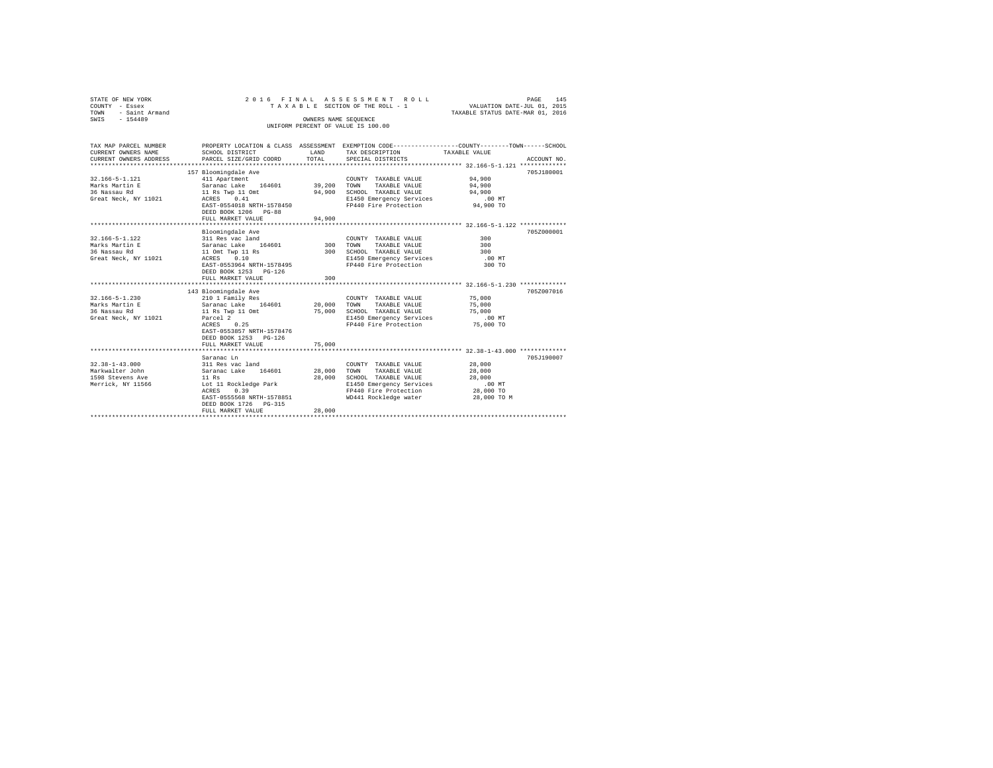| STATE OF NEW YORK<br>COUNTY - Essex<br>TOWN - Saint Armand | ASSESSMENT ROLL<br>2016 FINAL<br>145<br>PAGE<br>VALUATION DATE-JUL 01, 2015<br>TAXABLE SECTION OF THE ROLL - 1<br>TAXABLE STATUS DATE-MAR 01, 2016 |                  |                                      |               |             |  |  |  |
|------------------------------------------------------------|----------------------------------------------------------------------------------------------------------------------------------------------------|------------------|--------------------------------------|---------------|-------------|--|--|--|
| SWIS - 154489                                              |                                                                                                                                                    |                  | OWNERS NAME SEQUENCE                 |               |             |  |  |  |
|                                                            |                                                                                                                                                    |                  | UNIFORM PERCENT OF VALUE IS 100.00   |               |             |  |  |  |
|                                                            |                                                                                                                                                    |                  |                                      |               |             |  |  |  |
|                                                            |                                                                                                                                                    |                  |                                      |               |             |  |  |  |
| TAX MAP PARCEL NUMBER                                      | PROPERTY LOCATION & CLASS ASSESSMENT EXEMPTION CODE---------------COUNTY-------TOWN------SCHOOL                                                    |                  |                                      |               |             |  |  |  |
| CURRENT OWNERS NAME<br>CURRENT OWNERS ADDRESS              | SCHOOL DISTRICT<br>PARCEL SIZE/GRID COORD                                                                                                          | LAND<br>TOTAL    | TAX DESCRIPTION<br>SPECIAL DISTRICTS | TAXABLE VALUE | ACCOUNT NO. |  |  |  |
|                                                            |                                                                                                                                                    |                  |                                      |               |             |  |  |  |
|                                                            | 157 Bloomingdale Ave                                                                                                                               |                  |                                      |               | 705J180001  |  |  |  |
| 32.166-5-1.121                                             | 411 Apartment                                                                                                                                      |                  | COUNTY TAXABLE VALUE                 | 94,900        |             |  |  |  |
| Marks Martin E                                             | Saranac Lake 164601 39,200                                                                                                                         |                  | TOWN<br>TAXABLE VALUE                | 94,900        |             |  |  |  |
| 36 Nassau Rd                                               |                                                                                                                                                    | 94,900           | SCHOOL TAXABLE VALUE                 | 94,900        |             |  |  |  |
| Great Neck. NY 11021                                       | 11 Rs Twp 11 Omt<br>ACRES 0.41                                                                                                                     |                  | E1450 Emergency Services             | $.00$ MT      |             |  |  |  |
|                                                            | EAST-0554018 NRTH-1578450                                                                                                                          |                  | FP440 Fire Protection 94,900 TO      |               |             |  |  |  |
|                                                            | DEED BOOK 1206 PG-88                                                                                                                               |                  |                                      |               |             |  |  |  |
|                                                            | FULL MARKET VALUE                                                                                                                                  | 94,900           |                                      |               |             |  |  |  |
|                                                            |                                                                                                                                                    |                  |                                      |               |             |  |  |  |
|                                                            | Bloomingdale Ave                                                                                                                                   |                  |                                      |               | 705Z000001  |  |  |  |
| 32.166-5-1.122                                             | Broominguare Ave<br>311 Res vac land                                                                                                               |                  | COUNTY TAXABLE VALUE                 | 300           |             |  |  |  |
| Marks Martin E                                             | Saranac Lake 164601                                                                                                                                | 300              | TAXABLE VALUE<br>TOWN                | 300           |             |  |  |  |
| 36 Nassau Rd                                               | 11 Omt Twp 11 Rs                                                                                                                                   | 300              | SCHOOL TAXABLE VALUE                 | 300           |             |  |  |  |
| Great Neck, NY 11021                                       | ACRES 0.10                                                                                                                                         |                  | E1450 Emergency Services             | $.00$ MT      |             |  |  |  |
|                                                            | EAST-0553964 NRTH-1578495                                                                                                                          |                  | FP440 Fire Protection                | 300 TO        |             |  |  |  |
|                                                            | DEED BOOK 1253 PG-126                                                                                                                              |                  |                                      |               |             |  |  |  |
|                                                            | FULL MARKET VALUE                                                                                                                                  | 300              |                                      |               |             |  |  |  |
|                                                            |                                                                                                                                                    |                  |                                      |               |             |  |  |  |
| 32.166-5-1.230                                             | 143 Bloomingdale Ave<br>210 1 Family Res                                                                                                           |                  | COUNTY TAXABLE VALUE 75,000          |               | 705Z007016  |  |  |  |
| Marks Martin E                                             | Saranac Lake 164601                                                                                                                                |                  | TOWN TAXABLE VALUE                   | 75,000        |             |  |  |  |
| 36 Nassau Rd                                               | 11 Rs Twp 11 Omt                                                                                                                                   | 20,000<br>75,000 | SCHOOL TAXABLE VALUE                 | 75,000        |             |  |  |  |
| Great Neck, NY 11021                                       | Parcel 2                                                                                                                                           |                  | E1450 Emergency Services             | $.00$ MT      |             |  |  |  |
|                                                            | $ACRES$ 0.25                                                                                                                                       |                  | FP440 Fire Protection                | 75,000 TO     |             |  |  |  |
|                                                            | EAST-0553857 NRTH-1578476                                                                                                                          |                  |                                      |               |             |  |  |  |
|                                                            | DEED BOOK 1253 PG-126                                                                                                                              |                  |                                      |               |             |  |  |  |
|                                                            | FULL MARKET VALUE                                                                                                                                  | 75,000           |                                      |               |             |  |  |  |
|                                                            |                                                                                                                                                    |                  |                                      |               |             |  |  |  |
|                                                            | Saranac Ln                                                                                                                                         |                  |                                      |               | 705J190007  |  |  |  |
| $32.38 - 1 - 43.000$                                       | 311 Res vac land<br>Saranac Lake 164601                                                                                                            |                  | COUNTY TAXABLE VALUE                 | 28,000        |             |  |  |  |
| Markwalter John                                            |                                                                                                                                                    | 28,000           | TOWN<br>TAXABLE VALUE                | 28,000        |             |  |  |  |
| 1598 Stevens Ave                                           | 11 Rs<br>Lot 11                                                                                                                                    | 28,000           | SCHOOL TAXABLE VALUE                 | 28,000        |             |  |  |  |
| Merrick, NY 11566                                          | Lot 11 Rockledge Park                                                                                                                              |                  | E1450 Emergency Services             | $.00$ MT      |             |  |  |  |
|                                                            | ACRES<br>0.39                                                                                                                                      |                  | FP440 Fire Protection                | 28,000 TO     |             |  |  |  |
|                                                            | EAST-0555568 NRTH-1578851                                                                                                                          |                  | WD441 Rockledge water                | 28,000 TO M   |             |  |  |  |
|                                                            | DEED BOOK 1726 PG-315                                                                                                                              |                  |                                      |               |             |  |  |  |
|                                                            | FULL MARKET VALUE                                                                                                                                  | 28,000           |                                      |               |             |  |  |  |
|                                                            |                                                                                                                                                    |                  |                                      |               |             |  |  |  |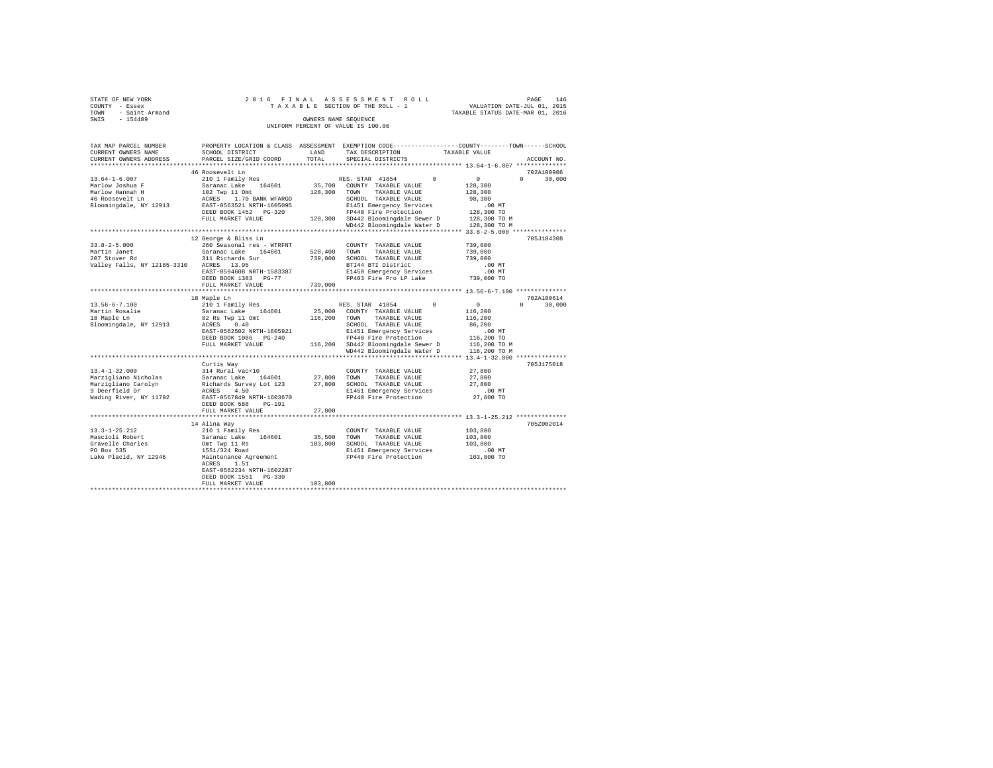|                | STATE OF NEW YORK   |  |  |  |  | 2016 FINAL ASSESSMENT ROLL         |  |  |  |  |                                  | PAGE | 146 |
|----------------|---------------------|--|--|--|--|------------------------------------|--|--|--|--|----------------------------------|------|-----|
| COUNTY - Essex |                     |  |  |  |  | TAXABLE SECTION OF THE ROLL - 1    |  |  |  |  | VALUATION DATE-JUL 01, 2015      |      |     |
|                | TOWN - Saint Armand |  |  |  |  |                                    |  |  |  |  | TAXABLE STATUS DATE-MAR 01, 2016 |      |     |
| SWIS           | $-154489$           |  |  |  |  | OWNERS NAME SEOUENCE               |  |  |  |  |                                  |      |     |
|                |                     |  |  |  |  | UNIFORM PERCENT OF VALUE IS 100.00 |  |  |  |  |                                  |      |     |

| TAX MAP PARCEL NUMBER<br>CURRENT OWNERS NAME<br>CURRENT OWNERS ADDRESS | SCHOOL DISTRICT<br>PARCEL SIZE/GRID COORD           | LAND<br>TOTAL | PROPERTY LOCATION & CLASS ASSESSMENT EXEMPTION CODE---------------COUNTY-------TOWN------SCHOOL<br>TAX DESCRIPTION<br>SPECIAL DISTRICTS | TAXABLE VALUE<br>ACCOUNT NO. |
|------------------------------------------------------------------------|-----------------------------------------------------|---------------|-----------------------------------------------------------------------------------------------------------------------------------------|------------------------------|
|                                                                        |                                                     |               |                                                                                                                                         |                              |
|                                                                        | 46 Roosevelt Ln                                     |               |                                                                                                                                         | 702A100906                   |
| $13.64 - 1 - 6.007$                                                    | 210 1 Family Res                                    |               | RES. STAR 41854<br>$\Omega$                                                                                                             | 0<br>$\Omega$<br>30,000      |
| Marlow Joshua F                                                        | Saranac Lake 164601                                 |               | 35,700 COUNTY TAXABLE VALUE                                                                                                             | 128,300                      |
| Marlow Hannah H                                                        | 102 Twp 11 Omt                                      |               | 128,300 TOWN<br>TAXABLE VALUE                                                                                                           | 128,300                      |
| 46 Roosevelt Ln                                                        | ACRES 1.70 BANK WFARGO<br>EAST-0563521 NRTH-1605095 |               | SCHOOL TAXABLE VALUE                                                                                                                    | 98,300                       |
| Bloomingdale, NY 12913                                                 |                                                     |               | E1451 Emergency Services                                                                                                                | $.00$ MT                     |
|                                                                        | DEED BOOK 1452 PG-320                               |               | FP440 Fire Protection                                                                                                                   | 128,300 TO                   |
|                                                                        | FULL MARKET VALUE                                   |               | 128,300 SD442 Bloomingdale Sewer D                                                                                                      | 128,300 TO M                 |
|                                                                        |                                                     |               | WD442 Bloomingdale Water D                                                                                                              | 128,300 TO M                 |
|                                                                        | *****************************                       |               |                                                                                                                                         |                              |
|                                                                        | 12 George & Bliss Ln                                |               |                                                                                                                                         | 705J104308                   |
| $33.8 - 2 - 5.000$                                                     | 260 Seasonal res - WTRFNT                           |               | COUNTY TAXABLE VALUE                                                                                                                    | 739,000                      |
| Martin Janet                                                           | Saranac Lake 164601                                 | 528,400 TOWN  | TAXABLE VALUE                                                                                                                           | 739,000                      |
| 207 Stover Rd                                                          | 311 Richards Sur                                    |               | 739,000 SCHOOL TAXABLE VALUE                                                                                                            | 739,000                      |
| Valley Falls, NY 12185-3310 ACRES 13.95                                |                                                     |               | BTI44 BTI District                                                                                                                      | $.00$ MT                     |
|                                                                        | EAST-0594608 NRTH-1583387                           |               | E1450 Emergency Services                                                                                                                | $.00$ MT                     |
|                                                                        | DEED BOOK 1383 PG-77                                |               | FP403 Fire Pro LP Lake                                                                                                                  | 739,000 TO                   |
|                                                                        | FULL MARKET VALUE                                   | 739,000       |                                                                                                                                         |                              |
|                                                                        | ***********************                             |               |                                                                                                                                         |                              |
|                                                                        | 18 Maple Ln                                         |               |                                                                                                                                         | 702A100614                   |
| $13.56 - 6 - 7.100$                                                    | 210 1 Family Res                                    |               | RES. STAR 41854<br>$^{\circ}$                                                                                                           | $\sim$ 0<br>$\cap$<br>30,000 |
| Martin Rosalie                                                         | Saranac Lake 164601                                 |               | 25,000 COUNTY TAXABLE VALUE                                                                                                             | 116,200                      |
| 18 Maple Ln                                                            | 82 Rs Twp 11 Omt                                    | 116,200 TOWN  | TAXABLE VALUE                                                                                                                           | 116,200                      |
| Bloomingdale, NY 12913                                                 | ACRES 0.40                                          |               | SCHOOL TAXABLE VALUE                                                                                                                    | 86,200                       |
|                                                                        | EAST-0562502 NRTH-1605921                           |               | E1451 Emergency Services                                                                                                                | $.00$ MT                     |
|                                                                        | DEED BOOK 1086 PG-240                               |               | FP440 Fire Protection                                                                                                                   | 116,200 TO                   |
|                                                                        | FULL MARKET VALUE                                   |               | 116,200 SD442 Bloomingdale Sewer D                                                                                                      | 116,200 TO M                 |
|                                                                        |                                                     |               | WD442 Bloomingdale Water D                                                                                                              | 116,200 TO M                 |
|                                                                        |                                                     |               |                                                                                                                                         | 705J175018                   |
| $13.4 - 1 - 32.000$                                                    | Curtis Way<br>314 Rural vac<10                      |               |                                                                                                                                         | 27,800                       |
| Marzigliano Nicholas                                                   | Saranac Lake<br>164601                              | 27,800 TOWN   | COUNTY TAXABLE VALUE<br>TAXABLE VALUE                                                                                                   | 27,800                       |
| Marzigliano Carolyn                                                    | Richards Survey Lot 123                             |               | 27,800 SCHOOL TAXABLE VALUE                                                                                                             | 27,800                       |
| 9 Deerfield Dr                                                         | ACRES 4.50                                          |               | E1451 Emergency Services                                                                                                                | .00 MT                       |
| Wading River, NY 11792                                                 | EAST-0567849 NRTH-1603670                           |               | FP440 Fire Protection                                                                                                                   | 27,800 TO                    |
|                                                                        | DEED BOOK 588<br>PG-191                             |               |                                                                                                                                         |                              |
|                                                                        | FULL MARKET VALUE                                   | 27,800        |                                                                                                                                         |                              |
|                                                                        |                                                     |               |                                                                                                                                         |                              |
|                                                                        | 14 Alina Way                                        |               |                                                                                                                                         | 705Z002014                   |
| $13.3 - 1 - 25.212$                                                    | 210 1 Family Res                                    |               | COUNTY TAXABLE VALUE                                                                                                                    | 103,800                      |
| Mascioli Robert                                                        | Saranac Lake 164601                                 | 35,500 TOWN   | TAXABLE VALUE                                                                                                                           | 103,800                      |
| Gravelle Charles                                                       | Omt Twp 11 Rs                                       |               | 103,800 SCHOOL TAXABLE VALUE                                                                                                            | 103,800                      |
| PO Box 535                                                             | 1551/324 Road                                       |               | E1451 Emergency Services                                                                                                                | $.00$ MT                     |
| Lake Placid, NY 12946                                                  | Maintenance Agreement                               |               | FP440 Fire Protection                                                                                                                   | 103,800 TO                   |
|                                                                        | ACRES 1.51                                          |               |                                                                                                                                         |                              |
|                                                                        | EAST-0562234 NRTH-1602287                           |               |                                                                                                                                         |                              |
|                                                                        | DEED BOOK 1551 PG-330                               |               |                                                                                                                                         |                              |
|                                                                        | FULL MARKET VALUE                                   | 103,800       |                                                                                                                                         |                              |
|                                                                        |                                                     |               |                                                                                                                                         |                              |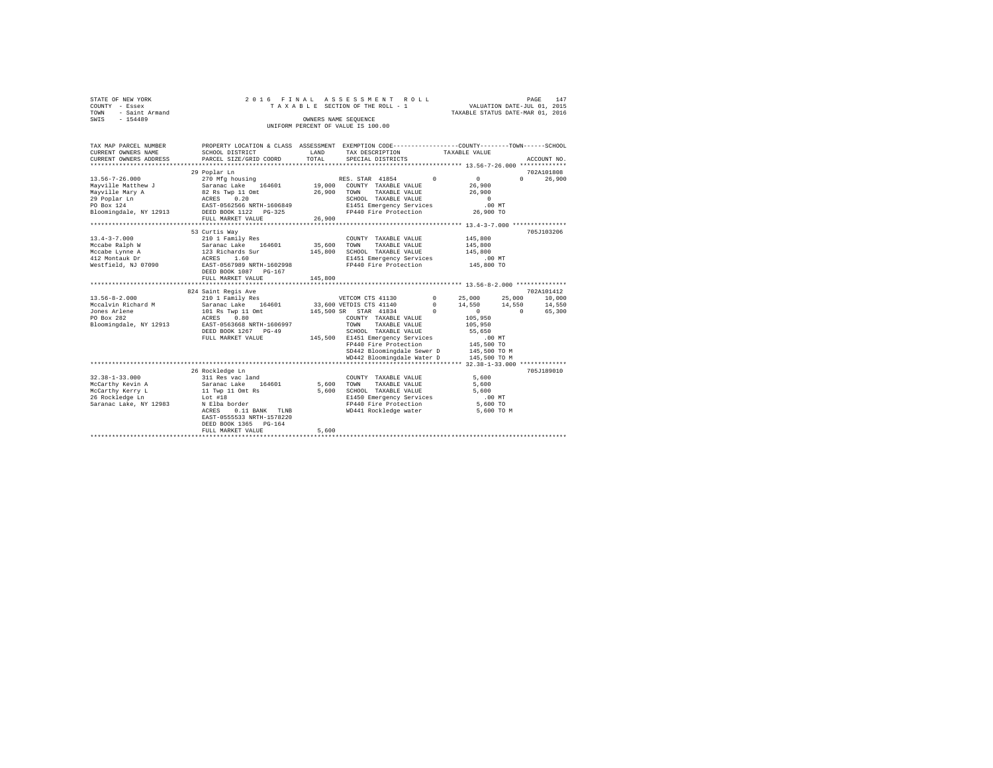| STATE OF NEW YORK<br>COUNTY<br>- Essex<br>- Saint Armand<br>TOWN<br>$-154489$<br>SWIS |                                                                             | OWNERS NAME SEQUENCE | 2016 FINAL ASSESSMENT ROLL<br>TAXABLE SECTION OF THE ROLL - 1 | VALUATION DATE-JUL 01, 2015<br>TAXABLE STATUS DATE-MAR 01, 2016 | 147<br>PAGE        |
|---------------------------------------------------------------------------------------|-----------------------------------------------------------------------------|----------------------|---------------------------------------------------------------|-----------------------------------------------------------------|--------------------|
|                                                                                       |                                                                             |                      | UNIFORM PERCENT OF VALUE IS 100.00                            |                                                                 |                    |
|                                                                                       |                                                                             |                      |                                                               |                                                                 |                    |
|                                                                                       |                                                                             |                      |                                                               |                                                                 |                    |
| TAX MAP PARCEL NUMBER                                                                 | PROPERTY LOCATION & CLASS ASSESSMENT                                        |                      | EXEMPTION CODE-----------------COUNTY-------TOWN------SCHOOL  |                                                                 |                    |
| CURRENT OWNERS NAME                                                                   | SCHOOL DISTRICT                                                             |                      | LAND TAX DESCRIPTION TAXABLE VALUE                            |                                                                 |                    |
|                                                                                       | CURRENT OWNERS ADDRESS 6 PARCEL SIZE/GRID COORD 6 TOTAL 6 SPECIAL DISTRICTS |                      |                                                               |                                                                 | ACCOUNT NO.        |
|                                                                                       |                                                                             |                      |                                                               |                                                                 |                    |
|                                                                                       | 29 Poplar Ln                                                                |                      |                                                               |                                                                 | 702A101808         |
| 13.56-7-26.000                                                                        | 270 Mfg housing                                                             |                      | $\Omega$<br>RES. STAR 41854                                   | $\sim$                                                          | 26,900<br>$\Omega$ |
|                                                                                       | Mayville Matthew J 5aranac Lake 164601 19,000                               |                      | COUNTY TAXABLE VALUE                                          | 26,900                                                          |                    |
|                                                                                       | Mayville Mary A 62 Rs Twp 11 Omt                                            | 26,900               | TOWN<br>TAXABLE VALUE                                         | 26,900                                                          |                    |
| 29 Poplar Ln                                                                          | ACRES 0.20                                                                  |                      | SCHOOL<br>TAXABLE VALUE                                       | $\Omega$                                                        |                    |
| PO Box 124                                                                            | EAST-0562566 NRTH-1606849                                                   |                      | E1451 Emergency Services .00 MT                               |                                                                 |                    |
| Bloomingdale, NY 12913                                                                |                                                                             |                      | FP440 Fire Protection                                         | 26,900 TO                                                       |                    |
|                                                                                       | FULL MARKET VALUE                                                           | 26,900               |                                                               |                                                                 |                    |
|                                                                                       |                                                                             |                      |                                                               |                                                                 |                    |
|                                                                                       |                                                                             |                      |                                                               |                                                                 |                    |

|                        | 53 Curtis Way                                           |         |                                                          |            |                              |          | 705J103206 |
|------------------------|---------------------------------------------------------|---------|----------------------------------------------------------|------------|------------------------------|----------|------------|
| $13.4 - 3 - 7.000$     | 210 1 Family Res                                        |         | COUNTY TAXABLE VALUE                                     |            | 145,800                      |          |            |
| Mccabe Ralph W         | Saranac Lake<br>164601                                  | 35,600  | TOWN<br>TAXABLE VALUE                                    |            | 145,800                      |          |            |
| Mccabe Lynne A         | 123 Richards Sur                                        | 145,800 | SCHOOL TAXABLE VALUE                                     |            | 145,800                      |          |            |
| 412 Montauk Dr         | 1.60<br>ACRES                                           |         | E1451 Emergency Services                                 |            | $.00$ MT                     |          |            |
| Westfield, NJ 07090    | EAST-0567989 NRTH-1602998<br>DEED BOOK 1087<br>$PG-167$ |         | FP440 Fire Protection                                    |            | 145,800 TO                   |          |            |
|                        | FULL MARKET VALUE                                       | 145,800 |                                                          |            |                              |          |            |
|                        |                                                         |         |                                                          |            |                              |          |            |
|                        | 824 Saint Regis Ave                                     |         |                                                          |            |                              |          | 702A101412 |
| $13.56 - 8 - 2.000$    | 210 1 Family Res                                        |         | VETCOM CTS 41130                                         | $^{\circ}$ | 25,000                       | 25,000   | 10,000     |
| Mccalvin Richard M     | 164601<br>Saranac Lake                                  |         | 33,600 VETDIS CTS 41140                                  | $^{\circ}$ | 14,550                       | 14,550   | 14,550     |
| Jones Arlene           | 101 Rs Twp 11 Omt                                       |         | 145,500 SR STAR 41834                                    | $\Omega$   | $\Omega$                     | $\Omega$ | 65,300     |
| PO Box 282             | 0.80<br>ACRES                                           |         | COUNTY TAXABLE VALUE                                     |            | 105,950                      |          |            |
| Bloomingdale, NY 12913 | EAST-0563668 NRTH-1606997                               |         | TOWN<br>TAXABLE VALUE                                    |            | 105,950                      |          |            |
|                        | DEED BOOK 1267 PG-49                                    |         | SCHOOL TAXABLE VALUE                                     |            | 55,650                       |          |            |
|                        | FULL MARKET VALUE                                       | 145,500 | E1451 Emergency Services                                 |            | $.00$ MT                     |          |            |
|                        |                                                         |         | FP440 Fire Protection                                    |            | 145,500 TO                   |          |            |
|                        |                                                         |         | SD442 Bloomingdale Sewer D<br>WD442 Bloomingdale Water D |            | 145,500 TO M<br>145,500 TO M |          |            |
|                        |                                                         |         |                                                          |            |                              |          |            |
|                        | 26 Rockledge Ln                                         |         |                                                          |            |                              |          | 705J189010 |
| $32.38 - 1 - 33.000$   | 311 Res vac land                                        |         | COUNTY TAXABLE VALUE                                     |            | 5,600                        |          |            |
| McCarthy Kevin A       | 164601<br>Saranac Lake                                  | 5,600   | TOWN<br>TAXABLE VALUE                                    |            | 5,600                        |          |            |
| McCarthy Kerry L       | 11 Twp 11 Omt Rs                                        | 5,600   | SCHOOL TAXABLE VALUE                                     |            | 5,600                        |          |            |
| 26 Rockledge Ln        | Lot #18                                                 |         | E1450 Emergency Services                                 |            | $.00$ MT                     |          |            |
| Saranac Lake, NY 12983 | N Elba border                                           |         | FP440 Fire Protection                                    |            | 5,600 TO                     |          |            |
|                        | $0.11$ BANK<br>ACRES<br>TLNB                            |         | WD441 Rockledge water                                    |            | 5,600 TO M                   |          |            |
|                        | EAST-0555533 NRTH-1578220                               |         |                                                          |            |                              |          |            |
|                        | DEED BOOK 1365 PG-164                                   |         |                                                          |            |                              |          |            |
|                        | FULL MARKET VALUE                                       | 5,600   |                                                          |            |                              |          |            |
|                        |                                                         |         |                                                          |            |                              |          |            |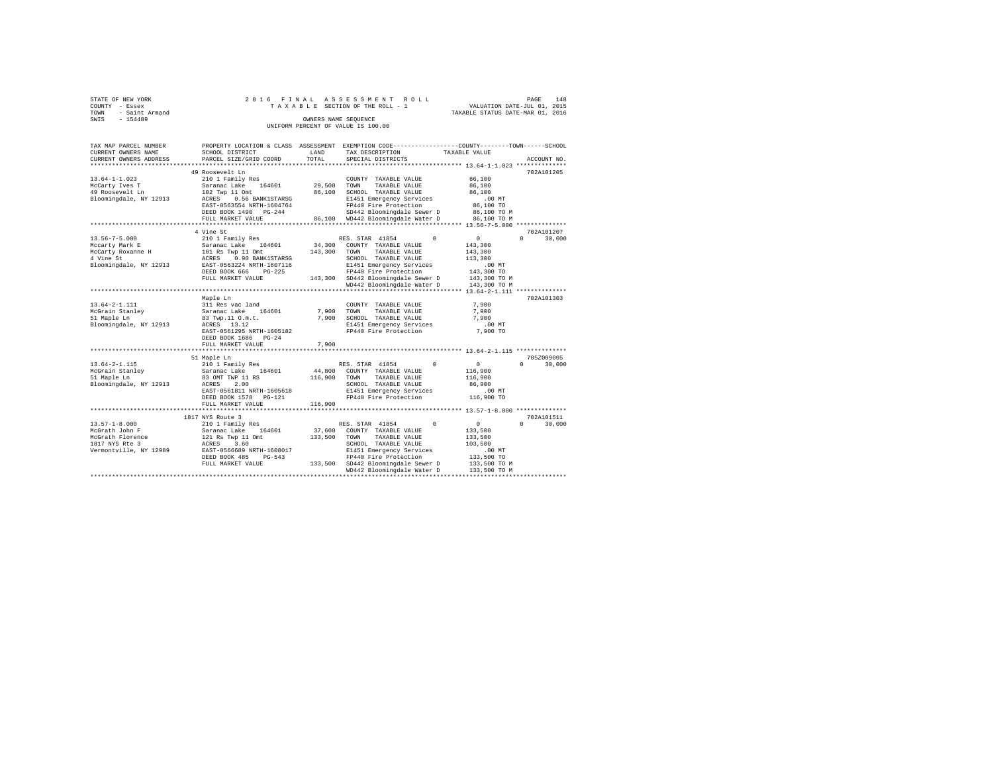| STATE OF NEW YORK   |  |  |  | 2016 FINAL ASSESSMENT ROLL         |  |  |  |                                  |  | PAGE | 148 |
|---------------------|--|--|--|------------------------------------|--|--|--|----------------------------------|--|------|-----|
| COUNTY - Essex      |  |  |  | TAXABLE SECTION OF THE ROLL - 1    |  |  |  | VALUATION DATE-JUL 01, 2015      |  |      |     |
| TOWN - Saint Armand |  |  |  |                                    |  |  |  | TAXABLE STATUS DATE-MAR 01, 2016 |  |      |     |
| SWIS<br>$-154489$   |  |  |  | OWNERS NAME SEOUENCE               |  |  |  |                                  |  |      |     |
|                     |  |  |  | UNIFORM PERCENT OF VALUE IS 100.00 |  |  |  |                                  |  |      |     |

| TAX MAP PARCEL NUMBER<br>CURRENT OWNERS NAME | PROPERTY LOCATION & CLASS ASSESSMENT EXEMPTION CODE---------------COUNTY-------TOWN-----SCHOOL<br>SCHOOL DISTRICT | LAND    | TAX DESCRIPTION                    | TAXABLE VALUE            |                    |
|----------------------------------------------|-------------------------------------------------------------------------------------------------------------------|---------|------------------------------------|--------------------------|--------------------|
| CURRENT OWNERS ADDRESS                       | PARCEL SIZE/GRID COORD                                                                                            | TOTAL   | SPECIAL DISTRICTS                  |                          | ACCOUNT NO.        |
|                                              |                                                                                                                   |         |                                    |                          |                    |
|                                              | 49 Roosevelt Ln                                                                                                   |         |                                    |                          | 702A101205         |
| $13.64 - 1 - 1.023$                          | 210 1 Family Res                                                                                                  |         | COUNTY TAXABLE VALUE               | 86,100                   |                    |
| McCarty Ives T                               | Saranac Lake 164601                                                                                               | 29,500  | TOWN<br>TAXABLE VALUE              | 86,100                   |                    |
| 49 Roosevelt Ln                              | 102 Twp 11 Omt                                                                                                    | 86,100  | SCHOOL TAXABLE VALUE               | 86,100                   |                    |
| Bloomingdale, NY 12913                       | ACRES 0.56 BANK1STARSG                                                                                            |         | E1451 Emergency Services           | $.00$ MT                 |                    |
|                                              | EAST-0563554 NRTH-1604764                                                                                         |         | FP440 Fire Protection              | 86,100 TO                |                    |
|                                              | DEED BOOK 1490 PG-244                                                                                             |         | SD442 Bloomingdale Sewer D         | 86,100 TO M              |                    |
|                                              | FULL MARKET VALUE                                                                                                 |         | 86,100 WD442 Bloomingdale Water D  | 86,100 TO M              |                    |
|                                              | ************************                                                                                          |         |                                    |                          |                    |
|                                              | 4 Vine St                                                                                                         |         |                                    |                          | 702A101207         |
| $13.56 - 7 - 5.000$                          | 210 1 Family Res                                                                                                  |         | RES. STAR 41854                    | $\Omega$<br>$\mathbf{0}$ | 30,000<br>$\Omega$ |
| Mccarty Mark E                               | Saranac Lake 164601<br>101 Rs Twp 11 Omt<br>ACRES 0.90 BANK1STARSG<br>EAST-0563224 NRTH-1607116                   | 34,300  | COUNTY TAXABLE VALUE               | 143,300                  |                    |
| McCarty Roxanne H<br>Carty Roxanne H         |                                                                                                                   | 143,300 | TAXABLE VALUE<br>TOWN              | 143,300                  |                    |
|                                              |                                                                                                                   |         | SCHOOL TAXABLE VALUE               | 113,300                  |                    |
| Bloomingdale, NY 12913                       |                                                                                                                   |         | E1451 Emergency Services           | .00MT                    |                    |
|                                              | DEED BOOK 666 PG-225                                                                                              |         | FP440 Fire Protection              | 143,300 TO               |                    |
|                                              | FULL MARKET VALUE                                                                                                 |         | 143,300 SD442 Bloomingdale Sewer D | 143,300 TO M             |                    |
|                                              |                                                                                                                   |         | WD442 Bloomingdale Water D         | 143,300 TO M             |                    |
|                                              |                                                                                                                   |         |                                    |                          |                    |
|                                              | Maple Ln                                                                                                          |         |                                    |                          | 702A101303         |
| $13.64 - 2 - 1.111$                          | 311 Res vac land                                                                                                  |         | COUNTY TAXABLE VALUE               | 7,900                    |                    |
| McGrain Stanlev                              | Saranac Lake 164601                                                                                               |         | 7,900 TOWN<br>TAXABLE VALUE        | 7,900                    |                    |
| 51 Maple Ln                                  | 83 Twp.11 O.m.t.                                                                                                  | 7.900   | SCHOOL TAXABLE VALUE               | 7,900                    |                    |
| Bloomingdale, NY 12913                       | ACRES 13.12                                                                                                       |         | E1451 Emergency Services           | $.00$ MT                 |                    |
|                                              | EAST-0561295 NRTH-1605182                                                                                         |         | FP440 Fire Protection              | 7,900 TO                 |                    |
|                                              | DEED BOOK 1686 PG-24                                                                                              |         |                                    |                          |                    |
|                                              | FULL MARKET VALUE                                                                                                 | 7,900   |                                    |                          |                    |
|                                              |                                                                                                                   |         |                                    |                          |                    |
|                                              | 51 Maple Ln                                                                                                       |         |                                    |                          | 705Z009005         |
| $13.64 - 2 - 1.115$                          | 210 1 Family Res<br>Saranac Lake 164601                                                                           |         | RES. STAR 41854                    | $\Omega$<br>0            | $\Omega$<br>30,000 |
| McGrain Stanley<br>"" Manle Ln               |                                                                                                                   |         | 44,800 COUNTY TAXABLE VALUE        | 116,900                  |                    |
|                                              | 83 OMT TWP 11 RS                                                                                                  | 116,900 | TOWN<br>TAXABLE VALUE              | 116,900                  |                    |
| Bloomingdale, NY 12913                       | ACRES<br>2.00                                                                                                     |         | SCHOOL TAXABLE VALUE               | 86,900                   |                    |
|                                              | EAST-0561811 NRTH-1605618                                                                                         |         | E1451 Emergency Services           | .00 MT                   |                    |
|                                              | DEED BOOK 1578 PG-121                                                                                             |         | FP440 Fire Protection              | 116,900 TO               |                    |
|                                              | FULL MARKET VALUE                                                                                                 | 116,900 |                                    |                          |                    |
|                                              |                                                                                                                   |         |                                    |                          |                    |
|                                              | 1817 NYS Route 3                                                                                                  |         |                                    |                          | 702A101511         |
| $13.57 - 1 - 8.000$                          | 210 1 Family Res                                                                                                  |         | RES. STAR 41854                    | $\Omega$<br>0            | $\Omega$<br>30,000 |
| McGrath John F                               | Saranac Lake 164601                                                                                               |         | 37,600 COUNTY TAXABLE VALUE        | 133,500                  |                    |
| McGrath Florence                             | 121 Rs Twp 11 Omt                                                                                                 | 133,500 | TOWN<br>TAXABLE VALUE              | 133,500                  |                    |
| 1817 NYS Rte 3                               | ACRES 3.60                                                                                                        |         | SCHOOL TAXABLE VALUE               | 103,500                  |                    |
| Vermontville, NY 12989                       | EAST-0566689 NRTH-1608017                                                                                         |         | E1451 Emergency Services           | .00MT                    |                    |
|                                              | DEED BOOK 485<br>$PG-543$                                                                                         |         | FP440 Fire Protection              | 133,500 TO               |                    |
|                                              | FULL MARKET VALUE                                                                                                 |         | 133,500 SD442 Bloomingdale Sewer D | 133,500 TO M             |                    |
|                                              |                                                                                                                   |         | WD442 Bloomingdale Water D         | 133,500 TO M             |                    |
|                                              |                                                                                                                   |         |                                    |                          |                    |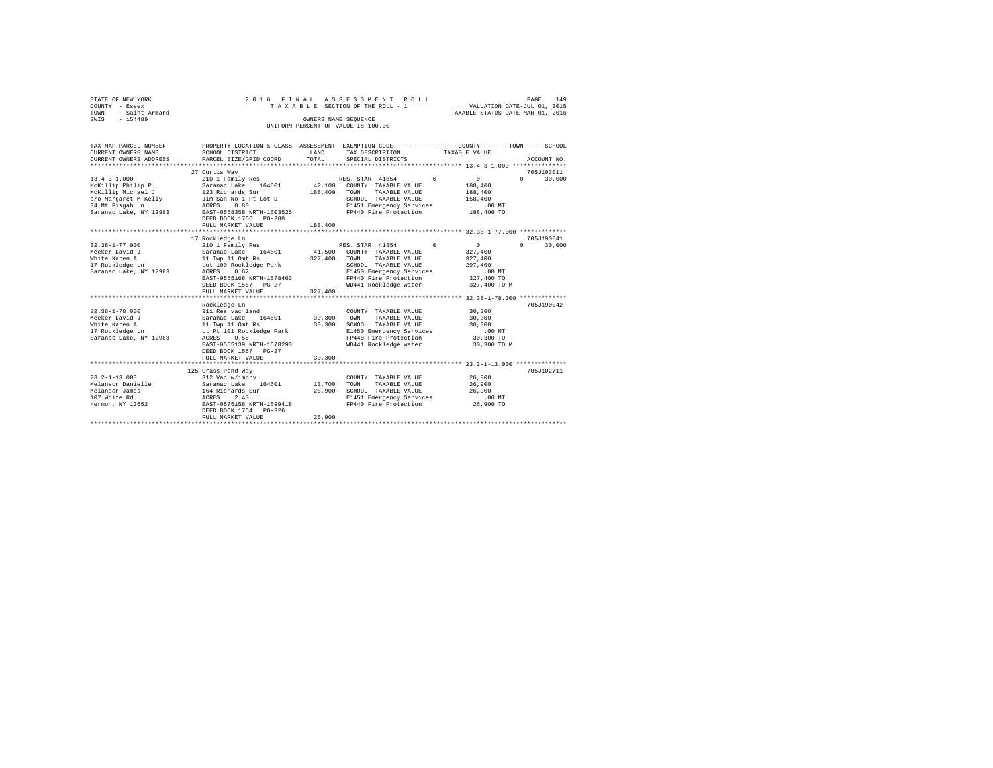| STATE OF NEW YORK<br>COUNTY - Essex<br>- Saint Armand<br>TOWN<br>SWIS - 154489                                                     | 2016 FINAL                                                                                                                                                                                          | ASSESSMENT ROLL<br>TAXABLE SECTION OF THE ROLL - 1<br>OWNERS NAME SEQUENCE<br>UNIFORM PERCENT OF VALUE IS 100.00                                                                                                     | 149<br>PAGE<br>VALUATION DATE-JUL 01, 2015<br>TAXABLE STATUS DATE-MAR 01, 2016                                              |
|------------------------------------------------------------------------------------------------------------------------------------|-----------------------------------------------------------------------------------------------------------------------------------------------------------------------------------------------------|----------------------------------------------------------------------------------------------------------------------------------------------------------------------------------------------------------------------|-----------------------------------------------------------------------------------------------------------------------------|
| TAX MAP PARCEL NUMBER<br>CURRENT OWNERS NAME<br>CURRENT OWNERS ADDRESS                                                             | SCHOOL DISTRICT<br>PARCEL SIZE/GRID COORD                                                                                                                                                           | PROPERTY LOCATION & CLASS ASSESSMENT EXEMPTION CODE---------------COUNTY-------TOWN------SCHOOL<br>LAND<br>TAX DESCRIPTION<br>TOTAL<br>SPECIAL DISTRICTS                                                             | TAXABLE VALUE<br>ACCOUNT NO.                                                                                                |
| $13.4 - 3 - 1.000$<br>McKillip Philip P<br>McKillip Michael J<br>c/o Margaret M Kelly<br>34 Mt Pisgah Ln<br>Saranac Lake, NY 12983 | 27 Curtis Wav<br>210 1 Family Res<br>Saranac Lake 164601<br>123 Richards Sur<br>Jim San No 1 Pt Lot D<br>ACRES<br>0.80<br>EAST-0568358 NRTH-1603525<br>DEED BOOK 1766 PG-288<br>FULL MARKET VALUE   | RES. STAR 41854<br>$\Omega$<br>42.100 COUNTY TAXABLE VALUE<br>188,400<br>TAXABLE VALUE<br>TOWN<br>SCHOOL TAXABLE VALUE<br>E1451 Emergency Services<br>FP440 Fire Protection<br>188,400                               | 705J103011<br>$\sim$ 0<br>$\Omega$<br>30,000<br>188,400<br>188,400<br>158,400<br>.00MT<br>188,400 TO                        |
|                                                                                                                                    |                                                                                                                                                                                                     |                                                                                                                                                                                                                      |                                                                                                                             |
| $32.38 - 1 - 77.000$<br>Meeker David J<br>White Karen A<br>17 Rockledge Ln<br>Saranac Lake, NY 12983                               | 17 Rockledge Ln<br>210 1 Family Res<br>Saranac Lake 164601<br>11 Twp 11 Omt Rs<br>Lot 100 Rockledge Park<br>0.62<br>ACRES<br>EAST-0555168 NRTH-1578463<br>DEED BOOK 1567 PG-27<br>FULL MARKET VALUE | RES. STAR 41854<br>$^{\circ}$<br>41,500<br>COUNTY TAXABLE VALUE<br>327,400<br>TAXABLE VALUE<br>TOWN<br>SCHOOL TAXABLE VALUE<br>E1450 Emergency Services<br>FP440 Fire Protection<br>WD441 Rockledge water<br>327,400 | 705J190041<br>$\mathbf{0}$<br>$\Omega$<br>30,000<br>327,400<br>327,400<br>297,400<br>$.00$ MT<br>327,400 TO<br>327,400 TO M |
| $32.38 - 1 - 78.000$<br>Meeker David J<br>White Karen A<br>17 Rockledge Ln<br>Saranac Lake, NY 12983                               | Rockledge Ln<br>311 Res vac land<br>Saranac Lake 164601<br>11 Twp 11 Omt Rs<br>Lt Pt 101 Rockledge Park<br>0.55<br>ACRES<br>EAST-0555139 NRTH-1578293<br>DEED BOOK 1567 PG-27<br>FULL MARKET VALUE  | COUNTY TAXABLE VALUE<br>30,300<br>TOWN<br>TAXABLE VALUE<br>30,300<br>SCHOOL TAXABLE VALUE<br>E1450 Emergency Services<br>FP440 Fire Protection<br>WD441 Rockledge water<br>30,300                                    | 705J190042<br>30,300<br>30,300<br>30,300<br>$.00$ MT<br>30,300 TO<br>30,300 TO M                                            |
| $23.2 - 1 - 13.000$<br>Melanson Danielle<br>Melanson James<br>107 White Rd<br>Hermon, NY 13652                                     | 125 Grass Pond Way<br>312 Vac w/imprv<br>Saranac Lake 164601<br>164 Richards Sur<br>ACRES<br>EAST-0575<br>2.40<br>EAST-0575158 NRTH-1599418<br>DEED BOOK 1764 PG-326<br>FULL MARKET VALUE           | COUNTY TAXABLE VALUE<br>13,700<br>TOWN<br>TAXABLE VALUE<br>26,900<br>SCHOOL TAXABLE VALUE<br>E1451 Emergency Services<br>FP440 Fire Protection<br>26,900<br>**************                                           | 705J102711<br>26,900<br>26,900<br>26,900<br>$.00$ MT<br>26,900 TO                                                           |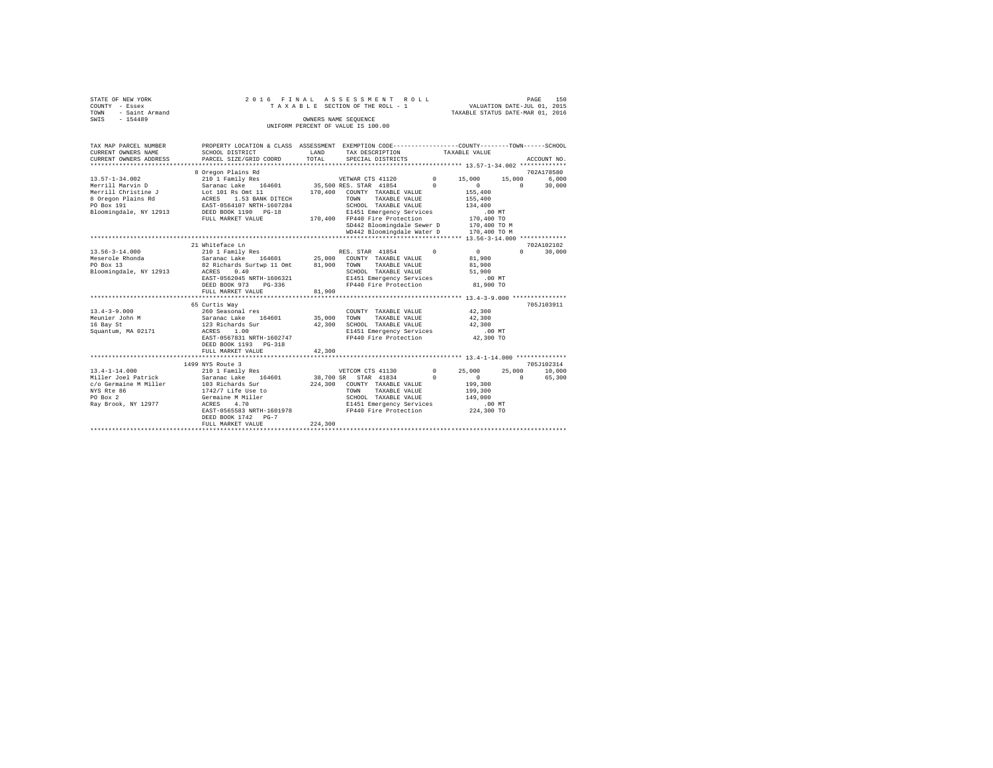| STATE OF NEW YORK      | 2016 FINAL ASSESSMENT ROLL         | 150<br>PAGE                      |
|------------------------|------------------------------------|----------------------------------|
| COUNTY - Essex         | TAXABLE SECTION OF THE ROLL - 1    | VALUATION DATE-JUL 01, 2015      |
| - Saint Armand<br>TOWN |                                    | TAXABLE STATUS DATE-MAR 01, 2016 |
| SWIS<br>$-154489$      | OWNERS NAME SEOUENCE               |                                  |
|                        | UNIFORM PERCENT OF VALUE IS 100.00 |                                  |

| TAX MAP PARCEL NUMBER                         | PROPERTY LOCATION & CLASS ASSESSMENT EXEMPTION CODE----------------COUNTY-------TOWN-----SCHOOL        |               |                                                   |            |               |          |             |
|-----------------------------------------------|--------------------------------------------------------------------------------------------------------|---------------|---------------------------------------------------|------------|---------------|----------|-------------|
| CURRENT OWNERS NAME<br>CURRENT OWNERS ADDRESS | SCHOOL DISTRICT<br>PARCEL SIZE/GRID COORD                                                              | LAND<br>TOTAL | TAX DESCRIPTION<br>SPECIAL DISTRICTS              |            | TAXABLE VALUE |          | ACCOUNT NO. |
|                                               |                                                                                                        |               |                                                   |            |               |          |             |
|                                               | 8 Oregon Plains Rd                                                                                     |               |                                                   |            |               |          | 702A178580  |
| 13.57-1-34.002                                | 210 1 Family Res                                                                                       |               | VETWAR CTS 41120 0 15,000                         |            |               | 15,000   | 6,000       |
| Merrill Marvin D                              | Saranac Lake 164601 35,500 RES. STAR 41854 0                                                           |               |                                                   |            | $\sim$ 0      | $\Omega$ | 30,000      |
| Merrill Christine J                           | Lot 101 Rs Omt 11<br>ACRES 1.53 BANK DITECH<br>EAST-0564107 NRTH-1607284<br>DEED BOOK 1190 PG-18       |               | 170,400 COUNTY TAXABLE VALUE                      |            | 155,400       |          |             |
| 8 Oregon Plains Rd                            |                                                                                                        |               | TOWN<br>TAXABLE VALUE                             |            | 155,400       |          |             |
| PO Box 191                                    |                                                                                                        |               | SCHOOL TAXABLE VALUE                              |            | 134,400       |          |             |
| Bloomingdale, NY 12913                        |                                                                                                        |               | E1451 Emergency Services<br>PD440 Fire Protection |            | $.00$ MT      |          |             |
|                                               | FULL MARKET VALUE                                                                                      |               | 170,400 FP440 Fire Protection                     |            | 170,400 TO    |          |             |
|                                               |                                                                                                        |               | SD442 Bloomingdale Sewer D 170,400 TO M           |            |               |          |             |
|                                               |                                                                                                        |               | WD442 Bloomingdale Water D 170,400 TO M           |            |               |          |             |
|                                               | 21 Whiteface Ln                                                                                        |               |                                                   |            |               |          | 702A102102  |
| $13.56 - 3 - 14.000$                          | 210 1 Family Res                                                                                       |               | RES. STAR 41854                                   | $^{\circ}$ | $\sim$ 0      | $\Omega$ | 30,000      |
| Meserole Rhonda                               |                                                                                                        |               |                                                   |            | 81,900        |          |             |
| PO Box 13                                     | Saranac Lake 164601 25,000 COUNTY TAXABLE VALUE<br>82 Richards Surtwp 11 Omt 81,900 TOWN TAXABLE VALUE |               | TAXABLE VALUE                                     |            | 81,900        |          |             |
| Bloomingdale, NY 12913 ACRES                  | 0.40                                                                                                   |               | SCHOOL TAXABLE VALUE                              |            | 51,900        |          |             |
|                                               | EAST-0562045 NRTH-1606321                                                                              |               |                                                   |            | $.00$ MT      |          |             |
|                                               | DEED BOOK 973<br>$PG-336$                                                                              |               | E1451 Emergency Services<br>FP440 Fire Protection |            | 81,900 TO     |          |             |
|                                               | FULL MARKET VALUE                                                                                      | 81,900        |                                                   |            |               |          |             |
|                                               |                                                                                                        |               |                                                   |            |               |          |             |
|                                               | 65 Curtis Way                                                                                          |               |                                                   |            |               |          | 705J103911  |
| $13.4 - 3 - 9.000$                            | 260 Seasonal res                                                                                       |               | COUNTY TAXABLE VALUE                              |            | 42,300        |          |             |
| Meunier John M                                | Saranac Lake 164601<br>123 Richards Sur                                                                | 35,000        | TOWN<br>TAXABLE VALUE                             |            | 42,300        |          |             |
| 16 Bay St                                     |                                                                                                        | 42,300        | SCHOOL TAXABLE VALUE                              |            | 42,300        |          |             |
| Squantum, MA 02171 ACRES 1.00                 |                                                                                                        |               | E1451 Emergency Services .00 MT                   |            |               |          |             |
|                                               | EAST-0567831 NRTH-1602747                                                                              |               | FP440 Fire Protection 42,300 TO                   |            |               |          |             |
|                                               | DEED BOOK 1193 PG-318                                                                                  |               |                                                   |            |               |          |             |
|                                               | FULL MARKET VALUE                                                                                      | 42,300        |                                                   |            |               |          |             |
|                                               | 1499 NYS Route 3                                                                                       |               |                                                   |            |               |          | 705.T102314 |
| $13.4 - 1 - 14.000$                           | 210 1 Family Res                                                                                       |               | VETCOM CTS 41130 0                                |            | 25,000        | 25,000   | 10,000      |
| Miller Joel Patrick  Saranac Lake             |                                                                                                        |               | 164601 38,700 SR STAR 41834                       | $\Omega$   | $\Omega$      | $\Omega$ | 65,300      |
| c/o Germaine M Miller 103 Richards Sur        |                                                                                                        |               | 224,300 COUNTY TAXABLE VALUE                      |            | 199,300       |          |             |
| NYS Rte 86                                    | 1742/7 Life Use to                                                                                     |               | TOWN<br>TAXABLE VALUE                             |            | 199,300       |          |             |
| PO Box 2                                      | Germaine M Miller                                                                                      |               | SCHOOL TAXABLE VALUE                              |            | 149,000       |          |             |
| Rav Brook, NY 12977                           | ACRES<br>4.70                                                                                          |               | E1451 Emergency Services                          |            | .00 MT        |          |             |
|                                               | EAST-0565583 NRTH-1601978                                                                              |               | FP440 Fire Protection                             |            | 224,300 TO    |          |             |
|                                               | DEED BOOK 1742 PG-7                                                                                    |               |                                                   |            |               |          |             |
|                                               | FULL MARKET VALUE                                                                                      | 224,300       |                                                   |            |               |          |             |
|                                               |                                                                                                        |               |                                                   |            |               |          |             |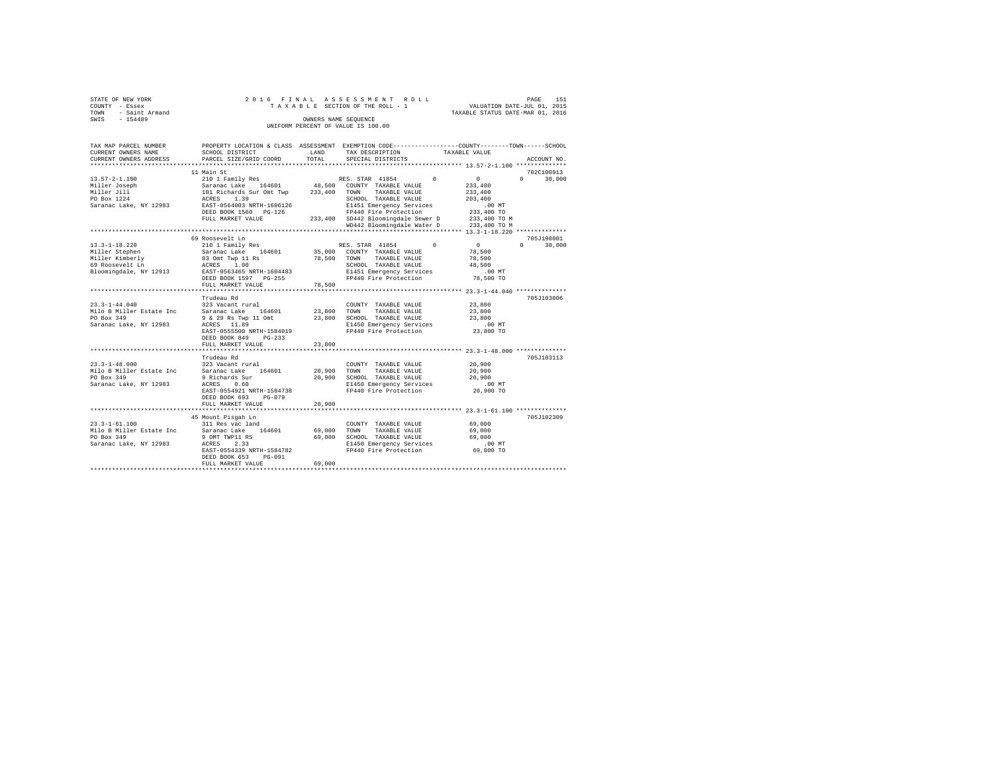| STATE OF NEW YORK   |  | 2016 FINAL ASSESSMENT ROLL         |                                  | PAGE | 151 |
|---------------------|--|------------------------------------|----------------------------------|------|-----|
| COUNTY - Essex      |  | TAXABLE SECTION OF THE ROLL - 1    | VALUATION DATE-JUL 01, 2015      |      |     |
| TOWN - Saint Armand |  |                                    | TAXABLE STATUS DATE-MAR 01, 2016 |      |     |
| SWIS<br>$-154489$   |  | OWNERS NAME SEOUENCE               |                                  |      |     |
|                     |  | UNIFORM PERCENT OF VALUE IS 100.00 |                                  |      |     |

| TAX MAP PARCEL NUMBER<br>CURRENT OWNERS NAME<br>CURRENT OWNERS ADDRESS                                | PROPERTY LOCATION & CLASS ASSESSMENT EXEMPTION CODE---------------COUNTY-------TOWN-----SCHOOL<br>SCHOOL DISTRICT<br>PARCEL SIZE/GRID COORD                                         | LAND<br>TOTAL              | TAX DESCRIPTION<br>SPECIAL DISTRICTS                                                                                                     | TAXABLE VALUE                                                                   | ACCOUNT NO.        |
|-------------------------------------------------------------------------------------------------------|-------------------------------------------------------------------------------------------------------------------------------------------------------------------------------------|----------------------------|------------------------------------------------------------------------------------------------------------------------------------------|---------------------------------------------------------------------------------|--------------------|
|                                                                                                       |                                                                                                                                                                                     |                            |                                                                                                                                          |                                                                                 |                    |
|                                                                                                       | 11 Main St                                                                                                                                                                          |                            |                                                                                                                                          |                                                                                 | 702C100913         |
| $13.57 - 2 - 1.100$<br>Miller Joseph<br>Miller Jill<br>PO Box 1224                                    | Saranac Lake 164601<br>Saranac Lake 164601 48,500 COUNTY<br>101 Richards Sur Omt Twp 233,400 TOWN<br>ACRES<br>1.39                                                                  |                            | 48,500 COUNTY TAXABLE VALUE<br>TAXABLE VALUE<br>SCHOOL TAXABLE VALUE                                                                     | $\sim$ 0<br>233,400<br>233,400<br>203,400                                       | $\Omega$<br>30,000 |
| Saranac Lake, NY 12983                                                                                | EAST-0564003 NRTH-1606126<br>DEED BOOK 1560 PG-126<br>FULL MARKET VALUE                                                                                                             |                            | E1451 Emergency Services<br>FP440 Fire Protection<br>233,400 SD442 Bloomingdale Sewer D<br>WD442 Bloomingdale Water D 233,400 TO M       | $.00$ MT<br>233,400 TO<br>233,400 TO M                                          |                    |
|                                                                                                       |                                                                                                                                                                                     |                            |                                                                                                                                          |                                                                                 |                    |
|                                                                                                       | 69 Roosevelt Ln                                                                                                                                                                     |                            |                                                                                                                                          |                                                                                 | 705J198001         |
| $13.3 - 1 - 18.220$<br>Miller Stephen<br>Miller Kimberly<br>69 Roosevelt Ln<br>Bloomingdale, NY 12913 | 210 1 Family Res<br>EAST-0563465 NRTH-1604483<br>DEED BOOK 1597 PG-255<br>FULL MARKET VALUE                                                                                         | 78,500                     | RES. STAR 41854<br>E1451 Emergency Services<br>FP440 Fire Protection                                                                     | $\Omega$<br>$\mathbf{0}$<br>78,500<br>78,500<br>48,500<br>$.00$ MT<br>78,500 TO | $\Omega$<br>30,000 |
|                                                                                                       |                                                                                                                                                                                     |                            |                                                                                                                                          |                                                                                 |                    |
| $23.3 - 1 - 44.040$<br>Milo B Miller Estate Inc<br>PO Box 349<br>Saranac Lake, NY 12983               | Trudeau Rd<br>323 Vacant rural<br>Saranac Lake 164601 23,800<br>9 & 29 Rs Twp 11 Omt<br>ACRES 11.89<br>EAST-0555500 NRTH-1584019<br>DEED BOOK 849<br>$PG-233$                       |                            | COUNTY TAXABLE VALUE<br>TOWN<br>TAXABLE VALUE<br>23,800 SCHOOL TAXABLE VALUE<br>E1450 Emergency Services<br>FP440 Fire Protection        | 23,800<br>23,800<br>23,800<br>$.00$ MT<br>23,800 TO                             | 705J103006         |
|                                                                                                       | FULL MARKET VALUE                                                                                                                                                                   | 23,800                     |                                                                                                                                          |                                                                                 |                    |
| $23.3 - 1 - 48.000$<br>Milo B Miller Estate Inc<br>PO Box 349<br>Saranac Lake, NY 12983               | *******************************<br>Trudeau Rd<br>323 Vacant rural<br>Saranac Lake 164601<br>9 Richards Sur<br>ACRES<br>0.60<br>EAST-0554921 NRTH-1584738<br>DEED BOOK 693<br>PG-079 | *************              | COUNTY TAXABLE VALUE<br>20,900 TOWN<br>TAXABLE VALUE<br>20,900 SCHOOL TAXABLE VALUE<br>E1450 Emergency Services<br>FP440 Fire Protection | 20,900<br>20,900<br>20,900<br>.00MT<br>20,900 TO                                | 705J103113         |
|                                                                                                       | FULL MARKET VALUE                                                                                                                                                                   | 20,900                     |                                                                                                                                          |                                                                                 |                    |
|                                                                                                       |                                                                                                                                                                                     |                            |                                                                                                                                          | *********************************** 23.3-1-61.100 *************                 |                    |
| $23.3 - 1 - 61.100$<br>Milo B Miller Estate Inc<br>PO Box 349<br>Saranac Lake, NY 12983               | 45 Mount Pisgah Ln<br>311 Res vac land<br>Saranac Lake 164601<br>9 OMT TWP11 RS<br>ACRES<br>2.33<br>EAST-0554339 NRTH-1584782<br>DEED BOOK 653<br>PG-091<br>FULL MARKET VALUE       | 69,000<br>69,000<br>69,000 | COUNTY TAXABLE VALUE<br>TOWN<br>TAXABLE VALUE<br>SCHOOL TAXABLE VALUE<br>E1450 Emergency Services<br>FP440 Fire Protection               | 69,000<br>69,000<br>69,000<br>$.00$ MT<br>69,000 TO                             | 705J102309         |
|                                                                                                       |                                                                                                                                                                                     |                            |                                                                                                                                          |                                                                                 |                    |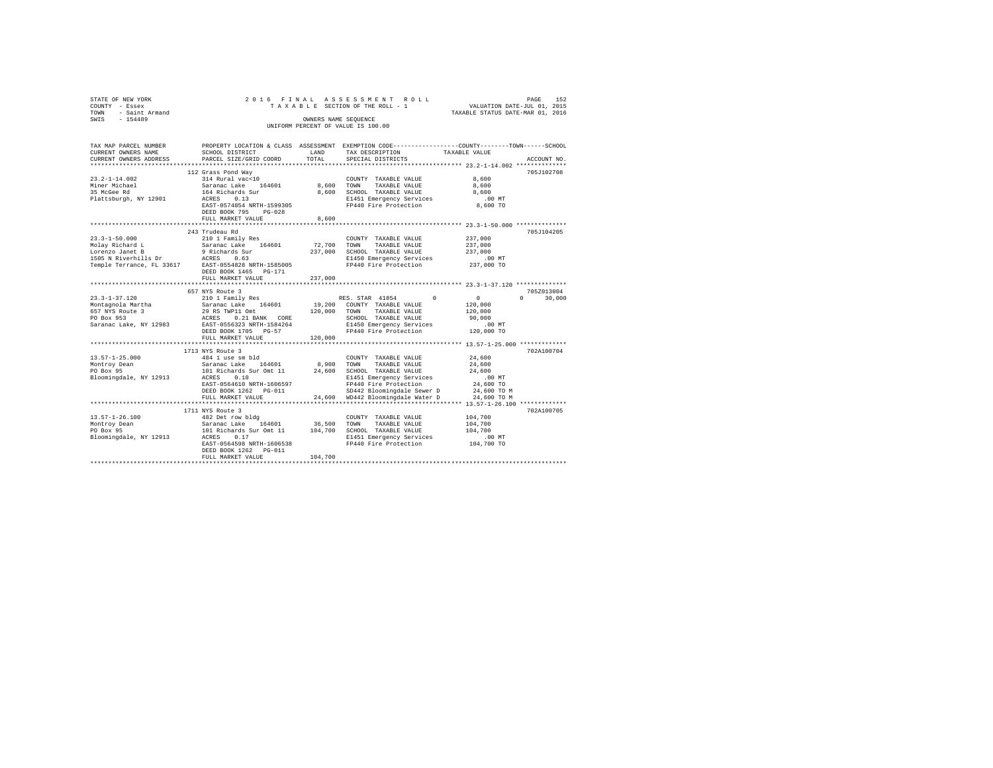| STATE OF NEW YORK<br>COUNTY - Essex<br>TOWN - Saint Armand<br>SWIS - 154489 |                                                   | OWNERS NAME SEQUENCE | 2016 FINAL ASSESSMENT ROLL<br>TAXABLE SECTION OF THE ROLL - 1<br>UNIFORM PERCENT OF VALUE IS 100.00 | PAGE<br>152<br>VALUATION DATE-JUL 01, 2015<br>TAXABLE STATUS DATE-MAR 01, 2016                                   |
|-----------------------------------------------------------------------------|---------------------------------------------------|----------------------|-----------------------------------------------------------------------------------------------------|------------------------------------------------------------------------------------------------------------------|
|                                                                             |                                                   |                      |                                                                                                     |                                                                                                                  |
| TAX MAP PARCEL NUMBER<br>CURRENT OWNERS NAME                                | SCHOOL DISTRICT                                   | LAND<br>TOTAL.       | TAX DESCRIPTION                                                                                     | PROPERTY LOCATION & CLASS ASSESSMENT EXEMPTION CODE---------------COUNTY-------TOWN------SCHOOL<br>TAXABLE VALUE |
| CURRENT OWNERS ADDRESS                                                      | PARCEL SIZE/GRID COORD                            |                      | SPECIAL DISTRICTS                                                                                   | ACCOUNT NO.<br>************************* 23.2-1-14.002 ***************                                           |
|                                                                             | 112 Grass Pond Way                                |                      |                                                                                                     | 705J102708                                                                                                       |
| $23.2 - 1 - 14.002$                                                         | 314 Rural vac<10                                  |                      | COUNTY TAXABLE VALUE                                                                                | 8,600                                                                                                            |
| Miner Michael                                                               | Saranac Lake 164601                               | 8,600                | TOWN TAXABLE VALUE                                                                                  | 8,600                                                                                                            |
| 35 McGee Rd                                                                 | 164 Richards Sur                                  | 8,600                | SCHOOL TAXABLE VALUE                                                                                | 8,600                                                                                                            |
| Plattsburgh, NY 12901                                                       | ACRES 0.13                                        |                      | E1451 Emergency Services                                                                            | $.00$ MT                                                                                                         |
|                                                                             | EAST-0574854 NRTH-1599305<br>DEED BOOK 795 PG-028 |                      | FP440 Fire Protection                                                                               | 8,600 TO                                                                                                         |
|                                                                             | FULL MARKET VALUE                                 | 8,600                |                                                                                                     |                                                                                                                  |
|                                                                             | 243 Trudeau Rd                                    |                      |                                                                                                     | 705.T104205                                                                                                      |
| $23.3 - 1 - 50.000$                                                         | 210 1 Family Res                                  |                      | COUNTY TAXABLE VALUE                                                                                | 237,000                                                                                                          |
| Molay Richard L                                                             | Saranac Lake 164601                               | 72,700               | TOWN<br>TAXABLE VALUE                                                                               | 237,000                                                                                                          |
| Lorenzo Janet B                                                             | 9 Richards Sur                                    | 237,000              | SCHOOL TAXABLE VALUE                                                                                | 237,000                                                                                                          |
| 1505 N Riverhills Dr ACRES 0.63                                             |                                                   |                      | E1450 Emergency Services                                                                            | 00 MT.<br>237,000 TO                                                                                             |
| Temple Terrance, FL 33617 EAST-0554828 NRTH-1585005                         |                                                   |                      | FP440 Fire Protection                                                                               |                                                                                                                  |
|                                                                             | DEED BOOK 1465 PG-171<br>FULL MARKET VALUE        | 237,000              |                                                                                                     |                                                                                                                  |
|                                                                             |                                                   |                      |                                                                                                     |                                                                                                                  |
|                                                                             | 657 NYS Route 3                                   |                      |                                                                                                     | 705Z013004                                                                                                       |
| $23.3 - 1 - 37.120$                                                         | 210 1 Family Res                                  |                      | RES. STAR 41854<br>$\Omega$                                                                         | $\sim$ 0<br>$\Omega$<br>30,000                                                                                   |
| Montagnola Martha                                                           | Saranac Lake 164601                               |                      | 19,200 COUNTY TAXABLE VALUE                                                                         | 120,000                                                                                                          |
| 657 NYS Route 3                                                             | 29 RS TWP11 Omt                                   | 120,000              | TOWN TAXABLE VALUE                                                                                  | 120,000                                                                                                          |
| PO Box 953<br>Saranac Lake, NY 12983                                        | ACRES 0.21 BANK CORE<br>EAST-0556323 NRTH-1584264 |                      | SCHOOL TAXABLE VALUE<br>E1450 Emergency Services                                                    | 90,000<br>.00 MT                                                                                                 |
|                                                                             | DEED BOOK 1705 PG-57                              |                      | FP440 Fire Protection                                                                               | 120,000 TO                                                                                                       |
|                                                                             | FULL MARKET VALUE                                 | 120,000              |                                                                                                     |                                                                                                                  |
|                                                                             |                                                   |                      |                                                                                                     |                                                                                                                  |
|                                                                             | 1713 NYS Route 3                                  |                      |                                                                                                     | 702A100704                                                                                                       |
| $13.57 - 1 - 25.000$                                                        | 484 1 use sm bld                                  |                      | COUNTY TAXABLE VALUE                                                                                | 24,600                                                                                                           |
| Montroy Dean<br>PO Box 95                                                   | Saranac Lake 164601<br>101 Richards Sur Omt 11    | 8,900<br>24,600      | TOWN TAXABLE VALUE<br>SCHOOL TAXABLE VALUE                                                          | 24,600<br>24,600                                                                                                 |
| Bloomingdale, NY 12913                                                      | ACRES 0.10                                        |                      | E1451 Emergency Services                                                                            | $.00$ MT                                                                                                         |
|                                                                             | EAST-0564610 NRTH-1606597                         |                      | FP440 Fire Protection                                                                               | 24,600 TO                                                                                                        |
|                                                                             | DEED BOOK 1262 PG-011                             |                      | SD442 Bloomingdale Sewer D                                                                          | 24,600 TO M                                                                                                      |
|                                                                             | FULL MARKET VALUE                                 |                      | 24,600 WD442 Bloomingdale Water D                                                                   | 24,600 TO M                                                                                                      |
|                                                                             |                                                   |                      |                                                                                                     |                                                                                                                  |
|                                                                             | 1711 NYS Route 3                                  |                      |                                                                                                     | 702A100705                                                                                                       |
| $13.57 - 1 - 26.100$                                                        | 482 Det row bldg<br>Saranac Lake 164601 36,500    |                      | COUNTY TAXABLE VALUE<br>TOWN TAXABLE VALUE                                                          | 104,700<br>104,700                                                                                               |
| Montroy Dean<br>PO Box 95<br>PO Box 95                                      | 101 Richards Sur Omt 11                           |                      | 104,700 SCHOOL TAXABLE VALUE                                                                        | 104,700                                                                                                          |
| Bloomingdale, NY 12913                                                      | ACRES 0.17                                        |                      | E1451 Emergency Services                                                                            | $.00$ MT                                                                                                         |
|                                                                             | EAST-0564598 NRTH-1606538                         |                      | FP440 Fire Protection                                                                               | 104,700 TO                                                                                                       |
|                                                                             | DEED BOOK 1262 PG-011                             |                      |                                                                                                     |                                                                                                                  |
|                                                                             | FULL MARKET VALUE                                 | 104,700              |                                                                                                     |                                                                                                                  |
|                                                                             |                                                   |                      |                                                                                                     |                                                                                                                  |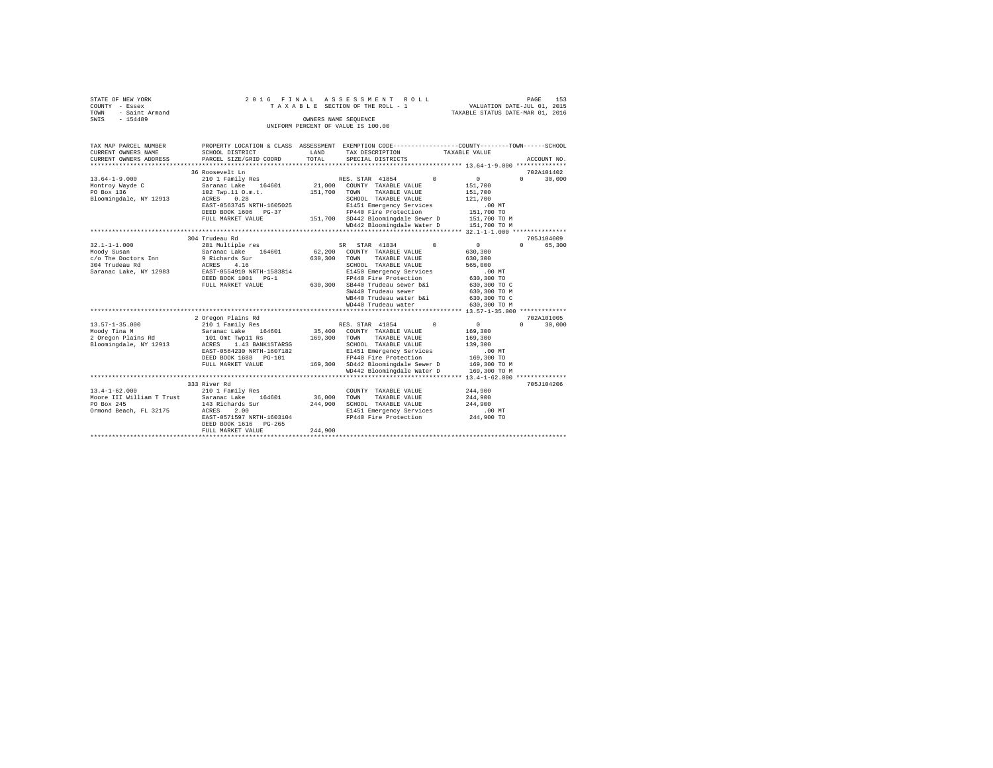| STATE OF NEW YORK   | 2016 FINAL ASSESSMENT ROLL         | 153<br>PAGE                      |
|---------------------|------------------------------------|----------------------------------|
| COUNTY - Essex      | TAXABLE SECTION OF THE ROLL - 1    | VALUATION DATE-JUL 01, 2015      |
| TOWN - Saint Armand |                                    | TAXABLE STATUS DATE-MAR 01, 2016 |
| SWIS<br>$-154489$   | OWNERS NAME SEOUENCE               |                                  |
|                     | UNIFORM PERCENT OF VALUE IS 100.00 |                                  |

| TAX MAP PARCEL NUMBER<br>CURRENT OWNERS NAME<br>CURRENT OWNERS ADDRESS                               | SCHOOL DISTRICT<br>PARCEL SIZE/GRID COORD                                                                                                                                                         | LAND<br>TOTAL                | PROPERTY LOCATION & CLASS ASSESSMENT EXEMPTION CODE---------------COUNTY-------TOWN------SCHOOL<br>TAX DESCRIPTION<br>SPECIAL DISTRICTS                                                                                                                     | TAXABLE VALUE<br>ACCOUNT NO.                                                                                                                                                |
|------------------------------------------------------------------------------------------------------|---------------------------------------------------------------------------------------------------------------------------------------------------------------------------------------------------|------------------------------|-------------------------------------------------------------------------------------------------------------------------------------------------------------------------------------------------------------------------------------------------------------|-----------------------------------------------------------------------------------------------------------------------------------------------------------------------------|
| $13.64 - 1 - 9.000$<br>Montroy Wayde C<br>PO Box 136<br>Bloomingdale, NY 12913                       | 36 Roosevelt Ln<br>210 1 Family Res<br>Saranac Lake 164601<br>102 Twp.11 O.m.t.<br>0.28<br>ACRES<br>EAST-0563745 NRTH-1605025<br>DEED BOOK 1606 PG-37<br>FULL MARKET VALUE                        | 21,000<br>151,700            | RES. STAR 41854<br>$^{\circ}$<br>COUNTY TAXABLE VALUE<br>TOWN<br>TAXABLE VALUE<br>SCHOOL TAXABLE VALUE<br>E1451 Emergency Services<br>FP440 Fire Protection<br>151,700 SD442 Bloomingdale Sewer D<br>WD442 Bloomingdale Water D                             | 702A101402<br>30,000<br>$\mathbf{0}$<br>$\Omega$<br>151,700<br>151,700<br>121,700<br>.00MT<br>151,700 TO<br>151,700 TO M<br>151,700 TO M                                    |
| $32.1 - 1 - 1.000$<br>Moody Susan<br>c/o The Doctors Inn<br>304 Trudeau Rd<br>Saranac Lake, NY 12983 | 304 Trudeau Rd<br>281 Multiple res<br>Saranac Lake 164601<br>9 Richards Sur<br>4.16<br>ACRES<br>EAST-0554910 NRTH-1583814<br>DEED BOOK 1001 PG-1<br>FULL MARKET VALUE                             | 62,200<br>630,300<br>630,300 | $\Omega$<br>SR STAR 41834<br>COUNTY TAXABLE VALUE<br>TAXABLE VALUE<br>TOWN<br>SCHOOL TAXABLE VALUE<br>E1450 Emergency Services<br>FP440 Fire Protection<br>SB440 Trudeau sewer b&i<br>SW440 Trudeau sewer<br>WB440 Trudeau water b&i<br>WD440 Trudeau water | 705J104009<br>$\Omega$<br>65,300<br>$\mathbf{0}$<br>630,300<br>630,300<br>565,000<br>$.00$ MT<br>630,300 TO<br>630,300 TO C<br>630,300 TO M<br>630,300 TO C<br>630,300 TO M |
| $13.57 - 1 - 35.000$<br>Moody Tina M<br>2 Oregon Plains Rd<br>Bloomingdale, NY 12913                 | 2 Oregon Plains Rd<br>210 1 Family Res<br>Saranac Lake 164601<br>101 Omt Twp11 Rs<br>ACRES 1.43 BANK1STARSG<br>EAST-0564230 NRTH-1607182<br>DEED BOOK 1688 PG-101<br>FULL MARKET VALUE            | 35,400<br>169,300            | RES. STAR 41854<br>$\Omega$<br>COUNTY TAXABLE VALUE<br>TOWN<br>TAXABLE VALUE<br>SCHOOL TAXABLE VALUE<br>E1451 Emergency Services<br>FP440 Fire Protection<br>169,300 SD442 Bloomingdale Sewer D<br>WD442 Bloomingdale Water D                               | 702A101005<br>$\overline{0}$<br>$\cap$<br>30,000<br>169,300<br>169,300<br>139,300<br>$.00$ MT<br>169,300 TO<br>169,300 TO M<br>169,300 TO M                                 |
| $13.4 - 1 - 62.000$<br>PO Box 245<br>Ormond Beach, FL 32175                                          | 333 River Rd<br>210 1 Family Res<br>Moore III William T Trust Saranac Lake 164601<br>143 Richards Sur<br>ACRES<br>2.00<br>EAST-0571597 NRTH-1603104<br>DEED BOOK 1616 PG-265<br>FULL MARKET VALUE | 36,000<br>244,900<br>244,900 | COUNTY TAXABLE VALUE<br>TOWN<br>TAXABLE VALUE<br>SCHOOL TAXABLE VALUE<br>E1451 Emergency Services<br>FP440 Fire Protection                                                                                                                                  | 705J104206<br>244,900<br>244,900<br>244,900<br>$.00$ MT<br>244,900 TO                                                                                                       |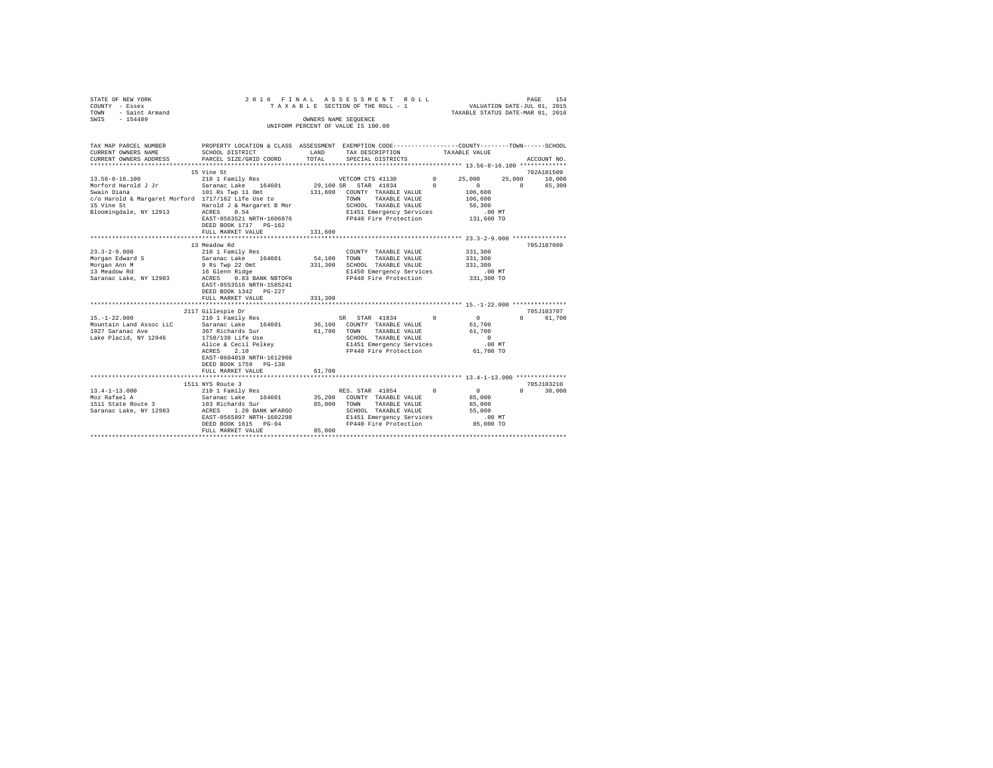|      | STATE OF NEW YORK   |  |  | 2016 FINAL ASSESSMENT ROLL         |                                  | PAGE | 154 |
|------|---------------------|--|--|------------------------------------|----------------------------------|------|-----|
|      | COUNTY - Essex      |  |  | TAXABLE SECTION OF THE ROLL - 1    | VALUATION DATE-JUL 01, 2015      |      |     |
|      | TOWN - Saint Armand |  |  |                                    | TAXABLE STATUS DATE-MAR 01, 2016 |      |     |
| SWIS | $-154489$           |  |  | OWNERS NAME SEOUENCE               |                                  |      |     |
|      |                     |  |  | UNIFORM PERCENT OF VALUE IS 100.00 |                                  |      |     |
|      |                     |  |  |                                    |                                  |      |     |

| TAX MAP PARCEL NUMBER                              | PROPERTY LOCATION & CLASS ASSESSMENT EXEMPTION CODE----------------COUNTY-------TOWN-----SCHOOL        |             |                                                          |          |               |          |                                         |
|----------------------------------------------------|--------------------------------------------------------------------------------------------------------|-------------|----------------------------------------------------------|----------|---------------|----------|-----------------------------------------|
| CURRENT OWNERS NAME                                | SCHOOL DISTRICT                                                                                        | LAND        | TAX DESCRIPTION                                          |          | TAXABLE VALUE |          |                                         |
| CURRENT OWNERS ADDRESS                             | PARCEL SIZE/GRID COORD                                                                                 | TOTAL       | SPECIAL DISTRICTS                                        |          |               |          | ACCOUNT NO.                             |
|                                                    |                                                                                                        |             |                                                          |          |               |          |                                         |
|                                                    | 15 Vine St                                                                                             |             |                                                          |          |               |          | 702A101509                              |
| $13.56 - 8 - 16.100$                               | 210 1 Family Res                                                                                       |             | VETCOM CTS 41130 0                                       |          | 25,000        |          | 25,000 10,000                           |
| Morford Harold J Jr                                | Saranac Lake 164601 29,100 SR STAR 41834 0                                                             |             |                                                          |          | $\Omega$      | $\Omega$ | 65,300                                  |
| Swain Diana                                        | 101 Rs Twp 11 Omt                                                                                      |             | 131,600 COUNTY TAXABLE VALUE 106,600                     |          |               |          |                                         |
| c/o Harold & Margaret Morford 1717/162 Life Use to |                                                                                                        |             | TAXABLE VALUE<br>TOWN                                    |          | 106,600       |          |                                         |
| 15 Vine St                                         | Harold J & Margaret B Mor                                                                              |             | SCHOOL TAXABLE VALUE                                     |          | 56,300        |          |                                         |
| Bloomingdale, NY 12913 ACRES 0.54                  |                                                                                                        |             | E1451 Emergency Services                                 |          | $.00$ MT      |          |                                         |
|                                                    | EAST-0563521 NRTH-1606876                                                                              |             | FP440 Fire Protection                                    |          | 131,600 TO    |          |                                         |
|                                                    | DEED BOOK 1717 PG-162                                                                                  |             |                                                          |          |               |          |                                         |
|                                                    | FULL MARKET VALUE                                                                                      | 131,600     |                                                          |          |               |          |                                         |
|                                                    |                                                                                                        |             |                                                          |          |               |          |                                         |
|                                                    | 13 Meadow Rd                                                                                           |             |                                                          |          |               |          | 705J187009                              |
| $23.3 - 2 - 9.000$                                 | 210 1 Family Res<br>Saranac Lake 164601<br>9 Rs Twp 22 Omt<br>16 Glenn Ridge<br>ACRES 0.83 BANK NBTOFN |             | COUNTY TAXABLE VALUE                                     |          | 331,300       |          |                                         |
| Morgan Edward S                                    |                                                                                                        | 54,100 TOWN | TAXABLE VALUE                                            |          | 331,300       |          |                                         |
| Morgan Ann M                                       |                                                                                                        |             | 331,300 SCHOOL TAXABLE VALUE                             |          | 331,300       |          |                                         |
| 13 Meadow Rd                                       |                                                                                                        |             | E1450 Emergency Services                                 |          | .00 MT        |          |                                         |
| Saranac Lake, NY 12983                             |                                                                                                        |             | FP440 Fire Protection                                    |          | 331,300 TO    |          |                                         |
|                                                    | EAST-0553516 NRTH-1585241                                                                              |             |                                                          |          |               |          |                                         |
|                                                    | DEED BOOK 1342 PG-227                                                                                  |             |                                                          |          |               |          |                                         |
|                                                    | FULL MARKET VALUE                                                                                      | 331,300     |                                                          |          |               |          |                                         |
|                                                    |                                                                                                        |             |                                                          |          |               |          |                                         |
|                                                    | 2117 Gillespie Dr                                                                                      |             |                                                          |          |               |          | 705J103707                              |
| $15. - 1 - 22.000$                                 | 210 1 Family Res                                                                                       |             | SR STAR 41834                                            | $\Omega$ | 0             |          | $\mathbf{0}$ and $\mathbf{0}$<br>61,700 |
|                                                    |                                                                                                        |             |                                                          |          | 61,700        |          |                                         |
| 1927 Saranac Ave                                   | 367 Richards Sur                                                                                       | 61,700      | TOWN<br>TAXABLE VALUE 61,700                             |          |               |          |                                         |
| Lake Placid, NY 12946                              | 1750/138 Life Use<br>--.<br>1750/138 Life Use<br>Alice & Cecil Pelkey<br>ACPES 2.10                    |             |                                                          |          | $\sim$ 0      |          |                                         |
|                                                    |                                                                                                        |             | SCHOOL TAXABLE VALUE<br>E1451 Emergency Services         |          | $.00$ MT      |          |                                         |
|                                                    |                                                                                                        |             | FP440 Fire Protection 61,700 TO                          |          |               |          |                                         |
|                                                    | EAST-0604010 NRTH-1612960                                                                              |             |                                                          |          |               |          |                                         |
|                                                    | DEED BOOK 1759 PG-138                                                                                  |             |                                                          |          |               |          |                                         |
|                                                    | FULL MARKET VALUE                                                                                      | 61,700      |                                                          |          |               |          |                                         |
|                                                    |                                                                                                        |             |                                                          |          |               |          |                                         |
|                                                    | 1511 NYS Route 3                                                                                       |             |                                                          |          |               |          | 705J103210                              |
|                                                    |                                                                                                        |             | RES. STAR 41854                                          | $\Omega$ | $\sim$        | $\Omega$ | 30,000                                  |
|                                                    |                                                                                                        |             |                                                          |          | 85,000        |          |                                         |
|                                                    |                                                                                                        |             | 35,200 COUNTY TAXABLE VALUE<br>85,000 TOWN TAXABLE VALUE |          | 85,000        |          |                                         |
| Saranac Lake, NY 12983 ACRES 1.20 BANK WFARGO      |                                                                                                        |             | SCHOOL TAXABLE VALUE                                     |          | 55,000        |          |                                         |
|                                                    | EAST-0565897 NRTH-1602298                                                                              |             | E1451 Emergency Services                                 |          | $.00$ MT      |          |                                         |
|                                                    | DEED BOOK 1615 PG-94                                                                                   |             | FP440 Fire Protection                                    |          | 85,000 TO     |          |                                         |
|                                                    | FULL MARKET VALUE                                                                                      | 85,000      |                                                          |          |               |          |                                         |
|                                                    |                                                                                                        |             |                                                          |          |               |          |                                         |
|                                                    |                                                                                                        |             |                                                          |          |               |          |                                         |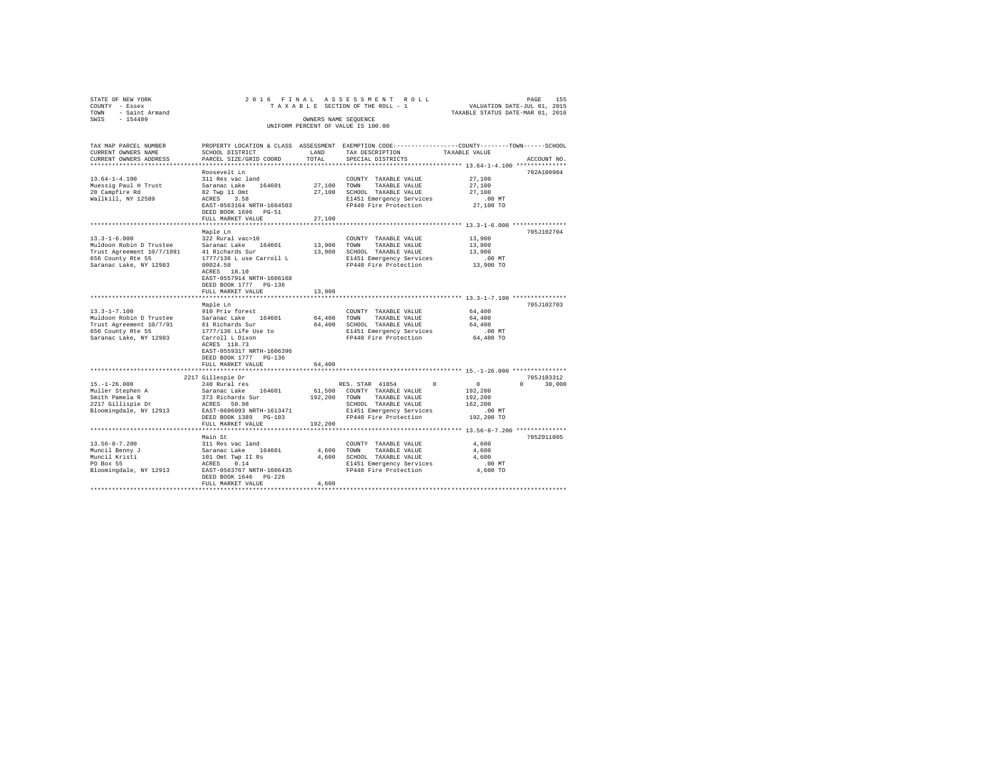| STATE OF NEW YORK<br>COUNTY - Essex<br>- Saint Armand |                                                    |               | 2016 FINAL ASSESSMENT ROLL<br>TAXABLE SECTION OF THE ROLL - 1                                   | VALUATION DATE-JUL 01, 2015      | PAGE<br>155      |
|-------------------------------------------------------|----------------------------------------------------|---------------|-------------------------------------------------------------------------------------------------|----------------------------------|------------------|
| TOWN<br>$-154489$<br>SWIS                             |                                                    |               | OWNERS NAME SEOUENCE                                                                            | TAXABLE STATUS DATE-MAR 01, 2016 |                  |
|                                                       |                                                    |               | UNIFORM PERCENT OF VALUE IS 100.00                                                              |                                  |                  |
| TAX MAP PARCEL NUMBER                                 |                                                    |               | PROPERTY LOCATION & CLASS ASSESSMENT EXEMPTION CODE----------------COUNTY-------TOWN-----SCHOOL |                                  |                  |
| CURRENT OWNERS NAME<br>CURRENT OWNERS ADDRESS         | SCHOOL DISTRICT<br>PARCEL SIZE/GRID COORD          | LAND<br>TOTAL | TAX DESCRIPTION<br>SPECIAL DISTRICTS                                                            | TAXABLE VALUE                    | ACCOUNT NO.      |
|                                                       |                                                    |               |                                                                                                 |                                  |                  |
|                                                       | Roosevelt Ln                                       |               |                                                                                                 |                                  | 702A100904       |
| $13.64 - 1 - 4.100$                                   | 311 Res vac land                                   |               | COUNTY TAXABLE VALUE                                                                            | 27,100                           |                  |
| Muessig Paul H Trust                                  | Saranac Lake 164601                                |               | 27,100 TOWN<br>TAXABLE VALUE                                                                    | 27,100                           |                  |
| 20 Campfire Rd                                        | 82 Twp 11 Omt                                      |               | 27.100 SCHOOL TAXABLE VALUE                                                                     | 27,100                           |                  |
| Wallkill, NY 12589                                    | ACRES 3.58                                         |               | E1451 Emergency Services                                                                        | $.00$ MT                         |                  |
|                                                       | EAST-0563164 NRTH-1604503                          |               | FP440 Fire Protection                                                                           | 27,100 TO                        |                  |
|                                                       | DEED BOOK 1696 PG-51<br>FULL MARKET VALUE          | 27,100        |                                                                                                 |                                  |                  |
|                                                       | *********************                              |               | *********************************** 13.3-1-6.000 ***************                                |                                  |                  |
|                                                       | Maple Ln                                           |               |                                                                                                 |                                  | 705J102704       |
| $13.3 - 1 - 6.000$                                    | 322 Rural vac>10                                   |               | COUNTY TAXABLE VALUE                                                                            | 13,900                           |                  |
| Muldoon Robin D Trustee                               | Saranac Lake 164601                                | 13,900 TOWN   | TAXABLE VALUE                                                                                   | 13,900                           |                  |
| Trust Agreement 10/7/1991                             | 41 Richards Sur                                    |               | 13,900 SCHOOL TAXABLE VALUE                                                                     | 13,900                           |                  |
| 656 County Rte 55                                     | 1777/136 L use Carroll L                           |               | E1451 Emergency Services                                                                        | $.00$ MT                         |                  |
| Saranac Lake, NY 12983                                | 00024.50                                           |               | FP440 Fire Protection                                                                           | 13,900 TO                        |                  |
|                                                       | ACRES 18.10                                        |               |                                                                                                 |                                  |                  |
|                                                       | EAST-0557914 NRTH-1606168<br>DEED BOOK 1777 PG-136 |               |                                                                                                 |                                  |                  |
|                                                       | FULL MARKET VALUE                                  | 13,900        |                                                                                                 |                                  |                  |
|                                                       |                                                    |               |                                                                                                 |                                  |                  |
|                                                       | Maple Ln                                           |               |                                                                                                 |                                  | 705J102703       |
| $13.3 - 1 - 7.100$                                    | 910 Priv forest                                    |               | COUNTY TAXABLE VALUE                                                                            | 64,400                           |                  |
| Muldoon Robin D Trustee                               | Saranac Lake 164601                                |               | 64,400 TOWN<br>TAXABLE VALUE                                                                    | 64,400                           |                  |
| Trust Agreement 10/7/91                               | 61 Richards Sur                                    |               | 64,400 SCHOOL TAXABLE VALUE                                                                     | 64,400                           |                  |
| 656 County Rte 55                                     | 1777/136 Life Use to                               |               | E1451 Emergency Services                                                                        | $.00$ MT                         |                  |
| Saranac Lake, NY 12983                                | Carroll L Dixon                                    |               | FP440 Fire Protection                                                                           | 64,400 TO                        |                  |
|                                                       | ACRES 118.73<br>EAST-0559317 NRTH-1606396          |               |                                                                                                 |                                  |                  |
|                                                       | DEED BOOK 1777 PG-136                              |               |                                                                                                 |                                  |                  |
|                                                       | FULL MARKET VALUE                                  | 64,400        |                                                                                                 |                                  |                  |
|                                                       | ***************************                        |               |                                                                                                 |                                  |                  |
|                                                       | 2217 Gillespie Dr                                  |               |                                                                                                 |                                  | 705J103312       |
| $15. - 1 - 26.000$                                    | 240 Rural res                                      |               | RES. STAR 41854<br>$^{\circ}$                                                                   | $\overline{0}$                   | 30,000<br>$\cap$ |
| Muller Stephen A                                      | Saranac Lake 164601                                |               | 61,500 COUNTY TAXABLE VALUE                                                                     | 192,200                          |                  |
| Smith Pamela R                                        | 373 Richards Sur                                   | 192,200 TOWN  | TAXABLE VALUE                                                                                   | 192,200                          |                  |
| 2217 Gillispie Dr                                     | ACRES 50.98                                        |               | SCHOOL TAXABLE VALUE                                                                            | 162,200                          |                  |
| Bloomingdale, NY 12913                                | EAST-0606093 NRTH-1613471<br>DEED BOOK 1389 PG-103 |               | E1451 Emergency Services                                                                        | $.00$ MT                         |                  |
|                                                       | FULL MARKET VALUE                                  | 192,200       | FP440 Fire Protection                                                                           | 192,200 TO                       |                  |
|                                                       |                                                    |               |                                                                                                 |                                  |                  |
|                                                       | Main St                                            |               |                                                                                                 |                                  | 705Z011005       |
| $13.56 - 8 - 7.200$                                   | 311 Res vac land                                   |               | COUNTY TAXABLE VALUE                                                                            | 4,600                            |                  |
| Muncil Benny J                                        | Saranac Lake 164601                                |               | 4,600 TOWN<br>TAXABLE VALUE                                                                     | 4,600                            |                  |
| Muncil Kristi                                         | 101 Omt Twp II Rs                                  |               | 4,600 SCHOOL TAXABLE VALUE                                                                      | 4,600                            |                  |
| PO Box 55                                             | ACRES<br>0.14                                      |               | E1451 Emergency Services                                                                        | $.00$ MT                         |                  |
| Bloomingdale, NY 12913                                | EAST-0563767 NRTH-1606435                          |               | FP440 Fire Protection                                                                           | 4,600 TO                         |                  |
|                                                       | DEED BOOK 1646 PG-226                              |               |                                                                                                 |                                  |                  |
|                                                       | FULL MARKET VALUE                                  | 4,600         |                                                                                                 |                                  |                  |
|                                                       |                                                    |               |                                                                                                 |                                  |                  |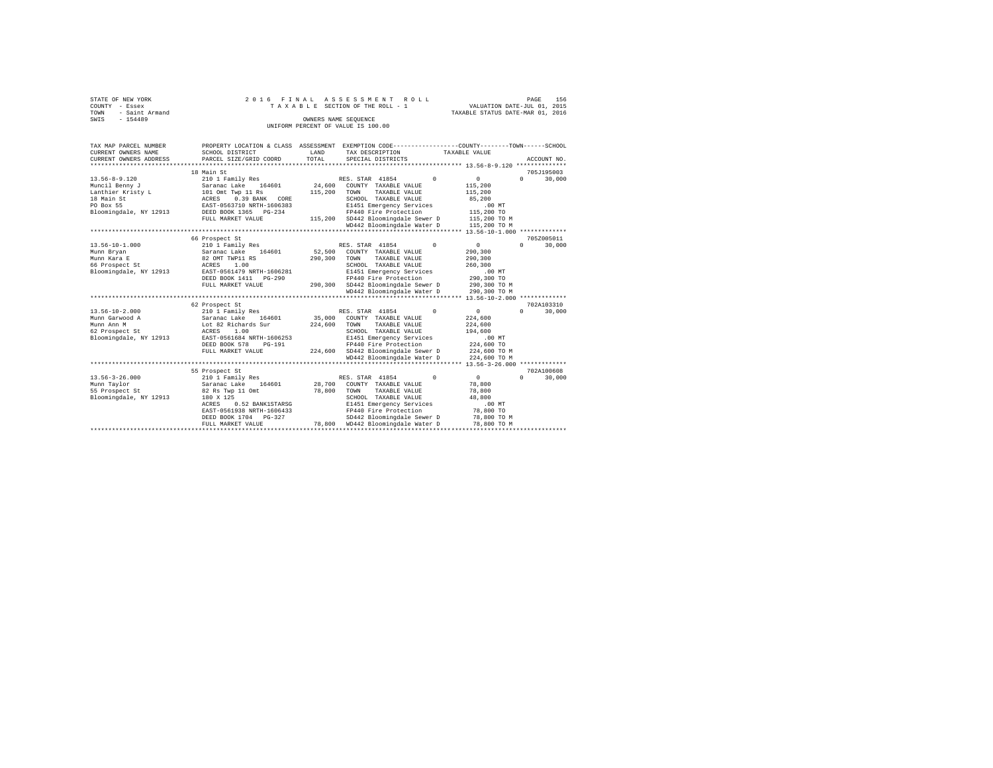| STATE OF NEW YORK   | 2016 FINAL ASSESSMENT ROLL         | 156<br>PAGE                      |
|---------------------|------------------------------------|----------------------------------|
| COUNTY - Essex      | TAXABLE SECTION OF THE ROLL - 1    | VALUATION DATE-JUL 01, 2015      |
| TOWN - Saint Armand |                                    | TAXABLE STATUS DATE-MAR 01, 2016 |
| SWIS<br>$-154489$   | OWNERS NAME SEOUENCE               |                                  |
|                     | UNIFORM PERCENT OF VALUE IS 100.00 |                                  |

| TAX MAP PARCEL NUMBER<br>CURRENT OWNERS NAME<br>CURRENT OWNERS ADDRESS                                          | PROPERTY LOCATION & CLASS ASSESSMENT<br>SCHOOL DISTRICT<br>PARCEL SIZE/GRID COORD<br>***********************                                                                                          | LAND<br>TOTAL<br>*********** | EXEMPTION CODE-----------------COUNTY-------TOWN------SCHOOL<br>TAX DESCRIPTION<br>SPECIAL DISTRICTS<br>*********************************** 13.56-8-9.120 *******************************                             | TAXABLE VALUE                                                                                     | ACCOUNT NO.                          |
|-----------------------------------------------------------------------------------------------------------------|-------------------------------------------------------------------------------------------------------------------------------------------------------------------------------------------------------|------------------------------|-----------------------------------------------------------------------------------------------------------------------------------------------------------------------------------------------------------------------|---------------------------------------------------------------------------------------------------|--------------------------------------|
| $13.56 - 8 - 9.120$<br>Muncil Benny J<br>Lanthier Kristy L<br>18 Main St<br>PO Box 55<br>Bloomingdale, NY 12913 | 18 Main St<br>210 1 Family Res<br>Saranac Lake<br>164601<br>101 Omt Twp 11 Rs<br>0.39 BANK CORE<br>ACRES<br>EAST-0563710 NRTH-1606383<br>DEED BOOK 1365 PG-234<br>FULL MARKET VALUE                   | 24,600<br>115,200<br>115,200 | $\Omega$<br>RES. STAR 41854<br>COUNTY TAXABLE VALUE<br>TAXABLE VALUE<br>TOWN<br>SCHOOL TAXABLE VALUE<br>E1451 Emergency Services<br>FP440 Fire Protection<br>SD442 Bloomingdale Sewer D<br>WD442 Bloomingdale Water D | $\circ$<br>115,200<br>115,200<br>85,200<br>$.00$ MT<br>115,200 TO<br>115,200 TO M<br>115,200 TO M | 705J195003<br>30,000<br>$\mathbf{r}$ |
| $13.56 - 10 - 1.000$<br>Munn Bryan<br>Munn Kara E<br>66 Prospect St<br>Bloomingdale, NY 12913                   | 66 Prospect St<br>210 1 Family Res<br>Saranac Lake<br>164601<br>82 OMT TWP11 RS<br>ACRES<br>1.00<br>EAST-0561479 NRTH-1606281<br>DEED BOOK 1411    PG-290<br>FULL MARKET VALUE                        | 52,500<br>290,300<br>290,300 | RES. STAR 41854<br>$\Omega$<br>COUNTY TAXABLE VALUE<br>TOWN<br>TAXABLE VALUE<br>SCHOOL TAXABLE VALUE<br>E1451 Emergency Services<br>FP440 Fire Protection<br>SD442 Bloomingdale Sewer D<br>WD442 Bloomingdale Water D | 0<br>290,300<br>290,300<br>260,300<br>.00MT<br>290,300 TO<br>290,300 TO M<br>290,300 TO M         | 705Z005011<br>$\Omega$<br>30,000     |
| $13.56 - 10 - 2.000$<br>Munn Garwood A<br>Munn Ann M<br>62 Prospect St<br>Bloomingdale, NY 12913                | 62 Prospect St<br>210 1 Family Res<br>Saranac Lake<br>164601<br>Lot 82 Richards Sur<br>ACRES<br>1.00<br>EAST-0561684 NRTH-1606253<br>DEED BOOK 578<br>$PG-191$<br>FULL MARKET VALUE                   | 35,000<br>224,600<br>224,600 | RES. STAR 41854<br>$\Omega$<br>COUNTY TAXABLE VALUE<br>TAXABLE VALUE<br>TOWN<br>SCHOOL TAXABLE VALUE<br>E1451 Emergency Services<br>FP440 Fire Protection<br>SD442 Bloomingdale Sewer D<br>WD442 Bloomingdale Water D | $\circ$<br>224,600<br>224,600<br>194,600<br>.00MT<br>224,600 TO<br>224,600 TO M<br>224,600 TO M   | 702A103310<br>$\Omega$<br>30,000     |
| $13.56 - 3 - 26.000$<br>Munn Taylor<br>55 Prospect St<br>Bloomingdale, NY 12913                                 | 55 Prospect St<br>210 1 Family Res<br>164601<br>Saranac Lake<br>82 Rs Twp 11 Omt<br>180 X 125<br>0.52 BANK1STARSG<br>ACRES<br>EAST-0561938 NRTH-1606433<br>DEED BOOK 1704 PG-327<br>FULL MARKET VALUE | 28,700<br>78,800<br>78,800   | RES. STAR 41854<br>$\Omega$<br>COUNTY TAXABLE VALUE<br>TOWN<br>TAXABLE VALUE<br>SCHOOL TAXABLE VALUE<br>E1451 Emergency Services<br>FP440 Fire Protection<br>SD442 Bloomingdale Sewer D<br>WD442 Bloomingdale Water D | $^{\circ}$<br>78,800<br>78,800<br>48,800<br>.00MT<br>78,800 TO<br>78,800 TO M<br>78,800 TO M      | 702A100608<br>$\Omega$<br>30,000     |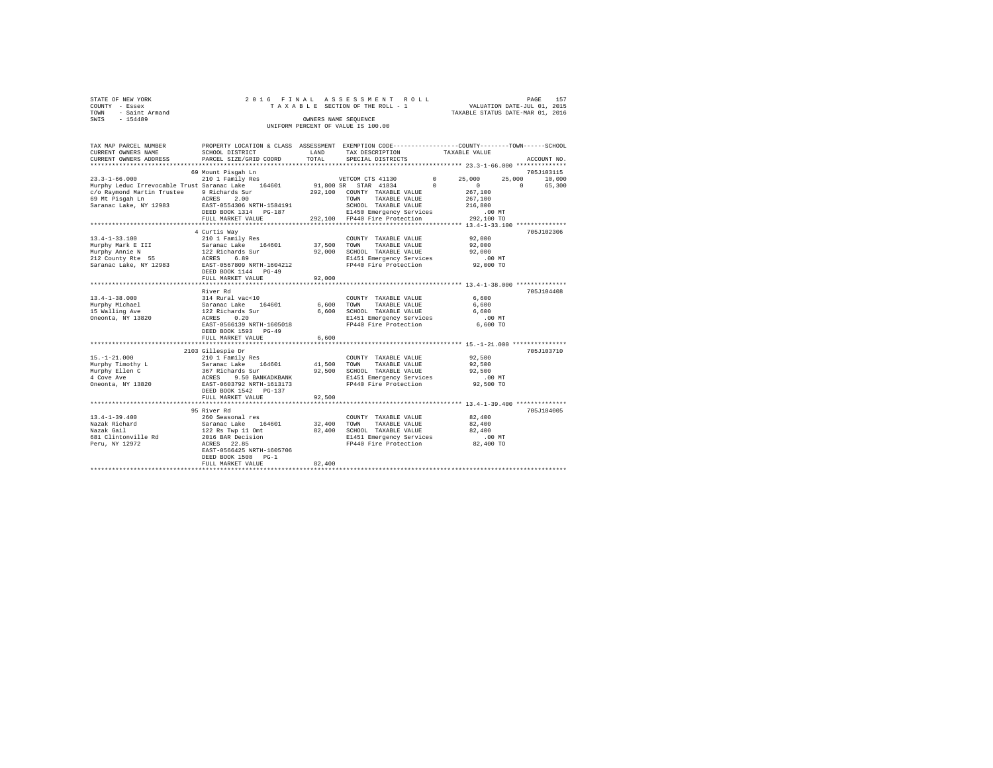|      | STATE OF NEW YORK |  |  | 2016 FINAL ASSESSMENT ROLL         |  |                                  | PAGE | 157 |
|------|-------------------|--|--|------------------------------------|--|----------------------------------|------|-----|
|      | COUNTY - Essex    |  |  | TAXABLE SECTION OF THE ROLL - 1    |  | VALUATION DATE-JUL 01, 2015      |      |     |
| TOWN | - Saint Armand    |  |  |                                    |  | TAXABLE STATUS DATE-MAR 01, 2016 |      |     |
| SWIS | $-154489$         |  |  | OWNERS NAME SEOUENCE               |  |                                  |      |     |
|      |                   |  |  | UNIFORM PERCENT OF VALUE IS 100.00 |  |                                  |      |     |

| TAX MAP PARCEL NUMBER<br>CURRENT OWNERS NAME       | PROPERTY LOCATION & CLASS ASSESSMENT EXEMPTION CODE----------------COUNTY-------TOWN------SCHOOL<br>SCHOOL DISTRICT | LAND<br>TOTAL | TAX DESCRIPTION                               | TAXABLE VALUE                                        |                    |
|----------------------------------------------------|---------------------------------------------------------------------------------------------------------------------|---------------|-----------------------------------------------|------------------------------------------------------|--------------------|
| CURRENT OWNERS ADDRESS                             | PARCEL SIZE/GRID COORD                                                                                              |               | SPECIAL DISTRICTS                             |                                                      | ACCOUNT NO.        |
|                                                    | 69 Mount Pisgah Ln                                                                                                  |               |                                               |                                                      | 705J103115         |
| $23.3 - 1 - 66.000$                                | 210 1 Family Res                                                                                                    |               | VETCOM CTS 41130                              | $\mathbf{0}$<br>25,000                               | 25,000<br>10,000   |
| Murphy Leduc Irrevocable Trust Saranac Lake 164601 |                                                                                                                     |               | 91,800 SR STAR 41834                          | $^{\circ}$<br>$\Omega$                               | $\Omega$<br>65,300 |
| c/o Raymond Martin Trustee                         | 9 Richards Sur                                                                                                      |               | 292.100 COUNTY TAXABLE VALUE                  | 267,100                                              |                    |
| 69 Mt Pisgah Ln                                    | ACRES<br>2.00                                                                                                       |               | TAXABLE VALUE<br>TOWN                         | 267,100                                              |                    |
| Saranac Lake, NY 12983                             | EAST-0554306 NRTH-1584191                                                                                           |               | SCHOOL TAXABLE VALUE                          | 216,800                                              |                    |
|                                                    | DEED BOOK 1314 PG-187                                                                                               |               | E1450 Emergency Services                      | .00 MT                                               |                    |
|                                                    | FULL MARKET VALUE                                                                                                   |               | 292,100 FP440 Fire Protection                 | 292.100 TO                                           |                    |
|                                                    |                                                                                                                     |               |                                               |                                                      |                    |
| $13.4 - 1 - 33.100$                                | 4 Curtis Wav                                                                                                        |               |                                               | 92,000                                               | 705J102306         |
|                                                    | 210 1 Family Res                                                                                                    | 37,500        | COUNTY TAXABLE VALUE<br>TOWN<br>TAXABLE VALUE | 92,000                                               |                    |
|                                                    |                                                                                                                     | 92,000        | SCHOOL TAXABLE VALUE                          | 92,000                                               |                    |
|                                                    |                                                                                                                     |               | E1451 Emergency Services                      | .00MT                                                |                    |
| Saranac Lake, NY 12983                             | EAST-0567809 NRTH-1604212                                                                                           |               | FP440 Fire Protection                         | 92,000 TO                                            |                    |
|                                                    | DEED BOOK 1144 PG-49                                                                                                |               |                                               |                                                      |                    |
|                                                    | FULL MARKET VALUE                                                                                                   | 92,000        |                                               |                                                      |                    |
|                                                    |                                                                                                                     |               |                                               |                                                      |                    |
|                                                    | River Rd                                                                                                            |               |                                               |                                                      | 705J104408         |
| $13.4 - 1 - 38.000$                                |                                                                                                                     |               | COUNTY TAXABLE VALUE                          | 6,600                                                |                    |
| Murphy Michael                                     | $314 \text{ Rural vac} < 10$ Saranac Lake $164601$<br>122 Richards Sur<br>ACRES 0.20                                | 6.600 TOWN    | TAXABLE VALUE                                 | 6,600                                                |                    |
| 15 Walling Ave                                     |                                                                                                                     | 6,600         | SCHOOL TAXABLE VALUE                          | 6,600                                                |                    |
| Oneonta, NY 13820                                  |                                                                                                                     |               | E1451 Emergency Services                      | $.00$ MT                                             |                    |
|                                                    | EAST-0566139 NRTH-1605018                                                                                           |               | FP440 Fire Protection                         | 6,600 TO                                             |                    |
|                                                    | DEED BOOK 1593 PG-49                                                                                                |               |                                               |                                                      |                    |
|                                                    | FULL MARKET VALUE                                                                                                   | 6,600         |                                               |                                                      |                    |
|                                                    |                                                                                                                     |               |                                               |                                                      |                    |
| $15. - 1 - 21.000$                                 | 2103 Gillespie Dr<br>210 1 Family Res                                                                               |               |                                               | 92,500                                               | 705J103710         |
| Murphy Timothy L                                   |                                                                                                                     | 41,500        | COUNTY TAXABLE VALUE<br>TOWN<br>TAXABLE VALUE | 92.500                                               |                    |
| Murphy Ellen C                                     |                                                                                                                     |               | 92,500 SCHOOL TAXABLE VALUE                   | 92,500                                               |                    |
| 4 Cove Ave                                         |                                                                                                                     |               | E1451 Emergency Services                      | .00 MT                                               |                    |
| Oneonta, NY 13820                                  | Saranac Lake 164601<br>367 Richards Sur<br>ACRES 9.50 BANKADKBANK<br>EAST-0603792 NRTH-1613173                      |               | FP440 Fire Protection                         | 92,500 TO                                            |                    |
|                                                    | DEED BOOK 1542 PG-137                                                                                               |               |                                               |                                                      |                    |
|                                                    | FULL MARKET VALUE                                                                                                   | 92,500        |                                               |                                                      |                    |
|                                                    | ********************                                                                                                |               |                                               | *********************** 13.4-1-39.400 ************** |                    |
|                                                    | 95 River Rd                                                                                                         |               |                                               |                                                      | 705J184005         |
| $13.4 - 1 - 39.400$                                | 260 Seasonal res                                                                                                    |               | COUNTY TAXABLE VALUE                          | 82,400                                               |                    |
| Nazak Richard                                      | Saranac Lake 164601                                                                                                 | 32,400        | TOWN<br>TAXABLE VALUE                         | 82,400                                               |                    |
| Nazak Gail                                         | 122 Rs Twp 11 Omt<br>2016 BAR Decision                                                                              | 82,400        | SCHOOL TAXABLE VALUE                          | 82,400                                               |                    |
| 681 Clintonville Rd                                |                                                                                                                     |               | E1451 Emergency Services                      | $.00$ MT                                             |                    |
| Peru, NY 12972                                     | ACRES 22.85                                                                                                         |               | FP440 Fire Protection 82,400 TO               |                                                      |                    |
|                                                    | EAST-0566425 NRTH-1605706                                                                                           |               |                                               |                                                      |                    |
|                                                    | DEED BOOK 1508 PG-1                                                                                                 |               |                                               |                                                      |                    |
|                                                    | FULL MARKET VALUE                                                                                                   | 82,400        |                                               |                                                      |                    |
|                                                    |                                                                                                                     |               |                                               |                                                      |                    |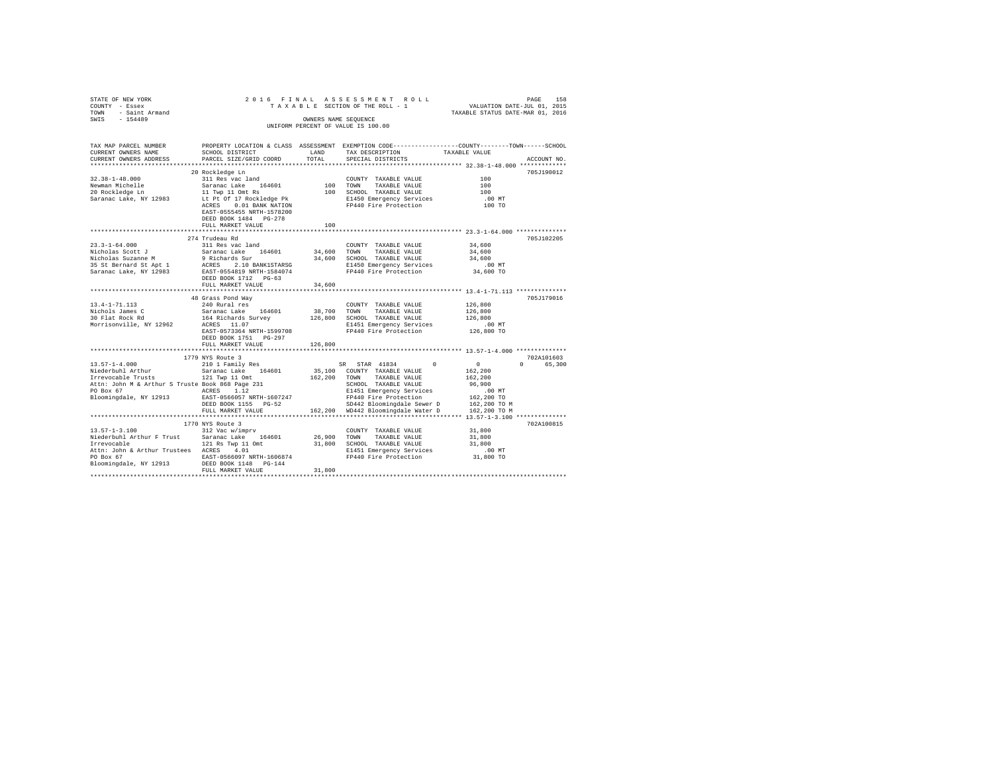| STATE OF NEW YORK<br>COUNTY - Essex<br>TOWN - Saint Armand                                                                                                                                                                           |                                                             |              | 2016 FINAL ASSESSMENT ROLL<br>TAXABLE SECTION OF THE ROLL - 1                                  | PAGE<br>VALUATION DATE-JUL 01, 2015<br>TAXABLE STATUS DATE-MAR 01, 2016 | 158         |
|--------------------------------------------------------------------------------------------------------------------------------------------------------------------------------------------------------------------------------------|-------------------------------------------------------------|--------------|------------------------------------------------------------------------------------------------|-------------------------------------------------------------------------|-------------|
| SWIS - 154489                                                                                                                                                                                                                        |                                                             |              | OWNERS NAME SEQUENCE                                                                           |                                                                         |             |
|                                                                                                                                                                                                                                      |                                                             |              | UNIFORM PERCENT OF VALUE IS 100.00                                                             |                                                                         |             |
|                                                                                                                                                                                                                                      |                                                             |              |                                                                                                |                                                                         |             |
|                                                                                                                                                                                                                                      |                                                             |              |                                                                                                |                                                                         |             |
| TAX MAP PARCEL NUMBER                                                                                                                                                                                                                |                                                             |              | PROPERTY LOCATION & CLASS ASSESSMENT EXEMPTION CODE---------------COUNTY-------TOWN-----SCHOOL |                                                                         |             |
| CURRENT OWNERS NAME                                                                                                                                                                                                                  | SCHOOL DISTRICT                                             | <b>LAND</b>  | TAX DESCRIPTION                                                                                | TAXABLE VALUE                                                           |             |
| CURRENT OWNERS ADDRESS<br>***************************                                                                                                                                                                                | PARCEL SIZE/GRID COORD                                      | TOTAL        | SPECIAL DISTRICTS                                                                              |                                                                         | ACCOUNT NO. |
|                                                                                                                                                                                                                                      | 20 Rockledge Ln                                             |              |                                                                                                |                                                                         | 705J190012  |
| $32.38 - 1 - 48.000$                                                                                                                                                                                                                 |                                                             |              | COUNTY TAXABLE VALUE                                                                           | 100                                                                     |             |
|                                                                                                                                                                                                                                      | 311 Res vac land<br>Saranac Lake 164601                     | $100$ TOWN   | TAXABLE VALUE                                                                                  | 100                                                                     |             |
| Newman Michelle<br>20 Rockledge Ln                                                                                                                                                                                                   | 11 Twp 11 Omt Rs                                            |              | 100 SCHOOL TAXABLE VALUE                                                                       | 100                                                                     |             |
| Saranac Lake, NY 12983                                                                                                                                                                                                               |                                                             |              |                                                                                                | $.00$ MT                                                                |             |
|                                                                                                                                                                                                                                      | Lt Pt Of 17 Rockledge Pk<br>ACRES 0.01 BANK NATION          |              | E1450 Emergency Services<br>FP440 Fire Protection                                              | 100 TO                                                                  |             |
|                                                                                                                                                                                                                                      | EAST-0555455 NRTH-1578200                                   |              |                                                                                                |                                                                         |             |
|                                                                                                                                                                                                                                      | DEED BOOK 1484 PG-278                                       |              |                                                                                                |                                                                         |             |
|                                                                                                                                                                                                                                      | FULL MARKET VALUE                                           | 100          |                                                                                                |                                                                         |             |
|                                                                                                                                                                                                                                      |                                                             |              |                                                                                                |                                                                         | 705J102205  |
| $23.3 - 1 - 64.000$                                                                                                                                                                                                                  | 274 Trudeau Rd<br>311 Res vac land                          |              | COUNTY TAXABLE VALUE                                                                           | 34,600                                                                  |             |
| 25.3-1-01.000 Saranac Lake 164601 34,600 TOWN TAXABLE VALUE<br>Nicholas Sucanne M 9 Richards Sur 34,600 SCROOL TAXABLE VALUE<br>Nicholas Sucanne M 9 Richards Sur 34,600 SCROOL TAXABLE VALUE<br>35 St Bernard St Apt 1 ACRES 2.10 B |                                                             |              |                                                                                                | 34,600                                                                  |             |
|                                                                                                                                                                                                                                      |                                                             |              |                                                                                                | 34,600                                                                  |             |
|                                                                                                                                                                                                                                      |                                                             |              |                                                                                                | $.00$ MT                                                                |             |
|                                                                                                                                                                                                                                      |                                                             |              |                                                                                                | 34,600 TO                                                               |             |
|                                                                                                                                                                                                                                      | DEED BOOK 1712 PG-63                                        |              |                                                                                                |                                                                         |             |
|                                                                                                                                                                                                                                      | FULL MARKET VALUE                                           | 34,600       |                                                                                                |                                                                         |             |
|                                                                                                                                                                                                                                      |                                                             |              |                                                                                                |                                                                         |             |
|                                                                                                                                                                                                                                      | 48 Grass Pond Way                                           |              |                                                                                                |                                                                         | 705J179016  |
| $13.4 - 1 - 71.113$                                                                                                                                                                                                                  |                                                             |              | COUNTY TAXABLE VALUE                                                                           | 126,800                                                                 |             |
| Nichols James C<br>30 Flat Rock Rd                                                                                                                                                                                                   | Saranac Lake 164601                                         | 38,700       | TOWN<br>TAXABLE VALUE                                                                          | 126,800                                                                 |             |
| Morrisonville, NY 12962                                                                                                                                                                                                              | ACRES 11.07                                                 |              | 164 Richards Survey 126,800 SCHOOL TAXABLE VALUE<br>E1451 Emergency Services                   | 126,800<br>.00 MT                                                       |             |
|                                                                                                                                                                                                                                      | EAST-0573364 NRTH-1599708                                   |              | E1451 Emergency Services<br>FP440 Fire Protection                                              | 126,800 TO                                                              |             |
|                                                                                                                                                                                                                                      | DEED BOOK 1751 PG-297                                       |              |                                                                                                |                                                                         |             |
|                                                                                                                                                                                                                                      | FULL MARKET VALUE                                           | 126,800      |                                                                                                |                                                                         |             |
|                                                                                                                                                                                                                                      |                                                             |              |                                                                                                | *********************************** 13.57-1-4.000 **************        |             |
|                                                                                                                                                                                                                                      | 1779 NYS Route 3                                            |              |                                                                                                |                                                                         | 702A101603  |
| $13.57 - 1 - 4.000$                                                                                                                                                                                                                  | 210 1 Family Res                                            |              | SR STAR 41834<br>$^{\circ}$                                                                    | $\sim$ 0<br>$\Omega$                                                    | 65,300      |
| Niederbuhl Arthur                                                                                                                                                                                                                    | Saranac Lake 164601                                         |              | 35,100 COUNTY TAXABLE VALUE                                                                    | 162,200                                                                 |             |
| Irrevocable Trusts 121 Twp 11 Omt                                                                                                                                                                                                    |                                                             | 162.200 TOWN | TAXABLE VALUE                                                                                  | 162,200                                                                 |             |
|                                                                                                                                                                                                                                      |                                                             |              | SCHOOL TAXABLE VALUE                                                                           | 96,900                                                                  |             |
|                                                                                                                                                                                                                                      |                                                             |              | E1451 Emergency Services                                                                       | .00 MT                                                                  |             |
| Bloomingdale, NY 12913                                                                                                                                                                                                               | EAST-0566057 NRTH-1607247<br>DEED BOOK 1155 PG-52           |              | FP440 Fire Protection                                                                          | 162,200 TO                                                              |             |
|                                                                                                                                                                                                                                      | FULL MARKET VALUE                                           |              | SD442 Bloomingdale Sewer D 162,200 TO M<br>162,200 WD442 Bloomingdale Water D 162,200 TO M     |                                                                         |             |
|                                                                                                                                                                                                                                      |                                                             |              |                                                                                                |                                                                         |             |
|                                                                                                                                                                                                                                      | 1770 NYS Route 3                                            |              |                                                                                                |                                                                         | 702A100815  |
| $13.57 - 1 - 3.100$                                                                                                                                                                                                                  | 312 Vac w/imprv                                             |              | COUNTY TAXABLE VALUE                                                                           | 31,800                                                                  |             |
|                                                                                                                                                                                                                                      |                                                             | 26,900       | TOWN<br>TAXABLE VALUE                                                                          | 31,800                                                                  |             |
| Niederbuhl Arthur F Trust Saranac Lake 164601<br>Irrevocable 121 Rs Twp 11 Omt                                                                                                                                                       |                                                             |              | 31,800 SCHOOL TAXABLE VALUE                                                                    | 31,800                                                                  |             |
| Attn: John & Arthur Trustees ACRES 4.01                                                                                                                                                                                              |                                                             |              | E1451 Emergency Services                                                                       | .00MT                                                                   |             |
| PO Box 67                                                                                                                                                                                                                            | EAST-0566097 NRTH-1606874<br>NY 12913 DEED BOOK 1148 PG-144 |              | FP440 Fire Protection                                                                          | 31,800 TO                                                               |             |
| Bloomingdale, NY 12913                                                                                                                                                                                                               |                                                             |              |                                                                                                |                                                                         |             |
|                                                                                                                                                                                                                                      | FULL MARKET VALUE                                           | 31,800       |                                                                                                |                                                                         |             |
|                                                                                                                                                                                                                                      |                                                             |              |                                                                                                |                                                                         |             |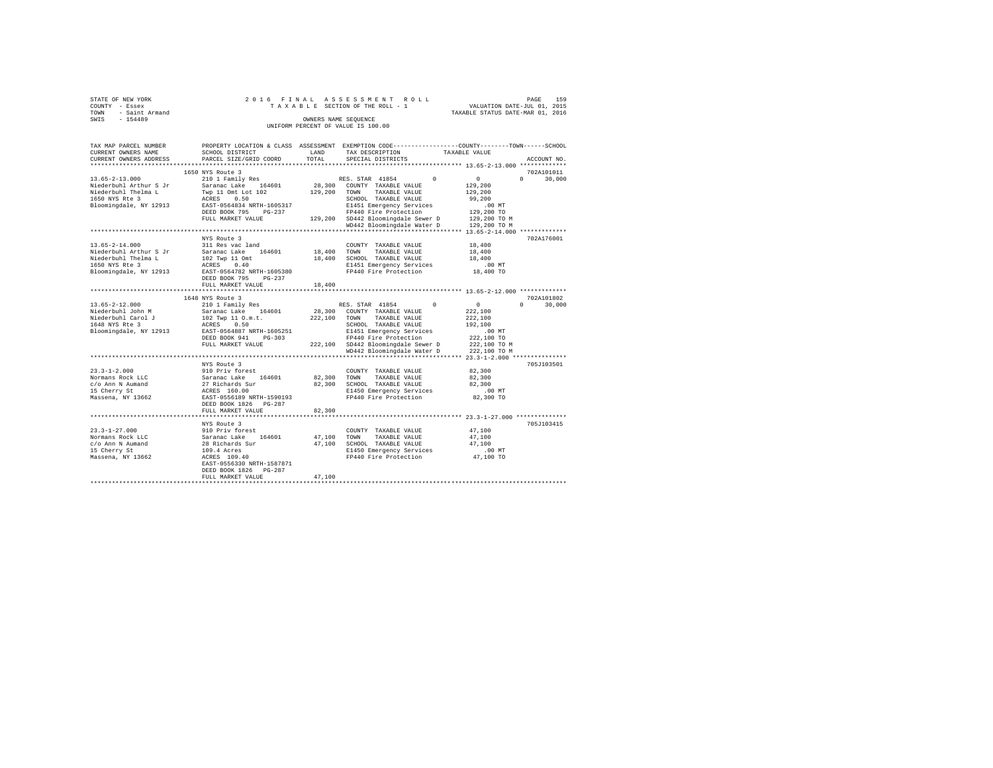| STATE OF NEW YORK                                                                                                                               |                                                                          |        | 2016 FINAL ASSESSMENT ROLL                                                                                                                                                                                                                                                                                                                               |                    | PAGE<br>159   |
|-------------------------------------------------------------------------------------------------------------------------------------------------|--------------------------------------------------------------------------|--------|----------------------------------------------------------------------------------------------------------------------------------------------------------------------------------------------------------------------------------------------------------------------------------------------------------------------------------------------------------|--------------------|---------------|
| $\begin{array}{ccc}\n\text{COUNTY} & - \text{Essex} \\ \text{TOWN} & - \text{ Saint Armand} \\ \text{num} & - \text{Saint Armand}\n\end{array}$ |                                                                          |        | TAXABLE SECTION OF THE ROLL - 1 VALUATION DATE-JUL 01, 2015<br>TAXABLE STATUS DATE-MAR 01, 2016                                                                                                                                                                                                                                                          |                    |               |
|                                                                                                                                                 |                                                                          |        |                                                                                                                                                                                                                                                                                                                                                          |                    |               |
| SWIS - 154489                                                                                                                                   |                                                                          |        | OWNERS NAME SEQUENCE                                                                                                                                                                                                                                                                                                                                     |                    |               |
|                                                                                                                                                 |                                                                          |        | UNIFORM PERCENT OF VALUE IS 100.00                                                                                                                                                                                                                                                                                                                       |                    |               |
|                                                                                                                                                 |                                                                          |        |                                                                                                                                                                                                                                                                                                                                                          |                    |               |
|                                                                                                                                                 |                                                                          |        | TAX MAP PARCEL NUMBER PROPERTY LOCATION & CLASS ASSESSMENT EXEMPTION CODE--------------COUNTY-------TOWN------SCHOOL                                                                                                                                                                                                                                     |                    |               |
| CURRENT OWNERS NAME                                                                                                                             | SCHOOL DISTRICT TAND TAX DESCRIPTION                                     |        |                                                                                                                                                                                                                                                                                                                                                          | TAXABLE VALUE      |               |
| CURRENT OWNERS ADDRESS                                                                                                                          | PARCEL SIZE/GRID COORD TOTAL                                             |        | SPECIAL DISTRICTS                                                                                                                                                                                                                                                                                                                                        |                    | ACCOUNT NO.   |
|                                                                                                                                                 |                                                                          |        |                                                                                                                                                                                                                                                                                                                                                          |                    |               |
|                                                                                                                                                 | 1650 NYS Route 3                                                         |        |                                                                                                                                                                                                                                                                                                                                                          |                    | 702A101011    |
|                                                                                                                                                 |                                                                          |        | $\begin{array}{ccccccccc} 13.65-2-13.000 & 210&1\text{ Family Res} & \text{RES. STAR} & 41854 & 0 & 0 \\ & & 210&1\text{ Family Res} & & & & \text{RES. STAR} & 41854 & 0 & 0 \\ \text{Niederbuhl Arthur S Jr} & \text{Saranac Lake} & 164601 & 28,300 & \text{COUNTY} & \text{TAXABLE VALUE} & & & 129,200 \\ \end{array}$                              |                    | $0 \t 30,000$ |
|                                                                                                                                                 |                                                                          |        |                                                                                                                                                                                                                                                                                                                                                          |                    |               |
|                                                                                                                                                 |                                                                          |        |                                                                                                                                                                                                                                                                                                                                                          | 129,200            |               |
|                                                                                                                                                 |                                                                          |        |                                                                                                                                                                                                                                                                                                                                                          | 99.200             |               |
|                                                                                                                                                 |                                                                          |        |                                                                                                                                                                                                                                                                                                                                                          |                    |               |
|                                                                                                                                                 |                                                                          |        |                                                                                                                                                                                                                                                                                                                                                          |                    |               |
|                                                                                                                                                 |                                                                          |        |                                                                                                                                                                                                                                                                                                                                                          |                    |               |
|                                                                                                                                                 |                                                                          |        | EAST-0564834 NRTH-1605317 <b>ELISI Emergency Services</b> (00 MT<br>DEED BOOK 795 PG-237 <b>FP440</b> Fire Protection (129,200 TO MEED BOOK 795 PG-237 PT440 Pire Protection (129,200 TO M<br>PULL MARKET VALUE (129,200 TO MD42 Bloomingdal                                                                                                             |                    |               |
|                                                                                                                                                 |                                                                          |        |                                                                                                                                                                                                                                                                                                                                                          |                    |               |
|                                                                                                                                                 | NYS Route 3                                                              |        |                                                                                                                                                                                                                                                                                                                                                          |                    | 702A176001    |
|                                                                                                                                                 | 13.65-2-14.000 311 Res vac land                                          |        | $\begin{tabular}{lllllll} \multicolumn{2}{l}{{\text{COUNTY}}} & \multicolumn{2}{l}{\text{TAXABLE VALUE}} & \multicolumn{2}{l}{\text{YALUE}} & \multicolumn{2}{l}{\text{18, 400}}\\ \multicolumn{2}{l}{\text{COUNTY}} & \multicolumn{2}{l}{\text{TAXABLE VALUE}} & \multicolumn{2}{l}{\text{YALUE}} & \multicolumn{2}{l}{\text{18, 400}}\\ \end{tabular}$ |                    |               |
|                                                                                                                                                 |                                                                          |        |                                                                                                                                                                                                                                                                                                                                                          | 18,400             |               |
|                                                                                                                                                 |                                                                          |        | 18,400 SCHOOL TAXABLE VALUE 18,400                                                                                                                                                                                                                                                                                                                       |                    |               |
|                                                                                                                                                 |                                                                          |        | E1451 Emergency Services 6.00 MT<br>FP440 Fire Protection 18,400 TO                                                                                                                                                                                                                                                                                      | $.00$ MT           |               |
|                                                                                                                                                 | Bloomingdale, NY 12913 EAST-0564782 NRTH-1605380                         |        |                                                                                                                                                                                                                                                                                                                                                          |                    |               |
|                                                                                                                                                 | DEED BOOK 795 PG-237                                                     |        |                                                                                                                                                                                                                                                                                                                                                          |                    |               |
|                                                                                                                                                 | FULL MARKET VALUE                                                        | 18,400 |                                                                                                                                                                                                                                                                                                                                                          |                    |               |
|                                                                                                                                                 |                                                                          |        |                                                                                                                                                                                                                                                                                                                                                          |                    |               |
|                                                                                                                                                 | 1648 NYS Route 3                                                         |        |                                                                                                                                                                                                                                                                                                                                                          |                    | 702A101802    |
| $13.65 - 2 - 12.000$                                                                                                                            |                                                                          |        |                                                                                                                                                                                                                                                                                                                                                          | $\sim$ 0 $\sim$    | $0 \t 30.000$ |
| Niederbuhl John M                                                                                                                               |                                                                          |        |                                                                                                                                                                                                                                                                                                                                                          |                    |               |
|                                                                                                                                                 |                                                                          |        |                                                                                                                                                                                                                                                                                                                                                          | 222,100<br>192,100 |               |
|                                                                                                                                                 |                                                                          |        |                                                                                                                                                                                                                                                                                                                                                          |                    |               |
|                                                                                                                                                 | Bloomingdale, NY 12913 EAST-0564887 NRTH-1605251<br>DEED BOOK 941 PG-303 |        | E1451 Emergency Services .00 MT<br>FP440 Fire Protection  222,100 TO<br>FP440 Fire Protection                                                                                                                                                                                                                                                            |                    |               |
|                                                                                                                                                 |                                                                          |        | FULL MARKET VALUE 222,100 SD442 Bloomingdale Sewer D 222,100 TO M                                                                                                                                                                                                                                                                                        |                    |               |
|                                                                                                                                                 |                                                                          |        | WD442 Bloomingdale Water D 222.100 TO M                                                                                                                                                                                                                                                                                                                  |                    |               |
|                                                                                                                                                 |                                                                          |        |                                                                                                                                                                                                                                                                                                                                                          |                    |               |
|                                                                                                                                                 | NYS Route 3                                                              |        |                                                                                                                                                                                                                                                                                                                                                          |                    | 705J103501    |
|                                                                                                                                                 |                                                                          |        | $\begin{tabular}{llllll} \textbf{COUNTY} & \textbf{TAXABLE} & \textbf{VALUE} & \textbf{82,300} \end{tabular}$                                                                                                                                                                                                                                            |                    |               |
|                                                                                                                                                 |                                                                          |        |                                                                                                                                                                                                                                                                                                                                                          | 82,300             |               |
|                                                                                                                                                 |                                                                          |        |                                                                                                                                                                                                                                                                                                                                                          | 82,300             |               |
|                                                                                                                                                 |                                                                          |        |                                                                                                                                                                                                                                                                                                                                                          | $.00$ MT           |               |
|                                                                                                                                                 |                                                                          |        |                                                                                                                                                                                                                                                                                                                                                          | 82,300 TO          |               |
|                                                                                                                                                 | DEED BOOK 1826 PG-287                                                    |        |                                                                                                                                                                                                                                                                                                                                                          |                    |               |
|                                                                                                                                                 | FULL MARKET VALUE                                                        | 82,300 |                                                                                                                                                                                                                                                                                                                                                          |                    |               |
|                                                                                                                                                 |                                                                          |        |                                                                                                                                                                                                                                                                                                                                                          |                    |               |

NYS Route 3 705J103415 23.3-1-27.000 910 Priv forest COUNTY TAXABLE VALUE 47,100 Normans Rock LLC Saranac Lake 164601 47,100 TOWN TAXABLE VALUE 47,100 c/o Ann N Aumand 28 Richards Sur 47,100 SCHOOL TAXABLE VALUE 47,100 15 Cherry St 109.4 Acres E1450 Emergency Services .00 MT Massena, NY 13662 ACRES 109.40 FP440 Fire Protection 47,100 TO EAST-0556330 NRTH-1587871 DEED BOOK 1826 PG-287 FULL MARKET VALUE 47,100 \*\*\*\*\*\*\*\*\*\*\*\*\*\*\*\*\*\*\*\*\*\*\*\*\*\*\*\*\*\*\*\*\*\*\*\*\*\*\*\*\*\*\*\*\*\*\*\*\*\*\*\*\*\*\*\*\*\*\*\*\*\*\*\*\*\*\*\*\*\*\*\*\*\*\*\*\*\*\*\*\*\*\*\*\*\*\*\*\*\*\*\*\*\*\*\*\*\*\*\*\*\*\*\*\*\*\*\*\*\*\*\*\*\*\*\*\*\*\*\*\*\*\*\*\*\*\*\*\*\*\*\*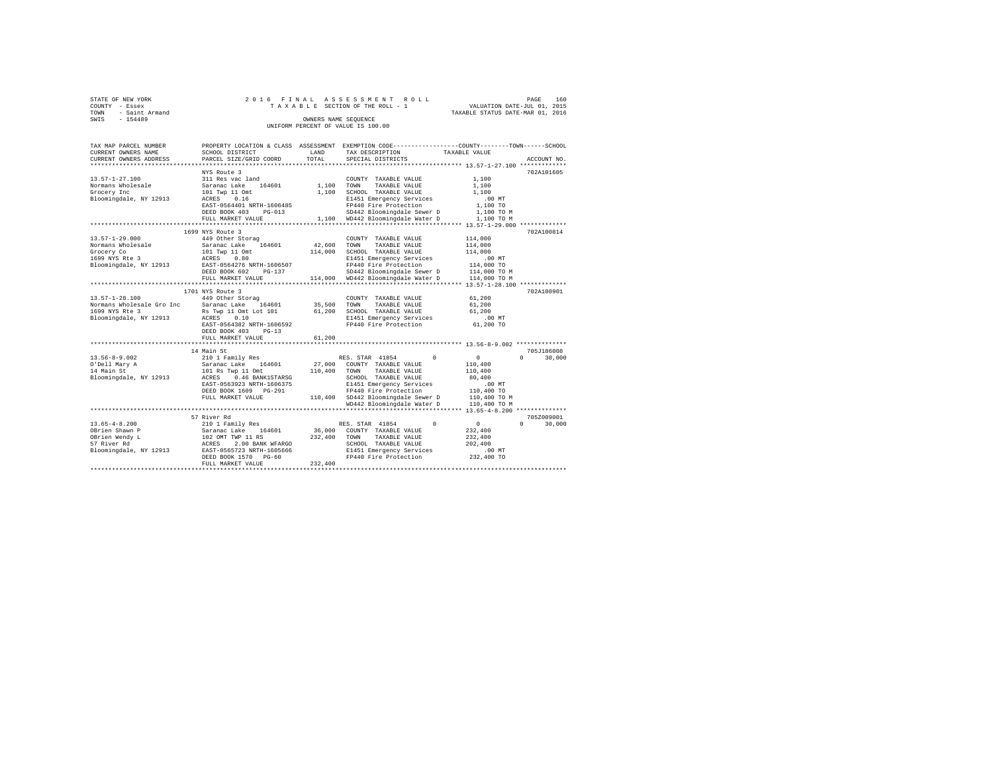| STATE OF NEW YORK                  |  |  |  | 2016 FINAL ASSESSMENT ROLL      |  |                                  | PAGE |  | 160 |
|------------------------------------|--|--|--|---------------------------------|--|----------------------------------|------|--|-----|
| COUNTY - Essex                     |  |  |  | TAXABLE SECTION OF THE ROLL - 1 |  | VALUATION DATE-JUL 01, 2015      |      |  |     |
| TOWN - Saint Armand                |  |  |  |                                 |  | TAXABLE STATUS DATE-MAR 01, 2016 |      |  |     |
| SWIS<br>$-154489$                  |  |  |  | OWNERS NAME SEOUENCE            |  |                                  |      |  |     |
| UNIFORM PERCENT OF VALUE IS 100.00 |  |  |  |                                 |  |                                  |      |  |     |

| TAX MAP PARCEL NUMBER<br>CURRENT OWNERS NAME | SCHOOL DISTRICT                                                          | LAND    | PROPERTY LOCATION & CLASS ASSESSMENT EXEMPTION CODE---------------COUNTY-------TOWN-----SCHOOL<br>TAX DESCRIPTION | TAXABLE VALUE                          |                    |
|----------------------------------------------|--------------------------------------------------------------------------|---------|-------------------------------------------------------------------------------------------------------------------|----------------------------------------|--------------------|
| CURRENT OWNERS ADDRESS                       | PARCEL SIZE/GRID COORD                                                   | TOTAL   | SPECIAL DISTRICTS                                                                                                 |                                        | ACCOUNT NO.        |
|                                              |                                                                          |         |                                                                                                                   |                                        |                    |
| $13.57 - 1 - 27.100$                         | NYS Route 3<br>311 Res vac land                                          |         | COUNTY TAXABLE VALUE                                                                                              | 1,100                                  | 702A101605         |
| Normans Wholesale                            | 164601                                                                   | 1,100   |                                                                                                                   |                                        |                    |
|                                              | Saranac Lake                                                             |         | TOWN<br>TAXABLE VALUE<br>SCHOOL TAXABLE VALUE                                                                     | 1,100<br>1,100                         |                    |
| Grocery Inc                                  | 101 Twp 11 Omt<br>0.16                                                   | 1,100   |                                                                                                                   |                                        |                    |
| Bloomingdale, NY 12913                       | ACRES<br>EAST-0564401 NRTH-1606485                                       |         | E1451 Emergency Services                                                                                          | .00 MT                                 |                    |
|                                              | DEED BOOK 403<br>$PG-013$                                                |         | FP440 Fire Protection<br>SD442 Bloomingdale Sewer D                                                               | 1,100 TO                               |                    |
|                                              |                                                                          |         |                                                                                                                   | 1,100 TO M                             |                    |
|                                              | FULL MARKET VALUE<br>.                                                   |         | 1,100 WD442 Bloomingdale Water D                                                                                  | 1,100 TO M                             |                    |
|                                              |                                                                          |         | ************************************ 13.57-1-29.000 ***********                                                   |                                        |                    |
|                                              | 1699 NYS Route 3                                                         |         |                                                                                                                   |                                        | 702A100814         |
| $13.57 - 1 - 29.000$                         | 449 Other Storag                                                         |         | COUNTY TAXABLE VALUE                                                                                              | 114,000                                |                    |
| Normans Wholesale                            | Saranac Lake 164601                                                      | 42,600  | TOWN<br>TAXABLE VALUE                                                                                             | 114,000                                |                    |
| Grocery Co                                   | 101 Two 11 Omt                                                           | 114,000 | SCHOOL TAXABLE VALUE                                                                                              | 114,000                                |                    |
| 1699 NYS Rte 3                               | ACRES 0.80                                                               |         | E1451 Emergency Services                                                                                          | $.00$ MT                               |                    |
| Bloomingdale, NY 12913                       | EAST-0564276 NRTH-1606507                                                |         | FP440 Fire Protection                                                                                             | 114,000 TO                             |                    |
|                                              | DEED BOOK 602<br>PG-137                                                  |         | SD442 Bloomingdale Sewer D                                                                                        | 114,000 TO M                           |                    |
|                                              | FULL MARKET VALUE                                                        |         | 114,000 WD442 Bloomingdale Water D                                                                                | 114,000 TO M                           |                    |
|                                              |                                                                          |         |                                                                                                                   | ********* 13.57-1-28.100 ***********   |                    |
|                                              | 1701 NYS Route 3                                                         |         |                                                                                                                   |                                        | 702A100901         |
| $13.57 - 1 - 28.100$                         | 449 Other Storag                                                         |         | COUNTY TAXABLE VALUE                                                                                              | 61,200                                 |                    |
| Normans Wholesale Gro Inc                    | Saranac Lake<br>164601                                                   | 35,500  | TAXABLE VALUE<br>TOWN                                                                                             | 61,200                                 |                    |
| 1699 NYS Rte 3                               | Rs Twp 11 Omt Lot 101                                                    | 61,200  | SCHOOL TAXABLE VALUE                                                                                              | 61,200                                 |                    |
| Bloomingdale, NY 12913                       | 0.10<br>ACRES                                                            |         | E1451 Emergency Services                                                                                          | .00 MT                                 |                    |
|                                              | EAST-0564382 NRTH-1606592                                                |         | FP440 Fire Protection                                                                                             | 61,200 TO                              |                    |
|                                              | DEED BOOK 403<br>$PG-13$                                                 |         |                                                                                                                   |                                        |                    |
|                                              | FULL MARKET VALUE                                                        | 61,200  |                                                                                                                   |                                        |                    |
|                                              | ***********************                                                  |         |                                                                                                                   |                                        |                    |
|                                              | 14 Main St                                                               |         |                                                                                                                   |                                        | 705J186008         |
| $13.56 - 8 - 9.002$                          | 210 1 Family Res                                                         |         | RES. STAR 41854<br>$\Omega$                                                                                       | $^{\circ}$                             | $\Omega$<br>30,000 |
| O'Dell Mary A                                | Saranac Lake<br>164601                                                   | 27,000  | COUNTY TAXABLE VALUE                                                                                              | 110,400                                |                    |
| 14 Main St                                   | 101 Rs Twp 11 Omt                                                        | 110,400 | TOWN<br>TAXABLE VALUE                                                                                             | 110,400                                |                    |
| Bloomingdale, NY 12913                       | 0.46 BANK1STARSG<br>ACRES                                                |         | SCHOOL TAXABLE VALUE                                                                                              | 80,400                                 |                    |
|                                              | EAST-0563923 NRTH-1606375                                                |         | E1451 Emergency Services                                                                                          | $.00$ MT                               |                    |
|                                              | DEED BOOK 1609 PG-291                                                    |         | FP440 Fire Protection                                                                                             | 110,400 TO                             |                    |
|                                              | FULL MARKET VALUE                                                        |         | 110,400 SD442 Bloomingdale Sewer D                                                                                | 110,400 TO M                           |                    |
|                                              |                                                                          |         | WD442 Bloomingdale Water D                                                                                        | 110,400 TO M                           |                    |
|                                              | **********************************                                       |         |                                                                                                                   | ********* 13.65-4-8.200 ************** |                    |
|                                              | 57 River Rd                                                              |         |                                                                                                                   |                                        | 705Z009001         |
| $13.65 - 4 - 8.200$                          | 210 1 Family Res                                                         |         | $\Omega$<br>RES. STAR 41854                                                                                       | $^{\circ}$                             | $\Omega$<br>30,000 |
| OBrien Shawn P                               | Saranac Lake<br>164601                                                   | 36,000  | COUNTY TAXABLE VALUE                                                                                              | 232,400                                |                    |
| OBrien Wendy L                               |                                                                          | 232,400 | TOWN<br>TAXABLE VALUE                                                                                             | 232,400                                |                    |
| 57 River Rd                                  |                                                                          |         | SCHOOL TAXABLE VALUE                                                                                              | 202,400                                |                    |
| Bloomingdale, NY 12913                       | 102 OMT TWP 11 RS<br>ACRES 2.00 BANK WFARGO<br>EAST-0565723 NRTH-1605666 |         | E1451 Emergency Services                                                                                          | $.00$ MT                               |                    |
|                                              | DEED BOOK 1570 PG-60                                                     |         | FP440 Fire Protection                                                                                             | 232,400 TO                             |                    |
|                                              | FULL MARKET VALUE                                                        | 232,400 |                                                                                                                   |                                        |                    |
|                                              |                                                                          |         |                                                                                                                   |                                        |                    |
|                                              |                                                                          |         |                                                                                                                   |                                        |                    |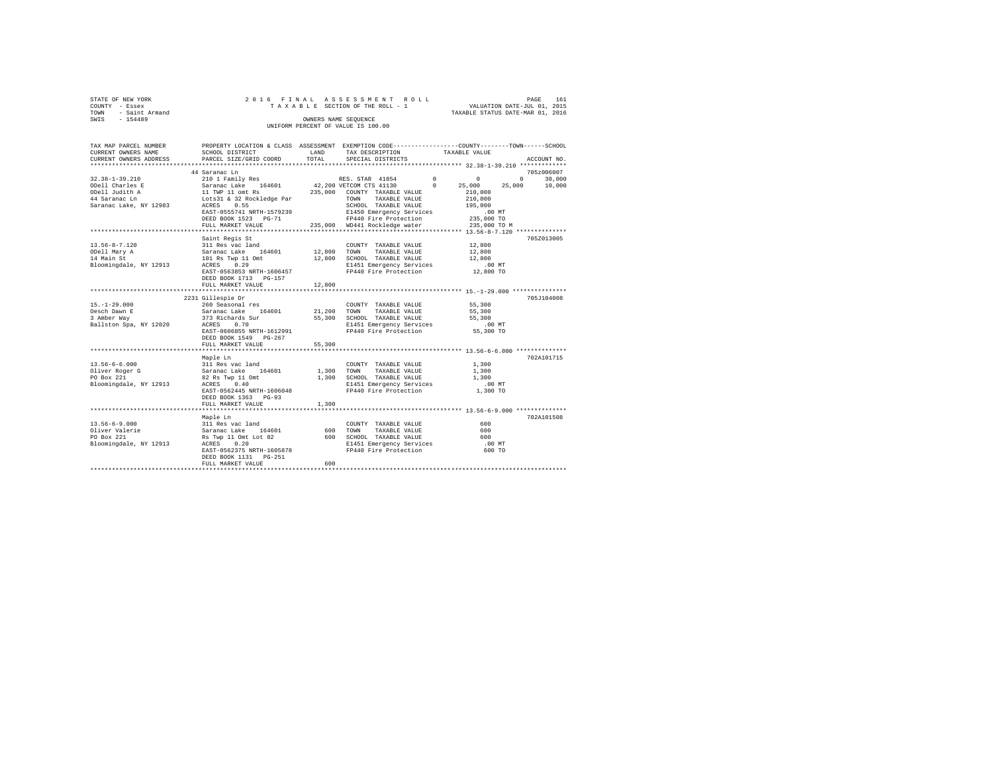|                | STATE OF NEW YORK                  |  |  |  |  |  |  |  |  | 2016 FINAL ASSESSMENT ROLL      |                                  | PAGE | 161 |
|----------------|------------------------------------|--|--|--|--|--|--|--|--|---------------------------------|----------------------------------|------|-----|
| COUNTY - Essex |                                    |  |  |  |  |  |  |  |  | TAXABLE SECTION OF THE ROLL - 1 | VALUATION DATE-JUL 01, 2015      |      |     |
|                | TOWN - Saint Armand                |  |  |  |  |  |  |  |  |                                 | TAXABLE STATUS DATE-MAR 01, 2016 |      |     |
| SWIS           | $-154489$                          |  |  |  |  |  |  |  |  | OWNERS NAME SEOUENCE            |                                  |      |     |
|                | UNIFORM PERCENT OF VALUE IS 100.00 |  |  |  |  |  |  |  |  |                                 |                                  |      |     |

| TAX MAP PARCEL NUMBER<br>CURRENT OWNERS NAME                                                                                              | PROPERTY LOCATION & CLASS ASSESSMENT EXEMPTION CODE----------------COUNTY-------TOWN------SCHOOL<br>SCHOOL DISTRICT | LAND<br>TOTAL | TAX DESCRIPTION                                                          | TAXABLE VALUE                                                    | ACCOUNT NO.                 |
|-------------------------------------------------------------------------------------------------------------------------------------------|---------------------------------------------------------------------------------------------------------------------|---------------|--------------------------------------------------------------------------|------------------------------------------------------------------|-----------------------------|
| CURRENT OWNERS ADDRESS                                                                                                                    | PARCEL SIZE/GRID COORD                                                                                              |               | SPECIAL DISTRICTS                                                        |                                                                  |                             |
|                                                                                                                                           | 44 Saranac Ln                                                                                                       |               |                                                                          |                                                                  | 705z006007                  |
| 32.38-1-39.210                                                                                                                            |                                                                                                                     |               |                                                                          |                                                                  | $0 \qquad \qquad$<br>30,000 |
| ODell Charles E<br>ODell Judith A                                                                                                         |                                                                                                                     |               |                                                                          | 25,000                                                           | 25,000<br>10,000            |
|                                                                                                                                           |                                                                                                                     |               |                                                                          | 210,000                                                          |                             |
| 44 Saranac Ln                                                                                                                             |                                                                                                                     |               |                                                                          |                                                                  |                             |
| Saranac Lake, NY 12983                                                                                                                    | ACRES<br>0.55                                                                                                       |               | SCHOOL TAXABLE VALUE                                                     | 195,000                                                          |                             |
|                                                                                                                                           | EAST-0555741 NRTH-1579239                                                                                           |               | E1450 Emergency Services 6.00 MT<br>FP440 Fire Protection 235,000 TO     |                                                                  |                             |
|                                                                                                                                           | DEED BOOK 1523 PG-71                                                                                                |               |                                                                          |                                                                  |                             |
|                                                                                                                                           | FULL MARKET VALUE                                                                                                   |               | 235,000 WD441 Rockledge water                                            | 235,000 TO M                                                     |                             |
|                                                                                                                                           | Saint Regis St                                                                                                      |               |                                                                          |                                                                  | 705Z013005                  |
| $13.56 - 8 - 7.120$                                                                                                                       | 311 Res vac land                                                                                                    |               | COUNTY TAXABLE VALUE                                                     | 12,800                                                           |                             |
| ODell Mary A                                                                                                                              |                                                                                                                     |               | TAXABLE VALUE                                                            | 12,800                                                           |                             |
| 14 Main St                                                                                                                                |                                                                                                                     |               | SCHOOL TAXABLE VALUE                                                     | 12,800                                                           |                             |
| Bloomingdale, NY 12913                                                                                                                    | Saranac Lake 164601 12,800 TOWN<br>101 Rs Twp 11 Omt 12,800 SCHOO<br>ACRES 0.29 E1451                               |               |                                                                          |                                                                  |                             |
|                                                                                                                                           | EAST-0563853 NRTH-1606457                                                                                           |               | E1451 Emergency Services .00 MT<br>FP440 Fire Protection  12,800 TO      |                                                                  |                             |
|                                                                                                                                           | DEED BOOK 1713 PG-157                                                                                               |               |                                                                          |                                                                  |                             |
|                                                                                                                                           | FULL MARKET VALUE                                                                                                   | 12,800        |                                                                          |                                                                  |                             |
|                                                                                                                                           |                                                                                                                     |               |                                                                          |                                                                  |                             |
|                                                                                                                                           | 2231 Gillespie Dr                                                                                                   |               |                                                                          |                                                                  | 705J104008                  |
| $15. - 1 - 29.000$                                                                                                                        | 260 Seasonal res                                                                                                    |               | COUNTY TAXABLE VALUE                                                     | 55,300                                                           |                             |
| Oesch Dawn E                                                                                                                              | Saranac Lake 164601 21,200 TOWN<br>373 Richards Sur 55,300 SCHOO1                                                   |               | TAXABLE VALUE                                                            | 55,300<br>55,300                                                 |                             |
| 3 Amber Way<br>Ballston Spa, NY 12020 ACRES                                                                                               | 0.70                                                                                                                |               | 55,300 SCHOOL TAXABLE VALUE                                              |                                                                  |                             |
|                                                                                                                                           | EAST-0606855 NRTH-1612991                                                                                           |               | E1451 Emergency Services .00 MT<br>FP440 Fire Protection .055,300 TO     |                                                                  |                             |
|                                                                                                                                           | DEED BOOK 1549 PG-267                                                                                               |               |                                                                          |                                                                  |                             |
|                                                                                                                                           | FULL MARKET VALUE                                                                                                   | 55,300        |                                                                          |                                                                  |                             |
|                                                                                                                                           |                                                                                                                     |               |                                                                          | ********************************** 13.56-6-6.000 *************** |                             |
|                                                                                                                                           | Maple Ln                                                                                                            |               |                                                                          |                                                                  | 702A101715                  |
| $13.56 - 6 - 6.000$                                                                                                                       | 311 Res vac land<br>Saranac Lake 164601                                                                             |               | COUNTY TAXABLE VALUE<br>1,300 TOWN TAXABLE VALUE<br>COUNTY TAXABLE VALUE | 1,300                                                            |                             |
| Oliver Roger G                                                                                                                            |                                                                                                                     |               |                                                                          | 1,300                                                            |                             |
| PO Box 221                                                                                                                                |                                                                                                                     |               |                                                                          |                                                                  |                             |
| Bloomingdale, NY 12913                                                                                                                    | ACRES 0.40                                                                                                          |               | E1451 Emergency Services                                                 | .00MT                                                            |                             |
|                                                                                                                                           | EAST-0562445 NRTH-1606048                                                                                           |               | FP440 Fire Protection 1,300 TO                                           |                                                                  |                             |
|                                                                                                                                           | DEED BOOK 1363 PG-93                                                                                                |               |                                                                          |                                                                  |                             |
|                                                                                                                                           | FULL MARKET VALUE                                                                                                   | 1,300         |                                                                          |                                                                  |                             |
|                                                                                                                                           |                                                                                                                     |               |                                                                          |                                                                  | 702A101508                  |
|                                                                                                                                           |                                                                                                                     |               | COUNTY TAXABLE VALUE                                                     | 600                                                              |                             |
|                                                                                                                                           |                                                                                                                     | 600           | TAXABLE VALUE<br>TOWN                                                    | 600                                                              |                             |
|                                                                                                                                           |                                                                                                                     |               | 600 SCHOOL TAXABLE VALUE                                                 | 600                                                              |                             |
| Waple Ln<br>13.56-6-9.000 311 Res vac land<br>Oliver Valerie Saranac Lake 164601<br>Saranac Lake The Range 1 Out Lot 82<br>The Range 0.20 |                                                                                                                     |               | E1451 Emergency Services                                                 | .00 MT                                                           |                             |
|                                                                                                                                           | EAST-0562375 NRTH-1605878                                                                                           |               | FP440 Fire Protection                                                    | 600 TO                                                           |                             |
|                                                                                                                                           |                                                                                                                     |               |                                                                          |                                                                  |                             |
|                                                                                                                                           | FULL MARKET VALUE                                                                                                   | 600           |                                                                          |                                                                  |                             |
|                                                                                                                                           |                                                                                                                     |               |                                                                          |                                                                  |                             |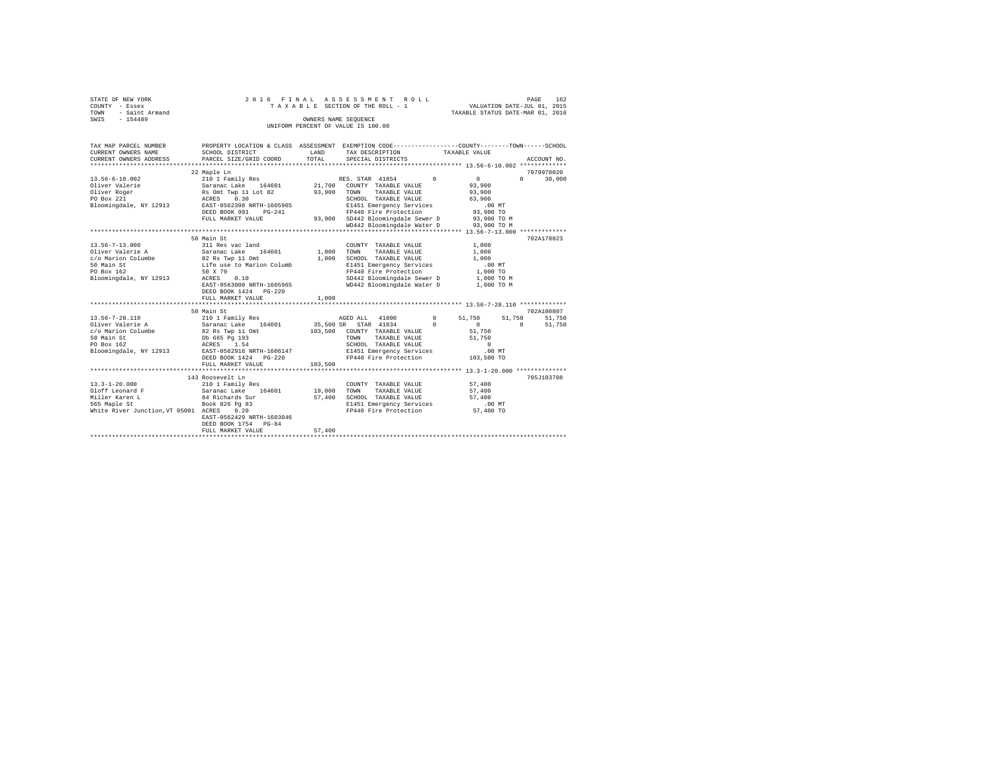| STATE OF NEW YORK   | 2016 FINAL ASSESSMENT ROLL         | 162<br>PAGE                      |
|---------------------|------------------------------------|----------------------------------|
| COUNTY - Essex      | TAXABLE SECTION OF THE ROLL - 1    | VALUATION DATE-JUL 01, 2015      |
| TOWN - Saint Armand |                                    | TAXABLE STATUS DATE-MAR 01, 2016 |
| SWIS<br>$-154489$   | OWNERS NAME SEOUENCE               |                                  |
|                     | UNIFORM PERCENT OF VALUE IS 100.00 |                                  |

| TAX MAP PARCEL NUMBER<br>CURRENT OWNERS NAME<br>CURRENT OWNERS ADDRESS                                                                                                                                                                                                                                 | PROPERTY LOCATION & CLASS ASSESSMENT EXEMPTION CODE----------------COUNTY-------TOWN------SCHOOL<br>SCHOOL DISTRICT<br>PARCEL SIZE/GRID COORD | LAND<br>TOTAL  | TAX DESCRIPTION<br>SPECIAL DISTRICTS                                                                                                                                                              | TAXABLE VALUE                                        |                      | ACCOUNT NO.          |
|--------------------------------------------------------------------------------------------------------------------------------------------------------------------------------------------------------------------------------------------------------------------------------------------------------|-----------------------------------------------------------------------------------------------------------------------------------------------|----------------|---------------------------------------------------------------------------------------------------------------------------------------------------------------------------------------------------|------------------------------------------------------|----------------------|----------------------|
|                                                                                                                                                                                                                                                                                                        |                                                                                                                                               |                |                                                                                                                                                                                                   |                                                      |                      |                      |
| $13.56 - 6 - 10.002$                                                                                                                                                                                                                                                                                   | 22 Maple Ln<br>210 1 Family Res                                                                                                               |                | RES. STAR 41854 0<br>21,700 COUNTY TAXABLE VALUE                                                                                                                                                  | 0<br>93,900                                          | $\Omega$             | 7079978020<br>30,000 |
| Bloomingdale, NY 12913                                                                                                                                                                                                                                                                                 | EAST-0562398 NRTH-1605965<br>DEED BOOK 991 PG-241                                                                                             | 93,900         | TOWN<br>TAXABLE VALUE<br>SCHOOL TAXABLE VALUE<br>E1451 Emergency Services<br>FP440 Fire Protection                                                                                                | 93,900<br>63,900<br>.00 MT<br>93,900 TO              |                      |                      |
|                                                                                                                                                                                                                                                                                                        | FULL MARKET VALUE                                                                                                                             |                | 93,900 SD442 Bloomingdale Sewer D 93,900 TO M<br>WD442 Bloomingdale Water D 93,900 TO M                                                                                                           |                                                      |                      |                      |
|                                                                                                                                                                                                                                                                                                        | 50 Main St                                                                                                                                    |                |                                                                                                                                                                                                   |                                                      |                      | 702A178023           |
| 13.56-7-13.000<br>Oliver Valerie A<br>Uliver valence of the control of the same of the same of the same of the same of the same of the same of the s<br>S0 Main St the same of the same of the same of the same of the same of the same of the same of the same of the<br>Bloomingdale, NY 12913 ACRES | 311 Res vac land<br>164601<br>0.10<br>EAST-0563000 NRTH-1605965<br>DEED BOOK 1424 PG-220                                                      | 1,000<br>1,000 | COUNTY TAXABLE VALUE<br>TOWN<br>TAXABLE VALUE<br>SCHOOL TAXABLE VALUE<br>E1451 Emergency Services<br>FP440 Fire Protection<br>SD442 Bloomingdale Sewer D 1,000 TO M<br>WD442 Bloomingdale Water D | 1,000<br>1,000<br>1,000<br>$.00$ MT<br>1,000 TO      | 1,000 TO M           |                      |
|                                                                                                                                                                                                                                                                                                        | FULL MARKET VALUE                                                                                                                             | 1,000          |                                                                                                                                                                                                   |                                                      |                      |                      |
|                                                                                                                                                                                                                                                                                                        | 50 Main St                                                                                                                                    |                |                                                                                                                                                                                                   |                                                      |                      | 702A100807           |
|                                                                                                                                                                                                                                                                                                        |                                                                                                                                               |                | AGED ALL 41800                                                                                                                                                                                    | $0 \qquad \qquad$<br>51,750                          | 51,750               | 51,750               |
| 50 Main St<br>PO Box 162<br>Bloomingdale, NY 12913 EAST-0562916 NRTH-1606147                                                                                                                                                                                                                           | Db 665 Pg 193<br>ACRES 1.54<br>DEED BOOK 1424 PG-220                                                                                          |                | 35,500 SR STAR 41834<br>103,500 COUNTY TAXABLE VALUE<br>TAXABLE VALUE<br>TOWN<br>SCHOOL TAXABLE VALUE<br>E1451 Emergency Services<br>FP440 Fire Protection 103,500 TO                             | $\Omega$<br>$\Omega$<br>51,750<br>51,750<br>$\sim$ 0 | $\Omega$<br>$.00$ MT | 51,750               |
|                                                                                                                                                                                                                                                                                                        | FULL MARKET VALUE                                                                                                                             | 103,500        |                                                                                                                                                                                                   |                                                      |                      |                      |
|                                                                                                                                                                                                                                                                                                        | 143 Roosevelt Ln                                                                                                                              |                |                                                                                                                                                                                                   |                                                      |                      | 705J103708           |
| $13.3 - 1 - 20.000$<br>Oloff Leonard F                          Saranac Lake     164601              19,000<br>Miller Karen L<br>565 Maple St<br>White River Junction, VT 05001 ACRES                                                                                                                  | 210 1 Family Res<br>84 Richards Sur<br>Book 826 Pg 83<br>0.20<br>EAST-0562429 NRTH-1603046                                                    | 57,400         | COUNTY TAXABLE VALUE<br>TOWN<br>TAXABLE VALUE<br>SCHOOL TAXABLE VALUE<br>E1451 Emergency Services<br>FP440 Fire Protection 57,400 TO                                                              | 57,400<br>57,400<br>57,400<br>$.00$ MT               |                      |                      |
|                                                                                                                                                                                                                                                                                                        | DEED BOOK 1754 PG-84<br>FULL MARKET VALUE                                                                                                     | 57,400         |                                                                                                                                                                                                   |                                                      |                      |                      |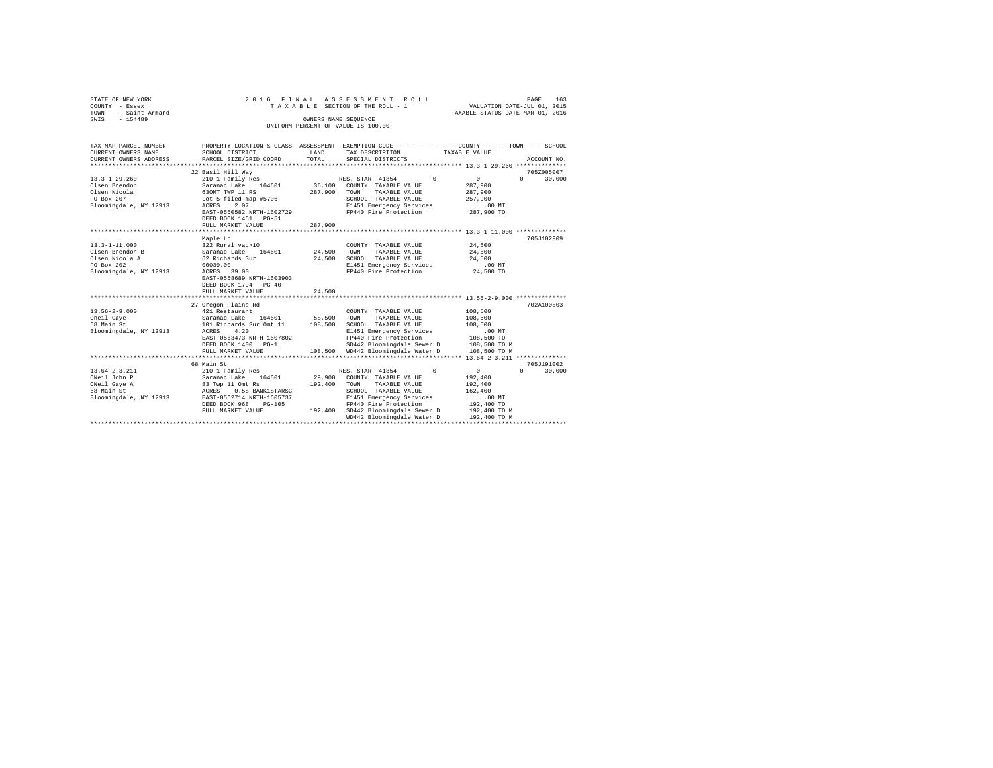| STATE OF NEW YORK                                    |                           |                      | 2016 FINAL ASSESSMENT ROLL                                                                      |                                  | PAGE<br>163        |
|------------------------------------------------------|---------------------------|----------------------|-------------------------------------------------------------------------------------------------|----------------------------------|--------------------|
| COUNTY - Essex                                       |                           |                      | TAXABLE SECTION OF THE ROLL - 1                                                                 | VALUATION DATE-JUL 01, 2015      |                    |
| - Saint Armand<br>TOWN                               |                           |                      |                                                                                                 | TAXABLE STATUS DATE-MAR 01, 2016 |                    |
| $-154489$<br>SWIS                                    |                           | OWNERS NAME SEOUENCE |                                                                                                 |                                  |                    |
|                                                      |                           |                      | UNIFORM PERCENT OF VALUE IS 100.00                                                              |                                  |                    |
|                                                      |                           |                      |                                                                                                 |                                  |                    |
|                                                      |                           |                      |                                                                                                 |                                  |                    |
| TAX MAP PARCEL NUMBER                                |                           |                      | PROPERTY LOCATION & CLASS ASSESSMENT EXEMPTION CODE---------------COUNTY-------TOWN------SCHOOL |                                  |                    |
| CURRENT OWNERS NAME                                  | SCHOOL DISTRICT           | LAND<br>TOTAL        | TAX DESCRIPTION                                                                                 | TAXABLE VALUE                    |                    |
| CURRENT OWNERS ADDRESS<br>************************** | PARCEL SIZE/GRID COORD    |                      | SPECIAL DISTRICTS                                                                               |                                  | ACCOUNT NO.        |
|                                                      | 22 Basil Hill Wav         |                      |                                                                                                 |                                  | 705Z005007         |
| $13.3 - 1 - 29.260$                                  | 210 1 Family Res          |                      | RES. STAR 41854<br>$\Omega$                                                                     | $\circ$                          | 30,000<br>$\Omega$ |
| Olsen Brendon                                        | Saranac Lake 164601       |                      | 36.100 COUNTY TAXABLE VALUE                                                                     | 287,900                          |                    |
| Olsen Nicola                                         | 630MT TWP 11 RS           | 287,900              | TAXABLE VALUE<br>TOWN                                                                           | 287,900                          |                    |
| PO Box 207                                           | Lot 5 filed map #5706     |                      | SCHOOL TAXABLE VALUE                                                                            | 257,900                          |                    |
| Bloomingdale, NY 12913                               | ACRES<br>2.07             |                      | E1451 Emergency Services                                                                        | $.00$ MT                         |                    |
|                                                      | EAST-0560582 NRTH-1602729 |                      | FP440 Fire Protection                                                                           | 287,900 TO                       |                    |
|                                                      | DEED BOOK 1451 PG-51      |                      |                                                                                                 |                                  |                    |
|                                                      | FULL MARKET VALUE         | 287,900              |                                                                                                 |                                  |                    |
|                                                      |                           |                      |                                                                                                 |                                  |                    |
|                                                      | Maple Ln                  |                      |                                                                                                 |                                  | 705J102909         |
| $13.3 - 1 - 11.000$                                  | 322 Rural vac>10          |                      | COUNTY TAXABLE VALUE                                                                            | 24,500                           |                    |
| Olsen Brendon B                                      | Saranac Lake 164601       | 24,500               | TAXABLE VALUE<br>TOWN                                                                           | 24,500                           |                    |
| Olsen Nicola A                                       | 62 Richards Sur           | 24,500               | SCHOOL TAXABLE VALUE                                                                            | 24,500                           |                    |
| PO Box 202                                           | 00039.00                  |                      | E1451 Emergency Services                                                                        | .00 MT                           |                    |
| Bloomingdale, NY 12913                               | ACRES 39.00               |                      | FP440 Fire Protection                                                                           | 24,500 TO                        |                    |
|                                                      | EAST-0558689 NRTH-1603903 |                      |                                                                                                 |                                  |                    |
|                                                      | DEED BOOK 1794 PG-40      |                      |                                                                                                 |                                  |                    |
|                                                      | FULL MARKET VALUE         | 24,500               |                                                                                                 |                                  |                    |
|                                                      |                           |                      |                                                                                                 |                                  |                    |
|                                                      | 27 Oregon Plains Rd       |                      |                                                                                                 |                                  | 702A100803         |
| $13.56 - 2 - 9.000$                                  | 421 Restaurant            |                      | COUNTY TAXABLE VALUE                                                                            | 108,500                          |                    |
| Oneil Gaye                                           | Saranac Lake 164601       | 58,500 TOWN          | TAXABLE VALUE                                                                                   | 108,500                          |                    |
| 68 Main St                                           | 101 Richards Sur Omt 11   | 108,500              | SCHOOL TAXABLE VALUE                                                                            | 108,500                          |                    |
| Bloomingdale, NY 12913                               | ACRES<br>4.20             |                      | E1451 Emergency Services                                                                        | $.00$ MT                         |                    |
|                                                      | EAST-0563473 NRTH-1607802 |                      | FP440 Fire Protection                                                                           | 108,500 TO                       |                    |
|                                                      | DEED BOOK 1400 PG-1       |                      | SD442 Bloomingdale Sewer D                                                                      | 108,500 TO M                     |                    |
|                                                      | FULL MARKET VALUE         |                      | 108,500 WD442 Bloomingdale Water D                                                              | 108,500 TO M                     |                    |
|                                                      |                           |                      |                                                                                                 |                                  |                    |
|                                                      | 68 Main St                |                      |                                                                                                 |                                  | 705J191002         |
| $13.64 - 2 - 3.211$                                  | 210 1 Family Res          |                      | RES. STAR 41854<br>$^{\circ}$                                                                   | $\circ$                          | $\Omega$<br>30,000 |
| ONeil John P                                         | Saranac Lake 164601       | 29,900               | COUNTY TAXABLE VALUE                                                                            | 192,400                          |                    |
| ONeil Gaye A                                         | 83 Twp 11 Omt Rs          | 192,400              | TAXABLE VALUE<br>TOWN                                                                           | 192,400                          |                    |
| 68 Main St                                           | 0.58 BANK1STARSG<br>ACRES |                      | SCHOOL TAXABLE VALUE                                                                            | 162,400                          |                    |
| Bloomingdale, NY 12913                               | EAST-0562714 NRTH-1605737 |                      | E1451 Emergency Services                                                                        | .00MT                            |                    |
|                                                      | DEED BOOK 968<br>$PG-105$ |                      | FP440 Fire Protection                                                                           | 192,400 TO                       |                    |
|                                                      | FULL MARKET VALUE         |                      | 192,400 SD442 Bloomingdale Sewer D                                                              | 192,400 TO M                     |                    |
|                                                      |                           |                      | WD442 Bloomingdale Water D                                                                      | 192,400 TO M                     |                    |
|                                                      |                           |                      |                                                                                                 |                                  |                    |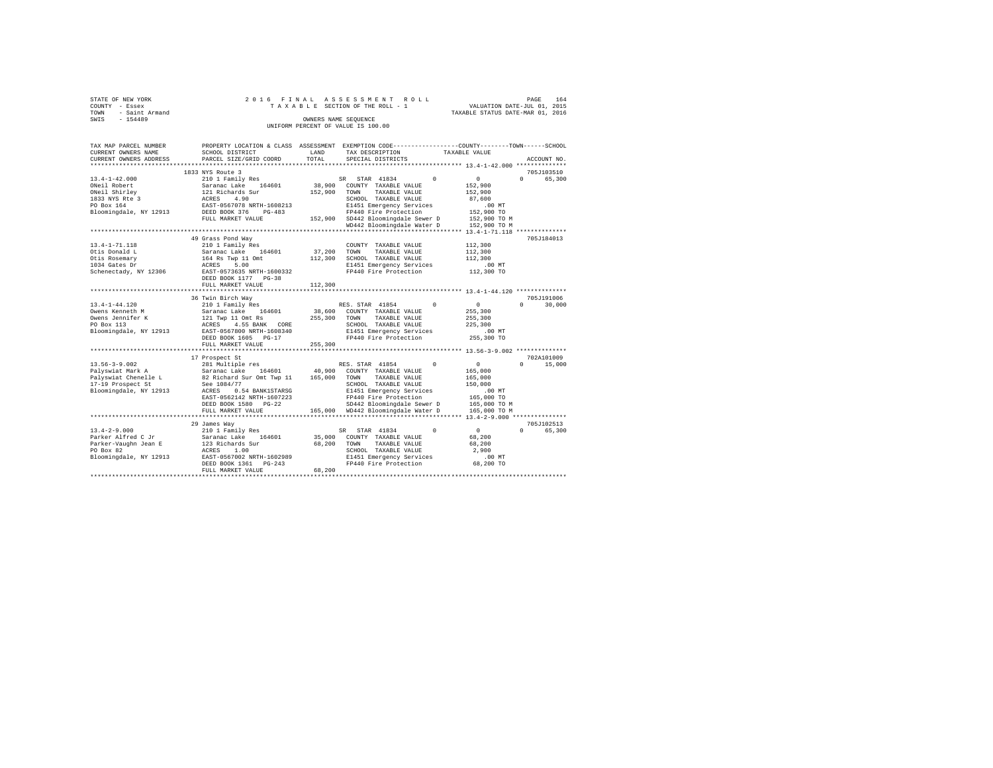| STATE OF NEW YORK   |  | 2016 FINAL ASSESSMENT ROLL         |                                  | PAGE                        | 164 |
|---------------------|--|------------------------------------|----------------------------------|-----------------------------|-----|
| COUNTY - Essex      |  | TAXABLE SECTION OF THE ROLL - 1    |                                  | VALUATION DATE-JUL 01, 2015 |     |
| TOWN - Saint Armand |  |                                    | TAXABLE STATUS DATE-MAR 01, 2016 |                             |     |
| SWTS<br>$-154489$   |  | OWNERS NAME SEOUENCE               |                                  |                             |     |
|                     |  | UNIFORM PERCENT OF VALUE IS 100.00 |                                  |                             |     |

| TAX MAP PARCEL NUMBER        |                                                                                                                                                                                                                                            |              | PROPERTY LOCATION & CLASS ASSESSMENT EXEMPTION CODE----------------COUNTY-------TOWN------SCHOOL |                                    |
|------------------------------|--------------------------------------------------------------------------------------------------------------------------------------------------------------------------------------------------------------------------------------------|--------------|--------------------------------------------------------------------------------------------------|------------------------------------|
| CURRENT OWNERS NAME          | SCHOOL DISTRICT                                                                                                                                                                                                                            | LAND         | TAX DESCRIPTION                                                                                  | TAXABLE VALUE                      |
| CURRENT OWNERS ADDRESS       | PARCEL SIZE/GRID COORD                                                                                                                                                                                                                     | TOTAL        | SPECIAL DISTRICTS                                                                                | ACCOUNT NO.                        |
|                              |                                                                                                                                                                                                                                            |              |                                                                                                  |                                    |
|                              | 1833 NYS Route 3                                                                                                                                                                                                                           |              |                                                                                                  | 705J103510                         |
| $13.4 - 1 - 42.000$          | 210 1 Family Res                                                                                                                                                                                                                           |              | SR STAR 41834<br>$^{\circ}$                                                                      | 0<br>$\Omega$<br>65,300            |
|                              | 13.4-1-42.000<br>2011 External Saranac Lake 164601<br>2013 NYS Ree 3 121 Richards Sur<br>1833 NYS Ree 3 212 Richards Sur<br>202 Box 164<br>202 Bloomingdale, NY 12913 22557-0567078 RTH-1608213<br>202 Bloomingdale, NY 12913 22525 BOOK 3 |              | 38,900 COUNTY TAXABLE VALUE                                                                      | 152,900                            |
|                              |                                                                                                                                                                                                                                            | 152,900      | TOWN<br>TAXABLE VALUE                                                                            | 152,900                            |
|                              |                                                                                                                                                                                                                                            |              | SCHOOL TAXABLE VALUE                                                                             | 87,600                             |
|                              |                                                                                                                                                                                                                                            |              | E1451 Emergency Services                                                                         | $.00$ MT                           |
|                              |                                                                                                                                                                                                                                            |              | FP440 Fire Protection                                                                            | 152,900 TO                         |
|                              | FULL MARKET VALUE                                                                                                                                                                                                                          |              | 152,900 SD442 Bloomingdale Sewer D                                                               | 152,900 TO M                       |
|                              |                                                                                                                                                                                                                                            |              | WD442 Bloomingdale Water D                                                                       | 152,900 TO M                       |
|                              |                                                                                                                                                                                                                                            |              |                                                                                                  |                                    |
|                              | 49 Grass Pond Way                                                                                                                                                                                                                          |              |                                                                                                  | 705J184013                         |
| 13.4-1-71.118                | 210 1 Family Res                                                                                                                                                                                                                           |              | COUNTY TAXABLE VALUE                                                                             | 112,300                            |
| Otis Donald L                |                                                                                                                                                                                                                                            | 37,200       | TOWN<br>TAXABLE VALUE                                                                            | 112,300                            |
| Otis Rosemary                |                                                                                                                                                                                                                                            |              | 112,300 SCHOOL TAXABLE VALUE                                                                     | 112,300                            |
| 1034 Gates Dr                |                                                                                                                                                                                                                                            |              | E1451 Emergency Services                                                                         |                                    |
| Schenectady, NY 12306        | Saranac Lake 164601<br>164 Rs Twp 11 Omt<br>ACRES 5.00<br>EAST-0573635 NRTH-1600332                                                                                                                                                        |              | FP440 Fire Protection                                                                            | 00 MT.<br>112,300 TO               |
|                              | DEED BOOK 1177 PG-38                                                                                                                                                                                                                       |              |                                                                                                  |                                    |
|                              | FULL MARKET VALUE                                                                                                                                                                                                                          | 112,300      |                                                                                                  |                                    |
|                              |                                                                                                                                                                                                                                            |              |                                                                                                  |                                    |
|                              | 36 Twin Birch Way                                                                                                                                                                                                                          |              |                                                                                                  | 705J191006                         |
| 13.4-1-44.120                | 210 1 Family Res                                                                                                                                                                                                                           |              | $^{\circ}$<br>RES. STAR 41854                                                                    | $\sim$ 0<br>30,000<br>$\mathbf{r}$ |
| Owens Kenneth M              | Saranac Lake 164601                                                                                                                                                                                                                        |              | 38,600 COUNTY TAXABLE VALUE                                                                      | 255,300                            |
| Owens Jennifer K             |                                                                                                                                                                                                                                            | 255,300 TOWN | TAXABLE VALUE                                                                                    | 255,300                            |
| PO Box 113                   | 4.55 BANK CORE                                                                                                                                                                                                                             |              | SCHOOL TAXABLE VALUE                                                                             | 225,300                            |
| Bloomingdale, NY 12913       | 121 Twp 11 Omt Rs<br>ACRES 4.55 BANK CORE<br>EAST-0567800 NRTH-1608340                                                                                                                                                                     |              | E1451 Emergency Services                                                                         | $.00$ MT                           |
|                              | DEED BOOK 1605 PG-17                                                                                                                                                                                                                       |              | FP440 Fire Protection                                                                            | 255,300 TO                         |
|                              | FULL MARKET VALUE                                                                                                                                                                                                                          | 255,300      |                                                                                                  |                                    |
|                              | ************************                                                                                                                                                                                                                   |              | ********************************** 13.56-3-9.002 **************                                  |                                    |
|                              | 17 Prospect St                                                                                                                                                                                                                             |              |                                                                                                  | 702A101009                         |
| $13.56 - 3 - 9.002$          |                                                                                                                                                                                                                                            |              | $\Omega$<br>RES. STAR 41854                                                                      | $\sim$ 0<br>$\Omega$<br>15,000     |
| Palyswiat Mark A             | 281 Multiple res<br>Saranac Lake 1<br>164601                                                                                                                                                                                               |              | 40,900 COUNTY TAXABLE VALUE                                                                      | 165,000                            |
|                              |                                                                                                                                                                                                                                            |              |                                                                                                  | 165,000                            |
|                              | raiyswiat main a matter of the state of the Ballong Palyswiat Chenelle L<br>Palyswiat Chenelle L B2 Richard Sur Omt Twp 11 165,000 TOWN TAXABLE VALUE                                                                                      |              |                                                                                                  | 150,000                            |
| Bloomingdale, NY 12913 ACRES | 0.54 BANK1STARSG                                                                                                                                                                                                                           |              | E1451 Emergency Services                                                                         | $.00$ MT                           |
|                              | EAST-0562142 NRTH-1607223                                                                                                                                                                                                                  |              | FP440 Fire Protection                                                                            | 165,000 TO                         |
|                              | DEED BOOK 1580 PG-22                                                                                                                                                                                                                       |              | SD442 Bloomingdale Sewer D                                                                       | 165,000 TO M                       |
|                              | FULL MARKET VALUE                                                                                                                                                                                                                          |              | 165,000 WD442 Bloomingdale Water D                                                               | 165,000 TO M                       |
|                              |                                                                                                                                                                                                                                            |              |                                                                                                  |                                    |
|                              | 29 James Way                                                                                                                                                                                                                               |              |                                                                                                  | 705J102513                         |
| $13.4 - 2 - 9.000$           | 210 1 Family Res                                                                                                                                                                                                                           |              | $\Omega$<br>SR STAR 41834                                                                        | $\sim$ 0<br>$\Omega$<br>65,300     |
| Parker Alfred C Jr           | Saranac Lake 164601                                                                                                                                                                                                                        |              | 35,000 COUNTY TAXABLE VALUE                                                                      | 68,200                             |
| Parker-Vaughn Jean E         |                                                                                                                                                                                                                                            | 68,200 TOWN  | TAXABLE VALUE                                                                                    | 68,200                             |
| PO Box 82                    | 123 Richards Sur<br>ACRES 1.00<br>EAST-0567002 NRTH-1602989                                                                                                                                                                                |              | SCHOOL TAXABLE VALUE                                                                             | 2,900                              |
| Bloomingdale, NY 12913       |                                                                                                                                                                                                                                            |              |                                                                                                  | $.00$ MT                           |
|                              | DEED BOOK 1361 PG-243                                                                                                                                                                                                                      |              | E1451 Emergency Services<br>FP440 Fire Protection                                                | 68,200 TO                          |
|                              | FULL MARKET VALUE                                                                                                                                                                                                                          | 68,200       |                                                                                                  |                                    |
|                              |                                                                                                                                                                                                                                            |              |                                                                                                  |                                    |
|                              |                                                                                                                                                                                                                                            |              |                                                                                                  |                                    |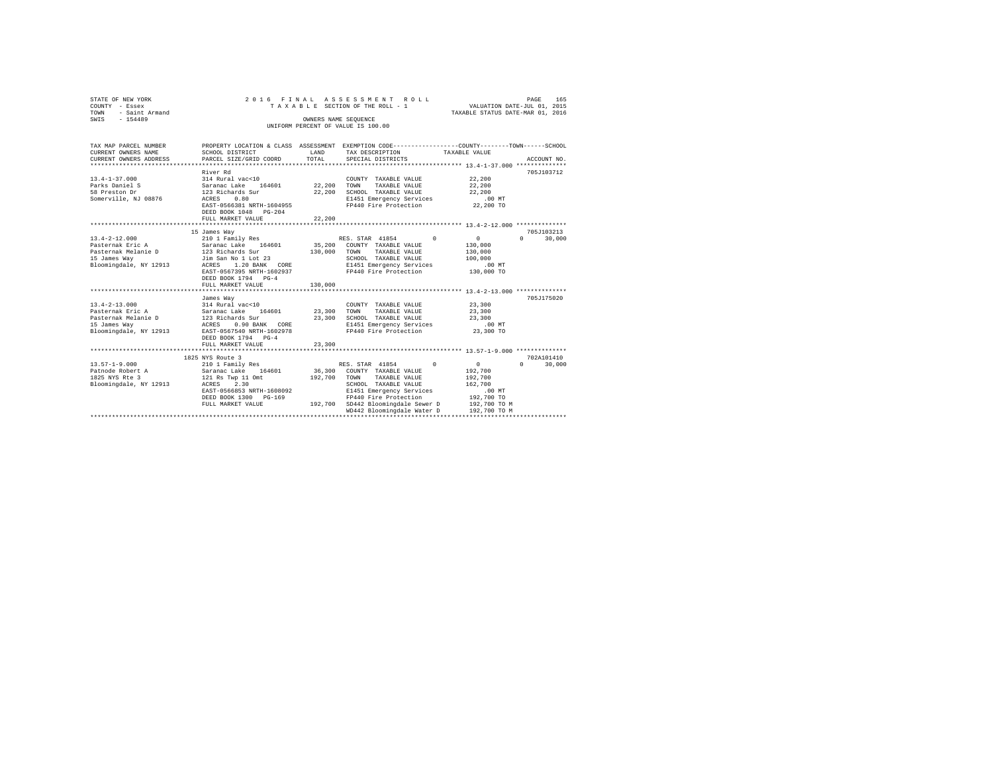| STATE OF NEW YORK<br>COUNTY - Essex<br><b>TOWN</b><br>- Saint Armand<br>SWIS - 154489                                                                                                                                                                                                                                                                                                                                                                                                   | 2016 FINAL                                                                                                                                                                                         |               | ASSESSMENT ROLL<br>TAXABLE SECTION OF THE ROLL - 1<br>OWNERS NAME SEQUENCE<br>UNIFORM PERCENT OF VALUE IS 100.00                                                                                                                            | PAGE 165<br>VALUATION DATE-JUL 01, 2015<br>TAXABLE STATUS DATE-MAR 01, 2016                         |                                               |
|-----------------------------------------------------------------------------------------------------------------------------------------------------------------------------------------------------------------------------------------------------------------------------------------------------------------------------------------------------------------------------------------------------------------------------------------------------------------------------------------|----------------------------------------------------------------------------------------------------------------------------------------------------------------------------------------------------|---------------|---------------------------------------------------------------------------------------------------------------------------------------------------------------------------------------------------------------------------------------------|-----------------------------------------------------------------------------------------------------|-----------------------------------------------|
| TAX MAP PARCEL NUMBER<br>CURRENT OWNERS NAME<br>CURRENT OWNERS ADDRESS                                                                                                                                                                                                                                                                                                                                                                                                                  | PROPERTY LOCATION & CLASS ASSESSMENT EXEMPTION CODE---------------COUNTY-------TOWN------SCHOOL<br>SCHOOL DISTRICT<br>PARCEL SIZE/GRID COORD                                                       | LAND<br>TOTAL | TAX DESCRIPTION<br>SPECIAL DISTRICTS                                                                                                                                                                                                        | TAXABLE VALUE                                                                                       | ACCOUNT NO.                                   |
| $13.4 - 1 - 37.000$<br>Parks Daniel S<br>58 Preston Dr<br>Somerville, NJ 08876                                                                                                                                                                                                                                                                                                                                                                                                          | River Rd<br>1.1-<br>214 Rural vac<10<br>Saranac Lake 164601 22,200 TOWN<br>123 Richards Sur 22,200 SCHOOR<br>ACRES 0.80<br>EAST-0566381 NRTH-1604955<br>DEED BOOK 1048 PG-204<br>FULL MARKET VALUE | 22,200        | COUNTY TAXABLE VALUE<br>TAXABLE VALUE<br>22,200 SCHOOL TAXABLE VALUE<br>E1451 Emergency Services<br>FP440 Fire Protection 22,200 TO                                                                                                         | 22,200<br>22,200<br>22,200<br>$.00$ MT                                                              | 705J103712                                    |
|                                                                                                                                                                                                                                                                                                                                                                                                                                                                                         |                                                                                                                                                                                                    |               |                                                                                                                                                                                                                                             |                                                                                                     |                                               |
| $13.4 - 2 - 12.000$<br>$\begin{tabular}{lcccccc} \textbf{Pasternak Eric A} & \textbf{Saranac Lake} & 164601 & 35,200 & \textbf{COUNTY} & \textbf{TAXABLE VALUE} \\ \textbf{Pasternak Melanie D} & 123 & \textbf{Richardis Sur} & 130,000 & \textbf{TQNNN} & \textbf{TAXABLE VALUE} \\ \textbf{15 James Way} & J.30 & J.51 & 201 & 23 & 25000 & \textbf{TAXABLE VALUE} \\ \textbf{16}{\footnotesize \texttt{BIoomingdale, NY 12913}} & \textbf{ACRES} & 1.20 & \textbf{BANK} & \textbf{$ | 15 James Way<br>210 1 Family Res<br>EAST-0567395 NRTH-1602937 PP440 Fire Protection<br>DEED BOOK 1794 PG-4<br>FULL MARKET VALUE                                                                    | 130,000       | RES. STAR 41854 0                                                                                                                                                                                                                           | $\sim$ 0<br>130,000<br>130,000<br>100,000<br>$.00$ MT<br>130,000 TO                                 | 705J103213<br>$0 \t30,000$                    |
| Bloomingdale, NY 12913 EAST-0567540 NRTH-1602978                                                                                                                                                                                                                                                                                                                                                                                                                                        | James Way<br>DEED BOOK 1794 PG-4                                                                                                                                                                   |               | FP440 Fire Protection 23,300 TO                                                                                                                                                                                                             | 23,300<br>23,300<br>23,300<br>$.00$ MT                                                              | 705J175020                                    |
|                                                                                                                                                                                                                                                                                                                                                                                                                                                                                         | FULL MARKET VALUE                                                                                                                                                                                  | 23,300        |                                                                                                                                                                                                                                             |                                                                                                     |                                               |
| $13.57 - 1 - 9.000$<br>Patnode Robert A<br>1825 NYS Rte 3<br>Bloomingdale, NY 12913 ACRES                                                                                                                                                                                                                                                                                                                                                                                               | 1825 NYS Route 3<br>210 1 Family Res<br>Saranac Lake 164601<br>121 Rs Twp 11 Omt<br>2.30<br>EAST-0566853 NRTH-1608092<br>DEED BOOK 1300 PG-169<br>FULL MARKET VALUE                                |               | RES. STAR 41854<br>$^{\circ}$<br>36,300 COUNTY TAXABLE VALUE<br>192,700 TOWN TAXABLE VALUE<br>SCHOOL TAXABLE VALUE<br>E1451 Emergency Services<br>FP440 Fire Protection<br>192,700 SD442 Bloomingdale Sewer D<br>WD442 Bloomingdale Water D | $\sim$ 0<br>192,700<br>192,700<br>162,700<br>$.00$ MT<br>192,700 TO<br>192,700 TO M<br>192,700 TO M | 702A101410<br>$\Omega$ and $\Omega$<br>30,000 |
|                                                                                                                                                                                                                                                                                                                                                                                                                                                                                         |                                                                                                                                                                                                    |               |                                                                                                                                                                                                                                             |                                                                                                     |                                               |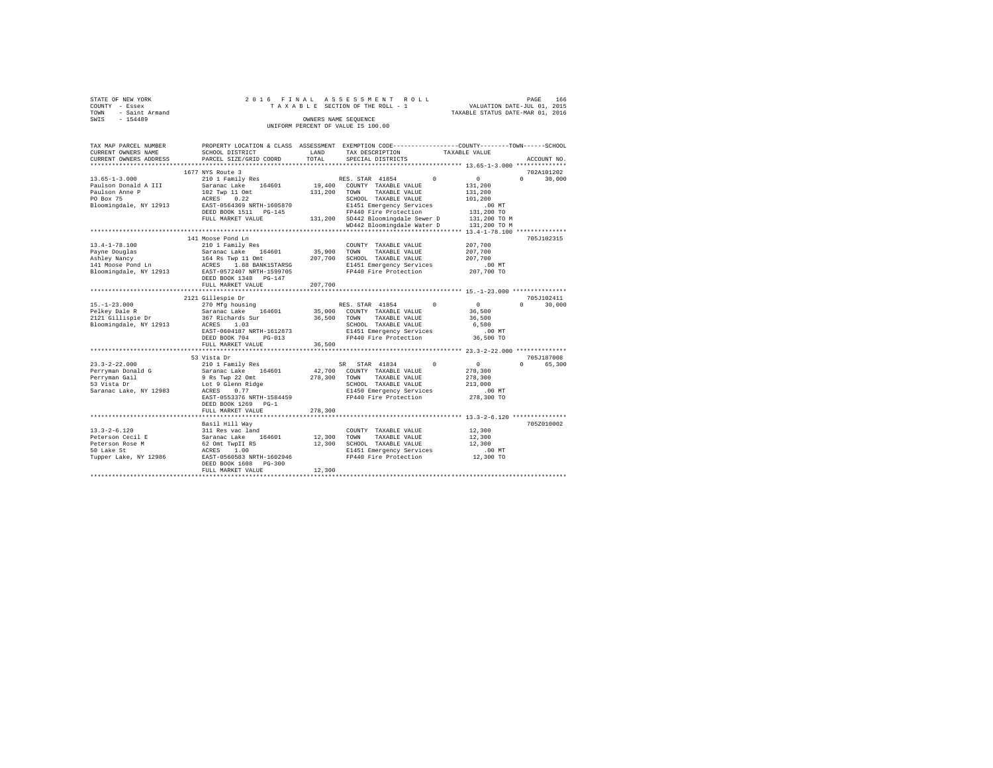| STATE OF NEW YORK             | 2016 FINAL                |         | ASSESSMENT ROLL                                                                                 | PAGE                               | 166 |
|-------------------------------|---------------------------|---------|-------------------------------------------------------------------------------------------------|------------------------------------|-----|
| COUNTY - Essex                |                           |         | TAXABLE SECTION OF THE ROLL - 1                                                                 | VALUATION DATE-JUL 01, 2015        |     |
| TOWN<br>- Saint Armand        |                           |         |                                                                                                 | TAXABLE STATUS DATE-MAR 01, 2016   |     |
| $-154489$<br>SWIS             |                           |         | OWNERS NAME SEQUENCE                                                                            |                                    |     |
|                               |                           |         | UNIFORM PERCENT OF VALUE IS 100.00                                                              |                                    |     |
|                               |                           |         |                                                                                                 |                                    |     |
|                               |                           |         |                                                                                                 |                                    |     |
| TAX MAP PARCEL NUMBER         |                           |         | PROPERTY LOCATION & CLASS ASSESSMENT EXEMPTION CODE---------------COUNTY-------TOWN------SCHOOL |                                    |     |
| CURRENT OWNERS NAME           | SCHOOL DISTRICT           | LAND    | TAX DESCRIPTION                                                                                 | TAXABLE VALUE                      |     |
| CURRENT OWNERS ADDRESS        | PARCEL SIZE/GRID COORD    | TOTAL   | SPECIAL DISTRICTS                                                                               | ACCOUNT NO.                        |     |
| **************************    |                           |         |                                                                                                 |                                    |     |
|                               | 1677 NYS Route 3          |         |                                                                                                 | 702A101202                         |     |
| $13.65 - 1 - 3.000$           | 210 1 Family Res          |         | $\Omega$<br>RES. STAR 41854                                                                     | 0<br>$\cap$<br>30,000              |     |
| Paulson Donald A III          | Saranac Lake 164601       |         | 19,400 COUNTY TAXABLE VALUE                                                                     | 131,200                            |     |
|                               | 102 Twp 11 Omt            |         | 131,200 TOWN TAXABLE VALUE                                                                      | 131,200                            |     |
| Paulson Anne P<br>PO Box 75   | ACRES 0.22                |         | SCHOOL TAXABLE VALUE                                                                            | 101,200                            |     |
| Bloomingdale, NY 12913        | EAST-0564369 NRTH-1605870 |         | E1451 Emergency Services                                                                        | $.00$ MT                           |     |
|                               | DEED BOOK 1511 PG-145     |         | FP440 Fire Protection                                                                           | 131,200 TO                         |     |
|                               | FULL MARKET VALUE         |         | 131,200 SD442 Bloomingdale Sewer D                                                              | 131,200 TO M                       |     |
|                               |                           |         | WD442 Bloomingdale Water D                                                                      | 131,200 TO M                       |     |
|                               |                           |         |                                                                                                 |                                    |     |
|                               | 141 Moose Pond Ln         |         |                                                                                                 | 705J102315                         |     |
| $13.4 - 1 - 78.100$           | 210 1 Family Res          |         | COUNTY TAXABLE VALUE                                                                            | 207,700                            |     |
|                               | Saranac Lake 164601       | 35,900  | TOWN<br>TAXABLE VALUE                                                                           | 207,700                            |     |
| Payne Douglas<br>Ashley Nancy | 164 Rs Twp 11 Omt         |         | 207,700 SCHOOL TAXABLE VALUE                                                                    | 207,700                            |     |
| 141 Moose Pond Ln             | ACRES 1.88 BANK1STARSG    |         | E1451 Emergency Services                                                                        | $.00$ MT                           |     |
| Bloomingdale, NY 12913        | EAST-0572407 NRTH-1599705 |         | FP440 Fire Protection                                                                           | 207,700 TO                         |     |
|                               | DEED BOOK 1348 PG-147     |         |                                                                                                 |                                    |     |
|                               | FULL MARKET VALUE         | 207,700 |                                                                                                 |                                    |     |
|                               |                           |         |                                                                                                 |                                    |     |
|                               | 2121 Gillespie Dr         |         |                                                                                                 | 705J102411                         |     |
| $15. - 1 - 23.000$            | 270 Mfg housing           |         | RES. STAR 41854<br>$^{\circ}$                                                                   | $\sim$ 0<br>$\Omega$<br>30,000     |     |
| Pelkey Dale R                 | Saranac Lake 164601       |         | 35,000 COUNTY TAXABLE VALUE                                                                     | 36,500                             |     |
| 2121 Gillispie Dr             | 367 Richards Sur          | 36,500  | TOWN<br>TAXABLE VALUE                                                                           | 36,500                             |     |
| Bloomingdale, NY 12913        | ACRES 1.03                |         | SCHOOL TAXABLE VALUE                                                                            | 6,500                              |     |
|                               | EAST-0604187 NRTH-1612873 |         | E1451 Emergency Services                                                                        | $.00$ MT                           |     |
|                               | DEED BOOK 704 PG-013      |         | FP440 Fire Protection                                                                           | 36,500 TO                          |     |
|                               | FULL MARKET VALUE         | 36,500  |                                                                                                 |                                    |     |
|                               |                           |         |                                                                                                 |                                    |     |
|                               | 53 Vista Dr               |         |                                                                                                 | 705J187008                         |     |
| $23.3 - 2 - 22.000$           | 210 1 Family Res          |         | SR STAR 41834<br>$^{\circ}$                                                                     | $\mathbf{0}$<br>$\Omega$<br>65,300 |     |
| Perryman Donald G             | Saranac Lake 164601       |         | 42,700 COUNTY TAXABLE VALUE                                                                     | 278,300                            |     |
|                               | 9 Rs Twp 22 Omt           | 278,300 | TOWN<br>TAXABLE VALUE                                                                           | 278,300                            |     |
| Perryman Gail<br>53 Vista Dr  | Lot 9 Glenn Ridge         |         | SCHOOL TAXABLE VALUE                                                                            | 213,000                            |     |
| Saranac Lake, NY 12983        | ACRES 0.77                |         | E1450 Emergency Services                                                                        | .00 MT                             |     |
|                               | EAST-0553376 NRTH-1584459 |         | FP440 Fire Protection                                                                           | 278,300 TO                         |     |
|                               | DEED BOOK 1269 PG-1       |         |                                                                                                 |                                    |     |
|                               | FULL MARKET VALUE         | 278,300 |                                                                                                 |                                    |     |
|                               |                           |         |                                                                                                 |                                    |     |
|                               | Basil Hill Way            |         |                                                                                                 | 705Z010002                         |     |
| $13.3 - 2 - 6.120$            | 311 Res vac land          |         | COUNTY TAXABLE VALUE                                                                            | 12,300                             |     |
| Peterson Cecil E              | Saranac Lake 164601       | 12,300  | TOWN<br>TAXABLE VALUE                                                                           | 12,300                             |     |
| Peterson Rose M               | 62 Omt TwpII RS           |         | 12,300 SCHOOL TAXABLE VALUE                                                                     | 12,300                             |     |
| 50 Lake St                    | ACRES 1.00                |         | E1451 Emergency Services                                                                        | $.00$ MT                           |     |
| Tupper Lake, NY 12986         | EAST-0560583 NRTH-1602946 |         | FP440 Fire Protection                                                                           | 12,300 TO                          |     |
|                               | DEED BOOK 1608 PG-300     |         |                                                                                                 |                                    |     |
|                               | FULL MARKET VALUE         | 12,300  |                                                                                                 |                                    |     |
|                               |                           |         |                                                                                                 |                                    |     |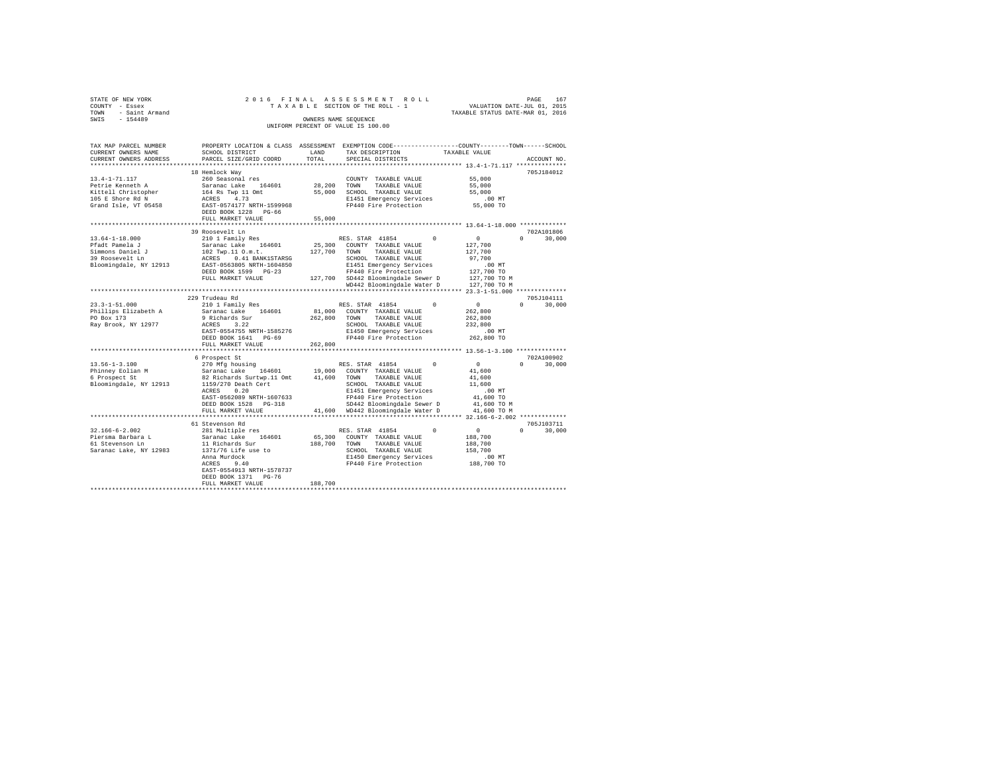| STATE OF NEW YORK<br>COUNTY - Essex<br>TOWN - Saint Armand<br>SWIS - 154489                                                                                                                                                                                                                                                                                                                                                                                          |                                           |         | OWNERS NAME SEQUENCE<br>UNIFORM PERCENT OF VALUE IS 100.00                                       |                             |
|----------------------------------------------------------------------------------------------------------------------------------------------------------------------------------------------------------------------------------------------------------------------------------------------------------------------------------------------------------------------------------------------------------------------------------------------------------------------|-------------------------------------------|---------|--------------------------------------------------------------------------------------------------|-----------------------------|
| TAX MAP PARCEL NUMBER                                                                                                                                                                                                                                                                                                                                                                                                                                                |                                           |         | PROPERTY LOCATION & CLASS ASSESSMENT EXEMPTION CODE----------------COUNTY-------TOWN------SCHOOL | ACCOUNT NO.                 |
|                                                                                                                                                                                                                                                                                                                                                                                                                                                                      | FULL MARKET VALUE                         | 55,000  |                                                                                                  | 705J184012                  |
|                                                                                                                                                                                                                                                                                                                                                                                                                                                                      |                                           |         |                                                                                                  |                             |
| $\begin{tabular}{cccccc} 13.64-1-18.000 & 39 {\textcolor{red}{\text{ROS}}\xspace} & 38 {\textcolor{red}{\text{ROS}}\xspace} & 38 {\textcolor{red}{\text{ROS}}\xspace} & 38 {\textcolor{red}{\text{ROS}}\xspace} & 38 {\textcolor{red}{\text{ROS}}\xspace} & 38 {\textcolor{red}{\text{ROS}}\xspace} & 38 {\textcolor{red}{\text{ROS}}\xspace} & 38 {\textcolor{red}{\text{ROS}}\xspace} & 38 {\textcolor{red}{\text{ROS}}\xspace} & 38 {\textcolor{red}{\text{ROS}}$ | 39 Roosevelt Ln                           |         |                                                                                                  | 702A101806<br>$0 \t 30,000$ |
|                                                                                                                                                                                                                                                                                                                                                                                                                                                                      |                                           |         |                                                                                                  |                             |
|                                                                                                                                                                                                                                                                                                                                                                                                                                                                      |                                           |         |                                                                                                  | 705J104111                  |
|                                                                                                                                                                                                                                                                                                                                                                                                                                                                      |                                           |         |                                                                                                  | $0 \t 30.000$               |
|                                                                                                                                                                                                                                                                                                                                                                                                                                                                      |                                           |         |                                                                                                  |                             |
|                                                                                                                                                                                                                                                                                                                                                                                                                                                                      |                                           |         |                                                                                                  | 702A100902<br>$0 \t 30.000$ |
|                                                                                                                                                                                                                                                                                                                                                                                                                                                                      |                                           |         |                                                                                                  |                             |
|                                                                                                                                                                                                                                                                                                                                                                                                                                                                      | DEED BOOK 1371 PG-76<br>FULL MARKET VALUE | 188,700 |                                                                                                  |                             |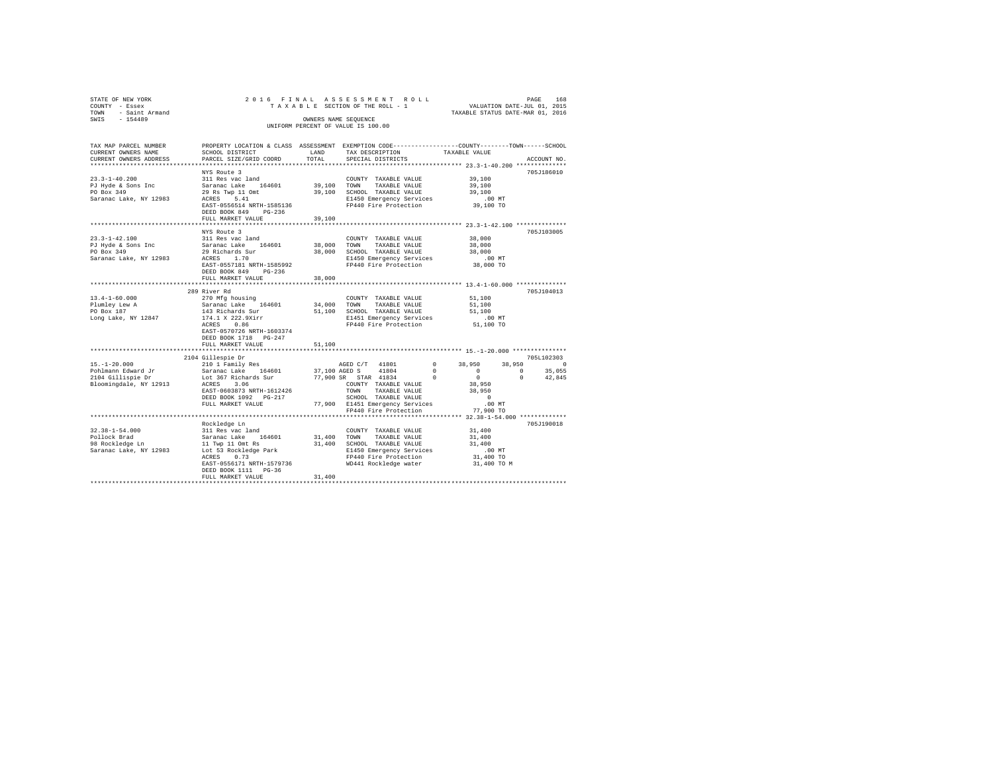| STATE OF NEW YORK                 |                                                                                                |        | 2016 PAGE 168 בESS MENT ROLL PAGE 168 PAGE 168 PAGE 168 PAGE 2016 PAGE 2016 PAGE 2016 PAGE 2016 PAGE 2016 PAGE<br>TAXABLE SECTION OF THE ROLL - 1 TAXABLE STATUS DATE-MAR 01, 2016 |                        |                          |
|-----------------------------------|------------------------------------------------------------------------------------------------|--------|------------------------------------------------------------------------------------------------------------------------------------------------------------------------------------|------------------------|--------------------------|
| COUNTY - Essex                    |                                                                                                |        |                                                                                                                                                                                    |                        |                          |
| TOWN - Saint Armand               |                                                                                                |        |                                                                                                                                                                                    |                        |                          |
| SWIS - 154489                     |                                                                                                |        | OWNERS NAME SEQUENCE                                                                                                                                                               |                        |                          |
|                                   |                                                                                                |        | UNIFORM PERCENT OF VALUE IS 100.00                                                                                                                                                 |                        |                          |
|                                   |                                                                                                |        |                                                                                                                                                                                    |                        |                          |
| TAX MAP PARCEL NUMBER             | PROPERTY LOCATION & CLASS ASSESSMENT EXEMPTION CODE---------------COUNTY-------TOWN-----SCHOOL |        |                                                                                                                                                                                    |                        |                          |
| CURRENT OWNERS NAME               | SCHOOL DISTRICT                                                                                | LAND   | TAX DESCRIPTION                                                                                                                                                                    | TAXABLE VALUE          |                          |
| CURRENT OWNERS ADDRESS            | PARCEL SIZE/GRID COORD                                                                         | TOTAL  | SPECIAL DISTRICTS                                                                                                                                                                  |                        | ACCOUNT NO.              |
|                                   |                                                                                                |        |                                                                                                                                                                                    |                        |                          |
|                                   | NYS Route 3                                                                                    |        |                                                                                                                                                                                    |                        | 705J186010               |
| $23.3 - 1 - 40.200$               | 311 Res vac land                                                                               |        | COUNTY TAXABLE VALUE                                                                                                                                                               | 39,100                 |                          |
| PJ Hyde & Sons Inc                | Saranac Lake 164601                                                                            |        | 39,100 TOWN TAXABLE VALUE                                                                                                                                                          | 39,100                 |                          |
| PO Box 349                        | 29 Rs Twp 11 Omt<br>ACRES 5.41                                                                 |        | 39,100 SCHOOL TAXABLE VALUE                                                                                                                                                        | 39,100                 |                          |
| Saranac Lake, NY 12983            |                                                                                                |        | E1450 Emergency Services                                                                                                                                                           | .00MT                  |                          |
|                                   | EAST-0556514 NRTH-1585136                                                                      |        | FP440 Fire Protection                                                                                                                                                              | 39,100 TO              |                          |
|                                   | DEED BOOK 849 PG-236                                                                           |        |                                                                                                                                                                                    |                        |                          |
|                                   | FULL MARKET VALUE                                                                              | 39,100 |                                                                                                                                                                                    |                        |                          |
|                                   |                                                                                                |        |                                                                                                                                                                                    |                        |                          |
|                                   | NYS Route 3                                                                                    |        |                                                                                                                                                                                    |                        | 705J103005               |
| $23.3 - 1 - 42.100$               | 311 Res vac land<br>Saranac Lake 164601                                                        |        | COUNTY TAXABLE VALUE                                                                                                                                                               | 38,000<br>38,000       |                          |
| PJ Hyde & Sons Inc                |                                                                                                |        | 38,000 TOWN TAXABLE VALUE                                                                                                                                                          |                        |                          |
| PO Box 349                        | 29 Richards Sur                                                                                |        | 38,000 SCHOOL TAXABLE VALUE                                                                                                                                                        | 38,000                 |                          |
| Saranac Lake, NY 12983            | ACRES 1.70<br>EAST-0557181 NRTH-1585992                                                        |        | E1450 Emergency Services<br>FP440 Fire Protection                                                                                                                                  | $.00$ MT<br>38,000 TO  |                          |
|                                   |                                                                                                |        |                                                                                                                                                                                    |                        |                          |
|                                   | DEED BOOK 849 PG-236<br>FULL MARKET VALUE                                                      | 38,000 |                                                                                                                                                                                    |                        |                          |
|                                   |                                                                                                |        |                                                                                                                                                                                    |                        |                          |
|                                   | 289 River Rd                                                                                   |        |                                                                                                                                                                                    |                        | 705J104013               |
| $13.4 - 1 - 60.000$               | 270 Mfg housing                                                                                |        | COUNTY TAXABLE VALUE                                                                                                                                                               | 51,100                 |                          |
|                                   | Saranac Lake 164601                                                                            |        | 34,000 TOWN<br>TAXABLE VALUE                                                                                                                                                       | 51,100                 |                          |
| Plumley Lew A<br>PO Box 187       | 143 Richards Sur                                                                               |        | 51,100 SCHOOL TAXABLE VALUE                                                                                                                                                        | 51,100                 |                          |
| Long Lake, NY 12847               | 174.1 X 222.9Xirr<br>ACRES 0.86                                                                |        | E1451 Emergency Services                                                                                                                                                           | .00MT                  |                          |
|                                   |                                                                                                |        | FP440 Fire Protection                                                                                                                                                              | 51,100 TO              |                          |
|                                   | EAST-0570726 NRTH-1603374                                                                      |        |                                                                                                                                                                                    |                        |                          |
|                                   | DEED BOOK 1718 PG-247                                                                          |        |                                                                                                                                                                                    |                        |                          |
|                                   | FULL MARKET VALUE                                                                              | 51,100 |                                                                                                                                                                                    |                        |                          |
|                                   |                                                                                                |        |                                                                                                                                                                                    |                        |                          |
|                                   | 2104 Gillespie Dr                                                                              |        |                                                                                                                                                                                    |                        | 705L102303               |
| $15. - 1 - 20.000$                | 210 1 Family Res                                                                               |        | AGED C/T 41801                                                                                                                                                                     | $\mathbf{0}$<br>38,950 | 38,950 0                 |
| Pohlmann Edward Jr                | Saranac Lake 164601                                                                            |        | 37,100 AGED S 41804                                                                                                                                                                | $\sim$ 0<br>$\sim$ 0   | $\sim$ 0<br>35,055       |
| 2104 Gillispie Dr                 | Lot 367 Richards Sur                                                                           |        | 77,900 SR STAR 41834                                                                                                                                                               | $^{\circ}$<br>$\sim$ 0 | $\overline{0}$<br>42.845 |
| Bloomingdale, NY 12913 ACRES 3.06 |                                                                                                |        | COUNTY TAXABLE VALUE                                                                                                                                                               | 38,950                 |                          |
|                                   | EAST-0603873 NRTH-1612426                                                                      |        | TOWN TAXABLE VALUE                                                                                                                                                                 | 38,950                 |                          |
|                                   | DEED BOOK 1092 PG-217                                                                          |        | SCHOOL TAXABLE VALUE                                                                                                                                                               | $\sim$ 0               |                          |
|                                   | FULL MARKET VALUE                                                                              |        | 77,900 E1451 Emergency Services                                                                                                                                                    | $.00$ MT               |                          |
|                                   |                                                                                                |        | FP440 Fire Protection                                                                                                                                                              | 77,900 TO              |                          |
|                                   |                                                                                                |        |                                                                                                                                                                                    |                        |                          |
|                                   | Rockledge Ln                                                                                   |        |                                                                                                                                                                                    |                        | 705J190018               |
| $32.38 - 1 - 54.000$              | 311 Res vac land                                                                               |        | COUNTY TAXABLE VALUE                                                                                                                                                               | 31,400                 |                          |
| Pollock Brad<br>98 Rockledge Ln   | Saranac Lake 164601<br>11 Twp 11 Omt Rs                                                        |        | 31,400 TOWN<br>TAXABLE VALUE                                                                                                                                                       | 31,400                 |                          |
|                                   |                                                                                                |        | 31,400 SCHOOL TAXABLE VALUE                                                                                                                                                        | 31,400                 |                          |
| Saranac Lake, NY 12983            | Lot 53 Rockledge Park                                                                          |        | E1450 Emergency Services                                                                                                                                                           | $.00$ MT               |                          |
|                                   | ACRES 0.73                                                                                     |        | FP440 Fire Protection<br>WD441 Rockledge water                                                                                                                                     | 31,400 TO              |                          |
|                                   | EAST-0556171 NRTH-1579736                                                                      |        |                                                                                                                                                                                    | 31,400 TO M            |                          |
|                                   | DEED BOOK 1111 PG-36                                                                           |        |                                                                                                                                                                                    |                        |                          |
|                                   | FULL MARKET VALUE                                                                              | 31,400 |                                                                                                                                                                                    |                        |                          |
|                                   |                                                                                                |        |                                                                                                                                                                                    |                        |                          |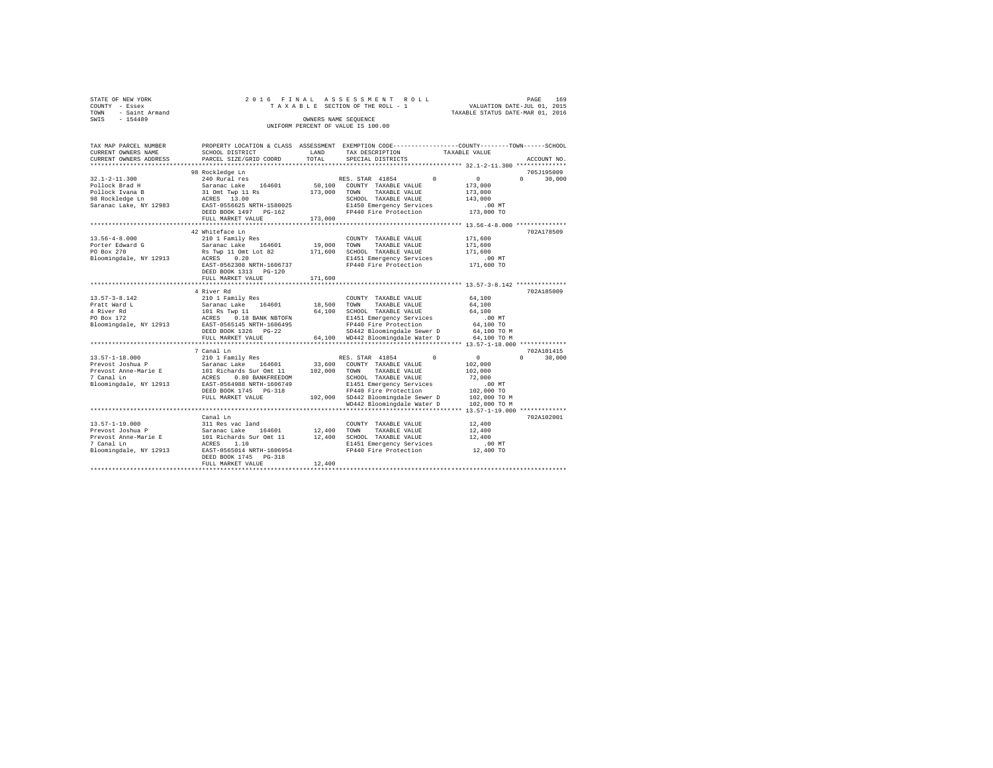| STATE OF NEW YORK                  | 2016 FINAL ASSESSMENT ROLL      | 169<br>PAGE                      |  |  |  |  |  |
|------------------------------------|---------------------------------|----------------------------------|--|--|--|--|--|
| COUNTY - Essex                     | TAXABLE SECTION OF THE ROLL - 1 | VALUATION DATE-JUL 01, 2015      |  |  |  |  |  |
| - Saint Armand<br>TOWN             |                                 | TAXABLE STATUS DATE-MAR 01, 2016 |  |  |  |  |  |
| SWIS<br>$-154489$                  | OWNERS NAME SEOUENCE            |                                  |  |  |  |  |  |
| UNIFORM PERCENT OF VALUE IS 100.00 |                                 |                                  |  |  |  |  |  |

| TAX MAP PARCEL NUMBER<br>CURRENT OWNERS NAME                                                                                                                                                          | SCHOOL DISTRICT                                                                                                                                                                                                                                                                                        | LAND                       | PROPERTY LOCATION & CLASS ASSESSMENT EXEMPTION CODE---------------COUNTY-------TOWN------SCHOOL<br>TAX DESCRIPTION                                                                                                                                                                                   | TAXABLE VALUE                                                                                                                                                                 |
|-------------------------------------------------------------------------------------------------------------------------------------------------------------------------------------------------------|--------------------------------------------------------------------------------------------------------------------------------------------------------------------------------------------------------------------------------------------------------------------------------------------------------|----------------------------|------------------------------------------------------------------------------------------------------------------------------------------------------------------------------------------------------------------------------------------------------------------------------------------------------|-------------------------------------------------------------------------------------------------------------------------------------------------------------------------------|
| CURRENT OWNERS ADDRESS<br>*************************                                                                                                                                                   | PARCEL SIZE/GRID COORD                                                                                                                                                                                                                                                                                 | TOTAL                      | SPECIAL DISTRICTS                                                                                                                                                                                                                                                                                    | ACCOUNT NO.                                                                                                                                                                   |
|                                                                                                                                                                                                       |                                                                                                                                                                                                                                                                                                        |                            |                                                                                                                                                                                                                                                                                                      |                                                                                                                                                                               |
| $32.1 - 2 - 11.300$<br>Pollock Brad H<br>Pollock Ivana B<br>98 Rockledge Ln<br>Saranac Lake, NY 12983                                                                                                 | 98 Rockledge Ln<br>240 Rural res<br>Saranac Lake 164601<br>31 Omt Twp 11 Rs<br>ACRES 13.00<br>EAST-0556625 NRTH-1580025<br>DEED BOOK 1497 PG-162<br>FULL MARKET VALUE                                                                                                                                  | 173,000<br>173,000         | RES. STAR 41854 0<br>50,100 COUNTY TAXABLE VALUE<br>TOWN<br>TAXABLE VALUE<br>SCHOOL TAXABLE VALUE<br>E1450 Emergency Services<br>FP440 Fire Protection                                                                                                                                               | 705J195009<br>$\sim$ 0<br>$\Omega$<br>30,000<br>173,000<br>173,000<br>143,000<br>$.00$ MT<br>173,000 TO                                                                       |
|                                                                                                                                                                                                       | *********************************                                                                                                                                                                                                                                                                      |                            |                                                                                                                                                                                                                                                                                                      |                                                                                                                                                                               |
| $13.56 - 4 - 8.000$<br>Porter Edward G<br>PO Box 270<br>Bloomingdale, NY 12913                                                                                                                        | 42 Whiteface Ln<br>210 1 Family Res<br>Saranac Lake 164601<br>Rs Twp 11 Omt Lot 82<br>0.20<br>ACRES<br>EAST-0562308 NRTH-1606737<br>DEED BOOK 1313 PG-120                                                                                                                                              | 19,000<br>171,600          | COUNTY TAXABLE VALUE<br>TOWN<br>TAXABLE VALUE<br>SCHOOL TAXABLE VALUE<br>E1451 Emergency Services<br>FP440 Fire Protection                                                                                                                                                                           | 702A178509<br>171,600<br>171,600<br>171,600<br>$.00$ MT<br>171,600 TO                                                                                                         |
|                                                                                                                                                                                                       | FULL MARKET VALUE                                                                                                                                                                                                                                                                                      | 171,600                    |                                                                                                                                                                                                                                                                                                      |                                                                                                                                                                               |
| $13.57 - 3 - 8.142$<br>Pratt Ward L<br>4 River Rd<br>PO Box 172<br>Bloomingdale, NY 12913 EAST-0565145 NRTH-1606495<br>$13.57 - 1 - 18.000$<br>Prevost Joshua P<br>Prevost Anne-Marie E<br>7 Canal Ln | 4 River Rd<br>210 1 Family Res<br>Saranac Lake 164601<br>101 Rs Twp 11<br>ACRES 0.18 BANK NBTOFN<br>DEED BOOK 1326 PG-22<br>FULL MARKET VALUE<br>7 Canal Ln<br>210 1 Family Res<br>Saranac Lake<br>164601<br>101 Richards Sur Omt 11 102,000<br>ACRES<br>0.80 BANKFREEDOM<br>EAST-0564988 NRTH-1606749 | 18,500<br>64,100<br>33,600 | COUNTY TAXABLE VALUE<br>TOWN<br>TAXABLE VALUE<br>SCHOOL TAXABLE VALUE<br>E1451 Emergency Services<br>FP440 Fire Protection<br>SD442 Bloomingdale Sewer D<br>64,100 WD442 Bloomingdale Water D<br>$^{\circ}$<br>RES. STAR 41854<br>COUNTY TAXABLE VALUE<br>TOWN TAXABLE VALUE<br>SCHOOL TAXABLE VALUE | 702A185009<br>64,100<br>64,100<br>64,100<br>.00 MT<br>64,100 TO<br>64,100 TO M<br>64,100 TO M<br>702A101415<br>$\sim$ 0<br>$\Omega$<br>30,000<br>102,000<br>102,000<br>72,000 |
| Bloomingdale, NY 12913                                                                                                                                                                                | DEED BOOK 1745 PG-318<br>FULL MARKET VALUE                                                                                                                                                                                                                                                             |                            | E1451 Emergency Services<br>FP440 Fire Protection<br>102,000 SD442 Bloomingdale Sewer D<br>WD442 Bloomingdale Water D                                                                                                                                                                                | $.00$ MT<br>102,000 TO<br>102,000 TO M<br>102,000 TO M                                                                                                                        |
|                                                                                                                                                                                                       |                                                                                                                                                                                                                                                                                                        |                            |                                                                                                                                                                                                                                                                                                      |                                                                                                                                                                               |
| $13.57 - 1 - 19.000$<br>Prevost Joshua P<br>Prevost Anne-Marie E<br>7 Canal Ln<br>Bloomingdale, NY 12913                                                                                              | Canal Ln<br>311 Res vac land<br>Saranac Lake 164601<br>101 Richards Sur Omt 11<br>ACRES 1.10<br>EAST-0565014 NRTH-1606954<br>DEED BOOK 1745 PG-318<br>FULL MARKET VALUE                                                                                                                                | 12,400<br>12,400<br>12,400 | COUNTY TAXABLE VALUE<br>TOWN<br>TAXABLE VALUE<br>SCHOOL TAXABLE VALUE<br>E1451 Emergency Services<br>FP440 Fire Protection                                                                                                                                                                           | 702A102001<br>12,400<br>12,400<br>12,400<br>$.00$ MT<br>12,400 TO                                                                                                             |
|                                                                                                                                                                                                       |                                                                                                                                                                                                                                                                                                        |                            |                                                                                                                                                                                                                                                                                                      |                                                                                                                                                                               |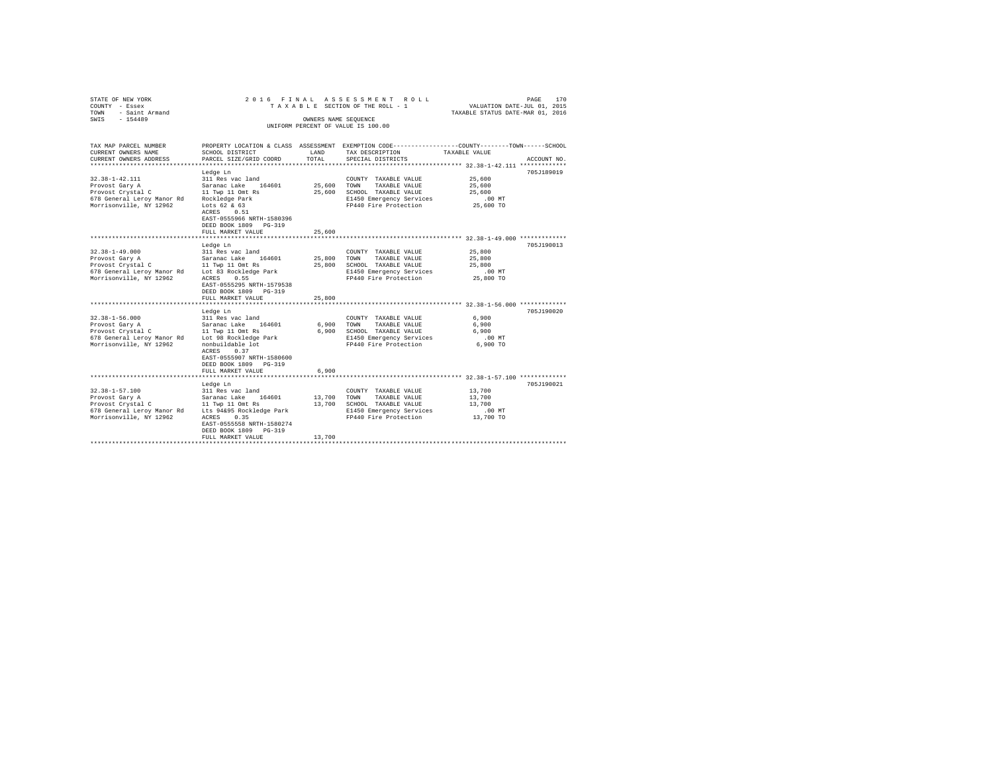| STATE OF NEW YORK<br>COUNTY - Essex<br>- Saint Armand<br>TOWN<br>$-154489$<br>SWIS                                                            | 2016 FINAL                                                                                                                                                                                      | OWNERS NAME SEQUENCE       | ASSESSMENT ROLL<br>TAXABLE SECTION OF THE ROLL - 1                                                                         | 170<br>PAGE<br>VALUATION DATE-JUL 01, 2015<br>TAXABLE STATUS DATE-MAR 01, 2016                                                  |  |
|-----------------------------------------------------------------------------------------------------------------------------------------------|-------------------------------------------------------------------------------------------------------------------------------------------------------------------------------------------------|----------------------------|----------------------------------------------------------------------------------------------------------------------------|---------------------------------------------------------------------------------------------------------------------------------|--|
|                                                                                                                                               |                                                                                                                                                                                                 |                            | UNIFORM PERCENT OF VALUE IS 100.00                                                                                         |                                                                                                                                 |  |
|                                                                                                                                               |                                                                                                                                                                                                 |                            |                                                                                                                            |                                                                                                                                 |  |
| TAX MAP PARCEL NUMBER<br>CURRENT OWNERS NAME<br>CURRENT OWNERS ADDRESS                                                                        | SCHOOL DISTRICT<br>PARCEL SIZE/GRID COORD                                                                                                                                                       | LAND<br>TOTAL              | TAX DESCRIPTION<br>SPECIAL DISTRICTS                                                                                       | PROPERTY LOCATION & CLASS ASSESSMENT EXEMPTION CODE---------------COUNTY-------TOWN------SCHOOL<br>TAXABLE VALUE<br>ACCOUNT NO. |  |
|                                                                                                                                               |                                                                                                                                                                                                 |                            |                                                                                                                            |                                                                                                                                 |  |
| $32.38 - 1 - 42.111$<br>Provost Gary A<br>Provost Crystal C<br>678 General Leroy Manor Rd Rockledge Park<br>Morrisonville, NY 12962           | Ledge Ln<br>311 Res vac land<br>Saranac Lake 164601<br>11 Twp 11 Omt Rs<br>Lots $62 & 63$<br>ACRES 0.51<br>EAST-0555966 NRTH-1580396<br>DEED BOOK 1809 PG-319<br>FULL MARKET VALUE              | 25,600<br>25,600<br>25,600 | COUNTY TAXABLE VALUE<br>TAXABLE VALUE<br>TOWN<br>SCHOOL TAXABLE VALUE<br>E1450 Emergency Services<br>FP440 Fire Protection | 705J189019<br>25,600<br>25,600<br>25,600<br>.00MT<br>25,600 TO                                                                  |  |
|                                                                                                                                               | ****************                                                                                                                                                                                |                            |                                                                                                                            | *********************** 32.38-1-49.000 *************                                                                            |  |
| $32.38 - 1 - 49.000$<br>Provost Gary A<br>Provost Crystal C<br>678 General Leroy Manor Rd<br>Morrisonville, NY 12962                          | Ledge Ln<br>311 Res vac land<br>164601<br>Saranac Lake<br>11 Twp 11 Omt Rs<br>Lot 83 Rockledge Park<br>ACRES<br>0.55<br>EAST-0555295 NRTH-1579538<br>DEED BOOK 1809 PG-319<br>FULL MARKET VALUE | 25,800<br>25,800<br>25,800 | COUNTY TAXABLE VALUE<br>TAXABLE VALUE<br>TOWN<br>SCHOOL TAXABLE VALUE<br>E1450 Emergency Services<br>FP440 Fire Protection | 705J190013<br>25,800<br>25,800<br>25,800<br>$.00$ MT<br>25,800 TO                                                               |  |
|                                                                                                                                               | Ledge Ln                                                                                                                                                                                        |                            |                                                                                                                            | 705J190020                                                                                                                      |  |
| $32.38 - 1 - 56.000$<br>Provost Gary A<br>Provost Crystal C<br>678 General Leroy Manor Rd<br>Morrisonville, NY 12962                          | 311 Res vac land<br>Saranac Lake 164601<br>11 Twp 11 Omt Rs<br>Lot 98 Rockledge Park<br>nonbuildable lot<br>ACRES<br>0.37<br>EAST-0555907 NRTH-1580600<br>DEED BOOK 1809 PG-319                 | 6,900<br>6,900             | COUNTY TAXABLE VALUE<br>TOWN<br>TAXABLE VALUE<br>SCHOOL TAXABLE VALUE<br>E1450 Emergency Services<br>FP440 Fire Protection | 6,900<br>6,900<br>6,900<br>.00 MT<br>6,900 TO                                                                                   |  |
|                                                                                                                                               | FULL MARKET VALUE<br>**********************                                                                                                                                                     | 6,900                      |                                                                                                                            | ***************************** 32.38-1-57.100 ************                                                                       |  |
| $32.38 - 1 - 57.100$<br>Provost Gary A<br>Provost Crystal C<br>678 General Leroy Manor Rd Lts 94&95 Rockledge Park<br>Morrisonville, NY 12962 | Ledge Ln<br>311 Res vac land<br>Saranac Lake<br>164601<br>11 Twp 11 Omt Rs<br>0.35<br>ACRES<br>EAST-0555558 NRTH-1580274<br>DEED BOOK 1809 PG-319<br>FULL MARKET VALUE                          | 13,700<br>13,700<br>13,700 | COUNTY TAXABLE VALUE<br>TOWN<br>TAXABLE VALUE<br>SCHOOL TAXABLE VALUE<br>E1450 Emergency Services<br>FP440 Fire Protection | 705J190021<br>13,700<br>13,700<br>13,700<br>.00 MT<br>13,700 TO                                                                 |  |
|                                                                                                                                               |                                                                                                                                                                                                 |                            |                                                                                                                            |                                                                                                                                 |  |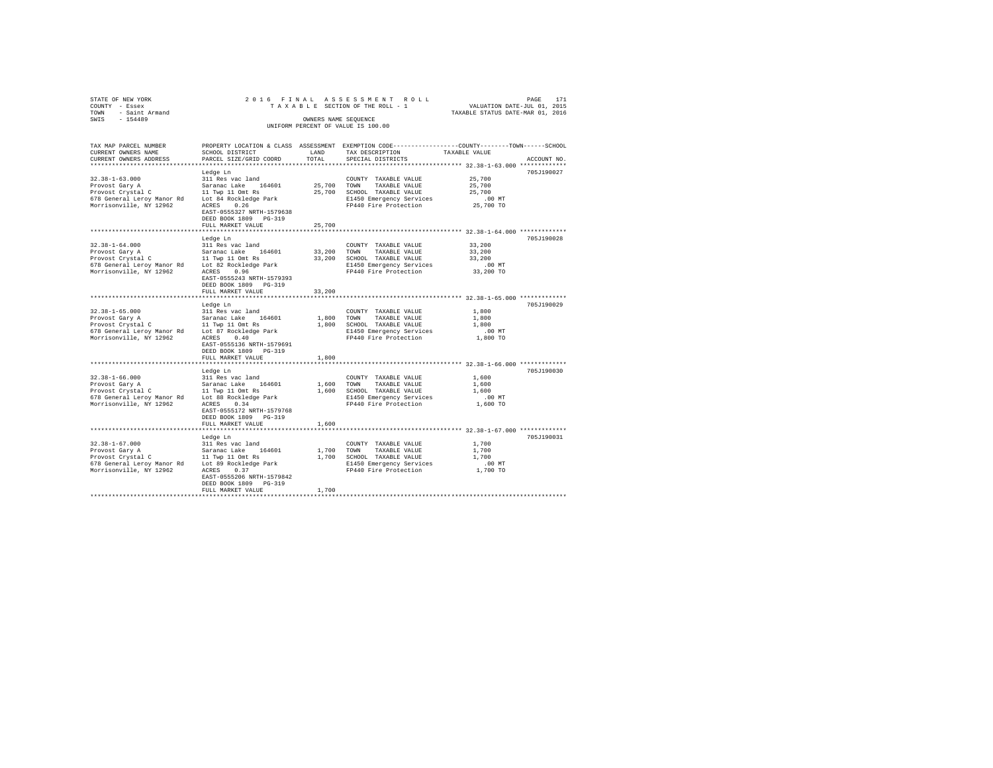| STATE OF NEW YORK<br>COUNTY - Essex<br>- Saint Armand<br>TOWN<br>SWIS - 154489                                                             |                                                                                                                                                                                              | OWNERS NAME SEQUENCE       | 2016 FINAL ASSESSMENT ROLL<br>TAXABLE SECTION OF THE ROLL - 1<br>UNIFORM PERCENT OF VALUE IS 100.00                                 | 171<br>PAGE<br>VALUATION DATE-JUL 01, 2015<br>TAXABLE STATUS DATE-MAR 01, 2016                                                 |
|--------------------------------------------------------------------------------------------------------------------------------------------|----------------------------------------------------------------------------------------------------------------------------------------------------------------------------------------------|----------------------------|-------------------------------------------------------------------------------------------------------------------------------------|--------------------------------------------------------------------------------------------------------------------------------|
| TAX MAP PARCEL NUMBER<br>CURRENT OWNERS NAME<br>CURRENT OWNERS ADDRESS                                                                     | SCHOOL DISTRICT<br>PARCEL SIZE/GRID COORD                                                                                                                                                    | LAND<br>TOTAL              | TAX DESCRIPTION<br>SPECIAL DISTRICTS                                                                                                | PROPERTY LOCATION & CLASS ASSESSMENT EXEMPTION CODE---------------COUNTY-------TOWN-----SCHOOL<br>TAXABLE VALUE<br>ACCOUNT NO. |
| $32.38 - 1 - 63.000$<br>Provost Gary A<br>Provost Crystal C<br>678 General Leroy Manor Rd<br>Morrisonville, NY 12962                       | Ledge Ln<br>311 Res vac land<br>Saranac Lake 164601<br>11 Twp 11 Omt Rs<br>Lot 84 Rockledge Park<br>0.26<br>ACRES<br>EAST-0555327 NRTH-1579638<br>DEED BOOK 1809 PG-319<br>FULL MARKET VALUE | 25,700<br>25,700<br>25,700 | COUNTY TAXABLE VALUE<br>TOWN<br>TAXABLE VALUE<br>SCHOOL TAXABLE VALUE<br>E1450 Emergency Services<br>FP440 Fire Protection          | 705J190027<br>25,700<br>25,700<br>25,700<br>.00 MT<br>25,700 TO                                                                |
|                                                                                                                                            | Ledge Ln                                                                                                                                                                                     |                            |                                                                                                                                     | 705J190028                                                                                                                     |
| $32.38 - 1 - 64.000$<br>Provost Gary A                                                                                                     | 311 Res vac land<br>Saranac Lake 164601 33,200                                                                                                                                               |                            | COUNTY TAXABLE VALUE<br>TOWN<br>TAXABLE VALUE                                                                                       | 33,200<br>33,200                                                                                                               |
| Provost Crystal C 11 Twp 11 Omt Rs                                                                                                         |                                                                                                                                                                                              | 33,200                     | SCHOOL TAXABLE VALUE                                                                                                                | 33,200                                                                                                                         |
| 678 General Leroy Manor Rd                                                                                                                 | Lot 82 Rockledge Park                                                                                                                                                                        |                            | E1450 Emergency Services<br>FP440 Fire Protection                                                                                   | $.00$ MT                                                                                                                       |
| Morrisonville, NY 12962                                                                                                                    | ACRES 0.96<br>EAST-0555243 NRTH-1579393<br>DEED BOOK 1809 PG-319                                                                                                                             |                            |                                                                                                                                     | 33,200 TO                                                                                                                      |
|                                                                                                                                            | FULL MARKET VALUE                                                                                                                                                                            | 33,200                     |                                                                                                                                     |                                                                                                                                |
|                                                                                                                                            |                                                                                                                                                                                              |                            |                                                                                                                                     |                                                                                                                                |
| $32.38 - 1 - 65.000$<br>Provost Gary A<br>Provost Crystal C<br>678 General Leroy Manor Rd Lot 87 Rockledge Park<br>Morrisonville, NY 12962 | Ledge Ln<br>311 Res vac land<br>Saranac Lake 164601<br>11 Twp 11 Omt Rs<br>0.40<br>ACRES<br>EAST-0555136 NRTH-1579691<br>DEED BOOK 1809 PG-319<br>FULL MARKET VALUE                          | 1,800<br>1,800<br>1,800    | COUNTY TAXABLE VALUE<br>TOWN<br>TAXABLE VALUE<br>SCHOOL TAXABLE VALUE<br>E1450 Emergency Services<br>FP440 Fire Protection 1,800 TO | 705J190029<br>1,800<br>1,800<br>1,800<br>$.00$ MT                                                                              |
|                                                                                                                                            | ******************************                                                                                                                                                               |                            |                                                                                                                                     | ********************************* 32.38-1-66.000 **************                                                                |
|                                                                                                                                            | Ledge Ln                                                                                                                                                                                     |                            |                                                                                                                                     | 705J190030                                                                                                                     |

Ledge Ln 705J190030 32.38-1-66.000 311 Res vac land COUNTY TAXABLE VALUE 1,600 Provost Gary A Saranac Lake 164601 1,600 TOWN TAXABLE VALUE 1,600 Provost Crystal C 11 Twp 11 Omt Rs 1,600 SCHOOL TAXABLE VALUE 1,600 678 General Leroy Manor Rd Lot 88 Rockledge Park E1450 Emergency Services .00 MT Morrisonville, NY 12962 ACRES 0.34 FP440 Fire Protection 1,600 TO EAST-0555172 NRTH-1579768 DEED BOOK 1809 PG-319 FULL MARKET VALUE 1,600 \*\*\*\*\*\*\*\*\*\*\*\*\*\*\*\*\*\*\*\*\*\*\*\*\*\*\*\*\*\*\*\*\*\*\*\*\*\*\*\*\*\*\*\*\*\*\*\*\*\*\*\*\*\*\*\*\*\*\*\*\*\*\*\*\*\*\*\*\*\*\*\*\*\*\*\*\*\*\*\*\*\*\*\*\*\*\*\*\*\*\*\*\*\*\*\*\*\*\*\*\*\*\* 32.38-1-67.000 \*\*\*\*\*\*\*\*\*\*\*\*\* Ledge Ln 705J190031

EAST-0555206 NRTH-1579842 DEED BOOK 1809 PG-319 FULL MARKET VALUE 1,700 \*\*\*\*\*\*\*\*\*\*\*\*\*\*\*\*\*\*\*\*\*\*\*\*\*\*\*\*\*\*\*\*\*\*\*\*\*\*\*\*\*\*\*\*\*\*\*\*\*\*\*\*\*\*\*\*\*\*\*\*\*\*\*\*\*\*\*\*\*\*\*\*\*\*\*\*\*\*\*\*\*\*\*\*\*\*\*\*\*\*\*\*\*\*\*\*\*\*\*\*\*\*\*\*\*\*\*\*\*\*\*\*\*\*\*\*\*\*\*\*\*\*\*\*\*\*\*\*\*\*\*\*

32.18-1-67.000 311 Res vac land<br>21.000 11 Res vac land 164601 1,700 TOWNY TAXABLE VALUE 1,700<br>2010 10000 11 Twp 11 Omt Rs 1,700 5CHOOL TAXABLE VALUE 1,700<br>2010 17100 11 Twp 11 Omt Rs 1,700 5CHOOL TAXABLE VALUE 1,700<br>2010 1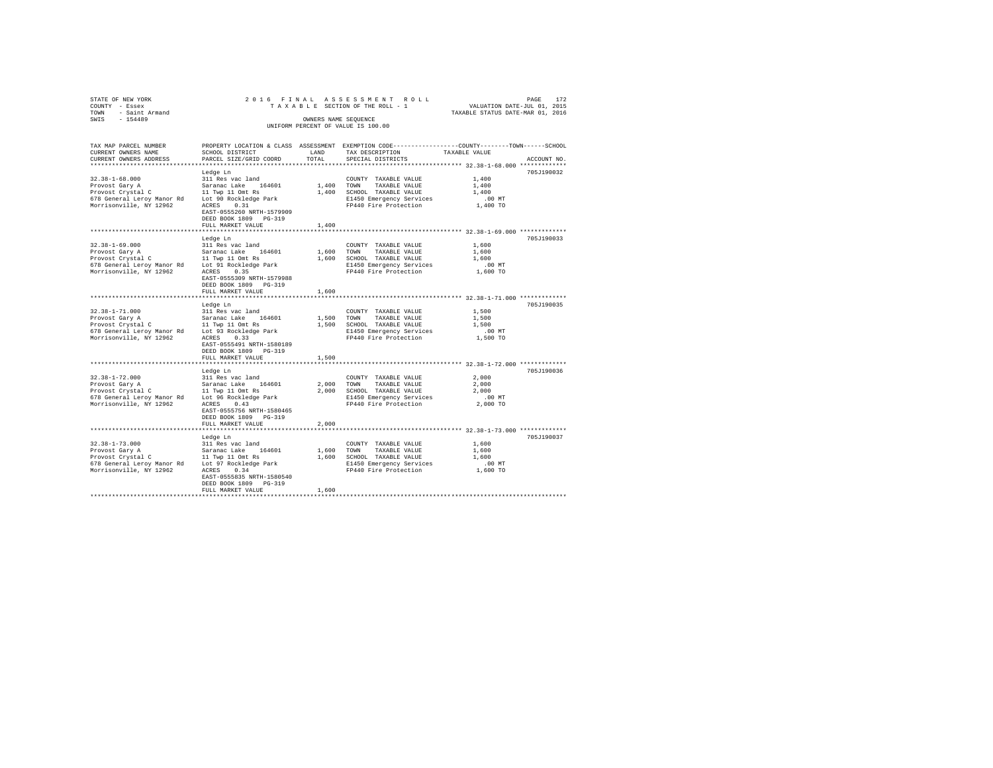| TOWN<br>SWIS | STATE OF NEW YORK<br>COUNTY - Essex<br>- Saint Armand<br>$-154489$ |                                                         | OWNERS NAME SEOUENCE | 2016 FINAL ASSESSMENT ROLL<br>TAXABLE SECTION OF THE ROLL - 1                   | TAXABLE STATUS DATE-MAR 01, 2016 | PAGE<br>VALUATION DATE-JUL 01, 2015 | 172 |
|--------------|--------------------------------------------------------------------|---------------------------------------------------------|----------------------|---------------------------------------------------------------------------------|----------------------------------|-------------------------------------|-----|
|              |                                                                    |                                                         |                      | UNIFORM PERCENT OF VALUE IS 100.00                                              |                                  |                                     |     |
|              | TAX MAP PARCEL NUMBER<br>CURRENT OWNERS NAME                       | PROPERTY LOCATION & CLASS ASSESSMENT<br>SCHOOL DISTRICT | LAND                 | EXEMPTION CODE-----------------COUNTY-------TOWN------SCHOOL<br>TAX DESCRIPTION | TAXABLE VALUE                    |                                     |     |
|              | CURRENT OWNERS ADDRESS                                             | PARCEL SIZE/GRID COORD                                  | TOTAL                | SPECIAL DISTRICTS                                                               |                                  | ACCOUNT NO.                         |     |

| *************************                            |                                                             | -----              |                                                            |                                        |            |
|------------------------------------------------------|-------------------------------------------------------------|--------------------|------------------------------------------------------------|----------------------------------------|------------|
|                                                      | Ledge Ln                                                    |                    |                                                            |                                        | 705J190032 |
| $32.38 - 1 - 68.000$                                 | 311 Res vac land                                            |                    | COUNTY TAXABLE VALUE                                       | 1,400                                  |            |
| Provost Gary A                                       | Saranac Lake 164601                                         | $1\, , 400$ – TOWN | TAXABLE VALUE                                              | 1,400                                  |            |
| Provost Crystal C                                    | 11 Twp 11 Omt Rs                                            |                    | 1,400 SCHOOL TAXABLE VALUE                                 | 1,400                                  |            |
| 678 General Leroy Manor Rd Lot 90 Rockledge Park     |                                                             |                    | E1450 Emergency Services                                   | .00MT                                  |            |
| Morrisonville, NY 12962                              | ACRES 0.31                                                  |                    | FP440 Fire Protection                                      | 1,400 TO                               |            |
|                                                      | EAST-0555260 NRTH-1579909                                   |                    |                                                            |                                        |            |
|                                                      | DEED BOOK 1809 PG-319                                       |                    |                                                            |                                        |            |
|                                                      | FULL MARKET VALUE                                           | 1,400              |                                                            |                                        |            |
|                                                      | *************************                                   |                    |                                                            | ********** 32.38-1-69.000 ************ |            |
|                                                      | Ledge Ln                                                    |                    |                                                            |                                        | 705J190033 |
| $32.38 - 1 - 69.000$                                 | 311 Res vac land                                            |                    | COUNTY TAXABLE VALUE                                       | 1,600                                  |            |
| Provost Gary A                                       | Saranac Lake 164601<br>11 Twp 11 Omt Rs                     |                    | 1,600 TOWN TAXABLE VALUE                                   | 1,600                                  |            |
| Provost Crystal C                                    |                                                             |                    | 1,600 SCHOOL TAXABLE VALUE                                 | 1,600                                  |            |
| 678 General Leroy Manor Rd Lot 91 Rockledge Park     |                                                             |                    | E1450 Emergency Services                                   | $.00$ MT                               |            |
| Morrisonville, NY 12962                              | ACRES 0.35                                                  |                    | FP440 Fire Protection                                      | 1,600 TO                               |            |
|                                                      | EAST-0555309 NRTH-1579988                                   |                    |                                                            |                                        |            |
|                                                      | DEED BOOK 1809 PG-319                                       |                    |                                                            |                                        |            |
|                                                      | FULL MARKET VALUE                                           | 1,600              |                                                            |                                        |            |
|                                                      |                                                             |                    |                                                            |                                        |            |
| $32.38 - 1 - 71.000$                                 | Ledge Ln<br>311 Res vac land                                |                    |                                                            | 1,500                                  | 705J190035 |
|                                                      | Saranac Lake 164601                                         |                    | COUNTY TAXABLE VALUE<br>1,500 TOWN TAXABLE VALUE           | 1,500                                  |            |
| Provost Gary A<br>Provost Crystal C 11 Twp 11 Omt Rs |                                                             |                    | 1,500 SCHOOL TAXABLE VALUE                                 | 1,500                                  |            |
| 678 General Leroy Manor Rd Lot 93 Rockledge Park     |                                                             |                    | E1450 Emergency Services                                   | $.00$ MT                               |            |
| Morrisonville, NY 12962                              | ACRES 0.33                                                  |                    | FP440 Fire Protection                                      | 1,500 TO                               |            |
|                                                      | EAST-0555491 NRTH-1580189                                   |                    |                                                            |                                        |            |
|                                                      | DEED BOOK 1809 PG-319                                       |                    |                                                            |                                        |            |
|                                                      | FULL MARKET VALUE                                           | 1,500              |                                                            |                                        |            |
|                                                      |                                                             |                    |                                                            |                                        |            |
|                                                      | Ledge Ln                                                    |                    |                                                            |                                        | 705J190036 |
| $32.38 - 1 - 72.000$                                 |                                                             |                    | COUNTY TAXABLE VALUE                                       | 2,000                                  |            |
| Provost Gary A                                       | 311 Res vac land<br>Saranac Lake 164601<br>11 Twp 11 Omt Rs | 2,000 TOWN         | TAXABLE VALUE                                              | 2,000                                  |            |
| Provost Crystal C                                    |                                                             |                    | 2,000 SCHOOL TAXABLE VALUE                                 | 2,000                                  |            |
| 678 General Leroy Manor Rd Lot 96 Rockledge Park     |                                                             |                    | E1450 Emergency Services                                   | $.00$ MT                               |            |
| Morrisonville, NY 12962                              | ACRES 0.43                                                  |                    | FP440 Fire Protection                                      | 2,000 TO                               |            |
|                                                      | EAST-0555756 NRTH-1580465                                   |                    |                                                            |                                        |            |
|                                                      | DEED BOOK 1809 PG-319                                       |                    |                                                            |                                        |            |
|                                                      | FULL MARKET VALUE                                           | 2,000              |                                                            |                                        |            |
|                                                      | *******************************                             |                    | ***************************** 32.38-1-73.000 ************* |                                        |            |
|                                                      | Ledge Ln                                                    |                    |                                                            |                                        | 705J190037 |
| $32.38 - 1 - 73.000$                                 | 311 Res vac land                                            |                    | COUNTY TAXABLE VALUE                                       | 1,600                                  |            |
| Provost Gary A                                       | Saranac Lake 164601                                         |                    | 1,600 TOWN TAXABLE VALUE                                   | 1,600                                  |            |
| Provost Crystal C                                    | 11 Twp 11 Omt Rs                                            |                    | 1,600 SCHOOL TAXABLE VALUE                                 | 1,600                                  |            |
| 678 General Leroy Manor Rd Lot 97 Rockledge Park     |                                                             |                    | E1450 Emergency Services                                   | $.00$ MT                               |            |
| Morrisonville, NY 12962                              | ACRES 0.34                                                  |                    | FP440 Fire Protection                                      | 1,600 TO                               |            |
|                                                      | EAST-0555835 NRTH-1580540                                   |                    |                                                            |                                        |            |
|                                                      | DEED BOOK 1809 PG-319<br>FULL MARKET VALUE                  | 1,600              |                                                            |                                        |            |
|                                                      |                                                             |                    |                                                            |                                        |            |
|                                                      |                                                             |                    |                                                            |                                        |            |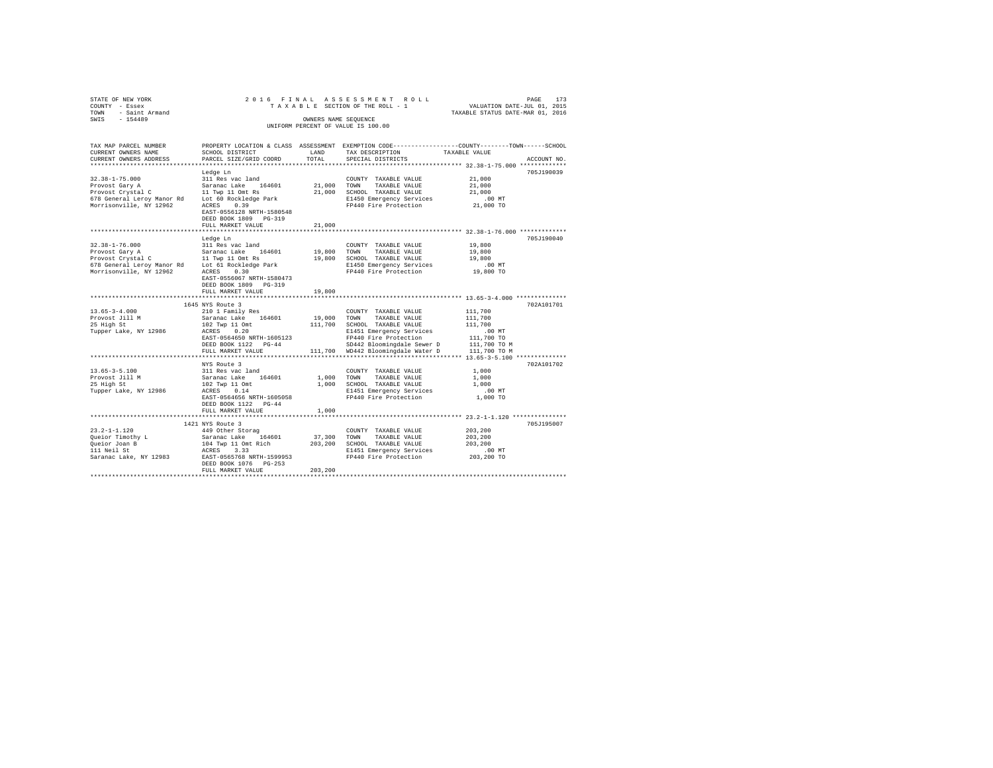| STATE OF NEW YORK<br>COUNTY - Essex<br>TOWN - Saint Armand<br>SWIS - 154489                                                                                                                                                        |                                                                                                                                                  |             | 2016 FINAL ASSESSMENT ROLL<br>TAXABLE SECTION OF THE ROLL - 1                                                     | PAGE 173<br>VALUATION DATE-JUL 01, 2015 |             |
|------------------------------------------------------------------------------------------------------------------------------------------------------------------------------------------------------------------------------------|--------------------------------------------------------------------------------------------------------------------------------------------------|-------------|-------------------------------------------------------------------------------------------------------------------|-----------------------------------------|-------------|
|                                                                                                                                                                                                                                    |                                                                                                                                                  |             |                                                                                                                   | TAXABLE STATUS DATE-MAR 01, 2016        |             |
|                                                                                                                                                                                                                                    |                                                                                                                                                  |             | OWNERS NAME SEQUENCE                                                                                              |                                         |             |
|                                                                                                                                                                                                                                    |                                                                                                                                                  |             | UNIFORM PERCENT OF VALUE IS 100.00                                                                                |                                         |             |
|                                                                                                                                                                                                                                    |                                                                                                                                                  |             |                                                                                                                   |                                         |             |
| TAX MAP PARCEL NUMBER                                                                                                                                                                                                              |                                                                                                                                                  |             | PROPERTY LOCATION & CLASS ASSESSMENT EXEMPTION CODE---------------COUNTY-------TOWN------SCHOOL                   |                                         |             |
| CURRENT OWNERS NAME                                                                                                                                                                                                                | SCHOOL DISTRICT LAND                                                                                                                             |             | TAX DESCRIPTION                                                                                                   | TAXABLE VALUE                           |             |
| CURRENT OWNERS ADDRESS                                                                                                                                                                                                             | PARCEL SIZE/GRID COORD                                                                                                                           | TOTAL       | SPECIAL DISTRICTS                                                                                                 |                                         | ACCOUNT NO. |
|                                                                                                                                                                                                                                    |                                                                                                                                                  |             |                                                                                                                   |                                         |             |
|                                                                                                                                                                                                                                    | Ledge Ln                                                                                                                                         |             |                                                                                                                   |                                         | 705J190039  |
| $32.38 - 1 - 75.000$                                                                                                                                                                                                               | 311 Res vac land                                                                                                                                 |             | COUNTY TAXABLE VALUE                                                                                              | 21,000<br>21,000                        |             |
|                                                                                                                                                                                                                                    |                                                                                                                                                  |             |                                                                                                                   | 21,000                                  |             |
|                                                                                                                                                                                                                                    |                                                                                                                                                  |             |                                                                                                                   | $.00$ MT                                |             |
| Provost Cary A Saranac Lake 164601 21,000 TOWN TAXABLE VALUE<br>Provost Crystal C 11 Twp 11 Omt RS 21,000 SCROOL TAXABLE VALUE<br>FOR SCREEN CONSIDER THE CONSIDER STARBE VALUE CONSIDER AND SCREEN FOR SCREEN CONSIDER THE PROTOC |                                                                                                                                                  |             |                                                                                                                   | 21,000 TO                               |             |
|                                                                                                                                                                                                                                    | EAST-0556128 NRTH-1580548                                                                                                                        |             |                                                                                                                   |                                         |             |
|                                                                                                                                                                                                                                    | DEED BOOK 1809 PG-319                                                                                                                            |             |                                                                                                                   |                                         |             |
|                                                                                                                                                                                                                                    | FULL MARKET VALUE                                                                                                                                | 21,000      |                                                                                                                   |                                         |             |
|                                                                                                                                                                                                                                    |                                                                                                                                                  |             |                                                                                                                   |                                         |             |
|                                                                                                                                                                                                                                    | Ledge Ln                                                                                                                                         |             |                                                                                                                   |                                         | 705J190040  |
| $32.38 - 1 - 76.000$                                                                                                                                                                                                               | 311 Res vac land                                                                                                                                 |             | COUNTY TAXABLE VALUE                                                                                              | 19,800                                  |             |
|                                                                                                                                                                                                                                    |                                                                                                                                                  |             | TAXABLE VALUE                                                                                                     | 19,800                                  |             |
|                                                                                                                                                                                                                                    |                                                                                                                                                  |             | 19,800 SCHOOL TAXABLE VALUE                                                                                       | 19,800                                  |             |
|                                                                                                                                                                                                                                    |                                                                                                                                                  |             | E1450 Emergency Services                                                                                          | $.00$ MT                                |             |
|                                                                                                                                                                                                                                    |                                                                                                                                                  |             | FP440 Fire Protection 19,800 TO                                                                                   |                                         |             |
|                                                                                                                                                                                                                                    | EAST-0556067 NRTH-1580473                                                                                                                        |             |                                                                                                                   |                                         |             |
|                                                                                                                                                                                                                                    | DEED BOOK 1809 PG-319                                                                                                                            | 19,800      |                                                                                                                   |                                         |             |
|                                                                                                                                                                                                                                    | FULL MARKET VALUE                                                                                                                                |             |                                                                                                                   |                                         |             |
|                                                                                                                                                                                                                                    | 1645 NYS Route 3                                                                                                                                 |             |                                                                                                                   |                                         | 702A101701  |
| $13.65 - 3 - 4.000$                                                                                                                                                                                                                | 210 1 Family Res                                                                                                                                 |             | COUNTY TAXABLE VALUE                                                                                              | 111,700                                 |             |
| Provost Jill M                                                                                                                                                                                                                     | Saranac Lake 164601                                                                                                                              | 19,000 TOWN | TAXABLE VALUE                                                                                                     | 111,700                                 |             |
| 25 High St                                                                                                                                                                                                                         |                                                                                                                                                  |             | 111,700 SCHOOL TAXABLE VALUE                                                                                      | 111,700                                 |             |
| Tupper Lake, NY 12986                                                                                                                                                                                                              | 102 Twp 11 Omt<br>ACRES 0.20                                                                                                                     |             | E1451 Emergency Services                                                                                          | $.00$ MT                                |             |
|                                                                                                                                                                                                                                    | EAST-0564650 NRTH-1605123                                                                                                                        |             | FP440 Fire Protection<br>SD442 Bloomingdale Sewer D                                                               | 111,700 TO                              |             |
|                                                                                                                                                                                                                                    | DEED BOOK 1122 PG-44                                                                                                                             |             | Free Fibromingdale Sewer D<br>SD442 Bloomingdale Sewer D<br>111,700 TO MD442 Bloomingdale Water D<br>111,700 TO M |                                         |             |
|                                                                                                                                                                                                                                    | FULL MARKET VALUE                                                                                                                                |             |                                                                                                                   |                                         |             |
|                                                                                                                                                                                                                                    |                                                                                                                                                  |             |                                                                                                                   |                                         |             |
|                                                                                                                                                                                                                                    | NYS Route 3                                                                                                                                      |             |                                                                                                                   |                                         | 702A101702  |
| $13.65 - 3 - 5.100$                                                                                                                                                                                                                | 311 Res vac land                                                                                                                                 |             | COUNTY TAXABLE VALUE                                                                                              | 1,000                                   |             |
| Provost Jill M<br>25 High St                                                                                                                                                                                                       | Saranac Lake 164601                                                                                                                              | 1,000 TOWN  | TAXABLE VALUE<br>1,000 SCHOOL TAXABLE VALUE                                                                       | 1,000<br>1,000                          |             |
| Tupper Lake, NY 12986                                                                                                                                                                                                              | 102 Twp 11 Omt<br>ACRES 0.14                                                                                                                     |             | E1451 Emergency Services                                                                                          | $.00$ MT                                |             |
|                                                                                                                                                                                                                                    | EAST-0564656 NRTH-1605058                                                                                                                        |             | FP440 Fire Protection                                                                                             | 1,000 TO                                |             |
|                                                                                                                                                                                                                                    | DEED BOOK 1122 PG-44                                                                                                                             |             |                                                                                                                   |                                         |             |
|                                                                                                                                                                                                                                    | FULL MARKET VALUE                                                                                                                                | 1,000       |                                                                                                                   |                                         |             |
|                                                                                                                                                                                                                                    |                                                                                                                                                  |             |                                                                                                                   |                                         |             |
|                                                                                                                                                                                                                                    | 1421 NYS Route 3                                                                                                                                 |             |                                                                                                                   |                                         | 705J195007  |
| $23.2 - 1 - 1.120$                                                                                                                                                                                                                 | 449 Other Storag                                                                                                                                 |             | COUNTY TAXABLE VALUE                                                                                              | 203,200                                 |             |
| Queior Timothy L                                                                                                                                                                                                                   |                                                                                                                                                  |             |                                                                                                                   | 203,200                                 |             |
| Oueior Joan B                                                                                                                                                                                                                      | Saranac Lake 164601 37,300 VOWN TAXABLE VALUE<br>104 TWP 11 Omt Rich 203,200 SCHOOL TAXABLE VALUE<br>ACRES 3.33 SECTION RESERVED BELASS RESERVED |             | 203,200 SCHOOL TAXABLE VALUE                                                                                      | 203,200                                 |             |
| 111 Neil St                                                                                                                                                                                                                        |                                                                                                                                                  |             | E1451 Emergency Services                                                                                          | $.00$ MT                                |             |
| Saranac Lake, NY 12983<br>EAST-0565768 NRTH-1599953                                                                                                                                                                                |                                                                                                                                                  |             | FP440 Fire Protection                                                                                             | 203,200 TO                              |             |
|                                                                                                                                                                                                                                    | DEED BOOK 1076 PG-253                                                                                                                            |             |                                                                                                                   |                                         |             |
|                                                                                                                                                                                                                                    | FULL MARKET VALUE                                                                                                                                | 203,200     |                                                                                                                   |                                         |             |
|                                                                                                                                                                                                                                    |                                                                                                                                                  |             |                                                                                                                   |                                         |             |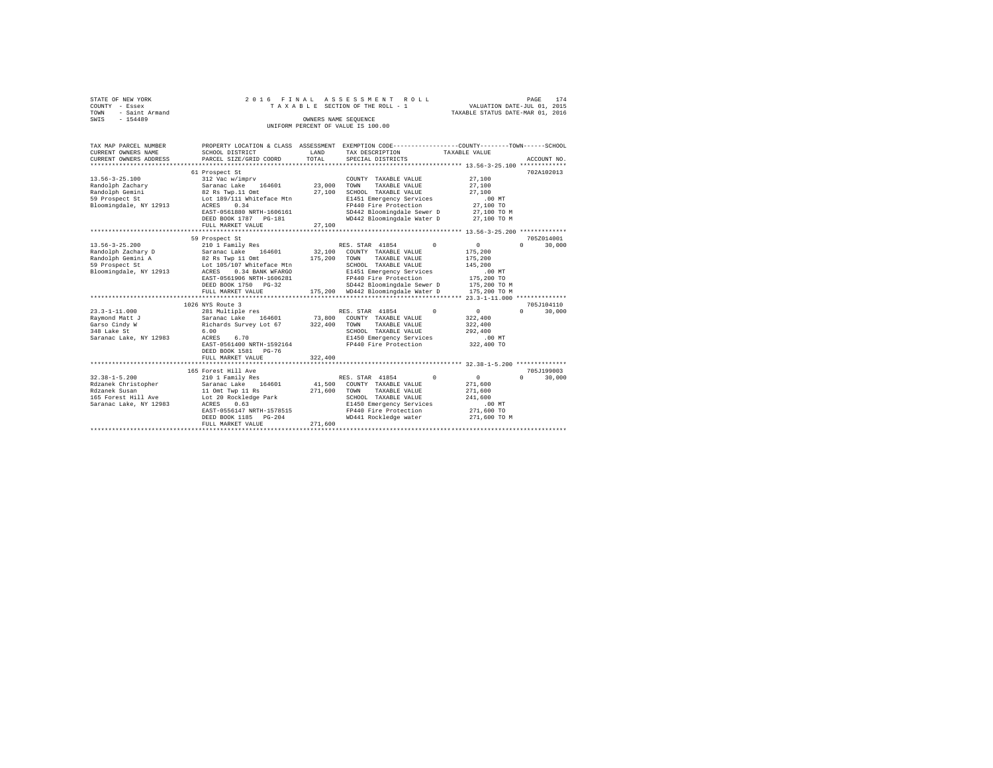| STATE OF NEW YORK                  |                      |  |  |  |  | 2016 FINAL ASSESSMENT ROLL      |  |                                  | PAGE                        | 174 |
|------------------------------------|----------------------|--|--|--|--|---------------------------------|--|----------------------------------|-----------------------------|-----|
| COUNTY - Essex                     |                      |  |  |  |  | TAXABLE SECTION OF THE ROLL - 1 |  |                                  | VALUATION DATE-JUL 01, 2015 |     |
| TOWN - Saint Armand                |                      |  |  |  |  |                                 |  | TAXABLE STATUS DATE-MAR 01, 2016 |                             |     |
| SWIS<br>$-154489$                  | OWNERS NAME SEOUENCE |  |  |  |  |                                 |  |                                  |                             |     |
| UNIFORM PERCENT OF VALUE IS 100.00 |                      |  |  |  |  |                                 |  |                                  |                             |     |
|                                    |                      |  |  |  |  |                                 |  |                                  |                             |     |

| TAX MAP PARCEL NUMBER                     |                                                                        |         | PROPERTY LOCATION & CLASS ASSESSMENT EXEMPTION CODE---------------COUNTY-------TOWN------SCHOOL |               |                    |
|-------------------------------------------|------------------------------------------------------------------------|---------|-------------------------------------------------------------------------------------------------|---------------|--------------------|
| CURRENT OWNERS NAME                       | SCHOOL DISTRICT                                                        | LAND    | TAX DESCRIPTION                                                                                 | TAXABLE VALUE |                    |
| CURRENT OWNERS ADDRESS                    | PARCEL SIZE/GRID COORD                                                 | TOTAL   | SPECIAL DISTRICTS                                                                               |               | ACCOUNT NO.        |
|                                           |                                                                        |         |                                                                                                 |               |                    |
|                                           | 61 Prospect St                                                         |         |                                                                                                 |               | 702A102013         |
| $13.56 - 3 - 25.100$                      | 312 Vac w/imprv                                                        |         | COUNTY TAXABLE VALUE                                                                            | 27,100        |                    |
| Randolph Zachary                          |                                                                        | 23,000  | TOWN<br>TAXABLE VALUE                                                                           | 27,100        |                    |
| Randolph Gemini                           | Saranac Lake 164601<br>82 Rs Twp.11 Omt                                | 27,100  | SCHOOL TAXABLE VALUE                                                                            | 27,100        |                    |
| 59 Prospect St Lot 189/111 Whiteface Mtn  |                                                                        |         | E1451 Emergency Services                                                                        | .00MT         |                    |
| Bloomingdale, NY 12913                    | ACRES 0.34                                                             |         | FP440 Fire Protection                                                                           | 27,100 TO     |                    |
|                                           | EAST-0561880 NRTH-1606161                                              |         | SD442 Bloomingdale Sewer D                                                                      | 27,100 TO M   |                    |
|                                           | DEED BOOK 1787    PG-181                                               |         | WD442 Bloomingdale Water D 27,100 TO M                                                          |               |                    |
|                                           | FULL MARKET VALUE                                                      | 27,100  |                                                                                                 |               |                    |
|                                           |                                                                        |         |                                                                                                 |               |                    |
|                                           | 59 Prospect St                                                         |         |                                                                                                 |               | 705Z014001         |
| $13.56 - 3 - 25.200$                      | 210 1 Family Res                                                       |         | RES. STAR 41854<br>$^{\circ}$                                                                   | $^{\circ}$    | $\Omega$<br>30,000 |
|                                           |                                                                        |         | 32.100 COUNTY TAXABLE VALUE                                                                     | 175,200       |                    |
| Randolph Zachary D<br>Randolph Gemini A   |                                                                        |         | 175,200 TOWN<br>TAXABLE VALUE                                                                   | 175,200       |                    |
| 59 Prospect St                            | D Saranac Lake 164601<br>82 Rs Twp 11 Omt<br>Lot 105/107 Whiteface Mtn |         | SCHOOL TAXABLE VALUE                                                                            | 145,200       |                    |
| Bloomingdale, NY 12913                    | ACRES 0.34 BANK WFARGO                                                 |         | E1451 Emergency Services                                                                        | $.00$ MT      |                    |
|                                           | EAST-0561906 NRTH-1606281                                              |         | E1451 Emeryency come<br>FP440 Fire Protection                                                   | 175,200 TO    |                    |
|                                           | DEED BOOK 1750 PG-32                                                   |         | SD442 Bloomingdale Sewer D 175,200 TO M                                                         |               |                    |
|                                           | FULL MARKET VALUE                                                      |         | 175.200 WD442 Bloomingdale Water D                                                              | 175,200 TO M  |                    |
|                                           |                                                                        |         |                                                                                                 |               |                    |
|                                           | 1026 NYS Route 3                                                       |         |                                                                                                 |               | 705J104110         |
| $23.3 - 1 - 11.000$                       | 281 Multiple res                                                       |         | $\Omega$<br>RES. STAR 41854                                                                     | $\sim$ 0      | $\Omega$<br>30,000 |
| Raymond Matt J                            |                                                                        |         | 73,800 COUNTY TAXABLE VALUE                                                                     | 322,400       |                    |
| Garso Cindy W                             | Saranac Lake 164601<br>Richards Survey Lot 67                          | 322,400 | TOWN<br>TAXABLE VALUE                                                                           | 322,400       |                    |
| 348 Lake St                               | 6.00                                                                   |         | SCHOOL TAXABLE VALUE                                                                            | 292,400       |                    |
| Saranac Lake, NY 12983                    | 6.70<br>ACRES                                                          |         | E1450 Emergency Services                                                                        | .00 MT        |                    |
|                                           | EAST-0561400 NRTH-1592164                                              |         | FP440 Fire Protection                                                                           | 322,400 TO    |                    |
|                                           | DEED BOOK 1581 PG-76                                                   |         |                                                                                                 |               |                    |
|                                           | FULL MARKET VALUE                                                      | 322,400 |                                                                                                 |               |                    |
|                                           |                                                                        |         |                                                                                                 |               |                    |
|                                           | 165 Forest Hill Ave                                                    |         |                                                                                                 |               | 705J199003         |
| $32.38 - 1 - 5.200$                       | 210 1 Family Res                                                       |         | RES. STAR 41854<br>$\Omega$                                                                     | 0             | $\Omega$<br>30,000 |
| Rdzanek Christopher                       | Saranac Lake 164601                                                    |         | 41,500 COUNTY TAXABLE VALUE                                                                     | 271,600       |                    |
| Rdzanek Susan                             | 11 Omt Twp 11 Rs                                                       |         | 271,600 TOWN<br>TAXABLE VALUE                                                                   | 271,600       |                    |
| 165 Forest Hill Ave Lot 20 Rockledge Park |                                                                        |         | SCHOOL TAXABLE VALUE                                                                            | 241,600       |                    |
| Saranac Lake, NY 12983                    | ACRES 0.63                                                             |         | E1450 Emergency Services                                                                        | $.00$ MT      |                    |
|                                           | EAST-0556147 NRTH-1578515                                              |         | FP440 Fire Protection                                                                           | 271,600 TO    |                    |
|                                           | DEED BOOK 1185 PG-204                                                  |         | WD441 Rockledge water                                                                           | 271,600 TO M  |                    |
|                                           | FULL MARKET VALUE                                                      | 271,600 |                                                                                                 |               |                    |
|                                           |                                                                        |         |                                                                                                 |               |                    |
|                                           |                                                                        |         |                                                                                                 |               |                    |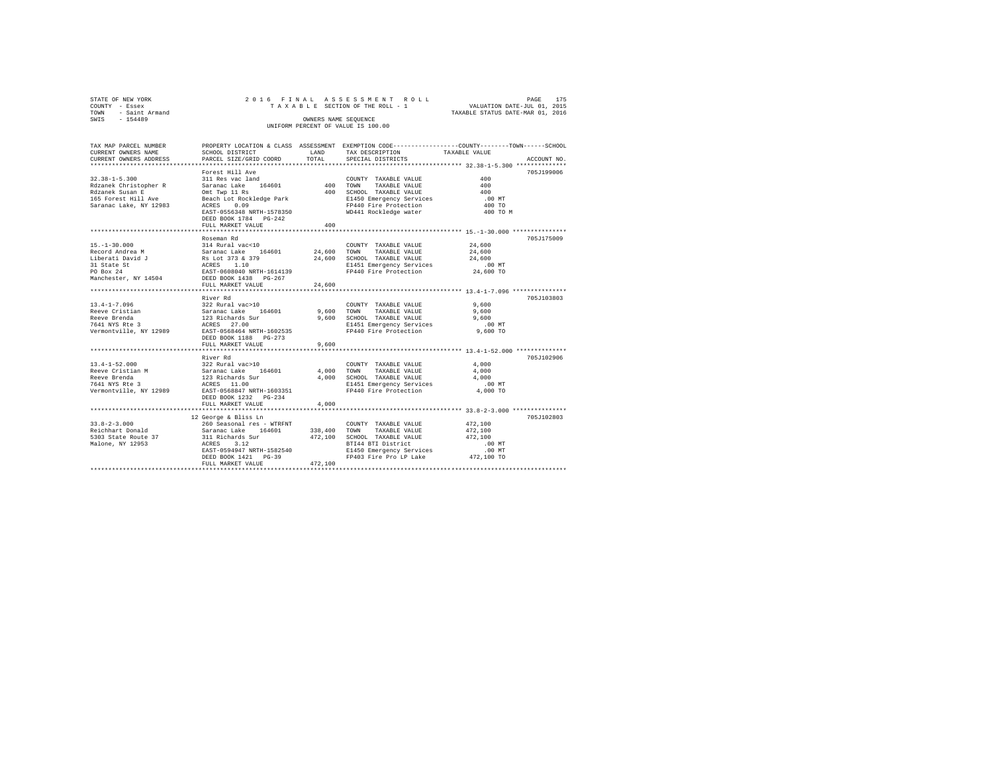| STATE OF NEW YORK<br>COUNTY - Essex<br>- Saint Armand<br>TOWN<br>$-154489$<br>SWIS                                                        |                                                                                                                                                                                                         | OWNERS NAME SEOUENCE    | 2016 FINAL ASSESSMENT ROLL<br>UNIFORM PERCENT OF VALUE IS 100.00                                                                                           | 175<br>PAGE<br>TAXABLE SECTION OF THE ROLL - 1 VALUATION DATE-JUL 01, 2015<br>TAXABLE STATUS DATE-MAR 01, 2016                   |
|-------------------------------------------------------------------------------------------------------------------------------------------|---------------------------------------------------------------------------------------------------------------------------------------------------------------------------------------------------------|-------------------------|------------------------------------------------------------------------------------------------------------------------------------------------------------|----------------------------------------------------------------------------------------------------------------------------------|
| TAX MAP PARCEL NUMBER<br>CURRENT OWNERS NAME<br>CURRENT OWNERS ADDRESS                                                                    | SCHOOL DISTRICT<br>PARCEL SIZE/GRID COORD                                                                                                                                                               | T.AND<br>TOTAL          | TAX DESCRIPTION<br>SPECIAL DISTRICTS                                                                                                                       | PROPERTY LOCATION & CLASS ASSESSMENT EXEMPTION CODE----------------COUNTY-------TOWN------SCHOOL<br>TAXABLE VALUE<br>ACCOUNT NO. |
| $32.38 - 1 - 5.300$<br>Rdzanek Christopher R<br>Rdzanek Susan E<br>165 Forest Hill Ave Beach Lot Rockledge Park<br>Saranac Lake, NY 12983 | Forest Hill Ave<br>311 Res vac land<br>Saranac Lake      164601                        400<br>Omt Twp 11 Rs<br>0.09<br>ACRES<br>EAST-0556348 NRTH-1578350<br>DEED BOOK 1784 PG-242<br>FULL MARKET VALUE | 400<br>400              | COUNTY TAXABLE VALUE<br>TAXABLE VALUE<br>TOWN<br>SCHOOL TAXABLE VALUE<br>E1450 Emergency Services .00 MT<br>FP440 Fire Protection<br>WD441 Rockledge water | 705.T199006<br>400<br>400<br>400<br>400 TO<br>400 TO M                                                                           |
| $15. - 1 - 30.000$<br>Record Andrea M<br>Liberati David J Rs Lot 373 & 379<br>31 State St<br>PO Box 24<br>Manchester, NY 14504            | Roseman Rd<br>314 Rural vac<10<br>Saranac Lake 164601 24,600<br>ACRES 1.10<br>EAST-0608040 NRTH-1614139<br>DEED BOOK 1438 PG-267<br>FULL MARKET VALUE                                                   | 24,600<br>24,600        | COUNTY TAXABLE VALUE 24,600<br>TOWN<br>TAXABLE VALUE 24,600<br>SCHOOL TAXABLE VALUE<br>E1451 Emergency Services<br>FP440 Fire Protection                   | 705.T175009<br>24,600<br>$.00$ MT<br>24,600 TO                                                                                   |
| $13.4 - 1 - 7.096$<br>Reeve Cristian<br>Reeve Brenda<br>7641 NYS Rte 3<br>Vermontville, NY 12989 EAST-0568464 NRTH-1602535                | River Rd<br>322 Rural vac>10<br>Saranac Lake 164601<br>123 Richards Sur<br>ACRES 27.00<br>DEED BOOK 1188 PG-273<br>FULL MARKET VALUE                                                                    | 9,600<br>9,600<br>9,600 | COUNTY TAXABLE VALUE<br>TAXABLE VALUE<br>TOWN<br>SCHOOL TAXABLE VALUE<br>E1451 Emergency Services<br>FP440 Fire Protection 9,600 TO                        | 705J103803<br>9,600<br>9,600<br>9,600<br>.00MT                                                                                   |
|                                                                                                                                           | River Rd                                                                                                                                                                                                |                         |                                                                                                                                                            | 705.T102906                                                                                                                      |

New Brenda Surface Served and the Magnus Community of the Magnus Value (1990)<br>
7641 NYS Res 10.00 MRS 2000 MAGNES 11.00 E1451 Emergency Services .000 MT<br>
7641 NYS Res 2000 1232 PG-234 PEDID NARKET VALUE .<br>
FULL MARKET VALU

FULL MARKET VALUE 472,100 \*\*\*\*\*\*\*\*\*\*\*\*\*\*\*\*\*\*\*\*\*\*\*\*\*\*\*\*\*\*\*\*\*\*\*\*\*\*\*\*\*\*\*\*\*\*\*\*\*\*\*\*\*\*\*\*\*\*\*\*\*\*\*\*\*\*\*\*\*\*\*\*\*\*\*\*\*\*\*\*\*\*\*\*\*\*\*\*\*\*\*\*\*\*\*\*\*\*\*\*\*\*\*\*\*\*\*\*\*\*\*\*\*\*\*\*\*\*\*\*\*\*\*\*\*\*\*\*\*\*\*\*

EAST-0594947 NRTH-1582540 2141 200 000 E1450 Emergency Services .00 MT<br>
DEED BOOK 1421 PG-39 200 FP403 Fire Pro LP Lake 472,100 TO

13.4-1-52.000 322 Rural vac>10 COUNTY TAXABLE VALUE 4,000 Reeve Cristian M Saranac Lake 164601 4,000 TOWN TAXABLE VALUE 4,000

33.8-2-3.000 260 Seasonal res - WTRFNT COUNTY TAXABLE VALUE 472,100 Reichhart Donald Saranac Lake 164601 338,400 TOWN TAXABLE VALUE 472,100 5303 State Route 37 311 Richards Sur 472,100 SCHOOL TAXABLE VALUE 472,100 13.8-2-3.000<br>
12.6eorge & Biss Ln<br>
22.6eorge & Biss Ln<br>
260 Seasonal res – WTRFNT COUNTY TAXABLE VALUE 472,100<br>
Reichhart Domain Savana Cake 164601<br>
338,400 TOWNY TAXABLE VALUE 472,100<br>
5303 State Route 37 311 Richards Sur

 $\begin{tabular}{lllll} \bf DEED\ BOOK 1421 & PG-39 & \\ \bf FULL\ MARKET\ VALUE & 472,100 \end{tabular}$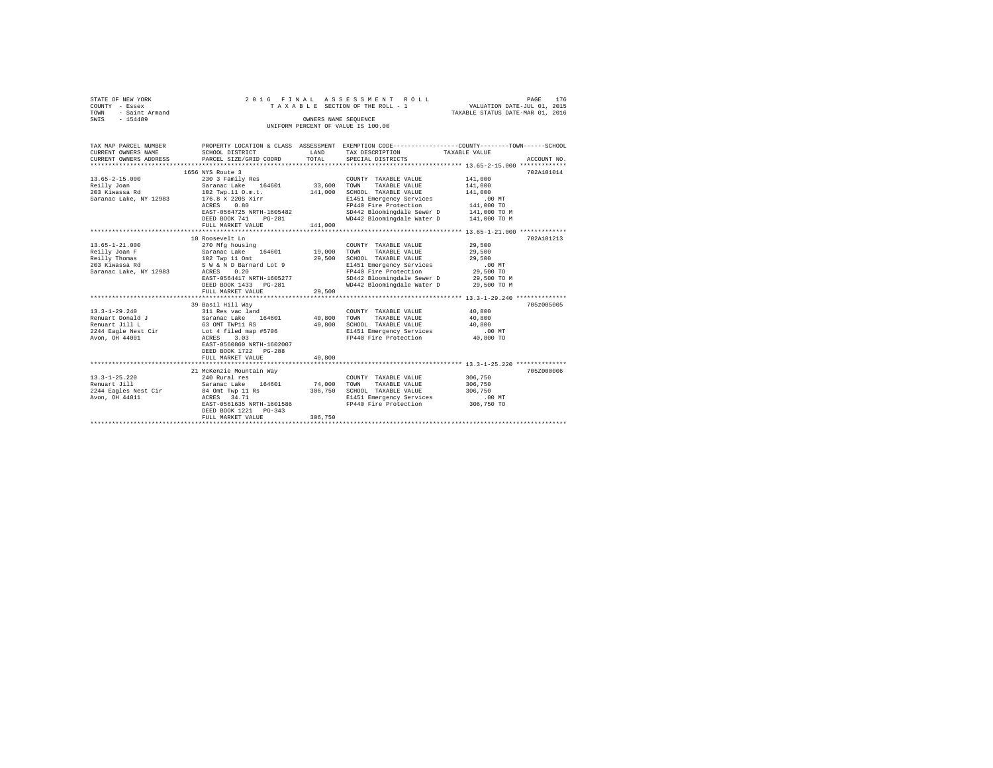| STATE OF NEW YORK                                       |                           |                      | 2016 FINAL ASSESSMENT ROLL         | 176<br>PAGE                                                 |
|---------------------------------------------------------|---------------------------|----------------------|------------------------------------|-------------------------------------------------------------|
| COUNTY - Essex                                          |                           |                      | TAXABLE SECTION OF THE ROLL - 1    | VALUATION DATE-JUL 01, 2015                                 |
| - Saint Armand<br>TOWN                                  |                           |                      |                                    | TAXABLE STATUS DATE-MAR 01, 2016                            |
| SWIS<br>$-154489$                                       |                           | OWNERS NAME SEOUENCE |                                    |                                                             |
|                                                         |                           |                      | UNIFORM PERCENT OF VALUE IS 100.00 |                                                             |
|                                                         |                           |                      |                                    |                                                             |
|                                                         |                           |                      |                                    |                                                             |
| TAX MAP PARCEL NUMBER                                   | PROPERTY LOCATION & CLASS | ASSESSMENT           |                                    | EXEMPTION CODE----------------COUNTY-------TOWN------SCHOOL |
| CURRENT OWNERS NAME                                     | SCHOOL DISTRICT           | LAND                 | TAX DESCRIPTION                    | TAXABLE VALUE                                               |
| CURRENT OWNERS ADDRESS . PARCEL SIZE/GRID COORD . TOTAL |                           |                      | SPECIAL DISTRICTS                  | ACCOUNT NO.                                                 |
|                                                         |                           |                      |                                    |                                                             |
|                                                         | 1656 NYS Route 3          |                      |                                    | 702A101014                                                  |
| 13.65-2-15.000                                          | 230 3 Family Res          |                      | COUNTY TAXABLE VALUE               | 141,000                                                     |
| Reilly Joan                                             | Saranac Lake 164601       | 33,600               | TOWN<br>TAXABLE VALUE              | 141,000                                                     |
| 203 Kiwassa Rd                                          | 102 Twp.11 O.m.t.         | 141,000              | SCHOOL TAXABLE VALUE               | 141,000                                                     |
| Saranac Lake. NY 12983                                  | 176.8 X 220S Xirr         |                      | E1451 Emergency Services           | .00MT                                                       |
|                                                         | 0.80<br>ACRES             |                      | FP440 Fire Protection              | 141,000 TO                                                  |

|                        | .                         |         | FFITO FILE FLUCECLIUM                   | <b>LILIUUU LU</b>                                |            |
|------------------------|---------------------------|---------|-----------------------------------------|--------------------------------------------------|------------|
|                        | EAST-0564725 NRTH-1605482 |         | SD442 Bloomingdale Sewer D              | 141,000 TO M                                     |            |
|                        | DEED BOOK 741<br>$PG-281$ |         | WD442 Bloomingdale Water D 141,000 TO M |                                                  |            |
|                        | FULL MARKET VALUE         | 141,000 |                                         |                                                  |            |
|                        |                           |         |                                         |                                                  |            |
|                        | 10 Roosevelt Ln           |         |                                         |                                                  | 702A101213 |
| $13.65 - 1 - 21.000$   | 270 Mfg housing           |         | COUNTY TAXABLE VALUE                    | 29,500                                           |            |
| Reilly Joan F          | 164601<br>Saranac Lake    | 19,000  | TOWN<br>TAXABLE VALUE                   | 29,500                                           |            |
| Reilly Thomas          | 102 Twp 11 Omt            | 29,500  | SCHOOL TAXABLE VALUE                    | 29,500                                           |            |
| 203 Kiwassa Rd         | S W & N D Barnard Lot 9   |         | E1451 Emergency Services                | $.00$ MT                                         |            |
| Saranac Lake, NY 12983 | ACRES<br>0.20             |         | FP440 Fire Protection                   | 29,500 TO                                        |            |
|                        | EAST-0564417 NRTH-1605277 |         | SD442 Bloomingdale Sewer D              | 29,500 TO M                                      |            |
|                        | DEED BOOK 1433 PG-281     |         | WD442 Bloomingdale Water D              | 29,500 TO M                                      |            |
|                        | FULL MARKET VALUE         | 29,500  |                                         |                                                  |            |
|                        |                           |         |                                         | ******************* 13.3-1-29.240 ************** |            |
|                        | 39 Basil Hill Wav         |         |                                         |                                                  | 705z005005 |
| $13.3 - 1 - 29.240$    | 311 Res vac land          |         | COUNTY TAXABLE VALUE                    | 40,800                                           |            |
| Renuart Donald J       | Saranac Lake<br>164601    | 40,800  | TOWN<br>TAXABLE VALUE                   | 40,800                                           |            |
| Renuart Jill L         | 63 OMT TWP11 RS           | 40,800  | SCHOOL TAXABLE VALUE                    | 40,800                                           |            |
| 2244 Eagle Nest Cir    | Lot 4 filed map #5706     |         | E1451 Emergency Services                | $.00$ MT                                         |            |
| Avon, OH 44001         | ACRES 3.03                |         | FP440 Fire Protection                   | 40,800 TO                                        |            |
|                        | EAST-0560860 NRTH-1602007 |         |                                         |                                                  |            |
|                        | DEED BOOK 1722 PG-288     |         |                                         |                                                  |            |
|                        | FULL MARKET VALUE         | 40,800  |                                         |                                                  |            |
|                        |                           |         |                                         |                                                  |            |
|                        | 21 McKenzie Mountain Wav  |         |                                         |                                                  | 705Z000006 |
| $13.3 - 1 - 25.220$    | 240 Rural res             |         | COUNTY TAXABLE VALUE                    | 306,750                                          |            |
| Renuart Jill           | 164601<br>Saranac Lake    | 74,000  | TAXABLE VALUE<br>TOWN                   | 306,750                                          |            |
| 2244 Eagles Nest Cir   | 84 Omt Twp 11 Rs          | 306,750 | SCHOOL TAXABLE VALUE                    | 306,750                                          |            |
| Avon, OH 44011         | ACRES 34.71               |         | E1451 Emergency Services                | .00MT                                            |            |
|                        | EAST-0561635 NRTH-1601586 |         | FP440 Fire Protection                   | 306,750 TO                                       |            |
|                        | DEED BOOK 1221 PG-343     |         |                                         |                                                  |            |
|                        | FULL MARKET VALUE         | 306,750 |                                         |                                                  |            |
|                        |                           |         |                                         |                                                  |            |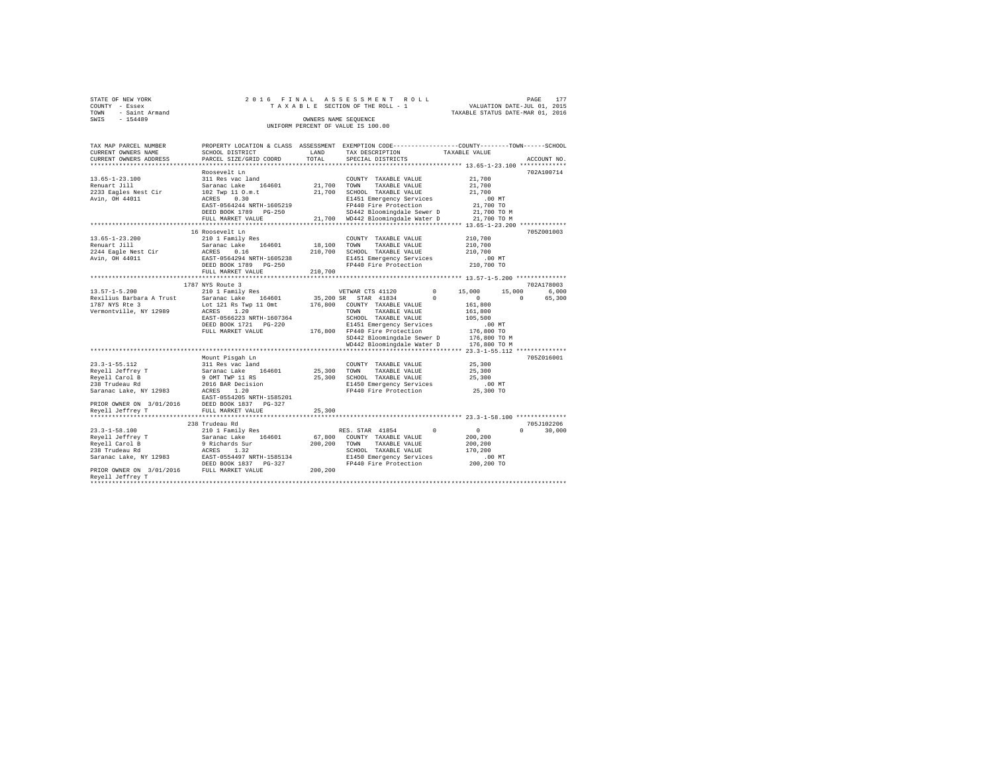| STATE OF NEW YORK      | 2016 FINAL ASSESSMENT ROLL         | 177<br>PAGE                      |
|------------------------|------------------------------------|----------------------------------|
| COUNTY - Essex         | TAXABLE SECTION OF THE ROLL - 1    | VALUATION DATE-JUL 01, 2015      |
| - Saint Armand<br>TOWN |                                    | TAXABLE STATUS DATE-MAR 01, 2016 |
| $-154489$<br>SWIS      | OWNERS NAME SEOUENCE               |                                  |
|                        | UNIFORM PERCENT OF VALUE IS 100.00 |                                  |

| TAX MAP PARCEL NUMBER<br>CURRENT OWNERS NAME | PROPERTY LOCATION & CLASS ASSESSMENT EXEMPTION CODE---------------COUNTY-------TOWN-----SCHOOL<br>SCHOOL DISTRICT | LAND      | TAX DESCRIPTION                                                     |            | TAXABLE VALUE |          |             |
|----------------------------------------------|-------------------------------------------------------------------------------------------------------------------|-----------|---------------------------------------------------------------------|------------|---------------|----------|-------------|
| CURRENT OWNERS ADDRESS                       | PARCEL SIZE/GRID COORD                                                                                            | TOTAL     | SPECIAL DISTRICTS                                                   |            |               |          | ACCOUNT NO. |
| ***********************                      |                                                                                                                   |           |                                                                     |            |               |          |             |
|                                              | Roosevelt Ln                                                                                                      |           |                                                                     |            |               |          | 702A100714  |
| $13.65 - 1 - 23.100$                         | 311 Res vac land                                                                                                  |           | COUNTY TAXABLE VALUE                                                |            | 21,700        |          |             |
| Renuart Jill                                 | Saranac Lake 164601                                                                                               | 21,700    | TOWN<br>TAXABLE VALUE                                               |            | 21,700        |          |             |
| 2233 Eagles Nest Cir                         | 102 Twp 11 O.m.t                                                                                                  | 21,700    | SCHOOL TAXABLE VALUE                                                |            | 21,700        |          |             |
| Avin, OH 44011                               | ACRES<br>0.30                                                                                                     |           | E1451 Emergency Services                                            |            | $.00$ MT      |          |             |
|                                              | EAST-0564244 NRTH-1605219                                                                                         |           | FP440 Fire Protection                                               |            | 21,700 TO     |          |             |
|                                              | DEED BOOK 1789 PG-250                                                                                             |           | SD442 Bloomingdale Sewer D                                          |            | 21,700 TO M   |          |             |
|                                              | FULL MARKET VALUE                                                                                                 | 21,700    | WD442 Bloomingdale Water D                                          |            | 21,700 TO M   |          |             |
|                                              | ************************                                                                                          |           | ********************************** 13.65-1-23.200 *************     |            |               |          |             |
|                                              | 16 Roosevelt Ln                                                                                                   |           |                                                                     |            |               |          | 705Z001003  |
| $13.65 - 1 - 23.200$                         | 210 1 Family Res                                                                                                  |           | COUNTY TAXABLE VALUE                                                |            | 210,700       |          |             |
| Renuart Jill                                 | 164601<br>Saranac Lake                                                                                            | 18,100    | TOWN<br>TAXABLE VALUE                                               |            | 210,700       |          |             |
| 2244 Eagle Nest Cir                          | 0.16<br>ACRES                                                                                                     | 210,700   | SCHOOL TAXABLE VALUE                                                |            | 210,700       |          |             |
| Avin, OH 44011                               | EAST-0564294 NRTH-1605238                                                                                         |           | E1451 Emergency Services                                            |            | $.00$ MT      |          |             |
|                                              | DEED BOOK 1789 PG-250                                                                                             |           | FP440 Fire Protection                                               |            | 210,700 TO    |          |             |
|                                              | FULL MARKET VALUE                                                                                                 | 210,700   |                                                                     |            |               |          |             |
|                                              |                                                                                                                   |           |                                                                     |            |               |          |             |
|                                              | 1787 NYS Route 3                                                                                                  |           |                                                                     |            |               |          | 702A178003  |
| $13.57 - 1 - 5.200$                          | 210 1 Family Res                                                                                                  |           | VETWAR CTS 41120                                                    | $\Omega$   | 15,000        | 15,000   | 6,000       |
| Rexilius Barbara A Trust                     | Saranac Lake 164601                                                                                               | 35,200 SR | STAR 41834                                                          | $^{\circ}$ | $^{\circ}$    | $\Omega$ | 65,300      |
| 1787 NYS Rte 3                               | Lot 121 Rs Twp 11 Omt                                                                                             | 176,800   | COUNTY TAXABLE VALUE                                                |            | 161,800       |          |             |
| Vermontville, NY 12989                       | ACRES 1.20                                                                                                        |           | TAXABLE VALUE<br>TOWN                                               |            | 161,800       |          |             |
|                                              | EAST-0566223 NRTH-1607364                                                                                         |           | SCHOOL TAXABLE VALUE                                                |            | 105,500       |          |             |
|                                              | DEED BOOK 1721    PG-220                                                                                          |           | E1451 Emergency Services                                            |            | $.00$ MT      |          |             |
|                                              | FULL MARKET VALUE                                                                                                 |           | 176,800 FP440 Fire Protection                                       |            | 176,800 TO    |          |             |
|                                              |                                                                                                                   |           | SD442 Bloomingdale Sewer D                                          |            | 176,800 TO M  |          |             |
|                                              |                                                                                                                   |           | WD442 Bloomingdale Water D                                          |            | 176,800 TO M  |          |             |
|                                              |                                                                                                                   |           | ************************************** 23.3-1-55.112 ************** |            |               |          |             |
|                                              | Mount Pisgah Ln                                                                                                   |           |                                                                     |            |               |          | 705Z016001  |
| $23.3 - 1 - 55.112$                          | 311 Res vac land                                                                                                  |           | COUNTY TAXABLE VALUE                                                |            | 25,300        |          |             |
| Reyell Jeffrey T                             | Saranac Lake 164601                                                                                               |           | 25,300 TOWN<br>TAXABLE VALUE                                        |            | 25,300        |          |             |
| Revell Carol B                               | 9 OMT TWP 11 RS                                                                                                   | 25,300    | SCHOOL TAXABLE VALUE                                                |            | 25,300        |          |             |
| 238 Trudeau Rd                               | 2016 BAR Decision                                                                                                 |           | E1450 Emergency Services                                            |            | $.00$ MT      |          |             |
| Saranac Lake, NY 12983                       | ACRES<br>1.20                                                                                                     |           | FP440 Fire Protection                                               |            | 25,300 TO     |          |             |
|                                              | EAST-0554205 NRTH-1585201                                                                                         |           |                                                                     |            |               |          |             |
| PRIOR OWNER ON 3/01/2016                     | DEED BOOK 1837 PG-327                                                                                             |           |                                                                     |            |               |          |             |
| Revell Jeffrey T                             | FULL MARKET VALUE                                                                                                 | 25,300    |                                                                     |            |               |          |             |
|                                              |                                                                                                                   |           |                                                                     |            |               |          |             |
|                                              | 238 Trudeau Rd                                                                                                    |           |                                                                     |            |               |          | 705J102206  |
| $23.3 - 1 - 58.100$                          | 210 1 Family Res                                                                                                  |           | RES. STAR 41854                                                     | $\circ$    | $\circ$       | $\Omega$ | 30,000      |
| Reyell Jeffrey T                             | Saranac Lake 164601                                                                                               | 67,800    | COUNTY TAXABLE VALUE                                                |            | 200,200       |          |             |
| Reyell Carol B                               | 9 Richards Sur                                                                                                    | 200,200   | TAXABLE VALUE<br>TOWN                                               |            | 200,200       |          |             |
| 238 Trudeau Rd                               | ACRES 1.32                                                                                                        |           | SCHOOL TAXABLE VALUE                                                |            | 170,200       |          |             |
| Saranac Lake, NY 12983                       | EAST-0554497 NRTH-1585134                                                                                         |           | E1450 Emergency Services                                            |            | .00MT         |          |             |
|                                              | DEED BOOK 1837 PG-327                                                                                             |           | FP440 Fire Protection                                               |            | 200,200 TO    |          |             |
| PRIOR OWNER ON 3/01/2016 FULL MARKET VALUE   |                                                                                                                   | 200,200   |                                                                     |            |               |          |             |
| Reyell Jeffrey T                             |                                                                                                                   |           |                                                                     |            |               |          |             |
|                                              |                                                                                                                   |           |                                                                     |            |               |          |             |
|                                              |                                                                                                                   |           |                                                                     |            |               |          |             |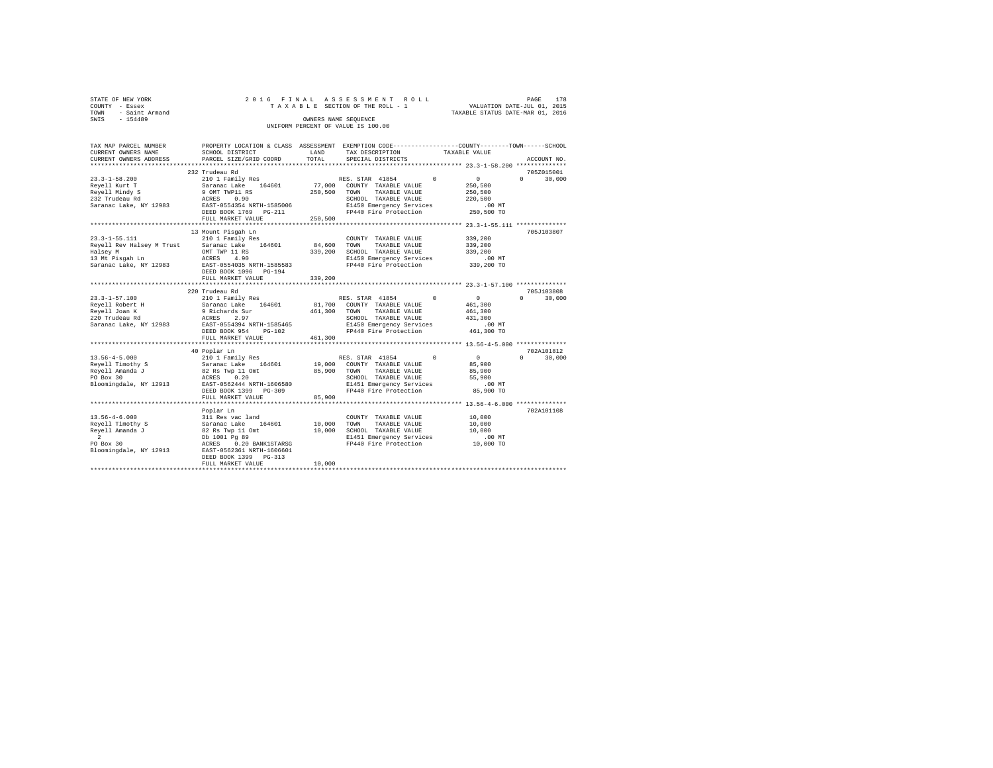| 2016 FINAL ASSESSMENT ROLL         | 178<br>PAGE                      |
|------------------------------------|----------------------------------|
| TAXABLE SECTION OF THE ROLL - 1    | VALUATION DATE-JUL 01, 2015      |
|                                    | TAXABLE STATUS DATE-MAR 01, 2016 |
| OWNERS NAME SEOUENCE               |                                  |
| UNIFORM PERCENT OF VALUE IS 100.00 |                                  |
|                                    |                                  |

| TAX MAP PARCEL NUMBER<br>CURRENT OWNERS NAME | PROPERTY LOCATION & CLASS ASSESSMENT EXEMPTION CODE---------------COUNTY-------TOWN------SCHOOL<br>SCHOOL DISTRICT | LAND    | TAX DESCRIPTION                                                  | TAXABLE VALUE                                                    |                             |
|----------------------------------------------|--------------------------------------------------------------------------------------------------------------------|---------|------------------------------------------------------------------|------------------------------------------------------------------|-----------------------------|
| CURRENT OWNERS ADDRESS                       | PARCEL SIZE/GRID COORD                                                                                             | TOTAL   | SPECIAL DISTRICTS                                                |                                                                  | ACCOUNT NO.                 |
|                                              |                                                                                                                    |         |                                                                  |                                                                  |                             |
|                                              | 232 Trudeau Rd                                                                                                     |         |                                                                  |                                                                  | 705Z015001                  |
|                                              |                                                                                                                    |         |                                                                  |                                                                  | $0 \t 30,000$               |
|                                              |                                                                                                                    |         |                                                                  |                                                                  |                             |
|                                              |                                                                                                                    |         |                                                                  |                                                                  |                             |
|                                              |                                                                                                                    |         |                                                                  |                                                                  |                             |
|                                              |                                                                                                                    |         |                                                                  |                                                                  |                             |
|                                              | DEED BOOK 1769 PG-211                                                                                              |         | FP440 Fire Protection 250,500 TO                                 |                                                                  |                             |
|                                              | FULL MARKET VALUE                                                                                                  | 250,500 |                                                                  |                                                                  |                             |
|                                              |                                                                                                                    |         |                                                                  |                                                                  |                             |
|                                              | 13 Mount Pisqah Ln                                                                                                 |         |                                                                  |                                                                  | 705J103807                  |
| 23.3-1-55.111                                | 210 1 Family Res                                                                                                   |         | COUNTY TAXABLE VALUE                                             | 339,200                                                          |                             |
|                                              |                                                                                                                    |         |                                                                  |                                                                  |                             |
|                                              |                                                                                                                    |         |                                                                  |                                                                  |                             |
|                                              |                                                                                                                    |         |                                                                  |                                                                  |                             |
|                                              |                                                                                                                    |         |                                                                  |                                                                  |                             |
|                                              |                                                                                                                    |         |                                                                  |                                                                  |                             |
|                                              | FULL MARKET VALUE                                                                                                  | 339,200 |                                                                  |                                                                  |                             |
|                                              |                                                                                                                    |         |                                                                  |                                                                  |                             |
|                                              | 220 Trudeau Rd                                                                                                     |         |                                                                  |                                                                  | 705J103808                  |
| $23.3 - 1 - 57.100$                          |                                                                                                                    |         |                                                                  | $\sim$ 0 $\sim$                                                  | $0 \qquad \qquad$<br>30,000 |
|                                              |                                                                                                                    |         |                                                                  | 461,300                                                          |                             |
|                                              |                                                                                                                    |         |                                                                  | 461,300                                                          |                             |
|                                              |                                                                                                                    |         |                                                                  | 431,300                                                          |                             |
|                                              |                                                                                                                    |         |                                                                  | 00 MT.<br>461,300 TO                                             |                             |
|                                              |                                                                                                                    |         | FP440 Fire Protection                                            |                                                                  |                             |
|                                              | FULL MARKET VALUE                                                                                                  | 461,300 |                                                                  |                                                                  |                             |
|                                              |                                                                                                                    |         |                                                                  |                                                                  |                             |
|                                              | 40 Poplar Ln                                                                                                       |         |                                                                  |                                                                  | 702A101812                  |
|                                              |                                                                                                                    |         |                                                                  |                                                                  | $0 \t 30,000$               |
|                                              |                                                                                                                    |         |                                                                  |                                                                  |                             |
|                                              |                                                                                                                    |         |                                                                  |                                                                  |                             |
|                                              |                                                                                                                    |         |                                                                  |                                                                  |                             |
|                                              |                                                                                                                    |         |                                                                  | .00 MT                                                           |                             |
|                                              | DEED BOOK 1399 PG-309                                                                                              |         | FP440 Fire Protection 85,900 TO                                  |                                                                  |                             |
|                                              | FULL MARKET VALUE                                                                                                  | 85,900  |                                                                  |                                                                  |                             |
|                                              | ***********************                                                                                            |         |                                                                  | ********************************* 13.56-4-6.000 **************** |                             |
|                                              | Poplar Ln                                                                                                          |         |                                                                  |                                                                  | 702A101108                  |
|                                              |                                                                                                                    |         |                                                                  |                                                                  |                             |
|                                              |                                                                                                                    |         |                                                                  |                                                                  |                             |
|                                              |                                                                                                                    |         |                                                                  |                                                                  |                             |
|                                              |                                                                                                                    |         | E1451 Emergency Services .00 MT<br>FP440 Fire Protection .000 TO |                                                                  |                             |
|                                              |                                                                                                                    |         |                                                                  |                                                                  |                             |
|                                              |                                                                                                                    |         |                                                                  |                                                                  |                             |
|                                              | DEED BOOK 1399 PG-313                                                                                              |         |                                                                  |                                                                  |                             |
|                                              | FULL MARKET VALUE                                                                                                  | 10,000  |                                                                  |                                                                  |                             |
|                                              |                                                                                                                    |         |                                                                  |                                                                  |                             |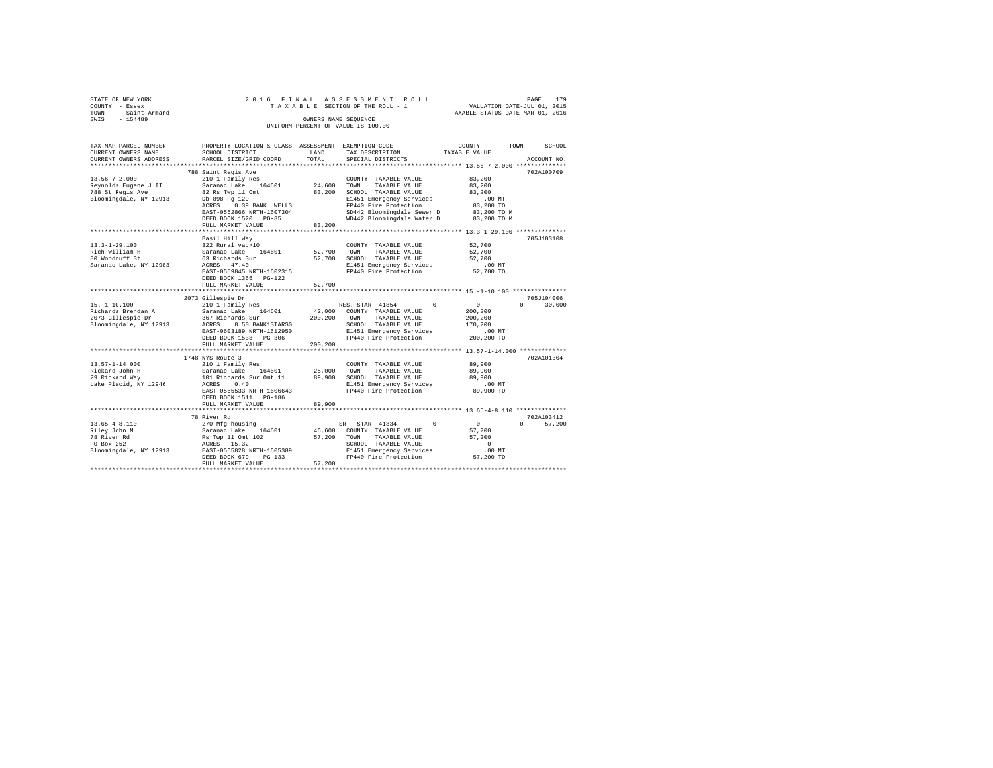| TOWN<br>SWTS | STATE OF NEW YORK<br>COUNTY - Essex<br>- Saint Armand<br>$-154489$ |                                      | OWNERS NAME SEOUENCE | 2016 FINAL ASSESSMENT ROLL<br>TAXABLE SECTION OF THE ROLL - 1<br>UNIFORM PERCENT OF VALUE IS 100.00 | VALUATION DATE-JUL 01, 2015<br>TAXABLE STATUS DATE-MAR 01, 2016 | 179<br>PAGE |
|--------------|--------------------------------------------------------------------|--------------------------------------|----------------------|-----------------------------------------------------------------------------------------------------|-----------------------------------------------------------------|-------------|
|              |                                                                    |                                      |                      |                                                                                                     |                                                                 |             |
|              | TAX MAP PARCEL NUMBER                                              | PROPERTY LOCATION & CLASS ASSESSMENT |                      |                                                                                                     | EXEMPTION CODE-----------------COUNTY-------TOWN------SCHOOL    |             |
|              | CURRENT OWNERS NAME                                                | SCHOOL DISTRICT                      | LAND                 | TAX DESCRIPTION                                                                                     | TAXABLE VALUE                                                   |             |
|              | CURRENT OWNERS ADDRESS                                             | PARCEL SIZE/GRID COORD               | TOTAL                | SPECIAL DISTRICTS                                                                                   |                                                                 | ACCOUNT NO. |

| CURRENT OWNERS ADDRESS | PARCEL SIZE/GRID COORD                  | TOTAL   | SPECIAL DISTRICTS                         |              | ACCOUNT NO         |
|------------------------|-----------------------------------------|---------|-------------------------------------------|--------------|--------------------|
|                        |                                         |         | ***************** 13.56-7-2.000 ********  |              |                    |
| $13.56 - 7 - 2.000$    | 788 Saint Regis Ave<br>210 1 Family Res |         | COUNTY TAXABLE VALUE                      | 83,200       | 702A100709         |
| Reynolds Eugene J II   | Saranac Lake 164601                     | 24,600  | TOWN<br>TAXABLE VALUE                     | 83,200       |                    |
| 788 St Regis Ave       | 82 Rs Twp 11 Omt                        | 83,200  | SCHOOL TAXABLE VALUE                      | 83,200       |                    |
| Bloomingdale, NY 12913 | Db 898 Pa 129                           |         | E1451 Emergency Services                  | $.00$ MT     |                    |
|                        | 0.39 BANK WELLS<br>ACRES                |         | FP440 Fire Protection                     | 83,200 TO    |                    |
|                        | EAST-0562866 NRTH-1607304               |         | SD442 Bloomingdale Sewer D                | 83,200 TO M  |                    |
|                        | DEED BOOK 1520 PG-85                    |         | WD442 Bloomingdale Water D                | 83,200 TO M  |                    |
|                        | FULL MARKET VALUE                       | 83,200  |                                           |              |                    |
|                        | **************************              |         |                                           |              |                    |
|                        | Basil Hill Wav                          |         |                                           |              | 705J103108         |
| $13.3 - 1 - 29.100$    | 322 Rural vac>10                        |         | COUNTY TAXABLE VALUE                      | 52,700       |                    |
| Rich William H         | Saranac Lake 164601                     | 52,700  | TOWN<br>TAXABLE VALUE                     | 52,700       |                    |
| 80 Woodruff St         | 63 Richards Sur                         | 52,700  | SCHOOL TAXABLE VALUE                      | 52,700       |                    |
| Saranac Lake, NY 12983 | ACRES 47.40                             |         | E1451 Emergency Services                  | .00MT        |                    |
|                        | EAST-0559845 NRTH-1602315               |         | FP440 Fire Protection                     | 52,700 TO    |                    |
|                        | DEED BOOK 1365 PG-122                   |         |                                           |              |                    |
|                        | FULL MARKET VALUE                       | 52,700  |                                           |              |                    |
|                        |                                         |         | ******************** 15.-1-10.100 ******* |              |                    |
|                        | 2073 Gillespie Dr                       |         |                                           |              | 705.T104006        |
| $15. - 1 - 10.100$     | 210 1 Family Res                        |         | $\sim$ 0<br>RES. STAR 41854               | $\mathbf{0}$ | $\Omega$<br>30,000 |
| Richards Brendan A     | Saranac Lake 164601                     | 42,000  | COUNTY TAXABLE VALUE                      | 200,200      |                    |
| 2073 Gillespie Dr      | 367 Richards Sur                        |         | 200,200 TOWN TAXABLE VALUE                | 200,200      |                    |
| Bloomingdale, NY 12913 | 8.50 BANK1STARSG<br>ACRES               |         | SCHOOL TAXABLE VALUE                      | 170,200      |                    |
|                        | EAST-0603189 NRTH-1612950               |         | E1451 Emergency Services                  | $.00$ MT     |                    |
|                        | DEED BOOK 1538 PG-306                   |         | FP440 Fire Protection                     | 200,200 TO   |                    |
|                        | FULL MARKET VALUE                       | 200,200 |                                           |              |                    |
|                        |                                         |         |                                           |              |                    |
|                        | 1748 NYS Route 3                        |         |                                           |              | 702A101304         |
| $13.57 - 1 - 14.000$   | 210 1 Family Res                        |         | COUNTY TAXABLE VALUE                      | 89,900       |                    |
| Rickard John H         | Saranac Lake<br>164601                  | 25,000  | TOWN<br>TAXABLE VALUE                     | 89,900       |                    |
| 29 Rickard Way         | 101 Richards Sur Omt 11                 | 89,900  | SCHOOL TAXABLE VALUE                      | 89,900       |                    |
| Lake Placid, NY 12946  | ACRES<br>0.40                           |         | E1451 Emergency Services                  | $.00$ MT     |                    |
|                        | EAST-0565533 NRTH-1606643               |         | FP440 Fire Protection                     | 89,900 TO    |                    |
|                        | DEED BOOK 1511 PG-186                   |         |                                           |              |                    |
|                        | FULL MARKET VALUE                       | 89,900  |                                           |              |                    |
|                        | 78 River Rd                             |         |                                           |              | 702A103412         |
| $13.65 - 4 - 8.110$    | 270 Mfg housing                         |         | $\Omega$<br>SR STAR 41834                 | $\sim$ 0     | $\Omega$<br>57,200 |
| Riley John M           | Saranac Lake 164601                     |         | 46,600 COUNTY TAXABLE VALUE               | 57,200       |                    |
| 78 River Rd            | Rs Twp 11 Omt 102                       | 57,200  | TAXABLE VALUE<br>TOWN                     | 57,200       |                    |
| PO Box 252             | ACRES 15.32                             |         | SCHOOL TAXABLE VALUE                      | $\Omega$     |                    |
| Bloomingdale, NY 12913 | EAST-0565828 NRTH-1605389               |         | E1451 Emergency Services                  | $.00$ MT     |                    |
|                        | DEED BOOK 679<br>$PG-133$               |         | FP440 Fire Protection                     | 57,200 TO    |                    |
|                        | FULL MARKET VALUE                       | 57.200  |                                           |              |                    |
|                        |                                         |         |                                           |              |                    |
|                        |                                         |         |                                           |              |                    |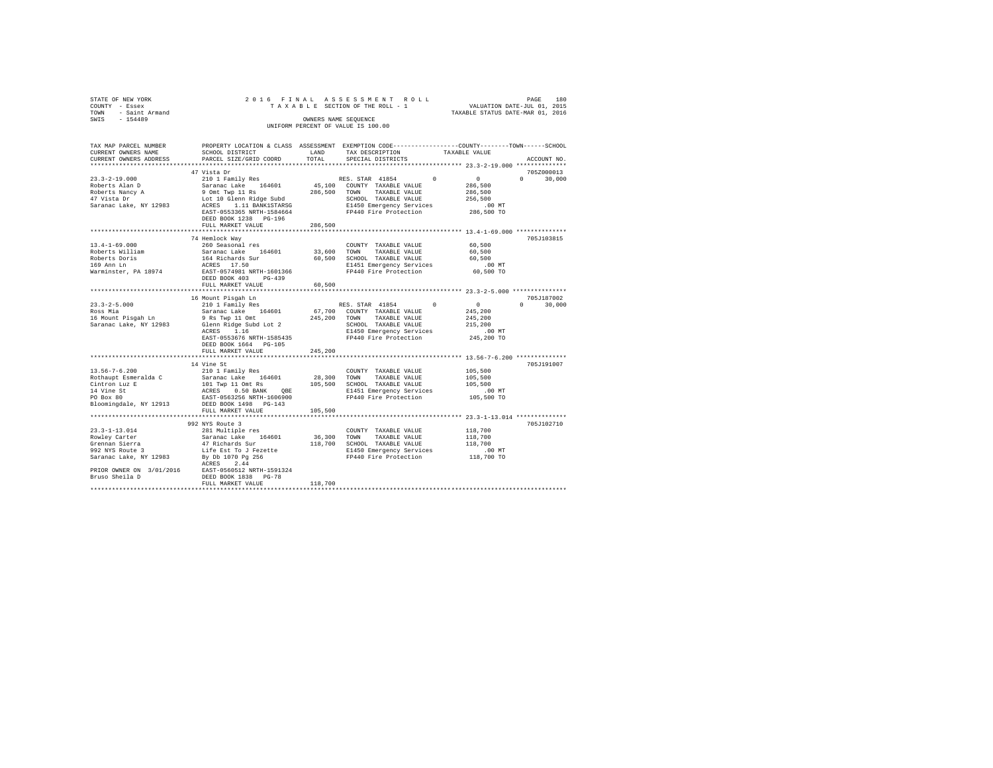| STATE OF NEW YORK<br>COUNTY - Essex<br>TOWN - Saint Armand<br>SWIS - 154489 |                                                                                                                                                                                                                                                                                                                                                                                                                                                                            |         |                                                                                                |                                  |               |
|-----------------------------------------------------------------------------|----------------------------------------------------------------------------------------------------------------------------------------------------------------------------------------------------------------------------------------------------------------------------------------------------------------------------------------------------------------------------------------------------------------------------------------------------------------------------|---------|------------------------------------------------------------------------------------------------|----------------------------------|---------------|
|                                                                             |                                                                                                                                                                                                                                                                                                                                                                                                                                                                            |         |                                                                                                |                                  |               |
|                                                                             |                                                                                                                                                                                                                                                                                                                                                                                                                                                                            |         |                                                                                                | TAXABLE STATUS DATE-MAR 01, 2016 |               |
|                                                                             |                                                                                                                                                                                                                                                                                                                                                                                                                                                                            |         | OWNERS NAME SEQUENCE                                                                           |                                  |               |
|                                                                             |                                                                                                                                                                                                                                                                                                                                                                                                                                                                            |         | UNIFORM PERCENT OF VALUE IS 100.00                                                             |                                  |               |
|                                                                             |                                                                                                                                                                                                                                                                                                                                                                                                                                                                            |         |                                                                                                |                                  |               |
| TAX MAP PARCEL NUMBER                                                       |                                                                                                                                                                                                                                                                                                                                                                                                                                                                            |         | PROPERTY LOCATION & CLASS ASSESSMENT EXEMPTION CODE---------------COUNTY-------TOWN-----SCHOOL |                                  |               |
| CURRENT OWNERS NAME                                                         | SCHOOL DISTRICT                                                                                                                                                                                                                                                                                                                                                                                                                                                            | LAND    | TAX DESCRIPTION                                                                                | TAXABLE VALUE                    |               |
| CURRENT OWNERS ADDRESS                                                      | PARCEL SIZE/GRID COORD                                                                                                                                                                                                                                                                                                                                                                                                                                                     | TOTAL   | SPECIAL DISTRICTS                                                                              |                                  | ACCOUNT NO.   |
|                                                                             |                                                                                                                                                                                                                                                                                                                                                                                                                                                                            |         |                                                                                                |                                  |               |
|                                                                             | 47 Vista Dr                                                                                                                                                                                                                                                                                                                                                                                                                                                                |         |                                                                                                |                                  | 705Z000013    |
| $23.3 - 2 - 19.000$                                                         | 210 1 Family Res                                                                                                                                                                                                                                                                                                                                                                                                                                                           |         | RES. STAR 41854 0                                                                              | $\sim$ 0                         | $0 \t 30,000$ |
|                                                                             |                                                                                                                                                                                                                                                                                                                                                                                                                                                                            |         | 45,100 COUNTY TAXABLE VALUE                                                                    | 286,500                          |               |
|                                                                             |                                                                                                                                                                                                                                                                                                                                                                                                                                                                            |         | 286,500 TOWN TAXABLE VALUE                                                                     | 286,500                          |               |
|                                                                             | Example 18 Ann D<br>Roberts Nancy A<br>19 Omt Twp 11 Rs<br>19 Omt Twp 11 Rs<br>19 Omt Twp 11 Rs<br>Lot 10 Glamp Pias Lot 10 Clamp<br>19 Ann Pias Lot 10 Clamp Pias Lot 10 Clamp Pias Lot 10 Clamp Pias Lot 10<br>2010                                                                                                                                                                                                                                                      |         | SCHOOL TAXABLE VALUE                                                                           | 256,500                          |               |
| Saranac Lake, NY 12983                                                      | Lot 10 Glenn Ridge Subd<br>ACRES 1.11 BANK1STARSG<br>EAST-0553365 NRTH-1584664                                                                                                                                                                                                                                                                                                                                                                                             |         | E1450 Emergency Services                                                                       | .00 MT                           |               |
|                                                                             |                                                                                                                                                                                                                                                                                                                                                                                                                                                                            |         | FP440 Fire Protection                                                                          | 286,500 TO                       |               |
|                                                                             | DEED BOOK 1238 PG-196                                                                                                                                                                                                                                                                                                                                                                                                                                                      |         |                                                                                                |                                  |               |
|                                                                             | FULL MARKET VALUE                                                                                                                                                                                                                                                                                                                                                                                                                                                          | 286,500 |                                                                                                |                                  |               |
|                                                                             |                                                                                                                                                                                                                                                                                                                                                                                                                                                                            |         |                                                                                                |                                  |               |
|                                                                             | 74 Hemlock Way                                                                                                                                                                                                                                                                                                                                                                                                                                                             |         |                                                                                                |                                  | 705J103815    |
| $13.4 - 1 - 69.000$                                                         | 260 Seasonal res                                                                                                                                                                                                                                                                                                                                                                                                                                                           |         | COUNTY TAXABLE VALUE 60,500                                                                    |                                  |               |
| Roberts William                                                             | Saranac Lake 164601<br>164 Richards Sur<br>ACRES 17.50<br>EAST-0574981 NRTH-1601366                                                                                                                                                                                                                                                                                                                                                                                        |         | 33,600 TOWN TAXABLE VALUE                                                                      | 60,500                           |               |
|                                                                             |                                                                                                                                                                                                                                                                                                                                                                                                                                                                            |         | 60.500 SCHOOL TAXABLE VALUE                                                                    | 60,500                           |               |
| Roberts Doris<br>169 Ann Ln                                                 |                                                                                                                                                                                                                                                                                                                                                                                                                                                                            |         | E1451 Emergency Services                                                                       | $.00$ MT                         |               |
| Warminster, PA 18974                                                        |                                                                                                                                                                                                                                                                                                                                                                                                                                                                            |         | FP440 Fire Protection                                                                          | 60,500 TO                        |               |
|                                                                             | DEED BOOK 403 PG-439                                                                                                                                                                                                                                                                                                                                                                                                                                                       |         |                                                                                                |                                  |               |
|                                                                             | FULL MARKET VALUE                                                                                                                                                                                                                                                                                                                                                                                                                                                          | 60,500  |                                                                                                |                                  |               |
|                                                                             |                                                                                                                                                                                                                                                                                                                                                                                                                                                                            |         |                                                                                                |                                  |               |
|                                                                             | 16 Mount Pisqah Ln                                                                                                                                                                                                                                                                                                                                                                                                                                                         |         |                                                                                                |                                  | 705J187002    |
| $23.3 - 2 - 5.000$                                                          | 210 1 Family Res                                                                                                                                                                                                                                                                                                                                                                                                                                                           |         | RES. STAR 41854 0 0                                                                            |                                  | $0 \t 30,000$ |
| Ross Mia                                                                    |                                                                                                                                                                                                                                                                                                                                                                                                                                                                            |         |                                                                                                | 245,200                          |               |
| 16 Mount Pisgah Ln                                                          |                                                                                                                                                                                                                                                                                                                                                                                                                                                                            |         |                                                                                                | 245,200                          |               |
| Saranac Lake, NY 12983                                                      |                                                                                                                                                                                                                                                                                                                                                                                                                                                                            |         |                                                                                                | 215,200                          |               |
|                                                                             |                                                                                                                                                                                                                                                                                                                                                                                                                                                                            |         | E1450 Emergency Services                                                                       | $.00$ MT                         |               |
|                                                                             |                                                                                                                                                                                                                                                                                                                                                                                                                                                                            |         | EAST-0553676 NRTH-1585435 FP440 Fire Protection 245,200 TO                                     |                                  |               |
|                                                                             | DEED BOOK 1664 PG-105                                                                                                                                                                                                                                                                                                                                                                                                                                                      |         |                                                                                                |                                  |               |
|                                                                             | FULL MARKET VALUE                                                                                                                                                                                                                                                                                                                                                                                                                                                          | 245,200 |                                                                                                |                                  |               |
|                                                                             |                                                                                                                                                                                                                                                                                                                                                                                                                                                                            |         |                                                                                                |                                  |               |
|                                                                             | 14 Vine St                                                                                                                                                                                                                                                                                                                                                                                                                                                                 |         |                                                                                                |                                  | 705J191007    |
| $13.56 - 7 - 6.200$                                                         | 210 1 Family Res                                                                                                                                                                                                                                                                                                                                                                                                                                                           |         | COUNTY TAXABLE VALUE                                                                           | 105,500                          |               |
| Rothaupt Esmeralda C<br>Cintron Luz E<br>14 Vine St<br>PO Box 80            | Saranac Lake 164601 28,300 TOWN TAXABLE VALUE<br>10T EVE 150 BANK 0BE 105,500 SCHOOL TAXABLE VALUE<br>ACRES 150 BANK 0BE 1151 E ENTIRE PRESENTICES<br>CRES 160 BANK 160600 B1451 E ETTER OF PRESENTICES                                                                                                                                                                                                                                                                    |         |                                                                                                | 105,500                          |               |
|                                                                             |                                                                                                                                                                                                                                                                                                                                                                                                                                                                            |         |                                                                                                | 105,500                          |               |
|                                                                             |                                                                                                                                                                                                                                                                                                                                                                                                                                                                            |         |                                                                                                | .00 MT                           |               |
|                                                                             | EAST-0563256 NRTH-1606900                                                                                                                                                                                                                                                                                                                                                                                                                                                  |         | FP440 Fire Protection                                                                          | 105,500 TO                       |               |
|                                                                             | Bloomingdale, NY 12913 DEED BOOK 1498 PG-143                                                                                                                                                                                                                                                                                                                                                                                                                               |         |                                                                                                |                                  |               |
|                                                                             | FULL MARKET VALUE                                                                                                                                                                                                                                                                                                                                                                                                                                                          | 105,500 |                                                                                                |                                  |               |
|                                                                             |                                                                                                                                                                                                                                                                                                                                                                                                                                                                            |         |                                                                                                |                                  |               |
|                                                                             | 992 NYS Route 3                                                                                                                                                                                                                                                                                                                                                                                                                                                            |         |                                                                                                |                                  | 705J102710    |
|                                                                             |                                                                                                                                                                                                                                                                                                                                                                                                                                                                            |         |                                                                                                |                                  |               |
|                                                                             |                                                                                                                                                                                                                                                                                                                                                                                                                                                                            |         |                                                                                                |                                  |               |
|                                                                             |                                                                                                                                                                                                                                                                                                                                                                                                                                                                            |         |                                                                                                |                                  |               |
|                                                                             |                                                                                                                                                                                                                                                                                                                                                                                                                                                                            |         |                                                                                                |                                  |               |
|                                                                             |                                                                                                                                                                                                                                                                                                                                                                                                                                                                            |         |                                                                                                |                                  |               |
|                                                                             |                                                                                                                                                                                                                                                                                                                                                                                                                                                                            |         |                                                                                                |                                  |               |
|                                                                             |                                                                                                                                                                                                                                                                                                                                                                                                                                                                            |         |                                                                                                |                                  |               |
|                                                                             | $\begin{array}{lllll} & \multicolumn{2}{c}{\text{CPES}} & \multicolumn{2}{c}{\text{CPE}} & \multicolumn{2}{c}{\text{CPE}} & \multicolumn{2}{c}{\text{CPE}} \\ & \multicolumn{2}{c}{\text{RTE}} & \multicolumn{2}{c}{\text{RCE}} & \multicolumn{2}{c}{\text{RCE}} & \multicolumn{2}{c}{\text{RCE}} & \multicolumn{2}{c}{\text{RSE}} \\ & \multicolumn{2}{c}{\text{RTE}} & \multicolumn{2}{c}{\text{RCE}} & \multicolumn{2}{c}{\text{RSE}} & \multicolumn{2}{c}{\text{RSE}}$ | 118,700 |                                                                                                |                                  |               |
|                                                                             |                                                                                                                                                                                                                                                                                                                                                                                                                                                                            |         |                                                                                                |                                  |               |

| FULL MARKET VALUE | 118.700 |
|-------------------|---------|
|                   |         |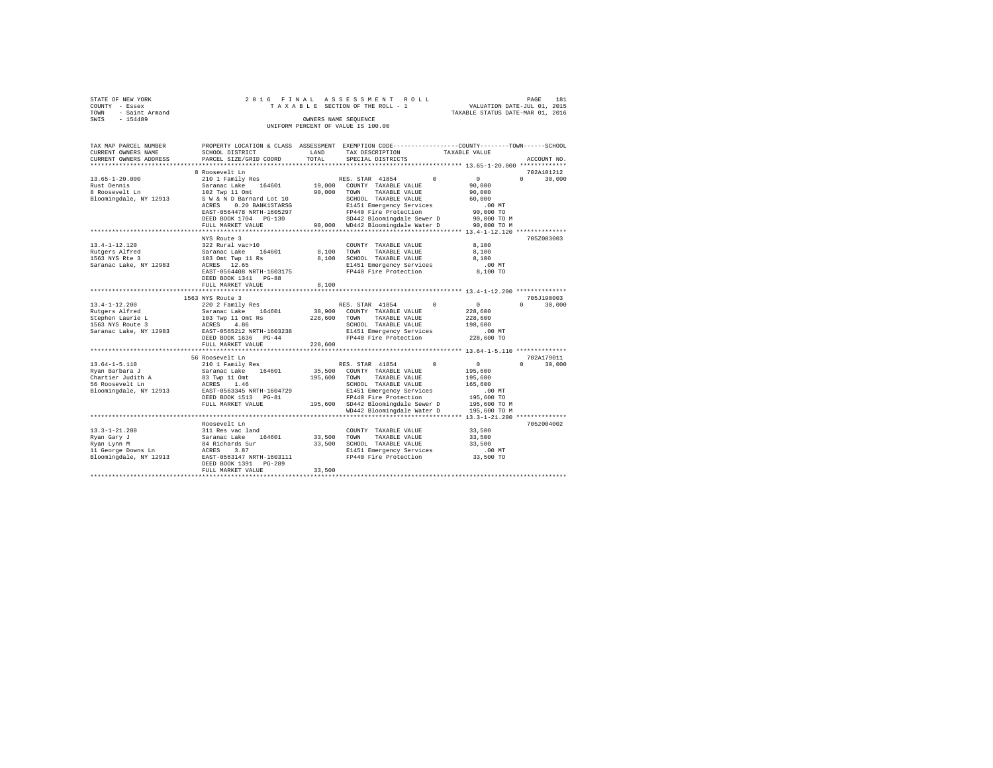|      | STATE OF NEW YORK | 2016 FINAL ASSESSMENT ROLL         |                                  | PAGE | 181 |
|------|-------------------|------------------------------------|----------------------------------|------|-----|
|      | COUNTY - Essex    | TAXABLE SECTION OF THE ROLL - 1    | VALUATION DATE-JUL 01, 2015      |      |     |
| TOWN | - Saint Armand    |                                    | TAXABLE STATUS DATE-MAR 01, 2016 |      |     |
| SWIS | $-154489$         | OWNERS NAME SEOUENCE               |                                  |      |     |
|      |                   | UNIFORM PERCENT OF VALUE IS 100.00 |                                  |      |     |

| TAX MAP PARCEL NUMBER<br>CURRENT OWNERS NAME                                                            | SCHOOL DISTRICT                                                                                                                                                                | LAND                         | PROPERTY LOCATION & CLASS ASSESSMENT EXEMPTION CODE---------------COUNTY-------TOWN-----SCHOOL<br>TAX DESCRIPTION                                                                                | TAXABLE VALUE                                                                   |                                  |
|---------------------------------------------------------------------------------------------------------|--------------------------------------------------------------------------------------------------------------------------------------------------------------------------------|------------------------------|--------------------------------------------------------------------------------------------------------------------------------------------------------------------------------------------------|---------------------------------------------------------------------------------|----------------------------------|
| CURRENT OWNERS ADDRESS<br>*********************                                                         | PARCEL SIZE/GRID COORD<br>**************************                                                                                                                           | TOTAL                        | SPECIAL DISTRICTS                                                                                                                                                                                |                                                                                 | ACCOUNT NO.                      |
|                                                                                                         | 8 Roosevelt Ln                                                                                                                                                                 |                              |                                                                                                                                                                                                  |                                                                                 | 702A101212                       |
| $13.65 - 1 - 20.000$<br>Rust Dennis<br>8 Roosevelt Ln<br>Bloomingdale, NY 12913                         | 210 1 Family Res<br>Saranac Lake<br>164601<br>102 Twp 11 Omt<br>S W & N D Barnard Lot 10<br>ACRES<br>0.20 BANK1STARSG<br>EAST-0564478 NRTH-1605297<br>DEED BOOK 1704 PG-130    | 19,000<br>90,000             | RES. STAR 41854<br>$\Omega$<br>COUNTY TAXABLE VALUE<br>TOWN<br>TAXABLE VALUE<br>SCHOOL TAXABLE VALUE<br>E1451 Emergency Services<br>FP440 Fire Protection<br>SD442 Bloomingdale Sewer D          | $\mathbf{0}$<br>90,000<br>90,000<br>60,000<br>.00MT<br>90,000 TO<br>90,000 TO M | $\Omega$<br>30,000               |
|                                                                                                         | FULL MARKET VALUE                                                                                                                                                              |                              | 90,000 WD442 Bloomingdale Water D                                                                                                                                                                | 90,000 TO M                                                                     |                                  |
| $13.4 - 1 - 12.120$<br>Rutgers Alfred<br>1563 NYS Rte 3<br>Saranac Lake, NY 12983                       | NYS Route 3<br>322 Rural vac>10<br>164601<br>Saranac Lake<br>103 Omt Twp 11 Rs<br>ACRES 12.65<br>EAST-0564408 NRTH-1603175<br>DEED BOOK 1341 PG-88<br>FULL MARKET VALUE        | 8,100<br>8,100<br>8,100      | ************************************* 13.4-1-12.120 **************<br>COUNTY TAXABLE VALUE<br>TAXABLE VALUE<br>TOWN<br>SCHOOL TAXABLE VALUE<br>E1451 Emergency Services<br>FP440 Fire Protection | 8,100<br>8,100<br>8,100<br>$.00$ MT<br>8,100 TO                                 | 705Z003003                       |
|                                                                                                         | ************************                                                                                                                                                       |                              |                                                                                                                                                                                                  | ******************* 13.4-1-12.200 **************                                |                                  |
| $13.4 - 1 - 12.200$<br>Rutgers Alfred<br>Stephen Laurie L<br>1563 NYS Route 3<br>Saranac Lake, NY 12983 | 1563 NYS Route 3<br>220 2 Family Res<br>Saranac Lake 164601<br>103 Twp 11 Omt Rs<br>4.86<br>ACRES<br>EAST-0565212 NRTH-1603238<br>DEED BOOK 1636 PG-44<br>FULL MARKET VALUE    | 38,900<br>228,600<br>228,600 | RES. STAR 41854<br>$\Omega$<br>COUNTY TAXABLE VALUE<br>TOWN<br>TAXABLE VALUE<br>SCHOOL TAXABLE VALUE<br>E1451 Emergency Services<br>FP440 Fire Protection                                        | 0<br>228,600<br>228,600<br>198,600<br>$.00$ MT<br>228,600 TO                    | 705J190003<br>$\Omega$<br>30,000 |
|                                                                                                         | **********************                                                                                                                                                         |                              | ***************************** 13.64-1-5.110 **************                                                                                                                                       |                                                                                 |                                  |
| $13.64 - 1 - 5.110$<br>Rvan Barbara J<br>Chartier Judith A<br>56 Roosevelt Ln<br>Bloomingdale, NY 12913 | 56 Roosevelt Ln<br>210 1 Family Res<br>Saranac Lake<br>164601<br>83 Twp 11 Omt<br>ACRES<br>1.46<br>EAST-0563345 NRTH-1604729                                                   | 35,500<br>195,600            | RES. STAR 41854<br>$\Omega$<br>COUNTY TAXABLE VALUE<br>TOWN<br>TAXABLE VALUE<br>SCHOOL TAXABLE VALUE<br>E1451 Emergency Services                                                                 | $\circ$<br>195,600<br>195,600<br>165,600<br>$.00$ MT                            | 702A179011<br>$\Omega$<br>30,000 |
|                                                                                                         | DEED BOOK 1513 PG-81<br>FULL MARKET VALUE                                                                                                                                      |                              | FP440 Fire Protection<br>195,600 SD442 Bloomingdale Sewer D<br>WD442 Bloomingdale Water D                                                                                                        | 195,600 TO<br>195,600 TO M<br>195,600 TO M                                      |                                  |
|                                                                                                         |                                                                                                                                                                                |                              |                                                                                                                                                                                                  |                                                                                 |                                  |
| $13.3 - 1 - 21.200$<br>Ryan Gary J<br>Ryan Lynn M<br>11 George Downs Ln<br>Bloomingdale, NY 12913       | Roosevelt Ln<br>311 Res vac land<br>Saranac Lake<br>164601<br>84 Richards Sur<br>ACRES<br>3.87<br>EAST-0563147 NRTH-1603111<br>DEED BOOK 1391<br>$PG-289$<br>FULL MARKET VALUE | 33,500<br>33,500<br>33,500   | COUNTY TAXABLE VALUE<br>TOWN<br>TAXABLE VALUE<br>SCHOOL TAXABLE VALUE<br>E1451 Emergency Services<br>FP440 Fire Protection                                                                       | 33,500<br>33,500<br>33,500<br>$.00$ MT<br>33,500 TO                             | 705z004002                       |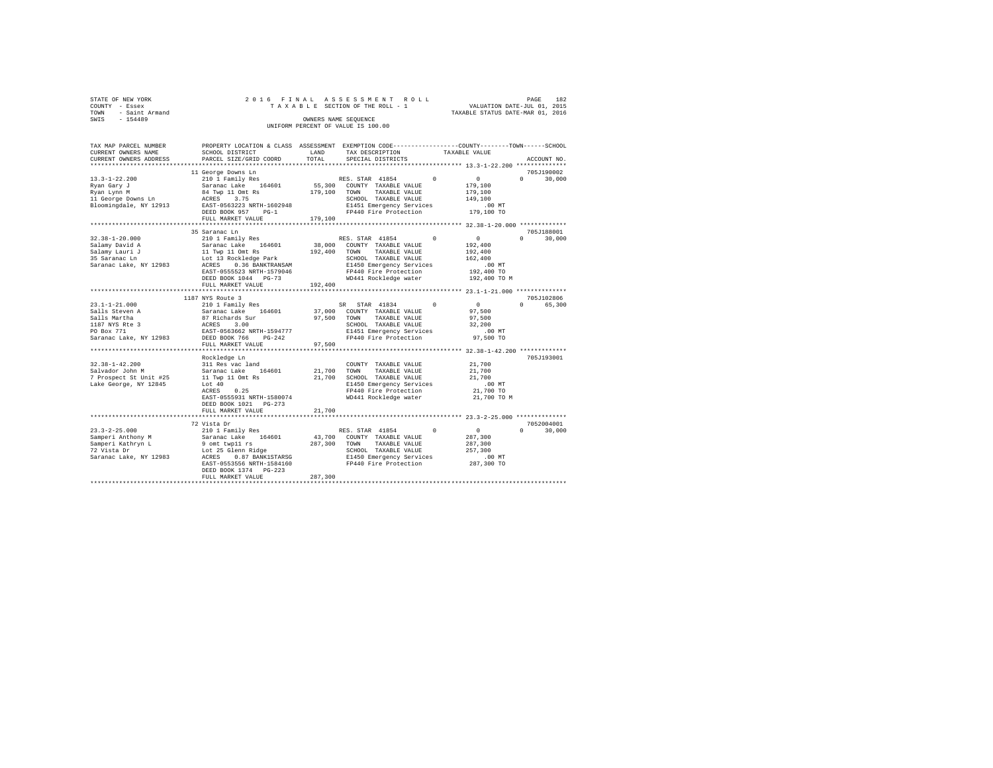| STATE OF NEW YORK   |  | 2016 FINAL ASSESSMENT ROLL         |                                  | PAGE | 182 |
|---------------------|--|------------------------------------|----------------------------------|------|-----|
| COUNTY - Essex      |  | TAXABLE SECTION OF THE ROLL - 1    | VALUATION DATE-JUL 01, 2015      |      |     |
| TOWN - Saint Armand |  |                                    | TAXABLE STATUS DATE-MAR 01, 2016 |      |     |
| SWIS<br>$-154489$   |  | OWNERS NAME SEOUENCE               |                                  |      |     |
|                     |  | UNIFORM PERCENT OF VALUE IS 100.00 |                                  |      |     |

| TAX MAP PARCEL NUMBER<br>CURRENT OWNERS NAME<br>CURRENT OWNERS ADDRESS                                          | PROPERTY LOCATION & CLASS ASSESSMENT EXEMPTION CODE----------------COUNTY-------TOWN------SCHOOL<br>SCHOOL DISTRICT<br>PARCEL SIZE/GRID COORD                                                                   | LAND<br>TOTAL                | TAX DESCRIPTION<br>SPECIAL DISTRICTS                                                                                                                                   |            | TAXABLE VALUE                                                                      | ACCOUNT NO.                      |
|-----------------------------------------------------------------------------------------------------------------|-----------------------------------------------------------------------------------------------------------------------------------------------------------------------------------------------------------------|------------------------------|------------------------------------------------------------------------------------------------------------------------------------------------------------------------|------------|------------------------------------------------------------------------------------|----------------------------------|
| **********************                                                                                          |                                                                                                                                                                                                                 |                              |                                                                                                                                                                        |            |                                                                                    |                                  |
|                                                                                                                 |                                                                                                                                                                                                                 |                              |                                                                                                                                                                        |            |                                                                                    |                                  |
| $13.3 - 1 - 22.200$<br>Rvan Garv J<br>Ryan Lynn M<br>11 George Downs Ln<br>Bloomingdale, NY 12913               | 11 George Downs Ln<br>210 1 Family Res<br>Saranac Lake<br>164601<br>84 Twp 11 Omt Rs<br>3.75<br>ACRES<br>EAST-0563223 NRTH-1602948<br>DEED BOOK 957<br>$PG-1$<br>FULL MARKET VALUE                              | 55,300<br>179,100<br>179,100 | RES. STAR 41854<br>COUNTY TAXABLE VALUE<br>TAXABLE VALUE<br>TOWN<br>SCHOOL TAXABLE VALUE<br>E1451 Emergency Services<br>FP440 Fire Protection                          | $\Omega$   | $\circ$<br>179,100<br>179,100<br>149,100<br>$.00$ MT<br>179,100 TO                 | 705J190002<br>$\Omega$<br>30,000 |
|                                                                                                                 |                                                                                                                                                                                                                 |                              |                                                                                                                                                                        |            |                                                                                    |                                  |
| $32.38 - 1 - 20.000$<br>Salamy David A<br>Salamy Lauri J<br>35 Saranac Ln<br>Saranac Lake, NY 12983             | 35 Saranac Ln<br>210 1 Family Res<br>Saranac Lake<br>164601<br>11 Twp 11 Omt Rs<br>Lot 13 Rockledge Park<br>0.36 BANKTRANSAM<br>ACRES<br>EAST-0555523 NRTH-1579046<br>DEED BOOK 1044 PG-73<br>FULL MARKET VALUE | 38,000<br>192,400<br>192,400 | RES. STAR 41854<br>COUNTY TAXABLE VALUE<br>TOWN<br>TAXABLE VALUE<br>SCHOOL TAXABLE VALUE<br>E1450 Emergency Services<br>FP440 Fire Protection<br>WD441 Rockledge water | $^{\circ}$ | $\circ$<br>192,400<br>192,400<br>162,400<br>$.00$ MT<br>192,400 TO<br>192,400 TO M | 705J188001<br>30,000<br>$\Omega$ |
|                                                                                                                 |                                                                                                                                                                                                                 |                              |                                                                                                                                                                        |            |                                                                                    |                                  |
|                                                                                                                 | 1187 NYS Route 3                                                                                                                                                                                                |                              |                                                                                                                                                                        |            |                                                                                    | 705J102806                       |
| $23.1 - 1 - 21.000$<br>Salls Steven A<br>Salls Martha<br>1187 NYS Rte 3<br>PO Box 771<br>Saranac Lake, NY 12983 | 210 1 Family Res<br>Saranac Lake<br>164601<br>87 Richards Sur<br>ACRES<br>3.00<br>EAST-0563662 NRTH-1594777<br>DEED BOOK 766<br>$PG-242$<br>FULL MARKET VALUE                                                   | 37,000<br>97,500<br>97.500   | STAR 41834<br>SR –<br>COUNTY TAXABLE VALUE<br>TAXABLE VALUE<br>TOWN<br>SCHOOL TAXABLE VALUE<br>E1451 Emergency Services<br>FP440 Fire Protection                       | $\Omega$   | $^{\circ}$<br>97,500<br>97,500<br>32,200<br>.00 MT<br>97,500 TO                    | $\Omega$<br>65,300               |
|                                                                                                                 | Rockledge Ln                                                                                                                                                                                                    |                              |                                                                                                                                                                        |            |                                                                                    | 705J193001                       |
| $32.38 - 1 - 42.200$<br>Salvador John M<br>7 Prospect St Unit #25<br>Lake George, NY 12845                      | 311 Res vac land<br>164601<br>Saranac Lake<br>11 Twp 11 Omt Rs<br>Lot 40<br>0.25<br>ACRES<br>EAST-0555931 NRTH-1580074<br>DEED BOOK 1021 PG-273                                                                 | 21,700<br>21,700             | COUNTY TAXABLE VALUE<br>TOWN<br>TAXABLE VALUE<br>SCHOOL TAXABLE VALUE<br>E1450 Emergency Services<br>FP440 Fire Protection<br>WD441 Rockledge water                    |            | 21,700<br>21,700<br>21,700<br>$.00$ MT<br>21,700 TO<br>21,700 TO M                 |                                  |
|                                                                                                                 | FULL MARKET VALUE                                                                                                                                                                                               | 21,700                       |                                                                                                                                                                        |            |                                                                                    |                                  |
| $23.3 - 2 - 25.000$<br>Samperi Anthony M<br>Samperi Kathryn L                                                   | 72 Vista Dr<br>210 1 Family Res<br>Saranac Lake<br>164601<br>9 omt twp11 rs                                                                                                                                     | 43,700<br>287,300            | RES. STAR 41854<br>COUNTY TAXABLE VALUE<br>TOWN<br>TAXABLE VALUE                                                                                                       | $^{\circ}$ | $\circ$<br>287,300<br>287,300                                                      | 7052004001<br>$\Omega$<br>30,000 |
| 72 Vista Dr<br>Saranac Lake, NY 12983                                                                           | Lot 25 Glenn Ridge<br>0.87 BANK1STARSG<br>ACRES<br>EAST-0553556 NRTH-1584160<br>DEED BOOK 1374 PG-223<br>FULL MARKET VALUE                                                                                      | 287,300                      | SCHOOL TAXABLE VALUE<br>E1450 Emergency Services<br>FP440 Fire Protection                                                                                              |            | 257,300<br>.00MT<br>287,300 TO                                                     |                                  |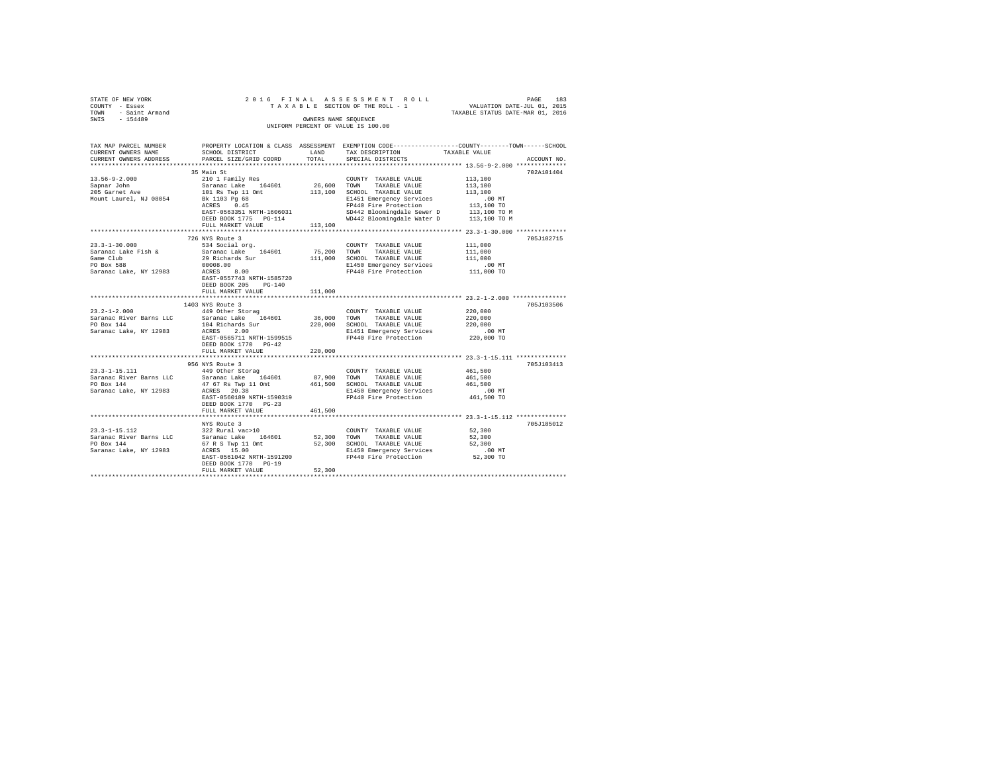|                               |                                                                                                                                                                                                                                      |         |                                                                                                                                                                                                                                                                                                                                                                                                                                                                  | TAXABLE STATUS DATE-MAR 01, 2016                                                                                      |
|-------------------------------|--------------------------------------------------------------------------------------------------------------------------------------------------------------------------------------------------------------------------------------|---------|------------------------------------------------------------------------------------------------------------------------------------------------------------------------------------------------------------------------------------------------------------------------------------------------------------------------------------------------------------------------------------------------------------------------------------------------------------------|-----------------------------------------------------------------------------------------------------------------------|
|                               |                                                                                                                                                                                                                                      |         | OWNERS NAME SEOUENCE                                                                                                                                                                                                                                                                                                                                                                                                                                             |                                                                                                                       |
|                               |                                                                                                                                                                                                                                      |         |                                                                                                                                                                                                                                                                                                                                                                                                                                                                  |                                                                                                                       |
|                               |                                                                                                                                                                                                                                      |         |                                                                                                                                                                                                                                                                                                                                                                                                                                                                  |                                                                                                                       |
|                               |                                                                                                                                                                                                                                      |         |                                                                                                                                                                                                                                                                                                                                                                                                                                                                  |                                                                                                                       |
|                               |                                                                                                                                                                                                                                      |         |                                                                                                                                                                                                                                                                                                                                                                                                                                                                  | TAX MAP PARCEL NUMBER PROPERTY LOCATION & CLASS ASSESSMENT EXEMPTION CODE---------------COUNTY-------TOWN------SCHOOL |
| CURRENT OWNERS NAME           | SCHOOL DISTRICT LAND                                                                                                                                                                                                                 |         | TAX DESCRIPTION TAXABLE VALUE                                                                                                                                                                                                                                                                                                                                                                                                                                    |                                                                                                                       |
| CURRENT OWNERS ADDRESS        | PARCEL SIZE/GRID COORD TOTAL                                                                                                                                                                                                         |         | SPECIAL DISTRICTS                                                                                                                                                                                                                                                                                                                                                                                                                                                | ACCOUNT NO.                                                                                                           |
|                               |                                                                                                                                                                                                                                      |         |                                                                                                                                                                                                                                                                                                                                                                                                                                                                  |                                                                                                                       |
| $13.56 - 9 - 2.000$           |                                                                                                                                                                                                                                      |         |                                                                                                                                                                                                                                                                                                                                                                                                                                                                  | 702A101404                                                                                                            |
|                               |                                                                                                                                                                                                                                      |         |                                                                                                                                                                                                                                                                                                                                                                                                                                                                  |                                                                                                                       |
| Sapnar John<br>205 Garnet Ave |                                                                                                                                                                                                                                      |         |                                                                                                                                                                                                                                                                                                                                                                                                                                                                  |                                                                                                                       |
| Mount Laurel, NJ 08054        |                                                                                                                                                                                                                                      |         |                                                                                                                                                                                                                                                                                                                                                                                                                                                                  |                                                                                                                       |
|                               |                                                                                                                                                                                                                                      |         |                                                                                                                                                                                                                                                                                                                                                                                                                                                                  |                                                                                                                       |
|                               |                                                                                                                                                                                                                                      |         |                                                                                                                                                                                                                                                                                                                                                                                                                                                                  |                                                                                                                       |
|                               |                                                                                                                                                                                                                                      |         |                                                                                                                                                                                                                                                                                                                                                                                                                                                                  |                                                                                                                       |
|                               |                                                                                                                                                                                                                                      |         |                                                                                                                                                                                                                                                                                                                                                                                                                                                                  |                                                                                                                       |
|                               |                                                                                                                                                                                                                                      |         |                                                                                                                                                                                                                                                                                                                                                                                                                                                                  |                                                                                                                       |
|                               | 726 NYS Route 3                                                                                                                                                                                                                      |         |                                                                                                                                                                                                                                                                                                                                                                                                                                                                  | 705J102715                                                                                                            |
| $23.3 - 1 - 30.000$           | 534 Social org.                                                                                                                                                                                                                      |         | COUNTY TAXABLE VALUE                                                                                                                                                                                                                                                                                                                                                                                                                                             | 111,000                                                                                                               |
|                               | Saranac Lake Fish & Saranac Lake 164601<br>Game Club 29 Richards Sur                                                                                                                                                                 |         | $\begin{tabular}{ccccc} 75,200 & TOWN & TAXABLE VALUE & & & 111,000 \\ 111,000 & SCH OOL & TAXABLE VALUE & & & 111,000 \end{tabular}$                                                                                                                                                                                                                                                                                                                            |                                                                                                                       |
|                               |                                                                                                                                                                                                                                      |         |                                                                                                                                                                                                                                                                                                                                                                                                                                                                  |                                                                                                                       |
| Game Club<br>PO Box 588       | PO Box 588 00008.00<br>Saranac Lake, NY 12983 ACRES 8.00                                                                                                                                                                             |         | E1450 Emergency Services .00 MT<br>FP440 Fire Protection 111,000 TO                                                                                                                                                                                                                                                                                                                                                                                              |                                                                                                                       |
|                               |                                                                                                                                                                                                                                      |         |                                                                                                                                                                                                                                                                                                                                                                                                                                                                  |                                                                                                                       |
|                               | EAST-0557743 NRTH-1585720                                                                                                                                                                                                            |         |                                                                                                                                                                                                                                                                                                                                                                                                                                                                  |                                                                                                                       |
|                               | DEED BOOK 205 PG-140                                                                                                                                                                                                                 |         |                                                                                                                                                                                                                                                                                                                                                                                                                                                                  |                                                                                                                       |
|                               | FULL MARKET VALUE                                                                                                                                                                                                                    | 111,000 |                                                                                                                                                                                                                                                                                                                                                                                                                                                                  |                                                                                                                       |
|                               |                                                                                                                                                                                                                                      |         |                                                                                                                                                                                                                                                                                                                                                                                                                                                                  |                                                                                                                       |
|                               | 1403 NYS Route 3                                                                                                                                                                                                                     |         |                                                                                                                                                                                                                                                                                                                                                                                                                                                                  | 705J103506                                                                                                            |
|                               |                                                                                                                                                                                                                                      |         |                                                                                                                                                                                                                                                                                                                                                                                                                                                                  |                                                                                                                       |
|                               |                                                                                                                                                                                                                                      |         |                                                                                                                                                                                                                                                                                                                                                                                                                                                                  |                                                                                                                       |
|                               |                                                                                                                                                                                                                                      |         |                                                                                                                                                                                                                                                                                                                                                                                                                                                                  |                                                                                                                       |
|                               |                                                                                                                                                                                                                                      |         | E1451 Emergency Services .00 MT<br>FP440 Fire Protection 220,000 TO                                                                                                                                                                                                                                                                                                                                                                                              |                                                                                                                       |
|                               | EAST-0565711 NRTH-1599515                                                                                                                                                                                                            |         |                                                                                                                                                                                                                                                                                                                                                                                                                                                                  |                                                                                                                       |
|                               | DEED BOOK 1770 PG-42                                                                                                                                                                                                                 |         |                                                                                                                                                                                                                                                                                                                                                                                                                                                                  |                                                                                                                       |
|                               | FULL MARKET VALUE                                                                                                                                                                                                                    | 220,000 |                                                                                                                                                                                                                                                                                                                                                                                                                                                                  |                                                                                                                       |
|                               | 956 NYS Route 3                                                                                                                                                                                                                      |         |                                                                                                                                                                                                                                                                                                                                                                                                                                                                  | 705J103413                                                                                                            |
|                               | 23.3-1-15.111 449 Other Storag                                                                                                                                                                                                       |         | COUNTY TAXABLE VALUE 461,500                                                                                                                                                                                                                                                                                                                                                                                                                                     |                                                                                                                       |
|                               |                                                                                                                                                                                                                                      |         |                                                                                                                                                                                                                                                                                                                                                                                                                                                                  |                                                                                                                       |
|                               |                                                                                                                                                                                                                                      |         |                                                                                                                                                                                                                                                                                                                                                                                                                                                                  |                                                                                                                       |
|                               |                                                                                                                                                                                                                                      |         |                                                                                                                                                                                                                                                                                                                                                                                                                                                                  |                                                                                                                       |
|                               |                                                                                                                                                                                                                                      |         |                                                                                                                                                                                                                                                                                                                                                                                                                                                                  |                                                                                                                       |
|                               | DEED BOOK 1770 PG-23                                                                                                                                                                                                                 |         |                                                                                                                                                                                                                                                                                                                                                                                                                                                                  |                                                                                                                       |
|                               | FULL MARKET VALUE                                                                                                                                                                                                                    | 461,500 |                                                                                                                                                                                                                                                                                                                                                                                                                                                                  |                                                                                                                       |
|                               |                                                                                                                                                                                                                                      |         |                                                                                                                                                                                                                                                                                                                                                                                                                                                                  |                                                                                                                       |
|                               | NYS Route 3                                                                                                                                                                                                                          |         |                                                                                                                                                                                                                                                                                                                                                                                                                                                                  | 705J185012                                                                                                            |
| $23.3 - 1 - 15.112$           | 322 Rural vac>10                                                                                                                                                                                                                     |         | $\begin{tabular}{lllllll} \multicolumn{2}{l}{{\text{COUNTY}}} & \multicolumn{2}{l}{\text{TAXABLE VALUE}} & \multicolumn{2}{l}{\text{S2,300}}\\ \multicolumn{2}{l}{\text{COUNTY}} & \multicolumn{2}{l}{\text{TAXABLE VALUE}} & \multicolumn{2}{l}{\text{S2,300}}\\ \multicolumn{2}{l}{\text{S3,300}} & \multicolumn{2}{l}{\text{S4,300}} & \multicolumn{2}{l}{\text{S5,300}}\\ \multicolumn{2}{l}{\text{S6,300}} & \multicolumn{2}{l}{\text{S7}} & \multicolumn{$ |                                                                                                                       |
|                               | Saranac River Barns LLC 53 Saranac Lake 164601 52,300 TOWN TAXABLE VALUE                                                                                                                                                             |         |                                                                                                                                                                                                                                                                                                                                                                                                                                                                  | 52,300                                                                                                                |
|                               |                                                                                                                                                                                                                                      |         |                                                                                                                                                                                                                                                                                                                                                                                                                                                                  |                                                                                                                       |
|                               |                                                                                                                                                                                                                                      |         |                                                                                                                                                                                                                                                                                                                                                                                                                                                                  |                                                                                                                       |
|                               | SATERING AVEL BALLIS MALLING STRUCK AND TRANSLE VALUE SERVICES SATERING SATERING SATERO SCHOOL TAXABLE VALUE S<br>PO Box 144 Mallis (15.00 Mallis 19.00 Mallis 1450 Management Services 15.00 Mallis (19.00 MT<br>Saranac Lake, NY 1 |         |                                                                                                                                                                                                                                                                                                                                                                                                                                                                  |                                                                                                                       |
|                               | DEED BOOK 1770 PG-19                                                                                                                                                                                                                 |         |                                                                                                                                                                                                                                                                                                                                                                                                                                                                  |                                                                                                                       |
|                               | FULL MARKET VALUE                                                                                                                                                                                                                    | 52,300  |                                                                                                                                                                                                                                                                                                                                                                                                                                                                  |                                                                                                                       |
|                               |                                                                                                                                                                                                                                      |         |                                                                                                                                                                                                                                                                                                                                                                                                                                                                  |                                                                                                                       |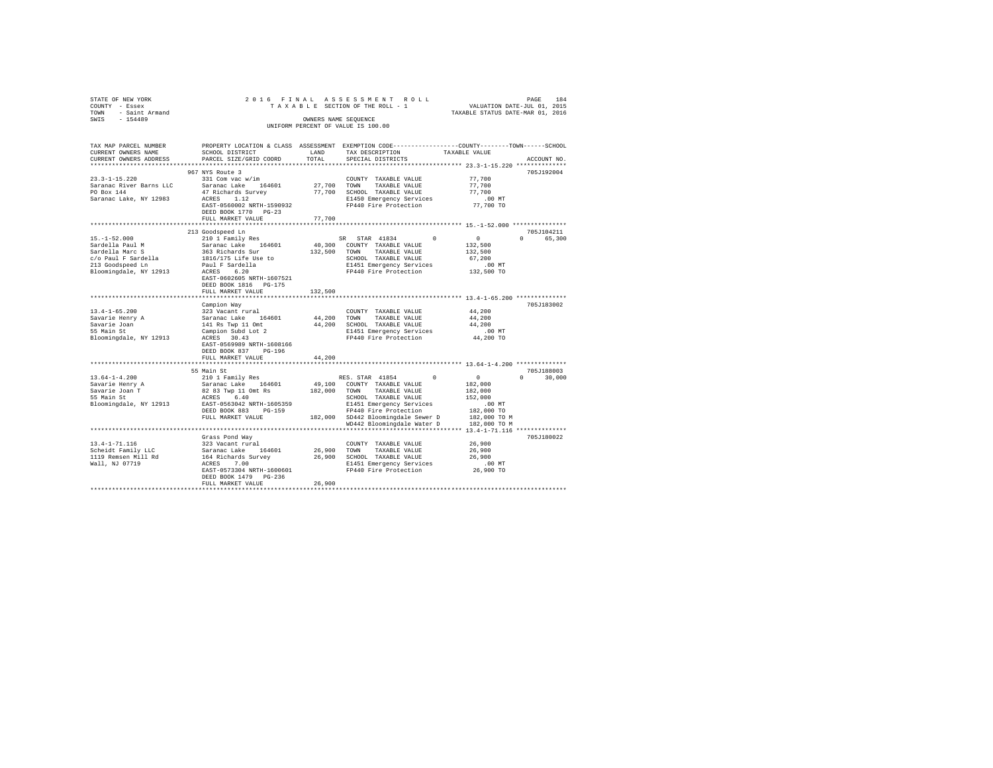| 2016 FINAL ASSESSMENT ROLL<br>PROPERTY LOCATION & CLASS ASSESSMENT EXEMPTION CODE----------------COUNTY-------TOWN------SCHOOL                                                                                                                                                                                                                                                                                                                                                               |                                                                  |                              |                                                                                                                                                                                                                                                                                                                        |                     |                             |  |  |  |  |  |  |  |
|----------------------------------------------------------------------------------------------------------------------------------------------------------------------------------------------------------------------------------------------------------------------------------------------------------------------------------------------------------------------------------------------------------------------------------------------------------------------------------------------|------------------------------------------------------------------|------------------------------|------------------------------------------------------------------------------------------------------------------------------------------------------------------------------------------------------------------------------------------------------------------------------------------------------------------------|---------------------|-----------------------------|--|--|--|--|--|--|--|
| TAX MAP PARCEL NUMBER<br>CURRENT OWNERS NAME<br>CURRENT OWNERS ADDRESS                                                                                                                                                                                                                                                                                                                                                                                                                       | SCHOOL DISTRICT<br>PARCEL SIZE/GRID COORD                        | $_{\rm LAND}$ $_{\rm TOTAL}$ | TAX DESCRIPTION TAXABLE VALUE<br>SPECIAL DISTRICTS                                                                                                                                                                                                                                                                     |                     | ACCOUNT NO.                 |  |  |  |  |  |  |  |
| 23.3-1-15.220<br>Saranac River Barns LLC<br>PO Box 144<br>Saranac Lake, NY 12983                                                                                                                                                                                                                                                                                                                                                                                                             | 967 NYS Route 3<br>DEED BOOK 1770 PG-23<br>FULL MARKET VALUE     | 77,700                       | $\begin{tabular}{lcccc} $50$ & $331$ & {Cont } 5 & $404$ & $404$ & $404$ & $404$ & $404$ & $404$ & $404$ & $404$ & $405$ & $406$ & $406$ & $406$ & $406$ & $406$ & $406$ & $406$ & $406$ & $406$ & $406$ & $406$ & $406$ & $406$ & $406$ & $406$ & $406$ & $406$ & $406$ & $406$ & $406$ & $406$ & $406$ & $406$ & $4$ |                     | 705J192004                  |  |  |  |  |  |  |  |
|                                                                                                                                                                                                                                                                                                                                                                                                                                                                                              |                                                                  |                              |                                                                                                                                                                                                                                                                                                                        |                     |                             |  |  |  |  |  |  |  |
|                                                                                                                                                                                                                                                                                                                                                                                                                                                                                              | 213 Goodspeed Ln                                                 |                              |                                                                                                                                                                                                                                                                                                                        |                     | 705J104211                  |  |  |  |  |  |  |  |
|                                                                                                                                                                                                                                                                                                                                                                                                                                                                                              | DEED BOOK 1816 PG-175                                            |                              |                                                                                                                                                                                                                                                                                                                        |                     | 0 65,300                    |  |  |  |  |  |  |  |
|                                                                                                                                                                                                                                                                                                                                                                                                                                                                                              | FULL MARKET VALUE 132,500                                        |                              |                                                                                                                                                                                                                                                                                                                        |                     |                             |  |  |  |  |  |  |  |
|                                                                                                                                                                                                                                                                                                                                                                                                                                                                                              |                                                                  |                              |                                                                                                                                                                                                                                                                                                                        |                     |                             |  |  |  |  |  |  |  |
|                                                                                                                                                                                                                                                                                                                                                                                                                                                                                              | Campion Way<br>EAST-0569989 NRTH-1608166<br>DEED BOOK 837 PG-196 |                              |                                                                                                                                                                                                                                                                                                                        | .00 MT<br>44,200 TO | 705J183002                  |  |  |  |  |  |  |  |
|                                                                                                                                                                                                                                                                                                                                                                                                                                                                                              | FULL MARKET VALUE                                                | 44,200                       |                                                                                                                                                                                                                                                                                                                        |                     |                             |  |  |  |  |  |  |  |
|                                                                                                                                                                                                                                                                                                                                                                                                                                                                                              |                                                                  |                              |                                                                                                                                                                                                                                                                                                                        |                     |                             |  |  |  |  |  |  |  |
| $\begin{tabular}{cccccc} 13.64-1-4.200 & 55 Main St & 51 M1 Fami1y Res & 0 & 0 & 0 \\ {\small 55.751} & 51 M1 Fami1y Res & 0 & 0 & 0 \\ {\small 56.751} & 51 M1 Fami1y Res & 0 & 0 \\ {\small 57.751} & 52 M120 0 & 0 & 0 \\ {\small 58.751} & 52 M10 0 & 0 & 0 \\ {\small 59.751} & 51 M10 0 & 0 & 0 \\ {\small 50.751} & 51 M10 0 & 0 & 0 \\ {\small 51$                                                                                                                                   | 55 Main St                                                       |                              |                                                                                                                                                                                                                                                                                                                        |                     | 705J188003<br>$0 \t 30,000$ |  |  |  |  |  |  |  |
|                                                                                                                                                                                                                                                                                                                                                                                                                                                                                              |                                                                  |                              |                                                                                                                                                                                                                                                                                                                        |                     |                             |  |  |  |  |  |  |  |
| $\begin{tabular}{lcccc} 13.4-1-71.116 & \begin{array}{lcccc} \text{Grass Pond Way} & \\ \text{Scheider family LLC} & 323 \text{ Vacant rural} & \\ \text{Scheidet Family LLC} & \text{Sarea in the image.} & \\ 1119 \text{ Remsen Mill Rd} & 164 \text{Richards Survey} & 26,900 \text{ TOWN} & \text{TAXABLE VALUE} & \\ 1119 \text{Remsen Mill Rd} & 164 \text{Richards Survey} & 26,900 \text{ TOWM} & \text{TAXABLE VALUE} & \\ 1119 \text{Remsen Mill Rd} & 164 \text{Richards Survey$ | Grass Pond Way<br>DEED BOOK 1479 PG-236<br>FULL MARKET VALUE     | 26,900                       |                                                                                                                                                                                                                                                                                                                        |                     | 705J180022                  |  |  |  |  |  |  |  |
|                                                                                                                                                                                                                                                                                                                                                                                                                                                                                              |                                                                  |                              |                                                                                                                                                                                                                                                                                                                        |                     |                             |  |  |  |  |  |  |  |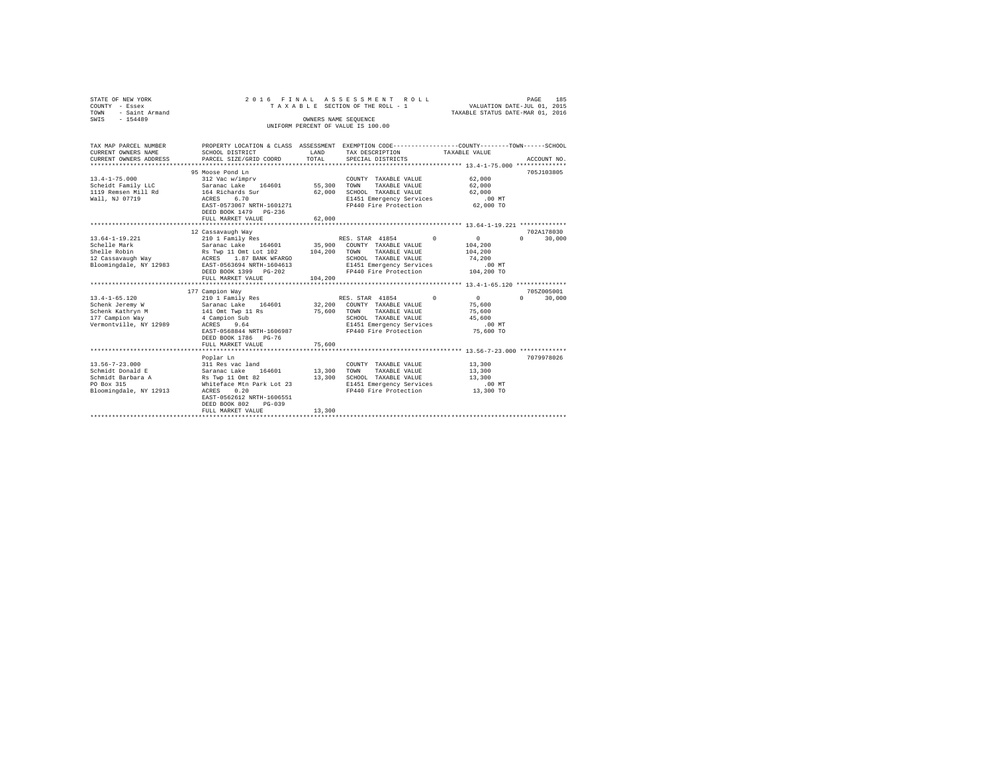| STATE OF NEW YORK      |                                          |             | 2016 FINAL ASSESSMENT ROLL                                                                     |                                                                 | 185<br>PAGE                     |
|------------------------|------------------------------------------|-------------|------------------------------------------------------------------------------------------------|-----------------------------------------------------------------|---------------------------------|
| COUNTY - Essex         |                                          |             | TAXABLE SECTION OF THE ROLL - 1                                                                | VALUATION DATE-JUL 01, 2015<br>TAXABLE STATUS DATE-MAR 01, 2016 |                                 |
| TOWN<br>- Saint Armand |                                          |             |                                                                                                |                                                                 |                                 |
| SWIS<br>$-154489$      |                                          |             | OWNERS NAME SEQUENCE                                                                           |                                                                 |                                 |
|                        |                                          |             | UNIFORM PERCENT OF VALUE IS 100.00                                                             |                                                                 |                                 |
|                        |                                          |             |                                                                                                |                                                                 |                                 |
| TAX MAP PARCEL NUMBER  |                                          |             | PROPERTY LOCATION & CLASS ASSESSMENT EXEMPTION CODE---------------COUNTY-------TOWN-----SCHOOL |                                                                 |                                 |
| CURRENT OWNERS NAME    | SCHOOL DISTRICT                          | LAND        | TAX DESCRIPTION                                                                                | TAXABLE VALUE                                                   |                                 |
| CURRENT OWNERS ADDRESS | PARCEL SIZE/GRID COORD                   | TOTAL       | SPECIAL DISTRICTS                                                                              |                                                                 | ACCOUNT NO.                     |
|                        |                                          |             |                                                                                                |                                                                 |                                 |
|                        | 95 Moose Pond Ln                         |             |                                                                                                |                                                                 | 705J103805                      |
| $13.4 - 1 - 75.000$    | 312 Vac w/imprv                          |             | COUNTY TAXABLE VALUE                                                                           | 62,000                                                          |                                 |
| Scheidt Family LLC     | Saranac Lake 164601                      | 55,300 TOWN | TAXABLE VALUE                                                                                  | 62,000                                                          |                                 |
| 1119 Remsen Mill Rd    | 164 Richards Sur                         |             | 62,000 SCHOOL TAXABLE VALUE                                                                    | 62,000                                                          |                                 |
| Wall, NJ 07719         | 6.70<br>ACRES                            |             | E1451 Emergency Services                                                                       | $.00$ MT                                                        |                                 |
|                        | EAST-0573067 NRTH-1601271                |             | FP440 Fire Protection                                                                          | 62,000 TO                                                       |                                 |
|                        | DEED BOOK 1479 PG-236                    |             |                                                                                                |                                                                 |                                 |
|                        | FULL MARKET VALUE                        | 62,000      |                                                                                                |                                                                 |                                 |
|                        |                                          |             |                                                                                                |                                                                 |                                 |
|                        | 12 Cassavaugh Way                        |             |                                                                                                |                                                                 | 702A178030                      |
| 13.64-1-19.221         | 210 1 Family Res                         |             | RES. STAR 41854 0                                                                              | $\sim$ 0                                                        | $\Omega$ and $\Omega$<br>30,000 |
| Schelle Mark           | Saranac Lake 164601                      | 35,900      | COUNTY TAXABLE VALUE                                                                           | 104,200                                                         |                                 |
| Shelle Robin           | Rs Twp 11 Omt Lot 102                    | 104,200     | TOWN<br>TAXABLE VALUE                                                                          | 104,200                                                         |                                 |
| 12 Cassavaugh Way      | ACRES 1.87 BANK WFARGO                   |             | SCHOOL TAXABLE VALUE                                                                           | 74,200                                                          |                                 |
| Bloomingdale, NY 12983 | EAST-0563694 NRTH-1604613                |             | E1451 Emergency Services                                                                       | .00 MT                                                          |                                 |
|                        | DEED BOOK 1399 PG-202                    |             | FP440 Fire Protection 104,200 TO                                                               |                                                                 |                                 |
|                        | FULL MARKET VALUE                        | 104,200     |                                                                                                |                                                                 |                                 |
|                        |                                          |             |                                                                                                |                                                                 |                                 |
|                        | 177 Campion Way                          |             |                                                                                                |                                                                 | 705Z005001                      |
| $13.4 - 1 - 65.120$    | 210 1 Family Res                         |             | RES. STAR 41854 0                                                                              | $\sim$ 0<br>$\Omega$                                            | 30,000                          |
| Schenk Jeremy W        | Saranac Lake 164601<br>141 Omt Twp 11 Rs |             | 32,200 COUNTY TAXABLE VALUE                                                                    | 75,600                                                          |                                 |
| Schenk Kathryn M       |                                          | 75,600      | TAXABLE VALUE<br>TOWN                                                                          | 75,600                                                          |                                 |
| 177 Campion Way        | 4 Campion Sub                            |             | SCHOOL TAXABLE VALUE                                                                           | 45,600                                                          |                                 |
| Vermontville, NY 12989 | ACRES 9.64                               |             | E1451 Emergency Services                                                                       | $.00$ MT                                                        |                                 |
|                        | EAST-0568844 NRTH-1606987                |             | FP440 Fire Protection 75,600 TO                                                                |                                                                 |                                 |
|                        | DEED BOOK 1786 PG-76                     |             |                                                                                                |                                                                 |                                 |
|                        | FULL MARKET VALUE                        | 75,600      |                                                                                                |                                                                 |                                 |
|                        | Poplar Ln                                |             |                                                                                                |                                                                 | 7079978026                      |
| $13.56 - 7 - 23.000$   | 311 Res vac land                         |             | COUNTY TAXABLE VALUE                                                                           | 13,300                                                          |                                 |
| Schmidt Donald E       | Saranac Lake 164601                      | 13,300 TOWN | TAXABLE VALUE                                                                                  | 13,300                                                          |                                 |
| Schmidt Barbara A      | Rs Twp 11 Omt 82                         |             | 13,300 SCHOOL TAXABLE VALUE                                                                    | 13,300                                                          |                                 |
| PO Box 315             | Whiteface Mtn Park Lot 23                |             | E1451 Emergency Services                                                                       | $.00$ MT                                                        |                                 |
| Bloomingdale, NY 12913 | ACRES 0.20                               |             | FP440 Fire Protection                                                                          | 13,300 TO                                                       |                                 |
|                        | EAST-0562612 NRTH-1606551                |             |                                                                                                |                                                                 |                                 |
|                        | DEED BOOK 802<br>$PG-039$                |             |                                                                                                |                                                                 |                                 |
|                        | FULL MARKET VALUE                        | 13,300      |                                                                                                |                                                                 |                                 |
|                        |                                          |             |                                                                                                |                                                                 |                                 |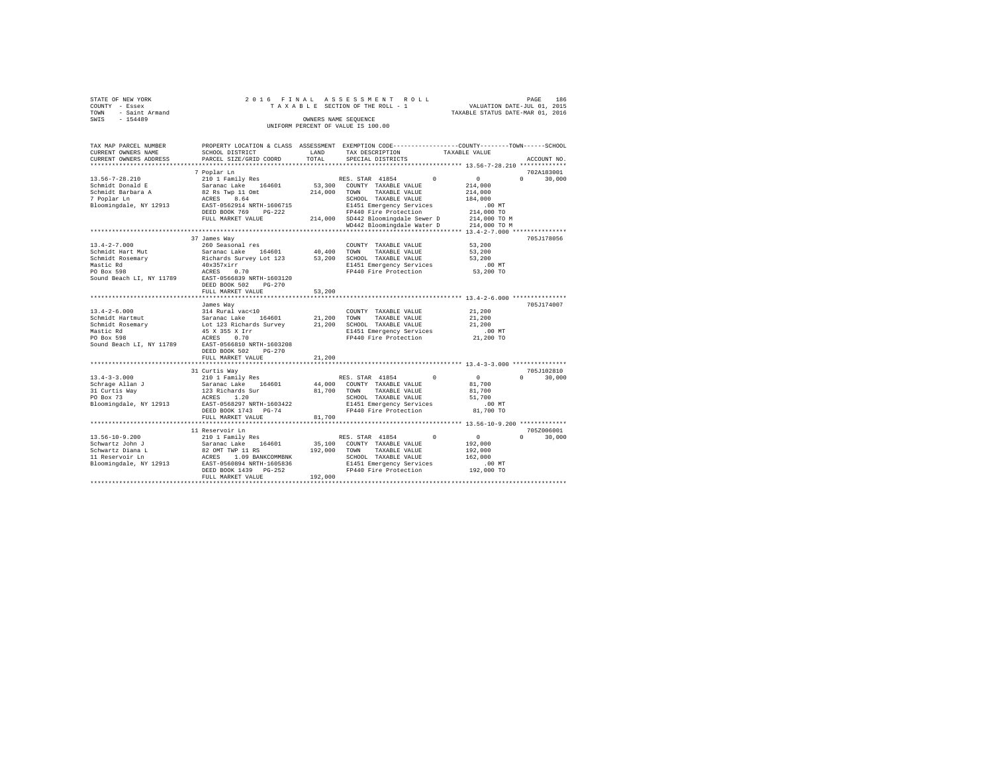| STATE OF NEW YORK<br>COUNTY - Essex<br>- Saint Armand<br>TOWN<br>SWIS<br>$-154489$ |                        |                                      | 2016 FINAL ASSESSMENT ROLL<br>TAXABLE SECTION OF THE ROLL - 1<br>OWNERS NAME SEOUENCE<br>UNIFORM PERCENT OF VALUE IS 100.00 |                                                              | 186<br>PAGE<br>VALUATION DATE-JUL 01, 2015<br>TAXABLE STATUS DATE-MAR 01, 2016 |
|------------------------------------------------------------------------------------|------------------------|--------------------------------------|-----------------------------------------------------------------------------------------------------------------------------|--------------------------------------------------------------|--------------------------------------------------------------------------------|
| TAX MAP PARCEL NUMBER                                                              |                        | PROPERTY LOCATION & CLASS ASSESSMENT |                                                                                                                             | EXEMPTION CODE-----------------COUNTY-------TOWN------SCHOOL |                                                                                |
| CURRENT OWNERS NAME                                                                | SCHOOL DISTRICT        | LAND                                 | TAX DESCRIPTION                                                                                                             | TAXABLE VALUE                                                |                                                                                |
| CURRENT OWNERS ADDRESS                                                             | PARCEL SIZE/GRID COORD | TOTAL                                | SPECIAL DISTRICTS                                                                                                           |                                                              | ACCOUNT NO.                                                                    |

| CURRENT OWNERS ADDRESS   | PARCEL SIZE/GRID COORD                                   | TOTAL       | SPECIAL DISTRICTS<br>*********************************** 13.56-7-28.210 ************** |              | ACCOUNT NO.        |
|--------------------------|----------------------------------------------------------|-------------|----------------------------------------------------------------------------------------|--------------|--------------------|
|                          | 7 Poplar Ln                                              |             |                                                                                        |              | 702A183001         |
| $13.56 - 7 - 28.210$     | 210 1 Family Res                                         |             | RES. STAR 41854<br>$\Omega$                                                            | $\Omega$     | 30,000<br>$\Omega$ |
| Schmidt Donald E         | Saranac Lake 164601                                      | 53,300      | COUNTY TAXABLE VALUE                                                                   | 214,000      |                    |
| Schmidt Barbara A        | 82 Rs Twp 11 Omt                                         | 214,000     | TOWN<br>TAXABLE VALUE                                                                  | 214,000      |                    |
| 7 Poplar Ln              | 8.64<br>ACRES                                            |             | SCHOOL TAXABLE VALUE                                                                   | 184,000      |                    |
| Bloomingdale, NY 12913   | EAST-0562914 NRTH-1606715                                |             | E1451 Emergency Services                                                               | $.00$ MT     |                    |
|                          | DEED BOOK 769<br>$PG-222$                                |             | FP440 Fire Protection                                                                  | 214,000 TO   |                    |
|                          |                                                          |             | 214,000 SD442 Bloomingdale Sewer D                                                     |              |                    |
|                          | FULL MARKET VALUE                                        |             |                                                                                        | 214,000 TO M |                    |
|                          |                                                          |             | WD442 Bloomingdale Water D                                                             | 214,000 TO M |                    |
|                          | 37 James Way                                             |             |                                                                                        |              | 705J178056         |
| $13.4 - 2 - 7.000$       | 260 Seasonal res                                         |             | COUNTY TAXABLE VALUE                                                                   | 53,200       |                    |
| Schmidt Hart Mut         | Saranac Lake 164601                                      | 40,400 TOWN |                                                                                        | 53,200       |                    |
|                          |                                                          |             | TAXABLE VALUE                                                                          | 53,200       |                    |
| Schmidt Rosemary         | Richards Survey Lot 123                                  |             | 53,200 SCHOOL TAXABLE VALUE                                                            |              |                    |
| Mastic Rd                | 40x357xirr                                               |             | E1451 Emergency Services                                                               | $.00$ MT     |                    |
| PO Box 598               | 0.70<br>ACRES                                            |             | FP440 Fire Protection                                                                  | 53,200 TO    |                    |
| Sound Beach LI, NY 11789 | EAST-0566839 NRTH-1603120                                |             |                                                                                        |              |                    |
|                          | DEED BOOK 502<br>$PG-270$                                |             |                                                                                        |              |                    |
|                          | FULL MARKET VALUE                                        | 53,200      | ********************************** 13.4-2-6.000 ****************                       |              |                    |
|                          |                                                          |             |                                                                                        |              |                    |
|                          | James Way                                                |             |                                                                                        |              | 705J174007         |
| $13.4 - 2 - 6.000$       | 314 Rural vac<10<br>Saranac Lake 164601                  |             | COUNTY TAXABLE VALUE                                                                   | 21,200       |                    |
| Schmidt Hartmut          |                                                          | 21.200 TOWN | TAXABLE VALUE                                                                          | 21,200       |                    |
| Schmidt Rosemary         | Lot 123 Richards Survey                                  |             | 21,200 SCHOOL TAXABLE VALUE                                                            | 21,200       |                    |
| Mastic Rd                | 45 X 355 X Irr                                           |             | E1451 Emergency Services                                                               | $.00$ MT     |                    |
| PO Box 598               | 0.70<br>ACRES                                            |             | FP440 Fire Protection                                                                  | 21,200 TO    |                    |
| Sound Beach LI, NY 11789 | EAST-0566810 NRTH-1603208                                |             |                                                                                        |              |                    |
|                          | DEED BOOK 502<br>$PG - 270$                              |             |                                                                                        |              |                    |
|                          | FULL MARKET VALUE                                        | 21,200      |                                                                                        |              |                    |
|                          |                                                          |             |                                                                                        |              |                    |
|                          | 31 Curtis Way                                            |             |                                                                                        |              | 705J102810         |
| $13.4 - 3 - 3.000$       | 210 1 Family Res                                         |             | $\Omega$<br>RES. STAR 41854                                                            | $\sim$ 0     | $\Omega$<br>30,000 |
| Schrage Allan J          | Saranac Lake 164601                                      |             | 44,000 COUNTY TAXABLE VALUE                                                            | 81,700       |                    |
| 31 Curtis Way            | 123 Richards Sur                                         | 81,700 TOWN | TAXABLE VALUE                                                                          | 81,700       |                    |
| PO Box 73                | ACRES 1.20                                               |             | SCHOOL TAXABLE VALUE                                                                   | 51,700       |                    |
| Bloomingdale, NY 12913   | EAST-0568297 NRTH-1603422                                |             | E1451 Emergency Services                                                               | .00MT        |                    |
|                          | DEED BOOK 1743 PG-74                                     |             | FP440 Fire Protection                                                                  | 81,700 TO    |                    |
|                          | FULL MARKET VALUE                                        | 81,700      |                                                                                        |              |                    |
|                          |                                                          |             |                                                                                        |              |                    |
|                          | 11 Reservoir Ln                                          |             |                                                                                        |              | 705Z006001         |
| $13.56 - 10 - 9.200$     | 210 1 Family Res                                         |             | $\Omega$<br>RES. STAR 41854                                                            | $^{\circ}$   | $\cap$<br>30,000   |
| Schwartz John J          | Saranac Lake<br>164601                                   | 35,100      | COUNTY TAXABLE VALUE                                                                   | 192,000      |                    |
| Schwartz Diana L         | 82 OMT TWP 11 RS                                         | 192,000     | TOWN<br>TAXABLE VALUE                                                                  | 192,000      |                    |
| 11 Reservoir Ln          |                                                          |             | SCHOOL TAXABLE VALUE                                                                   | 162,000      |                    |
| Bloomingdale, NY 12913   | -<br>ACRES 1.09 BANKCOMMBNK<br>EAST-0560894 NRTH-1605836 |             | E1451 Emergency Services                                                               | .00 MT       |                    |
|                          | DEED BOOK 1439 PG-252                                    |             | FP440 Fire Protection                                                                  | 192,000 TO   |                    |
|                          | FULL MARKET VALUE                                        | 192,000     |                                                                                        |              |                    |
|                          |                                                          |             |                                                                                        |              |                    |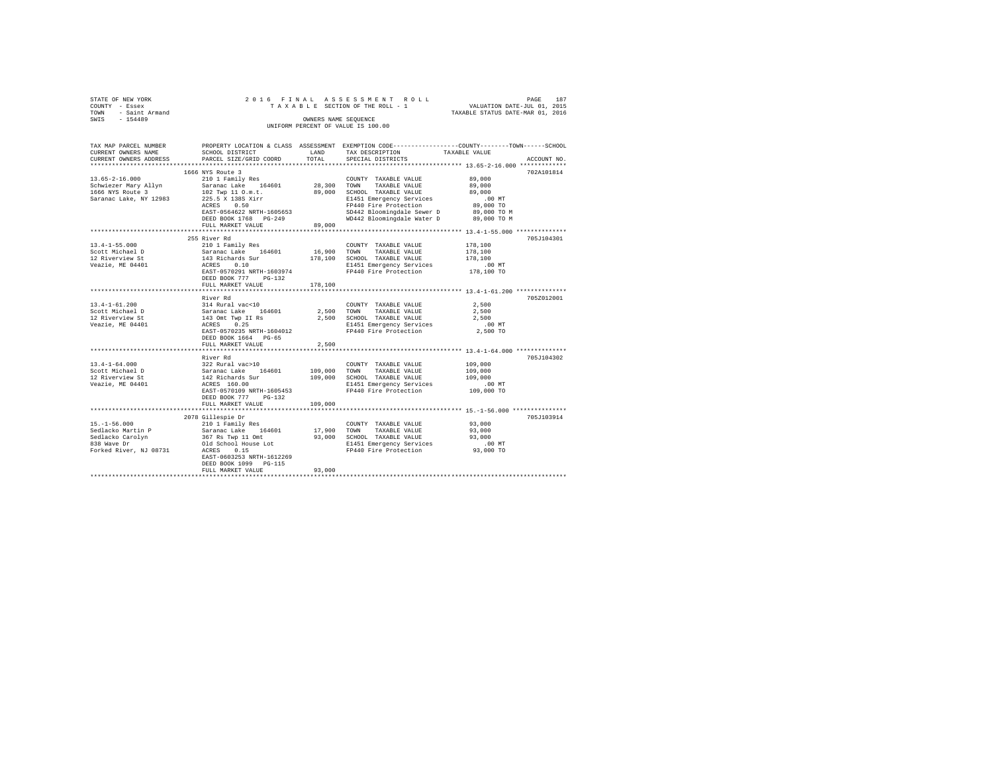| STATE OF NEW YORK<br>COUNTY - Essex                                                                                                                                                                                | 2016 FINAL                                                                  |         | ASSESSMENT ROLL<br>TAXABLE SECTION OF THE ROLL - 1                                                             | PAGE 187<br>VALUATION DATE-JUL 01, 2015                                                                               |
|--------------------------------------------------------------------------------------------------------------------------------------------------------------------------------------------------------------------|-----------------------------------------------------------------------------|---------|----------------------------------------------------------------------------------------------------------------|-----------------------------------------------------------------------------------------------------------------------|
| TOWN<br>- Saint Armand                                                                                                                                                                                             |                                                                             |         |                                                                                                                | TAXABLE STATUS DATE-MAR 01, 2016                                                                                      |
| $-154489$<br>SWIS                                                                                                                                                                                                  |                                                                             |         | OWNERS NAME SEOUENCE                                                                                           |                                                                                                                       |
|                                                                                                                                                                                                                    |                                                                             |         | UNIFORM PERCENT OF VALUE IS 100.00                                                                             |                                                                                                                       |
|                                                                                                                                                                                                                    |                                                                             |         |                                                                                                                |                                                                                                                       |
|                                                                                                                                                                                                                    |                                                                             |         |                                                                                                                | TAX MAP PARCEL NUMBER PROPERTY LOCATION & CLASS ASSESSMENT EXEMPTION CODE---------------COUNTY-------TOWN------SCHOOL |
| CURRENT OWNERS NAME                                                                                                                                                                                                | SCHOOL DISTRICT                                                             | LAND    | TAX DESCRIPTION                                                                                                | TAXABLE VALUE                                                                                                         |
| CURRENT OWNERS ADDRESS                                                                                                                                                                                             | PARCEL SIZE/GRID COORD                                                      | TOTAL   | SPECIAL DISTRICTS                                                                                              | ACCOUNT NO.                                                                                                           |
|                                                                                                                                                                                                                    |                                                                             |         |                                                                                                                |                                                                                                                       |
|                                                                                                                                                                                                                    | 1666 NYS Route 3                                                            |         |                                                                                                                | 702A101814                                                                                                            |
| $13.65 - 2 - 16.000$                                                                                                                                                                                               | 210 1 Family Res                                                            |         | COUNTY TAXABLE VALUE                                                                                           | 89,000                                                                                                                |
| Schwiezer Mary Allyn                                                                                                                                                                                               | Saranac Lake 164601                                                         |         | 28,300 TOWN TAXABLE VALUE<br>89,000 SCHOOL TAXABLE VALUE<br>TAXABLE VALUE                                      | 89,000                                                                                                                |
| 1666 NYS Route 3                                                                                                                                                                                                   | 102 Twp 11 O.m.t.                                                           |         |                                                                                                                | 89,000                                                                                                                |
| Saranac Lake, NY 12983                                                                                                                                                                                             | 225.5 X 138S Xirr<br>ACRES 0.50                                             |         | E1451 Emergency Services                                                                                       | $.00$ MT                                                                                                              |
|                                                                                                                                                                                                                    | EAST-0564622 NRTH-1605653                                                   |         | FP440 Fire Protection<br>FP440 Fire Protection = 05,000 10<br>SD442 Bloomingdale Sewer D = 89,000 TO M         | 89,000 TO                                                                                                             |
|                                                                                                                                                                                                                    | DEED BOOK 1768 PG-249                                                       |         | WD442 Bloomingdale Water D 89,000 TO M                                                                         |                                                                                                                       |
|                                                                                                                                                                                                                    | FULL MARKET VALUE                                                           | 89,000  |                                                                                                                |                                                                                                                       |
|                                                                                                                                                                                                                    |                                                                             |         |                                                                                                                |                                                                                                                       |
|                                                                                                                                                                                                                    | 255 River Rd                                                                |         |                                                                                                                | 705J104301                                                                                                            |
| $13.4 - 1 - 55.000$                                                                                                                                                                                                | 210 1 Family Res                                                            |         | COUNTY TAXABLE VALUE                                                                                           | 178,100                                                                                                               |
| Scott Michael D<br>12 Riverview St                                                                                                                                                                                 | Saranac Lake 164601<br>143 Richards Sur<br>ACRES 0.10                       |         |                                                                                                                | 178,100                                                                                                               |
|                                                                                                                                                                                                                    |                                                                             |         |                                                                                                                | 178,100                                                                                                               |
| Vearile, ME 04401                                                                                                                                                                                                  |                                                                             |         | 16,900 TOWN TAXABLE VALUE<br>178,100 SCHOOL TAXABLE VALUE<br>E1451 Emergency Services<br>FP440 Fire Protection | $.00$ MT                                                                                                              |
|                                                                                                                                                                                                                    | EAST-0570291 NRTH-1603974                                                   |         |                                                                                                                | 178,100 TO                                                                                                            |
|                                                                                                                                                                                                                    | DEED BOOK 777 PG-132<br>FULL MARKET VALUE                                   | 178,100 |                                                                                                                |                                                                                                                       |
|                                                                                                                                                                                                                    |                                                                             |         |                                                                                                                |                                                                                                                       |
|                                                                                                                                                                                                                    | River Rd                                                                    |         |                                                                                                                | 705Z012001                                                                                                            |
| $13.4 - 1 - 61.200$                                                                                                                                                                                                |                                                                             |         |                                                                                                                | 2.500                                                                                                                 |
| Scott Michael D                                                                                                                                                                                                    |                                                                             |         |                                                                                                                | 2,500                                                                                                                 |
| 12 Riverview St<br>Veazie, ME 04401                                                                                                                                                                                |                                                                             |         |                                                                                                                | 2,500                                                                                                                 |
|                                                                                                                                                                                                                    |                                                                             |         |                                                                                                                | $.00$ MT                                                                                                              |
|                                                                                                                                                                                                                    | EAST-0570235 NRTH-1604012                                                   |         | FP440 Fire Protection                                                                                          | 2,500 TO                                                                                                              |
|                                                                                                                                                                                                                    | DEED BOOK 1664 PG-65                                                        |         |                                                                                                                |                                                                                                                       |
|                                                                                                                                                                                                                    | FULL MARKET VALUE                                                           | 2,500   |                                                                                                                |                                                                                                                       |
|                                                                                                                                                                                                                    | River Rd                                                                    |         |                                                                                                                | 705J104302                                                                                                            |
| $13.4 - 1 - 64.000$                                                                                                                                                                                                |                                                                             |         | COUNTY TAXABLE VALUE                                                                                           | 109,000                                                                                                               |
| Scott Michael D                                                                                                                                                                                                    |                                                                             | 109,000 | TOWN<br>TAXABLE VALUE                                                                                          | 109,000                                                                                                               |
| 12 Riverview St                                                                                                                                                                                                    | 322 Rural vac>10<br>Saranac Lake 164601<br>142 Richards Sur<br>ACRES 160.00 |         | 109,000 SCHOOL TAXABLE VALUE                                                                                   | 109,000                                                                                                               |
| Veazie, ME 04401                                                                                                                                                                                                   |                                                                             |         | E1451 Emergency Services                                                                                       | $.00$ MT                                                                                                              |
|                                                                                                                                                                                                                    | EAST-0570109 NRTH-1605453                                                   |         | FP440 Fire Protection                                                                                          | 109,000 TO                                                                                                            |
|                                                                                                                                                                                                                    | DEED BOOK 777 PG-132                                                        |         |                                                                                                                |                                                                                                                       |
|                                                                                                                                                                                                                    | FULL MARKET VALUE<br>************************                               | 109,000 |                                                                                                                |                                                                                                                       |
|                                                                                                                                                                                                                    |                                                                             |         |                                                                                                                | **************************** 15.-1-56.000 **************<br>705.T103914                                               |
| $15. - 1 - 56.000$                                                                                                                                                                                                 | 2078 Gillespie Dr<br>210 1 Family Res                                       |         | COUNTY TAXABLE VALUE                                                                                           | 93,000                                                                                                                |
|                                                                                                                                                                                                                    |                                                                             |         |                                                                                                                | 93,000                                                                                                                |
| Sedlacko Martin P<br>Saranac Lake 164601<br>Sedlacko Carolyn<br>367 Ra Twp 11 Omt<br>368 Nave Dr<br>201 School House Lot<br>Forked River, NJ 08731<br>2028<br>201 School House Lot<br>2015<br>2015<br>2015<br>2015 |                                                                             |         | 17,900 TOWN TAXABLE VALUE<br>93,000 SCHOOL TAXABLE VALUE                                                       | 93,000                                                                                                                |
|                                                                                                                                                                                                                    |                                                                             |         |                                                                                                                | .00MT                                                                                                                 |
|                                                                                                                                                                                                                    |                                                                             |         | E1451 Emergency Services<br>FP440 Fire Protection                                                              | 93,000 TO                                                                                                             |
|                                                                                                                                                                                                                    | EAST-0603253 NRTH-1612269                                                   |         |                                                                                                                |                                                                                                                       |
|                                                                                                                                                                                                                    | DEED BOOK 1099 PG-115                                                       |         |                                                                                                                |                                                                                                                       |
|                                                                                                                                                                                                                    | FULL MARKET VALUE                                                           | 93,000  |                                                                                                                |                                                                                                                       |
|                                                                                                                                                                                                                    |                                                                             |         |                                                                                                                |                                                                                                                       |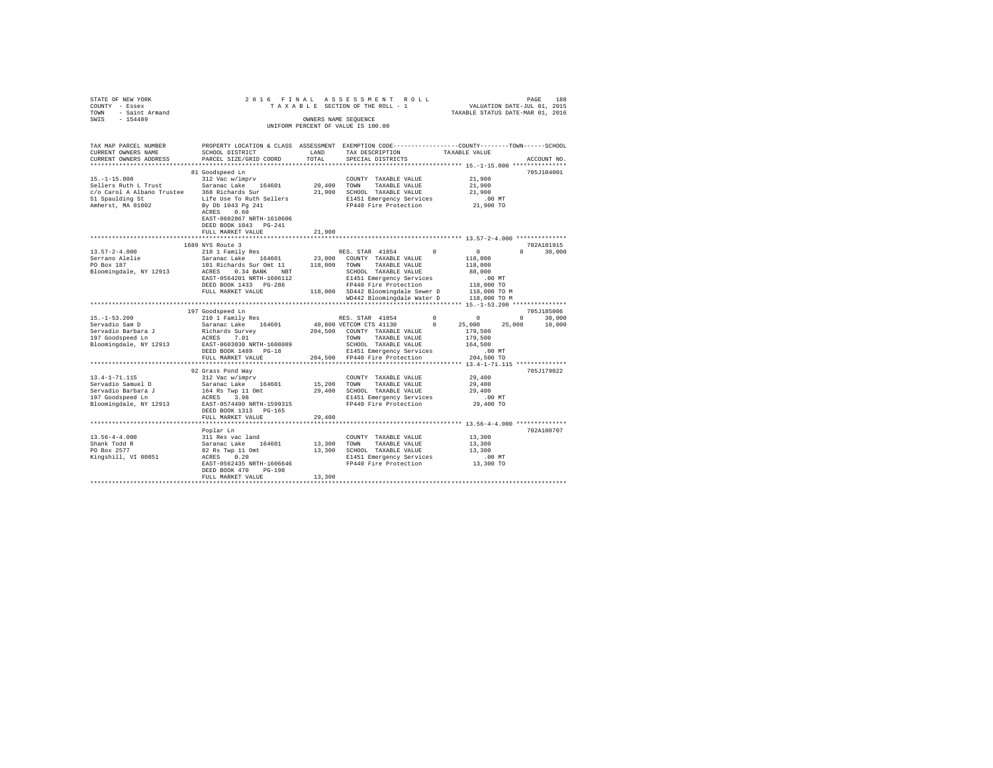| STATE OF NEW YORK $\begin{array}{ccccccccc} \multicolumn{3}{c}{{\small{\texttt{COUTNT}}}} & & & & & & & \multicolumn{3}{c}{{\small{\texttt{COUTNT}}}} & & & & & & & \multicolumn{3}{c}{{\small{\texttt{COUTNT}}}} & & & & & & & \multicolumn{3}{c}{{\small{\texttt{COUT}}}} & & & & & & & \multicolumn{3}{c}{{\small{\texttt{CNOT}}}} & & & & & & & & \multicolumn{3}{c}{{\small{\texttt{CNOT}}}} & & & & & & & & \multicolumn{3}{c}{{\small{\texttt{CNOT}}}} & & & & & &$ |                                                                                                                                               |        | 2016 FINAL ASSESSMENT ROLL<br>V FINAL A D DE SIN E RIT ROLL<br>TAXABLE SECTION OF THE ROLL - 1 VALUATION DATE-JUL 01, 2015<br>TAXABLE STATUS DATE-MAR 01, 2016<br>OWNERS NAME SEQUENCE<br>UNIFORM PERCENT OF VALUE IS 100.00 |  |                             |
|----------------------------------------------------------------------------------------------------------------------------------------------------------------------------------------------------------------------------------------------------------------------------------------------------------------------------------------------------------------------------------------------------------------------------------------------------------------------------|-----------------------------------------------------------------------------------------------------------------------------------------------|--------|------------------------------------------------------------------------------------------------------------------------------------------------------------------------------------------------------------------------------|--|-----------------------------|
| TAX MAP PARCEL NUMBER<br>CURRENT OWNERS NAME<br>CURRENT OWNERS ADDRESS                                                                                                                                                                                                                                                                                                                                                                                                     | PROPERTY LOCATION & CLASS ASSESSMENT EXEMPTION CODE----------------COUNTY-------TOWN------SCHOOL<br>SCHOOL DISTRICT<br>PARCEL SIZE/GRID COORD |        | LAND TAX DESCRIPTION TAXABLE VALUE TOTAL SPECIAL DISTRICTS                                                                                                                                                                   |  | ACCOUNT NO.                 |
|                                                                                                                                                                                                                                                                                                                                                                                                                                                                            |                                                                                                                                               |        |                                                                                                                                                                                                                              |  | 705J104001                  |
|                                                                                                                                                                                                                                                                                                                                                                                                                                                                            |                                                                                                                                               |        |                                                                                                                                                                                                                              |  |                             |
|                                                                                                                                                                                                                                                                                                                                                                                                                                                                            | EAST-0602867 NRTH-1610606<br>DEED BOOK 1043 PG-241<br>FULL MARKET VALUE                                                                       | 21,900 |                                                                                                                                                                                                                              |  |                             |
|                                                                                                                                                                                                                                                                                                                                                                                                                                                                            |                                                                                                                                               |        |                                                                                                                                                                                                                              |  |                             |
| $[13.57-2-4.000 \qquad \begin{array}{l} 1669 \text{ NTS RUS} \; \text{RUE} \; \mathbf{3} & \text{RES. STAR} \; \; 41854 \; \; 0 \qquad \; 0 \qquad \; 0 \qquad \; 0 \qquad \; 0 \qquad \; 0 \qquad \; 0 \qquad \; 0 \qquad \; 0 \qquad \; 0 \qquad \; 0 \qquad \; 0 \qquad \; 0 \qquad \; 0 \qquad \; 0 \qquad \; 0 \qquad \; 0 \qquad \; 0 \qquad \; 0 \qquad \; 0 \qquad \; 0 \$                                                                                         | 1689 NYS Route 3                                                                                                                              |        |                                                                                                                                                                                                                              |  | 702A101915<br>$0 \t 30.000$ |
|                                                                                                                                                                                                                                                                                                                                                                                                                                                                            |                                                                                                                                               |        |                                                                                                                                                                                                                              |  |                             |
|                                                                                                                                                                                                                                                                                                                                                                                                                                                                            |                                                                                                                                               |        |                                                                                                                                                                                                                              |  |                             |
|                                                                                                                                                                                                                                                                                                                                                                                                                                                                            |                                                                                                                                               |        |                                                                                                                                                                                                                              |  |                             |
|                                                                                                                                                                                                                                                                                                                                                                                                                                                                            |                                                                                                                                               |        |                                                                                                                                                                                                                              |  |                             |
|                                                                                                                                                                                                                                                                                                                                                                                                                                                                            |                                                                                                                                               |        |                                                                                                                                                                                                                              |  |                             |
|                                                                                                                                                                                                                                                                                                                                                                                                                                                                            |                                                                                                                                               |        |                                                                                                                                                                                                                              |  |                             |
|                                                                                                                                                                                                                                                                                                                                                                                                                                                                            |                                                                                                                                               |        |                                                                                                                                                                                                                              |  |                             |
|                                                                                                                                                                                                                                                                                                                                                                                                                                                                            |                                                                                                                                               |        |                                                                                                                                                                                                                              |  |                             |
|                                                                                                                                                                                                                                                                                                                                                                                                                                                                            |                                                                                                                                               |        |                                                                                                                                                                                                                              |  |                             |
|                                                                                                                                                                                                                                                                                                                                                                                                                                                                            |                                                                                                                                               |        |                                                                                                                                                                                                                              |  |                             |
|                                                                                                                                                                                                                                                                                                                                                                                                                                                                            |                                                                                                                                               |        |                                                                                                                                                                                                                              |  |                             |
|                                                                                                                                                                                                                                                                                                                                                                                                                                                                            |                                                                                                                                               |        |                                                                                                                                                                                                                              |  |                             |
|                                                                                                                                                                                                                                                                                                                                                                                                                                                                            |                                                                                                                                               |        |                                                                                                                                                                                                                              |  |                             |
|                                                                                                                                                                                                                                                                                                                                                                                                                                                                            |                                                                                                                                               |        |                                                                                                                                                                                                                              |  |                             |
|                                                                                                                                                                                                                                                                                                                                                                                                                                                                            |                                                                                                                                               |        |                                                                                                                                                                                                                              |  |                             |
|                                                                                                                                                                                                                                                                                                                                                                                                                                                                            |                                                                                                                                               |        |                                                                                                                                                                                                                              |  |                             |
|                                                                                                                                                                                                                                                                                                                                                                                                                                                                            |                                                                                                                                               |        |                                                                                                                                                                                                                              |  |                             |
| $\begin{tabular}{lcccc} 13.4-1-71.115 & & 312\,\,\mathrm{V}{\bf c} \, {\bf v} \, {\bf s} \, {\bf v} \, {\bf c} \, {\bf v} \, {\bf s} \, {\bf v} \, {\bf c} \, {\bf v} \, {\bf s} \, {\bf v} \, {\bf c} \, {\bf v} \, {\bf v} \, {\bf c} \, {\bf v} \, {\bf v} \, {\bf v} \, {\bf v} \, {\bf v} \, {\bf v} \, {\bf v} \, {\bf v} \, {\bf v} \, {\bf v} \, {\bf v} \, {\bf v} \, {\bf v} \, {\bf v} \, {\bf v}$                                                              | 92 Grass Pond Way                                                                                                                             |        |                                                                                                                                                                                                                              |  | 705J179022                  |
|                                                                                                                                                                                                                                                                                                                                                                                                                                                                            |                                                                                                                                               |        |                                                                                                                                                                                                                              |  |                             |
|                                                                                                                                                                                                                                                                                                                                                                                                                                                                            |                                                                                                                                               |        |                                                                                                                                                                                                                              |  |                             |
|                                                                                                                                                                                                                                                                                                                                                                                                                                                                            |                                                                                                                                               |        |                                                                                                                                                                                                                              |  |                             |
|                                                                                                                                                                                                                                                                                                                                                                                                                                                                            |                                                                                                                                               |        |                                                                                                                                                                                                                              |  |                             |
|                                                                                                                                                                                                                                                                                                                                                                                                                                                                            | DEED BOOK 1313 PG-165                                                                                                                         |        |                                                                                                                                                                                                                              |  |                             |
|                                                                                                                                                                                                                                                                                                                                                                                                                                                                            | FULL MARKET VALUE                                                                                                                             | 29,400 |                                                                                                                                                                                                                              |  |                             |
|                                                                                                                                                                                                                                                                                                                                                                                                                                                                            |                                                                                                                                               |        |                                                                                                                                                                                                                              |  |                             |
|                                                                                                                                                                                                                                                                                                                                                                                                                                                                            | Poplar Ln                                                                                                                                     |        |                                                                                                                                                                                                                              |  | 702A100707                  |
|                                                                                                                                                                                                                                                                                                                                                                                                                                                                            |                                                                                                                                               |        |                                                                                                                                                                                                                              |  |                             |
|                                                                                                                                                                                                                                                                                                                                                                                                                                                                            |                                                                                                                                               |        |                                                                                                                                                                                                                              |  |                             |
|                                                                                                                                                                                                                                                                                                                                                                                                                                                                            |                                                                                                                                               |        |                                                                                                                                                                                                                              |  |                             |
|                                                                                                                                                                                                                                                                                                                                                                                                                                                                            |                                                                                                                                               |        |                                                                                                                                                                                                                              |  |                             |
|                                                                                                                                                                                                                                                                                                                                                                                                                                                                            |                                                                                                                                               |        |                                                                                                                                                                                                                              |  |                             |
|                                                                                                                                                                                                                                                                                                                                                                                                                                                                            | DEED BOOK 470 PG-198                                                                                                                          |        |                                                                                                                                                                                                                              |  |                             |
|                                                                                                                                                                                                                                                                                                                                                                                                                                                                            | FULL MARKET VALUE                                                                                                                             | 13,300 |                                                                                                                                                                                                                              |  |                             |
|                                                                                                                                                                                                                                                                                                                                                                                                                                                                            |                                                                                                                                               |        |                                                                                                                                                                                                                              |  |                             |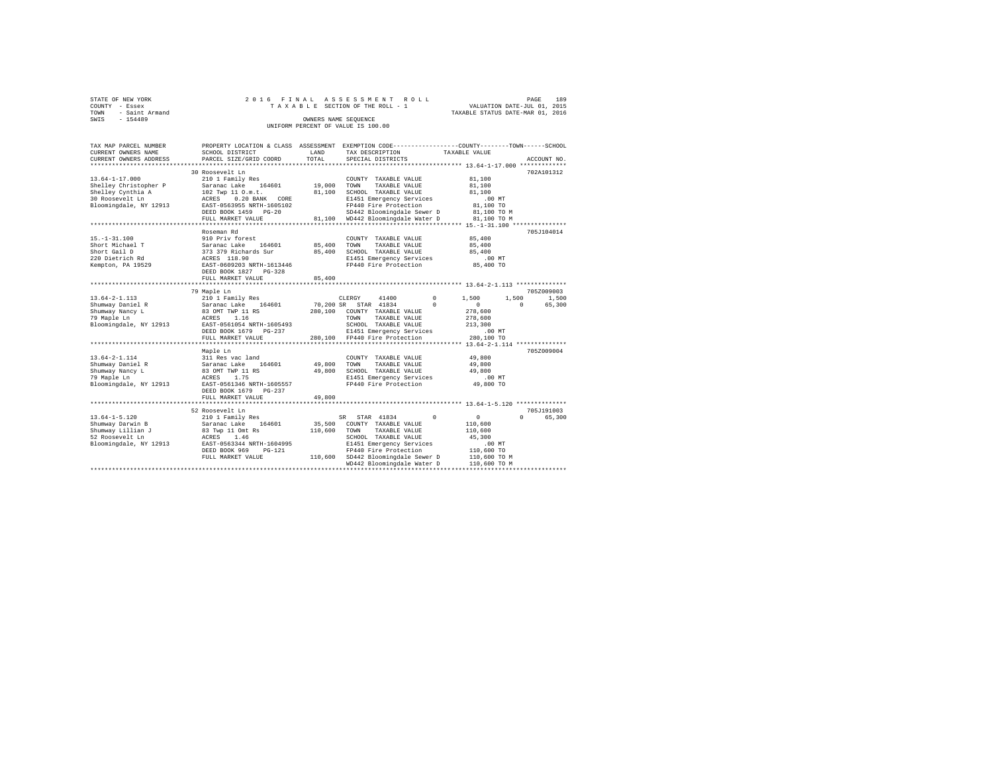|      | STATE OF NEW YORK |  |  |  | 2016 FINAL ASSESSMENT ROLL         |  |  |  |  |  |                                  |  | PAGE | 189 |
|------|-------------------|--|--|--|------------------------------------|--|--|--|--|--|----------------------------------|--|------|-----|
|      | COUNTY - Essex    |  |  |  | TAXABLE SECTION OF THE ROLL - 1    |  |  |  |  |  | VALUATION DATE-JUL 01, 2015      |  |      |     |
| TOWN | - Saint Armand    |  |  |  |                                    |  |  |  |  |  | TAXABLE STATUS DATE-MAR 01, 2016 |  |      |     |
| SWIS | $-154489$         |  |  |  | OWNERS NAME SEOUENCE               |  |  |  |  |  |                                  |  |      |     |
|      |                   |  |  |  | UNIFORM PERCENT OF VALUE IS 100.00 |  |  |  |  |  |                                  |  |      |     |

| TAX MAP PARCEL NUMBER<br>CURRENT OWNERS NAME                                                              | PROPERTY LOCATION & CLASS ASSESSMENT EXEMPTION CODE----------------COUNTY-------TOWN------SCHOOL<br>SCHOOL DISTRICT                                                               | LAND                            | TAX DESCRIPTION                                                                                                                                                                                                    | TAXABLE VALUE                                                                                                   |                                  |
|-----------------------------------------------------------------------------------------------------------|-----------------------------------------------------------------------------------------------------------------------------------------------------------------------------------|---------------------------------|--------------------------------------------------------------------------------------------------------------------------------------------------------------------------------------------------------------------|-----------------------------------------------------------------------------------------------------------------|----------------------------------|
| CURRENT OWNERS ADDRESS<br>***********************                                                         | PARCEL SIZE/GRID COORD                                                                                                                                                            | TOTAL                           | SPECIAL DISTRICTS                                                                                                                                                                                                  |                                                                                                                 | ACCOUNT NO.                      |
|                                                                                                           | 30 Roosevelt Ln                                                                                                                                                                   |                                 |                                                                                                                                                                                                                    |                                                                                                                 | 702A101312                       |
| $13.64 - 1 - 17.000$<br>Shelley Christopher P<br>Shelley Cynthia A<br>30 Roosevelt Ln                     | 210 1 Family Res<br>Saranac Lake<br>164601<br>102 Twp 11 O.m.t.<br>ACRES 0.20 BANK CORE                                                                                           | 19,000<br>81,100                | COUNTY TAXABLE VALUE<br>TOWN<br>TAXABLE VALUE<br>SCHOOL TAXABLE VALUE<br>E1451 Emergency Services                                                                                                                  | 81,100<br>81,100<br>81,100<br>.00 MT                                                                            |                                  |
| Bloomingdale, NY 12913                                                                                    | EAST-0563955 NRTH-1605102<br>DEED BOOK 1459 PG-20<br>FULL MARKET VALUE                                                                                                            |                                 | FP440 Fire Protection<br>SD442 Bloomingdale Sewer D<br>81,100 WD442 Bloomingdale Water D                                                                                                                           | 81,100 TO<br>81,100 TO M<br>81,100 TO M                                                                         |                                  |
|                                                                                                           |                                                                                                                                                                                   |                                 |                                                                                                                                                                                                                    |                                                                                                                 |                                  |
| $15. - 1 - 31.100$<br>Short Michael T<br>Short Gail D<br>220 Dietrich Rd<br>Kempton, PA 19529             | Roseman Rd<br>910 Priv forest<br>164601<br>Saranac Lake<br>373 379 Richards Sur<br>ACRES 118.90<br>EAST-0609203 NRTH-1613446<br>DEED BOOK 1827 PG-328                             | 85,400<br>85,400                | COUNTY TAXABLE VALUE<br>TOWN<br>TAXABLE VALUE<br>SCHOOL TAXABLE VALUE<br>E1451 Emergency Services<br>FP440 Fire Protection                                                                                         | 85,400<br>85,400<br>85,400<br>$.00$ MT<br>85,400 TO                                                             | 705J104014                       |
|                                                                                                           | FULL MARKET VALUE                                                                                                                                                                 | 85,400                          |                                                                                                                                                                                                                    |                                                                                                                 |                                  |
|                                                                                                           | 79 Maple Ln                                                                                                                                                                       |                                 |                                                                                                                                                                                                                    |                                                                                                                 | 705Z009003                       |
| $13.64 - 2 - 1.113$<br>Shumway Daniel R<br>Shumway Nancy L<br>79 Maple Ln<br>Bloomingdale, NY 12913       | 210 1 Family Res<br>Saranac Lake 164601<br>83 OMT TWP 11 RS<br>ACRES<br>1.16<br>EAST-0561054 NRTH-1605493<br>DEED BOOK 1679 PG-237<br>FULL MARKET VALUE                           | 70,200 SR<br>280,100<br>280,100 | CLERGY<br>41400<br>STAR 41834<br>COUNTY TAXABLE VALUE<br>TOWN<br>TAXABLE VALUE<br>SCHOOL TAXABLE VALUE<br>E1451 Emergency Services<br>FP440 Fire Protection                                                        | $^{\circ}$<br>1,500<br>1,500<br>$\Omega$<br>$\Omega$<br>278,600<br>278,600<br>213,300<br>$.00$ MT<br>280,100 TO | 1,500<br>65,300<br>$\Omega$      |
|                                                                                                           | ***************************                                                                                                                                                       |                                 |                                                                                                                                                                                                                    |                                                                                                                 | 705Z009004                       |
| $13.64 - 2 - 1.114$<br>Shumway Daniel R<br>Shumway Nancy L<br>79 Maple Ln<br>Bloomingdale, NY 12913       | Maple Ln<br>311 Res vac land<br>Saranac Lake<br>164601<br>83 OMT TWP 11 RS<br>ACRES<br>1.75<br>EAST-0561346 NRTH-1605557<br>DEED BOOK 1679<br>PG-237<br>FULL MARKET VALUE         | 49,800<br>49,800<br>49,800      | COUNTY TAXABLE VALUE<br>TOWN<br>TAXABLE VALUE<br>SCHOOL TAXABLE VALUE<br>E1451 Emergency Services<br>FP440 Fire Protection                                                                                         | 49,800<br>49,800<br>49,800<br>.00 MT<br>49,800 TO                                                               |                                  |
|                                                                                                           | .                                                                                                                                                                                 |                                 |                                                                                                                                                                                                                    | ******************* 13.64-1-5.120 **************                                                                |                                  |
| $13.64 - 1 - 5.120$<br>Shumway Darwin B<br>Shumway Lillian J<br>52 Roosevelt Ln<br>Bloomingdale, NY 12913 | 52 Roosevelt Ln<br>210 1 Family Res<br>Saranac Lake<br>164601<br>83 Twp 11 Omt Rs<br>1.46<br>ACRES<br>EAST-0563344 NRTH-1604995<br>DEED BOOK 969<br>$PG-121$<br>FULL MARKET VALUE | 35,500<br>110,600               | STAR 41834<br>SR<br>COUNTY TAXABLE VALUE<br>TAXABLE VALUE<br>TOWN<br>SCHOOL TAXABLE VALUE<br>E1451 Emergency Services<br>FP440 Fire Protection<br>110,600 SD442 Bloomingdale Sewer D<br>WD442 Bloomingdale Water D | $^{\circ}$<br>$\circ$<br>110,600<br>110,600<br>45,300<br>.00MT<br>110,600 TO<br>110,600 TO M<br>110,600 TO M    | 705J191003<br>$\Omega$<br>65,300 |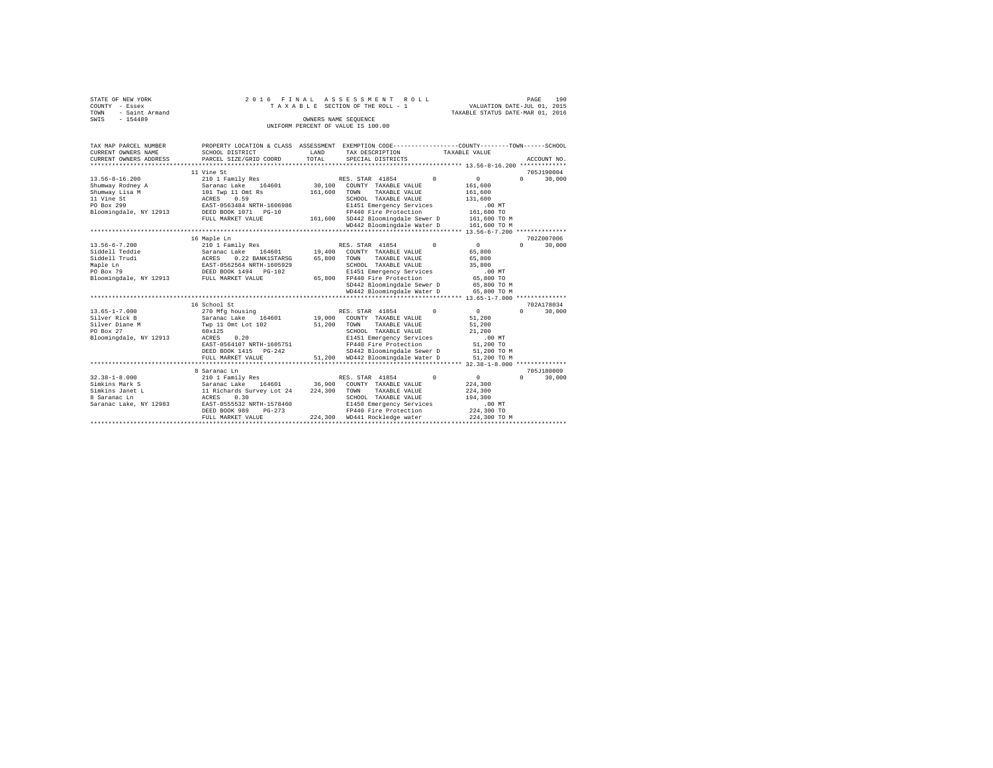| STATE OF NEW YORK      | 2016 FINAL ASSESSMENT ROLL         | 190<br>PAGE                      |
|------------------------|------------------------------------|----------------------------------|
| COUNTY - Essex         | TAXABLE SECTION OF THE ROLL - 1    | VALUATION DATE-JUL 01, 2015      |
| - Saint Armand<br>TOWN |                                    | TAXABLE STATUS DATE-MAR 01, 2016 |
| $-154489$<br>SWIS      | OWNERS NAME SEOUENCE               |                                  |
|                        | UNIFORM PERCENT OF VALUE IS 100.00 |                                  |

| TAX MAP PARCEL NUMBER<br>CURRENT OWNERS NAME | PROPERTY LOCATION & CLASS ASSESSMENT EXEMPTION CODE---------------COUNTY-------TOWN-----SCHOOL<br>SCHOOL DISTRICT | LAND<br>TOTAL | TAX DESCRIPTION            | TAXABLE VALUE |                |                    |  |
|----------------------------------------------|-------------------------------------------------------------------------------------------------------------------|---------------|----------------------------|---------------|----------------|--------------------|--|
| CURRENT OWNERS ADDRESS                       | PARCEL SIZE/GRID COORD                                                                                            |               | SPECIAL DISTRICTS          |               |                | ACCOUNT NO.        |  |
|                                              | 11 Vine St                                                                                                        |               |                            |               |                | 705J190004         |  |
| $13.56 - 8 - 16.200$                         | 210 1 Family Res                                                                                                  |               | RES. STAR 41854            | $\Omega$      | $\Omega$       | $\Omega$<br>30,000 |  |
| Shumway Rodney A                             | Saranac Lake<br>164601                                                                                            | 30,100        | COUNTY TAXABLE VALUE       |               | 161,600        |                    |  |
| Shumway Lisa M                               | 101 Twp 11 Omt Rs                                                                                                 | 161,600       | TAXABLE VALUE<br>TOWN      |               | 161,600        |                    |  |
| 11 Vine St                                   | ACRES 0.59                                                                                                        |               | SCHOOL TAXABLE VALUE       |               | 131,600        |                    |  |
| PO Box 299                                   | EAST-0563484 NRTH-1606986                                                                                         |               | E1451 Emergency Services   |               | .00MT          |                    |  |
| Bloomingdale, NY 12913                       | DEED BOOK 1071 PG-10                                                                                              |               | FP440 Fire Protection      |               | 161,600 TO     |                    |  |
|                                              | FULL MARKET VALUE                                                                                                 | 161,600       | SD442 Bloomingdale Sewer D |               | 161,600 TO M   |                    |  |
|                                              |                                                                                                                   |               | WD442 Bloomingdale Water D |               | 161,600 TO M   |                    |  |
|                                              |                                                                                                                   |               |                            |               |                |                    |  |
|                                              | 16 Maple Ln                                                                                                       |               |                            |               |                | 702Z007006         |  |
| $13.56 - 6 - 7.200$                          | 210 1 Family Res                                                                                                  |               | RES. STAR 41854            | $\Omega$      | 0              | $\Omega$<br>30,000 |  |
| Siddell Teddie                               | Saranac Lake<br>164601                                                                                            | 19,400        | COUNTY TAXABLE VALUE       |               | 65,800         |                    |  |
| Siddell Trudi                                | ACRES<br>0.22 BANK1STARSG                                                                                         | 65,800        | TOWN<br>TAXABLE VALUE      |               | 65,800         |                    |  |
| Maple Ln                                     | EAST-0562564 NRTH-1605929                                                                                         |               | SCHOOL TAXABLE VALUE       |               | 35,800         |                    |  |
| PO Box 79                                    | DEED BOOK 1494    PG-102                                                                                          |               | E1451 Emergency Services   |               | $.00$ MT       |                    |  |
| Bloomingdale, NY 12913                       | FULL MARKET VALUE                                                                                                 | 65,800        | FP440 Fire Protection      |               | 65,800 TO      |                    |  |
|                                              |                                                                                                                   |               | SD442 Bloomingdale Sewer D |               | 65,800 TO M    |                    |  |
|                                              |                                                                                                                   |               | WD442 Bloomingdale Water D |               | 65,800 TO M    |                    |  |
|                                              |                                                                                                                   |               |                            |               |                | 702A178034         |  |
| $13.65 - 1 - 7.000$                          | 16 School St<br>270 Mfg housing                                                                                   |               | RES. STAR 41854            | $\Omega$      | $\overline{0}$ | $\Omega$<br>30,000 |  |
| Silver Rick B                                | Saranac Lake<br>164601                                                                                            | 19,000        | COUNTY TAXABLE VALUE       |               | 51,200         |                    |  |
| Silver Diane M                               | Twp 11 Omt Lot 102                                                                                                | 51,200        | TOWN<br>TAXABLE VALUE      |               | 51,200         |                    |  |
| PO Box 27                                    | 60x125                                                                                                            |               | SCHOOL TAXABLE VALUE       |               | 21,200         |                    |  |
| Bloomingdale, NY 12913                       | 0.20<br>ACRES                                                                                                     |               | E1451 Emergency Services   |               | $.00$ MT       |                    |  |
|                                              | EAST-0564107 NRTH-1605751                                                                                         |               | FP440 Fire Protection      |               | 51,200 TO      |                    |  |
|                                              | DEED BOOK 1415 PG-242                                                                                             |               | SD442 Bloomingdale Sewer D |               | 51,200 TO M    |                    |  |
|                                              | FULL MARKET VALUE                                                                                                 | 51,200        | WD442 Bloomingdale Water D |               | 51,200 TO M    |                    |  |
|                                              |                                                                                                                   |               |                            |               |                |                    |  |
|                                              | 8 Saranac Ln                                                                                                      |               |                            |               |                | 705J180009         |  |
| $32.38 - 1 - 8.000$                          | 210 1 Family Res                                                                                                  |               | RES. STAR 41854            | $\Omega$      | $\Omega$       | $\Omega$<br>30,000 |  |
| Simkins Mark S                               | Saranac Lake 164601                                                                                               | 36,900        | COUNTY TAXABLE VALUE       |               | 224,300        |                    |  |
| Simkins Janet L                              | 11 Richards Survey Lot 24                                                                                         | 224,300       | TOWN<br>TAXABLE VALUE      |               | 224,300        |                    |  |
| 8 Saranac Ln                                 | ACRES<br>0.30                                                                                                     |               | SCHOOL TAXABLE VALUE       |               | 194,300        |                    |  |
| Saranac Lake, NY 12983                       | EAST-0555532 NRTH-1578460                                                                                         |               | E1450 Emergency Services   |               | .00MT          |                    |  |
|                                              | DEED BOOK 989<br>$PG-273$                                                                                         |               | FP440 Fire Protection      |               | 224,300 TO     |                    |  |
|                                              | FULL MARKET VALUE                                                                                                 | 224,300       | WD441 Rockledge water      |               | 224,300 TO M   |                    |  |
|                                              |                                                                                                                   |               |                            |               |                |                    |  |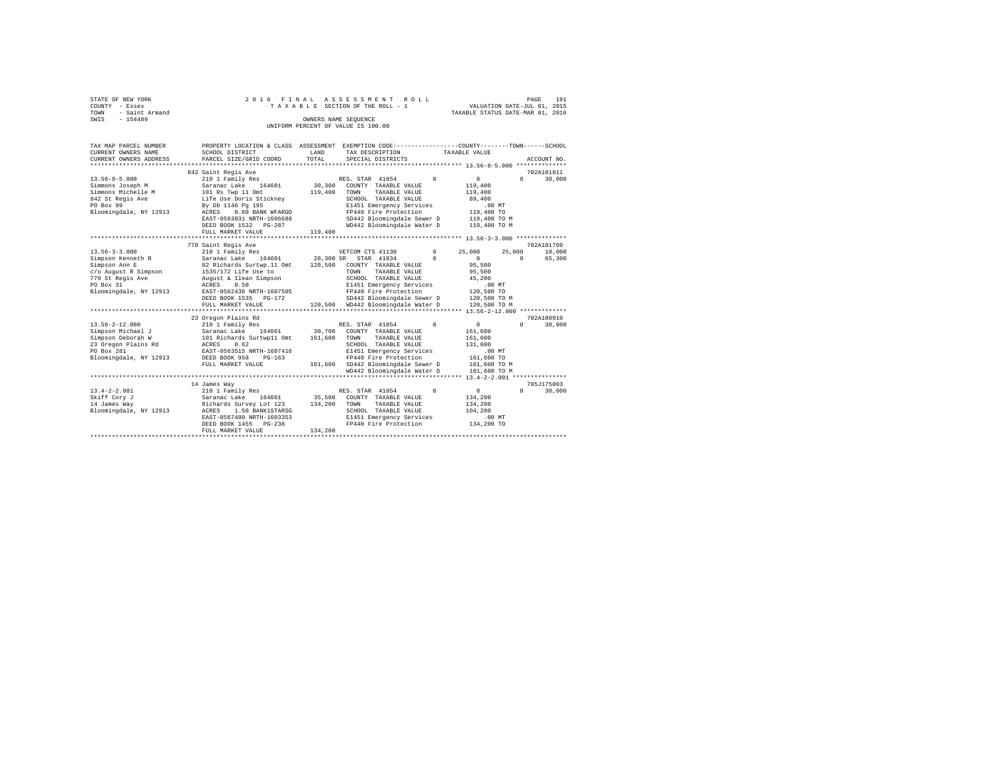|                | STATE OF NEW YORK   |  |  | 2016 FINAL ASSESSMENT ROLL         |                                  | PAGE | 191 |
|----------------|---------------------|--|--|------------------------------------|----------------------------------|------|-----|
| COUNTY - Essex |                     |  |  | TAXABLE SECTION OF THE ROLL - 1    | VALUATION DATE-JUL 01, 2015      |      |     |
|                | TOWN - Saint Armand |  |  |                                    | TAXABLE STATUS DATE-MAR 01, 2016 |      |     |
| SWIS           | $-154489$           |  |  | OWNERS NAME SEOUENCE               |                                  |      |     |
|                |                     |  |  | UNIFORM PERCENT OF VALUE IS 100.00 |                                  |      |     |
|                |                     |  |  |                                    |                                  |      |     |

| TAX MAP PARCEL NUMBER<br>CURRENT OWNERS NAME<br>CURRENT OWNERS ADDRESS<br>*************                                       | PROPERTY LOCATION & CLASS ASSESSMENT EXEMPTION CODE---------------COUNTY-------TOWN------SCHOOL<br>SCHOOL DISTRICT<br>PARCEL SIZE/GRID COORD                                                                                                   | LAND<br>TOTAL                | TAX DESCRIPTION<br>SPECIAL DISTRICTS                                                                                                                                                                              |                      | TAXABLE VALUE                                                                                           |                    | ACCOUNT NO.          |
|-------------------------------------------------------------------------------------------------------------------------------|------------------------------------------------------------------------------------------------------------------------------------------------------------------------------------------------------------------------------------------------|------------------------------|-------------------------------------------------------------------------------------------------------------------------------------------------------------------------------------------------------------------|----------------------|---------------------------------------------------------------------------------------------------------|--------------------|----------------------|
| $13.56 - 8 - 5.000$<br>Simmons Joseph M<br>Simmons Michelle M<br>842 St Regis Ave<br>PO Box 99<br>Bloomingdale, NY 12913      | 842 Saint Regis Ave<br>210 1 Family Res<br>Saranac Lake<br>164601<br>101 Rs Twp 11 Omt<br>Life Use Doris Stickney<br>By Db 1146 Pg 195<br>0.60 BANK WFARGO<br>ACRES<br>EAST-0563831 NRTH-1606688<br>DEED BOOK 1532 PG-287<br>FULL MARKET VALUE | 30,300<br>119,400<br>119,400 | RES. STAR 41854<br>COUNTY TAXABLE VALUE<br>TAXABLE VALUE<br>TOWN<br>SCHOOL TAXABLE VALUE<br>E1451 Emergency Services<br>FP440 Fire Protection<br>SD442 Bloomingdale Sewer D<br>WD442 Bloomingdale Water D         | $\Omega$             | $\circ$<br>119,400<br>119,400<br>89,400<br>$.00$ MT<br>119,400 TO<br>119,400 TO M<br>119,400 TO M       | $\Omega$           | 702A101811<br>30,000 |
|                                                                                                                               |                                                                                                                                                                                                                                                |                              |                                                                                                                                                                                                                   |                      |                                                                                                         |                    | 702A101709           |
| $13.56 - 3 - 3.000$<br>Simpson Kenneth R<br>Simpson Ann E<br>c/o August R Simpson                                             | 770 Saint Regis Ave<br>210 1 Family Res<br>Saranac Lake 164601<br>82 Richards Surtwp.11 Omt<br>1535/172 Life Use to                                                                                                                            | 120,500                      | VETCOM CTS 41130<br>28,300 SR STAR 41834<br>COUNTY TAXABLE VALUE<br>TAXABLE VALUE<br>TOWN                                                                                                                         | $\Omega$<br>$\Omega$ | 25,000<br>$\Omega$<br>95,500<br>95,500                                                                  | 25,000<br>$\Omega$ | 10,000<br>65,300     |
| 770 St Regis Ave<br>PO Box 31<br>Bloomingdale, NY 12913                                                                       | August & Ilean Simpson<br>ACRES<br>0.50<br>EAST-0562436 NRTH-1607505<br>DEED BOOK 1535 PG-172<br>FULL MARKET VALUE                                                                                                                             |                              | SCHOOL TAXABLE VALUE<br>E1451 Emergency Services<br>FP440 Fire Protection<br>SD442 Bloomingdale Sewer D<br>120,500 WD442 Bloomingdale Water D                                                                     |                      | 45,200<br>.00 MT<br>120,500 TO<br>120,500 TO M<br>120,500 TO M                                          |                    |                      |
|                                                                                                                               |                                                                                                                                                                                                                                                |                              |                                                                                                                                                                                                                   |                      |                                                                                                         |                    |                      |
|                                                                                                                               | 23 Oregon Plains Rd                                                                                                                                                                                                                            |                              |                                                                                                                                                                                                                   |                      |                                                                                                         |                    | 702A100910           |
| $13.56 - 2 - 12.000$<br>Simpson Michael J<br>Simpson Deborah W<br>23 Oregon Plains Rd<br>PO Box 281<br>Bloomingdale, NY 12913 | 210 1 Family Res<br>Saranac Lake 164601<br>101 Richards Surtwp11 Omt<br>ACRES<br>0.62<br>EAST-0563515 NRTH-1607416<br>DEED BOOK 958<br>$PG-163$<br>FULL MARKET VALUE                                                                           | 30,700<br>161,600            | RES. STAR 41854<br>COUNTY TAXABLE VALUE<br>TAXABLE VALUE<br>TOWN<br>SCHOOL TAXABLE VALUE<br>E1451 Emergency Services<br>FP440 Fire Protection<br>161,600 SD442 Bloomingdale Sewer D<br>WD442 Bloomingdale Water D | $\Omega$             | $\mathbf{0}$<br>161,600<br>161,600<br>131,600<br>$.00$ MT<br>161,600 TO<br>161,600 TO M<br>161,600 TO M | $\Omega$           | 30,000               |
|                                                                                                                               |                                                                                                                                                                                                                                                |                              |                                                                                                                                                                                                                   |                      | *** 13.4-2-2.001 ****************                                                                       |                    |                      |
| $13.4 - 2 - 2.001$<br>Skiff Cory J<br>14 James Way<br>Bloomingdale, NY 12913                                                  | 14 James Way<br>210 1 Family Res<br>Saranac Lake<br>164601<br>Richards Survey Lot 123 134,200<br>ACRES<br>1.50 BANK1STARSG                                                                                                                     | 35,500                       | RES. STAR 41854<br>COUNTY TAXABLE VALUE<br>TAXABLE VALUE<br>TOWN<br>SCHOOL TAXABLE VALUE                                                                                                                          | $^{\circ}$           | 0<br>134,200<br>134,200<br>104,200                                                                      | $\Omega$           | 705J175003<br>30,000 |
|                                                                                                                               | EAST-0567480 NRTH-1603353<br>DEED BOOK 1455<br>$PG-238$<br>FULL MARKET VALUE                                                                                                                                                                   | 134,200                      | E1451 Emergency Services<br>FP440 Fire Protection                                                                                                                                                                 |                      | .00MT<br>134,200 TO                                                                                     |                    |                      |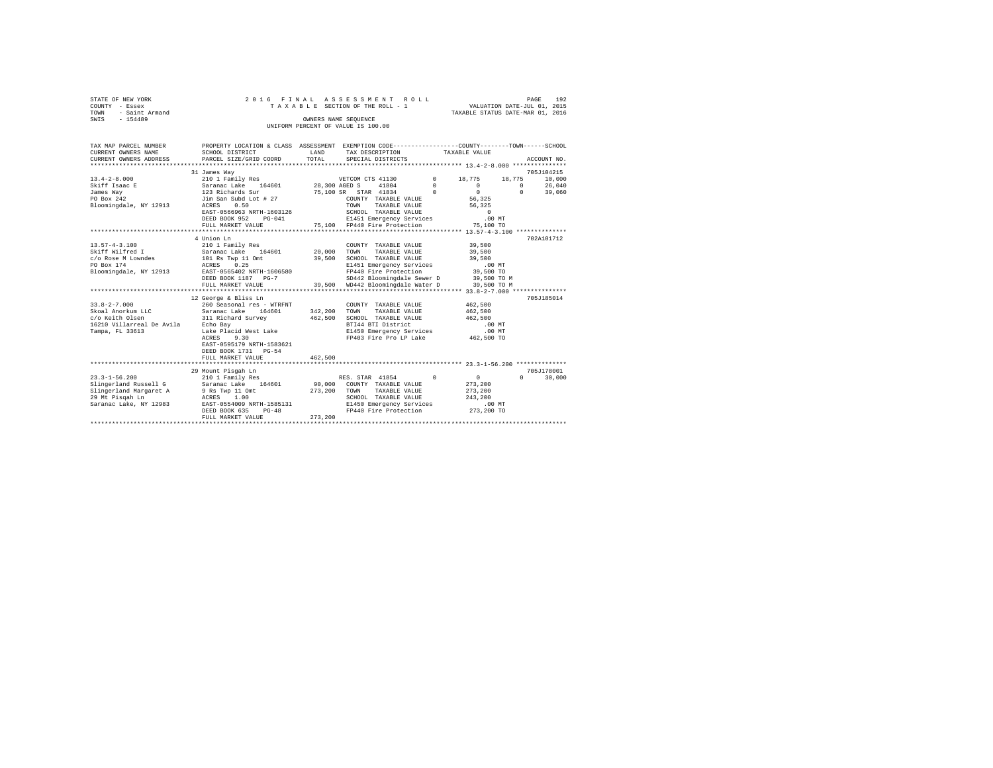| STATE OF NEW YORK   | 2016 FINAL ASSESSMENT ROLL         | 192<br>PAGE                      |
|---------------------|------------------------------------|----------------------------------|
| COUNTY - Essex      | TAXABLE SECTION OF THE ROLL - 1    | VALUATION DATE-JUL 01, 2015      |
| TOWN - Saint Armand |                                    | TAXABLE STATUS DATE-MAR 01, 2016 |
| SWIS<br>$-154489$   | OWNERS NAME SEOUENCE               |                                  |
|                     | UNIFORM PERCENT OF VALUE IS 100.00 |                                  |

| TAX MAP PARCEL NUMBER<br>CURRENT OWNERS NAME<br>CURRENT OWNERS ADDRESS | PROPERTY LOCATION & CLASS ASSESSMENT EXEMPTION CODE----------------COUNTY-------TOWN-----SCHOOL<br>SCHOOL DISTRICT<br>PARCEL SIZE/GRID COORD | LAND<br>TOTAL | TAX DESCRIPTION TAXABLE VALUE<br>SPECIAL DISTRICTS |               |                              | ACCOUNT NO.        |
|------------------------------------------------------------------------|----------------------------------------------------------------------------------------------------------------------------------------------|---------------|----------------------------------------------------|---------------|------------------------------|--------------------|
|                                                                        | 31 James Way                                                                                                                                 |               |                                                    |               |                              | 705J104215         |
| $13.4 - 2 - 8.000$                                                     | 210 1 Family Res                                                                                                                             |               | VETCOM CTS 41130                                   | $0 \t 18,775$ | 18,775                       | 10,000             |
| ----<br>Skiff Isaac E<br>™mmac Wav                                     | Saranac Lake 164601                                                                                                                          | 28,300 AGED S | 41804                                              | $\Omega$      | $\Omega$                     | $\Omega$<br>26,040 |
|                                                                        | 123 Richards Sur                                                                                                                             |               | 75,100 SR STAR 41834                               | $\sim$ 0      | $\circ$                      | $\Omega$<br>39,060 |
| PO Box 242                                                             | Jim San Subd Lot # 27                                                                                                                        |               | COUNTY TAXABLE VALUE                               |               | 56.325                       |                    |
| Bloomingdale, NY 12913                                                 | 0.50<br>ACRES                                                                                                                                |               | TOWN<br>TAXABLE VALUE                              |               | 56,325                       |                    |
|                                                                        | EAST-0566963 NRTH-1603126                                                                                                                    |               |                                                    |               |                              |                    |
|                                                                        | DEED BOOK 952                                                                                                                                | $PG-041$      |                                                    |               |                              |                    |
|                                                                        | FULL MARKET VALUE                                                                                                                            |               | 75.100 FP440 Fire Protection                       |               | 75,100 TO                    |                    |
|                                                                        |                                                                                                                                              |               |                                                    |               |                              |                    |
|                                                                        | 4 Union Ln                                                                                                                                   |               |                                                    |               |                              | 702A101712         |
| $13.57 - 4 - 3.100$                                                    | 210 1 Family Res                                                                                                                             |               | COUNTY TAXABLE VALUE                               |               | 39,500                       |                    |
| Skiff Wilfred I                                                        | Saranac Lake 164601<br>101 Rs Twp 11 Omt<br>ACRES 0.25                                                                                       | 20,000        | TOWN<br>TAXABLE VALUE                              |               | 39,500                       |                    |
| c/o Rose M Lowndes                                                     |                                                                                                                                              | 39,500        | SCHOOL TAXABLE VALUE                               |               | 39,500                       |                    |
| PO Box 174                                                             |                                                                                                                                              |               | E1451 Emergency Services                           |               | $.00$ MT                     |                    |
|                                                                        | Bloomingdale, NY 12913 EAST-0565402 NRTH-1606580                                                                                             |               | FP440 Fire Protection                              |               | 39,500 TO                    |                    |
|                                                                        | DEED BOOK 1187 PG-7                                                                                                                          |               | SD442 Bloomingdale Sewer D 39,500 TO M             |               |                              |                    |
|                                                                        | FULL MARKET VALUE                                                                                                                            |               | 39.500 WD442 Bloomingdale Water D                  |               | 39,500 TO M                  |                    |
|                                                                        |                                                                                                                                              |               |                                                    |               |                              |                    |
|                                                                        | 12 George & Bliss Ln                                                                                                                         |               |                                                    |               |                              | 705J185014         |
| $33.8 - 2 - 7.000$                                                     | 260 Seasonal res - WTRFNT                                                                                                                    |               | COUNTY TAXABLE VALUE                               |               | 462,500                      |                    |
| Skoal Anorkum LLC                                                      | Saranac Lake 164601                                                                                                                          | 342,200       | TOWN<br>TAXABLE VALUE                              |               | 462,500                      |                    |
| c/o Keith Olsen                                                        | 311 Richard Survey                                                                                                                           | 462,500       | SCHOOL TAXABLE VALUE                               |               | 462,500                      |                    |
| 16210 Villarreal De Avila Bcho Bay                                     | Echo Bay<br>Lake Placid West Lake                                                                                                            |               | BTI44 BTI District                                 |               | $.00$ MT                     |                    |
| Tampa, FL 33613                                                        |                                                                                                                                              |               | E1450 Emergency Services                           |               | .00 MT                       |                    |
|                                                                        | 9.30<br>ACRES                                                                                                                                |               | FP403 Fire Pro LP Lake                             |               | 462,500 TO                   |                    |
|                                                                        | EAST-0595179 NRTH-1583621                                                                                                                    |               |                                                    |               |                              |                    |
|                                                                        | DEED BOOK 1731 PG-54                                                                                                                         |               |                                                    |               |                              |                    |
|                                                                        | FULL MARKET VALUE                                                                                                                            | 462,500       |                                                    |               |                              |                    |
|                                                                        |                                                                                                                                              |               |                                                    |               |                              |                    |
|                                                                        | 29 Mount Pisgah Ln                                                                                                                           |               |                                                    |               |                              | 705J178001         |
| $23.3 - 1 - 56.200$                                                    | 210 1 Family Res                                                                                                                             |               | RES. STAR 41854                                    | $\Omega$      | 0                            | $\Omega$<br>30,000 |
| Slingerland Russell G                                                  | Saranac Lake 164601                                                                                                                          |               | 90,000 COUNTY TAXABLE VALUE                        |               | 273,200                      |                    |
| Slingerland Margaret A                                                 | 9 Rs Twp 11 Omt                                                                                                                              | 273,200       | TAXABLE VALUE<br>TOWN                              |               | 273,200                      |                    |
| 29 Mt Pisgah Ln                                                        | ACRES 1.00                                                                                                                                   |               | SCHOOL TAXABLE VALUE                               |               | 243,200                      |                    |
| Saranac Lake, NY 12983                                                 | EAST-0554009 NRTH-1585131                                                                                                                    |               | E1450 Emergency Services                           |               | $.00$ MT                     |                    |
|                                                                        | DEED BOOK 635<br>$PG-48$                                                                                                                     |               | FP440 Fire Protection                              |               | 273,200 TO                   |                    |
|                                                                        | FULL MARKET VALUE                                                                                                                            | 273,200       |                                                    |               |                              |                    |
|                                                                        |                                                                                                                                              |               |                                                    |               | **************************** |                    |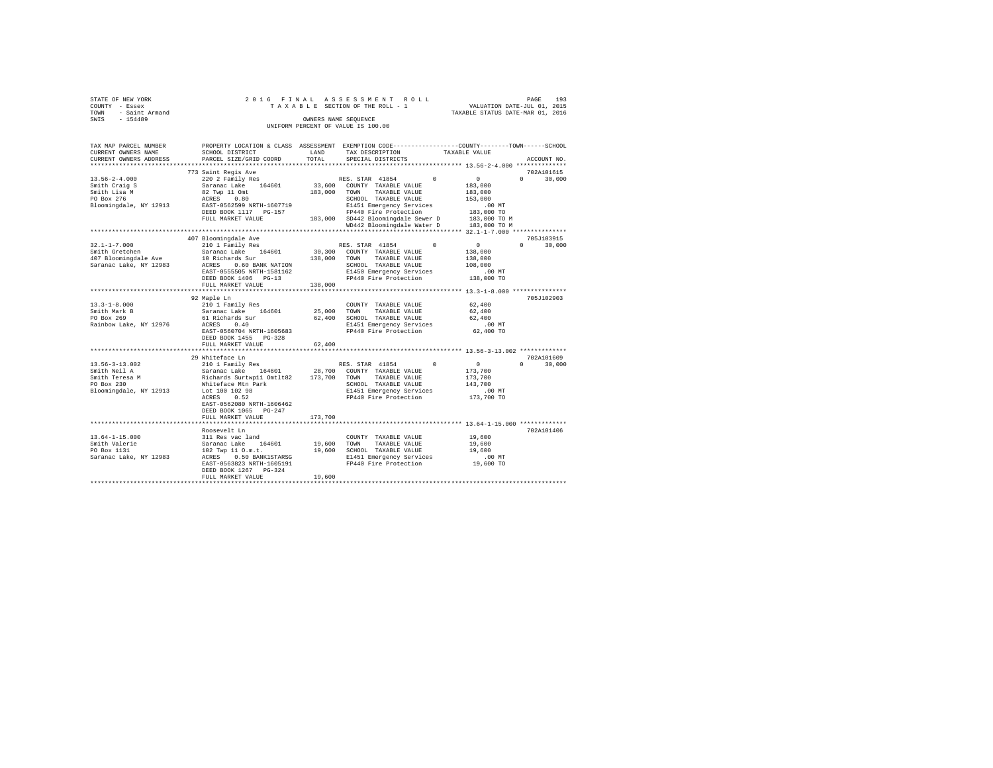| STATE OF NEW YORK                    | 2016 FINAL                                                    | ASSESSMENT ROLL                                   | PAGE<br>193                                                                                     |
|--------------------------------------|---------------------------------------------------------------|---------------------------------------------------|-------------------------------------------------------------------------------------------------|
| COUNTY - Essex                       |                                                               | TAXABLE SECTION OF THE ROLL - 1                   | VALUATION DATE-JUL 01, 2015                                                                     |
| TOWN<br>- Saint Armand               |                                                               |                                                   | TAXABLE STATUS DATE-MAR 01, 2016                                                                |
| SWIS - 154489                        |                                                               | OWNERS NAME SEOUENCE                              |                                                                                                 |
|                                      |                                                               | UNIFORM PERCENT OF VALUE IS 100.00                |                                                                                                 |
|                                      |                                                               |                                                   |                                                                                                 |
|                                      |                                                               |                                                   |                                                                                                 |
| TAX MAP PARCEL NUMBER                |                                                               |                                                   | PROPERTY LOCATION & CLASS ASSESSMENT EXEMPTION CODE---------------COUNTY-------TOWN------SCHOOL |
| CURRENT OWNERS NAME                  | SCHOOL DISTRICT                                               | LAND<br>TAX DESCRIPTION                           | TAXABLE VALUE                                                                                   |
| CURRENT OWNERS ADDRESS               | PARCEL SIZE/GRID COORD                                        | TOTAL<br>SPECIAL DISTRICTS                        | ACCOUNT NO.                                                                                     |
|                                      |                                                               |                                                   |                                                                                                 |
|                                      | 773 Saint Regis Ave<br>saint Regis Ave<br>220 2 Family Res    |                                                   | 702A101615                                                                                      |
| $13.56 - 2 - 4.000$                  |                                                               | RES. STAR 41854 0                                 | $\sim$ 0<br>$\Omega$ and $\Omega$<br>30,000                                                     |
| Smith Craig S                        | Saranac Lake 164601                                           | 33,600 COUNTY TAXABLE VALUE                       | 183,000                                                                                         |
| Smith Lisa M                         | 82 Twp 11 Omt                                                 | 183,000<br>TAXABLE VALUE<br>TOWN                  | 183,000                                                                                         |
| PO Box 276                           | ACRES 0.80                                                    | SCHOOL TAXABLE VALUE                              | 153,000                                                                                         |
| Bloomingdale, NY 12913               | EAST-0562599 NRTH-1607719                                     | E1451 Emergency Services                          | $.00$ MT                                                                                        |
|                                      | DEED BOOK 1117 PG-157                                         | FP440 Fire Protection                             | 183,000 TO                                                                                      |
|                                      | FULL MARKET VALUE                                             | 183,000 SD442 Bloomingdale Sewer D                | 183,000 TO M                                                                                    |
|                                      |                                                               | WD442 Bloomingdale Water D                        | 183,000 TO M                                                                                    |
|                                      |                                                               |                                                   |                                                                                                 |
|                                      | 407 Bloomingdale Ave                                          |                                                   | 705J103915<br>$\Omega$<br>$\Omega$                                                              |
| $32.1 - 1 - 7.000$                   | 210 1 Family Res                                              | RES. STAR 41854                                   | $\sim$ 0<br>30,000                                                                              |
| Smith Gretchen                       | Saranac Lake 164601                                           | 30,300 COUNTY TAXABLE VALUE                       | 138,000                                                                                         |
| 407 Bloomingdale Ave                 | 10 Richards Sur<br>10 Richards July<br>ACRES 0.60 BANK NATION | 138,000 TOWN<br>TAXABLE VALUE                     | 138,000                                                                                         |
| Saranac Lake, NY 12983               |                                                               | SCHOOL TAXABLE VALUE                              | 108,000                                                                                         |
|                                      | EAST-0555505 NRTH-1581162                                     | E1450 Emergency Services                          | $.00$ MT                                                                                        |
|                                      | DEED BOOK 1406 PG-13                                          | FP440 Fire Protection 138,000 TO                  |                                                                                                 |
|                                      | FULL MARKET VALUE                                             | 138,000                                           |                                                                                                 |
|                                      |                                                               |                                                   |                                                                                                 |
|                                      | 92 Maple Ln                                                   |                                                   | 705J102903                                                                                      |
| $13.3 - 1 - 8.000$                   | 210 1 Family Res<br>Saranac Lake 164601 25,000                | COUNTY TAXABLE VALUE                              | 62,400                                                                                          |
| Smith Mark B                         |                                                               | TAXABLE VALUE<br>TOWN                             | 62,400                                                                                          |
| PO Box 269                           | 61 Richards Sur                                               | 62,400<br>SCHOOL TAXABLE VALUE                    | 62,400                                                                                          |
| Rainbow Lake, NY 12976               | 0.40<br>ACRES                                                 | E1451 Emergency Services                          | $.00$ MT                                                                                        |
|                                      | EAST-0560704 NRTH-1605683                                     | FP440 Fire Protection                             | 62,400 TO                                                                                       |
|                                      | DEED BOOK 1455 PG-328                                         |                                                   |                                                                                                 |
|                                      | FULL MARKET VALUE                                             | 62,400                                            |                                                                                                 |
|                                      |                                                               |                                                   | 702A101609                                                                                      |
|                                      | 29 Whiteface Ln<br>210 1 Family Res                           |                                                   | $\Omega$ and $\Omega$                                                                           |
| $13.56 - 3 - 13.002$<br>Smith Neil A |                                                               | RES. STAR 41854 0                                 | 30,000<br>$\sim$ 0                                                                              |
|                                      |                                                               | Saranac Lake 164601 28,700 COUNTY TAXABLE VALUE   | 173,700                                                                                         |
| Smith Teresa M<br>PO Box 230         |                                                               | TOWN<br>TAXABLE VALUE<br>SCHOOL TAXABLE VALUE     | 173,700<br>143,700                                                                              |
|                                      | Whiteface Mtn Park<br>Lot 100 102 98                          |                                                   | .00MT                                                                                           |
| Bloomingdale, NY 12913               |                                                               | E1451 Emergency Services<br>FP440 Fire Protection | 173,700 TO                                                                                      |
|                                      | ACRES 0.52<br>EAST-0562080 NRTH-1606462                       |                                                   |                                                                                                 |
|                                      | DEED BOOK 1065 PG-247                                         |                                                   |                                                                                                 |
|                                      |                                                               |                                                   |                                                                                                 |
|                                      | FULL MARKET VALUE                                             | 173,700                                           |                                                                                                 |
|                                      |                                                               |                                                   |                                                                                                 |

 $\begin{tabular}{lcccc} 13.64-1-15.000 & \multicolumn{3}{c}{311~{\text{Res}}~{\text{vac}}~{\text{land}} & \multicolumn{3}{c}{\text{COWTY}}~{\text{TAXABLE VALUE}} & 19,600 & 702 \text{Al} 101406\\ \text{Smith Valerie} & \text{Sarana C lake} & 164601 & 19,600 & \text{TAXABLE VALUE} & 19,600\\ \text{Do Box 1131} & \text{Saranac Lake} & 164601 & 19,600 & \text{TAXABLE VALUE} & 19,600\\ \text{Do Box 11$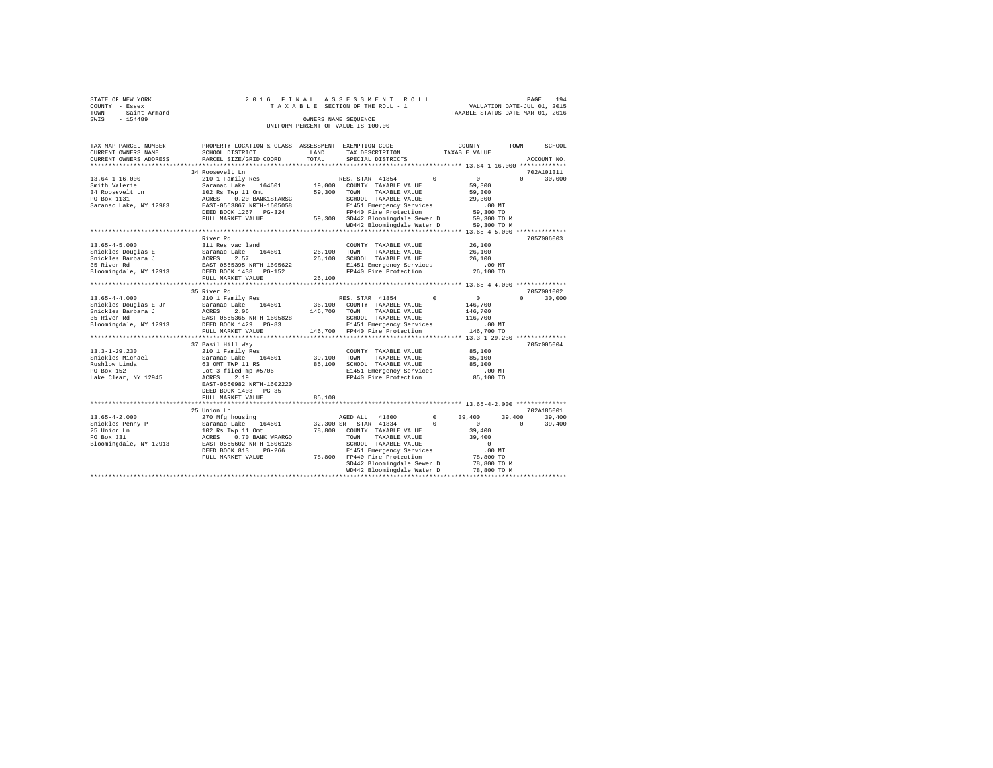| STATE OF NEW YORK   |  |  |  | 2016 FINAL ASSESSMENT ROLL         |                                  | PAGE                        | 194 |
|---------------------|--|--|--|------------------------------------|----------------------------------|-----------------------------|-----|
| COUNTY - Essex      |  |  |  | TAXABLE SECTION OF THE ROLL - 1    |                                  | VALUATION DATE-JUL 01, 2015 |     |
| TOWN - Saint Armand |  |  |  |                                    | TAXABLE STATUS DATE-MAR 01, 2016 |                             |     |
| SWIS<br>$-154489$   |  |  |  | OWNERS NAME SEOUENCE               |                                  |                             |     |
|                     |  |  |  | UNIFORM PERCENT OF VALUE IS 100.00 |                                  |                             |     |

| TAX MAP PARCEL NUMBER<br>CURRENT OWNERS NAME<br>CURRENT OWNERS ADDRESS | PROPERTY LOCATION & CLASS ASSESSMENT<br>SCHOOL DISTRICT<br>PARCEL SIZE/GRID COORD | LAND<br>TOTAL     | EXEMPTION CODE-----------------COUNTY-------TOWN------SCHOOL<br>TAX DESCRIPTION<br>SPECIAL DISTRICTS | TAXABLE VALUE                  | ACCOUNT NO.        |
|------------------------------------------------------------------------|-----------------------------------------------------------------------------------|-------------------|------------------------------------------------------------------------------------------------------|--------------------------------|--------------------|
| **********************                                                 |                                                                                   |                   |                                                                                                      |                                |                    |
|                                                                        | 34 Roosevelt Ln                                                                   |                   |                                                                                                      |                                | 702A101311         |
| $13.64 - 1 - 16.000$                                                   | 210 1 Family Res                                                                  |                   | RES. STAR 41854                                                                                      | $\Omega$<br>$\circ$            | $\Omega$<br>30,000 |
| Smith Valerie                                                          | Saranac Lake<br>164601                                                            | 19,000            | COUNTY TAXABLE VALUE                                                                                 | 59,300                         |                    |
| 34 Roosevelt Ln                                                        | 102 Rs Twp 11 Omt                                                                 | 59,300            | TOWN<br>TAXABLE VALUE                                                                                | 59,300                         |                    |
| PO Box 1131                                                            | ACRES<br>0.20 BANK1STARSG<br>EAST-0563867 NRTH-1605058                            |                   | SCHOOL TAXABLE VALUE                                                                                 | 29,300                         |                    |
| Saranac Lake, NY 12983                                                 |                                                                                   |                   | E1451 Emergency Services<br>FP440 Fire Protection                                                    | .00 MT<br>59,300 TO            |                    |
|                                                                        | DEED BOOK 1267 PG-324<br>FULL MARKET VALUE                                        | 59,300            | SD442 Bloomingdale Sewer D                                                                           | 59,300 TO M                    |                    |
|                                                                        |                                                                                   |                   | WD442 Bloomingdale Water D                                                                           | 59,300 TO M                    |                    |
|                                                                        |                                                                                   |                   |                                                                                                      |                                |                    |
|                                                                        | River Rd                                                                          |                   |                                                                                                      |                                | 705Z006003         |
| $13.65 - 4 - 5.000$                                                    | 311 Res vac land                                                                  |                   | COUNTY TAXABLE VALUE                                                                                 | 26,100                         |                    |
| Snickles Douglas E                                                     | Saranac Lake<br>164601                                                            | 26,100            | TOWN<br>TAXABLE VALUE                                                                                | 26,100                         |                    |
| Snickles Barbara J                                                     | 2.57<br>ACRES                                                                     | 26,100            | SCHOOL TAXABLE VALUE                                                                                 | 26,100                         |                    |
| 35 River Rd                                                            | EAST-0565395 NRTH-1605622                                                         |                   | E1451 Emergency Services                                                                             | $.00$ MT                       |                    |
| Bloomingdale, NY 12913                                                 | DEED BOOK 1438 PG-152                                                             |                   | FP440 Fire Protection                                                                                | 26,100 TO                      |                    |
|                                                                        | FULL MARKET VALUE                                                                 | 26,100            |                                                                                                      |                                |                    |
|                                                                        | ***********************                                                           |                   |                                                                                                      |                                |                    |
|                                                                        | 35 River Rd                                                                       |                   |                                                                                                      |                                | 705Z001002         |
| $13.65 - 4 - 4.000$                                                    | 210 1 Family Res                                                                  |                   | RES. STAR 41854                                                                                      | $^{\circ}$<br>$\circ$          | $\Omega$<br>30,000 |
| Snickles Douglas E Jr<br>Snickles Barbara J                            | 164601<br>Saranac Lake<br>2.06<br>ACRES                                           | 36,100<br>146,700 | COUNTY TAXABLE VALUE<br>TOWN<br>TAXABLE VALUE                                                        | 146,700                        |                    |
| 35 River Rd                                                            | EAST-0565365 NRTH-1605828                                                         |                   | SCHOOL TAXABLE VALUE                                                                                 | 146,700<br>116,700             |                    |
| Bloomingdale, NY 12913                                                 | DEED BOOK 1429 PG-83                                                              |                   | E1451 Emergency Services                                                                             | $.00$ MT                       |                    |
|                                                                        | FULL MARKET VALUE                                                                 |                   | 146,700 FP440 Fire Protection                                                                        | 146,700 TO                     |                    |
|                                                                        | **************************                                                        |                   |                                                                                                      |                                |                    |
|                                                                        | 37 Basil Hill Way                                                                 |                   |                                                                                                      |                                | 705z005004         |
| $13.3 - 1 - 29.230$                                                    | 210 1 Family Res                                                                  |                   | COUNTY TAXABLE VALUE                                                                                 | 85,100                         |                    |
| Snickles Michael                                                       | Saranac Lake<br>164601                                                            | 39,100            | TOWN<br>TAXABLE VALUE                                                                                | 85,100                         |                    |
| Rushlow Linda                                                          | 63 OMT TWP 11 RS                                                                  | 85,100            | SCHOOL TAXABLE VALUE                                                                                 | 85,100                         |                    |
| PO Box 152                                                             | Lot 3 filed mp #5706                                                              |                   | E1451 Emergency Services                                                                             | $.00$ MT                       |                    |
| Lake Clear, NY 12945                                                   | ACRES<br>2.19                                                                     |                   | FP440 Fire Protection                                                                                | 85,100 TO                      |                    |
|                                                                        | EAST-0560982 NRTH-1602220                                                         |                   |                                                                                                      |                                |                    |
|                                                                        | DEED BOOK 1403 PG-35                                                              |                   |                                                                                                      |                                |                    |
|                                                                        | FULL MARKET VALUE                                                                 | 85,100            |                                                                                                      |                                |                    |
|                                                                        |                                                                                   |                   |                                                                                                      |                                |                    |
|                                                                        | 25 Union Ln                                                                       |                   |                                                                                                      |                                | 702A185001         |
| $13.65 - 4 - 2.000$                                                    | 270 Mfg housing                                                                   |                   | 41800<br>AGED ALL                                                                                    | $^{\circ}$<br>39,400<br>39,400 | 39,400             |
| Snickles Penny P                                                       | 164601<br>Saranac Lake                                                            | 32,300 SR         | STAR 41834                                                                                           | $\Omega$<br>$\circ$            | $\Omega$<br>39,400 |
| 25 Union Ln<br>PO Box 331                                              | 102 Rs Twp 11 Omt<br>ACRES<br>0.70 BANK WFARGO                                    | 78,800            | COUNTY TAXABLE VALUE<br>TOWN<br>TAXABLE VALUE                                                        | 39,400<br>39,400               |                    |
| Bloomingdale, NY 12913                                                 | EAST-0565602 NRTH-1606126                                                         |                   | SCHOOL TAXABLE VALUE                                                                                 | $\Omega$                       |                    |
|                                                                        | DEED BOOK 813<br>$PG-266$                                                         |                   | E1451 Emergency Services                                                                             | .00MT                          |                    |
|                                                                        | FULL MARKET VALUE                                                                 |                   | 78,800 FP440 Fire Protection                                                                         | 78,800 TO                      |                    |
|                                                                        |                                                                                   |                   | SD442 Bloomingdale Sewer D                                                                           | 78,800 TO M                    |                    |
|                                                                        |                                                                                   |                   | WD442 Bloomingdale Water D                                                                           | 78,800 TO M                    |                    |
|                                                                        |                                                                                   |                   |                                                                                                      |                                |                    |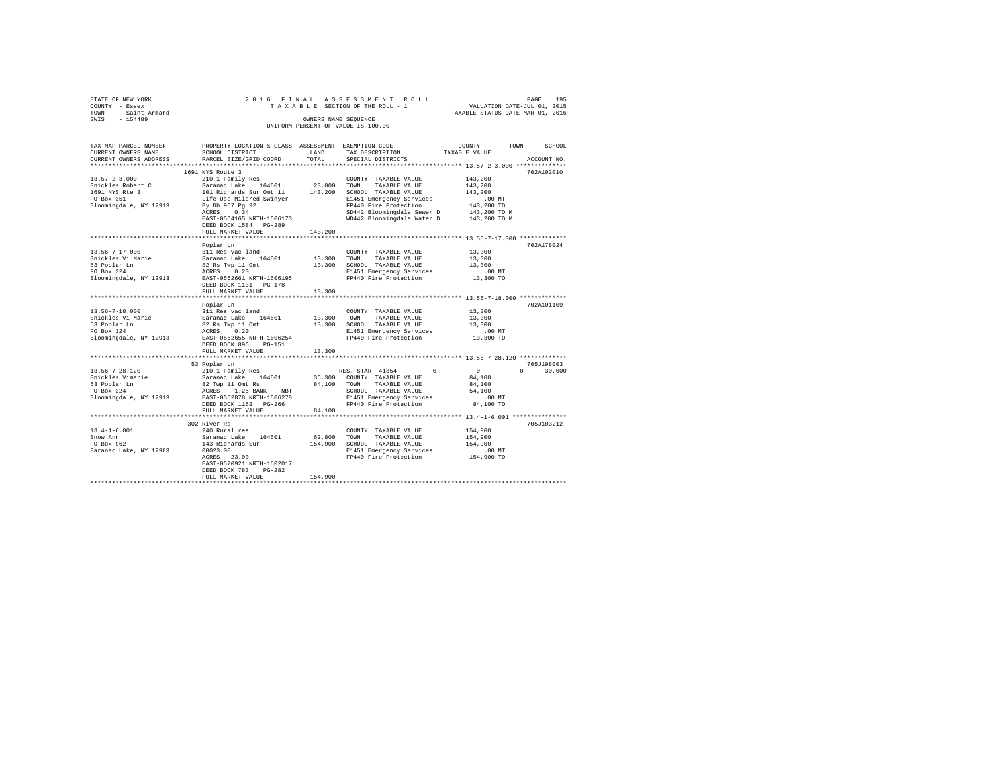| STATE OF NEW YORK   |  | 2016 FINAL ASSESSMENT ROLL         |                                  | PAGE                        | 195 |
|---------------------|--|------------------------------------|----------------------------------|-----------------------------|-----|
| COUNTY - Essex      |  | TAXABLE SECTION OF THE ROLL - 1    |                                  | VALUATION DATE-JUL 01, 2015 |     |
| TOWN - Saint Armand |  |                                    | TAXABLE STATUS DATE-MAR 01, 2016 |                             |     |
| SWIS<br>$-154489$   |  | OWNERS NAME SEOUENCE               |                                  |                             |     |
|                     |  | UNIFORM PERCENT OF VALUE IS 100.00 |                                  |                             |     |

| TAX MAP PARCEL NUMBER                                                                                                                                                                                                                         |                                                                                                                                            |             |                                                                                    | PROPERTY LOCATION & CLASS ASSESSMENT EXEMPTION CODE---------------COUNTY-------TOWN------SCHOOL |
|-----------------------------------------------------------------------------------------------------------------------------------------------------------------------------------------------------------------------------------------------|--------------------------------------------------------------------------------------------------------------------------------------------|-------------|------------------------------------------------------------------------------------|-------------------------------------------------------------------------------------------------|
| CURRENT OWNERS NAME                                                                                                                                                                                                                           | SCHOOL DISTRICT                                                                                                                            | LAND        | TAX DESCRIPTION                                                                    | TAXABLE VALUE                                                                                   |
| CURRENT OWNERS ADDRESS PARCEL SIZE/GRID COORD                                                                                                                                                                                                 |                                                                                                                                            | TOTAL       | SPECIAL DISTRICTS                                                                  | ACCOUNT NO.                                                                                     |
|                                                                                                                                                                                                                                               |                                                                                                                                            |             |                                                                                    |                                                                                                 |
|                                                                                                                                                                                                                                               | 1691 NYS Route 3                                                                                                                           |             |                                                                                    | 702A102010                                                                                      |
| $13.57 - 2 - 3.000$                                                                                                                                                                                                                           | 210 1 Family Res<br>Saranac Lake 164601 23,000<br>101 Richards Sur Omt 11 143,200<br>116 Use Mildred Swinyer<br>143,200<br>By Db 967 Pg 92 |             | COUNTY TAXABLE VALUE                                                               | 143,200                                                                                         |
| Snickles Robert C                                                                                                                                                                                                                             |                                                                                                                                            |             | TOWN<br>TAXABLE VALUE                                                              | 143,200                                                                                         |
| 1691 NYS Rte 3                                                                                                                                                                                                                                |                                                                                                                                            |             | 143,200 SCHOOL TAXABLE VALUE                                                       | 143,200                                                                                         |
| $\mathbf{B}$ and $\mathbf{B}$<br>PO Box 351                                                                                                                                                                                                   |                                                                                                                                            |             | E1451 Emergency Services                                                           |                                                                                                 |
| Bloomingdale, NY 12913                                                                                                                                                                                                                        |                                                                                                                                            |             | FP440 Fire Protection                                                              | 00 MT.<br>143,200 TO                                                                            |
|                                                                                                                                                                                                                                               | ACRES 0.34                                                                                                                                 |             |                                                                                    |                                                                                                 |
|                                                                                                                                                                                                                                               | EAST-0564165 NRTH-1606173                                                                                                                  |             | SD442 Bloomingdale Sewer D 143,200 TO M<br>WD442 Bloomingdale Water D 143,200 TO M |                                                                                                 |
|                                                                                                                                                                                                                                               | DEED BOOK 1584 PG-289                                                                                                                      |             |                                                                                    |                                                                                                 |
|                                                                                                                                                                                                                                               | FULL MARKET VALUE                                                                                                                          | 143,200     |                                                                                    |                                                                                                 |
|                                                                                                                                                                                                                                               |                                                                                                                                            |             |                                                                                    |                                                                                                 |
|                                                                                                                                                                                                                                               |                                                                                                                                            |             |                                                                                    | 702A178024                                                                                      |
|                                                                                                                                                                                                                                               | Poplar Ln                                                                                                                                  |             |                                                                                    |                                                                                                 |
|                                                                                                                                                                                                                                               |                                                                                                                                            |             | COUNTY TAXABLE VALUE                                                               | 13,300                                                                                          |
|                                                                                                                                                                                                                                               |                                                                                                                                            | 13,300 TOWN | TAXABLE VALUE                                                                      | 13,300                                                                                          |
|                                                                                                                                                                                                                                               |                                                                                                                                            |             | 13,300 SCHOOL TAXABLE VALUE                                                        | 13,300                                                                                          |
|                                                                                                                                                                                                                                               |                                                                                                                                            |             | E1451 Emergency Services<br>FP440 Fire Protection                                  | .00 MT                                                                                          |
|                                                                                                                                                                                                                                               |                                                                                                                                            |             |                                                                                    | 13,300 TO                                                                                       |
|                                                                                                                                                                                                                                               | DEED BOOK 1131    PG-178                                                                                                                   |             |                                                                                    |                                                                                                 |
|                                                                                                                                                                                                                                               | FULL MARKET VALUE                                                                                                                          | 13,300      |                                                                                    |                                                                                                 |
|                                                                                                                                                                                                                                               |                                                                                                                                            |             |                                                                                    |                                                                                                 |
|                                                                                                                                                                                                                                               |                                                                                                                                            |             |                                                                                    | 702A101109                                                                                      |
|                                                                                                                                                                                                                                               |                                                                                                                                            |             | COUNTY TAXABLE VALUE                                                               | 13,300                                                                                          |
|                                                                                                                                                                                                                                               |                                                                                                                                            |             | 13,300 TOWN TAXABLE VALUE                                                          | 13,300                                                                                          |
| 13.56-7-18.000<br>Shickles Vi Marie 311 Res vac land<br>Shickles Vi Marie 32 Rs Twp 11 Omt<br>53 Poplar In 82 Rs Twp 11 Omt<br>PD Box 324<br>Bloomingdale, NY 12913<br>RAST-0562655 NRTH-1506254<br>RAST-0562655 NRTH-1506254<br>RAST-0562655 |                                                                                                                                            |             | 13,300 SCHOOL TAXABLE VALUE                                                        | 13,300                                                                                          |
|                                                                                                                                                                                                                                               |                                                                                                                                            |             | E1451 Emergency Services                                                           | $.00$ MT                                                                                        |
|                                                                                                                                                                                                                                               |                                                                                                                                            |             | FP440 Fire Protection                                                              | 13,300 TO                                                                                       |
|                                                                                                                                                                                                                                               | DEED BOOK 896 PG-151                                                                                                                       |             |                                                                                    |                                                                                                 |
|                                                                                                                                                                                                                                               | FULL MARKET VALUE                                                                                                                          | 13,300      |                                                                                    |                                                                                                 |
|                                                                                                                                                                                                                                               |                                                                                                                                            |             |                                                                                    |                                                                                                 |
|                                                                                                                                                                                                                                               |                                                                                                                                            |             |                                                                                    | 705J198003                                                                                      |
|                                                                                                                                                                                                                                               | 53 Poplar Ln                                                                                                                               |             |                                                                                    | $\sim$ 0                                                                                        |
|                                                                                                                                                                                                                                               |                                                                                                                                            |             |                                                                                    | $\mathbf{0}$<br>$0 \t 30,000$                                                                   |
|                                                                                                                                                                                                                                               |                                                                                                                                            |             |                                                                                    | 84,100                                                                                          |
|                                                                                                                                                                                                                                               |                                                                                                                                            |             |                                                                                    | 84,100                                                                                          |
|                                                                                                                                                                                                                                               |                                                                                                                                            |             |                                                                                    | 54,100                                                                                          |
|                                                                                                                                                                                                                                               |                                                                                                                                            |             |                                                                                    | $.00$ MT                                                                                        |
|                                                                                                                                                                                                                                               | DEED BOOK 1152 PG-266                                                                                                                      |             | FP440 Fire Protection                                                              | 84,100 TO                                                                                       |
|                                                                                                                                                                                                                                               | FULL MARKET VALUE                                                                                                                          | 84,100      |                                                                                    |                                                                                                 |
|                                                                                                                                                                                                                                               |                                                                                                                                            |             |                                                                                    |                                                                                                 |
|                                                                                                                                                                                                                                               | 302 River Rd                                                                                                                               |             |                                                                                    | 705J103212                                                                                      |
| $13.4 - 1 - 6.001$                                                                                                                                                                                                                            | 240 Rural res                                                                                                                              |             | COUNTY TAXABLE VALUE                                                               | 154,900                                                                                         |
| Snow Ann                                                                                                                                                                                                                                      | Saranac Lake 164601<br>143 Richards Sur                                                                                                    |             | 62.800 TOWN TAXABLE VALUE                                                          | 154,900                                                                                         |
| PO Box 962                                                                                                                                                                                                                                    |                                                                                                                                            |             | 154,900 SCHOOL TAXABLE VALUE                                                       | 154,900                                                                                         |
| Saranac Lake, NY 12983                                                                                                                                                                                                                        | 00023.00                                                                                                                                   |             | E1451 Emergency Services                                                           | $.00$ MT                                                                                        |
|                                                                                                                                                                                                                                               | ACRES 23.00                                                                                                                                |             | FP440 Fire Protection                                                              | 154,900 TO                                                                                      |
|                                                                                                                                                                                                                                               | EAST-0570921 NRTH-1602017                                                                                                                  |             |                                                                                    |                                                                                                 |
|                                                                                                                                                                                                                                               | DEED BOOK 783<br>$PG-282$                                                                                                                  |             |                                                                                    |                                                                                                 |
|                                                                                                                                                                                                                                               | FULL MARKET VALUE                                                                                                                          | 154,900     |                                                                                    |                                                                                                 |
|                                                                                                                                                                                                                                               |                                                                                                                                            |             |                                                                                    |                                                                                                 |
|                                                                                                                                                                                                                                               |                                                                                                                                            |             |                                                                                    |                                                                                                 |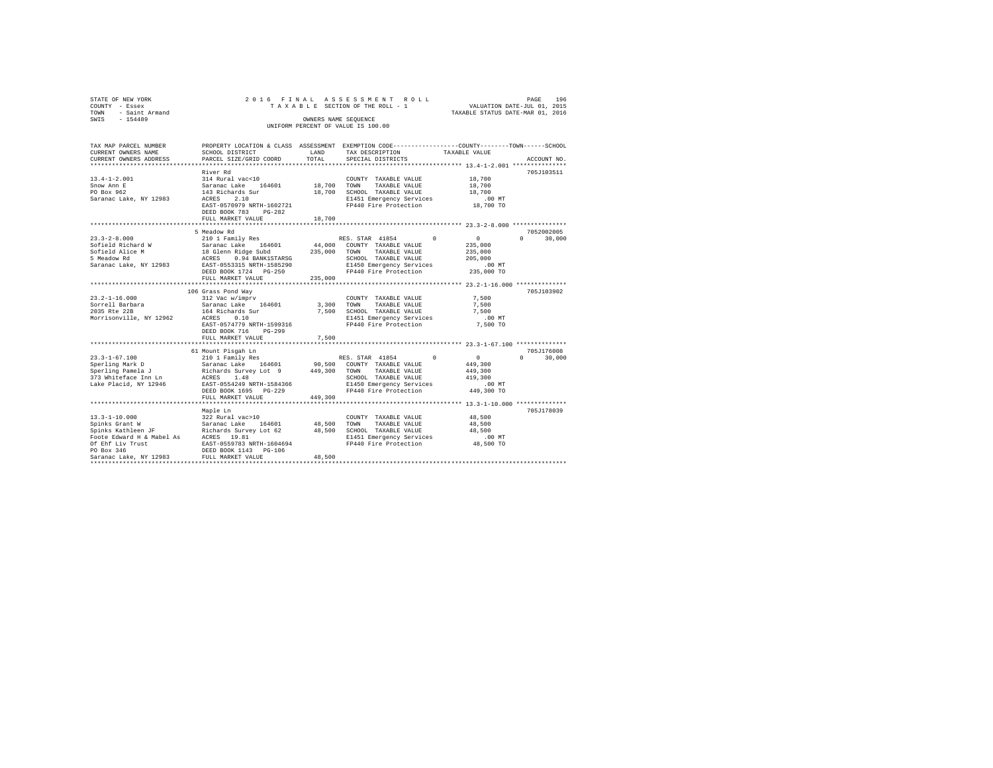| STATE OF NEW YORK   |  | 2016 FINAL ASSESSMENT ROLL         |                                  | PAGE                        | 196 |
|---------------------|--|------------------------------------|----------------------------------|-----------------------------|-----|
| COUNTY - Essex      |  | TAXABLE SECTION OF THE ROLL - 1    |                                  | VALUATION DATE-JUL 01, 2015 |     |
| TOWN - Saint Armand |  |                                    | TAXABLE STATUS DATE-MAR 01, 2016 |                             |     |
| SWIS<br>$-154489$   |  | OWNERS NAME SEOUENCE               |                                  |                             |     |
|                     |  | UNIFORM PERCENT OF VALUE IS 100.00 |                                  |                             |     |
|                     |  |                                    |                                  |                             |     |

| TAX MAP PARCEL NUMBER  |                                                  |             | PROPERTY LOCATION & CLASS ASSESSMENT EXEMPTION CODE---------------COUNTY-------TOWN-----SCHOOL |               |                        |
|------------------------|--------------------------------------------------|-------------|------------------------------------------------------------------------------------------------|---------------|------------------------|
| CURRENT OWNERS NAME    | SCHOOL DISTRICT                                  | LAND        | TAX DESCRIPTION                                                                                | TAXABLE VALUE |                        |
| CURRENT OWNERS ADDRESS | PARCEL SIZE/GRID COORD                           | TOTAL.      | SPECIAL DISTRICTS                                                                              |               | ACCOUNT NO.            |
|                        |                                                  |             |                                                                                                |               |                        |
|                        | River Rd                                         |             |                                                                                                |               | 705J103511             |
| $13.4 - 1 - 2.001$     | 314 Rural vac<10                                 |             | $\texttt{COUNTY} \quad \texttt{TXABLE} \quad \texttt{VALUE} \qquad \qquad 18\, , 700$          |               |                        |
| Snow Ann E             | Saranac Lake 164601                              |             | 18,700 TOWN TAXABLE VALUE                                                                      | 18,700        |                        |
| PO Box 962             |                                                  |             | $18,700 \qquad \text{SCH OOL} \quad \text{TAXABLE VALUE} \qquad \qquad 18,700$                 |               |                        |
| Saranac Lake, NY 12983 | 143 Richards Sur<br>ACRES 2.10                   |             | E1451 Emergency Services                                                                       | .00 MT        |                        |
|                        | EAST-0570979 NRTH-1602721                        |             | FP440 Fire Protection 18,700 TO                                                                |               |                        |
|                        | DEED BOOK 783 PG-282                             |             |                                                                                                |               |                        |
|                        | FULL MARKET VALUE                                | 18,700      |                                                                                                |               |                        |
|                        |                                                  |             |                                                                                                |               |                        |
|                        | 5 Meadow Rd                                      |             |                                                                                                |               | 7052002005             |
| $23.3 - 2 - 8.000$     | 210 1 Family Res                                 |             | $^{\circ}$<br>RES. STAR 41854                                                                  | $\sim$ 0      | $\Omega$<br>30,000     |
|                        |                                                  |             | 44,000 COUNTY TAXABLE VALUE                                                                    | 235,000       |                        |
|                        |                                                  |             |                                                                                                |               |                        |
|                        |                                                  |             | TAXABLE VALUE                                                                                  | 235,000       |                        |
|                        |                                                  |             | SCHOOL TAXABLE VALUE                                                                           | 205,000       |                        |
|                        | Saranac Lake, NY 12983 EAST-0553315 NRTH-1585290 |             | E1450 Emergency Services .00 MT<br>FP440 Fire Protection 235,000 TO                            |               |                        |
|                        | DEED BOOK 1724 PG-250                            |             | FP440 Fire Protection                                                                          |               |                        |
|                        | FULL MARKET VALUE                                | 235,000     |                                                                                                |               |                        |
|                        |                                                  |             |                                                                                                |               |                        |
|                        | 106 Grass Pond Way                               |             |                                                                                                |               | 705J103902             |
| $23.2 - 1 - 16.000$    | 312 Vac w/imprv                                  |             | COUNTY TAXABLE VALUE                                                                           | 7.500         |                        |
|                        |                                                  |             | TAXABLE VALUE                                                                                  | 7.500         |                        |
|                        |                                                  |             | 7,500 SCHOOL TAXABLE VALUE                                                                     | 7.500         |                        |
|                        |                                                  |             | E1451 Emergency Services                                                                       | $.00$ MT      |                        |
|                        | EAST-0574779 NRTH-1599316                        |             | FP440 Fire Protection                                                                          | 7,500 TO      |                        |
|                        | DEED BOOK 716 PG-299                             |             |                                                                                                |               |                        |
|                        | FULL MARKET VALUE                                | 7,500       |                                                                                                |               |                        |
|                        |                                                  |             |                                                                                                |               |                        |
|                        |                                                  |             |                                                                                                |               | 705J176008             |
|                        |                                                  |             |                                                                                                |               | 30,000<br>$\mathbf{a}$ |
|                        |                                                  |             |                                                                                                |               |                        |
|                        |                                                  |             |                                                                                                |               |                        |
|                        |                                                  |             |                                                                                                |               |                        |
|                        |                                                  |             |                                                                                                |               |                        |
|                        |                                                  |             |                                                                                                |               |                        |
|                        |                                                  |             |                                                                                                |               |                        |
|                        |                                                  |             |                                                                                                |               |                        |
|                        | Maple Ln                                         |             |                                                                                                |               | 705J178039             |
|                        |                                                  |             |                                                                                                | 48,500        |                        |
|                        |                                                  | 48,500 TOWN | COUNTY TAXABLE VALUE                                                                           |               |                        |
|                        |                                                  |             | TAXABLE VALUE                                                                                  | 48,500        |                        |
|                        |                                                  |             | 48,500 SCHOOL TAXABLE VALUE                                                                    | 48,500        |                        |
|                        |                                                  |             | E1451 Emergency Services .00 MT<br>FP440 Fire Protection 48,500 TO                             |               |                        |
|                        |                                                  |             |                                                                                                |               |                        |
| PO Box 346             | DEED BOOK 1143 PG-106                            |             |                                                                                                |               |                        |
| Saranac Lake, NY 12983 | FULL MARKET VALUE                                | 48,500      |                                                                                                |               |                        |
|                        |                                                  |             |                                                                                                |               |                        |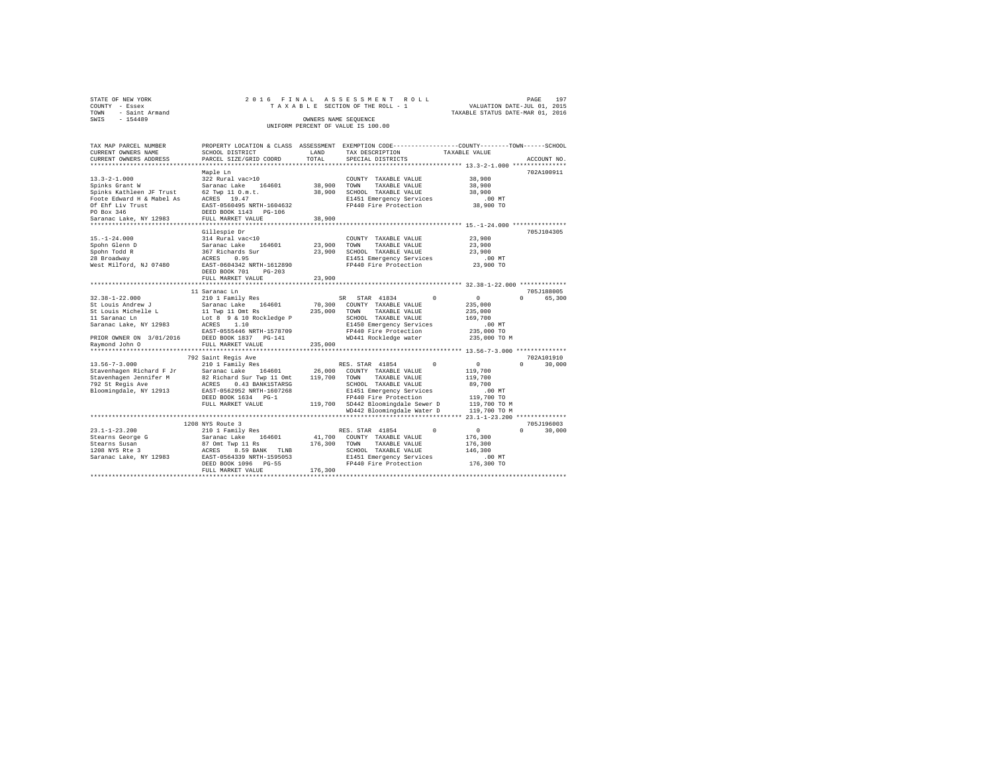| STATE OF NEW YORK   | 2016 FINAL ASSESSMENT ROLL         | PAGE                             | 197 |
|---------------------|------------------------------------|----------------------------------|-----|
| COUNTY - Essex      | TAXABLE SECTION OF THE ROLL - 1    | VALUATION DATE-JUL 01, 2015      |     |
| TOWN - Saint Armand |                                    | TAXABLE STATUS DATE-MAR 01, 2016 |     |
| SWTS<br>$-154489$   | OWNERS NAME SEOUENCE               |                                  |     |
|                     | UNIFORM PERCENT OF VALUE IS 100.00 |                                  |     |

| TAX MAP PARCEL NUMBER<br>CURRENT OWNERS NAME | SCHOOL DISTRICT                     | LAND    | TAX DESCRIPTION                    | PROPERTY LOCATION & CLASS ASSESSMENT EXEMPTION CODE----------------COUNTY-------TOWN------SCHOOL<br>TAXABLE VALUE |
|----------------------------------------------|-------------------------------------|---------|------------------------------------|-------------------------------------------------------------------------------------------------------------------|
| CURRENT OWNERS ADDRESS                       | PARCEL SIZE/GRID COORD              | TOTAL   | SPECIAL DISTRICTS                  | ACCOUNT NO.                                                                                                       |
|                                              |                                     |         |                                    |                                                                                                                   |
|                                              | Maple Ln                            |         |                                    | 702A100911                                                                                                        |
| $13.3 - 2 - 1.000$                           | 322 Rural vac>10                    |         | COUNTY TAXABLE VALUE               | 38,900                                                                                                            |
| Spinks Grant W                               | Saranac Lake<br>164601              | 38,900  | TOWN<br>TAXABLE VALUE              | 38,900                                                                                                            |
| Spinks Kathleen JF Trust                     | 62 Twp 11 0.m.t.                    | 38,900  | SCHOOL TAXABLE VALUE               | 38,900                                                                                                            |
| Foote Edward H & Mabel As                    | ACRES 19.47                         |         | E1451 Emergency Services           | $.00$ MT                                                                                                          |
| Of Ehf Liv Trust                             | EAST-0560495 NRTH-1604632           |         | FP440 Fire Protection              | 38,900 TO                                                                                                         |
| PO Box 346                                   | DEED BOOK 1143 PG-106               |         |                                    |                                                                                                                   |
| Saranac Lake, NY 12983                       | FULL MARKET VALUE                   | 38,900  |                                    |                                                                                                                   |
|                                              |                                     |         |                                    |                                                                                                                   |
|                                              | Gillespie Dr                        |         |                                    | 705J104305                                                                                                        |
| $15. - 1 - 24.000$                           | 314 Rural vac<10                    |         | COUNTY TAXABLE VALUE               | 23,900                                                                                                            |
| Spohn Glenn D                                | Saranac Lake<br>164601              | 23,900  | TOWN<br>TAXABLE VALUE              | 23,900                                                                                                            |
| Spohn Todd R                                 | 367 Richards Sur                    | 23,900  | SCHOOL TAXABLE VALUE               | 23,900                                                                                                            |
| 28 Broadway                                  | ACRES<br>0.95                       |         | E1451 Emergency Services           | .00MT                                                                                                             |
| West Milford, NJ 07480                       | EAST-0604342 NRTH-1612890           |         | FP440 Fire Protection              | 23,900 TO                                                                                                         |
|                                              | DEED BOOK 701<br>$PG-203$           |         |                                    |                                                                                                                   |
|                                              | FULL MARKET VALUE                   | 23,900  |                                    |                                                                                                                   |
|                                              | *************************           |         |                                    |                                                                                                                   |
|                                              | 11 Saranac Ln                       |         |                                    | 705J188005                                                                                                        |
| $32.38 - 1 - 22.000$                         | 210 1 Family Res                    |         | STAR 41834<br>SR                   | $^{\circ}$<br>$\sim$ 0<br>$\Omega$<br>65,300                                                                      |
| St Louis Andrew J                            | 164601<br>Saranac Lake              | 70,300  | COUNTY TAXABLE VALUE               | 235,000                                                                                                           |
| St Louis Michelle L                          | 11 Twp 11 Omt Rs                    | 235,000 | TOWN<br>TAXABLE VALUE              | 235,000                                                                                                           |
| 11 Saranac Ln                                | Lot 8 9 & 10 Rockledge P            |         | SCHOOL TAXABLE VALUE               | 169,700                                                                                                           |
| Saranac Lake, NY 12983                       | 1.10<br>ACRES                       |         | E1450 Emergency Services           | .00MT                                                                                                             |
|                                              | EAST-0555446 NRTH-1578709           |         | FP440 Fire Protection              | 235,000 TO                                                                                                        |
| PRIOR OWNER ON 3/01/2016                     | DEED BOOK 1837 PG-141               |         | WD441 Rockledge water              | 235,000 TO M                                                                                                      |
| Raymond John O                               | FULL MARKET VALUE                   | 235,000 |                                    |                                                                                                                   |
|                                              |                                     |         |                                    |                                                                                                                   |
|                                              | 792 Saint Regis Ave                 |         |                                    | 702A101910                                                                                                        |
| $13.56 - 7 - 3.000$                          | 210 1 Family Res                    |         | RES. STAR 41854                    | $\circ$<br>$\Omega$<br>30,000<br>$\Omega$                                                                         |
| Stavenhagen Richard F Jr                     | Saranac Lake 164601                 | 26,000  | COUNTY TAXABLE VALUE               | 119,700                                                                                                           |
| Stavenhagen Jennifer M                       | 82 Richard Sur Twp 11 Omt           | 119,700 | TOWN<br>TAXABLE VALUE              | 119,700                                                                                                           |
| 792 St Regis Ave                             | 0.43 BANK1STARSG<br>ACRES           |         | SCHOOL TAXABLE VALUE               | 89,700                                                                                                            |
| Bloomingdale, NY 12913                       | EAST-0562952 NRTH-1607268           |         | E1451 Emergency Services           | $.00$ MT                                                                                                          |
|                                              | DEED BOOK 1634 PG-1                 |         | FP440 Fire Protection              | 119,700 TO                                                                                                        |
|                                              | FULL MARKET VALUE                   |         | 119,700 SD442 Bloomingdale Sewer D | 119,700 TO M                                                                                                      |
|                                              |                                     |         | WD442 Bloomingdale Water D         | 119,700 TO M                                                                                                      |
|                                              |                                     |         |                                    |                                                                                                                   |
|                                              | 1208 NYS Route 3                    |         |                                    | 705J196003                                                                                                        |
| $23.1 - 1 - 23.200$                          | 210 1 Family Res                    |         | RES. STAR 41854                    | $\Omega$<br>$\Omega$<br>$^{\circ}$<br>30,000                                                                      |
| Stearns George G                             | Saranac Lake<br>164601              | 41,700  | COUNTY TAXABLE VALUE               | 176,300                                                                                                           |
| Stearns Susan                                | 87 Omt<br>ACRES<br>87 Omt Twp 11 Rs | 176,300 | TOWN<br>TAXABLE VALUE              | 176,300                                                                                                           |
| 1208 NYS Rte 3                               | 8.59 BANK TLNB                      |         | SCHOOL TAXABLE VALUE               | 146,300                                                                                                           |
| Saranac Lake, NY 12983                       | EAST-0564339 NRTH-1595053           |         | E1451 Emergency Services           | .00MT                                                                                                             |
|                                              | DEED BOOK 1096<br>$PG-55$           |         | FP440 Fire Protection              | 176,300 TO                                                                                                        |
|                                              | FULL MARKET VALUE                   | 176,300 |                                    |                                                                                                                   |
|                                              |                                     |         |                                    |                                                                                                                   |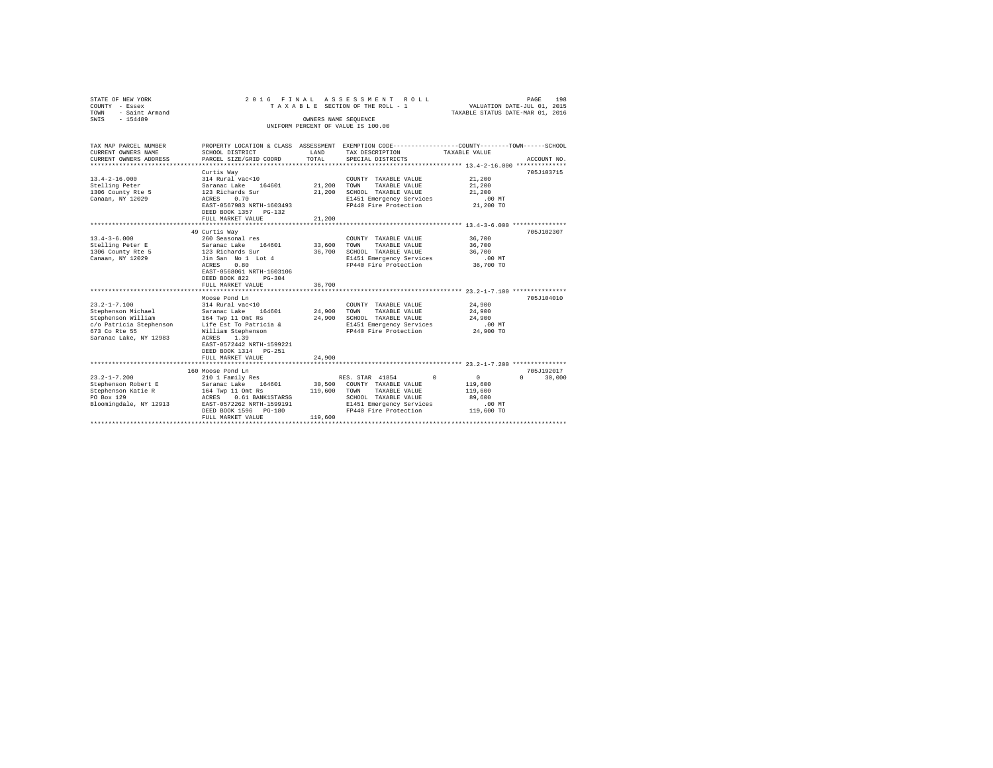| STATE OF NEW YORK        | 2016 FINAL                       |         | ASSESSMENT ROLL                                                                                |                             | 198<br>PAGE        |  |
|--------------------------|----------------------------------|---------|------------------------------------------------------------------------------------------------|-----------------------------|--------------------|--|
| COUNTY - Essex           |                                  |         | TAXABLE SECTION OF THE ROLL - 1                                                                | VALUATION DATE-JUL 01, 2015 |                    |  |
| TOWN<br>- Saint Armand   | TAXABLE STATUS DATE-MAR 01, 2016 |         |                                                                                                |                             |                    |  |
| $-154489$<br>SWIS        | OWNERS NAME SEQUENCE             |         |                                                                                                |                             |                    |  |
|                          |                                  |         | UNIFORM PERCENT OF VALUE IS 100.00                                                             |                             |                    |  |
|                          |                                  |         |                                                                                                |                             |                    |  |
| TAX MAP PARCEL NUMBER    |                                  |         | PROPERTY LOCATION & CLASS ASSESSMENT EXEMPTION CODE---------------COUNTY-------TOWN-----SCHOOL |                             |                    |  |
| CURRENT OWNERS NAME      | SCHOOL DISTRICT                  | LAND    | TAX DESCRIPTION                                                                                | TAXABLE VALUE               |                    |  |
| CURRENT OWNERS ADDRESS   | PARCEL SIZE/GRID COORD           | TOTAL   | SPECIAL DISTRICTS                                                                              |                             | ACCOUNT NO.        |  |
| ************************ |                                  |         | ************************************* 13.4-2-16.000 ***************                            |                             |                    |  |
|                          | Curtis Wav                       |         |                                                                                                |                             | 705J103715         |  |
| $13.4 - 2 - 16.000$      | 314 Rural vac<10                 |         | COUNTY TAXABLE VALUE                                                                           | 21,200                      |                    |  |
| Stelling Peter           | Saranac Lake 164601              | 21,200  | TOWN<br>TAXABLE VALUE                                                                          | 21,200                      |                    |  |
| 1306 County Rte 5        | 123 Richards Sur                 | 21,200  | SCHOOL TAXABLE VALUE                                                                           | 21,200                      |                    |  |
| Canaan, NY 12029         | ACRES<br>0.70                    |         | E1451 Emergency Services                                                                       | $.00$ MT                    |                    |  |
|                          | EAST-0567983 NRTH-1603493        |         | FP440 Fire Protection                                                                          | 21,200 TO                   |                    |  |
|                          | DEED BOOK 1357 PG-132            |         |                                                                                                |                             |                    |  |
|                          | FULL MARKET VALUE                | 21,200  |                                                                                                |                             |                    |  |
|                          |                                  |         |                                                                                                |                             |                    |  |
|                          | 49 Curtis Wav                    |         |                                                                                                |                             | 705J102307         |  |
| $13.4 - 3 - 6.000$       | 260 Seasonal res                 |         | COUNTY TAXABLE VALUE                                                                           | 36,700                      |                    |  |
| Stelling Peter E         | Saranac Lake<br>164601           | 33,600  | TOWN<br>TAXABLE VALUE                                                                          | 36,700                      |                    |  |
| 1306 County Rte 5        | 123 Richards Sur                 | 36,700  | SCHOOL TAXABLE VALUE                                                                           | 36,700                      |                    |  |
| Canaan, NY 12029         | Jin San No 1 Lot 4               |         | E1451 Emergency Services                                                                       | $.00$ MT                    |                    |  |
|                          | ACRES<br>0.80                    |         | FP440 Fire Protection                                                                          | 36,700 TO                   |                    |  |
|                          | EAST-0568061 NRTH-1603106        |         |                                                                                                |                             |                    |  |
|                          | DEED BOOK 822<br>$PG-304$        |         |                                                                                                |                             |                    |  |
|                          | FULL MARKET VALUE                | 36,700  |                                                                                                |                             |                    |  |
|                          | Moose Pond Ln                    |         |                                                                                                |                             | 705J104010         |  |
| $23.2 - 1 - 7.100$       | 314 Rural vac<10                 |         | COUNTY TAXABLE VALUE                                                                           | 24,900                      |                    |  |
| Stephenson Michael       | 164601<br>Saranac Lake           | 24,900  | TOWN<br>TAXABLE VALUE                                                                          | 24,900                      |                    |  |
| Stephenson William       | 164 Twp 11 Omt Rs                | 24,900  | SCHOOL TAXABLE VALUE                                                                           | 24,900                      |                    |  |
| c/o Patricia Stephenson  | Life Est To Patricia &           |         | E1451 Emergency Services                                                                       | $.00$ MT                    |                    |  |
| 673 Co Rte 55            | William Stephenson               |         | FP440 Fire Protection                                                                          | 24,900 TO                   |                    |  |
| Saranac Lake, NY 12983   | ACRES<br>1.39                    |         |                                                                                                |                             |                    |  |
|                          | EAST-0572442 NRTH-1599221        |         |                                                                                                |                             |                    |  |
|                          | DEED BOOK 1314 PG-251            |         |                                                                                                |                             |                    |  |
|                          | FULL MARKET VALUE                | 24,900  |                                                                                                |                             |                    |  |
|                          |                                  |         |                                                                                                |                             |                    |  |
|                          | 160 Moose Pond Ln                |         |                                                                                                |                             | 705J192017         |  |
| $23.2 - 1 - 7.200$       | 210 1 Family Res                 |         | RES. STAR 41854<br>$\Omega$                                                                    | $\circ$                     | $\Omega$<br>30,000 |  |
| Stephenson Robert E      | Saranac Lake<br>164601           | 30,500  | COUNTY TAXABLE VALUE                                                                           | 119,600                     |                    |  |
| Stephenson Katie R       | 164 Twp 11 Omt Rs                | 119,600 | TAXABLE VALUE<br>TOWN                                                                          | 119,600                     |                    |  |
| PO Box 129               | ACRES<br>0.61 BANK1STARSG        |         | SCHOOL TAXABLE VALUE                                                                           | 89,600                      |                    |  |
| Bloomingdale, NY 12913   | EAST-0572262 NRTH-1599191        |         | E1451 Emergency Services                                                                       | .00MT                       |                    |  |
|                          | DEED BOOK 1596 PG-180            |         | FP440 Fire Protection                                                                          | 119,600 TO                  |                    |  |
|                          | FULL MARKET VALUE                | 119,600 |                                                                                                |                             |                    |  |
|                          |                                  |         |                                                                                                |                             |                    |  |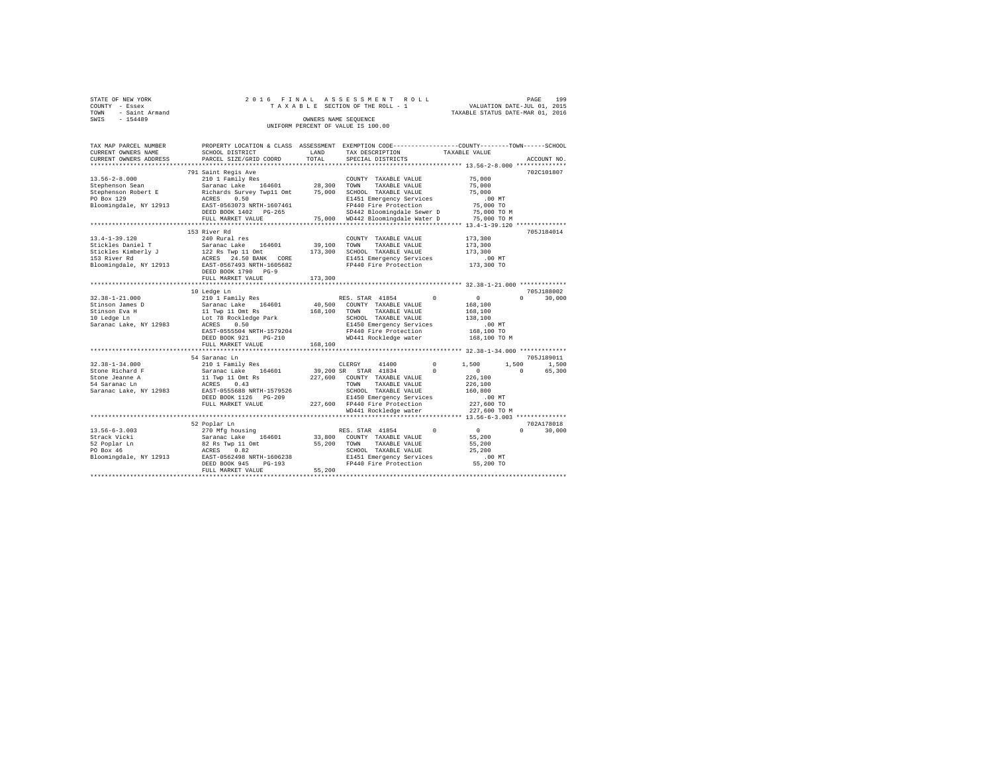| STATE OF NEW YORK<br>COUNTY - Essex<br>TOWN - Saint Armand<br>SWTS - 154489                               |                                                                                                                                                                                                                                                                                                                                                                    | OWNERS NAME SEQUENCE | 2016 FINAL ASSESSMENT ROLL<br>יש אות און איז א איז א מערכת און א איז א מערכת האוויר א א מערכת האוויר א משפח של היא היא מערכת היא היא מערכת ה<br>TAXABLE STATUS DATE-URL 011, 2016<br>UNIFORM PERCENT OF VALUE IS 100.00 |                                                                                            | 199<br>PAGE                       |
|-----------------------------------------------------------------------------------------------------------|--------------------------------------------------------------------------------------------------------------------------------------------------------------------------------------------------------------------------------------------------------------------------------------------------------------------------------------------------------------------|----------------------|-------------------------------------------------------------------------------------------------------------------------------------------------------------------------------------------------------------------------|--------------------------------------------------------------------------------------------|-----------------------------------|
| TAX MAP PARCEL NUMBER<br>CURRENT OWNERS NAME<br>CURRENT OWNERS ADDRESS                                    | SCHOOL DISTRICT LAND<br>PARCEL SIZE/GRID COORD                                                                                                                                                                                                                                                                                                                     | TOTAL                | PROPERTY LOCATION & CLASS ASSESSMENT EXEMPTION CODE---------------COUNTY-------TOWN------SCHOOL<br>TAX DESCRIPTION TAXABLE VALUE<br>SPECIAL DISTRICTS                                                                   |                                                                                            | ACCOUNT NO.                       |
|                                                                                                           |                                                                                                                                                                                                                                                                                                                                                                    |                      |                                                                                                                                                                                                                         |                                                                                            | 702C101807                        |
| Bloomingdale, NY 12913                                                                                    |                                                                                                                                                                                                                                                                                                                                                                    |                      |                                                                                                                                                                                                                         | 75,000<br>75,000<br>75,000<br>.00 MT<br>75,000 TO                                          |                                   |
|                                                                                                           |                                                                                                                                                                                                                                                                                                                                                                    |                      | DEED BOOK 1402 PG-265 SD442 Bloomingdale Sewer D 75,000 TO M FULL MARKET VALUE 75,000 TO M WD442 Bloomingdale Water D 75,000 TO M                                                                                       |                                                                                            |                                   |
|                                                                                                           |                                                                                                                                                                                                                                                                                                                                                                    |                      |                                                                                                                                                                                                                         |                                                                                            |                                   |
| $13.4 - 1 - 39.120$<br>Stickles Daniel T<br>Stickles Kimberly J<br>153 River Rd<br>Bloomingdale, NY 12913 | 153 River Rd<br>240 Rural res<br>Saranac Lake 164601 39,100<br>122 Rs Twp 11 Omt 173,300 SCHOOL TAXABLE VALUE<br>ACRES 24.50 BANK CORE E1451 Emergency Services<br>EAST-0567493 NRTH-1605682 F9440 Fire Protection<br>DEED BOOK 1790 PG-9<br>FULL MARKET VALUE                                                                                                     | 173,300              | COUNTY TAXABLE VALUE<br>TOWN<br>TAXABLE VALUE                                                                                                                                                                           | 173,300<br>173,300<br>173,300<br>.00 MT.<br>173,300 TO                                     | 705J184014                        |
|                                                                                                           | 10 Ledge Ln                                                                                                                                                                                                                                                                                                                                                        |                      |                                                                                                                                                                                                                         |                                                                                            | 705J188002                        |
| $32.38 - 1 - 21.000$<br>Stinson James D<br>Stinson Eva H<br>10 Ledge Ln<br>Saranac Lake, NY 12983         | DEED BOOK 921 PG-210<br>FULL MARKET VALUE                                                                                                                                                                                                                                                                                                                          | 168,100              | RES. STAR 41854 0<br>E1430 Bumery ----<br>FP440 Fire Protection<br>WD441 Rockledge water                                                                                                                                | $\sim$ 0 $\sim$<br>168,100<br>168,100<br>138,100<br>$.00$ MT<br>168,100 TO<br>168,100 TO M | $0 \t 30.000$                     |
|                                                                                                           |                                                                                                                                                                                                                                                                                                                                                                    |                      |                                                                                                                                                                                                                         |                                                                                            |                                   |
|                                                                                                           | 54 Saranac Ln                                                                                                                                                                                                                                                                                                                                                      |                      |                                                                                                                                                                                                                         |                                                                                            | 705J189011                        |
| $32.38 - 1 - 34.000$<br>Stone Richard F<br>Stone Jeanne A<br>54 Saranac Ln<br>Saranac Lake, NY 12983      | $\begin{tabular}{lcccc} 54.3cm and 210 & I & F & 500 & 1,500 \\ & S & 210 & I & F & 164601 & 39,200 & SR & STRR & 41814 & 0 & 1,500 \\ & S & 210 & 1 & F & 164601 & 39,200 & SR & STRR & 41814 & 0 \\ & 11.7 \text{Wp} & 11.0 \text{mL} & RS & 227,600 & CONINT & TAXABLE VALUE & 226,100 \\ & RCFES & 0.43 & TOWN & TAXABLE VALUE & 226,100$<br>FULL MARKET VALUE |                      | $E1450$ $E1450$ $E142$<br>227,600 $E1440$ Fire Protection<br>WD441 Rockledge water                                                                                                                                      | $.00$ MT<br>227,600 TO<br>227,600 TO M                                                     | 1,500 1,500<br>$\sim$ 0<br>65,300 |
|                                                                                                           |                                                                                                                                                                                                                                                                                                                                                                    |                      |                                                                                                                                                                                                                         |                                                                                            |                                   |
| $13.56 - 6 - 3.003$<br>Strack Vicki<br>52 Poplar Ln<br>PO Box 46                                          | 52 Poplar Ln<br>270 Mfg housing RES. STAR 41854 0<br>Saranac Lake 164601 33,800 COUNTY TAXABLE VALUE<br>82 Rs Twp 11 Omt 55,200 TOWN TAXABLE VALUE<br>ACRES 0.82 SCHOOL TAXABLE VALUE<br>FULL MARKET VALUE 55,200                                                                                                                                                  |                      |                                                                                                                                                                                                                         | $\begin{matrix}0&&&&0\\&55\,,200\end{matrix}$<br>55,200<br>25,200<br>.00 MT<br>55,200 TO   | 702A178018<br>$0 \t 30.000$       |
|                                                                                                           |                                                                                                                                                                                                                                                                                                                                                                    |                      |                                                                                                                                                                                                                         |                                                                                            |                                   |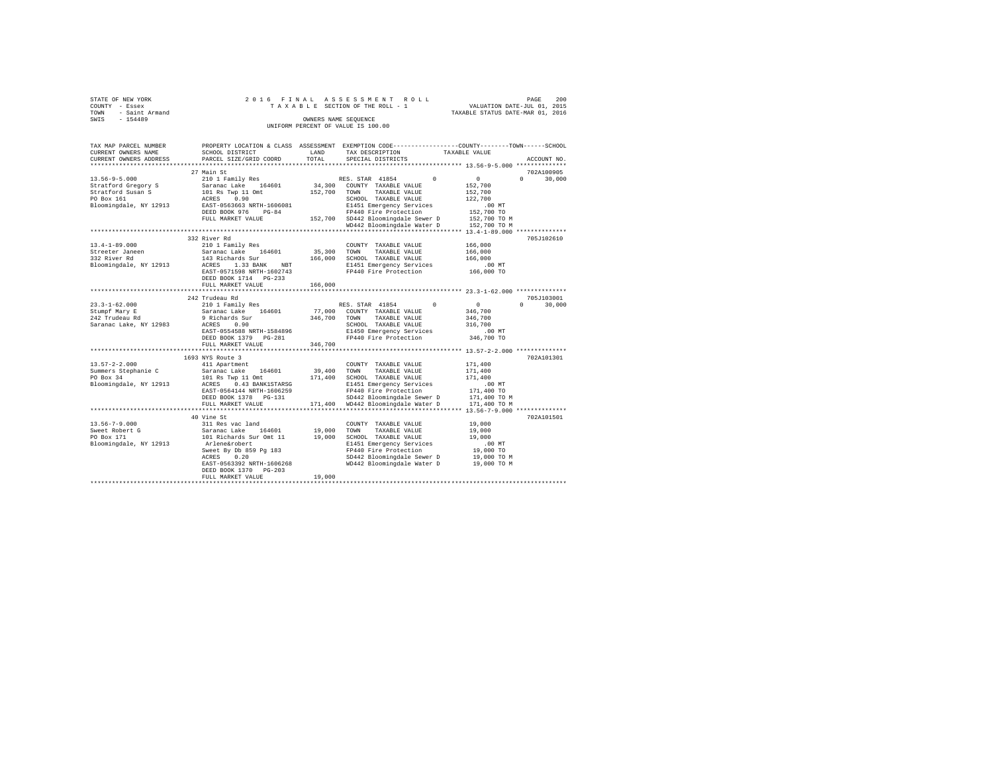| COUNTY<br>TOWN<br>SWIS | STATE OF NEW YORK<br>- Essex<br>- Saint Armand<br>$-154489$ |                                                                                          | 2016 FINAL ASSESSMENT ROLL<br>TAXABLE SECTION OF THE ROLL - 1<br>OWNERS NAME SEOUENCE |  | PAGE<br>VALUATION DATE-JUL 01, 2015<br>TAXABLE STATUS DATE-MAR 01, 2016 | 200     |
|------------------------|-------------------------------------------------------------|------------------------------------------------------------------------------------------|---------------------------------------------------------------------------------------|--|-------------------------------------------------------------------------|---------|
|                        |                                                             |                                                                                          |                                                                                       |  |                                                                         |         |
|                        |                                                             |                                                                                          | UNIFORM PERCENT OF VALUE IS 100.00                                                    |  |                                                                         |         |
|                        |                                                             |                                                                                          |                                                                                       |  |                                                                         |         |
|                        |                                                             |                                                                                          |                                                                                       |  |                                                                         |         |
|                        | TAX MAP PARCEL NUMBER                                       | PROPERTY LOCATION & CLASS ASSESSMENT EXEMPTION CODE----------------COUNTY-------TOWN---- |                                                                                       |  |                                                                         | -SCHOOL |

| CURRENT OWNERS NAME<br>CURRENT OWNERS ADDRESS | SCHOOL DISTRICT<br>PARCEL SIZE/GRID COORD | LAND<br>TOTAL | TAX DESCRIPTION<br>SPECIAL DISTRICTS | TAXABLE VALUE                                 | ACCOUNT NO.        |
|-----------------------------------------------|-------------------------------------------|---------------|--------------------------------------|-----------------------------------------------|--------------------|
|                                               |                                           |               |                                      |                                               |                    |
|                                               | 27 Main St                                |               |                                      |                                               | 702A100905         |
| $13.56 - 9 - 5.000$                           | 210 1 Family Res                          |               | $\sim$ 0<br>RES. STAR 41854          | $\sim$ 0                                      | $0 \t 30,000$      |
| Stratford Gregory S                           | Saranac Lake 164601                       | 34,300        | COUNTY TAXABLE VALUE                 | 152,700                                       |                    |
| Stratford Susan S                             | 101 Rs Twp 11 Omt                         | 152,700       | TOWN<br>TAXABLE VALUE                | 152,700                                       |                    |
| PO Box 161                                    | ACRES 0.90                                |               | SCHOOL TAXABLE VALUE                 | 122,700                                       |                    |
| Bloomingdale, NY 12913                        | EAST-0563663 NRTH-1606081                 |               | E1451 Emergency Services             | $.00$ MT                                      |                    |
|                                               | DEED BOOK 976<br>$PG-84$                  |               | FP440 Fire Protection                | 152,700 TO                                    |                    |
|                                               | FULL MARKET VALUE                         |               | 152,700 SD442 Bloomingdale Sewer D   | 152,700 TO M                                  |                    |
|                                               |                                           |               | WD442 Bloomingdale Water D           | 152,700 TO M                                  |                    |
|                                               |                                           |               |                                      |                                               |                    |
|                                               | 332 River Rd                              |               |                                      |                                               | 705J102610         |
| $13.4 - 1 - 89.000$                           | 210 1 Family Res                          |               | COUNTY TAXABLE VALUE                 | 166,000                                       |                    |
| Streeter Janeen                               | Saranac Lake 164601                       | 35,300        | TAXABLE VALUE<br>TOWN                | 166,000                                       |                    |
| 332 River Rd                                  | 143 Richards Sur                          | 166,000       | SCHOOL TAXABLE VALUE                 | 166,000                                       |                    |
| Bloomingdale, NY 12913                        | 1.33 BANK NBT<br>ACRES                    |               | E1451 Emergency Services             | $.00$ MT                                      |                    |
|                                               | EAST-0571598 NRTH-1602743                 |               | FP440 Fire Protection                | 166,000 TO                                    |                    |
|                                               | DEED BOOK 1714 PG-233                     |               |                                      |                                               |                    |
|                                               | FULL MARKET VALUE                         | 166,000       |                                      |                                               |                    |
|                                               |                                           |               |                                      | **************** 23.3-1-62.000 ************** |                    |
|                                               | 242 Trudeau Rd                            |               |                                      |                                               | 705J103001         |
| $23.3 - 1 - 62.000$                           | 210 1 Family Res                          |               | $\sim$ 0<br>RES. STAR 41854          | $\sim$ 0                                      | $\Omega$<br>30,000 |
| Stumpf Mary E                                 | Saranac Lake 164601                       |               | 77,000 COUNTY TAXABLE VALUE          | 346,700                                       |                    |
| 242 Trudeau Rd                                | 9 Richards Sur                            | 346,700       | TOWN<br>TAXABLE VALUE                | 346,700                                       |                    |
| Saranac Lake, NY 12983                        | ACRES 0.90                                |               | SCHOOL TAXABLE VALUE                 | 316,700                                       |                    |
|                                               | EAST-0554588 NRTH-1584896                 |               | E1450 Emergency Services             | $.00$ MT                                      |                    |
|                                               | DEED BOOK 1379 PG-281                     |               | FP440 Fire Protection                | 346,700 TO                                    |                    |
|                                               | FULL MARKET VALUE                         | 346,700       |                                      |                                               |                    |
|                                               | 1693 NYS Route 3                          |               |                                      |                                               | 702A101301         |
| $13.57 - 2 - 2.000$                           | 411 Apartment                             |               | COUNTY TAXABLE VALUE                 | 171,400                                       |                    |
| Summers Stephanie C                           | 164601<br>Saranac Lake                    | 39,400        | TOWN<br>TAXABLE VALUE                | 171,400                                       |                    |
| PO Box 34                                     | 101 Rs Twp 11 Omt                         | 171,400       | SCHOOL TAXABLE VALUE                 | 171,400                                       |                    |
| Bloomingdale, NY 12913                        | 0.43 BANK1STARSG<br>ACRES                 |               | E1451 Emergency Services             | $.00$ MT                                      |                    |
|                                               | EAST-0564144 NRTH-1606259                 |               | FP440 Fire Protection                | 171,400 TO                                    |                    |
|                                               | DEED BOOK 1378 PG-131                     |               | SD442 Bloomingdale Sewer D           | 171,400 TO M                                  |                    |
|                                               | FULL MARKET VALUE                         |               | 171,400 WD442 Bloomingdale Water D   | 171,400 TO M                                  |                    |
|                                               | ***************************               |               |                                      |                                               |                    |
|                                               | 40 Vine St                                |               |                                      |                                               | 702A101501         |
| $13.56 - 7 - 9.000$                           | 311 Res vac land                          |               | COUNTY TAXABLE VALUE                 | 19,000                                        |                    |
| Sweet Robert G                                | Saranac Lake<br>164601                    | 19,000        | TOWN<br>TAXABLE VALUE                | 19,000                                        |                    |
| PO Box 171                                    | 101 Richards Sur Omt 11                   | 19,000        | SCHOOL TAXABLE VALUE                 | 19,000                                        |                    |
| Bloomingdale, NY 12913                        | Arlene&robert                             |               | E1451 Emergency Services             | $.00$ MT                                      |                    |
|                                               | Sweet By Db 859 Pq 183                    |               | FP440 Fire Protection                | 19,000 TO                                     |                    |
|                                               | 0.20<br>ACRES                             |               | SD442 Bloomingdale Sewer D           | 19,000 TO M                                   |                    |
|                                               | EAST-0563392 NRTH-1606268                 |               | WD442 Bloomingdale Water D           | 19,000 TO M                                   |                    |
|                                               | DEED BOOK 1370 PG-203                     |               |                                      |                                               |                    |
|                                               | FULL MARKET VALUE                         | 19,000        |                                      |                                               |                    |
|                                               |                                           |               |                                      |                                               |                    |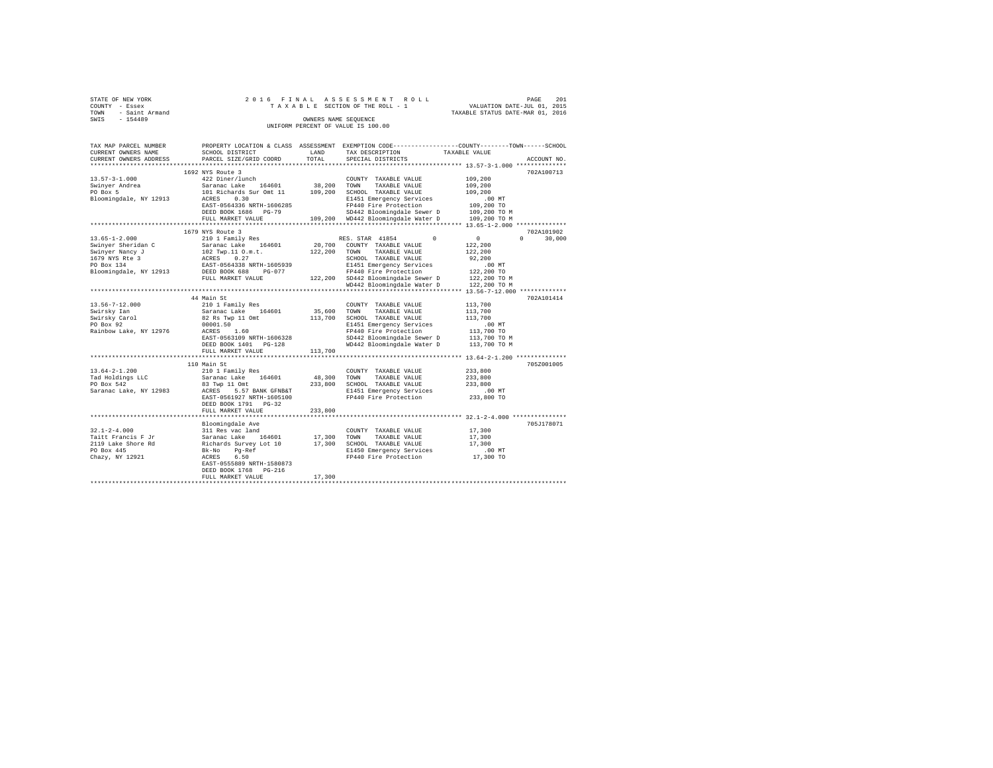| STATE OF NEW YORK   |  | 2016 FINAL ASSESSMENT ROLL         |                                  | PAGE | 201 |
|---------------------|--|------------------------------------|----------------------------------|------|-----|
| COUNTY - Essex      |  | TAXABLE SECTION OF THE ROLL - 1    | VALUATION DATE-JUL 01, 2015      |      |     |
| TOWN - Saint Armand |  |                                    | TAXABLE STATUS DATE-MAR 01, 2016 |      |     |
| SWIS<br>$-154489$   |  | OWNERS NAME SEOUENCE               |                                  |      |     |
|                     |  | UNIFORM PERCENT OF VALUE IS 100.00 |                                  |      |     |

| TAX MAP PARCEL NUMBER  |                                                              |         | PROPERTY LOCATION & CLASS ASSESSMENT EXEMPTION CODE----------------COUNTY-------TOWN-----SCHOOL |                                         |
|------------------------|--------------------------------------------------------------|---------|-------------------------------------------------------------------------------------------------|-----------------------------------------|
| CURRENT OWNERS NAME    | SCHOOL DISTRICT                                              | LAND    | TAX DESCRIPTION                                                                                 | TAXABLE VALUE                           |
| CURRENT OWNERS ADDRESS | PARCEL SIZE/GRID COORD                                       | TOTAL   | SPECIAL DISTRICTS                                                                               | ACCOUNT NO.                             |
| ********************** | ****************************                                 |         |                                                                                                 |                                         |
|                        | 1692 NYS Route 3                                             |         |                                                                                                 | 702A100713                              |
| $13.57 - 3 - 1.000$    | 422 Diner/lunch                                              |         | COUNTY TAXABLE VALUE                                                                            | 109,200                                 |
| Swinyer Andrea         | Saranac Lake 164601                                          | 38,200  | TOWN<br>TAXABLE VALUE                                                                           | 109,200                                 |
| PO Box 5               | 101 Richards Sur Omt 11                                      |         | 109,200 SCHOOL TAXABLE VALUE                                                                    | 109,200                                 |
| Bloomingdale, NY 12913 | ACRES 0.30                                                   |         | E1451 Emergency Services                                                                        | $.00$ MT                                |
|                        | EAST-0564336 NRTH-1606285                                    |         | FP440 Fire Protection                                                                           | 109,200 TO                              |
|                        | DEED BOOK 1686 PG-79                                         |         | SD442 Bloomingdale Sewer D                                                                      | 109,200 TO M                            |
|                        | FULL MARKET VALUE                                            |         | 109,200 WD442 Bloomingdale Water D                                                              | 109,200 TO M                            |
|                        |                                                              |         |                                                                                                 |                                         |
|                        | 1679 NYS Route 3                                             |         |                                                                                                 | 702A101902                              |
| $13.65 - 1 - 2.000$    | 210 1 Family Res                                             |         | RES. STAR 41854<br>$^{\circ}$                                                                   | 0<br>30,000<br>$\Omega$                 |
| Swinyer Sheridan C     | Saranac Lake 164601                                          |         | 20,700 COUNTY TAXABLE VALUE                                                                     | 122,200                                 |
| Swinyer Nancy J        | 102 Twp.11 O.m.t.<br>ACRES 0.27<br>EAST-0564338 NRTH-1605939 | 122,200 | TOWN TAXABLE VALUE                                                                              | 122,200                                 |
| 1679 NYS Rte 3         |                                                              |         | SCHOOL TAXABLE VALUE                                                                            | 92,200                                  |
| PO Box 134             |                                                              |         | E1451 Emergency Services                                                                        | .00 MT                                  |
| Bloomingdale, NY 12913 | DEED BOOK 688<br>PG-077                                      |         | FP440 Fire Protection                                                                           | 122,200 TO                              |
|                        | FULL MARKET VALUE                                            |         | 122,200 SD442 Bloomingdale Sewer D                                                              | 122,200 TO M                            |
|                        |                                                              |         | WD442 Bloomingdale Water D                                                                      | 122,200 TO M                            |
|                        | ******************************                               |         |                                                                                                 | ************* 13.56-7-12.000 ********** |
|                        | 44 Main St                                                   |         |                                                                                                 | 702A101414                              |
| $13.56 - 7 - 12.000$   | 210 1 Family Res                                             |         | COUNTY TAXABLE VALUE                                                                            | 113,700                                 |
| Swirsky Ian            | Saranac Lake 164601                                          | 35,600  | TOWN<br>TAXABLE VALUE                                                                           | 113,700                                 |
| Swirsky Carol          | 82 Rs Twp 11 Omt                                             | 113,700 | SCHOOL TAXABLE VALUE                                                                            | 113,700                                 |
| PO Box 92              | 00001.50                                                     |         | E1451 Emergency Services                                                                        | $.00$ MT                                |
| Rainbow Lake, NY 12976 | ACRES 1.60                                                   |         | FP440 Fire Protection                                                                           | 113,700 TO                              |
|                        | EAST-0563109 NRTH-1606328                                    |         | SD442 Bloomingdale Sewer D                                                                      | 113,700 TO M                            |
|                        | DEED BOOK 1401 PG-128                                        |         | WD442 Bloomingdale Water D                                                                      | 113,700 TO M                            |
|                        | FULL MARKET VALUE                                            | 113,700 |                                                                                                 |                                         |
|                        |                                                              |         |                                                                                                 |                                         |
|                        | 110 Main St                                                  |         |                                                                                                 | 705Z001005                              |
| $13.64 - 2 - 1.200$    | 210 1 Family Res                                             |         | COUNTY TAXABLE VALUE                                                                            | 233,800                                 |
| Tad Holdings LLC       | Saranac Lake 164601                                          | 48,300  | TOWN<br>TAXABLE VALUE                                                                           | 233,800                                 |
| PO Box 542             | 83 Twp 11 Omt                                                |         | 233,800 SCHOOL TAXABLE VALUE                                                                    | 233,800                                 |
| Saranac Lake, NY 12983 | ACRES 5.57 BANK GFNB&T                                       |         | E1451 Emergency Services                                                                        | .00 MT                                  |
|                        | EAST-0561927 NRTH-1605100                                    |         | FP440 Fire Protection                                                                           | 233,800 TO                              |
|                        | DEED BOOK 1791 PG-32                                         |         |                                                                                                 |                                         |
|                        | FULL MARKET VALUE                                            | 233,800 |                                                                                                 |                                         |
|                        |                                                              |         |                                                                                                 |                                         |
|                        | Bloomingdale Ave                                             |         |                                                                                                 | 705J178071                              |
| $32.1 - 2 - 4.000$     | 311 Res vac land                                             |         | COUNTY TAXABLE VALUE                                                                            | 17,300                                  |
| Taitt Francis F Jr     |                                                              | 17,300  | TOWN<br>TAXABLE VALUE                                                                           | 17,300                                  |
| 2119 Lake Shore Rd     | Saranac Lake 164601<br>Richards Survey Lot 10                |         | 17,300 SCHOOL TAXABLE VALUE                                                                     | 17,300                                  |
| PO Box 445             | Bk-No<br>$Pg-Ref$<br>$6.50$                                  |         | E1450 Emergency Services                                                                        | $.00$ MT                                |
| Chazy, NY 12921        | ACRES                                                        |         | FP440 Fire Protection                                                                           | 17,300 TO                               |
|                        | EAST-0555889 NRTH-1580873                                    |         |                                                                                                 |                                         |
|                        | DEED BOOK 1768 PG-216                                        |         |                                                                                                 |                                         |
|                        | FULL MARKET VALUE                                            | 17,300  |                                                                                                 |                                         |
|                        |                                                              |         |                                                                                                 |                                         |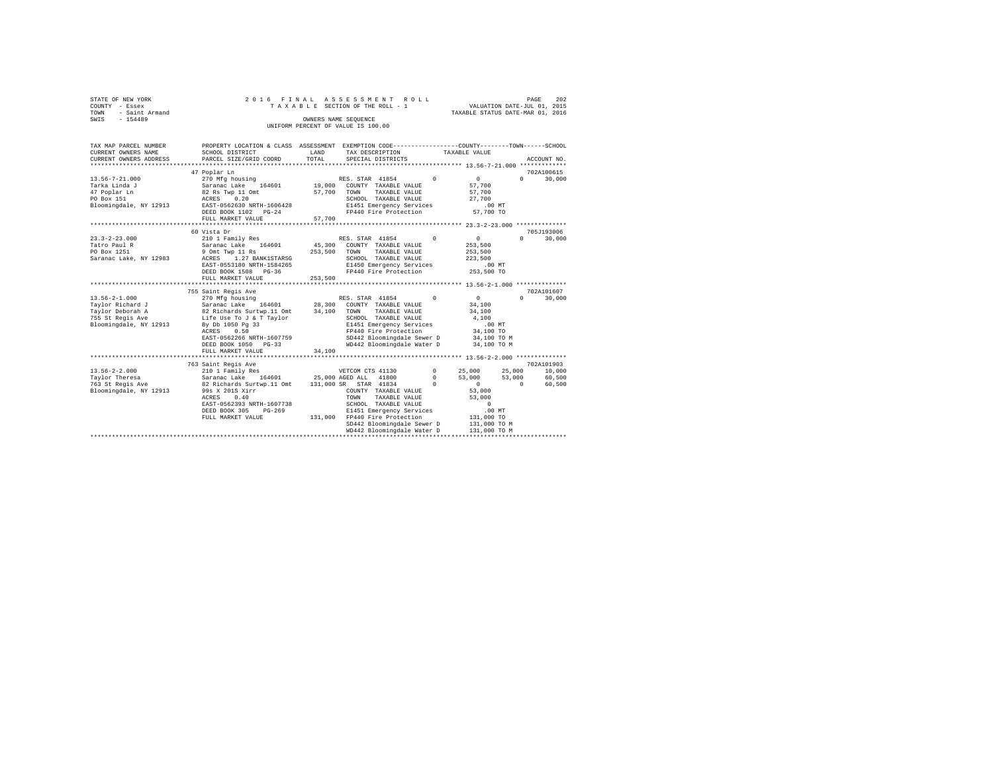| STATE OF NEW YORK   | 2016 FINAL ASSESSMENT ROLL         | 202<br>PAGE                      |
|---------------------|------------------------------------|----------------------------------|
| COUNTY - Essex      | TAXABLE SECTION OF THE ROLL - 1    | VALUATION DATE-JUL 01, 2015      |
| TOWN - Saint Armand |                                    | TAXABLE STATUS DATE-MAR 01, 2016 |
| SWIS<br>$-154489$   | OWNERS NAME SEOUENCE               |                                  |
|                     | UNIFORM PERCENT OF VALUE IS 100.00 |                                  |

| TAX MAP PARCEL NUMBER<br>CURRENT OWNERS NAME<br>CURRENT OWNERS ADDRESS                                    | PROPERTY LOCATION & CLASS ASSESSMENT EXEMPTION CODE----------------COUNTY-------TOWN-----SCHOOL<br>SCHOOL DISTRICT<br>PARCEL SIZE/GRID COORD                                                                                                        | LAND<br>TOTAL      | TAX DESCRIPTION TAXABLE VALUE<br>SPECIAL DISTRICTS                                                                                                                                                        |                                        |                                                                                                                                        | ACCOUNT NO.                               |
|-----------------------------------------------------------------------------------------------------------|-----------------------------------------------------------------------------------------------------------------------------------------------------------------------------------------------------------------------------------------------------|--------------------|-----------------------------------------------------------------------------------------------------------------------------------------------------------------------------------------------------------|----------------------------------------|----------------------------------------------------------------------------------------------------------------------------------------|-------------------------------------------|
| $13.56 - 7 - 21.000$<br>Tarka Linda J<br>47 Poplar Ln<br>PO Box 151<br>Bloomingdale, NY 12913             | 47 Poplar Ln<br>270 Mfg housing<br>Saranac Lake 164601 19,000<br>82 Rs Twp 11 Omt<br>0.20<br>ACRES<br>EAST-0562630 NRTH-1606428<br>DEED BOOK 1102 PG-24<br>FULL MARKET VALUE                                                                        | 57,700<br>57,700   | RES. STAR 41854<br>COUNTY TAXABLE VALUE<br>TAXABLE VALUE<br>TOWN<br>SCHOOL TAXABLE VALUE<br>E1451 Emergency Services<br>FP440 Fire Protection                                                             | $\Omega$                               | $\sim$ 0<br>57,700<br>57,700<br>27,700<br>.00 MT<br>57,700 TO                                                                          | 702A100615<br>$0 \qquad \qquad$<br>30,000 |
|                                                                                                           | 60 Vista Dr                                                                                                                                                                                                                                         |                    |                                                                                                                                                                                                           |                                        |                                                                                                                                        | 705J193006                                |
| $23.3 - 2 - 23.000$<br>Tatro Paul R<br>PO Box 1251<br>Saranac Lake, NY 12983                              | 210 1 Family Res<br>Saranac Lake 164601<br>9 Omt Twp 11 Rs<br>ACRES 1.27 BANK1STARSG<br>EAST-0553180 NRTH-1584265<br>DEED BOOK 1508 PG-36<br>FULL MARKET VALUE                                                                                      | 253,500<br>253,500 | $\sim$ 0<br>RES. STAR 41854<br>45,300 COUNTY TAXABLE VALUE<br>TAXABLE VALUE<br>TOWN<br>SCHOOL TAXABLE VALUE<br>E1450 Emergency Services<br>FP440 Fire Protection                                          |                                        | $\sim$ 0<br>253,500<br>253,500<br>223,500<br>$.00$ MT<br>یس بن.<br>253,500 TO                                                          | $\cap$<br>30,000                          |
|                                                                                                           |                                                                                                                                                                                                                                                     |                    |                                                                                                                                                                                                           |                                        |                                                                                                                                        |                                           |
| $13.56 - 2 - 1.000$<br>Taylor Richard J<br>Taylor Deborah A<br>755 St Regis Ave<br>Bloomingdale, NY 12913 | 755 Saint Regis Ave<br>270 Mfg housing<br>Saranac Lake 164601 28,300<br>82 Richards Surtwp.11 Omt 34,100<br>Life Use To J & T Taylor<br>By Db 1050 Pg 33<br>0.50<br>ACRES<br>EAST-0562266 NRTH-1607759<br>DEED BOOK 1050 PG-33<br>FULL MARKET VALUE | 34,100             | RES. STAR 41854<br>COUNTY TAXABLE VALUE<br>TAXABLE VALUE<br>TOWN<br>SCHOOL TAXABLE VALUE<br>E1451 Emergency Services<br>FP440 Fire Protection<br>SD442 Bloomingdale Sewer D<br>WD442 Bloomingdale Water D | $\Omega$                               | $\Omega$<br>34,100<br>34,100<br>4,100<br>$.00$ MT<br>34,100 TO<br>34,100 TO M<br>34,100 TO M                                           | 702A101607<br>30,000<br>$\Omega$          |
|                                                                                                           | ****************************                                                                                                                                                                                                                        |                    | *********************************** 13.56-2-2.000 ***************                                                                                                                                         |                                        |                                                                                                                                        |                                           |
| $13.56 - 2 - 2.000$<br>Taylor Theresa<br>763 St Regis Ave<br>Bloomingdale, NY 12913                       | 763 Saint Regis Ave<br>210 1 Family Res<br>Saranac Lake 164601 25,000 AGED ALL 41800<br>82 Richards Surtwp.11 Omt<br>99s X 201S Xirr<br>0.40<br>ACRES<br>EAST-0562393 NRTH-1607738<br>DEED BOOK 305<br>$PG-269$<br>FULL MARKET VALUE                | 131,000            | VETCOM CTS 41130<br>131,000 SR STAR 41834<br>COUNTY TAXABLE VALUE<br>TAXABLE VALUE<br>TOWN<br>SCHOOL TAXABLE VALUE<br>E1451 Emergency Services<br>FP440 Fire Protection<br>SD442 Bloomingdale Sewer D     | $\mathbf{0}$<br>$^{\circ}$<br>$\Omega$ | 25,000<br>25,000<br>53,000<br>53,000<br>$\Omega$<br>$\sim$ 0<br>53,000<br>53,000<br>$\Omega$<br>$.00$ MT<br>131,000 TO<br>131,000 TO M | 702A101903<br>10,000<br>60,500<br>60,500  |
|                                                                                                           |                                                                                                                                                                                                                                                     |                    | WD442 Bloomingdale Water D                                                                                                                                                                                |                                        | 131,000 TO M                                                                                                                           |                                           |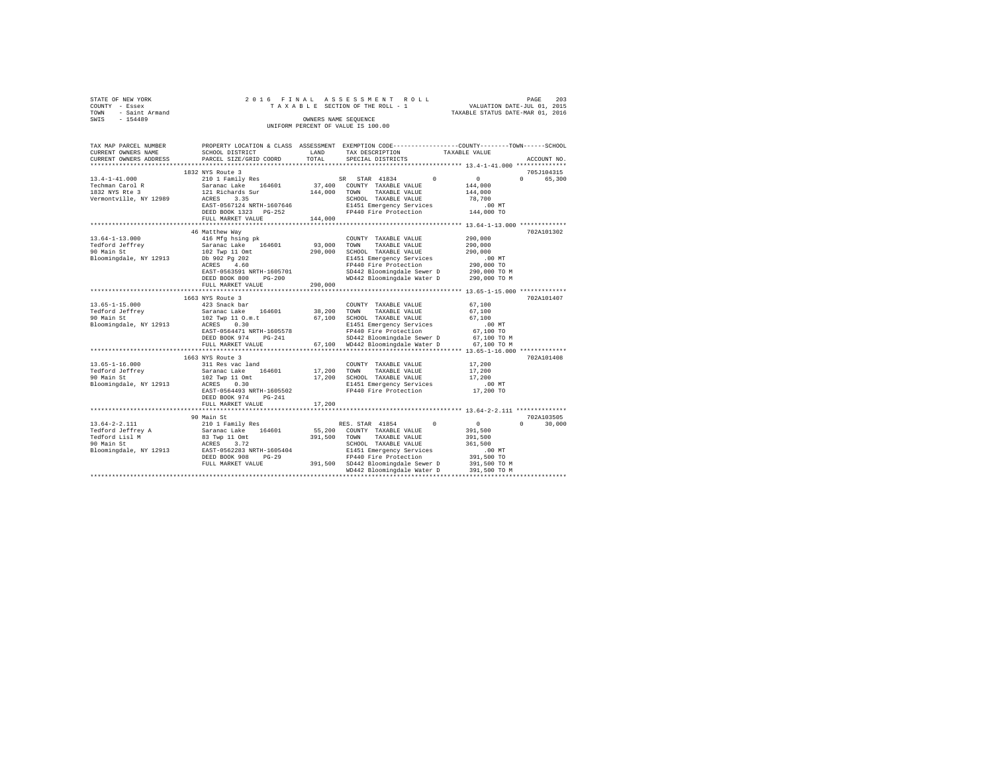| STATE OF NEW YORK   | 2016 FINAL ASSESSMENT ROLL         | 203<br>PAGE                      |
|---------------------|------------------------------------|----------------------------------|
| COUNTY - Essex      | TAXABLE SECTION OF THE ROLL - 1    | VALUATION DATE-JUL 01, 2015      |
| TOWN - Saint Armand |                                    | TAXABLE STATUS DATE-MAR 01, 2016 |
| SWIS<br>$-154489$   | OWNERS NAME SEOUENCE               |                                  |
|                     | UNIFORM PERCENT OF VALUE IS 100.00 |                                  |

| TAX MAP PARCEL NUMBER               |                                                    |             | PROPERTY LOCATION & CLASS ASSESSMENT EXEMPTION CODE----------------COUNTY-------TOWN-----SCHOOL |                                |
|-------------------------------------|----------------------------------------------------|-------------|-------------------------------------------------------------------------------------------------|--------------------------------|
| CURRENT OWNERS NAME                 | SCHOOL DISTRICT                                    | LAND        | TAX DESCRIPTION                                                                                 | TAXABLE VALUE                  |
| CURRENT OWNERS ADDRESS              | PARCEL SIZE/GRID COORD                             | TOTAL       | SPECIAL DISTRICTS                                                                               | ACCOUNT NO.                    |
|                                     |                                                    |             |                                                                                                 |                                |
|                                     | 1832 NYS Route 3                                   |             |                                                                                                 | 705J104315                     |
| $13.4 - 1 - 41.000$                 | 210 1 Family Res                                   |             | SR STAR 41834<br>$\Omega$                                                                       | $\sim$ 0<br>$\Omega$<br>65,300 |
| Techman Carol R                     | Saranac Lake 164601                                |             | $37\,, 400$ $\,$ COUNTY TAXABLE VALUE                                                           | 144,000                        |
| 1832 NYS Rte 3                      | 121 Richards Sur                                   | 144,000     | TAXABLE VALUE<br>TOWN                                                                           | 144,000                        |
| Vermontville, NY 12989              | ACRES<br>3.35                                      |             | SCHOOL TAXABLE VALUE                                                                            | 78,700                         |
|                                     | EAST-0567124 NRTH-1607646                          |             | E1451 Emergency Services<br>FP440 Fire Protection                                               | .00 MT                         |
|                                     | DEED BOOK 1323 PG-252                              |             |                                                                                                 | 144,000 TO                     |
|                                     | FULL MARKET VALUE                                  | 144,000     |                                                                                                 |                                |
|                                     |                                                    |             |                                                                                                 |                                |
|                                     | 46 Matthew Way                                     |             |                                                                                                 | 702A101302                     |
| $13.64 - 1 - 13.000$                | 416 Mfg hsing pk                                   |             | COUNTY TAXABLE VALUE                                                                            | 290,000                        |
| Tedford Jeffrey                     | Saranac Lake 164601                                | 93,000 TOWN | TAXABLE VALUE                                                                                   | 290,000                        |
| 90 Main St                          | 102 Twp 11 Omt<br>Db 902 Pg 202                    | 290,000     | SCHOOL TAXABLE VALUE                                                                            | 290,000                        |
| Bloomingdale, NY 12913              |                                                    |             | E1451 Emergency Services                                                                        | $.00$ MT                       |
|                                     | ACRES 4.60                                         |             | FP440 Fire Protection                                                                           |                                |
|                                     | EAST-0563591 NRTH-1605701                          |             | SD442 Bloomingdale Sewer D                                                                      | 290,000 TO<br>290,000 TO M     |
|                                     | $PG-200$<br>DEED BOOK 800                          |             | WD442 Bloomingdale Water D                                                                      | 290,000 TO M                   |
|                                     | FULL MARKET VALUE                                  | 290,000     |                                                                                                 |                                |
|                                     |                                                    |             |                                                                                                 |                                |
|                                     | 1663 NYS Route 3                                   |             |                                                                                                 | 702A101407                     |
| $13.65 - 1 - 15.000$                | 423 Snack bar                                      |             | COUNTY TAXABLE VALUE                                                                            | 67,100                         |
| Tedford Jeffrey                     |                                                    | 38,200      | TOWN<br>TAXABLE VALUE                                                                           | 67,100                         |
| 90 Main St                          | Saranac Lake 164601<br>102 Twp 11 O.m.t            | 67,100      | SCHOOL TAXABLE VALUE                                                                            | 67,100                         |
| Bloomingdale, NY 12913 ACRES        | 0.30                                               |             | E1451 Emergency Services                                                                        | $.00$ MT                       |
|                                     | EAST-0564471 NRTH-1605578                          |             | FP440 Fire Protection                                                                           | 67,100 TO                      |
|                                     | $PG-241$<br>DEED BOOK 974                          |             | SD442 Bloomingdale Sewer D 67,100 TO M                                                          |                                |
|                                     | FULL MARKET VALUE                                  |             | 67,100 WD442 Bloomingdale Water D                                                               | 67,100 TO M                    |
|                                     |                                                    |             |                                                                                                 |                                |
|                                     | 1663 NYS Route 3                                   |             |                                                                                                 | 702A101408                     |
| $13.65 - 1 - 16.000$                | 311 Res vac land                                   |             | COUNTY TAXABLE VALUE                                                                            | 17,200                         |
| Tedford Jeffrev                     | Saranac Lake 164601                                | 17,200 TOWN | TAXABLE VALUE                                                                                   | 17,200                         |
| 90 Main St                          |                                                    | 17,200      | SCHOOL TAXABLE VALUE                                                                            | 17,200                         |
| Bloomingdale, NY 12913              | 102 Twp 11 Omt<br>ACRES 0.30                       |             | E1451 Emergency Services                                                                        | $.00$ MT                       |
|                                     | EAST-0564493 NRTH-1605502                          |             | FP440 Fire Protection                                                                           | 17,200 TO                      |
|                                     | DEED BOOK 974<br>$PG-241$                          |             |                                                                                                 |                                |
|                                     | FULL MARKET VALUE                                  | 17,200      |                                                                                                 |                                |
|                                     | ****************************                       |             |                                                                                                 |                                |
|                                     | 90 Main St                                         |             |                                                                                                 | 702A103505                     |
| $13.64 - 2 - 2.111$                 | 210 1 Family Res                                   |             | RES. STAR 41854 0                                                                               | $\sim$ 0<br>$\Omega$<br>30,000 |
|                                     | Saranac Lake 164601                                |             | 55,200 COUNTY TAXABLE VALUE                                                                     | 391,500                        |
| Tedford Jeffrey A<br>Tedford Lisl M | Saranac Lake 164601<br>83 Twp 11 Omt<br>ACRES 3.72 | 391,500     | TAXABLE VALUE<br>TOWN                                                                           | 391,500                        |
| 90 Main St                          |                                                    |             | SCHOOL TAXABLE VALUE                                                                            | 361,500                        |
|                                     | Bloomingdale, NY 12913 EAST-0562283 NRTH-1605404   |             | E1451 Emergency Services                                                                        | $.00$ MT                       |
|                                     | DEED BOOK 908<br>$PG-29$                           |             |                                                                                                 | 391,500 TO                     |
|                                     | FULL MARKET VALUE                                  |             | -29 FP440 Fire Protection<br>391,500 SD442 Bloomingdale Sewer D                                 | 391,500 TO M                   |
|                                     |                                                    |             | WD442 Bloomingdale Water D                                                                      | 391,500 TO M                   |
|                                     |                                                    |             |                                                                                                 |                                |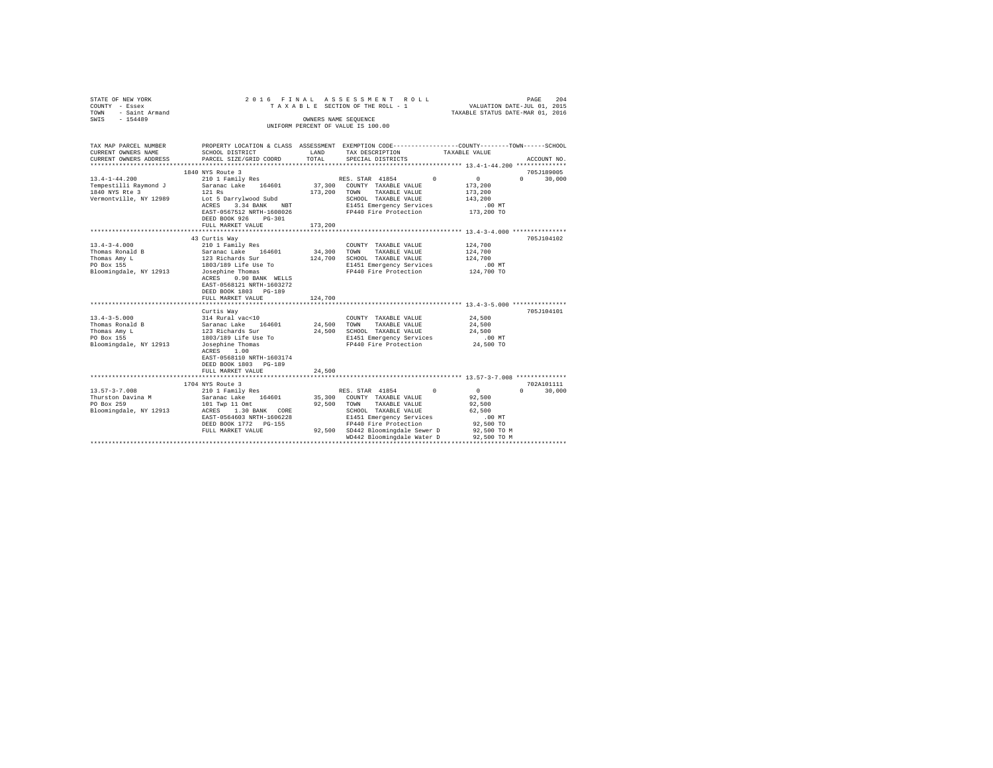| STATE OF NEW YORK<br>COUNTY - Essex<br>$\begin{array}{lll}\n\text{TOWN} & - & \text{Saint Armand} \\ \text{SWTS} & - & \text{1 E4400}\n\end{array}$<br>SWIS - 154489                           |                                                                                                                                                                                                                                                                                                                                                                                                                      |                                                 | 2016 FINAL ASSESSMENT ROLL<br>TAXABLE SECTION OF THE ROLL - 1<br>OWNERS NAME SEQUENCE<br>UNIFORM PERCENT OF VALUE IS 100.00                                                                                                                      | PAGE<br>204<br>VALUATION DATE-JUL 01, 2015<br>TAXABLE STATUS DATE-MAR 01, 2016                                                                           |
|------------------------------------------------------------------------------------------------------------------------------------------------------------------------------------------------|----------------------------------------------------------------------------------------------------------------------------------------------------------------------------------------------------------------------------------------------------------------------------------------------------------------------------------------------------------------------------------------------------------------------|-------------------------------------------------|--------------------------------------------------------------------------------------------------------------------------------------------------------------------------------------------------------------------------------------------------|----------------------------------------------------------------------------------------------------------------------------------------------------------|
| CURRENT OWNERS NAME<br>CURRENT OWNERS ADDRESS                                                                                                                                                  | SCHOOL DISTRICT<br>PARCEL SIZE/GRID COORD                                                                                                                                                                                                                                                                                                                                                                            | LAND<br>TOTAL                                   | TAX DESCRIPTION<br>SPECIAL DISTRICTS                                                                                                                                                                                                             | TAX MAP PARCEL NUMBER THE PROPERTY LOCATION & CLASS ASSESSMENT EXEMPTION CODE--------------COUNTY-------TOWN------SCHOOL<br>TAXABLE VALUE<br>ACCOUNT NO. |
|                                                                                                                                                                                                |                                                                                                                                                                                                                                                                                                                                                                                                                      |                                                 |                                                                                                                                                                                                                                                  |                                                                                                                                                          |
| $13.4 - 1 - 44.200$                                                                                                                                                                            | 1840 NYS Route 3                                                                                                                                                                                                                                                                                                                                                                                                     |                                                 |                                                                                                                                                                                                                                                  | 705J189005<br>$\sim$ 0<br>$\Omega$                                                                                                                       |
| Tempestilli Raymond J<br>1840 NYS Rte 3<br>Vermontville, NY 12989                                                                                                                              | 210 1 Family Res<br>Saranac Lake 164601<br>121 Rs<br>Lot 5 Darrylwood Subd<br>ACRES 3.34 BANK NBT<br>EAST-0567512 NRTH-1608026<br>DEED BOOK 926 PG-301                                                                                                                                                                                                                                                               |                                                 | RES. STAR 41854 0<br>37,300 COUNTY TAXABLE VALUE<br>173,200 TOWN TAXABLE VALUE<br>SCHOOL TAXABLE VALUE<br>E1451 Emergency Services<br>FP440 Fire Protection                                                                                      | 30,000<br>173,200<br>173,200<br>143,200<br>.00 MT<br>173,200 TO                                                                                          |
|                                                                                                                                                                                                | FULL MARKET VALUE                                                                                                                                                                                                                                                                                                                                                                                                    | 173,200                                         |                                                                                                                                                                                                                                                  |                                                                                                                                                          |
| $13.4 - 3 - 4.000$<br>Thomas Ronald B<br>Thomas Amy L<br>PO Box 155<br>Bloomingdale, NY 12913<br>$13.4 - 3 - 5.000$<br>Thomas Ronald B<br>Thomas Amy L<br>PO Box 155<br>Bloomingdale, NY 12913 | 43 Curtis Way<br>210 1 Family Res<br>Saranac Lake 164601<br>123 Richards Sur<br>1803/189 Life Use To<br>Josephine Thomas<br>ACRES 0.90 BANK WELLS<br>EAST-0568121 NRTH-1603272<br>DEED BOOK 1803 PG-189<br>FULL MARKET VALUE<br>Curtis Way<br>314 Rural vac<10<br>Saranac Lake 164601<br>123 Richards Sur<br>1803/189 Life Use To<br>$Josephine Thomas$<br>$ACBES = 1.00$<br>ACRES 1.00<br>EAST-0568110 NRTH-1603174 | 34,300 TOWN<br>124,700<br>24,500 TOWN<br>24,500 | COUNTY TAXABLE VALUE<br>TAXABLE VALUE<br>124,700 SCHOOL TAXABLE VALUE<br>E1451 Emergency Services<br>FP440 Fire Protection<br>COUNTY TAXABLE VALUE<br>TAXABLE VALUE<br>SCHOOL TAXABLE VALUE<br>E1451 Emergency Services<br>FP440 Fire Protection | 705J104102<br>124,700<br>124,700<br>124,700<br>$.00$ MT<br>124,700 TO<br>705J104101<br>24,500<br>24,500<br>24,500<br>$.00$ MT<br>24,500 TO               |
|                                                                                                                                                                                                | DEED BOOK 1803 PG-189<br>FULL MARKET VALUE                                                                                                                                                                                                                                                                                                                                                                           | 24,500                                          |                                                                                                                                                                                                                                                  |                                                                                                                                                          |
| $13.57 - 3 - 7.008$<br>Thurston Davina M<br>PO Box 259                                                                                                                                         | 1704 NYS Route 3<br>210 1 Family Res<br>Saranac Lake 164601<br>101 Twp 11 Omt<br>Bloomingdale, NY 12913 ACRES 1.30 BANK CORE<br>EAST-0564603 NRTH-1606228<br>DEED BOOK 1772    PG-155<br>FULL MARKET VALUE                                                                                                                                                                                                           |                                                 | RES. STAR 41854<br>$\Omega$<br>35,300 COUNTY TAXABLE VALUE<br>92,500 TOWN TAXABLE VALUE<br>SCHOOL TAXABLE VALUE<br>E1451 Emergency Services<br>FP440 Fire Protection<br>92,500 SD442 Bloomingdale Sewer D<br>WD442 Bloomingdale Water D          | 702A101111<br>$\sim$ 0<br>$0 \t 30,000$<br>92,500<br>92,500<br>62,500<br>.00MT<br>92,500 TO<br>92,500 TO M<br>92,500 TO M                                |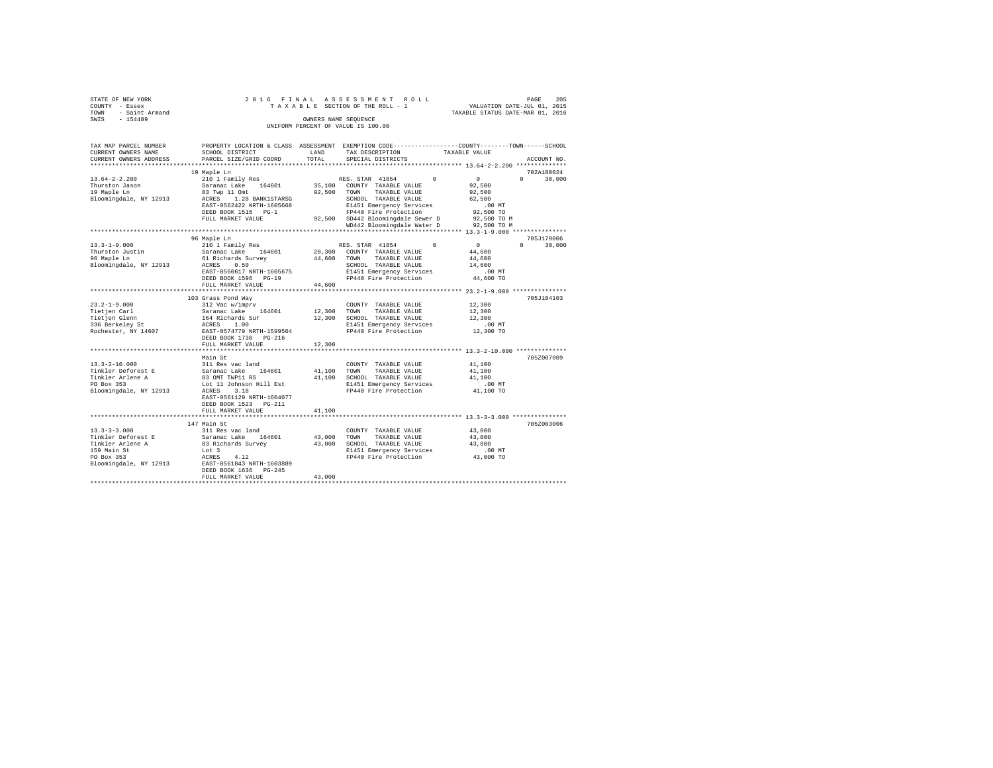| STATE OF NEW YORK                  | 2016 FINAL ASSESSMENT ROLL      | 205<br>PAGE                      |  |  |  |  |  |  |
|------------------------------------|---------------------------------|----------------------------------|--|--|--|--|--|--|
| COUNTY - Essex                     | TAXABLE SECTION OF THE ROLL - 1 | VALUATION DATE-JUL 01, 2015      |  |  |  |  |  |  |
| TOWN - Saint Armand                |                                 | TAXABLE STATUS DATE-MAR 01, 2016 |  |  |  |  |  |  |
| SWIS<br>$-154489$                  | OWNERS NAME SEOUENCE            |                                  |  |  |  |  |  |  |
| UNIFORM PERCENT OF VALUE IS 100.00 |                                 |                                  |  |  |  |  |  |  |

| TAX MAP PARCEL NUMBER<br>CURRENT OWNERS NAME<br>CURRENT OWNERS ADDRESS | SCHOOL DISTRICT<br>PARCEL SIZE/GRID COORD | LAND<br>TOTAL | PROPERTY LOCATION & CLASS ASSESSMENT EXEMPTION CODE----------------COUNTY-------TOWN------SCHOOL<br>TAX DESCRIPTION<br>SPECIAL DISTRICTS | TAXABLE VALUE<br>ACCOUNT NO.         |
|------------------------------------------------------------------------|-------------------------------------------|---------------|------------------------------------------------------------------------------------------------------------------------------------------|--------------------------------------|
|                                                                        | ********************                      | *********     |                                                                                                                                          |                                      |
|                                                                        | 19 Maple Ln                               |               |                                                                                                                                          | 702A180024                           |
| $13.64 - 2 - 2.200$                                                    | 210 1 Family Res                          |               | RES. STAR 41854<br>$\Omega$                                                                                                              | 0<br>$\Omega$<br>30,000              |
| Thurston Jason                                                         | Saranac Lake 164601                       | 35,100        | COUNTY TAXABLE VALUE                                                                                                                     | 92,500                               |
| 19 Maple Ln                                                            | 83 Twp 11 Omt                             | 92,500        | TOWN<br>TAXABLE VALUE                                                                                                                    | 92,500                               |
| Bloomingdale, NY 12913                                                 | 1.28 BANK1STARSG<br>ACRES                 |               | SCHOOL TAXABLE VALUE                                                                                                                     | 62,500                               |
|                                                                        | EAST-0562422 NRTH-1605668                 |               | E1451 Emergency Services                                                                                                                 | .00 MT                               |
|                                                                        | DEED BOOK 1516 PG-1                       |               | FP440 Fire Protection                                                                                                                    | 92,500 TO                            |
|                                                                        | FULL MARKET VALUE                         |               | 92,500 SD442 Bloomingdale Sewer D                                                                                                        | 92,500 TO M                          |
|                                                                        |                                           |               | WD442 Bloomingdale Water D                                                                                                               | 92,500 TO M                          |
|                                                                        |                                           |               |                                                                                                                                          |                                      |
|                                                                        | 96 Maple Ln                               |               |                                                                                                                                          | 705J179006                           |
| $13.3 - 1 - 9.000$                                                     | 210 1 Family Res                          |               | $\Omega$<br>RES. STAR 41854                                                                                                              | $\overline{0}$<br>$\Omega$<br>30,000 |
| Thurston Justin                                                        | Saranac Lake 164601                       |               | 28,300 COUNTY TAXABLE VALUE                                                                                                              | 44,600                               |
| 96 Maple Ln                                                            | 61 Richards Survey                        | 44,600        | TOWN<br>TAXABLE VALUE                                                                                                                    | 44,600                               |
| Bloomingdale, NY 12913                                                 | 0.50<br>ACRES                             |               | SCHOOL TAXABLE VALUE                                                                                                                     | 14,600                               |
|                                                                        | EAST-0560617 NRTH-1605675                 |               | E1451 Emergency Services                                                                                                                 | $.00$ MT                             |
|                                                                        | DEED BOOK 1596 PG-19                      |               | FP440 Fire Protection                                                                                                                    | 44,600 TO                            |
|                                                                        | FULL MARKET VALUE                         | 44,600        |                                                                                                                                          |                                      |
|                                                                        |                                           |               |                                                                                                                                          |                                      |
|                                                                        | 103 Grass Pond Way                        |               |                                                                                                                                          | 705J104103                           |
| $23.2 - 1 - 9.000$                                                     | 312 Vac w/imprv                           |               | COUNTY TAXABLE VALUE                                                                                                                     | 12,300                               |
| Tietjen Carl                                                           | Saranac Lake 164601                       | 12,300        | TOWN<br>TAXABLE VALUE                                                                                                                    | 12,300                               |
| Tietjen Glenn                                                          | 164 Richards Sur                          | 12,300        | SCHOOL TAXABLE VALUE                                                                                                                     | 12,300                               |
| 336 Berkeley St                                                        | ACRES<br>1.00                             |               | E1451 Emergency Services                                                                                                                 | $.00$ MT                             |
| Rochester, NY 14607                                                    | EAST-0574779 NRTH-1599564                 |               | FP440 Fire Protection                                                                                                                    | 12,300 TO                            |
|                                                                        | DEED BOOK 1730 PG-216                     |               |                                                                                                                                          |                                      |
|                                                                        | FULL MARKET VALUE                         | 12,300        |                                                                                                                                          |                                      |
|                                                                        |                                           |               |                                                                                                                                          |                                      |
|                                                                        | Main St                                   |               |                                                                                                                                          | 705Z007009                           |
| $13.3 - 2 - 10.000$                                                    | 311 Res vac land                          |               | COUNTY TAXABLE VALUE                                                                                                                     | 41,100                               |
| Tinkler Deforest E                                                     | Saranac Lake 164601                       | 41,100        | TOWN<br>TAXABLE VALUE                                                                                                                    | 41,100                               |
| Tinkler Arlene A                                                       | 83 OMT TWP11 RS                           | 41,100        | SCHOOL TAXABLE VALUE                                                                                                                     | 41,100                               |
| PO Box 353                                                             | Lot 11 Johnson Hill Est                   |               | E1451 Emergency Services                                                                                                                 | .00MT                                |
| Bloomingdale, NY 12913                                                 | 3.18<br>ACRES                             |               | FP440 Fire Protection                                                                                                                    | 41,100 TO                            |
|                                                                        | EAST-0561129 NRTH-1604077                 |               |                                                                                                                                          |                                      |
|                                                                        | DEED BOOK 1523 PG-211                     |               |                                                                                                                                          |                                      |
|                                                                        | FULL MARKET VALUE                         | 41,100        |                                                                                                                                          |                                      |
|                                                                        |                                           |               |                                                                                                                                          |                                      |
|                                                                        | 147 Main St                               |               |                                                                                                                                          | 705Z003006                           |
| $13.3 - 3 - 3.000$                                                     | 311 Res vac land                          |               | COUNTY TAXABLE VALUE                                                                                                                     | 43,000                               |
| Tinkler Deforest E                                                     | Saranac Lake<br>164601                    | 43,000        | TOWN<br>TAXABLE VALUE                                                                                                                    | 43,000                               |
| Tinkler Arlene A                                                       | 83 Richards Survey                        | 43,000        | SCHOOL TAXABLE VALUE                                                                                                                     | 43,000                               |
| 159 Main St                                                            | Lot 3                                     |               | E1451 Emergency Services                                                                                                                 | .00 MT                               |
| PO Box 353                                                             | 4.12<br>ACRES                             |               | FP440 Fire Protection                                                                                                                    | 43,000 TO                            |
| Bloomingdale, NY 12913                                                 | EAST-0561843 NRTH-1603889                 |               |                                                                                                                                          |                                      |
|                                                                        | DEED BOOK 1636 PG-245                     |               |                                                                                                                                          |                                      |
|                                                                        | FULL MARKET VALUE                         | 43,000        |                                                                                                                                          |                                      |
|                                                                        |                                           |               |                                                                                                                                          |                                      |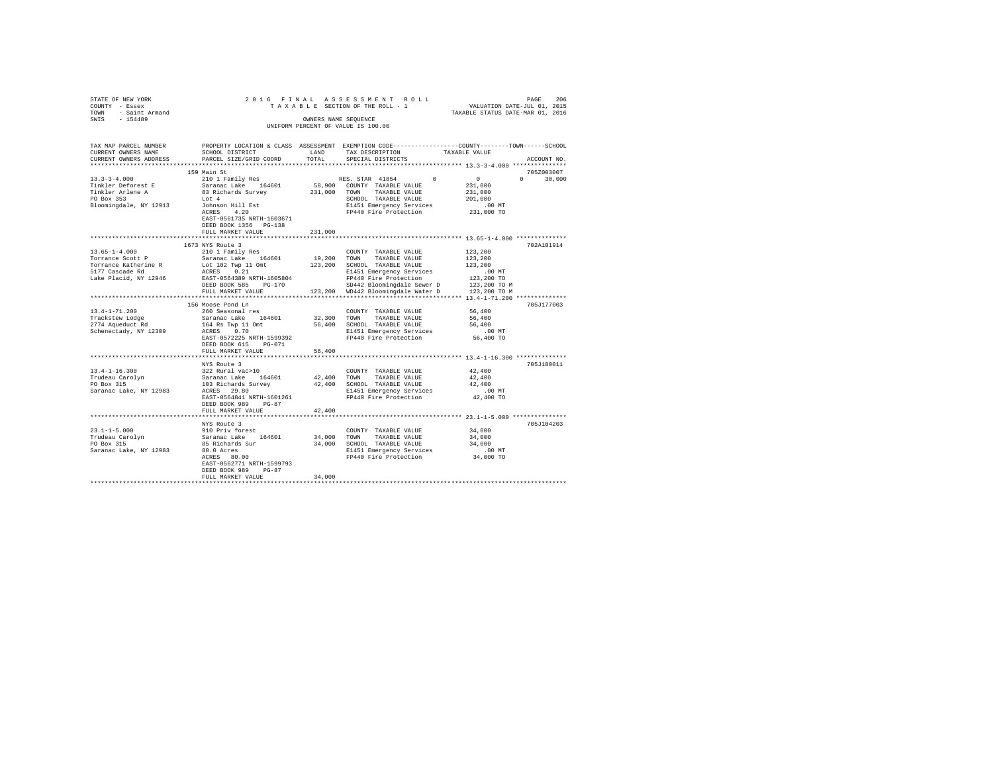| STATE OF NEW YORK                   |                                                           |                      |                                                   |                                                                                                                                                |
|-------------------------------------|-----------------------------------------------------------|----------------------|---------------------------------------------------|------------------------------------------------------------------------------------------------------------------------------------------------|
| COUNTY - Essex                      |                                                           |                      |                                                   |                                                                                                                                                |
| TOWN - Saint Armand                 |                                                           |                      |                                                   | 206 PAGE 206 PINAL ASSESSMENT ROLL PAGE 206<br>TAXABLE SECTION OF THE ROLL - 1 VALUATION DATE-JUL 01, 2016<br>TAXABLE STATUS DATE-MAR 01, 2016 |
| SWIS - 154489                       |                                                           | OWNERS NAME SEQUENCE |                                                   |                                                                                                                                                |
|                                     |                                                           |                      | UNIFORM PERCENT OF VALUE IS 100.00                |                                                                                                                                                |
|                                     |                                                           |                      |                                                   |                                                                                                                                                |
|                                     |                                                           |                      |                                                   |                                                                                                                                                |
| TAX MAP PARCEL NUMBER               |                                                           |                      |                                                   | PROPERTY LOCATION & CLASS ASSESSMENT EXEMPTION CODE---------------COUNTY-------TOWN------SCHOOL                                                |
| CURRENT OWNERS NAME                 | SCHOOL DISTRICT                                           | LAND                 | TAX DESCRIPTION                                   | TAXABLE VALUE                                                                                                                                  |
| CURRENT OWNERS ADDRESS              | PARCEL SIZE/GRID COORD                                    | TOTAL                | SPECIAL DISTRICTS                                 | ACCOUNT NO.                                                                                                                                    |
|                                     |                                                           |                      |                                                   |                                                                                                                                                |
|                                     | 159 Main St                                               |                      |                                                   | 705Z003007                                                                                                                                     |
| $13.3 - 3 - 4.000$                  |                                                           |                      | $\sim$                                            | $\sim$ 0                                                                                                                                       |
|                                     | 210 1 Family Res                                          |                      | RES. STAR 41854                                   | $0 \t 30,000$                                                                                                                                  |
| Tinkler Deforest E                  | Saranac Lake 164601                                       |                      | 58,900 COUNTY TAXABLE VALUE                       | 231,000                                                                                                                                        |
| Tinkler Arlene A<br>PO Box 353      | 83 Richards Survey                                        |                      | 231,000 TOWN TAXABLE VALUE                        | 231,000                                                                                                                                        |
|                                     | Lot 4                                                     |                      | SCHOOL TAXABLE VALUE                              | 201,000                                                                                                                                        |
| Bloomingdale, NY 12913              | Johnson Hill Est<br>ACRES 4.20                            |                      | E1451 Emergency Services                          | $.00$ MT                                                                                                                                       |
|                                     |                                                           |                      | FP440 Fire Protection                             | 231,000 TO                                                                                                                                     |
|                                     | EAST-0561735 NRTH-1603671                                 |                      |                                                   |                                                                                                                                                |
|                                     | DEED BOOK 1356 PG-138                                     |                      |                                                   |                                                                                                                                                |
|                                     | FULL MARKET VALUE                                         | 231,000              |                                                   |                                                                                                                                                |
|                                     |                                                           |                      |                                                   |                                                                                                                                                |
|                                     | 1673 NYS Route 3                                          |                      |                                                   | 702A101914                                                                                                                                     |
| $13.65 - 1 - 4.000$                 | 210 1 Family Res                                          |                      | COUNTY TAXABLE VALUE                              | 123,200                                                                                                                                        |
| Torrance Scott P                    | Saranac Lake 164601                                       |                      | 19,200 TOWN TAXABLE VALUE                         | 123,200                                                                                                                                        |
| Torrance Katherine R                | $102$ Twp 11 Omt $123,200$ SCHOOL TAXABLE VALUE           |                      |                                                   | 123,200                                                                                                                                        |
| 5177 Cascade Rd                     | ACRES 0.21                                                |                      | E1451 Emergency Services                          | $.00$ MT                                                                                                                                       |
| Lake Placid, NY 12946               | EAST-0564389 NRTH-1605804                                 |                      | FP440 Fire Protection                             | 123,200 TO                                                                                                                                     |
|                                     | DEED BOOK 585 PG-170                                      |                      | SD442 Bloomingdale Sewer D                        | 123,200 TO M                                                                                                                                   |
|                                     | FULL MARKET VALUE                                         |                      | 123,200 WD442 Bloomingdale Water D 123,200 TO M   |                                                                                                                                                |
|                                     |                                                           |                      |                                                   |                                                                                                                                                |
|                                     |                                                           |                      |                                                   |                                                                                                                                                |
|                                     | 156 Moose Pond Ln                                         |                      |                                                   | 705J177003                                                                                                                                     |
| $13.4 - 1 - 71.200$                 | 260 Seasonal res                                          |                      | COUNTY TAXABLE VALUE                              | 56,400                                                                                                                                         |
| Trackstew Lodge<br>2774 Aqueduct Rd | Saranac Lake 164601                                       |                      | 32,300 TOWN TAXABLE VALUE                         | 56,400                                                                                                                                         |
|                                     | 164 Rs Twp 11 Omt                                         |                      | 56,400 SCHOOL TAXABLE VALUE                       | 56,400                                                                                                                                         |
| Schenectady, NY 12309               | ACRES 0.70                                                |                      | E1451 Emergency Services                          | .00MT                                                                                                                                          |
|                                     | EAST-0572225 NRTH-1599392                                 |                      | FP440 Fire Protection                             | 56,400 TO                                                                                                                                      |
|                                     | DEED BOOK 615 PG-071                                      |                      |                                                   |                                                                                                                                                |
|                                     | FULL MARKET VALUE                                         | 56,400               |                                                   |                                                                                                                                                |
|                                     |                                                           |                      |                                                   |                                                                                                                                                |
|                                     | NYS Route 3                                               |                      |                                                   | 705J180011                                                                                                                                     |
| $13.4 - 1 - 16.300$                 | 322 Rural vac>10                                          |                      | COUNTY TAXABLE VALUE                              | 42,400                                                                                                                                         |
|                                     | Saranac Lake 164601<br>103 Richards Survey<br>ACRES 29.80 |                      | 42.400 TOWN TAXABLE VALUE                         | 42.400                                                                                                                                         |
| Trudeau Carolyn<br>PO Box 315       |                                                           |                      | 42,400 SCHOOL TAXABLE VALUE                       | 42,400                                                                                                                                         |
| Saranac Lake, NY 12983              |                                                           |                      | E1451 Emergency Services                          | $.00$ MT                                                                                                                                       |
|                                     | EAST-0564841 NRTH-1601261                                 |                      | FP440 Fire Protection                             | 42,400 TO                                                                                                                                      |
|                                     | DEED BOOK 989 PG-87                                       |                      |                                                   |                                                                                                                                                |
|                                     | FULL MARKET VALUE                                         | 42,400               |                                                   |                                                                                                                                                |
|                                     |                                                           |                      |                                                   |                                                                                                                                                |
|                                     |                                                           |                      |                                                   | 705J104203                                                                                                                                     |
|                                     | NYS Route 3                                               |                      |                                                   |                                                                                                                                                |
| $23.1 - 1 - 5.000$                  | 910 Priv forest                                           |                      | COUNTY TAXABLE VALUE                              | 34,000                                                                                                                                         |
| Trudeau Carolyn<br>PO Box 315       | Saranac Lake 164601                                       |                      | 34,000 TOWN TAXABLE VALUE                         | 34,000                                                                                                                                         |
| PO Box 315                          | 85 Richards Sur<br>80.0 Acres<br>ACRES 80.00              |                      | 34,000 SCHOOL TAXABLE VALUE                       | 34,000                                                                                                                                         |
| Saranac Lake, NY 12983              |                                                           |                      | E1451 Emergency Services<br>FP440 Fire Protection | $.00$ MT                                                                                                                                       |
|                                     |                                                           |                      |                                                   | 34,000 TO                                                                                                                                      |
|                                     | EAST-0562771 NRTH-1599793                                 |                      |                                                   |                                                                                                                                                |
|                                     | DEED BOOK 989 PG-87                                       |                      |                                                   |                                                                                                                                                |
|                                     | FULL MARKET VALUE                                         | 34,000               |                                                   |                                                                                                                                                |
|                                     |                                                           |                      |                                                   |                                                                                                                                                |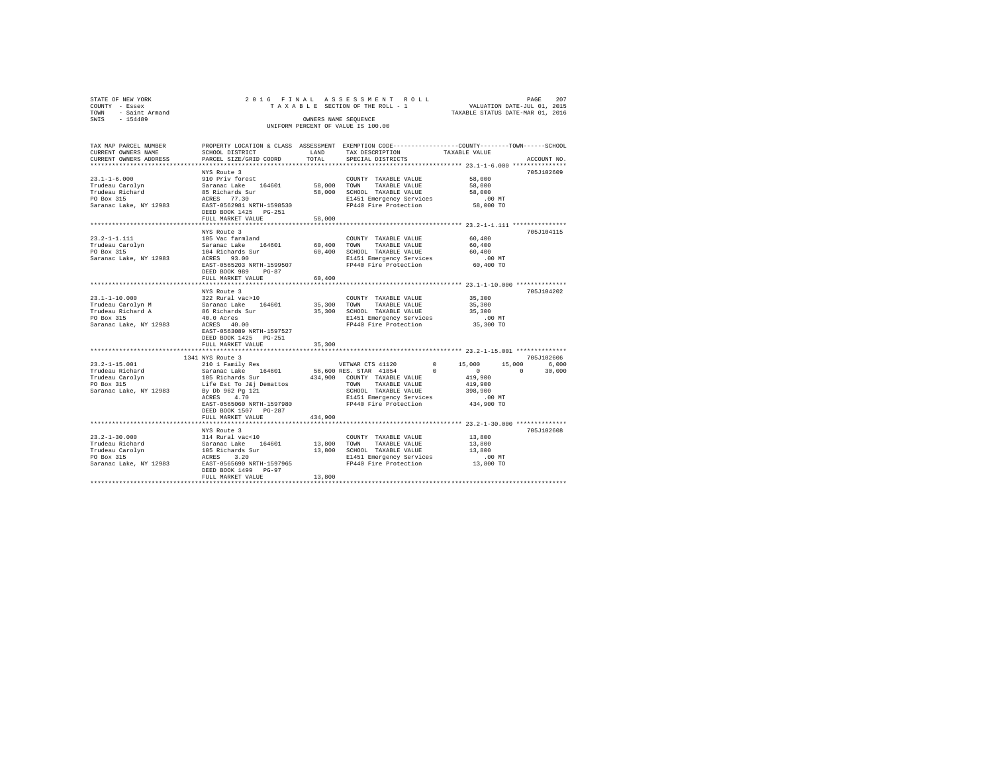| STATE OF NEW YORK                                       |                           |                      | 2016 FINAL ASSESSMENT ROLL         |                                                              |                                  | PAGE        | 207 |
|---------------------------------------------------------|---------------------------|----------------------|------------------------------------|--------------------------------------------------------------|----------------------------------|-------------|-----|
| COUNTY - Essex                                          |                           |                      | TAXABLE SECTION OF THE ROLL - 1    |                                                              | VALUATION DATE-JUL 01, 2015      |             |     |
| - Saint Armand<br>TOWN                                  |                           |                      |                                    |                                                              | TAXABLE STATUS DATE-MAR 01, 2016 |             |     |
| SWTS<br>$-154489$                                       |                           | OWNERS NAME SEOUENCE |                                    |                                                              |                                  |             |     |
|                                                         |                           |                      | UNIFORM PERCENT OF VALUE IS 100.00 |                                                              |                                  |             |     |
|                                                         |                           |                      |                                    |                                                              |                                  |             |     |
|                                                         |                           |                      |                                    |                                                              |                                  |             |     |
| TAX MAP PARCEL NUMBER                                   | PROPERTY LOCATION & CLASS | ASSESSMENT           |                                    | EXEMPTION CODE-----------------COUNTY-------TOWN------SCHOOL |                                  |             |     |
| CURRENT OWNERS NAME                                     | SCHOOL DISTRICT           | LAND                 | TAX DESCRIPTION                    |                                                              | TAXABLE VALUE                    |             |     |
| CURRENT OWNERS ADDRESS . PARCEL SIZE/GRID COORD . TOTAL |                           |                      | SPECIAL DISTRICTS                  |                                                              |                                  | ACCOUNT NO. |     |
|                                                         |                           |                      |                                    |                                                              |                                  |             |     |
|                                                         | NYS Route 3               |                      |                                    |                                                              |                                  | 705J102609  |     |
| $23.1 - 1 - 6.000$                                      | 910 Priv forest           |                      | COUNTY<br>TAXABLE VALUE            |                                                              | 58,000                           |             |     |
| Trudeau Carolvn                                         | Saranac Lake 164601       | 58,000               | TOWN<br>TAXABLE VALUE              |                                                              | 58,000                           |             |     |
| Trudeau Richard                                         | 85 Richards Sur           | 58,000               | SCHOOL TAXABLE VALUE               |                                                              | 58,000                           |             |     |
|                                                         |                           |                      |                                    |                                                              |                                  |             |     |

| PO Box 315<br>Saranac Lake, NY 12983                                                                  | ACRES 77.30<br>EAST-0562981 NRTH-1598530<br>DEED BOOK 1425 PG-251<br>FULL MARKET VALUE                                                                                                                                         | 58,000                | E1451 Emergency Services<br>FP440 Fire Protection                                                                                                                                |                        | .00MT<br>58,000 TO                                                         |                    |                               |  |
|-------------------------------------------------------------------------------------------------------|--------------------------------------------------------------------------------------------------------------------------------------------------------------------------------------------------------------------------------|-----------------------|----------------------------------------------------------------------------------------------------------------------------------------------------------------------------------|------------------------|----------------------------------------------------------------------------|--------------------|-------------------------------|--|
| $23.2 - 1 - 1.111$<br>Trudeau Carolyn<br>PO Box 315<br>Saranac Lake, NY 12983                         | NYS Route 3<br>105 Vac farmland<br>164601<br>Saranac Lake<br>104 Richards Sur<br>ACRES 93.00<br>EAST-0565203 NRTH-1599507<br>DEED BOOK 989<br>$PG-87$<br>FULL MARKET VALUE                                                     | 60,400 TOWN<br>60,400 | COUNTY TAXABLE VALUE<br>TAXABLE VALUE<br>60.400 SCHOOL TAXABLE VALUE<br>E1451 Emergency Services<br>FP440 Fire Protection                                                        |                        | 60,400<br>60,400<br>60,400<br>$.00$ MT<br>60.400 TO                        |                    | 705J104115                    |  |
| $23.1 - 1 - 10.000$<br>Trudeau Carolyn M<br>Trudeau Richard A<br>PO Box 315<br>Saranac Lake, NY 12983 | NYS Route 3<br>322 Rural vac>10<br>Saranac Lake<br>164601<br>86 Richards Sur<br>40.0 Acres<br>ACRES 40.00<br>EAST-0563089 NRTH-1597527<br>DEED BOOK 1425 PG-251<br>FULL MARKET VALUE                                           | 35,300 TOWN<br>35,300 | COUNTY TAXABLE VALUE<br>TAXABLE VALUE<br>35,300 SCHOOL TAXABLE VALUE<br>E1451 Emergency Services<br>FP440 Fire Protection                                                        |                        | 35,300<br>35,300<br>35,300<br>$.00$ MT<br>35,300 TO                        |                    | 705J104202                    |  |
| $23.2 - 1 - 15.001$<br>Trudeau Richard<br>Trudeau Carolyn<br>PO Box 315<br>Saranac Lake, NY 12983     | 1341 NYS Route 3<br>210 1 Family Res<br>164601<br>Saranac Lake<br>105 Richards Sur<br>Life Est To J&j Demattos<br>By Db 962 Pg 121<br>ACRES<br>4.70<br>EAST-0565060 NRTH-1597980<br>DEED BOOK 1507 PG-287<br>FULL MARKET VALUE | 434,900               | VETWAR CTS 41120<br>56,600 RES. STAR 41854<br>434,900 COUNTY TAXABLE VALUE<br>TOWN<br>TAXABLE VALUE<br>SCHOOL TAXABLE VALUE<br>E1451 Emergency Services<br>FP440 Fire Protection | $^{\circ}$<br>$\Omega$ | 15,000<br>$\Omega$<br>419,900<br>419,900<br>398,900<br>.00MT<br>434,900 TO | 15,000<br>$\Omega$ | 705J102606<br>6,000<br>30,000 |  |
| $23.2 - 1 - 30.000$<br>Trudeau Richard<br>Trudeau Carolyn<br>PO Box 315<br>Saranac Lake, NY 12983     | NYS Route 3<br>314 Rural vac<10<br>164601<br>Saranac Lake<br>105 Richards Sur<br>3.20<br>ACRES<br>EAST-0565690 NRTH-1597965<br>DEED BOOK 1499 PG-97<br>FULL MARKET VALUE                                                       | 13,800 TOWN<br>13,800 | COUNTY TAXABLE VALUE<br>TAXABLE VALUE<br>13,800 SCHOOL TAXABLE VALUE<br>E1451 Emergency Services<br>FP440 Fire Protection                                                        |                        | 13,800<br>13,800<br>13,800<br>.00MT<br>13,800 TO                           |                    | 705J102608                    |  |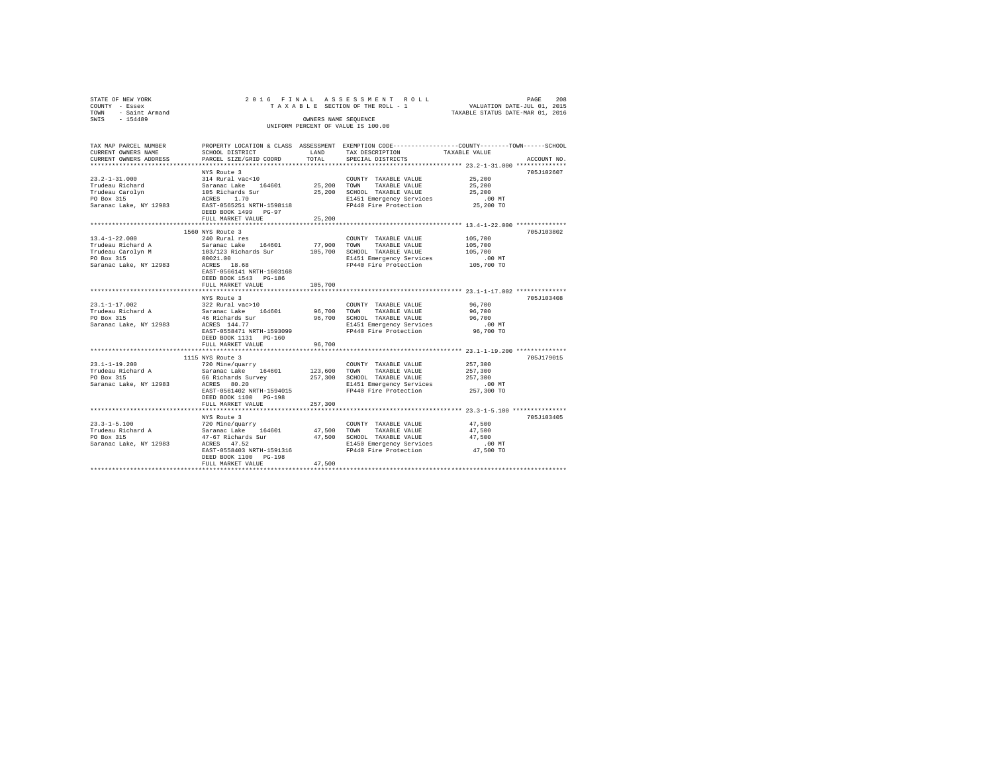| 2016 FINAL ASSESSMENT ROLL<br>208<br>STATE OF NEW YORK<br>PAGE<br>TAXABLE SECTION OF THE ROLL - 1<br>VALUATION DATE-JUL 01, 2015<br>COUNTY - Essex<br>TAXABLE STATUS DATE-MAR 01, 2016<br>TOWN - Saint Armand<br>SWIS - 154489<br>OWNERS NAME SEQUENCE<br>UNIFORM PERCENT OF VALUE IS 100.00 |                                                                                                                                                                                                                         |                                  |                                                                                                                                    |                                                                                                            |             |  |  |
|----------------------------------------------------------------------------------------------------------------------------------------------------------------------------------------------------------------------------------------------------------------------------------------------|-------------------------------------------------------------------------------------------------------------------------------------------------------------------------------------------------------------------------|----------------------------------|------------------------------------------------------------------------------------------------------------------------------------|------------------------------------------------------------------------------------------------------------|-------------|--|--|
| TAX MAP PARCEL NUMBER PROPERTY LOCATION & CLASS ASSESSMENT EXEMPTION CODE---------------COUNTY-------TOWN------SCHOOL<br>CURRENT OWNERS NAME<br>CURRENT OWNERS ADDRESS                                                                                                                       | SCHOOL DISTRICT<br>PARCEL SIZE/GRID COORD                                                                                                                                                                               | LAND<br>TOTAL                    | TAX DESCRIPTION<br>SPECIAL DISTRICTS                                                                                               | TAXABLE VALUE<br>************************* 23.2-1-31.000 **************                                    | ACCOUNT NO. |  |  |
| $23.2 - 1 - 31.000$<br>Trudeau Richard<br>Trudeau Carolyn<br>DO Box 315<br>Saranac Lake, NY 12983 EAST-0565251 NRTH-1598118                                                                                                                                                                  | NYS Route 3<br>314 Rural vac<10<br>Saranac Lake 164601 25,200 TOWN TAXABLE VALUE<br>105 Richards Sur<br>ACRES 1.70<br>DEED BOOK 1499 PG-97<br>FULL MARKET VALUE                                                         | 25,200                           | COUNTY TAXABLE VALUE<br>25,200 SCHOOL TAXABLE VALUE<br>E1451 Emergency Services<br>FP440 Fire Protection                           | 25,200<br>25,200<br>25,200<br>$.00$ MT<br>25,200 TO                                                        | 705J102607  |  |  |
|                                                                                                                                                                                                                                                                                              |                                                                                                                                                                                                                         |                                  |                                                                                                                                    |                                                                                                            |             |  |  |
| $13.4 - 1 - 22.000$<br>Trudeau Richard A<br>Trudeau Carolyn M<br>PO Box 315<br>Saranac Lake, NY 12983                                                                                                                                                                                        | 1560 NYS Route 3<br>240 Rural res<br>Saranac Lake 164601<br>103/123 Richards Sur 105,700 SCHOOL TAXABLE VALUE<br>00021.00<br>ACRES 18.68<br>EAST-0566141 NRTH-1603168<br>DEED BOOK 1543 PG-186<br>FULL MARKET VALUE<br> | 77,900<br>105,700<br>*********** | COUNTY TAXABLE VALUE<br>TOWN<br>TAXABLE VALUE<br>E1451 Emergency Services<br>FP440 Fire Protection                                 | 105,700<br>105,700<br>105,700<br>.00MT<br>105,700 TO<br>********************* 23.1-1-17.002 ************** | 705J103802  |  |  |
|                                                                                                                                                                                                                                                                                              | NYS Route 3                                                                                                                                                                                                             |                                  |                                                                                                                                    |                                                                                                            | 705J103408  |  |  |
| $23.1 - 1 - 17.002$<br>Trudeau Richard A<br>PO Box 315<br>Saranac Lake, NY 12983                                                                                                                                                                                                             | 322 Rural vac>10<br>Saranac Lake 164601<br>46 Richards Sur<br>ACRES 144.77<br>EAST-0558471 NRTH-1593099<br>DEED BOOK 1131    PG-160                                                                                     | 96,700 TOWN                      | COUNTY TAXABLE VALUE<br>TAXABLE VALUE<br>96,700 SCHOOL TAXABLE VALUE<br>E1451 Emergency Services<br>FP440 Fire Protection          | 96,700<br>96,700<br>96,700<br>$.00$ MT<br>96,700 TO                                                        |             |  |  |
|                                                                                                                                                                                                                                                                                              | FULL MARKET VALUE                                                                                                                                                                                                       | 96,700                           |                                                                                                                                    |                                                                                                            |             |  |  |
| $23.1 - 1 - 19.200$<br>Trudeau Richard A<br>Trudeau Richard A<br>PO Box 315<br>Saranac Lake, NY 12983                                                                                                                                                                                        | 1115 NYS Route 3<br>720 Mine/quarry<br>Saranac Lake 164601<br>66 Richards Survey<br>ACRES 80.20<br>EAST-0561402 NRTH-1594015<br>DEED BOOK 1100 PG-198                                                                   | 123,600                          | COUNTY TAXABLE VALUE<br>TOWN<br>TAXABLE VALUE<br>257,300 SCHOOL TAXABLE VALUE<br>E1451 Emergency Services<br>FP440 Fire Protection | 257,300<br>257,300<br>257,300<br>.00MT<br>257,300 TO                                                       | 705J179015  |  |  |
|                                                                                                                                                                                                                                                                                              | FULL MARKET VALUE                                                                                                                                                                                                       | 257,300                          |                                                                                                                                    |                                                                                                            |             |  |  |
|                                                                                                                                                                                                                                                                                              |                                                                                                                                                                                                                         |                                  |                                                                                                                                    |                                                                                                            |             |  |  |
| 23.3-1-5.100<br>Trudeau Richard A<br>PO Box 315<br>Saranac Lake, NY 12983 ACRES 47.52                                                                                                                                                                                                        | NYS Route 3<br>720 Mine/quarry<br>Saranac Lake 164601 47,500 TOWN<br>47-67 Richards Sur<br>EAST-0558403 NRTH-1591316<br>DEED BOOK 1100 PG-198<br>FULL MARKET VALUE                                                      | 47.500                           | COUNTY TAXABLE VALUE<br>TAXABLE VALUE<br>47,500 SCHOOL TAXABLE VALUE<br>E1450 Emergency Services<br>FP440 Fire Protection          | 47.500<br>47.500<br>47.500<br>$.00$ MT<br>47,500 TO                                                        | 705.T103405 |  |  |
|                                                                                                                                                                                                                                                                                              |                                                                                                                                                                                                                         |                                  |                                                                                                                                    |                                                                                                            |             |  |  |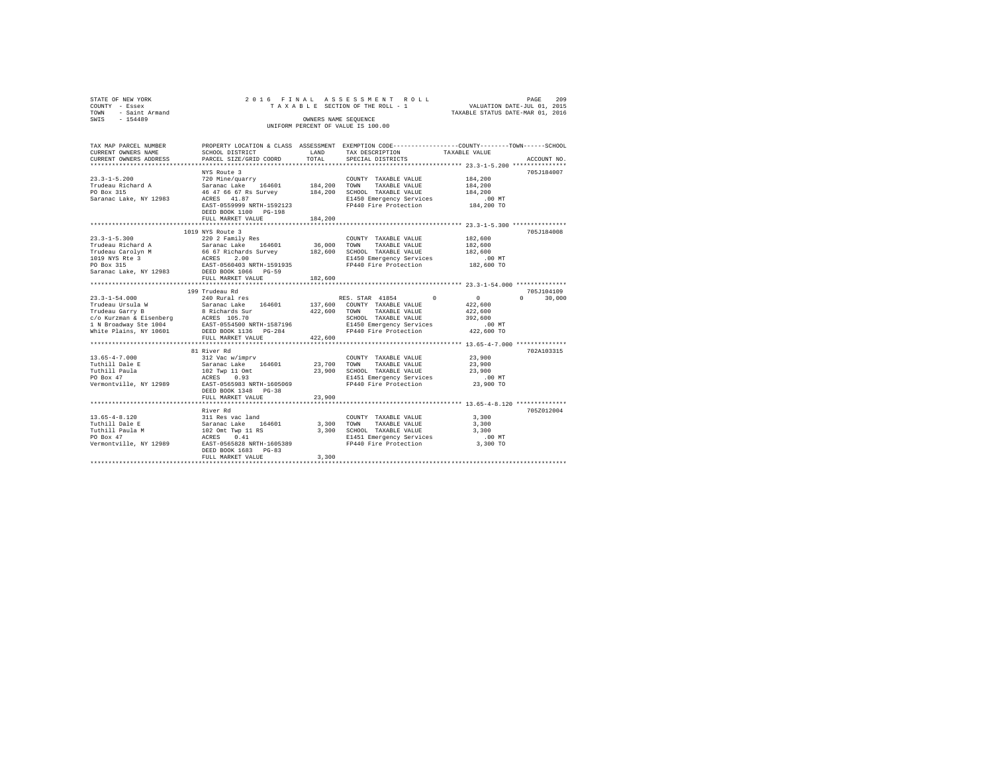| STATE OF NEW YORK<br>COUNTY - Essex<br>TOWN - Saint Armand<br>SWIS - 154489 |                                                                                                                                              | OWNERS NAME SEQUENCE | 2016 FINAL ASSESSMENT ROLL<br>TAXABLE SECTION OF THE ROLL - 1<br>UNIFORM PERCENT OF VALUE IS 100.00 | VALUATION DATE-JUL 01, 2015<br>TAXABLE STATUS DATE-MAR 01, 2016 | 209<br>PAGE   |
|-----------------------------------------------------------------------------|----------------------------------------------------------------------------------------------------------------------------------------------|----------------------|-----------------------------------------------------------------------------------------------------|-----------------------------------------------------------------|---------------|
|                                                                             |                                                                                                                                              |                      |                                                                                                     |                                                                 |               |
| TAX MAP PARCEL NUMBER<br>CURRENT OWNERS NAME<br>CURRENT OWNERS ADDRESS      | PROPERTY LOCATION & CLASS ASSESSMENT EXEMPTION CODE---------------COUNTY-------TOWN------SCHOOL<br>SCHOOL DISTRICT<br>PARCEL SIZE/GRID COORD | LAND<br>TOTAL.       | TAX DESCRIPTION<br>SPECIAL DISTRICTS                                                                | TAXABLE VALUE                                                   | ACCOUNT NO.   |
|                                                                             |                                                                                                                                              |                      |                                                                                                     | ********************* 23.3-1-5.200 ***************              |               |
|                                                                             | NYS Route 3                                                                                                                                  |                      |                                                                                                     |                                                                 | 705J184007    |
| $23.3 - 1 - 5.200$                                                          | 720 Mine/guarry                                                                                                                              |                      | COUNTY TAXABLE VALUE                                                                                | 184,200                                                         |               |
| Trudeau Richard A<br>PO Box 315                                             | Saranac Lake 164601                                                                                                                          | 184,200              | TOWN TAXABLE VALUE                                                                                  | 184,200                                                         |               |
|                                                                             | 46 47 66 67 Rs Survey 184,200<br>ACRES 41.87                                                                                                 |                      | SCHOOL TAXABLE VALUE                                                                                | 184,200<br>.00 MT                                               |               |
| Saranac Lake, NY 12983                                                      | EAST-0559999 NRTH-1592123<br>DEED BOOK 1100 PG-198                                                                                           |                      | E1450 Emergency Services<br>FP440 Fire Protection                                                   | $184,200$ TO                                                    |               |
|                                                                             | FULL MARKET VALUE                                                                                                                            | 184,200              |                                                                                                     |                                                                 |               |
|                                                                             |                                                                                                                                              |                      |                                                                                                     |                                                                 |               |
|                                                                             | 1019 NYS Route 3                                                                                                                             |                      |                                                                                                     |                                                                 | 705J184008    |
| $23.3 - 1 - 5.300$<br>Trudeau Richard A                                     | 220 2 Family Res<br>Saranac Lake 164601                                                                                                      | 36,000               | COUNTY TAXABLE VALUE<br>TOWN TAXABLE VALUE                                                          | 182,600<br>182,600                                              |               |
|                                                                             | 66 67 Richards Survey                                                                                                                        | 182,600              | SCHOOL TAXABLE VALUE                                                                                | 182,600                                                         |               |
| Trudeau Carolyn M<br>1019 NYS Rte 3<br>PO Box 315                           | ACRES 2.00                                                                                                                                   |                      | E1450 Emergency Services                                                                            | $.00$ MT                                                        |               |
|                                                                             | EAST-0560403 NRTH-1591935                                                                                                                    |                      | FP440 Fire Protection                                                                               | 182,600 TO                                                      |               |
| Saranac Lake, NY 12983                                                      | DEED BOOK 1066 PG-59                                                                                                                         |                      |                                                                                                     |                                                                 |               |
|                                                                             | FULL MARKET VALUE                                                                                                                            | 182,600              |                                                                                                     |                                                                 |               |
|                                                                             | 199 Trudeau Rd                                                                                                                               |                      |                                                                                                     |                                                                 | 705J104109    |
| $23.3 - 1 - 54.000$                                                         | 240 Rural res                                                                                                                                |                      | RES. STAR 41854<br>$\Omega$                                                                         | $\sim$ 0                                                        | $0 \t 30.000$ |
|                                                                             | Saranac Lake 164601                                                                                                                          |                      | 137,600 COUNTY TAXABLE VALUE                                                                        | 422,600                                                         |               |
| 23.3-1-54.000<br>Trudeau Ursula W<br>Trudeau Garry B                        | 8 Richards Sur                                                                                                                               | 422,600              | TOWN TAXABLE VALUE                                                                                  | 422,600                                                         |               |
|                                                                             |                                                                                                                                              |                      | SCHOOL TAXABLE VALUE                                                                                | 392,600                                                         |               |
|                                                                             |                                                                                                                                              |                      | E1450 Emergency Services                                                                            | $.00$ MT                                                        |               |
| White Plains, NY 10601                                                      | DEED BOOK 1136 PG-284                                                                                                                        |                      | FP440 Fire Protection                                                                               | 422,600 TO                                                      |               |
|                                                                             | FULL MARKET VALUE                                                                                                                            | 422,600              |                                                                                                     |                                                                 |               |
|                                                                             | 81 River Rd                                                                                                                                  |                      |                                                                                                     |                                                                 | 702A103315    |
| $13.65 - 4 - 7.000$                                                         | 312 Vac w/imprv                                                                                                                              |                      | COUNTY TAXABLE VALUE                                                                                | 23,900                                                          |               |
| Tuthill Dale E                                                              | Saranac Lake 164601                                                                                                                          | 23,700               | TOWN TAXABLE VALUE                                                                                  | 23,900                                                          |               |
| Tuthill Paula                                                               | 102 Twp 11 Omt                                                                                                                               |                      | 23,900 SCHOOL TAXABLE VALUE                                                                         | 23,900                                                          |               |
| PO Box 47                                                                   | ACRES 0.93                                                                                                                                   |                      | E1451 Emergency Services                                                                            | $.00$ MT                                                        |               |
| Vermontville, NY 12989                                                      | EAST-0565983 NRTH-1605069<br>DEED BOOK 1348 PG-38                                                                                            |                      | FP440 Fire Protection                                                                               | 23,900 TO                                                       |               |
|                                                                             | FULL MARKET VALUE                                                                                                                            | 23,900               |                                                                                                     |                                                                 |               |
|                                                                             |                                                                                                                                              |                      |                                                                                                     |                                                                 |               |
|                                                                             | River Rd                                                                                                                                     |                      |                                                                                                     |                                                                 | 705Z012004    |
| $13.65 - 4 - 8.120$                                                         | 311 Res vac land                                                                                                                             |                      | COUNTY TAXABLE VALUE                                                                                | 3,300                                                           |               |
| Tuthill Dale E                                                              | Saranac Lake 164601<br>102 Omt Twp 11 RS                                                                                                     | 3,300                | TOWN TAXABLE VALUE                                                                                  | 3,300                                                           |               |
| Tuthill Paula M<br>PO Box 47                                                | ACRES 0.41                                                                                                                                   |                      | 3,300 SCHOOL TAXABLE VALUE<br>E1451 Emergency Services                                              | 3,300<br>$.00$ MT                                               |               |
| Vermontville, NY 12989                                                      | EAST-0565828 NRTH-1605389                                                                                                                    |                      | FP440 Fire Protection                                                                               | 3,300 TO                                                        |               |
|                                                                             | DEED BOOK 1683 PG-83                                                                                                                         |                      |                                                                                                     |                                                                 |               |
|                                                                             | FULL MARKET VALUE                                                                                                                            | 3,300                |                                                                                                     |                                                                 |               |
|                                                                             |                                                                                                                                              |                      |                                                                                                     |                                                                 |               |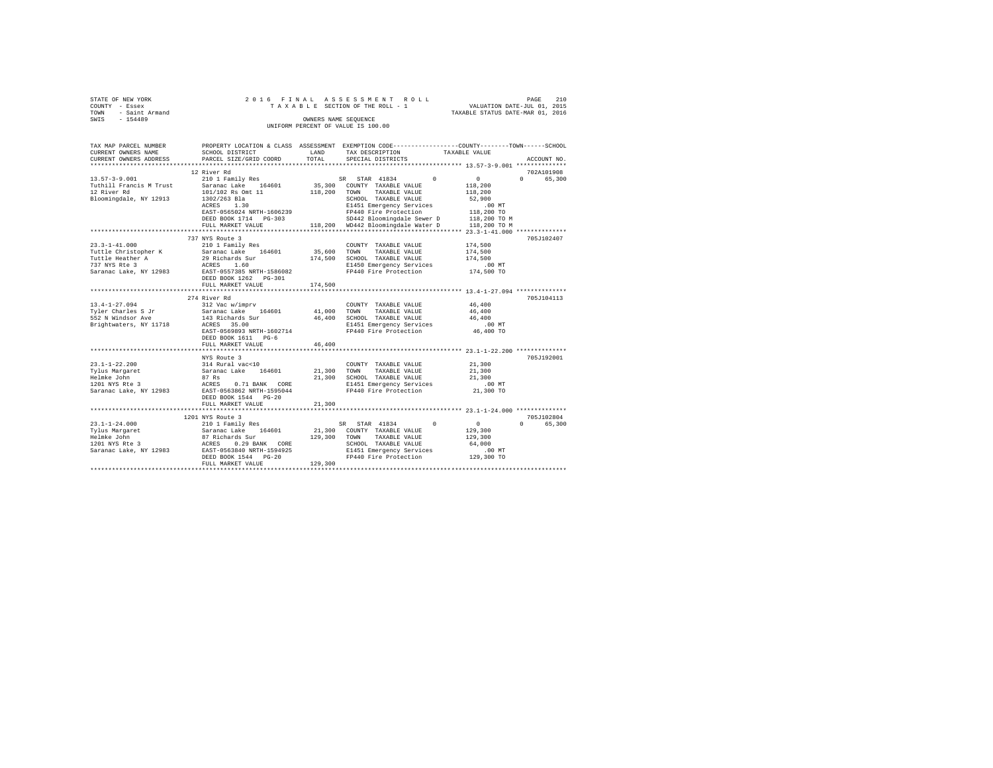| STATE OF NEW YORK   |                      |  | 2016 FINAL ASSESSMENT ROLL         |  |                                  | PAGE                        | 210 |  |
|---------------------|----------------------|--|------------------------------------|--|----------------------------------|-----------------------------|-----|--|
| COUNTY - Essex      |                      |  | TAXABLE SECTION OF THE ROLL - 1    |  |                                  | VALUATION DATE-JUL 01, 2015 |     |  |
| TOWN - Saint Armand |                      |  |                                    |  | TAXABLE STATUS DATE-MAR 01, 2016 |                             |     |  |
| SWIS<br>$-154489$   | OWNERS NAME SEOUENCE |  |                                    |  |                                  |                             |     |  |
|                     |                      |  | UNIFORM PERCENT OF VALUE IS 100.00 |  |                                  |                             |     |  |
|                     |                      |  |                                    |  |                                  |                             |     |  |

| TAX MAP PARCEL NUMBER                   |                                                                                             |             | PROPERTY LOCATION & CLASS ASSESSMENT EXEMPTION CODE---------------COUNTY-------TOWN-----SCHOOL |                                  |
|-----------------------------------------|---------------------------------------------------------------------------------------------|-------------|------------------------------------------------------------------------------------------------|----------------------------------|
| CURRENT OWNERS NAME                     | SCHOOL DISTRICT                                                                             | LAND        | TAX DESCRIPTION                                                                                | TAXABLE VALUE                    |
| CURRENT OWNERS ADDRESS                  | PARCEL SIZE/GRID COORD                                                                      | TOTAL       | SPECIAL DISTRICTS                                                                              | ACCOUNT NO.                      |
|                                         |                                                                                             |             |                                                                                                |                                  |
|                                         | 12 River Rd                                                                                 |             |                                                                                                | 702A101908                       |
| $13.57 - 3 - 9.001$                     | 210 1 Family Res                                                                            |             | $\Omega$<br>SR STAR 41834                                                                      | $\mathbf{0}$<br>65,300<br>$\cap$ |
| Tuthill Francis M Trust                 | Saranac Lake 164601                                                                         |             | 35,300 COUNTY TAXABLE VALUE                                                                    | 118,200                          |
| 12 River Rd                             | 101/102 Rs Omt 11                                                                           | 118,200     | TAXABLE VALUE<br>TOWN                                                                          | 118,200                          |
| Bloomingdale, NY 12913                  | 1302/263 Bla                                                                                |             | SCHOOL TAXABLE VALUE                                                                           | 52,900                           |
|                                         | ACRES<br>1.30                                                                               |             | E1451 Emergency Services                                                                       | .00 MT                           |
|                                         | EAST-0565024 NRTH-1606239                                                                   |             | FP440 Fire Protection                                                                          | 118,200 TO                       |
|                                         | DEED BOOK 1714 PG-303                                                                       |             | SD442 Bloomingdale Sewer D                                                                     | 118,200 TO M                     |
|                                         | FULL MARKET VALUE                                                                           |             | 118,200 WD442 Bloomingdale Water D                                                             | 118,200 TO M                     |
|                                         |                                                                                             |             |                                                                                                |                                  |
|                                         | 737 NYS Route 3                                                                             |             |                                                                                                | 705J102407                       |
| $23.3 - 1 - 41.000$                     | 210 1 Family Res                                                                            |             | COUNTY TAXABLE VALUE                                                                           | 174,500                          |
|                                         | Tuttle Christopher K Saranac Lake 164601                                                    | 35,600 TOWN | TAXABLE VALUE                                                                                  | 174,500                          |
| Tuttle Heather A                        |                                                                                             |             | 174,500 SCHOOL TAXABLE VALUE                                                                   | 174,500                          |
| 737 NYS Rte 3                           | 29 Richards Sur<br>ACRES 1.60                                                               |             | E1450 Emergency Services                                                                       | .00MT                            |
|                                         |                                                                                             |             | FP440 Fire Protection                                                                          | 174,500 TO                       |
|                                         | Saranac Lake, NY 12983 EAST-0557385 NRTH-1586082<br>DEED BOOK 1262 PG-301                   |             |                                                                                                |                                  |
|                                         | FULL MARKET VALUE                                                                           | 174,500     |                                                                                                |                                  |
|                                         |                                                                                             |             |                                                                                                |                                  |
|                                         | 274 River Rd                                                                                |             |                                                                                                | 705J104113                       |
| $13.4 - 1 - 27.094$                     | 312 Vac w/imprv                                                                             |             |                                                                                                | 46,400                           |
|                                         |                                                                                             |             | COUNTY TAXABLE VALUE                                                                           | 46,400                           |
| Tyler Charles S Jr<br>552 N Windsor Ave | Saranac Lake 164601                                                                         | 41,000 TOWN | TAXABLE VALUE                                                                                  |                                  |
|                                         | 143 Richards Sur                                                                            |             | 46,400 SCHOOL TAXABLE VALUE                                                                    | 46,400                           |
| Brightwaters, NY 11718                  | ACRES 35.00                                                                                 |             | E1451 Emergency Services                                                                       | $.00$ MT                         |
|                                         | EAST-0569893 NRTH-1602714                                                                   |             | FP440 Fire Protection                                                                          | 46,400 TO                        |
|                                         | DEED BOOK 1611 PG-6                                                                         |             |                                                                                                |                                  |
|                                         | FULL MARKET VALUE                                                                           | 46,400      |                                                                                                |                                  |
|                                         |                                                                                             |             |                                                                                                |                                  |
|                                         | NYS Route 3                                                                                 |             |                                                                                                | 705J192001                       |
| $23.1 - 1 - 22.200$                     | 314 Rural vac<10<br>Saranac Lake 164601                                                     |             | COUNTY TAXABLE VALUE                                                                           | 21,300                           |
| Tylus Margaret                          |                                                                                             | 21,300 TOWN | TAXABLE VALUE                                                                                  | 21,300                           |
| Helmke John                             | 87 Rs<br>ACRES                                                                              |             | 21,300 SCHOOL TAXABLE VALUE                                                                    | 21,300                           |
| 1201 NYS Rte 3                          | 0.71 BANK CORE                                                                              |             | E1451 Emergency Services                                                                       | $.00$ MT                         |
|                                         | Saranac Lake, NY 12983 EAST-0563862 NRTH-1595044                                            |             | FP440 Fire Protection                                                                          | 21,300 TO                        |
|                                         | DEED BOOK 1544 PG-20                                                                        |             |                                                                                                |                                  |
|                                         | FULL MARKET VALUE                                                                           | 21,300      |                                                                                                |                                  |
|                                         |                                                                                             |             |                                                                                                |                                  |
|                                         | 1201 NYS Route 3                                                                            |             |                                                                                                | 705J102804                       |
| $23.1 - 1 - 24.000$                     | 210 1 Family Res                                                                            |             | $\Omega$<br>SR STAR 41834                                                                      | $\sim$ 0<br>65,300<br>$\Omega$   |
| Tylus Margaret                          | Saranac Lake 164601<br>87 Richards Sur<br>ACRES 0.29 BANK CORE<br>EAST-0563840 NRTH-1594925 | 21,300      | COUNTY TAXABLE VALUE                                                                           | 129,300                          |
| Helmke John                             |                                                                                             | 129,300     | TAXABLE VALUE<br>TOWN                                                                          | 129,300                          |
| 1201 NYS Rte 3                          |                                                                                             |             | SCHOOL TAXABLE VALUE                                                                           | 64,000                           |
| Saranac Lake, NY 12983                  |                                                                                             |             | E1451 Emergency Services                                                                       | $.00$ MT                         |
|                                         | DEED BOOK 1544 PG-20                                                                        |             | FP440 Fire Protection 129,300 TO                                                               |                                  |
|                                         | FULL MARKET VALUE                                                                           | 129,300     |                                                                                                |                                  |
|                                         |                                                                                             |             |                                                                                                |                                  |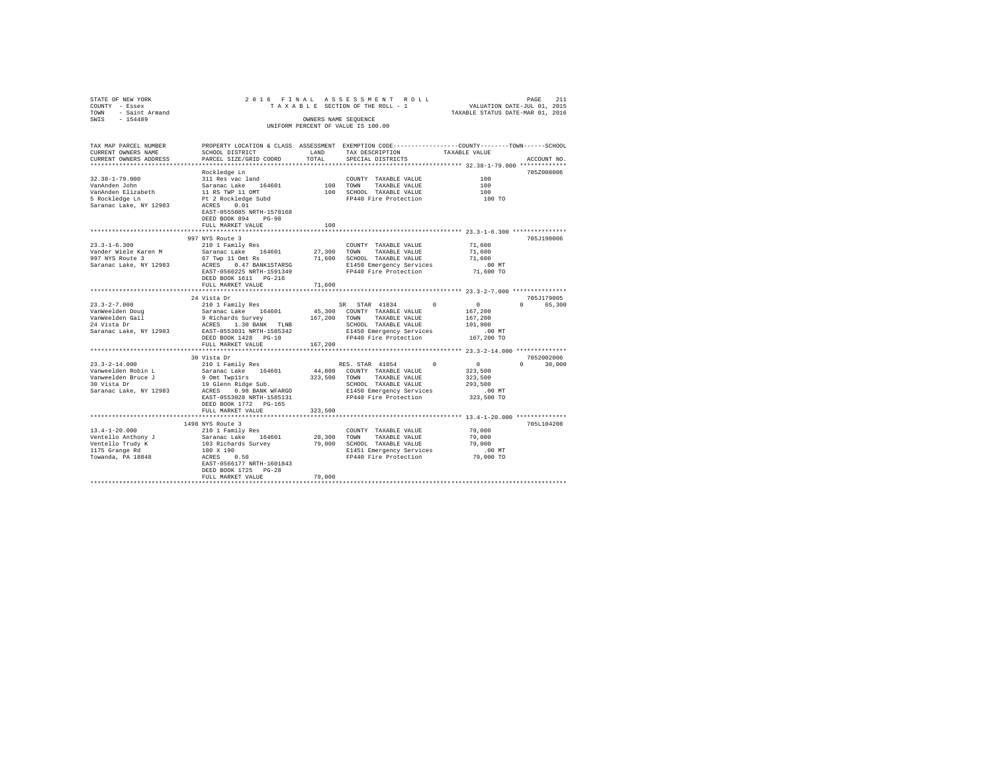| STATE OF NEW YORK<br>COUNTY - Essex<br>TOWN - Saint Armand<br>SWIS - 154489 |                                                                                                                                                                                                                                                                                                                                                                                    | PAGE PINAL ASSESSMENT ROLL PAGE 211<br>TAXABLE SECTION OF THE ROLL - 1 VALUATION DATE-JUL 01, 2015<br>TAXABLE STATUS DATE-MAR 01, 2016 |                                                                                                                                                                                                         |                                                                                                                       |  |  |  |
|-----------------------------------------------------------------------------|------------------------------------------------------------------------------------------------------------------------------------------------------------------------------------------------------------------------------------------------------------------------------------------------------------------------------------------------------------------------------------|----------------------------------------------------------------------------------------------------------------------------------------|---------------------------------------------------------------------------------------------------------------------------------------------------------------------------------------------------------|-----------------------------------------------------------------------------------------------------------------------|--|--|--|
|                                                                             |                                                                                                                                                                                                                                                                                                                                                                                    |                                                                                                                                        | OWNERS NAME SEQUENCE                                                                                                                                                                                    |                                                                                                                       |  |  |  |
|                                                                             | UNIFORM PERCENT OF VALUE IS 100.00                                                                                                                                                                                                                                                                                                                                                 |                                                                                                                                        |                                                                                                                                                                                                         |                                                                                                                       |  |  |  |
|                                                                             |                                                                                                                                                                                                                                                                                                                                                                                    |                                                                                                                                        |                                                                                                                                                                                                         |                                                                                                                       |  |  |  |
|                                                                             |                                                                                                                                                                                                                                                                                                                                                                                    |                                                                                                                                        |                                                                                                                                                                                                         | TAX MAP PARCEL NUMBER PROPERTY LOCATION & CLASS ASSESSMENT EXEMPTION CODE---------------COUNTY-------TOWN------SCHOOL |  |  |  |
| CURRENT OWNERS NAME                                                         | SCHOOL DISTRICT LAND                                                                                                                                                                                                                                                                                                                                                               |                                                                                                                                        | TAX DESCRIPTION                                                                                                                                                                                         | TAXABLE VALUE                                                                                                         |  |  |  |
| CURRENT OWNERS ADDRESS                                                      | PARCEL SIZE/GRID COORD                                                                                                                                                                                                                                                                                                                                                             | TOTAL                                                                                                                                  | SPECIAL DISTRICTS                                                                                                                                                                                       | ACCOUNT NO.                                                                                                           |  |  |  |
|                                                                             |                                                                                                                                                                                                                                                                                                                                                                                    |                                                                                                                                        |                                                                                                                                                                                                         | ************************************ 32.38-1-79.000 **************                                                    |  |  |  |
|                                                                             | Rockledge Ln                                                                                                                                                                                                                                                                                                                                                                       |                                                                                                                                        |                                                                                                                                                                                                         | 705Z008006                                                                                                            |  |  |  |
| $32.38 - 1 - 79.000$                                                        |                                                                                                                                                                                                                                                                                                                                                                                    |                                                                                                                                        | COUNTY TAXABLE VALUE                                                                                                                                                                                    | 100                                                                                                                   |  |  |  |
| VanAnden John<br>VanAnden Elizabeth<br>5 Rockledge Ln                       |                                                                                                                                                                                                                                                                                                                                                                                    |                                                                                                                                        | TOWN TAXABLE VALUE<br>100 SCHOOL TAXABLE VALUE<br>FP440 Fire Protection                                                                                                                                 | $\begin{array}{c} 100 \\ 100 \\ 100 \end{array}$ TO                                                                   |  |  |  |
|                                                                             |                                                                                                                                                                                                                                                                                                                                                                                    |                                                                                                                                        |                                                                                                                                                                                                         |                                                                                                                       |  |  |  |
| Saranac Lake, NY 12983                                                      | rocrueage in<br>311 Res vac land<br>Saranac Lake 164601<br>11 RS TWP 11 OMT<br>Pt 2 Rockledge Subd<br>ACRES ___0.01                                                                                                                                                                                                                                                                |                                                                                                                                        |                                                                                                                                                                                                         |                                                                                                                       |  |  |  |
|                                                                             | EAST-0555085 NRTH-1578168                                                                                                                                                                                                                                                                                                                                                          |                                                                                                                                        |                                                                                                                                                                                                         |                                                                                                                       |  |  |  |
|                                                                             | DEED BOOK 894 PG-98                                                                                                                                                                                                                                                                                                                                                                |                                                                                                                                        |                                                                                                                                                                                                         |                                                                                                                       |  |  |  |
|                                                                             | FULL MARKET VALUE                                                                                                                                                                                                                                                                                                                                                                  | 100                                                                                                                                    |                                                                                                                                                                                                         |                                                                                                                       |  |  |  |
|                                                                             |                                                                                                                                                                                                                                                                                                                                                                                    |                                                                                                                                        |                                                                                                                                                                                                         |                                                                                                                       |  |  |  |
|                                                                             | 997 NYS Route 3                                                                                                                                                                                                                                                                                                                                                                    |                                                                                                                                        |                                                                                                                                                                                                         | 705J190006                                                                                                            |  |  |  |
| $23.3 - 1 - 6.300$                                                          | 210 1 Family Res                                                                                                                                                                                                                                                                                                                                                                   |                                                                                                                                        | COUNTY TAXABLE VALUE 71,600                                                                                                                                                                             |                                                                                                                       |  |  |  |
| Vander Wiele Karen M                                                        | Saranac Lake 164601 27,300 TOWN TAXABLE VALUE 71,600<br>67 Twp 11 Omt Rs 71,600 SCHOOL TAXABLE VALUE 71,600<br>ACRES 0.47 BANK1STARSG SIGHOOL TAXABLE VALUE 71,600<br>RAST-0560225 NRTH-1591349<br>PA40 Fire Protection 71,600 TO<br>The                                                                                                                                           |                                                                                                                                        |                                                                                                                                                                                                         |                                                                                                                       |  |  |  |
| 997 NYS Route 3                                                             |                                                                                                                                                                                                                                                                                                                                                                                    |                                                                                                                                        |                                                                                                                                                                                                         |                                                                                                                       |  |  |  |
| Saranac Lake, NY 12983                                                      |                                                                                                                                                                                                                                                                                                                                                                                    |                                                                                                                                        |                                                                                                                                                                                                         |                                                                                                                       |  |  |  |
|                                                                             |                                                                                                                                                                                                                                                                                                                                                                                    |                                                                                                                                        |                                                                                                                                                                                                         |                                                                                                                       |  |  |  |
|                                                                             | DEED BOOK 1611 PG-216<br>FULL MARKET VALUE                                                                                                                                                                                                                                                                                                                                         | 71,600                                                                                                                                 |                                                                                                                                                                                                         |                                                                                                                       |  |  |  |
|                                                                             |                                                                                                                                                                                                                                                                                                                                                                                    |                                                                                                                                        |                                                                                                                                                                                                         |                                                                                                                       |  |  |  |
|                                                                             | 24 Vista Dr                                                                                                                                                                                                                                                                                                                                                                        |                                                                                                                                        |                                                                                                                                                                                                         | 705J179005                                                                                                            |  |  |  |
|                                                                             |                                                                                                                                                                                                                                                                                                                                                                                    |                                                                                                                                        |                                                                                                                                                                                                         | 0 65,300                                                                                                              |  |  |  |
|                                                                             |                                                                                                                                                                                                                                                                                                                                                                                    |                                                                                                                                        |                                                                                                                                                                                                         |                                                                                                                       |  |  |  |
|                                                                             |                                                                                                                                                                                                                                                                                                                                                                                    |                                                                                                                                        |                                                                                                                                                                                                         |                                                                                                                       |  |  |  |
|                                                                             |                                                                                                                                                                                                                                                                                                                                                                                    |                                                                                                                                        |                                                                                                                                                                                                         |                                                                                                                       |  |  |  |
|                                                                             |                                                                                                                                                                                                                                                                                                                                                                                    |                                                                                                                                        |                                                                                                                                                                                                         |                                                                                                                       |  |  |  |
|                                                                             | $\begin{tabular}{ccccc} 23.3-2-7.000 & \begin{tabular}{ccccc} 24.3-2-7.000 & \begin{tabular}{ccccc} 24.3-2-7.000 & \begin{tabular}{ccccc} 24.3-2-7.000 & \begin{tabular}{ccccc} 24.3-2-7.000 & \begin{tabular}{ccccc} 24.3-2-7.000 & \begin{tabular}{ccccc} 24.3-2-7.000 & \begin{tabular}{ccccc} 24.3-2-7.000 & \begin{tabular}{ccccc} 24.3-2-7.000 & \begin{tabular}{ccccc} 24.$ |                                                                                                                                        |                                                                                                                                                                                                         |                                                                                                                       |  |  |  |
|                                                                             | FULL MARKET VALUE                                                                                                                                                                                                                                                                                                                                                                  | 167.200                                                                                                                                |                                                                                                                                                                                                         |                                                                                                                       |  |  |  |
|                                                                             |                                                                                                                                                                                                                                                                                                                                                                                    |                                                                                                                                        |                                                                                                                                                                                                         | 7052002006                                                                                                            |  |  |  |
|                                                                             |                                                                                                                                                                                                                                                                                                                                                                                    |                                                                                                                                        |                                                                                                                                                                                                         | $0 \t 30,000$                                                                                                         |  |  |  |
|                                                                             |                                                                                                                                                                                                                                                                                                                                                                                    |                                                                                                                                        | $\begin{tabular}{lcccccc} & & & & & & \text{RES. STAR} & 41854 & & & & & 0 & & & 0 \\ & & & & & & & & & 0 & & 0 \\ 44,800 & & & & & & & & \text{MAXABLE} & \text{VALUE} & & & 323,500 \\ \end{tabular}$ |                                                                                                                       |  |  |  |
|                                                                             |                                                                                                                                                                                                                                                                                                                                                                                    |                                                                                                                                        |                                                                                                                                                                                                         | 323,500                                                                                                               |  |  |  |
|                                                                             |                                                                                                                                                                                                                                                                                                                                                                                    |                                                                                                                                        |                                                                                                                                                                                                         | 293,500                                                                                                               |  |  |  |
|                                                                             |                                                                                                                                                                                                                                                                                                                                                                                    |                                                                                                                                        |                                                                                                                                                                                                         | .00 MT                                                                                                                |  |  |  |
|                                                                             |                                                                                                                                                                                                                                                                                                                                                                                    |                                                                                                                                        |                                                                                                                                                                                                         | 323,500 TO                                                                                                            |  |  |  |
|                                                                             | DEED BOOK 1772 PG-165                                                                                                                                                                                                                                                                                                                                                              |                                                                                                                                        |                                                                                                                                                                                                         |                                                                                                                       |  |  |  |
|                                                                             | FULL MARKET VALUE                                                                                                                                                                                                                                                                                                                                                                  | 323,500                                                                                                                                |                                                                                                                                                                                                         |                                                                                                                       |  |  |  |
|                                                                             |                                                                                                                                                                                                                                                                                                                                                                                    |                                                                                                                                        |                                                                                                                                                                                                         |                                                                                                                       |  |  |  |
|                                                                             |                                                                                                                                                                                                                                                                                                                                                                                    |                                                                                                                                        |                                                                                                                                                                                                         | 705L104208                                                                                                            |  |  |  |
|                                                                             |                                                                                                                                                                                                                                                                                                                                                                                    |                                                                                                                                        |                                                                                                                                                                                                         |                                                                                                                       |  |  |  |
|                                                                             |                                                                                                                                                                                                                                                                                                                                                                                    |                                                                                                                                        |                                                                                                                                                                                                         |                                                                                                                       |  |  |  |
|                                                                             |                                                                                                                                                                                                                                                                                                                                                                                    |                                                                                                                                        |                                                                                                                                                                                                         |                                                                                                                       |  |  |  |
|                                                                             |                                                                                                                                                                                                                                                                                                                                                                                    |                                                                                                                                        |                                                                                                                                                                                                         |                                                                                                                       |  |  |  |
|                                                                             |                                                                                                                                                                                                                                                                                                                                                                                    |                                                                                                                                        |                                                                                                                                                                                                         |                                                                                                                       |  |  |  |
|                                                                             | DEED BOOK 1725 PG-28                                                                                                                                                                                                                                                                                                                                                               |                                                                                                                                        |                                                                                                                                                                                                         |                                                                                                                       |  |  |  |
|                                                                             | FULL MARKET VALUE                                                                                                                                                                                                                                                                                                                                                                  | 79,000                                                                                                                                 |                                                                                                                                                                                                         |                                                                                                                       |  |  |  |
|                                                                             |                                                                                                                                                                                                                                                                                                                                                                                    |                                                                                                                                        |                                                                                                                                                                                                         |                                                                                                                       |  |  |  |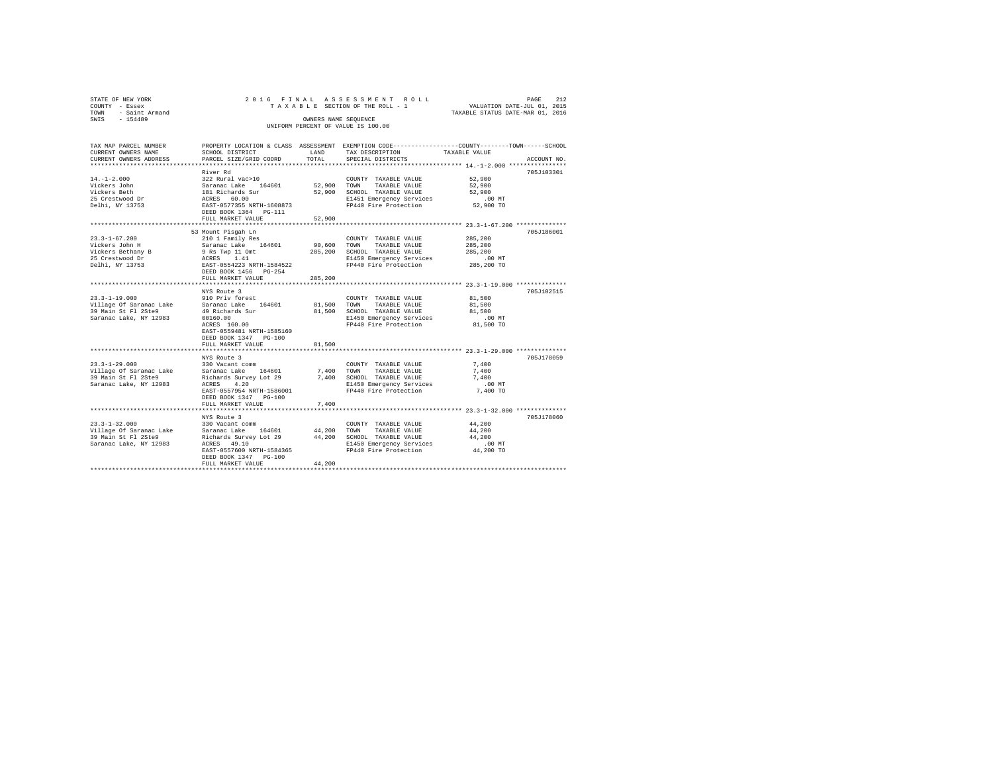| STATE OF NEW YORK       | 2016 FINAL                                                     |              | ASSESSMENT ROLL                                                                                |                                                                 | 212<br>PAGE |  |  |
|-------------------------|----------------------------------------------------------------|--------------|------------------------------------------------------------------------------------------------|-----------------------------------------------------------------|-------------|--|--|
| COUNTY - Essex          | TAXABLE SECTION OF THE ROLL - 1<br>VALUATION DATE-JUL 01, 2015 |              |                                                                                                |                                                                 |             |  |  |
| - Saint Armand<br>TOWN  | TAXABLE STATUS DATE-MAR 01, 2016                               |              |                                                                                                |                                                                 |             |  |  |
| SWIS<br>$-154489$       | OWNERS NAME SEQUENCE                                           |              |                                                                                                |                                                                 |             |  |  |
|                         | UNIFORM PERCENT OF VALUE IS 100.00                             |              |                                                                                                |                                                                 |             |  |  |
|                         |                                                                |              |                                                                                                |                                                                 |             |  |  |
|                         |                                                                |              |                                                                                                |                                                                 |             |  |  |
| TAX MAP PARCEL NUMBER   |                                                                |              | PROPERTY LOCATION & CLASS ASSESSMENT EXEMPTION CODE---------------COUNTY-------TOWN-----SCHOOL |                                                                 |             |  |  |
| CURRENT OWNERS NAME     | SCHOOL DISTRICT                                                | LAND         | TAX DESCRIPTION                                                                                | TAXABLE VALUE                                                   |             |  |  |
| CURRENT OWNERS ADDRESS  | PARCEL SIZE/GRID COORD                                         | TOTAL        | SPECIAL DISTRICTS                                                                              |                                                                 | ACCOUNT NO. |  |  |
|                         |                                                                |              |                                                                                                |                                                                 |             |  |  |
|                         | River Rd                                                       |              |                                                                                                |                                                                 | 705J103301  |  |  |
| $14. -1 - 2.000$        | 322 Rural vac>10                                               |              | COUNTY TAXABLE VALUE                                                                           | 52,900                                                          |             |  |  |
| Vickers John            | Saranac Lake 164601                                            | 52,900       | TOWN<br>TAXABLE VALUE                                                                          | 52,900                                                          |             |  |  |
| Vickers Beth            | 181 Richards Sur                                               | 52,900       | SCHOOL TAXABLE VALUE                                                                           | 52,900                                                          |             |  |  |
| 25 Crestwood Dr         | ACRES 60.00<br>EAST-0577355 NRTH-1608873                       |              | E1451 Emergency Services                                                                       | .00MT                                                           |             |  |  |
| Delhi, NY 13753         | DEED BOOK 1364 PG-111                                          |              | FP440 Fire Protection                                                                          | 52,900 TO                                                       |             |  |  |
|                         | FULL MARKET VALUE                                              | 52,900       |                                                                                                |                                                                 |             |  |  |
|                         | ********************                                           | ************ |                                                                                                | ********************************** 23.3-1-67.200 ************** |             |  |  |
|                         |                                                                |              |                                                                                                |                                                                 | 705J186001  |  |  |
| $23.3 - 1 - 67.200$     | 53 Mount Pisqah Ln<br>210 1 Family Res                         |              | COUNTY TAXABLE VALUE                                                                           | 285,200                                                         |             |  |  |
| Vickers John H          | Saranac Lake 164601                                            | 90,600       | TOWN<br>TAXABLE VALUE                                                                          | 285,200                                                         |             |  |  |
| Vickers Bethany B       | 9 Rs Twp 11 Omt                                                | 285,200      | SCHOOL TAXABLE VALUE                                                                           | 285,200                                                         |             |  |  |
| 25 Crestwood Dr         | ACRES 1.41                                                     |              | E1450 Emergency Services                                                                       | $.00$ MT                                                        |             |  |  |
| Delhi, NY 13753         | EAST-0554223 NRTH-1584522                                      |              | FP440 Fire Protection                                                                          | 285,200 TO                                                      |             |  |  |
|                         | DEED BOOK 1456 PG-254                                          |              |                                                                                                |                                                                 |             |  |  |
|                         | FULL MARKET VALUE                                              | 285,200      |                                                                                                |                                                                 |             |  |  |
|                         |                                                                |              |                                                                                                |                                                                 |             |  |  |
|                         | NYS Route 3                                                    |              |                                                                                                |                                                                 | 705.7102515 |  |  |
| $23.3 - 1 - 19.000$     | 910 Priv forest                                                |              | COUNTY TAXABLE VALUE                                                                           | 81,500                                                          |             |  |  |
| Village Of Saranac Lake | Saranac Lake 164601                                            | 81,500       | TOWN<br>TAXABLE VALUE                                                                          | 81,500                                                          |             |  |  |
| 39 Main St Fl 2Ste9     | 49 Richards Sur                                                | 81,500       | SCHOOL TAXABLE VALUE                                                                           | 81,500                                                          |             |  |  |
| Saranac Lake, NY 12983  | 00160.00                                                       |              | E1450 Emergency Services                                                                       | $.00$ MT                                                        |             |  |  |
|                         | ACRES 160.00                                                   |              | FP440 Fire Protection                                                                          | 81,500 TO                                                       |             |  |  |
|                         | EAST-0559481 NRTH-1585160                                      |              |                                                                                                |                                                                 |             |  |  |
|                         | DEED BOOK 1347 PG-100                                          |              |                                                                                                |                                                                 |             |  |  |
|                         | FULL MARKET VALUE                                              | 81,500       |                                                                                                |                                                                 |             |  |  |
|                         |                                                                |              |                                                                                                |                                                                 |             |  |  |
|                         | NYS Route 3                                                    |              |                                                                                                |                                                                 | 705J178059  |  |  |
| $23.3 - 1 - 29.000$     | 330 Vacant comm                                                |              | COUNTY TAXABLE VALUE                                                                           | 7.400                                                           |             |  |  |
| Village Of Saranac Lake | 164601<br>Saranac Lake                                         | 7,400        | TAXABLE VALUE<br>TOWN                                                                          | 7,400                                                           |             |  |  |
| 39 Main St Fl 2Ste9     | Richards Survey Lot 29                                         | 7,400        | SCHOOL TAXABLE VALUE                                                                           | 7.400                                                           |             |  |  |
| Saranac Lake, NY 12983  | 4.20<br>ACRES                                                  |              | E1450 Emergency Services                                                                       | .00 MT                                                          |             |  |  |
|                         | EAST-0557954 NRTH-1586001                                      |              | FP440 Fire Protection                                                                          | 7,400 TO                                                        |             |  |  |
|                         | DEED BOOK 1347 PG-100                                          |              |                                                                                                |                                                                 |             |  |  |
|                         | FULL MARKET VALUE                                              | 7,400        |                                                                                                |                                                                 |             |  |  |
|                         |                                                                |              |                                                                                                |                                                                 |             |  |  |
|                         | NYS Route 3                                                    |              |                                                                                                |                                                                 | 705J178060  |  |  |
| $23.3 - 1 - 32.000$     | 330 Vacant comm                                                |              | COUNTY TAXABLE VALUE                                                                           | 44,200                                                          |             |  |  |
| Village Of Saranac Lake | Saranac Lake<br>164601                                         | 44,200       | TOWN<br>TAXABLE VALUE                                                                          | 44,200                                                          |             |  |  |
| 39 Main St Fl 2Ste9     | Richards Survey Lot 29                                         | 44.200       | SCHOOL TAXABLE VALUE                                                                           | 44.200                                                          |             |  |  |
| Saranac Lake, NY 12983  | ACRES 49.10                                                    |              | E1450 Emergency Services                                                                       | $.00$ MT                                                        |             |  |  |
|                         | EAST-0557600 NRTH-1584365                                      |              | FP440 Fire Protection                                                                          | 44,200 TO                                                       |             |  |  |
|                         | DEED BOOK 1347 PG-100                                          |              |                                                                                                |                                                                 |             |  |  |
|                         | FULL MARKET VALUE                                              | 44,200       |                                                                                                |                                                                 |             |  |  |
|                         |                                                                |              |                                                                                                |                                                                 |             |  |  |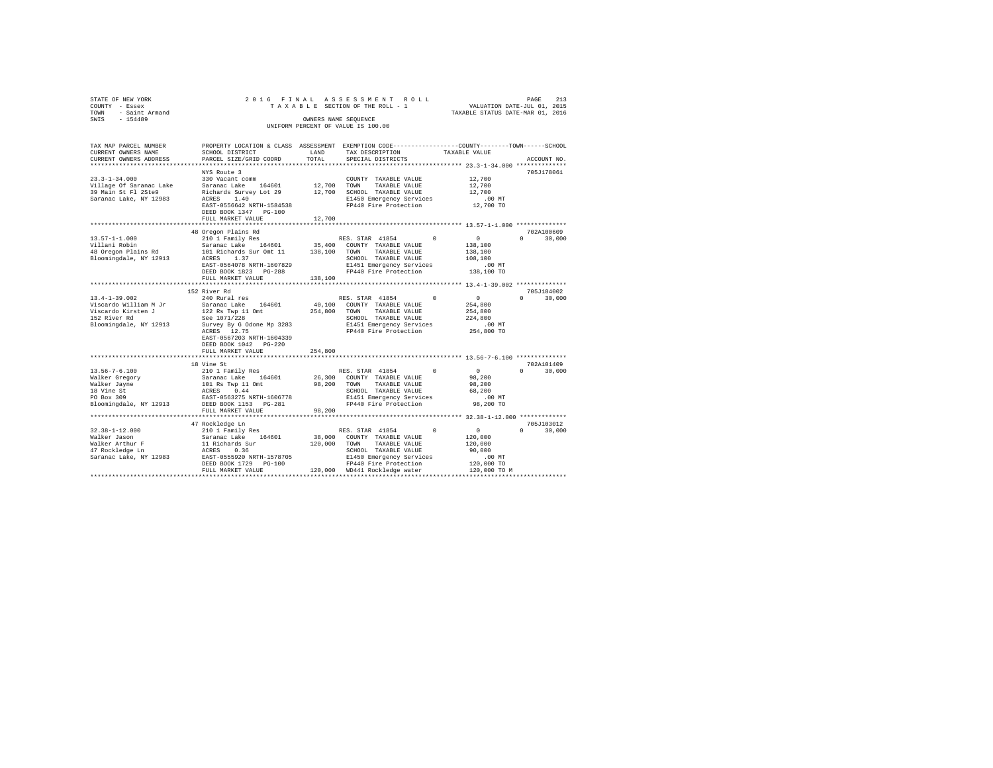| STATE OF NEW YORK<br>COUNTY - Essex<br>TOWN - Saint Armand<br>SWIS - 154489                                                                                                                                                                                 |                                                                                                                                                                                                                                                                                                                                                                                                                                               |               | 2016 FINAL ASSESSMENT ROLL<br>OWNERS NAME SEOUENCE<br>UNIFORM PERCENT OF VALUE IS 100.00                                                                                                                                              | TAXABLE STATUS DATE-MAR 01, 2016                                 | PAGE<br>213                 |
|-------------------------------------------------------------------------------------------------------------------------------------------------------------------------------------------------------------------------------------------------------------|-----------------------------------------------------------------------------------------------------------------------------------------------------------------------------------------------------------------------------------------------------------------------------------------------------------------------------------------------------------------------------------------------------------------------------------------------|---------------|---------------------------------------------------------------------------------------------------------------------------------------------------------------------------------------------------------------------------------------|------------------------------------------------------------------|-----------------------------|
| TAX MAP PARCEL NUMBER PROPERTY LOCATION & CLASS ASSESSMENT EXEMPTION CODE--------------COUNTY-------TOWN------SCHOOL<br>CURRENT OWNERS NAME<br>CURRENT OWNERS ADDRESS                                                                                       | SCHOOL DISTRICT<br>PARCEL SIZE/GRID COORD                                                                                                                                                                                                                                                                                                                                                                                                     | LAND<br>TOTAL | TAX DESCRIPTION<br>SPECIAL DISTRICTS                                                                                                                                                                                                  | TAXABLE VALUE                                                    | ACCOUNT NO.                 |
|                                                                                                                                                                                                                                                             |                                                                                                                                                                                                                                                                                                                                                                                                                                               |               |                                                                                                                                                                                                                                       | ****************** 23.3-1-34.000 **************                  |                             |
| $23.3 - 1 - 34.000$<br>% 2.5-1-54.000 2.000 2.000 2.000 2.000 2.000 2.000 2.000 2.000 2.000 2.000 2.000 2.000 2.000 2.000 2.000 2.000<br>2.5 Main St Picket Saranac Lake 2.000 2.000 2.000 2.000 2.000 2.000 2.000 2.000 2.000 2.000 2.000 2.000 2.000<br>2 | NYS Route 3<br>330 Vacant comm<br>EAST-0556642 NRTH-1584538                                                                                                                                                                                                                                                                                                                                                                                   |               | COUNTY TAXABLE VALUE<br>E1450 Emergency Services<br>FP440 Fire Protection                                                                                                                                                             | 12,700<br>12,700<br>12,700<br>$.00$ MT<br>12,700 TO              | 705J178061                  |
|                                                                                                                                                                                                                                                             | DEED BOOK 1347 PG-100                                                                                                                                                                                                                                                                                                                                                                                                                         |               |                                                                                                                                                                                                                                       |                                                                  |                             |
|                                                                                                                                                                                                                                                             | FULL MARKET VALUE                                                                                                                                                                                                                                                                                                                                                                                                                             | 12,700        |                                                                                                                                                                                                                                       |                                                                  |                             |
|                                                                                                                                                                                                                                                             | ***************************                                                                                                                                                                                                                                                                                                                                                                                                                   |               |                                                                                                                                                                                                                                       |                                                                  |                             |
|                                                                                                                                                                                                                                                             | 48 Oregon Plains Rd                                                                                                                                                                                                                                                                                                                                                                                                                           |               |                                                                                                                                                                                                                                       |                                                                  | 702A100609                  |
| $13.57 - 1 - 1.000$<br>Villani Robin                                                                                                                                                                                                                        | 210 1 Family Res<br>210 1 Family Res<br>Saranac Lake 164601 35,400 COUNTY TAXABLE VALUE                                                                                                                                                                                                                                                                                                                                                       |               | $^{\circ}$                                                                                                                                                                                                                            | $\sim$ 0<br>138,100<br>138,100                                   | $\Omega$<br>30,000          |
|                                                                                                                                                                                                                                                             |                                                                                                                                                                                                                                                                                                                                                                                                                                               |               |                                                                                                                                                                                                                                       | 108,100<br>.00 MT<br>138,100 TO                                  |                             |
|                                                                                                                                                                                                                                                             | FULL MARKET VALUE                                                                                                                                                                                                                                                                                                                                                                                                                             | 138,100       |                                                                                                                                                                                                                                       |                                                                  |                             |
|                                                                                                                                                                                                                                                             | 152 River Rd                                                                                                                                                                                                                                                                                                                                                                                                                                  |               |                                                                                                                                                                                                                                       |                                                                  | 705J184002                  |
| 13.4-1-39.002                                                                                                                                                                                                                                               | 240 Rural res                                                                                                                                                                                                                                                                                                                                                                                                                                 |               | RES. STAR 41854<br>$\Omega$                                                                                                                                                                                                           |                                                                  | $0 \t30.000$                |
| Viscardo William M Jr<br>Viscardo Kirsten J<br>152 River Rd<br>Bloomingdale, NY 12913                                                                                                                                                                       | $\begin{tabular}{lcccc} Saranac Lake & 164601 & 40,100 & 0.0001YY & TAXABLE VALUE \\ 122 Res Twop 11 Omt & 254,800 & 70NNY & TAXABLE VALUE \\ See 1071/228 & & 254,800 & 5CHOOL & TAXABLE VALUE \\ \end{tabular}$<br>And the 1071/228<br>Scree 1071/228 - SCHOOL TAXABLE VALUE<br>SLIVES BY Godone Mp 3283 - B1451 Emergency Services<br>ACRES 12.75 - PR440 Fire Protection 254,800 TO<br>EAST-0567203 NRTH-1604339<br>DEED BOOK 1042 PG-220 |               | 40.100 COUNTY TAXABLE VALUE                                                                                                                                                                                                           | $\begin{smallmatrix}&&0\\&&254&,800\end{smallmatrix}$<br>254,800 |                             |
|                                                                                                                                                                                                                                                             | FULL MARKET VALUE                                                                                                                                                                                                                                                                                                                                                                                                                             | 254,800       |                                                                                                                                                                                                                                       |                                                                  |                             |
|                                                                                                                                                                                                                                                             |                                                                                                                                                                                                                                                                                                                                                                                                                                               |               |                                                                                                                                                                                                                                       |                                                                  |                             |
|                                                                                                                                                                                                                                                             | 18 Vine St                                                                                                                                                                                                                                                                                                                                                                                                                                    |               |                                                                                                                                                                                                                                       |                                                                  | 702A101409                  |
| $13.56 - 7 - 6.100$<br>Walker Gregory<br>Walker Jayne<br>18 Vine St<br>PO Box 309<br>Bloomingdale, NY 12913 DEED BOOK 1153 PG-281                                                                                                                           | 210 1 Family Res<br>EAST-0563275 NRTH-1606778                                                                                                                                                                                                                                                                                                                                                                                                 |               | $^{\circ}$<br>SCHOOL TAXABLE VALUE<br>E1451 Emergency Services<br>FP440 Fire Protection                                                                                                                                               | $\sim$ 0<br>98,200<br>98,200<br>68,200<br>.00MT<br>98,200 TO     | $0 \t 30,000$               |
|                                                                                                                                                                                                                                                             | FULL MARKET VALUE                                                                                                                                                                                                                                                                                                                                                                                                                             | 98,200        |                                                                                                                                                                                                                                       |                                                                  |                             |
|                                                                                                                                                                                                                                                             |                                                                                                                                                                                                                                                                                                                                                                                                                                               |               |                                                                                                                                                                                                                                       |                                                                  |                             |
| $32.38 - 1 - 12.000$<br>Walker Jason                                                                                                                                                                                                                        | 47 Rockledge Ln<br>210 1 Family Res<br>Saranac Lake 164601                                                                                                                                                                                                                                                                                                                                                                                    |               | $\begin{tabular}{lcccccc} & & & & & & \text{RES. STAR} & 41854 & & & & & & 0 & & & 0 \\ & & & & & & & & & & & 0 & & 0 \\ 38,000 & & & & & & & & \text{MAXABLE VALUE} & & & & 120,000 \\ \end{tabular}$<br>38,000 COUNTY TAXABLE VALUE |                                                                  | 705J103012<br>$0 \t 30.000$ |
|                                                                                                                                                                                                                                                             |                                                                                                                                                                                                                                                                                                                                                                                                                                               |               | 120,000 TOWN TAXABLE VALUE                                                                                                                                                                                                            | 120,000                                                          |                             |
| % Walker Arthur F Macket 11 Richards Sur<br>17 Rockledge Ln 10 1000 ACRES 10.36<br>2012 Saranac Lake, NY 12983 2857-0555920 NRTH-1578705                                                                                                                    | DEED BOOK 1729 PG-100                                                                                                                                                                                                                                                                                                                                                                                                                         |               | SCHOOL TAXABLE VALUE<br>E1450 Emergency Services<br>FP440 Fire Protection                                                                                                                                                             | 90,000<br>$.00$ MT<br>120,000 TO                                 |                             |
|                                                                                                                                                                                                                                                             | FULL MARKET VALUE                                                                                                                                                                                                                                                                                                                                                                                                                             |               | 120,000 WD441 Rockledge water                                                                                                                                                                                                         | 120,000 TO M                                                     |                             |
|                                                                                                                                                                                                                                                             |                                                                                                                                                                                                                                                                                                                                                                                                                                               |               |                                                                                                                                                                                                                                       |                                                                  |                             |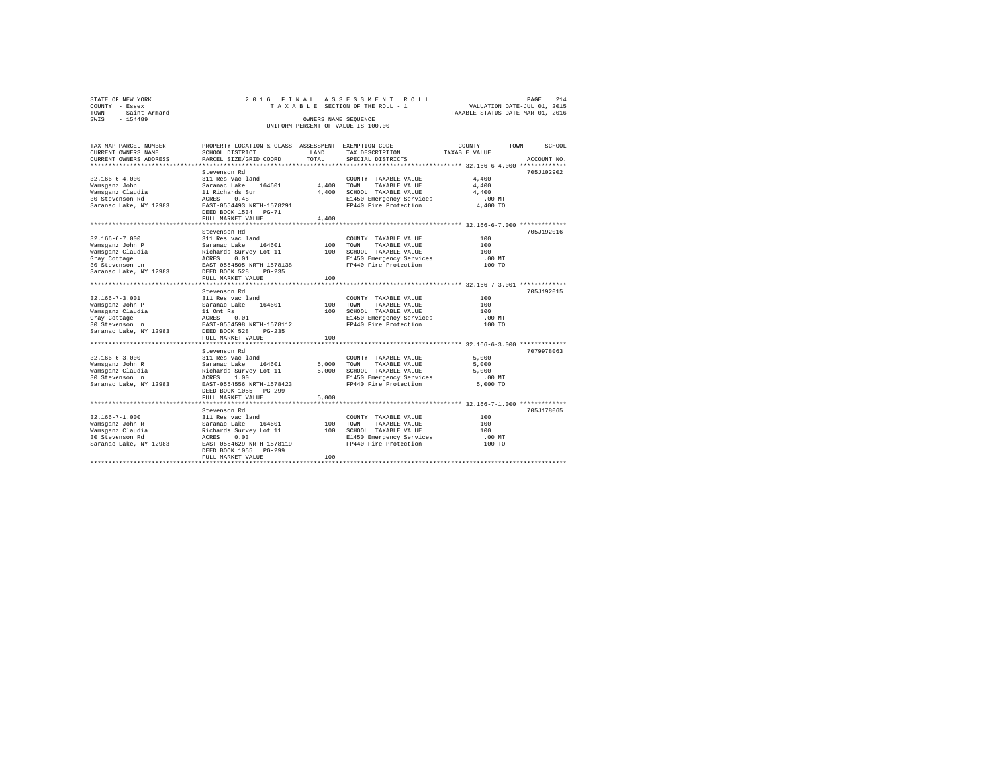|      | STATE OF NEW YORK | 2016 FINAL ASSESSMENT ROLL         | 214<br>PAGE                      |
|------|-------------------|------------------------------------|----------------------------------|
|      | COUNTY - Essex    | TAXABLE SECTION OF THE ROLL - 1    | VALUATION DATE-JUL 01, 2015      |
| TOWN | - Saint Armand    |                                    | TAXABLE STATUS DATE-MAR 01, 2016 |
| SWIS | $-154489$         | OWNERS NAME SEOUENCE               |                                  |
|      |                   | UNIFORM PERCENT OF VALUE IS 100.00 |                                  |

| Stevenson Rd<br>$32.166 - 6 - 4.000$<br>311 Res vac land<br>4,400<br>COUNTY TAXABLE VALUE<br>4,400<br>164601<br>4,400<br>Wamsqanz John<br>Saranac Lake<br>TOWN<br>TAXABLE VALUE<br>Wamsganz Claudia<br>4,400<br>SCHOOL TAXABLE VALUE<br>4,400<br>11 Richards Sur<br>30 Stevenson Rd<br>0.48<br>E1450 Emergency Services<br>$.00$ MT<br>ACRES<br>FP440 Fire Protection<br>Saranac Lake, NY 12983<br>EAST-0554493 NRTH-1578291<br>4,400 TO<br>DEED BOOK 1534 PG-71<br>4,400<br>FULL MARKET VALUE<br>Stevenson Rd<br>$32.166 - 6 - 7.000$<br>311 Res vac land<br>100<br>COUNTY TAXABLE VALUE<br>Wamsganz John P<br>Saranac Lake 164601<br>100<br>TOWN<br>TAXABLE VALUE<br>100<br>100 SCHOOL TAXABLE VALUE<br>Wamsganz Claudia<br>Richards Survey Lot 11<br>100<br>0.01<br>Gray Cottage<br>ACRES<br>E1450 Emergency Services<br>.00 MT<br>FP440 Fire Protection<br>30 Stevenson Ln<br>EAST-0554505 NRTH-1578138<br>100 TO<br>Saranac Lake, NY 12983<br>DEED BOOK 528<br>$PG-235$<br>100<br>FULL MARKET VALUE<br>Stevenson Rd<br>$32.166 - 7 - 3.001$<br>100<br>311 Res vac land<br>COUNTY TAXABLE VALUE<br>164601<br>100<br>100<br>Wamsqanz John P<br>Saranac Lake<br>TOWN<br>TAXABLE VALUE<br>SCHOOL TAXABLE VALUE<br>Wamsganz Claudia<br>11 Omt Rs<br>100<br>100<br>ACRES<br>E1450 Emergency Services<br>$.00$ MT<br>Gray Cottage<br>0.01 | PROPERTY LOCATION & CLASS ASSESSMENT EXEMPTION CODE----------------COUNTY-------TOWN-----SCHOOL<br>TAX DESCRIPTION<br>TAXABLE VALUE<br>SPECIAL DISTRICTS<br>ACCOUNT NO. | LAND<br>TOTAL | SCHOOL DISTRICT<br>PARCEL SIZE/GRID COORD | TAX MAP PARCEL NUMBER<br>CURRENT OWNERS NAME<br>CURRENT OWNERS ADDRESS |
|-----------------------------------------------------------------------------------------------------------------------------------------------------------------------------------------------------------------------------------------------------------------------------------------------------------------------------------------------------------------------------------------------------------------------------------------------------------------------------------------------------------------------------------------------------------------------------------------------------------------------------------------------------------------------------------------------------------------------------------------------------------------------------------------------------------------------------------------------------------------------------------------------------------------------------------------------------------------------------------------------------------------------------------------------------------------------------------------------------------------------------------------------------------------------------------------------------------------------------------------------------------------------------------------------------------------------------------------|-------------------------------------------------------------------------------------------------------------------------------------------------------------------------|---------------|-------------------------------------------|------------------------------------------------------------------------|
|                                                                                                                                                                                                                                                                                                                                                                                                                                                                                                                                                                                                                                                                                                                                                                                                                                                                                                                                                                                                                                                                                                                                                                                                                                                                                                                                         |                                                                                                                                                                         |               |                                           | **********************                                                 |
|                                                                                                                                                                                                                                                                                                                                                                                                                                                                                                                                                                                                                                                                                                                                                                                                                                                                                                                                                                                                                                                                                                                                                                                                                                                                                                                                         | 705.7102902                                                                                                                                                             |               |                                           |                                                                        |
|                                                                                                                                                                                                                                                                                                                                                                                                                                                                                                                                                                                                                                                                                                                                                                                                                                                                                                                                                                                                                                                                                                                                                                                                                                                                                                                                         |                                                                                                                                                                         |               |                                           |                                                                        |
|                                                                                                                                                                                                                                                                                                                                                                                                                                                                                                                                                                                                                                                                                                                                                                                                                                                                                                                                                                                                                                                                                                                                                                                                                                                                                                                                         |                                                                                                                                                                         |               |                                           |                                                                        |
|                                                                                                                                                                                                                                                                                                                                                                                                                                                                                                                                                                                                                                                                                                                                                                                                                                                                                                                                                                                                                                                                                                                                                                                                                                                                                                                                         |                                                                                                                                                                         |               |                                           |                                                                        |
|                                                                                                                                                                                                                                                                                                                                                                                                                                                                                                                                                                                                                                                                                                                                                                                                                                                                                                                                                                                                                                                                                                                                                                                                                                                                                                                                         |                                                                                                                                                                         |               |                                           |                                                                        |
|                                                                                                                                                                                                                                                                                                                                                                                                                                                                                                                                                                                                                                                                                                                                                                                                                                                                                                                                                                                                                                                                                                                                                                                                                                                                                                                                         |                                                                                                                                                                         |               |                                           |                                                                        |
|                                                                                                                                                                                                                                                                                                                                                                                                                                                                                                                                                                                                                                                                                                                                                                                                                                                                                                                                                                                                                                                                                                                                                                                                                                                                                                                                         |                                                                                                                                                                         |               |                                           |                                                                        |
|                                                                                                                                                                                                                                                                                                                                                                                                                                                                                                                                                                                                                                                                                                                                                                                                                                                                                                                                                                                                                                                                                                                                                                                                                                                                                                                                         |                                                                                                                                                                         |               |                                           |                                                                        |
|                                                                                                                                                                                                                                                                                                                                                                                                                                                                                                                                                                                                                                                                                                                                                                                                                                                                                                                                                                                                                                                                                                                                                                                                                                                                                                                                         |                                                                                                                                                                         |               |                                           |                                                                        |
|                                                                                                                                                                                                                                                                                                                                                                                                                                                                                                                                                                                                                                                                                                                                                                                                                                                                                                                                                                                                                                                                                                                                                                                                                                                                                                                                         | 705J192016                                                                                                                                                              |               |                                           |                                                                        |
|                                                                                                                                                                                                                                                                                                                                                                                                                                                                                                                                                                                                                                                                                                                                                                                                                                                                                                                                                                                                                                                                                                                                                                                                                                                                                                                                         |                                                                                                                                                                         |               |                                           |                                                                        |
|                                                                                                                                                                                                                                                                                                                                                                                                                                                                                                                                                                                                                                                                                                                                                                                                                                                                                                                                                                                                                                                                                                                                                                                                                                                                                                                                         |                                                                                                                                                                         |               |                                           |                                                                        |
|                                                                                                                                                                                                                                                                                                                                                                                                                                                                                                                                                                                                                                                                                                                                                                                                                                                                                                                                                                                                                                                                                                                                                                                                                                                                                                                                         |                                                                                                                                                                         |               |                                           |                                                                        |
|                                                                                                                                                                                                                                                                                                                                                                                                                                                                                                                                                                                                                                                                                                                                                                                                                                                                                                                                                                                                                                                                                                                                                                                                                                                                                                                                         |                                                                                                                                                                         |               |                                           |                                                                        |
|                                                                                                                                                                                                                                                                                                                                                                                                                                                                                                                                                                                                                                                                                                                                                                                                                                                                                                                                                                                                                                                                                                                                                                                                                                                                                                                                         |                                                                                                                                                                         |               |                                           |                                                                        |
|                                                                                                                                                                                                                                                                                                                                                                                                                                                                                                                                                                                                                                                                                                                                                                                                                                                                                                                                                                                                                                                                                                                                                                                                                                                                                                                                         |                                                                                                                                                                         |               |                                           |                                                                        |
|                                                                                                                                                                                                                                                                                                                                                                                                                                                                                                                                                                                                                                                                                                                                                                                                                                                                                                                                                                                                                                                                                                                                                                                                                                                                                                                                         |                                                                                                                                                                         |               |                                           |                                                                        |
|                                                                                                                                                                                                                                                                                                                                                                                                                                                                                                                                                                                                                                                                                                                                                                                                                                                                                                                                                                                                                                                                                                                                                                                                                                                                                                                                         |                                                                                                                                                                         |               |                                           |                                                                        |
|                                                                                                                                                                                                                                                                                                                                                                                                                                                                                                                                                                                                                                                                                                                                                                                                                                                                                                                                                                                                                                                                                                                                                                                                                                                                                                                                         | 705J192015                                                                                                                                                              |               |                                           |                                                                        |
|                                                                                                                                                                                                                                                                                                                                                                                                                                                                                                                                                                                                                                                                                                                                                                                                                                                                                                                                                                                                                                                                                                                                                                                                                                                                                                                                         |                                                                                                                                                                         |               |                                           |                                                                        |
|                                                                                                                                                                                                                                                                                                                                                                                                                                                                                                                                                                                                                                                                                                                                                                                                                                                                                                                                                                                                                                                                                                                                                                                                                                                                                                                                         |                                                                                                                                                                         |               |                                           |                                                                        |
|                                                                                                                                                                                                                                                                                                                                                                                                                                                                                                                                                                                                                                                                                                                                                                                                                                                                                                                                                                                                                                                                                                                                                                                                                                                                                                                                         |                                                                                                                                                                         |               |                                           |                                                                        |
|                                                                                                                                                                                                                                                                                                                                                                                                                                                                                                                                                                                                                                                                                                                                                                                                                                                                                                                                                                                                                                                                                                                                                                                                                                                                                                                                         |                                                                                                                                                                         |               |                                           |                                                                        |
| 30 Stevenson Ln<br>FP440 Fire Protection<br>EAST-0554598 NRTH-1578112<br>100 TO                                                                                                                                                                                                                                                                                                                                                                                                                                                                                                                                                                                                                                                                                                                                                                                                                                                                                                                                                                                                                                                                                                                                                                                                                                                         |                                                                                                                                                                         |               |                                           |                                                                        |
| Saranac Lake, NY 12983<br>DEED BOOK 528<br>$PG-235$                                                                                                                                                                                                                                                                                                                                                                                                                                                                                                                                                                                                                                                                                                                                                                                                                                                                                                                                                                                                                                                                                                                                                                                                                                                                                     |                                                                                                                                                                         |               |                                           |                                                                        |
| FULL MARKET VALUE<br>100                                                                                                                                                                                                                                                                                                                                                                                                                                                                                                                                                                                                                                                                                                                                                                                                                                                                                                                                                                                                                                                                                                                                                                                                                                                                                                                |                                                                                                                                                                         |               |                                           |                                                                        |
|                                                                                                                                                                                                                                                                                                                                                                                                                                                                                                                                                                                                                                                                                                                                                                                                                                                                                                                                                                                                                                                                                                                                                                                                                                                                                                                                         |                                                                                                                                                                         |               |                                           |                                                                        |
| Stevenson Rd                                                                                                                                                                                                                                                                                                                                                                                                                                                                                                                                                                                                                                                                                                                                                                                                                                                                                                                                                                                                                                                                                                                                                                                                                                                                                                                            | 7079978063                                                                                                                                                              |               |                                           |                                                                        |
| $32.166 - 6 - 3.000$<br>5,000<br>311 Res vac land<br>COUNTY TAXABLE VALUE                                                                                                                                                                                                                                                                                                                                                                                                                                                                                                                                                                                                                                                                                                                                                                                                                                                                                                                                                                                                                                                                                                                                                                                                                                                               |                                                                                                                                                                         |               |                                           |                                                                        |
| 164601<br>5.000<br>5,000<br>Wamsqanz John R<br>Saranac Lake<br>TOWN<br>TAXABLE VALUE                                                                                                                                                                                                                                                                                                                                                                                                                                                                                                                                                                                                                                                                                                                                                                                                                                                                                                                                                                                                                                                                                                                                                                                                                                                    |                                                                                                                                                                         |               |                                           |                                                                        |
| 5,000<br>5,000<br>Wamsganz Claudia<br>Richards Survey Lot 11<br>SCHOOL TAXABLE VALUE                                                                                                                                                                                                                                                                                                                                                                                                                                                                                                                                                                                                                                                                                                                                                                                                                                                                                                                                                                                                                                                                                                                                                                                                                                                    |                                                                                                                                                                         |               |                                           |                                                                        |
| 30 Stevenson Ln<br>.00MT<br>1.00<br>E1450 Emergency Services<br>ACRES                                                                                                                                                                                                                                                                                                                                                                                                                                                                                                                                                                                                                                                                                                                                                                                                                                                                                                                                                                                                                                                                                                                                                                                                                                                                   |                                                                                                                                                                         |               |                                           |                                                                        |
| Saranac Lake, NY 12983<br>FP440 Fire Protection<br>5,000 TO<br>EAST-0554556 NRTH-1578423                                                                                                                                                                                                                                                                                                                                                                                                                                                                                                                                                                                                                                                                                                                                                                                                                                                                                                                                                                                                                                                                                                                                                                                                                                                |                                                                                                                                                                         |               |                                           |                                                                        |
| DEED BOOK 1055 PG-299                                                                                                                                                                                                                                                                                                                                                                                                                                                                                                                                                                                                                                                                                                                                                                                                                                                                                                                                                                                                                                                                                                                                                                                                                                                                                                                   |                                                                                                                                                                         |               |                                           |                                                                        |
| FULL MARKET VALUE<br>5,000                                                                                                                                                                                                                                                                                                                                                                                                                                                                                                                                                                                                                                                                                                                                                                                                                                                                                                                                                                                                                                                                                                                                                                                                                                                                                                              |                                                                                                                                                                         |               |                                           |                                                                        |
|                                                                                                                                                                                                                                                                                                                                                                                                                                                                                                                                                                                                                                                                                                                                                                                                                                                                                                                                                                                                                                                                                                                                                                                                                                                                                                                                         |                                                                                                                                                                         |               |                                           |                                                                        |
| Stevenson Rd                                                                                                                                                                                                                                                                                                                                                                                                                                                                                                                                                                                                                                                                                                                                                                                                                                                                                                                                                                                                                                                                                                                                                                                                                                                                                                                            | 705J178065                                                                                                                                                              |               |                                           |                                                                        |
| $32.166 - 7 - 1.000$<br>311 Res vac land<br>100<br>COUNTY TAXABLE VALUE                                                                                                                                                                                                                                                                                                                                                                                                                                                                                                                                                                                                                                                                                                                                                                                                                                                                                                                                                                                                                                                                                                                                                                                                                                                                 |                                                                                                                                                                         |               |                                           |                                                                        |
| 100<br>Wamsqanz John R<br>Saranac Lake<br>164601<br>100<br>TOWN<br>TAXABLE VALUE                                                                                                                                                                                                                                                                                                                                                                                                                                                                                                                                                                                                                                                                                                                                                                                                                                                                                                                                                                                                                                                                                                                                                                                                                                                        |                                                                                                                                                                         |               |                                           |                                                                        |
| Wamsganz Claudia<br>Richards Survey Lot 11<br>100<br>SCHOOL TAXABLE VALUE<br>100                                                                                                                                                                                                                                                                                                                                                                                                                                                                                                                                                                                                                                                                                                                                                                                                                                                                                                                                                                                                                                                                                                                                                                                                                                                        |                                                                                                                                                                         |               |                                           |                                                                        |
| 30 Stevenson Rd<br>0.03<br>E1450 Emergency Services<br>ACRES<br>$.00$ MT                                                                                                                                                                                                                                                                                                                                                                                                                                                                                                                                                                                                                                                                                                                                                                                                                                                                                                                                                                                                                                                                                                                                                                                                                                                                |                                                                                                                                                                         |               |                                           |                                                                        |
| FP440 Fire Protection<br>Saranac Lake, NY 12983<br>EAST-0554629 NRTH-1578119<br>100 TO                                                                                                                                                                                                                                                                                                                                                                                                                                                                                                                                                                                                                                                                                                                                                                                                                                                                                                                                                                                                                                                                                                                                                                                                                                                  |                                                                                                                                                                         |               |                                           |                                                                        |
| DEED BOOK 1055 PG-299                                                                                                                                                                                                                                                                                                                                                                                                                                                                                                                                                                                                                                                                                                                                                                                                                                                                                                                                                                                                                                                                                                                                                                                                                                                                                                                   |                                                                                                                                                                         |               |                                           |                                                                        |
| 100<br>FULL MARKET VALUE                                                                                                                                                                                                                                                                                                                                                                                                                                                                                                                                                                                                                                                                                                                                                                                                                                                                                                                                                                                                                                                                                                                                                                                                                                                                                                                |                                                                                                                                                                         |               |                                           |                                                                        |
|                                                                                                                                                                                                                                                                                                                                                                                                                                                                                                                                                                                                                                                                                                                                                                                                                                                                                                                                                                                                                                                                                                                                                                                                                                                                                                                                         |                                                                                                                                                                         |               |                                           |                                                                        |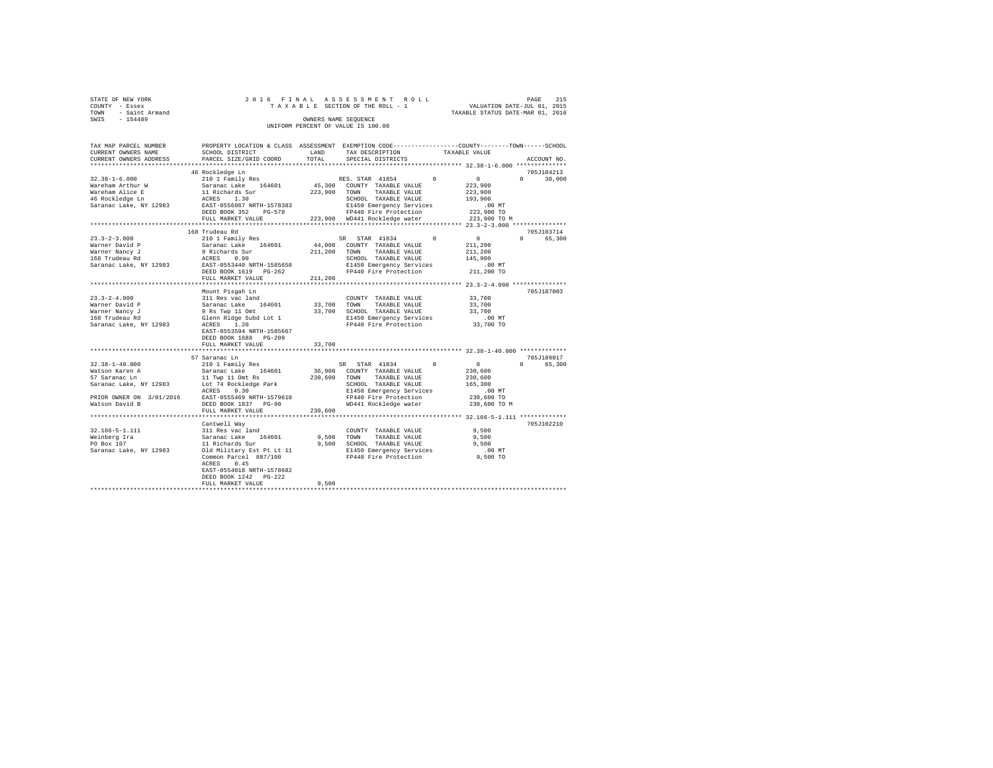| STATE OF NEW YORK      |  | 2016 FINAL ASSESSMENT ROLL         |                                  | PAGE                        | 215 |
|------------------------|--|------------------------------------|----------------------------------|-----------------------------|-----|
| COUNTY - Essex         |  | TAXABLE SECTION OF THE ROLL - 1    |                                  | VALUATION DATE-JUL 01, 2015 |     |
| - Saint Armand<br>TOWN |  |                                    | TAXABLE STATUS DATE-MAR 01, 2016 |                             |     |
| SWIS<br>$-154489$      |  | OWNERS NAME SEOUENCE               |                                  |                             |     |
|                        |  | UNIFORM PERCENT OF VALUE IS 100.00 |                                  |                             |     |

| TAX MAP PARCEL NUMBER<br>CURRENT OWNERS NAME                                                                                                              | SCHOOL DISTRICT                                                                                                                                                                                                            | LAND                          | PROPERTY LOCATION & CLASS ASSESSMENT EXEMPTION CODE---------------COUNTY-------TOWN-----SCHOOL<br>TAX DESCRIPTION                                                                              | TAXABLE VALUE                                                                |                             |
|-----------------------------------------------------------------------------------------------------------------------------------------------------------|----------------------------------------------------------------------------------------------------------------------------------------------------------------------------------------------------------------------------|-------------------------------|------------------------------------------------------------------------------------------------------------------------------------------------------------------------------------------------|------------------------------------------------------------------------------|-----------------------------|
| CURRENT OWNERS ADDRESS                                                                                                                                    | PARCEL SIZE/GRID COORD                                                                                                                                                                                                     | TOTAL                         | SPECIAL DISTRICTS                                                                                                                                                                              |                                                                              | ACCOUNT NO.                 |
|                                                                                                                                                           | 46 Rockledge Ln                                                                                                                                                                                                            |                               |                                                                                                                                                                                                |                                                                              | 705J104213                  |
| $32.38 - 1 - 6.000$<br>Wareham Arthur W<br>Wareham Alice E<br>46 Rockledge Ln<br>Saranac Lake, NY 12983                                                   | 210 1 Family Res<br>Saranac Lake 164601<br>uitenaris - 11<br>11 Richards Sur<br>ACRES 1.30<br>EAST-0556067 NRTH-1578383<br>DEED BOOK 352<br>$PG-578$<br>FULL MARKET VALUE                                                  | 223,900                       | $\Omega$<br>RES. STAR 41854<br>45,300 COUNTY TAXABLE VALUE<br>TOWN TAXABLE VALUE<br>SCHOOL TAXABLE VALUE<br>E1450 Emergency Services<br>FP440 Fire Protection<br>223,900 WD441 Rockledge water | 0<br>223,900<br>223,900<br>193,900<br>$.00$ MT<br>223,900 TO<br>223,900 TO M | $\Omega$<br>30,000          |
|                                                                                                                                                           |                                                                                                                                                                                                                            |                               |                                                                                                                                                                                                |                                                                              |                             |
| $23.3 - 2 - 3.000$<br>Warner David P<br>Warner Nancy J<br>168 Trudeau Rd<br>Saranac Lake, NY 12983 EAST-0553440 NRTH-1585658                              | 168 Trudeau Rd<br>210 1 Family Res<br>Saranac Lake 164601<br>9 Richards Sur<br>ACRES 0.90<br>DEED BOOK 1619 PG-262<br>FULL MARKET VALUE                                                                                    | 211,200<br>211,200            | $\sim$ 0<br>SR STAR 41834<br>44,000 COUNTY TAXABLE VALUE<br>TOWN TAXABLE VALUE<br>SCHOOL TAXABLE VALUE<br>E1450 Emergency Services<br>FP440 Fire Protection                                    | $\sim$ 0<br>211,200<br>211,200<br>145,900<br>.00 MT<br>211,200 TO            | 705J103714<br>0 65,300      |
|                                                                                                                                                           |                                                                                                                                                                                                                            |                               |                                                                                                                                                                                                |                                                                              |                             |
| $23.3 - 2 - 4.000$<br>Warner David P<br>Warner Nancy J<br>168 Trudeau Rd<br>Saranac Lake, NY 12983                                                        | Mount Pisgah Ln<br>311 Res vac land<br>Saranac Lake 164601<br>9 Rs Twp 11 Omt<br>Glenn Ridge Subd Lot 1<br>ACRES 1.20<br>EAST-0553594 NRTH-1585667<br>DEED BOOK 1688 PG-209<br>FULL MARKET VALUE<br>********************** | 33,700<br>******************* | COUNTY TAXABLE VALUE<br>33,700 TOWN<br>TAXABLE VALUE<br>33,700 SCHOOL TAXABLE VALUE<br>E1450 Emergency Services<br>FP440 Fire Protection                                                       | 33,700<br>33,700<br>33,700<br>.00 MT<br>33,700 TO                            | 705J187003                  |
|                                                                                                                                                           | 57 Saranac Ln                                                                                                                                                                                                              |                               |                                                                                                                                                                                                |                                                                              | 705J189017                  |
| $32.38 - 1 - 40.000$<br>Watson Karen A<br>57 Saranac Ln<br>Saranac Lake, NY 12983<br>PRIOR OWNER ON 3/01/2016 EAST-0555469 NRTH-1579610<br>Watson David B | 210 1 Family Res<br>Saranac Lake 164601<br>11 Twp 11 Omt Rs<br>Lot 74 Rockledge Park<br>ACRES 0.30<br>DEED BOOK 1837 PG-90<br>FULL MARKET VALUE                                                                            | 230,600<br>230,600            | SR STAR 41834 0<br>36,900 COUNTY TAXABLE VALUE<br>TOWN TAXABLE VALUE<br>SCHOOL TAXABLE VALUE<br>E1450 Emergency Services<br>FP440 Fire Protection<br>WD441 Rockledge water                     | 0<br>230,600<br>230,600<br>165,300<br>.00 MT<br>230,600 TO<br>230,600 TO M   | $0 \qquad \qquad$<br>65,300 |
|                                                                                                                                                           |                                                                                                                                                                                                                            |                               |                                                                                                                                                                                                |                                                                              |                             |
| 32.166-5-1.111<br>Weinberg Ira<br>PO Box 107<br>Saranac Lake, NY 12983                                                                                    | Cantwell Way<br>XAMELL MAY<br>311 Res vac land<br>Saranac Lake 164601<br>11 Richards Sur<br>Old Military Est Pt Lt 11<br>Common Parcel 887/100<br>0.45<br>ACRES<br>EAST-0554018 NRTH-1578682<br>DEED BOOK 1242 PG-222      |                               | COUNTY TAXABLE VALUE<br>9,500 TOWN<br>TAXABLE VALUE<br>9,500 SCHOOL TAXABLE VALUE<br>E1450 Emergency Services<br>FP440 Fire Protection                                                         | 9,500<br>9,500<br>9.500<br>.00 MT<br>9,500 TO                                | 705J102210                  |
|                                                                                                                                                           | FULL MARKET VALUE                                                                                                                                                                                                          | 9,500                         |                                                                                                                                                                                                |                                                                              |                             |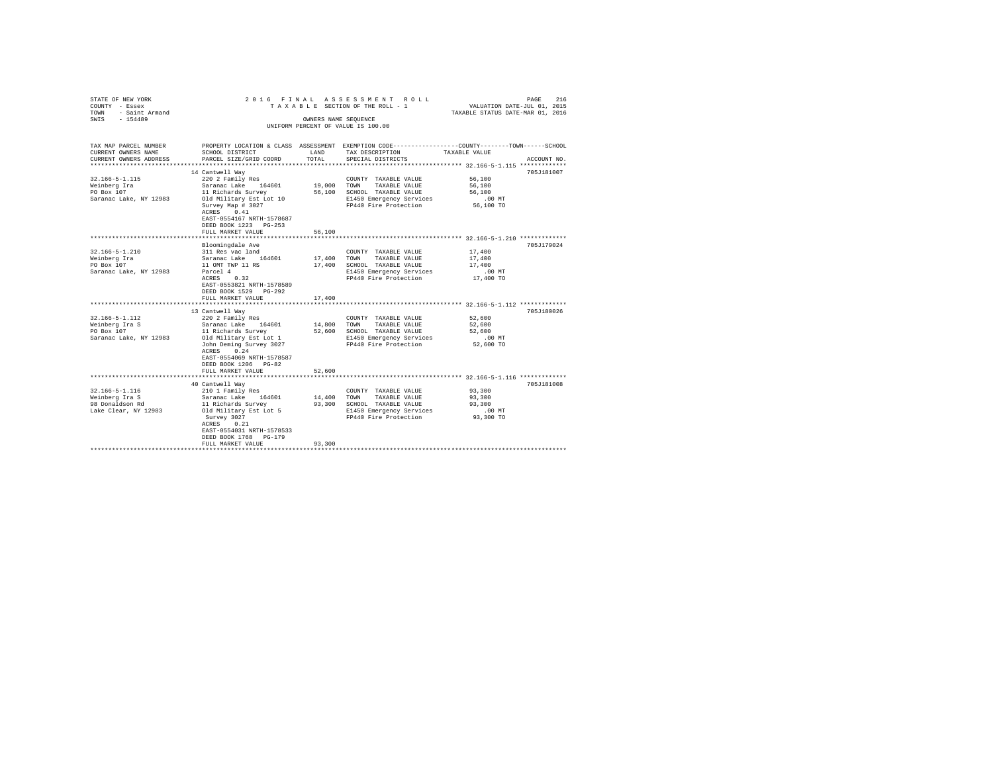| TAX MAP PARCEL NUMBER<br>PROPERTY LOCATION & CLASS ASSESSMENT EXEMPTION CODE---------------COUNTY-------TOWN------SCHOOL<br>CURRENT OWNERS NAME<br>SCHOOL DISTRICT<br><b>T.AND</b><br>TAX DESCRIPTION<br>TAXABLE VALUE<br>TOTAL<br>CURRENT OWNERS ADDRESS<br>PARCEL SIZE/GRID COORD<br>SPECIAL DISTRICTS<br>ACCOUNT NO.<br>************************<br>14 Cantwell Wav<br>705J181007<br>$32.166 - 5 - 1.115$<br>56,100<br>220 2 Family Res<br>COUNTY TAXABLE VALUE<br>19,000 TOWN<br>Weinberg Ira<br>Saranac Lake 164601<br>TAXABLE VALUE<br>56,100<br>PO Box 107<br>11 Richards Survey<br>56,100<br>56,100<br>SCHOOL TAXABLE VALUE<br>Saranac Lake, NY 12983<br>Old Military Est Lot 10<br>E1450 Emergency Services<br>$.00$ MT<br>Survey Map # 3027<br>FP440 Fire Protection<br>56,100 TO<br>ACRES 0.41<br>EAST-0554167 NRTH-1578687<br>DEED BOOK 1223 PG-253<br>56,100<br>FULL MARKET VALUE<br>************************<br>Bloomingdale Ave<br>705J179024<br>$32.166 - 5 - 1.210$<br>311 Res vac land<br>17,400<br>COUNTY TAXABLE VALUE<br>Weinberg Ira<br>Saranac Lake 164601<br>17,400<br>TOWN<br>TAXABLE VALUE<br>17,400<br>PO Box 107<br>11 OMT TWP 11 RS<br>17,400<br>SCHOOL TAXABLE VALUE<br>17,400<br>Saranac Lake, NY 12983<br>$.00$ MT<br>Parcel 4<br>E1450 Emergency Services<br>ACRES 0.32<br>FP440 Fire Protection<br>17,400 TO<br>EAST-0553821 NRTH-1578589<br>DEED BOOK 1529 PG-292<br>FULL MARKET VALUE<br>17,400<br>13 Cantwell Way<br>705J180026<br>$32.166 - 5 - 1.112$<br>220 2 Family Res<br>52,600<br>COUNTY TAXABLE VALUE<br>Weinberg Ira S<br>Saranac Lake<br>14,800<br>52,600<br>164601<br>TOWN<br>TAXABLE VALUE<br>PO Box 107<br>52,600<br>52,600<br>11 Richards Survey<br>SCHOOL TAXABLE VALUE<br>Saranac Lake, NY 12983<br>Old Military Est Lot 1<br>E1450 Emergency Services<br>$.00$ MT<br>John Deming Survey 3027<br>FP440 Fire Protection<br>52,600 TO<br>ACRES 0.24<br>EAST-0554069 NRTH-1578587<br>DEED BOOK 1206 PG-82<br>FULL MARKET VALUE<br>52,600<br>**********<br>40 Cantwell Wav<br>705J181008<br>$32.166 - 5 - 1.116$<br>93,300<br>210 1 Family Res<br>COUNTY TAXABLE VALUE<br>Weinberg Ira S<br>Saranac Lake<br>14,400<br>93,300<br>164601<br>TOWN<br>TAXABLE VALUE<br>98 Donaldson Rd<br>11 Richards Survey<br>93,300<br>93,300<br>SCHOOL TAXABLE VALUE<br>Lake Clear, NY 12983<br>Old Military Est Lot 5<br>E1450 Emergency Services<br>$.00$ MT<br>FP440 Fire Protection<br>Survey 3027<br>93,300 TO<br>ACRES 0.21<br>EAST-0554031 NRTH-1578533<br>DEED BOOK 1768 PG-179<br>93,300<br>FULL MARKET VALUE | STATE OF NEW YORK<br>COUNTY - Essex<br>- Saint Armand<br>TOWN<br>SWTS<br>$-154489$ | OWNERS NAME SEOUENCE | 2016 FINAL ASSESSMENT ROLL<br>TAXABLE SECTION OF THE ROLL - 1<br>UNIFORM PERCENT OF VALUE IS 100.00 | VALUATION DATE-JUL 01, 2015<br>TAXABLE STATUS DATE-MAR 01, 2016 | 216<br>PAGE |
|---------------------------------------------------------------------------------------------------------------------------------------------------------------------------------------------------------------------------------------------------------------------------------------------------------------------------------------------------------------------------------------------------------------------------------------------------------------------------------------------------------------------------------------------------------------------------------------------------------------------------------------------------------------------------------------------------------------------------------------------------------------------------------------------------------------------------------------------------------------------------------------------------------------------------------------------------------------------------------------------------------------------------------------------------------------------------------------------------------------------------------------------------------------------------------------------------------------------------------------------------------------------------------------------------------------------------------------------------------------------------------------------------------------------------------------------------------------------------------------------------------------------------------------------------------------------------------------------------------------------------------------------------------------------------------------------------------------------------------------------------------------------------------------------------------------------------------------------------------------------------------------------------------------------------------------------------------------------------------------------------------------------------------------------------------------------------------------------------------------------------------------------------------------------------------------------------------------------------------------------------------------------------------------------------------------------------------------------------------------------------------------------------------------------------------------------------------------------------------------------------------------------------------------------------------|------------------------------------------------------------------------------------|----------------------|-----------------------------------------------------------------------------------------------------|-----------------------------------------------------------------|-------------|
|                                                                                                                                                                                                                                                                                                                                                                                                                                                                                                                                                                                                                                                                                                                                                                                                                                                                                                                                                                                                                                                                                                                                                                                                                                                                                                                                                                                                                                                                                                                                                                                                                                                                                                                                                                                                                                                                                                                                                                                                                                                                                                                                                                                                                                                                                                                                                                                                                                                                                                                                                         |                                                                                    |                      |                                                                                                     |                                                                 |             |
|                                                                                                                                                                                                                                                                                                                                                                                                                                                                                                                                                                                                                                                                                                                                                                                                                                                                                                                                                                                                                                                                                                                                                                                                                                                                                                                                                                                                                                                                                                                                                                                                                                                                                                                                                                                                                                                                                                                                                                                                                                                                                                                                                                                                                                                                                                                                                                                                                                                                                                                                                         |                                                                                    |                      |                                                                                                     |                                                                 |             |
|                                                                                                                                                                                                                                                                                                                                                                                                                                                                                                                                                                                                                                                                                                                                                                                                                                                                                                                                                                                                                                                                                                                                                                                                                                                                                                                                                                                                                                                                                                                                                                                                                                                                                                                                                                                                                                                                                                                                                                                                                                                                                                                                                                                                                                                                                                                                                                                                                                                                                                                                                         |                                                                                    |                      |                                                                                                     |                                                                 |             |
|                                                                                                                                                                                                                                                                                                                                                                                                                                                                                                                                                                                                                                                                                                                                                                                                                                                                                                                                                                                                                                                                                                                                                                                                                                                                                                                                                                                                                                                                                                                                                                                                                                                                                                                                                                                                                                                                                                                                                                                                                                                                                                                                                                                                                                                                                                                                                                                                                                                                                                                                                         |                                                                                    |                      |                                                                                                     |                                                                 |             |
|                                                                                                                                                                                                                                                                                                                                                                                                                                                                                                                                                                                                                                                                                                                                                                                                                                                                                                                                                                                                                                                                                                                                                                                                                                                                                                                                                                                                                                                                                                                                                                                                                                                                                                                                                                                                                                                                                                                                                                                                                                                                                                                                                                                                                                                                                                                                                                                                                                                                                                                                                         |                                                                                    |                      |                                                                                                     |                                                                 |             |
|                                                                                                                                                                                                                                                                                                                                                                                                                                                                                                                                                                                                                                                                                                                                                                                                                                                                                                                                                                                                                                                                                                                                                                                                                                                                                                                                                                                                                                                                                                                                                                                                                                                                                                                                                                                                                                                                                                                                                                                                                                                                                                                                                                                                                                                                                                                                                                                                                                                                                                                                                         |                                                                                    |                      |                                                                                                     |                                                                 |             |
|                                                                                                                                                                                                                                                                                                                                                                                                                                                                                                                                                                                                                                                                                                                                                                                                                                                                                                                                                                                                                                                                                                                                                                                                                                                                                                                                                                                                                                                                                                                                                                                                                                                                                                                                                                                                                                                                                                                                                                                                                                                                                                                                                                                                                                                                                                                                                                                                                                                                                                                                                         |                                                                                    |                      |                                                                                                     |                                                                 |             |
|                                                                                                                                                                                                                                                                                                                                                                                                                                                                                                                                                                                                                                                                                                                                                                                                                                                                                                                                                                                                                                                                                                                                                                                                                                                                                                                                                                                                                                                                                                                                                                                                                                                                                                                                                                                                                                                                                                                                                                                                                                                                                                                                                                                                                                                                                                                                                                                                                                                                                                                                                         |                                                                                    |                      |                                                                                                     |                                                                 |             |
|                                                                                                                                                                                                                                                                                                                                                                                                                                                                                                                                                                                                                                                                                                                                                                                                                                                                                                                                                                                                                                                                                                                                                                                                                                                                                                                                                                                                                                                                                                                                                                                                                                                                                                                                                                                                                                                                                                                                                                                                                                                                                                                                                                                                                                                                                                                                                                                                                                                                                                                                                         |                                                                                    |                      |                                                                                                     |                                                                 |             |
|                                                                                                                                                                                                                                                                                                                                                                                                                                                                                                                                                                                                                                                                                                                                                                                                                                                                                                                                                                                                                                                                                                                                                                                                                                                                                                                                                                                                                                                                                                                                                                                                                                                                                                                                                                                                                                                                                                                                                                                                                                                                                                                                                                                                                                                                                                                                                                                                                                                                                                                                                         |                                                                                    |                      |                                                                                                     |                                                                 |             |
|                                                                                                                                                                                                                                                                                                                                                                                                                                                                                                                                                                                                                                                                                                                                                                                                                                                                                                                                                                                                                                                                                                                                                                                                                                                                                                                                                                                                                                                                                                                                                                                                                                                                                                                                                                                                                                                                                                                                                                                                                                                                                                                                                                                                                                                                                                                                                                                                                                                                                                                                                         |                                                                                    |                      |                                                                                                     |                                                                 |             |
|                                                                                                                                                                                                                                                                                                                                                                                                                                                                                                                                                                                                                                                                                                                                                                                                                                                                                                                                                                                                                                                                                                                                                                                                                                                                                                                                                                                                                                                                                                                                                                                                                                                                                                                                                                                                                                                                                                                                                                                                                                                                                                                                                                                                                                                                                                                                                                                                                                                                                                                                                         |                                                                                    |                      |                                                                                                     |                                                                 |             |
|                                                                                                                                                                                                                                                                                                                                                                                                                                                                                                                                                                                                                                                                                                                                                                                                                                                                                                                                                                                                                                                                                                                                                                                                                                                                                                                                                                                                                                                                                                                                                                                                                                                                                                                                                                                                                                                                                                                                                                                                                                                                                                                                                                                                                                                                                                                                                                                                                                                                                                                                                         |                                                                                    |                      |                                                                                                     |                                                                 |             |
|                                                                                                                                                                                                                                                                                                                                                                                                                                                                                                                                                                                                                                                                                                                                                                                                                                                                                                                                                                                                                                                                                                                                                                                                                                                                                                                                                                                                                                                                                                                                                                                                                                                                                                                                                                                                                                                                                                                                                                                                                                                                                                                                                                                                                                                                                                                                                                                                                                                                                                                                                         |                                                                                    |                      |                                                                                                     |                                                                 |             |
|                                                                                                                                                                                                                                                                                                                                                                                                                                                                                                                                                                                                                                                                                                                                                                                                                                                                                                                                                                                                                                                                                                                                                                                                                                                                                                                                                                                                                                                                                                                                                                                                                                                                                                                                                                                                                                                                                                                                                                                                                                                                                                                                                                                                                                                                                                                                                                                                                                                                                                                                                         |                                                                                    |                      |                                                                                                     |                                                                 |             |
|                                                                                                                                                                                                                                                                                                                                                                                                                                                                                                                                                                                                                                                                                                                                                                                                                                                                                                                                                                                                                                                                                                                                                                                                                                                                                                                                                                                                                                                                                                                                                                                                                                                                                                                                                                                                                                                                                                                                                                                                                                                                                                                                                                                                                                                                                                                                                                                                                                                                                                                                                         |                                                                                    |                      |                                                                                                     |                                                                 |             |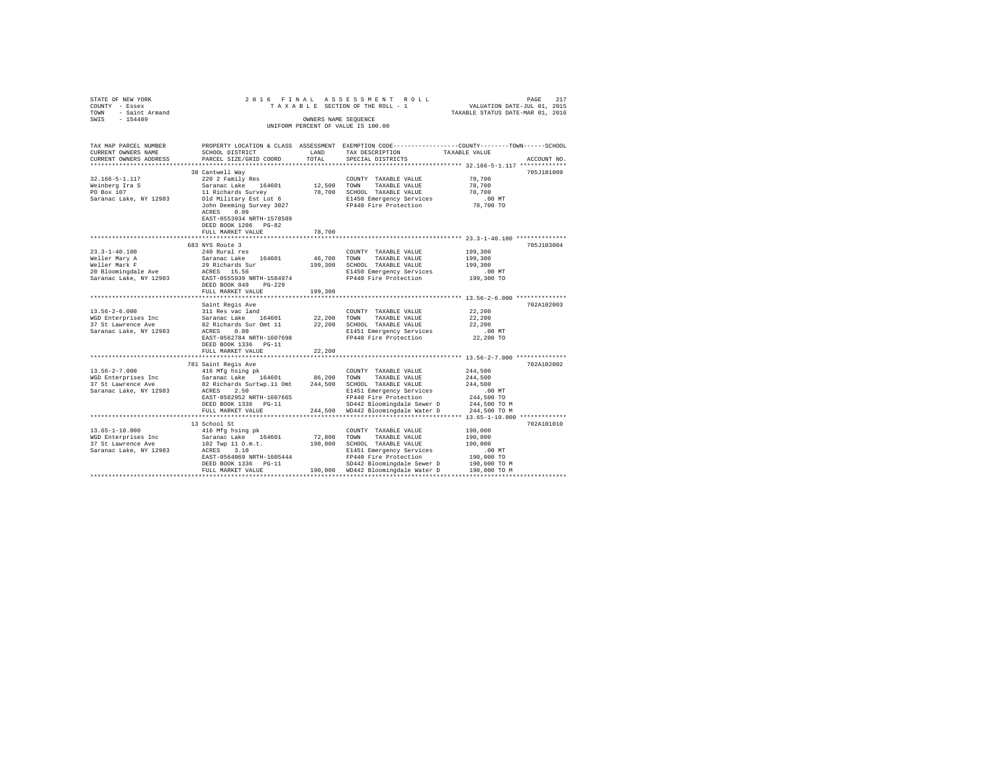| STATE OF NEW YORK<br>COUNTY - Essex<br>TOWN - Saint Armand<br>SWIS - 154489 |                                                                                                                                                                                                                                                                                      | OWNERS NAME SEQUENCE   | 2016 FINAL ASSESSMENT ROLL<br>UNIFORM PERCENT OF VALUE IS 100.00 |                                                                                                                |
|-----------------------------------------------------------------------------|--------------------------------------------------------------------------------------------------------------------------------------------------------------------------------------------------------------------------------------------------------------------------------------|------------------------|------------------------------------------------------------------|----------------------------------------------------------------------------------------------------------------|
| TAX MAP PARCEL NUMBER<br>CURRENT OWNERS NAME<br>CURRENT OWNERS ADDRESS      | SCHOOL DISTRICT<br>PARCEL SIZE/GRID COORD                                                                                                                                                                                                                                            | LAND<br>TOTAL          | TAX DESCRIPTION TAXABLE VALUE<br>SPECIAL DISTRICTS               | PROPERTY LOCATION & CLASS ASSESSMENT EXEMPTION CODE---------------COUNTY-------TOWN------SCHOOL<br>ACCOUNT NO. |
|                                                                             | 38 Cantwell Way                                                                                                                                                                                                                                                                      |                        |                                                                  | 705J181009                                                                                                     |
| 32.166-5-1.117                                                              | 220 2 Family Res                                                                                                                                                                                                                                                                     |                        | COUNTY TAXABLE VALUE                                             | 78,700<br>78,700                                                                                               |
| Weinberg Ira S<br>PO Box 107                                                | Saranac Lake 164601 12,500 TOWN TAXABLE VALUE                                                                                                                                                                                                                                        |                        |                                                                  |                                                                                                                |
|                                                                             |                                                                                                                                                                                                                                                                                      |                        |                                                                  |                                                                                                                |
| Saranac Lake, NY 12983                                                      | Sarance Later 19901<br>11 Richards Survey 78,700 SCHOOL TAXABLE VALUE 78,700<br>10 Military Est Lot 6 81450 Emergency Services .00 MT<br>30 John Deming Survey 3027 PP440 Fire Protection 78,700 TO<br>179,700 TO<br>ACRES 0.09<br>EAST-0553934 NRTH-1578589<br>DEED BOOK 1206 PG-82 |                        |                                                                  |                                                                                                                |
|                                                                             | FULL MARKET VALUE                                                                                                                                                                                                                                                                    | 78,700                 |                                                                  |                                                                                                                |
|                                                                             |                                                                                                                                                                                                                                                                                      |                        |                                                                  |                                                                                                                |
|                                                                             | 683 NYS Route 3                                                                                                                                                                                                                                                                      |                        |                                                                  | 705J103004                                                                                                     |
| $23.3 - 1 - 40.100$                                                         | 240 Rural res                                                                                                                                                                                                                                                                        |                        | COUNTY TAXABLE VALUE                                             | 199,300                                                                                                        |
|                                                                             |                                                                                                                                                                                                                                                                                      |                        |                                                                  | 199,300<br>199,300                                                                                             |
|                                                                             |                                                                                                                                                                                                                                                                                      |                        |                                                                  | .00 MT                                                                                                         |
|                                                                             |                                                                                                                                                                                                                                                                                      |                        |                                                                  | 199,300 TO                                                                                                     |
|                                                                             | DEED BOOK 849 PG-229<br>FULL MARKET VALUE                                                                                                                                                                                                                                            | 199,300                |                                                                  |                                                                                                                |
|                                                                             |                                                                                                                                                                                                                                                                                      |                        |                                                                  | ************************** 13.56-2-6.000 **************                                                        |
|                                                                             | Saint Regis Ave                                                                                                                                                                                                                                                                      |                        |                                                                  | 702A102003                                                                                                     |
|                                                                             |                                                                                                                                                                                                                                                                                      |                        |                                                                  | 22,200                                                                                                         |
|                                                                             |                                                                                                                                                                                                                                                                                      |                        |                                                                  | 22,200                                                                                                         |
|                                                                             |                                                                                                                                                                                                                                                                                      |                        |                                                                  | 22,200                                                                                                         |
|                                                                             |                                                                                                                                                                                                                                                                                      |                        |                                                                  | $.00$ MT                                                                                                       |
|                                                                             |                                                                                                                                                                                                                                                                                      |                        |                                                                  | 22,200 TO                                                                                                      |
|                                                                             |                                                                                                                                                                                                                                                                                      |                        |                                                                  |                                                                                                                |
|                                                                             | FULL MARKET VALUE                                                                                                                                                                                                                                                                    | 22,200<br>************ |                                                                  | **************************** 13.56-2-7.000 **************                                                      |
|                                                                             | 781 Saint Regis Ave                                                                                                                                                                                                                                                                  |                        |                                                                  | 702A102002                                                                                                     |
| $13.56 - 2 - 7.000$                                                         | 416 Mfg hsing pk                                                                                                                                                                                                                                                                     |                        | COUNTY TAXABLE VALUE                                             | 244,500                                                                                                        |
|                                                                             |                                                                                                                                                                                                                                                                                      |                        |                                                                  | 244,500                                                                                                        |
|                                                                             |                                                                                                                                                                                                                                                                                      |                        |                                                                  | 244,500                                                                                                        |
|                                                                             |                                                                                                                                                                                                                                                                                      |                        |                                                                  |                                                                                                                |
|                                                                             |                                                                                                                                                                                                                                                                                      |                        |                                                                  |                                                                                                                |
|                                                                             |                                                                                                                                                                                                                                                                                      |                        |                                                                  |                                                                                                                |
|                                                                             |                                                                                                                                                                                                                                                                                      |                        |                                                                  |                                                                                                                |
|                                                                             |                                                                                                                                                                                                                                                                                      |                        |                                                                  |                                                                                                                |
|                                                                             | 13 School St                                                                                                                                                                                                                                                                         |                        |                                                                  | 702A101010                                                                                                     |
|                                                                             |                                                                                                                                                                                                                                                                                      |                        |                                                                  |                                                                                                                |
|                                                                             |                                                                                                                                                                                                                                                                                      |                        |                                                                  |                                                                                                                |
|                                                                             |                                                                                                                                                                                                                                                                                      |                        |                                                                  |                                                                                                                |
|                                                                             |                                                                                                                                                                                                                                                                                      |                        |                                                                  |                                                                                                                |
|                                                                             |                                                                                                                                                                                                                                                                                      |                        |                                                                  |                                                                                                                |
|                                                                             |                                                                                                                                                                                                                                                                                      |                        |                                                                  |                                                                                                                |
|                                                                             |                                                                                                                                                                                                                                                                                      |                        |                                                                  |                                                                                                                |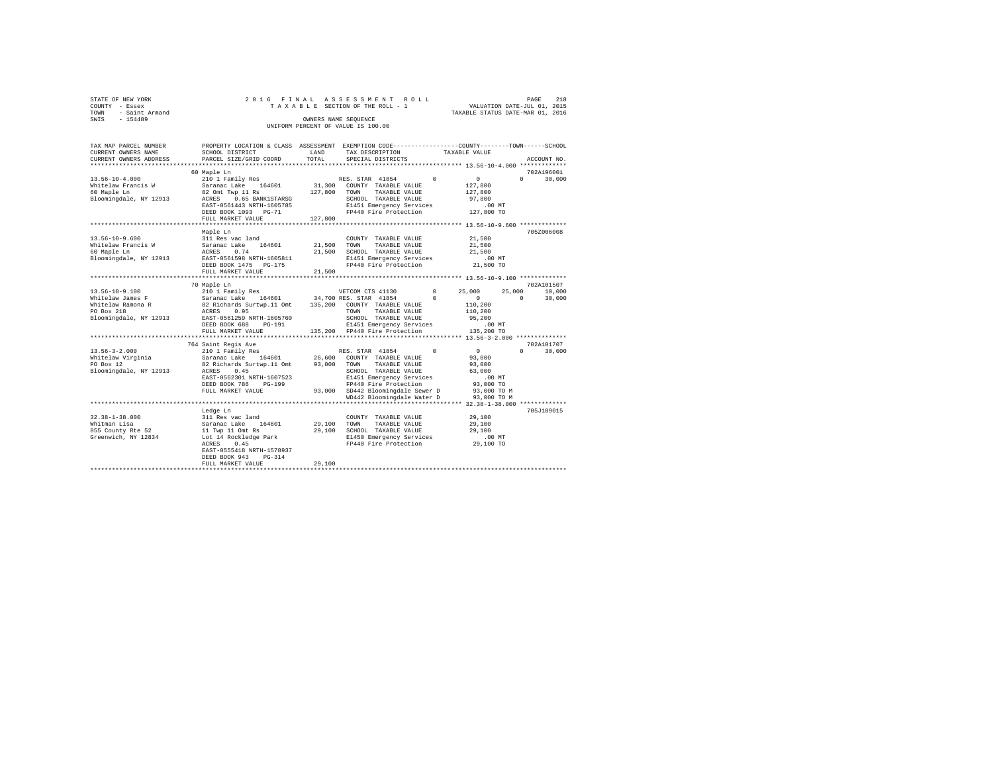|                | STATE OF NEW YORK | 2016 FINAL ASSESSMENT ROLL |  |  |  |                                    |  |  |  |  |  | 218<br>PAGE                      |
|----------------|-------------------|----------------------------|--|--|--|------------------------------------|--|--|--|--|--|----------------------------------|
| COUNTY - Essex |                   |                            |  |  |  | TAXABLE SECTION OF THE ROLL - 1    |  |  |  |  |  | VALUATION DATE-JUL 01, 2015      |
| TOWN           | - Saint Armand    |                            |  |  |  |                                    |  |  |  |  |  | TAXABLE STATUS DATE-MAR 01, 2016 |
| SWIS           | $-154489$         |                            |  |  |  | OWNERS NAME SEOUENCE               |  |  |  |  |  |                                  |
|                |                   |                            |  |  |  | UNIFORM PERCENT OF VALUE IS 100.00 |  |  |  |  |  |                                  |

| TAX MAP PARCEL NUMBER<br>CURRENT OWNERS NAME<br>CURRENT OWNERS ADDRESS                                | PROPERTY LOCATION & CLASS ASSESSMENT EXEMPTION CODE---------------COUNTY-------TOWN-----SCHOOL<br>SCHOOL DISTRICT<br>PARCEL SIZE/GRID COORD                                                      | LAND<br>TOTAL              | TAX DESCRIPTION<br>SPECIAL DISTRICTS                                                                                                                                                                             |                        | TAXABLE VALUE                                                                          | ACCOUNT NO.                                |
|-------------------------------------------------------------------------------------------------------|--------------------------------------------------------------------------------------------------------------------------------------------------------------------------------------------------|----------------------------|------------------------------------------------------------------------------------------------------------------------------------------------------------------------------------------------------------------|------------------------|----------------------------------------------------------------------------------------|--------------------------------------------|
| ***********************                                                                               |                                                                                                                                                                                                  |                            |                                                                                                                                                                                                                  |                        |                                                                                        |                                            |
|                                                                                                       | 60 Maple Ln                                                                                                                                                                                      |                            |                                                                                                                                                                                                                  |                        |                                                                                        | 702A196001                                 |
| $13.56 - 10 - 4.000$<br>Whitelaw Francis W<br>60 Maple Ln<br>Bloomingdale, NY 12913                   | 210 1 Family Res<br>Saranac Lake 164601<br>82 Omt Twp 11 Rs<br>ACRES 0.65 BANK1STARSG<br>EAST-0561443 NRTH-1605785<br>DEED BOOK 1093 PG-71                                                       | 127,800                    | RES. STAR 41854<br>31,300 COUNTY TAXABLE VALUE<br>TOWN<br>TAXABLE VALUE<br>SCHOOL TAXABLE VALUE<br>E1451 Emergency Services<br>FP440 Fire Protection                                                             | $^{\circ}$             | $\sim$ 0<br>127,800<br>127,800<br>97,800<br>$.00$ MT<br>127,800 TO                     | $\Omega$<br>30,000                         |
|                                                                                                       | FULL MARKET VALUE<br>*********************************                                                                                                                                           | 127,800                    |                                                                                                                                                                                                                  |                        |                                                                                        |                                            |
| $13.56 - 10 - 9.600$<br>Whitelaw Francis W<br>60 Maple Ln<br>Bloomingdale, NY 12913                   | Maple Ln<br>311 Res vac land<br>Saranac Lake<br>164601<br>ACRES<br>0.74<br>EAST-0561598 NRTH-1605811<br>DEED BOOK 1475 PG-175<br>FULL MARKET VALUE                                               | 21,500<br>21,500<br>21,500 | COUNTY TAXABLE VALUE<br>TOWN<br>TAXABLE VALUE<br>SCHOOL TAXABLE VALUE<br>E1451 Emergency Services<br>FP440 Fire Protection                                                                                       |                        | 21,500<br>21,500<br>21,500<br>.00MT<br>21,500 TO                                       | 705Z006008                                 |
|                                                                                                       | ***********************************                                                                                                                                                              |                            |                                                                                                                                                                                                                  |                        |                                                                                        |                                            |
| $13.56 - 10 - 9.100$<br>Whitelaw James F<br>Whitelaw Ramona R<br>PO Box 218<br>Bloomingdale, NY 12913 | 70 Maple Ln<br>210 1 Family Res<br>Saranac Lake 164601<br>82 Richards Surtwp.11 Omt<br>164601<br>ACRES<br>0.95<br>EAST-0561259 NRTH-1605760<br>DEED BOOK 688<br>$PG-191$<br>FULL MARKET VALUE    | 135,200                    | VETCOM CTS 41130<br>34,700 RES. STAR 41854<br>COUNTY TAXABLE VALUE<br>TOWN<br>TAXABLE VALUE<br>SCHOOL TAXABLE VALUE<br>E1451 Emergency Services<br>135,200 FP440 Fire Protection                                 | $^{\circ}$<br>$\Omega$ | 25,000<br>25,000<br>$\sim$ 0<br>110,200<br>110,200<br>95,200<br>.00 MT<br>135,200 TO   | 702A101507<br>10,000<br>$\Omega$<br>30,000 |
|                                                                                                       |                                                                                                                                                                                                  |                            |                                                                                                                                                                                                                  |                        |                                                                                        |                                            |
| $13.56 - 3 - 2.000$<br>Whitelaw Virginia<br>PO Box 12<br>Bloomingdale, NY 12913                       | 764 Saint Regis Ave<br>210 1 Family Res<br>Saranac Lake 164601<br>82 Richards Surtwp.11 Omt<br>ACRES<br>0.45<br>EAST-0562301 NRTH-1607523<br>DEED BOOK 786<br>$PG-199$<br>FULL MARKET VALUE      | 26,600<br>93,000           | RES. STAR 41854<br>COUNTY TAXABLE VALUE<br>TOWN<br>TAXABLE VALUE<br>SCHOOL TAXABLE VALUE<br>E1451 Emergency Services<br>FP440 Fire Protection<br>93,000 SD442 Bloomingdale Sewer D<br>WD442 Bloomingdale Water D | $\Omega$               | 0<br>93,000<br>93,000<br>63,000<br>$.00$ MT<br>93,000 TO<br>93,000 TO M<br>93,000 TO M | 702A101707<br>$\Omega$<br>30,000           |
|                                                                                                       |                                                                                                                                                                                                  |                            | ************************************* 32.38-1-38.000 ***********                                                                                                                                                 |                        |                                                                                        |                                            |
| $32.38 - 1 - 38.000$<br>Whitman Lisa<br>855 County Rte 52<br>Greenwich, NY 12834                      | Ledge Ln<br>311 Res vac land<br>Saranac Lake 164601<br>11 Twp 11 Omt Rs<br>Lot 14 Rockledge Park<br>ACRES<br>0.45<br>EAST-0555418 NRTH-1578937<br>DEED BOOK 943<br>$PG-314$<br>FULL MARKET VALUE | 29,100<br>29,100<br>29,100 | COUNTY TAXABLE VALUE<br>TOWN<br>TAXABLE VALUE<br>SCHOOL TAXABLE VALUE<br>E1450 Emergency Services<br>FP440 Fire Protection                                                                                       |                        | 29,100<br>29,100<br>29,100<br>$.00$ MT<br>29,100 TO                                    | 705J189015                                 |
|                                                                                                       |                                                                                                                                                                                                  |                            |                                                                                                                                                                                                                  |                        |                                                                                        |                                            |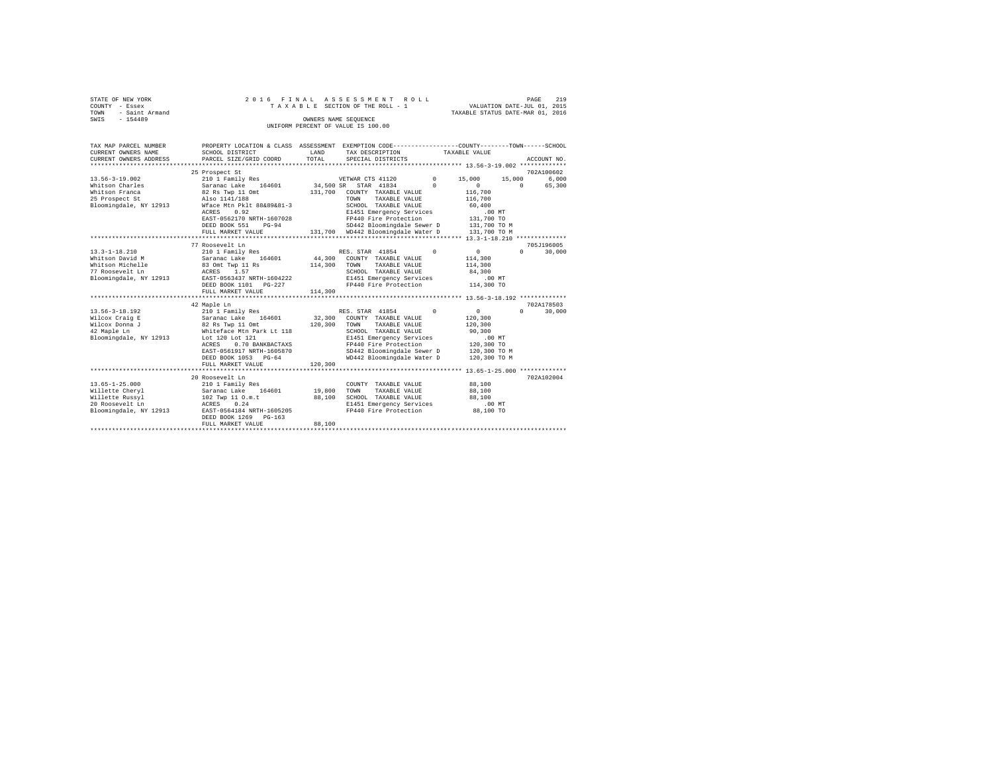| STATE OF NEW YORK   |  |  |  |  | 2016 FINAL ASSESSMENT ROLL         |                                  | PAGE                        | 219 |
|---------------------|--|--|--|--|------------------------------------|----------------------------------|-----------------------------|-----|
| COUNTY - Essex      |  |  |  |  | TAXABLE SECTION OF THE ROLL - 1    |                                  | VALUATION DATE-JUL 01, 2015 |     |
| TOWN - Saint Armand |  |  |  |  |                                    | TAXABLE STATUS DATE-MAR 01, 2016 |                             |     |
| SWIS<br>$-154489$   |  |  |  |  | OWNERS NAME SEOUENCE               |                                  |                             |     |
|                     |  |  |  |  | UNIFORM PERCENT OF VALUE IS 100.00 |                                  |                             |     |

| TAX MAP PARCEL NUMBER                            | PROPERTY LOCATION & CLASS ASSESSMENT EXEMPTION CODE---------------COUNTY-------TOWN------SCHOOL                                                                                             |         |                                                                     |          |                 |                   |             |
|--------------------------------------------------|---------------------------------------------------------------------------------------------------------------------------------------------------------------------------------------------|---------|---------------------------------------------------------------------|----------|-----------------|-------------------|-------------|
| CURRENT OWNERS NAME                              | SCHOOL DISTRICT                                                                                                                                                                             | LAND    | TAX DESCRIPTION TAXABLE VALUE                                       |          |                 |                   |             |
| CURRENT OWNERS ADDRESS                           | PARCEL SIZE/GRID COORD                                                                                                                                                                      | TOTAL   | SPECIAL DISTRICTS                                                   |          |                 |                   | ACCOUNT NO. |
|                                                  |                                                                                                                                                                                             |         |                                                                     |          |                 |                   |             |
|                                                  | 25 Prospect St                                                                                                                                                                              |         |                                                                     |          |                 |                   | 702A100602  |
| $13.56 - 3 - 19.002$                             | 210 1 Family Res                                                                                                                                                                            |         | VETWAR CTS 41120 0 15,000 15,000                                    |          |                 |                   | 6,000       |
| Whitson Charles                                  |                                                                                                                                                                                             |         |                                                                     |          | $\sim$ 0        |                   | 0 65,300    |
| Whitson Franca                                   | Saranac Lake 164601 34,500 SR STAR 41834 0<br>82 Rs Twp 11 Omt 131,700 COUNTY TAXABLE VALUE                                                                                                 |         |                                                                     |          | 116,700         |                   |             |
| 25 Prospect St Also 1141/188                     |                                                                                                                                                                                             |         | TAXABLE VALUE<br>TOWN                                               |          | 116,700         |                   |             |
| Bloomingdale, NY 12913 Wface Mtn Pklt 88&89&81-3 |                                                                                                                                                                                             |         | SCHOOL TAXABLE VALUE<br>E1451 Emergency Services                    |          | 60,400          |                   |             |
|                                                  | ACRES 0.92                                                                                                                                                                                  |         |                                                                     |          | .00MT           |                   |             |
|                                                  | EAST-0562170 NRTH-1607028                                                                                                                                                                   |         | FP440 Fire Protection 131,700 TO                                    |          |                 |                   |             |
|                                                  | DEED BOOK 551<br>$PG-94$                                                                                                                                                                    |         | SD442 Bloomingdale Sewer D 131,700 TO M                             |          |                 |                   |             |
|                                                  | FULL MARKET VALUE                                                                                                                                                                           |         | 131,700 WD442 Bloomingdale Water D 131,700 TO M                     |          |                 |                   |             |
|                                                  |                                                                                                                                                                                             |         |                                                                     |          |                 |                   |             |
|                                                  | 77 Roosevelt Ln                                                                                                                                                                             |         |                                                                     |          |                 |                   | 705J196005  |
| $13.3 - 1 - 18.210$                              |                                                                                                                                                                                             |         |                                                                     | $\Omega$ | $\sim$ 0 $\sim$ | $0 \qquad \qquad$ | 30,000      |
| Whitson David M                                  |                                                                                                                                                                                             |         |                                                                     |          | 114,300         |                   |             |
| Whitson Michelle                                 |                                                                                                                                                                                             |         | TAXABLE VALUE                                                       |          | 114,300         |                   |             |
| 77 Roosevelt Ln                                  | ACRES 1.57<br>EAST-0563437 NRTH-1604222                                                                                                                                                     |         | SCHOOL TAXABLE VALUE                                                |          | 84,300          |                   |             |
| Bloomingdale, NY 12913                           |                                                                                                                                                                                             |         | E1451 Emergency Services                                            |          | .00MT           |                   |             |
|                                                  | DEED BOOK 1101 PG-227                                                                                                                                                                       |         | FP440 Fire Protection                                               |          | 114,300 TO      |                   |             |
|                                                  | FULL MARKET VALUE                                                                                                                                                                           | 114,300 |                                                                     |          |                 |                   |             |
|                                                  |                                                                                                                                                                                             |         |                                                                     |          |                 |                   |             |
|                                                  | 42 Maple Ln                                                                                                                                                                                 |         |                                                                     |          |                 |                   | 702A178503  |
| 13.56-3-18.192                                   |                                                                                                                                                                                             |         | RES. STAR 41854 0                                                   |          | $\sim$ 0        | $0 \qquad \qquad$ | 30,000      |
| Wilcox Craig E                                   |                                                                                                                                                                                             |         |                                                                     |          | 120,300         |                   |             |
| Wilcox Donna J                                   |                                                                                                                                                                                             |         |                                                                     |          | 120,300         |                   |             |
| 42 Maple Ln                                      | 2 210 1 Family Res RES. STAR 41854<br>E Saranac Lake 164601 32,300 COUNTY TAXABLE VALUE<br>32 B2 Rs Twp 11 Omt 120,300 TOWN TAXABLE VALUE<br>Whiteface Mtn Park Lt 118 SCHOOL TAXABLE VALUE |         | SCHOOL TAXABLE VALUE                                                |          | 90,300          |                   |             |
| Bloomingdale, NY 12913 Lot 120 Lot 121           |                                                                                                                                                                                             |         | E1451 Emergency Services<br>FP440 Fire Brotcoti''                   |          | $.00$ MT        |                   |             |
|                                                  | 0.70 BANKBACTAXS<br>ACRES                                                                                                                                                                   |         |                                                                     |          | 120,300,70      |                   |             |
|                                                  | EAST-0561917 NRTH-1605870                                                                                                                                                                   |         | SD442 Bloomingdale Sewer D 120,300 TO M                             |          |                 |                   |             |
|                                                  | DEED BOOK 1053 PG-64                                                                                                                                                                        |         | WD442 Bloomingdale Water D 120,300 TO M                             |          |                 |                   |             |
|                                                  | FULL MARKET VALUE                                                                                                                                                                           | 120,300 |                                                                     |          |                 |                   |             |
|                                                  |                                                                                                                                                                                             |         |                                                                     |          |                 |                   |             |
|                                                  | 20 Roosevelt Ln                                                                                                                                                                             |         |                                                                     |          |                 |                   | 702A102004  |
| $13.65 - 1 - 25.000$                             |                                                                                                                                                                                             |         | COUNTY TAXABLE VALUE                                                |          | 88,100          |                   |             |
| Willette Cheryl                                  |                                                                                                                                                                                             |         |                                                                     |          | 88,100          |                   |             |
| Willette Russyl                                  |                                                                                                                                                                                             |         | SCHOOL TAXABLE VALUE 88.100                                         |          |                 |                   |             |
| 20 Roosevelt Ln                                  |                                                                                                                                                                                             |         |                                                                     |          |                 |                   |             |
| Bloomingdale, NY 12913                           | ACRES 0.24<br>12913 EAST-0564184 NRTH-1605205                                                                                                                                               |         | E1451 Emergency Services .00 MT<br>FP440 Fire Protection  88,100 TO |          |                 |                   |             |
|                                                  | DEED BOOK 1269 PG-163                                                                                                                                                                       |         |                                                                     |          |                 |                   |             |
|                                                  | FULL MARKET VALUE                                                                                                                                                                           | 88,100  |                                                                     |          |                 |                   |             |
|                                                  |                                                                                                                                                                                             |         |                                                                     |          |                 |                   |             |
|                                                  |                                                                                                                                                                                             |         |                                                                     |          |                 |                   |             |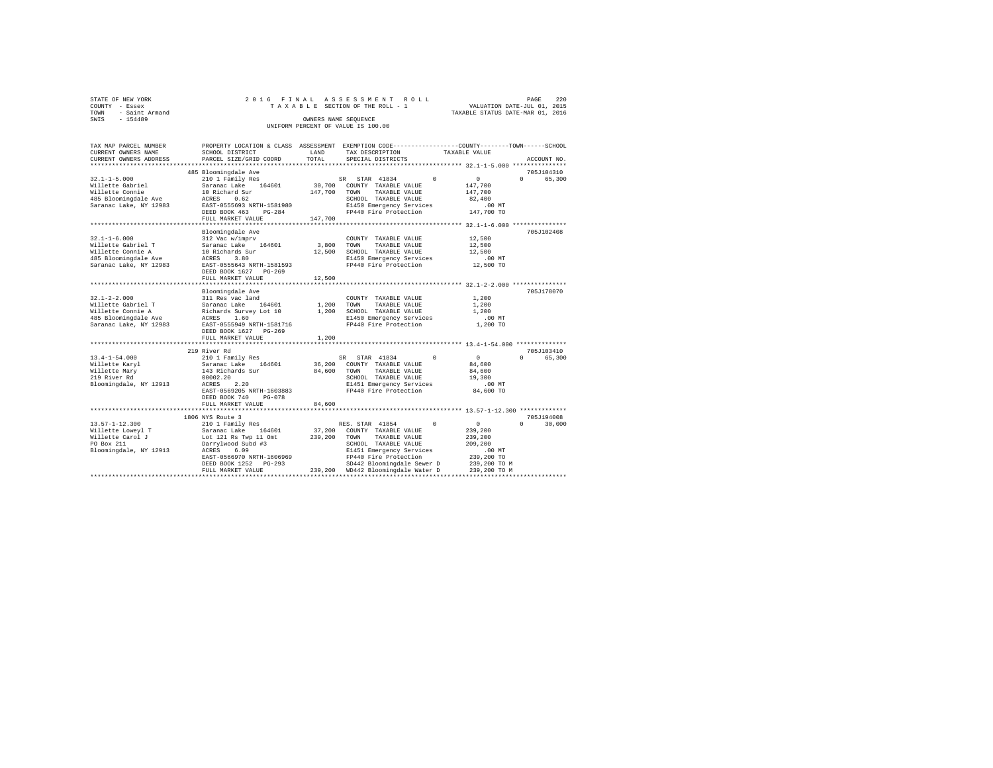| STATE OF NEW YORK   |  | 2016 FINAL ASSESSMENT ROLL         |                                  | PAGE                        | -220 |
|---------------------|--|------------------------------------|----------------------------------|-----------------------------|------|
| COUNTY - Essex      |  | TAXABLE SECTION OF THE ROLL - 1    |                                  | VALUATION DATE-JUL 01, 2015 |      |
| TOWN - Saint Armand |  |                                    | TAXABLE STATUS DATE-MAR 01, 2016 |                             |      |
| SWIS<br>$-154489$   |  | OWNERS NAME SEOUENCE               |                                  |                             |      |
|                     |  | UNIFORM PERCENT OF VALUE IS 100.00 |                                  |                             |      |

| TAX MAP PARCEL NUMBER                            |                                                                                      |              | PROPERTY LOCATION & CLASS ASSESSMENT EXEMPTION CODE----------------COUNTY-------TOWN------SCHOOL         |                                             |
|--------------------------------------------------|--------------------------------------------------------------------------------------|--------------|----------------------------------------------------------------------------------------------------------|---------------------------------------------|
| CURRENT OWNERS NAME                              | SCHOOL DISTRICT                                                                      | LAND         | TAX DESCRIPTION                                                                                          | TAXABLE VALUE                               |
| CURRENT OWNERS ADDRESS                           | PARCEL SIZE/GRID COORD                                                               | TOTAL        | SPECIAL DISTRICTS                                                                                        | ACCOUNT NO.                                 |
|                                                  |                                                                                      |              |                                                                                                          |                                             |
|                                                  | 485 Bloomingdale Ave                                                                 |              |                                                                                                          | 705J104310                                  |
| $32.1 - 1 - 5.000$                               | 210 1 Family Res                                                                     |              | SR STAR 41834<br>$\Omega$                                                                                | $\sim$ 0<br>$0 \qquad \qquad$<br>65,300     |
| Willette Gabriel                                 | Saranac Lake 164601                                                                  |              | 30,700 COUNTY TAXABLE VALUE                                                                              | 147,700                                     |
|                                                  |                                                                                      | 147,700 TOWN | TAXABLE VALUE                                                                                            | 147,700                                     |
|                                                  |                                                                                      |              | SCHOOL TAXABLE VALUE                                                                                     | 82,400                                      |
| Saranac Lake, NY 12983                           | EAST-0555693 NRTH-1581980                                                            |              | E1450 Emergency Services<br>FP440 Fire Protection                                                        | $.00$ MT                                    |
|                                                  | $PG-284$<br>DEED BOOK 463                                                            |              |                                                                                                          | 147,700 TO                                  |
|                                                  | FULL MARKET VALUE                                                                    | 147,700      |                                                                                                          |                                             |
|                                                  |                                                                                      |              |                                                                                                          |                                             |
|                                                  | Bloomingdale Ave                                                                     |              |                                                                                                          | 705J102408                                  |
| $32.1 - 1 - 6.000$                               |                                                                                      |              | COUNTY TAXABLE VALUE                                                                                     | 12,500                                      |
| Willette Gabriel T                               |                                                                                      | 3,800 TOWN   | TAXABLE VALUE                                                                                            | 12,500                                      |
| Willette Connie A                                |                                                                                      |              | SCHOOL TAXABLE VALUE                                                                                     | 12,500                                      |
| 485 Bloomingdale Ave                             | 312 Vac w/imprv<br>Saranac Lake 164601 3,800<br>10 Richards Sur 12,500<br>ACRES 3.80 |              | E1450 Emergency Services .00 MT<br>FP440 Fire Protection .02,500 TO                                      |                                             |
| Saranac Lake, NY 12983 EAST-0555643 NRTH-1581593 |                                                                                      |              |                                                                                                          |                                             |
|                                                  | DEED BOOK 1627 PG-269                                                                |              |                                                                                                          |                                             |
|                                                  | FULL MARKET VALUE                                                                    | 12,500       |                                                                                                          |                                             |
|                                                  |                                                                                      |              |                                                                                                          |                                             |
|                                                  | Bloomingdale Ave                                                                     |              |                                                                                                          | 705J178070                                  |
| $32.1 - 2 - 2.000$                               | 311 Res vac land                                                                     |              | COUNTY TAXABLE VALUE                                                                                     | 1,200                                       |
|                                                  |                                                                                      |              |                                                                                                          | 1,200                                       |
|                                                  |                                                                                      |              |                                                                                                          | 1,200                                       |
|                                                  |                                                                                      |              | E1450 Emergency Services                                                                                 | $.00$ MT                                    |
|                                                  |                                                                                      |              | FP440 Fire Protection                                                                                    | 1,200 TO                                    |
|                                                  | DEED BOOK 1627 PG-269                                                                |              |                                                                                                          |                                             |
|                                                  | FULL MARKET VALUE                                                                    | 1,200        |                                                                                                          |                                             |
|                                                  |                                                                                      |              |                                                                                                          |                                             |
|                                                  | 219 River Rd                                                                         |              |                                                                                                          | 705J103410                                  |
| 13.4-1-54.000                                    | 210 1 Family Res<br>Saranac Lake 164601<br>143 Richards Sur                          |              | SR STAR 41834<br>$\Omega$                                                                                | $\sim$ 0<br>65,300<br>$\Omega$ and $\Omega$ |
| Willette Karyl                                   |                                                                                      | 36,200       | COUNTY TAXABLE VALUE                                                                                     | 84,600                                      |
| Willette Mary                                    |                                                                                      | 84,600       | TAXABLE VALUE<br>TOWN                                                                                    | 84,600                                      |
| 219 River Rd                                     |                                                                                      |              | SCHOOL TAXABLE VALUE                                                                                     | 19,300                                      |
| Bloomingdale, NY 12913                           | 00002.20<br>ACRES<br>2.20                                                            |              | E1451 Emergency Services                                                                                 | $.00$ MT                                    |
|                                                  | EAST-0569205 NRTH-1603883                                                            |              | FP440 Fire Protection                                                                                    | 84,600 TO                                   |
|                                                  | DEED BOOK 740<br>$PG-078$                                                            |              |                                                                                                          |                                             |
|                                                  | FULL MARKET VALUE                                                                    | 84,600       |                                                                                                          |                                             |
|                                                  |                                                                                      |              |                                                                                                          |                                             |
|                                                  | 1806 NYS Route 3                                                                     |              |                                                                                                          | 705J194008                                  |
| $13.57 - 1 - 12.300$                             | 210 1 Family Res                                                                     |              | RES. STAR 41854 0                                                                                        | $\sim$ 0 $\sim$<br>$\cap$<br>30,000         |
|                                                  |                                                                                      |              | 37,200 COUNTY TAXABLE VALUE                                                                              | 239,200                                     |
| Willette Loweyl T<br>Willette Carol J            |                                                                                      |              | TAXABLE VALUE                                                                                            | 239,200                                     |
| PO Box 211                                       |                                                                                      |              | SCHOOL TAXABLE VALUE                                                                                     | 209,200                                     |
| Bloomingdale, NY 12913 ACRES                     |                                                                                      |              | E1451 Emergency Services                                                                                 | $.00$ MT                                    |
|                                                  | EAST-0566970 NRTH-1606969                                                            |              | FP440 Fire Protection                                                                                    | 239,200 TO                                  |
|                                                  |                                                                                      |              | SD442 Bloomingdale Sewer D 239,200 TO M                                                                  |                                             |
|                                                  |                                                                                      |              | DEED BOOK 1252 PG-293 SD442 Bloomingdale Sewer D<br>FULL MARKET VALUE 239,200 WD442 Bloomingdale Water D | 239,200 TO M                                |
|                                                  |                                                                                      |              |                                                                                                          |                                             |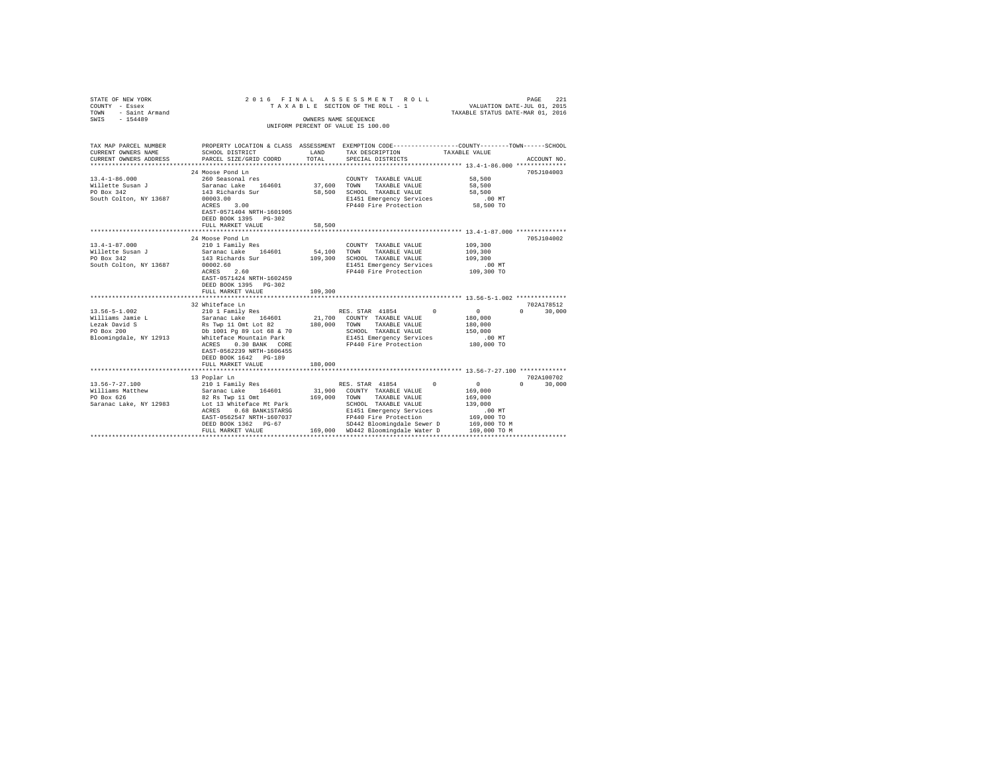| STATE OF NEW YORK<br>COUNTY - Essex<br>TOWN - Saint Armand<br>SWIS - 154489                |                                                                                                                                                                                                             |                       | 2016 FINAL ASSESSMENT ROLL<br>TAXABLE SECTION OF THE ROLL - 1<br>OWNERS NAME SEOUENCE<br>UNIFORM PERCENT OF VALUE IS 100.00                                                                                                     | PAGE 221<br>VALUATION DATE-JUL 01, 2015<br>TAXABLE STATUS DATE-MAR 01, 2016                                                                          |
|--------------------------------------------------------------------------------------------|-------------------------------------------------------------------------------------------------------------------------------------------------------------------------------------------------------------|-----------------------|---------------------------------------------------------------------------------------------------------------------------------------------------------------------------------------------------------------------------------|------------------------------------------------------------------------------------------------------------------------------------------------------|
| CURRENT OWNERS NAME<br>CURRENT OWNERS ADDRESS                                              | SCHOOL DISTRICT<br>PARCEL SIZE/GRID COORD                                                                                                                                                                   | LAND<br>TOTAL         | TAX DESCRIPTION<br>SPECIAL DISTRICTS                                                                                                                                                                                            | TAX MAP PARCEL NUMBER PROPERTY LOCATION & CLASS ASSESSMENT EXEMPTION CODE--------------COUNTY-------TOWN------SCHOOL<br>TAXABLE VALUE<br>ACCOUNT NO. |
| $13.4 - 1 - 86.000$<br>Willette Susan J<br>PO Box 342<br>South Colton, NY 13687            | 24 Moose Pond Ln<br>260 Seasonal res<br>Saranac Lake 164601<br>143 Richards Sur<br>00003.00<br>ACRES 3.00<br>00003.00<br>EAST-0571404 NRTH-1601905<br>DEED BOOK 1395 PG-302<br>FULL MARKET VALUE            | 37,600 TOWN<br>58,500 | COUNTY TAXABLE VALUE<br>TAXABLE VALUE<br>58,500 SCHOOL TAXABLE VALUE<br>E1451 Emergency Services<br>FP440 Fire Protection                                                                                                       | 705J104003<br>58,500<br>58,500<br>58,500<br>$.00$ MT<br>58,500 TO                                                                                    |
| $13.4 - 1 - 87.000$<br>Willette Susan J<br>PO Box 342<br>South Colton, NY 13687            | ***************************<br>24 Moose Pond Ln<br>210 1 Family Res<br>Saranac Lake 164601<br>143 Richards Sur<br>00002.60<br>ACRES 2.60                                                                    | ************          | COUNTY TAXABLE VALUE<br>54,100 TOWN TAXABLE VALUE<br>109,300 SCHOOL TAXABLE VALUE<br>E1451 Emergency Services<br>FP440 Fire Protection                                                                                          | 705J104002<br>109,300<br>109,300<br>109,300<br>.00 MT<br>109,300 TO                                                                                  |
|                                                                                            | EAST-0571424 NRTH-1602459<br>DEED BOOK 1395 PG-302<br>FULL MARKET VALUE<br>32 Whiteface Ln<br>%2 Whiteface Ln<br>210 1 Family Res                                                                           | 109,300               |                                                                                                                                                                                                                                 | 702A178512                                                                                                                                           |
| 13.56-5-1.002<br>Williams Jamie L<br>Lezak David S<br>PO Box 200<br>Bloomingdale, NY 12913 | Saranac Lake 164601<br>Rs Twp 11 Omt Lot 82<br>Db 1001 Pg 89 Lot 68 & 70<br>Whiteface Mountain Park<br>ACRES 0.30 BANK CORE<br>EAST-0562239 NRTH-1606455<br>DEED BOOK 1642 PG-189<br>FULL MARKET VALUE      | 180,000               | RES. STAR 41854 0<br>21,700 COUNTY TAXABLE VALUE<br>180,000 TOWN TAXABLE VALUE<br>SCHOOL TAXABLE VALUE<br>E1451 Emergency Services<br>FP440 Fire Protection                                                                     | $0 \t 30,000$<br>$\sim$ 0 $\sim$<br>180,000<br>180,000<br>150,000<br>.00 MT<br>180,000 TO                                                            |
| $13.56 - 7 - 27.100$<br>Williams Matthew<br>PO Box 626<br>Saranac Lake, NY 12983           | 13 Poplar Ln<br>210 1 Family Res<br>Saranac Lake 164601<br>82 Rs Twp 11 Omt<br>Lot 13 Whiteface Mt Park<br>ACRES 0.68 BANK1STARSG<br>EAST-0562547 NRTH-1607037<br>DEED BOOK 1362 PG-67<br>FULL MARKET VALUE |                       | RES. STAR 41854 0<br>31,900 COUNTY TAXABLE VALUE<br>169,000 TOWN TAXABLE VALUE<br>SCHOOL TAXABLE VALUE<br>E1451 Emergency Services<br>FP440 Fire Protection<br>SD442 Bloomingdale Sewer D<br>169,000 WD442 Bloomingdale Water D | 702A100702<br>$\sim$ 0 $\sim$<br>$0 \t 30,000$<br>169,000<br>169,000<br>139,000<br>$.00$ MT<br>169,000 TO<br>169,000 TO M<br>169,000 TO M            |
|                                                                                            |                                                                                                                                                                                                             |                       |                                                                                                                                                                                                                                 |                                                                                                                                                      |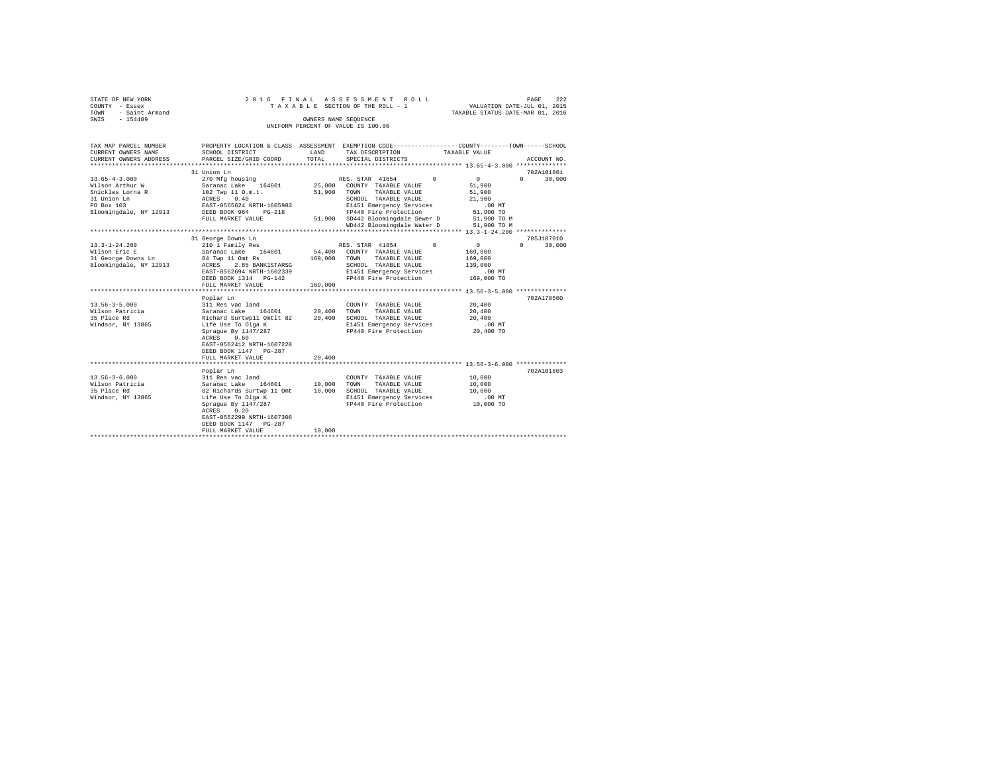|                | STATE OF NEW YORK   |  |  |  |  | 2016 FINAL ASSESSMENT ROLL         |  |  |  |  |                                  | PAGE | 222 |
|----------------|---------------------|--|--|--|--|------------------------------------|--|--|--|--|----------------------------------|------|-----|
| COUNTY - Essex |                     |  |  |  |  | TAXABLE SECTION OF THE ROLL - 1    |  |  |  |  | VALUATION DATE-JUL 01, 2015      |      |     |
|                | TOWN - Saint Armand |  |  |  |  |                                    |  |  |  |  | TAXABLE STATUS DATE-MAR 01, 2016 |      |     |
| SWTS           | $-154489$           |  |  |  |  | OWNERS NAME SEOUENCE               |  |  |  |  |                                  |      |     |
|                |                     |  |  |  |  | UNIFORM PERCENT OF VALUE IS 100.00 |  |  |  |  |                                  |      |     |

| TAX MAP PARCEL NUMBER<br>CURRENT OWNERS NAME<br>CURRENT OWNERS ADDRESS                                            | SCHOOL DISTRICT<br>PARCEL SIZE/GRID COORD                                                                                                                                                                                                     | LAND<br>TOTAL                   | PROPERTY LOCATION & CLASS ASSESSMENT EXEMPTION CODE---------------COUNTY-------TOWN------SCHOOL<br>TAX DESCRIPTION<br>SPECIAL DISTRICTS                                                                                          | TAXABLE VALUE                                                                        | ACCOUNT NO.                               |
|-------------------------------------------------------------------------------------------------------------------|-----------------------------------------------------------------------------------------------------------------------------------------------------------------------------------------------------------------------------------------------|---------------------------------|----------------------------------------------------------------------------------------------------------------------------------------------------------------------------------------------------------------------------------|--------------------------------------------------------------------------------------|-------------------------------------------|
| $13.65 - 4 - 3.000$<br>Wilson Arthur W<br>Snickles Lorna R<br>31 Union Ln<br>PO Box 103<br>Bloomingdale, NY 12913 | 31 Union Ln<br>270 Mfg housing<br>Saranac Lake 164601<br>102 Twp 11 O.m.t.<br>ACRES 0.40<br>EAST-0565624 NRTH-1605983<br>DEED BOOK 964 PG-218<br>FULL MARKET VALUE                                                                            | 25,000<br>51,900 TOWN           | RES. STAR 41854<br>$\Omega$<br>COUNTY TAXABLE VALUE<br>TAXABLE VALUE<br>SCHOOL TAXABLE VALUE<br>E1451 Emergency Services<br>FP440 Fire Protection<br>51,900 SD442 Bloomingdale Sewer D 51,900 TO M<br>WD442 Bloomingdale Water D | $\overline{0}$<br>51,900<br>51,900<br>21,900<br>$.00$ MT<br>51,900 TO<br>51,900 TO M | 702A101801<br>$0 \qquad \qquad$<br>30,000 |
| $13.3 - 1 - 24.200$<br>Wilson Eric E<br>31 George Downs Ln<br>Bloomingdale, NY 12913                              | 31 George Downs Ln<br>210 1 Family Res<br>Saranac Lake 164601<br>84 Twp 11 Omt Rs<br>ACRES 2.85 BANK1STARSG<br>EAST-0562694 NRTH-1602339<br>DEED BOOK 1314 PG-142<br>FULL MARKET VALUE                                                        | 169,000<br>169,000              | RES. STAR 41854<br>$\Omega$<br>54,400 COUNTY TAXABLE VALUE<br>TAXABLE VALUE<br>TOWN<br>SCHOOL TAXABLE VALUE<br>E1451 Emergency Services<br>FP440 Fire Protection                                                                 | $\overline{0}$<br>169,000<br>169,000<br>139,000<br>$.00$ MT<br>169,000 TO            | 705J187010<br>$\Omega$<br>30,000          |
| $13.56 - 3 - 5.000$<br>Wilson Patricia<br>35 Place Rd<br>Windsor, NY 13865                                        | Poplar Ln<br>311 Res vac land<br>Saranac Lake 164601 20.400 TOWN<br>Richard Surtwp11 Omtlt 82 20,400<br>Life Use To Olga K<br>Sprague By 1147/287<br>ACRES<br>0.60<br>EAST-0562412 NRTH-1607228<br>DEED BOOK 1147 PG-287<br>FULL MARKET VALUE | 20,400                          | COUNTY TAXABLE VALUE<br>TAXABLE VALUE<br>SCHOOL TAXABLE VALUE<br>E1451 Emergency Services<br>FP440 Fire Protection                                                                                                               | 20,400<br>20,400<br>20,400<br>$.00$ MT<br>20,400 TO                                  | 702A178500                                |
| $13.56 - 3 - 6.000$<br>Wilson Patricia<br>35 Place Rd<br>Windsor, NY 13865                                        | Poplar Ln<br>311 Res vac land<br>Saranac Lake 164601<br>82 Richards Surtwp 11 Omt<br>Life Use To Olga K<br>Spraque By 1147/287<br>0.20<br>ACRES<br>EAST-0562299 NRTH-1607306<br>DEED BOOK 1147 PG-287<br>FULL MARKET VALUE                    | 10,000 TOWN<br>10,000<br>10,000 | COUNTY TAXABLE VALUE<br>TAXABLE VALUE<br>SCHOOL TAXABLE VALUE<br>E1451 Emergency Services<br>FP440 Fire Protection                                                                                                               | 10,000<br>10,000<br>10,000<br>$.00$ MT<br>10,000 TO                                  | 702A101803                                |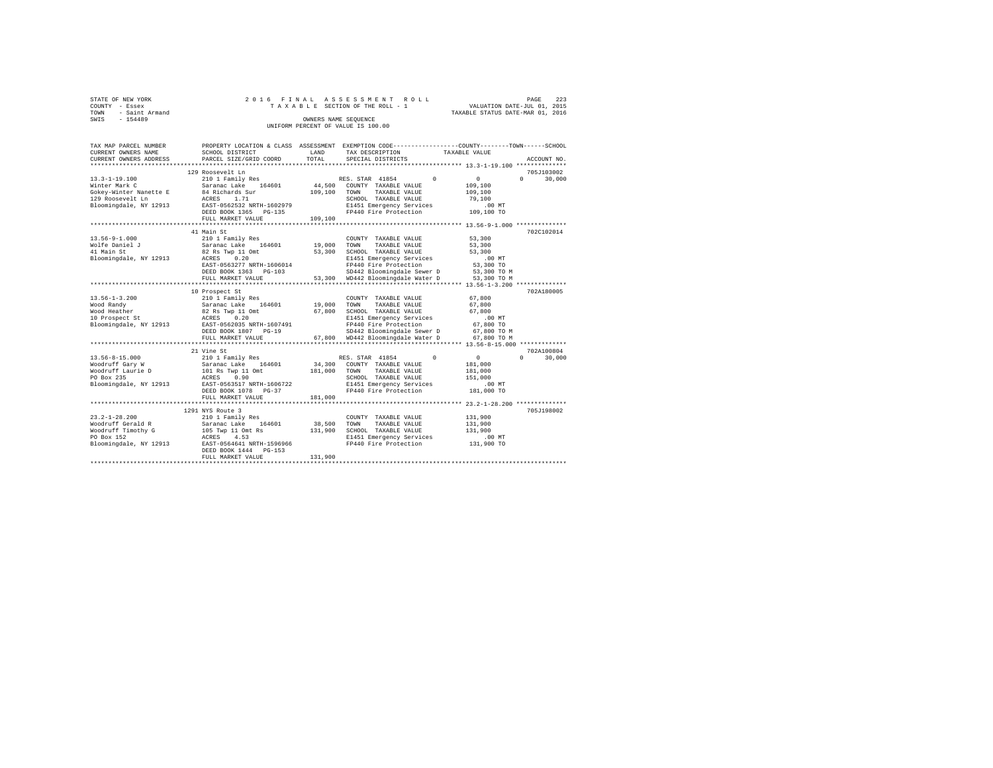|      | STATE OF NEW YORK | 2016 FINAL ASSESSMENT ROLL |  |  |  |                                    |  |  |  |  |  | 223<br>PAGE                      |
|------|-------------------|----------------------------|--|--|--|------------------------------------|--|--|--|--|--|----------------------------------|
|      | COUNTY - Essex    |                            |  |  |  | TAXABLE SECTION OF THE ROLL - 1    |  |  |  |  |  | VALUATION DATE-JUL 01, 2015      |
| TOWN | - Saint Armand    |                            |  |  |  |                                    |  |  |  |  |  | TAXABLE STATUS DATE-MAR 01, 2016 |
| SWIS | $-154489$         |                            |  |  |  | OWNERS NAME SEOUENCE               |  |  |  |  |  |                                  |
|      |                   |                            |  |  |  | UNIFORM PERCENT OF VALUE IS 100.00 |  |  |  |  |  |                                  |

| TAX MAP PARCEL NUMBER<br>CURRENT OWNERS NAME | SCHOOL DISTRICT                    | T.AND   | PROPERTY LOCATION & CLASS ASSESSMENT EXEMPTION CODE----------------COUNTY-------TOWN------SCHOOL<br>TAX DESCRIPTION | TAXABLE VALUE      |                      |
|----------------------------------------------|------------------------------------|---------|---------------------------------------------------------------------------------------------------------------------|--------------------|----------------------|
| CURRENT OWNERS ADDRESS                       | PARCEL SIZE/GRID COORD             | TOTAL   | SPECIAL DISTRICTS                                                                                                   |                    | ACCOUNT NO.          |
|                                              | 129 Roosevelt Ln                   |         |                                                                                                                     |                    | 705J103002           |
| $13.3 - 1 - 19.100$                          | 210 1 Family Res                   |         | RES. STAR 41854<br>$^{\circ}$                                                                                       | $\overline{0}$     | 30,000<br>$\Omega$   |
| Winter Mark C                                | 164601<br>Saranac Lake             | 44,500  | COUNTY TAXABLE VALUE                                                                                                | 109,100            |                      |
| Gokey-Winter Nanette E                       | 84 Richards Sur                    | 109,100 | TOWN<br>TAXABLE VALUE                                                                                               | 109,100            |                      |
| 129 Roosevelt Ln                             | ACRES<br>1.71                      |         | SCHOOL TAXABLE VALUE                                                                                                | 79,100             |                      |
| Bloomingdale, NY 12913                       | EAST-0562532 NRTH-1602979          |         | E1451 Emergency Services                                                                                            | $.00$ MT           |                      |
|                                              | DEED BOOK 1365 PG-135              |         | FP440 Fire Protection                                                                                               | 109,100 TO         |                      |
|                                              | FULL MARKET VALUE                  | 109,100 |                                                                                                                     |                    |                      |
|                                              |                                    |         |                                                                                                                     |                    |                      |
|                                              | 41 Main St                         |         |                                                                                                                     |                    | 702C102014           |
| $13.56 - 9 - 1.000$                          | 210 1 Family Res                   |         | COUNTY TAXABLE VALUE                                                                                                | 53,300             |                      |
| Wolfe Daniel J                               | Saranac Lake 164601                | 19,000  | TOWN<br>TAXABLE VALUE                                                                                               | 53,300             |                      |
| 41 Main St                                   | 82 Rs Twp 11 Omt                   | 53,300  | SCHOOL TAXABLE VALUE                                                                                                | 53,300             |                      |
| Bloomingdale, NY 12913                       | ACRES 0.20                         |         | E1451 Emergency Services                                                                                            | .00MT              |                      |
|                                              | EAST-0563277 NRTH-1606014          |         | FP440 Fire Protection                                                                                               | 53,300 TO          |                      |
|                                              | DEED BOOK 1363 PG-103              |         | SD442 Bloomingdale Sewer D<br>53,300 WD442 Bloomingdale Water D                                                     | 53,300 TO M        |                      |
|                                              | FULL MARKET VALUE                  |         |                                                                                                                     | 53,300 TO M        |                      |
|                                              |                                    |         |                                                                                                                     |                    |                      |
|                                              | 10 Prospect St                     |         |                                                                                                                     |                    | 702A180005           |
| $13.56 - 1 - 3.200$                          | 210 1 Family Res                   |         | COUNTY TAXABLE VALUE                                                                                                | 67,800             |                      |
| Wood Randy                                   | Saranac Lake 164601                | 19,000  | TOWN<br>TAXABLE VALUE                                                                                               | 67,800             |                      |
| Wood Heather                                 | 82 Rs Twp 11 Omt                   | 67.800  | SCHOOL TAXABLE VALUE                                                                                                | 67,800             |                      |
| 10 Prospect St                               | ACRES<br>0.20                      |         | E1451 Emergency Services                                                                                            | .00MT              |                      |
| Bloomingdale, NY 12913                       | EAST-0562035 NRTH-1607491          |         | FP440 Fire Protection                                                                                               | 67,800 TO          |                      |
|                                              | DEED BOOK 1807 PG-19               |         | SD442 Bloomingdale Sewer D                                                                                          | 67,800 TO M        |                      |
|                                              | FULL MARKET VALUE                  |         | 67,800 WD442 Bloomingdale Water D                                                                                   | 67.800 TO M        |                      |
|                                              |                                    |         |                                                                                                                     |                    |                      |
|                                              | 21 Vine St                         |         | $\Omega$                                                                                                            |                    | 702A100804<br>$\cap$ |
| 13.56-8-15.000                               | 210 1 Family Res<br>164601         | 34,300  | RES. STAR 41854<br>COUNTY TAXABLE VALUE                                                                             | $\circ$            | 30,000               |
| Woodruff Gary W                              | Saranac Lake                       |         | TOWN<br>TAXABLE VALUE                                                                                               | 181,000            |                      |
| Noodruff Laurie D<br>PO Box 235              | 101 Rs Twp 11 Omt<br>0.90<br>ACRES | 181,000 | SCHOOL TAXABLE VALUE                                                                                                | 181,000<br>151,000 |                      |
| Bloomingdale, NY 12913                       | EAST-0563517 NRTH-1606722          |         | E1451 Emergency Services                                                                                            | $.00$ MT           |                      |
|                                              | DEED BOOK 1078 PG-37               |         | FP440 Fire Protection                                                                                               | 181,000 TO         |                      |
|                                              | FULL MARKET VALUE                  | 181,000 |                                                                                                                     |                    |                      |
|                                              |                                    |         |                                                                                                                     |                    |                      |
|                                              | 1291 NYS Route 3                   |         |                                                                                                                     |                    | 705J198002           |
| $23.2 - 1 - 28.200$                          | 210 1 Family Res                   |         | COUNTY TAXABLE VALUE                                                                                                | 131,900            |                      |
| Woodruff Gerald R                            | Saranac Lake 164601                | 38,500  | TAXABLE VALUE<br>TOWN                                                                                               | 131,900            |                      |
| Woodruff Timothy G                           | 105 Twp 11 Omt Rs                  | 131,900 | SCHOOL TAXABLE VALUE                                                                                                | 131,900            |                      |
| PO Box 152                                   | 4.53<br>ACRES                      |         | E1451 Emergency Services                                                                                            | .00MT              |                      |
| Bloomingdale, NY 12913                       | EAST-0564641 NRTH-1596966          |         | FP440 Fire Protection                                                                                               | 131,900 TO         |                      |
|                                              | DEED BOOK 1444 PG-153              |         |                                                                                                                     |                    |                      |
|                                              | FULL MARKET VALUE                  | 131,900 |                                                                                                                     |                    |                      |
|                                              |                                    |         |                                                                                                                     |                    |                      |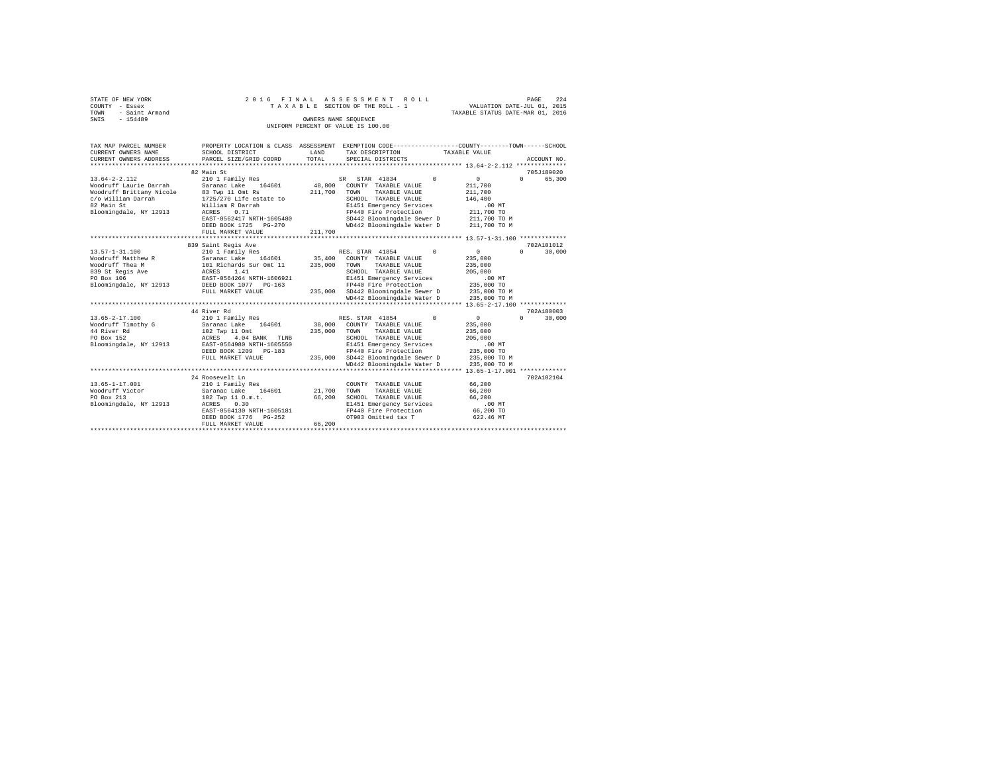| STATE OF NEW YORK      | 2016 FINAL ASSESSMENT ROLL         | 224<br>PAGE                      |
|------------------------|------------------------------------|----------------------------------|
| COUNTY - Essex         | TAXABLE SECTION OF THE ROLL - 1    | VALUATION DATE-JUL 01, 2015      |
| - Saint Armand<br>TOWN |                                    | TAXABLE STATUS DATE-MAR 01, 2016 |
| $-154489$<br>SWIS      | OWNERS NAME SEOUENCE               |                                  |
|                        | UNIFORM PERCENT OF VALUE IS 100.00 |                                  |
|                        |                                    |                                  |

| TAX MAP PARCEL NUMBER<br>CURRENT OWNERS NAME    | SCHOOL DISTRICT                                           | LAND        | PROPERTY LOCATION & CLASS ASSESSMENT EXEMPTION CODE---------------COUNTY-------TOWN-----SCHOOL<br>TAX DESCRIPTION | TAXABLE VALUE        |                                 |
|-------------------------------------------------|-----------------------------------------------------------|-------------|-------------------------------------------------------------------------------------------------------------------|----------------------|---------------------------------|
| CURRENT OWNERS ADDRESS                          | PARCEL SIZE/GRID COORD                                    | TOTAL       | SPECIAL DISTRICTS                                                                                                 |                      | ACCOUNT NO.                     |
|                                                 | 82 Main St                                                |             |                                                                                                                   |                      | 705J189020                      |
| $13.64 - 2 - 2.112$                             | 210 1 Family Res                                          |             | SR STAR 41834                                                                                                     | $\sim$ 0<br>$\sim$ 0 | $\Omega$ and $\Omega$<br>65,300 |
| Woodruff Laurie Darrah                          | Saranac Lake 164601 48,800                                |             | COUNTY TAXABLE VALUE                                                                                              | 211,700              |                                 |
| Woodruff Brittany Nicole                        |                                                           | 211,700     | TAXABLE VALUE<br>TOWN                                                                                             | 211,700              |                                 |
| c/o William Darrah                              | 83 Twp 11 Omt Rs<br>1725/270 Life estate to               |             | SCHOOL TAXABLE VALUE                                                                                              | 146,400              |                                 |
| 82 Main St                                      | William R Darrah                                          |             | E1451 Emergency Services                                                                                          | .00 MT               |                                 |
| Bloomingdale, NY 12913                          | ACRES 0.71                                                |             | FP440 Fire Protection                                                                                             | 211,700 TO           |                                 |
|                                                 | EAST-0562417 NRTH-1605480                                 |             | SD442 Bloomingdale Sewer D 211,700 TO M                                                                           |                      |                                 |
|                                                 | DEED BOOK 1725 PG-270                                     |             | WD442 Bloomingdale Water D 211,700 TO M                                                                           |                      |                                 |
|                                                 |                                                           |             |                                                                                                                   |                      |                                 |
|                                                 |                                                           |             |                                                                                                                   |                      |                                 |
|                                                 | 839 Saint Regis Ave                                       |             |                                                                                                                   |                      | 702A101012                      |
| $13.57 - 1 - 31.100$                            | 210 1 Family Res                                          |             | $\sim$ 0<br>RES. STAR 41854                                                                                       | $\sim$               | 30,000<br>$\Omega$              |
|                                                 |                                                           |             |                                                                                                                   | 235,000              |                                 |
|                                                 |                                                           |             |                                                                                                                   | 235,000              |                                 |
|                                                 |                                                           |             | SCHOOL TAXABLE VALUE                                                                                              | 205,000              |                                 |
|                                                 |                                                           |             | E1451 Emergency Services                                                                                          | .00 MT               |                                 |
|                                                 |                                                           |             |                                                                                                                   | 235,000 TO           |                                 |
|                                                 | FULL MARKET VALUE                                         |             | 235,000 SD442 Bloomingdale Sewer D 235,000 TO M                                                                   |                      |                                 |
|                                                 |                                                           |             | WD442 Bloomingdale Water D                                                                                        |                      |                                 |
|                                                 |                                                           |             |                                                                                                                   | 235,000 TO M         |                                 |
|                                                 | 44 River Rd                                               |             |                                                                                                                   |                      | 702A180003                      |
|                                                 |                                                           |             | RES. STAR 41854 0                                                                                                 | $\sim$ 0             | 30,000<br>$\Omega$ and $\Omega$ |
| Woodruff Timothy G<br>44 River Rd<br>20 Box 150 | 210 1 Family Res<br>Saranac Lake 164601<br>102 Twp 11 Omt |             | RES. STAR 41854 (38,000 COUNTY TAXABLE VALUE                                                                      |                      |                                 |
|                                                 |                                                           |             |                                                                                                                   | 235,000              |                                 |
|                                                 |                                                           |             | 235,000 TOWN TAXABLE VALUE                                                                                        | 235,000              |                                 |
| PO Box 152                                      | ACRES 4.04 BANK TLNB                                      |             | SCHOOL TAXABLE VALUE                                                                                              | 205,000              |                                 |
| Bloomingdale, NY 12913                          | EAST-0564980 NRTH-1605550                                 |             | E1451 Emergency Services<br>FP440 Fire Protection                                                                 | $.00$ MT             |                                 |
|                                                 | DEED BOOK 1209 PG-183                                     |             |                                                                                                                   | 235,000 TO           |                                 |
|                                                 | FULL MARKET VALUE                                         |             | 235,000 SD442 Bloomingdale Sewer D 235,000 TO M                                                                   |                      |                                 |
|                                                 |                                                           |             | WD442 Bloomingdale Water D                                                                                        | 235,000 TO M         |                                 |
|                                                 |                                                           |             |                                                                                                                   |                      |                                 |
|                                                 | 24 Roosevelt Ln                                           |             |                                                                                                                   |                      | 702A102104                      |
| $13.65 - 1 - 17.001$                            | 210 1 Family Res                                          |             | COUNTY TAXABLE VALUE                                                                                              | 66,200               |                                 |
| Woodruff Victor                                 | Saranac Lake 164601                                       | 21,700 TOWN | TAXABLE VALUE                                                                                                     | 66,200               |                                 |
| PO Box 213                                      | 102 Twp 11 O.m.t.                                         | 66,200      | SCHOOL TAXABLE VALUE 66,200                                                                                       |                      |                                 |
| Bloomingdale, NY 12913 ACRES 0.30               |                                                           |             | E1451 Emergency Services<br>FP440 Fire Protection                                                                 | $.00$ MT             |                                 |
|                                                 | EAST-0564130 NRTH-1605181                                 |             |                                                                                                                   | 66,200 TO            |                                 |
|                                                 | DEED BOOK 1776 PG-252                                     |             | OT903 Omitted tax T                                                                                               | 622.46 MT            |                                 |
|                                                 | FULL MARKET VALUE                                         | 66,200      |                                                                                                                   |                      |                                 |
|                                                 |                                                           |             |                                                                                                                   |                      |                                 |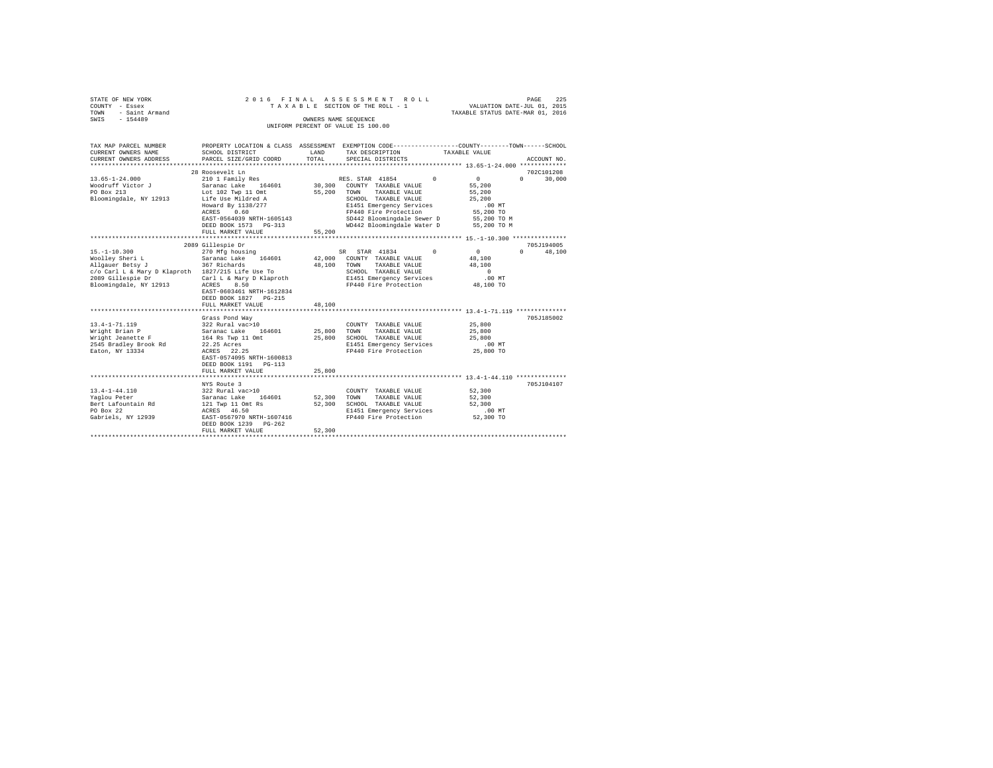| STATE OF NEW YORK   |  |  | 2016 FINAL ASSESSMENT ROLL         |                                  | PAGE                        | 225 |
|---------------------|--|--|------------------------------------|----------------------------------|-----------------------------|-----|
| COUNTY - Essex      |  |  | TAXABLE SECTION OF THE ROLL - 1    |                                  | VALUATION DATE-JUL 01, 2015 |     |
| TOWN - Saint Armand |  |  |                                    | TAXABLE STATUS DATE-MAR 01, 2016 |                             |     |
| SWIS<br>$-154489$   |  |  | OWNERS NAME SEOUENCE               |                                  |                             |     |
|                     |  |  | UNIFORM PERCENT OF VALUE IS 100.00 |                                  |                             |     |

| TAX MAP PARCEL NUMBER<br>CURRENT OWNERS NAME<br>CURRENT OWNERS ADDRESS                                                                                                                                          | SCHOOL DISTRICT<br>PARCEL SIZE/GRID COORD                                                                                                             | LAND<br>TOTAL         | PROPERTY LOCATION & CLASS ASSESSMENT EXEMPTION CODE----------------COUNTY-------TOWN-----SCHOOL<br>TAX DESCRIPTION<br>SPECIAL DISTRICTS                     | TAXABLE VALUE                                                                 | ACCOUNT NO.          |
|-----------------------------------------------------------------------------------------------------------------------------------------------------------------------------------------------------------------|-------------------------------------------------------------------------------------------------------------------------------------------------------|-----------------------|-------------------------------------------------------------------------------------------------------------------------------------------------------------|-------------------------------------------------------------------------------|----------------------|
|                                                                                                                                                                                                                 |                                                                                                                                                       |                       |                                                                                                                                                             |                                                                               |                      |
| $13.65 - 1 - 24.000$<br>Bloomingdale, NY 12913 Life Use Mildred A                                                                                                                                               | 28 Roosevelt Ln<br>210 1 Family Res<br>Howard By 1138/277<br>ACRES 0.60<br>EAST-0564039 NRTH-1605143                                                  |                       | RES. STAR 41854 0 0<br>TAXABLE VALUE<br>SCHOOL TAXABLE VALUE<br>E1451 Emergency Services<br>FP440 Fire Protection<br>SD442 Bloomingdale Sewer D 55,200 TO M | $0 \qquad \qquad$<br>55,200<br>55,200<br>25,200<br>$.00$ MT<br>55,200 TO      | 702C101208<br>30,000 |
|                                                                                                                                                                                                                 | DEED BOOK 1573 PG-313<br>FULL MARKET VALUE                                                                                                            | 55,200                | WD442 Bloomingdale Water D 55,200 TO M                                                                                                                      |                                                                               |                      |
|                                                                                                                                                                                                                 |                                                                                                                                                       |                       |                                                                                                                                                             |                                                                               |                      |
| $15. - 1 - 10.300$<br>Woolley Sheri L . Saranac Lake 164601 42,000 COUNTY TAXABLE VALUE<br>Allgauer Betsy J<br>c/o Carl L & Mary D Klaproth 1827/215 Life Use To<br>2089 Gillespie Dr<br>Bloomingdale, NY 12913 | 2089 Gillespie Dr<br>270 Mfg housing<br>367 Richards<br>8.50<br>ACRES<br>EAST-0603461 NRTH-1612834<br>DEED BOOK 1827 PG-215<br>FULL MARKET VALUE      | 48,100 TOWN<br>48,100 | SR STAR 41834 0<br>TAXABLE VALUE<br>SCHOOL TAXABLE VALUE<br>Carl L & Mary D Klaproth E1451 Emergency Services<br>FP440 Fire Protection                      | $\sim$ 0<br>$\Omega$<br>48,100<br>48,100<br>$\sim$ 0<br>$.00$ MT<br>48,100 TO | 705J194005<br>48,100 |
|                                                                                                                                                                                                                 |                                                                                                                                                       |                       |                                                                                                                                                             |                                                                               |                      |
| 13.4-1-71.119<br>Wright Brian P<br>Wright Jeanette F<br>2545 Bradlev Brook Rd<br>Eaton, NY 13334                                                                                                                | Grass Pond Way<br>164 Rs Twp 11 Omt 25,800<br>22.25 Acres<br>ACRES 22.25<br>EAST-0574095 NRTH-1600813<br>DEED BOOK 1191   PG-113<br>FULL MARKET VALUE | 25,800                | COUNTY TAXABLE VALUE<br>TAXABLE VALUE 25,800<br>SCHOOL TAXABLE VALUE<br>E1451 Emergency Services<br>FP440 Fire Protection                                   | 25,800<br>25,800<br>.00MT<br>25,800 TO                                        | 705J185002           |
|                                                                                                                                                                                                                 |                                                                                                                                                       |                       |                                                                                                                                                             |                                                                               |                      |
| $13.4 - 1 - 44.110$<br>Yaglou Peter<br>Bert Lafountain Rd<br>PO Box 22<br>Gabriels, NY 12939 EAST-0567970 NRTH-1607416                                                                                          | NYS Route 3<br>322 Rural vac>10<br>Saranac Lake 164601<br>121 Twp 11 Omt Rs<br>ACRES 46.50<br>DEED BOOK 1239 PG-262<br>FULL MARKET VALUE              | 52,300                | COUNTY TAXABLE VALUE 52,300<br>52,300 TOWN TAXABLE VALUE<br>52,300 SCHOOL TAXABLE VALUE<br>E1451 Emergency Services<br>FP440 Fire Protection 52,300 TO      | 52,300<br>52,300<br>$.00$ MT                                                  | 705J104107           |
|                                                                                                                                                                                                                 |                                                                                                                                                       |                       |                                                                                                                                                             |                                                                               |                      |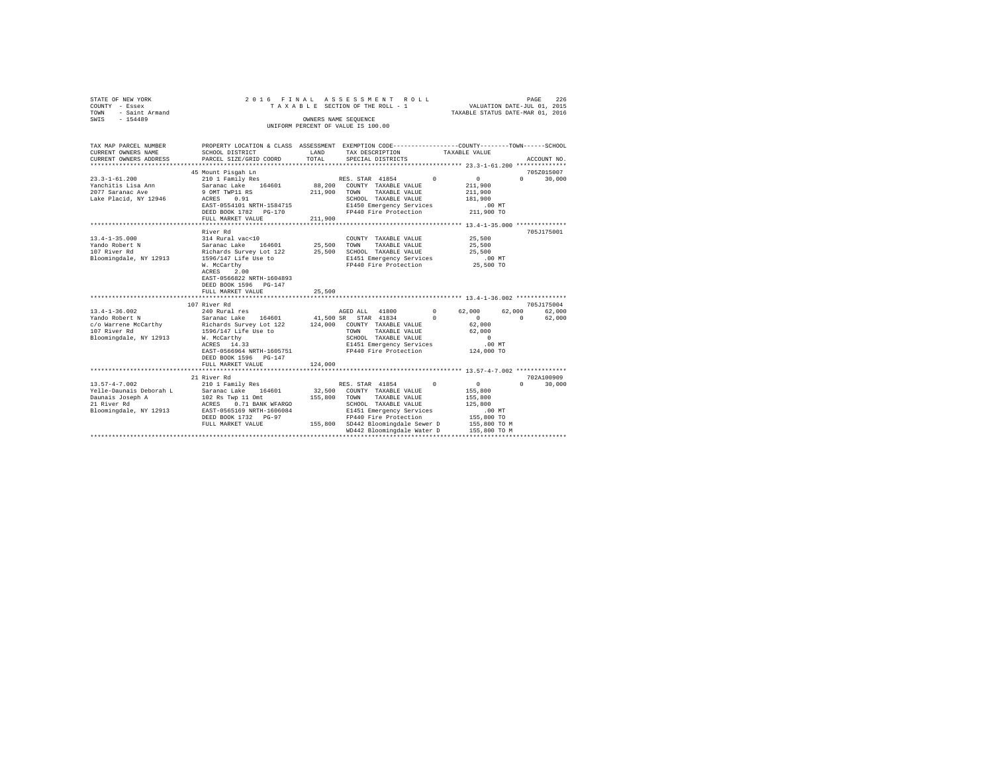| STATE OF NEW YORK<br>COUNTY - Essex            | 2016 FINAL                                                                                     | ASSESSMENT ROLL<br>TAXABLE SECTION OF THE ROLL - 1 |                      |                                                  |          | VALUATION DATE-JUL 01, 2015                     |                   | PAGE        | 226    |
|------------------------------------------------|------------------------------------------------------------------------------------------------|----------------------------------------------------|----------------------|--------------------------------------------------|----------|-------------------------------------------------|-------------------|-------------|--------|
| TOWN<br>- Saint Armand                         |                                                                                                |                                                    |                      |                                                  |          | TAXABLE STATUS DATE-MAR 01, 2016                |                   |             |        |
| $-154489$<br>SWIS                              |                                                                                                |                                                    | OWNERS NAME SEQUENCE |                                                  |          |                                                 |                   |             |        |
|                                                |                                                                                                |                                                    |                      |                                                  |          |                                                 |                   |             |        |
|                                                |                                                                                                |                                                    |                      |                                                  |          |                                                 |                   |             |        |
| TAX MAP PARCEL NUMBER                          | PROPERTY LOCATION & CLASS ASSESSMENT EXEMPTION CODE---------------COUNTY-------TOWN-----SCHOOL |                                                    |                      |                                                  |          |                                                 |                   |             |        |
| CURRENT OWNERS NAME                            | SCHOOL DISTRICT                                                                                | LAND                                               |                      | TAX DESCRIPTION                                  |          | TAXABLE VALUE                                   |                   |             |        |
| CURRENT OWNERS ADDRESS                         | PARCEL SIZE/GRID COORD                                                                         | TOTAL                                              |                      | SPECIAL DISTRICTS                                |          |                                                 |                   | ACCOUNT NO. |        |
|                                                |                                                                                                |                                                    |                      |                                                  |          |                                                 |                   |             |        |
|                                                | 45 Mount Pisgah Ln                                                                             |                                                    |                      |                                                  |          |                                                 |                   | 705Z015007  |        |
| $23.3 - 1 - 61.200$                            | 210 1 Family Res                                                                               |                                                    | RES. STAR 41854      |                                                  | $\Omega$ | $\circ$                                         | $0 \qquad \qquad$ |             | 30,000 |
| Yanchitis Lisa Ann                             | Saranac Lake 164601                                                                            |                                                    |                      | 88.200 COUNTY TAXABLE VALUE                      |          | 211,900                                         |                   |             |        |
| 2077 Saranac Ave                               | 9 OMT TWP11 RS                                                                                 |                                                    |                      | 211,900 TOWN TAXABLE VALUE                       |          | 211,900                                         |                   |             |        |
| Lake Placid, NY 12946                          | ACRES 0.91                                                                                     |                                                    |                      | SCHOOL TAXABLE VALUE                             |          | 181,900                                         |                   |             |        |
|                                                | EAST-0554101 NRTH-1584715                                                                      |                                                    |                      | E1450 Emergency Services                         |          | $.00$ MT                                        |                   |             |        |
|                                                | DEED BOOK 1782 PG-170                                                                          |                                                    |                      | FP440 Fire Protection                            |          | 211,900 TO                                      |                   |             |        |
|                                                | FULL MARKET VALUE                                                                              | 211,900                                            |                      |                                                  |          |                                                 |                   |             |        |
|                                                | River Rd                                                                                       |                                                    |                      |                                                  |          |                                                 |                   | 705J175001  |        |
| $13.4 - 1 - 35.000$                            | 314 Rural vac<10                                                                               |                                                    |                      | COUNTY TAXABLE VALUE                             |          | 25,500                                          |                   |             |        |
| Yando Robert N                                 | Saranac Lake 164601                                                                            |                                                    | 25,500 TOWN          | TAXABLE VALUE                                    |          | 25,500                                          |                   |             |        |
| 107 River Rd                                   | Richards Survey Lot 122                                                                        |                                                    |                      | 25,500 SCHOOL TAXABLE VALUE                      |          | 25,500                                          |                   |             |        |
| Bloomingdale, NY 12913                         | 1596/147 Life Use to                                                                           |                                                    |                      | E1451 Emergency Services                         |          | $.00$ MT                                        |                   |             |        |
|                                                | W. McCarthy                                                                                    |                                                    |                      | FP440 Fire Protection                            |          | 25,500 TO                                       |                   |             |        |
|                                                | ACRES<br>2.00                                                                                  |                                                    |                      |                                                  |          |                                                 |                   |             |        |
|                                                | EAST-0566822 NRTH-1604893                                                                      |                                                    |                      |                                                  |          |                                                 |                   |             |        |
|                                                | DEED BOOK 1596 PG-147                                                                          |                                                    |                      |                                                  |          |                                                 |                   |             |        |
|                                                | FULL MARKET VALUE                                                                              | 25,500                                             |                      |                                                  |          |                                                 |                   |             |        |
|                                                |                                                                                                |                                                    |                      |                                                  |          |                                                 |                   |             |        |
|                                                | 107 River Rd                                                                                   |                                                    |                      |                                                  |          |                                                 |                   | 705J175004  |        |
| $13.4 - 1 - 36.002$                            | 240 Rural res                                                                                  |                                                    | AGED ALL 41800       |                                                  | $\sim$ 0 | 62,000                                          | 62,000            |             | 62,000 |
| Yando Robert N                                 | Saranac Lake 164601                                                                            | 41,500 SR                                          |                      | STAR 41834                                       | $\Omega$ | $\Omega$                                        | $\Omega$          |             | 62,000 |
| c/o Warrene McCarthy                           | Richards Survey Lot 122                                                                        |                                                    |                      | 124,000 COUNTY TAXABLE VALUE                     |          | 62,000                                          |                   |             |        |
| 107 River Rd                                   | 1596/147 Life Use to                                                                           |                                                    | TOWN                 | TAXABLE VALUE                                    |          | 62,000                                          |                   |             |        |
| Bloomingdale, NY 12913                         | W. McCarthy                                                                                    |                                                    |                      | SCHOOL TAXABLE VALUE                             |          | $\sim$ 0                                        |                   |             |        |
|                                                | ACRES 14.33                                                                                    |                                                    |                      | E1451 Emergency Services                         |          | $.00$ MT                                        |                   |             |        |
|                                                | EAST-0566964 NRTH-1605751                                                                      |                                                    |                      | FP440 Fire Protection                            |          | 124,000 TO                                      |                   |             |        |
|                                                | DEED BOOK 1596 PG-147                                                                          |                                                    |                      |                                                  |          |                                                 |                   |             |        |
|                                                | FULL MARKET VALUE<br>.                                                                         | 124,000                                            |                      |                                                  |          |                                                 |                   |             |        |
|                                                |                                                                                                |                                                    |                      |                                                  |          | ***************** 13.57-4-7.002 *************** |                   |             |        |
|                                                | 21 River Rd<br>210 1 Family Res                                                                |                                                    |                      |                                                  |          |                                                 | $\Omega$          | 702A100909  |        |
| $13.57 - 4 - 7.002$<br>Yelle-Daunais Deborah L | Saranac Lake 164601                                                                            |                                                    |                      | RES. STAR 41854 0<br>32,500 COUNTY TAXABLE VALUE |          | $\sim$ 0<br>155,800                             |                   |             | 30,000 |
| Daunais Joseph A                               | 102 Rs Twp 11 Omt                                                                              |                                                    |                      | 155,800 TOWN TAXABLE VALUE                       |          | 155,800                                         |                   |             |        |
| 21 River Rd                                    | ACRES 0.71 BANK WFARGO                                                                         |                                                    |                      | SCHOOL TAXABLE VALUE                             |          | 125,800                                         |                   |             |        |
| Bloomingdale, NY 12913                         | EAST-0565169 NRTH-1606084                                                                      |                                                    |                      | E1451 Emergency Services                         |          | .00MT                                           |                   |             |        |
|                                                | DEED BOOK 1732 PG-97                                                                           |                                                    |                      | FP440 Fire Protection                            |          | 155,800 TO                                      |                   |             |        |
|                                                | FULL MARKET VALUE                                                                              |                                                    |                      | 155,800 SD442 Bloomingdale Sewer D               |          | 155,800 TO M                                    |                   |             |        |
|                                                |                                                                                                |                                                    |                      | WD442 Bloomingdale Water D                       |          | 155,800 TO M                                    |                   |             |        |
|                                                |                                                                                                |                                                    |                      |                                                  |          |                                                 |                   |             |        |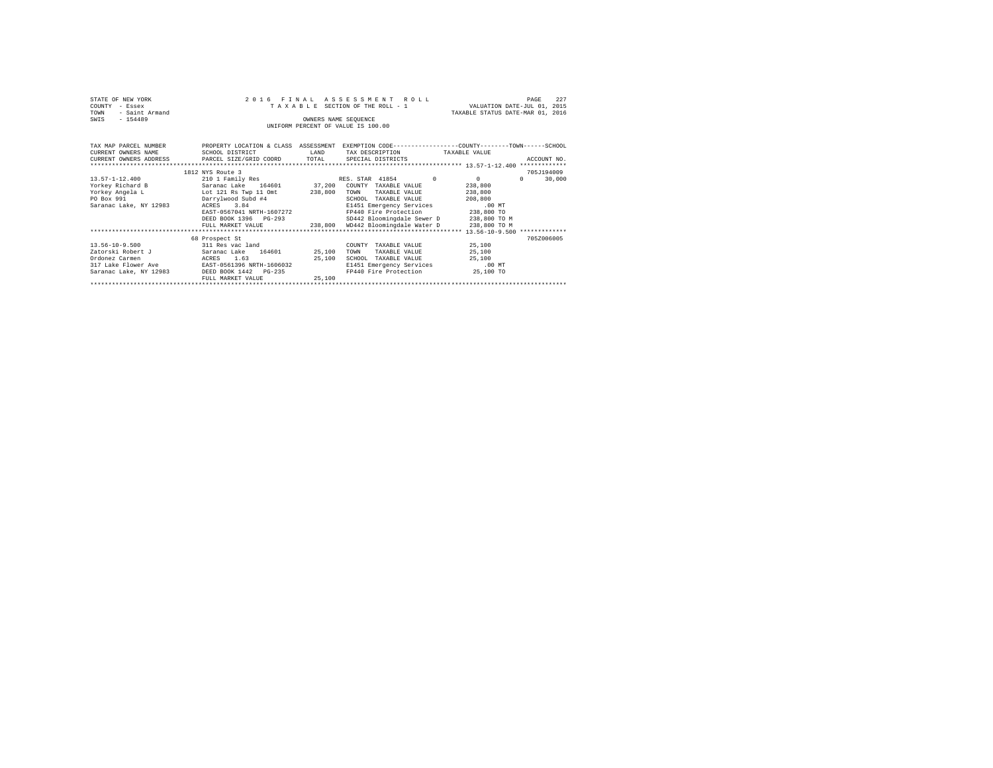| STATE OF NEW YORK<br>COUNTY<br>- Essex<br>- Saint Armand<br>TOWN<br>$-154489$<br>SWIS                                   | 2016 FINAL<br>TAXABLE SECTION OF THE ROLL - 1<br>UNIFORM PERCENT OF VALUE IS 100.00 | VALUATION DATE-JUL 01, 2015<br>TAXABLE STATUS DATE-MAR 01, 2016 | 227<br>PAGE                                                         |                      |                    |
|-------------------------------------------------------------------------------------------------------------------------|-------------------------------------------------------------------------------------|-----------------------------------------------------------------|---------------------------------------------------------------------|----------------------|--------------------|
| TAX MAP PARCEL NUMBER THE PROPERTY LOCATION & CLASS ASSESSMENT EXEMPTION CODE-------------COUNTY--------TOWN-----SCHOOL |                                                                                     |                                                                 |                                                                     |                      |                    |
| CURRENT OWNERS NAME                                                                                                     | SCHOOL DISTRICT                                                                     | LAND                                                            | TAX DESCRIPTION TAXABLE VALUE                                       |                      |                    |
| CURRENT OWNERS ADDRESS PARCEL SIZE/GRID COORD TOTAL                                                                     |                                                                                     |                                                                 | SPECIAL DISTRICTS                                                   |                      | ACCOUNT NO.        |
|                                                                                                                         |                                                                                     |                                                                 |                                                                     |                      |                    |
|                                                                                                                         | 1812 NYS Route 3                                                                    |                                                                 |                                                                     |                      | 705J194009         |
| $13.57 - 1 - 12.400$                                                                                                    | 210 1 Family Res                                                                    |                                                                 | RES. STAR 41854                                                     | $\Omega$<br>$\Omega$ | 30,000<br>$\Omega$ |
| Yorkey Richard B                                                                                                        | Saranac Lake 164601 37,200 COUNTY TAXABLE VALUE                                     |                                                                 |                                                                     | 238,800              |                    |
| Yorkey Angela L Lot 121 Rs Twp 11 Omt                                                                                   |                                                                                     | 238,800                                                         | TOWN<br>TAXABLE VALUE                                               | 238,800              |                    |
| PO Box 991                                                                                                              | Darrylwood Subd #4                                                                  |                                                                 | SCHOOL TAXABLE VALUE                                                | 208,800              |                    |
| Saranac Lake, NY 12983                                                                                                  | ACRES 3.84                                                                          |                                                                 | E1451 Emergency Services                                            | .00 MT               |                    |
|                                                                                                                         | EAST-0567041 NRTH-1607272                                                           |                                                                 | FP440 Fire Protection 238,800 TO                                    |                      |                    |
|                                                                                                                         | DEED BOOK 1396 PG-293                                                               |                                                                 | SD442 Bloomingdale Sewer D 238,800 TO M                             |                      |                    |
|                                                                                                                         |                                                                                     |                                                                 | FULL MARKET VALUE $238,800$ WD442 Bloomingdale Water D 238,800 TO M |                      |                    |
|                                                                                                                         |                                                                                     |                                                                 |                                                                     |                      |                    |
|                                                                                                                         | 68 Prospect St                                                                      |                                                                 |                                                                     |                      | 705Z006005         |
| $13.56 - 10 - 9.500$                                                                                                    | 311 Res vac land                                                                    |                                                                 | TAXABLE VALUE<br>COUNTY                                             | 25,100               |                    |
| Zatorski Robert J                                                                                                       | Saranac Lake 164601 25,100                                                          |                                                                 | TOWN<br>TAXABLE VALUE                                               | 25,100               |                    |
| Ordonez Carmen                                                                                                          | ACRES 1.63                                                                          | 25,100                                                          | SCHOOL<br>TAXABLE VALUE                                             | 25,100               |                    |
| 317 Lake Flower Ave                                                                                                     | EAST-0561396 NRTH-1606032                                                           |                                                                 | E1451 Emergency Services                                            | $.00$ MT             |                    |
| Saranac Lake, NY 12983 DEED BOOK 1442 PG-235                                                                            |                                                                                     |                                                                 | FP440 Fire Protection 25,100 TO                                     |                      |                    |
|                                                                                                                         | FULL MARKET VALUE                                                                   | 25,100                                                          |                                                                     |                      |                    |
|                                                                                                                         |                                                                                     |                                                                 |                                                                     |                      |                    |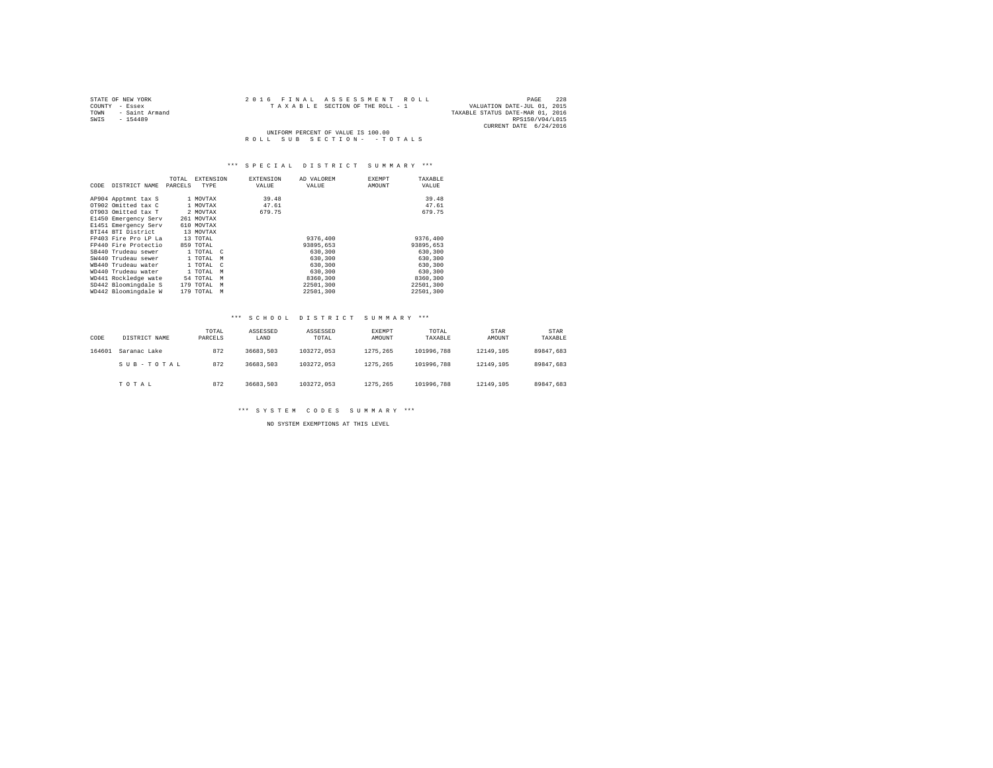| STATE OF NEW YORK      | 2016 FINAL ASSESSMENT ROLL         | 228<br>PAGE                      |
|------------------------|------------------------------------|----------------------------------|
| COUNTY - Essex         | TAXABLE SECTION OF THE ROLL - 1    | VALUATION DATE-JUL 01, 2015      |
| - Saint Armand<br>TOWN |                                    | TAXABLE STATUS DATE-MAR 01, 2016 |
| SWIS<br>$-154489$      |                                    | RPS150/V04/L015                  |
|                        |                                    | CURRENT DATE 6/24/2016           |
|                        | UNIFORM PERCENT OF VALUE IS 100.00 |                                  |
|                        | ROLL SUB SECTION- - TOTALS         |                                  |

| CODE | DISTRICT NAME        | TOTAL<br>PARCELS | <b>EXTENSION</b><br>TYPE |   | <b>EXTENSION</b><br>VALUE | AD VALOREM<br>VALUE | <b>EXEMPT</b><br>AMOUNT | TAXABLE<br>VALUE |
|------|----------------------|------------------|--------------------------|---|---------------------------|---------------------|-------------------------|------------------|
|      | AP904 Apptmnt tax S  |                  | 1 MOVTAX                 |   | 39.48                     |                     |                         | 39.48            |
|      | OT902 Omitted tax C  |                  | 1 MOVTAX                 |   | 47.61                     |                     |                         | 47.61            |
|      | OT903 Omitted tax T  |                  | 2 MOVTAX                 |   | 679.75                    |                     |                         | 679.75           |
|      | E1450 Emergency Serv |                  | 261 MOVTAX               |   |                           |                     |                         |                  |
|      | E1451 Emergency Serv |                  | 610 MOVTAX               |   |                           |                     |                         |                  |
|      | BTI44 BTI District   |                  | 13 MOVTAX                |   |                           |                     |                         |                  |
|      | FP403 Fire Pro LP La |                  | 13 TOTAL                 |   |                           | 9376,400            |                         | 9376,400         |
|      | FP440 Fire Protectio |                  | 859 TOTAL                |   |                           | 93895.653           |                         | 93895,653        |
|      | SB440 Trudeau sewer  |                  | 1 TOTAL C                |   |                           | 630,300             |                         | 630,300          |
|      | SW440 Trudeau sewer  |                  | 1 TOTAL<br>M             |   |                           | 630,300             |                         | 630,300          |
|      | WR440 Trudeau water  |                  | 1 TOTAL<br>$\mathbb{C}$  |   |                           | 630,300             |                         | 630,300          |
|      | WD440 Trudeau water  |                  | 1 TOTAL                  | M |                           | 630,300             |                         | 630,300          |
|      | WD441 Rockledge wate |                  | 54 TOTAL                 | M |                           | 8360,300            |                         | 8360,300         |
|      | SD442 Bloomingdale S |                  | 179 TOTAL                | M |                           | 22501,300           |                         | 22501,300        |
|      | WD442 Bloomingdale W |                  | 179 TOTAL                | M |                           | 22501.300           |                         | 22501,300        |

#### \*\*\* S C H O O L D I S T R I C T S U M M A R Y \*\*\*

| CODE   | DISTRICT NAME | TOTAL<br>PARCELS | ASSESSED<br>LAND | ASSESSED<br>TOTAL | EXEMPT<br>AMOUNT | TOTAL<br>TAXABLE | <b>STAR</b><br>AMOUNT | <b>STAR</b><br>TAXABLE |
|--------|---------------|------------------|------------------|-------------------|------------------|------------------|-----------------------|------------------------|
| 164601 | Saranac Lake  | 872              | 36683.503        | 103272.053        | 1275.265         | 101996.788       | 12149.105             | 89847.683              |
|        | SUB-TOTAL     | 872              | 36683.503        | 103272.053        | 1275.265         | 101996.788       | 12149.105             | 89847.683              |
|        | TOTAL         | 872              | 36683.503        | 103272.053        | 1275.265         | 101996.788       | 12149.105             | 89847.683              |

\*\*\* S Y S T E M C O D E S S U M M A R Y \*\*\*

NO SYSTEM EXEMPTIONS AT THIS LEVEL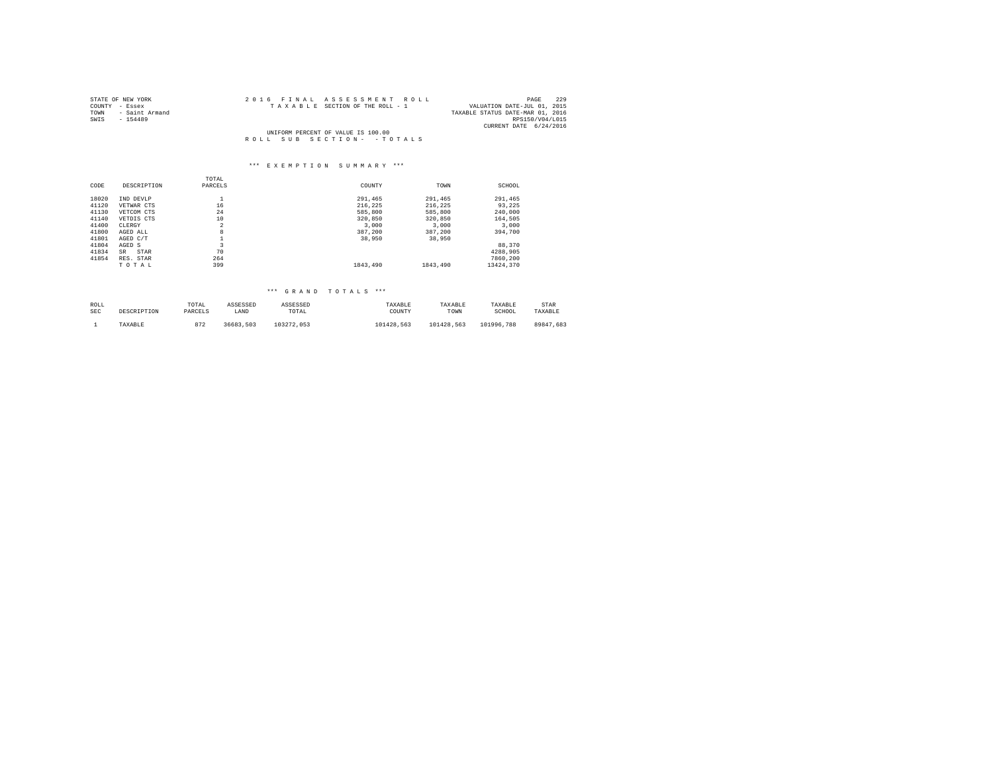| STATE OF NEW YORK                  | 2016 FINAL ASSESSMENT ROLL      | 229<br>PAGE                      |  |  |  |  |  |
|------------------------------------|---------------------------------|----------------------------------|--|--|--|--|--|
| COUNTY - Essex                     | TAXABLE SECTION OF THE ROLL - 1 | VALUATION DATE-JUL 01, 2015      |  |  |  |  |  |
| TOWN<br>- Saint Armand             |                                 | TAXABLE STATUS DATE-MAR 01, 2016 |  |  |  |  |  |
| SWIS<br>$-154489$                  |                                 | RPS150/V04/L015                  |  |  |  |  |  |
|                                    |                                 | CURRENT DATE 6/24/2016           |  |  |  |  |  |
| UNIFORM PERCENT OF VALUE IS 100.00 |                                 |                                  |  |  |  |  |  |
|                                    | ROLL SUB SECTION- - TOTALS      |                                  |  |  |  |  |  |

# \*\*\* E X E M P T I O N S U M M A R Y \*\*\*

|       |             | TOTAL          |                                     |          |           |
|-------|-------------|----------------|-------------------------------------|----------|-----------|
| CODE  | DESCRIPTION | PARCELS        | COUNTY                              | TOWN     | SCHOOL    |
| 18020 | IND DEVLP   | ÷.             | 291,465                             | 291,465  | 291,465   |
| 41120 | VETWAR CTS  | 16             | 216,225                             | 216,225  | 93,225    |
| 41130 | VETCOM CTS  | 24             | 585,800                             | 585,800  | 240,000   |
| 41140 | VETDIS CTS  | 10             | 320,850                             | 320,850  | 164.505   |
| 41400 | CLERGY      | $\overline{a}$ | 3,000                               | 3,000    | 3,000     |
| 41800 | AGED ALL    | 8              | 387.200                             | 387,200  | 394,700   |
| 41801 | AGED C/T    | ∸              | 38,950                              | 38,950   |           |
| 41804 | AGED S      | 3              |                                     |          | 88,370    |
| 41834 | STAR<br>SR  | 70             |                                     |          | 4288,905  |
| 41854 | RES. STAR   | 264            |                                     |          | 7860,200  |
|       | TOTAL       | 399            | 1843,490                            | 1843,490 | 13424,370 |
|       |             |                |                                     |          |           |
|       |             |                |                                     |          |           |
|       |             |                | $***$<br>$* * *$<br>GRAND<br>TOTALS |          |           |

| ROLL       | DESCRIPTION | TOTAL   | ASSESSED  | ASSESSED   | TAXABLE    | TAXARLE    | TAXABLE    | STAR      |
|------------|-------------|---------|-----------|------------|------------|------------|------------|-----------|
| <b>SEC</b> |             | PARCELS | LAND      | TOTAL      | COUNTY     | TOWN       | SCHOOL     | TAXABLE   |
|            | TAXABLE     | 872     | 36683.503 | 103272.053 | 101428.563 | 101428.563 | 101996.788 | 89847.683 |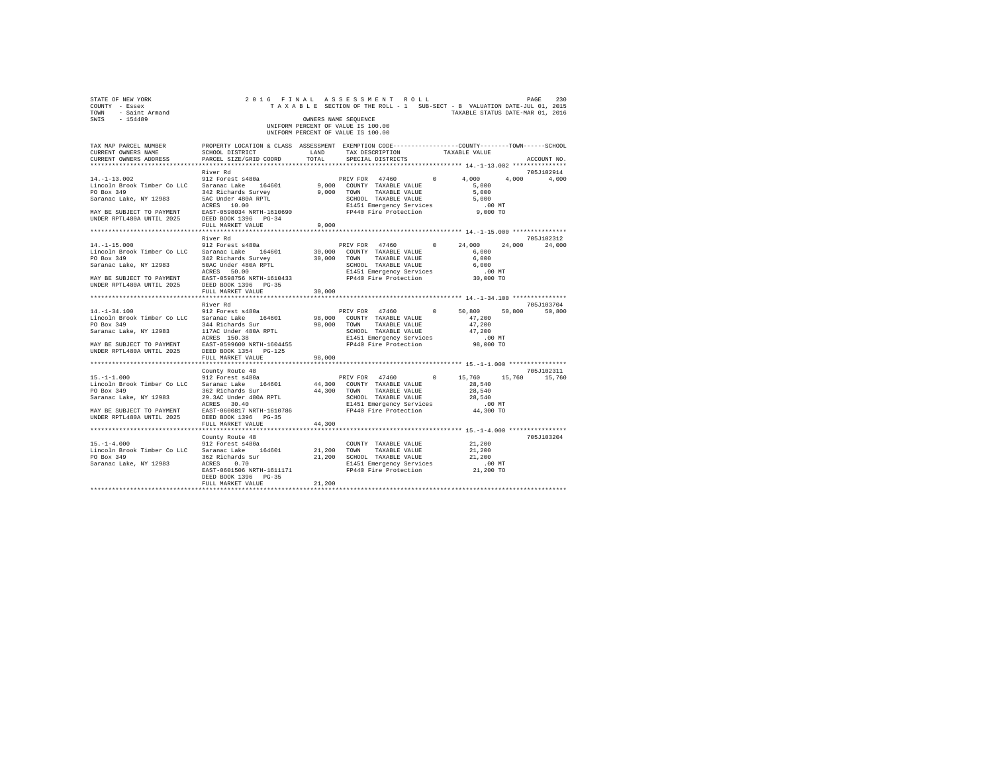| STATE OF NEW YORK<br>COUNTY - Essex<br>TOWN - Saint Armand<br>SWIS - 154489                                                                                                                                                                                                                                                                                                                      | 2016 FINAL ASSESSMENT ROLL                                                                                                                | OWNERS NAME SEQUENCE<br>UNIFORM PERCENT OF VALUE IS 100.00<br>UNIFORM PERCENT OF VALUE IS 100.00 |                      |  | TAXABLE SECTION OF THE ROLL - 1 SUB-SECT - B VALUATION DATE-JUL 01, 2015<br>TAXABLE STATUS DATE-MAR 01, 2016 | PAGE<br>230 |
|--------------------------------------------------------------------------------------------------------------------------------------------------------------------------------------------------------------------------------------------------------------------------------------------------------------------------------------------------------------------------------------------------|-------------------------------------------------------------------------------------------------------------------------------------------|--------------------------------------------------------------------------------------------------|----------------------|--|--------------------------------------------------------------------------------------------------------------|-------------|
| TAX MAP PARCEL NUMBER<br>CURRENT OWNERS NAME<br>CURRENT OWNERS ADDRESS PARCEL SIZE/GRID COORD TOTAL                                                                                                                                                                                                                                                                                              | PROPERTY LOCATION & CLASS ASSESSMENT EXEMPTION CODE-----------------COUNTY-------TOWN------SCHOOL<br>SCHOOL DISTRICT LAND TAX DESCRIPTION |                                                                                                  | SPECIAL DISTRICTS    |  | TAXABLE VALUE                                                                                                | ACCOUNT NO. |
|                                                                                                                                                                                                                                                                                                                                                                                                  | River Rd                                                                                                                                  |                                                                                                  |                      |  |                                                                                                              | 705J102914  |
| $\begin{tabular}{lcccc} $4\texttt{--1--1-1.5}.\, \color{blue}012 & \texttt{Forest 8480a} & \texttt{PRIV FOR} & 47460 & 0 & 4,000 & 4,000 & 4,000 \\ \texttt{Linrocln } Brob & Saranaca Lake, NY & 12983 & 342 \texttt{ Richard} & 164601 & 9,000 & \texttt{COMNT} & TAXABLE VAUJE & 5,000 \\ \texttt{Soaanaca Lake, NY & 12983 & 342 \texttt{ Richard} & 800k RPTI & 9,000 & \texttt{COMNT} & T$ |                                                                                                                                           |                                                                                                  |                      |  | PRIV FOR 47460 0 4,000 4,000 4,000                                                                           |             |
|                                                                                                                                                                                                                                                                                                                                                                                                  |                                                                                                                                           |                                                                                                  |                      |  |                                                                                                              |             |
|                                                                                                                                                                                                                                                                                                                                                                                                  |                                                                                                                                           |                                                                                                  |                      |  |                                                                                                              |             |
|                                                                                                                                                                                                                                                                                                                                                                                                  |                                                                                                                                           |                                                                                                  |                      |  |                                                                                                              |             |
|                                                                                                                                                                                                                                                                                                                                                                                                  |                                                                                                                                           |                                                                                                  |                      |  |                                                                                                              |             |
|                                                                                                                                                                                                                                                                                                                                                                                                  |                                                                                                                                           |                                                                                                  |                      |  |                                                                                                              |             |
|                                                                                                                                                                                                                                                                                                                                                                                                  |                                                                                                                                           |                                                                                                  |                      |  |                                                                                                              |             |
|                                                                                                                                                                                                                                                                                                                                                                                                  |                                                                                                                                           |                                                                                                  |                      |  |                                                                                                              |             |
|                                                                                                                                                                                                                                                                                                                                                                                                  |                                                                                                                                           |                                                                                                  |                      |  |                                                                                                              | 705J102312  |
|                                                                                                                                                                                                                                                                                                                                                                                                  |                                                                                                                                           |                                                                                                  |                      |  | PRIV FOR 47460 0 24,000 24,000                                                                               | 24,000      |
|                                                                                                                                                                                                                                                                                                                                                                                                  |                                                                                                                                           |                                                                                                  |                      |  |                                                                                                              |             |
|                                                                                                                                                                                                                                                                                                                                                                                                  |                                                                                                                                           |                                                                                                  |                      |  |                                                                                                              |             |
|                                                                                                                                                                                                                                                                                                                                                                                                  |                                                                                                                                           |                                                                                                  |                      |  |                                                                                                              |             |
|                                                                                                                                                                                                                                                                                                                                                                                                  |                                                                                                                                           |                                                                                                  |                      |  |                                                                                                              |             |
|                                                                                                                                                                                                                                                                                                                                                                                                  |                                                                                                                                           |                                                                                                  |                      |  |                                                                                                              |             |
|                                                                                                                                                                                                                                                                                                                                                                                                  |                                                                                                                                           |                                                                                                  |                      |  |                                                                                                              |             |
|                                                                                                                                                                                                                                                                                                                                                                                                  | FULL MARKET VALUE                                                                                                                         | 30,000                                                                                           |                      |  |                                                                                                              |             |
|                                                                                                                                                                                                                                                                                                                                                                                                  |                                                                                                                                           |                                                                                                  |                      |  |                                                                                                              |             |
|                                                                                                                                                                                                                                                                                                                                                                                                  |                                                                                                                                           |                                                                                                  |                      |  |                                                                                                              |             |
|                                                                                                                                                                                                                                                                                                                                                                                                  |                                                                                                                                           |                                                                                                  |                      |  |                                                                                                              |             |
|                                                                                                                                                                                                                                                                                                                                                                                                  |                                                                                                                                           |                                                                                                  |                      |  |                                                                                                              |             |
|                                                                                                                                                                                                                                                                                                                                                                                                  |                                                                                                                                           |                                                                                                  |                      |  |                                                                                                              |             |
|                                                                                                                                                                                                                                                                                                                                                                                                  |                                                                                                                                           |                                                                                                  |                      |  |                                                                                                              |             |
|                                                                                                                                                                                                                                                                                                                                                                                                  |                                                                                                                                           |                                                                                                  |                      |  |                                                                                                              |             |
|                                                                                                                                                                                                                                                                                                                                                                                                  |                                                                                                                                           |                                                                                                  |                      |  |                                                                                                              |             |
|                                                                                                                                                                                                                                                                                                                                                                                                  | FULL MARKET VALUE                                                                                                                         | 98,000                                                                                           |                      |  |                                                                                                              |             |
|                                                                                                                                                                                                                                                                                                                                                                                                  |                                                                                                                                           |                                                                                                  |                      |  |                                                                                                              |             |
|                                                                                                                                                                                                                                                                                                                                                                                                  | County Route 48                                                                                                                           |                                                                                                  |                      |  |                                                                                                              | 705J102311  |
| $15. - 1 - 1.000$                                                                                                                                                                                                                                                                                                                                                                                | 912 Forest s480a                                                                                                                          |                                                                                                  |                      |  | PRIV FOR 47460 0 15,760 15,760 15,760                                                                        |             |
| Lincoln Brook Timber Co LLC Saranac Lake 164601                                                                                                                                                                                                                                                                                                                                                  | 362 Richards Sur                                                                                                                          | 44,300 COUNTY TAXABLE VALUE<br>44.300 TOWN TAXABLE VALUE                                         |                      |  | 28,540                                                                                                       |             |
| PO Box 349<br>Saranac Lake, NY 12983                                                                                                                                                                                                                                                                                                                                                             |                                                                                                                                           |                                                                                                  |                      |  | 28,540                                                                                                       |             |
|                                                                                                                                                                                                                                                                                                                                                                                                  | 29.3AC Under 480A RPTL<br>ACRES 30.40                                                                                                     |                                                                                                  |                      |  | SCHOOL TAXABLE VALUE 28,540<br>E1451 Emergency Services 00 MT<br>FP440 Fire Protection 44,300 TO             |             |
| $\begin{array}{lll} \texttt{MAX} & \texttt{BE} & \texttt{SUBJECT} & \texttt{TO} & \texttt{PAYMENT} & \texttt{EAST-0600817} & \texttt{NRTH-1610786}\\ \texttt{UNDER RPTL480A UNTIL} & 2025 & \texttt{DEED BOK} & 1396 & \texttt{PG-35} \end{array}$                                                                                                                                               |                                                                                                                                           |                                                                                                  |                      |  |                                                                                                              |             |
|                                                                                                                                                                                                                                                                                                                                                                                                  |                                                                                                                                           |                                                                                                  |                      |  |                                                                                                              |             |
|                                                                                                                                                                                                                                                                                                                                                                                                  | FULL MARKET VALUE                                                                                                                         | 44,300                                                                                           |                      |  |                                                                                                              |             |
|                                                                                                                                                                                                                                                                                                                                                                                                  |                                                                                                                                           |                                                                                                  |                      |  |                                                                                                              |             |
|                                                                                                                                                                                                                                                                                                                                                                                                  | County Route 48                                                                                                                           |                                                                                                  |                      |  |                                                                                                              | 705J103204  |
| $15. -1 - 4.000$                                                                                                                                                                                                                                                                                                                                                                                 | 912 Forest s480a                                                                                                                          |                                                                                                  | COUNTY TAXABLE VALUE |  | 21,200                                                                                                       |             |
| Lincoln Brook Timber Co LLC Saranac Lake 164601                                                                                                                                                                                                                                                                                                                                                  |                                                                                                                                           | 21,200 TOWN                                                                                      | TAXABLE VALUE        |  | 21,200                                                                                                       |             |
|                                                                                                                                                                                                                                                                                                                                                                                                  |                                                                                                                                           |                                                                                                  |                      |  | 21,200                                                                                                       |             |
|                                                                                                                                                                                                                                                                                                                                                                                                  |                                                                                                                                           |                                                                                                  |                      |  | 00 MT.<br>21,200 TO                                                                                          |             |
|                                                                                                                                                                                                                                                                                                                                                                                                  |                                                                                                                                           |                                                                                                  |                      |  |                                                                                                              |             |
|                                                                                                                                                                                                                                                                                                                                                                                                  | DEED BOOK 1396 PG-35<br>FULL MARKET VALUE                                                                                                 | 21,200                                                                                           |                      |  |                                                                                                              |             |
|                                                                                                                                                                                                                                                                                                                                                                                                  |                                                                                                                                           |                                                                                                  |                      |  |                                                                                                              |             |
|                                                                                                                                                                                                                                                                                                                                                                                                  |                                                                                                                                           |                                                                                                  |                      |  |                                                                                                              |             |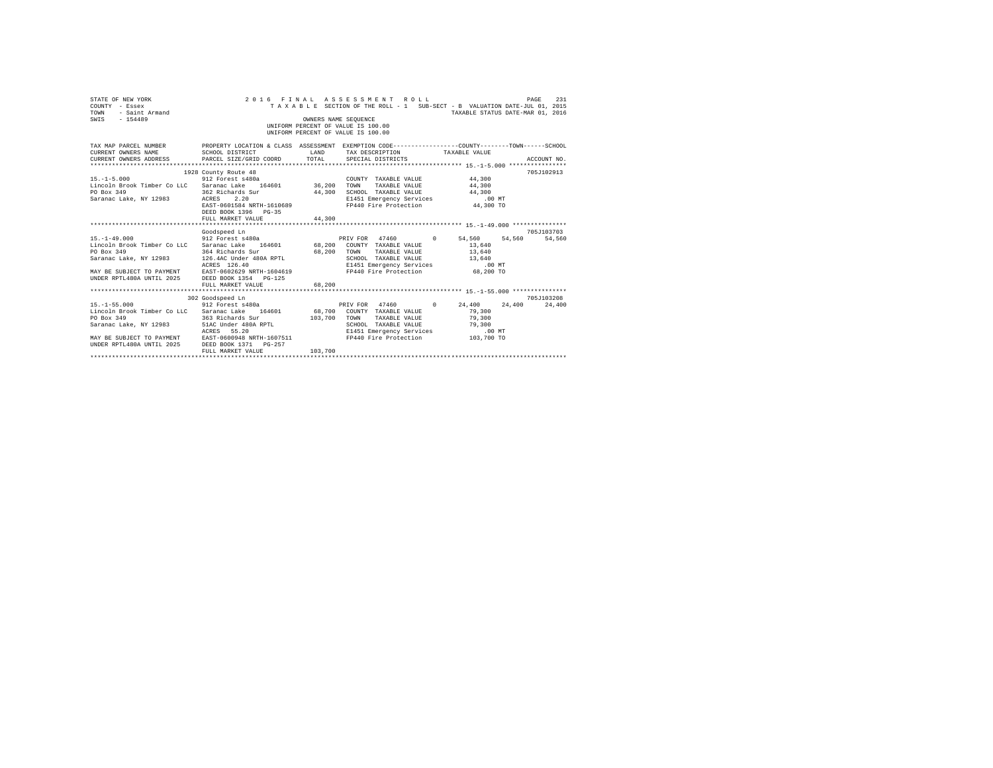| STATE OF NEW YORK<br>COUNTY - Essex<br>- Saint Armand<br>TOWN<br>SWIS - 154489                                                                                                                                                                                                                                                                                          |                                                                                                                                                                          | OWNERS NAME SEQUENCE    | 2016 FINAL ASSESSMENT ROLL<br>TAXABLE SECTION OF THE ROLL - 1 SUB-SECT - B VALUATION DATE-JUL 01, 2015<br>UNIFORM PERCENT OF VALUE IS 100.00<br>UNIFORM PERCENT OF VALUE IS 100.00 | TAXABLE STATUS DATE-MAR 01, 2016 | 231<br>PAGE |
|-------------------------------------------------------------------------------------------------------------------------------------------------------------------------------------------------------------------------------------------------------------------------------------------------------------------------------------------------------------------------|--------------------------------------------------------------------------------------------------------------------------------------------------------------------------|-------------------------|------------------------------------------------------------------------------------------------------------------------------------------------------------------------------------|----------------------------------|-------------|
| TAX MAP PARCEL NUMBER PROPERTY LOCATION & CLASS ASSESSMENT EXEMPTION CODE--------------COUNTY-------TOWN-----SCHOOL<br>CURRENT OWNERS NAME SCHOOL DISTRICT<br>CURRENT OWNERS ADDRESS PARCEL SIZE/GRID COORD                                                                                                                                                             | <b>LAND</b>                                                                                                                                                              | TOTAL                   | TAX DESCRIPTION TAXABLE VALUE<br>SPECIAL DISTRICTS                                                                                                                                 |                                  | ACCOUNT NO. |
| COUNT 912 Forest s480a<br>Lincoln Brook Timber Co LLC Saranac Lake 164601 36,200 TOWN<br>PO Box 349<br>Saranac Lake, NY 12983 ACRES                                                                                                                                                                                                                                     | 1928 County Route 48<br>362 Richards Sur<br>2.20<br>EXERS 2.20<br>EAST-0601584 NRTH-1610689 FP440 Fire Protection 44,300 TO<br>DEED BOOK 1396 PG-35<br>FULL MARKET VALUE | 44,300<br>44,300        | COUNTY TAXABLE VALUE<br>TAXABLE VALUE<br>SCHOOL TAXABLE VALUE 44,300<br>E1451 Emergency Services                                                                                   | 44,300<br>44,300<br>$.00$ MT     | 705J102913  |
| 15.-1-49.000 54.560 912 Forest s480a PRIV FOR 47460 0 54.560 54.560 54.560<br>Lincoln Brook Timber Co LLC Saranac Lake 164601 68,200 COUNTY TAXABLE VALUE 13,640<br>PO Box 349<br>Saranac Lake, NY 12983 126.4AC Under 480A RPTL<br>MAY BE SUBJECT TO PAYMENT<br>UNDER RPTL480A UNTIL 2025 BAST-0602629 NRTH-1604619<br>UNDER RPTL480A UNTIL 2025 DEED BOOK 1354 PG-125 | Goodspeed Ln<br>364 Richards Sur 68,200 TOWN<br>ACRES 126.40<br>FULL MARKET VALUE                                                                                        | 68,200                  | TAXABLE VALUE 13,640<br>SCHOOL TAXABLE VALUE 13,640<br>E1451 Emergency Services<br>FP440 Fire Protection                                                                           | .00 MT<br>68,200 TO              | 705J103703  |
| $15. - 1 - 55.000$<br>Lincoln Brook Timber Co LLC Saranac Lake 164601 68,700 COUNTY TAXABLE VALUE<br>PO Box 349<br>MAY BE SUBJECT TO PAYMENT EAST-0600948 NRTH-1607511<br>UNDER RPTL480A UNTIL 2025 DEED BOOK 1371 PG-257                                                                                                                                               | 302 Goodspeed Ln<br>Goodspeed Ln<br>912 Forest s480a<br>363 Richards Sur<br>FULL MARKET VALUE                                                                            | 103,700 TOWN<br>103,700 | PRIV FOR 47460 0 24,400 24,400 24,400<br>TAXABLE VALUE<br>SCHOOL TAXABLE VALUE<br>E1451 Emergency Services .00 MT<br>FP440 Fire Protection 103,700 TO                              | 79,300<br>79,300<br>79,300       | 705J103208  |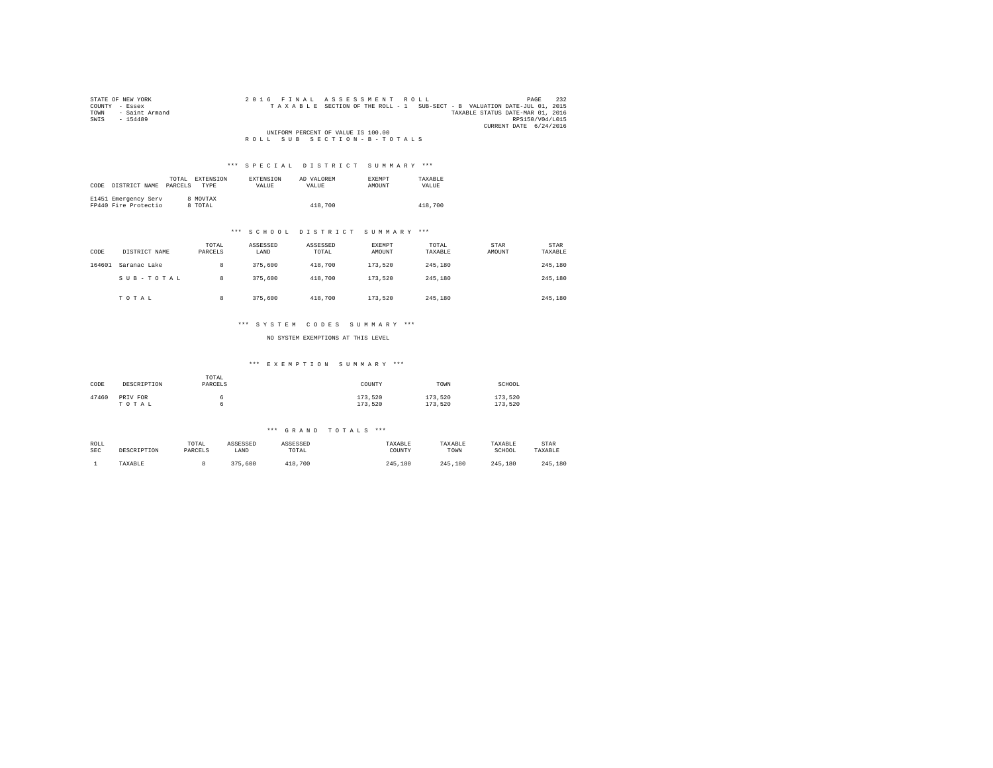| STATE OF NEW YORK      | 2016 FINAL ASSESSMENT ROLL                                               | 232<br>PAGE            |
|------------------------|--------------------------------------------------------------------------|------------------------|
| COUNTY - Essex         | TAXABLE SECTION OF THE ROLL - 1 SUB-SECT - B VALUATION DATE-JUL 01, 2015 |                        |
| - Saint Armand<br>TOWN | TAXABLE STATUS DATE-MAR 01, 2016                                         |                        |
| SWTS<br>$-154489$      |                                                                          | RPS150/V04/L015        |
|                        |                                                                          | CURRENT DATE 6/24/2016 |
|                        | UNIFORM PERCENT OF VALUE IS 100.00                                       |                        |
|                        | ROLL SUB SECTION-B-TOTALS                                                |                        |

| CODE | DISTRICT NAME                                | TOTAL.<br>PARCELS | EXTENSION<br><b>TYPE</b> | <b>EXTENSION</b><br><b>VALUE</b> | AD VALOREM<br>VALUE. | <b>EXEMPT</b><br>AMOUNT | TAXARLE<br><b>VALUE</b> |
|------|----------------------------------------------|-------------------|--------------------------|----------------------------------|----------------------|-------------------------|-------------------------|
|      | E1451 Emergency Serv<br>FP440 Fire Protectio |                   | 8 MOVTAX<br>8 TOTAL      |                                  | 418,700              |                         | 418,700                 |

#### \*\*\* S C H O O L D I S T R I C T S U M M A R Y \*\*\*

| CODE   | DISTRICT NAME | TOTAL<br>PARCELS | ASSESSED<br>LAND | ASSESSED<br>TOTAL | EXEMPT<br>AMOUNT | TOTAL<br>TAXABLE | <b>STAR</b><br>AMOUNT | <b>STAR</b><br>TAXABLE |
|--------|---------------|------------------|------------------|-------------------|------------------|------------------|-----------------------|------------------------|
| 164601 | Saranac Lake  | 8                | 375,600          | 418,700           | 173,520          | 245,180          |                       | 245,180                |
|        | SUB-TOTAL     | 8                | 375,600          | 418,700           | 173,520          | 245,180          |                       | 245,180                |
|        | TOTAL         | 8                | 375,600          | 418,700           | 173,520          | 245,180          |                       | 245,180                |

#### \*\*\* S Y S T E M C O D E S S U M M A R Y \*\*\*

NO SYSTEM EXEMPTIONS AT THIS LEVEL

#### \*\*\* E X E M P T I O N S U M M A R Y \*\*\*

| CODE  | DESCRIPTION       | TOTAL<br>PARCELS | COUNTY             | TOWN               | SCHOOL             |
|-------|-------------------|------------------|--------------------|--------------------|--------------------|
| 47460 | PRIV FOR<br>TOTAL |                  | 173,520<br>173.520 | 173.520<br>173.520 | 173.520<br>173.520 |

#### \*\*\* G R A N D T O T A L S \*\*\*

| ROLL       | DESCRIPTION | TOTAL   | ASSESSED | ASSESSED    | TAXABLE     | TAXABLE | TAXABLE     | STAR    |
|------------|-------------|---------|----------|-------------|-------------|---------|-------------|---------|
| <b>SEC</b> |             | PARCELS | LAND     | TOTAL       | COUNTY      | TOWN    | SCHOOL      | TAXABLE |
|            | TAXABLE     |         | 375,600  | 700<br>418. | 245<br>.180 | 245.180 | 245<br>.180 | 245,180 |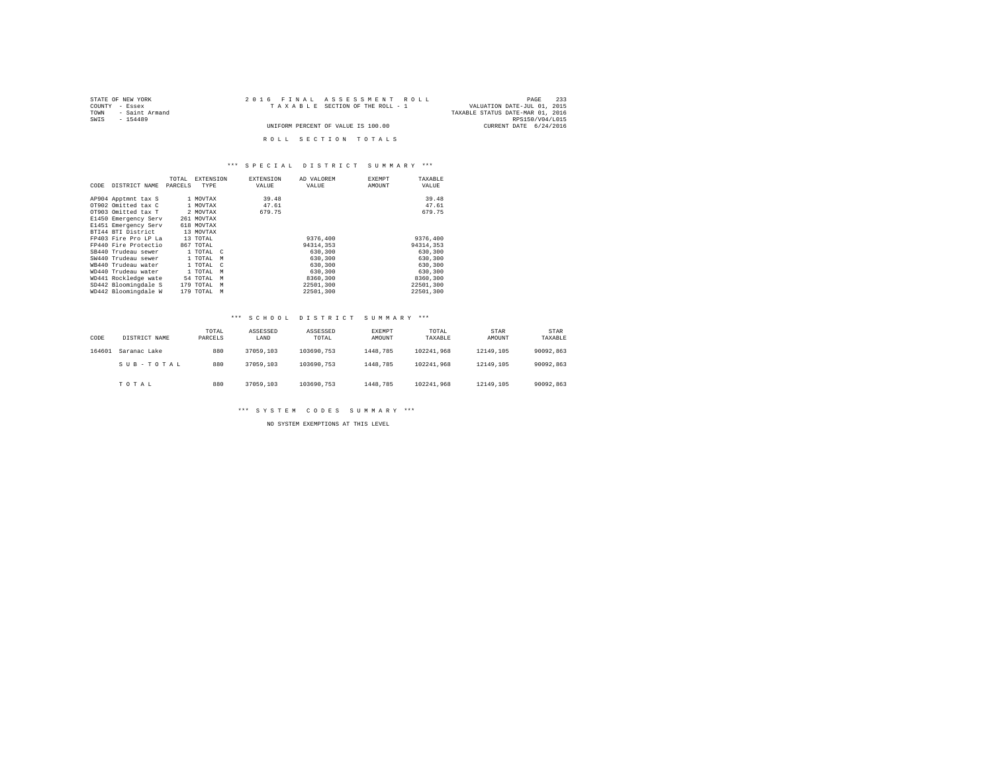| STATE OF NEW YORK      | 2016 FINAL ASSESSMENT ROLL         | 233<br>PAGE                      |
|------------------------|------------------------------------|----------------------------------|
| COUNTY - Essex         | TAXABLE SECTION OF THE ROLL - 1    | VALUATION DATE-JUL 01, 2015      |
| - Saint Armand<br>TOWN |                                    | TAXABLE STATUS DATE-MAR 01, 2016 |
| SWTS<br>$-154489$      |                                    | RPS150/V04/L015                  |
|                        | UNIFORM PERCENT OF VALUE IS 100.00 | CURRENT DATE 6/24/2016           |
|                        |                                    |                                  |
|                        | ROLL SECTION TOTALS                |                                  |

| CODE | DISTRICT NAME        | TOTAL<br>PARCELS | <b>EXTENSION</b><br>TYPE | <b>EXTENSION</b><br>VALUE | AD VALOREM<br>VALUE | <b>EXEMPT</b><br>AMOUNT | TAXABLE<br>VALUE |
|------|----------------------|------------------|--------------------------|---------------------------|---------------------|-------------------------|------------------|
|      | AP904 Apptmnt tax S  |                  | 1 MOVTAX                 | 39.48                     |                     |                         | 39.48            |
|      | OT902 Omitted tax C  |                  | 1 MOVTAX                 | 47.61                     |                     |                         | 47.61            |
|      | OT903 Omitted tax T  |                  | 2 MOVTAX                 | 679.75                    |                     |                         | 679.75           |
|      | E1450 Emergency Serv |                  | 261 MOVTAX               |                           |                     |                         |                  |
|      | E1451 Emergency Serv |                  | 618 MOVTAX               |                           |                     |                         |                  |
|      | BTI44 BTI District   |                  | 13 MOVTAX                |                           |                     |                         |                  |
|      | FP403 Fire Pro LP La |                  | 13 TOTAL                 |                           | 9376.400            |                         | 9376,400         |
|      | FP440 Fire Protectio |                  | 867 TOTAL                |                           | 94314,353           |                         | 94314,353        |
|      | SB440 Trudeau sewer  |                  | 1 TOTAL C                |                           | 630,300             |                         | 630,300          |
|      | SW440 Trudeau sewer  |                  | 1 TOTAL<br>M             |                           | 630,300             |                         | 630,300          |
|      | WR440 Trudeau water  |                  | 1 TOTAL<br>$\mathbb{C}$  |                           | 630,300             |                         | 630,300          |
|      | WD440 Trudeau water  |                  | 1 TOTAL                  | M                         | 630,300             |                         | 630,300          |
|      | WD441 Rockledge wate |                  | 54 TOTAL                 | M                         | 8360,300            |                         | 8360,300         |
|      | SD442 Bloomingdale S |                  | 179 TOTAL<br>M           |                           | 22501.300           |                         | 22501.300        |
|      | WD442 Bloomingdale W |                  | 179 TOTAL                | M                         | 22501.300           |                         | 22501.300        |

#### \*\*\* S C H O O L D I S T R I C T S U M M A R Y \*\*\*

| CODE   | DISTRICT NAME | TOTAL<br>PARCELS | ASSESSED<br>LAND | ASSESSED<br>TOTAL | EXEMPT<br>AMOUNT | TOTAL<br>TAXABLE | STAR<br>AMOUNT | STAR<br>TAXABLE |
|--------|---------------|------------------|------------------|-------------------|------------------|------------------|----------------|-----------------|
| 164601 | Saranac Lake  | 880              | 37059,103        | 103690.753        | 1448.785         | 102241.968       | 12149.105      | 90092.863       |
|        | SUB-TOTAL     | 880              | 37059,103        | 103690.753        | 1448.785         | 102241.968       | 12149.105      | 90092.863       |
|        | TOTAL         | 880              | 37059,103        | 103690.753        | 1448.785         | 102241.968       | 12149.105      | 90092.863       |

\*\*\* S Y S T E M C O D E S S U M M A R Y \*\*\*

NO SYSTEM EXEMPTIONS AT THIS LEVEL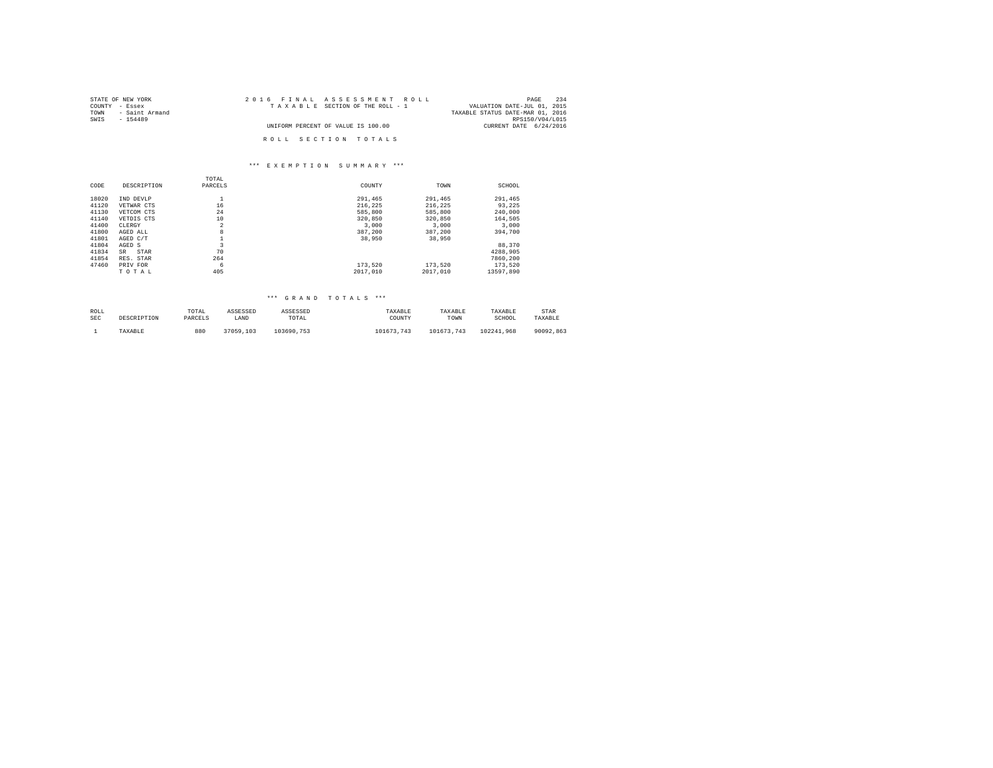| 2016 FINAL ASSESSMENT ROLL         | 234<br>PAGE                      |
|------------------------------------|----------------------------------|
| TAXABLE SECTION OF THE ROLL - 1    | VALUATION DATE-JUL 01, 2015      |
|                                    | TAXABLE STATUS DATE-MAR 01, 2016 |
|                                    | RPS150/V04/L015                  |
| UNIFORM PERCENT OF VALUE IS 100.00 | CURRENT DATE 6/24/2016           |
|                                    |                                  |
| ROLL SECTION TOTALS                |                                  |
|                                    |                                  |

## \*\*\* E X E M P T I O N S U M M A R Y \*\*\*

|       |             | TOTAL          |          |          |           |
|-------|-------------|----------------|----------|----------|-----------|
| CODE  | DESCRIPTION | PARCELS        | COUNTY   | TOWN     | SCHOOL    |
| 18020 | IND DEVLP   |                | 291.465  | 291,465  | 291,465   |
| 41120 | VETWAR CTS  | 16             | 216.225  | 216.225  | 93.225    |
| 41130 | VETCOM CTS  | 24             | 585,800  | 585,800  | 240,000   |
| 41140 | VETDIS CTS  | 10             | 320,850  | 320,850  | 164.505   |
| 41400 | CLERGY      | $\overline{a}$ | 3,000    | 3,000    | 3,000     |
| 41800 | AGED ALL    | 8              | 387,200  | 387.200  | 394,700   |
| 41801 | AGED C/T    |                | 38,950   | 38,950   |           |
| 41804 | AGED S      | 3              |          |          | 88,370    |
| 41834 | SR<br>STAR  | 70             |          |          | 4288.905  |
| 41854 | RES. STAR   | 264            |          |          | 7860.200  |
| 47460 | PRIV FOR    | 6              | 173.520  | 173.520  | 173.520   |
|       | TOTAL       | 405            | 2017.010 | 2017.010 | 13597.890 |

## \*\*\* G R A N D T O T A L S \*\*\*

| ROLL       | DESCRIPTION | TOTAL   | ASSESSED  | ASSESSED   | TAXABLE    | TAXABLE    | TAXABLE    | STAR      |
|------------|-------------|---------|-----------|------------|------------|------------|------------|-----------|
| <b>SEC</b> |             | PARCELS | LAND      | TOTAL      | COUNTY     | TOWN       | SCHOOL     | TAXABLE   |
|            | TAXABLE     | 880     | 37059.103 | 103690.753 | 101673.743 | 101673.743 | 102241.968 | 90092.863 |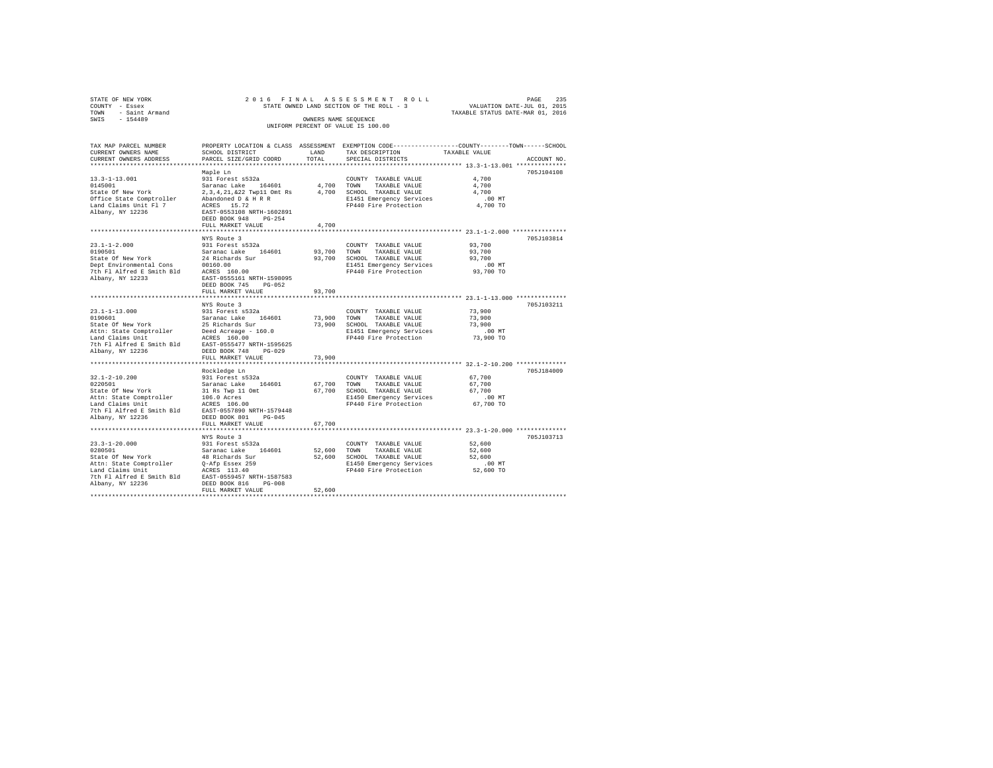| STATE OF NEW YORK                                                                                                                                                           |                                                                                                  |        | 2016 FINAL ASSESSMENT ROLL PAGE 235<br>STATE OWNED LAND SECTION OF THE ROLL - 3 VALUATION DATE-JUL 01, 2015<br>TAXABLE STATUS DATE-MAR 01, 2016 |                  |             |
|-----------------------------------------------------------------------------------------------------------------------------------------------------------------------------|--------------------------------------------------------------------------------------------------|--------|-------------------------------------------------------------------------------------------------------------------------------------------------|------------------|-------------|
| COUNTY - Essex<br>TOWN - Saint Armand                                                                                                                                       |                                                                                                  |        |                                                                                                                                                 |                  |             |
| SWIS - 154489                                                                                                                                                               |                                                                                                  |        | OWNERS NAME SEOUENCE                                                                                                                            |                  |             |
|                                                                                                                                                                             |                                                                                                  |        | UNIFORM PERCENT OF VALUE IS 100.00                                                                                                              |                  |             |
|                                                                                                                                                                             |                                                                                                  |        |                                                                                                                                                 |                  |             |
| TAX MAP PARCEL NUMBER                                                                                                                                                       | PROPERTY LOCATION & CLASS ASSESSMENT EXEMPTION CODE----------------COUNTY-------TOWN------SCHOOL |        |                                                                                                                                                 |                  |             |
| CURRENT OWNERS NAME                                                                                                                                                         | SCHOOL DISTRICT                                                                                  |        | LAND TAX DESCRIPTION TAXABLE VALUE                                                                                                              |                  |             |
| CURRENT OWNERS ADDRESS                                                                                                                                                      | PARCEL SIZE/GRID COORD                                                                           | TOTAL  | SPECIAL DISTRICTS                                                                                                                               |                  | ACCOUNT NO. |
|                                                                                                                                                                             |                                                                                                  |        |                                                                                                                                                 |                  |             |
|                                                                                                                                                                             | Maple Ln                                                                                         |        |                                                                                                                                                 |                  | 705J104108  |
|                                                                                                                                                                             |                                                                                                  |        |                                                                                                                                                 | 4,700            |             |
|                                                                                                                                                                             |                                                                                                  |        |                                                                                                                                                 | 4,700            |             |
|                                                                                                                                                                             |                                                                                                  |        |                                                                                                                                                 | 4,700            |             |
|                                                                                                                                                                             |                                                                                                  |        | E1451 Emergency Services 6.00 MT<br>FP440 Fire Protection 4,700 TO                                                                              |                  |             |
|                                                                                                                                                                             |                                                                                                  |        |                                                                                                                                                 |                  |             |
|                                                                                                                                                                             |                                                                                                  |        |                                                                                                                                                 |                  |             |
|                                                                                                                                                                             |                                                                                                  |        |                                                                                                                                                 |                  |             |
|                                                                                                                                                                             | FULL MARKET VALUE                                                                                | 4,700  |                                                                                                                                                 |                  |             |
|                                                                                                                                                                             | NYS Route 3                                                                                      |        |                                                                                                                                                 |                  | 705J103814  |
| $23.1 - 1 - 2.000$                                                                                                                                                          | 931 Forest s532a                                                                                 |        | COUNTY TAXABLE VALUE 93,700                                                                                                                     |                  |             |
| 0190501                                                                                                                                                                     |                                                                                                  |        | 93.700 TOWN TAXABLE VALUE                                                                                                                       | 93,700           |             |
|                                                                                                                                                                             | Saranac Lake 164601<br>24 Richards Sur                                                           |        |                                                                                                                                                 |                  |             |
|                                                                                                                                                                             |                                                                                                  |        |                                                                                                                                                 |                  |             |
| 919901<br>State Of New York 24 Richards Sur<br>Dept Environmental Cons 00160.00<br>7th Fl Alfred E Smith Bld ACRES 160.00<br>The Platform Constant Constant Constant 160005 |                                                                                                  |        | 93,700 SCHOOL TAXABLE VALUE<br>93,700 SCHOOL TAXABLE VALUE<br>FP440 Fire Protection 93,700 MT<br>FP440 Fire Protection 93,700 TO                |                  |             |
| Albany, NY 12233                                                                                                                                                            | EAST-0555161 NRTH-1598095                                                                        |        |                                                                                                                                                 |                  |             |
|                                                                                                                                                                             | DEED BOOK 745 PG-052                                                                             |        |                                                                                                                                                 |                  |             |
|                                                                                                                                                                             | FULL MARKET VALUE                                                                                | 93,700 |                                                                                                                                                 |                  |             |
|                                                                                                                                                                             |                                                                                                  |        |                                                                                                                                                 |                  |             |
|                                                                                                                                                                             | NYS Route 3                                                                                      |        |                                                                                                                                                 |                  | 705J103211  |
|                                                                                                                                                                             |                                                                                                  |        |                                                                                                                                                 | 73,900           |             |
|                                                                                                                                                                             |                                                                                                  |        |                                                                                                                                                 | 73,900           |             |
|                                                                                                                                                                             |                                                                                                  |        |                                                                                                                                                 | 73,900<br>.00 MT |             |
|                                                                                                                                                                             |                                                                                                  |        |                                                                                                                                                 | 73,900 TO        |             |
|                                                                                                                                                                             |                                                                                                  |        |                                                                                                                                                 |                  |             |
|                                                                                                                                                                             |                                                                                                  |        |                                                                                                                                                 |                  |             |
|                                                                                                                                                                             | FULL MARKET VALUE                                                                                | 73,900 |                                                                                                                                                 |                  |             |
|                                                                                                                                                                             |                                                                                                  |        |                                                                                                                                                 |                  |             |
|                                                                                                                                                                             | Rockledge Ln                                                                                     |        |                                                                                                                                                 |                  | 705J184009  |
| $32.1 - 2 - 10.200$                                                                                                                                                         | 931 Forest s532a                                                                                 |        | COUNTY TAXABLE VALUE                                                                                                                            | 67,700           |             |
| 0220501                                                                                                                                                                     | Saranac Lake 164601 67,700 TOWN                                                                  |        | TAXABLE VALUE                                                                                                                                   | 67,700           |             |
| 9220501<br>State Of New York 31 Rs Twp 11 Omt<br>Attn: State Comptroller 31 Rs Twp 11 Omt<br>Land Claims Unit 16.0 Acres                                                    |                                                                                                  |        | 67,700 SCHOOL TAXABLE VALUE                                                                                                                     | 67,700           |             |
|                                                                                                                                                                             |                                                                                                  |        | E1450 Emergency Services<br>FP440 Fire Protection                                                                                               | $.00$ MT         |             |
|                                                                                                                                                                             |                                                                                                  |        |                                                                                                                                                 | 67,700 TO        |             |
| 7th F1 Alfred E Smith Bld EAST-0557890 NRTH-1579448<br>Albany, NY 12236                                                                                                     | DEED BOOK 801 PG-045                                                                             |        |                                                                                                                                                 |                  |             |
|                                                                                                                                                                             | FULL MARKET VALUE                                                                                | 67,700 |                                                                                                                                                 |                  |             |
|                                                                                                                                                                             |                                                                                                  |        |                                                                                                                                                 |                  |             |
|                                                                                                                                                                             | NYS Route 3                                                                                      |        |                                                                                                                                                 |                  | 705J103713  |
|                                                                                                                                                                             | 931 Forest s532a                                                                                 |        | COUNTY TAXABLE VALUE 52,600                                                                                                                     |                  |             |
|                                                                                                                                                                             |                                                                                                  |        | 52,600 TOWN TAXABLE VALUE                                                                                                                       | 52,600           |             |
|                                                                                                                                                                             |                                                                                                  |        |                                                                                                                                                 |                  |             |
|                                                                                                                                                                             |                                                                                                  |        | 52,600 SCHOOL TAXABLE VALUE 52,600<br>E1450 Emergency Services 52,600<br>FP440 Fire Protection 52,600 TO                                        |                  |             |
|                                                                                                                                                                             |                                                                                                  |        |                                                                                                                                                 |                  |             |
| 7th Fl Alfred E Smith Bld EAST-0559457 NRTH-1587583                                                                                                                         |                                                                                                  |        |                                                                                                                                                 |                  |             |
| Albany, NY 12236                                                                                                                                                            | DEED BOOK 816 PG-008                                                                             |        |                                                                                                                                                 |                  |             |
|                                                                                                                                                                             | FULL MARKET VALUE                                                                                | 52,600 |                                                                                                                                                 |                  |             |
|                                                                                                                                                                             |                                                                                                  |        |                                                                                                                                                 |                  |             |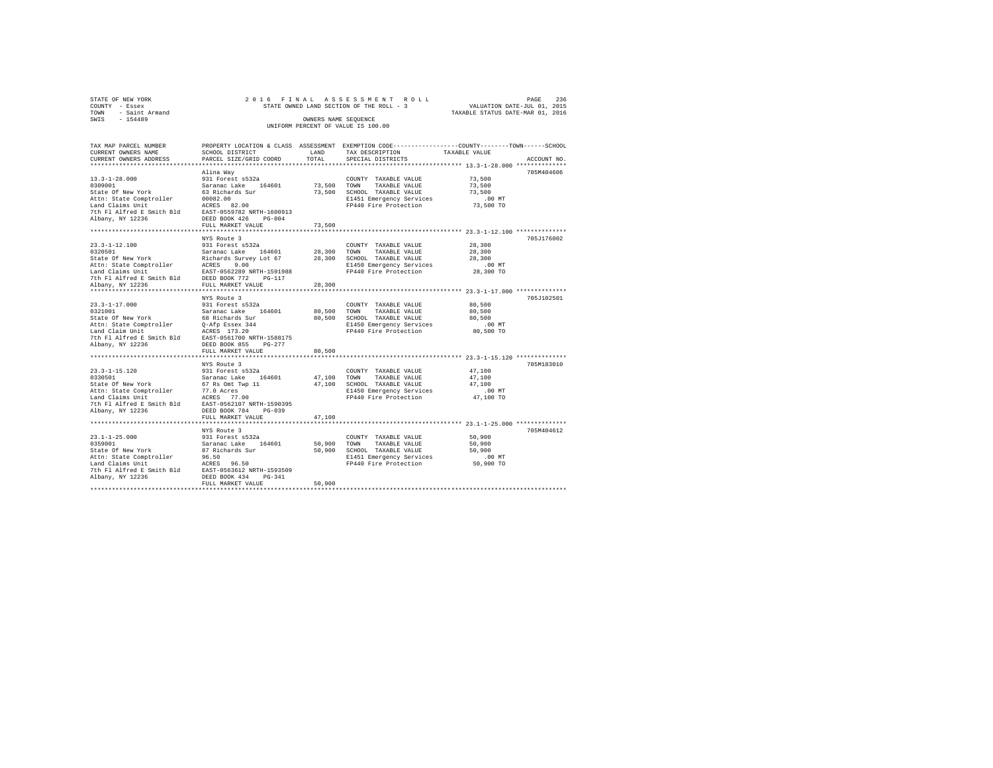| 2016 FINAL ASSESSMENT ROLL               | 236<br>PAGE                      |
|------------------------------------------|----------------------------------|
| STATE OWNED LAND SECTION OF THE ROLL - 3 | VALUATION DATE-JUL 01, 2015      |
|                                          | TAXABLE STATUS DATE-MAR 01, 2016 |
| OWNERS NAME SEOUENCE                     |                                  |
| UNIFORM PERCENT OF VALUE IS 100.00       |                                  |
|                                          |                                  |

| TAX MAP PARCEL NUMBER<br>CURRENT OWNERS NAME                                                                                                                                                                                                              | PROPERTY LOCATION & CLASS ASSESSMENT EXEMPTION CODE----------------COUNTY-------TOWN------SCHOOL<br>SCHOOL DISTRICT | LAND<br>TOTAL         | TAX DESCRIPTION                                                                                                                       | TAXABLE VALUE                                                    |             |
|-----------------------------------------------------------------------------------------------------------------------------------------------------------------------------------------------------------------------------------------------------------|---------------------------------------------------------------------------------------------------------------------|-----------------------|---------------------------------------------------------------------------------------------------------------------------------------|------------------------------------------------------------------|-------------|
| CURRENT OWNERS ADDRESS                                                                                                                                                                                                                                    | PARCEL SIZE/GRID COORD                                                                                              |                       | SPECIAL DISTRICTS                                                                                                                     |                                                                  | ACCOUNT NO. |
| $13.3 - 1 - 28.000$<br>0309001<br>State Of New York<br>Sade of new York 100082.00<br>Attn: State Comptroller 100082.00<br>Land Claims Unit 100082.00<br>7th Fl Alfred 8 Smith Bld 125.87-0559782.007<br>Albany, NY 12236 105ED BOOK 426 PG-004            | Alina Way<br>931 Forest s532a<br>Saranac Lake 164601<br>63 Richards Sur                                             | 73,500 TOWN           | COUNTY TAXABLE VALUE<br>TAXABLE VALUE<br>73,500 SCHOOL TAXABLE VALUE<br>E1451 Emergency Services<br>FP440 Fire Protection             | 73,500<br>73,500<br>73,500<br>$.00$ MT<br>73,500 TO              | 705M404606  |
|                                                                                                                                                                                                                                                           | FULL MARKET VALUE                                                                                                   | 73,500<br>*********** |                                                                                                                                       | ********************************** 23.3-1-12.100 *************** |             |
|                                                                                                                                                                                                                                                           | NYS Route 3                                                                                                         |                       | E1450 Emergency Services<br>FP440 Fire Protection                                                                                     | 28,300<br>28,300<br>28,300<br>$.00$ MT<br>28,300 TO              | 705J176002  |
|                                                                                                                                                                                                                                                           |                                                                                                                     |                       |                                                                                                                                       |                                                                  |             |
| $23.3 - 1 - 17.000$<br>0321001<br>State Of New York<br>Attn: State Comptroller (1974) Essex 344<br>Land Claim Unit (1975) ACRES 173.20<br>7th Fl Alfred E Smith Bld (1985-19561700 NRTH-1588175)<br>Albany, NY 12236                                      | NYS Route 3<br>931 Forest s532a<br>Saranac Lake 164601<br>68 Richards Sur<br>FULL MARKET VALUE                      | 80,500                | COUNTY TAXABLE VALUE<br>80,500 TOWN TAXABLE VALUE<br>80.500 SCHOOL TAXABLE VALUE<br>E1450 Emergency Services<br>FP440 Fire Protection | 80,500<br>80,500<br>80,500<br>$.00$ MT<br>80,500 TO              | 705J102501  |
| $23.3 - 1 - 15.120$<br>0330501<br>State Of New York<br>Nature Team (1997)<br>Land Claims Unit (1997)<br>The Flalfred Essith Bld (1987–1952)<br>The Flalfred Essith Bld (1987–1950)<br>Albany, NY 12236 (1988–1988–1988–1988–1988–1989–1999)               | NYS Route 3<br>931 Forest s532a<br>Saranac Lake 164601<br>67 Rs Omt Twp 11<br>FULL MARKET VALUE                     |                       | COUNTY TAXABLE VALUE<br>47,100 TOWN TAXABLE VALUE<br>47,100 SCHOOL TAXABLE VALUE<br>E1450 Emergency Services<br>FP440 Fire Protection | 47,100<br>47,100<br>47,100<br>.00 MT<br>47,100 TO                | 705M183010  |
|                                                                                                                                                                                                                                                           |                                                                                                                     | 47,100                |                                                                                                                                       |                                                                  |             |
| $23.1 - 1 - 25.000$<br>0359001<br>State Of New York<br>Ducus Compiler 196.50<br>Land Claims Unit 196.50<br>Tand Claims Unit 196.50<br>The Flalfred E Smith Bld 196.557-0563612 NRTH-1593509<br>Albany, NY 12236 198.57-05060 198.57 DEED BOOK 434 196-341 | NYS Route 3<br>931 Forest s532a<br>Saranac Lake 164601<br>87 Richards Sur<br>FULL MARKET VALUE                      | 50,900                | COUNTY TAXABLE VALUE<br>50,900 TOWN TAXABLE VALUE<br>50,900 SCHOOL TAXABLE VALUE<br>E1451 Emergency Services<br>FP440 Fire Protection | 50,900<br>50,900<br>50,900<br>$.00$ MT<br>$50,900$ TO            | 705M404612  |
|                                                                                                                                                                                                                                                           | ******************************                                                                                      |                       |                                                                                                                                       |                                                                  |             |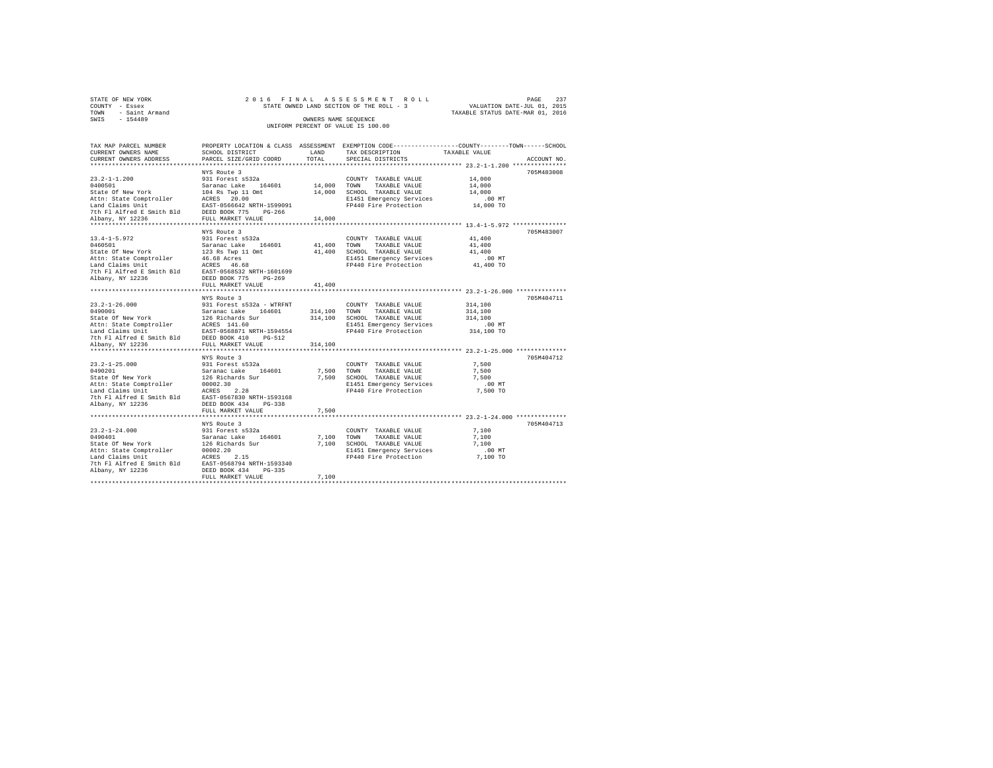| STATE OF NEW YORK      | 2016 FINAL ASSESSMENT ROLL               | 237<br>PAGE                      |
|------------------------|------------------------------------------|----------------------------------|
| COUNTY - Essex         | STATE OWNED LAND SECTION OF THE ROLL - 3 | VALUATION DATE-JUL 01, 2015      |
| - Saint Armand<br>TOWN |                                          | TAXABLE STATUS DATE-MAR 01, 2016 |
| $-154489$<br>SWIS      | OWNERS NAME SEOUENCE                     |                                  |
|                        | UNIFORM PERCENT OF VALUE IS 100.00       |                                  |

| TAX MAP PARCEL NUMBER<br>CURRENT OWNERS NAME<br>CURRENT OWNERS ADDRESS                                                                                                                                                                       | SCHOOL DISTRICT<br>PARCEL SIZE/GRID COORD | TOTAL   | PROPERTY LOCATION & CLASS ASSESSMENT EXEMPTION CODE----------------COUNTY-------TOWN------SCHOOL<br>LAND TAX DESCRIPTION<br>SPECIAL DISTRICTS      | TAXABLE VALUE                                       | ACCOUNT NO. |
|----------------------------------------------------------------------------------------------------------------------------------------------------------------------------------------------------------------------------------------------|-------------------------------------------|---------|----------------------------------------------------------------------------------------------------------------------------------------------------|-----------------------------------------------------|-------------|
|                                                                                                                                                                                                                                              | NYS Route 3                               |         |                                                                                                                                                    |                                                     | 705M483008  |
|                                                                                                                                                                                                                                              |                                           |         |                                                                                                                                                    | .00 MT                                              |             |
|                                                                                                                                                                                                                                              |                                           |         |                                                                                                                                                    | 14,000 TO                                           |             |
|                                                                                                                                                                                                                                              | NYS Route 3                               |         | ********************************** 13.4-1-5.972 ****************                                                                                   |                                                     | 705M483007  |
| 13.4-1-5.972<br>1460501 Maxamac Lake 164601 41,400 TOWNY TAXABLE VALUE<br>State of New York 123 Rs Twp 11 Ont 41,400 SCHOOL TAXABLE VALUE<br>23 Rs Twp 11 Ont 41,400 SCHOOL TAXABLE VALUE<br>246.68 Acres<br>26 Maxamac Laims Unit 41,40     |                                           |         | FP440 Fire Protection                                                                                                                              | 41,400<br>41,400<br>41,400<br>$.00$ MT<br>41,400 TO |             |
|                                                                                                                                                                                                                                              | FULL MARKET VALUE                         | 41,400  |                                                                                                                                                    |                                                     |             |
|                                                                                                                                                                                                                                              | NYS Route 3                               |         |                                                                                                                                                    |                                                     | 705M404711  |
| 23.2-1-26.000<br>23.2-1-26.000 MYS ROUGE 1206 MS Report 5532a - WTRFNT<br>521 To Saranac Lake 164601<br>221 Saranac Lake 164601<br>223 Ather State Comptroller EGRIS 141.60<br>2236 MS REPORT 1207 PRIMERS 141.60<br>2236 MS REPORT 1207 P   |                                           |         | COUNTY TAXABLE VALUE<br>314,100 TOWN TAXABLE VALUE<br>314,100 SCHOOL TAXABLE VALUE<br>E1451 Emergency Services<br>FP440 Fire Protection 314,100 TO | 314,100<br>314,100<br>314,100<br>$.00$ MT           |             |
|                                                                                                                                                                                                                                              |                                           | 314,100 |                                                                                                                                                    |                                                     |             |
| 23.2-1-25.000<br>23.2-1-25.000 931 Forest s532a<br>531 Forest s532a<br>541 Forest Saranac Lake 164601 7,500 SCHOOL TAXABLE VALUE<br>251 Forest 222 7,500 SCHOOL TAXABLE VALUE<br>26 Richards Sur<br>26 Richards Sur<br>27,500 SCHOOL TAXABLE | NYS Route 3                               |         | COUNTY TAXABLE VALUE 7,500<br>FP440 Fire Protection 7,500 TO                                                                                       | 7.500<br>7.500<br>$.00$ MT                          | 705M404712  |
|                                                                                                                                                                                                                                              |                                           |         |                                                                                                                                                    |                                                     |             |
|                                                                                                                                                                                                                                              |                                           |         |                                                                                                                                                    |                                                     | 705M404713  |
|                                                                                                                                                                                                                                              |                                           |         | E1451 Emergency Services 6.00 MT<br>FP440 Fire Protection 7,100 TO                                                                                 | 7,100<br>7,100<br>7,100                             |             |
|                                                                                                                                                                                                                                              | FULL MARKET VALUE                         | 7,100   |                                                                                                                                                    |                                                     |             |
|                                                                                                                                                                                                                                              |                                           |         |                                                                                                                                                    |                                                     |             |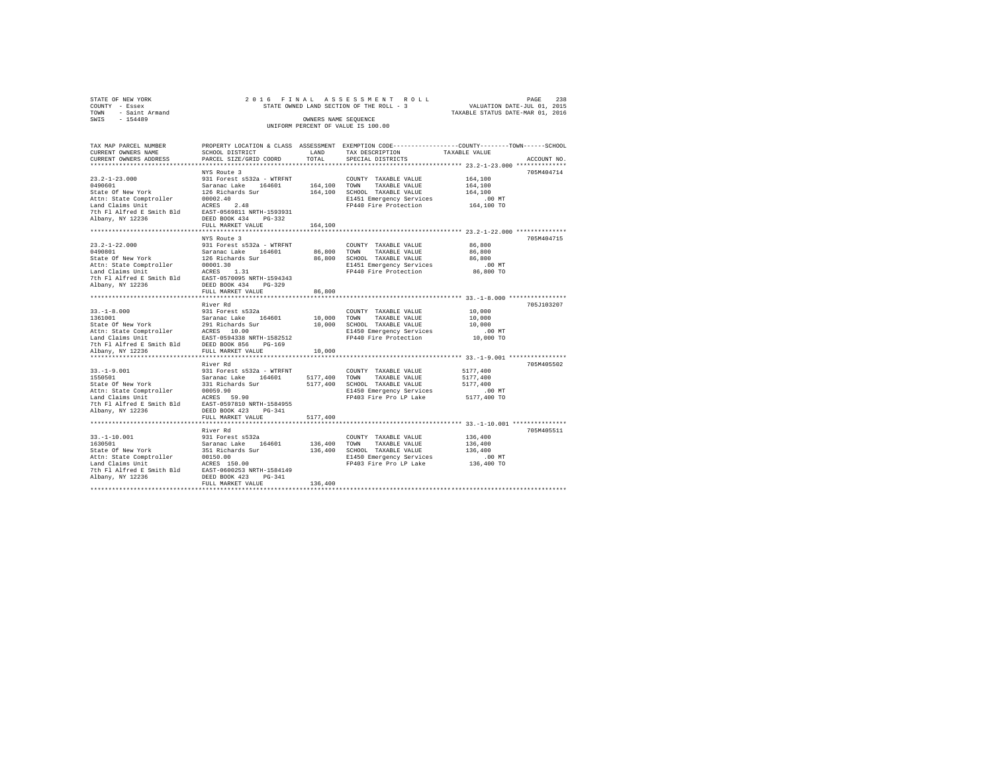| STATE OF NEW YORK   | 2016 FINAL ASSESSMENT ROLL               | 238<br>PAGE                      |
|---------------------|------------------------------------------|----------------------------------|
| COUNTY - Essex      | STATE OWNED LAND SECTION OF THE ROLL - 3 | VALUATION DATE-JUL 01, 2015      |
| TOWN - Saint Armand |                                          | TAXABLE STATUS DATE-MAR 01, 2016 |
| SWIS<br>$-154489$   | OWNERS NAME SEOUENCE                     |                                  |
|                     | UNIFORM PERCENT OF VALUE IS 100.00       |                                  |
|                     |                                          |                                  |
|                     |                                          |                                  |

| TAX MAP PARCEL NUMBER                                                                                                                                                                                                                      |                   |          | PROPERTY LOCATION & CLASS ASSESSMENT EXEMPTION CODE---------------COUNTY-------TOWN-----SCHOOL          |                  |             |
|--------------------------------------------------------------------------------------------------------------------------------------------------------------------------------------------------------------------------------------------|-------------------|----------|---------------------------------------------------------------------------------------------------------|------------------|-------------|
| CURRENT OWNERS NAME                                                                                                                                                                                                                        | SCHOOL DISTRICT   | LAND     | TAX DESCRIPTION                                                                                         | TAXABLE VALUE    |             |
| CURRENT OWNERS ADDRESS PARCEL SIZE/GRID COORD                                                                                                                                                                                              |                   | TOTAL    | SPECIAL DISTRICTS                                                                                       |                  | ACCOUNT NO. |
|                                                                                                                                                                                                                                            |                   |          |                                                                                                         |                  |             |
|                                                                                                                                                                                                                                            |                   |          |                                                                                                         |                  | 705M404714  |
|                                                                                                                                                                                                                                            |                   |          | COUNTY TAXABLE VALUE 164,100                                                                            |                  |             |
|                                                                                                                                                                                                                                            |                   |          |                                                                                                         | 164,100          |             |
|                                                                                                                                                                                                                                            |                   |          |                                                                                                         | 164,100          |             |
|                                                                                                                                                                                                                                            |                   |          |                                                                                                         |                  |             |
|                                                                                                                                                                                                                                            |                   |          | E1451 Emergency Services .00 MT<br>FP440 Fire Protection .064,100 TO                                    |                  |             |
|                                                                                                                                                                                                                                            |                   |          |                                                                                                         |                  |             |
|                                                                                                                                                                                                                                            |                   |          |                                                                                                         |                  |             |
|                                                                                                                                                                                                                                            |                   |          |                                                                                                         |                  |             |
|                                                                                                                                                                                                                                            |                   |          |                                                                                                         |                  |             |
|                                                                                                                                                                                                                                            |                   |          |                                                                                                         |                  |             |
|                                                                                                                                                                                                                                            | NYS Route 3       |          |                                                                                                         |                  | 705M404715  |
|                                                                                                                                                                                                                                            |                   |          |                                                                                                         | 86,800           |             |
|                                                                                                                                                                                                                                            |                   |          |                                                                                                         | 86,800<br>86,800 |             |
|                                                                                                                                                                                                                                            |                   |          |                                                                                                         |                  |             |
|                                                                                                                                                                                                                                            |                   |          | 00,800 contour rangency Services<br>E1451 Emergency Services .00 MT<br>FP440 Fire Protection  86,800 TO |                  |             |
|                                                                                                                                                                                                                                            |                   |          |                                                                                                         |                  |             |
|                                                                                                                                                                                                                                            |                   |          |                                                                                                         |                  |             |
|                                                                                                                                                                                                                                            |                   |          |                                                                                                         |                  |             |
|                                                                                                                                                                                                                                            | FULL MARKET VALUE | 86,800   |                                                                                                         |                  |             |
|                                                                                                                                                                                                                                            |                   |          |                                                                                                         |                  |             |
|                                                                                                                                                                                                                                            |                   |          |                                                                                                         |                  | 705J103207  |
|                                                                                                                                                                                                                                            |                   |          |                                                                                                         |                  |             |
|                                                                                                                                                                                                                                            |                   |          |                                                                                                         |                  |             |
|                                                                                                                                                                                                                                            |                   |          |                                                                                                         |                  |             |
|                                                                                                                                                                                                                                            |                   |          | 10,000 SCHOOL TAXABLE VALUE 10,000 DI450 Emergency Services 00 MT<br>FP440 Fire Protection 10,000 TO    |                  |             |
|                                                                                                                                                                                                                                            |                   |          |                                                                                                         |                  |             |
|                                                                                                                                                                                                                                            |                   |          |                                                                                                         |                  |             |
|                                                                                                                                                                                                                                            |                   |          |                                                                                                         |                  |             |
|                                                                                                                                                                                                                                            |                   |          |                                                                                                         |                  |             |
|                                                                                                                                                                                                                                            |                   |          |                                                                                                         |                  |             |
|                                                                                                                                                                                                                                            | River Rd          |          |                                                                                                         |                  | 705M405502  |
|                                                                                                                                                                                                                                            |                   |          |                                                                                                         |                  |             |
|                                                                                                                                                                                                                                            |                   |          |                                                                                                         |                  |             |
| 33.-1-9.001 1277,400<br>1550501 1277,400<br>1550501 231 Richards Saranac Lake 164601 5177,400 10000 7AXABLE VALUE 5177,400<br>1521 231 Richards Sur 5177,400 5CHOOL TAXABLE VALUE 5177,400<br>1931 2011 127,400 2017,400 201450 2020 21450 |                   |          |                                                                                                         |                  |             |
|                                                                                                                                                                                                                                            |                   |          |                                                                                                         |                  |             |
| Attn: State Comptroller 30059.90<br>Land Claims Unit<br>The Fl Alfred E Smith Bld ACRES 59.90<br>The Fl Alfred E Smith Bld EAST-0597810 NRTH-1584955<br>Albany, NY 12236 DEED BOOK 423 PG-341<br>PHET MADY THE MADY THE SMOK 423           |                   |          | FP403 Fire Pro LP Lake 5177,400 TO                                                                      |                  |             |
|                                                                                                                                                                                                                                            |                   |          |                                                                                                         |                  |             |
|                                                                                                                                                                                                                                            |                   |          |                                                                                                         |                  |             |
|                                                                                                                                                                                                                                            | FULL MARKET VALUE | 5177,400 |                                                                                                         |                  |             |
|                                                                                                                                                                                                                                            |                   |          |                                                                                                         |                  |             |
|                                                                                                                                                                                                                                            | River Rd          |          |                                                                                                         |                  | 705M405511  |
|                                                                                                                                                                                                                                            |                   |          |                                                                                                         |                  |             |
|                                                                                                                                                                                                                                            |                   |          |                                                                                                         |                  |             |
|                                                                                                                                                                                                                                            |                   |          |                                                                                                         |                  |             |
|                                                                                                                                                                                                                                            |                   |          |                                                                                                         |                  |             |
|                                                                                                                                                                                                                                            |                   |          |                                                                                                         |                  |             |
|                                                                                                                                                                                                                                            |                   |          |                                                                                                         |                  |             |
|                                                                                                                                                                                                                                            |                   |          |                                                                                                         |                  |             |
|                                                                                                                                                                                                                                            |                   |          |                                                                                                         |                  |             |
|                                                                                                                                                                                                                                            | FULL MARKET VALUE | 136,400  |                                                                                                         |                  |             |
|                                                                                                                                                                                                                                            |                   |          |                                                                                                         |                  |             |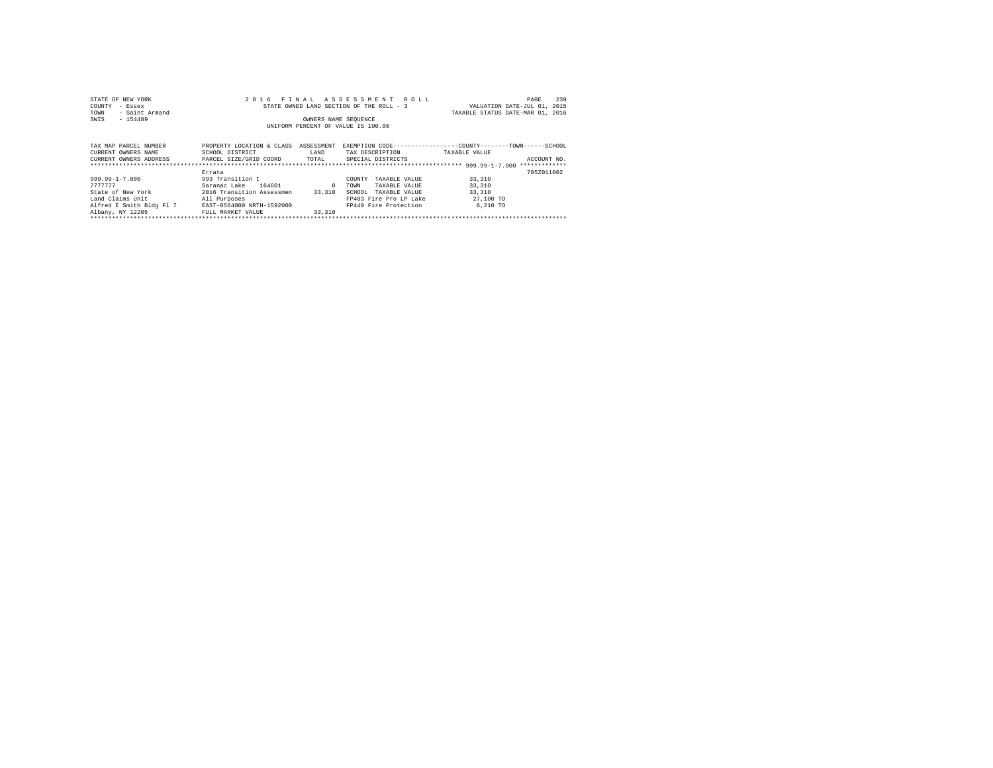| STATE OF NEW YORK                                                     |                                          |                             | 2016 FINAL ASSESSMENT ROLL                                   |                                  | 239<br>PAGE |
|-----------------------------------------------------------------------|------------------------------------------|-----------------------------|--------------------------------------------------------------|----------------------------------|-------------|
| COUNTY<br>- Essex                                                     | STATE OWNED LAND SECTION OF THE ROLL - 3 | VALUATION DATE-JUL 01, 2015 |                                                              |                                  |             |
| - Saint Armand<br>TOWN                                                |                                          |                             |                                                              | TAXABLE STATUS DATE-MAR 01, 2016 |             |
| $-154489$<br>SWIS                                                     |                                          | OWNERS NAME SEOUENCE        |                                                              |                                  |             |
|                                                                       |                                          |                             | UNIFORM PERCENT OF VALUE IS 100.00                           |                                  |             |
|                                                                       |                                          |                             |                                                              |                                  |             |
|                                                                       |                                          |                             |                                                              |                                  |             |
| TAX MAP PARCEL NUMBER                                                 | PROPERTY LOCATION & CLASS ASSESSMENT     |                             | EXEMPTION CODE-----------------COUNTY-------TOWN------SCHOOL |                                  |             |
| CURRENT OWNERS NAME                                                   | SCHOOL DISTRICT                          | LAND                        | TAX DESCRIPTION TAXABLE VALUE                                |                                  |             |
| CURRENT OWNERS ADDRESS PARCEL SIZE/GRID COORD TOTAL SPECIAL DISTRICTS |                                          |                             |                                                              |                                  | ACCOUNT NO. |
|                                                                       |                                          |                             |                                                              |                                  |             |
|                                                                       | Errata                                   |                             |                                                              |                                  | 705Z011002  |
| 999.99-1-7.000                                                        | 993 Transition t                         |                             | COUNTY<br>TAXABLE VALUE                                      | 33,310                           |             |
| 7777777                                                               | Saranac Lake 164601                      |                             | TOWN<br>TAXABLE VALUE                                        | 33,310                           |             |
| State of New York                                                     | 2016 Transition Assessmen 33,310         |                             | SCHOOL<br>TAXABLE VALUE                                      | 33,310                           |             |
| Land Claims Unit<br>All Purposes                                      |                                          |                             | FP403 Fire Pro LP Lake 27,100 TO                             |                                  |             |
| Alfred E Smith Bldg Fl 7 EAST-0564000 NRTH-1592000                    |                                          |                             | FP440 Fire Protection                                        | 6,210 TO                         |             |
| Albany, NY 12205                                                      | FULL MARKET VALUE                        | 33,310                      |                                                              |                                  |             |
|                                                                       |                                          |                             |                                                              |                                  |             |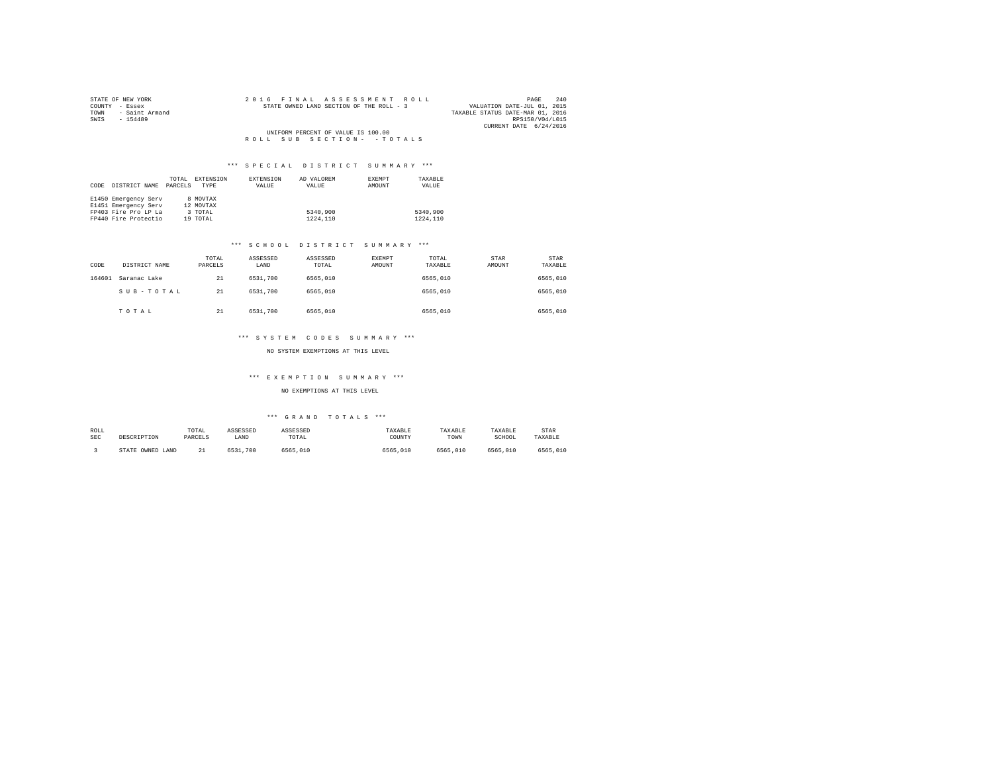| STATE OF NEW YORK   |  |  | 2016 FINAL ASSESSMENT ROLL               |  |  |                                  |                        | PAGE | 240 |
|---------------------|--|--|------------------------------------------|--|--|----------------------------------|------------------------|------|-----|
| COUNTY - Essex      |  |  | STATE OWNED LAND SECTION OF THE ROLL - 3 |  |  | VALUATION DATE-JUL 01, 2015      |                        |      |     |
| TOWN - Saint Armand |  |  |                                          |  |  | TAXABLE STATUS DATE-MAR 01, 2016 |                        |      |     |
| SWIS<br>$-154489$   |  |  |                                          |  |  |                                  | RPS150/V04/L015        |      |     |
|                     |  |  |                                          |  |  |                                  | CURRENT DATE 6/24/2016 |      |     |
|                     |  |  | UNIFORM PERCENT OF VALUE IS 100.00       |  |  |                                  |                        |      |     |
|                     |  |  | ROLL SUB SECTION- - TOTALS               |  |  |                                  |                        |      |     |

|      |                      | TOTAL   | <b>EXTENSION</b> | EXTENSION | AD VALOREM | <b>EXEMPT</b> | TAXABLE  |
|------|----------------------|---------|------------------|-----------|------------|---------------|----------|
| CODE | DISTRICT NAME        | PARCELS | TYPE             | VALUE     | VALUE      | AMOUNT        | VALUE    |
|      |                      |         |                  |           |            |               |          |
|      | E1450 Emergency Serv |         | 8 MOVTAX         |           |            |               |          |
|      | E1451 Emergency Serv |         | 12 MOVTAX        |           |            |               |          |
|      | FP403 Fire Pro LP La |         | 3 TOTAL          |           | 5340,900   |               | 5340,900 |
|      | FP440 Fire Protectio |         | 19 TOTAL         |           | 1224.110   |               | 1224.110 |

#### \*\*\* S C H O O L D I S T R I C T S U M M A R Y \*\*\*

| CODE   | DISTRICT NAME | TOTAL<br>PARCELS | ASSESSED<br>LAND | ASSESSED<br>TOTAL | EXEMPT<br>AMOUNT | TOTAL<br>TAXABLE | STAR<br>AMOUNT | STAR<br>TAXABLE |
|--------|---------------|------------------|------------------|-------------------|------------------|------------------|----------------|-----------------|
| 164601 | Saranac Lake  | 21               | 6531,700         | 6565,010          |                  | 6565,010         |                | 6565,010        |
|        | SUB-TOTAL     | 21               | 6531,700         | 6565,010          |                  | 6565,010         |                | 6565,010        |
|        | TOTAL         | 21               | 6531,700         | 6565,010          |                  | 6565,010         |                | 6565,010        |

### \*\*\* S Y S T E M C O D E S S U M M A R Y \*\*\*

#### NO SYSTEM EXEMPTIONS AT THIS LEVEL

#### \*\*\* E X E M P T I O N S U M M A R Y \*\*\*

NO EXEMPTIONS AT THIS LEVEL

#### \*\*\* G R A N D T O T A L S \*\*\*

| ROLL<br><b>SEC</b> | DESCRIPTION      | TOTAL<br>PARCELS     | ASSESSED<br>LAND | ASSESSED<br>TOTAL | TAXABLE<br>COUNTY | TAXABLE<br>TOWN | TAXABLE<br>SCHOOL | STAR<br>TAXABLE |
|--------------------|------------------|----------------------|------------------|-------------------|-------------------|-----------------|-------------------|-----------------|
|                    | STATE OWNED LAND | 2 <sup>1</sup><br>-- | 6531<br>700      | 6565,010          | 6565,010          | 6565,010        | 6565,010          | 6565,010        |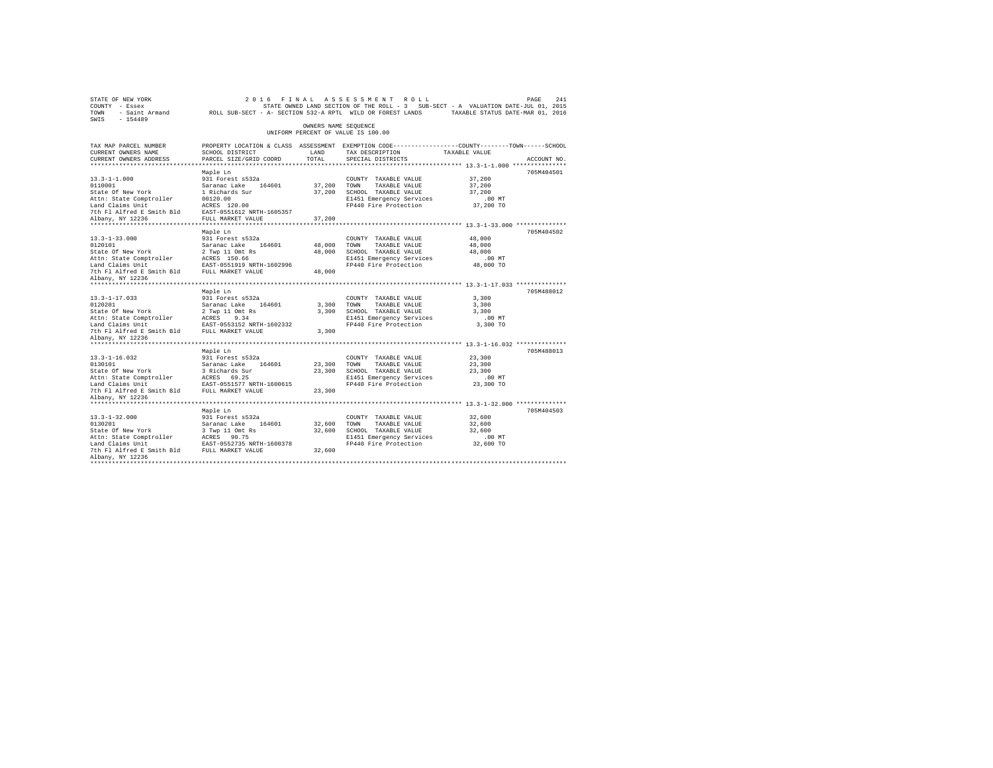| STATE OF NEW YORK<br>COUNTY - Essex<br>TOWN - Saint Armand - ROLL SUB-SECT - A- SECTION 532-A RPTL WILD OR FOREST LANDS - TAXABLE STATUS DATE-MAR 01, 2016<br>SWIS - 154489                                    |                                                                                                  |                      | 2016 FINAL ASSESSMENT ROLL<br>STATE OWNED LAND SECTION OF THE ROLL - 3 SUB-SECT - A VALUATION DATE-JUL 01, 2015 |                       | PAGE<br>241 |
|----------------------------------------------------------------------------------------------------------------------------------------------------------------------------------------------------------------|--------------------------------------------------------------------------------------------------|----------------------|-----------------------------------------------------------------------------------------------------------------|-----------------------|-------------|
|                                                                                                                                                                                                                |                                                                                                  | OWNERS NAME SEQUENCE | UNIFORM PERCENT OF VALUE IS 100.00                                                                              |                       |             |
| TAX MAP PARCEL NUMBER                                                                                                                                                                                          | PROPERTY LOCATION & CLASS ASSESSMENT EXEMPTION CODE----------------COUNTY-------TOWN------SCHOOL |                      |                                                                                                                 |                       |             |
| CURRENT OWNERS NAME                                                                                                                                                                                            | SCHOOL DISTRICT                                                                                  | LAND                 | TAX DESCRIPTION TAXABLE VALUE                                                                                   |                       |             |
| CURRENT OWNERS ADDRESS                                                                                                                                                                                         | PARCEL SIZE/GRID COORD                                                                           | TOTAL                | SPECIAL DISTRICTS                                                                                               |                       | ACCOUNT NO. |
|                                                                                                                                                                                                                |                                                                                                  |                      |                                                                                                                 |                       |             |
|                                                                                                                                                                                                                | Maple Ln                                                                                         |                      |                                                                                                                 |                       | 705M404501  |
| $13.3 - 1 - 1.000$                                                                                                                                                                                             | 931 Forest s532a                                                                                 |                      | COUNTY TAXABLE VALUE                                                                                            | 37,200                |             |
| 0110001<br><br>State Of New York                                                                                                                                                                               |                                                                                                  |                      | 37,200 TOWN TAXABLE VALUE                                                                                       | 37,200                |             |
|                                                                                                                                                                                                                | Saranac Lake 164601<br>1 Richards Sur<br>00120.00                                                |                      | 37,200 SCHOOL TAXABLE VALUE                                                                                     | 37,200                |             |
| Attn: State Comptroller<br>Land Claims Unit                                                                                                                                                                    | ACRES 120.00                                                                                     |                      | E1451 Emergency Services<br>FP440 Fire Protection                                                               | $.00$ MT<br>37,200 TO |             |
| 7th F1 Alfred E Smith Bld EAST-0551612 NRTH-1605357                                                                                                                                                            |                                                                                                  |                      |                                                                                                                 |                       |             |
| Albany, NY 12236                                                                                                                                                                                               | FULL MARKET VALUE                                                                                | 37,200               |                                                                                                                 |                       |             |
|                                                                                                                                                                                                                |                                                                                                  |                      |                                                                                                                 |                       |             |
|                                                                                                                                                                                                                | Maple Ln                                                                                         |                      |                                                                                                                 |                       | 705M404502  |
| $13.3 - 1 - 33.000$                                                                                                                                                                                            | 931 Forest s532a                                                                                 |                      | COUNTY TAXABLE VALUE                                                                                            | 48,000                |             |
|                                                                                                                                                                                                                |                                                                                                  |                      | 48,000 TOWN TAXABLE VALUE                                                                                       | 48,000                |             |
| 0120101<br>State Of New York                                                                                                                                                                                   | Saranac Lake 164601<br>2 Twp 11 Omt Rs                                                           | 48,000               | SCHOOL TAXABLE VALUE                                                                                            | 48,000                |             |
| Attn: State Comptroller                                                                                                                                                                                        | ACRES 150.66                                                                                     |                      | E1451 Emergency Services                                                                                        | $.00$ MT              |             |
| Land Claims Unit FAST-0551919 NRTH-1602996<br>7th Fl Alfred E Smith Bld FULL MARKET VALUE 48,000                                                                                                               |                                                                                                  |                      | FP440 Fire Protection                                                                                           | 48,000 TO             |             |
|                                                                                                                                                                                                                |                                                                                                  |                      |                                                                                                                 |                       |             |
| Albany, NY 12236                                                                                                                                                                                               |                                                                                                  |                      |                                                                                                                 |                       |             |
|                                                                                                                                                                                                                |                                                                                                  |                      |                                                                                                                 |                       |             |
|                                                                                                                                                                                                                | Maple Ln                                                                                         |                      |                                                                                                                 |                       | 705M488012  |
| $13.3 - 1 - 17.033$<br>0120201                                                                                                                                                                                 | 931 Forest s532a                                                                                 |                      | COUNTY TAXABLE VALUE                                                                                            | 3,300<br>3,300        |             |
| oizozoi<br>State Of New York                                                                                                                                                                                   | Saranac Lake 164601<br>2 Twp 11 Omt Rs                                                           |                      | 3,300 TOWN TAXABLE VALUE<br>3,300 SCHOOL TAXABLE VALUE                                                          | 3,300                 |             |
| Attn: State Comptroller                                                                                                                                                                                        | ACRES 9.34                                                                                       |                      |                                                                                                                 | $.00$ MT              |             |
| Land Claims Unit                                                                                                                                                                                               | EAST-0553152 NRTH-1602332                                                                        |                      |                                                                                                                 | 3,300 TO              |             |
| 7th F1 Alfred E Smith Bld FULL MARKET VALUE                                                                                                                                                                    |                                                                                                  |                      | CONCORRENT THANSIE VALUE<br>E1451 Emergency Services<br>FP440 Fire Protection<br>3,300                          |                       |             |
| Albany, NY 12236                                                                                                                                                                                               |                                                                                                  |                      |                                                                                                                 |                       |             |
|                                                                                                                                                                                                                |                                                                                                  |                      |                                                                                                                 |                       |             |
|                                                                                                                                                                                                                | Maple Ln                                                                                         |                      |                                                                                                                 |                       | 705M488013  |
| $13.3 - 1 - 16.032$                                                                                                                                                                                            | 931 Forest s532a                                                                                 |                      | COUNTY TAXABLE VALUE                                                                                            | 23,300                |             |
| 1917–1101<br>1910<br>1910 - Saranac Lake 164601<br>State of New York 3 Richards Sur<br>1918 - Access 69.25<br>1918 - Access 69.25<br>1918 - Access 69.25<br>The Flalfred E Smith Bld FAST-0551577 NRTH-1600615 |                                                                                                  | 23,300 TOWN          | TAXABLE VALUE                                                                                                   | 23,300                |             |
|                                                                                                                                                                                                                |                                                                                                  |                      | 23,300 SCHOOL TAXABLE VALUE                                                                                     | 23,300                |             |
|                                                                                                                                                                                                                |                                                                                                  |                      | E1451 Emergency Services                                                                                        | .00 MT                |             |
|                                                                                                                                                                                                                |                                                                                                  |                      | FP440 Fire Protection                                                                                           | 23,300 TO             |             |
|                                                                                                                                                                                                                |                                                                                                  | 23,300               |                                                                                                                 |                       |             |
| Albany, NY 12236                                                                                                                                                                                               |                                                                                                  |                      |                                                                                                                 |                       |             |
|                                                                                                                                                                                                                | Maple Ln                                                                                         |                      |                                                                                                                 |                       | 705M404503  |
| $13.3 - 1 - 32.000$                                                                                                                                                                                            | 931 Forest s532a                                                                                 |                      | COUNTY TAXABLE VALUE                                                                                            | 32,600                |             |
|                                                                                                                                                                                                                |                                                                                                  | 32,600 TOWN          | TAXABLE VALUE                                                                                                   | 32,600                |             |
| ---- - -------<br>0130201<br>State Of New York                                                                                                                                                                 | Saranac Lake 164601<br>3 Twp 11 Omt Rs                                                           |                      | 32,600 SCHOOL TAXABLE VALUE                                                                                     | 32,600                |             |
|                                                                                                                                                                                                                |                                                                                                  |                      | E1451 Emergency Services                                                                                        | $.00$ MT              |             |
|                                                                                                                                                                                                                | EAST-0552735 NRTH-1600378                                                                        |                      | FP440 Fire Protection 32,600 TO                                                                                 |                       |             |
| 7th F1 Alfred E Smith Bld FULL MARKET VALUE                                                                                                                                                                    |                                                                                                  | 32,600               |                                                                                                                 |                       |             |
| Albany, NY 12236                                                                                                                                                                                               |                                                                                                  |                      |                                                                                                                 |                       |             |
|                                                                                                                                                                                                                |                                                                                                  |                      |                                                                                                                 |                       |             |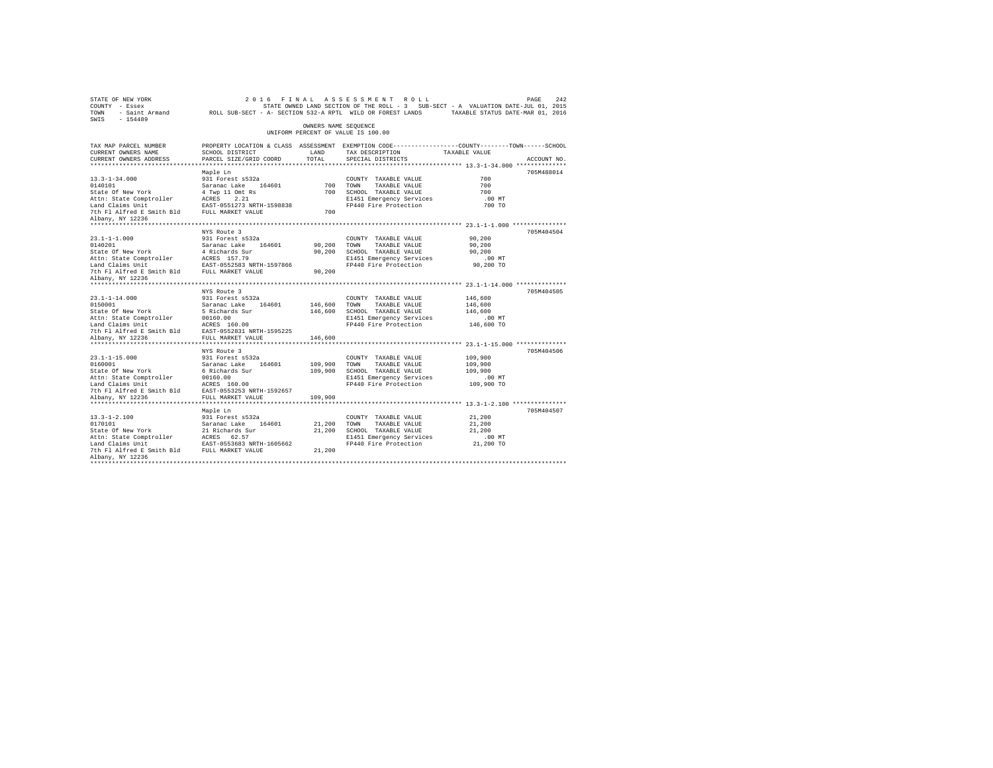| STATE OF NEW YORK<br>COUNTY - Essex<br>TOWN - Saint Armand - ROLL SUB-SECT - A- SECTION 532-A RPTL WILD OR FOREST LANDS - TAXABLE STATUS DATE-MAR 01, 2016<br>SWIS - 154489 |                                                                                                                     |         | 2016 FINAL ASSESSMENT ROLL<br>STATE OWNED LAND SECTION OF THE ROLL - 3 SUB-SECT - A VALUATION DATE-JUL 01, 2015 |                    | PAGE<br>242 |
|-----------------------------------------------------------------------------------------------------------------------------------------------------------------------------|---------------------------------------------------------------------------------------------------------------------|---------|-----------------------------------------------------------------------------------------------------------------|--------------------|-------------|
|                                                                                                                                                                             |                                                                                                                     |         | OWNERS NAME SEQUENCE<br>UNIFORM PERCENT OF VALUE IS 100.00                                                      |                    |             |
| TAX MAP PARCEL NUMBER<br>CURRENT OWNERS NAME                                                                                                                                | PROPERTY LOCATION & CLASS ASSESSMENT EXEMPTION CODE----------------COUNTY-------TOWN------SCHOOL<br>SCHOOL DISTRICT | LAND    | TAX DESCRIPTION                                                                                                 | TAXABLE VALUE      |             |
| CURRENT OWNERS ADDRESS                                                                                                                                                      | PARCEL SIZE/GRID COORD                                                                                              | TOTAL   | SPECIAL DISTRICTS                                                                                               |                    | ACCOUNT NO. |
|                                                                                                                                                                             |                                                                                                                     |         |                                                                                                                 |                    |             |
|                                                                                                                                                                             | Maple Ln                                                                                                            |         |                                                                                                                 |                    | 705M488014  |
| $13.3 - 1 - 34.000$                                                                                                                                                         | 931 Forest s532a                                                                                                    |         | COUNTY TAXABLE VALUE                                                                                            | 700                |             |
| 0140101                                                                                                                                                                     | Saranac Lake<br>4 Twp 11 Omt Rs<br>ACRES 2.21                                                                       |         | 700 TOWN<br>TAXABLE VALUE                                                                                       | 700                |             |
| <br>State Of New York                                                                                                                                                       |                                                                                                                     |         | 700 SCHOOL TAXABLE VALUE                                                                                        | 700                |             |
| Attn: State Comptroller                                                                                                                                                     |                                                                                                                     |         | E1451 Emergency Services                                                                                        | .00 MT             |             |
| Land Claims Unit<br>The Fig. of the Smith Bld FULL MARKET VALUE                                                                                                             | EAST-0551273 NRTH-1598838                                                                                           |         | FP440 Fire Protection                                                                                           | 700 TO             |             |
|                                                                                                                                                                             |                                                                                                                     | 700     |                                                                                                                 |                    |             |
| Albany, NY 12236                                                                                                                                                            |                                                                                                                     |         |                                                                                                                 |                    |             |
|                                                                                                                                                                             | NYS Route 3                                                                                                         |         |                                                                                                                 |                    | 705M404504  |
| $23.1 - 1 - 1.000$                                                                                                                                                          | 931 Forest s532a                                                                                                    |         | COUNTY TAXABLE VALUE                                                                                            | 90,200             |             |
|                                                                                                                                                                             |                                                                                                                     | 90,200  | TOWN<br>TAXABLE VALUE                                                                                           | 90,200             |             |
| 0140201<br>State Of New York                                                                                                                                                | Saranac Lake 164601<br>4 Richards Sur                                                                               | 90,200  | SCHOOL TAXABLE VALUE                                                                                            | 90,200             |             |
| Attn: State Comptroller                                                                                                                                                     | ACRES 157.79                                                                                                        |         | E1451 Emergency Services                                                                                        | $.00$ MT           |             |
| Land Claims Unit                                                                                                                                                            | EAST-0552583 NRTH-1597866                                                                                           |         | FP440 Fire Protection                                                                                           | 90,200 TO          |             |
| The Fl Alfred E Smith Bld FULL MARKET VALUE                                                                                                                                 |                                                                                                                     | 90,200  |                                                                                                                 |                    |             |
| Albany, NY 12236                                                                                                                                                            |                                                                                                                     |         |                                                                                                                 |                    |             |
|                                                                                                                                                                             |                                                                                                                     |         |                                                                                                                 |                    |             |
|                                                                                                                                                                             | NYS Route 3                                                                                                         |         |                                                                                                                 |                    | 705M404505  |
| $23.1 - 1 - 14.000$<br>0150001                                                                                                                                              | 931 Forest s532a                                                                                                    | 146,600 | COUNTY TAXABLE VALUE<br>TOWN<br>TAXABLE VALUE                                                                   | 146,600<br>146,600 |             |
| State Of New York                                                                                                                                                           | Saranac Lake 164601<br>5 Richards Sur                                                                               | 146,600 | SCHOOL TAXABLE VALUE                                                                                            | 146,600            |             |
| Attn: State Comptroller                                                                                                                                                     | 00160.00                                                                                                            |         | E1451 Emergency Services                                                                                        | $.00$ MT           |             |
| Land Claims Unit                                                                                                                                                            | ACRES 160.00                                                                                                        |         | FP440 Fire Protection                                                                                           | 146,600 TO         |             |
| 7th F1 Alfred E Smith Bld EAST-0552831 NRTH-1595225                                                                                                                         |                                                                                                                     |         |                                                                                                                 |                    |             |
| Albany, NY 12236                                                                                                                                                            | FULL MARKET VALUE                                                                                                   | 146,600 |                                                                                                                 |                    |             |
|                                                                                                                                                                             | *************************                                                                                           |         |                                                                                                                 |                    |             |
|                                                                                                                                                                             | NYS Route 3                                                                                                         |         |                                                                                                                 |                    | 705M404506  |
| $23.1 - 1 - 15.000$                                                                                                                                                         | 931 Forest s532a                                                                                                    |         | COUNTY TAXABLE VALUE                                                                                            | 109,900            |             |
| 0160001<br>State Of New York                                                                                                                                                | Saranac Lake 164601<br>6 Richards Sur                                                                               | 109,900 | TOWN<br>TAXABLE VALUE                                                                                           | 109,900<br>109,900 |             |
| Attn: State Comptroller                                                                                                                                                     | 00160.00                                                                                                            |         | 109,900 SCHOOL TAXABLE VALUE<br>E1451 Emergency Services                                                        | .00 MT             |             |
| Land Claims Unit                                                                                                                                                            | ACRES 160.00                                                                                                        |         | FP440 Fire Protection                                                                                           | 109,900 TO         |             |
| 7th F1 Alfred E Smith Bld EAST-0553253 NRTH-1592657                                                                                                                         |                                                                                                                     |         |                                                                                                                 |                    |             |
| Albany, NY 12236                                                                                                                                                            | FULL MARKET VALUE                                                                                                   | 109,900 |                                                                                                                 |                    |             |
|                                                                                                                                                                             |                                                                                                                     |         |                                                                                                                 |                    |             |
|                                                                                                                                                                             | Maple Ln                                                                                                            |         |                                                                                                                 |                    | 705M404507  |
| $13.3 - 1 - 2.100$                                                                                                                                                          | 931 Forest s532a                                                                                                    |         | COUNTY TAXABLE VALUE                                                                                            | 21,200             |             |
| 0170101<br>State Of New York                                                                                                                                                | Saranac Lake 164601<br>21 Richards Sur                                                                              | 21,200  | TOWN<br>TAXABLE VALUE                                                                                           | 21,200             |             |
|                                                                                                                                                                             |                                                                                                                     | 21,200  | SCHOOL TAXABLE VALUE                                                                                            | 21,200             |             |
|                                                                                                                                                                             |                                                                                                                     |         | E1451 Emergency Services                                                                                        | $.00$ MT           |             |
|                                                                                                                                                                             |                                                                                                                     | 21,200  | FP440 Fire Protection                                                                                           | 21,200 TO          |             |
| Albany, NY 12236                                                                                                                                                            |                                                                                                                     |         |                                                                                                                 |                    |             |
|                                                                                                                                                                             |                                                                                                                     |         |                                                                                                                 |                    |             |
|                                                                                                                                                                             |                                                                                                                     |         |                                                                                                                 |                    |             |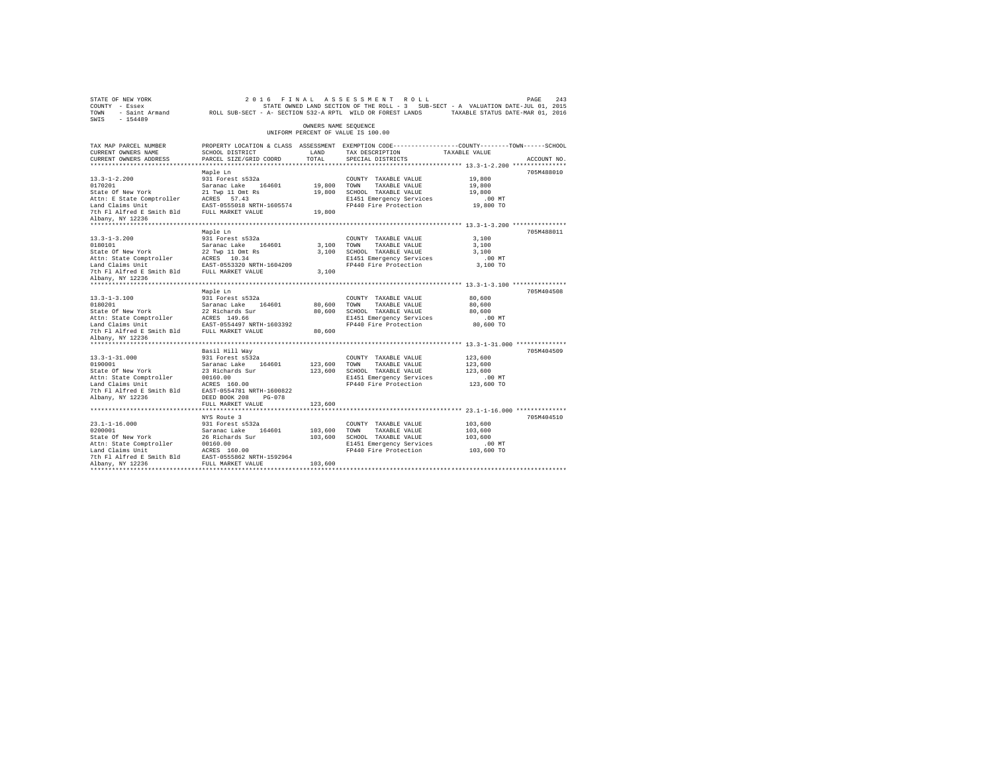| STATE OF NEW YORK<br>COUNTY - Essex<br>TOWN<br>$-154489$<br>SWIS       | - Saint Armand MOLL SUB-SECT - A- SECTION 532-A RPTL WILD OR FOREST LANDS |                      | 2016 FINAL ASSESSMENT ROLL<br>STATE OWNED LAND SECTION OF THE ROLL - 3 SUB-SECT - A VALUATION DATE-JUL 01, 2015                         | PAGE<br>TAXABLE STATUS DATE-MAR 01, 2016 | 243         |
|------------------------------------------------------------------------|---------------------------------------------------------------------------|----------------------|-----------------------------------------------------------------------------------------------------------------------------------------|------------------------------------------|-------------|
|                                                                        |                                                                           | OWNERS NAME SEOUENCE | UNIFORM PERCENT OF VALUE IS 100.00                                                                                                      |                                          |             |
| TAX MAP PARCEL NUMBER<br>CURRENT OWNERS NAME<br>CURRENT OWNERS ADDRESS | SCHOOL DISTRICT<br>PARCEL SIZE/GRID COORD                                 | LAND<br>TOTAL.       | PROPERTY LOCATION & CLASS ASSESSMENT EXEMPTION CODE----------------COUNTY-------TOWN-----SCHOOL<br>TAX DESCRIPTION<br>SPECIAL DISTRICTS | TAXABLE VALUE                            | ACCOUNT NO. |
| ************************                                               |                                                                           |                      |                                                                                                                                         |                                          |             |
| $13.3 - 1 - 2.200$                                                     | Maple Ln<br>931 Forest s532a                                              |                      | COUNTY TAXABLE VALUE                                                                                                                    | 19,800                                   | 705M488010  |
| 0170201                                                                | Saranac Lake 164601                                                       | 19,800               | TOWN<br>TAXABLE VALUE                                                                                                                   | 19,800                                   |             |
| State Of New York                                                      | 21 Twp 11 Omt Rs                                                          | 19,800               | SCHOOL TAXABLE VALUE                                                                                                                    | 19,800                                   |             |
| Attn: E State Comptroller ACRES 57.43<br>Land Claims Unit              | EAST-0555018 NRTH-1605574                                                 |                      | E1451 Emergency Services<br>FP440 Fire Protection                                                                                       | $.00$ MT<br>19,800 TO                    |             |
| 7th Fl Alfred E Smith Bld                                              | FULL MARKET VALUE                                                         | 19,800               |                                                                                                                                         |                                          |             |
| Albany, NY 12236                                                       |                                                                           |                      |                                                                                                                                         |                                          |             |
|                                                                        |                                                                           |                      |                                                                                                                                         |                                          |             |
|                                                                        | Maple Ln                                                                  |                      |                                                                                                                                         |                                          | 705M488011  |
| $13.3 - 1 - 3.200$                                                     | 931 Forest s532a                                                          |                      | COUNTY TAXABLE VALUE                                                                                                                    | 3,100                                    |             |
| 0180101                                                                | Saranac Lake 164601                                                       | 3,100                | TOWN<br>TAXABLE VALUE                                                                                                                   | 3,100                                    |             |
| State Of New York                                                      | 22 Twp 11 Omt Rs                                                          | 3,100                | SCHOOL TAXABLE VALUE                                                                                                                    | 3,100                                    |             |
| Attn: State Comptroller                                                | ACRES 10.34                                                               |                      | E1451 Emergency Services                                                                                                                | $.00$ MT                                 |             |
| Land Claims Unit<br>7th Fl Alfred E Smith Bld                          | EAST-0553320 NRTH-1604209<br>FULL MARKET VALUE                            | 3,100                | FP440 Fire Protection                                                                                                                   | 3,100 TO                                 |             |
| Albany, NY 12236                                                       |                                                                           |                      |                                                                                                                                         |                                          |             |
| *************************                                              |                                                                           |                      |                                                                                                                                         |                                          |             |
|                                                                        | Maple Ln                                                                  |                      |                                                                                                                                         |                                          | 705M404508  |
| $13.3 - 1 - 3.100$                                                     | 931 Forest s532a                                                          |                      | COUNTY TAXABLE VALUE                                                                                                                    | 80,600                                   |             |
| 0180201                                                                | Saranac Lake 164601                                                       | 80,600               | TOWN<br>TAXABLE VALUE                                                                                                                   | 80,600                                   |             |
| State Of New York                                                      | 22 Richards Sur                                                           | 80,600               | SCHOOL TAXABLE VALUE                                                                                                                    | 80,600                                   |             |
| Attn: State Comptroller                                                | ACRES 149.66                                                              |                      | E1451 Emergency Services                                                                                                                | $.00$ MT                                 |             |
| Land Claims Unit                                                       | EAST-0554497 NRTH-1603392                                                 |                      | FP440 Fire Protection                                                                                                                   | 80,600 TO                                |             |
| 7th Fl Alfred E Smith Bld<br>Albany, NY 12236                          | FULL MARKET VALUE                                                         | 80,600               |                                                                                                                                         |                                          |             |
| **************************                                             |                                                                           |                      |                                                                                                                                         |                                          |             |
|                                                                        | Basil Hill Way                                                            |                      |                                                                                                                                         |                                          | 705M404509  |
| $13.3 - 1 - 31.000$                                                    | 931 Forest s532a                                                          |                      | COUNTY TAXABLE VALUE                                                                                                                    | 123,600                                  |             |
| 0190001                                                                | Saranac Lake<br>164601                                                    | 123,600              | TOWN<br>TAXABLE VALUE                                                                                                                   | 123,600                                  |             |
| State Of New York                                                      | 23 Richards Sur                                                           | 123,600              | SCHOOL TAXABLE VALUE                                                                                                                    | 123,600                                  |             |
| Attn: State Comptroller                                                | 00160.00                                                                  |                      | E1451 Emergency Services                                                                                                                | .00 MT                                   |             |
| Land Claims Unit                                                       | ACRES 160.00                                                              |                      | FP440 Fire Protection                                                                                                                   | 123,600 TO                               |             |
| 7th Fl Alfred E Smith Bld                                              | EAST-0554781 NRTH-1600822                                                 |                      |                                                                                                                                         |                                          |             |
| Albany, NY 12236                                                       | DEED BOOK 208<br>PG-078<br>FULL MARKET VALUE                              | 123,600              |                                                                                                                                         |                                          |             |
|                                                                        |                                                                           |                      |                                                                                                                                         |                                          |             |
|                                                                        | NYS Route 3                                                               |                      |                                                                                                                                         |                                          | 705M404510  |
| $23.1 - 1 - 16.000$                                                    | 931 Forest s532a                                                          |                      | COUNTY TAXABLE VALUE                                                                                                                    | 103,600                                  |             |
| 0200001                                                                | Saranac Lake<br>164601                                                    | 103,600              | TOWN<br>TAXABLE VALUE                                                                                                                   | 103,600                                  |             |
| State Of New York                                                      | 26 Richards Sur                                                           | 103,600              | SCHOOL TAXABLE VALUE                                                                                                                    | 103,600                                  |             |
| Attn: State Comptroller                                                | 00160.00                                                                  |                      | E1451 Emergency Services                                                                                                                | $.00$ MT                                 |             |
| Land Claims Unit                                                       | ACRES 160.00                                                              |                      | FP440 Fire Protection                                                                                                                   | 103,600 TO                               |             |
| 7th Fl Alfred E Smith Bld                                              | EAST-0555862 NRTH-1592964                                                 |                      |                                                                                                                                         |                                          |             |
| Albany, NY 12236                                                       | FULL MARKET VALUE                                                         | 103,600              |                                                                                                                                         |                                          |             |
|                                                                        |                                                                           |                      |                                                                                                                                         |                                          |             |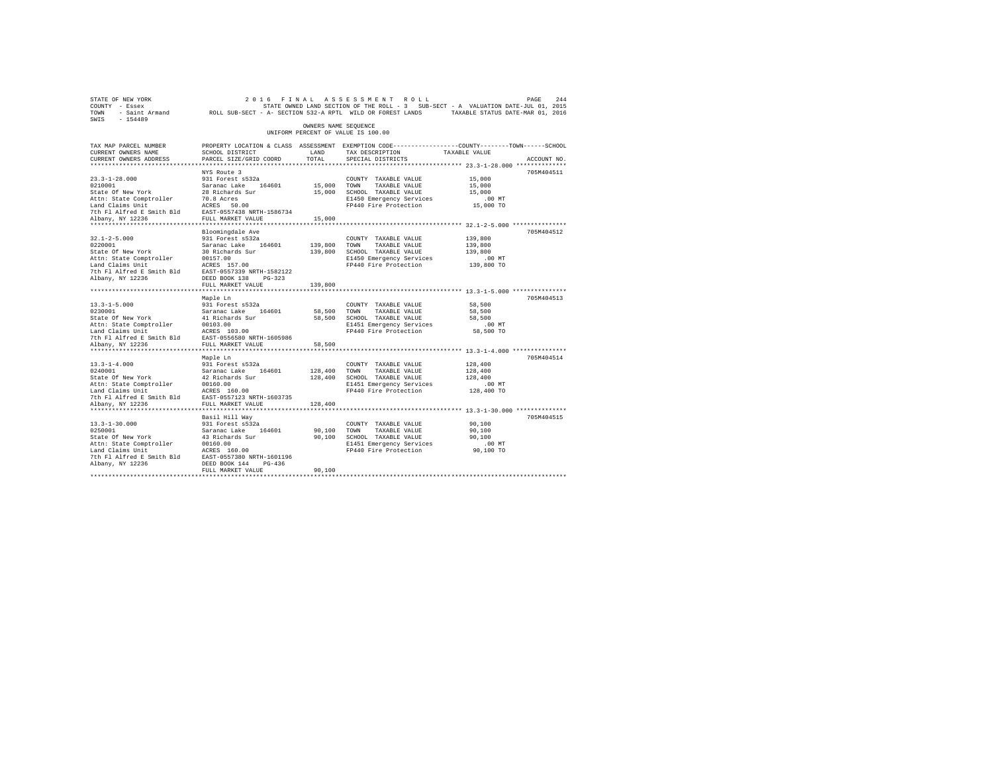| STATE OF NEW YORK<br>COUNTY - Essex<br>TOWN                                                                                 | - Saint Armand 2001, 2016<br>- Saint Armand 2016 ROLL SUB-SECT - A- SECTION 532-A RPTL WILD OR FOREST LANDS |                      | 2016 FINAL ASSESSMENT ROLL<br>STATE OWNED LAND SECTION OF THE ROLL - 3 SUB-SECT - A VALUATION DATE-JUL 01, 2015 |                                                     | PAGE<br>244 |
|-----------------------------------------------------------------------------------------------------------------------------|-------------------------------------------------------------------------------------------------------------|----------------------|-----------------------------------------------------------------------------------------------------------------|-----------------------------------------------------|-------------|
| SWIS<br>$-154489$                                                                                                           |                                                                                                             | OWNERS NAME SEOUENCE |                                                                                                                 |                                                     |             |
|                                                                                                                             |                                                                                                             |                      | UNIFORM PERCENT OF VALUE IS 100.00                                                                              |                                                     |             |
| TAX MAP PARCEL NUMBER                                                                                                       |                                                                                                             |                      | PROPERTY LOCATION & CLASS ASSESSMENT EXEMPTION CODE---------------COUNTY-------TOWN-----SCHOOL                  |                                                     |             |
| CURRENT OWNERS NAME                                                                                                         | SCHOOL DISTRICT                                                                                             | LAND                 | TAX DESCRIPTION                                                                                                 | TAXABLE VALUE                                       |             |
| CURRENT OWNERS ADDRESS<br>**************************                                                                        | PARCEL SIZE/GRID COORD                                                                                      | TOTAL                | SPECIAL DISTRICTS                                                                                               |                                                     | ACCOUNT NO. |
|                                                                                                                             | NYS Route 3                                                                                                 |                      |                                                                                                                 |                                                     | 705M404511  |
| $23.3 - 1 - 28.000$                                                                                                         | 931 Forest s532a                                                                                            |                      | COUNTY TAXABLE VALUE                                                                                            | 15,000                                              |             |
| 0210001                                                                                                                     | Saranac Lake 164601                                                                                         | 15,000               | TOWN<br>TAXABLE VALUE                                                                                           | 15,000                                              |             |
| State Of New York                                                                                                           | 28 Richards Sur                                                                                             |                      | 15,000 SCHOOL TAXABLE VALUE                                                                                     | 15,000                                              |             |
| Attn: State Comptroller 70.8 Acres<br>Land Claims Unit 1 ACRES 50.00<br>7th Fl Alfred E Smith Bld EAST-0557438 NRTH-1586734 |                                                                                                             |                      | E1450 Emergency Services                                                                                        | .00 MT                                              |             |
|                                                                                                                             |                                                                                                             |                      | FP440 Fire Protection                                                                                           | 15,000 TO                                           |             |
|                                                                                                                             |                                                                                                             |                      |                                                                                                                 |                                                     |             |
| Albany, NY 12236                                                                                                            | FULL MARKET VALUE                                                                                           | 15,000               |                                                                                                                 |                                                     |             |
|                                                                                                                             |                                                                                                             |                      |                                                                                                                 |                                                     |             |
|                                                                                                                             | Bloomingdale Ave                                                                                            |                      |                                                                                                                 |                                                     | 705M404512  |
| $32.1 - 2 - 5.000$<br>0220001                                                                                               | 931 Forest s532a<br>Saranac Lake 164601                                                                     | 139,800              | COUNTY TAXABLE VALUE                                                                                            | 139,800                                             |             |
| State Of New York                                                                                                           | 30 Richards Sur                                                                                             | 139,800              | TOWN<br>TAXABLE VALUE<br>SCHOOL TAXABLE VALUE                                                                   | 139,800<br>139,800                                  |             |
| Attn: State Comptroller                                                                                                     | 00157.00                                                                                                    |                      | E1450 Emergency Services                                                                                        | $.00$ MT                                            |             |
| Land Claims Unit                                                                                                            | ACRES 157.00                                                                                                |                      | FP440 Fire Protection                                                                                           | 139,800 TO                                          |             |
| 7th Fl Alfred E Smith Bld EAST-0557339 NRTH-1582122                                                                         |                                                                                                             |                      |                                                                                                                 |                                                     |             |
| Albany, NY 12236                                                                                                            | DEED BOOK 138 PG-323                                                                                        |                      |                                                                                                                 |                                                     |             |
|                                                                                                                             | FULL MARKET VALUE                                                                                           | 139,800              |                                                                                                                 |                                                     |             |
|                                                                                                                             |                                                                                                             |                      |                                                                                                                 |                                                     |             |
|                                                                                                                             | Maple Ln                                                                                                    |                      |                                                                                                                 |                                                     | 705M404513  |
| $13.3 - 1 - 5.000$                                                                                                          | 931 Forest s532a                                                                                            |                      | COUNTY TAXABLE VALUE                                                                                            | 58,500                                              |             |
| 0230001                                                                                                                     | Saranac Lake 164601                                                                                         | 58,500               | TOWN<br>TAXABLE VALUE                                                                                           | 58,500                                              |             |
| State Of New York<br>Attn: State Comptroller                                                                                | 41 Richards Sur<br>00103.00                                                                                 |                      | 58,500 SCHOOL TAXABLE VALUE                                                                                     | 58,500                                              |             |
| Land Claims Unit                                                                                                            | ACRES 103.00                                                                                                |                      | E1451 Emergency Services<br>FP440 Fire Protection                                                               | $.00$ MT<br>58,500 TO                               |             |
| 7th Fl Alfred E Smith Bld                                                                                                   | EAST-0556580 NRTH-1605986                                                                                   |                      |                                                                                                                 |                                                     |             |
| Albany, NY 12236                                                                                                            | FULL MARKET VALUE                                                                                           | 58,500               |                                                                                                                 |                                                     |             |
| **************************                                                                                                  | **********************                                                                                      |                      |                                                                                                                 | ********************** 13.3-1-4.000 *************** |             |
|                                                                                                                             | Maple Ln                                                                                                    |                      |                                                                                                                 |                                                     | 705M404514  |
| $13.3 - 1 - 4.000$                                                                                                          | 931 Forest s532a                                                                                            |                      | COUNTY TAXABLE VALUE                                                                                            | 128,400                                             |             |
| 0240001                                                                                                                     | Saranac Lake 164601                                                                                         | 128,400              | TOWN<br>TAXABLE VALUE                                                                                           | 128,400                                             |             |
| State Of New York                                                                                                           | 42 Richards Sur                                                                                             | 128,400              | SCHOOL TAXABLE VALUE                                                                                            | 128,400                                             |             |
| Attn: State Comptroller                                                                                                     | 00160.00                                                                                                    |                      | E1451 Emergency Services                                                                                        | $.00$ MT                                            |             |
| Land Claims Unit                                                                                                            | ACRES 160.00                                                                                                |                      | FP440 Fire Protection                                                                                           | 128,400 TO                                          |             |
| 7th Fl Alfred E Smith Bld                                                                                                   | EAST-0557123 NRTH-1603735                                                                                   |                      |                                                                                                                 |                                                     |             |
| Albany, NY 12236<br>***********************                                                                                 | FULL MARKET VALUE<br>*************************                                                              | 128,400              |                                                                                                                 |                                                     |             |
|                                                                                                                             |                                                                                                             |                      |                                                                                                                 |                                                     | 705M404515  |
| $13.3 - 1 - 30.000$                                                                                                         | Basil Hill Way<br>931 Forest s532a                                                                          |                      | COUNTY TAXABLE VALUE                                                                                            | 90,100                                              |             |
| 0250001                                                                                                                     | Saranac Lake 164601                                                                                         | 90,100               | TOWN<br>TAXABLE VALUE                                                                                           | 90,100                                              |             |
| State Of New York                                                                                                           | 43 Richards Sur                                                                                             | 90,100               | SCHOOL TAXABLE VALUE                                                                                            | 90,100                                              |             |
| Attn: State Comptroller                                                                                                     | 00160.00                                                                                                    |                      | E1451 Emergency Services                                                                                        | $.00$ MT                                            |             |
| Land Claims Unit                                                                                                            | ACRES 160.00                                                                                                |                      | FP440 Fire Protection                                                                                           | 90,100 TO                                           |             |
| 7th Fl Alfred E Smith Bld                                                                                                   | EAST-0557380 NRTH-1601196                                                                                   |                      |                                                                                                                 |                                                     |             |
| Albany, NY 12236                                                                                                            | DEED BOOK 144 PG-436                                                                                        |                      |                                                                                                                 |                                                     |             |
|                                                                                                                             | FULL MARKET VALUE                                                                                           | 90,100               |                                                                                                                 |                                                     |             |
|                                                                                                                             |                                                                                                             |                      |                                                                                                                 |                                                     |             |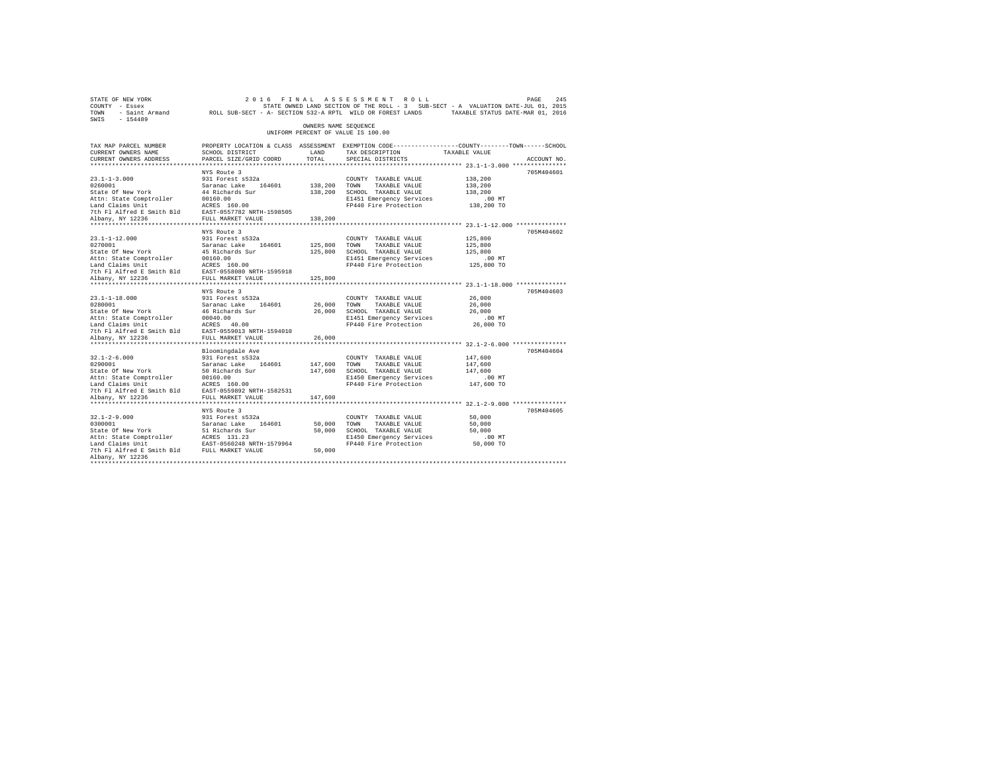| STATE OF NEW YORK<br>COUNTY - Essex<br>TOWN - Saint Armand ROLL SUB-SECT - A- SECTION 532-A RPTL WILD OR FOREST LANDS TAXABLE STATUS DATE-MAR 01, 2016<br>SWIS - 154489                                                                                                                                              |                                                                                                     |                         | 2016 FINAL ASSESSMENT ROLL<br>STATE OWNED LAND SECTION OF THE ROLL - 3 SUB-SECT - A VALUATION DATE-JUL 01, 2015                                                                                    |                                           | 245<br>PAGE |
|----------------------------------------------------------------------------------------------------------------------------------------------------------------------------------------------------------------------------------------------------------------------------------------------------------------------|-----------------------------------------------------------------------------------------------------|-------------------------|----------------------------------------------------------------------------------------------------------------------------------------------------------------------------------------------------|-------------------------------------------|-------------|
|                                                                                                                                                                                                                                                                                                                      |                                                                                                     | OWNERS NAME SEQUENCE    | UNIFORM PERCENT OF VALUE IS 100.00                                                                                                                                                                 |                                           |             |
| TAX MAP PARCEL NUMBER<br>CURRENT OWNERS NAME<br>CURRENT OWNERS ADDRESS                                                                                                                                                                                                                                               | SCHOOL DISTRICT<br>PARCEL SIZE/GRID COORD                                                           | LAND<br>TOTAL           | PROPERTY LOCATION & CLASS ASSESSMENT EXEMPTION CODE----------------COUNTY-------TOWN------SCHOOL<br>TAX DESCRIPTION TAXABLE VALUE<br>SPECIAL DISTRICTS                                             |                                           | ACCOUNT NO. |
|                                                                                                                                                                                                                                                                                                                      |                                                                                                     |                         |                                                                                                                                                                                                    |                                           |             |
| $23.1 - 1 - 3.000$<br>200011<br>200011<br>200011<br>200011<br>200011<br>200011<br>20161<br>20161<br>20161<br>20161<br>20161<br>20161<br>20161<br>20161<br>20161<br>20161<br>20161<br>20161<br>20161<br>20161<br>20161<br>20161<br>2018<br>2028<br>2028<br>2028<br>2028<br>2028<br>2028<br>2028<br>2028<br>2028<br>20 | NYS Route 3<br>931 Forest s532a                                                                     | 138,200 TOWN            | COUNTY TAXABLE VALUE<br>TAXABLE VALUE<br>138,200 SCHOOL TAXABLE VALUE<br>E1451 Emergency Services                                                                                                  | 138,200<br>138,200<br>138,200<br>$.00$ MT | 705M404601  |
|                                                                                                                                                                                                                                                                                                                      |                                                                                                     | 138,200                 | FP440 Fire Protection 138,200 TO                                                                                                                                                                   |                                           |             |
| $23.1 - 1 - 12.000$<br>0270001 Saranac Lake 164601<br>State of New York 45 Richards Sur<br>Attn: State Comptroller 20160.00<br>Land Claims Unit 2CRES 160.00<br>The Plaired E Smith Bld EAST-0558080 NRTH-1595918<br>Albany, NY 12236                                                                                | NYS Route 3<br>931 Forest s532a                                                                     | 125,800 TOWN            | COUNTY TAXABLE VALUE<br>TAXABLE VALUE<br>125,800 SCHOOL TAXABLE VALUE<br>E1451 Emergency Services<br>FP440 Fire Protection 125,800 TO                                                              | 125,800<br>125,800<br>125,800<br>$.00$ MT | 705M404602  |
|                                                                                                                                                                                                                                                                                                                      |                                                                                                     | 125,800                 |                                                                                                                                                                                                    |                                           |             |
| $23.1 - 1 - 18.000$<br>0280001<br>Saranac Lake 164601<br>State of New York 164601<br>Attn: State Comptroller 160040.00<br>Land Claims Unit 164602<br>Dan Claims 16461<br>The Flalired E Smith Bld EAST-0559013 NRTH-1594010                                                                                          | NYS Route 3<br>931 Forest s532a                                                                     | 26,000 TOWN             | COUNTY TAXABLE VALUE<br>TAXABLE VALUE<br>26,000 SCHOOL TAXABLE VALUE<br>E1451 Emergency Services<br>FP440 Fire Protection 26,000 TO                                                                | 26,000<br>26,000<br>26,000<br>$.00$ MT    | 705M404603  |
| Albany, NY 12236                                                                                                                                                                                                                                                                                                     | FULL MARKET VALUE                                                                                   | 26,000                  |                                                                                                                                                                                                    |                                           |             |
| $32.1 - 2 - 6.000$<br>0290001<br>State Of New York<br>Albany, NY 12236                                                                                                                                                                                                                                               | Bloomingdale Ave<br>931 Forest s532a<br>Saranac Lake 164601<br>50 Richards Sur<br>FULL MARKET VALUE | 147.600 TOWN<br>147,600 | ***************************** 32.1-2-6.000 **************<br>COUNTY TAXABLE VALUE<br>TAXABLE VALUE<br>147,600 SCHOOL TAXABLE VALUE<br>E1450 Emergency Services<br>FP440 Fire Protection 147,600 TO | 147,600<br>147,600<br>147,600<br>$.00$ MT | 705M404604  |
|                                                                                                                                                                                                                                                                                                                      |                                                                                                     |                         |                                                                                                                                                                                                    |                                           |             |
| $32.1 - 2 - 9.000$<br>32.1-2-9.000<br>0300001<br>State Of New York<br>Albany, NY 12236                                                                                                                                                                                                                               | NYS Route 3<br>931 Forest s532a<br>Saranac Lake 164601<br>51 Richards Sur                           | 50,000 TOWN<br>50,000   | COUNTY TAXABLE VALUE<br>TAXABLE VALUE<br>50,000 SCHOOL TAXABLE VALUE<br>E1450 Emergency Services<br>E1450 Emergency Services .uu MT<br>FP440 Fire Protection 50,000 TO                             | 50,000<br>50,000<br>50,000<br>$.00$ MT    | 705M404605  |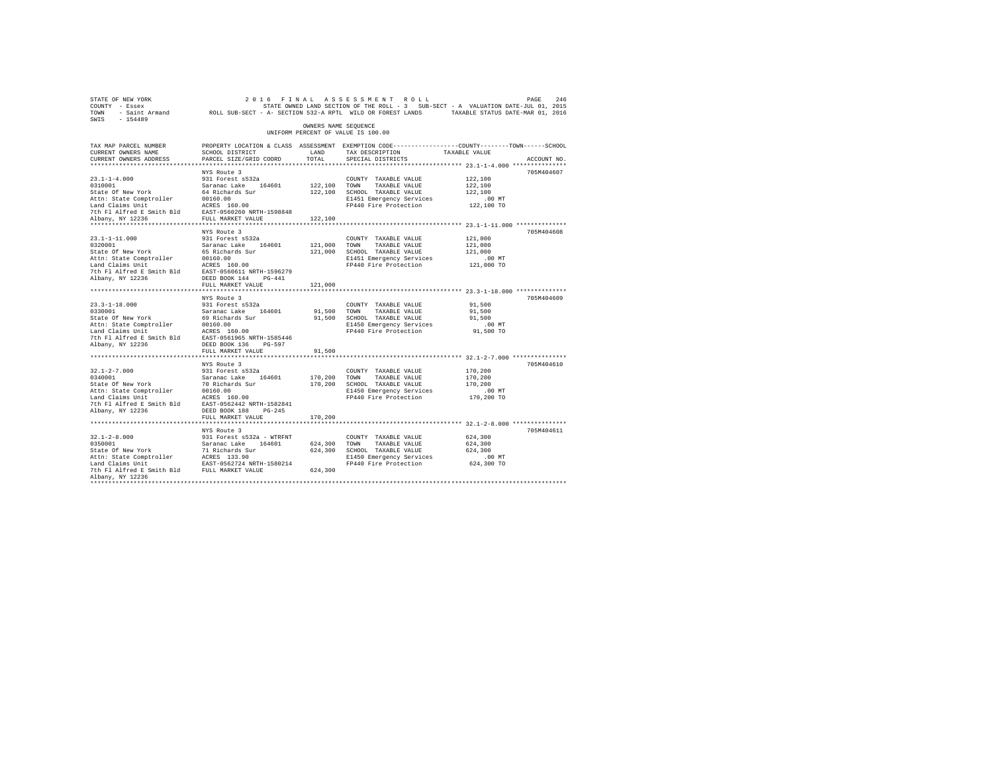| STATE OF NEW YORK<br>COUNTY - Essex<br>$-154489$<br>SWIS                                                                                                                                                                  |                                                  |                      | 2016 FINAL ASSESSMENT ROLL                              | PAGE<br>246<br>STATE OWNED LAND SECTION OF THE ROLL - 3 SUB-SECT - A VALUATION DATE-JUL 01, 2015<br>TOWN - Saint Armand MOLL SUB-SECT - A- SECTION 532-A RPTL WILD OR FOREST LANDS TAXABLE STATUS DATE-MAR 01, 2016 |  |
|---------------------------------------------------------------------------------------------------------------------------------------------------------------------------------------------------------------------------|--------------------------------------------------|----------------------|---------------------------------------------------------|---------------------------------------------------------------------------------------------------------------------------------------------------------------------------------------------------------------------|--|
|                                                                                                                                                                                                                           |                                                  | OWNERS NAME SEOUENCE | UNIFORM PERCENT OF VALUE IS 100.00                      |                                                                                                                                                                                                                     |  |
| TAX MAP PARCEL NUMBER<br>CURRENT OWNERS NAME                                                                                                                                                                              | <b>LAND</b>                                      |                      |                                                         | PROPERTY LOCATION & CLASS ASSESSMENT EXEMPTION CODE----------------COUNTY--------TOWN-----SCHOOL                                                                                                                    |  |
| CURRENT OWNERS ADDRESS                                                                                                                                                                                                    | SCHOOL DISTRICT<br>PARCEL SIZE/GRID COORD        | TOTAL.               | TAX DESCRIPTION<br>SPECIAL DISTRICTS                    | TAXABLE VALUE<br>ACCOUNT NO.                                                                                                                                                                                        |  |
| *************************                                                                                                                                                                                                 | ************************                         |                      |                                                         |                                                                                                                                                                                                                     |  |
|                                                                                                                                                                                                                           | NYS Route 3                                      |                      |                                                         | 705M404607                                                                                                                                                                                                          |  |
| $23.1 - 1 - 4.000$                                                                                                                                                                                                        | 931 Forest s532a                                 |                      | COUNTY TAXABLE VALUE                                    | 122,100                                                                                                                                                                                                             |  |
| 0310001                                                                                                                                                                                                                   | Saranac Lake 164601                              | 122,100 TOWN         | TAXABLE VALUE                                           | 122,100                                                                                                                                                                                                             |  |
| State Of New York                                                                                                                                                                                                         | 64 Richards Sur                                  |                      | 122,100 SCHOOL TAXABLE VALUE                            | 122,100                                                                                                                                                                                                             |  |
| Attn: State Comptroller                                                                                                                                                                                                   | 00160.00<br>00160.00<br>ACRES 160.00             |                      | E1451 Emergency Services                                | .00 MT                                                                                                                                                                                                              |  |
| Land Claims Unit                                                                                                                                                                                                          |                                                  |                      | FP440 Fire Protection                                   | 122,100 TO                                                                                                                                                                                                          |  |
| 7th Fl Alfred E Smith Bld EAST-0560260 NRTH-1598848                                                                                                                                                                       |                                                  |                      |                                                         |                                                                                                                                                                                                                     |  |
| Albany, NY 12236                                                                                                                                                                                                          | FULL MARKET VALUE                                | 122,100              |                                                         |                                                                                                                                                                                                                     |  |
|                                                                                                                                                                                                                           |                                                  |                      |                                                         |                                                                                                                                                                                                                     |  |
| $23.1 - 1 - 11.000$                                                                                                                                                                                                       | NYS Route 3                                      |                      | COUNTY TAXABLE VALUE                                    | 705M404608                                                                                                                                                                                                          |  |
| 0320001                                                                                                                                                                                                                   | 931 Forest s532a                                 | 121,000 TOWN         | TAXABLE VALUE                                           | 121,000<br>121,000                                                                                                                                                                                                  |  |
| State Of New York                                                                                                                                                                                                         | Saranac Lake 164601<br>65 Richards Sur           | 121,000              | SCHOOL TAXABLE VALUE                                    | 121,000                                                                                                                                                                                                             |  |
| Attn: State Comptroller                                                                                                                                                                                                   | 00160.00                                         |                      | E1451 Emergency Services                                | $.00$ MT                                                                                                                                                                                                            |  |
|                                                                                                                                                                                                                           |                                                  |                      | FP440 Fire Protection                                   | 121,000 TO                                                                                                                                                                                                          |  |
| Land Claims Unit<br>The F1 Alfred E Smith Bld<br>The F1 Alfred E Smith Bld<br>EAST-0560611 NRTH-1596279                                                                                                                   |                                                  |                      |                                                         |                                                                                                                                                                                                                     |  |
| Albany, NY 12236                                                                                                                                                                                                          | DEED BOOK 144 PG-441                             |                      |                                                         |                                                                                                                                                                                                                     |  |
|                                                                                                                                                                                                                           | FULL MARKET VALUE                                | 121,000              |                                                         |                                                                                                                                                                                                                     |  |
|                                                                                                                                                                                                                           |                                                  |                      |                                                         |                                                                                                                                                                                                                     |  |
|                                                                                                                                                                                                                           | NYS Route 3                                      |                      |                                                         | 705M404609                                                                                                                                                                                                          |  |
| $23.3 - 1 - 18.000$                                                                                                                                                                                                       | 931 Forest s532a                                 |                      | COUNTY TAXABLE VALUE                                    | 91,500                                                                                                                                                                                                              |  |
| 0330001<br>State Of New York                                                                                                                                                                                              | Saranac Lake 164601                              | 91,500               | TOWN<br>TAXABLE VALUE                                   | 91,500                                                                                                                                                                                                              |  |
| Attn: State Comptroller                                                                                                                                                                                                   | 69 Richards Sur<br>00160.00                      |                      | 91,500 SCHOOL TAXABLE VALUE<br>E1450 Emergency Services | 91,500<br>$.00$ MT                                                                                                                                                                                                  |  |
| Land Claims Unit                                                                                                                                                                                                          | ACRES 160.00                                     |                      | FP440 Fire Protection                                   | 91,500 TO                                                                                                                                                                                                           |  |
| 7th Fl Alfred E Smith Bld EAST-0561965 NRTH-1585446                                                                                                                                                                       |                                                  |                      |                                                         |                                                                                                                                                                                                                     |  |
| Albany, NY 12236                                                                                                                                                                                                          | DEED BOOK 136 PG-597                             |                      |                                                         |                                                                                                                                                                                                                     |  |
|                                                                                                                                                                                                                           | FULL MARKET VALUE                                | 91,500               |                                                         |                                                                                                                                                                                                                     |  |
|                                                                                                                                                                                                                           |                                                  |                      |                                                         |                                                                                                                                                                                                                     |  |
|                                                                                                                                                                                                                           | NYS Route 3                                      |                      |                                                         | 705M404610                                                                                                                                                                                                          |  |
| $32.1 - 2 - 7.000$<br>0340001                                                                                                                                                                                             | 931 Forest s532a                                 |                      | COUNTY TAXABLE VALUE                                    | 170,200                                                                                                                                                                                                             |  |
|                                                                                                                                                                                                                           |                                                  | 170,200 TOWN         | TAXABLE VALUE                                           | 170,200                                                                                                                                                                                                             |  |
| 0340001<br>Saranac Lake 164601<br>State of New York<br>20160.00<br>Land Claims Unit<br>Land Claims Units are the property of the property of the Paris (16000)<br>2020101<br>202011<br>202011 Paris 1660401 Paris 1600011 |                                                  |                      | 170,200 SCHOOL TAXABLE VALUE                            | 170,200                                                                                                                                                                                                             |  |
|                                                                                                                                                                                                                           |                                                  |                      | E1450 Emergency Services                                | $.00$ MT                                                                                                                                                                                                            |  |
|                                                                                                                                                                                                                           |                                                  |                      | FP440 Fire Protection                                   | 170,200 TO                                                                                                                                                                                                          |  |
| 7th Fl Alfred E Smith Bld EAST-0562442 NRTH-1582841<br>Albany, NY 12236                                                                                                                                                   | DEED BOOK 188 PG-245                             |                      |                                                         |                                                                                                                                                                                                                     |  |
|                                                                                                                                                                                                                           | FULL MARKET VALUE                                | 170,200              |                                                         |                                                                                                                                                                                                                     |  |
|                                                                                                                                                                                                                           |                                                  |                      |                                                         |                                                                                                                                                                                                                     |  |
|                                                                                                                                                                                                                           | NYS Route 3                                      |                      |                                                         | 705M404611                                                                                                                                                                                                          |  |
| $32.1 - 2 - 8.000$                                                                                                                                                                                                        |                                                  |                      | COUNTY TAXABLE VALUE                                    | 624,300                                                                                                                                                                                                             |  |
| 0350001                                                                                                                                                                                                                   | 931 Forest s532a - WTRFNT<br>Saranac Lake 164601 |                      | 624,300 TOWN TAXABLE VALUE                              | 624,300                                                                                                                                                                                                             |  |
| State Of New York                                                                                                                                                                                                         | 71 Richards Sur                                  | 624,300              | SCHOOL TAXABLE VALUE                                    | 624,300                                                                                                                                                                                                             |  |
|                                                                                                                                                                                                                           |                                                  |                      | E1450 Emergency Services                                | $.00$ MT                                                                                                                                                                                                            |  |
|                                                                                                                                                                                                                           |                                                  |                      | FP440 Fire Protection                                   | 624,300 TO                                                                                                                                                                                                          |  |
|                                                                                                                                                                                                                           |                                                  | 624,300              |                                                         |                                                                                                                                                                                                                     |  |
| Albany, NY 12236<br>************                                                                                                                                                                                          |                                                  |                      |                                                         |                                                                                                                                                                                                                     |  |
|                                                                                                                                                                                                                           |                                                  |                      |                                                         |                                                                                                                                                                                                                     |  |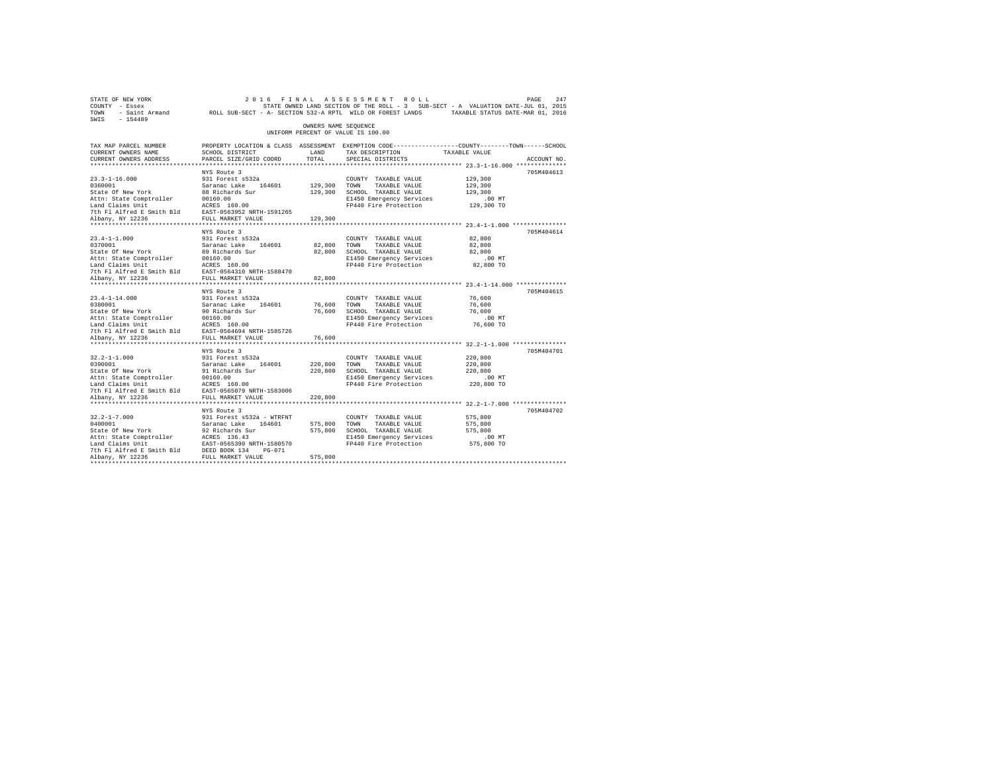| SWIS - 154489                                                                                                                                                                                                                                                                               |                                                                                                                                              |                         |                                                                                                                                                                   |                                                     |             |
|---------------------------------------------------------------------------------------------------------------------------------------------------------------------------------------------------------------------------------------------------------------------------------------------|----------------------------------------------------------------------------------------------------------------------------------------------|-------------------------|-------------------------------------------------------------------------------------------------------------------------------------------------------------------|-----------------------------------------------------|-------------|
|                                                                                                                                                                                                                                                                                             |                                                                                                                                              | OWNERS NAME SEQUENCE    | UNIFORM PERCENT OF VALUE IS 100.00                                                                                                                                |                                                     |             |
| TAX MAP PARCEL NUMBER<br>CURRENT OWNERS NAME<br>CURRENT OWNERS ADDRESS                                                                                                                                                                                                                      | PROPERTY LOCATION & CLASS ASSESSMENT EXEMPTION CODE----------------COUNTY-------TOWN-----SCHOOL<br>SCHOOL DISTRICT<br>PARCEL SIZE/GRID COORD | LAND<br>TOTAL           | TAX DESCRIPTION TAXABLE VALUE<br>SPECIAL DISTRICTS                                                                                                                |                                                     | ACCOUNT NO. |
|                                                                                                                                                                                                                                                                                             |                                                                                                                                              |                         |                                                                                                                                                                   |                                                     |             |
| $23.3 - 1 - 16.000$<br>2019-12:00<br>2010001<br>2010001<br>2010001 - Saranac Lake 164601<br>2016001 - Saranac Lake 164601<br>2016.00<br>2016.00<br>2016.00<br>2016.00<br>2016.00<br>2016.00<br>2016.00<br>2016.00<br>2016.00<br>2016.00<br>2016.00<br>2016.00<br>2016.00<br>2028.2025<br>20 | NYS Route 3<br>931 Forest s532a                                                                                                              | 129,300 TOWN            | COUNTY TAXABLE VALUE<br>TAXABLE VALUE<br>129,300 SCHOOL TAXABLE VALUE<br>E1450 Emergency Services<br>FP440 Fire Protection 129,300 TO                             | 129,300<br>129,300<br>129,300<br>.00 MT             | 705M404613  |
|                                                                                                                                                                                                                                                                                             |                                                                                                                                              | 129,300                 |                                                                                                                                                                   |                                                     |             |
| $23.4 - 1 - 1.000$                                                                                                                                                                                                                                                                          | NYS Route 3<br>931 Forest s532a                                                                                                              | 82,800 TOWN             | COUNTY TAXABLE VALUE<br>TAXABLE VALUE<br>82,800 SCHOOL TAXABLE VALUE<br>E1450 Emergency Services<br>FP440 Fire Protection 82,800 TO                               | 82,800<br>82,800<br>82,800<br>$.00$ MT              | 705M404614  |
|                                                                                                                                                                                                                                                                                             |                                                                                                                                              | 82,800                  |                                                                                                                                                                   |                                                     |             |
| $23.4 - 1 - 14.000$<br>2012<br>2020001 - 2020001 - 202001 - 202001 - 202001<br>202001 - 2020021 - 2020021 - 2020021<br>20201 - 2020021 - 2020021 - 2020021<br>20201 - 2020021 - 2020021 - 2020021<br>20201 - 20201 - 2020021 - 20201 - 20201<br>20201 - 20201 - 2                           | NYS Route 3<br>931 Forest s532a                                                                                                              |                         | COUNTY TAXABLE VALUE<br>76,600 TOWN TAXABLE VALUE<br>76,600 SCHOOL TAXABLE VALUE<br>E1450 Emergency Services<br>E1450 Emergency Services<br>FP440 Fire Protection | 76,600<br>76,600<br>76,600<br>$.00$ MT<br>76,600 TO | 705M404615  |
| Albany, NY 12236                                                                                                                                                                                                                                                                            | FULL MARKET VALUE                                                                                                                            | 76,600                  |                                                                                                                                                                   |                                                     |             |
| $32.2 - 1 - 1.000$<br>32.2-1-1.000<br>0390001<br>State Of New York<br>Albany, NY 12236                                                                                                                                                                                                      | NYS Route 3<br>931 Forest s532a<br>Saranac Lake 164601<br>91 Richards Sur<br>FULL MARKET VALUE                                               | 220.800 TOWN<br>220,800 | COUNTY TAXABLE VALUE<br>220,800 TOWN TAXABLE VALUE<br>220,800 SCHOOL TAXABLE VALUE<br>E1450 Emergency Services<br>FP440 Fire Protection 220,800 TO                | 220,800<br>220,800<br>220,800<br>$.00$ MT           | 705M404701  |
|                                                                                                                                                                                                                                                                                             |                                                                                                                                              |                         |                                                                                                                                                                   |                                                     |             |
| $32.2 - 1 - 7.000$<br>32.2-1-7.000<br>0400001<br>State Of New York<br>Attn: State Comptroller<br>Land Claims Unit<br>Land Claims Unit<br>The Flalfred E Smith Bld<br>2006 134 DES PULL MARKET VALUE<br>21 Albany, NY 12236<br>2006 2006 134<br>2006 2006 2014                               | NYS Route 3<br>931 Forest s532a - WTRFNT<br>Saranac Lake 164601<br>92 Richards Sur                                                           | 575,800 TOWN<br>575,800 | COUNTY TAXABLE VALUE<br>TAXABLE VALUE<br>575,800 SCHOOL TAXABLE VALUE<br>E1450 Emergency Services<br>FP440 Fire Protection 575,800 TO                             | 575,800<br>575,800<br>575,800<br>$.00$ MT           | 705M404702  |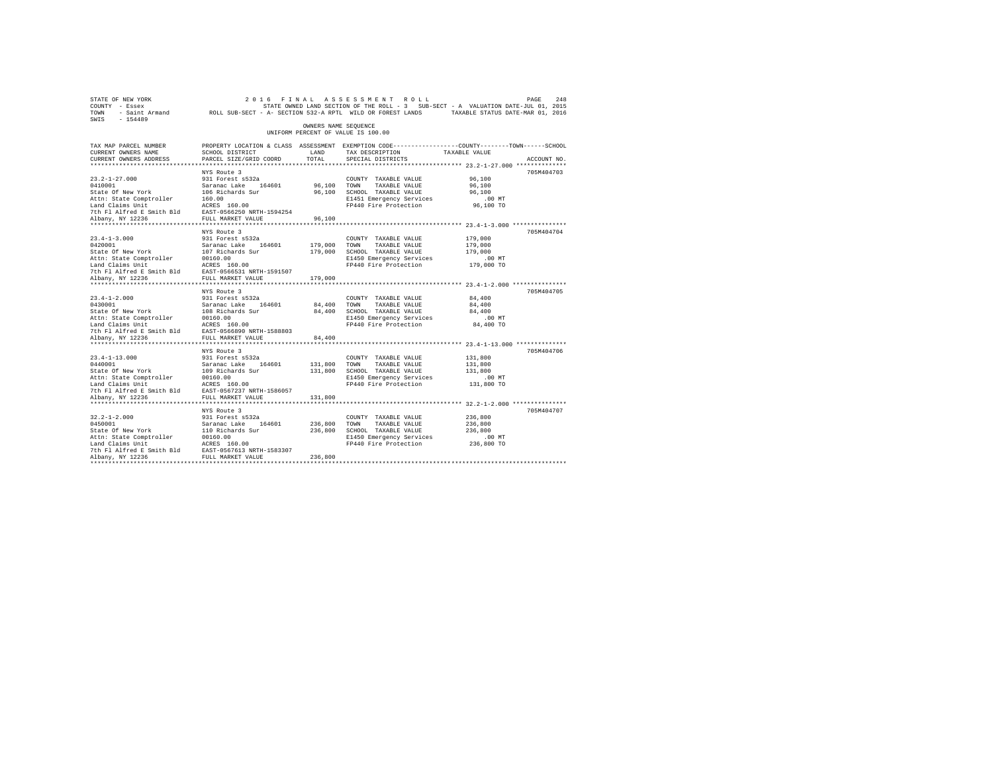|                                                                                                                                                                                                                            |                                                                                   |                                                                                                                                                                                                                                                                                                                                                                                                                                                                                                                                                                                                                                                                                                            |                                                                                                                                                                                                                                                                                                                                      | PAGE<br>248                                                                                                                                                                                                                                                                                                                                                                                                                                                                                                                                                                                                             |
|----------------------------------------------------------------------------------------------------------------------------------------------------------------------------------------------------------------------------|-----------------------------------------------------------------------------------|------------------------------------------------------------------------------------------------------------------------------------------------------------------------------------------------------------------------------------------------------------------------------------------------------------------------------------------------------------------------------------------------------------------------------------------------------------------------------------------------------------------------------------------------------------------------------------------------------------------------------------------------------------------------------------------------------------|--------------------------------------------------------------------------------------------------------------------------------------------------------------------------------------------------------------------------------------------------------------------------------------------------------------------------------------|-------------------------------------------------------------------------------------------------------------------------------------------------------------------------------------------------------------------------------------------------------------------------------------------------------------------------------------------------------------------------------------------------------------------------------------------------------------------------------------------------------------------------------------------------------------------------------------------------------------------------|
|                                                                                                                                                                                                                            |                                                                                   |                                                                                                                                                                                                                                                                                                                                                                                                                                                                                                                                                                                                                                                                                                            |                                                                                                                                                                                                                                                                                                                                      |                                                                                                                                                                                                                                                                                                                                                                                                                                                                                                                                                                                                                         |
| SCHOOL DISTRICT<br>PARCEL SIZE/GRID COORD                                                                                                                                                                                  | LAND<br>TOTAL                                                                     | TAX DESCRIPTION<br>SPECIAL DISTRICTS                                                                                                                                                                                                                                                                                                                                                                                                                                                                                                                                                                                                                                                                       |                                                                                                                                                                                                                                                                                                                                      | ACCOUNT NO.                                                                                                                                                                                                                                                                                                                                                                                                                                                                                                                                                                                                             |
|                                                                                                                                                                                                                            |                                                                                   |                                                                                                                                                                                                                                                                                                                                                                                                                                                                                                                                                                                                                                                                                                            |                                                                                                                                                                                                                                                                                                                                      |                                                                                                                                                                                                                                                                                                                                                                                                                                                                                                                                                                                                                         |
| 931 Forest s532a                                                                                                                                                                                                           |                                                                                   | COUNTY TAXABLE VALUE<br>TAXABLE VALUE                                                                                                                                                                                                                                                                                                                                                                                                                                                                                                                                                                                                                                                                      | 96,100<br>96,100<br>96,100<br>$.00$ MT                                                                                                                                                                                                                                                                                               | 705M404703                                                                                                                                                                                                                                                                                                                                                                                                                                                                                                                                                                                                              |
|                                                                                                                                                                                                                            | 96,100                                                                            |                                                                                                                                                                                                                                                                                                                                                                                                                                                                                                                                                                                                                                                                                                            |                                                                                                                                                                                                                                                                                                                                      |                                                                                                                                                                                                                                                                                                                                                                                                                                                                                                                                                                                                                         |
| NYS Route 3<br>931 Forest s532a                                                                                                                                                                                            |                                                                                   | COUNTY TAXABLE VALUE<br>TAXABLE VALUE<br>E1450 Emergency Services                                                                                                                                                                                                                                                                                                                                                                                                                                                                                                                                                                                                                                          | 179,000<br>179,000<br>179,000<br>$.00$ MT                                                                                                                                                                                                                                                                                            | 705M404704                                                                                                                                                                                                                                                                                                                                                                                                                                                                                                                                                                                                              |
|                                                                                                                                                                                                                            | 179,000                                                                           |                                                                                                                                                                                                                                                                                                                                                                                                                                                                                                                                                                                                                                                                                                            |                                                                                                                                                                                                                                                                                                                                      |                                                                                                                                                                                                                                                                                                                                                                                                                                                                                                                                                                                                                         |
| NYS Route 3<br>931 Forest s532a                                                                                                                                                                                            |                                                                                   | COUNTY TAXABLE VALUE<br>TAXABLE VALUE<br>E1450 Emergency Services                                                                                                                                                                                                                                                                                                                                                                                                                                                                                                                                                                                                                                          | 84,400<br>84,400<br>84,400<br>.00 MT<br>84,400 TO                                                                                                                                                                                                                                                                                    | 705M404705                                                                                                                                                                                                                                                                                                                                                                                                                                                                                                                                                                                                              |
|                                                                                                                                                                                                                            | 84,400                                                                            |                                                                                                                                                                                                                                                                                                                                                                                                                                                                                                                                                                                                                                                                                                            |                                                                                                                                                                                                                                                                                                                                      |                                                                                                                                                                                                                                                                                                                                                                                                                                                                                                                                                                                                                         |
| NYS Route 3<br>931 Forest s532a<br>Saranac Lake 164601<br>109 Richards Sur                                                                                                                                                 |                                                                                   | COUNTY TAXABLE VALUE<br>TAXABLE VALUE<br>E1450 Emergency Services                                                                                                                                                                                                                                                                                                                                                                                                                                                                                                                                                                                                                                          | 131,800<br>131,800<br>131,800<br>$.00$ MT                                                                                                                                                                                                                                                                                            | 705M404706                                                                                                                                                                                                                                                                                                                                                                                                                                                                                                                                                                                                              |
|                                                                                                                                                                                                                            |                                                                                   |                                                                                                                                                                                                                                                                                                                                                                                                                                                                                                                                                                                                                                                                                                            |                                                                                                                                                                                                                                                                                                                                      |                                                                                                                                                                                                                                                                                                                                                                                                                                                                                                                                                                                                                         |
| NYS Route 3<br>931 Forest s532a<br>Saranac Lake 164601<br>110 Richards Sur<br>Attn: State Comptroller 00160.00<br>Land Claims Unit ACRES 160.00<br>7th Fl Alfred E Smith Bld EAST-0567613 NRTH-1583307<br>Albany, NY 12236 | 236,800                                                                           | COUNTY TAXABLE VALUE<br>TAXABLE VALUE                                                                                                                                                                                                                                                                                                                                                                                                                                                                                                                                                                                                                                                                      | 236,800<br>236,800<br>236,800<br>$.00$ MT                                                                                                                                                                                                                                                                                            | 705M404707                                                                                                                                                                                                                                                                                                                                                                                                                                                                                                                                                                                                              |
|                                                                                                                                                                                                                            | NYS Route 3<br>FULL MARKET VALUE<br>************************<br>FULL MARKET VALUE | 2012<br>201011 Saranac Lake 164601<br>201011 Saranac Lake 164601<br>2011 Saranac Lake 164601<br>2011: Actris 160.00<br>2011 March 2011 March 160.00<br>2012 March 2012<br>2012 March 2012<br>2012 March 2012<br>2014 March 2012<br>2014 March 2012<br>23.4-1-5.000<br>23.4-1-5.000<br>Saranac Lake 164601<br>State of New York 107 Richards Sur<br>Attn: State Comptroller 20160.00<br>Land Claims Unit 2025 160.00<br>2016 2025 18.11 NARKET VALUE 11.1<br>20236<br>0430001 Saranac Lake 164601<br>State Of New York 108 Richards Sur<br>Attn: State Comptroller 00160.00<br>Land Claims Unit<br>Unit Richards State 16.000 RTH-1588803<br>7th Fl Alfred E Smith Bld EAST-0566890 NRTH-1588803<br>131,800 | 2016 FINAL ASSESSMENT ROLL<br>OWNERS NAME SEQUENCE<br>UNIFORM PERCENT OF VALUE IS 100.00<br>96,100 TOWN<br>96,100 SCHOOL TAXABLE VALUE<br>179,000 TOWN<br>179,000 SCHOOL TAXABLE VALUE<br>84,400 TOWN<br>84,400 SCHOOL TAXABLE VALUE<br>131,800 TOWN<br>131,800 SCHOOL TAXABLE VALUE<br>236.800 TOWN<br>236,800 SCHOOL TAXABLE VALUE | STATE OWNED LAND SECTION OF THE ROLL - 3 SUB-SECT - A VALUATION DATE-JUL 01, 2015<br>TOWN - Saint Armand ROLL SUB-SECT - A- SECTION 532-A RPTL WILD OR FOREST LANDS TAXABLE STATUS DATE-MAR 01, 2016<br>PROPERTY LOCATION & CLASS ASSESSMENT EXEMPTION CODE----------------COUNTY-------TOWN------SCHOOL<br>TAXABLE VALUE<br>E1451 Emergency Services<br>FP440 Fire Protection 96,100 TO<br>FP440 Fire Protection 179,000 TO<br>FP440 Fire Protection<br>***************************** 23.4-1-13.000 **************<br>FP440 Fire Protection 131,800 TO<br>E1450 Emergency Services<br>FP440 Fire Protection 236,800 TO |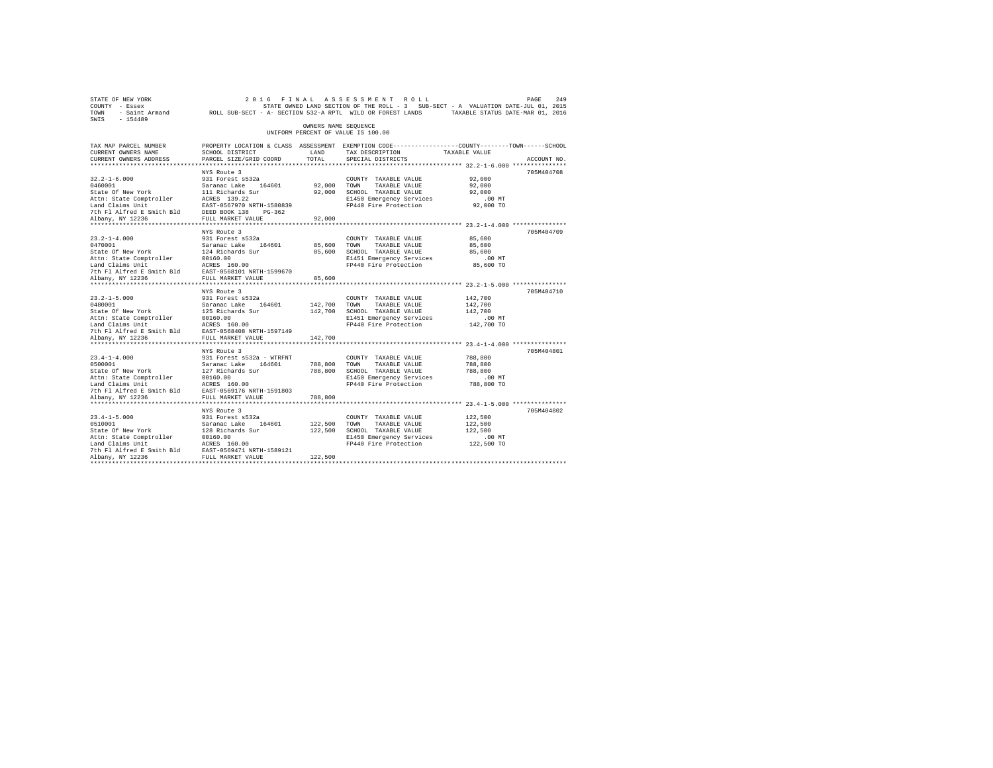| STATE OF NEW YORK<br>COUNTY - Essex<br>TOWN - Saint Armand ROLL SUB-SECT - A- SECTION 532-A RPTL WILD OR FOREST LANDS TAXABLE STATUS DATE-MAR 01, 2016<br>SWIS - 154489                         |                                                                                     |                         | 2016 FINAL ASSESSMENT ROLL<br>STATE OWNED LAND SECTION OF THE ROLL - 3 SUB-SECT - A VALUATION DATE-JUL 01, 2015                          |                                                         | 249<br>PAGE |
|-------------------------------------------------------------------------------------------------------------------------------------------------------------------------------------------------|-------------------------------------------------------------------------------------|-------------------------|------------------------------------------------------------------------------------------------------------------------------------------|---------------------------------------------------------|-------------|
|                                                                                                                                                                                                 |                                                                                     | OWNERS NAME SEQUENCE    | UNIFORM PERCENT OF VALUE IS 100.00                                                                                                       |                                                         |             |
| TAX MAP PARCEL NUMBER<br>CURRENT OWNERS NAME<br>CURRENT OWNERS ADDRESS                                                                                                                          | SCHOOL DISTRICT<br>PARCEL SIZE/GRID COORD                                           | LAND<br>TOTAL           | PROPERTY LOCATION & CLASS ASSESSMENT EXEMPTION CODE----------------COUNTY-------TOWN------SCHOOL<br>TAX DESCRIPTION<br>SPECIAL DISTRICTS | TAXABLE VALUE                                           | ACCOUNT NO. |
|                                                                                                                                                                                                 |                                                                                     |                         |                                                                                                                                          |                                                         |             |
| $32.2 - 1 - 6.000$<br>0460001 Saranac Lake 164601<br>State Of New York 111 Richards Sur<br>ALCHES 139.22<br>The State Comptroller ACESS 139.22<br>The State Triangle Triangle Triangle Triangle | NYS Route 3<br>931 Forest s532a                                                     | 92.000 TOWN             | COUNTY TAXABLE VALUE<br>TAXABLE VALUE<br>92,000 SCHOOL TAXABLE VALUE<br>E1450 Emergency Services                                         | 92,000<br>92,000<br>92,000<br>$.00$ MT                  | 705M404708  |
| Land Claims Unit<br>Land Claims Unit Mass Exst-0567970 NRTH-1580839<br>7th Fl Alfred E Smith Bld Mass BOOK 138 PG-362<br>Albany, NY 12236                                                       |                                                                                     | 92,000                  | FP440 Fire Protection 92,000 TO                                                                                                          |                                                         |             |
| $23.2 - 1 - 4.000$                                                                                                                                                                              | NYS Route 3<br>931 Forest s532a                                                     | 85,600 TOWN             | COUNTY TAXABLE VALUE<br>TAXABLE VALUE<br>85,600 SCHOOL TAXABLE VALUE<br>E1451 Emergency Services<br>FP440 Fire Protection 85,600 TO      | 85,600<br>85,600<br>85,600<br>.00MT                     | 705M404709  |
|                                                                                                                                                                                                 |                                                                                     | 85,600                  |                                                                                                                                          |                                                         |             |
| $23.2 - 1 - 5.000$                                                                                                                                                                              | NYS Route 3<br>931 Forest s532a                                                     | 142,700 TOWN            | COUNTY TAXABLE VALUE<br>TAXABLE VALUE<br>142,700 SCHOOL TAXABLE VALUE<br>E1451 Emergency Services<br>FP440 Fire Protection 142,700 TO    | 142,700<br>142,700<br>142,700<br>$.00$ MT               | 705M404710  |
| Albany, NY 12236                                                                                                                                                                                | FULL MARKET VALUE                                                                   | 142,700                 |                                                                                                                                          |                                                         |             |
| $23.4 - 1 - 4.000$<br>0500001<br>State Of New York                                                                                                                                              | NYS Route 3<br>931 Forest s532a - WTRFNT<br>Saranac Lake 164601<br>127 Richards Sur | 788.800 TOWN            | COUNTY TAXABLE VALUE<br>TAXABLE VALUE<br>788,800 SCHOOL TAXABLE VALUE<br>E1450 Emergency Services<br>FP440 Fire Protection               | 788,800<br>788,800<br>788,800<br>$.00$ MT<br>788,800 TO | 705M404801  |
| Albany, NY 12236                                                                                                                                                                                | FULL MARKET VALUE                                                                   | 788,800                 |                                                                                                                                          |                                                         |             |
| $23.4 - 1 - 5.000$<br>23.4-1-5.000<br>0510001<br>State Of New York                                                                                                                              | NYS Route 3<br>931 Forest s532a<br>Saranac Lake 164601<br>128 Richards Sur          | 122,500 TOWN<br>122,500 | COUNTY TAXABLE VALUE<br>TAXABLE VALUE<br>122,500 SCHOOL TAXABLE VALUE<br>E1450 Emergency Services<br>FP440 Fire Protection 122,500 TO    | 122,500<br>122,500<br>122,500<br>$.00$ MT               | 705M404802  |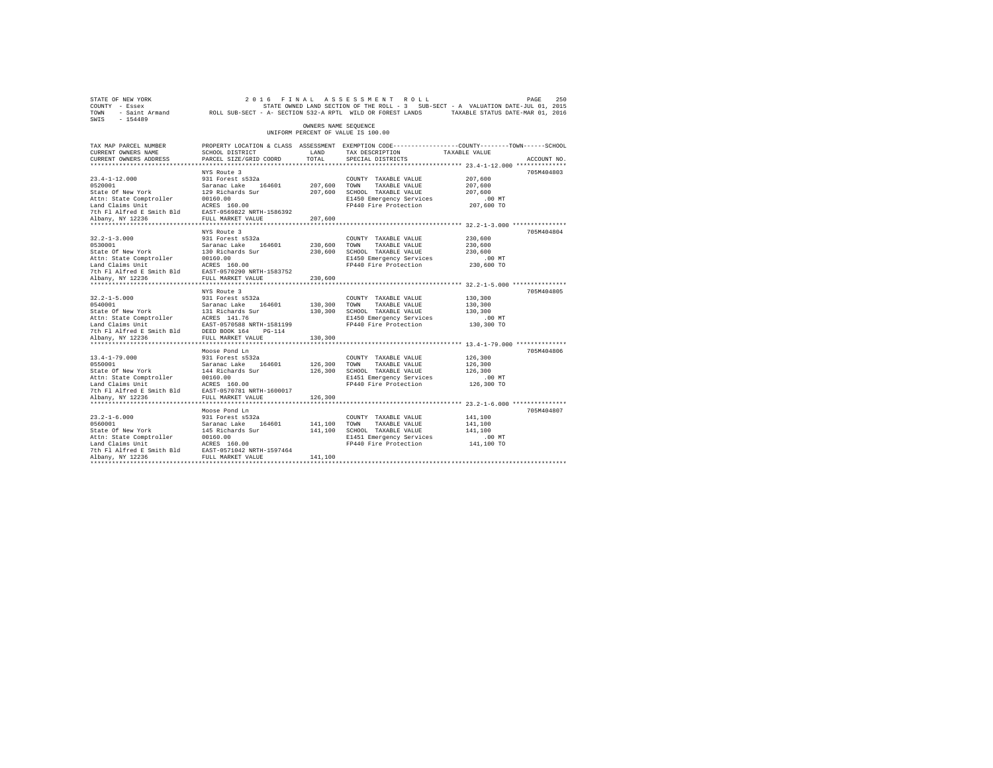|                                           |                                                                                                                                                                                                                                                                                                                                                                                                                                                                                                                                                                                                                                                                                                                                                                                                                          | 2016 FINAL ASSESSMENT ROLL                                                                                                                                                                                                                                                                                                                                                                                                                                                                                                                     |                                                                                                                                                                                                                                                                                                                                        | 250<br>PAGE                                                                                                                                                                                                                                                                                                                                                                                                                                                                                                                                                                                                           |
|-------------------------------------------|--------------------------------------------------------------------------------------------------------------------------------------------------------------------------------------------------------------------------------------------------------------------------------------------------------------------------------------------------------------------------------------------------------------------------------------------------------------------------------------------------------------------------------------------------------------------------------------------------------------------------------------------------------------------------------------------------------------------------------------------------------------------------------------------------------------------------|------------------------------------------------------------------------------------------------------------------------------------------------------------------------------------------------------------------------------------------------------------------------------------------------------------------------------------------------------------------------------------------------------------------------------------------------------------------------------------------------------------------------------------------------|----------------------------------------------------------------------------------------------------------------------------------------------------------------------------------------------------------------------------------------------------------------------------------------------------------------------------------------|-----------------------------------------------------------------------------------------------------------------------------------------------------------------------------------------------------------------------------------------------------------------------------------------------------------------------------------------------------------------------------------------------------------------------------------------------------------------------------------------------------------------------------------------------------------------------------------------------------------------------|
|                                           |                                                                                                                                                                                                                                                                                                                                                                                                                                                                                                                                                                                                                                                                                                                                                                                                                          |                                                                                                                                                                                                                                                                                                                                                                                                                                                                                                                                                |                                                                                                                                                                                                                                                                                                                                        |                                                                                                                                                                                                                                                                                                                                                                                                                                                                                                                                                                                                                       |
| SCHOOL DISTRICT<br>PARCEL SIZE/GRID COORD | TOTAL                                                                                                                                                                                                                                                                                                                                                                                                                                                                                                                                                                                                                                                                                                                                                                                                                    | TAX DESCRIPTION<br>SPECIAL DISTRICTS                                                                                                                                                                                                                                                                                                                                                                                                                                                                                                           |                                                                                                                                                                                                                                                                                                                                        | ACCOUNT NO.                                                                                                                                                                                                                                                                                                                                                                                                                                                                                                                                                                                                           |
|                                           |                                                                                                                                                                                                                                                                                                                                                                                                                                                                                                                                                                                                                                                                                                                                                                                                                          |                                                                                                                                                                                                                                                                                                                                                                                                                                                                                                                                                |                                                                                                                                                                                                                                                                                                                                        |                                                                                                                                                                                                                                                                                                                                                                                                                                                                                                                                                                                                                       |
|                                           |                                                                                                                                                                                                                                                                                                                                                                                                                                                                                                                                                                                                                                                                                                                                                                                                                          | COUNTY TAXABLE VALUE<br>TAXABLE VALUE                                                                                                                                                                                                                                                                                                                                                                                                                                                                                                          | 207,600<br>207,600<br>207,600<br>$.00$ MT                                                                                                                                                                                                                                                                                              | 705M404803                                                                                                                                                                                                                                                                                                                                                                                                                                                                                                                                                                                                            |
|                                           |                                                                                                                                                                                                                                                                                                                                                                                                                                                                                                                                                                                                                                                                                                                                                                                                                          |                                                                                                                                                                                                                                                                                                                                                                                                                                                                                                                                                |                                                                                                                                                                                                                                                                                                                                        |                                                                                                                                                                                                                                                                                                                                                                                                                                                                                                                                                                                                                       |
|                                           |                                                                                                                                                                                                                                                                                                                                                                                                                                                                                                                                                                                                                                                                                                                                                                                                                          | COUNTY TAXABLE VALUE<br>TAXABLE VALUE<br>E1450 Emergency Services                                                                                                                                                                                                                                                                                                                                                                                                                                                                              | 230,600<br>230,600<br>230,600<br>$.00$ MT                                                                                                                                                                                                                                                                                              | 705M404804                                                                                                                                                                                                                                                                                                                                                                                                                                                                                                                                                                                                            |
|                                           | 230,600                                                                                                                                                                                                                                                                                                                                                                                                                                                                                                                                                                                                                                                                                                                                                                                                                  |                                                                                                                                                                                                                                                                                                                                                                                                                                                                                                                                                |                                                                                                                                                                                                                                                                                                                                        |                                                                                                                                                                                                                                                                                                                                                                                                                                                                                                                                                                                                                       |
|                                           |                                                                                                                                                                                                                                                                                                                                                                                                                                                                                                                                                                                                                                                                                                                                                                                                                          | COUNTY TAXABLE VALUE<br>TAXABLE VALUE                                                                                                                                                                                                                                                                                                                                                                                                                                                                                                          | 130,300<br>130,300<br>130,300<br>$.00$ MT<br>130,300 TO                                                                                                                                                                                                                                                                                | 705M404805                                                                                                                                                                                                                                                                                                                                                                                                                                                                                                                                                                                                            |
|                                           | 130,300                                                                                                                                                                                                                                                                                                                                                                                                                                                                                                                                                                                                                                                                                                                                                                                                                  |                                                                                                                                                                                                                                                                                                                                                                                                                                                                                                                                                |                                                                                                                                                                                                                                                                                                                                        |                                                                                                                                                                                                                                                                                                                                                                                                                                                                                                                                                                                                                       |
| Moose Pond Ln<br>931 Forest s532a         |                                                                                                                                                                                                                                                                                                                                                                                                                                                                                                                                                                                                                                                                                                                                                                                                                          | COUNTY TAXABLE VALUE<br>TAXABLE VALUE<br>E1451 Emergency Services                                                                                                                                                                                                                                                                                                                                                                                                                                                                              | 126,300<br>126,300<br>126,300<br>$.00$ MT<br>126,300 TO                                                                                                                                                                                                                                                                                | 705M404806                                                                                                                                                                                                                                                                                                                                                                                                                                                                                                                                                                                                            |
|                                           |                                                                                                                                                                                                                                                                                                                                                                                                                                                                                                                                                                                                                                                                                                                                                                                                                          |                                                                                                                                                                                                                                                                                                                                                                                                                                                                                                                                                |                                                                                                                                                                                                                                                                                                                                        |                                                                                                                                                                                                                                                                                                                                                                                                                                                                                                                                                                                                                       |
| Moose Pond Ln                             |                                                                                                                                                                                                                                                                                                                                                                                                                                                                                                                                                                                                                                                                                                                                                                                                                          | COUNTY TAXABLE VALUE<br>TAXABLE VALUE                                                                                                                                                                                                                                                                                                                                                                                                                                                                                                          | 141,100<br>141,100<br>141,100<br>$.00$ MT                                                                                                                                                                                                                                                                                              | 705M404807                                                                                                                                                                                                                                                                                                                                                                                                                                                                                                                                                                                                            |
|                                           | NYS Route 3<br>931 Forest s532a<br>1921 - 1920<br>1920<br>1920<br>1920<br>1920<br>1920<br>1920<br>1920<br>1920<br>1920<br>1920<br>1920<br>1920<br>1920<br>1920<br>1920<br>1920<br>1920<br>1920<br>1920<br>1920<br>1920<br>1920<br>1920<br>1920<br>1920<br>1920<br>1920<br>1920<br>1920<br>1920<br>1920<br>1920<br>1920<br>1920<br>1920<br><br>NYS Route 3<br>931 Forest s532a<br>NYS Route 3<br>931 Forest s532a<br>FULL MARKET VALUE<br>Saranac Lake 164601<br>144 Richards Sur<br>00160.00<br>Land Claims Unit MCRES 160.00<br>7th Fl Alfred E Smith Bld EAST-0570781 NRTH-1600017<br>FULL MARKET VALUE<br>931 Forest s532a<br>Saranac Lake 164601<br>145 Richards Sur<br>Attn: State Comptroller 00160.00<br>Land Claims Unit ACRES 160.00<br>7th Fl Alfred E Smith Bld EAST-0571042 NRTH-1597464<br>Albany, NY 12236 | LAND<br>207,600<br>0530001 Saranac Lake 164601<br>State of New York 130 Richards Sur<br>Attn: State Comptroller 200160.00<br>Land Claims Unit 2CRES 160.00<br>Land Claims United Es Smith Bld EAST-0570290 NRTH-1583752<br>7th Fl Alfred Es Smith Bld EAST-05702<br>9540001<br>164601<br>Saranac Lake 164601<br>State of New York<br>1131 Richards 11.76<br>164601<br>16461 Claims Diric 16461<br>1646 Claims 11.76<br>176 Fl Alfred E Smith Bld<br>16820-16000001688 NRTH-1581199<br>176 Fl Alfred E Smith Bld<br>16820<br>126,300<br>141,100 | OWNERS NAME SEQUENCE<br>UNIFORM PERCENT OF VALUE IS 100.00<br>207.600 TOWN<br>207,600 SCHOOL TAXABLE VALUE<br>230,600 TOWN<br>230,600 SCHOOL TAXABLE VALUE<br>130,300 TOWN<br>130,300 SCHOOL TAXABLE VALUE<br>E1450 Emergency Services<br>126,300 TOWN<br>126,300 SCHOOL TAXABLE VALUE<br>141.100 TOWN<br>141,100 SCHOOL TAXABLE VALUE | STATE OWNED LAND SECTION OF THE ROLL - 3 SUB-SECT - A VALUATION DATE-JUL 01, 2015<br>TOWN - Saint Armand ROLL SUB-SECT - A- SECTION 532-A RPTL WILD OR FOREST LANDS TAXABLE STATUS DATE-MAR 01, 2016<br>PROPERTY LOCATION & CLASS ASSESSMENT EXEMPTION CODE----------------COUNTY-------TOWN------SCHOOL<br>TAXABLE VALUE<br>E1450 Emergency Services<br>FP440 Fire Protection 207,600 TO<br>FP440 Fire Protection 230,600 TO<br>FP440 Fire Protection<br>************************************ 13.4-1-79.000 ***************<br>FP440 Fire Protection<br>E1451 Emergency Services<br>FP440 Fire Protection 141,100 TO |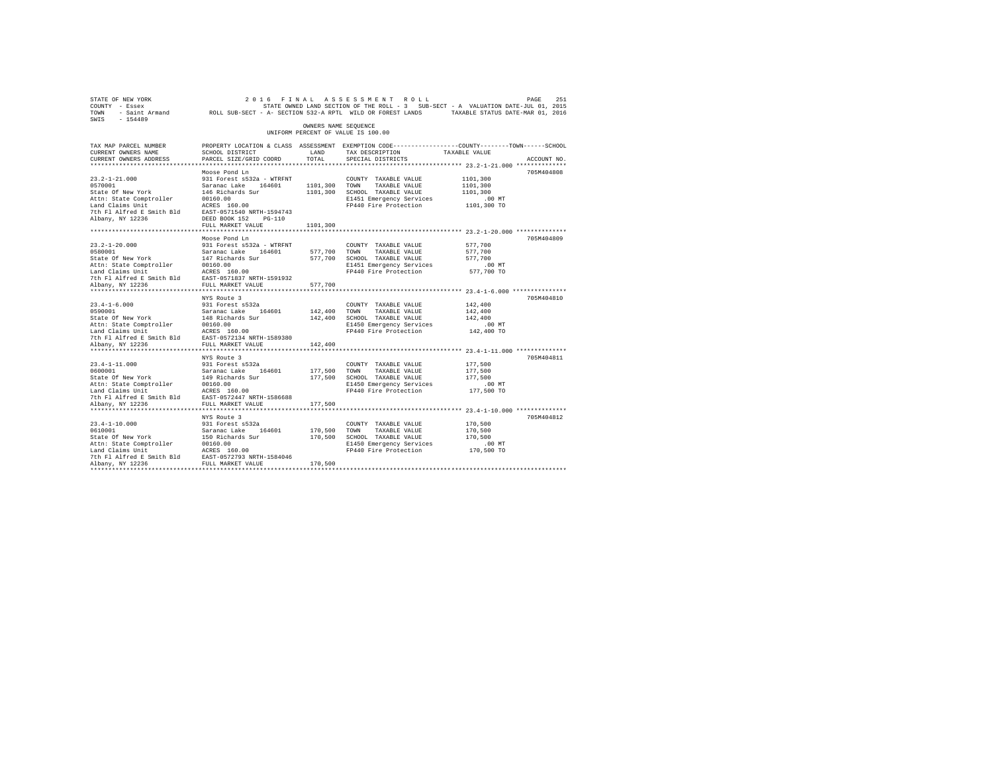| STATE OF NEW YORK<br>COUNTY - Essex<br>TOWN - Saint Armand MOLL SUB-SECT - A- SECTION 532-A RPTL WILD OR FOREST LANDS TAXABLE STATUS DATE-MAR 01, 2016 |                                                |                      | 2016 FINAL ASSESSMENT ROLL<br>STATE OWNED LAND SECTION OF THE ROLL - 3 SUB-SECT - A VALUATION DATE-JUL 01, 2015 |                        | PAGE<br>251 |
|--------------------------------------------------------------------------------------------------------------------------------------------------------|------------------------------------------------|----------------------|-----------------------------------------------------------------------------------------------------------------|------------------------|-------------|
| SWIS<br>$-154489$                                                                                                                                      |                                                |                      |                                                                                                                 |                        |             |
|                                                                                                                                                        |                                                | OWNERS NAME SEQUENCE | UNIFORM PERCENT OF VALUE IS 100.00                                                                              |                        |             |
| TAX MAP PARCEL NUMBER                                                                                                                                  |                                                |                      | PROPERTY LOCATION & CLASS ASSESSMENT EXEMPTION CODE---------------COUNTY-------TOWN-----SCHOOL                  |                        |             |
| CURRENT OWNERS NAME                                                                                                                                    | SCHOOL DISTRICT                                | LAND                 | TAX DESCRIPTION                                                                                                 | TAXABLE VALUE          |             |
| CURRENT OWNERS ADDRESS                                                                                                                                 | PARCEL SIZE/GRID COORD                         | TOTAL                | SPECIAL DISTRICTS                                                                                               |                        | ACCOUNT NO. |
|                                                                                                                                                        |                                                |                      |                                                                                                                 |                        | 705M404808  |
| $23.2 - 1 - 21.000$                                                                                                                                    | Moose Pond Ln<br>931 Forest s532a - WTRFNT     |                      | COUNTY TAXABLE VALUE                                                                                            | 1101,300               |             |
| 0570001                                                                                                                                                | Saranac Lake 164601                            | 1101,300             | TOWN<br>TAXABLE VALUE                                                                                           | 1101,300               |             |
| State Of New York                                                                                                                                      | 146 Richards Sur                               | 1101,300             | SCHOOL TAXABLE VALUE                                                                                            | 1101,300               |             |
| Attn: State Comptroller                                                                                                                                | 00160.00                                       |                      | E1451 Emergency Services                                                                                        | $.00$ MT               |             |
| Land Claims Unit                                                                                                                                       | ACRES 160.00                                   |                      | FP440 Fire Protection                                                                                           | 1101,300 TO            |             |
| 7th Fl Alfred E Smith Bld                                                                                                                              | EAST-0571540 NRTH-1594743                      |                      |                                                                                                                 |                        |             |
| Albany, NY 12236                                                                                                                                       | DEED BOOK 152 PG-110                           |                      |                                                                                                                 |                        |             |
|                                                                                                                                                        | FULL MARKET VALUE                              | 1101,300             |                                                                                                                 |                        |             |
|                                                                                                                                                        |                                                |                      |                                                                                                                 |                        |             |
|                                                                                                                                                        | Moose Pond Ln                                  |                      |                                                                                                                 |                        | 705M404809  |
| $23.2 - 1 - 20.000$                                                                                                                                    | 931 Forest s532a - WTRFNT                      |                      | COUNTY TAXABLE VALUE                                                                                            | 577,700                |             |
| 0580001                                                                                                                                                | Saranac Lake 164601                            | 577,700              | TOWN<br>TAXABLE VALUE                                                                                           | 577,700                |             |
| State Of New York                                                                                                                                      | 147 Richards Sur                               | 577,700              | SCHOOL TAXABLE VALUE                                                                                            | 577,700                |             |
| Attn: State Comptroller                                                                                                                                | 00160.00<br>ACRES 160.00                       |                      | E1451 Emergency Services                                                                                        | .00MT                  |             |
| Land Claims Unit                                                                                                                                       |                                                |                      | FP440 Fire Protection                                                                                           | 577,700 TO             |             |
| 7th Fl Alfred E Smith Bld<br>Albany, NY 12236                                                                                                          | EAST-0571837 NRTH-1591932<br>FULL MARKET VALUE | 577,700              |                                                                                                                 |                        |             |
|                                                                                                                                                        |                                                |                      |                                                                                                                 |                        |             |
|                                                                                                                                                        | NYS Route 3                                    |                      |                                                                                                                 |                        | 705M404810  |
| $23.4 - 1 - 6.000$                                                                                                                                     | 931 Forest s532a                               |                      | COUNTY TAXABLE VALUE                                                                                            | 142,400                |             |
| 0590001                                                                                                                                                | Saranac Lake 164601                            | 142,400              | TOWN<br>TAXABLE VALUE                                                                                           | 142,400                |             |
| State Of New York                                                                                                                                      | 148 Richards Sur                               | 142,400              | SCHOOL TAXABLE VALUE                                                                                            | 142,400                |             |
| Attn: State Comptroller                                                                                                                                | 00160.00                                       |                      | E1450 Emergency Services                                                                                        | $.00$ MT               |             |
| Land Claims Unit                                                                                                                                       | ACRES 160.00                                   |                      | FP440 Fire Protection                                                                                           | 142,400 TO             |             |
| 7th Fl Alfred E Smith Bld                                                                                                                              | EAST-0572134 NRTH-1589380                      |                      |                                                                                                                 |                        |             |
| Albany, NY 12236                                                                                                                                       | FULL MARKET VALUE                              | 142,400              |                                                                                                                 |                        |             |
|                                                                                                                                                        |                                                |                      |                                                                                                                 |                        |             |
|                                                                                                                                                        | NYS Route 3                                    |                      |                                                                                                                 |                        | 705M404811  |
| $23.4 - 1 - 11.000$                                                                                                                                    | 931 Forest s532a                               |                      | COUNTY TAXABLE VALUE                                                                                            | 177,500                |             |
| 0600001                                                                                                                                                | Saranac Lake 164601                            | 177,500              | TOWN<br>TAXABLE VALUE                                                                                           | 177,500<br>177.500     |             |
| State Of New York                                                                                                                                      | 149 Richards Sur<br>00160.00                   | 177,500              | SCHOOL TAXABLE VALUE                                                                                            |                        |             |
| Attn: State Comptroller<br>Land Claims Unit                                                                                                            | ACRES 160.00                                   |                      | E1450 Emergency Services<br>FP440 Fire Protection                                                               | $.00$ MT<br>177,500 TO |             |
| 7th Fl Alfred E Smith Bld                                                                                                                              | EAST-0572447 NRTH-1586688                      |                      |                                                                                                                 |                        |             |
| Albany, NY 12236                                                                                                                                       | FULL MARKET VALUE                              | 177,500              |                                                                                                                 |                        |             |
|                                                                                                                                                        |                                                |                      |                                                                                                                 |                        |             |
|                                                                                                                                                        | NYS Route 3                                    |                      |                                                                                                                 |                        | 705M404812  |
| $23.4 - 1 - 10.000$                                                                                                                                    | 931 Forest s532a                               |                      | COUNTY TAXABLE VALUE                                                                                            | 170,500                |             |
| 0610001                                                                                                                                                | Saranac Lake 164601                            | 170,500              | TOWN<br>TAXABLE VALUE                                                                                           | 170,500                |             |
| State Of New York                                                                                                                                      | 150 Richards Sur                               | 170,500              | SCHOOL TAXABLE VALUE                                                                                            | 170,500                |             |
| Attn: State Comptroller                                                                                                                                | 00160.00                                       |                      | E1450 Emergency Services                                                                                        | $.00$ MT               |             |
| Land Claims Unit                                                                                                                                       | ACRES 160.00                                   |                      | FP440 Fire Protection                                                                                           | 170,500 TO             |             |
| 7th Fl Alfred E Smith Bld                                                                                                                              | EAST-0572793 NRTH-1584046                      |                      |                                                                                                                 |                        |             |
| Albany, NY 12236                                                                                                                                       | FULL MARKET VALUE                              | 170,500              |                                                                                                                 |                        |             |
| ************                                                                                                                                           |                                                |                      |                                                                                                                 |                        |             |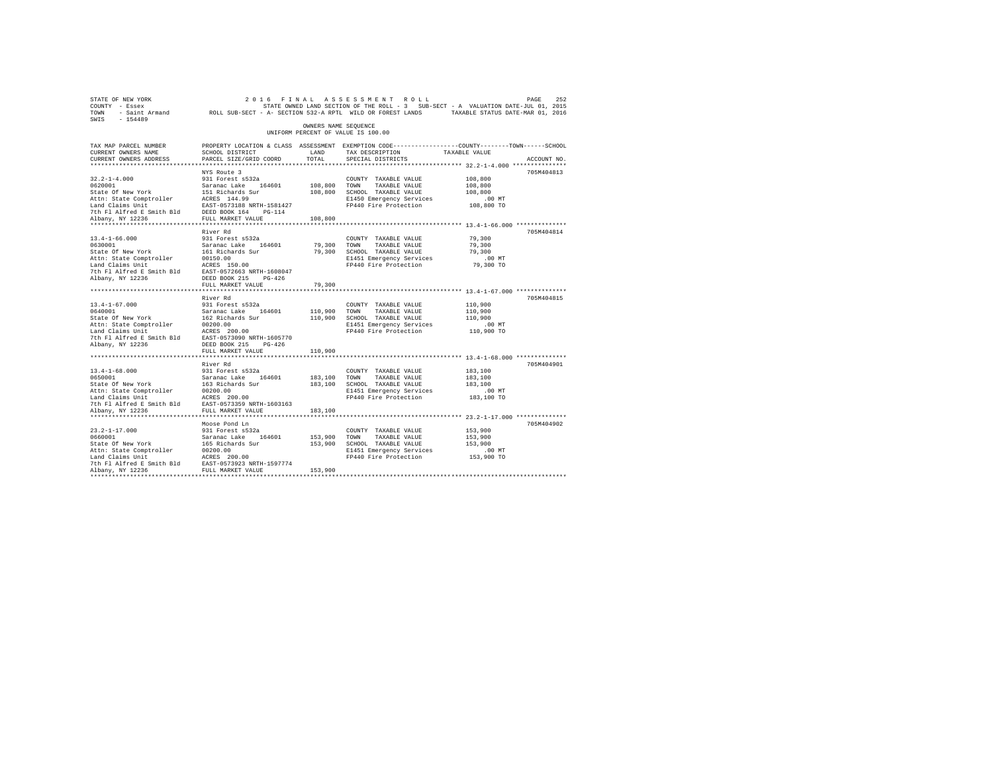| STATE OF NEW YORK<br>COUNTY - Essex<br>TOWN - Saint Armand ROLL SUB-SECT - A- SECTION 532-A RPTL WILD OR FOREST LANDS TAXABLE STATUS DATE-MAR 01, 2016<br>SWIS - 154489                                              |                                                                                                                                               |               | 2016 FINAL ASSESSMENT ROLL<br>STATE OWNED LAND SECTION OF THE ROLL - 3 SUB-SECT - A VALUATION DATE-JUL 01, 2015 |                        | 252<br>PAGE |
|----------------------------------------------------------------------------------------------------------------------------------------------------------------------------------------------------------------------|-----------------------------------------------------------------------------------------------------------------------------------------------|---------------|-----------------------------------------------------------------------------------------------------------------|------------------------|-------------|
| OWNERS NAME SEQUENCE<br>UNIFORM PERCENT OF VALUE IS 100.00                                                                                                                                                           |                                                                                                                                               |               |                                                                                                                 |                        |             |
| TAX MAP PARCEL NUMBER<br>CURRENT OWNERS NAME<br>CURRENT OWNERS ADDRESS                                                                                                                                               | PROPERTY LOCATION & CLASS ASSESSMENT EXEMPTION CODE----------------COUNTY-------TOWN------SCHOOL<br>SCHOOL DISTRICT<br>PARCEL SIZE/GRID COORD | LAND<br>TOTAL | TAX DESCRIPTION<br>SPECIAL DISTRICTS                                                                            | TAXABLE VALUE          | ACCOUNT NO. |
|                                                                                                                                                                                                                      | NYS Route 3                                                                                                                                   |               |                                                                                                                 |                        | 705M404813  |
| $32.2 - 1 - 4.000$                                                                                                                                                                                                   | 931 Forest s532a                                                                                                                              |               | COUNTY TAXABLE VALUE                                                                                            | 108,800                |             |
| 0620001                                                                                                                                                                                                              | Saranac Lake 164601                                                                                                                           | 108,800 TOWN  | TAXABLE VALUE                                                                                                   | 108,800                |             |
|                                                                                                                                                                                                                      |                                                                                                                                               |               | 108,800 SCHOOL TAXABLE VALUE                                                                                    | 108,800                |             |
| 020001<br>State of New York 151 Richards Sur<br>Attn: State Comptroller ACRES 144.99<br>Land Claims Unit<br>The Plant Research 2013188 NRTH-1581427<br>7th Flant Research 2014<br>Albany, NY 12236 FULL MARKET VALUE |                                                                                                                                               |               | E1450 Emergency Services<br>FP440 Fire Protection                                                               | $.00$ MT<br>108,800 TO |             |
|                                                                                                                                                                                                                      |                                                                                                                                               |               |                                                                                                                 |                        |             |
| Albany, NY 12236                                                                                                                                                                                                     |                                                                                                                                               | 108,800       |                                                                                                                 |                        |             |
| ************ 13.4-1-66.000 ***************<br>**********************<br>**********************<br>***********                                                                                                        |                                                                                                                                               |               |                                                                                                                 |                        |             |
|                                                                                                                                                                                                                      | River Rd                                                                                                                                      |               |                                                                                                                 |                        | 705M404814  |
| $13.4 - 1 - 66.000$                                                                                                                                                                                                  | 931 Forest s532a                                                                                                                              |               | COUNTY TAXABLE VALUE                                                                                            | 79,300                 |             |
| 0630001                                                                                                                                                                                                              | Saranac Lake 164601                                                                                                                           | 79,300        | TOWN<br>TAXABLE VALUE                                                                                           | 79,300                 |             |
| State Of New York                                                                                                                                                                                                    | 161 Richards Sur                                                                                                                              | 79,300        | SCHOOL TAXABLE VALUE                                                                                            | 79,300                 |             |
| Attn: State Comptroller<br>Land Claims Unit                                                                                                                                                                          | 00150.00<br>ACRES 150.00                                                                                                                      |               | E1451 Emergency Services<br>FP440 Fire Protection                                                               | $.00$ MT<br>79,300 TO  |             |
| 7th Fl Alfred E Smith Bld                                                                                                                                                                                            | EAST-0572663 NRTH-1608047                                                                                                                     |               |                                                                                                                 |                        |             |
| Albany, NY 12236                                                                                                                                                                                                     | DEED BOOK 215 PG-426                                                                                                                          |               |                                                                                                                 |                        |             |
|                                                                                                                                                                                                                      | FULL MARKET VALUE                                                                                                                             | 79,300        |                                                                                                                 |                        |             |
|                                                                                                                                                                                                                      |                                                                                                                                               |               |                                                                                                                 |                        |             |
|                                                                                                                                                                                                                      | River Rd                                                                                                                                      |               |                                                                                                                 |                        | 705M404815  |
| $13.4 - 1 - 67.000$                                                                                                                                                                                                  | 931 Forest s532a                                                                                                                              |               | COUNTY TAXABLE VALUE                                                                                            | 110,900                |             |
| 0640001                                                                                                                                                                                                              |                                                                                                                                               | 110,900 TOWN  | TAXABLE VALUE<br>110,900 SCHOOL TAXABLE VALUE                                                                   | 110,900<br>110,900     |             |
| state Of New York<br>Attn: State Comptroller                                                                                                                                                                         | Saranac Lake 164601<br>162 Richards Sur<br>00200.00<br>ACRES 200.00                                                                           |               | E1451 Emergency Services                                                                                        | $.00$ MT               |             |
| Land Claims Unit                                                                                                                                                                                                     |                                                                                                                                               |               | FP440 Fire Protection                                                                                           | 110,900 TO             |             |
| 7th Fl Alfred E Smith Bld EAST-0573090 NRTH-1605770                                                                                                                                                                  |                                                                                                                                               |               |                                                                                                                 |                        |             |
| Albany, NY 12236                                                                                                                                                                                                     | DEED BOOK 215 PG-426                                                                                                                          |               |                                                                                                                 |                        |             |
|                                                                                                                                                                                                                      | FULL MARKET VALUE                                                                                                                             | 110,900       |                                                                                                                 |                        |             |
|                                                                                                                                                                                                                      |                                                                                                                                               |               |                                                                                                                 |                        |             |
|                                                                                                                                                                                                                      | River Rd                                                                                                                                      |               |                                                                                                                 |                        | 705M404901  |
| $13.4 - 1 - 68.000$<br>0650001                                                                                                                                                                                       | 931 Forest s532a<br>Saranac Lake 164601                                                                                                       | 183,100 TOWN  | COUNTY TAXABLE VALUE<br>TAXABLE VALUE                                                                           | 183,100<br>183,100     |             |
|                                                                                                                                                                                                                      |                                                                                                                                               |               | 183,100 SCHOOL TAXABLE VALUE                                                                                    | 183,100                |             |
| State Of New York 163 Richards Sur<br>Attn: State Comptroller 00200.00<br>Land Claims Unit 10020.00                                                                                                                  |                                                                                                                                               |               | E1451 Emergency Services                                                                                        | $.00$ MT               |             |
|                                                                                                                                                                                                                      |                                                                                                                                               |               | FP440 Fire Protection                                                                                           | 183,100 TO             |             |
|                                                                                                                                                                                                                      |                                                                                                                                               |               |                                                                                                                 |                        |             |
| Albany, NY 12236                                                                                                                                                                                                     | FULL MARKET VALUE                                                                                                                             | 183,100       |                                                                                                                 |                        |             |
|                                                                                                                                                                                                                      |                                                                                                                                               |               |                                                                                                                 |                        |             |
|                                                                                                                                                                                                                      | Moose Pond Ln                                                                                                                                 |               |                                                                                                                 |                        | 705M404902  |
| $23.2 - 1 - 17.000$<br>0660001                                                                                                                                                                                       |                                                                                                                                               | 153,900       | COUNTY TAXABLE VALUE<br>TOWN                                                                                    | 153,900                |             |
| State Of New York                                                                                                                                                                                                    | 931 Forest s532a<br>Saranac Lake 164601<br>165 Richards Sur                                                                                   | 153,900       | TAXABLE VALUE<br>SCHOOL TAXABLE VALUE                                                                           | 153,900<br>153,900     |             |
|                                                                                                                                                                                                                      |                                                                                                                                               |               | E1451 Emergency Services                                                                                        | $.00$ MT               |             |
|                                                                                                                                                                                                                      |                                                                                                                                               |               | FP440 Fire Protection                                                                                           | 153,900 TO             |             |
| Attn: State Comptroller 00200.00<br>Land Claims Unit ACRES 200.00<br>The F1 Alfred E Smith Bld EAST-0573923 NRTH-1597774                                                                                             |                                                                                                                                               |               |                                                                                                                 |                        |             |
| Albany, NY 12236                                                                                                                                                                                                     | FULL MARKET VALUE                                                                                                                             | 153,900       |                                                                                                                 |                        |             |
|                                                                                                                                                                                                                      |                                                                                                                                               |               |                                                                                                                 |                        |             |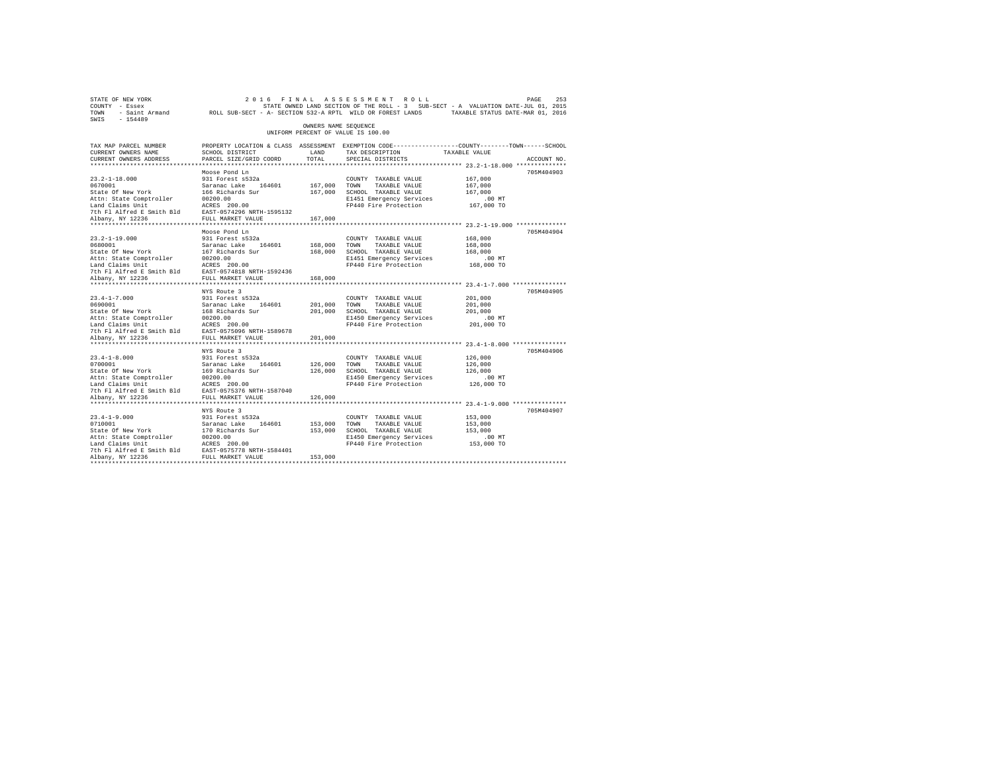| STATE OF NEW YORK<br>COUNTY - Essex<br>TOWN<br>SWIS - 154489                                                                                                                                                                                                                           | - Saint Armand ROLL SUB-SECT - A- SECTION 532-A RPTL WILD OR FOREST LANDS TAXABLE STATUS DATE-MAR 01, 2016                                    |                                    | 2016 FINAL ASSESSMENT ROLL<br>STATE OWNED LAND SECTION OF THE ROLL - 3 SUB-SECT - A VALUATION DATE-JUL 01, 2015                               |                                                         | PAGE<br>253 |
|----------------------------------------------------------------------------------------------------------------------------------------------------------------------------------------------------------------------------------------------------------------------------------------|-----------------------------------------------------------------------------------------------------------------------------------------------|------------------------------------|-----------------------------------------------------------------------------------------------------------------------------------------------|---------------------------------------------------------|-------------|
|                                                                                                                                                                                                                                                                                        |                                                                                                                                               | OWNERS NAME SEQUENCE               | UNIFORM PERCENT OF VALUE IS 100.00                                                                                                            |                                                         |             |
| TAX MAP PARCEL NUMBER<br>CURRENT OWNERS NAME<br>CURRENT OWNERS ADDRESS                                                                                                                                                                                                                 | PROPERTY LOCATION & CLASS ASSESSMENT EXEMPTION CODE----------------COUNTY-------TOWN------SCHOOL<br>SCHOOL DISTRICT<br>PARCEL SIZE/GRID COORD | LAND<br>TOTAL                      | TAX DESCRIPTION TAXABLE VALUE<br>SPECIAL DISTRICTS                                                                                            |                                                         | ACCOUNT NO. |
| $23.2 - 1 - 18.000$<br>2012<br>201011 Saranac Lake 164601<br>201011 Saranac Lake 164601<br>201011 166 Richards Sur<br>2010101 Attn: State Comptroller<br>20101000<br>2010100001<br>202010001<br>2020100011 ADARKET VALUE<br>20201001 EXERT-0574296<br>2020101 EXERT-05742              | Moose Pond Ln<br>931 Forest s532a                                                                                                             | 167,000 TOWN<br>167,000<br>167,000 | COUNTY TAXABLE VALUE<br>TAXABLE VALUE<br>SCHOOL TAXABLE VALUE<br>E1451 Emergency Services<br>FP440 Fire Protection 167,000 TO                 | 167,000<br>167,000<br>167,000<br>.00 MT                 | 705M404903  |
| $23.2 - 1 - 19.000$<br>0680001 Saranac Lake 164601<br>State of New York 167 Richards Sur<br>Attn: State Comptroller 20200.00<br>Land Claims Unit 2CRES 200.00<br>The Plaired E Smith Bld EAST-0574818 NRTH-1592436<br>Albany, NY 12236                                                 | Moose Pond Ln<br>931 Forest s532a                                                                                                             | 168,000<br>168,000<br>168,000      | COUNTY TAXABLE VALUE<br>TOWN<br>TAXABLE VALUE<br>SCHOOL TAXABLE VALUE<br>E1451 Emergency Services<br>FP440 Fire Protection 168,000 TO         | 168,000<br>168,000<br>168,000<br>$.00$ MT               | 705M404904  |
| $23.4 - 1 - 7.000$<br>2011<br>2020101 - 2020101 - 2020101 - 2020101 - 2020101<br>2020101 - 2020101 - 2020101<br>2020101 - 2020101 - 2020101<br>2020101 - 2020101 - 2020101<br>2020101 - 2020101 - 2020101<br>2020101 - 20211 - 20211 - 20211<br>2021 - 20211 - 202<br>Albany, NY 12236 | NYS Route 3<br>931 Forest s532a<br>FULL MARKET VALUE<br>**************************                                                            | 201,000<br>201,000<br>201,000      | COUNTY TAXABLE VALUE<br>TOWN<br>TAXABLE VALUE<br>SCHOOL TAXABLE VALUE<br>E1450 Emergency Services<br>FP440 Fire Protection                    | 201,000<br>201,000<br>201,000<br>$.00$ MT<br>201,000 TO | 705M404905  |
| $23.4 - 1 - 8.000$<br>0700001<br>State Of New York<br>Albany, NY 12236                                                                                                                                                                                                                 | NYS Route 3<br>931 Forest s532a<br>Saranac Lake 164601<br>169 Richards Sur<br>FULL MARKET VALUE                                               | 126,000<br>126,000                 | COUNTY TAXABLE VALUE<br>TOWN<br>TAXABLE VALUE<br>126,000 SCHOOL TAXABLE VALUE<br>E1450 Emergency Services<br>FP440 Fire Protection 126,000 TO | 126,000<br>126,000<br>126,000<br>$.00$ MT               | 705M404906  |
| $23.4 - 1 - 9.000$<br>0710001<br>State Of New York<br>Nature of Alexander and Capacity of Maria State Comptroller and Claims Unit<br>Land Claims Unit Mark 2000.00<br>7th Fl Alfred E Smith Bld EAST-0575778 NRTH-1584401<br>2th Fl Alfred E Smith Bld FULL MARKET VALUE               | NYS Route 3<br>931 Forest s532a<br>Saranac Lake 164601<br>170 Richards Sur                                                                    | 153,000<br>153,000<br>153,000      | COUNTY TAXABLE VALUE<br>TOWN<br>TAXABLE VALUE<br>SCHOOL TAXABLE VALUE<br>E1450 Emergency Services<br>FP440 Fire Protection 153,000 TO         | 153,000<br>153,000<br>153,000<br>$.00$ MT               | 705M404907  |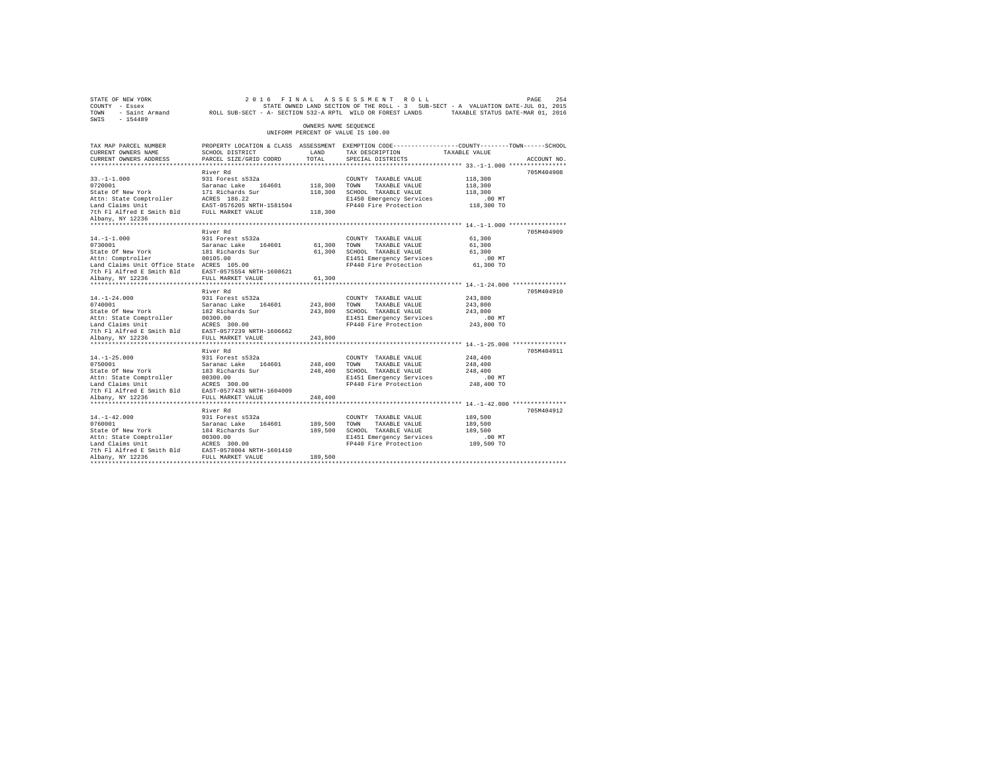|                                                                                                                                                                                                                                                                                |                                                                                                                                                                                                                                                                                                                                                                                                                                                                                                                                                                                                                                                                                                                                                                                                                                                                                                                 |                                                                   |                                                                                                                                                                                                                                                                                                                                                                  | PAGE<br>254                                                                                                                                                                                                                                                                                                                                                                                                                                                                                                                                                         |
|--------------------------------------------------------------------------------------------------------------------------------------------------------------------------------------------------------------------------------------------------------------------------------|-----------------------------------------------------------------------------------------------------------------------------------------------------------------------------------------------------------------------------------------------------------------------------------------------------------------------------------------------------------------------------------------------------------------------------------------------------------------------------------------------------------------------------------------------------------------------------------------------------------------------------------------------------------------------------------------------------------------------------------------------------------------------------------------------------------------------------------------------------------------------------------------------------------------|-------------------------------------------------------------------|------------------------------------------------------------------------------------------------------------------------------------------------------------------------------------------------------------------------------------------------------------------------------------------------------------------------------------------------------------------|---------------------------------------------------------------------------------------------------------------------------------------------------------------------------------------------------------------------------------------------------------------------------------------------------------------------------------------------------------------------------------------------------------------------------------------------------------------------------------------------------------------------------------------------------------------------|
|                                                                                                                                                                                                                                                                                |                                                                                                                                                                                                                                                                                                                                                                                                                                                                                                                                                                                                                                                                                                                                                                                                                                                                                                                 |                                                                   |                                                                                                                                                                                                                                                                                                                                                                  |                                                                                                                                                                                                                                                                                                                                                                                                                                                                                                                                                                     |
| SCHOOL DISTRICT<br>PARCEL SIZE/GRID COORD                                                                                                                                                                                                                                      |                                                                                                                                                                                                                                                                                                                                                                                                                                                                                                                                                                                                                                                                                                                                                                                                                                                                                                                 | SPECIAL DISTRICTS                                                 |                                                                                                                                                                                                                                                                                                                                                                  | ACCOUNT NO.                                                                                                                                                                                                                                                                                                                                                                                                                                                                                                                                                         |
|                                                                                                                                                                                                                                                                                |                                                                                                                                                                                                                                                                                                                                                                                                                                                                                                                                                                                                                                                                                                                                                                                                                                                                                                                 |                                                                   |                                                                                                                                                                                                                                                                                                                                                                  |                                                                                                                                                                                                                                                                                                                                                                                                                                                                                                                                                                     |
| 931 Forest s532a                                                                                                                                                                                                                                                               | 118,300                                                                                                                                                                                                                                                                                                                                                                                                                                                                                                                                                                                                                                                                                                                                                                                                                                                                                                         | COUNTY TAXABLE VALUE<br>E1450 Emergency Services                  | 118,300<br>118,300<br>118,300<br>$.00$ MT                                                                                                                                                                                                                                                                                                                        | 705M404908                                                                                                                                                                                                                                                                                                                                                                                                                                                                                                                                                          |
|                                                                                                                                                                                                                                                                                |                                                                                                                                                                                                                                                                                                                                                                                                                                                                                                                                                                                                                                                                                                                                                                                                                                                                                                                 |                                                                   |                                                                                                                                                                                                                                                                                                                                                                  |                                                                                                                                                                                                                                                                                                                                                                                                                                                                                                                                                                     |
| River Rd<br>931 Forest s532a<br>Saranac Lake 164601<br>181 Richards Sur<br>00105.00<br>Land Claims Unit Office State ACRES 105.00                                                                                                                                              |                                                                                                                                                                                                                                                                                                                                                                                                                                                                                                                                                                                                                                                                                                                                                                                                                                                                                                                 | COUNTY TAXABLE VALUE<br>SCHOOL TAXABLE VALUE                      | 61,300<br>61,300<br>61,300<br>$.00$ MT                                                                                                                                                                                                                                                                                                                           | 705M404909                                                                                                                                                                                                                                                                                                                                                                                                                                                                                                                                                          |
|                                                                                                                                                                                                                                                                                |                                                                                                                                                                                                                                                                                                                                                                                                                                                                                                                                                                                                                                                                                                                                                                                                                                                                                                                 |                                                                   |                                                                                                                                                                                                                                                                                                                                                                  |                                                                                                                                                                                                                                                                                                                                                                                                                                                                                                                                                                     |
| River Rd<br>931 Forest s532a                                                                                                                                                                                                                                                   |                                                                                                                                                                                                                                                                                                                                                                                                                                                                                                                                                                                                                                                                                                                                                                                                                                                                                                                 | COUNTY TAXABLE VALUE<br>TAXABLE VALUE<br>E1451 Emergency Services | 243,800<br>243,800<br>243,800<br>$.00$ MT                                                                                                                                                                                                                                                                                                                        | 705M404910                                                                                                                                                                                                                                                                                                                                                                                                                                                                                                                                                          |
|                                                                                                                                                                                                                                                                                |                                                                                                                                                                                                                                                                                                                                                                                                                                                                                                                                                                                                                                                                                                                                                                                                                                                                                                                 |                                                                   |                                                                                                                                                                                                                                                                                                                                                                  |                                                                                                                                                                                                                                                                                                                                                                                                                                                                                                                                                                     |
| River Rd<br>931 Forest s532a<br>Saranac Lake 164601<br>183 Richards Sur                                                                                                                                                                                                        |                                                                                                                                                                                                                                                                                                                                                                                                                                                                                                                                                                                                                                                                                                                                                                                                                                                                                                                 | COUNTY TAXABLE VALUE<br>TAXABLE VALUE<br>E1451 Emergency Services | 248,400<br>248,400<br>248,400<br>$.00$ MT                                                                                                                                                                                                                                                                                                                        | 705M404911                                                                                                                                                                                                                                                                                                                                                                                                                                                                                                                                                          |
|                                                                                                                                                                                                                                                                                |                                                                                                                                                                                                                                                                                                                                                                                                                                                                                                                                                                                                                                                                                                                                                                                                                                                                                                                 |                                                                   |                                                                                                                                                                                                                                                                                                                                                                  |                                                                                                                                                                                                                                                                                                                                                                                                                                                                                                                                                                     |
| River Rd<br>931 Forest s532a<br>Saranac Lake 164601<br>184 Richards Sur<br>Attn: State Comptroller 00300.00<br>Land Claims Unit ACRES 300.00<br>The Fl Alfred E Smith Bld EAST-0578004 NRTH-1601410<br>7th Fl Alfred E Smith Bld EAST-0578004 NRTH-1601410<br>Albany, NY 12236 | 189,500                                                                                                                                                                                                                                                                                                                                                                                                                                                                                                                                                                                                                                                                                                                                                                                                                                                                                                         | COUNTY TAXABLE VALUE<br>TAXABLE VALUE                             | 189,500<br>189,500<br>189,500<br>.00MT                                                                                                                                                                                                                                                                                                                           | 705M404912                                                                                                                                                                                                                                                                                                                                                                                                                                                                                                                                                          |
|                                                                                                                                                                                                                                                                                | River Rd<br>0720001 Saranac Lake 164601<br>State Of New York 171 Richards Sur<br>Attn: State Comptroller REES 186.22<br>Land Claims Unit<br>Unit Plate 18 Smith Bld<br>TUL MARKET VALUE<br>The Plate 18 Smith Bld<br>TUL MARKET VALUE<br>7th Fl Alfred E Smith Bld EAST-0575554 NRTH-1608621<br>Albany, NY 12236 FULL MARKET VALUE<br>17:1747001<br>2010101<br>2010101<br>2010101<br>2010101<br>2010101<br>2010101<br>2010101<br>2010101<br>2010101<br>2010101<br>2010101<br>2010101<br>2010101<br>202010101<br>202010101<br>202010101<br>202010101<br>202010101<br>202010101<br>202010101<br>2020101<br>2020101<br>Nature of the Comptroller<br>Land Claims Unit<br>Land Claims Unit<br>2000.00<br>2000.00<br>2000.00<br>2000.00<br>2000.00<br>2000.00<br>2000.00<br>2000.00<br>2000.00<br>2000.00<br>2000.00<br>2000.00<br>2000.00<br>2000.00<br>2000.00<br>2000.00<br>2000.00<br>2000.0<br>FULL MARKET VALUE | LAND<br>TOTAL<br>61,300<br>243,800<br>248,400                     | 2016 FINAL ASSESSMENT ROLL<br>OWNERS NAME SEQUENCE<br>UNIFORM PERCENT OF VALUE IS 100.00<br>TAX DESCRIPTION<br>118,300 TOWN TAXABLE VALUE<br>118,300 SCHOOL TAXABLE VALUE<br>61,300 TOWN TAXABLE VALUE<br>61,300<br>243,800 TOWN<br>243,800 SCHOOL TAXABLE VALUE<br>248.400 TOWN<br>248,400 SCHOOL TAXABLE VALUE<br>189,500 TOWN<br>189,500 SCHOOL TAXABLE VALUE | STATE OWNED LAND SECTION OF THE ROLL - 3 SUB-SECT - A VALUATION DATE-JUL 01, 2015<br>TOWN - Saint Armand ROLL SUB-SECT - A- SECTION 532-A RPTL WILD OR FOREST LANDS TAXABLE STATUS DATE-MAR 01, 2016<br>PROPERTY LOCATION & CLASS ASSESSMENT EXEMPTION CODE----------------COUNTY-------TOWN-----SCHOOL<br>TAXABLE VALUE<br>FP440 Fire Protection 118,300 TO<br>E1451 Emergency Services<br>FP440 Fire Protection 61,300 TO<br>FP440 Fire Protection 243,800 TO<br>FP440 Fire Protection 248,400 TO<br>E1451 Emergency Services<br>FP440 Fire Protection 189,500 TO |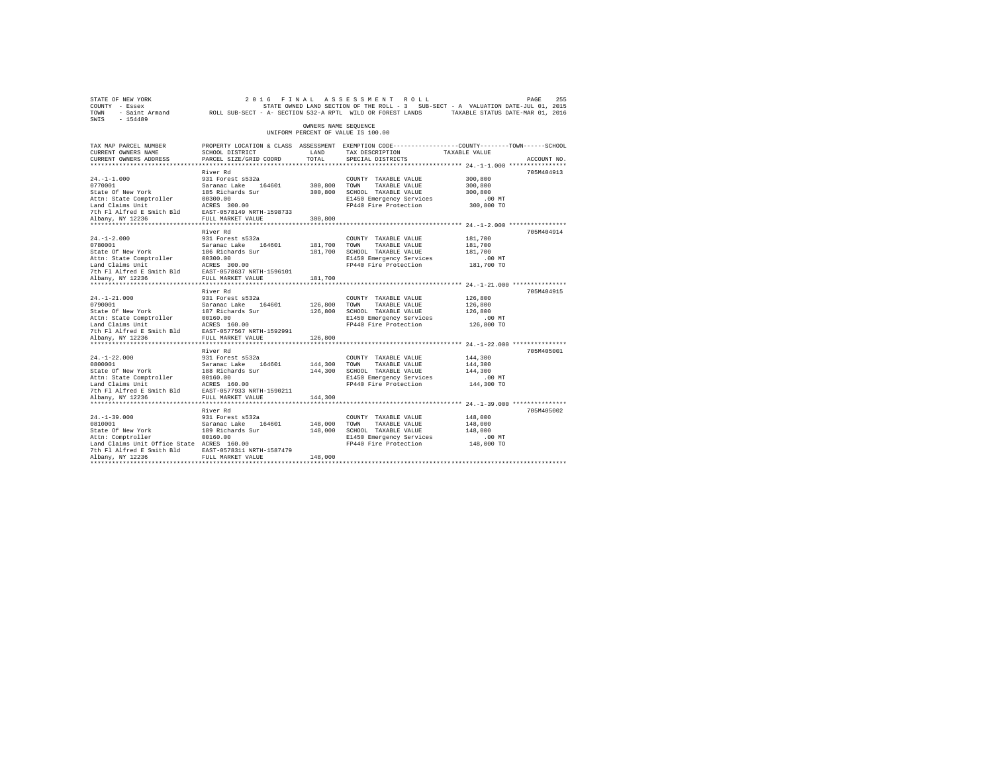| STATE OF NEW YORK<br>COUNTY - Essex<br>TOWN<br>SWIS - 154489                                                                                                                                      | - Saint Armand ROLL SUB-SECT - A- SECTION 532-A RPTL WILD OR FOREST LANDS TAXABLE STATUS DATE-MAR 01, 2016                                    |                         | 2016 FINAL ASSESSMENT ROLL<br>STATE OWNED LAND SECTION OF THE ROLL - 3 SUB-SECT - A VALUATION DATE-JUL 01, 2015                       |                                                         | 255<br>PAGE |
|---------------------------------------------------------------------------------------------------------------------------------------------------------------------------------------------------|-----------------------------------------------------------------------------------------------------------------------------------------------|-------------------------|---------------------------------------------------------------------------------------------------------------------------------------|---------------------------------------------------------|-------------|
|                                                                                                                                                                                                   |                                                                                                                                               | OWNERS NAME SEQUENCE    | UNIFORM PERCENT OF VALUE IS 100.00                                                                                                    |                                                         |             |
| TAX MAP PARCEL NUMBER<br>CURRENT OWNERS NAME<br>CURRENT OWNERS ADDRESS                                                                                                                            | PROPERTY LOCATION & CLASS ASSESSMENT EXEMPTION CODE----------------COUNTY-------TOWN------SCHOOL<br>SCHOOL DISTRICT<br>PARCEL SIZE/GRID COORD | LAND<br>TOTAL           | TAX DESCRIPTION<br>SPECIAL DISTRICTS                                                                                                  | TAXABLE VALUE                                           | ACCOUNT NO. |
|                                                                                                                                                                                                   |                                                                                                                                               |                         |                                                                                                                                       |                                                         |             |
| $24. -1 - 1.000$                                                                                                                                                                                  | River Rd<br>931 Forest s532a                                                                                                                  | 300.800 TOWN            | COUNTY TAXABLE VALUE<br>TAXABLE VALUE<br>300,800 SCHOOL TAXABLE VALUE<br>E1450 Emergency Services<br>FP440 Fire Protection 300,800 TO | 300,800<br>300,800<br>300,800<br>$.00$ MT               | 705M404913  |
|                                                                                                                                                                                                   |                                                                                                                                               |                         |                                                                                                                                       |                                                         |             |
|                                                                                                                                                                                                   | River Rd                                                                                                                                      | 300,800                 |                                                                                                                                       |                                                         | 705M404914  |
| $24. -1 - 2.000$                                                                                                                                                                                  | 931 Forest s532a                                                                                                                              | 181,700 TOWN            | COUNTY TAXABLE VALUE<br>TAXABLE VALUE<br>181,700 SCHOOL TAXABLE VALUE<br>E1450 Emergency Services<br>FP440 Fire Protection 181,700 TO | 181,700<br>181,700<br>181,700<br>$.00$ MT               |             |
|                                                                                                                                                                                                   |                                                                                                                                               | 181,700                 |                                                                                                                                       |                                                         |             |
|                                                                                                                                                                                                   | River Rd                                                                                                                                      |                         |                                                                                                                                       |                                                         | 705M404915  |
| $24. -1 - 21.000$                                                                                                                                                                                 | 931 Forest s532a                                                                                                                              | 126,800                 | COUNTY TAXABLE VALUE<br>TOWN<br>TAXABLE VALUE<br>126,800 SCHOOL TAXABLE VALUE<br>E1450 Emergency Services<br>FP440 Fire Protection    | 126,800<br>126,800<br>126,800<br>$.00$ MT<br>126,800 TO |             |
| Albany, NY 12236                                                                                                                                                                                  | FULL MARKET VALUE                                                                                                                             | 126,800                 |                                                                                                                                       |                                                         |             |
|                                                                                                                                                                                                   | River Rd                                                                                                                                      |                         |                                                                                                                                       |                                                         | 705M405001  |
| $24. -1 - 22.000$<br>0800001<br>State Of New York<br>Attn: State Comptroller 00160.00<br>Land Claims Unit ACRES 160.00<br>The F1 Alfred E Smith Bld EAST-0577933 NRTH-1590211<br>Albany, NY 12236 | 931 Forest s532a<br>Saranac Lake 164601<br>188 Richards Sur<br>FULL MARKET VALUE                                                              | 144.300 TOWN<br>144,300 | COUNTY TAXABLE VALUE<br>TAXABLE VALUE<br>144,300 SCHOOL TAXABLE VALUE<br>E1450 Emergency Services<br>FP440 Fire Protection            | 144,300<br>144,300<br>144,300<br>$.00$ MT<br>144,300 TO |             |
|                                                                                                                                                                                                   |                                                                                                                                               |                         |                                                                                                                                       |                                                         |             |
| $24. -1 - 39.000$<br>$44. -1 - 39.000$<br>0810001<br>State Of New York<br>Attn: Comptroller<br>Land Claims Unit Office State ACRES 160.00                                                         | River Rd<br>931 Forest s532a<br>Saranac Lake 164601<br>189 Richards Sur<br>00160.00                                                           | 148,000 TOWN<br>148,000 | COUNTY TAXABLE VALUE<br>TAXABLE VALUE<br>SCHOOL TAXABLE VALUE<br>E1450 Emergency Services<br>FP440 Fire Protection 148,000 TO         | 148,000<br>148,000<br>148,000<br>$.00$ MT               | 705M405002  |
| 7th F1 Alfred E Smith Bld EAST-0578311 NRTH-1587479<br>Albany, NY 12236 FULL MARKET VALUE                                                                                                         |                                                                                                                                               | 148,000                 |                                                                                                                                       |                                                         |             |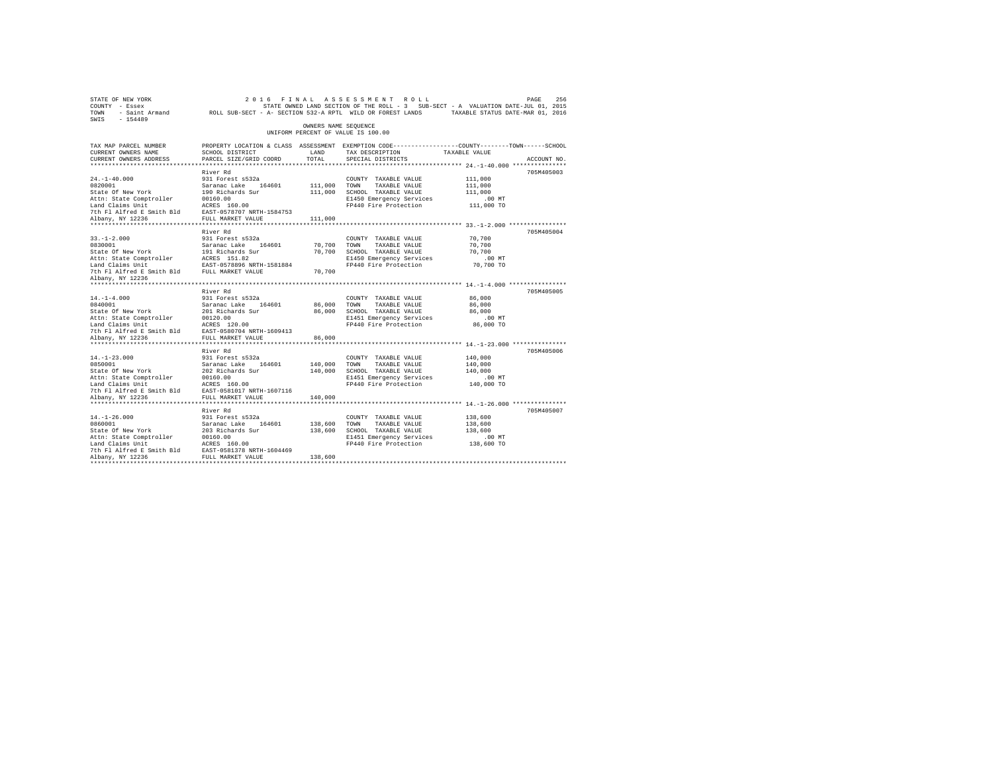| SWIS - 154489                                                                                                                                                                                                                              |                                                                                                                                               |                      |                                                      |                        |             |
|--------------------------------------------------------------------------------------------------------------------------------------------------------------------------------------------------------------------------------------------|-----------------------------------------------------------------------------------------------------------------------------------------------|----------------------|------------------------------------------------------|------------------------|-------------|
|                                                                                                                                                                                                                                            |                                                                                                                                               | OWNERS NAME SEOUENCE | UNIFORM PERCENT OF VALUE IS 100.00                   |                        |             |
| TAX MAP PARCEL NUMBER<br>CURRENT OWNERS NAME<br>CURRENT OWNERS ADDRESS                                                                                                                                                                     | PROPERTY LOCATION & CLASS ASSESSMENT EXEMPTION CODE----------------COUNTY-------TOWN------SCHOOL<br>SCHOOL DISTRICT<br>PARCEL SIZE/GRID COORD | LAND<br>TOTAL        | TAX DESCRIPTION TAXABLE VALUE<br>SPECIAL DISTRICTS   |                        | ACCOUNT NO. |
|                                                                                                                                                                                                                                            |                                                                                                                                               |                      |                                                      |                        |             |
|                                                                                                                                                                                                                                            | River Rd                                                                                                                                      |                      |                                                      |                        | 705M405003  |
| $24. -1 - 40.000$                                                                                                                                                                                                                          | 931 Forest s532a                                                                                                                              |                      | COUNTY TAXABLE VALUE                                 | 111,000                |             |
|                                                                                                                                                                                                                                            |                                                                                                                                               | 111,000 TOWN         | TAXABLE VALUE                                        | 111,000                |             |
|                                                                                                                                                                                                                                            |                                                                                                                                               |                      | 111,000 SCHOOL TAXABLE VALUE                         | 111,000                |             |
| 21.1 Total Saranac Lake 164601<br>Saranac Lake 164601<br>State of New York 190 Richards Sur<br>Attn: State Comptroller 20160.00<br>Land Claims Unit<br>Lam Claims United Essaith Bld EAST-0578707 NRTH-1584753<br>7th Fl Alfred Essaith Bl |                                                                                                                                               |                      | E1450 Emergency Services                             | $.00$ MT               |             |
|                                                                                                                                                                                                                                            |                                                                                                                                               |                      | FP440 Fire Protection 111,000 TO                     |                        |             |
|                                                                                                                                                                                                                                            |                                                                                                                                               |                      |                                                      |                        |             |
|                                                                                                                                                                                                                                            |                                                                                                                                               | 111,000              |                                                      |                        |             |
|                                                                                                                                                                                                                                            | River Rd                                                                                                                                      |                      |                                                      |                        | 705M405004  |
| $33. - 1 - 2.000$                                                                                                                                                                                                                          | 931 Forest s532a                                                                                                                              |                      | COUNTY TAXABLE VALUE                                 | 70,700                 |             |
|                                                                                                                                                                                                                                            |                                                                                                                                               | 70,700               | TOWN<br>TAXABLE VALUE                                | 70,700                 |             |
| 0830001<br>State Of New York                                                                                                                                                                                                               | Saranac Lake 164601<br>191 Richards Sur                                                                                                       |                      | 70,700 SCHOOL TAXABLE VALUE                          | 70,700                 |             |
|                                                                                                                                                                                                                                            |                                                                                                                                               |                      |                                                      | $.00$ MT               |             |
|                                                                                                                                                                                                                                            |                                                                                                                                               |                      | E1450 Emergency Services<br>FP440 Fire Protection    | 70,700 TO              |             |
| Attn: State Comptroller<br>Land Claims Unit<br>The EAST-0578896 NRTH-1581884<br>The Fl Alfred E Smith Bld FULL MARKET VALUE                                                                                                                |                                                                                                                                               | 70,700               |                                                      |                        |             |
| Albany, NY 12236                                                                                                                                                                                                                           |                                                                                                                                               |                      |                                                      |                        |             |
|                                                                                                                                                                                                                                            |                                                                                                                                               |                      |                                                      |                        |             |
|                                                                                                                                                                                                                                            | River Rd                                                                                                                                      |                      |                                                      |                        | 705M405005  |
| $14. - 1 - 4.000$                                                                                                                                                                                                                          | 931 Forest s532a                                                                                                                              |                      | COUNTY TAXABLE VALUE                                 | 86,000                 |             |
| 0840001<br>State Of New York                                                                                                                                                                                                               | Saranac Lake 164601<br>201 Richards Sur                                                                                                       | 86,000               | TOWN<br>TAXABLE VALUE<br>86,000 SCHOOL TAXABLE VALUE | 86,000<br>86,000       |             |
|                                                                                                                                                                                                                                            |                                                                                                                                               |                      | E1451 Emergency Services                             | .00MT                  |             |
|                                                                                                                                                                                                                                            |                                                                                                                                               |                      | FP440 Fire Protection                                | 86,000 TO              |             |
|                                                                                                                                                                                                                                            |                                                                                                                                               |                      |                                                      |                        |             |
| Albany, NY 12236                                                                                                                                                                                                                           | FULL MARKET VALUE                                                                                                                             | 86,000               |                                                      |                        |             |
|                                                                                                                                                                                                                                            | ***********************                                                                                                                       |                      |                                                      |                        |             |
|                                                                                                                                                                                                                                            | River Rd                                                                                                                                      |                      |                                                      |                        | 705M405006  |
| $14. - 1 - 23.000$                                                                                                                                                                                                                         | 931 Forest s532a                                                                                                                              |                      | COUNTY TAXABLE VALUE                                 | 140,000                |             |
| 0850001                                                                                                                                                                                                                                    | Saranac Lake 164601<br>202 Richards Sur                                                                                                       | 140,000              | TOWN<br>TAXABLE VALUE                                | 140,000                |             |
| State Of New York                                                                                                                                                                                                                          |                                                                                                                                               |                      | 140,000 SCHOOL TAXABLE VALUE                         | 140,000                |             |
|                                                                                                                                                                                                                                            |                                                                                                                                               |                      | E1451 Emergency Services                             | $.00$ MT<br>140,000 TO |             |
|                                                                                                                                                                                                                                            |                                                                                                                                               |                      | FP440 Fire Protection                                |                        |             |
| Albany, NY 12236                                                                                                                                                                                                                           | FULL MARKET VALUE                                                                                                                             | 140,000              |                                                      |                        |             |
|                                                                                                                                                                                                                                            | ************************                                                                                                                      |                      |                                                      |                        |             |
|                                                                                                                                                                                                                                            | River Rd                                                                                                                                      |                      |                                                      |                        | 705M405007  |
| $14. - 1 - 26.000$                                                                                                                                                                                                                         | 931 Forest s532a                                                                                                                              |                      | COUNTY TAXABLE VALUE                                 | 138,600                |             |
| 0860001                                                                                                                                                                                                                                    |                                                                                                                                               | 138,600 TOWN         | TAXABLE VALUE                                        | 138,600                |             |
| State Of New York                                                                                                                                                                                                                          | Saranac Lake 164601<br>203 Richards Sur                                                                                                       |                      | 138,600 SCHOOL TAXABLE VALUE                         | 138,600                |             |
|                                                                                                                                                                                                                                            |                                                                                                                                               |                      | E1451 Emergency Services                             | .00MT                  |             |
|                                                                                                                                                                                                                                            |                                                                                                                                               |                      | FP440 Fire Protection 138,600 TO                     |                        |             |
| Attn: State Comptroller 00160.00<br>Land Claims Unit ACRES 160.00<br>7th Fl Alfred E Smith Bld EAST-0581378 NRTH-1604469<br>Albany, NY 12236                                                                                               |                                                                                                                                               |                      |                                                      |                        |             |
| Albany, NY 12236                                                                                                                                                                                                                           |                                                                                                                                               | 138,600              |                                                      |                        |             |
|                                                                                                                                                                                                                                            |                                                                                                                                               |                      |                                                      |                        |             |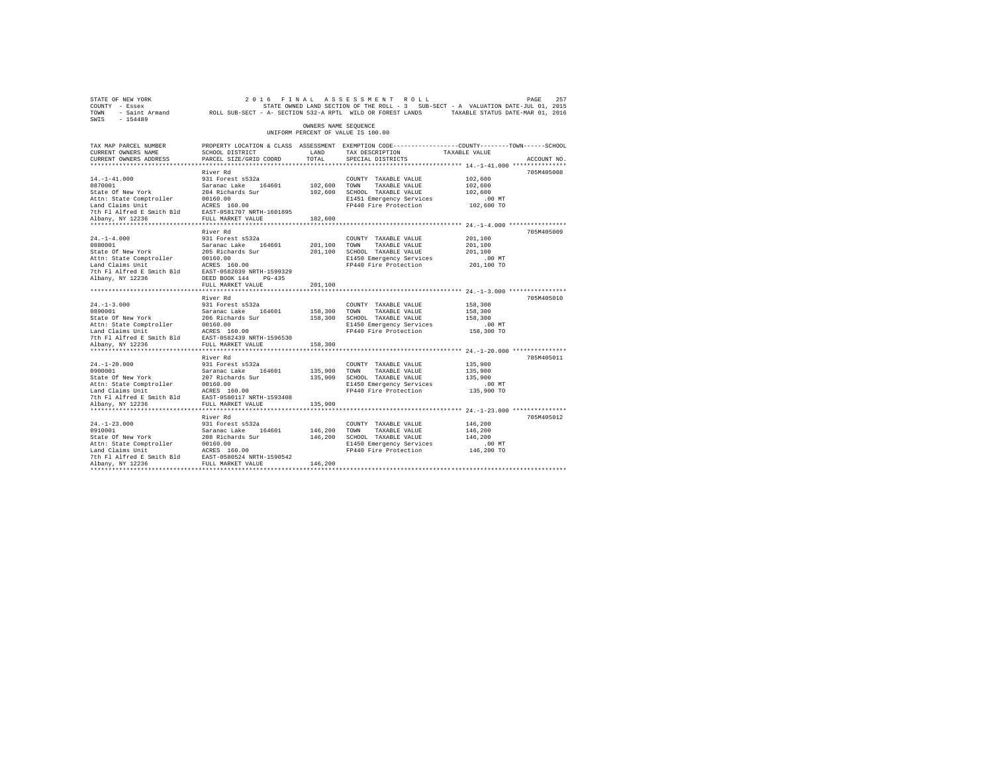|                                                                                                                                                          | OWNERS NAME SEOUENCE                                                                                             |                                                                                                                                        |                                                                                                                                                                                                                                                                                                                                                                                                                                                                               |             |
|----------------------------------------------------------------------------------------------------------------------------------------------------------|------------------------------------------------------------------------------------------------------------------|----------------------------------------------------------------------------------------------------------------------------------------|-------------------------------------------------------------------------------------------------------------------------------------------------------------------------------------------------------------------------------------------------------------------------------------------------------------------------------------------------------------------------------------------------------------------------------------------------------------------------------|-------------|
|                                                                                                                                                          |                                                                                                                  | UNIFORM PERCENT OF VALUE IS 100.00                                                                                                     |                                                                                                                                                                                                                                                                                                                                                                                                                                                                               |             |
| SCHOOL DISTRICT<br>PARCEL SIZE/GRID COORD                                                                                                                | LAND<br>TOTAL.                                                                                                   | PROPERTY LOCATION & CLASS ASSESSMENT EXEMPTION CODE---------------COUNTY-------TOWN-----SCHOOL<br>TAX DESCRIPTION<br>SPECIAL DISTRICTS | TAXABLE VALUE                                                                                                                                                                                                                                                                                                                                                                                                                                                                 | ACCOUNT NO. |
|                                                                                                                                                          |                                                                                                                  |                                                                                                                                        |                                                                                                                                                                                                                                                                                                                                                                                                                                                                               |             |
| 931 Forest s532a<br>Saranac Lake 164601<br>204 Richards Sur<br>00160.00                                                                                  |                                                                                                                  | COUNTY TAXABLE VALUE<br>TAXABLE VALUE                                                                                                  | 102,600<br>102,600<br>102,600<br>$.00$ MT                                                                                                                                                                                                                                                                                                                                                                                                                                     | 705M405008  |
| 7th Fl Alfred E Smith Bld EAST-0581707 NRTH-1601895<br>FULL MARKET VALUE                                                                                 | 102,600                                                                                                          |                                                                                                                                        |                                                                                                                                                                                                                                                                                                                                                                                                                                                                               |             |
| River Rd<br>931 Forest s532a<br>Saranac Lake 164601<br>205 Richards Sur<br>00160.00<br>ACRES 160.00<br>EAST-0582039 NRTH-1599329<br>DEED BOOK 144 PG-435 | 201,100<br>201,100                                                                                               | COUNTY TAXABLE VALUE<br>TAXABLE VALUE                                                                                                  | 201,100<br>201,100<br>201,100<br>$.00$ MT<br>201,100 TO                                                                                                                                                                                                                                                                                                                                                                                                                       | 705M405009  |
| ***********************                                                                                                                                  |                                                                                                                  |                                                                                                                                        |                                                                                                                                                                                                                                                                                                                                                                                                                                                                               |             |
| River Rd<br>931 Forest s532a<br>Saranac Lake 164601<br>206 Richards Sur<br>00160.00<br>ACRES 160.00                                                      |                                                                                                                  | COUNTY TAXABLE VALUE<br>TAXABLE VALUE                                                                                                  | 158,300<br>158,300<br>158,300<br>$.00$ MT<br>158,300 TO                                                                                                                                                                                                                                                                                                                                                                                                                       | 705M405010  |
| FULL MARKET VALUE                                                                                                                                        | 158,300                                                                                                          |                                                                                                                                        |                                                                                                                                                                                                                                                                                                                                                                                                                                                                               |             |
| River Rd<br>931 Forest s532a<br>Saranac Lake 164601<br>207 Richards Sur<br>00160.00<br>ACRES 160.00<br>EAST-0580117 NRTH-1593408<br>FULL MARKET VALUE    |                                                                                                                  | COUNTY TAXABLE VALUE<br>TAXABLE VALUE                                                                                                  | 135,900<br>135,900<br>135,900<br>$.00$ MT<br>135,900 TO                                                                                                                                                                                                                                                                                                                                                                                                                       | 705M405011  |
|                                                                                                                                                          |                                                                                                                  |                                                                                                                                        |                                                                                                                                                                                                                                                                                                                                                                                                                                                                               | 705M405012  |
| 931 Forest s532a<br>Saranac Lake 164601<br>208 Richards Sur<br>00160.00<br>ACRES 160.00<br>EAST-0580524 NRTH-1590542<br>FULL MARKET VALUE                |                                                                                                                  | COUNTY TAXABLE VALUE<br>TAXABLE VALUE                                                                                                  | 146,200<br>146,200<br>146,200<br>$.00$ MT<br>146,200 TO                                                                                                                                                                                                                                                                                                                                                                                                                       |             |
|                                                                                                                                                          | River Rd<br>ACRES 160.00<br>FULL MARKET VALUE<br>7th Fl Alfred E Smith Bld EAST-0582439 NRTH-1596530<br>River Rd | 201,100<br>135,900<br>135,900<br>135,900<br>146,200<br>146,200                                                                         | 102,600 TOWN<br>102,600 SCHOOL TAXABLE VALUE<br>E1451 Emergency Services<br>FP440 Fire Protection<br>TOWN<br>SCHOOL TAXABLE VALUE<br>E1450 Emergency Services<br>FP440 Fire Protection<br>158,300 TOWN<br>158,300 SCHOOL TAXABLE VALUE<br>E1450 Emergency Services<br>FP440 Fire Protection<br>TOWN<br>SCHOOL TAXABLE VALUE<br>E1450 Emergency Services<br>FP440 Fire Protection<br>TOWN<br>146,200 SCHOOL TAXABLE VALUE<br>E1450 Emergency Services<br>FP440 Fire Protection | 102,600 TO  |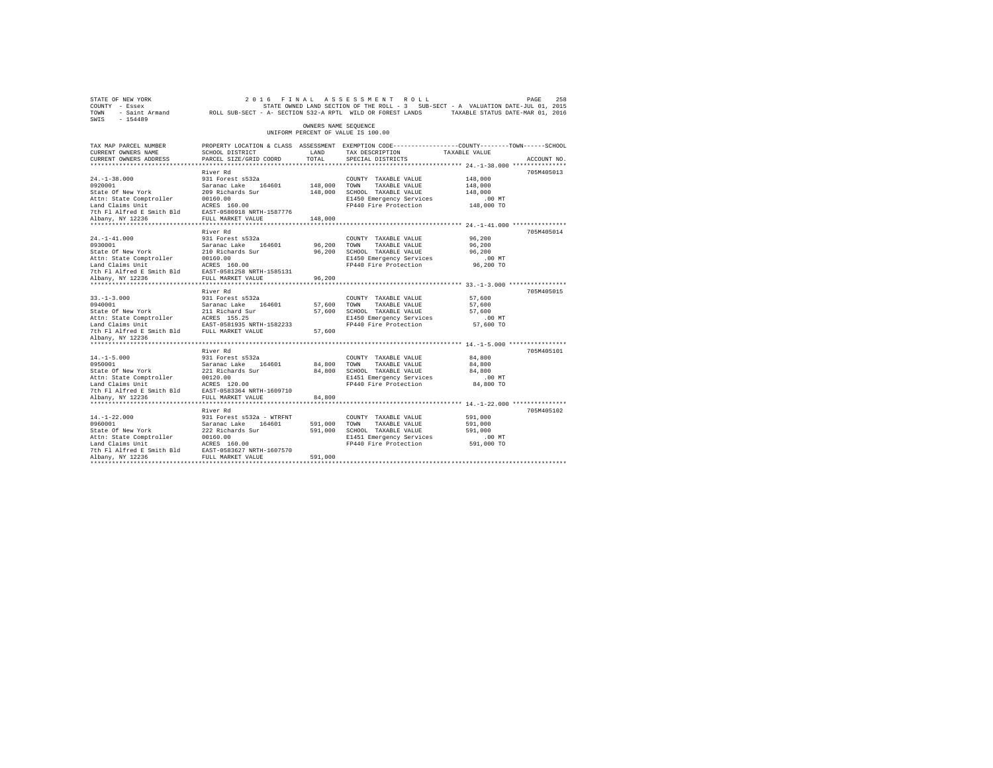| STATE OF NEW YORK<br>SWIS - 154489                                                                                                                                                                                                                                                                                                           |                                                                                                                                              |                       | 2016 FINAL ASSESSMENT ROLL                                                                                                                         |                                           | PAGE<br>258 |
|----------------------------------------------------------------------------------------------------------------------------------------------------------------------------------------------------------------------------------------------------------------------------------------------------------------------------------------------|----------------------------------------------------------------------------------------------------------------------------------------------|-----------------------|----------------------------------------------------------------------------------------------------------------------------------------------------|-------------------------------------------|-------------|
|                                                                                                                                                                                                                                                                                                                                              |                                                                                                                                              | OWNERS NAME SEQUENCE  | UNIFORM PERCENT OF VALUE IS 100.00                                                                                                                 |                                           |             |
| TAX MAP PARCEL NUMBER<br>CURRENT OWNERS NAME<br>CURRENT OWNERS ADDRESS                                                                                                                                                                                                                                                                       | PROPERTY LOCATION & CLASS ASSESSMENT EXEMPTION CODE----------------COUNTY-------TOWN-----SCHOOL<br>SCHOOL DISTRICT<br>PARCEL SIZE/GRID COORD | LAND<br>TOTAL         | TAX DESCRIPTION TAXABLE VALUE<br>SPECIAL DISTRICTS                                                                                                 |                                           | ACCOUNT NO. |
|                                                                                                                                                                                                                                                                                                                                              |                                                                                                                                              |                       |                                                                                                                                                    |                                           |             |
| $24. -1 - 38.000$<br>24.-1-36.000<br>2920001<br>2920001<br>2920001<br>2920001<br>2020010 5 2020010 5 2020010 5 2020010<br>2020010 202010 202010 202010 202010<br>202010 20218<br>20218 20218 20218 20218 20218 20218 20218<br>20218 20218 20218 20218 20218 20218 202                                                                        | River Rd<br>931 Forest s532a                                                                                                                 |                       | COUNTY TAXABLE VALUE<br>148,000 TOWN TAXABLE VALUE<br>148,000 SCHOOL TAXABLE VALUE<br>E1450 Emergency Services<br>FP440 Fire Protection 148,000 TO | 148,000<br>148,000<br>148,000<br>$.00$ MT | 705M405013  |
|                                                                                                                                                                                                                                                                                                                                              |                                                                                                                                              |                       |                                                                                                                                                    |                                           |             |
|                                                                                                                                                                                                                                                                                                                                              | River Rd                                                                                                                                     | 148,000               |                                                                                                                                                    |                                           | 705M405014  |
| $24. -1 - 41.000$                                                                                                                                                                                                                                                                                                                            | 931 Forest s532a                                                                                                                             |                       | COUNTY TAXABLE VALUE<br>96,200 TOWN TAXABLE VALUE<br>96,200 SCHOOL TAXABLE VALUE<br>E1450 Emergency Services<br>FP440 Fire Protection 96,200 TO    | 96,200<br>96,200<br>96,200<br>.00MT       |             |
|                                                                                                                                                                                                                                                                                                                                              |                                                                                                                                              | 96,200                |                                                                                                                                                    |                                           |             |
|                                                                                                                                                                                                                                                                                                                                              | River Rd                                                                                                                                     |                       |                                                                                                                                                    |                                           | 705M405015  |
| $33. - 1 - 3.000$                                                                                                                                                                                                                                                                                                                            | 931 Forest s532a                                                                                                                             |                       | COUNTY TAXABLE VALUE                                                                                                                               | 57,600                                    |             |
| Albany, NY 12236                                                                                                                                                                                                                                                                                                                             |                                                                                                                                              |                       |                                                                                                                                                    |                                           |             |
| $14. -1 - 5.000$                                                                                                                                                                                                                                                                                                                             | River Rd<br>931 Forest s532a                                                                                                                 |                       | COUNTY TAXABLE VALUE                                                                                                                               | 84,800                                    | 705M405101  |
| 14.-1-5.000<br>0950001<br>State Of New York<br>14.1-2.0001<br>1950001<br>Saranac Lake 164601<br>State of New York<br>221 Richards Sur<br>20120.00<br>195001<br>20120.00<br>196001<br>20120.00<br>196001<br>20120.00<br>20120.00<br>20120.00<br>20120.00<br>20120.00<br>20120.00<br>20120.00<br>20236<br>202364<br>202                        |                                                                                                                                              | 84.800 TOWN<br>84,800 | TAXABLE VALUE<br>84,800 SCHOOL TAXABLE VALUE<br>E1451 Emergency Services<br>FP440 Fire Protection 84,800 TO                                        | 84,800<br>84,800<br>$.00$ MT              |             |
|                                                                                                                                                                                                                                                                                                                                              |                                                                                                                                              |                       |                                                                                                                                                    |                                           |             |
| $14. - 1 - 22.000$<br>14.-1-22.000<br>0960001<br>State Of New York<br>Nature Compired 18 = 00160.00<br>Land Claims Unit<br>Land Claims Unit MCRES 160.00<br>2016.00<br>2016.00<br>2016.00<br>2016.00<br>2016.00<br>2016.00<br>2016.00<br>2016.00<br>2016.00<br>2016.00<br>2016.00<br>2016.00<br>2017<br>2017<br>2017<br>2017<br>2017<br>2018 | River Rd<br>931 Forest s532a - WTRFNT<br>Saranac Lake 164601 591,000 TOWN TAXABLE VALUE<br>222 Richards Sur 591,000 SCHOOL TAXABLE VALUE     | 591,000               | COUNTY TAXABLE VALUE<br>591,000 SCHOOL TAXABLE VALUE<br>E1451 Emergency Services<br>FP440 Fire Protection 591,000 TO                               | 591,000<br>591,000<br>591,000<br>$.00$ MT | 705M405102  |
|                                                                                                                                                                                                                                                                                                                                              |                                                                                                                                              |                       |                                                                                                                                                    |                                           |             |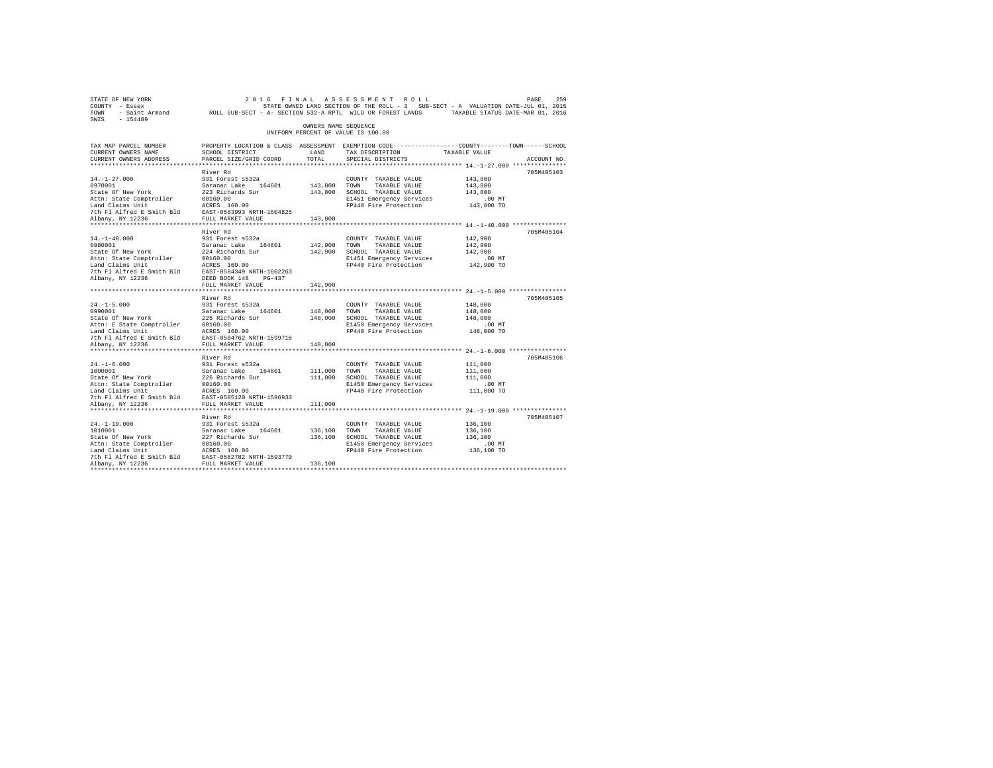| STATE OF NEW YORK<br>COUNTY - Essex<br>TOWN   | - Saint Armand ROLL SUB-SECT - A- SECTION 532-A RPTL WILD OR FOREST LANDS                                         |                      | 2016 FINAL ASSESSMENT ROLL<br>STATE OWNED LAND SECTION OF THE ROLL - 3 SUB-SECT - A VALUATION DATE-JUL 01, 2015 | TAXABLE STATUS DATE-MAR 01, 2016                         | PAGE<br>259 |
|-----------------------------------------------|-------------------------------------------------------------------------------------------------------------------|----------------------|-----------------------------------------------------------------------------------------------------------------|----------------------------------------------------------|-------------|
| SWIS<br>$-154489$                             |                                                                                                                   | OWNERS NAME SEQUENCE | UNIFORM PERCENT OF VALUE IS 100.00                                                                              |                                                          |             |
|                                               |                                                                                                                   |                      |                                                                                                                 |                                                          |             |
| TAX MAP PARCEL NUMBER<br>CURRENT OWNERS NAME  | PROPERTY LOCATION & CLASS ASSESSMENT EXEMPTION CODE---------------COUNTY-------TOWN-----SCHOOL<br>SCHOOL DISTRICT | LAND                 | TAX DESCRIPTION                                                                                                 | TAXABLE VALUE                                            |             |
| CURRENT OWNERS ADDRESS                        | PARCEL SIZE/GRID COORD                                                                                            | TOTAL                | SPECIAL DISTRICTS                                                                                               |                                                          | ACCOUNT NO. |
|                                               |                                                                                                                   |                      |                                                                                                                 |                                                          |             |
|                                               | River Rd                                                                                                          |                      |                                                                                                                 |                                                          | 705M405103  |
| $14. - 1 - 27.000$                            | 931 Forest s532a                                                                                                  |                      | COUNTY TAXABLE VALUE                                                                                            | 143,800                                                  |             |
| 0970001                                       | Saranac Lake 164601                                                                                               | 143,800              | TOWN<br>TAXABLE VALUE                                                                                           | 143,800                                                  |             |
| State Of New York<br>Attn: State Comptroller  | 223 Richards Sur<br>00160.00                                                                                      | 143,800              | SCHOOL TAXABLE VALUE<br>E1451 Emergency Services                                                                | 143,800<br>.00MT                                         |             |
| Land Claims Unit                              | ACRES 160.00                                                                                                      |                      | FP440 Fire Protection                                                                                           | 143,800 TO                                               |             |
| 7th Fl Alfred E Smith Bld                     | EAST-0583993 NRTH-1604825                                                                                         |                      |                                                                                                                 |                                                          |             |
| Albany, NY 12236                              | FULL MARKET VALUE                                                                                                 | 143,800              |                                                                                                                 |                                                          |             |
|                                               |                                                                                                                   |                      |                                                                                                                 |                                                          |             |
|                                               | River Rd                                                                                                          |                      |                                                                                                                 |                                                          | 705M405104  |
| $14. - 1 - 40.000$<br>0980001                 | 931 Forest s532a<br>Saranac Lake 164601                                                                           | 142,900              | COUNTY TAXABLE VALUE<br>TOWN<br>TAXABLE VALUE                                                                   | 142,900                                                  |             |
| State Of New York                             | 224 Richards Sur                                                                                                  | 142,900              | SCHOOL TAXABLE VALUE                                                                                            | 142,900<br>142,900                                       |             |
| Attn: State Comptroller                       | 00160.00                                                                                                          |                      | E1451 Emergency Services                                                                                        | .00 MT                                                   |             |
| Land Claims Unit                              | ACRES 160.00                                                                                                      |                      | FP440 Fire Protection                                                                                           | 142,900 TO                                               |             |
| 7th Fl Alfred E Smith Bld                     | EAST-0584349 NRTH-1602263                                                                                         |                      |                                                                                                                 |                                                          |             |
| Albany, NY 12236                              | DEED BOOK 148 PG-437                                                                                              |                      |                                                                                                                 |                                                          |             |
|                                               | FULL MARKET VALUE<br>************************                                                                     | 142,900              |                                                                                                                 |                                                          |             |
|                                               | River Rd                                                                                                          |                      |                                                                                                                 | *************************** 24.-1-5.000 **************** | 705M405105  |
| $24. -1 - 5.000$                              | 931 Forest s532a                                                                                                  |                      | COUNTY TAXABLE VALUE                                                                                            | 148,000                                                  |             |
| 0990001                                       | Saranac Lake 164601                                                                                               | 148,000              | TOWN<br>TAXABLE VALUE                                                                                           | 148,000                                                  |             |
| State Of New York                             | 225 Richards Sur                                                                                                  | 148,000              | SCHOOL TAXABLE VALUE                                                                                            | 148,000                                                  |             |
| Attn: E State Comptroller                     | 00160.00                                                                                                          |                      | E1450 Emergency Services                                                                                        | $.00$ MT                                                 |             |
| Land Claims Unit                              | ACRES 160.00                                                                                                      |                      | FP440 Fire Protection                                                                                           | 148,000 TO                                               |             |
| 7th Fl Alfred E Smith Bld                     | EAST-0584762 NRTH-1599716                                                                                         |                      |                                                                                                                 |                                                          |             |
| Albany, NY 12236                              | FULL MARKET VALUE                                                                                                 | 148,000              |                                                                                                                 |                                                          |             |
|                                               | River Rd                                                                                                          |                      |                                                                                                                 |                                                          | 705M405106  |
| $24. -1 - 6.000$                              | 931 Forest s532a                                                                                                  |                      | COUNTY TAXABLE VALUE                                                                                            | 111,000                                                  |             |
| 1000001                                       | Saranac Lake 164601                                                                                               | 111,000              | TOWN<br>TAXABLE VALUE                                                                                           | 111,000                                                  |             |
| State Of New York                             | 226 Richards Sur                                                                                                  | 111,000              | SCHOOL TAXABLE VALUE                                                                                            | 111,000                                                  |             |
| Attn: State Comptroller                       | 00160.00                                                                                                          |                      | E1450 Emergency Services                                                                                        | .00 MT                                                   |             |
| Land Claims Unit                              | ACRES 160.00                                                                                                      |                      | FP440 Fire Protection                                                                                           | 111,000 TO                                               |             |
| 7th Fl Alfred E Smith Bld<br>Albany, NY 12236 | EAST-0585120 NRTH-1596933<br>FULL MARKET VALUE                                                                    | 111,000              |                                                                                                                 |                                                          |             |
|                                               |                                                                                                                   |                      |                                                                                                                 |                                                          |             |
|                                               | River Rd                                                                                                          |                      |                                                                                                                 |                                                          | 705M405107  |
| $24. -1 - 19.000$                             | 931 Forest s532a                                                                                                  |                      | COUNTY TAXABLE VALUE                                                                                            | 136,100                                                  |             |
| 1010001                                       | Saranac Lake<br>164601                                                                                            | 136,100              | TOWN<br>TAXABLE VALUE                                                                                           | 136,100                                                  |             |
| State Of New York                             | 227 Richards Sur                                                                                                  |                      | 136,100 SCHOOL TAXABLE VALUE                                                                                    | 136,100                                                  |             |
| Attn: State Comptroller                       | 00160.00                                                                                                          |                      | E1450 Emergency Services                                                                                        | .00 MT                                                   |             |
| Land Claims Unit<br>7th Fl Alfred E Smith Bld | ACRES 160.00<br>EAST-0582782 NRTH-1593770                                                                         |                      | FP440 Fire Protection                                                                                           | 136,100 TO                                               |             |
| Albany, NY 12236                              | FULL MARKET VALUE                                                                                                 | 136,100              |                                                                                                                 |                                                          |             |
|                                               |                                                                                                                   |                      |                                                                                                                 |                                                          |             |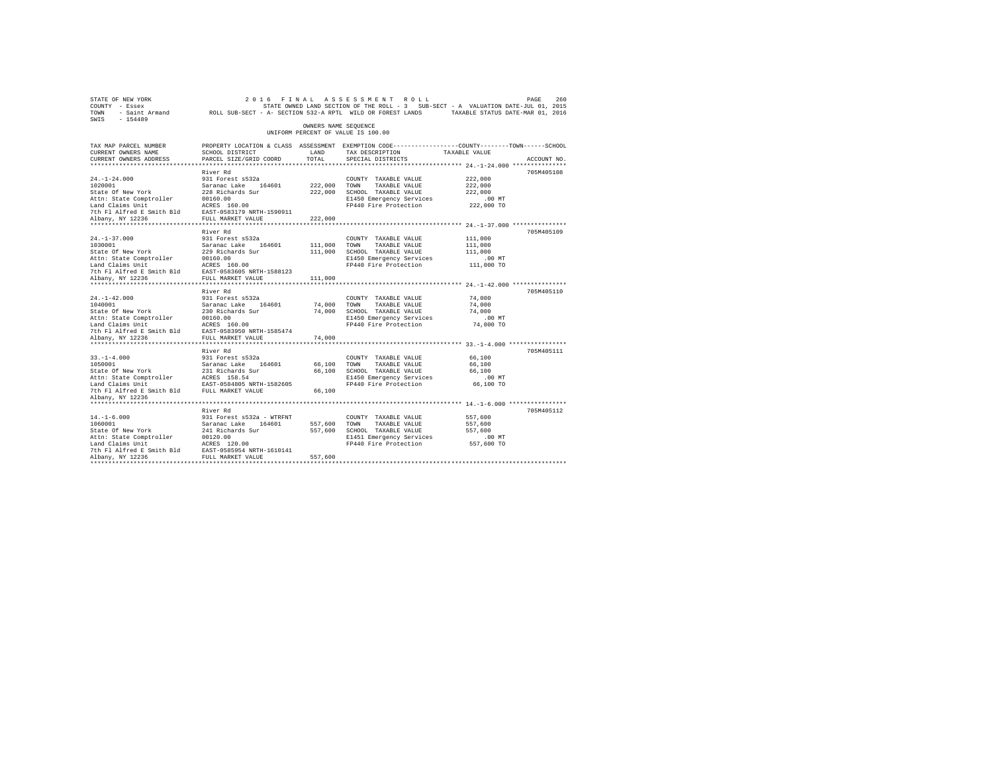| STATE OF NEW YORK<br>COUNTY - Essex<br>TOWN - Saint Armand ROLL SUB-SECT - A- SECTION 532-A RPTL WILD OR FOREST LANDS TAXABLE STATUS DATE-MAR 01, 2016<br>SWIS - 154489                                                          |                                                                                                                                              |                      | 2016 FINAL ASSESSMENT ROLL<br>STATE OWNED LAND SECTION OF THE ROLL - 3 SUB-SECT - A VALUATION DATE-JUL 01, 2015 |                  | PAGE<br>260 |
|----------------------------------------------------------------------------------------------------------------------------------------------------------------------------------------------------------------------------------|----------------------------------------------------------------------------------------------------------------------------------------------|----------------------|-----------------------------------------------------------------------------------------------------------------|------------------|-------------|
|                                                                                                                                                                                                                                  |                                                                                                                                              | OWNERS NAME SEQUENCE | UNIFORM PERCENT OF VALUE IS 100.00                                                                              |                  |             |
| TAX MAP PARCEL NUMBER<br>CURRENT OWNERS NAME<br>CURRENT OWNERS ADDRESS                                                                                                                                                           | PROPERTY LOCATION & CLASS ASSESSMENT EXEMPTION CODE---------------COUNTY-------TOWN------SCHOOL<br>SCHOOL DISTRICT<br>PARCEL SIZE/GRID COORD | LAND<br>TOTAL        | TAX DESCRIPTION TAXABLE VALUE<br>SPECIAL DISTRICTS                                                              |                  | ACCOUNT NO. |
|                                                                                                                                                                                                                                  |                                                                                                                                              |                      |                                                                                                                 |                  |             |
|                                                                                                                                                                                                                                  | River Rd                                                                                                                                     |                      |                                                                                                                 |                  | 705M405108  |
| $24. - 1 - 24.000$                                                                                                                                                                                                               | 931 Forest s532a                                                                                                                             |                      | COUNTY TAXABLE VALUE                                                                                            | 222,000          |             |
| 1020001                                                                                                                                                                                                                          | Saranac Lake 164601<br>228 Richards Sur<br>00160.00<br>ACRES 160.00                                                                          | 222,000 TOWN         | TAXABLE VALUE                                                                                                   | 222,000          |             |
| State Of New York                                                                                                                                                                                                                |                                                                                                                                              |                      | 222,000 SCHOOL TAXABLE VALUE                                                                                    | 222,000          |             |
| Attn: State Comptroller                                                                                                                                                                                                          |                                                                                                                                              |                      | E1450 Emergency Services                                                                                        | $.00$ MT         |             |
| Land Claims Unit                                                                                                                                                                                                                 |                                                                                                                                              |                      | FP440 Fire Protection                                                                                           | 222,000 TO       |             |
|                                                                                                                                                                                                                                  |                                                                                                                                              |                      |                                                                                                                 |                  |             |
|                                                                                                                                                                                                                                  |                                                                                                                                              | 222,000              |                                                                                                                 |                  |             |
|                                                                                                                                                                                                                                  | River Rd                                                                                                                                     |                      |                                                                                                                 |                  | 705M405109  |
| $24. - 1 - 37.000$                                                                                                                                                                                                               | 931 Forest s532a                                                                                                                             |                      | COUNTY TAXABLE VALUE                                                                                            | 111,000          |             |
|                                                                                                                                                                                                                                  |                                                                                                                                              | 111,000 TOWN         | TAXABLE VALUE                                                                                                   | 111,000          |             |
|                                                                                                                                                                                                                                  |                                                                                                                                              |                      | 111,000 SCHOOL TAXABLE VALUE                                                                                    | 111,000          |             |
|                                                                                                                                                                                                                                  |                                                                                                                                              |                      | E1450 Emergency Services                                                                                        | $.00$ MT         |             |
|                                                                                                                                                                                                                                  |                                                                                                                                              |                      | FP440 Fire Protection 111,000 TO                                                                                |                  |             |
|                                                                                                                                                                                                                                  |                                                                                                                                              |                      |                                                                                                                 |                  |             |
| 103001<br>103001 - 103001 - 103001 - 103001 - 10401 - 10401 - 10401 - 10401 - 10401 - 10401 - 10401 - 10401 - 10401 - 10401 - 10401 - 10401 - 10401 - 10401 - 10401 - 10401 - 10401 - 10401 - 10401 - 10401 - 10401 - 10401 - 10 |                                                                                                                                              | 111,000              |                                                                                                                 |                  |             |
|                                                                                                                                                                                                                                  |                                                                                                                                              |                      |                                                                                                                 |                  |             |
|                                                                                                                                                                                                                                  | River Rd                                                                                                                                     |                      |                                                                                                                 |                  | 705M405110  |
| $24. -1 - 42.000$                                                                                                                                                                                                                | 931 Forest s532a                                                                                                                             |                      | COUNTY TAXABLE VALUE                                                                                            | 74,000           |             |
|                                                                                                                                                                                                                                  |                                                                                                                                              | 74,000 TOWN          | TAXABLE VALUE<br>74,000 SCHOOL TAXABLE VALUE                                                                    | 74,000<br>74,000 |             |
| 1040001<br>Saranac Lake 164601<br>State of New York 20160.00<br>Attn: State Comptroller 20160.00<br>Land Claims Unit<br>Dan Claims Unit RACRES 160.00<br>The Platfred E Smith Bld EAST-0583950 NRTH-1585474                      |                                                                                                                                              |                      | E1450 Emergency Services                                                                                        | $.00$ MT         |             |
|                                                                                                                                                                                                                                  |                                                                                                                                              |                      | FP440 Fire Protection                                                                                           | 74,000 TO        |             |
|                                                                                                                                                                                                                                  |                                                                                                                                              |                      |                                                                                                                 |                  |             |
| Albany, NY 12236                                                                                                                                                                                                                 | FULL MARKET VALUE                                                                                                                            | 74,000               |                                                                                                                 |                  |             |
|                                                                                                                                                                                                                                  |                                                                                                                                              |                      |                                                                                                                 |                  |             |
|                                                                                                                                                                                                                                  | River Rd                                                                                                                                     |                      |                                                                                                                 |                  | 705M405111  |
| $33. -1 - 4.000$                                                                                                                                                                                                                 | 931 Forest s532a                                                                                                                             |                      | COUNTY TAXABLE VALUE                                                                                            | 66,100           |             |
| 33.-1-4.000<br>1050001<br>State Of New York                                                                                                                                                                                      |                                                                                                                                              | 66,100 TOWN          | TAXABLE VALUE                                                                                                   | 66,100           |             |
|                                                                                                                                                                                                                                  |                                                                                                                                              |                      | 66,100 SCHOOL TAXABLE VALUE                                                                                     | 66,100           |             |
|                                                                                                                                                                                                                                  |                                                                                                                                              |                      | E1450 Emergency Services 66,100 MT<br>FP440 Fire Protection 66,100 TO                                           |                  |             |
|                                                                                                                                                                                                                                  |                                                                                                                                              |                      |                                                                                                                 |                  |             |
| Albany, NY 12236                                                                                                                                                                                                                 |                                                                                                                                              | 66,100               |                                                                                                                 |                  |             |
|                                                                                                                                                                                                                                  |                                                                                                                                              |                      |                                                                                                                 |                  |             |
|                                                                                                                                                                                                                                  | River Rd                                                                                                                                     |                      |                                                                                                                 |                  | 705M405112  |
| $14. - 1 - 6.000$                                                                                                                                                                                                                | 931 Forest s532a - WTRFNT                                                                                                                    |                      | COUNTY TAXABLE VALUE                                                                                            | 557,600          |             |
| 1060001                                                                                                                                                                                                                          |                                                                                                                                              | 557,600 TOWN         | TAXABLE VALUE                                                                                                   | 557,600          |             |
| State Of New York                                                                                                                                                                                                                | Saranac Lake 164601<br>241 Richards Sur                                                                                                      | 557,600              | SCHOOL TAXABLE VALUE                                                                                            | 557,600          |             |
|                                                                                                                                                                                                                                  |                                                                                                                                              |                      | E1451 Emergency Services                                                                                        | $.00$ MT         |             |
|                                                                                                                                                                                                                                  |                                                                                                                                              |                      | FP440 Fire Protection 557,600 TO                                                                                |                  |             |
| Attn: State Comptroller 00120.00<br>Land Claims Unit ACRES 120.00<br>7th Fl Alfred E Smith Bld EAST-0585954 NRTH-1610141<br>Albany, NY 12236                                                                                     |                                                                                                                                              |                      |                                                                                                                 |                  |             |
| Albany, NY 12236                                                                                                                                                                                                                 | FULL MARKET VALUE                                                                                                                            | 557,600              |                                                                                                                 |                  |             |
|                                                                                                                                                                                                                                  |                                                                                                                                              |                      |                                                                                                                 |                  |             |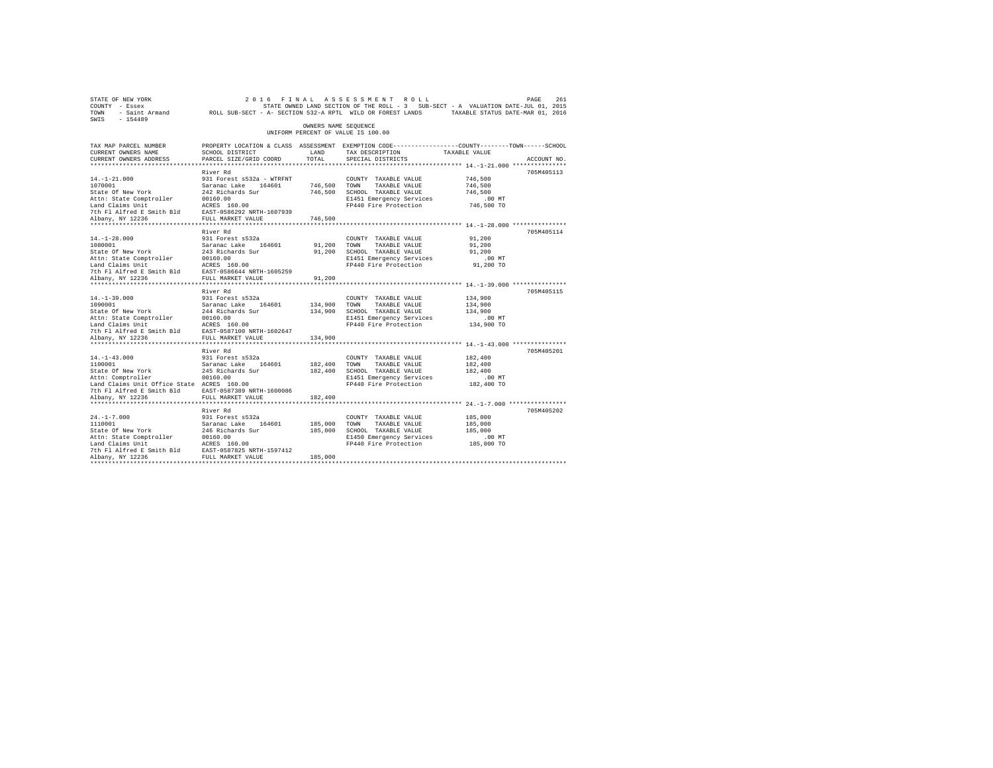| STATE OF NEW YORK<br>COUNTY - Essex<br>TOWN - Saint Armand ROLL SUB-SECT - A- SECTION 532-A RPTL WILD OR FOREST LANDS TAXABLE STATUS DATE-MAR 01, 2016<br>SWIS - 154489 |                                           |                      | 2016 FINAL ASSESSMENT ROLL<br>STATE OWNED LAND SECTION OF THE ROLL - 3 SUB-SECT - A VALUATION DATE-JUL 01, 2015 |                    | PAGE<br>261 |
|-------------------------------------------------------------------------------------------------------------------------------------------------------------------------|-------------------------------------------|----------------------|-----------------------------------------------------------------------------------------------------------------|--------------------|-------------|
|                                                                                                                                                                         |                                           | OWNERS NAME SEQUENCE | UNIFORM PERCENT OF VALUE IS 100.00                                                                              |                    |             |
| TAX MAP PARCEL NUMBER                                                                                                                                                   |                                           |                      | PROPERTY LOCATION & CLASS ASSESSMENT EXEMPTION CODE---------------COUNTY-------TOWN------SCHOOL                 |                    |             |
| CURRENT OWNERS NAME<br>CURRENT OWNERS ADDRESS                                                                                                                           | SCHOOL DISTRICT<br>PARCEL SIZE/GRID COORD | LAND<br>TOTAL        | TAX DESCRIPTION TAXABLE VALUE                                                                                   |                    |             |
|                                                                                                                                                                         |                                           |                      | SPECIAL DISTRICTS                                                                                               |                    | ACCOUNT NO. |
|                                                                                                                                                                         | River Rd                                  |                      |                                                                                                                 |                    | 705M405113  |
| $14. - 1 - 21.000$                                                                                                                                                      | 931 Forest s532a - WTRFNT                 |                      | COUNTY TAXABLE VALUE                                                                                            | 746,500            |             |
| 1070001                                                                                                                                                                 | Saranac Lake 164601                       | 746,500 TOWN         | TAXABLE VALUE                                                                                                   | 746,500            |             |
| State Of New York                                                                                                                                                       | 242 Richards Sur<br>00160.00              |                      | 746,500 SCHOOL TAXABLE VALUE                                                                                    | 746,500            |             |
| Attn: State Comptroller                                                                                                                                                 |                                           |                      | E1451 Emergency Services                                                                                        | .00 MT             |             |
| Land Claims Unit                                                                                                                                                        | ACRES 160.00                              |                      | FP440 Fire Protection                                                                                           | 746,500 TO         |             |
| 7th Fl Alfred E Smith Bld EAST-0586292 NRTH-1607939                                                                                                                     |                                           |                      |                                                                                                                 |                    |             |
| Albany, NY 12236                                                                                                                                                        | FULL MARKET VALUE                         | 746,500              |                                                                                                                 |                    |             |
|                                                                                                                                                                         | River Rd                                  |                      |                                                                                                                 |                    | 705M405114  |
| $14. - 1 - 28.000$                                                                                                                                                      | 931 Forest s532a                          |                      | COUNTY TAXABLE VALUE                                                                                            | 91,200             |             |
| 1080001                                                                                                                                                                 | Saranac Lake 164601                       | 91,200 TOWN          | TAXABLE VALUE                                                                                                   | 91,200             |             |
| State Of New York                                                                                                                                                       | 243 Richards Sur                          | 91,200               | SCHOOL TAXABLE VALUE                                                                                            | 91,200             |             |
| Attn: State Comptroller                                                                                                                                                 | 00160.00                                  |                      | E1451 Emergency Services                                                                                        | $.00$ MT           |             |
| Land Claims Unit                                                                                                                                                        | ACRES 160.00                              |                      | FP440 Fire Protection                                                                                           | 91,200 TO          |             |
| 7th F1 Alfred E Smith Bld EAST-0586644 NRTH-1605259                                                                                                                     |                                           |                      |                                                                                                                 |                    |             |
| Albany, NY 12236                                                                                                                                                        | FULL MARKET VALUE                         | 91,200               |                                                                                                                 |                    |             |
|                                                                                                                                                                         |                                           |                      |                                                                                                                 |                    |             |
|                                                                                                                                                                         | River Rd                                  |                      |                                                                                                                 |                    | 705M405115  |
| $14. -1 - 39.000$<br>1090001                                                                                                                                            | 931 Forest s532a                          | 134,900 TOWN         | COUNTY TAXABLE VALUE<br>TAXABLE VALUE                                                                           | 134,900<br>134,900 |             |
| State Of New York                                                                                                                                                       | Saranac Lake 164601<br>244 Richards Sur   |                      | 134,900 SCHOOL TAXABLE VALUE                                                                                    | 134,900            |             |
| Attn: State Comptroller                                                                                                                                                 | 00160.00                                  |                      | E1451 Emergency Services                                                                                        | $.00$ MT           |             |
| Land Claims Unit                                                                                                                                                        | ACRES 160.00                              |                      | FP440 Fire Protection                                                                                           | 134,900 TO         |             |
| 7th Fl Alfred E Smith Bld                                                                                                                                               | EAST-0587100 NRTH-1602647                 |                      |                                                                                                                 |                    |             |
| Albany, NY 12236                                                                                                                                                        | FULL MARKET VALUE                         | 134,900              |                                                                                                                 |                    |             |
|                                                                                                                                                                         |                                           |                      |                                                                                                                 |                    |             |
|                                                                                                                                                                         | River Rd                                  |                      |                                                                                                                 |                    | 705M405201  |
| $14. - 1 - 43.000$                                                                                                                                                      | 931 Forest s532a                          |                      | COUNTY TAXABLE VALUE                                                                                            | 182,400            |             |
| 1100001                                                                                                                                                                 | Saranac Lake 164601<br>245 Richards Sur   | 182,400 TOWN         | TAXABLE VALUE                                                                                                   | 182,400            |             |
| State Of New York<br>Attn: Comptroller                                                                                                                                  | 00160.00                                  |                      | 182,400 SCHOOL TAXABLE VALUE<br>E1451 Emergency Services                                                        | 182,400<br>.00 MT  |             |
| Land Claims Unit Office State ACRES 160.00                                                                                                                              |                                           |                      | FP440 Fire Protection                                                                                           | 182,400 TO         |             |
| 7th Fl Alfred E Smith Bld EAST-0587389 NRTH-1600086                                                                                                                     |                                           |                      |                                                                                                                 |                    |             |
| Albany, NY 12236                                                                                                                                                        | FULL MARKET VALUE                         | 182,400              |                                                                                                                 |                    |             |
|                                                                                                                                                                         |                                           |                      |                                                                                                                 |                    |             |
|                                                                                                                                                                         | River Rd                                  |                      |                                                                                                                 |                    | 705M405202  |
| $24. -1 - 7.000$                                                                                                                                                        | 931 Forest s532a                          |                      | COUNTY TAXABLE VALUE                                                                                            | 185,000            |             |
| 1110001                                                                                                                                                                 | Saranac Lake 164601                       | 185,000              | TAXABLE VALUE<br>TOWN                                                                                           | 185,000            |             |
| State Of New York                                                                                                                                                       | 246 Richards Sur                          |                      | 185,000 SCHOOL TAXABLE VALUE                                                                                    | 185,000            |             |
| Attn: State Comptroller                                                                                                                                                 | 00160.00                                  |                      | E1450 Emergency Services                                                                                        | $.00$ MT           |             |
|                                                                                                                                                                         |                                           |                      | FP440 Fire Protection                                                                                           | 185,000 TO         |             |
| Land Claims Unit More and ACRES 160.00<br>7th Fl Alfred E Smith Bld EAST-0587825 NRTH-1597412<br>Albany, NY 12236 FULL MARKET VALUR                                     |                                           | 185,000              |                                                                                                                 |                    |             |
|                                                                                                                                                                         |                                           |                      |                                                                                                                 |                    |             |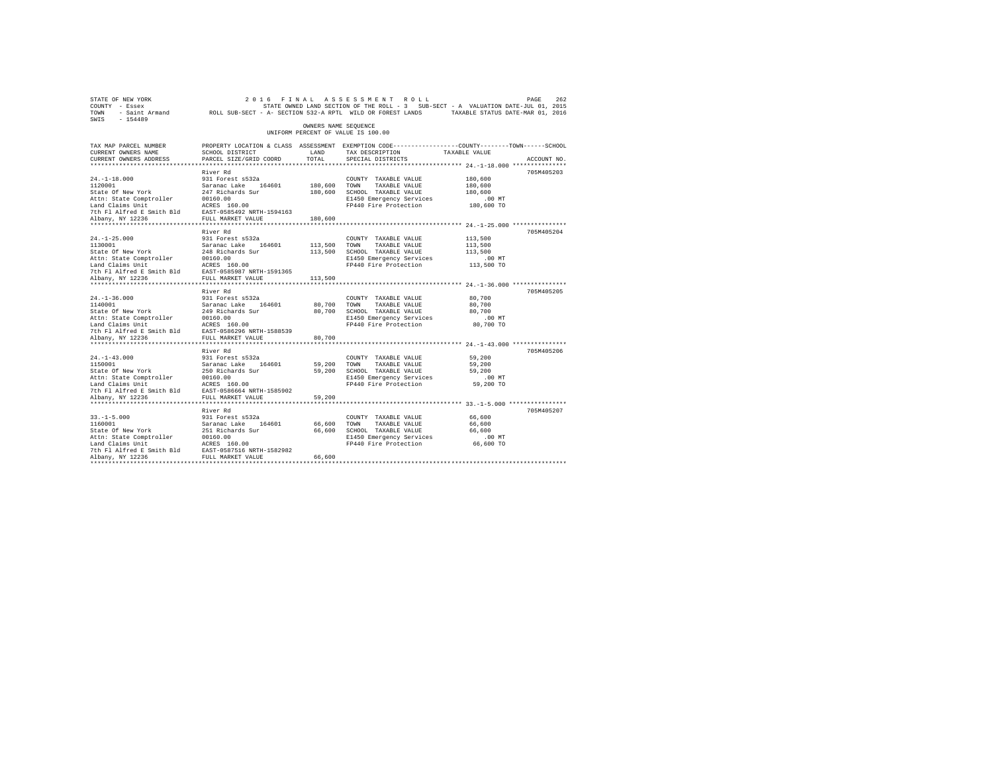| STATE OF NEW YORK<br>COUNTY - Essex<br>TOWN - Saint Armand ROLL SUB-SECT - A- SECTION 532-A RPTL WILD OR FOREST LANDS TAXABLE STATUS DATE-MAR 01, 2016<br>SWIS - 154489                                                                      |                                                                                                                                                 |                            | 2016 FINAL ASSESSMENT ROLL<br>STATE OWNED LAND SECTION OF THE ROLL - 3 SUB-SECT - A VALUATION DATE-JUL 01, 2015                       |                                                     | PAGE<br>262 |
|----------------------------------------------------------------------------------------------------------------------------------------------------------------------------------------------------------------------------------------------|-------------------------------------------------------------------------------------------------------------------------------------------------|----------------------------|---------------------------------------------------------------------------------------------------------------------------------------|-----------------------------------------------------|-------------|
|                                                                                                                                                                                                                                              |                                                                                                                                                 | OWNERS NAME SEQUENCE       | UNIFORM PERCENT OF VALUE IS 100.00                                                                                                    |                                                     |             |
| TAX MAP PARCEL NUMBER<br>CURRENT OWNERS NAME<br>CURRENT OWNERS ADDRESS                                                                                                                                                                       | PROPERTY LOCATION & CLASS ASSESSMENT EXEMPTION CODE----------------COUNTY-------TOWN------SCHOOL<br>SCHOOL DISTRICT<br>PARCEL SIZE/GRID COORD   | LAND<br>TOTAL              | TAX DESCRIPTION<br>SPECIAL DISTRICTS                                                                                                  | TAXABLE VALUE                                       | ACCOUNT NO. |
| $24. -1 - 18.000$<br>1120001<br>State Of New York<br>Attn: State Comptroller<br>Land Claims Unit<br>Land Claims Unit<br>1981 - James Balling, March 1985, 2008, 2008, 2017<br>2008 - Alfred B. Shahany, NY 12236<br>2008 - PULL MARKET VALUE | River Rd<br>931 Forest s532a<br>Saranac Lake 164601<br>247 Richards Sur<br>00160.00                                                             | 180,600 TOWN               | COUNTY TAXABLE VALUE<br>TAXABLE VALUE<br>180,600 SCHOOL TAXABLE VALUE<br>E1450 Emergency Services<br>FP440 Fire Protection 180,600 TO | 180,600<br>180,600<br>180,600<br>$.00$ MT           | 705M405203  |
| $24. -1 - 25.000$<br>1130001<br>State Of New York<br>Attn: State Comptroller 00160.00<br>Land Claims Unit 100160.00<br>The Flalfred E Smith Bld EAST-0585987 NRTH-1591365<br>7th Flalfred E Smith Bld EAST-0585987 NALUE<br>Albany, NY 12236 | River Rd<br>931 Forest s532a<br>Saranac Lake 164601<br>248 Richards Sur                                                                         | 180,600<br>113,500 TOWN    | COUNTY TAXABLE VALUE<br>TAXABLE VALUE<br>113,500 SCHOOL TAXABLE VALUE<br>E1450 Emergency Services<br>FP440 Fire Protection 113,500 TO | 113,500<br>113,500<br>113,500<br>$.00$ MT           | 705M405204  |
| Albany, NY 12236<br>$24. - 1 - 36.000$                                                                                                                                                                                                       | FULL MARKET VALUE<br>River Rd<br>931 Forest s532a                                                                                               | 113,500<br>80,700          | COUNTY TAXABLE VALUE<br>TOWN<br>TAXABLE VALUE<br>80,700 SCHOOL TAXABLE VALUE<br>E1450 Emergency Services<br>FP440 Fire Protection     | 80,700<br>80,700<br>80,700<br>.00 MT<br>80,700 TO   | 705M405205  |
| Albany, NY 12236<br>$24. -1 - 43.000$<br>1150001<br>State Of New York<br>Albany, NY 12236                                                                                                                                                    | FULL MARKET VALUE<br>**************************<br>River Rd<br>931 Forest s532a<br>Saranac Lake 164601<br>250 Richards Sur<br>FULL MARKET VALUE | 80,700<br>59,200<br>59,200 | COUNTY TAXABLE VALUE<br>TOWN<br>TAXABLE VALUE<br>59,200 SCHOOL TAXABLE VALUE<br>E1450 Emergency Services<br>FP440 Fire Protection     | 59,200<br>59,200<br>59,200<br>$.00$ MT<br>59,200 TO | 705M405206  |
| $33. -1 - 5.000$<br>1160001<br>State Of New York<br>Attn: State Comptroller 00160.00<br>Land Claims Unit ACRES 160.00<br>7th Fl Alfred E Smith Bld EAST-0587516 NRTH-1582982<br>Albany, NY 12236<br>Albany, NY 12236                         | River Rd<br>931 Forest s532a<br>Saranac Lake 164601<br>251 Richards Sur<br>FULL MARKET VALUE                                                    | 66,600<br>66,600<br>66,600 | COUNTY TAXABLE VALUE<br>TOWN<br>TAXABLE VALUE<br>SCHOOL TAXABLE VALUE<br>E1450 Emergency Services<br>FP440 Fire Protection 66,600 TO  | 66,600<br>66,600<br>66,600<br>$.00$ MT              | 705M405207  |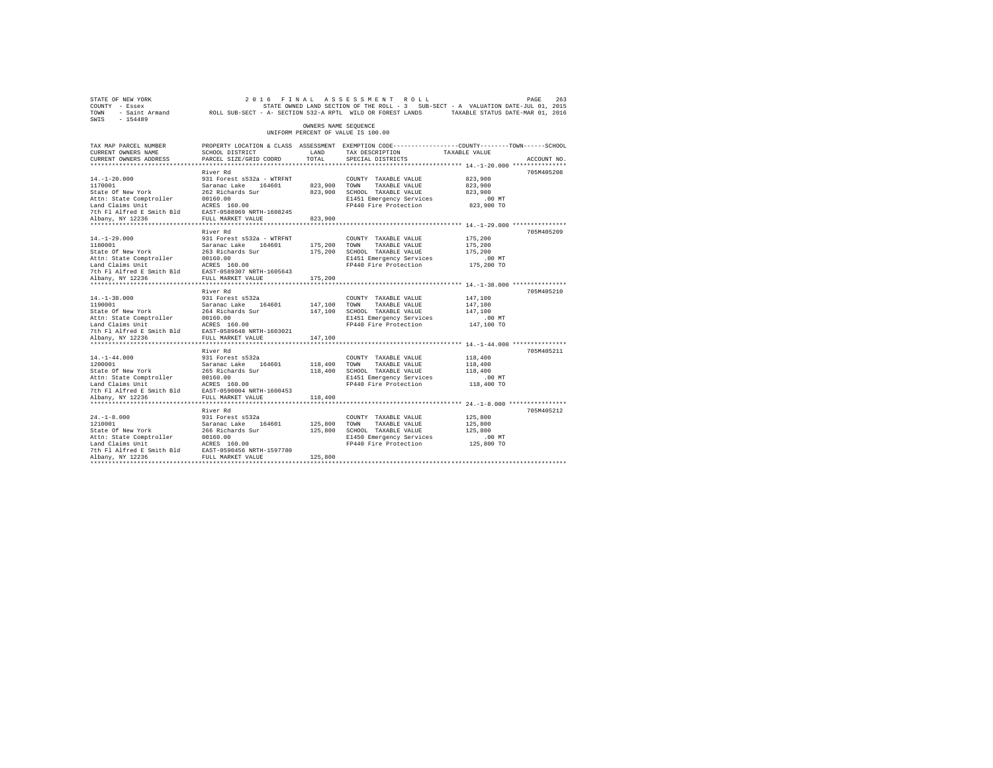| STATE OF NEW YORK<br>COUNTY - Essex<br>TOWN - Saint Armand ROLL SUB-SECT - A- SECTION 532-A RPTL WILD OR FOREST LANDS TAXABLE STATUS DATE-MAR 01, 2016<br>SWIS - 154489 |                                           |                      | 2016 FINAL ASSESSMENT ROLL<br>STATE OWNED LAND SECTION OF THE ROLL - 3 SUB-SECT - A VALUATION DATE-JUL 01, 2015                                       |                        | PAGE<br>263 |
|-------------------------------------------------------------------------------------------------------------------------------------------------------------------------|-------------------------------------------|----------------------|-------------------------------------------------------------------------------------------------------------------------------------------------------|------------------------|-------------|
|                                                                                                                                                                         |                                           | OWNERS NAME SEQUENCE | UNIFORM PERCENT OF VALUE IS 100.00                                                                                                                    |                        |             |
| TAX MAP PARCEL NUMBER<br>CURRENT OWNERS NAME<br>CURRENT OWNERS ADDRESS                                                                                                  | SCHOOL DISTRICT<br>PARCEL SIZE/GRID COORD | LAND<br>TOTAL        | PROPERTY LOCATION & CLASS ASSESSMENT EXEMPTION CODE---------------COUNTY-------TOWN------SCHOOL<br>TAX DESCRIPTION TAXABLE VALUE<br>SPECIAL DISTRICTS |                        | ACCOUNT NO. |
|                                                                                                                                                                         |                                           |                      |                                                                                                                                                       |                        |             |
|                                                                                                                                                                         | River Rd                                  |                      |                                                                                                                                                       |                        | 705M405208  |
| $14. - 1 - 20.000$                                                                                                                                                      | 931 Forest s532a - WTRFNT                 |                      | COUNTY TAXABLE VALUE                                                                                                                                  | 823,900                |             |
| 1170001                                                                                                                                                                 | Saranac Lake 164601                       | 823,900 TOWN         | TAXABLE VALUE                                                                                                                                         | 823,900                |             |
| State Of New York                                                                                                                                                       | 262 Richards Sur                          |                      | 823,900 SCHOOL TAXABLE VALUE                                                                                                                          | 823,900                |             |
| Attn: State Comptroller<br>Land Claims Unit                                                                                                                             | 00160.00<br>ACRES 160.00                  |                      | E1451 Emergency Services<br>FP440 Fire Protection                                                                                                     | $.00$ MT<br>823,900 TO |             |
| 7th Fl Alfred E Smith Bld EAST-0588969 NRTH-1608245                                                                                                                     |                                           |                      |                                                                                                                                                       |                        |             |
| Albany, NY 12236                                                                                                                                                        | FULL MARKET VALUE                         | 823,900              |                                                                                                                                                       |                        |             |
|                                                                                                                                                                         |                                           |                      |                                                                                                                                                       |                        |             |
|                                                                                                                                                                         | River Rd                                  |                      |                                                                                                                                                       |                        | 705M405209  |
| $14. - 1 - 29.000$                                                                                                                                                      | 931 Forest s532a - WTRFNT                 |                      | COUNTY TAXABLE VALUE                                                                                                                                  | 175,200                |             |
| 1180001                                                                                                                                                                 | Saranac Lake 164601                       | 175,200 TOWN         | TAXABLE VALUE                                                                                                                                         | 175,200                |             |
| State Of New York                                                                                                                                                       | 263 Richards Sur                          |                      | 175,200 SCHOOL TAXABLE VALUE                                                                                                                          | 175,200                |             |
| Attn: State Comptroller                                                                                                                                                 | 00160.00                                  |                      | E1451 Emergency Services                                                                                                                              | $.00$ MT               |             |
| Land Claims Unit                                                                                                                                                        | ACRES 160.00                              |                      | FP440 Fire Protection                                                                                                                                 | 175,200 TO             |             |
| 7th Fl Alfred E Smith Bld EAST-0589307 NRTH-1605643<br>Albany, NY 12236                                                                                                 | FULL MARKET VALUE                         | 175,200              |                                                                                                                                                       |                        |             |
|                                                                                                                                                                         |                                           |                      |                                                                                                                                                       |                        |             |
|                                                                                                                                                                         | River Rd                                  |                      |                                                                                                                                                       |                        | 705M405210  |
| $14. -1 - 38.000$                                                                                                                                                       | 931 Forest s532a                          |                      | COUNTY TAXABLE VALUE                                                                                                                                  | 147,100                |             |
| 1190001                                                                                                                                                                 | Saranac Lake 164601                       | 147,100 TOWN         | TAXABLE VALUE                                                                                                                                         | 147,100                |             |
| State Of New York                                                                                                                                                       | 264 Richards Sur                          |                      | 147,100 SCHOOL TAXABLE VALUE                                                                                                                          | 147,100                |             |
| Attn: State Comptroller                                                                                                                                                 | 00160.00                                  |                      | E1451 Emergency Services                                                                                                                              | $.00$ MT               |             |
| Land Claims Unit                                                                                                                                                        | ACRES 160.00                              |                      | FP440 Fire Protection                                                                                                                                 | 147,100 TO             |             |
| 7th Fl Alfred E Smith Bld                                                                                                                                               | EAST-0589648 NRTH-1603021                 |                      |                                                                                                                                                       |                        |             |
| Albany, NY 12236                                                                                                                                                        | FULL MARKET VALUE                         | 147,100              |                                                                                                                                                       |                        |             |
|                                                                                                                                                                         | River Rd                                  |                      |                                                                                                                                                       |                        | 705M405211  |
| $14. - 1 - 44.000$                                                                                                                                                      | 931 Forest s532a                          |                      | COUNTY TAXABLE VALUE                                                                                                                                  | 118,400                |             |
| 1200001                                                                                                                                                                 | Saranac Lake 164601                       | 118,400 TOWN         | TAXABLE VALUE                                                                                                                                         | 118,400                |             |
| State Of New York                                                                                                                                                       | 265 Richards Sur                          |                      | 118,400 SCHOOL TAXABLE VALUE                                                                                                                          | 118,400                |             |
| Attn: State Comptroller                                                                                                                                                 | 00160.00                                  |                      | E1451 Emergency Services                                                                                                                              | $.00$ MT               |             |
| Land Claims Unit                                                                                                                                                        | ACRES 160.00                              |                      | FP440 Fire Protection                                                                                                                                 | 118,400 TO             |             |
| 7th Fl Alfred E Smith Bld EAST-0590004 NRTH-1600453                                                                                                                     |                                           |                      |                                                                                                                                                       |                        |             |
| Albany, NY 12236                                                                                                                                                        | FULL MARKET VALUE                         | 118,400              |                                                                                                                                                       |                        |             |
|                                                                                                                                                                         |                                           |                      |                                                                                                                                                       |                        |             |
|                                                                                                                                                                         | River Rd                                  |                      |                                                                                                                                                       |                        | 705M405212  |
| $24. -1 - 8.000$<br>1210001                                                                                                                                             | 931 Forest s532a                          | 125,800 TOWN         | COUNTY TAXABLE VALUE<br>TAXABLE VALUE                                                                                                                 | 125,800<br>125,800     |             |
| State Of New York                                                                                                                                                       | Saranac Lake 164601<br>266 Richards Sur   |                      | 125,800 SCHOOL TAXABLE VALUE                                                                                                                          | 125,800                |             |
| Attn: State Comptroller                                                                                                                                                 | 00160.00                                  |                      | E1450 Emergency Services                                                                                                                              | $.00$ MT               |             |
| Land Claims Unit                                                                                                                                                        | ACRES 160.00                              |                      | FP440 Fire Protection                                                                                                                                 | 125,800 TO             |             |
| 7th Fl Alfred E Smith Bld EAST-0590456 NRTH-1597780                                                                                                                     |                                           |                      |                                                                                                                                                       |                        |             |
| Albany, NY 12236                                                                                                                                                        | FULL MARKET VALUE                         | 125,800              |                                                                                                                                                       |                        |             |
|                                                                                                                                                                         |                                           |                      |                                                                                                                                                       |                        |             |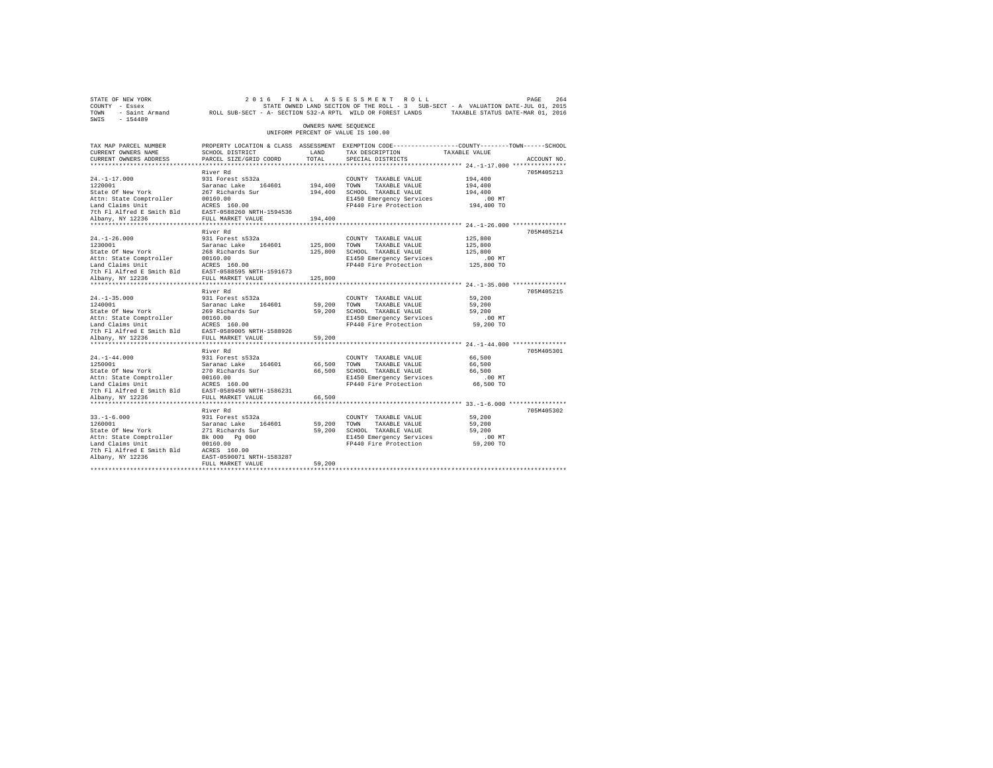| STATE OF NEW YORK<br>COUNTY - Essex<br>- Saint Armand<br>TOWN | 2 0 1 6<br>FINAL<br>ROLL SUB-SECT - A- SECTION 532-A RPTL WILD OR FOREST LANDS |                      | ASSESSMENT ROLL<br>STATE OWNED LAND SECTION OF THE ROLL - 3 SUB-SECT - A VALUATION DATE-JUL 01, 2015 | TAXABLE STATUS DATE-MAR 01, 2016             | PAGE<br>264 |
|---------------------------------------------------------------|--------------------------------------------------------------------------------|----------------------|------------------------------------------------------------------------------------------------------|----------------------------------------------|-------------|
| $-154489$<br>SWIS                                             |                                                                                | OWNERS NAME SEQUENCE |                                                                                                      |                                              |             |
|                                                               |                                                                                |                      | UNIFORM PERCENT OF VALUE IS 100.00                                                                   |                                              |             |
| TAX MAP PARCEL NUMBER                                         |                                                                                |                      | PROPERTY LOCATION & CLASS ASSESSMENT EXEMPTION CODE---------------COUNTY-------TOWN------SCHOOL      |                                              |             |
| CURRENT OWNERS NAME                                           | SCHOOL DISTRICT                                                                | LAND                 | TAX DESCRIPTION                                                                                      | TAXABLE VALUE                                |             |
| CURRENT OWNERS ADDRESS<br>*************************           | PARCEL SIZE/GRID COORD                                                         | TOTAL                | SPECIAL DISTRICTS                                                                                    |                                              | ACCOUNT NO. |
|                                                               |                                                                                |                      |                                                                                                      |                                              |             |
| $24. -1 - 17.000$                                             | River Rd<br>931 Forest s532a                                                   |                      | COUNTY TAXABLE VALUE                                                                                 | 194,400                                      | 705M405213  |
| 1220001                                                       | Saranac Lake 164601                                                            | 194,400              | TOWN<br>TAXABLE VALUE                                                                                | 194,400                                      |             |
| State Of New York                                             | 267 Richards Sur                                                               | 194,400              | SCHOOL TAXABLE VALUE                                                                                 | 194,400                                      |             |
| Attn: State Comptroller                                       | 00160.00                                                                       |                      | E1450 Emergency Services                                                                             | $.00$ MT                                     |             |
| Land Claims Unit                                              | ACRES 160.00                                                                   |                      | FP440 Fire Protection                                                                                | 194,400 TO                                   |             |
| 7th Fl Alfred E Smith Bld                                     | EAST-0588260 NRTH-1594536                                                      |                      |                                                                                                      |                                              |             |
| Albany, NY 12236                                              | FULL MARKET VALUE                                                              | 194,400              |                                                                                                      |                                              |             |
| **************************                                    | ****************************                                                   |                      |                                                                                                      |                                              |             |
|                                                               | River Rd                                                                       |                      |                                                                                                      |                                              | 705M405214  |
| $24. - 1 - 26.000$                                            | 931 Forest s532a                                                               |                      | COUNTY TAXABLE VALUE                                                                                 | 125,800                                      |             |
| 1230001                                                       | Saranac Lake 164601                                                            | 125,800              | TOWN<br>TAXABLE VALUE                                                                                | 125,800                                      |             |
| State Of New York                                             | 268 Richards Sur                                                               | 125,800              | SCHOOL TAXABLE VALUE                                                                                 | 125,800                                      |             |
| Attn: State Comptroller                                       | 00160.00                                                                       |                      | E1450 Emergency Services                                                                             | $.00$ MT                                     |             |
| Land Claims Unit                                              | ACRES 160.00                                                                   |                      | FP440 Fire Protection                                                                                | 125,800 TO                                   |             |
| 7th Fl Alfred E Smith Bld                                     | EAST-0588595 NRTH-1591673                                                      |                      |                                                                                                      |                                              |             |
| Albany, NY 12236                                              | FULL MARKET VALUE                                                              | 125,800              |                                                                                                      |                                              |             |
| *************************                                     | **********************                                                         |                      |                                                                                                      |                                              |             |
| $24. -1 - 35.000$                                             | River Rd                                                                       |                      |                                                                                                      | 59,200                                       | 705M405215  |
| 1240001                                                       | 931 Forest s532a<br>Saranac Lake<br>164601                                     | 59,200               | COUNTY TAXABLE VALUE<br>TOWN<br>TAXABLE VALUE                                                        | 59,200                                       |             |
| State Of New York                                             | 269 Richards Sur                                                               | 59,200               | SCHOOL TAXABLE VALUE                                                                                 | 59,200                                       |             |
| Attn: State Comptroller                                       | 00160.00                                                                       |                      | E1450 Emergency Services                                                                             | $.00$ MT                                     |             |
| Land Claims Unit                                              | ACRES 160.00                                                                   |                      | FP440 Fire Protection                                                                                | 59,200 TO                                    |             |
| 7th Fl Alfred E Smith Bld                                     | EAST-0589005 NRTH-1588926                                                      |                      |                                                                                                      |                                              |             |
| Albany, NY 12236                                              | FULL MARKET VALUE                                                              | 59,200               |                                                                                                      |                                              |             |
| *******************                                           | *****************                                                              |                      |                                                                                                      | *************** 24.-1-44.000 *************** |             |
|                                                               | River Rd                                                                       |                      |                                                                                                      |                                              | 705M405301  |
| $24. -1 - 44.000$                                             | 931 Forest s532a                                                               |                      | COUNTY TAXABLE VALUE                                                                                 | 66,500                                       |             |
| 1250001                                                       | Saranac Lake<br>164601                                                         | 66,500               | TOWN<br>TAXABLE VALUE                                                                                | 66.500                                       |             |
| State Of New York                                             | 270 Richards Sur                                                               | 66,500               | SCHOOL TAXABLE VALUE                                                                                 | 66,500                                       |             |
| Attn: State Comptroller                                       | 00160.00                                                                       |                      | E1450 Emergency Services                                                                             | $.00$ MT                                     |             |
| Land Claims Unit                                              | ACRES 160.00                                                                   |                      | FP440 Fire Protection                                                                                | 66,500 TO                                    |             |
| 7th Fl Alfred E Smith Bld                                     | EAST-0589450 NRTH-1586231                                                      |                      |                                                                                                      |                                              |             |
| Albany, NY 12236                                              | FULL MARKET VALUE                                                              | 66,500               |                                                                                                      |                                              |             |
|                                                               |                                                                                |                      |                                                                                                      |                                              |             |
|                                                               | River Rd                                                                       |                      |                                                                                                      |                                              | 705M405302  |
| $33. - 1 - 6.000$                                             | 931 Forest s532a                                                               |                      | COUNTY TAXABLE VALUE                                                                                 | 59,200                                       |             |
| 1260001                                                       | Saranac Lake<br>164601                                                         | 59,200               | TOWN<br>TAXABLE VALUE                                                                                | 59,200                                       |             |
| State Of New York                                             | 271 Richards Sur                                                               | 59,200               | SCHOOL TAXABLE VALUE                                                                                 | 59,200                                       |             |
| Attn: State Comptroller                                       | Bk 000 Pg 000                                                                  |                      | E1450 Emergency Services                                                                             | $.00$ MT                                     |             |
| Land Claims Unit<br>7th Fl Alfred E Smith Bld                 | 00160.00<br>ACRES 160.00                                                       |                      | FP440 Fire Protection                                                                                | 59,200 TO                                    |             |
| Albany, NY 12236                                              | EAST-0590071 NRTH-1583287                                                      |                      |                                                                                                      |                                              |             |
|                                                               | FULL MARKET VALUE                                                              | 59,200               |                                                                                                      |                                              |             |
|                                                               |                                                                                |                      |                                                                                                      |                                              |             |
|                                                               |                                                                                |                      |                                                                                                      |                                              |             |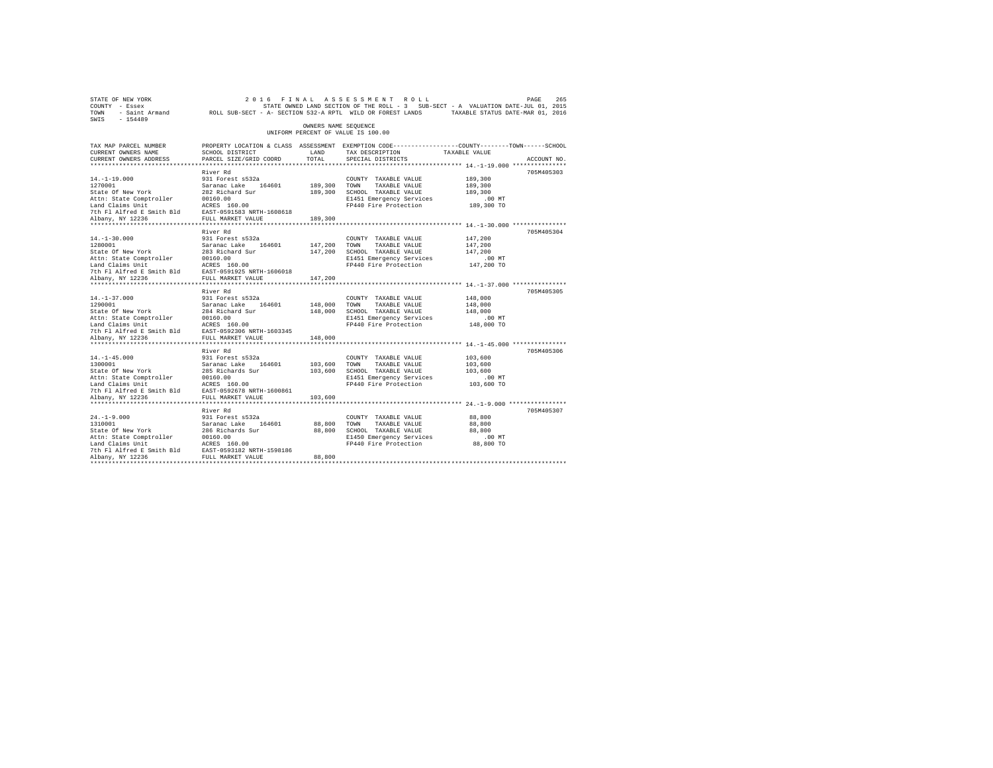| STATE OF NEW YORK<br>COUNTY - Essex<br>TOWN - Saint Armand ROLL SUB-SECT - A- SECTION 532-A RPTL WILD OR FOREST LANDS TAXABLE STATUS DATE-MAR 01, 2016<br>SWIS - 154489 |                                                                    |                      | 2016 FINAL ASSESSMENT ROLL<br>STATE OWNED LAND SECTION OF THE ROLL - 3 SUB-SECT - A VALUATION DATE-JUL 01, 2015 |                        | 265<br>PAGE |
|-------------------------------------------------------------------------------------------------------------------------------------------------------------------------|--------------------------------------------------------------------|----------------------|-----------------------------------------------------------------------------------------------------------------|------------------------|-------------|
|                                                                                                                                                                         |                                                                    | OWNERS NAME SEQUENCE | UNIFORM PERCENT OF VALUE IS 100.00                                                                              |                        |             |
| TAX MAP PARCEL NUMBER                                                                                                                                                   |                                                                    |                      | PROPERTY LOCATION & CLASS ASSESSMENT EXEMPTION CODE---------------COUNTY-------TOWN------SCHOOL                 |                        |             |
| CURRENT OWNERS NAME                                                                                                                                                     | SCHOOL DISTRICT                                                    | LAND                 | TAX DESCRIPTION TAXABLE VALUE                                                                                   |                        |             |
| CURRENT OWNERS ADDRESS                                                                                                                                                  | PARCEL SIZE/GRID COORD                                             | TOTAL                | SPECIAL DISTRICTS                                                                                               |                        | ACCOUNT NO. |
|                                                                                                                                                                         |                                                                    |                      |                                                                                                                 |                        |             |
|                                                                                                                                                                         | River Rd                                                           |                      |                                                                                                                 |                        | 705M405303  |
| $14. - 1 - 19.000$<br>1270001                                                                                                                                           | 931 Forest s532a                                                   | 189,300 TOWN         | COUNTY TAXABLE VALUE<br>TAXABLE VALUE                                                                           | 189,300<br>189,300     |             |
| State Of New York                                                                                                                                                       |                                                                    |                      | 189,300 SCHOOL TAXABLE VALUE                                                                                    | 189,300                |             |
| Attn: State Comptroller                                                                                                                                                 |                                                                    |                      | E1451 Emergency Services                                                                                        | $.00$ MT               |             |
| Land Claims Unit                                                                                                                                                        | Saranac Lake 164601<br>282 Richard Sur<br>00160.00<br>ACRES 160.00 |                      | FP440 Fire Protection                                                                                           | 189,300 TO             |             |
| The Flatfred E Smith Bld EAST-0591583 NRTH-1608618<br>Albany, NY 12236 FULL MARKET VALUE                                                                                |                                                                    |                      |                                                                                                                 |                        |             |
| Albany, NY 12236                                                                                                                                                        | FULL MARKET VALUE                                                  | 189,300              |                                                                                                                 |                        |             |
|                                                                                                                                                                         |                                                                    |                      |                                                                                                                 |                        |             |
|                                                                                                                                                                         | River Rd                                                           |                      |                                                                                                                 |                        | 705M405304  |
| $14. - 1 - 30.000$                                                                                                                                                      | 931 Forest s532a                                                   |                      | COUNTY TAXABLE VALUE                                                                                            | 147,200                |             |
| 1280001                                                                                                                                                                 | Saranac Lake 164601                                                | 147,200 TOWN         | TAXABLE VALUE                                                                                                   | 147,200                |             |
| State Of New York                                                                                                                                                       | 283 Richard Sur<br>00160.00                                        |                      | 147,200 SCHOOL TAXABLE VALUE                                                                                    | 147,200                |             |
| Attn: State Comptroller                                                                                                                                                 |                                                                    |                      | E1451 Emergency Services<br>FP440 Fire Protection                                                               | $.00$ MT<br>147,200 TO |             |
| Land Claims Unit                                                                                                                                                        |                                                                    |                      |                                                                                                                 |                        |             |
| Land Claims Unit<br>7th Fl Alfred E Smith Bld EAST-0591925 NRTH-1606018<br>Albany, NY 12236 FULL MARKET VALUE<br>Albany, NY 12236                                       | FULL MARKET VALUE                                                  | 147,200              |                                                                                                                 |                        |             |
|                                                                                                                                                                         |                                                                    |                      |                                                                                                                 |                        |             |
|                                                                                                                                                                         | River Rd                                                           |                      |                                                                                                                 |                        | 705M405305  |
| $14. -1 - 37.000$                                                                                                                                                       | 931 Forest s532a                                                   |                      | COUNTY TAXABLE VALUE                                                                                            | 148,000                |             |
| 1290001                                                                                                                                                                 |                                                                    | 148,000 TOWN         | TAXABLE VALUE                                                                                                   | 148,000                |             |
| State Of New York                                                                                                                                                       | Saranac Lake 164601<br>284 Richard Sur<br>00160.00                 |                      | 148,000 SCHOOL TAXABLE VALUE                                                                                    | 148,000                |             |
| Attn: State Comptroller                                                                                                                                                 |                                                                    |                      | E1451 Emergency Services                                                                                        | $.00$ MT               |             |
| Land Claims Unit<br>7th F1 Alfred E Smith Bld EAST-0592306 NRTH-1603345                                                                                                 | ACRES 160.00                                                       |                      | FP440 Fire Protection                                                                                           | 148,000 TO             |             |
| Albany, NY 12236                                                                                                                                                        | FULL MARKET VALUE                                                  |                      |                                                                                                                 |                        |             |
|                                                                                                                                                                         |                                                                    | 148,000              |                                                                                                                 |                        |             |
|                                                                                                                                                                         | River Rd                                                           |                      |                                                                                                                 |                        | 705M405306  |
| $14. - 1 - 45.000$                                                                                                                                                      | 931 Forest s532a                                                   |                      | COUNTY TAXABLE VALUE                                                                                            | 103,600                |             |
| 1300001                                                                                                                                                                 |                                                                    | 103,600 TOWN         | TAXABLE VALUE                                                                                                   | 103,600                |             |
| State Of New York                                                                                                                                                       | Saranac Lake 164601<br>285 Richards Sur                            |                      | 103,600 SCHOOL TAXABLE VALUE                                                                                    | 103,600                |             |
| Attn: State Comptroller                                                                                                                                                 | 00160.00                                                           |                      | E1451 Emergency Services                                                                                        | $.00$ MT               |             |
| Land Claims Unit                                                                                                                                                        | ACRES 160.00                                                       |                      | FP440 Fire Protection                                                                                           | 103,600 TO             |             |
| 7th F1 Alfred E Smith Bld EAST-0592678 NRTH-1600861                                                                                                                     |                                                                    |                      |                                                                                                                 |                        |             |
| Albany, NY 12236                                                                                                                                                        | FULL MARKET VALUE                                                  | 103,600              |                                                                                                                 |                        |             |
|                                                                                                                                                                         | River Rd                                                           |                      |                                                                                                                 |                        | 705M405307  |
| $24. -1 - 9.000$                                                                                                                                                        | 931 Forest s532a                                                   |                      | COUNTY TAXABLE VALUE                                                                                            | 88,800                 |             |
| 1310001                                                                                                                                                                 |                                                                    | 88,800 TOWN          | TAXABLE VALUE                                                                                                   | 88,800                 |             |
| State Of New York                                                                                                                                                       | Saranac Lake 164601<br>286 Richards Sur                            |                      | 88,800 SCHOOL TAXABLE VALUE                                                                                     | 88,800                 |             |
| Attn: State Comptroller                                                                                                                                                 | 00160.00                                                           |                      | E1450 Emergency Services                                                                                        | $.00$ MT               |             |
|                                                                                                                                                                         |                                                                    |                      | FP440 Fire Protection 88,800 TO                                                                                 |                        |             |
| Land Claims Unit<br>7th Fl Alfred E Smith Bld<br>2007-11898182 EAST-0593182 NRTH-1598186<br>2010-2010 FULL MARKET VALUE                                                 |                                                                    |                      |                                                                                                                 |                        |             |
|                                                                                                                                                                         |                                                                    | 88,800               |                                                                                                                 |                        |             |
|                                                                                                                                                                         |                                                                    |                      |                                                                                                                 |                        |             |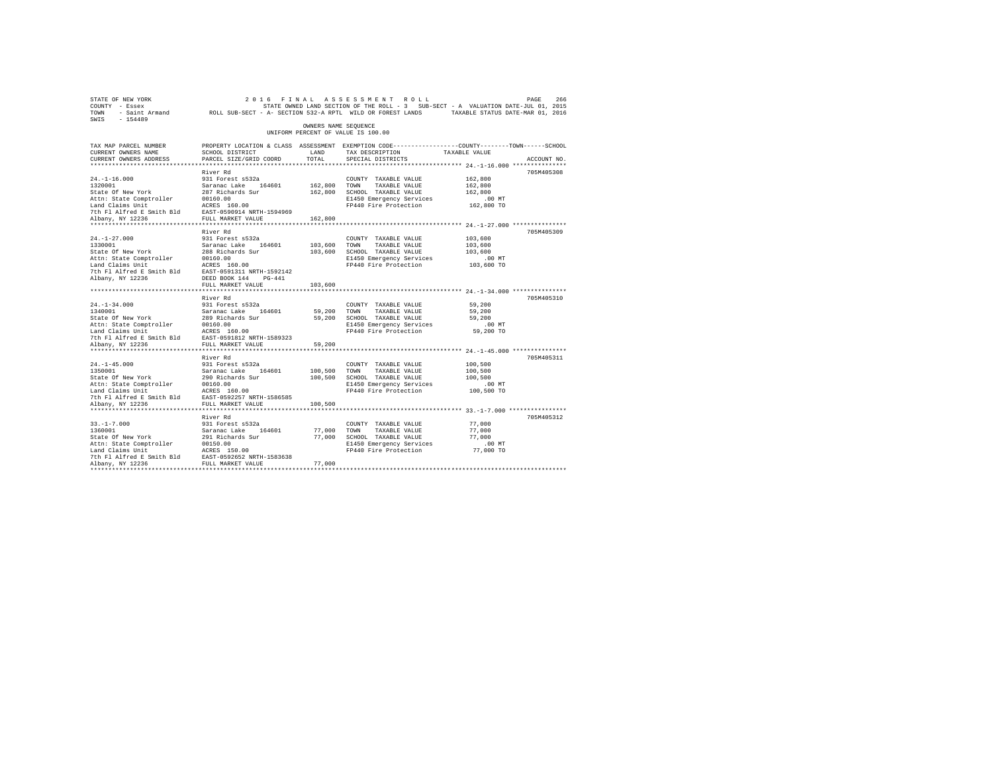| STATE OF NEW YORK<br>COUNTY - Essex<br>TOWN<br>SWIS - 154489                                                                                                               |                                                                                                                                                                               |                                    | 2016 FINAL ASSESSMENT ROLL<br>STATE OWNED LAND SECTION OF THE ROLL - 3 SUB-SECT - A VALUATION DATE-JUL 01, 2015<br>- Saint Armand MOLL SUB-SECT - A- SECTION 532-A RPTL WILD OR FOREST LANDS TAXABLE STATUS DATE-MAR 01, 2016 |                                                         | PAGE<br>266 |
|----------------------------------------------------------------------------------------------------------------------------------------------------------------------------|-------------------------------------------------------------------------------------------------------------------------------------------------------------------------------|------------------------------------|-------------------------------------------------------------------------------------------------------------------------------------------------------------------------------------------------------------------------------|---------------------------------------------------------|-------------|
|                                                                                                                                                                            |                                                                                                                                                                               | OWNERS NAME SEOUENCE               | UNIFORM PERCENT OF VALUE IS 100.00                                                                                                                                                                                            |                                                         |             |
| TAX MAP PARCEL NUMBER<br>CURRENT OWNERS NAME<br>CURRENT OWNERS ADDRESS<br>************************                                                                         | SCHOOL DISTRICT<br>PARCEL SIZE/GRID COORD                                                                                                                                     | LAND<br>TOTAL.                     | PROPERTY LOCATION & CLASS ASSESSMENT EXEMPTION CODE---------------COUNTY-------TOWN-----SCHOOL<br>TAX DESCRIPTION<br>SPECIAL DISTRICTS                                                                                        | TAXABLE VALUE                                           | ACCOUNT NO. |
|                                                                                                                                                                            | River Rd                                                                                                                                                                      |                                    |                                                                                                                                                                                                                               |                                                         | 705M405308  |
| $24. -1 - 16.000$<br>1320001<br>State Of New York<br>Attn: State Comptroller<br>Land Claims Unit<br>7th Fl Alfred E Smith Bld EAST-0590914 NRTH-1594969                    | 931 Forest s532a<br>Saranac Lake 164601<br>287 Richards Sur<br>00160.00<br>ACRES 160.00                                                                                       | 162,800 TOWN                       | COUNTY TAXABLE VALUE<br>TAXABLE VALUE<br>162,800 SCHOOL TAXABLE VALUE<br>E1450 Emergency Services<br>FP440 Fire Protection                                                                                                    | 162,800<br>162,800<br>162,800<br>.00 MT<br>162,800 TO   |             |
| Albany, NY 12236                                                                                                                                                           | FULL MARKET VALUE                                                                                                                                                             | 162,800                            |                                                                                                                                                                                                                               |                                                         |             |
| $24. -1 - 27.000$<br>1330001<br>State Of New York<br>Attn: State Comptroller<br>Land Claims Unit<br>7th Fl Alfred E Smith Bld<br>Albany, NY 12236                          | River Rd<br>931 Forest s532a<br>Saranac Lake 164601<br>288 Richards Sur<br>00160.00<br>ACRES 160.00<br>EAST-0591311 NRTH-1592142<br>DEED BOOK 144 PG-441<br>FULL MARKET VALUE | 103,600 TOWN<br>103,600<br>103,600 | COUNTY TAXABLE VALUE<br>TAXABLE VALUE<br>SCHOOL TAXABLE VALUE<br>E1450 Emergency Services<br>FP440 Fire Protection                                                                                                            | 103,600<br>103,600<br>103,600<br>$.00$ MT<br>103,600 TO | 705M405309  |
|                                                                                                                                                                            | *************************                                                                                                                                                     |                                    |                                                                                                                                                                                                                               |                                                         |             |
| $24. -1 - 34.000$<br>1340001<br>State Of New York<br>Attn: State Comptroller<br>Land Claims Unit<br>7th Fl Alfred E Smith Bld EAST-0591812 NRTH-1589323                    | River Rd<br>931 Forest s532a<br>Saranac Lake 164601<br>289 Richards Sur<br>00160.00<br>ACRES 160.00                                                                           | 59,200                             | COUNTY TAXABLE VALUE<br>TOWN<br>TAXABLE VALUE<br>59,200 SCHOOL TAXABLE VALUE<br>E1450 Emergency Services<br>FP440 Fire Protection                                                                                             | 59,200<br>59,200<br>59,200<br>$.00$ MT<br>59,200 TO     | 705M405310  |
| Albany, NY 12236                                                                                                                                                           | FULL MARKET VALUE                                                                                                                                                             | 59,200                             |                                                                                                                                                                                                                               |                                                         |             |
| $24. -1 - 45.000$<br>1350001<br>State Of New York<br>Attn: State Comptroller<br>Land Claims Unit<br>7th Fl Alfred E Smith Bld<br>Albany, NY 12236                          | River Rd<br>931 Forest s532a<br>Saranac Lake 164601<br>290 Richards Sur<br>00160.00<br>ACRES 160.00<br>EAST-0592257 NRTH-1586585<br>FULL MARKET VALUE                         | 100,500<br>100,500<br>100,500      | COUNTY TAXABLE VALUE<br>TOWN<br>TAXABLE VALUE<br>SCHOOL TAXABLE VALUE<br>E1450 Emergency Services<br>FP440 Fire Protection                                                                                                    | 100,500<br>100,500<br>100,500<br>$.00$ MT<br>100,500 TO | 705M405311  |
|                                                                                                                                                                            |                                                                                                                                                                               |                                    |                                                                                                                                                                                                                               |                                                         |             |
| $33. -1 - 7.000$<br>1360001<br>State Of New York<br>Attn: State Comptroller<br>Land Claims Unit<br>7th Fl Alfred E Smith Bld EAST-0592652 NRTH-1583638<br>Albany, NY 12236 | River Rd<br>931 Forest s532a<br>Saranac Lake 164601<br>291 Richards Sur<br>00150.00<br>ACRES 150.00<br>FULL MARKET VALUE                                                      | 77,000<br>77,000                   | COUNTY TAXABLE VALUE<br>TOWN<br>TAXABLE VALUE<br>77,000 SCHOOL TAXABLE VALUE<br>E1450 Emergency Services<br>FP440 Fire Protection                                                                                             | 77,000<br>77,000<br>77,000<br>.00 MT<br>77,000 TO       | 705M405312  |
|                                                                                                                                                                            |                                                                                                                                                                               |                                    |                                                                                                                                                                                                                               |                                                         |             |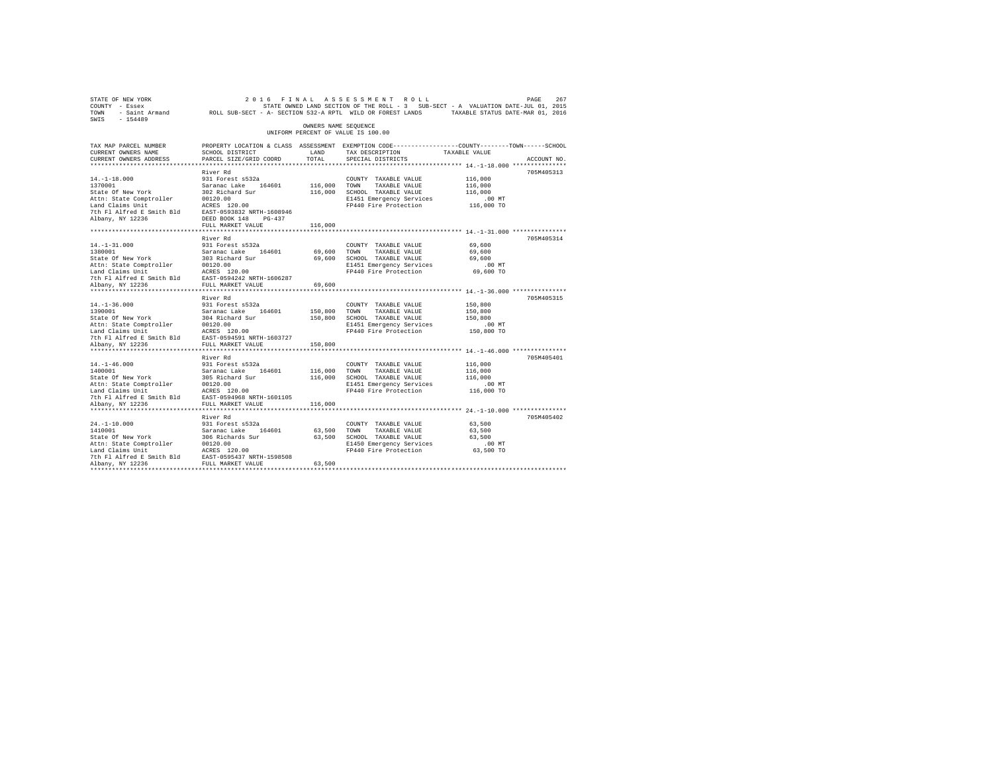| STATE OF NEW YORK                                                                                               |                                                                                                |                      | 2016 FINAL ASSESSMENT ROLL                                                        |               | PAGE<br>267 |
|-----------------------------------------------------------------------------------------------------------------|------------------------------------------------------------------------------------------------|----------------------|-----------------------------------------------------------------------------------|---------------|-------------|
| COUNTY - Essex                                                                                                  |                                                                                                |                      | STATE OWNED LAND SECTION OF THE ROLL - 3 SUB-SECT - A VALUATION DATE-JUL 01, 2015 |               |             |
| TOWN - Saint Armand MOLL SUB-SECT - A- SECTION 532-A RPTL WILD OR FOREST LANDS TAXABLE STATUS DATE-MAR 01, 2016 |                                                                                                |                      |                                                                                   |               |             |
| SWIS<br>$-154489$                                                                                               |                                                                                                |                      |                                                                                   |               |             |
|                                                                                                                 |                                                                                                | OWNERS NAME SEQUENCE |                                                                                   |               |             |
|                                                                                                                 |                                                                                                |                      | UNIFORM PERCENT OF VALUE IS 100.00                                                |               |             |
| TAX MAP PARCEL NUMBER                                                                                           | PROPERTY LOCATION & CLASS ASSESSMENT EXEMPTION CODE---------------COUNTY-------TOWN-----SCHOOL |                      |                                                                                   |               |             |
| CURRENT OWNERS NAME                                                                                             | SCHOOL DISTRICT                                                                                | LAND                 | TAX DESCRIPTION                                                                   | TAXABLE VALUE |             |
| CURRENT OWNERS ADDRESS                                                                                          | PARCEL SIZE/GRID COORD                                                                         | TOTAL                | SPECIAL DISTRICTS                                                                 |               | ACCOUNT NO. |
|                                                                                                                 |                                                                                                |                      |                                                                                   |               |             |
|                                                                                                                 | River Rd                                                                                       |                      |                                                                                   |               | 705M405313  |
| $14. -1 - 18.000$                                                                                               | 931 Forest s532a                                                                               |                      | COUNTY TAXABLE VALUE                                                              | 116,000       |             |
| 1370001                                                                                                         | Saranac Lake 164601                                                                            | 116,000              | TOWN<br>TAXABLE VALUE                                                             | 116,000       |             |
| State Of New York                                                                                               | 302 Richard Sur                                                                                | 116,000              | SCHOOL TAXABLE VALUE                                                              | 116,000       |             |
| Attn: State Comptroller                                                                                         | 00120.00                                                                                       |                      | E1451 Emergency Services                                                          | .00MT         |             |
| Land Claims Unit                                                                                                | ACRES 120.00                                                                                   |                      | FP440 Fire Protection                                                             | 116,000 TO    |             |
| 7th Fl Alfred E Smith Bld                                                                                       | EAST-0593832 NRTH-1608946                                                                      |                      |                                                                                   |               |             |
| Albany, NY 12236                                                                                                | DEED BOOK 148 PG-437                                                                           |                      |                                                                                   |               |             |
|                                                                                                                 | FULL MARKET VALUE                                                                              | 116,000              |                                                                                   |               |             |
|                                                                                                                 |                                                                                                |                      |                                                                                   |               |             |
|                                                                                                                 | River Rd                                                                                       |                      |                                                                                   |               | 705M405314  |
| $14. - 1 - 31.000$                                                                                              | 931 Forest s532a                                                                               |                      | COUNTY TAXABLE VALUE                                                              | 69,600        |             |
| 1380001                                                                                                         | Saranac Lake 164601                                                                            | 69,600               | TOWN<br>TAXABLE VALUE                                                             | 69,600        |             |
| State Of New York                                                                                               | 303 Richard Sur                                                                                | 69,600               | SCHOOL TAXABLE VALUE                                                              | 69,600        |             |
| Attn: State Comptroller                                                                                         | 00120.00                                                                                       |                      | E1451 Emergency Services                                                          | $.00$ MT      |             |
| Land Claims Unit                                                                                                | ACRES 120.00                                                                                   |                      | FP440 Fire Protection                                                             | 69,600 TO     |             |
| 7th Fl Alfred E Smith Bld                                                                                       | EAST-0594242 NRTH-1606287                                                                      |                      |                                                                                   |               |             |
| Albany, NY 12236                                                                                                | FULL MARKET VALUE                                                                              | 69,600               |                                                                                   |               |             |
|                                                                                                                 |                                                                                                |                      |                                                                                   |               |             |
|                                                                                                                 | River Rd                                                                                       |                      |                                                                                   |               | 705M405315  |
| $14. - 1 - 36.000$                                                                                              | 931 Forest s532a                                                                               |                      | COUNTY TAXABLE VALUE                                                              | 150,800       |             |
| 1390001                                                                                                         | Saranac Lake 164601                                                                            | 150,800              | TOWN<br>TAXABLE VALUE                                                             | 150,800       |             |
| State Of New York                                                                                               | 304 Richard Sur                                                                                | 150,800              | SCHOOL TAXABLE VALUE                                                              | 150,800       |             |
| Attn: State Comptroller                                                                                         | 00120.00                                                                                       |                      | E1451 Emergency Services                                                          | $.00$ MT      |             |
| Land Claims Unit                                                                                                | ACRES 120.00                                                                                   |                      | FP440 Fire Protection                                                             | 150,800 TO    |             |
| 7th Fl Alfred E Smith Bld                                                                                       | EAST-0594591 NRTH-1603727                                                                      |                      |                                                                                   |               |             |
| Albany, NY 12236                                                                                                | FULL MARKET VALUE                                                                              | 150,800              |                                                                                   |               |             |
|                                                                                                                 |                                                                                                |                      |                                                                                   |               |             |
|                                                                                                                 | River Rd                                                                                       |                      |                                                                                   |               | 705M405401  |
| $14. - 1 - 46.000$                                                                                              | 931 Forest s532a                                                                               |                      | COUNTY TAXABLE VALUE                                                              | 116,000       |             |
| 1400001                                                                                                         | Saranac Lake 164601                                                                            | 116,000              | TOWN<br>TAXABLE VALUE                                                             | 116,000       |             |
| State Of New York                                                                                               | 305 Richard Sur                                                                                | 116,000              | SCHOOL TAXABLE VALUE                                                              | 116,000       |             |
| Attn: State Comptroller                                                                                         | 00120.00                                                                                       |                      | E1451 Emergency Services                                                          | .00 MT        |             |
| Land Claims Unit                                                                                                | ACRES 120.00                                                                                   |                      | FP440 Fire Protection                                                             | 116,000 TO    |             |
| 7th Fl Alfred E Smith Bld                                                                                       | EAST-0594968 NRTH-1601105                                                                      |                      |                                                                                   |               |             |
| Albany, NY 12236                                                                                                | FULL MARKET VALUE                                                                              | 116,000              |                                                                                   |               |             |
|                                                                                                                 |                                                                                                |                      |                                                                                   |               |             |
|                                                                                                                 | River Rd                                                                                       |                      |                                                                                   |               | 705M405402  |
| $24. -1 - 10.000$                                                                                               | 931 Forest s532a                                                                               |                      | COUNTY TAXABLE VALUE                                                              | 63,500        |             |
| 1410001                                                                                                         | Saranac Lake<br>164601                                                                         | 63,500               | TOWN<br>TAXABLE VALUE                                                             | 63,500        |             |
| State Of New York                                                                                               | 306 Richards Sur                                                                               |                      | 63,500 SCHOOL TAXABLE VALUE                                                       | 63,500        |             |
| Attn: State Comptroller                                                                                         | 00120.00                                                                                       |                      | E1450 Emergency Services                                                          | .00 MT        |             |
| Land Claims Unit                                                                                                | ACRES 120.00                                                                                   |                      | FP440 Fire Protection                                                             | 63,500 TO     |             |
| 7th Fl Alfred E Smith Bld                                                                                       | EAST-0595437 NRTH-1598508                                                                      |                      |                                                                                   |               |             |
| Albany, NY 12236                                                                                                | FULL MARKET VALUE                                                                              | 63,500               |                                                                                   |               |             |
| *************                                                                                                   |                                                                                                |                      |                                                                                   |               |             |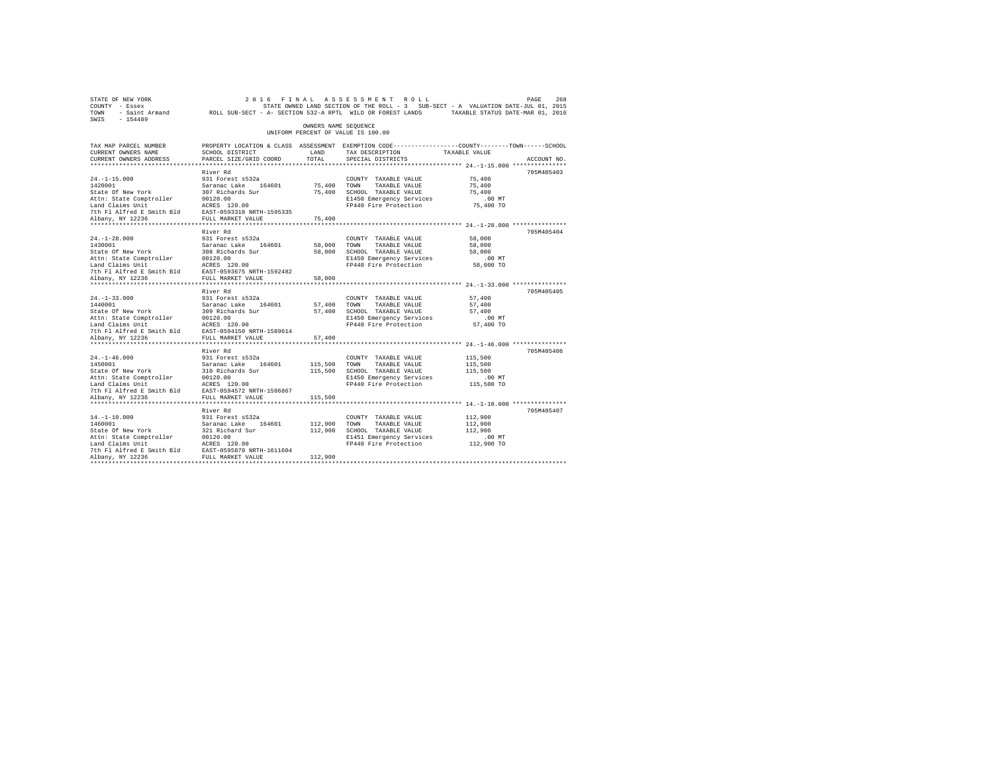|                                                                                                                                                                                                                                                                               | OWNERS NAME SEQUENCE                                                                                                                                                                                                 |                                                                                                                                                                                                       |                                                                                                                                                                                                                                                                    |                                                                                                                                                                                                                                        |
|-------------------------------------------------------------------------------------------------------------------------------------------------------------------------------------------------------------------------------------------------------------------------------|----------------------------------------------------------------------------------------------------------------------------------------------------------------------------------------------------------------------|-------------------------------------------------------------------------------------------------------------------------------------------------------------------------------------------------------|--------------------------------------------------------------------------------------------------------------------------------------------------------------------------------------------------------------------------------------------------------------------|----------------------------------------------------------------------------------------------------------------------------------------------------------------------------------------------------------------------------------------|
|                                                                                                                                                                                                                                                                               |                                                                                                                                                                                                                      | UNIFORM PERCENT OF VALUE IS 100.00                                                                                                                                                                    |                                                                                                                                                                                                                                                                    |                                                                                                                                                                                                                                        |
| PROPERTY LOCATION & CLASS ASSESSMENT EXEMPTION CODE----------------COUNTY-------TOWN------SCHOOL<br>SCHOOL DISTRICT<br>PARCEL SIZE/GRID COORD                                                                                                                                 | LAND<br>TOTAL                                                                                                                                                                                                        | TAX DESCRIPTION<br>SPECIAL DISTRICTS                                                                                                                                                                  | TAXABLE VALUE                                                                                                                                                                                                                                                      | ACCOUNT NO.                                                                                                                                                                                                                            |
|                                                                                                                                                                                                                                                                               |                                                                                                                                                                                                                      |                                                                                                                                                                                                       |                                                                                                                                                                                                                                                                    |                                                                                                                                                                                                                                        |
| 931 Forest s532a                                                                                                                                                                                                                                                              |                                                                                                                                                                                                                      | COUNTY TAXABLE VALUE<br>TAXABLE VALUE                                                                                                                                                                 | 75,400<br>75,400<br>75,400<br>$.00$ MT                                                                                                                                                                                                                             | 705M405403                                                                                                                                                                                                                             |
|                                                                                                                                                                                                                                                                               | 75,400                                                                                                                                                                                                               |                                                                                                                                                                                                       |                                                                                                                                                                                                                                                                    |                                                                                                                                                                                                                                        |
| River Rd<br>931 Forest s532a                                                                                                                                                                                                                                                  |                                                                                                                                                                                                                      | COUNTY TAXABLE VALUE<br>TAXABLE VALUE<br>E1450 Emergency Services                                                                                                                                     | 58,000<br>58,000<br>58,000<br>.00MT                                                                                                                                                                                                                                | 705M405404                                                                                                                                                                                                                             |
|                                                                                                                                                                                                                                                                               |                                                                                                                                                                                                                      |                                                                                                                                                                                                       |                                                                                                                                                                                                                                                                    |                                                                                                                                                                                                                                        |
| River Rd<br>931 Forest s532a                                                                                                                                                                                                                                                  |                                                                                                                                                                                                                      | COUNTY TAXABLE VALUE<br>TAXABLE VALUE<br>E1450 Emergency Services                                                                                                                                     | 57,400<br>57,400<br>57,400<br>$.00$ MT                                                                                                                                                                                                                             | 705M405405                                                                                                                                                                                                                             |
| FULL MARKET VALUE<br>************************                                                                                                                                                                                                                                 | 57,400                                                                                                                                                                                                               |                                                                                                                                                                                                       |                                                                                                                                                                                                                                                                    |                                                                                                                                                                                                                                        |
| River Rd<br>931 Forest s532a<br>Saranac Lake 164601<br>310 Richards Sur                                                                                                                                                                                                       |                                                                                                                                                                                                                      | COUNTY TAXABLE VALUE<br>TAXABLE VALUE<br>E1450 Emergency Services                                                                                                                                     | 115,500<br>115,500<br>115,500<br>$.00$ MT<br>115,500 TO                                                                                                                                                                                                            | 705M405406                                                                                                                                                                                                                             |
|                                                                                                                                                                                                                                                                               |                                                                                                                                                                                                                      |                                                                                                                                                                                                       |                                                                                                                                                                                                                                                                    |                                                                                                                                                                                                                                        |
| River Rd<br>931 Forest s532a<br>Saranac Lake 164601<br>321 Richard Sur<br>Attn: State Comptroller 00120.00<br>Land Claims Unit ACRES 120.00<br>The Fl Alfred E Smith Bld EAST-0595870 NRTH-1611604<br>7th Fl Alfred E Smith Bld EAST-0595870 NRTH-1611604<br>Albany, NY 12236 |                                                                                                                                                                                                                      | COUNTY TAXABLE VALUE<br>TAXABLE VALUE<br>E1451 Emergency Services                                                                                                                                     | 112,900<br>112,900<br>112,900<br>$.00$ MT                                                                                                                                                                                                                          | 705M405407                                                                                                                                                                                                                             |
|                                                                                                                                                                                                                                                                               | River Rd<br>Saranac Lake 164601<br>307 Richards Sur<br>00120.00<br>ACRES 120.00<br>Land Claims Unit<br>The Fl Alfred E Smith Bld BAST-0593310 NRTH-1595335<br>Albany NY 12236 FULL MARKET VALUE<br>FULL MARKET VALUE | 58,000<br>1440001 Saranac Lake<br>State Of New York 309 Richards Sur<br>Attn: State Comptroller 00120.00<br>Land Claims Unit<br>The Plating Smith Bld EAST-0594150 NRTH-1589614<br>115,500<br>112,900 | 75,400 TOWN<br>75,400 SCHOOL TAXABLE VALUE<br>E1450 Emergency Services<br>58,000 TOWN<br>58,000 SCHOOL TAXABLE VALUE<br>57,400 TOWN<br>57,400 SCHOOL TAXABLE VALUE<br>115,500 TOWN<br>115,500 SCHOOL TAXABLE VALUE<br>112,900 TOWN<br>112,900 SCHOOL TAXABLE VALUE | 75,400 TO<br>FP440 Fire Protection<br>FP440 Fire Protection 58,000 TO<br>57,400 TO<br>FP440 Fire Protection<br>***************************** 24.-1-46.000 ***************<br>FP440 Fire Protection<br>FP440 Fire Protection 112,900 TO |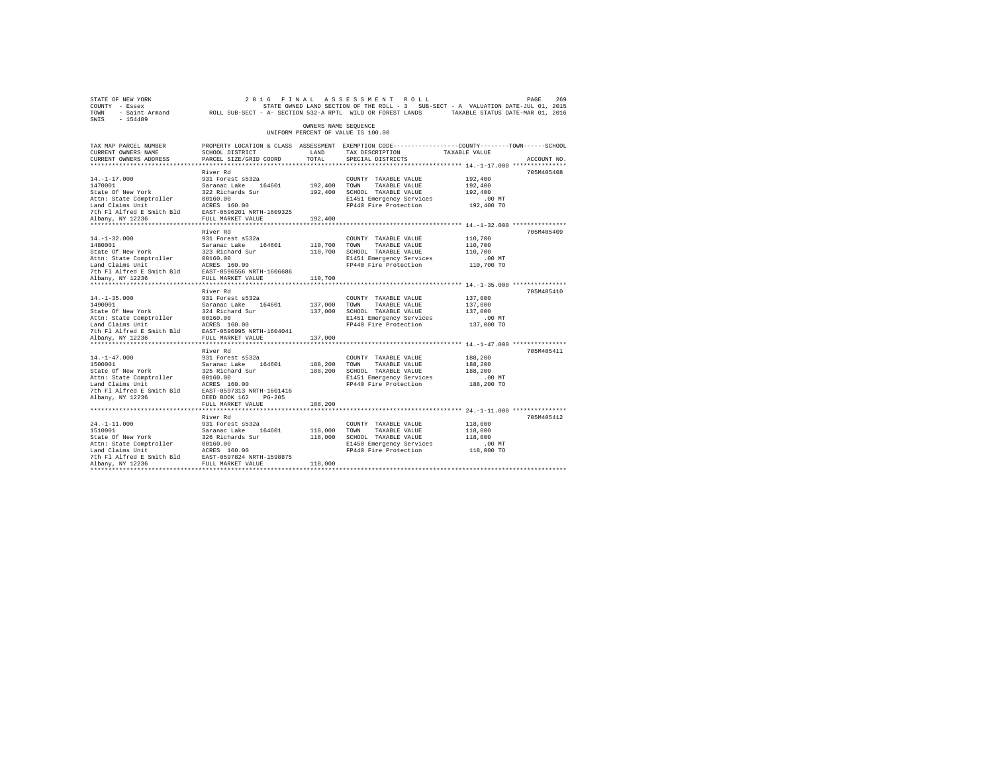| STATE OF NEW YORK<br>COUNTY - Essex<br>TOWN<br>$-154489$<br>SWIS                                                                                   | - Saint Armand ROLL SUB-SECT - A- SECTION 532-A RPTL WILD OR FOREST LANDS                                                                                       |                               | 2016 FINAL ASSESSMENT ROLL<br>STATE OWNED LAND SECTION OF THE ROLL - 3 SUB-SECT - A VALUATION DATE-JUL 01, 2015                        | TAXABLE STATUS DATE-MAR 01, 2016                        | 269<br>PAGE |
|----------------------------------------------------------------------------------------------------------------------------------------------------|-----------------------------------------------------------------------------------------------------------------------------------------------------------------|-------------------------------|----------------------------------------------------------------------------------------------------------------------------------------|---------------------------------------------------------|-------------|
|                                                                                                                                                    |                                                                                                                                                                 | OWNERS NAME SEOUENCE          | UNIFORM PERCENT OF VALUE IS 100.00                                                                                                     |                                                         |             |
| TAX MAP PARCEL NUMBER<br>CURRENT OWNERS NAME<br>CURRENT OWNERS ADDRESS                                                                             | SCHOOL DISTRICT<br>PARCEL SIZE/GRID COORD                                                                                                                       | LAND<br>TOTAL.                | PROPERTY LOCATION & CLASS ASSESSMENT EXEMPTION CODE---------------COUNTY-------TOWN-----SCHOOL<br>TAX DESCRIPTION<br>SPECIAL DISTRICTS | TAXABLE VALUE                                           | ACCOUNT NO. |
|                                                                                                                                                    |                                                                                                                                                                 |                               |                                                                                                                                        |                                                         |             |
| $14. -1 - 17.000$<br>1470001<br>State Of New York<br>Attn: State Comptroller<br>Land Claims Unit                                                   | River Rd<br>931 Forest s532a<br>Saranac Lake 164601<br>322 Richards Sur<br>00160.00<br>ACRES 160.00                                                             | 192,400<br>192,400            | COUNTY TAXABLE VALUE<br>TOWN<br>TAXABLE VALUE<br>SCHOOL TAXABLE VALUE<br>E1451 Emergency Services<br>FP440 Fire Protection             | 192,400<br>192,400<br>192,400<br>.00MT<br>192,400 TO    | 705M405408  |
| 7th Fl Alfred E Smith Bld<br>Albany, NY 12236                                                                                                      | EAST-0596201 NRTH-1609325<br>FULL MARKET VALUE                                                                                                                  | 192,400                       |                                                                                                                                        |                                                         |             |
| $14. - 1 - 32.000$<br>1480001<br>State Of New York<br>Attn: State Comptroller<br>Land Claims Unit<br>7th Fl Alfred E Smith Bld<br>Albany, NY 12236 | River Rd<br>931 Forest s532a<br>Saranac Lake 164601<br>323 Richard Sur<br>00160.00<br>ACRES 160.00<br>EAST-0596556 NRTH-1606686<br>FULL MARKET VALUE            | 110,700<br>110,700<br>110,700 | COUNTY TAXABLE VALUE<br>TOWN<br>TAXABLE VALUE<br>SCHOOL TAXABLE VALUE<br>E1451 Emergency Services<br>FP440 Fire Protection             | 110,700<br>110,700<br>110,700<br>.00MT<br>110,700 TO    | 705M405409  |
| ***********************                                                                                                                            | *********************                                                                                                                                           |                               | **************************** 14.-1-35.000 ***************                                                                              |                                                         |             |
| $14. -1 - 35.000$<br>1490001<br>State Of New York<br>Attn: State Comptroller<br>Land Claims Unit<br>7th Fl Alfred E Smith Bld<br>Albany, NY 12236  | River Rd<br>931 Forest s532a<br>Saranac Lake<br>164601<br>324 Richard Sur<br>00160.00<br>ACRES 160.00<br>EAST-0596995 NRTH-1604041<br>FULL MARKET VALUE         | 137,000<br>137,000<br>137,000 | COUNTY TAXABLE VALUE<br>TOWN<br>TAXABLE VALUE<br>SCHOOL TAXABLE VALUE<br>E1451 Emergency Services<br>FP440 Fire Protection             | 137,000<br>137,000<br>137,000<br>$.00$ MT<br>137,000 TO | 705M405410  |
| **********************                                                                                                                             | ********************                                                                                                                                            |                               |                                                                                                                                        |                                                         |             |
| $14. - 1 - 47.000$<br>1500001<br>State Of New York<br>Attn: State Comptroller<br>Land Claims Unit<br>7th Fl Alfred E Smith Bld<br>Albany, NY 12236 | River Rd<br>931 Forest s532a<br>Saranac Lake<br>164601<br>325 Richard Sur<br>00160.00<br>ACRES 160.00<br>EAST-0597313 NRTH-1601416<br>DEED BOOK 162<br>$PG-205$ | 188,200<br>188,200            | COUNTY TAXABLE VALUE<br>TAXABLE VALUE<br>TOWN<br>SCHOOL TAXABLE VALUE<br>E1451 Emergency Services<br>FP440 Fire Protection             | 188,200<br>188,200<br>188,200<br>.00 MT<br>188,200 TO   | 705M405411  |
|                                                                                                                                                    | FULL MARKET VALUE                                                                                                                                               | 188,200                       |                                                                                                                                        |                                                         |             |
| $24. -1 - 11.000$<br>1510001<br>State Of New York<br>Attn: State Comptroller<br>Land Claims Unit<br>7th Fl Alfred E Smith Bld                      | River Rd<br>931 Forest s532a<br>Saranac Lake<br>164601<br>326 Richards Sur<br>00160.00<br>ACRES 160.00<br>EAST-0597824 NRTH-1598875                             | 118,000<br>118,000            | COUNTY TAXABLE VALUE<br>TOWN<br>TAXABLE VALUE<br>SCHOOL TAXABLE VALUE<br>E1450 Emergency Services<br>FP440 Fire Protection             | 118,000<br>118,000<br>118,000<br>.00 MT<br>118,000 TO   | 705M405412  |
| Albany, NY 12236                                                                                                                                   | FULL MARKET VALUE                                                                                                                                               | 118,000                       |                                                                                                                                        |                                                         |             |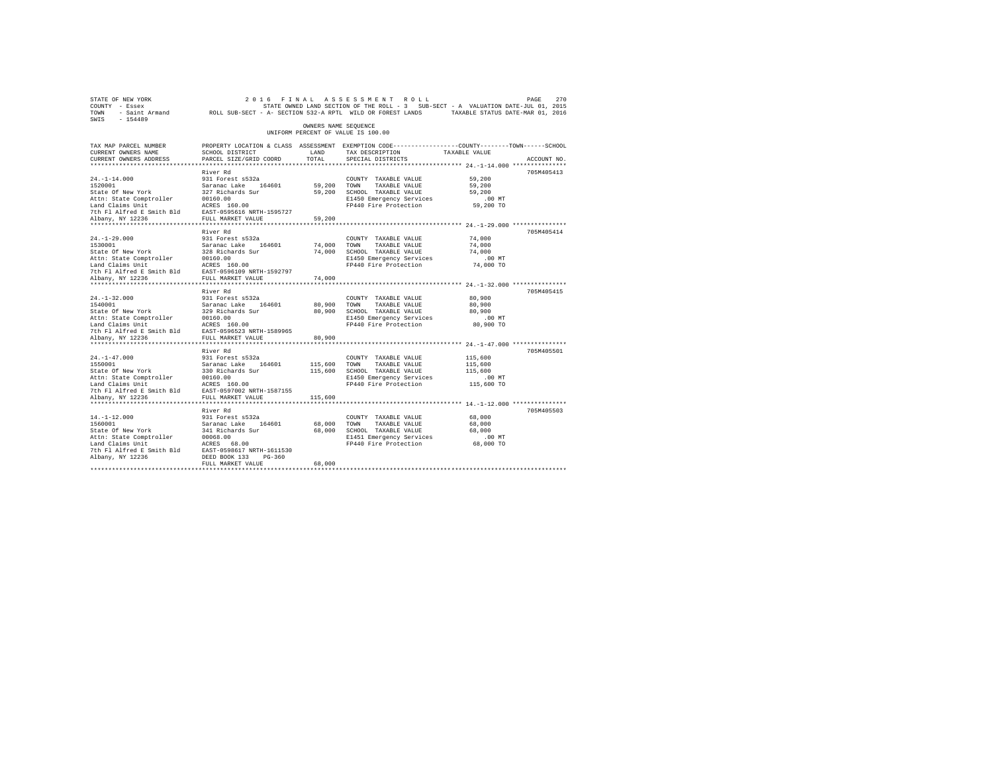| STATE OF NEW YORK<br>COUNTY - Essex<br>TOWN<br>$-154489$<br>SWIS | - Saint Armand MCLL SUB-SECT - A- SECTION 532-A RPTL WILD OR FOREST LANDS |                      | 2016 FINAL ASSESSMENT ROLL<br>STATE OWNED LAND SECTION OF THE ROLL - 3 SUB-SECT - A VALUATION DATE-JUL 01, 2015 | TAXABLE STATUS DATE-MAR 01, 2016        | 270<br>PAGE |
|------------------------------------------------------------------|---------------------------------------------------------------------------|----------------------|-----------------------------------------------------------------------------------------------------------------|-----------------------------------------|-------------|
|                                                                  |                                                                           | OWNERS NAME SEOUENCE | UNIFORM PERCENT OF VALUE IS 100.00                                                                              |                                         |             |
| TAX MAP PARCEL NUMBER                                            |                                                                           |                      | PROPERTY LOCATION & CLASS ASSESSMENT EXEMPTION CODE----------------COUNTY-------TOWN-----SCHOOL                 |                                         |             |
| CURRENT OWNERS NAME                                              | SCHOOL DISTRICT                                                           | LAND                 | TAX DESCRIPTION                                                                                                 | TAXABLE VALUE                           |             |
| CURRENT OWNERS ADDRESS                                           | PARCEL SIZE/GRID COORD                                                    | TOTAL.               | SPECIAL DISTRICTS                                                                                               | ********* 24.-1-14.000 **************** | ACCOUNT NO. |
|                                                                  | River Rd                                                                  |                      |                                                                                                                 |                                         | 705M405413  |
| $24. -1 - 14.000$                                                | 931 Forest s532a                                                          |                      | COUNTY TAXABLE VALUE                                                                                            | 59,200                                  |             |
| 1520001                                                          | Saranac Lake 164601                                                       | 59,200               | TOWN<br>TAXABLE VALUE                                                                                           | 59,200                                  |             |
| State Of New York                                                | 327 Richards Sur                                                          | 59,200               | SCHOOL TAXABLE VALUE                                                                                            | 59,200                                  |             |
| Attn: State Comptroller                                          | 00160.00                                                                  |                      | E1450 Emergency Services                                                                                        | $.00$ MT                                |             |
| Land Claims Unit                                                 | ACRES 160.00                                                              |                      | FP440 Fire Protection                                                                                           | 59,200 TO                               |             |
| 7th Fl Alfred E Smith Bld                                        | EAST-0595616 NRTH-1595727                                                 |                      |                                                                                                                 |                                         |             |
| Albany, NY 12236                                                 | FULL MARKET VALUE                                                         | 59,200               |                                                                                                                 |                                         |             |
|                                                                  |                                                                           |                      |                                                                                                                 |                                         |             |
|                                                                  | River Rd                                                                  |                      |                                                                                                                 |                                         | 705M405414  |
| $24. -1 - 29.000$                                                | 931 Forest s532a                                                          |                      | COUNTY TAXABLE VALUE                                                                                            | 74,000                                  |             |
| 1530001                                                          | Saranac Lake 164601                                                       | 74,000               | TOWN<br>TAXABLE VALUE                                                                                           | 74,000                                  |             |
| State Of New York                                                | 328 Richards Sur                                                          | 74,000               | SCHOOL TAXABLE VALUE                                                                                            | 74,000                                  |             |
| Attn: State Comptroller                                          | 00160.00                                                                  |                      | E1450 Emergency Services                                                                                        | .00MT                                   |             |
| Land Claims Unit                                                 | ACRES 160.00                                                              |                      | FP440 Fire Protection                                                                                           | 74,000 TO                               |             |
| 7th Fl Alfred E Smith Bld                                        | EAST-0596109 NRTH-1592797                                                 |                      |                                                                                                                 |                                         |             |
| Albany, NY 12236                                                 | FULL MARKET VALUE                                                         | 74,000               |                                                                                                                 |                                         |             |
| ***********************                                          | *********************                                                     |                      |                                                                                                                 |                                         |             |
|                                                                  | River Rd                                                                  |                      |                                                                                                                 |                                         | 705M405415  |
| $24. -1 - 32.000$<br>1540001                                     | 931 Forest s532a<br>Saranac Lake                                          |                      | COUNTY TAXABLE VALUE                                                                                            | 80,900                                  |             |
| State Of New York                                                | 164601<br>329 Richards Sur                                                | 80,900<br>80,900     | TOWN<br>TAXABLE VALUE<br>SCHOOL TAXABLE VALUE                                                                   | 80,900<br>80,900                        |             |
| Attn: State Comptroller                                          | 00160.00                                                                  |                      | E1450 Emergency Services                                                                                        | $.00$ MT                                |             |
| Land Claims Unit                                                 | ACRES 160.00                                                              |                      | FP440 Fire Protection                                                                                           | 80,900 TO                               |             |
| 7th Fl Alfred E Smith Bld                                        | EAST-0596523 NRTH-1589965                                                 |                      |                                                                                                                 |                                         |             |
| Albany, NY 12236                                                 | FULL MARKET VALUE                                                         | 80,900               |                                                                                                                 |                                         |             |
| ********************                                             | ********************                                                      |                      |                                                                                                                 |                                         |             |
|                                                                  | River Rd                                                                  |                      |                                                                                                                 |                                         | 705M405501  |
| $24. -1 - 47.000$                                                | 931 Forest s532a                                                          |                      | COUNTY TAXABLE VALUE                                                                                            | 115,600                                 |             |
| 1550001                                                          | Saranac Lake<br>164601                                                    | 115,600              | TAXABLE VALUE<br>TOWN                                                                                           | 115,600                                 |             |
| State Of New York                                                | 330 Richards Sur                                                          | 115,600              | SCHOOL TAXABLE VALUE                                                                                            | 115,600                                 |             |
| Attn: State Comptroller                                          | 00160.00                                                                  |                      | E1450 Emergency Services                                                                                        | $.00$ MT                                |             |
| Land Claims Unit                                                 | ACRES 160.00                                                              |                      | FP440 Fire Protection                                                                                           | 115,600 TO                              |             |
| 7th Fl Alfred E Smith Bld                                        | EAST-0597002 NRTH-1587155                                                 |                      |                                                                                                                 |                                         |             |
| Albany, NY 12236                                                 | FULL MARKET VALUE                                                         | 115,600              |                                                                                                                 |                                         |             |
|                                                                  |                                                                           |                      |                                                                                                                 |                                         |             |
|                                                                  | River Rd                                                                  |                      |                                                                                                                 |                                         | 705M405503  |
| $14. -1 - 12.000$                                                | 931 Forest s532a                                                          |                      | COUNTY TAXABLE VALUE                                                                                            | 68,000                                  |             |
| 1560001                                                          | Saranac Lake<br>164601                                                    | 68,000               | TOWN<br>TAXABLE VALUE                                                                                           | 68,000                                  |             |
| State Of New York                                                | 341 Richards Sur                                                          | 68,000               | SCHOOL TAXABLE VALUE                                                                                            | 68,000                                  |             |
| Attn: State Comptroller                                          | 00068.00                                                                  |                      | E1451 Emergency Services                                                                                        | $.00$ MT                                |             |
| Land Claims Unit                                                 | ACRES 68.00                                                               |                      | FP440 Fire Protection                                                                                           | 68,000 TO                               |             |
| 7th Fl Alfred E Smith Bld                                        | EAST-0598617 NRTH-1611530                                                 |                      |                                                                                                                 |                                         |             |
| Albany, NY 12236                                                 | DEED BOOK 133<br>$PG-360$<br>FULL MARKET VALUE                            | 68,000               |                                                                                                                 |                                         |             |
|                                                                  |                                                                           |                      |                                                                                                                 |                                         |             |
|                                                                  |                                                                           |                      |                                                                                                                 |                                         |             |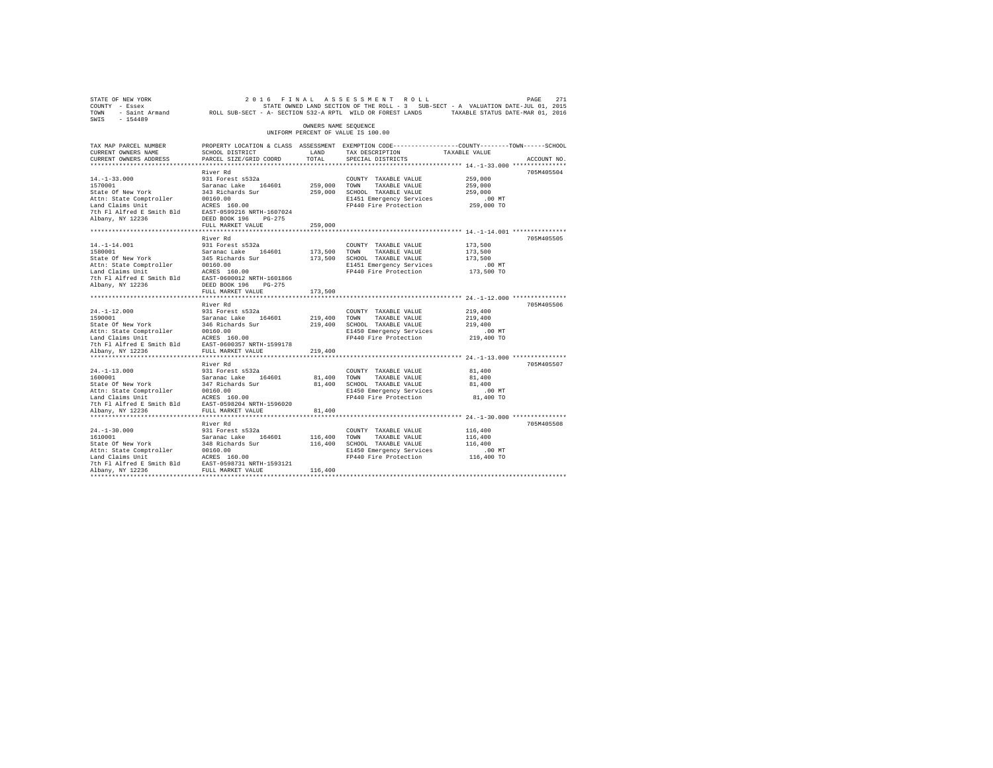| STATE OF NEW YORK<br>COUNTY - Essex<br>TOWN - Saint Armand ROLL SUB-SECT - A- SECTION 532-A RPTL WILD OR FOREST LANDS TAXABLE STATUS DATE-MAR 01, 2016<br>SWIS - 154489            |                                                                                                                                               |                      | 2016 FINAL ASSESSMENT ROLL<br>STATE OWNED LAND SECTION OF THE ROLL - 3 SUB-SECT - A VALUATION DATE-JUL 01, 2015 |               | 271<br>PAGE |
|------------------------------------------------------------------------------------------------------------------------------------------------------------------------------------|-----------------------------------------------------------------------------------------------------------------------------------------------|----------------------|-----------------------------------------------------------------------------------------------------------------|---------------|-------------|
|                                                                                                                                                                                    |                                                                                                                                               | OWNERS NAME SEQUENCE | UNIFORM PERCENT OF VALUE IS 100.00                                                                              |               |             |
| TAX MAP PARCEL NUMBER<br>CURRENT OWNERS NAME<br>CURRENT OWNERS ADDRESS                                                                                                             | PROPERTY LOCATION & CLASS ASSESSMENT EXEMPTION CODE----------------COUNTY--------TOWN-----SCHOOL<br>SCHOOL DISTRICT<br>PARCEL SIZE/GRID COORD | LAND<br>TOTAL        | TAX DESCRIPTION<br>SPECIAL DISTRICTS                                                                            | TAXABLE VALUE | ACCOUNT NO. |
|                                                                                                                                                                                    | River Rd                                                                                                                                      |                      |                                                                                                                 |               | 705M405504  |
| $14. -1 - 33.000$                                                                                                                                                                  | 931 Forest s532a                                                                                                                              |                      | COUNTY TAXABLE VALUE                                                                                            | 259,000       |             |
| 1570001                                                                                                                                                                            | Saranac Lake 164601                                                                                                                           | 259,000 TOWN         | TAXABLE VALUE                                                                                                   | 259,000       |             |
| State Of New York                                                                                                                                                                  | 343 Richards Sur                                                                                                                              |                      | 259,000 SCHOOL TAXABLE VALUE                                                                                    | 259,000       |             |
|                                                                                                                                                                                    |                                                                                                                                               |                      | E1451 Emergency Services                                                                                        | $.00$ MT      |             |
| Albany, NY 12236                                                                                                                                                                   | DEED BOOK 196 PG-275                                                                                                                          |                      | FP440 Fire Protection                                                                                           | 259,000 TO    |             |
|                                                                                                                                                                                    | FULL MARKET VALUE                                                                                                                             | 259,000              |                                                                                                                 |               |             |
|                                                                                                                                                                                    | River Rd                                                                                                                                      |                      |                                                                                                                 |               | 705M405505  |
|                                                                                                                                                                                    | 931 Forest s532a                                                                                                                              |                      | COUNTY TAXABLE VALUE                                                                                            | 173,500       |             |
| 14.-1-14.001<br>1580001<br>State Of New York                                                                                                                                       |                                                                                                                                               | 173,500 TOWN         | TAXABLE VALUE                                                                                                   | 173,500       |             |
|                                                                                                                                                                                    | Saranac Lake 164601<br>345 Richards Sur                                                                                                       |                      | 173,500 SCHOOL TAXABLE VALUE                                                                                    | 173,500       |             |
|                                                                                                                                                                                    |                                                                                                                                               |                      | E1451 Emergency Services                                                                                        | $.00$ MT      |             |
|                                                                                                                                                                                    |                                                                                                                                               |                      | FP440 Fire Protection 173,500 TO                                                                                |               |             |
| Nature Compiler 1997<br>Land Claims Unit<br>Land Claims Unit<br>2016 Pl Alfred E Smith Bld<br>2016 Pl Alfred E Smith Bld<br>2021 DEED BOOK 196 PG-275<br>2021 DEED BOOK 196 PG-275 | FULL MARKET VALUE                                                                                                                             | 173,500              |                                                                                                                 |               |             |
|                                                                                                                                                                                    |                                                                                                                                               |                      |                                                                                                                 |               |             |
|                                                                                                                                                                                    | River Rd                                                                                                                                      |                      |                                                                                                                 |               | 705M405506  |
| $24. -1 - 12.000$                                                                                                                                                                  | 931 Forest s532a                                                                                                                              |                      | COUNTY TAXABLE VALUE                                                                                            | 219,400       |             |
| 1590001                                                                                                                                                                            | Saranac Lake 164601                                                                                                                           | 219,400              | TOWN<br>TAXABLE VALUE                                                                                           | 219,400       |             |
| State Of New York                                                                                                                                                                  | 346 Richards Sur                                                                                                                              | 219,400              | SCHOOL TAXABLE VALUE                                                                                            | 219,400       |             |
| Attn: State Comptroller 00160.00<br>Land Claims Unit ACRES 160.00<br>7th Fl Alfred E Smith Bld EAST-0600357 NRTH-1599178                                                           |                                                                                                                                               |                      | E1450 Emergency Services                                                                                        | $.00$ MT      |             |
|                                                                                                                                                                                    |                                                                                                                                               |                      | FP440 Fire Protection                                                                                           | 219,400 TO    |             |
|                                                                                                                                                                                    |                                                                                                                                               |                      |                                                                                                                 |               |             |
| Albany, NY 12236                                                                                                                                                                   | FULL MARKET VALUE                                                                                                                             | 219,400              |                                                                                                                 |               |             |
|                                                                                                                                                                                    | River Rd                                                                                                                                      |                      |                                                                                                                 |               | 705M405507  |
| $24. -1 - 13.000$                                                                                                                                                                  | 931 Forest s532a                                                                                                                              |                      | COUNTY TAXABLE VALUE                                                                                            | 81,400        |             |
| 1600001                                                                                                                                                                            | Saranac Lake 164601                                                                                                                           | 81,400 TOWN          | TAXABLE VALUE                                                                                                   | 81,400        |             |
| State Of New York 347 Richards Sur<br>Attn: State Comptroller 00160.00<br>Land Claims Unit ACRES 160.00                                                                            |                                                                                                                                               | 81,400               | SCHOOL TAXABLE VALUE                                                                                            | 81,400        |             |
|                                                                                                                                                                                    |                                                                                                                                               |                      | E1450 Emergency Services                                                                                        | $.00$ MT      |             |
|                                                                                                                                                                                    |                                                                                                                                               |                      | FP440 Fire Protection                                                                                           | 81,400 TO     |             |
|                                                                                                                                                                                    |                                                                                                                                               |                      |                                                                                                                 |               |             |
| Albany, NY 12236                                                                                                                                                                   | FULL MARKET VALUE                                                                                                                             | 81,400               |                                                                                                                 |               |             |
|                                                                                                                                                                                    | River Rd                                                                                                                                      |                      |                                                                                                                 |               | 705M405508  |
|                                                                                                                                                                                    | 931 Forest s532a                                                                                                                              |                      | COUNTY TAXABLE VALUE                                                                                            | 116,400       |             |
|                                                                                                                                                                                    |                                                                                                                                               | 116,400 TOWN         | TAXABLE VALUE                                                                                                   | 116,400       |             |
| 24.-1-30.000<br>1610001<br>State Of New York                                                                                                                                       | 931 FOLESL 8932a<br>Saranac Lake 164601<br>348 Richards Sur                                                                                   | 116,400              | SCHOOL TAXABLE VALUE                                                                                            | 116,400       |             |
|                                                                                                                                                                                    |                                                                                                                                               |                      | E1450 Emergency Services                                                                                        | $.00$ MT      |             |
|                                                                                                                                                                                    |                                                                                                                                               |                      | FP440 Fire Protection                                                                                           | 116,400 TO    |             |
|                                                                                                                                                                                    |                                                                                                                                               |                      |                                                                                                                 |               |             |
|                                                                                                                                                                                    |                                                                                                                                               | 116,400              |                                                                                                                 |               |             |
| *************************                                                                                                                                                          |                                                                                                                                               |                      |                                                                                                                 |               |             |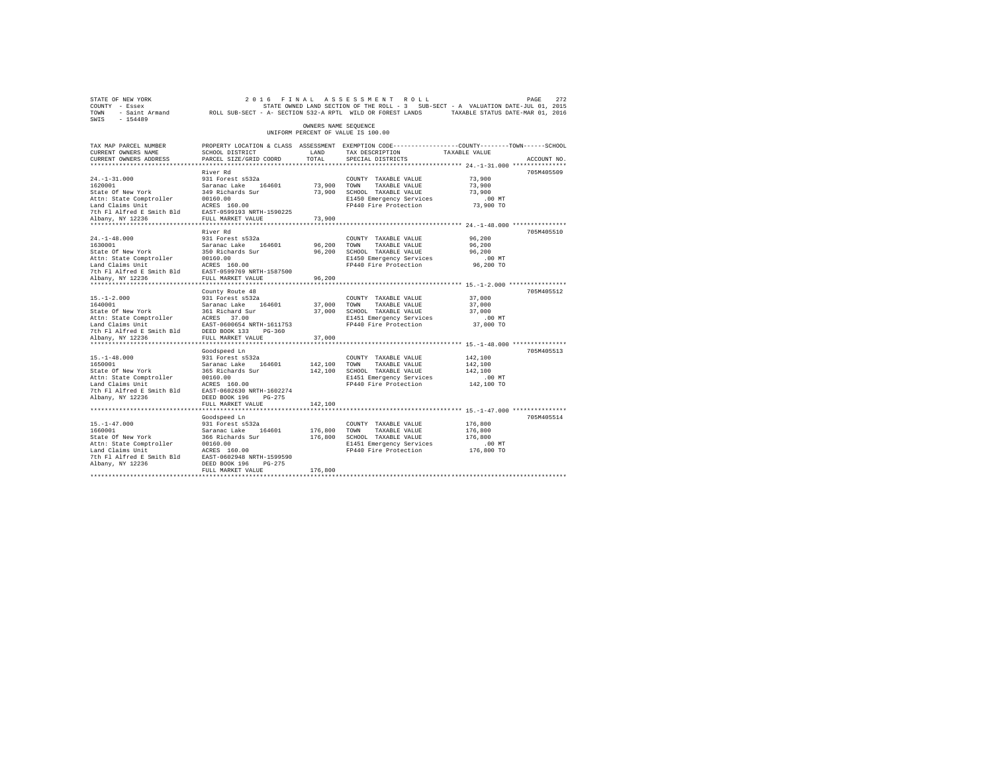| STATE OF NEW YORK<br>COUNTY - Essex<br>TOWN - Saint Armand ROLL SUB-SECT - A-SECTION 532-A RPTL WILD OR FOREST LANDS TAXABLE STATUS DATE-WAR 01, 2016 |                                                                                                |                      | 2016 FINAL ASSESSMENT ROLL<br>STATE OWNED LAND SECTION OF THE ROLL - 3 SUB-SECT - A VALUATION DATE-JUL 01, 2015 |                        | 272<br>PAGE |
|-------------------------------------------------------------------------------------------------------------------------------------------------------|------------------------------------------------------------------------------------------------|----------------------|-----------------------------------------------------------------------------------------------------------------|------------------------|-------------|
| SWIS - 154489                                                                                                                                         |                                                                                                | OWNERS NAME SEOUENCE |                                                                                                                 |                        |             |
|                                                                                                                                                       |                                                                                                |                      | UNIFORM PERCENT OF VALUE IS 100.00                                                                              |                        |             |
| TAX MAP PARCEL NUMBER                                                                                                                                 | PROPERTY LOCATION & CLASS ASSESSMENT EXEMPTION CODE---------------COUNTY-------TOWN-----SCHOOL |                      |                                                                                                                 |                        |             |
| CURRENT OWNERS NAME                                                                                                                                   | SCHOOL DISTRICT                                                                                | LAND                 | TAX DESCRIPTION                                                                                                 | TAXABLE VALUE          |             |
| CURRENT OWNERS ADDRESS                                                                                                                                | PARCEL SIZE/GRID COORD                                                                         | TOTAL                | SPECIAL DISTRICTS                                                                                               |                        | ACCOUNT NO. |
|                                                                                                                                                       | River Rd                                                                                       |                      |                                                                                                                 |                        | 705M405509  |
| $24. -1 - 31.000$                                                                                                                                     | 931 Forest s532a                                                                               |                      | COUNTY TAXABLE VALUE                                                                                            | 73,900                 |             |
| 1620001                                                                                                                                               | Saranac Lake 164601                                                                            | 73,900 TOWN          | TAXABLE VALUE                                                                                                   | 73,900                 |             |
| State Of New York                                                                                                                                     | 349 Richards Sur                                                                               |                      | 73,900 SCHOOL TAXABLE VALUE                                                                                     | 73,900                 |             |
|                                                                                                                                                       |                                                                                                |                      | E1450 Emergency Services                                                                                        | $.00$ MT               |             |
|                                                                                                                                                       |                                                                                                |                      | FP440 Fire Protection                                                                                           | 73,900 TO              |             |
|                                                                                                                                                       |                                                                                                |                      |                                                                                                                 |                        |             |
| Albany, NY 12236                                                                                                                                      | FULL MARKET VALUE                                                                              | 73,900               |                                                                                                                 |                        |             |
|                                                                                                                                                       |                                                                                                |                      |                                                                                                                 |                        |             |
| $24. -1 - 48.000$                                                                                                                                     | River Rd<br>931 Forest s532a                                                                   |                      |                                                                                                                 | 96,200                 | 705M405510  |
| 1630001                                                                                                                                               | Saranac Lake 164601                                                                            | 96,200               | COUNTY TAXABLE VALUE<br>TOWN<br>TAXABLE VALUE                                                                   | 96,200                 |             |
| State Of New York                                                                                                                                     | 350 Richards Sur                                                                               | 96,200               | SCHOOL TAXABLE VALUE                                                                                            | 96,200                 |             |
| Attn: State Comptroller                                                                                                                               |                                                                                                |                      | E1450 Emergency Services                                                                                        | .00MT                  |             |
| Land Claims Unit                                                                                                                                      | 00160.00<br>ACRES 160.00                                                                       |                      | FP440 Fire Protection                                                                                           | 96,200 TO              |             |
| 7th Fl Alfred E Smith Bld EAST-0599769 NRTH-1587500                                                                                                   |                                                                                                |                      |                                                                                                                 |                        |             |
| Albany, NY 12236                                                                                                                                      | FULL MARKET VALUE                                                                              | 96,200               |                                                                                                                 |                        |             |
|                                                                                                                                                       |                                                                                                |                      |                                                                                                                 |                        |             |
|                                                                                                                                                       | County Route 48                                                                                |                      |                                                                                                                 |                        | 705M405512  |
| $15. - 1 - 2.000$                                                                                                                                     | 931 Forest s532a                                                                               |                      | COUNTY TAXABLE VALUE                                                                                            | 37,000                 |             |
| 1640001                                                                                                                                               | Saranac Lake 164601                                                                            | 37,000 TOWN          | TAXABLE VALUE                                                                                                   | 37,000                 |             |
|                                                                                                                                                       |                                                                                                |                      | 37,000 SCHOOL TAXABLE VALUE<br>E1451 Emergency Services                                                         | 37,000<br>$.00$ MT     |             |
| State of New York<br>State Of New York<br>Attn: State Comptroller<br>$ACRES$ 37.00<br>Land Claims Unit<br>EAST-0600654 NRTH-1611753                   |                                                                                                |                      | FP440 Fire Protection                                                                                           | 37,000 TO              |             |
| 7th Fl Alfred E Smith Bld                                                                                                                             | DEED BOOK 133 PG-360                                                                           |                      |                                                                                                                 |                        |             |
| Albany, NY 12236                                                                                                                                      | FULL MARKET VALUE                                                                              | 37,000               |                                                                                                                 |                        |             |
|                                                                                                                                                       |                                                                                                |                      |                                                                                                                 |                        |             |
|                                                                                                                                                       | Goodspeed Ln                                                                                   |                      |                                                                                                                 |                        | 705M405513  |
| $15. - 1 - 48.000$                                                                                                                                    | 931 Forest s532a                                                                               |                      | COUNTY TAXABLE VALUE                                                                                            | 142,100                |             |
| 1650001                                                                                                                                               | Saranac Lake 164601<br>365 Richards Sur                                                        | 142,100              | TAXABLE VALUE<br>TOWN                                                                                           | 142,100                |             |
| State Of New York                                                                                                                                     |                                                                                                |                      | 142,100 SCHOOL TAXABLE VALUE                                                                                    | 142,100                |             |
| Attn: State Comptroller<br>Land Claims Unit                                                                                                           | 00160.00<br>ACRES 160.00<br>00160.00                                                           |                      | E1451 Emergency Services<br>FP440 Fire Protection                                                               | $.00$ MT<br>142,100 TO |             |
| 7th Fl Alfred E Smith Bld EAST-0602630 NRTH-1602274                                                                                                   |                                                                                                |                      |                                                                                                                 |                        |             |
| Albany, NY 12236                                                                                                                                      | DEED BOOK 196 PG-275                                                                           |                      |                                                                                                                 |                        |             |
|                                                                                                                                                       | FULL MARKET VALUE                                                                              | 142,100              |                                                                                                                 |                        |             |
| **************************                                                                                                                            | *****************************                                                                  |                      |                                                                                                                 |                        |             |
|                                                                                                                                                       | Goodspeed Ln                                                                                   |                      |                                                                                                                 |                        | 705M405514  |
| $15. - 1 - 47.000$                                                                                                                                    | 931 Forest s532a                                                                               |                      | COUNTY TAXABLE VALUE                                                                                            | 176,800                |             |
| 1660001                                                                                                                                               | Saranac Lake 164601                                                                            | 176,800              | TOWN<br>TAXABLE VALUE                                                                                           | 176,800                |             |
| State Of New York                                                                                                                                     | 366 Richards Sur                                                                               |                      | 176,800 SCHOOL TAXABLE VALUE                                                                                    | 176,800                |             |
| Attn: State Comptroller                                                                                                                               | 00160.00<br>ACRES 160.00                                                                       |                      | E1451 Emergency Services                                                                                        | $.00$ MT               |             |
| Land Claims Unit<br>7th Fl Alfred E Smith Bld EAST-0602948 NRTH-1599590                                                                               |                                                                                                |                      | FP440 Fire Protection                                                                                           | 176,800 TO             |             |
| Albany, NY 12236                                                                                                                                      | DEED BOOK 196 PG-275                                                                           |                      |                                                                                                                 |                        |             |
|                                                                                                                                                       | FULL MARKET VALUE                                                                              | 176,800              |                                                                                                                 |                        |             |
|                                                                                                                                                       |                                                                                                |                      |                                                                                                                 |                        |             |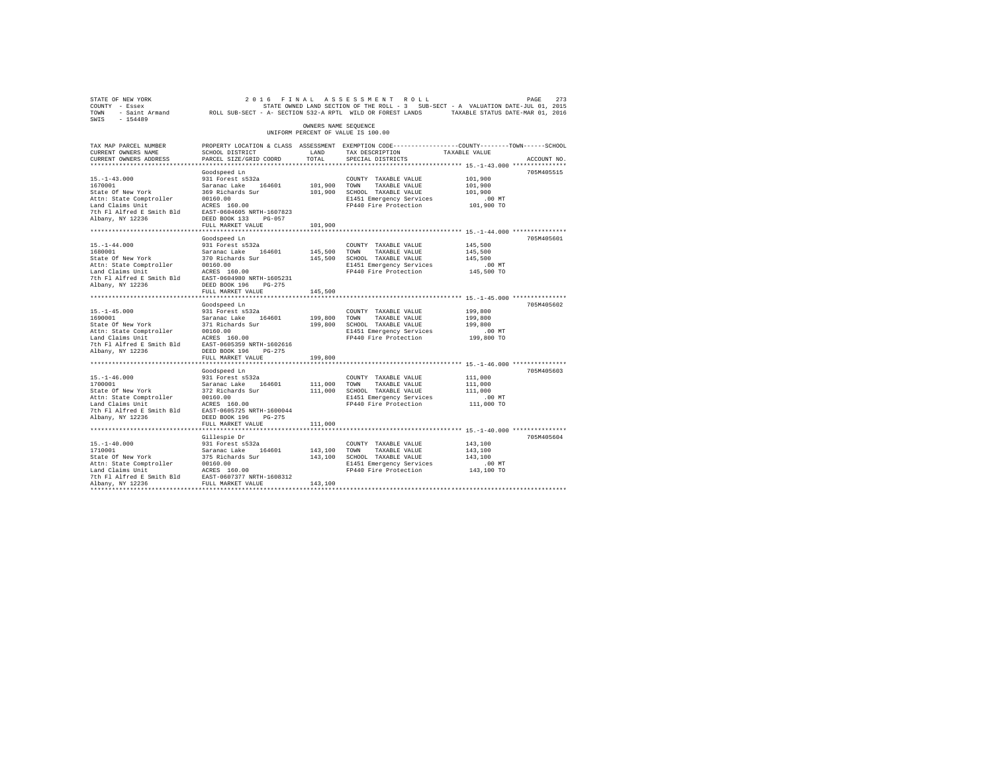| STATE OF NEW YORK                                                                                                                                                                                                              |                                                                                                  |                      | 2016 FINAL ASSESSMENT ROLL                                                        |               | PAGE<br>273 |
|--------------------------------------------------------------------------------------------------------------------------------------------------------------------------------------------------------------------------------|--------------------------------------------------------------------------------------------------|----------------------|-----------------------------------------------------------------------------------|---------------|-------------|
| COUNTY - Essex                                                                                                                                                                                                                 |                                                                                                  |                      | STATE OWNED LAND SECTION OF THE ROLL - 3 SUB-SECT - A VALUATION DATE-JUL 01, 2015 |               |             |
| TOWN - Saint Armand ROLL SUB-SECT - A- SECTION 532-A RPTL WILD OR FOREST LANDS TAXABLE STATUS DATE-MAR 01, 2016                                                                                                                |                                                                                                  |                      |                                                                                   |               |             |
| SWIS - 154489                                                                                                                                                                                                                  |                                                                                                  |                      |                                                                                   |               |             |
|                                                                                                                                                                                                                                |                                                                                                  | OWNERS NAME SEQUENCE |                                                                                   |               |             |
|                                                                                                                                                                                                                                |                                                                                                  |                      | UNIFORM PERCENT OF VALUE IS 100.00                                                |               |             |
|                                                                                                                                                                                                                                |                                                                                                  |                      |                                                                                   |               |             |
| TAX MAP PARCEL NUMBER                                                                                                                                                                                                          | PROPERTY LOCATION & CLASS ASSESSMENT EXEMPTION CODE----------------COUNTY-------TOWN------SCHOOL |                      |                                                                                   |               |             |
| CURRENT OWNERS NAME                                                                                                                                                                                                            | SCHOOL DISTRICT                                                                                  | LAND                 | TAX DESCRIPTION                                                                   | TAXABLE VALUE |             |
| CURRENT OWNERS ADDRESS                                                                                                                                                                                                         | PARCEL SIZE/GRID COORD                                                                           | TOTAL                | SPECIAL DISTRICTS                                                                 |               | ACCOUNT NO. |
|                                                                                                                                                                                                                                |                                                                                                  |                      |                                                                                   |               |             |
|                                                                                                                                                                                                                                |                                                                                                  |                      |                                                                                   |               |             |
|                                                                                                                                                                                                                                | Goodspeed Ln                                                                                     |                      |                                                                                   |               | 705M405515  |
| $15. - 1 - 43.000$                                                                                                                                                                                                             | 931 Forest s532a                                                                                 |                      | COUNTY TAXABLE VALUE                                                              | 101,900       |             |
| 1670001                                                                                                                                                                                                                        | Saranac Lake 164601                                                                              |                      | 101,900 TOWN TAXABLE VALUE                                                        | 101,900       |             |
| State Of New York                                                                                                                                                                                                              | 369 Richards Sur                                                                                 |                      | 101,900 SCHOOL TAXABLE VALUE                                                      | 101,900       |             |
|                                                                                                                                                                                                                                |                                                                                                  |                      | E1451 Emergency Services                                                          | $.00$ MT      |             |
|                                                                                                                                                                                                                                |                                                                                                  |                      | FP440 Fire Protection                                                             | 101,900 TO    |             |
|                                                                                                                                                                                                                                |                                                                                                  |                      |                                                                                   |               |             |
|                                                                                                                                                                                                                                |                                                                                                  |                      |                                                                                   |               |             |
|                                                                                                                                                                                                                                | FULL MARKET VALUE                                                                                | 101,900              |                                                                                   |               |             |
|                                                                                                                                                                                                                                |                                                                                                  |                      |                                                                                   |               |             |
|                                                                                                                                                                                                                                | Goodspeed Ln                                                                                     |                      |                                                                                   |               | 705M405601  |
| $15. - 1 - 44.000$                                                                                                                                                                                                             | 931 Forest s532a                                                                                 |                      | COUNTY TAXABLE VALUE                                                              | 145,500       |             |
|                                                                                                                                                                                                                                |                                                                                                  | 145,500 TOWN         | TAXABLE VALUE                                                                     | 145,500       |             |
|                                                                                                                                                                                                                                |                                                                                                  |                      | 145,500 SCHOOL TAXABLE VALUE                                                      | 145,500       |             |
|                                                                                                                                                                                                                                |                                                                                                  |                      | E1451 Emergency Services                                                          | $.00$ MT      |             |
|                                                                                                                                                                                                                                |                                                                                                  |                      |                                                                                   |               |             |
|                                                                                                                                                                                                                                |                                                                                                  |                      | FP440 Fire Protection                                                             | 145,500 TO    |             |
|                                                                                                                                                                                                                                |                                                                                                  |                      |                                                                                   |               |             |
| Albany, NY 12236                                                                                                                                                                                                               | DEED BOOK 196 PG-275                                                                             |                      |                                                                                   |               |             |
|                                                                                                                                                                                                                                | FULL MARKET VALUE                                                                                | 145,500              |                                                                                   |               |             |
|                                                                                                                                                                                                                                |                                                                                                  |                      |                                                                                   |               |             |
|                                                                                                                                                                                                                                | Goodspeed Ln                                                                                     |                      |                                                                                   |               | 705M405602  |
| $15. -1 - 45.000$                                                                                                                                                                                                              | 931 Forest s532a                                                                                 |                      | COUNTY TAXABLE VALUE                                                              | 199,800       |             |
|                                                                                                                                                                                                                                |                                                                                                  | 199,800 TOWN         | TAXABLE VALUE                                                                     | 199,800       |             |
|                                                                                                                                                                                                                                |                                                                                                  |                      | 199,800 SCHOOL TAXABLE VALUE                                                      | 199,800       |             |
|                                                                                                                                                                                                                                |                                                                                                  |                      | E1451 Emergency Services                                                          | $.00$ MT      |             |
|                                                                                                                                                                                                                                |                                                                                                  |                      | FP440 Fire Protection                                                             | 199,800 TO    |             |
|                                                                                                                                                                                                                                |                                                                                                  |                      |                                                                                   |               |             |
| Albany, NY 12236                                                                                                                                                                                                               | DEED BOOK 196 PG-275                                                                             |                      |                                                                                   |               |             |
|                                                                                                                                                                                                                                | FULL MARKET VALUE                                                                                | 199,800              |                                                                                   |               |             |
|                                                                                                                                                                                                                                |                                                                                                  |                      |                                                                                   |               |             |
|                                                                                                                                                                                                                                | Goodspeed Ln                                                                                     |                      |                                                                                   |               | 705M405603  |
| $15.1-46.000$ $201.0001$ $51.00001$ $51.00001$ $51.00001$ $51.00001$ $51.000000$ $51.000000$ $51.000000$ $51.000000$ $51.000000$ $51.000000$ $51.000000$ $51.0000000$ $51.00000000$ $51.000000000$ $51.00000000000$ $51.00000$ |                                                                                                  |                      | COUNTY TAXABLE VALUE                                                              | 111,000       |             |
|                                                                                                                                                                                                                                |                                                                                                  | 111,000              | TOWN TAXABLE VALUE                                                                | 111,000       |             |
|                                                                                                                                                                                                                                |                                                                                                  |                      |                                                                                   | 111,000       |             |
|                                                                                                                                                                                                                                |                                                                                                  |                      | 111,000 SCHOOL TAXABLE VALUE                                                      |               |             |
|                                                                                                                                                                                                                                |                                                                                                  |                      | E1451 Emergency Services                                                          | $.00$ MT      |             |
|                                                                                                                                                                                                                                |                                                                                                  |                      | FP440 Fire Protection                                                             | 111,000 TO    |             |
|                                                                                                                                                                                                                                |                                                                                                  |                      |                                                                                   |               |             |
| Albany, NY 12236                                                                                                                                                                                                               | DEED BOOK 196 PG-275                                                                             |                      |                                                                                   |               |             |
|                                                                                                                                                                                                                                | FULL MARKET VALUE                                                                                | 111,000              |                                                                                   |               |             |
|                                                                                                                                                                                                                                |                                                                                                  |                      |                                                                                   |               |             |
|                                                                                                                                                                                                                                | Gillespie Dr                                                                                     |                      |                                                                                   |               | 705M405604  |
| $15. - 1 - 40.000$                                                                                                                                                                                                             |                                                                                                  |                      | COUNTY TAXABLE VALUE                                                              | 143,100       |             |
| 1710001                                                                                                                                                                                                                        | 931 Forest s532a<br>Saranac Lake     164601                                                      | 143,100 TOWN         | TAXABLE VALUE                                                                     | 143,100       |             |
|                                                                                                                                                                                                                                |                                                                                                  |                      | 143,100 SCHOOL TAXABLE VALUE                                                      | 143,100       |             |
|                                                                                                                                                                                                                                |                                                                                                  |                      | E1451 Emergency Services                                                          | $.00$ MT      |             |
|                                                                                                                                                                                                                                |                                                                                                  |                      | FP440 Fire Protection                                                             | 143,100 TO    |             |
|                                                                                                                                                                                                                                |                                                                                                  |                      |                                                                                   |               |             |
| Albany, NY 12236                                                                                                                                                                                                               | FULL MARKET VALUE                                                                                | 143,100              |                                                                                   |               |             |
|                                                                                                                                                                                                                                |                                                                                                  |                      |                                                                                   |               |             |
|                                                                                                                                                                                                                                |                                                                                                  |                      |                                                                                   |               |             |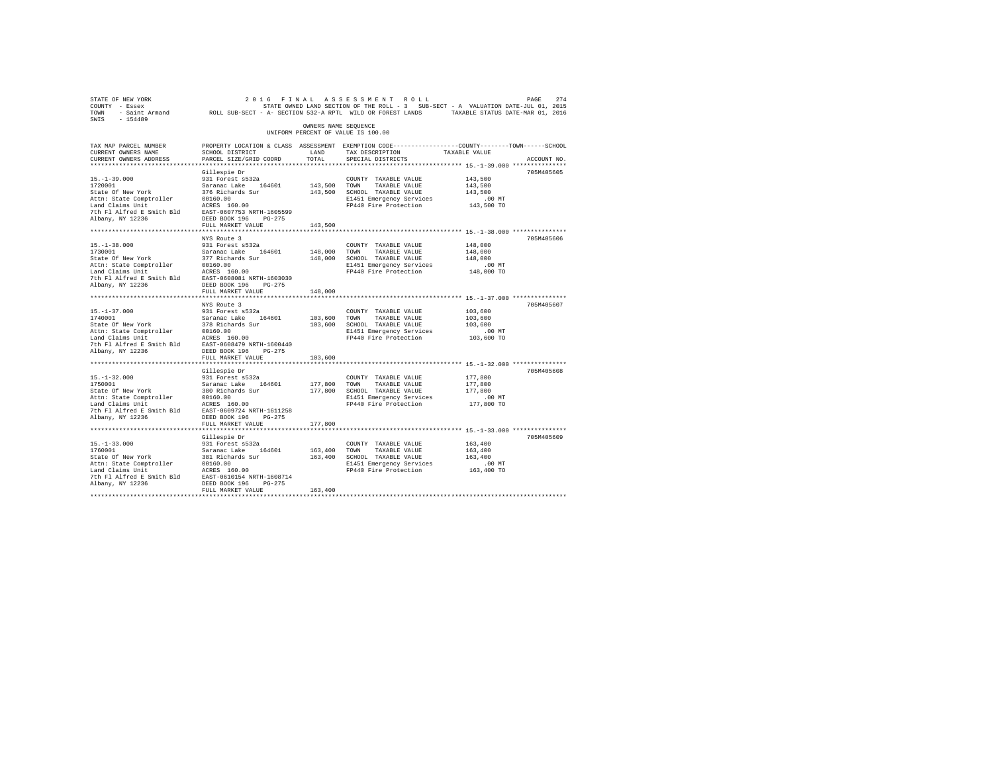| 2016 FINAL ASSESSMENT ROLL PACE POWER TO A MATHEM ASSESSMENT ROLL ASSESSMENT PAGE 274<br>COUNTY - Essex STATES ON A STATE OWNED LAND SECTION OF THE ROLL - 3 SUB-SECT - A VALUATION DATE-JUL 01, 2015<br>TOWN - Saint_Armand                         |                                                                                                  |                      |                                                                  |               |             |
|------------------------------------------------------------------------------------------------------------------------------------------------------------------------------------------------------------------------------------------------------|--------------------------------------------------------------------------------------------------|----------------------|------------------------------------------------------------------|---------------|-------------|
|                                                                                                                                                                                                                                                      |                                                                                                  |                      |                                                                  |               |             |
|                                                                                                                                                                                                                                                      |                                                                                                  |                      |                                                                  |               |             |
| SWIS - 154489                                                                                                                                                                                                                                        |                                                                                                  |                      |                                                                  |               |             |
|                                                                                                                                                                                                                                                      |                                                                                                  | OWNERS NAME SEQUENCE |                                                                  |               |             |
|                                                                                                                                                                                                                                                      |                                                                                                  |                      | UNIFORM PERCENT OF VALUE IS 100.00                               |               |             |
| TAX MAP PARCEL NUMBER                                                                                                                                                                                                                                | PROPERTY LOCATION & CLASS ASSESSMENT EXEMPTION CODE----------------COUNTY-------TOWN------SCHOOL |                      |                                                                  |               |             |
| CURRENT OWNERS NAME                                                                                                                                                                                                                                  | SCHOOL DISTRICT                                                                                  | LAND                 | TAX DESCRIPTION                                                  | TAXABLE VALUE |             |
| CURRENT OWNERS ADDRESS                                                                                                                                                                                                                               | PARCEL SIZE/GRID COORD                                                                           | TOTAL                | SPECIAL DISTRICTS                                                |               | ACCOUNT NO. |
|                                                                                                                                                                                                                                                      |                                                                                                  |                      |                                                                  |               |             |
|                                                                                                                                                                                                                                                      | Gillespie Dr                                                                                     |                      |                                                                  |               | 705M405605  |
| $15. - 1 - 39.000$                                                                                                                                                                                                                                   | 931 Forest s532a                                                                                 |                      | COUNTY TAXABLE VALUE                                             | 143,500       |             |
|                                                                                                                                                                                                                                                      |                                                                                                  |                      | 143,500 TOWN TAXABLE VALUE                                       | 143,500       |             |
| 15.-1-39.000<br>1720001<br>State Of New York                                                                                                                                                                                                         |                                                                                                  |                      | 143,500 SCHOOL TAXABLE VALUE                                     | 143,500       |             |
|                                                                                                                                                                                                                                                      |                                                                                                  |                      | E1451 Emergency Services                                         | $.00$ MT      |             |
| 13.1-39.000<br>1720001 State of New York 376 Richards Sur<br>1720001 State Competer 20160.00<br>276 Richards Sur<br>172001 20160.00<br>176 Richards Sur<br>176 Richards Sur<br>176 RASE 160.00<br>176 RI Alfred E PASS 180.00<br>176 RI ALFRED 1     |                                                                                                  |                      | FP440 Fire Protection 143,500 TO                                 |               |             |
|                                                                                                                                                                                                                                                      |                                                                                                  |                      |                                                                  |               |             |
| Albany, NY 12236                                                                                                                                                                                                                                     | DEED BOOK 196 PG-275                                                                             |                      |                                                                  |               |             |
|                                                                                                                                                                                                                                                      | FULL MARKET VALUE                                                                                | 143,500              |                                                                  |               |             |
|                                                                                                                                                                                                                                                      |                                                                                                  |                      |                                                                  |               |             |
|                                                                                                                                                                                                                                                      | NYS Route 3                                                                                      |                      |                                                                  |               | 705M405606  |
| $15. - 1 - 38.000$                                                                                                                                                                                                                                   | 931 Forest s532a                                                                                 |                      | COUNTY TAXABLE VALUE                                             | 148,000       |             |
| 1730001                                                                                                                                                                                                                                              |                                                                                                  | 148,000 TOWN         | TAXABLE VALUE                                                    | 148,000       |             |
| State Of New York<br>Attn: State Omptroller<br>Land Claims Unit<br>Land Claims Unit<br>7th Fl Alfred E Smith Bld<br>2008 160 DEED BOOK 196<br>2009 1962 1962<br>2008 1962 1963<br>2008 1962 1963<br>2008 1962 1963<br>2008 1964 1963<br>2008 1964 19 | Saranac Lake 164601<br>377 Richards Sur                                                          |                      | 148,000 SCHOOL TAXABLE VALUE                                     | 148,000       |             |
|                                                                                                                                                                                                                                                      |                                                                                                  |                      | E1451 Emergency Services                                         | .00 MT        |             |
|                                                                                                                                                                                                                                                      |                                                                                                  |                      | FP440 Fire Protection                                            | 148,000 TO    |             |
|                                                                                                                                                                                                                                                      |                                                                                                  |                      |                                                                  |               |             |
|                                                                                                                                                                                                                                                      |                                                                                                  |                      |                                                                  |               |             |
|                                                                                                                                                                                                                                                      | FULL MARKET VALUE                                                                                | 148,000              |                                                                  |               |             |
|                                                                                                                                                                                                                                                      |                                                                                                  |                      |                                                                  |               |             |
|                                                                                                                                                                                                                                                      | NYS Route 3                                                                                      |                      |                                                                  |               | 705M405607  |
|                                                                                                                                                                                                                                                      |                                                                                                  |                      | COUNTY TAXABLE VALUE                                             | 103,600       |             |
|                                                                                                                                                                                                                                                      |                                                                                                  | 103,600 TOWN         | TAXABLE VALUE                                                    | 103,600       |             |
|                                                                                                                                                                                                                                                      |                                                                                                  |                      | 103,600 SCHOOL TAXABLE VALUE                                     | 103,600       |             |
|                                                                                                                                                                                                                                                      |                                                                                                  |                      | E1451 Emergency Services                                         | $.00$ MT      |             |
|                                                                                                                                                                                                                                                      |                                                                                                  |                      | FP440 Fire Protection                                            | 103,600 TO    |             |
|                                                                                                                                                                                                                                                      |                                                                                                  |                      |                                                                  |               |             |
|                                                                                                                                                                                                                                                      |                                                                                                  |                      |                                                                  |               |             |
|                                                                                                                                                                                                                                                      | FULL MARKET VALUE                                                                                | 103,600              |                                                                  |               |             |
|                                                                                                                                                                                                                                                      |                                                                                                  |                      | ********************************** 15.-1-32.000 **************** |               |             |
|                                                                                                                                                                                                                                                      | Gillespie Dr                                                                                     |                      |                                                                  |               | 705M405608  |
| $15. - 1 - 32.000$                                                                                                                                                                                                                                   | 931 Forest s532a                                                                                 |                      | COUNTY TAXABLE VALUE                                             | 177,800       |             |
|                                                                                                                                                                                                                                                      |                                                                                                  | 177,800 TOWN         | TAXABLE VALUE                                                    | 177,800       |             |
|                                                                                                                                                                                                                                                      |                                                                                                  |                      | 177,800 SCHOOL TAXABLE VALUE                                     | 177,800       |             |
|                                                                                                                                                                                                                                                      |                                                                                                  |                      | E1451 Emergency Services                                         | $.00$ MT      |             |
|                                                                                                                                                                                                                                                      |                                                                                                  |                      | FP440 Fire Protection                                            | 177,800 TO    |             |
|                                                                                                                                                                                                                                                      |                                                                                                  |                      |                                                                  |               |             |
| Albany, NY 12236                                                                                                                                                                                                                                     | DEED BOOK 196 PG-275                                                                             |                      |                                                                  |               |             |
|                                                                                                                                                                                                                                                      | FULL MARKET VALUE                                                                                | 177,800              |                                                                  |               |             |
|                                                                                                                                                                                                                                                      |                                                                                                  |                      |                                                                  |               |             |
|                                                                                                                                                                                                                                                      | Gillespie Dr                                                                                     |                      |                                                                  |               | 705M405609  |
|                                                                                                                                                                                                                                                      |                                                                                                  |                      | COUNTY TAXABLE VALUE                                             | 163,400       |             |
|                                                                                                                                                                                                                                                      |                                                                                                  | 163,400 TOWN         | TAXABLE VALUE                                                    | 163,400       |             |
|                                                                                                                                                                                                                                                      |                                                                                                  |                      | 163,400 SCHOOL TAXABLE VALUE                                     | 163,400       |             |
|                                                                                                                                                                                                                                                      |                                                                                                  |                      | E1451 Emergency Services<br>FP440 Fire Protection                | .00 MT        |             |
|                                                                                                                                                                                                                                                      |                                                                                                  |                      |                                                                  | 163,400 TO    |             |
|                                                                                                                                                                                                                                                      |                                                                                                  |                      |                                                                  |               |             |
| Albany, NY 12236                                                                                                                                                                                                                                     | DEED BOOK 196 PG-275                                                                             |                      |                                                                  |               |             |
|                                                                                                                                                                                                                                                      | FULL MARKET VALUE                                                                                | 163,400              |                                                                  |               |             |
|                                                                                                                                                                                                                                                      |                                                                                                  |                      |                                                                  |               |             |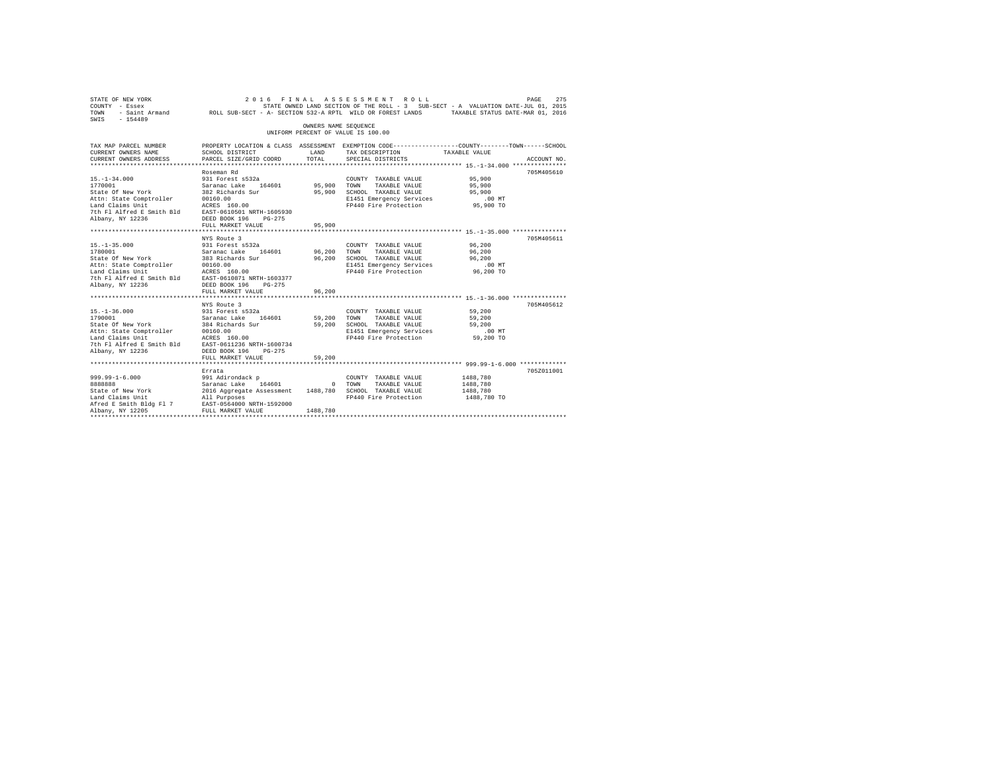| STATE OF NEW YORK<br>COUNTY - Essex<br>COUNTY - Essex - STRING DESCRIPTION OF THE ROWER LAND SECTION OF THE ROLL - 3 SUB-SECT - A VALUATION DATE-JUL 01, 2015<br>TOWN - Saint Armand - ROLL SUB-SECT - A- SECTION 532-A RPTL WILD OR FOREST LANDS - TAXABLE STATUS DATE-<br>SWIS - 154489 |                                                                                                 | OWNERS NAME SEQUENCE       | 2016 FINAL ASSESSMENT ROLL                                                                                                        | PAGE<br>STATE OWNED LAND SECTION OF THE ROLL - 3 SUB-SECT - A VALUATION DATE-JUL 01, 2015                                        | 275 |
|-------------------------------------------------------------------------------------------------------------------------------------------------------------------------------------------------------------------------------------------------------------------------------------------|-------------------------------------------------------------------------------------------------|----------------------------|-----------------------------------------------------------------------------------------------------------------------------------|----------------------------------------------------------------------------------------------------------------------------------|-----|
|                                                                                                                                                                                                                                                                                           |                                                                                                 |                            | UNIFORM PERCENT OF VALUE IS 100.00                                                                                                |                                                                                                                                  |     |
| TAX MAP PARCEL NUMBER<br>CURRENT OWNERS NAME<br>CURRENT OWNERS ADDRESS PARCEL SIZE/GRID COORD                                                                                                                                                                                             | SCHOOL DISTRICT                                                                                 | LAND<br>TOTAL              | TAX DESCRIPTION<br>SPECIAL DISTRICTS                                                                                              | PROPERTY LOCATION & CLASS ASSESSMENT EXEMPTION CODE----------------COUNTY-------TOWN------SCHOOL<br>TAXABLE VALUE<br>ACCOUNT NO. |     |
| $15. - 1 - 34.000$<br>1770001<br>State Of New York 382 Richards Surface of New York 382 Richards Surface Comptroller 30160.00<br>Land Claims Unit 20160.00<br>7th Fl Alfred E Smith Bld EAST-0610501 NRTH-1605930<br>Albany, NY 12236                                                     | Roseman Rd<br>931 Forest s532a<br>Saranac Lake 164601<br>DEED BOOK 196<br>$PG-275$              | 95,900 TOWN<br>95,900      | COUNTY TAXABLE VALUE<br>TAXABLE VALUE<br>SCHOOL TAXABLE VALUE<br>E1451 Emergency Services<br>FP440 Fire Protection 95,900 TO      | 705M405610<br>95,900<br>95,900<br>95,900<br>.00 MT                                                                               |     |
|                                                                                                                                                                                                                                                                                           | FULL MARKET VALUE                                                                               | 95,900                     |                                                                                                                                   |                                                                                                                                  |     |
| $15. - 1 - 35.000$<br>1780001<br>i/suuul<br>State Of New York                                                                                                                                                                                                                             | NYS Route 3<br>931 Forest s532a<br>Saranac Lake 164601<br>383 Richards Sur<br>FULL MARKET VALUE | 96,200<br>96,200<br>96,200 | COUNTY TAXABLE VALUE 96,200<br>TOWN<br>TAXABLE VALUE<br>SCHOOL TAXABLE VALUE<br>E1451 Emergency Services<br>FP440 Fire Protection | 705M405611<br>96,200<br>96,200<br>$.00$ MT<br>96,200 TO                                                                          |     |
|                                                                                                                                                                                                                                                                                           | NYS Route 3                                                                                     |                            |                                                                                                                                   | 705M405612                                                                                                                       |     |
| $15. - 1 - 36.000$<br>1790001<br>State Of New York<br>Attn: State Comptroller 00160.00<br>Land Claims Unit 200160.00<br>Land Claims Unit 2001611236 NRTH-1600734<br>7th Fl Alfred E Smith Bld EAST-0611236 NRTH-1600734<br>Albany, NY 12236 DEED BOOK 196 PG-275                          | 931 Forest s532a<br>Saranac Lake 164601<br>384 Richards Sur                                     | 59,200                     | COUNTY TAXABLE VALUE<br>TOWN<br>TAXABLE VALUE<br>59,200 SCHOOL TAXABLE VALUE<br>E1451 Emergency Services<br>FP440 Fire Protection | 59,200<br>59,200<br>59,200<br>$.00$ MT<br>59,200 TO                                                                              |     |
|                                                                                                                                                                                                                                                                                           | FULL MARKET VALUE                                                                               | 59,200                     |                                                                                                                                   |                                                                                                                                  |     |
|                                                                                                                                                                                                                                                                                           |                                                                                                 |                            |                                                                                                                                   |                                                                                                                                  |     |
| $999.99 - 1 - 6.000$<br>888888<br>State of New York<br>Land Claims Unit<br>Afred E Smith Bldg F1 7 EAST-0564000 NRTH-1592000<br>Albany, NY 12205                                                                                                                                          | Errata<br>FULL MARKET VALUE                                                                     | 1488,780                   |                                                                                                                                   | 705Z011001<br>1488,780<br>1488,780<br>1488,780<br>1488,780 TO                                                                    |     |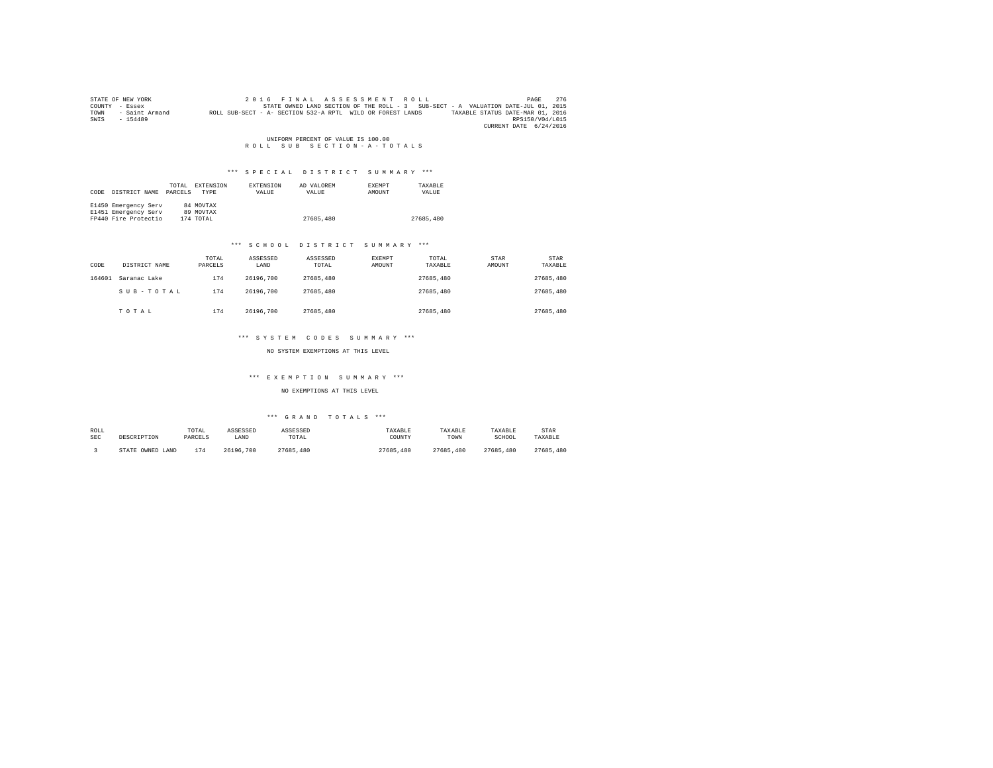|      | STATE OF NEW YORK | 2016 FINAL ASSESSMENT ROLL                                                                     | PAGE            | 276 |
|------|-------------------|------------------------------------------------------------------------------------------------|-----------------|-----|
|      | COUNTY - Essex    | STATE OWNED LAND SECTION OF THE ROLL - 3 SUB-SECT - A VALUATION DATE-JUL 01, 2015              |                 |     |
| TOWN | - Saint Armand    | ROLL SUB-SECT - A- SECTION 532-A RPTL WILD OR FOREST LANDS<br>TAXABLE STATUS DATE-MAR 01, 2016 |                 |     |
| SWIS | $-154489$         |                                                                                                | RPS150/V04/L015 |     |
|      |                   | CURRENT DATE 6/24/2016                                                                         |                 |     |

UNIFORM PERCENT OF VALUE IS 100.00<br>R O L L S U B S E C T I O N - A - T O T A L S

# \*\*\* S P E C I A L D I S T R I C T S U M M A R Y \*\*\*

| CODE | DISTRICT NAME        | TOTAL.<br>PARCELS | EXTENSION<br>TYPE | <b>EXTENSION</b><br>VALUE | AD VALOREM<br>VALUE | <b>EXEMPT</b><br>AMOUNT | TAXARLE<br>VALUE |
|------|----------------------|-------------------|-------------------|---------------------------|---------------------|-------------------------|------------------|
|      | E1450 Emergency Serv |                   | 84 MOVTAX         |                           |                     |                         |                  |
|      | E1451 Emergency Serv |                   | 89 MOVTAX         |                           |                     |                         |                  |
|      | FP440 Fire Protectio |                   | 174 TOTAL         |                           | 27685,480           |                         | 27685,480        |

# \*\*\* S C H O O L D I S T R I C T S U M M A R Y \*\*\*

| CODE   | DISTRICT NAME | TOTAL<br>PARCELS | ASSESSED<br>LAND | ASSESSED<br>TOTAL | EXEMPT<br>AMOUNT | TOTAL<br>TAXABLE | STAR<br>AMOUNT | STAR<br>TAXABLE |
|--------|---------------|------------------|------------------|-------------------|------------------|------------------|----------------|-----------------|
| 164601 | Saranac Lake  | 174              | 26196.700        | 27685,480         |                  | 27685,480        |                | 27685,480       |
|        | SUB-TOTAL     | 174              | 26196.700        | 27685,480         |                  | 27685,480        |                | 27685,480       |
|        | TOTAL         | 174              | 26196.700        | 27685,480         |                  | 27685,480        |                | 27685,480       |

# \*\*\* S Y S T E M C O D E S S U M M A R Y \*\*\*

# NO SYSTEM EXEMPTIONS AT THIS LEVEL

# \*\*\* E X E M P T I O N S U M M A R Y \*\*\*

# NO EXEMPTIONS AT THIS LEVEL

| ROLL       | DESCRIPTION      | TOTAL   | ASSESSED  | ASSESSED  | TAXABLE   | TAXABLE   | TAXABLE   | STAR          |
|------------|------------------|---------|-----------|-----------|-----------|-----------|-----------|---------------|
| <b>SEC</b> |                  | PARCELS | LAND      | TOTAL     | COUNTY    | TOWN      | SCHOOL    | TAXABLE       |
|            | STATE OWNED LAND | 174     | 26196.700 | 27685,480 | 27685.480 | 27685.480 | 27685,480 | 27685<br>.480 |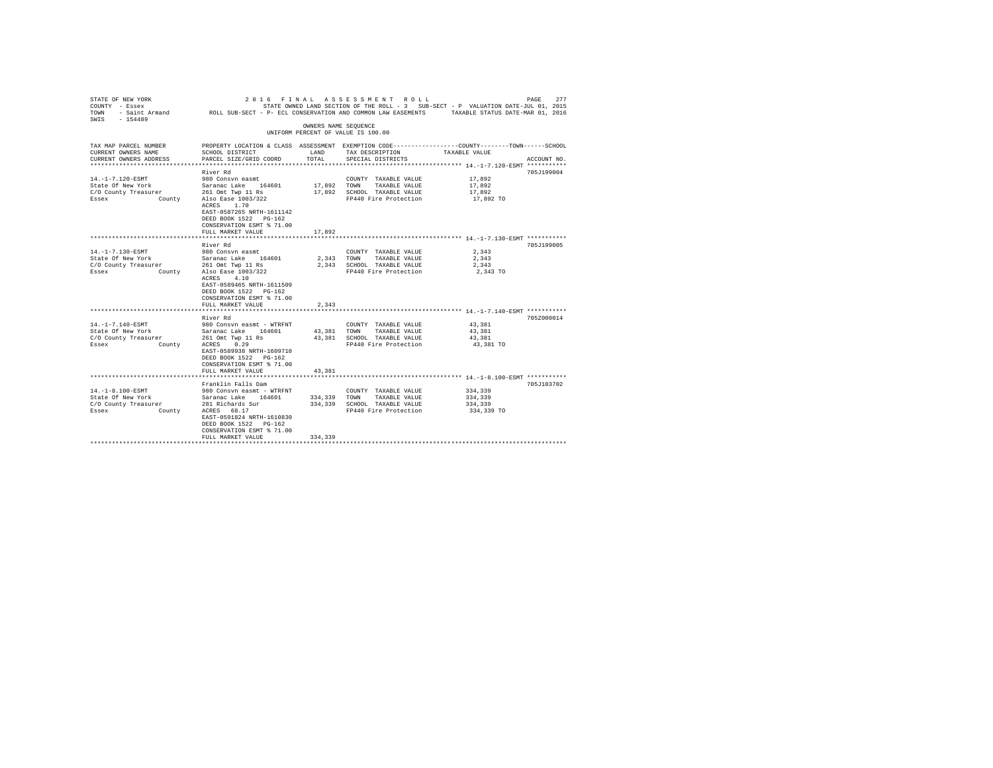| STATE OF NEW YORK<br>COUNTY - Essex<br>TOWN  | FINAL<br>2016<br>- Saint Armand MOLL SUB-SECT - P- ECL CONSERVATION AND COMMON LAW EASEMENTS TAXABLE STATUS DATE-MAR 01, 2016 |                      | ASSESSMENT ROLL                               | STATE OWNED LAND SECTION OF THE ROLL - 3 SUB-SECT - P VALUATION DATE-JUL 01, 2015                                | 277<br>PAGE |
|----------------------------------------------|-------------------------------------------------------------------------------------------------------------------------------|----------------------|-----------------------------------------------|------------------------------------------------------------------------------------------------------------------|-------------|
| $-154489$<br>SWIS                            |                                                                                                                               | OWNERS NAME SEQUENCE |                                               |                                                                                                                  |             |
|                                              |                                                                                                                               |                      | UNIFORM PERCENT OF VALUE IS 100.00            |                                                                                                                  |             |
| TAX MAP PARCEL NUMBER<br>CURRENT OWNERS NAME | SCHOOL DISTRICT                                                                                                               | LAND                 | TAX DESCRIPTION                               | PROPERTY LOCATION & CLASS ASSESSMENT EXEMPTION CODE---------------COUNTY-------TOWN------SCHOOL<br>TAXABLE VALUE |             |
| CURRENT OWNERS ADDRESS                       | PARCEL SIZE/GRID COORD                                                                                                        | TOTAL                | SPECIAL DISTRICTS                             |                                                                                                                  | ACCOUNT NO. |
|                                              | River Rd                                                                                                                      |                      |                                               |                                                                                                                  | 705J199004  |
| 14. -1-7.120-ESMT                            | 980 Consyn easmt                                                                                                              |                      | COUNTY TAXABLE VALUE                          | 17,892                                                                                                           |             |
| State Of New York                            | Saranac Lake 164601                                                                                                           | 17,892               | TOWN<br>TAXABLE VALUE                         | 17,892                                                                                                           |             |
| C/O County Treasurer                         | 261 Omt Twp 11 Rs                                                                                                             | 17,892               | SCHOOL TAXABLE VALUE                          | 17.892                                                                                                           |             |
| Essex                                        | County Also Ease 1003/322                                                                                                     |                      | FP440 Fire Protection                         | 17,892 TO                                                                                                        |             |
|                                              | ACRES 1.70                                                                                                                    |                      |                                               |                                                                                                                  |             |
|                                              | EAST-0587265 NRTH-1611142                                                                                                     |                      |                                               |                                                                                                                  |             |
|                                              | DEED BOOK 1522 PG-162<br>CONSERVATION ESMT % 71.00                                                                            |                      |                                               |                                                                                                                  |             |
|                                              | FULL MARKET VALUE                                                                                                             | 17,892               |                                               |                                                                                                                  |             |
|                                              | ********************                                                                                                          |                      |                                               | ********************************* 14.-1-7.130-ESMT ************                                                  |             |
|                                              | River Rd                                                                                                                      |                      |                                               |                                                                                                                  | 705J199005  |
| 14. -1-7.130-ESMT                            | 980 Consyn easmt                                                                                                              |                      | COUNTY TAXABLE VALUE                          | 2.343                                                                                                            |             |
| State Of New York                            | Saranac Lake 164601                                                                                                           | 2.343                | TOWN<br>TAXABLE VALUE                         | 2.343                                                                                                            |             |
| C/O County Treasurer                         | 261 Omt Twp 11 Rs                                                                                                             | 2,343                | SCHOOL TAXABLE VALUE                          | 2,343                                                                                                            |             |
| Essex                                        | County Also Ease 1003/322                                                                                                     |                      | FP440 Fire Protection                         | 2,343 TO                                                                                                         |             |
|                                              | ACRES 4.10                                                                                                                    |                      |                                               |                                                                                                                  |             |
|                                              | EAST-0589465 NRTH-1611509                                                                                                     |                      |                                               |                                                                                                                  |             |
|                                              | DEED BOOK 1522 PG-162                                                                                                         |                      |                                               |                                                                                                                  |             |
|                                              | CONSERVATION ESMT % 71.00                                                                                                     |                      |                                               |                                                                                                                  |             |
|                                              | FULL MARKET VALUE                                                                                                             | 2,343                |                                               |                                                                                                                  |             |
|                                              | River Rd                                                                                                                      |                      |                                               |                                                                                                                  | 705Z000014  |
| 14. -1-7.140-ESMT                            | 980 Consvn easmt - WTRFNT                                                                                                     |                      | COUNTY TAXABLE VALUE                          | 43,381                                                                                                           |             |
| State Of New York                            | Saranac Lake 164601                                                                                                           | 43.381               | TOWN<br>TAXABLE VALUE                         | 43,381                                                                                                           |             |
| C/O County Treasurer                         | 261 Omt Twp 11 Rs                                                                                                             | 43,381               | SCHOOL TAXABLE VALUE                          | 43.381                                                                                                           |             |
| Essex<br>County                              | 0.29<br>ACRES                                                                                                                 |                      | FP440 Fire Protection                         | 43,381 TO                                                                                                        |             |
|                                              | EAST-0589938 NRTH-1609710                                                                                                     |                      |                                               |                                                                                                                  |             |
|                                              | DEED BOOK 1522 PG-162                                                                                                         |                      |                                               |                                                                                                                  |             |
|                                              | CONSERVATION ESMT % 71.00                                                                                                     |                      |                                               |                                                                                                                  |             |
|                                              | FULL MARKET VALUE                                                                                                             | 43,381               |                                               |                                                                                                                  |             |
|                                              |                                                                                                                               |                      |                                               |                                                                                                                  |             |
| $14. -1 - 8.100 - ESMT$                      | Franklin Falls Dam                                                                                                            |                      |                                               | 334,339                                                                                                          | 705J103702  |
| State Of New York                            | 980 Consvn easmt - WTRFNT<br>Saranac Lake 164601                                                                              | 334,339              | COUNTY TAXABLE VALUE<br>TOWN<br>TAXABLE VALUE | 334,339                                                                                                          |             |
| C/O County Treasurer                         | 281 Richards Sur                                                                                                              | 334,339              | SCHOOL TAXABLE VALUE                          | 334,339                                                                                                          |             |
| Essex<br>County                              | ACRES 68.17                                                                                                                   |                      | FP440 Fire Protection                         | 334,339 TO                                                                                                       |             |
|                                              | EAST-0591824 NRTH-1610830                                                                                                     |                      |                                               |                                                                                                                  |             |
|                                              | DEED BOOK 1522 PG-162                                                                                                         |                      |                                               |                                                                                                                  |             |
|                                              | CONSERVATION ESMT % 71.00                                                                                                     |                      |                                               |                                                                                                                  |             |
|                                              | FULL MARKET VALUE                                                                                                             | 334,339              |                                               |                                                                                                                  |             |
|                                              |                                                                                                                               |                      |                                               |                                                                                                                  |             |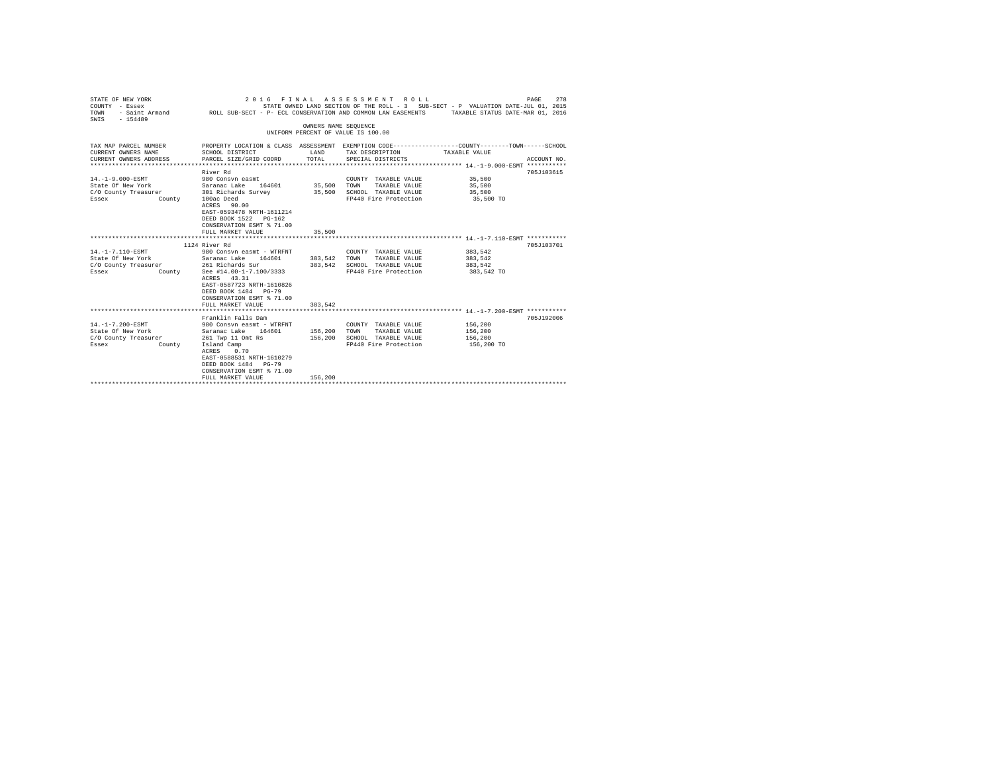| STATE OF NEW YORK<br>COUNTY - Essex<br>TOWN<br>$-154489$<br>SWIS                                                                | 2016 FINAL                                                                                                                                                                                                                      |                       | ASSESSMENT ROLL<br>STATE OWNED LAND SECTION OF THE ROLL - 3 SUB-SECT - P VALUATION DATE-JUL 01, 2015<br>- Saint Armand CROLL SUB-SECT - P- ECL CONSERVATION AND COMMON LAW EASEMENTS TAXABLE STATUS DATE-MAR 01, 2016 |                                             | PAGE<br>278 |
|---------------------------------------------------------------------------------------------------------------------------------|---------------------------------------------------------------------------------------------------------------------------------------------------------------------------------------------------------------------------------|-----------------------|-----------------------------------------------------------------------------------------------------------------------------------------------------------------------------------------------------------------------|---------------------------------------------|-------------|
|                                                                                                                                 |                                                                                                                                                                                                                                 | OWNERS NAME SEQUENCE  | UNIFORM PERCENT OF VALUE IS 100.00                                                                                                                                                                                    |                                             |             |
| TAX MAP PARCEL NUMBER<br>CURRENT OWNERS NAME<br>CURRENT OWNERS ADDRESS                                                          | SCHOOL DISTRICT<br>PARCEL SIZE/GRID COORD                                                                                                                                                                                       | LAND<br>TOTAL         | PROPERTY LOCATION & CLASS ASSESSMENT EXEMPTION CODE---------------COUNTY-------TOWN------SCHOOL<br>TAX DESCRIPTION<br>SPECIAL DISTRICTS                                                                               | TAXABLE VALUE                               | ACCOUNT NO. |
| $14. -1 - 9.000 - ESMT$<br>State Of New York Saranac Lake 164601<br>C/O County Treasurer 301 Richards Survey<br>County<br>Essex | River Rd<br>980 Consyn easmt<br>100ac Deed<br>ACRES 90.00<br>EAST-0593478 NRTH-1611214<br>DEED BOOK 1522 PG-162<br>CONSERVATION ESMT % 71.00<br>FULL MARKET VALUE                                                               | 35,500 TOWN<br>35,500 | COUNTY TAXABLE VALUE 35,500<br>TAXABLE VALUE<br>35,500 SCHOOL TAXABLE VALUE<br>FP440 Fire Protection                                                                                                                  | 35,500<br>35,500<br>35,500 TO               | 705J103615  |
|                                                                                                                                 |                                                                                                                                                                                                                                 |                       |                                                                                                                                                                                                                       |                                             |             |
| 14. -1-7.110-ESMT<br>State Of New York<br>C/O County Treasurer 261 Richards Sur<br>Essex<br>County                              | 1124 River Rd<br>980 Consvn easmt - WTRFNT<br>Saranac Lake 164601 383,542 TOWN<br>See #14.00-1-7.100/3333<br>ACRES 43.31<br>EAST-0587723 NRTH-1610826<br>DEED BOOK 1484 PG-79<br>CONSERVATION ESMT % 71.00<br>FULL MARKET VALUE | 383.542               | COUNTY TAXABLE VALUE<br>TAXABLE VALUE<br>383.542 SCHOOL TAXABLE VALUE<br>FP440 Fire Protection                                                                                                                        | 383.542<br>383.542<br>383,542<br>383,542 TO | 705J103701  |
|                                                                                                                                 |                                                                                                                                                                                                                                 |                       |                                                                                                                                                                                                                       |                                             |             |
| 14. -1-7.200-ESMT<br>State Of New York<br>C/O County Treasurer 261 Twp 11 Omt Rs<br>Essex<br>County                             | Franklin Falls Dam<br>980 Consvn easmt - WTRFNT<br>Saranac Lake 164601<br>Island Camp<br>0.70<br>ACRES<br>EAST-0588531 NRTH-1610279<br>DEED BOOK 1484 PG-79<br>CONSERVATION ESMT % 71.00                                        | 156,200 TOWN          | COUNTY TAXABLE VALUE<br>TAXABLE VALUE<br>156,200 SCHOOL TAXABLE VALUE<br>FP440 Fire Protection                                                                                                                        | 156,200<br>156,200<br>156,200<br>156,200 TO | 705J192006  |
|                                                                                                                                 | FULL MARKET VALUE                                                                                                                                                                                                               | 156,200               |                                                                                                                                                                                                                       |                                             |             |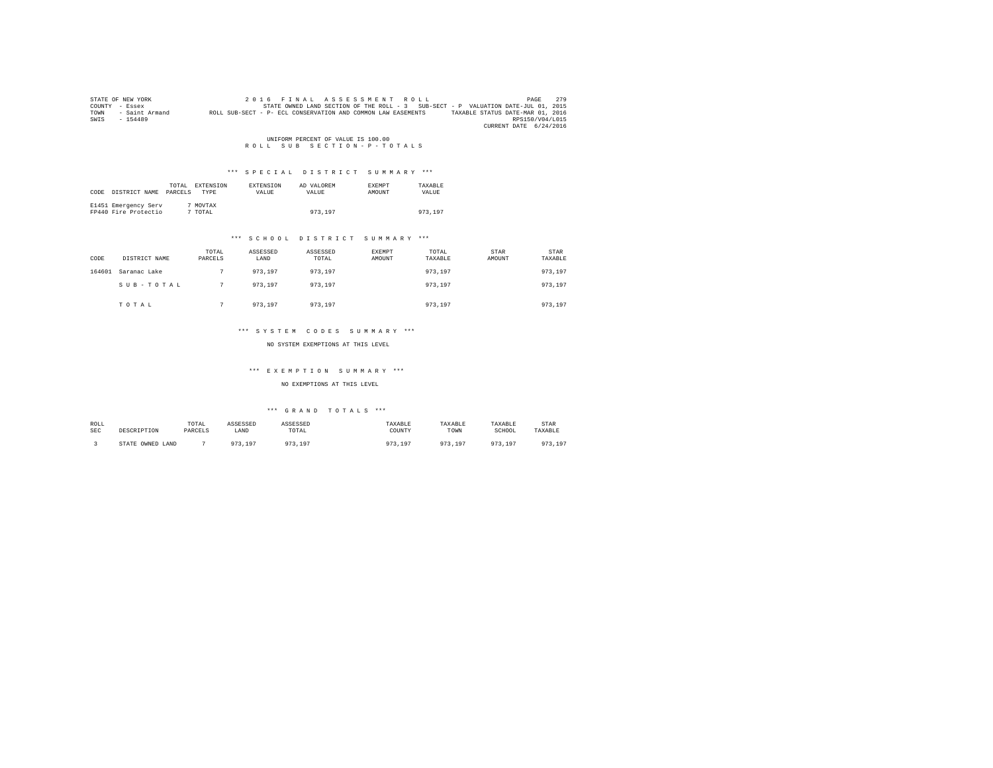|      | STATE OF NEW YORK | 2016 FINAL ASSESSMENT ROLL                                                                       | PAGE            | 279 |
|------|-------------------|--------------------------------------------------------------------------------------------------|-----------------|-----|
|      | COUNTY - Essex    | STATE OWNED LAND SECTION OF THE ROLL - 3 SUB-SECT - P VALUATION DATE-JUL 01, 2015                |                 |     |
| TOWN | - Saint Armand    | TAXABLE STATUS DATE-MAR 01, 2016<br>ROLL SUB-SECT - P- ECL CONSERVATION AND COMMON LAW EASEMENTS |                 |     |
| SWIS | $-154489$         |                                                                                                  | RPS150/V04/L015 |     |
|      |                   | CURRENT DATE 6/24/2016                                                                           |                 |     |

# UNIFORM PERCENT OF VALUE IS 100.00<br>R O L L S U B S E C T I O N - P - T O T A L S

# \*\*\* S P E C I A L D I S T R I C T S U M M A R Y \*\*\*

| CODE | DISTRICT NAME                                | TOTAL<br>PARCELS | EXTENSION<br>TYPE   | EXTENSION<br>VALUE | AD VALOREM<br>VALUE | EXEMPT<br>AMOUNT | TAXABLE<br>VALUE |
|------|----------------------------------------------|------------------|---------------------|--------------------|---------------------|------------------|------------------|
|      | E1451 Emergency Serv<br>FP440 Fire Protectio |                  | 7 MOVTAX<br>7 TOTAL |                    | 973,197             |                  | 973,197          |

#### \*\*\* S C H O O L D I S T R I C T S U M M A R Y \*\*\*

| CODE   | DISTRICT NAME | TOTAL<br>PARCELS | ASSESSED<br>LAND | ASSESSED<br>TOTAL | <b>EXEMPT</b><br>AMOUNT | TOTAL<br>TAXABLE | STAR<br>AMOUNT | STAR<br>TAXABLE |
|--------|---------------|------------------|------------------|-------------------|-------------------------|------------------|----------------|-----------------|
| 164601 | Saranac Lake  |                  | 973.197          | 973,197           |                         | 973.197          |                | 973,197         |
|        | SUB-TOTAL     |                  | 973.197          | 973,197           |                         | 973.197          |                | 973,197         |
|        | TOTAL         |                  | 973,197          | 973,197           |                         | 973.197          |                | 973,197         |

#### \*\*\* S Y S T E M C O D E S S U M M A R Y \*\*\*

NO SYSTEM EXEMPTIONS AT THIS LEVEL

# \*\*\* E X E M P T I O N S U M M A R Y \*\*\*

### NO EXEMPTIONS AT THIS LEVEL

# $***$  GRAND TOTALS  $***$

| ROLL<br><b>SEC</b> | DESCRIPTION            | TOTAL<br>PARCELS | ASSESSED<br>LAND       | ASSESSED<br>TOTAL                | TAXABLE<br>COUNTY | TAXABLE<br>TOWN | TAXABLE<br>SCHOOL | STAR<br>TAXABLE             |
|--------------------|------------------------|------------------|------------------------|----------------------------------|-------------------|-----------------|-------------------|-----------------------------|
|                    | OWNED<br>STATE<br>LAND |                  | Q72<br>10 <sup>7</sup> | 07 <sup>o</sup><br>10'<br>1.3.17 | 107               | 0.75<br>$10-1$  | 973,197           | 072<br>197<br>, , , , , , , |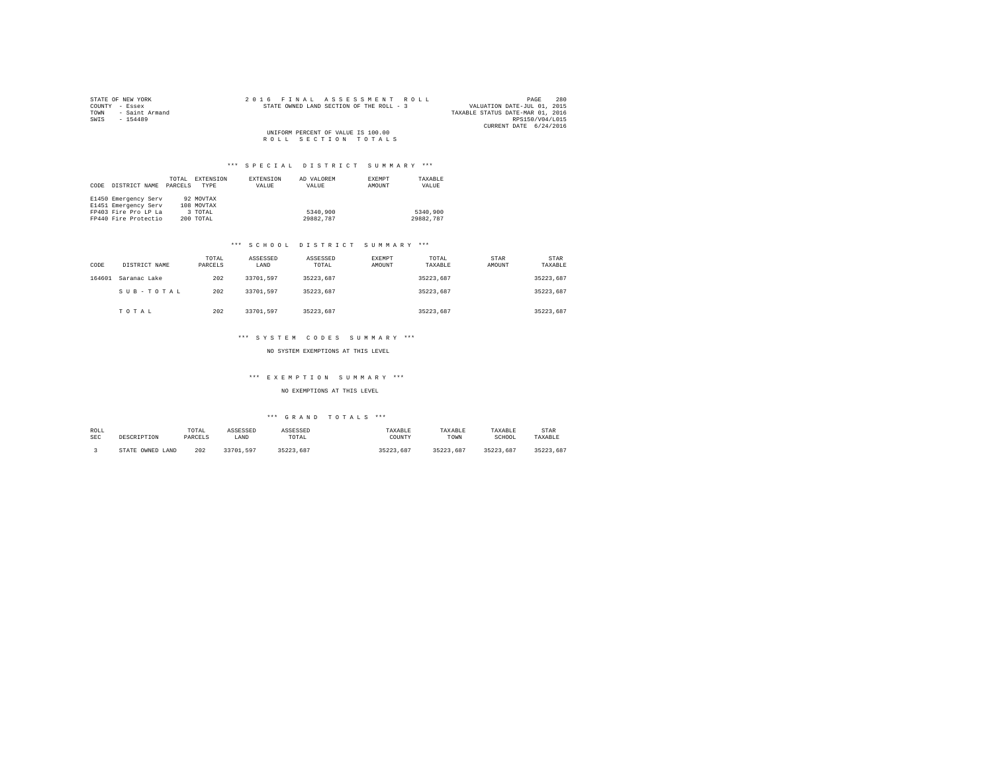| STATE OF NEW YORK      |  |  | 2016 FINAL ASSESSMENT ROLL               |  |  |                                  |                        | PAGE | 280 |
|------------------------|--|--|------------------------------------------|--|--|----------------------------------|------------------------|------|-----|
| COUNTY - Essex         |  |  | STATE OWNED LAND SECTION OF THE ROLL - 3 |  |  | VALUATION DATE-JUL 01, 2015      |                        |      |     |
| TOWN<br>- Saint Armand |  |  |                                          |  |  | TAXABLE STATUS DATE-MAR 01, 2016 |                        |      |     |
| SWIS<br>$-154489$      |  |  |                                          |  |  |                                  | RPS150/V04/L015        |      |     |
|                        |  |  |                                          |  |  |                                  | CURRENT DATE 6/24/2016 |      |     |
|                        |  |  | UNIFORM PERCENT OF VALUE IS 100.00       |  |  |                                  |                        |      |     |
|                        |  |  | ROLL SECTION TOTALS                      |  |  |                                  |                        |      |     |

| CODE | DISTRICT NAME        | TOTAL<br>PARCELS | EXTENSION<br>TYPE | EXTENSION<br>VALUE | AD VALOREM<br>VALUE | EXEMPT<br>AMOUNT | TAXABLE<br>VALUE |
|------|----------------------|------------------|-------------------|--------------------|---------------------|------------------|------------------|
|      | E1450 Emergency Serv |                  | 92 MOVTAX         |                    |                     |                  |                  |
|      | E1451 Emergency Serv |                  | 108 MOVTAX        |                    |                     |                  |                  |
|      | FP403 Fire Pro LP La |                  | 3 TOTAL           |                    | 5340,900            |                  | 5340,900         |
|      | FP440 Fire Protectio |                  | 200 TOTAL         |                    | 29882.787           |                  | 29882.787        |

# \*\*\* S C H O O L D I S T R I C T S U M M A R Y \*\*\*

| CODE   | DISTRICT NAME | TOTAL<br>PARCELS | ASSESSED<br>LAND | ASSESSED<br>TOTAL | <b>EXEMPT</b><br>AMOUNT | TOTAL<br>TAXABLE | STAR<br>AMOUNT | <b>STAR</b><br>TAXABLE |
|--------|---------------|------------------|------------------|-------------------|-------------------------|------------------|----------------|------------------------|
| 164601 | Saranac Lake  | 202              | 33701.597        | 35223.687         |                         | 35223.687        |                | 35223.687              |
|        | SUB-TOTAL     | 202              | 33701.597        | 35223.687         |                         | 35223.687        |                | 35223.687              |
|        | TOTAL         | 202              | 33701.597        | 35223.687         |                         | 35223.687        |                | 35223.687              |

# \*\*\* S Y S T E M C O D E S S U M M A R Y \*\*\*

# NO SYSTEM EXEMPTIONS AT THIS LEVEL

# \*\*\* E X E M P T I O N S U M M A R Y \*\*\*

# NO EXEMPTIONS AT THIS LEVEL

| ROLL       | DESCRIPTION      | TOTAL   | ASSESSED  | ASSESSED  | TAXABLE   | TAXABLE   | TAXABLE   | STAR      |
|------------|------------------|---------|-----------|-----------|-----------|-----------|-----------|-----------|
| <b>SEC</b> |                  | PARCELS | LAND      | TOTAL     | COUNTY    | TOWN      | SCHOOL    | TAXABLE   |
|            | STATE OWNED LAND | 202     | 33701.597 | 35223.687 | 35223.687 | 35223.687 | 35223.687 | 35223.687 |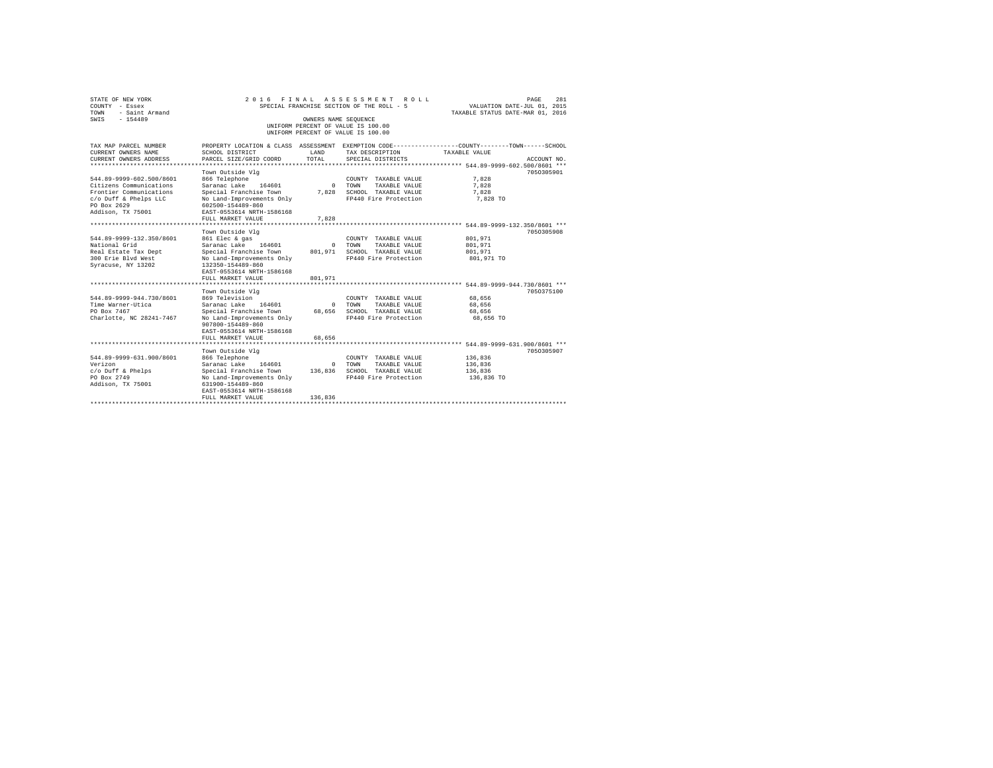| STATE OF NEW YORK<br>COUNTY - Essex<br>TOWN<br>- Saint Armand |                                                                                                  |                      | 2016 FINAL ASSESSMENT<br>ROLL.<br>SPECIAL FRANCHISE SECTION OF THE ROLL - 5 | VALUATION DATE-JUL 01, 2015<br>TAXABLE STATUS DATE-MAR 01, 2016 | 281<br>PAGE |
|---------------------------------------------------------------|--------------------------------------------------------------------------------------------------|----------------------|-----------------------------------------------------------------------------|-----------------------------------------------------------------|-------------|
| $-154489$<br>SWIS                                             |                                                                                                  | OWNERS NAME SEQUENCE | UNIFORM PERCENT OF VALUE IS 100.00                                          |                                                                 |             |
|                                                               |                                                                                                  |                      | UNIFORM PERCENT OF VALUE IS 100.00                                          |                                                                 |             |
| TAX MAP PARCEL NUMBER                                         | PROPERTY LOCATION & CLASS ASSESSMENT EXEMPTION CODE----------------COUNTY-------TOWN------SCHOOL |                      |                                                                             |                                                                 |             |
| CURRENT OWNERS NAME<br>CURRENT OWNERS ADDRESS                 | SCHOOL DISTRICT<br>PARCEL SIZE/GRID COORD                                                        | LAND<br>TOTAL.       | TAX DESCRIPTION<br>SPECIAL DISTRICTS                                        | TAXABLE VALUE                                                   | ACCOUNT NO. |
| ********************                                          |                                                                                                  |                      |                                                                             |                                                                 |             |
|                                                               | Town Outside Vlg                                                                                 |                      |                                                                             |                                                                 | 7050305901  |
| 544.89-9999-602.500/8601                                      | 866 Telephone                                                                                    |                      | COUNTY TAXABLE VALUE                                                        | 7,828                                                           |             |
| Citizens Communications                                       | Saranac Lake 164601                                                                              | $\Omega$             | TOWN<br>TAXABLE VALUE                                                       | 7.828                                                           |             |
| Frontier Communications                                       | Special Franchise Town                                                                           | 7.828                | SCHOOL TAXABLE VALUE                                                        | 7.828                                                           |             |
| c/o Duff & Phelps LLC                                         | No Land-Improvements Only                                                                        |                      | FP440 Fire Protection                                                       | 7,828 TO                                                        |             |
| PO Box 2629                                                   | 602500-154489-860                                                                                |                      |                                                                             |                                                                 |             |
| Addison, TX 75001                                             | EAST-0553614 NRTH-1586168                                                                        |                      |                                                                             |                                                                 |             |
|                                                               | FULL MARKET VALUE<br>.                                                                           | 7.828                |                                                                             |                                                                 |             |
|                                                               | Town Outside Vlg                                                                                 |                      |                                                                             | ********** 544.89-9999-132.350/8601 ***                         | 7050305908  |
| 544.89-9999-132.350/8601                                      | 861 Elec & gas                                                                                   |                      | COUNTY TAXABLE VALUE                                                        | 801,971                                                         |             |
| National Grid                                                 | Saranac Lake 164601                                                                              | $^{\circ}$           | TOWN<br>TAXABLE VALUE                                                       | 801,971                                                         |             |
| Real Estate Tax Dept                                          | Special Franchise Town                                                                           | 801,971              | SCHOOL TAXABLE VALUE                                                        | 801,971                                                         |             |
| 300 Erie Blyd West                                            | No Land-Improvements Only                                                                        |                      | FP440 Fire Protection                                                       | 801,971 TO                                                      |             |
| Syracuse, NY 13202                                            | 132350-154489-860                                                                                |                      |                                                                             |                                                                 |             |
|                                                               | EAST-0553614 NRTH-1586168                                                                        |                      |                                                                             |                                                                 |             |
|                                                               | FULL MARKET VALUE                                                                                | 801,971              |                                                                             |                                                                 |             |
|                                                               |                                                                                                  |                      |                                                                             |                                                                 |             |
|                                                               | Town Outside Vla                                                                                 |                      |                                                                             |                                                                 | 7050375100  |
| 544.89-9999-944.730/8601                                      | 869 Television                                                                                   |                      | COUNTY TAXABLE VALUE                                                        | 68,656                                                          |             |
| Time Warner-Utica                                             | Saranac Lake<br>164601                                                                           | $\Omega$             | TOWN<br>TAXABLE VALUE                                                       | 68,656                                                          |             |
| PO Box 7467                                                   | Special Franchise Town                                                                           | 68,656               | SCHOOL TAXABLE VALUE                                                        | 68,656                                                          |             |
| Charlotte, NC 28241-7467                                      | No Land-Improvements Only                                                                        |                      | FP440 Fire Protection                                                       | 68.656 TO                                                       |             |
|                                                               | 907800-154489-860                                                                                |                      |                                                                             |                                                                 |             |
|                                                               | EAST-0553614 NRTH-1586168<br>FULL MARKET VALUE                                                   | 68,656               |                                                                             |                                                                 |             |
|                                                               | **************************                                                                       |                      |                                                                             |                                                                 |             |
|                                                               | Town Outside Vlg                                                                                 |                      |                                                                             |                                                                 | 7050305907  |
| 544.89-9999-631.900/8601                                      | 866 Telephone                                                                                    |                      | COUNTY TAXABLE VALUE                                                        | 136,836                                                         |             |
| Verizon                                                       | Saranac Lake 164601                                                                              | $\Omega$             | TOWN<br>TAXABLE VALUE                                                       | 136,836                                                         |             |
| $c$ /o Duff & Phelps                                          | Special Franchise Town                                                                           | 136,836              | SCHOOL TAXABLE VALUE                                                        | 136,836                                                         |             |
| PO Box 2749                                                   | No Land-Improvements Only                                                                        |                      | FP440 Fire Protection                                                       | 136,836 TO                                                      |             |
| Addison, TX 75001                                             | 631900-154489-860                                                                                |                      |                                                                             |                                                                 |             |
|                                                               | EAST-0553614 NRTH-1586168                                                                        |                      |                                                                             |                                                                 |             |
|                                                               | FULL MARKET VALUE                                                                                | 136,836              |                                                                             |                                                                 |             |
|                                                               |                                                                                                  |                      |                                                                             |                                                                 |             |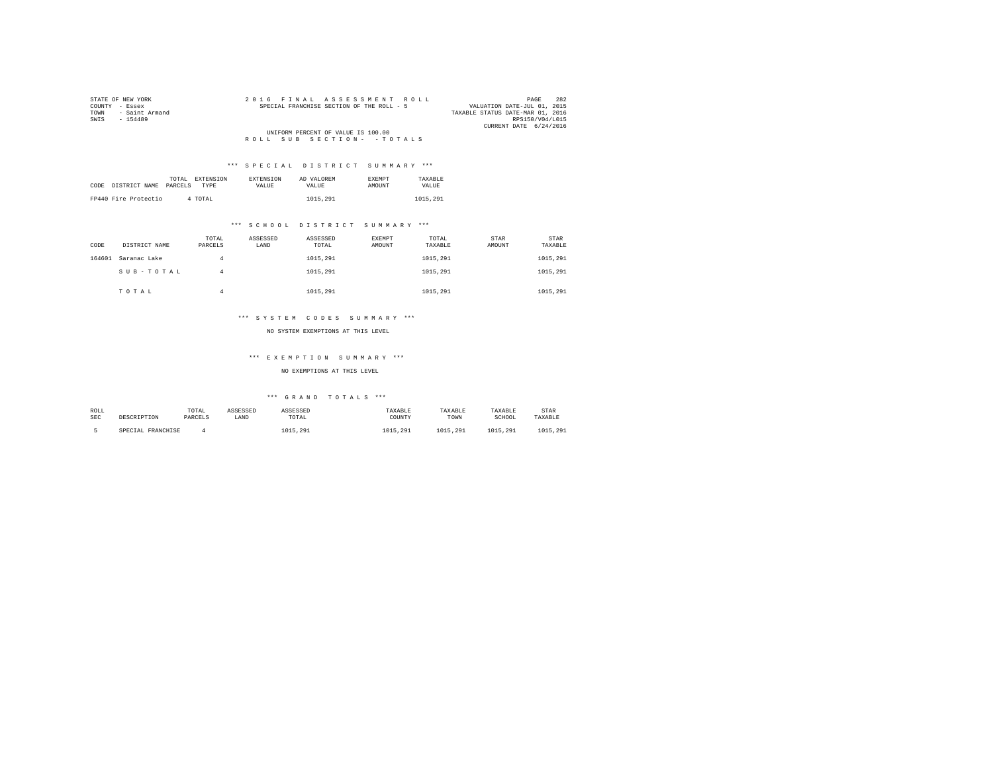| STATE OF NEW YORK      | 2016 FINAL ASSESSMENT ROLL                | 282<br>PAGE                      |
|------------------------|-------------------------------------------|----------------------------------|
| COUNTY - Essex         | SPECIAL FRANCHISE SECTION OF THE ROLL - 5 | VALUATION DATE-JUL 01, 2015      |
| - Saint Armand<br>TOWN |                                           | TAXABLE STATUS DATE-MAR 01, 2016 |
| SWIS<br>$-154489$      |                                           | RPS150/V04/L015                  |
|                        |                                           | CURRENT DATE 6/24/2016           |
|                        | UNIFORM PERCENT OF VALUE IS 100.00        |                                  |
|                        | ROLL SUB SECTION- - TOTALS                |                                  |

|      |                      |         | TOTAL EXTENSION | <b>EXTENSION</b> | AD VALOREM | <b>EXEMPT</b> | TAXARLE  |
|------|----------------------|---------|-----------------|------------------|------------|---------------|----------|
| CODE | DISTRICT NAME        | PARCELS | <b>TYPE</b>     | <b>VALUE</b>     | VALUE.     | AMOUNT        | VALUE    |
|      |                      |         |                 |                  |            |               |          |
|      | FP440 Fire Protectio |         | 4 TOTAL         |                  | 1015,291   |               | 1015,291 |
|      |                      |         |                 |                  |            |               |          |

# \*\*\* S C H O O L D I S T R I C T S U M M A R Y \*\*\*

| CODE   | DISTRICT NAME | TOTAL<br>PARCELS | ASSESSED<br>LAND | ASSESSED<br>TOTAL | EXEMPT<br>AMOUNT | TOTAL<br>TAXABLE | STAR<br>AMOUNT | <b>STAR</b><br>TAXABLE |
|--------|---------------|------------------|------------------|-------------------|------------------|------------------|----------------|------------------------|
| 164601 | Saranac Lake  | 4                |                  | 1015,291          |                  | 1015,291         |                | 1015,291               |
|        | SUB-TOTAL     | 4                |                  | 1015,291          |                  | 1015,291         |                | 1015,291               |
|        | TOTAL         | 4                |                  | 1015,291          |                  | 1015.291         |                | 1015,291               |

# \*\*\* S Y S T E M C O D E S S U M M A R Y \*\*\*

#### NO SYSTEM EXEMPTIONS AT THIS LEVEL

# \*\*\* E X E M P T I O N S U M M A R Y \*\*\*

# NO EXEMPTIONS AT THIS LEVEL

| ROLL       |                   | TOTAL   | ASSESSED | ASSESSED | TAXABLE  | TAXABLE  | TAXABLE  | STAR     |
|------------|-------------------|---------|----------|----------|----------|----------|----------|----------|
| <b>SEC</b> | DESCRIPTION       | PARCELS | LAND     | TOTAL    | COUNTY   | TOWN     | SCHOOL   | TAXABLE  |
|            | SPECIAL FRANCHISE |         |          | 1015,291 | 1015,291 | 1015.291 | 1015,291 | 1015,291 |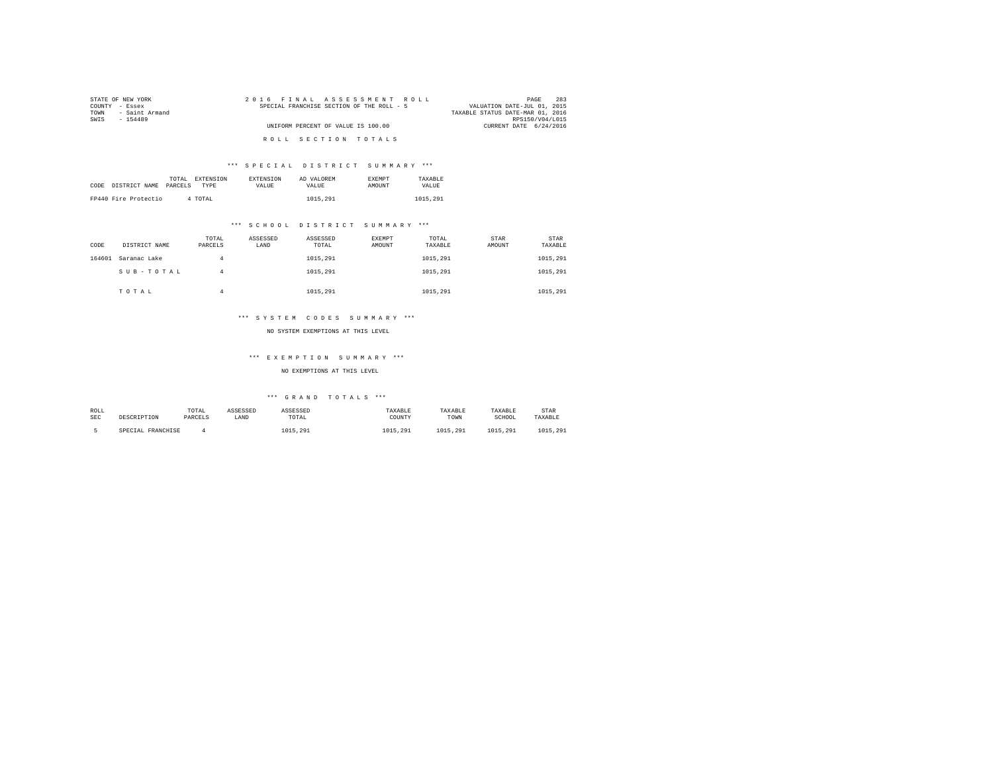| STATE OF NEW YORK      | 2016 FINAL ASSESSMENT ROLL                | 283<br>PAGE                      |
|------------------------|-------------------------------------------|----------------------------------|
| COUNTY - Essex         | SPECIAL FRANCHISE SECTION OF THE ROLL - 5 | VALUATION DATE-JUL 01, 2015      |
| - Saint Armand<br>TOWN |                                           | TAXABLE STATUS DATE-MAR 01, 2016 |
| SWIS<br>$-154489$      |                                           | RPS150/V04/L015                  |
|                        | UNIFORM PERCENT OF VALUE IS 100.00        | CURRENT DATE 6/24/2016           |
|                        |                                           |                                  |
|                        | ROLL SECTION TOTALS                       |                                  |

|      |                      | TOTAL   | EXTENSION | <b>EXTENSION</b> | AD VALOREM | <b>EXEMPT</b> | TAXARLE  |
|------|----------------------|---------|-----------|------------------|------------|---------------|----------|
| CODE | DISTRICT NAME        | PARCELS | TYPE      | VALUE            | VALUE.     | <b>AMOUNT</b> | VALUE    |
|      |                      |         |           |                  |            |               |          |
|      | FP440 Fire Protectio |         | 4 TOTAL   |                  | 1015,291   |               | 1015,291 |

# \*\*\* S C H O O L D I S T R I C T S U M M A R Y \*\*\*

| CODE   | DISTRICT NAME | TOTAL<br>PARCELS | ASSESSED<br>LAND | ASSESSED<br>TOTAL | EXEMPT<br>AMOUNT | TOTAL<br>TAXABLE | STAR<br>AMOUNT | STAR<br>TAXABLE |
|--------|---------------|------------------|------------------|-------------------|------------------|------------------|----------------|-----------------|
| 164601 | Saranac Lake  | 4                |                  | 1015,291          |                  | 1015,291         |                | 1015,291        |
|        | SUB-TOTAL     | 4                |                  | 1015,291          |                  | 1015,291         |                | 1015,291        |
|        | TOTAL         | 4                |                  | 1015,291          |                  | 1015.291         |                | 1015,291        |

# \*\*\* S Y S T E M C O D E S S U M M A R Y \*\*\*

#### NO SYSTEM EXEMPTIONS AT THIS LEVEL

# \*\*\* E X E M P T I O N S U M M A R Y \*\*\*

# NO EXEMPTIONS AT THIS LEVEL

| ROLL       |                   | TOTAL   | ASSESSED | ASSESSED | TAXABLE  | TAXABLE  | TAXABLE  | <b>STAR</b> |
|------------|-------------------|---------|----------|----------|----------|----------|----------|-------------|
| <b>SEC</b> | DESCRIPTION       | PARCELS | LAND     | TOTAL    | COUNTY   | TOWN     | SCHOOL   | TAXABLE     |
|            | SPECIAL FRANCHISE |         |          | 1015,291 | 1015.291 | 1015.291 | 1015.291 | 1015,291    |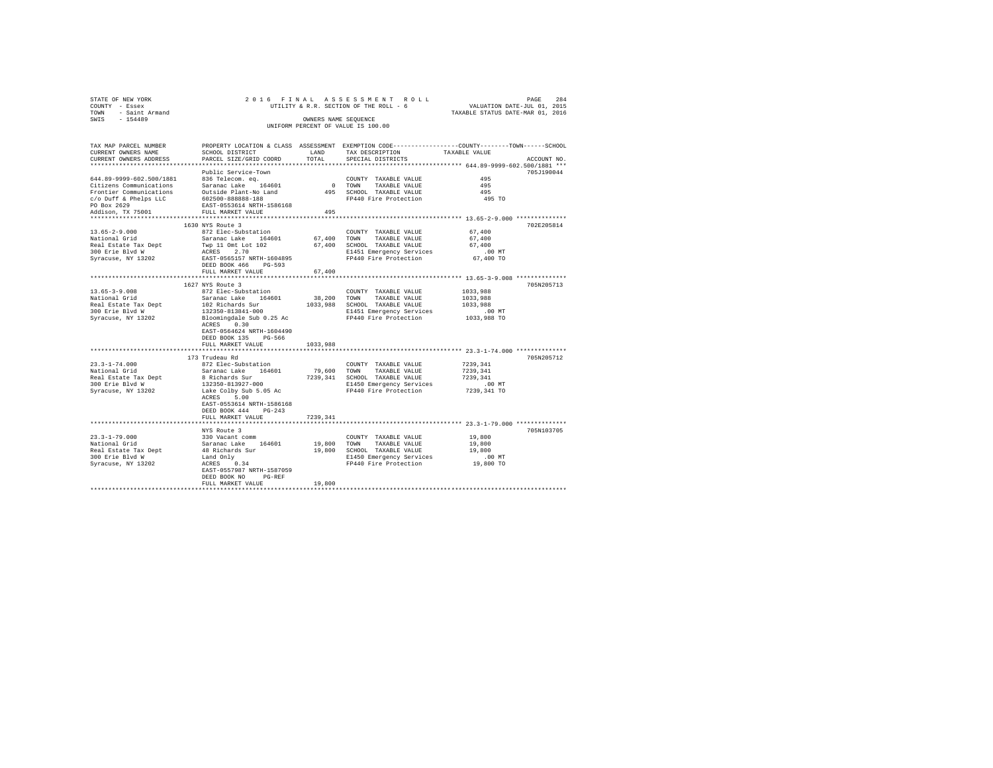| STATE OF NEW YORK                                             |                                                                                                                                                                                                                                               |          |                                                                                                                          |                     |             |
|---------------------------------------------------------------|-----------------------------------------------------------------------------------------------------------------------------------------------------------------------------------------------------------------------------------------------|----------|--------------------------------------------------------------------------------------------------------------------------|---------------------|-------------|
| COUNTY - Essex                                                |                                                                                                                                                                                                                                               |          | 204 PAGE 284<br>DREE 284 PAGE 284 PAGE 284<br>UTILITY & R.R. SECTION OF THE ROLL - 6<br>TAXABLE STATUS DATE-MAR 01, 2016 |                     |             |
| TOWN - Saint Armand                                           |                                                                                                                                                                                                                                               |          |                                                                                                                          |                     |             |
| SWIS - 154489                                                 |                                                                                                                                                                                                                                               |          | OWNERS NAME SEOUENCE                                                                                                     |                     |             |
|                                                               |                                                                                                                                                                                                                                               |          | UNIFORM PERCENT OF VALUE IS 100.00                                                                                       |                     |             |
|                                                               |                                                                                                                                                                                                                                               |          |                                                                                                                          |                     |             |
| TAX MAP PARCEL NUMBER                                         |                                                                                                                                                                                                                                               |          | PROPERTY LOCATION & CLASS ASSESSMENT EXEMPTION CODE---------------COUNTY-------TOWN------SCHOOL                          |                     |             |
| CURRENT OWNERS NAME                                           | SCHOOL DISTRICT                                                                                                                                                                                                                               |          | LAND TAX DESCRIPTION                                                                                                     | TAXABLE VALUE       |             |
| CURRENT OWNERS ADDRESS                                        | PARCEL SIZE/GRID COORD                                                                                                                                                                                                                        |          | TOTAL SPECIAL DISTRICTS                                                                                                  |                     | ACCOUNT NO. |
|                                                               |                                                                                                                                                                                                                                               |          |                                                                                                                          |                     |             |
|                                                               | Public Service-Town                                                                                                                                                                                                                           |          |                                                                                                                          |                     | 705J190044  |
| 644.89-9999-602.500/1881 836 Telecom. eq.                     |                                                                                                                                                                                                                                               |          | COUNTY TAXABLE VALUE                                                                                                     | 495                 |             |
|                                                               |                                                                                                                                                                                                                                               |          | 0 TOWN TAXABLE VALUE                                                                                                     | 495                 |             |
|                                                               |                                                                                                                                                                                                                                               |          | 0 TOWN TAAABLE VALUE<br>495 SCHOOL TAXABLE VALUE<br>FP440 Fire Protection                                                | 495                 |             |
|                                                               |                                                                                                                                                                                                                                               |          |                                                                                                                          | 495 TO              |             |
|                                                               | virions Communications 336 Telecom, eq. (2016)<br>Citizens Communications Saranac Lake 164601<br>Frontier Communications outside Plant-No Land<br>PO Duff & Pelps LiC 602500-88888-188<br>PO Box 2629 EAST-0553614 NRTH-1586168<br>Addison, T |          |                                                                                                                          |                     |             |
|                                                               |                                                                                                                                                                                                                                               | 495      |                                                                                                                          |                     |             |
|                                                               |                                                                                                                                                                                                                                               |          |                                                                                                                          |                     |             |
|                                                               | 1630 NYS Route 3                                                                                                                                                                                                                              |          |                                                                                                                          |                     | 702E205814  |
| 13.65-2-9.000<br>National Grid                                | 872 Elec-Substation                                                                                                                                                                                                                           |          | $\texttt{COUNTY} \quad \texttt{TXABLE} \quad \texttt{VALUE} \qquad \qquad 67 \, ,400$                                    |                     |             |
|                                                               |                                                                                                                                                                                                                                               |          |                                                                                                                          | 67,400              |             |
|                                                               |                                                                                                                                                                                                                                               |          |                                                                                                                          | 67,400              |             |
| Real Estate Tax Dept<br>300 Erie Blvd W<br>Syracuse, NY 13202 | Saranac Lake 164601 67,400 TOWN TAXABLE VALUE<br>Twp 11 Ont Lot 102 67,400 SCHOOL TAXABLE VALUE<br>ROBER 2.70 81451 Emergency Services<br>EAST-0565157 NRTH-1604895 FP440 Fire Protection                                                     |          |                                                                                                                          | .00 MT<br>67,400 TO |             |
|                                                               |                                                                                                                                                                                                                                               |          |                                                                                                                          |                     |             |
|                                                               | DEED BOOK 466 PG-593                                                                                                                                                                                                                          |          |                                                                                                                          |                     |             |
|                                                               | FULL MARKET VALUE                                                                                                                                                                                                                             | 67,400   |                                                                                                                          |                     |             |
|                                                               |                                                                                                                                                                                                                                               |          |                                                                                                                          |                     |             |
|                                                               | 1627 NYS Route 3                                                                                                                                                                                                                              |          |                                                                                                                          |                     | 705N205713  |
| $13.65 - 3 - 9.008$                                           | 872 Elec-Substation                                                                                                                                                                                                                           |          | COUNTY TAXABLE VALUE                                                                                                     | 1033,988            |             |
|                                                               |                                                                                                                                                                                                                                               |          |                                                                                                                          |                     |             |
|                                                               |                                                                                                                                                                                                                                               |          |                                                                                                                          |                     |             |
|                                                               |                                                                                                                                                                                                                                               |          |                                                                                                                          |                     |             |
|                                                               |                                                                                                                                                                                                                                               |          |                                                                                                                          |                     |             |
|                                                               | ACRES 0.30<br>EAST-0564624 NRTH-1604490                                                                                                                                                                                                       |          |                                                                                                                          |                     |             |
|                                                               |                                                                                                                                                                                                                                               |          |                                                                                                                          |                     |             |
|                                                               | DEED BOOK 135 PG-566                                                                                                                                                                                                                          |          |                                                                                                                          |                     |             |
|                                                               | FULL MARKET VALUE                                                                                                                                                                                                                             | 1033,988 |                                                                                                                          |                     |             |
|                                                               | 173 Trudeau Rd                                                                                                                                                                                                                                |          |                                                                                                                          |                     | 705N205712  |
| $23.3 - 1 - 74.000$                                           |                                                                                                                                                                                                                                               |          | COUNTY TAXABLE VALUE 7239,341                                                                                            |                     |             |
|                                                               | 872 Elec-Substation                                                                                                                                                                                                                           |          | 79,600 TOWN TAXABLE VALUE                                                                                                | 7239.341            |             |
|                                                               |                                                                                                                                                                                                                                               |          |                                                                                                                          |                     |             |
|                                                               |                                                                                                                                                                                                                                               |          |                                                                                                                          |                     |             |
|                                                               |                                                                                                                                                                                                                                               |          | 7239,341 SCHOOL TAXABLE VALUE 7239,341 SCHOOL TAXABLE VALUE 7239,341 E1450 Emergency Services .00 MT                     |                     |             |
|                                                               | ACRES 5.00                                                                                                                                                                                                                                    |          |                                                                                                                          |                     |             |
|                                                               | EAST-0553614 NRTH-1586168                                                                                                                                                                                                                     |          |                                                                                                                          |                     |             |
|                                                               | DEED BOOK 444 PG-243                                                                                                                                                                                                                          |          |                                                                                                                          |                     |             |
|                                                               | FULL MARKET VALUE                                                                                                                                                                                                                             |          |                                                                                                                          |                     |             |
|                                                               |                                                                                                                                                                                                                                               | 7239,341 |                                                                                                                          |                     |             |
|                                                               |                                                                                                                                                                                                                                               |          |                                                                                                                          |                     |             |
|                                                               | NYS Route 3                                                                                                                                                                                                                                   |          |                                                                                                                          |                     | 705N103705  |
|                                                               |                                                                                                                                                                                                                                               |          |                                                                                                                          |                     |             |
|                                                               |                                                                                                                                                                                                                                               |          |                                                                                                                          |                     |             |
|                                                               |                                                                                                                                                                                                                                               |          |                                                                                                                          |                     |             |
|                                                               |                                                                                                                                                                                                                                               |          |                                                                                                                          |                     |             |
|                                                               |                                                                                                                                                                                                                                               |          |                                                                                                                          |                     |             |
|                                                               | DEED BOOK NO PG-REF                                                                                                                                                                                                                           |          |                                                                                                                          |                     |             |
|                                                               | FULL MARKET VALUE                                                                                                                                                                                                                             | 19,800   |                                                                                                                          |                     |             |
|                                                               |                                                                                                                                                                                                                                               |          |                                                                                                                          |                     |             |
|                                                               |                                                                                                                                                                                                                                               |          |                                                                                                                          |                     |             |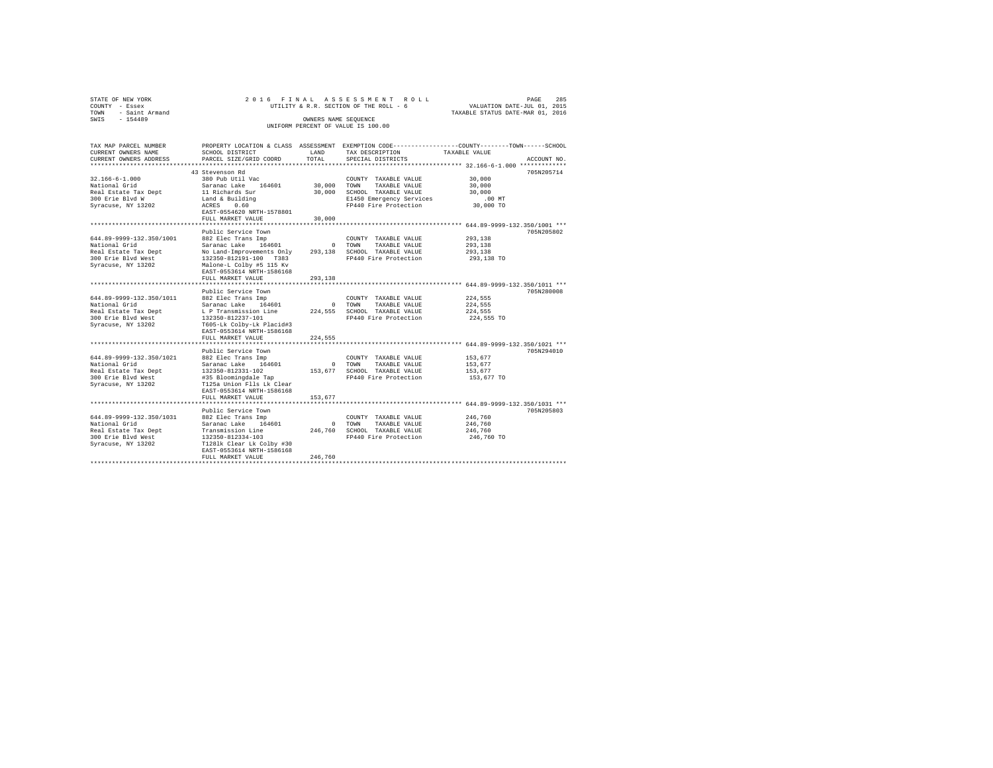| STATE OF NEW YORK   | 2016 FINAL ASSESSMENT ROLL             | 285<br>PAGE                      |
|---------------------|----------------------------------------|----------------------------------|
| COUNTY - Essex      | UTILITY & R.R. SECTION OF THE ROLL - 6 | VALUATION DATE-JUL 01, 2015      |
| TOWN - Saint Armand |                                        | TAXABLE STATUS DATE-MAR 01, 2016 |
| SWIS<br>$-154489$   | OWNERS NAME SEOUENCE                   |                                  |
|                     | UNIFORM PERCENT OF VALUE IS 100.00     |                                  |
|                     |                                        |                                  |

| TAX MAP PARCEL NUMBER                                                                                                               |                                                                                                 |              |                              | PROPERTY LOCATION & CLASS ASSESSMENT EXEMPTION CODE---------------COUNTY-------TOWN-----SCHOOL |
|-------------------------------------------------------------------------------------------------------------------------------------|-------------------------------------------------------------------------------------------------|--------------|------------------------------|------------------------------------------------------------------------------------------------|
| CURRENT OWNERS NAME                                                                                                                 | SCHOOL DISTRICT                                                                                 | <b>T.AND</b> | TAX DESCRIPTION              | TAXABLE VALUE                                                                                  |
| CURRENT OWNERS ADDRESS                                                                                                              | PARCEL SIZE/GRID COORD                                                                          | TOTAL        | SPECIAL DISTRICTS            | ACCOUNT NO.                                                                                    |
| *********************                                                                                                               |                                                                                                 |              |                              |                                                                                                |
|                                                                                                                                     | 43 Stevenson Rd                                                                                 |              |                              | 705N205714                                                                                     |
| $32.166 - 6 - 1.000$                                                                                                                | 380 Pub Util Vac                                                                                |              | COUNTY TAXABLE VALUE         | 30,000                                                                                         |
| National Grid                                                                                                                       | Saranac Lake 164601                                                                             |              | 30,000 TOWN TAXABLE VALUE    | 30,000                                                                                         |
| Real Estate Tax Dept                                                                                                                | 11 Richards Sur                                                                                 |              | 30,000 SCHOOL TAXABLE VALUE  | 30,000                                                                                         |
| 300 Erie Blvd W                                                                                                                     | Land & Building                                                                                 |              | E1450 Emergency Services     | .00 MT                                                                                         |
| Syracuse, NY 13202                                                                                                                  | ACRES 0.60                                                                                      |              | FP440 Fire Protection        | 30,000 TO                                                                                      |
|                                                                                                                                     | EAST-0554620 NRTH-1578801                                                                       |              |                              |                                                                                                |
|                                                                                                                                     | FULL MARKET VALUE                                                                               | 30,000       |                              |                                                                                                |
|                                                                                                                                     |                                                                                                 |              |                              |                                                                                                |
|                                                                                                                                     | Public Service Town                                                                             |              |                              | 705N205802                                                                                     |
| 644.89-9999-132.350/1001                                                                                                            | 882 Elec Trans Imp                                                                              |              | COUNTY TAXABLE VALUE         | 293,138                                                                                        |
| National Grid                                                                                                                       | Saranac Lake 164601                                                                             |              | 0 TOWN TAXABLE VALUE         | 293,138                                                                                        |
|                                                                                                                                     | No Land-Improvements Only 293,138 SCHOOL TAXABLE VALUE                                          |              |                              | 293,138                                                                                        |
| Real Estate Tax Dept                  No Land-Improvements Only<br>300 Erie Blvd West                    132350-812191-100     T383 |                                                                                                 |              | FP440 Fire Protection        | 293,138 TO                                                                                     |
| Syracuse, NY 13202 Malone-L Colby #5 115 Kv                                                                                         |                                                                                                 |              |                              |                                                                                                |
|                                                                                                                                     | EAST-0553614 NRTH-1586168                                                                       |              |                              |                                                                                                |
|                                                                                                                                     | FULL MARKET VALUE                                                                               | 293,138      |                              |                                                                                                |
|                                                                                                                                     |                                                                                                 |              |                              |                                                                                                |
|                                                                                                                                     | Public Service Town                                                                             |              |                              | 705N280008                                                                                     |
| 644.89-9999-132.350/1011 882 Elec Trans Imp                                                                                         |                                                                                                 |              | COUNTY TAXABLE VALUE         | 224,555                                                                                        |
| National Grid                                                                                                                       | Saranac Lake 164601                                                                             |              | 0 TOWN TAXABLE VALUE         | 224,555                                                                                        |
| Real Estate Tax Dept                                                                                                                |                                                                                                 |              |                              | 224,555                                                                                        |
| 300 Erie Blyd West                                                                                                                  | L P Transmission Line $224,555$ SCHOOL TAXABLE VALUE<br>132350-812237-101 FP440 Fire Protection |              |                              | 224,555 TO                                                                                     |
|                                                                                                                                     | T605-Lk Colby-Lk Placid#3                                                                       |              |                              |                                                                                                |
| Syracuse, NY 13202                                                                                                                  |                                                                                                 |              |                              |                                                                                                |
|                                                                                                                                     | EAST-0553614 NRTH-1586168                                                                       |              |                              |                                                                                                |
|                                                                                                                                     | FULL MARKET VALUE                                                                               | 224.555      |                              |                                                                                                |
|                                                                                                                                     |                                                                                                 |              |                              |                                                                                                |
|                                                                                                                                     | Public Service Town                                                                             |              |                              | 705N294010                                                                                     |
| 644.89-9999-132.350/1021                                                                                                            | 882 Elec Trans Imp                                                                              |              | COUNTY TAXABLE VALUE         | 153.677                                                                                        |
| National Grid                                                                                                                       | Saranac Lake 164601                                                                             |              | 0 TOWN TAXABLE VALUE         | 153.677                                                                                        |
| Real Estate Tax Dept                                                                                                                | 132350-812331-102<br>132350-812331-102<br>#35 Bloomingdale Tap                                  |              | 153,677 SCHOOL TAXABLE VALUE | 153.677                                                                                        |
| 300 Erie Blyd West                                                                                                                  |                                                                                                 |              | FP440 Fire Protection        | 153,677 TO                                                                                     |
| Syracuse, NY 13202                                                                                                                  | T125a Union Flls Lk Clear                                                                       |              |                              |                                                                                                |
|                                                                                                                                     | EAST-0553614 NRTH-1586168                                                                       |              |                              |                                                                                                |
|                                                                                                                                     | FULL MARKET VALUE                                                                               | 153,677      |                              |                                                                                                |
|                                                                                                                                     |                                                                                                 |              |                              |                                                                                                |
|                                                                                                                                     | Public Service Town                                                                             |              |                              | 705N205803                                                                                     |
| 644.89-9999-132.350/1031                                                                                                            | 882 Elec Trans Imp                                                                              |              | COUNTY TAXABLE VALUE         | 246,760                                                                                        |
| National Grid                                                                                                                       | Saranac Lake 164601                                                                             |              | 0 TOWN<br>TAXABLE VALUE      | 246,760                                                                                        |
| Real Estate Tax Dept                                                                                                                | Transmission Line                                                                               |              | 246.760 SCHOOL TAXABLE VALUE | 246,760                                                                                        |
| 300 Erie Blvd West                                                                                                                  | 132350-812334-103                                                                               |              | FP440 Fire Protection        | 246,760 TO                                                                                     |
| Syracuse, NY 13202                                                                                                                  | T1281k Clear Lk Colby #30                                                                       |              |                              |                                                                                                |
|                                                                                                                                     | EAST-0553614 NRTH-1586168                                                                       |              |                              |                                                                                                |
|                                                                                                                                     | FULL MARKET VALUE                                                                               | 246,760      |                              |                                                                                                |
|                                                                                                                                     |                                                                                                 |              |                              |                                                                                                |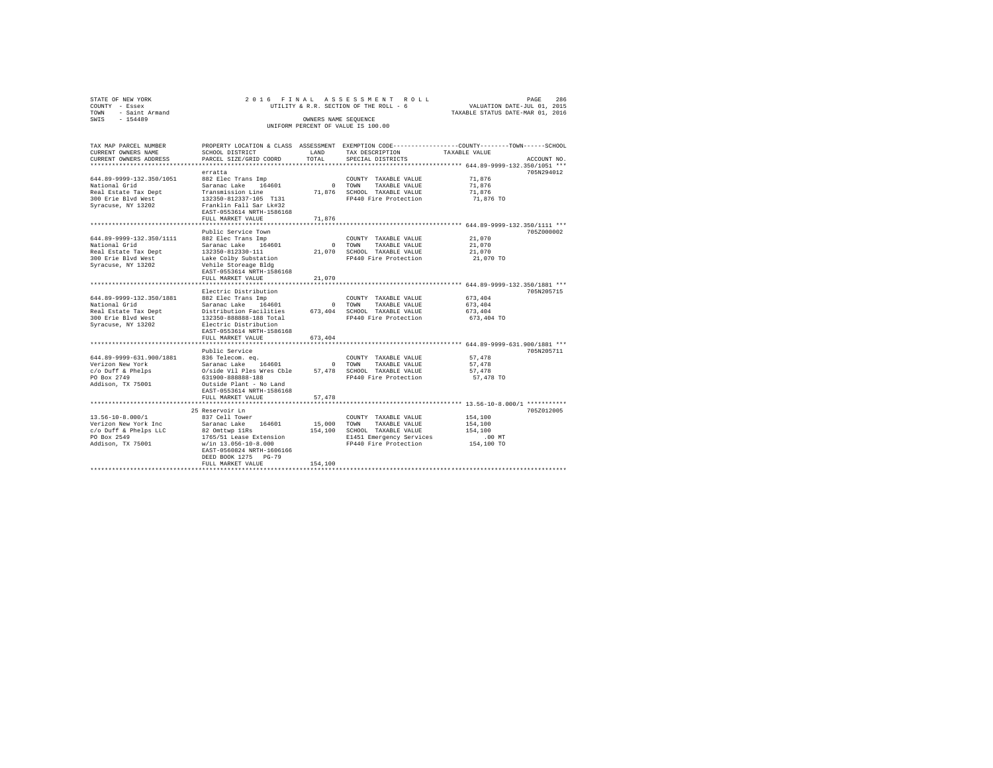| STATE OF NEW YORK      | 2016 FINAL ASSESSMENT ROLL             | 286<br>PAGE                      |
|------------------------|----------------------------------------|----------------------------------|
| COUNTY - Essex         | UTILITY & R.R. SECTION OF THE ROLL - 6 | VALUATION DATE-JUL 01, 2015      |
| - Saint Armand<br>TOWN |                                        | TAXABLE STATUS DATE-MAR 01, 2016 |
| $-154489$<br>SWIS      | OWNERS NAME SEOUENCE                   |                                  |
|                        | UNIFORM PERCENT OF VALUE IS 100.00     |                                  |

| TAX MAP PARCEL NUMBER<br>CURRENT OWNERS NAME<br>CURRENT OWNERS ADDRESS<br>********************                | SCHOOL DISTRICT<br>PARCEL SIZE/GRID COORD                                                                                                                                                                                                | <b>T.AND</b><br>TOTAL            | TAX DESCRIPTION<br>SPECIAL DISTRICTS                                                                                       | PROPERTY LOCATION & CLASS ASSESSMENT EXEMPTION CODE----------------COUNTY-------TOWN-----SCHOOL<br>TAXABLE VALUE             | ACCOUNT NO. |
|---------------------------------------------------------------------------------------------------------------|------------------------------------------------------------------------------------------------------------------------------------------------------------------------------------------------------------------------------------------|----------------------------------|----------------------------------------------------------------------------------------------------------------------------|------------------------------------------------------------------------------------------------------------------------------|-------------|
| 644.89-9999-132.350/1051<br>National Grid<br>Real Estate Tax Dept<br>300 Erie Blyd West<br>Syracuse, NY 13202 | erratta<br>882 Elec Trans Imp<br>164601<br>Saranac Lake<br>Transmission Line<br>132350-812337-105 T131<br>Franklin Fall Sar Lk#32<br>EAST-0553614 NRTH-1586168<br>FULL MARKET VALUE                                                      | $\circ$<br>71,876<br>71,876      | COUNTY TAXABLE VALUE<br>TOWN<br>TAXABLE VALUE<br>SCHOOL TAXABLE VALUE<br>FP440 Fire Protection                             | 71.876<br>71.876<br>71.876<br>71,876 TO<br>*********** 644.89-9999-132.350/1111 ***                                          | 705N294012  |
| 644.89-9999-132.350/1111<br>National Grid<br>Real Estate Tax Dept<br>300 Erie Blyd West<br>Syracuse, NY 13202 | Public Service Town<br>882 Elec Trans Imp<br>Saranac Lake<br>164601<br>132350-812330-111<br>Lake Colby Substation<br>Vehile Storeage Bldg<br>EAST-0553614 NRTH-1586168<br>FULL MARKET VALUE                                              | $\Omega$<br>21,070<br>21,070     | COUNTY TAXABLE VALUE<br>TOWN<br>TAXABLE VALUE<br>SCHOOL TAXABLE VALUE<br>FP440 Fire Protection                             | 21,070<br>21,070<br>21,070<br>21,070 TO                                                                                      | 705Z000002  |
| 644.89-9999-132.350/1881<br>National Grid<br>Real Estate Tax Dept<br>300 Erie Blyd West<br>Syracuse, NY 13202 | Electric Distribution<br>882 Elec Trans Imp<br>Saranac Lake<br>164601<br>Distribution Facilities<br>132350-888888-188 Total<br>Electric Distribution<br>EAST-0553614 NRTH-1586168<br>FULL MARKET VALUE                                   | $^{\circ}$<br>673,404<br>673.404 | COUNTY TAXABLE VALUE<br>TAXABLE VALUE<br>TOWN<br>SCHOOL TAXABLE VALUE<br>FP440 Fire Protection                             | 673.404<br>673.404<br>673,404<br>673,404 TO                                                                                  | 705N205715  |
| 644.89-9999-631.900/1881<br>Verizon New York<br>c/o Duff & Phelps<br>PO Box 2749<br>Addison, TX 75001         | *****************<br>Public Service<br>836 Telecom. eq.<br>Saranac Lake<br>164601<br>O/side Vil Ples Wres Cble<br>631900-888888-188<br>Outside Plant - No Land<br>EAST-0553614 NRTH-1586168<br>FULL MARKET VALUE<br>******************** | $\Omega$<br>57,478<br>57.478     | COUNTY TAXABLE VALUE<br>TOWN<br>TAXABLE VALUE<br>SCHOOL TAXABLE VALUE<br>FP440 Fire Protection                             | ********** 644.89-9999-631.900/1881 ***<br>57.478<br>57,478<br>57,478<br>57,478 TO<br>********** 13.56-10-8.000/1 ********** | 705N205711  |
| $13.56 - 10 - 8.000 / 1$<br>Verizon New York Inc<br>c/o Duff & Phelps LLC<br>PO Box 2549<br>Addison, TX 75001 | 25 Reservoir Ln<br>837 Cell Tower<br>Saranac Lake<br>164601<br>82 Omttwp 11Rs<br>1765/51 Lease Extension<br>$w/in 13.056 - 10 - 8.000$<br>EAST-0560824 NRTH-1606166<br>DEED BOOK 1275 PG-79<br>FULL MARKET VALUE                         | 15,000<br>154,100<br>154,100     | COUNTY TAXABLE VALUE<br>TOWN<br>TAXABLE VALUE<br>SCHOOL TAXABLE VALUE<br>E1451 Emergency Services<br>FP440 Fire Protection | 154,100<br>154,100<br>154,100<br>$.00$ MT<br>154,100 TO                                                                      | 705Z012005  |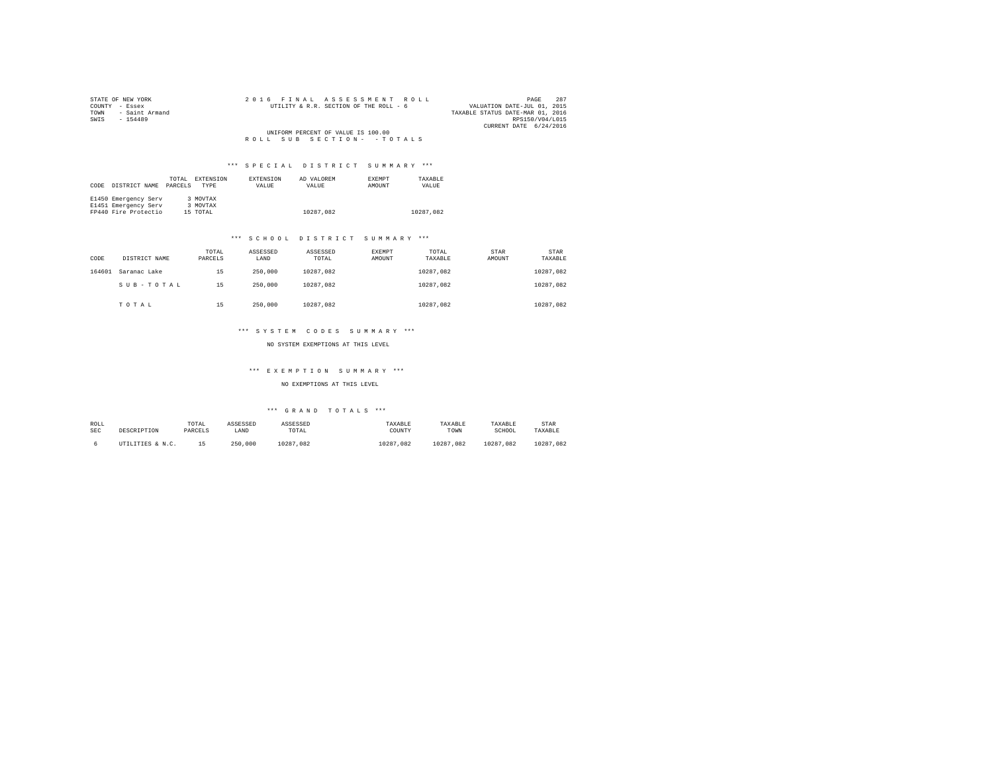| STATE OF NEW YORK   | 2016 FINAL ASSESSMENT ROLL             | 287<br>PAGE                      |
|---------------------|----------------------------------------|----------------------------------|
| COUNTY - Essex      | UTILITY & R.R. SECTION OF THE ROLL - 6 | VALUATION DATE-JUL 01, 2015      |
| TOWN - Saint Armand |                                        | TAXABLE STATUS DATE-MAR 01, 2016 |
| SWIS<br>$-154489$   |                                        | RPS150/V04/L015                  |
|                     |                                        | CURRENT DATE 6/24/2016           |
|                     | UNIFORM PERCENT OF VALUE IS 100.00     |                                  |
|                     | ROLL SUB SECTION- - TOTALS             |                                  |

| CODE | DISTRICT NAME        | TOTAL<br>PARCELS | <b>EXTENSION</b><br><b>TYPE</b> | EXTENSION<br>VALUE | AD VALOREM<br>VALUE | <b>EXEMPT</b><br>AMOUNT | TAXARLE<br>VALUE |
|------|----------------------|------------------|---------------------------------|--------------------|---------------------|-------------------------|------------------|
|      | E1450 Emergency Serv |                  | 3 MOVTAX                        |                    |                     |                         |                  |
|      | E1451 Emergency Serv |                  | 3 MOVTAX                        |                    |                     |                         |                  |
|      | FP440 Fire Protectio |                  | 15 TOTAL                        |                    | 10287.082           |                         | 10287.082        |

#### \*\*\* S C H O O L D I S T R I C T S U M M A R Y \*\*\*

| CODE   | DISTRICT NAME | TOTAL<br>PARCELS | ASSESSED<br>LAND | ASSESSED<br>TOTAL | EXEMPT<br>AMOUNT | TOTAL<br>TAXABLE | STAR<br>AMOUNT | STAR<br>TAXABLE |
|--------|---------------|------------------|------------------|-------------------|------------------|------------------|----------------|-----------------|
| 164601 | Saranac Lake  | 15               | 250,000          | 10287.082         |                  | 10287.082        |                | 10287.082       |
|        | SUB-TOTAL     | 15               | 250,000          | 10287.082         |                  | 10287.082        |                | 10287.082       |
|        | TOTAL         | 15               | 250,000          | 10287.082         |                  | 10287.082        |                | 10287.082       |

#### \*\*\* S Y S T E M C O D E S S U M M A R Y \*\*\*

NO SYSTEM EXEMPTIONS AT THIS LEVEL

# \*\*\* E X E M P T I O N S U M M A R Y \*\*\*

NO EXEMPTIONS AT THIS LEVEL

| ROLL       | DESCRIPTION      | TOTAL   | ASSESSED | ASSESSED  | TAXABLE   | TAXABLE       | TAXABLE       | STAR          |
|------------|------------------|---------|----------|-----------|-----------|---------------|---------------|---------------|
| <b>SEC</b> |                  | PARCELS | LAND     | TOTAL     | COUNTY    | TOWN          | SCHOOL        | TAXABLE       |
|            | UTILITIES & N.C. | 15      | 250,000  | 10287.082 | 10287.082 | 10287<br>.082 | 10287<br>.082 | 10287<br>.082 |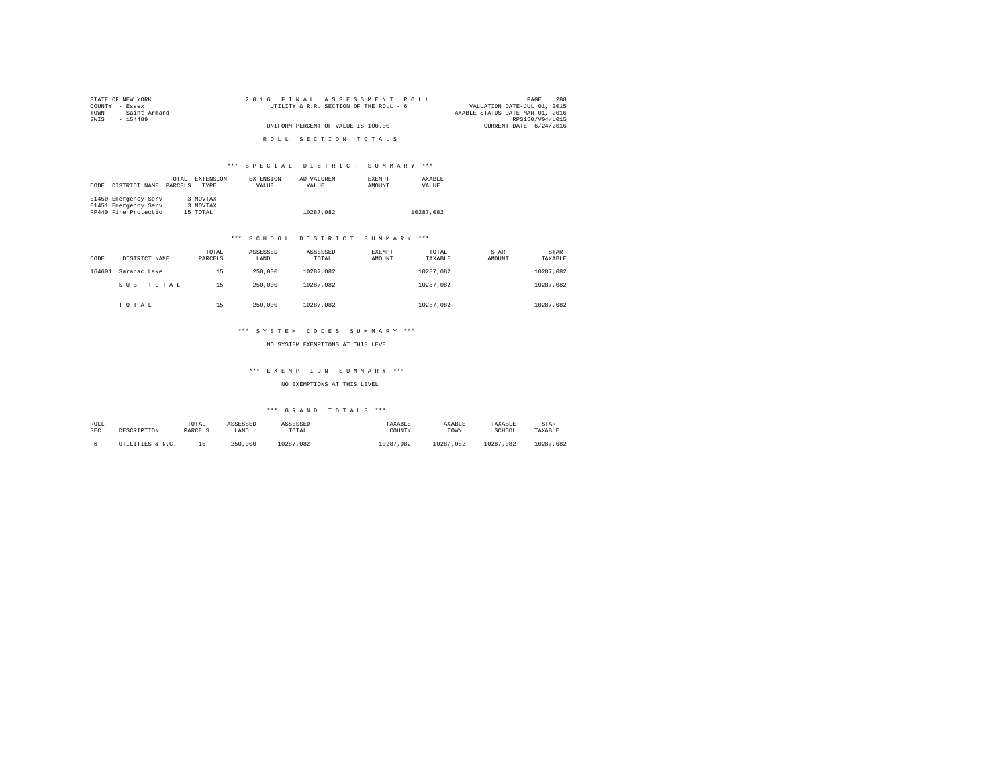| STATE OF NEW YORK      | 2016 FINAL ASSESSMENT ROLL             | 288<br>PAGE                      |
|------------------------|----------------------------------------|----------------------------------|
| COUNTY - Essex         | UTILITY & R.R. SECTION OF THE ROLL - 6 | VALUATION DATE-JUL 01, 2015      |
| - Saint Armand<br>TOWN |                                        | TAXABLE STATUS DATE-MAR 01, 2016 |
| SWTS<br>$-154489$      |                                        | RPS150/V04/L015                  |
|                        | UNIFORM PERCENT OF VALUE IS 100.00     | CURRENT DATE 6/24/2016           |
|                        |                                        |                                  |
|                        | ROLL SECTION TOTALS                    |                                  |

| CODE | DISTRICT NAME                                                        | TOTAL<br>PARCELS | <b>EXTENSION</b><br>TYPE         | <b>EXTENSION</b><br>VALUE | AD VALOREM<br>VALUE | <b>EXEMPT</b><br>AMOUNT | TAXARLE<br>VALUE |  |
|------|----------------------------------------------------------------------|------------------|----------------------------------|---------------------------|---------------------|-------------------------|------------------|--|
|      | E1450 Emergency Serv<br>E1451 Emergency Serv<br>FP440 Fire Protectio |                  | 3 MOVTAX<br>3 MOVTAX<br>15 TOTAL |                           | 10287.082           |                         | 10287.082        |  |

#### \*\*\* S C H O O L D I S T R I C T S U M M A R Y \*\*\*

| CODE   | DISTRICT NAME | TOTAL<br>PARCELS | ASSESSED<br>LAND | ASSESSED<br>TOTAL | EXEMPT<br>AMOUNT | TOTAL<br>TAXABLE | STAR<br>AMOUNT | STAR<br>TAXABLE |
|--------|---------------|------------------|------------------|-------------------|------------------|------------------|----------------|-----------------|
| 164601 | Saranac Lake  | 15               | 250,000          | 10287.082         |                  | 10287.082        |                | 10287.082       |
|        | SUB-TOTAL     | 15               | 250,000          | 10287.082         |                  | 10287.082        |                | 10287.082       |
|        | TOTAL         | 15               | 250,000          | 10287.082         |                  | 10287.082        |                | 10287.082       |

#### \*\*\* S Y S T E M C O D E S S U M M A R Y \*\*\*

NO SYSTEM EXEMPTIONS AT THIS LEVEL

# \*\*\* E X E M P T I O N S U M M A R Y \*\*\*

### NO EXEMPTIONS AT THIS LEVEL

| ROLL       | DESCRIPTION      | TOTAL   | ASSESSED | ASSESSED  | TAXABLE   | TAXABLE       | TAXABLE       | STAR      |
|------------|------------------|---------|----------|-----------|-----------|---------------|---------------|-----------|
| <b>SEC</b> |                  | PARCELS | LAND     | TOTAL     | COUNTY    | TOWN          | SCHOOL        | TAXABLE   |
|            | UTILITIES & N.C. |         | 250,000  | 10287.082 | 10287.082 | 10287<br>.082 | 10287<br>.082 | 10287.082 |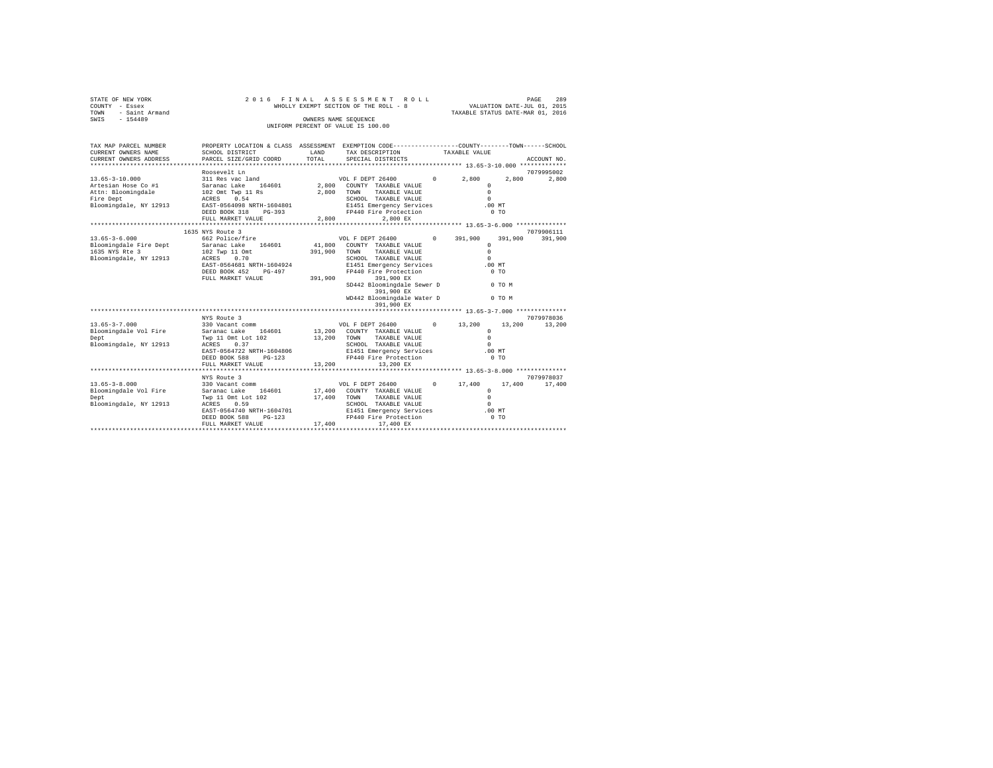| STATE OF NEW YORK<br>COUNTY - Essex<br>TOWN - Saint Armand<br>SWIS - 154489                                                    |                                                                                                                                                                                                 |              | 2016 FINAL ASSESSMENT ROLL<br>WHOLLY EXEMPT SECTION OF THE ROLL - 8                                                                                                                                                            | PAGE 289<br>VALUATION DATE-JUL 01, 2015<br>TAXABLE STATUS DATE-MAR 01, 2016 |                   |                             |
|--------------------------------------------------------------------------------------------------------------------------------|-------------------------------------------------------------------------------------------------------------------------------------------------------------------------------------------------|--------------|--------------------------------------------------------------------------------------------------------------------------------------------------------------------------------------------------------------------------------|-----------------------------------------------------------------------------|-------------------|-----------------------------|
|                                                                                                                                |                                                                                                                                                                                                 |              | OWNERS NAME SEQUENCE<br>UNIFORM PERCENT OF VALUE IS 100.00                                                                                                                                                                     |                                                                             |                   |                             |
| TAX MAP PARCEL NUMBER<br>CURRENT OWNERS NAME<br>CURRENT OWNERS ADDRESS                                                         | PROPERTY LOCATION & CLASS ASSESSMENT EXEMPTION CODE---------------COUNTY-------TOWN------SCHOOL<br>SCHOOL DISTRICT LAND<br>PARCEL SIZE/GRID COORD                                               | TOTAL        | TAX DESCRIPTION TAXABLE VALUE<br>SPECIAL DISTRICTS                                                                                                                                                                             |                                                                             |                   | ACCOUNT NO.                 |
| 13.65-3-10.000                                                                                                                 | Roosevelt Ln                                                                                                                                                                                    |              |                                                                                                                                                                                                                                | $\Omega$<br>$\Omega$                                                        | 2.800             | 7079995002<br>2,800         |
|                                                                                                                                | 1635 NYS Route 3                                                                                                                                                                                |              |                                                                                                                                                                                                                                | .00MT<br>$0$ TO                                                             |                   | 7079906111                  |
| $13.65 - 3 - 6.000$<br>Bloomingdale Fire Dept<br>1635 NYS Rte 3<br>Bloomingdale, NY 12913                                      | 662 Police/fire<br>Saranac Lake 164601 41,800 COUNTY TAXABLE VALUE<br>102 Twp 11 Omt<br>ACRES 0.70<br>EAST-0564681 NRTH-1604924<br>DEED BOOK 452 PG-497<br>FULL MARKET VALUE 391,900 391,900 EX | 391,900 TOWN | VOL F DEPT 26400 0 391,900<br>TAXABLE VALUE<br>SCHOOL TAXABLE VALUE<br>E1451 Emergency Services .00 MT<br>FP440 Fire Protection<br>SD442 Bloomingdale Sewer D 0 TO M<br>391,900 EX<br>WD442 Bloomingdale Water D<br>391,900 EX | $\Omega$<br>$\Omega$<br>$\Omega$<br>0 <sub>T</sub>                          | 391,900<br>0 TO M | 391,900                     |
| $13.65 - 3 - 7.000$<br>Bloomingdale Vol Fire<br>Dept<br>Bloomingdale, NY 12913                                                 | Saranac Lake 164601<br>Twp 11 Omt Lot 102<br>ACRES 0.37<br>EAST-0564722 NRTH-1604806<br>DEED BOOK 588 PG-123<br>FULL MARKET VALUE                                                               | 13,200       | 13,200 COUNTY TAXABLE VALUE<br>13,200 TOWN TAXABLE VALUE<br>SCHOOL TAXABLE VALUE<br>E1451 Emergency Services .00 MT<br>FP440 Fire Protection<br>13,200 EX                                                                      | $\Omega$<br>$\Omega$<br>$\sim$                                              | $0$ TO            | 7079978036<br>13,200        |
| $13.65 - 3 - 8.000$<br>Bloomingdale Vol Fire Saranac Lake 164601 17,400 COUNTY TAXABLE VALUE<br>Dept<br>Bloomingdale, NY 12913 | NYS Route 3<br>330 Vacant comm<br>Twp 11 Omt Lot 102<br>ACRES 0.59<br>ACRES<br>0.59<br>EAST-0564740 NRTH-1604701                                                                                | 17,400 TOWN  | VOL F DEPT 26400 0 17,400<br>TAXABLE VALUE<br>SCHOOL TAXABLE VALUE<br>E1451 Emergency Services<br>FP440 Fire Protection<br>17.400                                                                                              | $\circ$<br>$\Omega$<br>$\Omega$<br>$.00$ MT                                 |                   | 7079978037<br>17,400 17,400 |
|                                                                                                                                | DEED BOOK 588 PG-123<br>FULL MARKET VALUE                                                                                                                                                       |              | 17,400 17,400 EX                                                                                                                                                                                                               | $0$ TO                                                                      |                   |                             |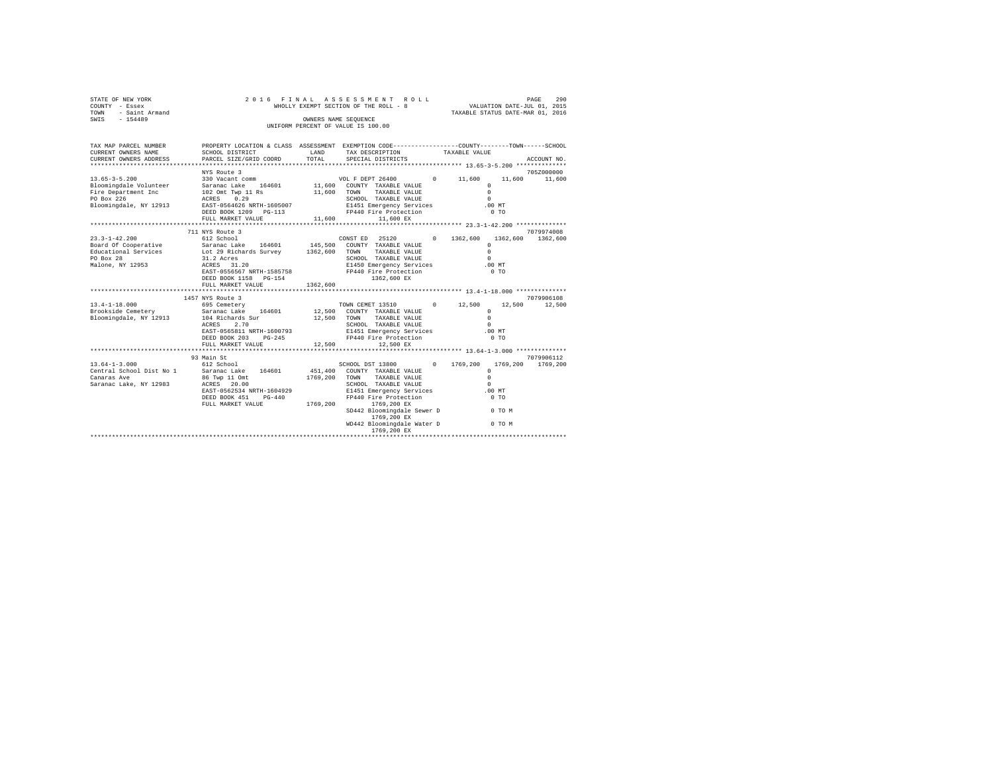| STATE OF NEW YORK<br>COUNTY - Essex<br>TOWN<br>- Saint Armand<br>$-154489$<br>SWIS                   | 2016 FINAL                                                                                                                                                     |                      | ASSESSMENT ROLL<br>WHOLLY EXEMPT SECTION OF THE ROLL - 8<br>OWNERS NAME SEQUENCE<br>UNIFORM PERCENT OF VALUE IS 100.00                                                                                                                                          |                    | PAGE<br>290<br>VALUATION DATE-JUL 01, 2015<br>TAXABLE STATUS DATE-MAR 01, 2016                                         |                        |  |  |
|------------------------------------------------------------------------------------------------------|----------------------------------------------------------------------------------------------------------------------------------------------------------------|----------------------|-----------------------------------------------------------------------------------------------------------------------------------------------------------------------------------------------------------------------------------------------------------------|--------------------|------------------------------------------------------------------------------------------------------------------------|------------------------|--|--|
| TAX MAP PARCEL NUMBER<br>CURRENT OWNERS NAME<br>CURRENT OWNERS ADDRESS                               | PROPERTY LOCATION & CLASS ASSESSMENT EXEMPTION CODE---------------COUNTY-------TOWN------SCHOOL<br>SCHOOL DISTRICT<br>PARCEL SIZE/GRID COORD                   | LAND<br>TOTAL        | TAX DESCRIPTION<br>SPECIAL DISTRICTS                                                                                                                                                                                                                            |                    | TAXABLE VALUE                                                                                                          | ACCOUNT NO.            |  |  |
|                                                                                                      | NYS Route 3                                                                                                                                                    |                      |                                                                                                                                                                                                                                                                 |                    |                                                                                                                        | 705Z000000             |  |  |
| $13.65 - 3 - 5.200$                                                                                  | 330 Vacant comm                                                                                                                                                |                      | VOL F DEPT 26400                                                                                                                                                                                                                                                | $0 \t 11.600$      | 11,600                                                                                                                 | 11,600                 |  |  |
| Bloomingdale Volunteer<br>Fire Department Inc<br>PO Box 226<br>Bloomingdale, NY 12913                | Saranac Lake 164601<br>102 Omt Twp 11 Rs<br>ACRES 0.29<br>EAST-0564626 NRTH-1605007<br>DEED BOOK 1209 PG-113                                                   | 11,600               | 11,600 COUNTY TAXABLE VALUE<br>TOWN<br>TAXABLE VALUE<br>SCHOOL TAXABLE VALUE<br>E1451 Emergency Services<br>FP440 Fire Protection                                                                                                                               |                    | $\circ$<br>$\Omega$<br>$\Omega$<br>.00MT<br>0 <sub>T</sub>                                                             |                        |  |  |
|                                                                                                      | FULL MARKET VALUE                                                                                                                                              | 11,600               | 11,600 EX                                                                                                                                                                                                                                                       |                    |                                                                                                                        |                        |  |  |
|                                                                                                      | 711 NYS Route 3                                                                                                                                                |                      |                                                                                                                                                                                                                                                                 |                    |                                                                                                                        | 7079974008             |  |  |
| $23.3 - 1 - 42.200$<br>Board Of Cooperative<br>Educational Services<br>PO Box 28<br>Malone, NY 12953 | 612 School<br>Saranac Lake 164601<br>Lot 29 Richards Survey 1362,600<br>31.2 Acres<br>ACRES 31.20<br>EAST-0556567 NRTH-1585758<br>DEED BOOK 1158 PG-154        |                      | CONST ED 25120 0 1362,600<br>145,500 COUNTY TAXABLE VALUE<br>TAXABLE VALUE<br>TOWN<br>SCHOOL TAXABLE VALUE<br>E1450 Emergency Services<br>FP440 Fire Protection<br>1362,600 EX                                                                                  |                    | $\Omega$<br>$\Omega$<br>$\Omega$<br>.00MT<br>$0$ TO                                                                    | 1362.600 1362.600      |  |  |
|                                                                                                      | FULL MARKET VALUE                                                                                                                                              | 1362,600             |                                                                                                                                                                                                                                                                 |                    |                                                                                                                        |                        |  |  |
|                                                                                                      |                                                                                                                                                                |                      |                                                                                                                                                                                                                                                                 |                    |                                                                                                                        |                        |  |  |
|                                                                                                      | 1457 NYS Route 3                                                                                                                                               |                      |                                                                                                                                                                                                                                                                 |                    |                                                                                                                        | 7079906108             |  |  |
| $13.4 - 1 - 18.000$<br>Brookside Cemetery<br>Bloomingdale, NY 12913                                  | 695 Cemetery<br>Saranac Lake 164601<br>104 Richards Sur<br>2.70<br>ACRES<br>EAST-0565811 NRTH-1600793<br>DEED BOOK 203 PG-245<br>FULL MARKET VALUE             | 12,500<br>12,500     | TOWN CEMET 13510<br>12,500 COUNTY TAXABLE VALUE<br>TOWN<br>TAXABLE VALUE<br>SCHOOL TAXABLE VALUE<br>E1451 Emergency Services<br>FP440 Fire Protection<br>12,500 EX                                                                                              | 12,500<br>$\Omega$ | 12,500<br>$\Omega$<br>$\Omega$<br>$\Omega$<br>.00 MT<br>0 <sub>T</sub>                                                 | 12,500                 |  |  |
|                                                                                                      |                                                                                                                                                                |                      |                                                                                                                                                                                                                                                                 |                    |                                                                                                                        |                        |  |  |
| $13.64 - 1 - 3.000$<br>Central School Dist No 1<br>Canaras Ave<br>Saranac Lake, NY 12983             | 93 Main St<br>612 School<br>Saranac Lake 164601<br>86 Twp 11 Omt<br>ACRES 20.00<br>EAST-0562534 NRTH-1604929<br>DEED BOOK 451<br>$PG-440$<br>FULL MARKET VALUE | 1769,200<br>1769,200 | SCHOOL DST 13800<br>451,400 COUNTY TAXABLE VALUE<br>TOWN<br>TAXABLE VALUE<br>SCHOOL TAXABLE VALUE<br>E1451 Emergency Services<br>FP440 Fire Protection<br>1769,200 EX<br>SD442 Bloomingdale Sewer D<br>1769,200 EX<br>WD442 Bloomingdale Water D<br>1769,200 EX | $\Omega$           | 1769,200<br>1769,200<br>$\Omega$<br>$\Omega$<br>$\Omega$<br>.00MT<br>0 <sub>T</sub><br><b>COMPANY</b> OF TOM<br>0 TO M | 7079906112<br>1769.200 |  |  |
|                                                                                                      |                                                                                                                                                                |                      |                                                                                                                                                                                                                                                                 |                    |                                                                                                                        |                        |  |  |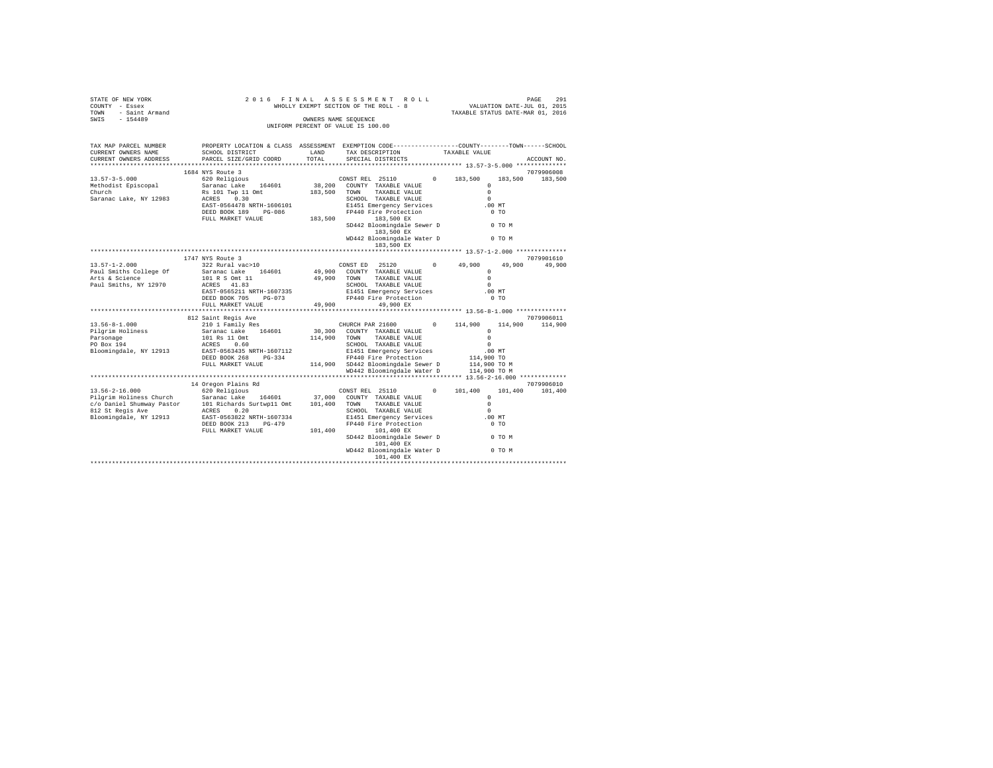| OF NEW YORK<br>T – Essex<br>– Saint Armand<br>– 154489<br>STATE OF NEW YORK<br>COUNTY - Essex<br>TOWN                                                                            | 2016 FINAL                                                                                                                                    |               | ASSESSMENT ROLL<br>WHOLLY EXEMPT SECTION OF THE ROLL - 8   |            | PAGE 291<br>VALUATION DATE-JUL 01, 2015<br>TAXABLE STATUS DATE-MAR 01, 2016 |                       |
|----------------------------------------------------------------------------------------------------------------------------------------------------------------------------------|-----------------------------------------------------------------------------------------------------------------------------------------------|---------------|------------------------------------------------------------|------------|-----------------------------------------------------------------------------|-----------------------|
| SWIS                                                                                                                                                                             |                                                                                                                                               |               | OWNERS NAME SEQUENCE<br>UNIFORM PERCENT OF VALUE IS 100.00 |            |                                                                             |                       |
| TAX MAP PARCEL NUMBER<br>CURRENT OWNERS NAME<br>CURRENT OWNERS ADDRESS                                                                                                           | PROPERTY LOCATION & CLASS ASSESSMENT EXEMPTION CODE----------------COUNTY-------TOWN------SCHOOL<br>SCHOOL DISTRICT<br>PARCEL SIZE/GRID COORD | LAND<br>TOTAL | TAX DESCRIPTION<br>SPECIAL DISTRICTS                       |            | TAXABLE VALUE                                                               | ACCOUNT NO.           |
|                                                                                                                                                                                  |                                                                                                                                               |               |                                                            |            |                                                                             |                       |
|                                                                                                                                                                                  | 1684 NYS Route 3                                                                                                                              |               |                                                            |            |                                                                             | 7079906008            |
| $13.57 - 3 - 5.000$                                                                                                                                                              | 620 Religious                                                                                                                                 |               | CONST REL 25110                                            |            | $0 \t 183,500$<br>183,500                                                   | 183,500               |
| Methodist Episcopal<br>Church                                                                                                                                                    | Saranac Lake 164601                                                                                                                           |               | 38,200 COUNTY TAXABLE VALUE                                |            | $\Omega$                                                                    |                       |
| Saranac Lake, NY 12983                                                                                                                                                           | Rs 101 Twp 11 Omt<br>ACRES 0.30                                                                                                               | 183,500 TOWN  | TAXABLE VALUE<br>SCHOOL TAXABLE VALUE                      |            | $\Omega$<br>$\Omega$                                                        |                       |
|                                                                                                                                                                                  | EAST-0564478 NRTH-1606101                                                                                                                     |               |                                                            |            | $.00$ MT                                                                    |                       |
|                                                                                                                                                                                  | DEED BOOK 189 PG-086                                                                                                                          |               | E1451 Emergency Services<br>FP440 Fire Protection          |            | 0 <sub>T</sub>                                                              |                       |
|                                                                                                                                                                                  | FULL MARKET VALUE                                                                                                                             | 183,500       | 183,500 EX                                                 |            |                                                                             |                       |
|                                                                                                                                                                                  |                                                                                                                                               |               | SD442 Bloomingdale Sewer D<br>183,500 EX                   |            | 0 TO M                                                                      |                       |
|                                                                                                                                                                                  |                                                                                                                                               |               | WD442 Bloomingdale Water D<br>183,500 EX                   |            | $0$ TO $M$                                                                  |                       |
|                                                                                                                                                                                  |                                                                                                                                               |               |                                                            |            |                                                                             |                       |
|                                                                                                                                                                                  | 1747 NYS Route 3                                                                                                                              |               |                                                            |            |                                                                             | 7079901610            |
| $13.57 - 1 - 2.000$                                                                                                                                                              | 322 Rural vac>10                                                                                                                              |               | CONST ED 25120<br>49,900 COUNTY TAXABLE VALUE              | $^{\circ}$ | 49,900<br>49,900<br>$\Omega$                                                | 49,900                |
| Paul Smiths College Of<br>Arts & Science                                                                                                                                         | Saranac Lake 164601<br>101 R S Omt 11                                                                                                         | 49,900        | TOWN TAXABLE VALUE                                         |            | $\Omega$                                                                    |                       |
| Paul Smiths, NY 12970                                                                                                                                                            | ACRES 41.83                                                                                                                                   |               | SCHOOL TAXABLE VALUE                                       |            | $\Omega$                                                                    |                       |
|                                                                                                                                                                                  | EAST-0565211 NRTH-1607335                                                                                                                     |               | E1451 Emergency Services                                   |            | $.00$ MT                                                                    |                       |
|                                                                                                                                                                                  | DEED BOOK 705 PG-073                                                                                                                          |               | FP440 Fire Protection                                      |            | 0 <sub>T</sub>                                                              |                       |
|                                                                                                                                                                                  | FULL MARKET VALUE                                                                                                                             | 49,900        | 49,900 EX                                                  |            |                                                                             |                       |
|                                                                                                                                                                                  |                                                                                                                                               |               |                                                            |            |                                                                             |                       |
|                                                                                                                                                                                  | 812 Saint Regis Ave                                                                                                                           |               |                                                            |            |                                                                             | 7079906011            |
| $13.56 - 8 - 1.000$<br>Pilgrim Holiness                                                                                                                                          | 210 1 Family Res                                                                                                                              |               | CHURCH PAR 21600<br>30,300 COUNTY TAXABLE VALUE            | $^{\circ}$ | 114,900<br>114,900<br>$\Omega$                                              | 114,900               |
|                                                                                                                                                                                  | Saranac Lake 164601<br>101 Rs 11 Omt                                                                                                          | 114,900       | TOWN TAXABLE VALUE                                         |            | $\Omega$                                                                    |                       |
| Parsonage<br>PO Box 194                                                                                                                                                          | ACRES 0.60                                                                                                                                    |               | SCHOOL TAXABLE VALUE                                       |            | $\sim$                                                                      |                       |
| Bloomingdale, NY 12913                                                                                                                                                           | EAST-0563435 NRTH-1607112                                                                                                                     |               | E1451 Emergency Services                                   |            | .00MT                                                                       |                       |
|                                                                                                                                                                                  | DEED BOOK 268 PG-334                                                                                                                          |               | FP440 Fire Protection                                      |            | 114,900 TO                                                                  |                       |
|                                                                                                                                                                                  | FULL MARKET VALUE                                                                                                                             |               | 114,900 SD442 Bloomingdale Sewer D                         |            | 114,900 TO M<br>114,900 TO M                                                |                       |
|                                                                                                                                                                                  |                                                                                                                                               |               | WD442 Bloomingdale Water D                                 |            |                                                                             |                       |
|                                                                                                                                                                                  |                                                                                                                                               |               |                                                            |            |                                                                             |                       |
| $13.56 - 2 - 16.000$                                                                                                                                                             | 14 Oregon Plains Rd<br>620 Religious                                                                                                          |               | CONST REL 25110                                            | $\Omega$   | 101,400<br>101,400                                                          | 7079906010<br>101,400 |
|                                                                                                                                                                                  |                                                                                                                                               |               |                                                            |            | $\Omega$                                                                    |                       |
|                                                                                                                                                                                  |                                                                                                                                               |               |                                                            |            | $\Omega$                                                                    |                       |
| $c/19$ Pilgrim Holiness Church Saranac Lake 164601 37,000 COUNTY TAXABLE VALUE $c/0$ Daniel Shumway Pastor 101 Richards Surtwp11 Omt 101,400 TOWN TAXABLE VALUE 812 St Regis Ave |                                                                                                                                               |               | SCHOOL TAXABLE VALUE                                       |            | $\Omega$                                                                    |                       |
| Bloomingdale, NY 12913                                                                                                                                                           | EAST-0563822 NRTH-1607334                                                                                                                     |               | E1451 Emergency Services<br>FP440 Fire Protection          |            | $.00$ MT                                                                    |                       |
|                                                                                                                                                                                  | DEED BOOK 213 PG-479<br>FULL MARKET VALUE                                                                                                     | 101,400       | 101,400 EX                                                 |            | $0$ TO                                                                      |                       |
|                                                                                                                                                                                  |                                                                                                                                               |               | SD442 Bloomingdale Sewer D<br>101,400 EX                   |            | 0 TO M                                                                      |                       |
|                                                                                                                                                                                  |                                                                                                                                               |               | WD442 Bloomingdale Water D                                 |            | 0 TO M                                                                      |                       |
|                                                                                                                                                                                  |                                                                                                                                               |               |                                                            |            |                                                                             |                       |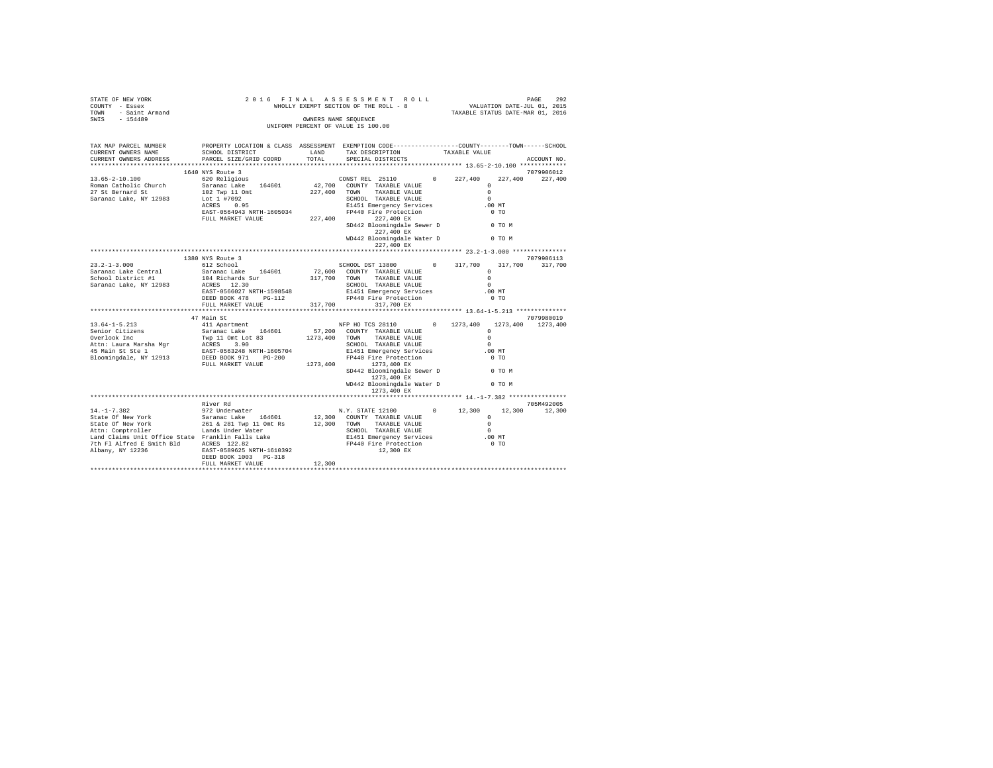| STATE OF NEW YORK<br>COUNTY - Essex<br>TOWN - Saint Armand<br>SWIS - 154489                                                                                                                                                  |                                                                                                   |        |                                                       | TAXABLE STATUS DATE-MAR 01, 2016 |                    |
|------------------------------------------------------------------------------------------------------------------------------------------------------------------------------------------------------------------------------|---------------------------------------------------------------------------------------------------|--------|-------------------------------------------------------|----------------------------------|--------------------|
|                                                                                                                                                                                                                              |                                                                                                   |        | OWNERS NAME SEQUENCE                                  |                                  |                    |
|                                                                                                                                                                                                                              |                                                                                                   |        | UNIFORM PERCENT OF VALUE IS 100.00                    |                                  |                    |
|                                                                                                                                                                                                                              |                                                                                                   |        |                                                       |                                  |                    |
| TAX MAP PARCEL NUMBER                                                                                                                                                                                                        | PROPERTY LOCATION & CLASS ASSESSMENT EXEMPTION CODE-----------------COUNTY-------TOWN------SCHOOL |        |                                                       |                                  |                    |
| CURRENT OWNERS NAME                                                                                                                                                                                                          | SCHOOL DISTRICT                                                                                   | LAND   | TAX DESCRIPTION                                       | TAXABLE VALUE                    |                    |
| CURRENT OWNERS ADDRESS                                                                                                                                                                                                       | PARCEL SIZE/GRID COORD                                                                            | TOTAL  | SPECIAL DISTRICTS                                     |                                  | ACCOUNT NO.        |
|                                                                                                                                                                                                                              | 1640 NYS Route 3                                                                                  |        |                                                       |                                  | 7079906012         |
| $13.65 - 2 - 10.100$                                                                                                                                                                                                         | 620 Religious                                                                                     |        | CONSTREL 25110 0 227,400                              |                                  | 227,400<br>227,400 |
| Roman Catholic Church                                                                                                                                                                                                        | Saranac Lake 164601                                                                               |        | CONSTREL 25110 0<br>42,700 COUNTY TAXABLE VALUE       | $\Omega$                         |                    |
| 27 St Bernard St                                                                                                                                                                                                             | 102 Twp 11 Omt                                                                                    |        | 227,400 TOWN TAXABLE VALUE                            | $\Omega$                         |                    |
| Saranac Lake, NY 12983                                                                                                                                                                                                       | Lot 1 #7092                                                                                       |        | SCHOOL TAXABLE VALUE                                  | $\Omega$                         |                    |
|                                                                                                                                                                                                                              | ACRES 0.95                                                                                        |        | E1451 Emergency Services                              | .00 MT                           |                    |
|                                                                                                                                                                                                                              | EAST-0564943 NRTH-1605034                                                                         |        | FP440 Fire Protection                                 | 0.70                             |                    |
|                                                                                                                                                                                                                              | FULL MARKET VALUE 227, 400 227, 400 EX                                                            |        |                                                       |                                  |                    |
|                                                                                                                                                                                                                              |                                                                                                   |        | SD442 Bloomingdale Sewer D 0 TO M<br>227,400 EX       |                                  |                    |
|                                                                                                                                                                                                                              |                                                                                                   |        | WD442 Bloomingdale Water D 0 TO M                     |                                  |                    |
|                                                                                                                                                                                                                              |                                                                                                   |        | 227,400 EX                                            |                                  |                    |
|                                                                                                                                                                                                                              | 1380 NYS Route 3                                                                                  |        |                                                       |                                  | 7079906113         |
| $23.2 - 1 - 3.000$                                                                                                                                                                                                           | 612 School                                                                                        |        | SCHOOL DST 13800 0 317,700                            |                                  | 317,700<br>317,700 |
| Saranac Lake Central                                                                                                                                                                                                         | Saranac Lake 164601                                                                               |        | 72,600 COUNTY TAXABLE VALUE                           | $\Omega$                         |                    |
| School District #1                                                                                                                                                                                                           | 104 Richards Sur                                                                                  |        | 317,700 TOWN TAXABLE VALUE                            | $\Omega$                         |                    |
| Saranac Lake, NY 12983                                                                                                                                                                                                       | ACRES 12.30                                                                                       |        | SCHOOL TAXABLE VALUE                                  | $\Omega$                         |                    |
|                                                                                                                                                                                                                              | EAST-0566027 NRTH-1598548                                                                         |        |                                                       | $.00$ MT                         |                    |
|                                                                                                                                                                                                                              | DEED BOOK 478 PG-112                                                                              |        | E1451 Emergency Services<br>FP440 Fire Protection     | 0 <sub>T</sub>                   |                    |
|                                                                                                                                                                                                                              | FULL MARKET VALUE                                                                                 |        | 317,700<br>317,700 EX                                 |                                  |                    |
|                                                                                                                                                                                                                              |                                                                                                   |        |                                                       |                                  |                    |
|                                                                                                                                                                                                                              | 47 Main St                                                                                        |        |                                                       |                                  | 7079980019         |
| $13.64 - 1 - 5.213$<br>Senior Citizens                                                                                                                                                                                       | 411 Apartment<br>Saranac Lake 164601 57,200 COUNTY TAXABLE VALUE                                  |        | NFP HO TCS 28110 0 1273, 400 1273, 400 1273, 400      | $\Omega$                         |                    |
| Overlook Inc                                                                                                                                                                                                                 | Twp 11 Omt Lot 83                                                                                 |        |                                                       | $\cap$                           |                    |
| Attn: Laura Marsha Mgr                                                                                                                                                                                                       |                                                                                                   |        | $1273,400$ TOWN TAXABLE VALUE<br>SCHOOL TAXABLE VALUE | $\cap$                           |                    |
| 45 Main St Ste 1                                                                                                                                                                                                             | ACRES 3.90<br>EAST-0563248 NRTH-1605704<br>DEED BOOK 971 PG-200                                   |        | E1451 Emergency Services                              | $.00$ MT                         |                    |
| Bloomingdale, NY 12913                                                                                                                                                                                                       |                                                                                                   |        | FP440 Fire Protection                                 | $0$ TO                           |                    |
|                                                                                                                                                                                                                              | FULL MARKET VALUE                                                                                 |        | 1273,400 1273,400 EX                                  |                                  |                    |
|                                                                                                                                                                                                                              |                                                                                                   |        | SD442 Bloomingdale Sewer D 0 TO M                     |                                  |                    |
|                                                                                                                                                                                                                              |                                                                                                   |        | 1273,400 EX                                           |                                  |                    |
|                                                                                                                                                                                                                              |                                                                                                   |        | WD442 Bloomingdale Water D 0 TO M                     |                                  |                    |
|                                                                                                                                                                                                                              |                                                                                                   |        | 1273,400 EX                                           |                                  |                    |
|                                                                                                                                                                                                                              | River Rd                                                                                          |        |                                                       |                                  | 705M492005         |
|                                                                                                                                                                                                                              |                                                                                                   |        | N.Y. STATE 12100 0 12,300 12,300                      |                                  | 12,300             |
|                                                                                                                                                                                                                              |                                                                                                   |        | 12,300 COUNTY TAXABLE VALUE                           | $\sim$ 0                         |                    |
|                                                                                                                                                                                                                              |                                                                                                   |        | TAXABLE VALUE                                         | $\sim$ 0                         |                    |
|                                                                                                                                                                                                                              |                                                                                                   |        |                                                       | $\sim$                           |                    |
|                                                                                                                                                                                                                              |                                                                                                   |        |                                                       | .00 MT                           |                    |
|                                                                                                                                                                                                                              |                                                                                                   |        |                                                       | $0$ TO                           |                    |
| Lands Under Water<br>1991 Claims Unit Office State Franklin Falls Lake<br>7th Fl Alfred E Smith Bld<br>2008 28187-0589625 NRTH-1610392<br>2818 2827-0589625 NRTH-1610392<br>2827-0589625 NRTH-1610392<br>2827-05895 NRTH-162 |                                                                                                   |        | SCHOOL TAXABLE VALUE                                  |                                  |                    |
|                                                                                                                                                                                                                              |                                                                                                   |        |                                                       |                                  |                    |
|                                                                                                                                                                                                                              | FULL MARKET VALUE                                                                                 | 12,300 |                                                       |                                  |                    |
|                                                                                                                                                                                                                              |                                                                                                   |        |                                                       |                                  |                    |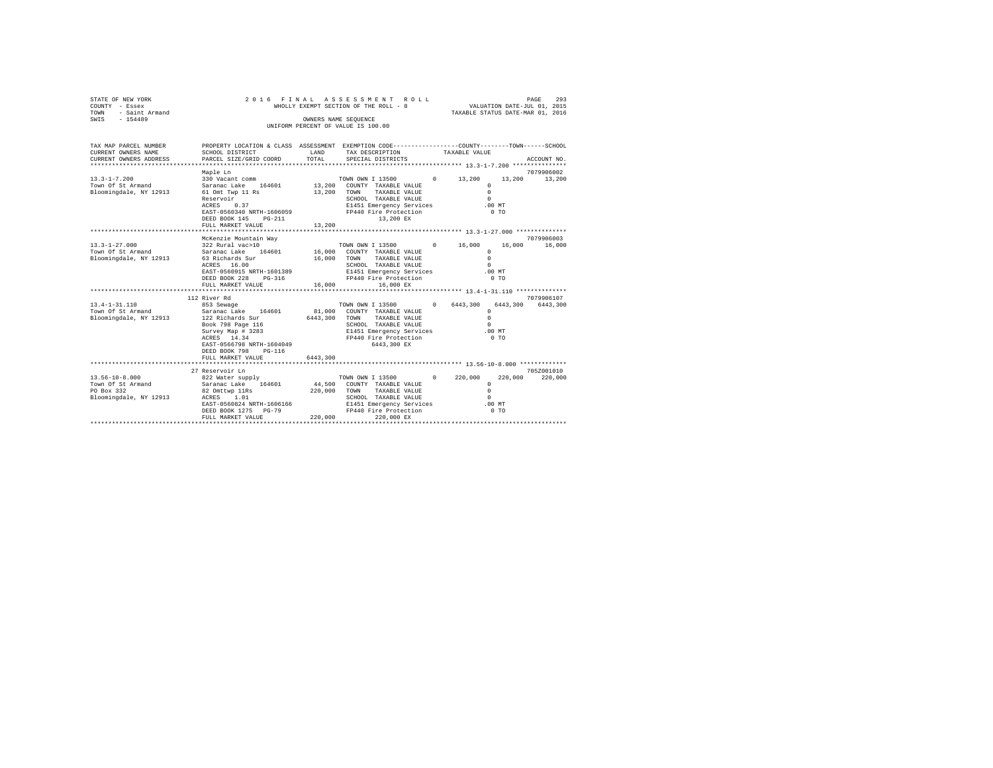| STATE OF NEW YORK<br>COUNTY - Essex<br>TOWN<br>- Saint Armand<br>$-154489$<br>SWIS |                                                                                                                                                                                                 |                                | 2016 FINAL ASSESSMENT ROLL<br>WHOLLY EXEMPT SECTION OF THE ROLL - 8<br>OWNERS NAME SEOUENCE<br>UNIFORM PERCENT OF VALUE IS 100.00                                           | VALUATION DATE-JUL 01, 2015<br>TAXABLE STATUS DATE-MAR 01, 2016                                | PAGE<br>293                        |
|------------------------------------------------------------------------------------|-------------------------------------------------------------------------------------------------------------------------------------------------------------------------------------------------|--------------------------------|-----------------------------------------------------------------------------------------------------------------------------------------------------------------------------|------------------------------------------------------------------------------------------------|------------------------------------|
| TAX MAP PARCEL NUMBER<br>CURRENT OWNERS NAME<br>CURRENT OWNERS ADDRESS             | PROPERTY LOCATION & CLASS ASSESSMENT EXEMPTION CODE---------------COUNTY-------TOWN------SCHOOL<br>SCHOOL DISTRICT<br>PARCEL SIZE/GRID COORD                                                    | LAND<br>TOTAL                  | TAX DESCRIPTION<br>SPECIAL DISTRICTS                                                                                                                                        | TAXABLE VALUE                                                                                  | ACCOUNT NO.                        |
| $13.3 - 1 - 7.200$<br>Town Of St Armand<br>Bloomingdale, NY 12913                  | Maple Ln<br>330 Vacant comm<br>Saranac Lake 164601<br>61 Omt Twp 11 Rs<br>Reservoir<br>0.37<br>ACRES<br>EAST-0560340 NRTH-1606059<br>DEED BOOK 145 PG-211<br>FULL MARKET VALUE                  | 13,200<br>13,200               | TOWN OWN I 13500 0 13,200<br>13,200 COUNTY TAXABLE VALUE<br>TAXABLE VALUE<br>TOWN<br>SCHOOL TAXABLE VALUE<br>E1451 Emergency Services<br>FP440 Fire Protection<br>13,200 EX | 13,200<br>$\Omega$<br>$\Omega$<br>$\Omega$<br>$.00$ MT<br>0 <sub>T</sub>                       | 7079906002<br>13,200               |
|                                                                                    |                                                                                                                                                                                                 |                                |                                                                                                                                                                             |                                                                                                |                                    |
| $13.3 - 1 - 27.000$<br>Town Of St Armand<br>Bloomingdale, NY 12913                 | McKenzie Mountain Way<br>322 Rural vac>10<br>Saranac Lake 164601<br>63 Richards Sur<br>ACRES 16.00<br>EAST-0560915 NRTH-1601389<br>DEED BOOK 228<br>PG-316<br>FULL MARKET VALUE<br>112 River Rd | 16,000<br>16,000<br>16,000     | TOWN OWN I 13500<br>COUNTY TAXABLE VALUE<br>TAXABLE VALUE<br>TOWN<br>SCHOOL TAXABLE VALUE<br>E1451 Emergency Services<br>FP440 Fire Protection<br>16,000 EX                 | 0 16.000<br>16,000<br>$\Omega$<br>$\Omega$<br>$\Omega$<br>.00 MT<br>$0$ TO                     | 7079906003<br>16,000<br>7079906107 |
| $13.4 - 1 - 31.110$<br>Town Of St Armand<br>Bloomingdale, NY 12913                 | 853 Sewage<br>Saranac Lake 164601<br>122 Richards Sur<br>Book 798 Page 116<br>Survey Map # 3283<br>ACRES 14.34<br>EAST-0566798 NRTH-1604049<br>DEED BOOK 798 PG-116<br>FULL MARKET VALUE        | 81,000<br>6443,300<br>6443,300 | TOWN OWN I 13500<br>COUNTY TAXABLE VALUE<br>TAXABLE VALUE<br>TOWN<br>SCHOOL TAXABLE VALUE<br>E1451 Emergency Services<br>FP440 Fire Protection<br>6443,300 EX               | 0 6443.300<br>6443.300<br>$\circ$<br>$\Omega$<br>$\Omega$<br>.00 MT<br>$0$ TO                  | 6443,300                           |
| $13.56 - 10 - 8.000$<br>Town Of St Armand<br>PO Box 332<br>Bloomingdale, NY 12913  | 27 Reservoir Ln<br>822 Water supply<br>Saranac Lake 164601<br>82 Omttwp 11Rs<br>1.01<br>ACRES<br>EAST-0560824 NRTH-1606166<br>DEED BOOK 1275 PG-79<br>FULL MARKET VALUE                         | 44,500<br>220,000<br>220,000   | TOWN OWN I 13500<br>COUNTY TAXABLE VALUE<br>TOWN<br>TAXABLE VALUE<br>SCHOOL TAXABLE VALUE<br>E1451 Emergency Services<br>FP440 Fire Protection<br>220,000 EX                | $0 \qquad \qquad$<br>220,000<br>220,000<br>$\circ$<br>$\Omega$<br>$\Omega$<br>.00 MT<br>$0$ TO | 705Z001010<br>220,000              |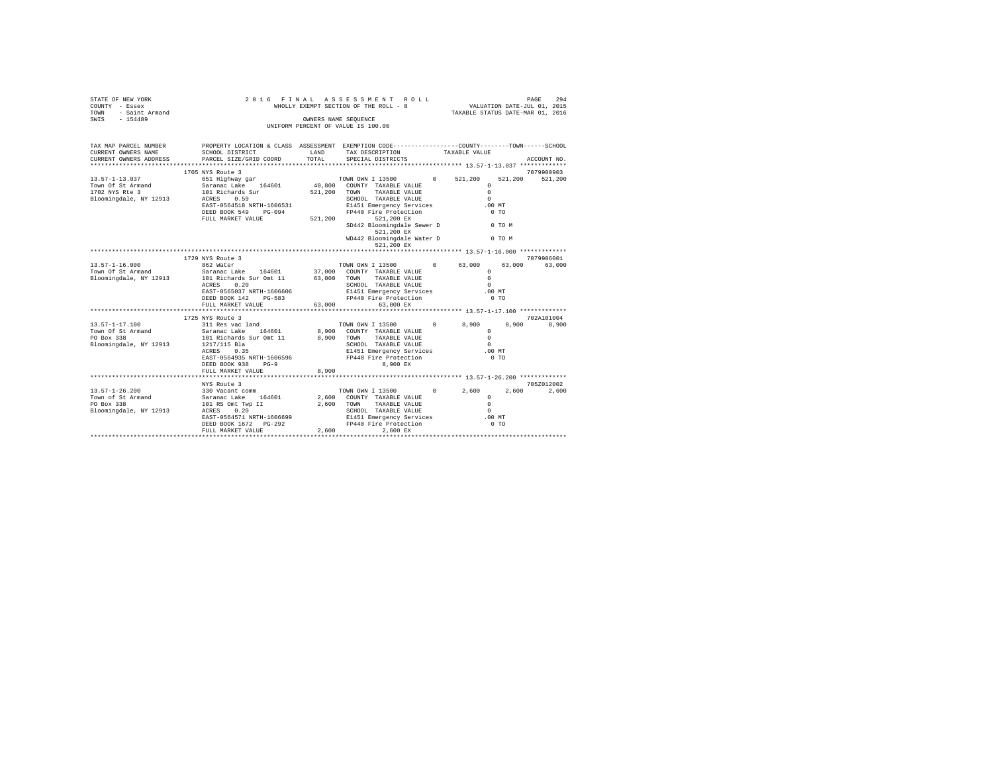| $\begin{tabular}{lllllllllll} \multicolumn{2}{c}{STARTS OF NEW YORK} & & & & & & & & 20 1 6 & F \\ \multicolumn{2}{c}{\text{COUNTS}} & - \text{Eosex} & & & & & & & \text{WHC} \\ \multicolumn{2}{c}{\text{TOWN}} & - \text{Saint Armand} & & & & & & \text{WHC} \\ \multicolumn{2}{c}{\text{STMS}} & - \text{ 154489} & & & & & & \text{WHC} \\ \end{tabular}$                                             |                                                                                                                                                                                                                   |               | 2016 FINAL ASSESSMENT ROLL<br>WHOLLY EXEMPT SECTION OF THE ROLL - 8<br>OWNERS NAME SEQUENCE<br>UNIFORM PERCENT OF VALUE IS 100.00                                                                                                                                         | PAGE 294<br>VALUATION DATE-JUL 01, 2015<br>VALUATION DATE-000 01, 2010<br>TAXABLE STATUS DATE-MAR 01, 2016 |        |                     |
|-------------------------------------------------------------------------------------------------------------------------------------------------------------------------------------------------------------------------------------------------------------------------------------------------------------------------------------------------------------------------------------------------------------|-------------------------------------------------------------------------------------------------------------------------------------------------------------------------------------------------------------------|---------------|---------------------------------------------------------------------------------------------------------------------------------------------------------------------------------------------------------------------------------------------------------------------------|------------------------------------------------------------------------------------------------------------|--------|---------------------|
| TAX MAP PARCEL NUMBER PROPERTY LOCATION & CLASS ASSESSMENT EXEMPTION CODE---------------COUNTY-------TOWN------SCHOOL<br>CURRENT OWNERS NAME<br>CURRENT OWNERS ADDRESS PARCEL SIZE/GRID COORD                                                                                                                                                                                                               | SCHOOL DISTRICT                                                                                                                                                                                                   | LAND<br>TOTAL | TAX DESCRIPTION<br>SPECIAL DISTRICTS                                                                                                                                                                                                                                      | TAXABLE VALUE                                                                                              |        | ACCOUNT NO.         |
|                                                                                                                                                                                                                                                                                                                                                                                                             | 1705 NYS Route 3                                                                                                                                                                                                  |               |                                                                                                                                                                                                                                                                           |                                                                                                            |        | 7079900903          |
|                                                                                                                                                                                                                                                                                                                                                                                                             | EAST-0564518 NRTH-1606531<br>DEED BOOK 549 PG-094<br>FULL MARKET VALUE 521, 200                                                                                                                                   |               | TOWN OWN I 13500 0 521,200<br>CHOOL TAXABLE VALUE<br>SCHOOL TAXABLE VALUE<br>E1451 Emergency Services<br>FP440 Fire Protection 0 TO<br>$521,200$ EX<br>$252,200$ EX<br>SD442 Bloomingdale Sewer D 0 TO M<br>521,200 EX<br>WD442 Bloomingdale Water D 0 TO M<br>521,200 EX | $^{\circ}$<br>$\Omega$                                                                                     |        | 521,200 521,200     |
|                                                                                                                                                                                                                                                                                                                                                                                                             |                                                                                                                                                                                                                   |               |                                                                                                                                                                                                                                                                           |                                                                                                            |        |                     |
|                                                                                                                                                                                                                                                                                                                                                                                                             | 1729 NYS Route 3                                                                                                                                                                                                  |               |                                                                                                                                                                                                                                                                           |                                                                                                            |        | 7079906001          |
| $13.57 - 1 - 16.000$<br>Town Of St Armand<br>Bloomingdale, NY 12913                                                                                                                                                                                                                                                                                                                                         | Saranac Lake 164601 37,000 COUNTY TAXABLE VALUE (0)<br>101 Richards Sur Omt 11 63,000 TOWN TAXABLE VALUE<br>ACRES 0.20<br>EAST-0565037 NRTH-1606606<br>DEED BOOK 142 PG-583<br>FULL MARKET VALUE 63,000 63,000 EX |               | SCHOOL TAXABLE VALUE<br>E1451 Emergency Services .00 MT<br>FP440 Fire Protection                                                                                                                                                                                          | $\Omega$                                                                                                   | $0$ TO | 63,000 63,000       |
|                                                                                                                                                                                                                                                                                                                                                                                                             |                                                                                                                                                                                                                   |               |                                                                                                                                                                                                                                                                           |                                                                                                            |        |                     |
|                                                                                                                                                                                                                                                                                                                                                                                                             | 1725 NYS Route 3                                                                                                                                                                                                  |               |                                                                                                                                                                                                                                                                           |                                                                                                            |        | 702A101004          |
| $\begin{array}{cccccc} 13.57 - 1 - 17.100 & 311\;\text{Res}\;\;\text{vac land} & 70\text{\%NN} & 1\;1500 & 0 & 8,9 \\ \text{Twom of 5k Armand} & Sarana c\;\text{Lakr} & 164601 & 8,900 & \text{COMN} & \text{YAXABLE} & \text{VALUE} \\ \text{PO Box 338} & 338 & 101\;\text{Richards} & \text{Sur cm}t & 11 & 8,900 & 70\text{\%N} & \text{YAXABLE} & \text{VALUE} \end{array}$<br>Bloomingdale, NY 12913 | 1217/115 Bla<br>ACRES 0.35<br>EAST-0564935 NRTH-1606596<br>DEED BOOK 938<br>$PG-9$<br>FULL MARKET VALUE                                                                                                           | 8,900         | TOWN OWN I 13500 0 8,900<br>SCHOOL TAXABLE VALUE<br>CHOUL INAMEN WHOLE<br>E1451 Emergency Services<br>FP440 Fire Protection 0 TO<br>8,900 EX                                                                                                                              | $\Omega$<br>$\Omega$<br>$\sim$                                                                             |        | 8,900 8,900         |
|                                                                                                                                                                                                                                                                                                                                                                                                             |                                                                                                                                                                                                                   |               |                                                                                                                                                                                                                                                                           |                                                                                                            |        |                     |
|                                                                                                                                                                                                                                                                                                                                                                                                             | NYS Route 3<br>EAST-0564571 NRTH-1606699<br>EAST-0564571 NRTH-1606699<br>ERED BOOK 1672 PG-292<br>FP440 Fire Protection<br>FUIL MADER PATE: 2006<br>FULL MARKET VALUE                                             |               | TOWN OWN I 13500 0 2,600<br>2,600 COUNTY TAXABLE VALUE<br>2,600 TOWN TAXABLE VALUE<br>SCHOOL TAXABLE VALUE<br>2,600<br>2,600 EX                                                                                                                                           | $\Omega$<br>$\Omega$<br>$\sim$<br>$.00$ MT<br>0 <sub>T</sub>                                               | 2,600  | 705Z012002<br>2,600 |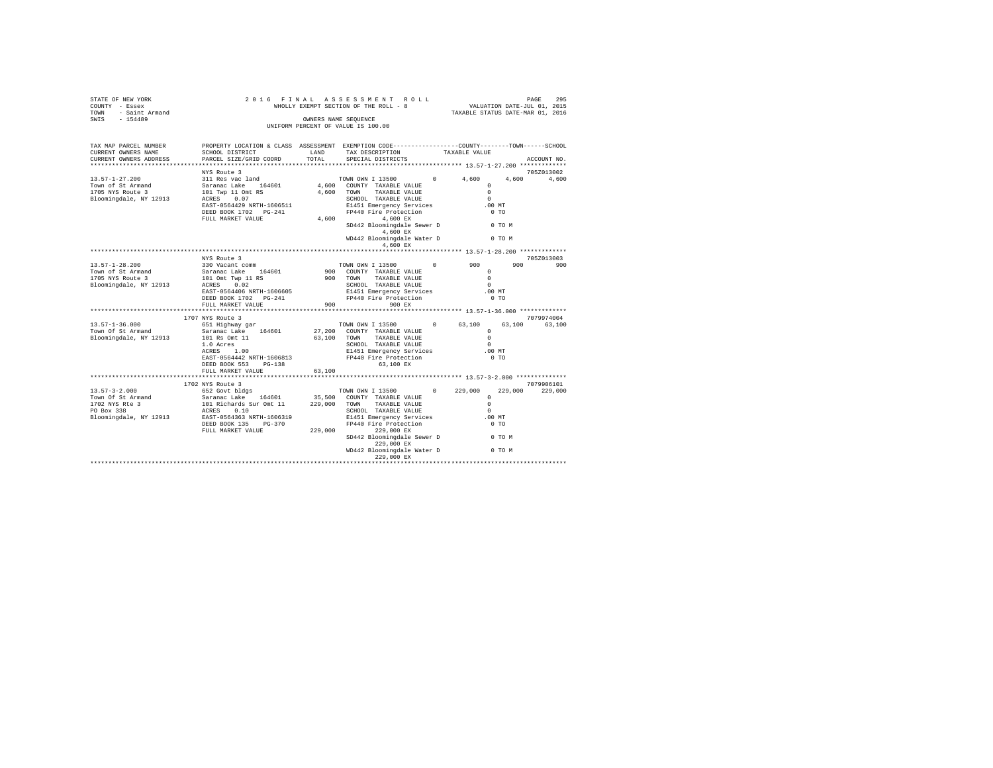| STATE OF NEW YORK<br>COUNTY - Essex<br>TOWN - Saint Armand<br>SWIS - 154489 | 2016 FINAL                                                                                                                                                  |                                                                                                    |                                                                                                                                       | PAGE 295 FINAL ASSESSMENT ROLL<br>WHOLLY EXEMPT SECTION OF THE ROLL - 8 VALUATION DATE-JUL 01, 2015<br>TAXABLE STATUS DATE-MAR 01, 2016 |             |             |         |
|-----------------------------------------------------------------------------|-------------------------------------------------------------------------------------------------------------------------------------------------------------|----------------------------------------------------------------------------------------------------|---------------------------------------------------------------------------------------------------------------------------------------|-----------------------------------------------------------------------------------------------------------------------------------------|-------------|-------------|---------|
|                                                                             |                                                                                                                                                             | OWNERS NAME SEQUENCE<br>UNIFORM PERCENT OF VALUE IS 100.00                                         |                                                                                                                                       |                                                                                                                                         |             |             |         |
| TAX MAP PARCEL NUMBER<br>CURRENT OWNERS NAME<br>CURRENT OWNERS ADDRESS      | PROPERTY LOCATION & CLASS ASSESSMENT EXEMPTION CODE---------------COUNTY-------TOWN------SCHOOL<br><b>LAND</b><br>SCHOOL DISTRICT<br>PARCEL SIZE/GRID COORD | TOTAL                                                                                              | SPECIAL DISTRICTS                                                                                                                     | TAX DESCRIPTION TAXABLE VALUE<br>SPECIAL DISTRICTS                                                                                      |             | ACCOUNT NO. |         |
|                                                                             | NYS Route 3                                                                                                                                                 |                                                                                                    |                                                                                                                                       |                                                                                                                                         |             | 705Z013002  |         |
| $13.57 - 1 - 27.200$                                                        | 311 Res vac land<br>Saranac Lake 164601 4,600 COUNT<br>101 Twp 11 Omt RS 4,600 COUNT<br>102 Twp 10 Omt RS 4,600 TOWN<br>ACRES 0.07                          | TOWN OWN I 13500<br>4,600 COUNTY TAXABLE VALUE<br>4,600 TOWN TAXABLE VALUE<br>SCHOOL TAXABLE VALUE |                                                                                                                                       | 4,600                                                                                                                                   | 4,600 4,600 |             |         |
| Town of St Armand<br>1705 NYS Route 3                                       |                                                                                                                                                             |                                                                                                    |                                                                                                                                       | $\Omega$                                                                                                                                |             |             |         |
|                                                                             |                                                                                                                                                             |                                                                                                    |                                                                                                                                       | $\sim$ 0                                                                                                                                |             |             |         |
| Bloomingdale, NY 12913                                                      |                                                                                                                                                             |                                                                                                    |                                                                                                                                       | $\sim$                                                                                                                                  |             |             |         |
|                                                                             | EAST-0564429 NRTH-1606511<br>DEED BOOK 1702 PG-241                                                                                                          |                                                                                                    | SCHOOL TAXABLE VALUE E1451 Emergency Services<br>FP440 Fire Protection<br>$4,600$<br>$$<br>$$<br>$1,600$<br>$$<br>$$<br>$1,600$<br>$$ | $.00$ MT<br>$0$ TO                                                                                                                      |             |             |         |
|                                                                             | FULL MARKET VALUE                                                                                                                                           |                                                                                                    |                                                                                                                                       |                                                                                                                                         |             |             |         |
|                                                                             |                                                                                                                                                             |                                                                                                    | SD442 Bloomingdale Sewer D<br>4.600 EX                                                                                                |                                                                                                                                         | 0 TO M      |             |         |
|                                                                             |                                                                                                                                                             |                                                                                                    | 4,600 EX                                                                                                                              | WD442 Bloomingdale Water D 0 TO M                                                                                                       |             |             |         |
|                                                                             |                                                                                                                                                             |                                                                                                    |                                                                                                                                       |                                                                                                                                         |             |             |         |
|                                                                             | NYS Route 3                                                                                                                                                 |                                                                                                    |                                                                                                                                       |                                                                                                                                         |             | 705Z013003  |         |
| 13.57-1-28.200                                                              | 330 Vacant comm                                                                                                                                             |                                                                                                    |                                                                                                                                       | TOWN OWN I 13500 0 900                                                                                                                  | 900         |             | 900     |
| Town of St Armand<br>1705 NYS Route 3                                       | Saranac Lake 164601                                                                                                                                         |                                                                                                    | 900 COUNTY TAXABLE VALUE<br>900 TOWN TAXABLE VALUE                                                                                    | $\Omega$<br>$\sim$ 0                                                                                                                    |             |             |         |
| Bloomingdale, NY 12913                                                      | 101 Omt Twp 11 RS<br>ACRES 0.02                                                                                                                             |                                                                                                    | SCHOOL TAXABLE VALUE                                                                                                                  | $\bigcap$                                                                                                                               |             |             |         |
|                                                                             | EAST-0564406 NRTH-1606605                                                                                                                                   |                                                                                                    | E1451 Emergency Services<br>FP440 Fire Protection                                                                                     | .00MT                                                                                                                                   |             |             |         |
|                                                                             |                                                                                                                                                             |                                                                                                    | FP440 Fire Protection                                                                                                                 | 0 <sub>T</sub>                                                                                                                          |             |             |         |
|                                                                             | FULL MARKET VALUE                                                                                                                                           | 900                                                                                                | 900 RX                                                                                                                                |                                                                                                                                         |             |             |         |
|                                                                             |                                                                                                                                                             |                                                                                                    |                                                                                                                                       |                                                                                                                                         |             |             |         |
|                                                                             | 1707 NYS Route 3<br>651 Highway gar                                                                                                                         |                                                                                                    |                                                                                                                                       |                                                                                                                                         |             | 7079974004  |         |
| $13.57 - 1 - 36.000$<br>Town Of St Armand                                   | Saranac Lake 164601 27,200 COUNTY TAXABLE VALUE                                                                                                             |                                                                                                    |                                                                                                                                       | TOWN OWN I 13500 0 63,100<br>$\Omega$                                                                                                   | 63,100      | 63,100      |         |
| Bloomingdale, NY 12913                                                      |                                                                                                                                                             |                                                                                                    | 63,100 TOWN TAXABLE VALUE                                                                                                             | $\Omega$                                                                                                                                |             |             |         |
|                                                                             | 101 Rs Omt 11<br>1.0 Acres<br>ACRES 1.00                                                                                                                    |                                                                                                    | SCHOOL TAXABLE VALUE                                                                                                                  | $\bigcap$                                                                                                                               |             |             |         |
|                                                                             |                                                                                                                                                             |                                                                                                    |                                                                                                                                       | .00MT                                                                                                                                   |             |             |         |
|                                                                             | EAST-0564442 NRTH-1606813                                                                                                                                   |                                                                                                    | E1451 Emergency Services<br>FP440 Fire Protection<br>$52 \times 10^{-6}$ Protection<br>$52 \times 10^{-6}$                            | 0 <sub>T</sub>                                                                                                                          |             |             |         |
|                                                                             | DEED BOOK 553 PG-138                                                                                                                                        |                                                                                                    | 63,100 EX                                                                                                                             |                                                                                                                                         |             |             |         |
|                                                                             | FULL MARKET VALUE                                                                                                                                           | 63,100                                                                                             |                                                                                                                                       |                                                                                                                                         |             |             |         |
|                                                                             | 1702 NYS Route 3                                                                                                                                            |                                                                                                    |                                                                                                                                       |                                                                                                                                         |             | 7079906101  |         |
|                                                                             |                                                                                                                                                             |                                                                                                    |                                                                                                                                       | $0 \t 229,000$                                                                                                                          | 229,000     |             | 229,000 |
|                                                                             |                                                                                                                                                             |                                                                                                    |                                                                                                                                       | $\Omega$                                                                                                                                |             |             |         |
|                                                                             |                                                                                                                                                             |                                                                                                    |                                                                                                                                       | $\Omega$                                                                                                                                |             |             |         |
|                                                                             |                                                                                                                                                             |                                                                                                    |                                                                                                                                       | $\Omega$                                                                                                                                |             |             |         |
|                                                                             |                                                                                                                                                             |                                                                                                    |                                                                                                                                       | .00MT                                                                                                                                   |             |             |         |
|                                                                             | FULL MARKET VALUE                                                                                                                                           | 229,000                                                                                            | 229,000 EX                                                                                                                            | $0$ TO                                                                                                                                  |             |             |         |
|                                                                             |                                                                                                                                                             |                                                                                                    | SD442 Bloomingdale Sewer D<br>229,000 EX                                                                                              |                                                                                                                                         | 0 TO M      |             |         |
|                                                                             |                                                                                                                                                             |                                                                                                    | WD442 Bloomingdale Water D                                                                                                            | <b>O TO M</b>                                                                                                                           |             |             |         |
|                                                                             |                                                                                                                                                             |                                                                                                    |                                                                                                                                       |                                                                                                                                         |             |             |         |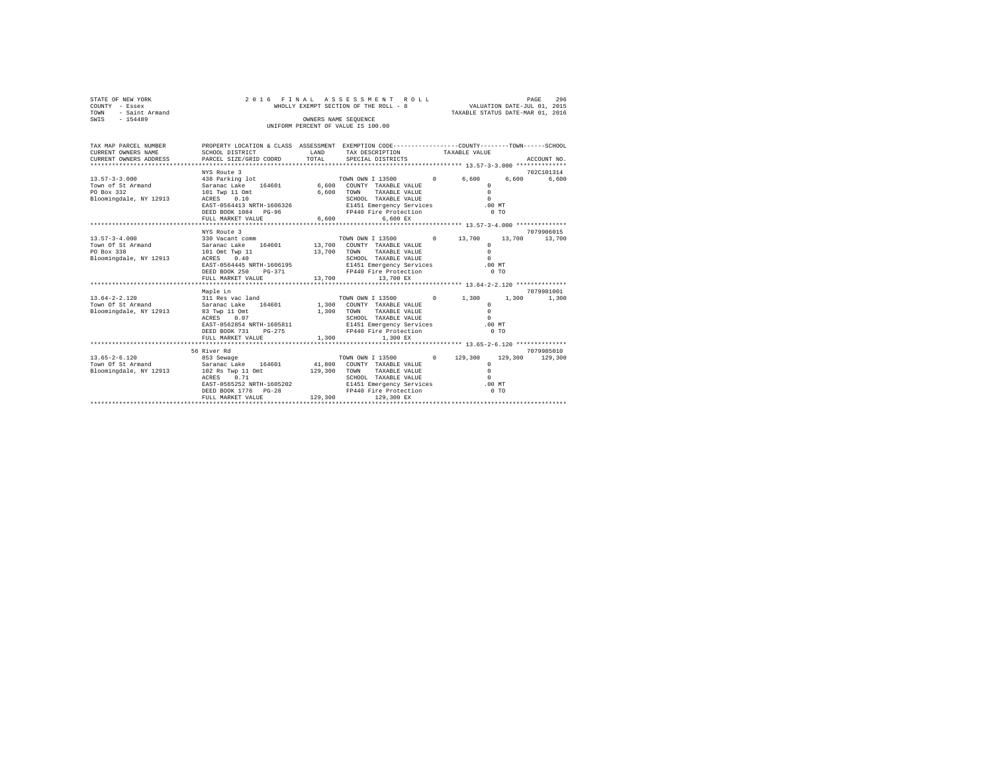| STATE OF NEW YORK<br>COUNTY - Essex                   |                                                                                                 |                    | 2016 FINAL ASSESSMENT ROLL<br>WHOLLY EXEMPT SECTION OF THE ROLL - 8                 | $- - -$<br>VALUATION DATE-JUL 01, 2015 | PAGE<br>296 |
|-------------------------------------------------------|-------------------------------------------------------------------------------------------------|--------------------|-------------------------------------------------------------------------------------|----------------------------------------|-------------|
| TOWN - Saint Armand                                   |                                                                                                 |                    |                                                                                     | TAXABLE STATUS DATE-MAR 01, 2016       |             |
| SWIS - 154489                                         |                                                                                                 |                    | OWNERS NAME SEOUENCE                                                                |                                        |             |
|                                                       |                                                                                                 |                    | UNIFORM PERCENT OF VALUE IS 100.00                                                  |                                        |             |
|                                                       |                                                                                                 |                    |                                                                                     |                                        |             |
|                                                       |                                                                                                 |                    |                                                                                     |                                        |             |
| TAX MAP PARCEL NUMBER<br>CURRENT OWNERS NAME          | PROPERTY LOCATION & CLASS ASSESSMENT EXEMPTION CODE---------------COUNTY-------TOWN------SCHOOL | <b>EXAMPLE AND</b> |                                                                                     |                                        |             |
| CURRENT OWNERS ADDRESS                                | SCHOOL DISTRICT<br>PARCEL SIZE/GRID COORD                                                       | TOTAL              | TAX DESCRIPTION TAXABLE VALUE<br>SPECIAL DISTRICTS                                  |                                        | ACCOUNT NO. |
|                                                       |                                                                                                 |                    |                                                                                     |                                        |             |
|                                                       | NYS Route 3                                                                                     |                    |                                                                                     |                                        | 702C101314  |
| $13.57 - 3 - 3.000$                                   |                                                                                                 |                    |                                                                                     |                                        | 6,600 6,600 |
| Town of St Armand                                     |                                                                                                 |                    |                                                                                     |                                        |             |
| PO Box 332                                            | 101 Twp 11 Omt<br>ACRES 0.10                                                                    | 6,600 TOWN         | TAXABLE VALUE                                                                       | $\Omega$                               |             |
| Bloomingdale, NY 12913                                |                                                                                                 |                    | SCHOOL TAXABLE VALUE                                                                | $\sim$ 0                               |             |
|                                                       | EAST-0564413 NRTH-1606326 E1451 Emergency Services .00 MT                                       |                    |                                                                                     |                                        |             |
|                                                       | DEED BOOK 1084 PG-96                                                                            |                    | FP440 Fire Protection                                                               | 0 <sub>T</sub>                         |             |
|                                                       | FULL MARKET VALUE                                                                               |                    | 6.600<br>6.600 EX                                                                   |                                        |             |
|                                                       | NYS Route 3                                                                                     |                    |                                                                                     |                                        | 7079906015  |
| $13.57 - 3 - 4.000$                                   |                                                                                                 |                    | TOWN OWN I 13500 0 13,700 13,700 13,700                                             |                                        |             |
| Town Of St Armand                                     | 330 Vacant comm<br>Saranac Lake 164601                                                          |                    | TOWN OWN I 13500 (<br>13,700 COUNTY TAXABLE VALUE                                   | $^{\circ}$                             |             |
| PO Box 338                                            | 101 Omt Twp 11                                                                                  | 13,700 TOWN        | TAXABLE VALUE                                                                       | $\Omega$                               |             |
| Bloomingdale, NY 12913                                | ACRES 0.40                                                                                      |                    |                                                                                     |                                        |             |
|                                                       | EAST-0564445 NRTH-1606195                                                                       |                    |                                                                                     |                                        |             |
|                                                       | DEED BOOK 250 PG-371                                                                            |                    | FP440 Fire Protection                                                               | $0$ TO                                 |             |
|                                                       | FULL MARKET VALUE                                                                               |                    | 13,700 13,700 EX                                                                    |                                        |             |
|                                                       |                                                                                                 |                    |                                                                                     |                                        |             |
|                                                       | Maple Ln                                                                                        |                    |                                                                                     |                                        | 7079981001  |
| $13.64 - 2 - 2.120$<br>Town Of St Armand              | 311 Res vac land TOWN OWN I 13500 0 1,300 1,300 1,300                                           |                    |                                                                                     |                                        |             |
| Bloomingdale, NY 12913                                | Saranac Lake 164601<br>83 Twp 11 Omt                                                            |                    | 1,300 COUNTY TAXABLE VALUE<br>1,300 TOWN<br>TAXABLE VALUE                           | $\circ$<br>$\Omega$                    |             |
|                                                       | ACRES 0.07                                                                                      |                    | SCHOOL TAXABLE VALUE                                                                | $\Omega$                               |             |
|                                                       | EAST-0562854 NRTH-1605811                                                                       |                    |                                                                                     | $.00$ MT                               |             |
|                                                       | DEED BOOK 731 PG-275                                                                            |                    | E1451 Emergency Services<br>FP440 Fire Protection                                   | 0.70                                   |             |
|                                                       | FULL MARKET VALUE                                                                               | 1,300              | 1,300 EX                                                                            |                                        |             |
|                                                       |                                                                                                 |                    |                                                                                     |                                        |             |
|                                                       | 56 River Rd                                                                                     |                    |                                                                                     |                                        | 7079985010  |
| $13.65 - 2 - 6.120$                                   |                                                                                                 |                    | TOWN OWN I 13500 0 129,300 129,300 129,300                                          |                                        |             |
| Town Of St Armand                                     |                                                                                                 |                    |                                                                                     | $\Omega$                               |             |
| Bloomingdale, NY 12913 102 Rs Twp 11 Omt 129,300 TOWN | ACRES 0.71                                                                                      |                    | TAXABLE VALUE<br>SCHOOL TAXABLE VALUE                                               | $\Omega$<br>$\sim$                     |             |
|                                                       | EAST-0565252 NRTH-1605202                                                                       |                    |                                                                                     |                                        |             |
|                                                       | DEED BOOK 1776 PG-28                                                                            |                    | E1451 Emergency Services .00 MT<br>FP440 Fire Protection 0 TO<br>129 300 129 300 EX |                                        |             |
|                                                       | FULL MARKET VALUE                                                                               |                    | 129,300<br>129,300 EX                                                               |                                        |             |
|                                                       |                                                                                                 |                    |                                                                                     |                                        |             |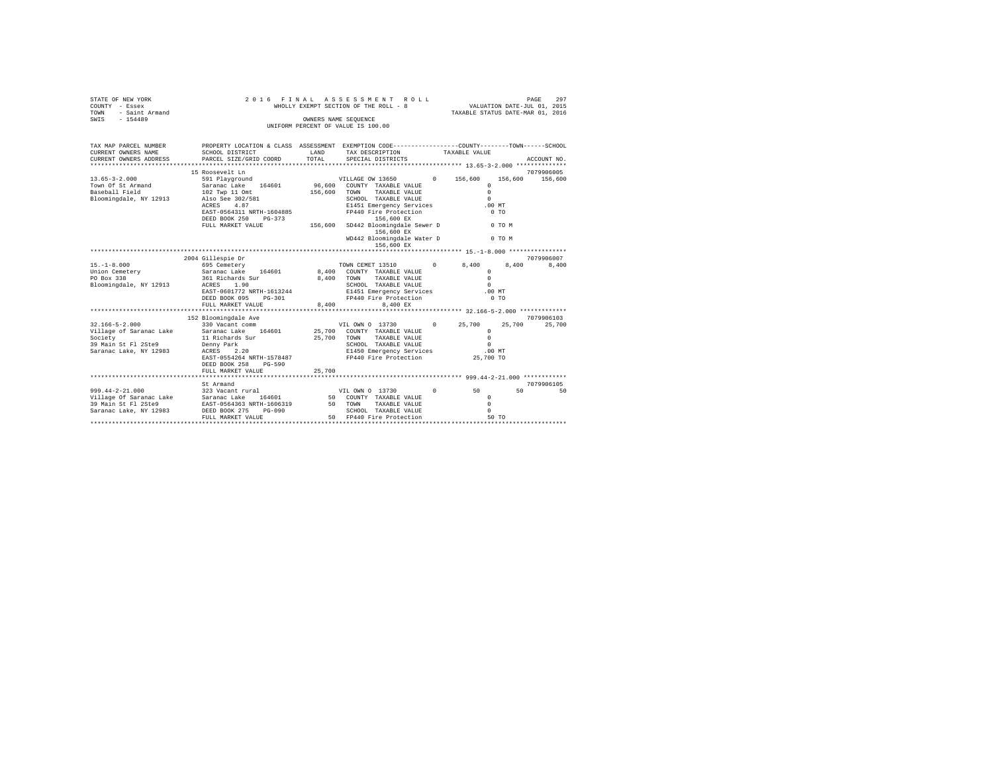| STATE OF NEW YORK<br>COUNTY - Essex<br>TOWN<br>- Saint Armand<br>$-154489$<br>SWIS                                    | 2016<br>FINAL<br>WHOLLY EXEMPT SECTION OF THE ROLL - 8<br>UNIFORM PERCENT OF VALUE IS 100.00                                                                                                   | <b>ROLL</b>        | 297<br>PAGE<br>VALUATION DATE-JUL 01, 2015<br>TAXABLE STATUS DATE-MAR 01, 2016                                                                                                                                                                              |            |                                                                                               |                       |  |
|-----------------------------------------------------------------------------------------------------------------------|------------------------------------------------------------------------------------------------------------------------------------------------------------------------------------------------|--------------------|-------------------------------------------------------------------------------------------------------------------------------------------------------------------------------------------------------------------------------------------------------------|------------|-----------------------------------------------------------------------------------------------|-----------------------|--|
| TAX MAP PARCEL NUMBER<br>CURRENT OWNERS NAME<br>CURRENT OWNERS ADDRESS<br>*************************                   | PROPERTY LOCATION & CLASS ASSESSMENT EXEMPTION CODE---------------COUNTY-------TOWN------SCHOOL<br>SCHOOL DISTRICT<br>PARCEL SIZE/GRID COORD                                                   | LAND<br>TOTAL      | TAX DESCRIPTION<br>SPECIAL DISTRICTS                                                                                                                                                                                                                        |            | TAXABLE VALUE                                                                                 | ACCOUNT NO.           |  |
| $13.65 - 3 - 2.000$<br>Town Of St Armand<br>Baseball Field<br>Bloomingdale, NY 12913                                  | 15 Roosevelt Ln<br>591 Playground<br>Saranac Lake 164601<br>102 Twp 11 Omt<br>Also See 302/581<br>ACRES<br>4.87<br>EAST-0564311 NRTH-1604885<br>DEED BOOK 250<br>$PG-373$<br>FULL MARKET VALUE | 156,600<br>156,600 | VILLAGE OW 13650<br>96.600 COUNTY TAXABLE VALUE<br>TOWN<br>TAXABLE VALUE<br>SCHOOL TAXABLE VALUE<br>E1451 Emergency Services<br>FP440 Fire Protection<br>156,600 EX<br>SD442 Bloomingdale Sewer D<br>156,600 EX<br>WD442 Bloomingdale Water D<br>156,600 EX | 0 156,600  | 156,600<br>$\Omega$<br>$\Omega$<br>$\Omega$<br>$.00$ MT<br>0 <sub>T</sub><br>0 TO M<br>0 TO M | 7079906005<br>156,600 |  |
|                                                                                                                       | 2004 Gillespie Dr                                                                                                                                                                              |                    |                                                                                                                                                                                                                                                             |            |                                                                                               | 7079906007            |  |
| $15. - 1 - 8.000$<br>Union Cemetery<br>PO Box 338<br>Bloomingdale, NY 12913                                           | 695 Cemetery<br>Saranac Lake 164601<br>361 Richards Sur<br>ACRES 1.90<br>EAST-0601772 NRTH-1613244<br>DEED BOOK 095<br>$PG-301$<br>FULL MARKET VALUE                                           | 8,400<br>8,400     | TOWN CEMET 13510<br>8,400 COUNTY TAXABLE VALUE<br>TAXABLE VALUE<br>TOWN<br>SCHOOL TAXABLE VALUE<br>E1451 Emergency Services<br>FP440 Fire Protection<br>8.400 EX                                                                                            | $^{\circ}$ | 8,400<br>8,400<br>$\Omega$<br>$\Omega$<br>$\Omega$<br>.00MT<br>0 <sub>T</sub>                 | 8,400                 |  |
|                                                                                                                       | 152 Bloomingdale Ave                                                                                                                                                                           |                    |                                                                                                                                                                                                                                                             |            |                                                                                               | 7079906103            |  |
| $32.166 - 5 - 2.000$<br>Village of Saranac Lake<br>Society<br>39 Main St Fl 2Ste9<br>Saranac Lake, NY 12983           | 330 Vacant comm<br>Saranac Lake 164601<br>11 Richards Sur<br>Denny Park<br>2.20<br>ACRES<br>EAST-0554264 NRTH-1578487<br>DEED BOOK 258<br>$PG-590$                                             | 25,700             | VIL OWN 0 13730<br>25,700 COUNTY TAXABLE VALUE<br>TOWN<br>TAXABLE VALUE<br>SCHOOL TAXABLE VALUE<br>E1450 Emergency Services<br>FP440 Fire Protection                                                                                                        | $\Omega$   | 25,700<br>25,700<br>$\circ$<br>$\Omega$<br>$\Omega$<br>$.00$ MT<br>25,700 TO                  | 25,700                |  |
|                                                                                                                       | FULL MARKET VALUE                                                                                                                                                                              | 25,700             |                                                                                                                                                                                                                                                             |            |                                                                                               |                       |  |
| $999.44 - 2 - 21.000$<br>Village Of Saranac Lake Saranac Lake 164601<br>39 Main St Fl 2Ste9<br>Saranac Lake, NY 12983 | St Armand<br>323 Vacant rural<br>EAST-0564363 NRTH-1606319<br>DEED BOOK 275<br>PG-090<br>FULL MARKET VALUE                                                                                     |                    | VIL OWN 0 13730<br>50 COUNTY TAXABLE VALUE<br>50 TOWN TAXABLE VALUE<br>TAXABLE VALUE<br>SCHOOL TAXABLE VALUE<br>SCHOOL TAXABLE VALUE<br>50 FP440 Fire Protection                                                                                            | $\circ$    | 50<br>50<br>$\Omega$<br>$\Omega$<br>$\Omega$<br>50 TO                                         | 7079906105<br>50      |  |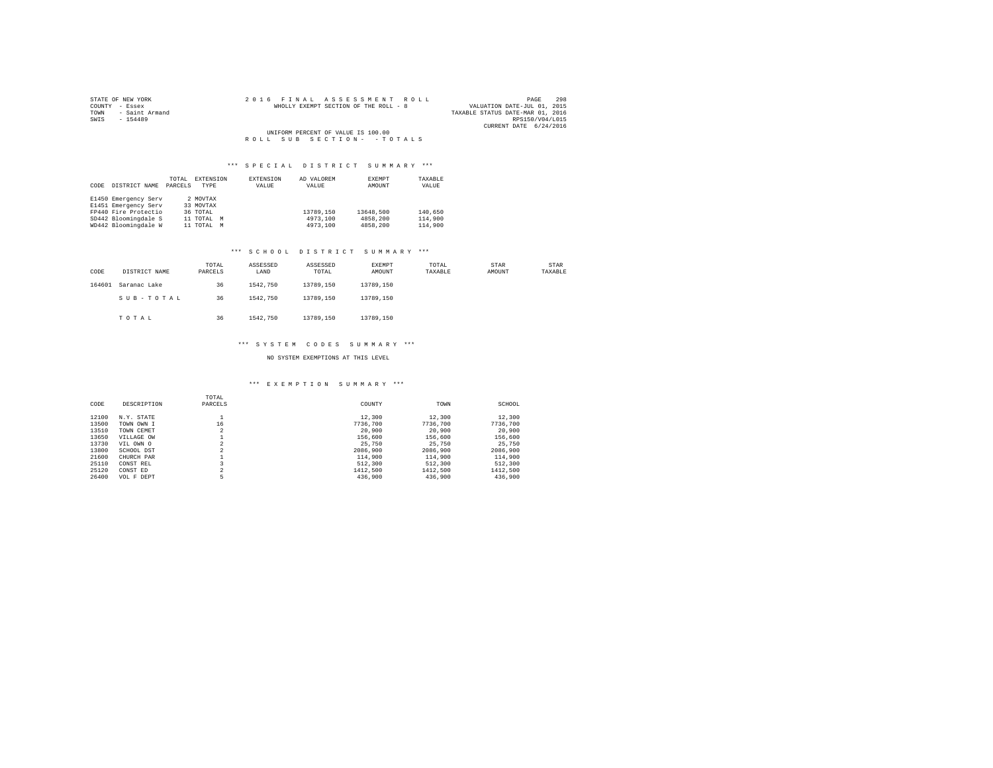| STATE OF NEW YORK   |  |  | 2016 FINAL ASSESSMENT ROLL            |  |  |  | 298<br>PAGE                      |
|---------------------|--|--|---------------------------------------|--|--|--|----------------------------------|
| COUNTY - Essex      |  |  | WHOLLY EXEMPT SECTION OF THE ROLL - 8 |  |  |  | VALUATION DATE-JUL 01, 2015      |
| TOWN - Saint Armand |  |  |                                       |  |  |  | TAXABLE STATUS DATE-MAR 01, 2016 |
| SWIS<br>$-154489$   |  |  |                                       |  |  |  | RPS150/V04/L015                  |
|                     |  |  |                                       |  |  |  | CURRENT DATE 6/24/2016           |
|                     |  |  | UNIFORM PERCENT OF VALUE IS 100.00    |  |  |  |                                  |
|                     |  |  | ROLL SUB SECTION- - TOTALS            |  |  |  |                                  |

# \*\*\* S P E C I A L D I S T R I C T S U M M A R Y \*\*\*

|      |                      | TOTAL   | EXTENSION   | <b>EXTENSION</b> | AD VALOREM | EXEMPT    | TAXABLE |
|------|----------------------|---------|-------------|------------------|------------|-----------|---------|
| CODE | DISTRICT NAME        | PARCELS | <b>TYPE</b> | VALUE            | VALUE      | AMOUNT    | VALUE   |
|      |                      |         |             |                  |            |           |         |
|      | E1450 Emergency Serv |         | 2 MOVTAX    |                  |            |           |         |
|      | E1451 Emergency Serv |         | 33 MOVTAX   |                  |            |           |         |
|      | FP440 Fire Protectio |         | 36 TOTAL    |                  | 13789.150  | 13648.500 | 140,650 |
|      | SD442 Bloomingdale S |         | 11 TOTAL M  |                  | 4973,100   | 4858,200  | 114,900 |
|      | WD442 Bloomingdale W |         | 11 TOTAL M  |                  | 4973,100   | 4858,200  | 114,900 |

# \*\*\* S C H O O L D I S T R I C T S U M M A R Y \*\*\*

| CODE   | DISTRICT NAME | TOTAL<br>PARCELS | ASSESSED<br>LAND | ASSESSED<br>TOTAL | EXEMPT<br>AMOUNT | TOTAL<br>TAXABLE | STAR<br>AMOUNT | STAR<br>TAXABLE |
|--------|---------------|------------------|------------------|-------------------|------------------|------------------|----------------|-----------------|
| 164601 | Saranac Lake  | 36               | 1542,750         | 13789.150         | 13789.150        |                  |                |                 |
|        | SUB-TOTAL     | 36               | 1542,750         | 13789.150         | 13789.150        |                  |                |                 |
|        | TOTAL         | 36               | 1542,750         | 13789.150         | 13789.150        |                  |                |                 |

# \*\*\* S Y S T E M C O D E S S U M M A R Y \*\*\*

# NO SYSTEM EXEMPTIONS AT THIS LEVEL

# \*\*\* E X E M P T I O N S U M M A R Y \*\*\*

| CODE  | DESCRIPTION | TOTAL<br>PARCELS    | COUNTY   | TOWN     | SCHOOL   |
|-------|-------------|---------------------|----------|----------|----------|
| 12100 | N.Y. STATE  |                     | 12,300   | 12,300   | 12,300   |
| 13500 | TOWN OWN I  | 16                  | 7736.700 | 7736,700 | 7736.700 |
| 13510 | TOWN CEMET  | o<br>۷              | 20,900   | 20,900   | 20,900   |
| 13650 | VILLAGE OW  |                     | 156,600  | 156,600  | 156,600  |
| 13730 | VIL OWN O   | n                   | 25,750   | 25,750   | 25,750   |
| 13800 | SCHOOL DST  | $\sim$              | 2086,900 | 2086,900 | 2086,900 |
| 21600 | CHURCH PAR  |                     | 114,900  | 114,900  | 114,900  |
| 25110 | CONST REL   |                     | 512,300  | 512,300  | 512,300  |
| 25120 | CONST ED    | $\hat{\phantom{a}}$ | 1412,500 | 1412,500 | 1412.500 |
| 26400 | VOL F DEPT  | 5                   | 436,900  | 436,900  | 436,900  |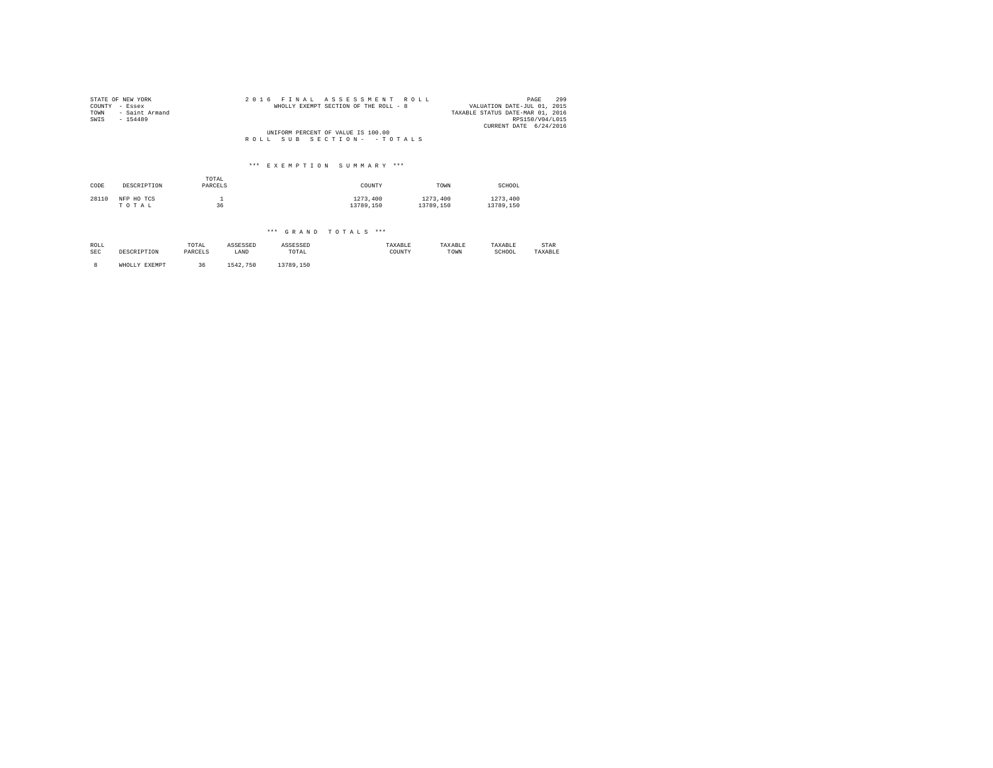| COUNTY<br>TOWN<br>SWIS | STATE OF NEW YORK<br>- Essex<br>- Saint Armand<br>$-154489$ |              | 2016     | FTNAL    | ASSESSMENT<br>WHOLLY EXEMPT SECTION OF THE ROLL - 8 | R 0 L L |           | VALUATION DATE-JUL 01, 2015<br>TAXABLE STATUS DATE-MAR 01, 2016<br>CURRENT DATE 6/24/2016 | 299<br>PAGE<br>RPS150/V04/L015 |
|------------------------|-------------------------------------------------------------|--------------|----------|----------|-----------------------------------------------------|---------|-----------|-------------------------------------------------------------------------------------------|--------------------------------|
|                        |                                                             |              |          |          | UNIFORM PERCENT OF VALUE IS 100.00                  |         |           |                                                                                           |                                |
|                        |                                                             |              | ROLL.    | SUB      | SECTION - - TOTALS                                  |         |           |                                                                                           |                                |
|                        |                                                             |              |          |          |                                                     |         |           |                                                                                           |                                |
|                        |                                                             |              |          |          | *** EXEMPTION SUMMARY ***                           |         |           |                                                                                           |                                |
|                        |                                                             | TOTAL        |          |          |                                                     |         |           |                                                                                           |                                |
| CODE                   | DESCRIPTION                                                 | PARCELS      |          |          | COUNTY                                              |         | TOWN      | SCHOOL                                                                                    |                                |
| 28110                  | NFP HO TCS                                                  | $\mathbf{1}$ |          |          | 1273,400                                            |         | 1273,400  | 1273,400                                                                                  |                                |
|                        | TOTAL                                                       | 36           |          |          | 13789.150                                           |         | 13789.150 | 13789.150                                                                                 |                                |
|                        |                                                             |              |          |          |                                                     |         |           |                                                                                           |                                |
|                        |                                                             |              |          |          | *** GRAND TOTALS ***                                |         |           |                                                                                           |                                |
| ROLL                   |                                                             | TOTAL        | ASSESSED | ASSESSED |                                                     | TAXABLE | TAXABLE   | TAXABLE                                                                                   | STAR                           |
| <b>SEC</b>             | DESCRIPTION                                                 | PARCELS      | LAND     | TOTAL    |                                                     | COUNTY  | TOWN      | SCHOOL                                                                                    | TAXABLE                        |

8 WHOLLY EXEMPT 36 1542,750 13789,150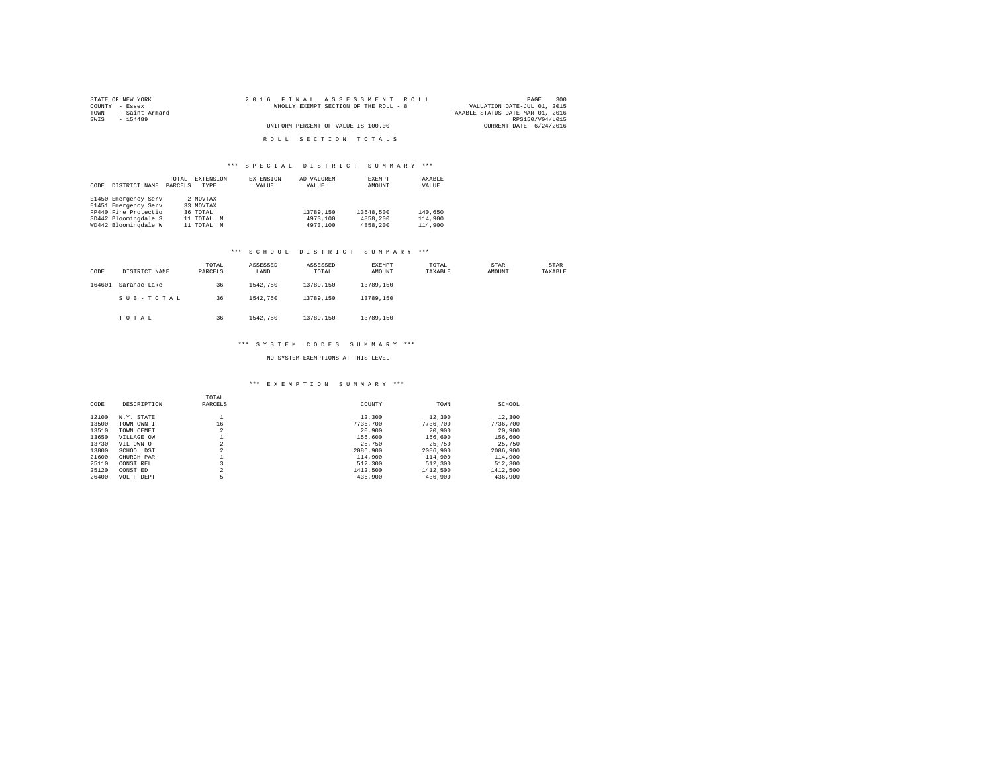| STATE OF NEW YORK      | 2016 FINAL ASSESSMENT ROLL            | 300<br>PAGE                      |
|------------------------|---------------------------------------|----------------------------------|
| COUNTY - Essex         | WHOLLY EXEMPT SECTION OF THE ROLL - 8 | VALUATION DATE-JUL 01, 2015      |
| - Saint Armand<br>TOWN |                                       | TAXABLE STATUS DATE-MAR 01, 2016 |
| SWIS<br>$-154489$      |                                       | RPS150/V04/L015                  |
|                        | UNIFORM PERCENT OF VALUE IS 100.00    | CURRENT DATE 6/24/2016           |
|                        |                                       |                                  |
|                        | ROLL SECTION TOTALS                   |                                  |

# \*\*\* S P E C I A L D I S T R I C T S U M M A R Y \*\*\*

|      |                      | TOTAL   | EXTENSION   |   | <b>EXTENSION</b> | AD VALOREM | EXEMPT    | TAXABLE |
|------|----------------------|---------|-------------|---|------------------|------------|-----------|---------|
| CODE | DISTRICT NAME        | PARCELS | <b>TYPE</b> |   | VALUE            | VALUE      | AMOUNT    | VALUE   |
|      |                      |         |             |   |                  |            |           |         |
|      | E1450 Emergency Serv |         | 2 MOVTAX    |   |                  |            |           |         |
|      | E1451 Emergency Serv |         | 33 MOVTAX   |   |                  |            |           |         |
|      | FP440 Fire Protectio |         | 36 TOTAL    |   |                  | 13789.150  | 13648.500 | 140,650 |
|      | SD442 Bloomingdale S |         | 11 TOTAL M  |   |                  | 4973,100   | 4858,200  | 114,900 |
|      | WD442 Bloomingdale W |         | 11 TOTAL    | M |                  | 4973,100   | 4858,200  | 114,900 |

# \*\*\* S C H O O L D I S T R I C T S U M M A R Y \*\*\*

| CODE   | DISTRICT NAME | TOTAL<br>PARCELS | ASSESSED<br>LAND | ASSESSED<br>TOTAL | <b>EXEMPT</b><br>AMOUNT | TOTAL<br>TAXABLE | STAR<br>AMOUNT | STAR<br>TAXABLE |
|--------|---------------|------------------|------------------|-------------------|-------------------------|------------------|----------------|-----------------|
| 164601 | Saranac Lake  | 36               | 1542,750         | 13789.150         | 13789.150               |                  |                |                 |
|        | SUB-TOTAL     | 36               | 1542,750         | 13789.150         | 13789.150               |                  |                |                 |
|        | TOTAL         | 36               | 1542,750         | 13789.150         | 13789.150               |                  |                |                 |

#### \*\*\* S Y S T E M C O D E S S U M M A R Y \*\*\*

# NO SYSTEM EXEMPTIONS AT THIS LEVEL

#### \*\*\* E X E M P T I O N S U M M A R Y \*\*\*

| CODE  | DESCRIPTION | TOTAL<br>PARCELS    | COUNTY   | TOWN     | SCHOOL   |
|-------|-------------|---------------------|----------|----------|----------|
| 12100 | N.Y. STATE  |                     | 12,300   | 12,300   | 12,300   |
| 13500 | TOWN OWN I  | 16                  | 7736.700 | 7736,700 | 7736.700 |
| 13510 | TOWN CEMET  | o<br>۷              | 20,900   | 20,900   | 20,900   |
| 13650 | VILLAGE OW  |                     | 156,600  | 156,600  | 156,600  |
| 13730 | VIL OWN O   | n                   | 25,750   | 25,750   | 25,750   |
| 13800 | SCHOOL DST  | $\sim$              | 2086,900 | 2086,900 | 2086,900 |
| 21600 | CHURCH PAR  |                     | 114,900  | 114,900  | 114,900  |
| 25110 | CONST REL   |                     | 512,300  | 512,300  | 512,300  |
| 25120 | CONST ED    | $\hat{\phantom{a}}$ | 1412,500 | 1412,500 | 1412.500 |
| 26400 | VOL F DEPT  | 5                   | 436,900  | 436,900  | 436,900  |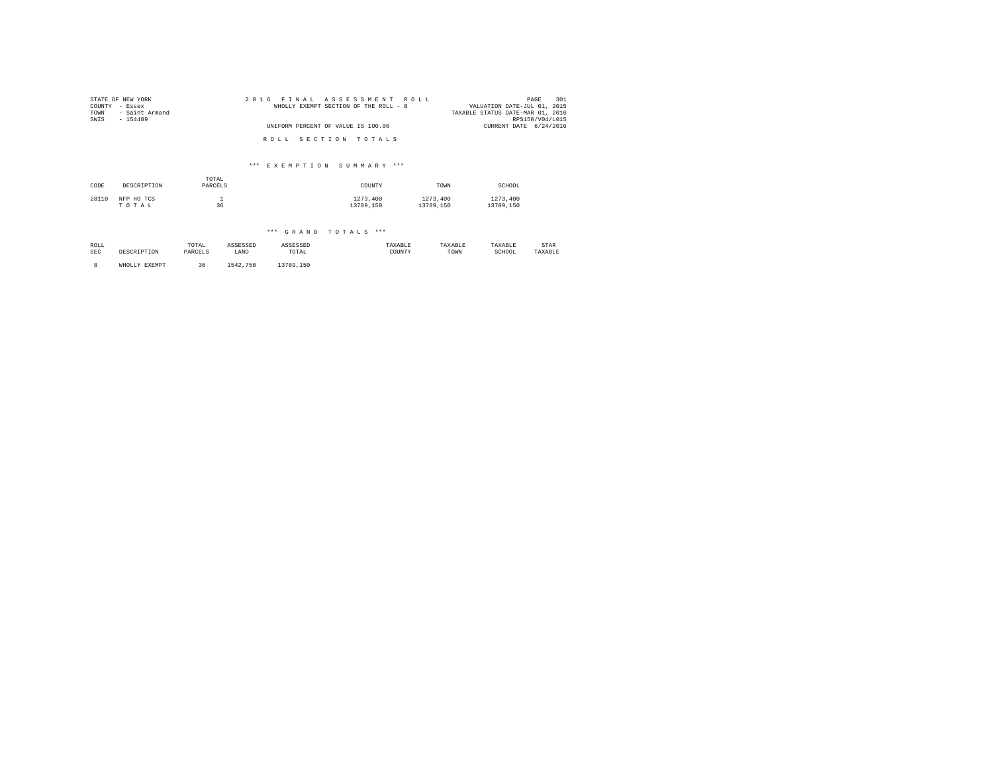| 2016<br>ROLL.<br>F T N A T.<br>ASSESSMENT<br>WHOLLY EXEMPT SECTION OF THE ROLL - 8<br>UNIFORM PERCENT OF VALUE IS 100.00 | 301<br>PAGE<br>VALUATION DATE-JUL 01, 2015<br>TAXABLE STATUS DATE-MAR 01, 2016<br>RPS150/V04/L015<br>CURRENT DATE 6/24/2016 |
|--------------------------------------------------------------------------------------------------------------------------|-----------------------------------------------------------------------------------------------------------------------------|
| SECTION TOTALS<br>ROLL.                                                                                                  |                                                                                                                             |
| *** EXEMPTION SUMMARY ***                                                                                                |                                                                                                                             |
| COUNTY                                                                                                                   | SCHOOL<br>TOWN                                                                                                              |
| 1273,400<br>13789.150                                                                                                    | 1273.400<br>1273,400<br>13789.150<br>13789.150                                                                              |
|                                                                                                                          |                                                                                                                             |

| ROLL<br>SEC | TOTAL<br>ASSESSED<br>DESCRIPTION<br>PARCELS<br>LAND |    | ASSESSED<br>TOTAL | TAXABLE<br>COUNTY | TAXABLE<br>TOWN | TAXABLE<br>SCHOOL | STAR<br>TAXABLE |  |
|-------------|-----------------------------------------------------|----|-------------------|-------------------|-----------------|-------------------|-----------------|--|
|             | WHOLLY EXEMPT                                       | 36 | 1542,750          | 13789.150         |                 |                   |                 |  |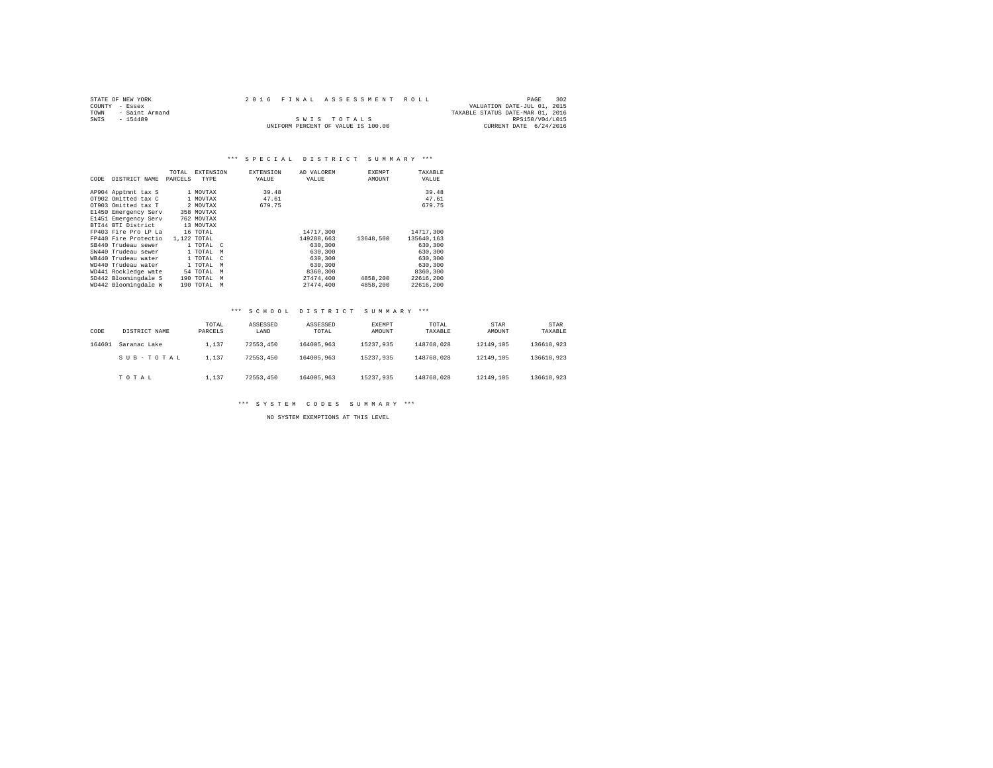|                | STATE OF NEW YORK |  | 2016 FINAL ASSESSMENT ROLL         |                                  | PAGE            | 302 |
|----------------|-------------------|--|------------------------------------|----------------------------------|-----------------|-----|
| COUNTY - Essex |                   |  |                                    | VALUATION DATE-JUL 01, 2015      |                 |     |
| TOWN           | - Saint Armand    |  |                                    | TAXABLE STATUS DATE-MAR 01, 2016 |                 |     |
| SWTS           | $-154489$         |  | SWIS TOTALS                        |                                  | RPS150/V04/L015 |     |
|                |                   |  | UNIFORM PERCENT OF VALUE IS 100.00 | CURRENT DATE 6/24/2016           |                 |     |

# \*\*\* S P E C I A L D I S T R I C T S U M M A R Y \*\*\*

|      |                      | TOTAL   | <b>EXTENSION</b> |               | <b>EXTENSION</b> | AD VALOREM | <b>EXEMPT</b> | TAXABLE    |
|------|----------------------|---------|------------------|---------------|------------------|------------|---------------|------------|
| CODE | DISTRICT NAME        | PARCELS | TYPE             |               | VALUE            | VALUE      | AMOUNT        | VALUE      |
|      | AP904 Apptmnt tax S  |         | 1 MOVTAX         |               | 39.48            |            |               | 39.48      |
|      | OT902 Omitted tax C  |         | 1 MOVTAX         |               | 47.61            |            |               | 47.61      |
|      | OT903 Omitted tax T  |         | 2 MOVTAX         |               | 679.75           |            |               | 679.75     |
|      | E1450 Emergency Serv |         | 358 MOVTAX       |               |                  |            |               |            |
|      | E1451 Emergency Serv |         | 762 MOVTAX       |               |                  |            |               |            |
|      | BTI44 BTI District   |         | 13 MOVTAX        |               |                  |            |               |            |
|      | FP403 Fire Pro LP La |         | 16 TOTAL         |               |                  | 14717.300  |               | 14717,300  |
|      | FP440 Fire Protectio |         | 1,122 TOTAL      |               |                  | 149288.663 | 13648.500     | 135640.163 |
|      | SB440 Trudeau sewer  |         | 1 TOTAL C        |               |                  | 630,300    |               | 630,300    |
|      | SW440 Trudeau sewer  |         | 1 TOTAL          | M             |                  | 630,300    |               | 630,300    |
|      | WB440 Trudeau water  |         | 1 TOTAL          | $\mathcal{C}$ |                  | 630,300    |               | 630,300    |
|      | WD440 Trudeau water  |         | 1 TOTAL          | M             |                  | 630,300    |               | 630,300    |
|      | WD441 Rockledge wate |         | 54 TOTAL         | M             |                  | 8360,300   |               | 8360,300   |
|      | SD442 Bloomingdale S |         | 190 TOTAL        | M             |                  | 27474.400  | 4858,200      | 22616,200  |
|      | WD442 Bloomingdale W |         | 190 TOTAL        | M             |                  | 27474.400  | 4858,200      | 22616,200  |

# \*\*\* S C H O O L D I S T R I C T S U M M A R Y \*\*\*

| CODE   | DISTRICT NAME | TOTAL<br>PARCELS | ASSESSED<br>LAND | ASSESSED<br>TOTAL | EXEMPT<br>AMOUNT | TOTAL<br>TAXABLE | STAR<br>AMOUNT | STAR<br>TAXABLE |
|--------|---------------|------------------|------------------|-------------------|------------------|------------------|----------------|-----------------|
| 164601 | Saranac Lake  | 1,137            | 72553.450        | 164005.963        | 15237.935        | 148768.028       | 12149.105      | 136618.923      |
|        | SUB-TOTAL     | 1,137            | 72553.450        | 164005.963        | 15237.935        | 148768.028       | 12149.105      | 136618.923      |
|        | TOTAL         | 1,137            | 72553.450        | 164005.963        | 15237.935        | 148768.028       | 12149.105      | 136618.923      |

\*\*\* S Y S T E M C O D E S S U M M A R Y \*\*\*

NO SYSTEM EXEMPTIONS AT THIS LEVEL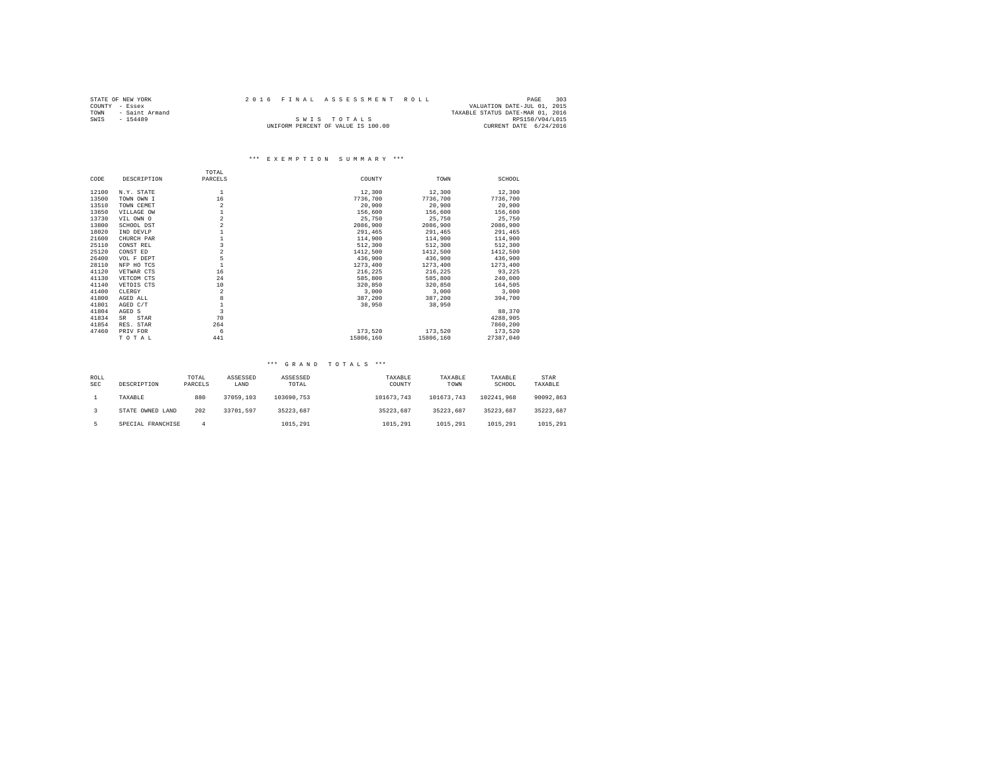|                | STATE OF NEW YORK |  | 2016 FINAL ASSESSMENT ROLL         |                                  | PAGE            | 303 |
|----------------|-------------------|--|------------------------------------|----------------------------------|-----------------|-----|
| COUNTY - Essex |                   |  |                                    | VALUATION DATE-JUL 01, 2015      |                 |     |
| TOWN           | - Saint Armand    |  |                                    | TAXABLE STATUS DATE-MAR 01, 2016 |                 |     |
| SWTS           | $-154489$         |  | SWIS TOTALS                        |                                  | RPS150/V04/L015 |     |
|                |                   |  | UNIFORM PERCENT OF VALUE IS 100.00 | CURRENT DATE 6/24/2016           |                 |     |

# \*\*\* E X E M P T I O N S U M M A R Y \*\*\*

|       |             | TOTAL          |           |           |           |
|-------|-------------|----------------|-----------|-----------|-----------|
| CODE  | DESCRIPTION | PARCELS        | COUNTY    | TOWN      | SCHOOL    |
| 12100 | N.Y. STATE  |                | 12,300    | 12,300    | 12,300    |
| 13500 | TOWN OWN I  | 16             | 7736,700  | 7736,700  | 7736,700  |
| 13510 | TOWN CEMET  | $\overline{2}$ | 20,900    | 20,900    | 20,900    |
| 13650 | VILLAGE OW  |                | 156,600   | 156,600   | 156,600   |
| 13730 | VIL OWN O   | $\overline{a}$ | 25,750    | 25,750    | 25,750    |
| 13800 | SCHOOL DST  |                | 2086,900  | 2086,900  | 2086,900  |
| 18020 | IND DEVLP   |                | 291,465   | 291,465   | 291,465   |
| 21600 | CHURCH PAR  |                | 114,900   | 114,900   | 114,900   |
| 25110 | CONST REL   | 3              | 512,300   | 512,300   | 512,300   |
| 25120 | CONST ED    | $\overline{a}$ | 1412,500  | 1412,500  | 1412,500  |
| 26400 | VOL F DEPT  | 5              | 436,900   | 436,900   | 436,900   |
| 28110 | NFP HO TCS  |                | 1273,400  | 1273,400  | 1273,400  |
| 41120 | VETWAR CTS  | 16             | 216,225   | 216,225   | 93,225    |
| 41130 | VETCOM CTS  | 24             | 585,800   | 585,800   | 240,000   |
| 41140 | VETDIS CTS  | 10             | 320,850   | 320,850   | 164,505   |
| 41400 | CLERGY      | $\overline{2}$ | 3,000     | 3,000     | 3,000     |
| 41800 | AGED ALL    | 8              | 387,200   | 387,200   | 394,700   |
| 41801 | AGED C/T    |                | 38,950    | 38,950    |           |
| 41804 | AGED S      | $\mathbf{3}$   |           |           | 88,370    |
| 41834 | SR<br>STAR  | 70             |           |           | 4288,905  |
| 41854 | RES. STAR   | 264            |           |           | 7860,200  |
| 47460 | PRIV FOR    | 6              | 173.520   | 173,520   | 173,520   |
|       | TOTAL       | 441            | 15806,160 | 15806,160 | 27387.040 |

| ROLL<br><b>SEC</b> | DESCRIPTION       | TOTAL<br>PARCELS | ASSESSED<br>LAND | ASSESSED<br>TOTAL | TAXABLE<br>COUNTY | TAXABLE<br>TOWN | TAXABLE<br>SCHOOL | STAR<br>TAXABLE |
|--------------------|-------------------|------------------|------------------|-------------------|-------------------|-----------------|-------------------|-----------------|
|                    | TAXABLE           | 880              | 37059,103        | 103690.753        | 101673.743        | 101673.743      | 102241.968        | 90092.863       |
|                    | STATE OWNED LAND  | 202              | 33701.597        | 35223.687         | 35223.687         | 35223.687       | 35223.687         | 35223.687       |
|                    | SPECIAL FRANCHISE |                  |                  | 1015,291          | 1015,291          | 1015.291        | 1015,291          | 1015,291        |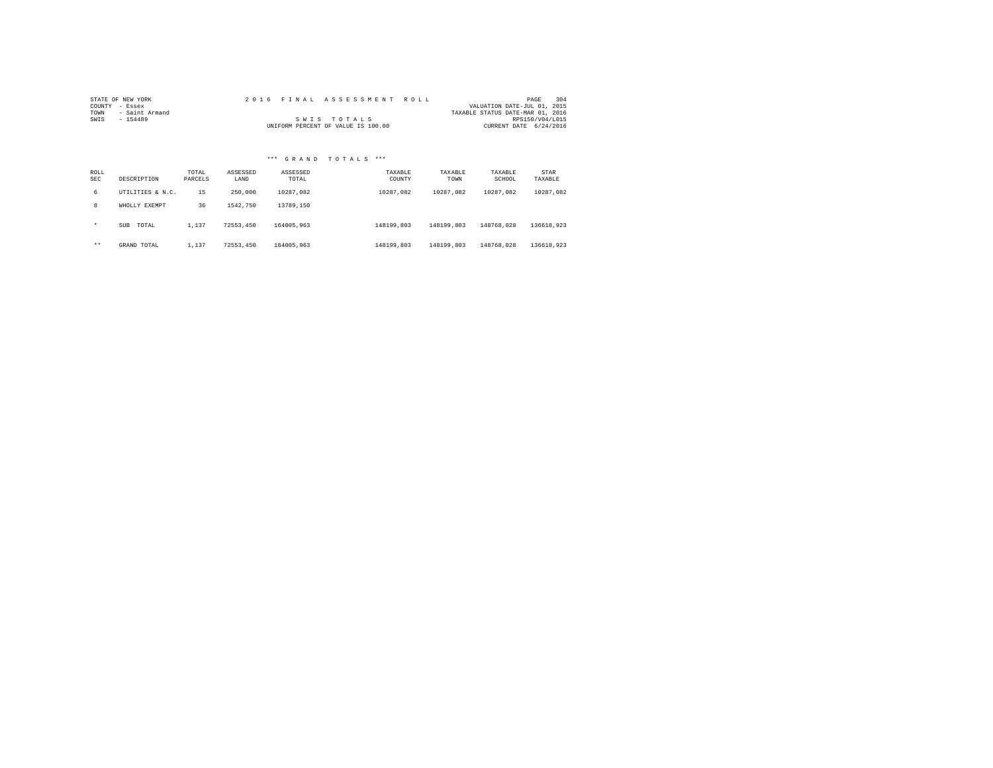|                | STATE OF NEW YORK |  |  |  | 2016 FINAL ASSESSMENT ROLL         |  |  |                                  | PAGE            | 304 |
|----------------|-------------------|--|--|--|------------------------------------|--|--|----------------------------------|-----------------|-----|
| COUNTY - Essex |                   |  |  |  |                                    |  |  | VALUATION DATE-JUL 01, 2015      |                 |     |
| TOWN           | - Saint Armand    |  |  |  |                                    |  |  | TAXABLE STATUS DATE-MAR 01, 2016 |                 |     |
| SWIS           | $-154489$         |  |  |  | SWIS TOTALS                        |  |  |                                  | RPS150/V04/L015 |     |
|                |                   |  |  |  | UNIFORM PERCENT OF VALUE IS 100.00 |  |  | CURRENT DATE 6/24/2016           |                 |     |

| ROLL<br><b>SEC</b> | DESCRIPTION      | TOTAL<br>PARCELS | ASSESSED<br>LAND | ASSESSED<br>TOTAL | TAXABLE<br>COUNTY | TAXABLE<br>TOWN | TAXABLE<br>SCHOOL | STAR<br>TAXABLE |
|--------------------|------------------|------------------|------------------|-------------------|-------------------|-----------------|-------------------|-----------------|
| б.                 | UTILITIES & N.C. | 15               | 250,000          | 10287.082         | 10287.082         | 10287.082       | 10287.082         | 10287.082       |
| 8                  | WHOLLY EXEMPT    | 36               | 1542,750         | 13789,150         |                   |                 |                   |                 |
| $\star$            | SUB<br>TOTAL     | 1,137            | 72553.450        | 164005,963        | 148199,803        | 148199.803      | 148768.028        | 136618.923      |
| $***$              | GRAND TOTAL      | 1,137            | 72553.450        | 164005,963        | 148199,803        | 148199.803      | 148768.028        | 136618.923      |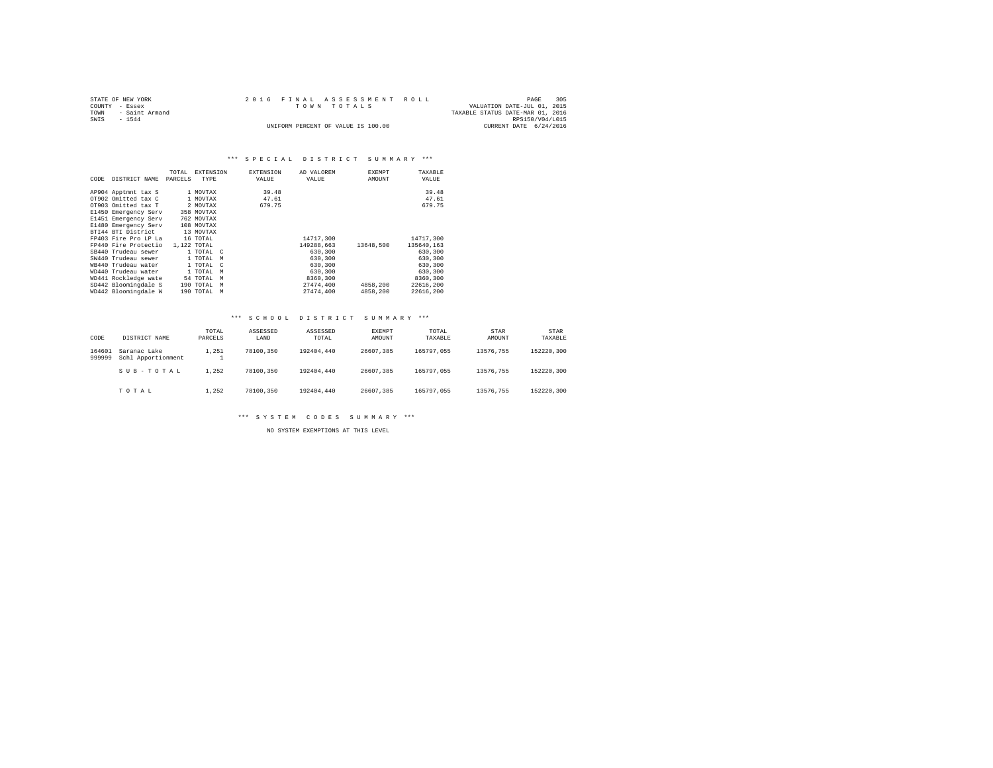| STATE OF NEW YORK   |  | 2016 FINAL ASSESSMENT ROLL         |                                  | PAGE            | 305 |
|---------------------|--|------------------------------------|----------------------------------|-----------------|-----|
| COUNTY - Essex      |  | TOWN TOTALS                        | VALUATION DATE-JUL 01, 2015      |                 |     |
| TOWN - Saint Armand |  |                                    | TAXABLE STATUS DATE-MAR 01, 2016 |                 |     |
| SWTS<br>$-1544$     |  |                                    |                                  | RPS150/V04/L015 |     |
|                     |  | UNIFORM PERCENT OF VALUE IS 100.00 | CURRENT DATE 6/24/2016           |                 |     |

# \*\*\* SPECIAL DISTRICT SUMMARY \*\*\*

|      |                      | TOTAL   | <b>EXTENSION</b>        | <b>EXTENSION</b> | AD VALOREM | <b>EXEMPT</b> | TAXABLE    |
|------|----------------------|---------|-------------------------|------------------|------------|---------------|------------|
| CODE | DISTRICT NAME        | PARCELS | TYPE                    | VALUE            | VALUE      | AMOUNT        | VALUE      |
|      |                      |         |                         |                  |            |               |            |
|      | AP904 Apptmnt tax S  |         | 1 MOVTAX                | 39.48            |            |               | 39.48      |
|      | OT902 Omitted tax C  |         | 1 MOVTAX                | 47.61            |            |               | 47.61      |
|      | OT903 Omitted tax T  |         | 2 MOVTAX                | 679.75           |            |               | 679.75     |
|      | E1450 Emergency Serv |         | 358 MOVTAX              |                  |            |               |            |
|      | E1451 Emergency Serv |         | 762 MOVTAX              |                  |            |               |            |
|      | E1480 Emergency Serv |         | 108 MOVTAX              |                  |            |               |            |
|      | BTI44 BTI District   |         | 13 MOVTAX               |                  |            |               |            |
|      | FP403 Fire Pro LP La |         | 16 TOTAL                |                  | 14717,300  |               | 14717,300  |
|      | FP440 Fire Protectio |         | 1,122 TOTAL             |                  | 149288.663 | 13648,500     | 135640.163 |
|      | SB440 Trudeau sewer  |         | 1 TOTAL C               |                  | 630,300    |               | 630,300    |
|      | SW440 Trudeau sewer  |         | 1 TOTAL<br>M            |                  | 630,300    |               | 630,300    |
|      | WB440 Trudeau water  |         | 1 TOTAL<br>$\mathbb{C}$ |                  | 630,300    |               | 630,300    |
|      | WD440 Trudeau water  |         | 1 TOTAL<br>M            |                  | 630,300    |               | 630,300    |
|      | WD441 Rockledge wate |         | 54 TOTAL<br>M           |                  | 8360,300   |               | 8360,300   |
|      | SD442 Bloomingdale S |         | 190 TOTAL<br>M          |                  | 27474.400  | 4858,200      | 22616,200  |
|      | WD442 Bloomingdale W |         | 190 TOTAL<br>M          |                  | 27474.400  | 4858,200      | 22616.200  |

# \*\*\* S C H O O L D I S T R I C T S U M M A R Y \*\*\*

| CODE             | DISTRICT NAME                      | TOTAL<br>PARCELS | ASSESSED<br>LAND | ASSESSED<br>TOTAL | EXEMPT<br>AMOUNT | TOTAL<br>TAXABLE | STAR<br>AMOUNT | <b>STAR</b><br>TAXABLE |
|------------------|------------------------------------|------------------|------------------|-------------------|------------------|------------------|----------------|------------------------|
| 164601<br>999999 | Saranac Lake<br>Schl Apportionment | 1.251            | 78100.350        | 192404,440        | 26607.385        | 165797.055       | 13576.755      | 152220.300             |
|                  | SUB-TOTAL                          | 1.252            | 78100.350        | 192404,440        | 26607.385        | 165797.055       | 13576.755      | 152220.300             |
|                  | TOTAL                              | 1.252            | 78100.350        | 192404,440        | 26607.385        | 165797.055       | 13576.755      | 152220.300             |

\*\*\* S Y S T E M C O D E S S U M M A R Y \*\*\*

NO SYSTEM EXEMPTIONS AT THIS LEVEL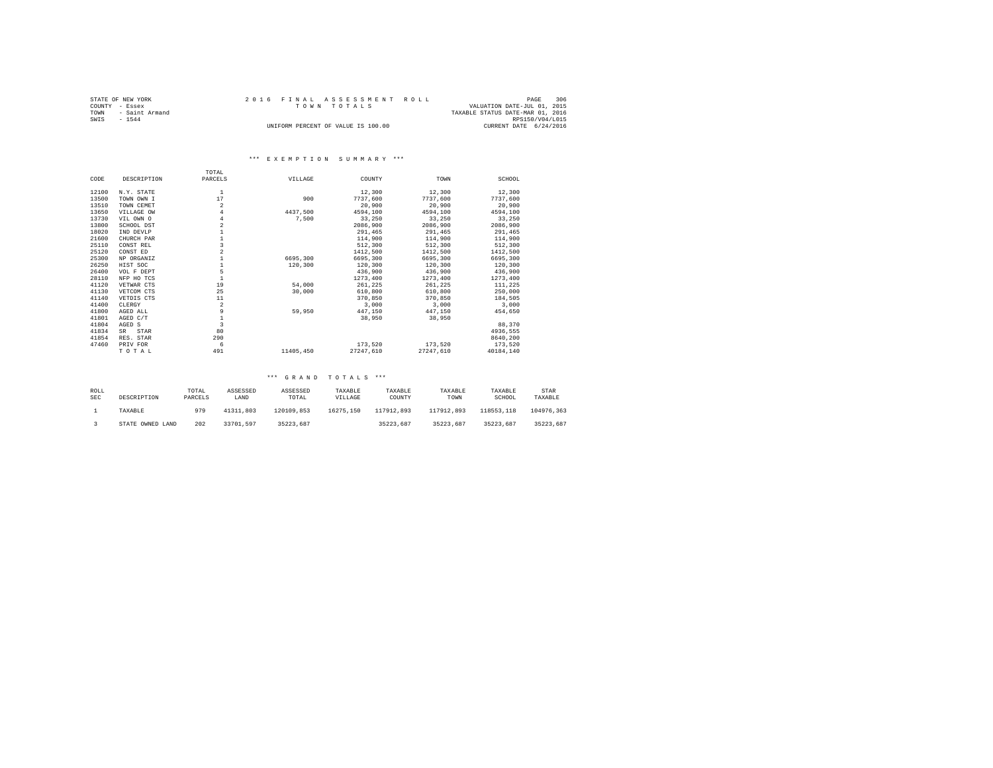|      | STATE OF NEW YORK   |  | 2016 FINAL ASSESSMENT ROLL         |                                  | PAGE            | 306 |
|------|---------------------|--|------------------------------------|----------------------------------|-----------------|-----|
|      | COUNTY - Essex      |  | TOWN TOTALS                        | VALUATION DATE-JUL 01, 2015      |                 |     |
|      | TOWN - Saint Armand |  |                                    | TAXABLE STATUS DATE-MAR 01, 2016 |                 |     |
| SWIS | $-1544$             |  |                                    |                                  | RPS150/V04/L015 |     |
|      |                     |  | UNIFORM PERCENT OF VALUE IS 100.00 | CURRENT DATE 6/24/2016           |                 |     |

# \*\*\* E X E M P T I O N S U M M A R Y \*\*\*

|       |             | TOTAL                   |           |           |           |           |
|-------|-------------|-------------------------|-----------|-----------|-----------|-----------|
| CODE  | DESCRIPTION | PARCELS                 | VILLAGE   | COUNTY    | TOWN      | SCHOOL    |
| 12100 | N.Y. STATE  | $\mathbf{1}$            |           | 12,300    | 12,300    | 12,300    |
| 13500 | TOWN OWN I  | 17                      | 900       | 7737.600  | 7737.600  | 7737,600  |
| 13510 | TOWN CEMET  | $\overline{2}$          |           | 20,900    | 20,900    | 20,900    |
| 13650 | VILLAGE OW  | 4                       | 4437.500  | 4594,100  | 4594,100  | 4594.100  |
| 13730 | VIL OWN O   | 4                       | 7,500     | 33,250    | 33,250    | 33,250    |
| 13800 | SCHOOL DST  | $\overline{a}$          |           | 2086,900  | 2086,900  | 2086,900  |
| 18020 | IND DEVLP   |                         |           | 291.465   | 291,465   | 291,465   |
| 21600 | CHURCH PAR  |                         |           | 114,900   | 114,900   | 114,900   |
| 25110 | CONST REL   | 3                       |           | 512,300   | 512,300   | 512,300   |
| 25120 | CONST ED    |                         |           | 1412,500  | 1412,500  | 1412.500  |
| 25300 | NP ORGANIZ  |                         | 6695,300  | 6695,300  | 6695,300  | 6695,300  |
| 26250 | HIST SOC    |                         | 120,300   | 120,300   | 120,300   | 120,300   |
| 26400 | VOL F DEPT  | 5                       |           | 436,900   | 436,900   | 436,900   |
| 28110 | NFP HO TCS  |                         |           | 1273,400  | 1273.400  | 1273,400  |
| 41120 | VETWAR CTS  | 19                      | 54,000    | 261,225   | 261.225   | 111,225   |
| 41130 | VETCOM CTS  | 25                      | 30,000    | 610,800   | 610,800   | 250,000   |
| 41140 | VETDIS CTS  | 11                      |           | 370,850   | 370,850   | 184,505   |
| 41400 | CLERGY      | $\overline{a}$          |           | 3,000     | 3,000     | 3,000     |
| 41800 | AGED ALL    | 9                       | 59,950    | 447.150   | 447.150   | 454,650   |
| 41801 | AGED C/T    |                         |           | 38,950    | 38,950    |           |
| 41804 | AGED S      | $\overline{\mathbf{3}}$ |           |           |           | 88,370    |
| 41834 | STAR<br>SR. | 80                      |           |           |           | 4936,555  |
| 41854 | RES. STAR   | 290                     |           |           |           | 8640.200  |
| 47460 | PRIV FOR    | 6                       |           | 173.520   | 173.520   | 173.520   |
|       | TOTAL       | 491                     | 11405,450 | 27247.610 | 27247.610 | 40184,140 |

| ROLL<br><b>SEC</b> | DESCRIPTION      | TOTAL<br>PARCELS | ASSESSED<br>LAND | ASSESSED<br>TOTAL | TAXABLE<br>VILLAGE | TAXABLE<br>COUNTY | TAXABLE<br>TOWN | TAXABLE<br>SCHOOL | STAR<br>TAXABLE |
|--------------------|------------------|------------------|------------------|-------------------|--------------------|-------------------|-----------------|-------------------|-----------------|
|                    | TAXABLE          | 979              | 41311.803        | 120109.853        | 16275.150          | 117912.893        | 117912.893      | 118553.118        | 104976.363      |
|                    | STATE OWNED LAND | 202              | 33701.597        | 35223.687         |                    | 35223.687         | 35223.687       | 35223.687         | 35223.687       |